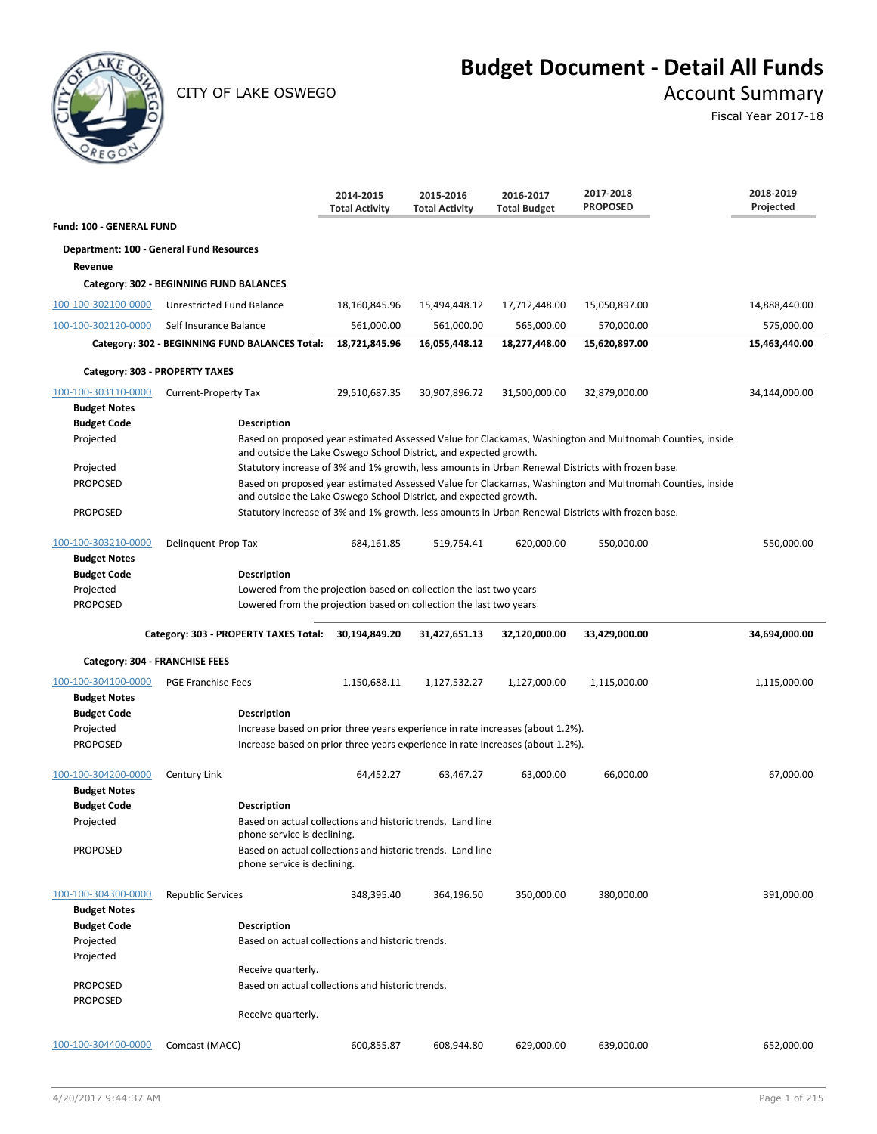

CITY OF LAKE OSWEGO **Account Summary** 

# **Budget Document - Detail All Funds**

Fiscal Year 2017-18

|                                            |                                                                                                                                                                  | 2014-2015<br><b>Total Activity</b> | 2015-2016<br><b>Total Activity</b> | 2016-2017<br><b>Total Budget</b> | 2017-2018<br><b>PROPOSED</b>                                                                             | 2018-2019<br>Projected |
|--------------------------------------------|------------------------------------------------------------------------------------------------------------------------------------------------------------------|------------------------------------|------------------------------------|----------------------------------|----------------------------------------------------------------------------------------------------------|------------------------|
| Fund: 100 - GENERAL FUND                   |                                                                                                                                                                  |                                    |                                    |                                  |                                                                                                          |                        |
|                                            | Department: 100 - General Fund Resources                                                                                                                         |                                    |                                    |                                  |                                                                                                          |                        |
| Revenue                                    |                                                                                                                                                                  |                                    |                                    |                                  |                                                                                                          |                        |
|                                            | Category: 302 - BEGINNING FUND BALANCES                                                                                                                          |                                    |                                    |                                  |                                                                                                          |                        |
| 100-100-302100-0000                        | Unrestricted Fund Balance                                                                                                                                        | 18,160,845.96                      | 15,494,448.12                      | 17,712,448.00                    | 15,050,897.00                                                                                            | 14,888,440.00          |
| 100-100-302120-0000                        | Self Insurance Balance                                                                                                                                           | 561,000.00                         | 561,000.00                         | 565,000.00                       | 570,000.00                                                                                               | 575,000.00             |
|                                            | Category: 302 - BEGINNING FUND BALANCES Total:                                                                                                                   | 18,721,845.96                      | 16,055,448.12                      | 18,277,448.00                    | 15,620,897.00                                                                                            | 15,463,440.00          |
| Category: 303 - PROPERTY TAXES             |                                                                                                                                                                  |                                    |                                    |                                  |                                                                                                          |                        |
| 100-100-303110-0000                        | Current-Property Tax                                                                                                                                             | 29,510,687.35                      | 30,907,896.72                      | 31,500,000.00                    | 32,879,000.00                                                                                            | 34,144,000.00          |
| <b>Budget Notes</b>                        |                                                                                                                                                                  |                                    |                                    |                                  |                                                                                                          |                        |
| <b>Budget Code</b>                         | <b>Description</b>                                                                                                                                               |                                    |                                    |                                  |                                                                                                          |                        |
| Projected                                  | and outside the Lake Oswego School District, and expected growth.                                                                                                |                                    |                                    |                                  | Based on proposed year estimated Assessed Value for Clackamas, Washington and Multnomah Counties, inside |                        |
| Projected                                  |                                                                                                                                                                  |                                    |                                    |                                  | Statutory increase of 3% and 1% growth, less amounts in Urban Renewal Districts with frozen base.        |                        |
| PROPOSED                                   | and outside the Lake Oswego School District, and expected growth.                                                                                                |                                    |                                    |                                  | Based on proposed year estimated Assessed Value for Clackamas, Washington and Multnomah Counties, inside |                        |
| PROPOSED                                   |                                                                                                                                                                  |                                    |                                    |                                  | Statutory increase of 3% and 1% growth, less amounts in Urban Renewal Districts with frozen base.        |                        |
| 100-100-303210-0000<br><b>Budget Notes</b> | Delinquent-Prop Tax                                                                                                                                              | 684,161.85                         | 519,754.41                         | 620,000.00                       | 550,000.00                                                                                               | 550,000.00             |
| <b>Budget Code</b>                         | <b>Description</b>                                                                                                                                               |                                    |                                    |                                  |                                                                                                          |                        |
| Projected                                  | Lowered from the projection based on collection the last two years                                                                                               |                                    |                                    |                                  |                                                                                                          |                        |
| PROPOSED                                   | Lowered from the projection based on collection the last two years                                                                                               |                                    |                                    |                                  |                                                                                                          |                        |
|                                            | Category: 303 - PROPERTY TAXES Total: 30,194,849.20                                                                                                              |                                    | 31,427,651.13                      | 32,120,000.00                    | 33,429,000.00                                                                                            | 34,694,000.00          |
| Category: 304 - FRANCHISE FEES             |                                                                                                                                                                  |                                    |                                    |                                  |                                                                                                          |                        |
| 100-100-304100-0000                        | <b>PGE Franchise Fees</b>                                                                                                                                        | 1,150,688.11                       | 1,127,532.27                       | 1,127,000.00                     | 1,115,000.00                                                                                             | 1,115,000.00           |
| <b>Budget Notes</b>                        |                                                                                                                                                                  |                                    |                                    |                                  |                                                                                                          |                        |
| <b>Budget Code</b>                         | <b>Description</b>                                                                                                                                               |                                    |                                    |                                  |                                                                                                          |                        |
| Projected<br><b>PROPOSED</b>               | Increase based on prior three years experience in rate increases (about 1.2%).<br>Increase based on prior three years experience in rate increases (about 1.2%). |                                    |                                    |                                  |                                                                                                          |                        |
|                                            |                                                                                                                                                                  |                                    |                                    |                                  |                                                                                                          |                        |
| 100-100-304200-0000                        | Century Link                                                                                                                                                     | 64,452.27                          | 63,467.27                          | 63,000.00                        | 66,000.00                                                                                                | 67,000.00              |
| <b>Budget Notes</b>                        |                                                                                                                                                                  |                                    |                                    |                                  |                                                                                                          |                        |
| <b>Budget Code</b>                         | <b>Description</b>                                                                                                                                               |                                    |                                    |                                  |                                                                                                          |                        |
| Projected                                  | Based on actual collections and historic trends. Land line                                                                                                       |                                    |                                    |                                  |                                                                                                          |                        |
| PROPOSED                                   | phone service is declining.                                                                                                                                      |                                    |                                    |                                  |                                                                                                          |                        |
|                                            | Based on actual collections and historic trends. Land line<br>phone service is declining.                                                                        |                                    |                                    |                                  |                                                                                                          |                        |
| 100-100-304300-0000                        | <b>Republic Services</b>                                                                                                                                         | 348,395.40                         | 364,196.50                         | 350,000.00                       | 380,000.00                                                                                               | 391,000.00             |
| <b>Budget Notes</b>                        |                                                                                                                                                                  |                                    |                                    |                                  |                                                                                                          |                        |
| <b>Budget Code</b>                         | <b>Description</b>                                                                                                                                               |                                    |                                    |                                  |                                                                                                          |                        |
| Projected<br>Projected                     | Based on actual collections and historic trends.                                                                                                                 |                                    |                                    |                                  |                                                                                                          |                        |
|                                            | Receive quarterly.                                                                                                                                               |                                    |                                    |                                  |                                                                                                          |                        |
| PROPOSED                                   | Based on actual collections and historic trends.                                                                                                                 |                                    |                                    |                                  |                                                                                                          |                        |
| <b>PROPOSED</b>                            | Receive quarterly.                                                                                                                                               |                                    |                                    |                                  |                                                                                                          |                        |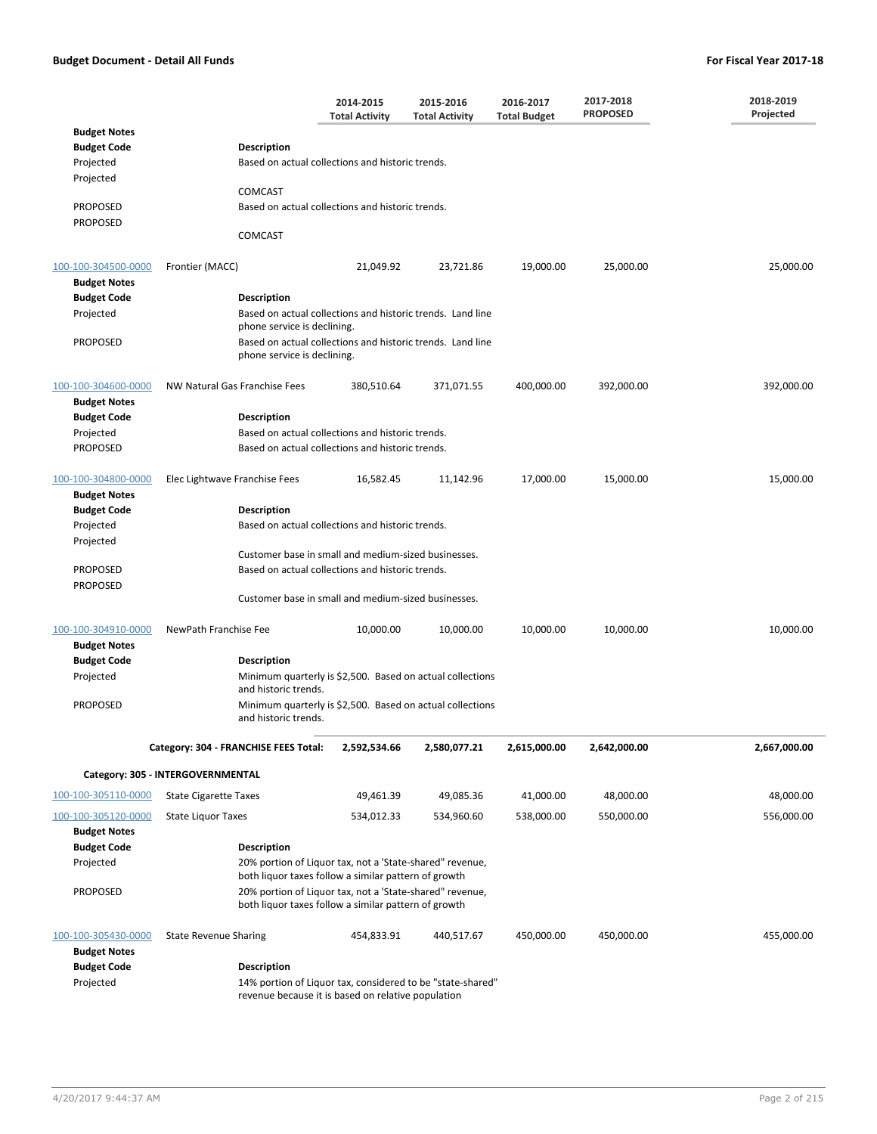|                                            |                                                                                                                  | 2014-2015<br><b>Total Activity</b>                  | 2015-2016<br><b>Total Activity</b> | 2016-2017<br><b>Total Budget</b> | 2017-2018<br><b>PROPOSED</b> | 2018-2019<br>Projected |  |
|--------------------------------------------|------------------------------------------------------------------------------------------------------------------|-----------------------------------------------------|------------------------------------|----------------------------------|------------------------------|------------------------|--|
| <b>Budget Notes</b>                        |                                                                                                                  |                                                     |                                    |                                  |                              |                        |  |
| <b>Budget Code</b>                         | <b>Description</b>                                                                                               |                                                     |                                    |                                  |                              |                        |  |
| Projected<br>Projected                     | Based on actual collections and historic trends.                                                                 |                                                     |                                    |                                  |                              |                        |  |
|                                            | COMCAST                                                                                                          |                                                     |                                    |                                  |                              |                        |  |
| <b>PROPOSED</b>                            | Based on actual collections and historic trends.                                                                 |                                                     |                                    |                                  |                              |                        |  |
| <b>PROPOSED</b>                            | COMCAST                                                                                                          |                                                     |                                    |                                  |                              |                        |  |
|                                            |                                                                                                                  |                                                     |                                    |                                  |                              |                        |  |
| 100-100-304500-0000                        | Frontier (MACC)                                                                                                  | 21,049.92                                           | 23,721.86                          | 19,000.00                        | 25,000.00                    | 25,000.00              |  |
| <b>Budget Notes</b>                        |                                                                                                                  |                                                     |                                    |                                  |                              |                        |  |
| <b>Budget Code</b><br>Projected            | <b>Description</b><br>Based on actual collections and historic trends. Land line                                 |                                                     |                                    |                                  |                              |                        |  |
|                                            | phone service is declining.                                                                                      |                                                     |                                    |                                  |                              |                        |  |
| <b>PROPOSED</b>                            | Based on actual collections and historic trends. Land line                                                       |                                                     |                                    |                                  |                              |                        |  |
|                                            | phone service is declining.                                                                                      |                                                     |                                    |                                  |                              |                        |  |
| 100-100-304600-0000<br><b>Budget Notes</b> | NW Natural Gas Franchise Fees                                                                                    | 380,510.64                                          | 371,071.55                         | 400,000.00                       | 392,000.00                   | 392,000.00             |  |
| <b>Budget Code</b>                         | <b>Description</b>                                                                                               |                                                     |                                    |                                  |                              |                        |  |
| Projected                                  | Based on actual collections and historic trends.                                                                 |                                                     |                                    |                                  |                              |                        |  |
| <b>PROPOSED</b>                            | Based on actual collections and historic trends.                                                                 |                                                     |                                    |                                  |                              |                        |  |
| 100-100-304800-0000<br><b>Budget Notes</b> | Elec Lightwave Franchise Fees                                                                                    | 16,582.45                                           | 11,142.96                          | 17,000.00                        | 15,000.00                    | 15,000.00              |  |
| <b>Budget Code</b>                         | <b>Description</b>                                                                                               |                                                     |                                    |                                  |                              |                        |  |
| Projected                                  | Based on actual collections and historic trends.                                                                 |                                                     |                                    |                                  |                              |                        |  |
| Projected                                  |                                                                                                                  |                                                     |                                    |                                  |                              |                        |  |
|                                            |                                                                                                                  | Customer base in small and medium-sized businesses. |                                    |                                  |                              |                        |  |
| <b>PROPOSED</b>                            | Based on actual collections and historic trends.                                                                 |                                                     |                                    |                                  |                              |                        |  |
| <b>PROPOSED</b>                            | Customer base in small and medium-sized businesses.                                                              |                                                     |                                    |                                  |                              |                        |  |
|                                            |                                                                                                                  |                                                     |                                    |                                  |                              |                        |  |
| 100-100-304910-0000                        | NewPath Franchise Fee                                                                                            | 10,000.00                                           | 10,000.00                          | 10,000.00                        | 10,000.00                    | 10,000.00              |  |
| <b>Budget Notes</b>                        |                                                                                                                  |                                                     |                                    |                                  |                              |                        |  |
| <b>Budget Code</b>                         | <b>Description</b>                                                                                               |                                                     |                                    |                                  |                              |                        |  |
| Projected                                  | Minimum quarterly is \$2,500. Based on actual collections<br>and historic trends.                                |                                                     |                                    |                                  |                              |                        |  |
| <b>PROPOSED</b>                            | Minimum quarterly is \$2,500. Based on actual collections<br>and historic trends.                                |                                                     |                                    |                                  |                              |                        |  |
|                                            | Category: 304 - FRANCHISE FEES Total:                                                                            | 2,592,534.66                                        | 2,580,077.21                       | 2,615,000.00                     | 2,642,000.00                 | 2,667,000.00           |  |
|                                            | Category: 305 - INTERGOVERNMENTAL                                                                                |                                                     |                                    |                                  |                              |                        |  |
| 100-100-305110-0000                        | <b>State Cigarette Taxes</b>                                                                                     | 49,461.39                                           | 49,085.36                          | 41,000.00                        | 48,000.00                    | 48,000.00              |  |
| 100-100-305120-0000                        | <b>State Liquor Taxes</b>                                                                                        | 534,012.33                                          | 534,960.60                         | 538,000.00                       | 550,000.00                   | 556,000.00             |  |
| <b>Budget Notes</b>                        |                                                                                                                  |                                                     |                                    |                                  |                              |                        |  |
| <b>Budget Code</b>                         | <b>Description</b>                                                                                               |                                                     |                                    |                                  |                              |                        |  |
| Projected                                  | 20% portion of Liquor tax, not a 'State-shared" revenue,<br>both liquor taxes follow a similar pattern of growth |                                                     |                                    |                                  |                              |                        |  |
| <b>PROPOSED</b>                            | 20% portion of Liquor tax, not a 'State-shared" revenue,<br>both liquor taxes follow a similar pattern of growth |                                                     |                                    |                                  |                              |                        |  |
| 100-100-305430-0000<br><b>Budget Notes</b> | <b>State Revenue Sharing</b>                                                                                     | 454,833.91                                          | 440,517.67                         | 450,000.00                       | 450,000.00                   | 455,000.00             |  |
| <b>Budget Code</b>                         | <b>Description</b>                                                                                               |                                                     |                                    |                                  |                              |                        |  |
| Projected                                  | 14% portion of Liquor tax, considered to be "state-shared"<br>revenue because it is based on relative population |                                                     |                                    |                                  |                              |                        |  |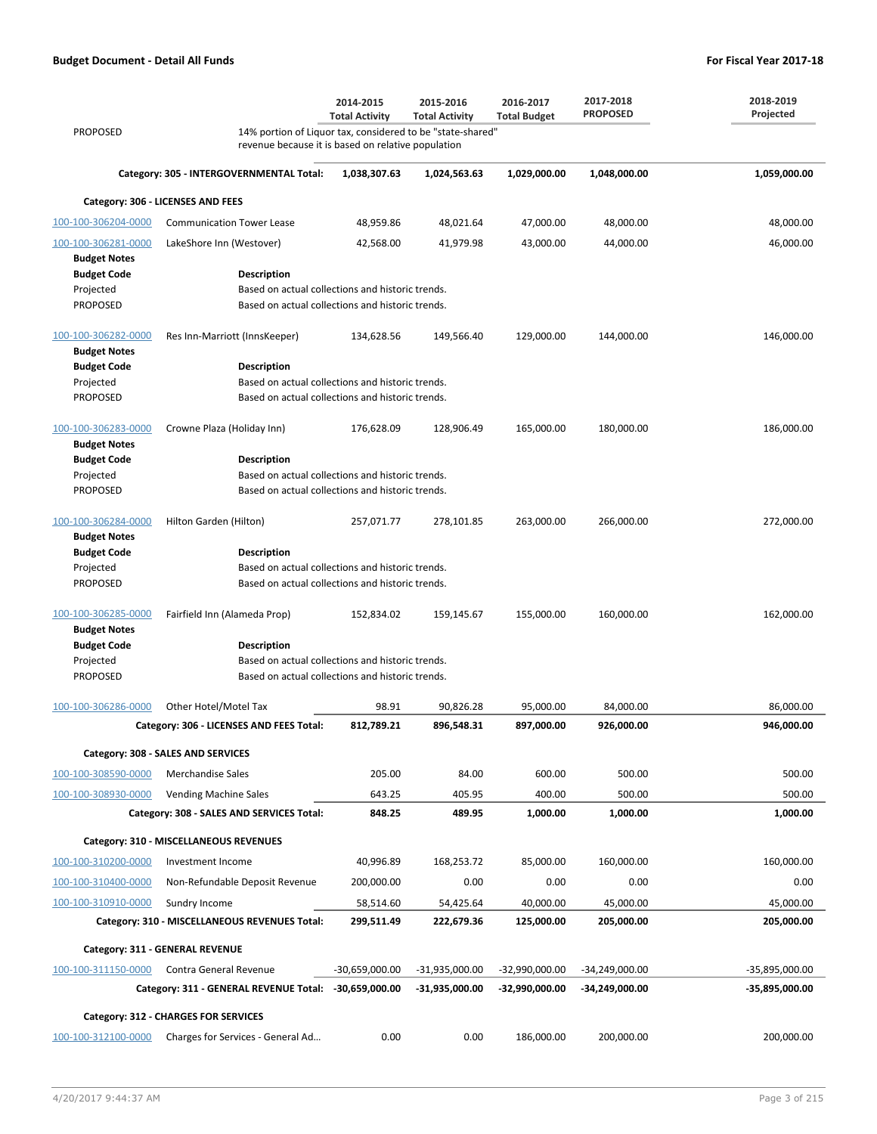|                                            |                                                                                                                  | 2014-2015<br><b>Total Activity</b> | 2015-2016<br><b>Total Activity</b> | 2016-2017<br><b>Total Budget</b> | 2017-2018<br><b>PROPOSED</b> | 2018-2019<br>Projected |
|--------------------------------------------|------------------------------------------------------------------------------------------------------------------|------------------------------------|------------------------------------|----------------------------------|------------------------------|------------------------|
| <b>PROPOSED</b>                            | 14% portion of Liquor tax, considered to be "state-shared"<br>revenue because it is based on relative population |                                    |                                    |                                  |                              |                        |
|                                            | Category: 305 - INTERGOVERNMENTAL Total:                                                                         | 1,038,307.63                       | 1,024,563.63                       | 1,029,000.00                     | 1,048,000.00                 | 1,059,000.00           |
|                                            | Category: 306 - LICENSES AND FEES                                                                                |                                    |                                    |                                  |                              |                        |
| 100-100-306204-0000                        | <b>Communication Tower Lease</b>                                                                                 | 48,959.86                          | 48,021.64                          | 47,000.00                        | 48,000.00                    | 48,000.00              |
| 100-100-306281-0000<br><b>Budget Notes</b> | LakeShore Inn (Westover)                                                                                         | 42,568.00                          | 41,979.98                          | 43,000.00                        | 44,000.00                    | 46,000.00              |
| <b>Budget Code</b>                         | <b>Description</b>                                                                                               |                                    |                                    |                                  |                              |                        |
| Projected                                  | Based on actual collections and historic trends.                                                                 |                                    |                                    |                                  |                              |                        |
| <b>PROPOSED</b>                            | Based on actual collections and historic trends.                                                                 |                                    |                                    |                                  |                              |                        |
| 100-100-306282-0000<br><b>Budget Notes</b> | Res Inn-Marriott (InnsKeeper)                                                                                    | 134,628.56                         | 149,566.40                         | 129,000.00                       | 144,000.00                   | 146,000.00             |
| <b>Budget Code</b>                         | Description                                                                                                      |                                    |                                    |                                  |                              |                        |
| Projected<br><b>PROPOSED</b>               | Based on actual collections and historic trends.<br>Based on actual collections and historic trends.             |                                    |                                    |                                  |                              |                        |
| 100-100-306283-0000<br><b>Budget Notes</b> | Crowne Plaza (Holiday Inn)                                                                                       | 176,628.09                         | 128,906.49                         | 165,000.00                       | 180,000.00                   | 186,000.00             |
| <b>Budget Code</b>                         | Description                                                                                                      |                                    |                                    |                                  |                              |                        |
| Projected                                  | Based on actual collections and historic trends.                                                                 |                                    |                                    |                                  |                              |                        |
| <b>PROPOSED</b>                            | Based on actual collections and historic trends.                                                                 |                                    |                                    |                                  |                              |                        |
| 100-100-306284-0000<br><b>Budget Notes</b> | Hilton Garden (Hilton)                                                                                           | 257,071.77                         | 278,101.85                         | 263,000.00                       | 266,000.00                   | 272,000.00             |
| <b>Budget Code</b>                         | <b>Description</b>                                                                                               |                                    |                                    |                                  |                              |                        |
| Projected                                  | Based on actual collections and historic trends.                                                                 |                                    |                                    |                                  |                              |                        |
| <b>PROPOSED</b>                            | Based on actual collections and historic trends.                                                                 |                                    |                                    |                                  |                              |                        |
| 100-100-306285-0000<br><b>Budget Notes</b> | Fairfield Inn (Alameda Prop)                                                                                     | 152,834.02                         | 159,145.67                         | 155,000.00                       | 160,000.00                   | 162,000.00             |
| <b>Budget Code</b>                         | Description                                                                                                      |                                    |                                    |                                  |                              |                        |
| Projected                                  | Based on actual collections and historic trends.                                                                 |                                    |                                    |                                  |                              |                        |
| <b>PROPOSED</b>                            | Based on actual collections and historic trends.                                                                 |                                    |                                    |                                  |                              |                        |
| 100-100-306286-0000                        | Other Hotel/Motel Tax                                                                                            | 98.91                              | 90,826.28                          | 95,000.00                        | 84,000.00                    | 86,000.00              |
|                                            | Category: 306 - LICENSES AND FEES Total:                                                                         | 812,789.21                         | 896,548.31                         | 897,000.00                       | 926,000.00                   | 946,000.00             |
|                                            | Category: 308 - SALES AND SERVICES                                                                               |                                    |                                    |                                  |                              |                        |
| 100-100-308590-0000                        | <b>Merchandise Sales</b>                                                                                         | 205.00                             | 84.00                              | 600.00                           | 500.00                       | 500.00                 |
| 100-100-308930-0000                        | <b>Vending Machine Sales</b>                                                                                     | 643.25                             | 405.95                             | 400.00                           | 500.00                       | 500.00                 |
|                                            | Category: 308 - SALES AND SERVICES Total:                                                                        | 848.25                             | 489.95                             | 1,000.00                         | 1,000.00                     | 1,000.00               |
|                                            | Category: 310 - MISCELLANEOUS REVENUES                                                                           |                                    |                                    |                                  |                              |                        |
| 100-100-310200-0000                        | Investment Income                                                                                                | 40,996.89                          | 168,253.72                         | 85,000.00                        | 160,000.00                   | 160,000.00             |
| 100-100-310400-0000                        | Non-Refundable Deposit Revenue                                                                                   | 200,000.00                         | 0.00                               | 0.00                             | 0.00                         | 0.00                   |
| 100-100-310910-0000                        | Sundry Income                                                                                                    | 58,514.60                          | 54,425.64                          | 40,000.00                        | 45,000.00                    | 45,000.00              |
|                                            | Category: 310 - MISCELLANEOUS REVENUES Total:                                                                    | 299,511.49                         | 222,679.36                         | 125,000.00                       | 205,000.00                   | 205,000.00             |
|                                            | Category: 311 - GENERAL REVENUE                                                                                  |                                    |                                    |                                  |                              |                        |
| 100-100-311150-0000                        | Contra General Revenue                                                                                           | $-30,659,000.00$                   | $-31,935,000.00$                   | -32,990,000.00                   | $-34,249,000.00$             | -35,895,000.00         |
|                                            | Category: 311 - GENERAL REVENUE Total: -30,659,000.00                                                            |                                    | -31,935,000.00                     | -32,990,000.00                   | -34,249,000.00               | -35,895,000.00         |
|                                            | Category: 312 - CHARGES FOR SERVICES                                                                             |                                    |                                    |                                  |                              |                        |
| 100-100-312100-0000                        | Charges for Services - General Ad                                                                                | 0.00                               | 0.00                               | 186,000.00                       | 200,000.00                   | 200,000.00             |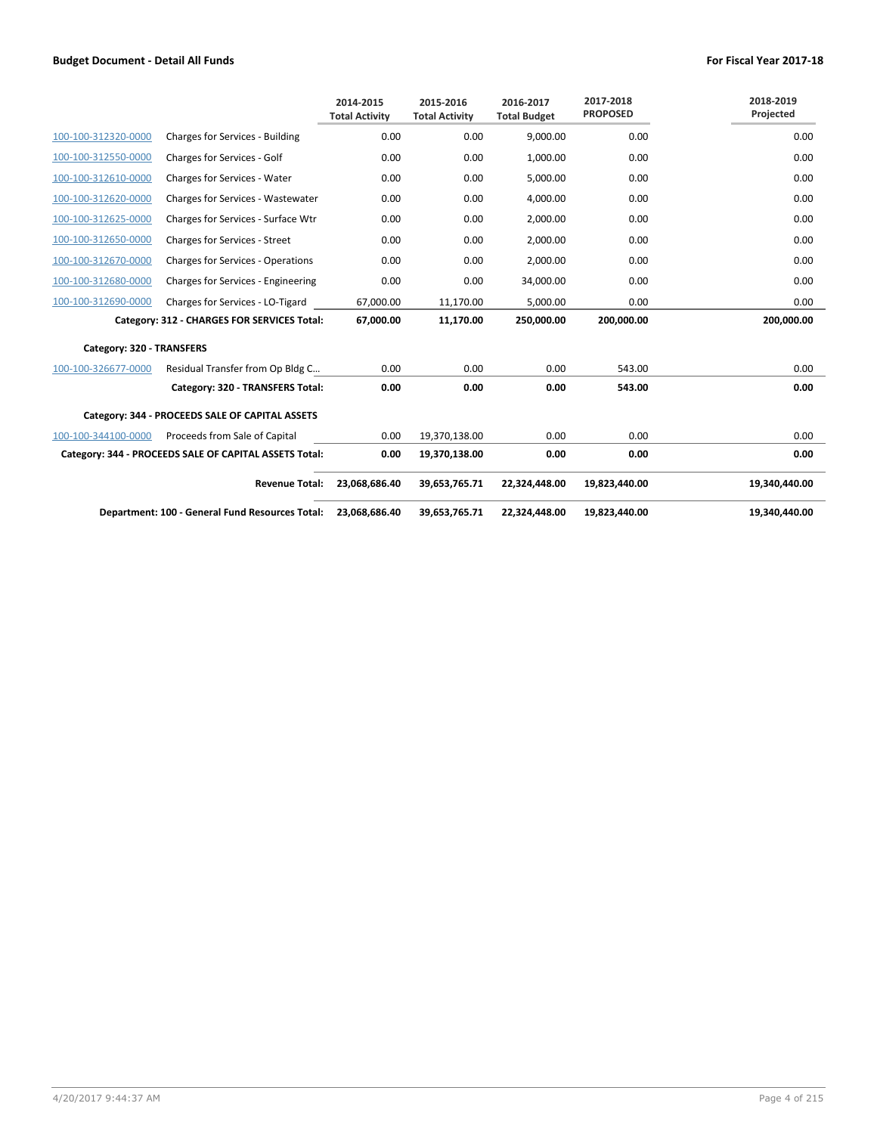|                           |                                                        | 2014-2015<br><b>Total Activity</b> | 2015-2016<br><b>Total Activity</b> | 2016-2017<br><b>Total Budget</b> | 2017-2018<br><b>PROPOSED</b> | 2018-2019<br>Projected |
|---------------------------|--------------------------------------------------------|------------------------------------|------------------------------------|----------------------------------|------------------------------|------------------------|
| 100-100-312320-0000       | Charges for Services - Building                        | 0.00                               | 0.00                               | 9,000.00                         | 0.00                         | 0.00                   |
| 100-100-312550-0000       | Charges for Services - Golf                            | 0.00                               | 0.00                               | 1,000.00                         | 0.00                         | 0.00                   |
| 100-100-312610-0000       | Charges for Services - Water                           | 0.00                               | 0.00                               | 5,000.00                         | 0.00                         | 0.00                   |
| 100-100-312620-0000       | Charges for Services - Wastewater                      | 0.00                               | 0.00                               | 4,000.00                         | 0.00                         | 0.00                   |
| 100-100-312625-0000       | Charges for Services - Surface Wtr                     | 0.00                               | 0.00                               | 2,000.00                         | 0.00                         | 0.00                   |
| 100-100-312650-0000       | <b>Charges for Services - Street</b>                   | 0.00                               | 0.00                               | 2,000.00                         | 0.00                         | 0.00                   |
| 100-100-312670-0000       | <b>Charges for Services - Operations</b>               | 0.00                               | 0.00                               | 2,000.00                         | 0.00                         | 0.00                   |
| 100-100-312680-0000       | Charges for Services - Engineering                     | 0.00                               | 0.00                               | 34,000.00                        | 0.00                         | 0.00                   |
| 100-100-312690-0000       | Charges for Services - LO-Tigard                       | 67,000.00                          | 11,170.00                          | 5,000.00                         | 0.00                         | 0.00                   |
|                           | Category: 312 - CHARGES FOR SERVICES Total:            | 67,000.00                          | 11,170.00                          | 250,000.00                       | 200,000.00                   | 200,000.00             |
| Category: 320 - TRANSFERS |                                                        |                                    |                                    |                                  |                              |                        |
| 100-100-326677-0000       | Residual Transfer from Op Bldg C                       | 0.00                               | 0.00                               | 0.00                             | 543.00                       | 0.00                   |
|                           | Category: 320 - TRANSFERS Total:                       | 0.00                               | 0.00                               | 0.00                             | 543.00                       | 0.00                   |
|                           | Category: 344 - PROCEEDS SALE OF CAPITAL ASSETS        |                                    |                                    |                                  |                              |                        |
| 100-100-344100-0000       | Proceeds from Sale of Capital                          | 0.00                               | 19,370,138.00                      | 0.00                             | 0.00                         | 0.00                   |
|                           | Category: 344 - PROCEEDS SALE OF CAPITAL ASSETS Total: | 0.00                               | 19,370,138.00                      | 0.00                             | 0.00                         | 0.00                   |
|                           | <b>Revenue Total:</b>                                  | 23,068,686.40                      | 39,653,765.71                      | 22,324,448.00                    | 19,823,440.00                | 19,340,440.00          |
|                           | Department: 100 - General Fund Resources Total:        | 23,068,686.40                      | 39,653,765.71                      | 22,324,448.00                    | 19,823,440.00                | 19,340,440.00          |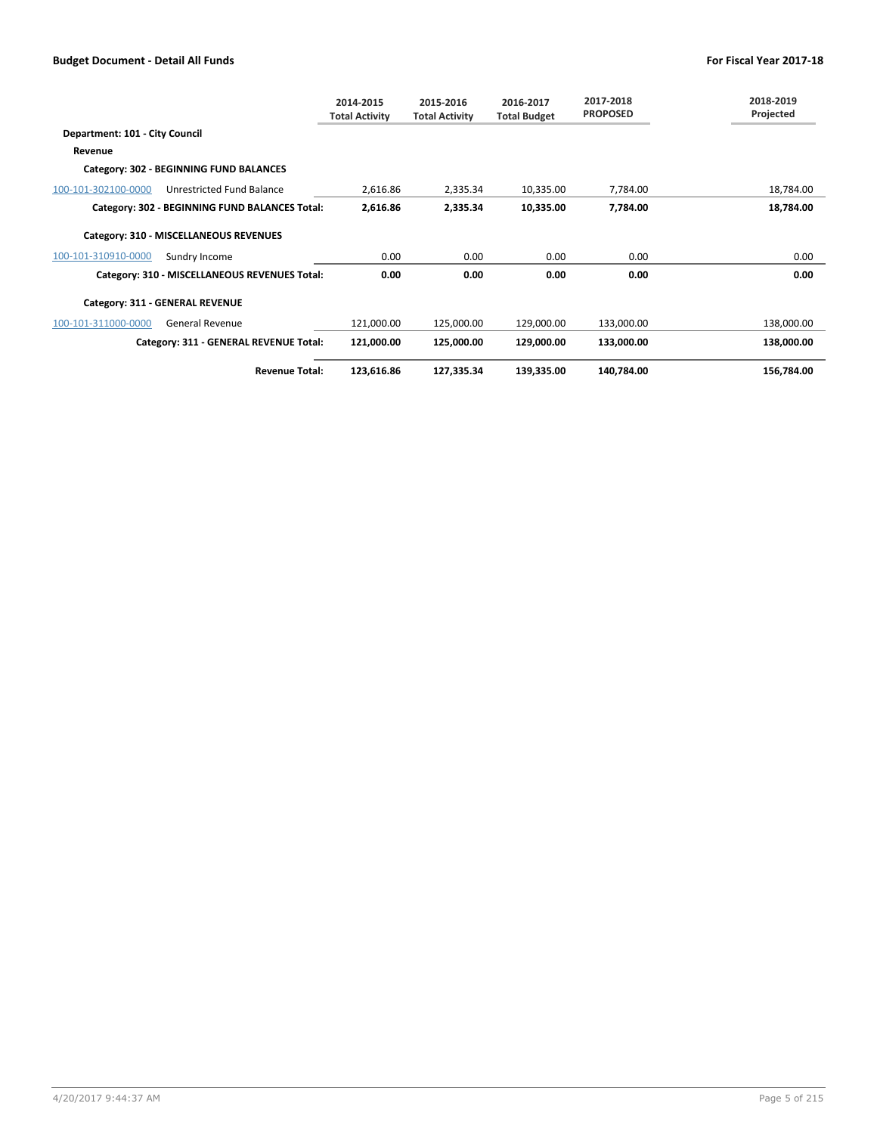|                                |                                                | 2014-2015<br><b>Total Activity</b> | 2015-2016<br><b>Total Activity</b> | 2016-2017<br><b>Total Budget</b> | 2017-2018<br><b>PROPOSED</b> | 2018-2019<br>Projected |
|--------------------------------|------------------------------------------------|------------------------------------|------------------------------------|----------------------------------|------------------------------|------------------------|
| Department: 101 - City Council |                                                |                                    |                                    |                                  |                              |                        |
| Revenue                        |                                                |                                    |                                    |                                  |                              |                        |
|                                | Category: 302 - BEGINNING FUND BALANCES        |                                    |                                    |                                  |                              |                        |
| 100-101-302100-0000            | Unrestricted Fund Balance                      | 2,616.86                           | 2,335.34                           | 10,335.00                        | 7.784.00                     | 18,784.00              |
|                                | Category: 302 - BEGINNING FUND BALANCES Total: | 2,616.86                           | 2,335.34                           | 10,335.00                        | 7,784.00                     | 18,784.00              |
|                                | Category: 310 - MISCELLANEOUS REVENUES         |                                    |                                    |                                  |                              |                        |
| 100-101-310910-0000            | Sundry Income                                  | 0.00                               | 0.00                               | 0.00                             | 0.00                         | 0.00                   |
|                                | Category: 310 - MISCELLANEOUS REVENUES Total:  | 0.00                               | 0.00                               | 0.00                             | 0.00                         | 0.00                   |
|                                | Category: 311 - GENERAL REVENUE                |                                    |                                    |                                  |                              |                        |
| 100-101-311000-0000            | <b>General Revenue</b>                         | 121,000.00                         | 125,000.00                         | 129,000.00                       | 133,000.00                   | 138,000.00             |
|                                | Category: 311 - GENERAL REVENUE Total:         | 121,000.00                         | 125,000.00                         | 129,000.00                       | 133,000.00                   | 138,000.00             |
|                                | <b>Revenue Total:</b>                          | 123,616.86                         | 127,335.34                         | 139,335.00                       | 140,784.00                   | 156,784.00             |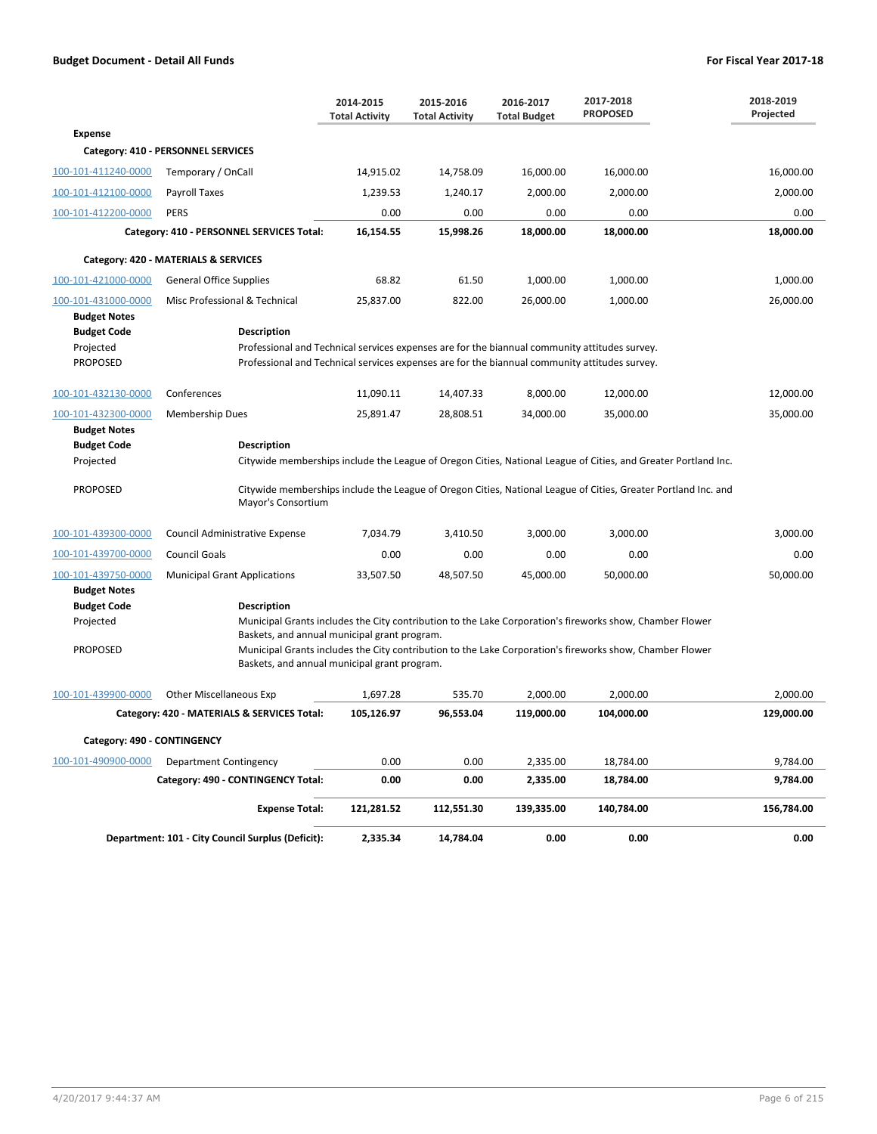|                                            |                                                                                                                                                                                                | 2014-2015<br><b>Total Activity</b> | 2015-2016<br><b>Total Activity</b> | 2016-2017<br><b>Total Budget</b> | 2017-2018<br><b>PROPOSED</b>                                                                                   | 2018-2019<br>Projected |
|--------------------------------------------|------------------------------------------------------------------------------------------------------------------------------------------------------------------------------------------------|------------------------------------|------------------------------------|----------------------------------|----------------------------------------------------------------------------------------------------------------|------------------------|
| <b>Expense</b>                             |                                                                                                                                                                                                |                                    |                                    |                                  |                                                                                                                |                        |
|                                            | Category: 410 - PERSONNEL SERVICES                                                                                                                                                             |                                    |                                    |                                  |                                                                                                                |                        |
| 100-101-411240-0000                        | Temporary / OnCall                                                                                                                                                                             | 14,915.02                          | 14,758.09                          | 16,000.00                        | 16,000.00                                                                                                      | 16,000.00              |
| 100-101-412100-0000                        | Payroll Taxes                                                                                                                                                                                  | 1,239.53                           | 1,240.17                           | 2,000.00                         | 2,000.00                                                                                                       | 2,000.00               |
| 100-101-412200-0000                        | <b>PERS</b>                                                                                                                                                                                    | 0.00                               | 0.00                               | 0.00                             | 0.00                                                                                                           | 0.00                   |
|                                            | Category: 410 - PERSONNEL SERVICES Total:                                                                                                                                                      | 16,154.55                          | 15,998.26                          | 18,000.00                        | 18,000.00                                                                                                      | 18,000.00              |
|                                            | Category: 420 - MATERIALS & SERVICES                                                                                                                                                           |                                    |                                    |                                  |                                                                                                                |                        |
| 100-101-421000-0000                        | <b>General Office Supplies</b>                                                                                                                                                                 | 68.82                              | 61.50                              | 1,000.00                         | 1,000.00                                                                                                       | 1,000.00               |
| 100-101-431000-0000                        | Misc Professional & Technical                                                                                                                                                                  | 25,837.00                          | 822.00                             | 26,000.00                        | 1,000.00                                                                                                       | 26,000.00              |
| <b>Budget Notes</b>                        |                                                                                                                                                                                                |                                    |                                    |                                  |                                                                                                                |                        |
| <b>Budget Code</b>                         | <b>Description</b>                                                                                                                                                                             |                                    |                                    |                                  |                                                                                                                |                        |
| Projected<br><b>PROPOSED</b>               | Professional and Technical services expenses are for the biannual community attitudes survey.<br>Professional and Technical services expenses are for the biannual community attitudes survey. |                                    |                                    |                                  |                                                                                                                |                        |
|                                            |                                                                                                                                                                                                |                                    |                                    |                                  |                                                                                                                |                        |
| 100-101-432130-0000                        | Conferences                                                                                                                                                                                    | 11,090.11                          | 14,407.33                          | 8,000.00                         | 12,000.00                                                                                                      | 12,000.00              |
| 100-101-432300-0000<br><b>Budget Notes</b> | <b>Membership Dues</b>                                                                                                                                                                         | 25,891.47                          | 28,808.51                          | 34,000.00                        | 35,000.00                                                                                                      | 35,000.00              |
| <b>Budget Code</b>                         | <b>Description</b>                                                                                                                                                                             |                                    |                                    |                                  |                                                                                                                |                        |
| Projected                                  |                                                                                                                                                                                                |                                    |                                    |                                  | Citywide memberships include the League of Oregon Cities, National League of Cities, and Greater Portland Inc. |                        |
| <b>PROPOSED</b>                            | Mayor's Consortium                                                                                                                                                                             |                                    |                                    |                                  | Citywide memberships include the League of Oregon Cities, National League of Cities, Greater Portland Inc. and |                        |
| 100-101-439300-0000                        | Council Administrative Expense                                                                                                                                                                 | 7,034.79                           | 3,410.50                           | 3,000.00                         | 3,000.00                                                                                                       | 3,000.00               |
| 100-101-439700-0000                        | <b>Council Goals</b>                                                                                                                                                                           | 0.00                               | 0.00                               | 0.00                             | 0.00                                                                                                           | 0.00                   |
| 100-101-439750-0000                        | <b>Municipal Grant Applications</b>                                                                                                                                                            | 33,507.50                          | 48,507.50                          | 45,000.00                        | 50,000.00                                                                                                      | 50,000.00              |
| <b>Budget Notes</b>                        |                                                                                                                                                                                                |                                    |                                    |                                  |                                                                                                                |                        |
| <b>Budget Code</b>                         | Description                                                                                                                                                                                    |                                    |                                    |                                  |                                                                                                                |                        |
| Projected                                  | Baskets, and annual municipal grant program.                                                                                                                                                   |                                    |                                    |                                  | Municipal Grants includes the City contribution to the Lake Corporation's fireworks show, Chamber Flower       |                        |
| <b>PROPOSED</b>                            | Baskets, and annual municipal grant program.                                                                                                                                                   |                                    |                                    |                                  | Municipal Grants includes the City contribution to the Lake Corporation's fireworks show, Chamber Flower       |                        |
| 100-101-439900-0000                        | <b>Other Miscellaneous Exp</b>                                                                                                                                                                 | 1,697.28                           | 535.70                             | 2,000.00                         | 2,000.00                                                                                                       | 2,000.00               |
|                                            | Category: 420 - MATERIALS & SERVICES Total:                                                                                                                                                    | 105,126.97                         | 96,553.04                          | 119,000.00                       | 104,000.00                                                                                                     | 129,000.00             |
| Category: 490 - CONTINGENCY                |                                                                                                                                                                                                |                                    |                                    |                                  |                                                                                                                |                        |
| 100-101-490900-0000                        | Department Contingency                                                                                                                                                                         | 0.00                               | 0.00                               | 2,335.00                         | 18,784.00                                                                                                      | 9,784.00               |
|                                            | Category: 490 - CONTINGENCY Total:                                                                                                                                                             | 0.00                               | 0.00                               | 2,335.00                         | 18,784.00                                                                                                      | 9,784.00               |
|                                            | <b>Expense Total:</b>                                                                                                                                                                          | 121,281.52                         | 112,551.30                         | 139,335.00                       | 140,784.00                                                                                                     | 156,784.00             |
|                                            | Department: 101 - City Council Surplus (Deficit):                                                                                                                                              | 2,335.34                           | 14,784.04                          | 0.00                             | 0.00                                                                                                           | 0.00                   |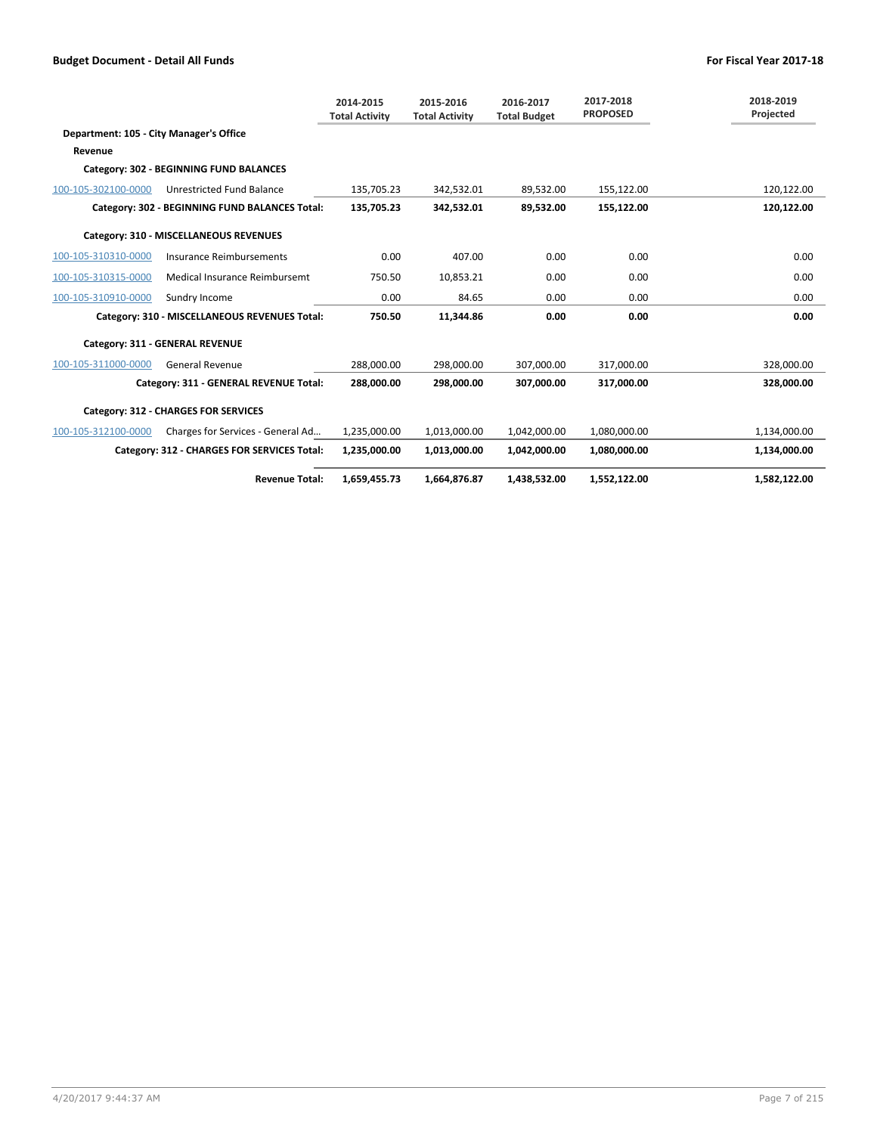|                                         |                                                | 2014-2015<br><b>Total Activity</b> | 2015-2016<br><b>Total Activity</b> | 2016-2017<br><b>Total Budget</b> | 2017-2018<br><b>PROPOSED</b> | 2018-2019<br>Projected |
|-----------------------------------------|------------------------------------------------|------------------------------------|------------------------------------|----------------------------------|------------------------------|------------------------|
| Department: 105 - City Manager's Office |                                                |                                    |                                    |                                  |                              |                        |
| Revenue                                 |                                                |                                    |                                    |                                  |                              |                        |
|                                         | Category: 302 - BEGINNING FUND BALANCES        |                                    |                                    |                                  |                              |                        |
| 100-105-302100-0000                     | <b>Unrestricted Fund Balance</b>               | 135,705.23                         | 342,532.01                         | 89,532.00                        | 155,122.00                   | 120,122.00             |
|                                         | Category: 302 - BEGINNING FUND BALANCES Total: | 135,705.23                         | 342,532.01                         | 89,532.00                        | 155,122.00                   | 120,122.00             |
|                                         | Category: 310 - MISCELLANEOUS REVENUES         |                                    |                                    |                                  |                              |                        |
| 100-105-310310-0000                     | Insurance Reimbursements                       | 0.00                               | 407.00                             | 0.00                             | 0.00                         | 0.00                   |
| 100-105-310315-0000                     | Medical Insurance Reimbursemt                  | 750.50                             | 10,853.21                          | 0.00                             | 0.00                         | 0.00                   |
| 100-105-310910-0000                     | Sundry Income                                  | 0.00                               | 84.65                              | 0.00                             | 0.00                         | 0.00                   |
|                                         | Category: 310 - MISCELLANEOUS REVENUES Total:  | 750.50                             | 11,344.86                          | 0.00                             | 0.00                         | 0.00                   |
|                                         | Category: 311 - GENERAL REVENUE                |                                    |                                    |                                  |                              |                        |
| 100-105-311000-0000                     | <b>General Revenue</b>                         | 288,000.00                         | 298,000.00                         | 307,000.00                       | 317,000.00                   | 328,000.00             |
|                                         | Category: 311 - GENERAL REVENUE Total:         | 288.000.00                         | 298.000.00                         | 307.000.00                       | 317.000.00                   | 328.000.00             |
|                                         | Category: 312 - CHARGES FOR SERVICES           |                                    |                                    |                                  |                              |                        |
| 100-105-312100-0000                     | Charges for Services - General Ad              | 1,235,000.00                       | 1,013,000.00                       | 1,042,000.00                     | 1,080,000.00                 | 1,134,000.00           |
|                                         | Category: 312 - CHARGES FOR SERVICES Total:    | 1,235,000.00                       | 1,013,000.00                       | 1,042,000.00                     | 1,080,000.00                 | 1,134,000.00           |
|                                         | <b>Revenue Total:</b>                          | 1,659,455.73                       | 1,664,876.87                       | 1,438,532.00                     | 1,552,122.00                 | 1,582,122.00           |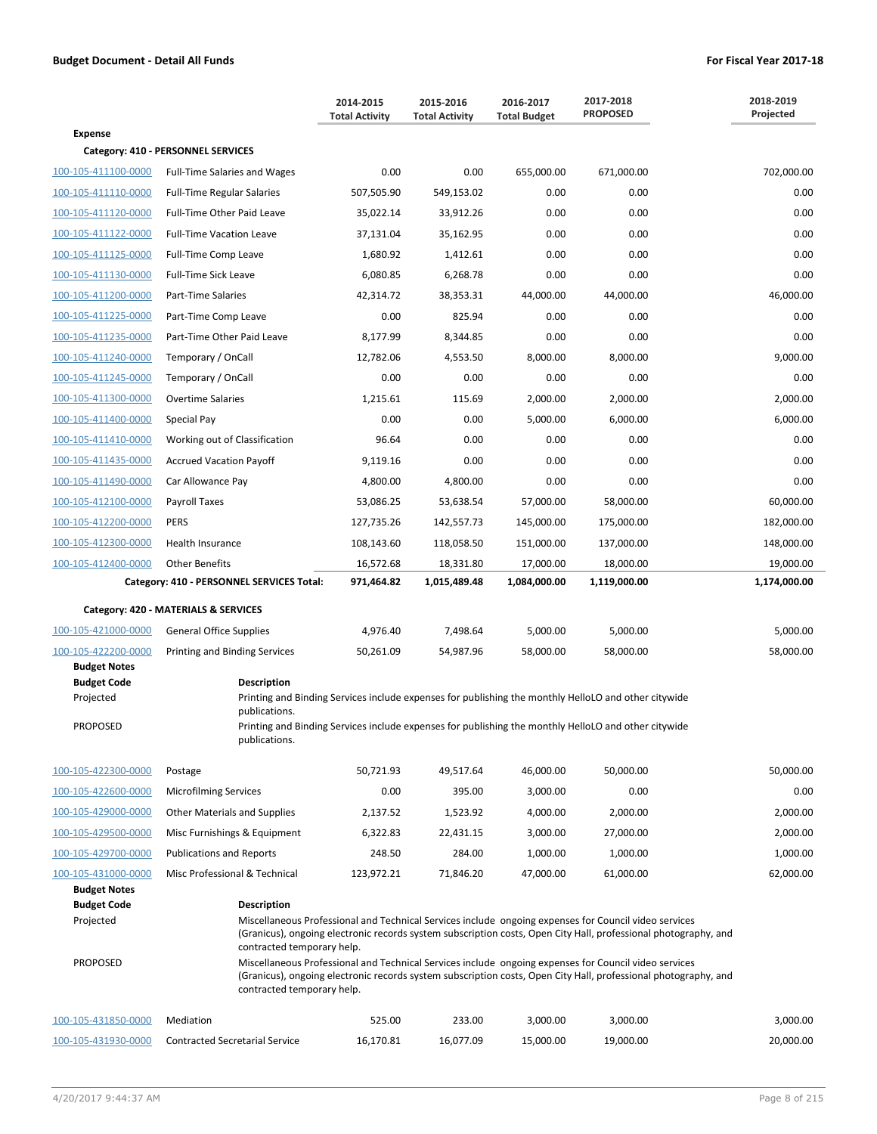|                     |                                           | 2014-2015<br><b>Total Activity</b> | 2015-2016<br><b>Total Activity</b> | 2016-2017<br><b>Total Budget</b> | 2017-2018<br><b>PROPOSED</b>                                                                                                                                                                                             | 2018-2019<br>Projected |
|---------------------|-------------------------------------------|------------------------------------|------------------------------------|----------------------------------|--------------------------------------------------------------------------------------------------------------------------------------------------------------------------------------------------------------------------|------------------------|
| <b>Expense</b>      |                                           |                                    |                                    |                                  |                                                                                                                                                                                                                          |                        |
|                     | Category: 410 - PERSONNEL SERVICES        |                                    |                                    |                                  |                                                                                                                                                                                                                          |                        |
| 100-105-411100-0000 | <b>Full-Time Salaries and Wages</b>       | 0.00                               | 0.00                               | 655,000.00                       | 671,000.00                                                                                                                                                                                                               | 702,000.00             |
| 100-105-411110-0000 | <b>Full-Time Regular Salaries</b>         | 507,505.90                         | 549,153.02                         | 0.00                             | 0.00                                                                                                                                                                                                                     | 0.00                   |
| 100-105-411120-0000 | Full-Time Other Paid Leave                | 35,022.14                          | 33,912.26                          | 0.00                             | 0.00                                                                                                                                                                                                                     | 0.00                   |
| 100-105-411122-0000 | <b>Full-Time Vacation Leave</b>           | 37,131.04                          | 35,162.95                          | 0.00                             | 0.00                                                                                                                                                                                                                     | 0.00                   |
| 100-105-411125-0000 | Full-Time Comp Leave                      | 1,680.92                           | 1,412.61                           | 0.00                             | 0.00                                                                                                                                                                                                                     | 0.00                   |
| 100-105-411130-0000 | <b>Full-Time Sick Leave</b>               | 6,080.85                           | 6,268.78                           | 0.00                             | 0.00                                                                                                                                                                                                                     | 0.00                   |
| 100-105-411200-0000 | Part-Time Salaries                        | 42,314.72                          | 38,353.31                          | 44,000.00                        | 44,000.00                                                                                                                                                                                                                | 46,000.00              |
| 100-105-411225-0000 | Part-Time Comp Leave                      | 0.00                               | 825.94                             | 0.00                             | 0.00                                                                                                                                                                                                                     | 0.00                   |
| 100-105-411235-0000 | Part-Time Other Paid Leave                | 8,177.99                           | 8,344.85                           | 0.00                             | 0.00                                                                                                                                                                                                                     | 0.00                   |
| 100-105-411240-0000 | Temporary / OnCall                        | 12,782.06                          | 4,553.50                           | 8,000.00                         | 8,000.00                                                                                                                                                                                                                 | 9,000.00               |
| 100-105-411245-0000 | Temporary / OnCall                        | 0.00                               | 0.00                               | 0.00                             | 0.00                                                                                                                                                                                                                     | 0.00                   |
| 100-105-411300-0000 | <b>Overtime Salaries</b>                  | 1,215.61                           | 115.69                             | 2,000.00                         | 2,000.00                                                                                                                                                                                                                 | 2,000.00               |
| 100-105-411400-0000 | Special Pay                               | 0.00                               | 0.00                               | 5,000.00                         | 6,000.00                                                                                                                                                                                                                 | 6,000.00               |
| 100-105-411410-0000 | Working out of Classification             | 96.64                              | 0.00                               | 0.00                             | 0.00                                                                                                                                                                                                                     | 0.00                   |
| 100-105-411435-0000 | <b>Accrued Vacation Payoff</b>            | 9,119.16                           | 0.00                               | 0.00                             | 0.00                                                                                                                                                                                                                     | 0.00                   |
| 100-105-411490-0000 | Car Allowance Pay                         | 4,800.00                           | 4,800.00                           | 0.00                             | 0.00                                                                                                                                                                                                                     | 0.00                   |
| 100-105-412100-0000 | Payroll Taxes                             | 53,086.25                          | 53,638.54                          | 57,000.00                        | 58,000.00                                                                                                                                                                                                                | 60,000.00              |
| 100-105-412200-0000 | <b>PERS</b>                               | 127,735.26                         | 142,557.73                         | 145,000.00                       | 175,000.00                                                                                                                                                                                                               | 182,000.00             |
| 100-105-412300-0000 | Health Insurance                          | 108,143.60                         | 118,058.50                         | 151,000.00                       | 137,000.00                                                                                                                                                                                                               | 148,000.00             |
| 100-105-412400-0000 | <b>Other Benefits</b>                     | 16,572.68                          | 18,331.80                          | 17,000.00                        | 18,000.00                                                                                                                                                                                                                | 19,000.00              |
|                     | Category: 410 - PERSONNEL SERVICES Total: | 971,464.82                         | 1,015,489.48                       | 1,084,000.00                     | 1,119,000.00                                                                                                                                                                                                             | 1,174,000.00           |
|                     | Category: 420 - MATERIALS & SERVICES      |                                    |                                    |                                  |                                                                                                                                                                                                                          |                        |
| 100-105-421000-0000 | <b>General Office Supplies</b>            | 4,976.40                           | 7,498.64                           | 5,000.00                         | 5,000.00                                                                                                                                                                                                                 | 5,000.00               |
| 100-105-422200-0000 | Printing and Binding Services             | 50,261.09                          | 54,987.96                          | 58,000.00                        | 58,000.00                                                                                                                                                                                                                | 58,000.00              |
| <b>Budget Notes</b> |                                           |                                    |                                    |                                  |                                                                                                                                                                                                                          |                        |
| <b>Budget Code</b>  | <b>Description</b>                        |                                    |                                    |                                  |                                                                                                                                                                                                                          |                        |
| Projected           | publications.                             |                                    |                                    |                                  | Printing and Binding Services include expenses for publishing the monthly HelloLO and other citywide                                                                                                                     |                        |
| <b>PROPOSED</b>     | publications.                             |                                    |                                    |                                  | Printing and Binding Services include expenses for publishing the monthly HelloLO and other citywide                                                                                                                     |                        |
| 100-105-422300-0000 | Postage                                   | 50,721.93                          | 49,517.64                          | 46,000.00                        | 50,000.00                                                                                                                                                                                                                | 50,000.00              |
| 100-105-422600-0000 | <b>Microfilming Services</b>              | 0.00                               | 395.00                             | 3,000.00                         | 0.00                                                                                                                                                                                                                     | 0.00                   |
| 100-105-429000-0000 | <b>Other Materials and Supplies</b>       | 2,137.52                           | 1,523.92                           | 4,000.00                         | 2,000.00                                                                                                                                                                                                                 | 2,000.00               |
| 100-105-429500-0000 | Misc Furnishings & Equipment              | 6,322.83                           | 22,431.15                          | 3,000.00                         | 27,000.00                                                                                                                                                                                                                | 2,000.00               |
| 100-105-429700-0000 | <b>Publications and Reports</b>           | 248.50                             | 284.00                             | 1,000.00                         | 1,000.00                                                                                                                                                                                                                 | 1,000.00               |
| 100-105-431000-0000 | Misc Professional & Technical             | 123,972.21                         | 71,846.20                          | 47,000.00                        | 61,000.00                                                                                                                                                                                                                | 62,000.00              |
| <b>Budget Notes</b> |                                           |                                    |                                    |                                  |                                                                                                                                                                                                                          |                        |
| <b>Budget Code</b>  | <b>Description</b>                        |                                    |                                    |                                  |                                                                                                                                                                                                                          |                        |
| Projected           | contracted temporary help.                |                                    |                                    |                                  | Miscellaneous Professional and Technical Services include ongoing expenses for Council video services<br>(Granicus), ongoing electronic records system subscription costs, Open City Hall, professional photography, and |                        |
| <b>PROPOSED</b>     | contracted temporary help.                |                                    |                                    |                                  | Miscellaneous Professional and Technical Services include ongoing expenses for Council video services<br>(Granicus), ongoing electronic records system subscription costs, Open City Hall, professional photography, and |                        |
| 100-105-431850-0000 | Mediation                                 | 525.00                             | 233.00                             | 3,000.00                         | 3,000.00                                                                                                                                                                                                                 | 3,000.00               |
| 100-105-431930-0000 | <b>Contracted Secretarial Service</b>     | 16,170.81                          | 16,077.09                          | 15,000.00                        | 19,000.00                                                                                                                                                                                                                | 20,000.00              |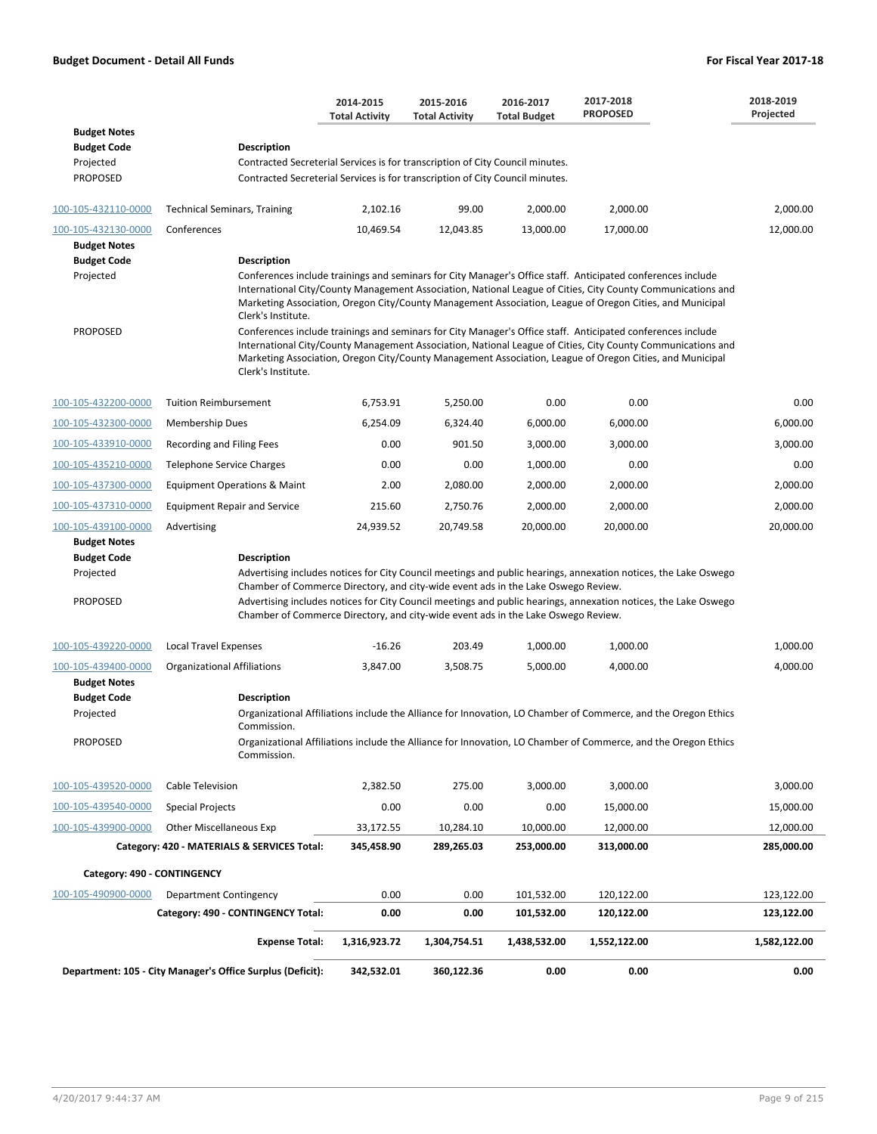|                                           |                                                                                   | 2014-2015<br><b>Total Activity</b> | 2015-2016<br><b>Total Activity</b> | 2016-2017<br><b>Total Budget</b> | 2017-2018<br><b>PROPOSED</b>                                                                                                                                                                                                                                                                                                           | 2018-2019<br>Projected |
|-------------------------------------------|-----------------------------------------------------------------------------------|------------------------------------|------------------------------------|----------------------------------|----------------------------------------------------------------------------------------------------------------------------------------------------------------------------------------------------------------------------------------------------------------------------------------------------------------------------------------|------------------------|
| <b>Budget Notes</b><br><b>Budget Code</b> | <b>Description</b>                                                                |                                    |                                    |                                  |                                                                                                                                                                                                                                                                                                                                        |                        |
| Projected                                 | Contracted Secreterial Services is for transcription of City Council minutes.     |                                    |                                    |                                  |                                                                                                                                                                                                                                                                                                                                        |                        |
| <b>PROPOSED</b>                           | Contracted Secreterial Services is for transcription of City Council minutes.     |                                    |                                    |                                  |                                                                                                                                                                                                                                                                                                                                        |                        |
| 100-105-432110-0000                       | <b>Technical Seminars, Training</b>                                               | 2,102.16                           | 99.00                              | 2,000.00                         | 2,000.00                                                                                                                                                                                                                                                                                                                               | 2,000.00               |
| 100-105-432130-0000                       | Conferences                                                                       | 10,469.54                          | 12,043.85                          | 13,000.00                        | 17,000.00                                                                                                                                                                                                                                                                                                                              | 12,000.00              |
| <b>Budget Notes</b>                       |                                                                                   |                                    |                                    |                                  |                                                                                                                                                                                                                                                                                                                                        |                        |
| <b>Budget Code</b>                        | <b>Description</b>                                                                |                                    |                                    |                                  |                                                                                                                                                                                                                                                                                                                                        |                        |
| Projected                                 | Clerk's Institute.                                                                |                                    |                                    |                                  | Conferences include trainings and seminars for City Manager's Office staff. Anticipated conferences include<br>International City/County Management Association, National League of Cities, City County Communications and<br>Marketing Association, Oregon City/County Management Association, League of Oregon Cities, and Municipal |                        |
| <b>PROPOSED</b>                           | Clerk's Institute.                                                                |                                    |                                    |                                  | Conferences include trainings and seminars for City Manager's Office staff. Anticipated conferences include<br>International City/County Management Association, National League of Cities, City County Communications and<br>Marketing Association, Oregon City/County Management Association, League of Oregon Cities, and Municipal |                        |
| 100-105-432200-0000                       | <b>Tuition Reimbursement</b>                                                      | 6,753.91                           | 5,250.00                           | 0.00                             | 0.00                                                                                                                                                                                                                                                                                                                                   | 0.00                   |
| 100-105-432300-0000                       | Membership Dues                                                                   | 6,254.09                           | 6,324.40                           | 6,000.00                         | 6,000.00                                                                                                                                                                                                                                                                                                                               | 6,000.00               |
| 100-105-433910-0000                       | Recording and Filing Fees                                                         | 0.00                               | 901.50                             | 3,000.00                         | 3,000.00                                                                                                                                                                                                                                                                                                                               | 3,000.00               |
| 100-105-435210-0000                       | Telephone Service Charges                                                         | 0.00                               | 0.00                               | 1,000.00                         | 0.00                                                                                                                                                                                                                                                                                                                                   | 0.00                   |
| 100-105-437300-0000                       | Equipment Operations & Maint                                                      | 2.00                               | 2,080.00                           | 2,000.00                         | 2,000.00                                                                                                                                                                                                                                                                                                                               | 2,000.00               |
| 100-105-437310-0000                       | <b>Equipment Repair and Service</b>                                               | 215.60                             | 2,750.76                           | 2,000.00                         | 2,000.00                                                                                                                                                                                                                                                                                                                               | 2,000.00               |
| 100-105-439100-0000                       | Advertising                                                                       | 24,939.52                          | 20,749.58                          | 20,000.00                        | 20,000.00                                                                                                                                                                                                                                                                                                                              | 20,000.00              |
| <b>Budget Notes</b><br><b>Budget Code</b> | Description                                                                       |                                    |                                    |                                  |                                                                                                                                                                                                                                                                                                                                        |                        |
| Projected                                 | Chamber of Commerce Directory, and city-wide event ads in the Lake Oswego Review. |                                    |                                    |                                  | Advertising includes notices for City Council meetings and public hearings, annexation notices, the Lake Oswego                                                                                                                                                                                                                        |                        |
| <b>PROPOSED</b>                           | Chamber of Commerce Directory, and city-wide event ads in the Lake Oswego Review. |                                    |                                    |                                  | Advertising includes notices for City Council meetings and public hearings, annexation notices, the Lake Oswego                                                                                                                                                                                                                        |                        |
| 100-105-439220-0000                       | Local Travel Expenses                                                             | $-16.26$                           | 203.49                             | 1,000.00                         | 1,000.00                                                                                                                                                                                                                                                                                                                               | 1,000.00               |
| 100-105-439400-0000                       | <b>Organizational Affiliations</b>                                                | 3,847.00                           | 3,508.75                           | 5,000.00                         | 4,000.00                                                                                                                                                                                                                                                                                                                               | 4,000.00               |
| <b>Budget Notes</b><br><b>Budget Code</b> | <b>Description</b>                                                                |                                    |                                    |                                  |                                                                                                                                                                                                                                                                                                                                        |                        |
| Projected                                 | Commission.                                                                       |                                    |                                    |                                  | Organizational Affiliations include the Alliance for Innovation, LO Chamber of Commerce, and the Oregon Ethics                                                                                                                                                                                                                         |                        |
| <b>PROPOSED</b>                           | Commission.                                                                       |                                    |                                    |                                  | Organizational Affiliations include the Alliance for Innovation, LO Chamber of Commerce, and the Oregon Ethics                                                                                                                                                                                                                         |                        |
| 100-105-439520-0000                       | Cable Television                                                                  | 2,382.50                           | 275.00                             | 3,000.00                         | 3,000.00                                                                                                                                                                                                                                                                                                                               | 3,000.00               |
| 100-105-439540-0000                       | <b>Special Projects</b>                                                           | 0.00                               | 0.00                               | 0.00                             | 15,000.00                                                                                                                                                                                                                                                                                                                              | 15,000.00              |
| 100-105-439900-0000                       | <b>Other Miscellaneous Exp</b>                                                    | 33,172.55                          | 10,284.10                          | 10,000.00                        | 12,000.00                                                                                                                                                                                                                                                                                                                              | 12,000.00              |
|                                           | Category: 420 - MATERIALS & SERVICES Total:                                       | 345,458.90                         | 289,265.03                         | 253,000.00                       | 313,000.00                                                                                                                                                                                                                                                                                                                             | 285,000.00             |
| Category: 490 - CONTINGENCY               |                                                                                   |                                    |                                    |                                  |                                                                                                                                                                                                                                                                                                                                        |                        |
| 100-105-490900-0000                       | Department Contingency                                                            | 0.00                               | 0.00                               | 101,532.00                       | 120,122.00                                                                                                                                                                                                                                                                                                                             | 123,122.00             |
|                                           | Category: 490 - CONTINGENCY Total:                                                | 0.00                               | 0.00                               | 101,532.00                       | 120,122.00                                                                                                                                                                                                                                                                                                                             | 123,122.00             |
|                                           | <b>Expense Total:</b>                                                             | 1,316,923.72                       | 1,304,754.51                       | 1,438,532.00                     | 1,552,122.00                                                                                                                                                                                                                                                                                                                           | 1,582,122.00           |
|                                           | Department: 105 - City Manager's Office Surplus (Deficit):                        | 342,532.01                         | 360,122.36                         | 0.00                             | 0.00                                                                                                                                                                                                                                                                                                                                   | 0.00                   |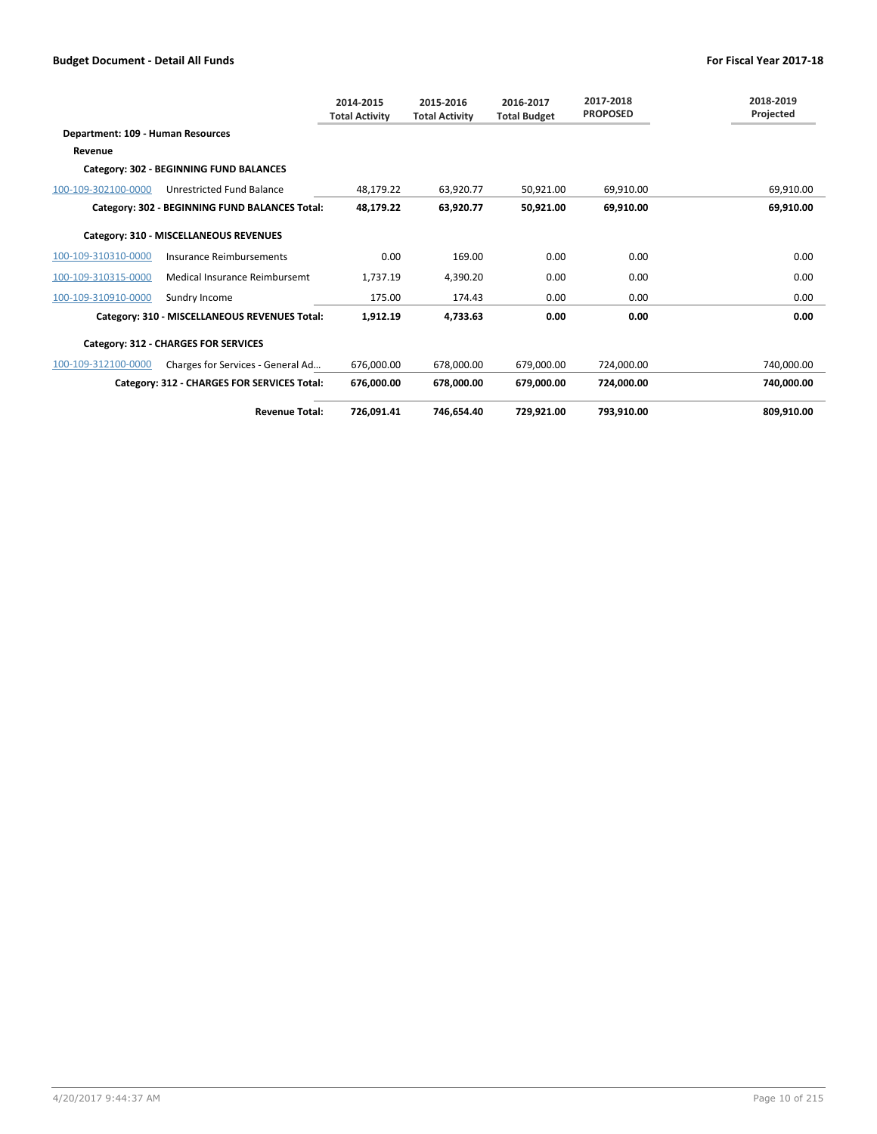|                                   |                                                | 2014-2015<br><b>Total Activity</b> | 2015-2016<br><b>Total Activity</b> | 2016-2017<br><b>Total Budget</b> | 2017-2018<br><b>PROPOSED</b> | 2018-2019<br>Projected |
|-----------------------------------|------------------------------------------------|------------------------------------|------------------------------------|----------------------------------|------------------------------|------------------------|
| Department: 109 - Human Resources |                                                |                                    |                                    |                                  |                              |                        |
| Revenue                           |                                                |                                    |                                    |                                  |                              |                        |
|                                   | Category: 302 - BEGINNING FUND BALANCES        |                                    |                                    |                                  |                              |                        |
| 100-109-302100-0000               | Unrestricted Fund Balance                      | 48.179.22                          | 63,920.77                          | 50,921.00                        | 69,910.00                    | 69,910.00              |
|                                   | Category: 302 - BEGINNING FUND BALANCES Total: | 48,179.22                          | 63,920.77                          | 50,921.00                        | 69.910.00                    | 69,910.00              |
|                                   | Category: 310 - MISCELLANEOUS REVENUES         |                                    |                                    |                                  |                              |                        |
| 100-109-310310-0000               | Insurance Reimbursements                       | 0.00                               | 169.00                             | 0.00                             | 0.00                         | 0.00                   |
| 100-109-310315-0000               | Medical Insurance Reimbursemt                  | 1.737.19                           | 4.390.20                           | 0.00                             | 0.00                         | 0.00                   |
| 100-109-310910-0000               | Sundry Income                                  | 175.00                             | 174.43                             | 0.00                             | 0.00                         | 0.00                   |
|                                   | Category: 310 - MISCELLANEOUS REVENUES Total:  | 1,912.19                           | 4,733.63                           | 0.00                             | 0.00                         | 0.00                   |
|                                   | Category: 312 - CHARGES FOR SERVICES           |                                    |                                    |                                  |                              |                        |
| 100-109-312100-0000               | Charges for Services - General Ad              | 676.000.00                         | 678.000.00                         | 679.000.00                       | 724.000.00                   | 740.000.00             |
|                                   | Category: 312 - CHARGES FOR SERVICES Total:    | 676,000.00                         | 678.000.00                         | 679,000.00                       | 724.000.00                   | 740,000.00             |
|                                   | <b>Revenue Total:</b>                          | 726,091.41                         | 746.654.40                         | 729.921.00                       | 793.910.00                   | 809.910.00             |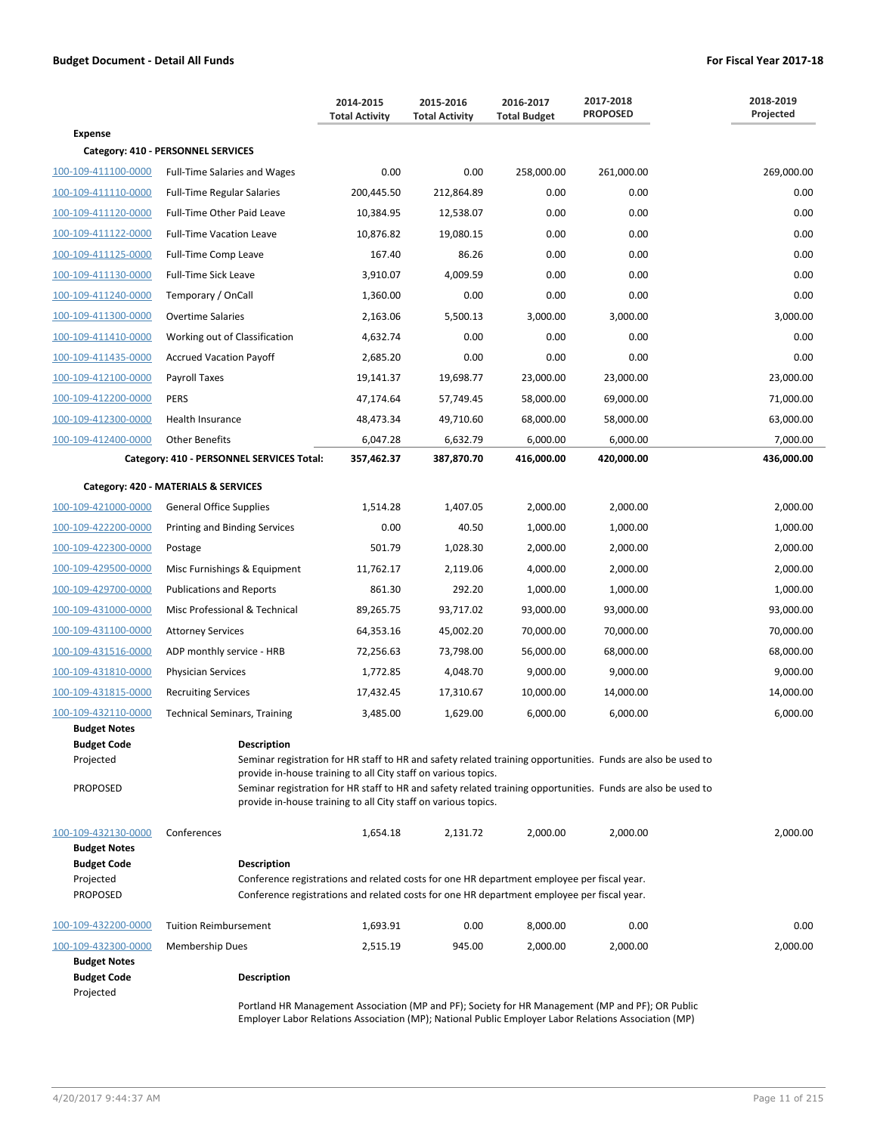|                                                                                                  |                                                                                                                                                                                                                        | 2014-2015<br><b>Total Activity</b> | 2015-2016<br><b>Total Activity</b> | 2016-2017<br><b>Total Budget</b> | 2017-2018<br><b>PROPOSED</b>                                                                                                                                                                                                 | 2018-2019<br>Projected |
|--------------------------------------------------------------------------------------------------|------------------------------------------------------------------------------------------------------------------------------------------------------------------------------------------------------------------------|------------------------------------|------------------------------------|----------------------------------|------------------------------------------------------------------------------------------------------------------------------------------------------------------------------------------------------------------------------|------------------------|
| <b>Expense</b>                                                                                   |                                                                                                                                                                                                                        |                                    |                                    |                                  |                                                                                                                                                                                                                              |                        |
|                                                                                                  | Category: 410 - PERSONNEL SERVICES                                                                                                                                                                                     |                                    |                                    |                                  |                                                                                                                                                                                                                              |                        |
| 100-109-411100-0000                                                                              | <b>Full-Time Salaries and Wages</b>                                                                                                                                                                                    | 0.00                               | 0.00                               | 258,000.00                       | 261,000.00                                                                                                                                                                                                                   | 269,000.00             |
| 100-109-411110-0000                                                                              | <b>Full-Time Regular Salaries</b>                                                                                                                                                                                      | 200,445.50                         | 212,864.89                         | 0.00                             | 0.00                                                                                                                                                                                                                         | 0.00                   |
| 100-109-411120-0000                                                                              | Full-Time Other Paid Leave                                                                                                                                                                                             | 10,384.95                          | 12,538.07                          | 0.00                             | 0.00                                                                                                                                                                                                                         | 0.00                   |
| 100-109-411122-0000                                                                              | <b>Full-Time Vacation Leave</b>                                                                                                                                                                                        | 10,876.82                          | 19,080.15                          | 0.00                             | 0.00                                                                                                                                                                                                                         | 0.00                   |
| 100-109-411125-0000                                                                              | Full-Time Comp Leave                                                                                                                                                                                                   | 167.40                             | 86.26                              | 0.00                             | 0.00                                                                                                                                                                                                                         | 0.00                   |
| 100-109-411130-0000                                                                              | Full-Time Sick Leave                                                                                                                                                                                                   | 3,910.07                           | 4,009.59                           | 0.00                             | 0.00                                                                                                                                                                                                                         | 0.00                   |
| 100-109-411240-0000                                                                              | Temporary / OnCall                                                                                                                                                                                                     | 1,360.00                           | 0.00                               | 0.00                             | 0.00                                                                                                                                                                                                                         | 0.00                   |
| 100-109-411300-0000                                                                              | <b>Overtime Salaries</b>                                                                                                                                                                                               | 2,163.06                           | 5,500.13                           | 3,000.00                         | 3,000.00                                                                                                                                                                                                                     | 3,000.00               |
| 100-109-411410-0000                                                                              | Working out of Classification                                                                                                                                                                                          | 4,632.74                           | 0.00                               | 0.00                             | 0.00                                                                                                                                                                                                                         | 0.00                   |
| 100-109-411435-0000                                                                              | <b>Accrued Vacation Payoff</b>                                                                                                                                                                                         | 2,685.20                           | 0.00                               | 0.00                             | 0.00                                                                                                                                                                                                                         | 0.00                   |
| 100-109-412100-0000                                                                              | Payroll Taxes                                                                                                                                                                                                          | 19,141.37                          | 19,698.77                          | 23,000.00                        | 23,000.00                                                                                                                                                                                                                    | 23,000.00              |
| 100-109-412200-0000                                                                              | <b>PERS</b>                                                                                                                                                                                                            | 47,174.64                          | 57,749.45                          | 58,000.00                        | 69,000.00                                                                                                                                                                                                                    | 71,000.00              |
| 100-109-412300-0000                                                                              | Health Insurance                                                                                                                                                                                                       | 48,473.34                          | 49,710.60                          | 68,000.00                        | 58,000.00                                                                                                                                                                                                                    | 63,000.00              |
| 100-109-412400-0000                                                                              | <b>Other Benefits</b>                                                                                                                                                                                                  | 6,047.28                           | 6,632.79                           | 6,000.00                         | 6,000.00                                                                                                                                                                                                                     | 7,000.00               |
|                                                                                                  | Category: 410 - PERSONNEL SERVICES Total:                                                                                                                                                                              | 357,462.37                         | 387,870.70                         | 416,000.00                       | 420,000.00                                                                                                                                                                                                                   | 436,000.00             |
|                                                                                                  | Category: 420 - MATERIALS & SERVICES                                                                                                                                                                                   |                                    |                                    |                                  |                                                                                                                                                                                                                              |                        |
| 100-109-421000-0000                                                                              | <b>General Office Supplies</b>                                                                                                                                                                                         | 1,514.28                           | 1,407.05                           | 2,000.00                         | 2,000.00                                                                                                                                                                                                                     | 2,000.00               |
| 100-109-422200-0000                                                                              | Printing and Binding Services                                                                                                                                                                                          | 0.00                               | 40.50                              | 1,000.00                         | 1,000.00                                                                                                                                                                                                                     | 1,000.00               |
| 100-109-422300-0000                                                                              | Postage                                                                                                                                                                                                                | 501.79                             | 1,028.30                           | 2,000.00                         | 2,000.00                                                                                                                                                                                                                     | 2,000.00               |
| 100-109-429500-0000                                                                              | Misc Furnishings & Equipment                                                                                                                                                                                           | 11,762.17                          | 2,119.06                           | 4,000.00                         | 2,000.00                                                                                                                                                                                                                     | 2,000.00               |
| 100-109-429700-0000                                                                              | <b>Publications and Reports</b>                                                                                                                                                                                        | 861.30                             | 292.20                             | 1,000.00                         | 1,000.00                                                                                                                                                                                                                     | 1,000.00               |
| 100-109-431000-0000                                                                              | Misc Professional & Technical                                                                                                                                                                                          | 89,265.75                          | 93,717.02                          | 93,000.00                        | 93,000.00                                                                                                                                                                                                                    | 93,000.00              |
| 100-109-431100-0000                                                                              | <b>Attorney Services</b>                                                                                                                                                                                               | 64,353.16                          | 45,002.20                          | 70,000.00                        | 70,000.00                                                                                                                                                                                                                    | 70,000.00              |
| 100-109-431516-0000                                                                              | ADP monthly service - HRB                                                                                                                                                                                              | 72,256.63                          | 73,798.00                          | 56,000.00                        | 68,000.00                                                                                                                                                                                                                    | 68,000.00              |
| 100-109-431810-0000                                                                              | Physician Services                                                                                                                                                                                                     | 1,772.85                           | 4,048.70                           | 9,000.00                         | 9,000.00                                                                                                                                                                                                                     | 9,000.00               |
| 100-109-431815-0000                                                                              | <b>Recruiting Services</b>                                                                                                                                                                                             | 17,432.45                          | 17,310.67                          | 10,000.00                        | 14,000.00                                                                                                                                                                                                                    | 14,000.00              |
| 100-109-432110-0000                                                                              | <b>Technical Seminars, Training</b>                                                                                                                                                                                    | 3,485.00                           | 1,629.00                           | 6,000.00                         | 6,000.00                                                                                                                                                                                                                     | 6,000.00               |
| <b>Budget Notes</b><br><b>Budget Code</b><br>Projected<br><b>PROPOSED</b>                        | <b>Description</b><br>provide in-house training to all City staff on various topics.                                                                                                                                   |                                    |                                    |                                  | Seminar registration for HR staff to HR and safety related training opportunities. Funds are also be used to<br>Seminar registration for HR staff to HR and safety related training opportunities. Funds are also be used to |                        |
|                                                                                                  | provide in-house training to all City staff on various topics.                                                                                                                                                         |                                    |                                    |                                  |                                                                                                                                                                                                                              |                        |
| 100-109-432130-0000<br><b>Budget Notes</b><br><b>Budget Code</b><br>Projected<br><b>PROPOSED</b> | Conferences<br>Description<br>Conference registrations and related costs for one HR department employee per fiscal year.<br>Conference registrations and related costs for one HR department employee per fiscal year. | 1,654.18                           | 2,131.72                           | 2,000.00                         | 2,000.00                                                                                                                                                                                                                     | 2,000.00               |
| 100-109-432200-0000                                                                              | <b>Tuition Reimbursement</b>                                                                                                                                                                                           | 1,693.91                           | 0.00                               | 8,000.00                         | 0.00                                                                                                                                                                                                                         | 0.00                   |
| 100-109-432300-0000                                                                              | <b>Membership Dues</b>                                                                                                                                                                                                 | 2,515.19                           | 945.00                             | 2,000.00                         | 2,000.00                                                                                                                                                                                                                     | 2,000.00               |
| <b>Budget Notes</b><br><b>Budget Code</b><br>Projected                                           | <b>Description</b>                                                                                                                                                                                                     |                                    |                                    |                                  |                                                                                                                                                                                                                              |                        |
|                                                                                                  |                                                                                                                                                                                                                        |                                    |                                    |                                  | Bortland HP Managoment Accoriation (MR and RE): Society for HP Managoment (MR and RE): OR Bublic                                                                                                                             |                        |

Portland HR Management Association (MP and PF); Society for HR Management (MP and PF); OR Public Employer Labor Relations Association (MP); National Public Employer Labor Relations Association (MP)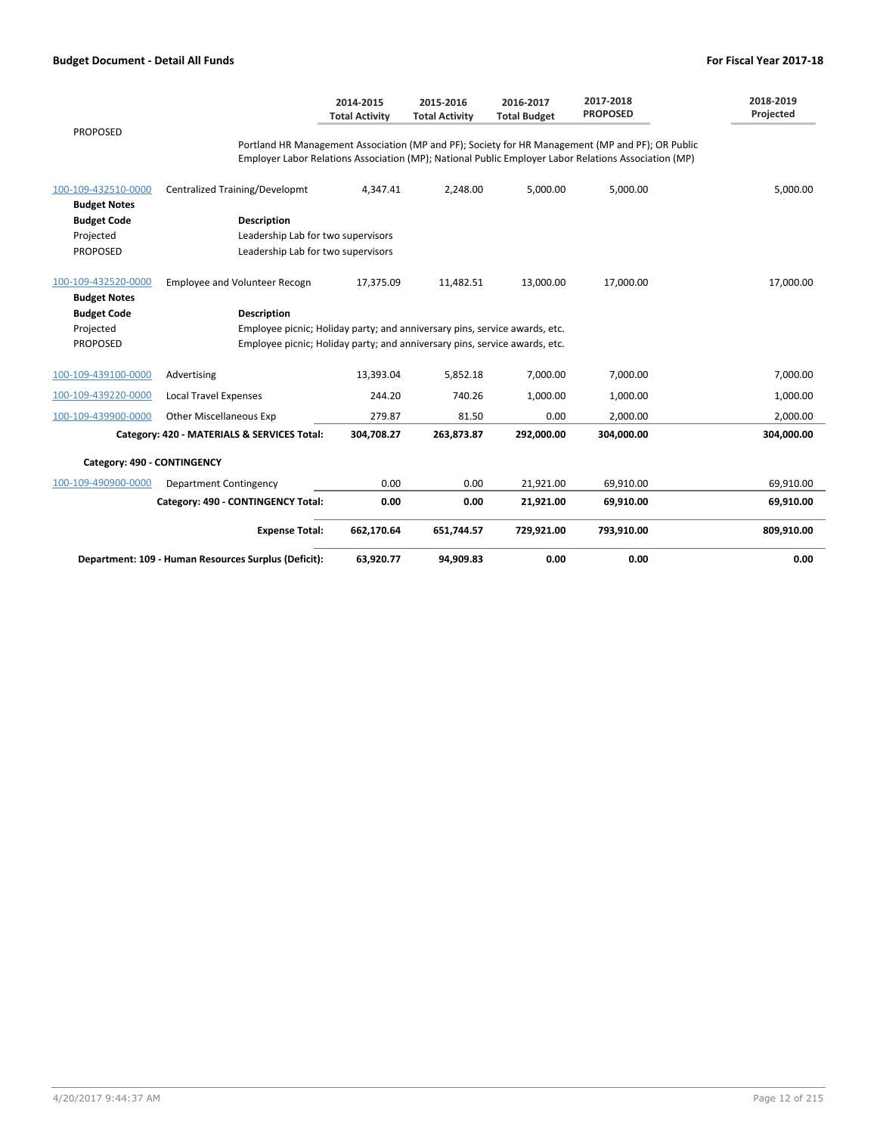|                                            |                                                                            | 2014-2015<br><b>Total Activity</b> | 2015-2016<br><b>Total Activity</b> | 2016-2017<br><b>Total Budget</b> | 2017-2018<br><b>PROPOSED</b>                                                                                                                                                                             | 2018-2019<br>Projected |
|--------------------------------------------|----------------------------------------------------------------------------|------------------------------------|------------------------------------|----------------------------------|----------------------------------------------------------------------------------------------------------------------------------------------------------------------------------------------------------|------------------------|
| <b>PROPOSED</b>                            |                                                                            |                                    |                                    |                                  | Portland HR Management Association (MP and PF); Society for HR Management (MP and PF); OR Public<br>Employer Labor Relations Association (MP); National Public Employer Labor Relations Association (MP) |                        |
| 100-109-432510-0000<br><b>Budget Notes</b> | <b>Centralized Training/Developmt</b>                                      | 4,347.41                           | 2,248.00                           | 5,000.00                         | 5,000.00                                                                                                                                                                                                 | 5,000.00               |
| <b>Budget Code</b>                         | <b>Description</b>                                                         |                                    |                                    |                                  |                                                                                                                                                                                                          |                        |
| Projected                                  | Leadership Lab for two supervisors                                         |                                    |                                    |                                  |                                                                                                                                                                                                          |                        |
| <b>PROPOSED</b>                            | Leadership Lab for two supervisors                                         |                                    |                                    |                                  |                                                                                                                                                                                                          |                        |
| 100-109-432520-0000                        | Employee and Volunteer Recogn                                              | 17,375.09                          | 11,482.51                          | 13,000.00                        | 17,000.00                                                                                                                                                                                                | 17,000.00              |
| <b>Budget Notes</b>                        |                                                                            |                                    |                                    |                                  |                                                                                                                                                                                                          |                        |
| <b>Budget Code</b>                         | <b>Description</b>                                                         |                                    |                                    |                                  |                                                                                                                                                                                                          |                        |
| Projected                                  | Employee picnic; Holiday party; and anniversary pins, service awards, etc. |                                    |                                    |                                  |                                                                                                                                                                                                          |                        |
| PROPOSED                                   | Employee picnic; Holiday party; and anniversary pins, service awards, etc. |                                    |                                    |                                  |                                                                                                                                                                                                          |                        |
| 100-109-439100-0000                        | Advertising                                                                | 13,393.04                          | 5,852.18                           | 7,000.00                         | 7,000.00                                                                                                                                                                                                 | 7,000.00               |
| 100-109-439220-0000                        | <b>Local Travel Expenses</b>                                               | 244.20                             | 740.26                             | 1,000.00                         | 1,000.00                                                                                                                                                                                                 | 1,000.00               |
| 100-109-439900-0000                        | <b>Other Miscellaneous Exp</b>                                             | 279.87                             | 81.50                              | 0.00                             | 2,000.00                                                                                                                                                                                                 | 2,000.00               |
|                                            | Category: 420 - MATERIALS & SERVICES Total:                                | 304,708.27                         | 263,873.87                         | 292,000.00                       | 304,000.00                                                                                                                                                                                               | 304,000.00             |
| Category: 490 - CONTINGENCY                |                                                                            |                                    |                                    |                                  |                                                                                                                                                                                                          |                        |
| 100-109-490900-0000                        | Department Contingency                                                     | 0.00                               | 0.00                               | 21,921.00                        | 69,910.00                                                                                                                                                                                                | 69,910.00              |
|                                            | Category: 490 - CONTINGENCY Total:                                         | 0.00                               | 0.00                               | 21,921.00                        | 69,910.00                                                                                                                                                                                                | 69,910.00              |
|                                            | <b>Expense Total:</b>                                                      | 662,170.64                         | 651,744.57                         | 729,921.00                       | 793,910.00                                                                                                                                                                                               | 809,910.00             |
|                                            | Department: 109 - Human Resources Surplus (Deficit):                       | 63,920.77                          | 94,909.83                          | 0.00                             | 0.00                                                                                                                                                                                                     | 0.00                   |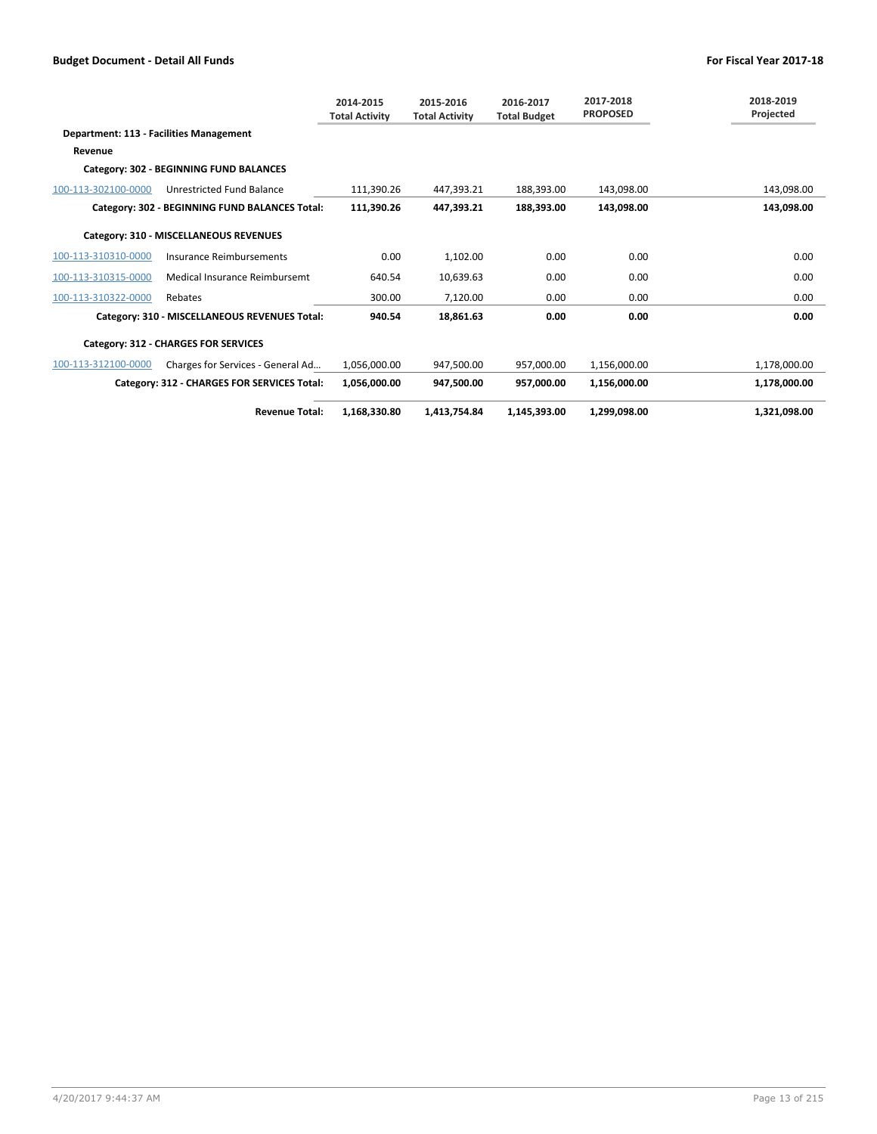|                                         |                                                | 2014-2015<br><b>Total Activity</b> | 2015-2016<br><b>Total Activity</b> | 2016-2017<br><b>Total Budget</b> | 2017-2018<br><b>PROPOSED</b> | 2018-2019<br>Projected |
|-----------------------------------------|------------------------------------------------|------------------------------------|------------------------------------|----------------------------------|------------------------------|------------------------|
| Department: 113 - Facilities Management |                                                |                                    |                                    |                                  |                              |                        |
| Revenue                                 |                                                |                                    |                                    |                                  |                              |                        |
|                                         | Category: 302 - BEGINNING FUND BALANCES        |                                    |                                    |                                  |                              |                        |
| 100-113-302100-0000                     | Unrestricted Fund Balance                      | 111,390.26                         | 447,393.21                         | 188,393.00                       | 143,098.00                   | 143,098.00             |
|                                         | Category: 302 - BEGINNING FUND BALANCES Total: | 111,390.26                         | 447,393.21                         | 188,393.00                       | 143.098.00                   | 143,098.00             |
|                                         | Category: 310 - MISCELLANEOUS REVENUES         |                                    |                                    |                                  |                              |                        |
| 100-113-310310-0000                     | Insurance Reimbursements                       | 0.00                               | 1,102.00                           | 0.00                             | 0.00                         | 0.00                   |
| 100-113-310315-0000                     | Medical Insurance Reimbursemt                  | 640.54                             | 10,639.63                          | 0.00                             | 0.00                         | 0.00                   |
| 100-113-310322-0000                     | Rebates                                        | 300.00                             | 7,120.00                           | 0.00                             | 0.00                         | 0.00                   |
|                                         | Category: 310 - MISCELLANEOUS REVENUES Total:  | 940.54                             | 18,861.63                          | 0.00                             | 0.00                         | 0.00                   |
|                                         | Category: 312 - CHARGES FOR SERVICES           |                                    |                                    |                                  |                              |                        |
| 100-113-312100-0000                     | Charges for Services - General Ad              | 1,056,000.00                       | 947,500.00                         | 957,000.00                       | 1,156,000.00                 | 1,178,000.00           |
|                                         | Category: 312 - CHARGES FOR SERVICES Total:    | 1,056,000.00                       | 947,500.00                         | 957,000.00                       | 1,156,000.00                 | 1,178,000.00           |
|                                         | <b>Revenue Total:</b>                          | 1,168,330.80                       | 1,413,754.84                       | 1,145,393.00                     | 1,299,098.00                 | 1,321,098.00           |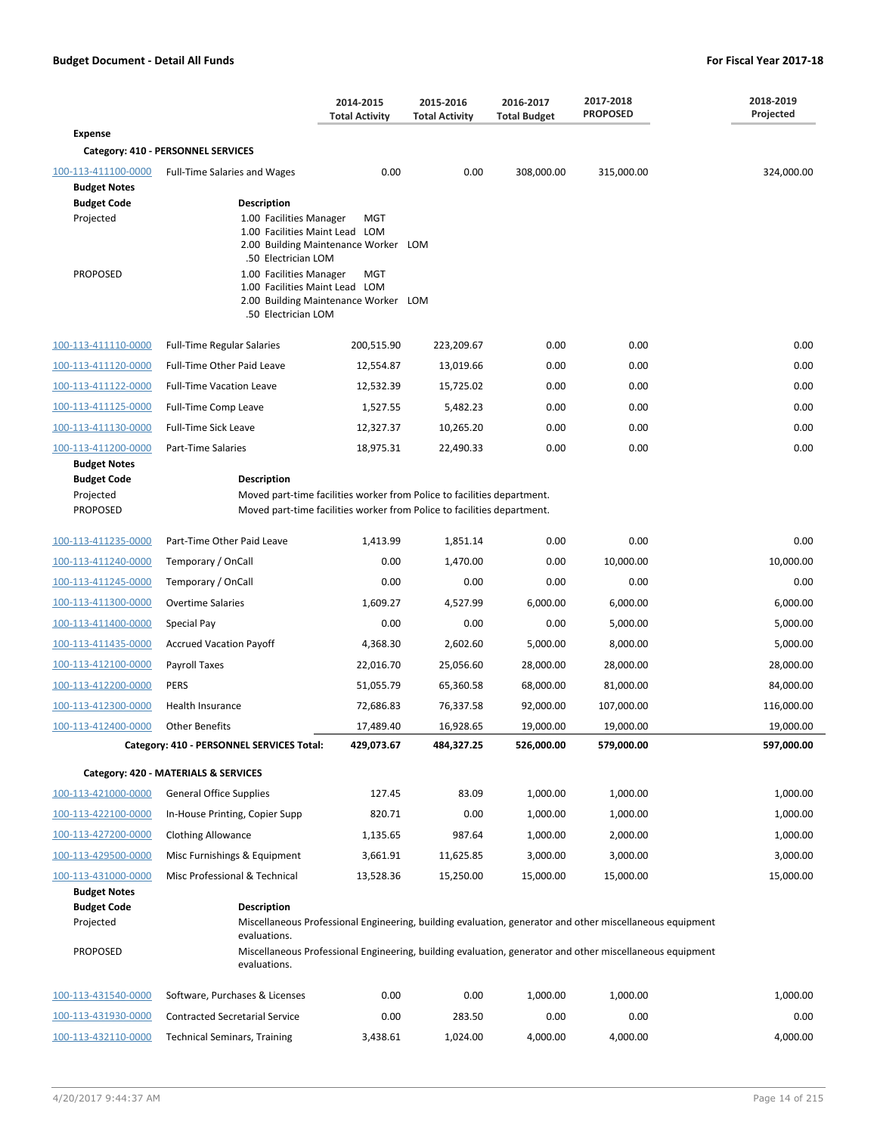|                                                                               |                                                                                                                                                                          | 2014-2015<br><b>Total Activity</b>                  | 2015-2016<br><b>Total Activity</b> | 2016-2017<br><b>Total Budget</b> | 2017-2018<br><b>PROPOSED</b>                                                                             | 2018-2019<br>Projected |  |  |
|-------------------------------------------------------------------------------|--------------------------------------------------------------------------------------------------------------------------------------------------------------------------|-----------------------------------------------------|------------------------------------|----------------------------------|----------------------------------------------------------------------------------------------------------|------------------------|--|--|
| <b>Expense</b>                                                                |                                                                                                                                                                          |                                                     |                                    |                                  |                                                                                                          |                        |  |  |
|                                                                               | Category: 410 - PERSONNEL SERVICES                                                                                                                                       |                                                     |                                    |                                  |                                                                                                          |                        |  |  |
| 100-113-411100-0000<br><b>Budget Notes</b><br><b>Budget Code</b><br>Projected | <b>Full-Time Salaries and Wages</b><br><b>Description</b><br>1.00 Facilities Manager<br>1.00 Facilities Maint Lead LOM<br>.50 Electrician LOM                            | 0.00<br>MGT<br>2.00 Building Maintenance Worker LOM | 0.00                               | 308,000.00                       | 315,000.00                                                                                               | 324,000.00             |  |  |
| <b>PROPOSED</b>                                                               | 1.00 Facilities Manager<br>1.00 Facilities Maint Lead LOM<br>.50 Electrician LOM                                                                                         | MGT<br>2.00 Building Maintenance Worker LOM         |                                    |                                  |                                                                                                          |                        |  |  |
| 100-113-411110-0000                                                           | <b>Full-Time Regular Salaries</b>                                                                                                                                        | 200,515.90                                          | 223,209.67                         | 0.00                             | 0.00                                                                                                     | 0.00                   |  |  |
| 100-113-411120-0000                                                           | <b>Full-Time Other Paid Leave</b>                                                                                                                                        | 12,554.87                                           | 13,019.66                          | 0.00                             | 0.00                                                                                                     | 0.00                   |  |  |
| 100-113-411122-0000                                                           | <b>Full-Time Vacation Leave</b>                                                                                                                                          | 12,532.39                                           | 15,725.02                          | 0.00                             | 0.00                                                                                                     | 0.00                   |  |  |
| 100-113-411125-0000                                                           | <b>Full-Time Comp Leave</b>                                                                                                                                              | 1,527.55                                            | 5,482.23                           | 0.00                             | 0.00                                                                                                     | 0.00                   |  |  |
| 100-113-411130-0000                                                           | <b>Full-Time Sick Leave</b>                                                                                                                                              | 12,327.37                                           | 10,265.20                          | 0.00                             | 0.00                                                                                                     | 0.00                   |  |  |
| 100-113-411200-0000                                                           | Part-Time Salaries                                                                                                                                                       | 18,975.31                                           | 22,490.33                          | 0.00                             | 0.00                                                                                                     | 0.00                   |  |  |
| <b>Budget Notes</b><br><b>Budget Code</b><br>Projected<br><b>PROPOSED</b>     | <b>Description</b><br>Moved part-time facilities worker from Police to facilities department.<br>Moved part-time facilities worker from Police to facilities department. |                                                     |                                    |                                  |                                                                                                          |                        |  |  |
| 100-113-411235-0000                                                           | Part-Time Other Paid Leave                                                                                                                                               | 1,413.99                                            | 1,851.14                           | 0.00                             | 0.00                                                                                                     | 0.00                   |  |  |
| 100-113-411240-0000                                                           | Temporary / OnCall                                                                                                                                                       | 0.00                                                | 1,470.00                           | 0.00                             | 10,000.00                                                                                                | 10,000.00              |  |  |
| 100-113-411245-0000                                                           | Temporary / OnCall                                                                                                                                                       | 0.00                                                | 0.00                               | 0.00                             | 0.00                                                                                                     | 0.00                   |  |  |
| 100-113-411300-0000                                                           | <b>Overtime Salaries</b>                                                                                                                                                 | 1,609.27                                            | 4,527.99                           | 6,000.00                         | 6,000.00                                                                                                 | 6,000.00               |  |  |
| 100-113-411400-0000                                                           | Special Pay                                                                                                                                                              | 0.00                                                | 0.00                               | 0.00                             | 5,000.00                                                                                                 | 5,000.00               |  |  |
| 100-113-411435-0000                                                           | <b>Accrued Vacation Payoff</b>                                                                                                                                           | 4,368.30                                            | 2,602.60                           | 5,000.00                         | 8,000.00                                                                                                 | 5,000.00               |  |  |
| 100-113-412100-0000                                                           | Payroll Taxes                                                                                                                                                            | 22,016.70                                           | 25,056.60                          | 28,000.00                        | 28,000.00                                                                                                | 28,000.00              |  |  |
| 100-113-412200-0000                                                           | <b>PERS</b>                                                                                                                                                              | 51,055.79                                           | 65,360.58                          | 68,000.00                        | 81,000.00                                                                                                | 84,000.00              |  |  |
| 100-113-412300-0000                                                           | Health Insurance                                                                                                                                                         | 72,686.83                                           | 76,337.58                          | 92,000.00                        | 107,000.00                                                                                               | 116,000.00             |  |  |
| 100-113-412400-0000                                                           | Other Benefits                                                                                                                                                           | 17,489.40                                           | 16,928.65                          | 19,000.00                        | 19,000.00                                                                                                | 19,000.00              |  |  |
|                                                                               | Category: 410 - PERSONNEL SERVICES Total:                                                                                                                                | 429,073.67                                          | 484,327.25                         | 526,000.00                       | 579,000.00                                                                                               | 597,000.00             |  |  |
|                                                                               | Category: 420 - MATERIALS & SERVICES                                                                                                                                     |                                                     |                                    |                                  |                                                                                                          |                        |  |  |
| 100-113-421000-0000                                                           | <b>General Office Supplies</b>                                                                                                                                           | 127.45                                              | 83.09                              | 1,000.00                         | 1,000.00                                                                                                 | 1,000.00               |  |  |
| 100-113-422100-0000                                                           | In-House Printing, Copier Supp                                                                                                                                           | 820.71                                              | 0.00                               | 1,000.00                         | 1,000.00                                                                                                 | 1,000.00               |  |  |
| 100-113-427200-0000                                                           | <b>Clothing Allowance</b>                                                                                                                                                | 1,135.65                                            | 987.64                             | 1,000.00                         | 2,000.00                                                                                                 | 1,000.00               |  |  |
| 100-113-429500-0000                                                           | Misc Furnishings & Equipment                                                                                                                                             | 3,661.91                                            | 11,625.85                          | 3,000.00                         | 3,000.00                                                                                                 | 3,000.00               |  |  |
| 100-113-431000-0000<br><b>Budget Notes</b>                                    | Misc Professional & Technical                                                                                                                                            | 13,528.36                                           | 15,250.00                          | 15,000.00                        | 15,000.00                                                                                                | 15,000.00              |  |  |
| <b>Budget Code</b><br>Projected                                               | <b>Description</b><br>evaluations.                                                                                                                                       |                                                     |                                    |                                  | Miscellaneous Professional Engineering, building evaluation, generator and other miscellaneous equipment |                        |  |  |
| <b>PROPOSED</b>                                                               | evaluations.                                                                                                                                                             |                                                     |                                    |                                  | Miscellaneous Professional Engineering, building evaluation, generator and other miscellaneous equipment |                        |  |  |
| 100-113-431540-0000                                                           | Software, Purchases & Licenses                                                                                                                                           | 0.00                                                | 0.00                               | 1,000.00                         | 1,000.00                                                                                                 | 1,000.00               |  |  |
| 100-113-431930-0000                                                           | <b>Contracted Secretarial Service</b>                                                                                                                                    | 0.00                                                | 283.50                             | 0.00                             | 0.00                                                                                                     | 0.00                   |  |  |
| 100-113-432110-0000                                                           | <b>Technical Seminars, Training</b>                                                                                                                                      | 3,438.61                                            | 1,024.00                           | 4,000.00                         | 4,000.00                                                                                                 | 4,000.00               |  |  |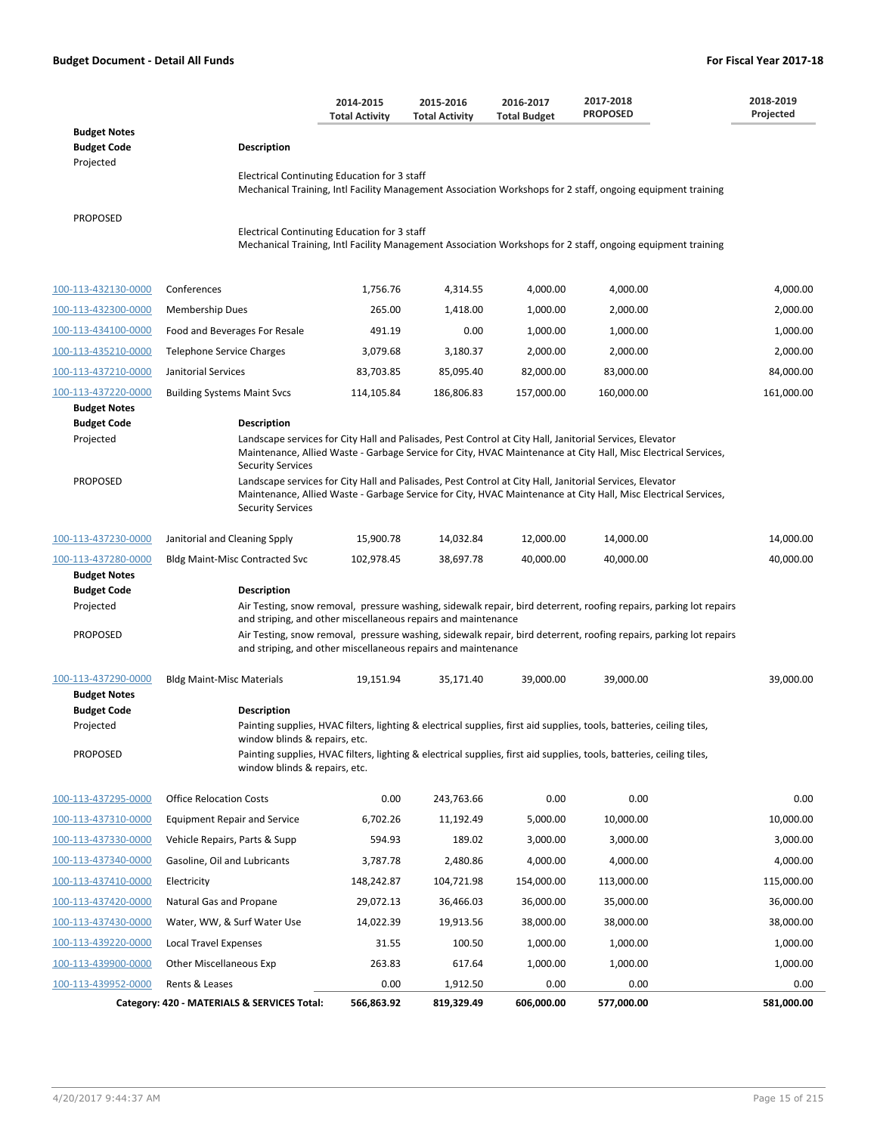|                                                                                                  |                                                                                                                                                                                                                                                                                                                                                                                                                                                                                                                                        | 2014-2015<br><b>Total Activity</b> | 2015-2016<br><b>Total Activity</b> | 2016-2017<br><b>Total Budget</b> | 2017-2018<br><b>PROPOSED</b>                                                                                                                                                                                                                          | 2018-2019<br>Projected |  |  |
|--------------------------------------------------------------------------------------------------|----------------------------------------------------------------------------------------------------------------------------------------------------------------------------------------------------------------------------------------------------------------------------------------------------------------------------------------------------------------------------------------------------------------------------------------------------------------------------------------------------------------------------------------|------------------------------------|------------------------------------|----------------------------------|-------------------------------------------------------------------------------------------------------------------------------------------------------------------------------------------------------------------------------------------------------|------------------------|--|--|
| <b>Budget Notes</b><br><b>Budget Code</b>                                                        | <b>Description</b>                                                                                                                                                                                                                                                                                                                                                                                                                                                                                                                     |                                    |                                    |                                  |                                                                                                                                                                                                                                                       |                        |  |  |
| Projected                                                                                        | Electrical Continuting Education for 3 staff                                                                                                                                                                                                                                                                                                                                                                                                                                                                                           |                                    |                                    |                                  | Mechanical Training, Intl Facility Management Association Workshops for 2 staff, ongoing equipment training                                                                                                                                           |                        |  |  |
| <b>PROPOSED</b>                                                                                  | Electrical Continuting Education for 3 staff                                                                                                                                                                                                                                                                                                                                                                                                                                                                                           |                                    |                                    |                                  | Mechanical Training, Intl Facility Management Association Workshops for 2 staff, ongoing equipment training                                                                                                                                           |                        |  |  |
| 100-113-432130-0000                                                                              | Conferences                                                                                                                                                                                                                                                                                                                                                                                                                                                                                                                            | 1,756.76                           | 4,314.55                           | 4,000.00                         | 4,000.00                                                                                                                                                                                                                                              | 4,000.00               |  |  |
| 100-113-432300-0000                                                                              | Membership Dues                                                                                                                                                                                                                                                                                                                                                                                                                                                                                                                        | 265.00                             | 1,418.00                           | 1,000.00                         | 2,000.00                                                                                                                                                                                                                                              | 2,000.00               |  |  |
| 100-113-434100-0000                                                                              | Food and Beverages For Resale                                                                                                                                                                                                                                                                                                                                                                                                                                                                                                          | 491.19                             | 0.00                               | 1,000.00                         | 1,000.00                                                                                                                                                                                                                                              | 1,000.00               |  |  |
| 100-113-435210-0000                                                                              | Telephone Service Charges                                                                                                                                                                                                                                                                                                                                                                                                                                                                                                              | 3,079.68                           | 3,180.37                           | 2,000.00                         | 2,000.00                                                                                                                                                                                                                                              | 2,000.00               |  |  |
| 100-113-437210-0000                                                                              | Janitorial Services                                                                                                                                                                                                                                                                                                                                                                                                                                                                                                                    | 83,703.85                          | 85,095.40                          | 82,000.00                        | 83,000.00                                                                                                                                                                                                                                             | 84,000.00              |  |  |
| 100-113-437220-0000                                                                              | <b>Building Systems Maint Svcs</b>                                                                                                                                                                                                                                                                                                                                                                                                                                                                                                     | 114,105.84                         | 186,806.83                         | 157,000.00                       | 160,000.00                                                                                                                                                                                                                                            | 161,000.00             |  |  |
| <b>Budget Notes</b><br><b>Budget Code</b><br>Projected<br><b>PROPOSED</b>                        | <b>Description</b><br>Landscape services for City Hall and Palisades, Pest Control at City Hall, Janitorial Services, Elevator<br>Maintenance, Allied Waste - Garbage Service for City, HVAC Maintenance at City Hall, Misc Electrical Services,<br><b>Security Services</b><br>Landscape services for City Hall and Palisades, Pest Control at City Hall, Janitorial Services, Elevator<br>Maintenance, Allied Waste - Garbage Service for City, HVAC Maintenance at City Hall, Misc Electrical Services,<br><b>Security Services</b> |                                    |                                    |                                  |                                                                                                                                                                                                                                                       |                        |  |  |
| 100-113-437230-0000                                                                              | Janitorial and Cleaning Spply                                                                                                                                                                                                                                                                                                                                                                                                                                                                                                          | 15,900.78                          | 14,032.84                          | 12,000.00                        | 14,000.00                                                                                                                                                                                                                                             | 14,000.00              |  |  |
| 100-113-437280-0000<br><b>Budget Notes</b><br><b>Budget Code</b><br>Projected<br><b>PROPOSED</b> | <b>Bldg Maint-Misc Contracted Svc</b><br><b>Description</b><br>and striping, and other miscellaneous repairs and maintenance<br>and striping, and other miscellaneous repairs and maintenance                                                                                                                                                                                                                                                                                                                                          | 102,978.45                         | 38,697.78                          | 40,000.00                        | 40,000.00<br>Air Testing, snow removal, pressure washing, sidewalk repair, bird deterrent, roofing repairs, parking lot repairs<br>Air Testing, snow removal, pressure washing, sidewalk repair, bird deterrent, roofing repairs, parking lot repairs | 40,000.00              |  |  |
| 100-113-437290-0000<br><b>Budget Notes</b><br><b>Budget Code</b><br>Projected                    | <b>Bldg Maint-Misc Materials</b><br><b>Description</b>                                                                                                                                                                                                                                                                                                                                                                                                                                                                                 | 19,151.94                          | 35,171.40                          | 39,000.00                        | 39,000.00<br>Painting supplies, HVAC filters, lighting & electrical supplies, first aid supplies, tools, batteries, ceiling tiles,                                                                                                                    | 39,000.00              |  |  |
| <b>PROPOSED</b>                                                                                  | window blinds & repairs, etc.<br>window blinds & repairs, etc.                                                                                                                                                                                                                                                                                                                                                                                                                                                                         |                                    |                                    |                                  | Painting supplies, HVAC filters, lighting & electrical supplies, first aid supplies, tools, batteries, ceiling tiles,                                                                                                                                 |                        |  |  |
| 100-113-437295-0000                                                                              | <b>Office Relocation Costs</b>                                                                                                                                                                                                                                                                                                                                                                                                                                                                                                         | 0.00                               | 243,763.66                         | 0.00                             | 0.00                                                                                                                                                                                                                                                  | 0.00                   |  |  |
| 100-113-437310-0000                                                                              | <b>Equipment Repair and Service</b>                                                                                                                                                                                                                                                                                                                                                                                                                                                                                                    | 6,702.26                           | 11,192.49                          | 5,000.00                         | 10,000.00                                                                                                                                                                                                                                             | 10,000.00              |  |  |
| 100-113-437330-0000                                                                              | Vehicle Repairs, Parts & Supp                                                                                                                                                                                                                                                                                                                                                                                                                                                                                                          | 594.93                             | 189.02                             | 3,000.00                         | 3,000.00                                                                                                                                                                                                                                              | 3,000.00               |  |  |
| 100-113-437340-0000                                                                              | Gasoline, Oil and Lubricants                                                                                                                                                                                                                                                                                                                                                                                                                                                                                                           | 3,787.78                           | 2,480.86                           | 4,000.00                         | 4,000.00                                                                                                                                                                                                                                              | 4,000.00               |  |  |
| 100-113-437410-0000                                                                              | Electricity                                                                                                                                                                                                                                                                                                                                                                                                                                                                                                                            | 148,242.87                         | 104,721.98                         | 154,000.00                       | 113,000.00                                                                                                                                                                                                                                            | 115,000.00             |  |  |
| 100-113-437420-0000                                                                              | Natural Gas and Propane                                                                                                                                                                                                                                                                                                                                                                                                                                                                                                                | 29,072.13                          | 36,466.03                          | 36,000.00                        | 35,000.00                                                                                                                                                                                                                                             | 36,000.00              |  |  |
| 100-113-437430-0000                                                                              | Water, WW, & Surf Water Use                                                                                                                                                                                                                                                                                                                                                                                                                                                                                                            | 14,022.39                          | 19,913.56                          | 38,000.00                        | 38,000.00                                                                                                                                                                                                                                             | 38,000.00              |  |  |
| 100-113-439220-0000                                                                              | <b>Local Travel Expenses</b>                                                                                                                                                                                                                                                                                                                                                                                                                                                                                                           | 31.55                              | 100.50                             | 1,000.00                         | 1,000.00                                                                                                                                                                                                                                              | 1,000.00               |  |  |
| 100-113-439900-0000                                                                              | Other Miscellaneous Exp                                                                                                                                                                                                                                                                                                                                                                                                                                                                                                                | 263.83                             | 617.64                             | 1,000.00                         | 1,000.00                                                                                                                                                                                                                                              | 1,000.00               |  |  |
| 100-113-439952-0000                                                                              | Rents & Leases                                                                                                                                                                                                                                                                                                                                                                                                                                                                                                                         | 0.00                               | 1,912.50                           | 0.00                             | 0.00                                                                                                                                                                                                                                                  | 0.00                   |  |  |
|                                                                                                  | Category: 420 - MATERIALS & SERVICES Total:                                                                                                                                                                                                                                                                                                                                                                                                                                                                                            | 566,863.92                         | 819,329.49                         | 606,000.00                       | 577,000.00                                                                                                                                                                                                                                            | 581,000.00             |  |  |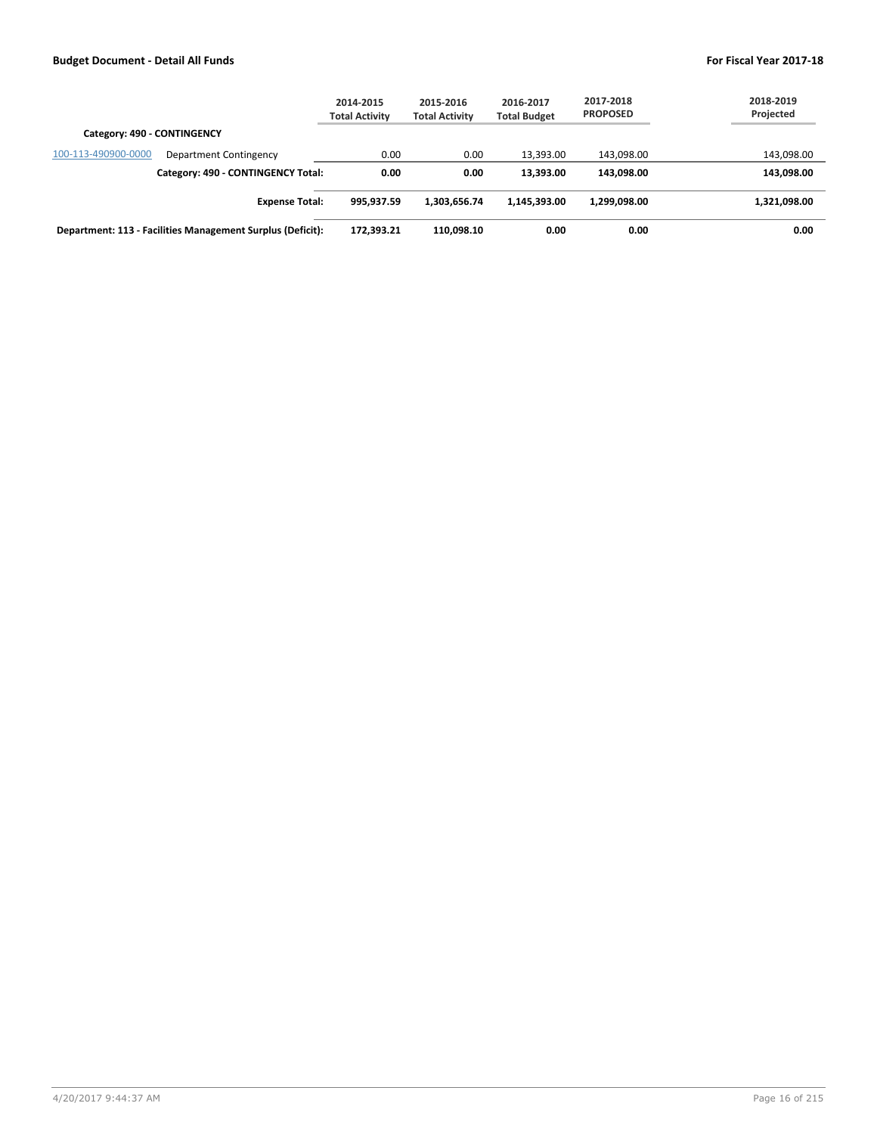|                                                            | 2014-2015<br><b>Total Activity</b> | 2015-2016<br><b>Total Activity</b> | 2016-2017<br><b>Total Budget</b> | 2017-2018<br><b>PROPOSED</b> | 2018-2019<br>Projected |
|------------------------------------------------------------|------------------------------------|------------------------------------|----------------------------------|------------------------------|------------------------|
| Category: 490 - CONTINGENCY                                |                                    |                                    |                                  |                              |                        |
| 100-113-490900-0000<br>Department Contingency              | 0.00                               | 0.00                               | 13,393.00                        | 143.098.00                   | 143,098.00             |
| Category: 490 - CONTINGENCY Total:                         | 0.00                               | 0.00                               | 13,393,00                        | 143.098.00                   | 143,098.00             |
| <b>Expense Total:</b>                                      | 995.937.59                         | 1,303,656.74                       | 1.145.393.00                     | 1.299.098.00                 | 1,321,098.00           |
| Department: 113 - Facilities Management Surplus (Deficit): | 172,393.21                         | 110.098.10                         | 0.00                             | 0.00                         | 0.00                   |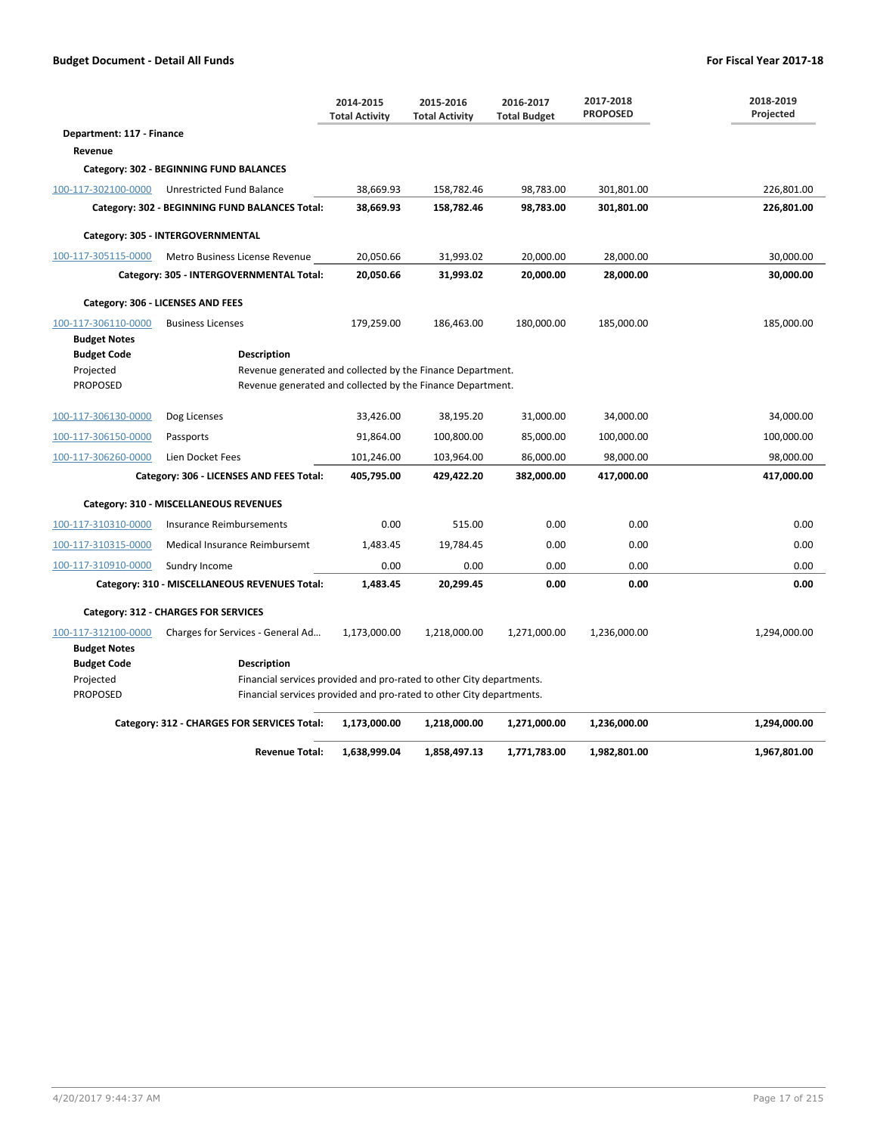|                                            |                                                                                                                          | 2014-2015<br><b>Total Activity</b> | 2015-2016<br><b>Total Activity</b> | 2016-2017<br><b>Total Budget</b> | 2017-2018<br><b>PROPOSED</b> | 2018-2019<br>Projected |  |  |  |
|--------------------------------------------|--------------------------------------------------------------------------------------------------------------------------|------------------------------------|------------------------------------|----------------------------------|------------------------------|------------------------|--|--|--|
| Department: 117 - Finance                  |                                                                                                                          |                                    |                                    |                                  |                              |                        |  |  |  |
| Revenue                                    |                                                                                                                          |                                    |                                    |                                  |                              |                        |  |  |  |
|                                            | Category: 302 - BEGINNING FUND BALANCES                                                                                  |                                    |                                    |                                  |                              |                        |  |  |  |
| 100-117-302100-0000                        | Unrestricted Fund Balance                                                                                                | 38,669.93                          | 158,782.46                         | 98,783.00                        | 301,801.00                   | 226,801.00             |  |  |  |
|                                            | Category: 302 - BEGINNING FUND BALANCES Total:                                                                           | 38,669.93                          | 158,782.46                         | 98,783.00                        | 301,801.00                   | 226,801.00             |  |  |  |
|                                            | Category: 305 - INTERGOVERNMENTAL                                                                                        |                                    |                                    |                                  |                              |                        |  |  |  |
| 100-117-305115-0000                        | Metro Business License Revenue                                                                                           | 20,050.66                          | 31,993.02                          | 20,000.00                        | 28,000.00                    | 30,000.00              |  |  |  |
|                                            | Category: 305 - INTERGOVERNMENTAL Total:                                                                                 | 20,050.66                          | 31,993.02                          | 20,000.00                        | 28,000.00                    | 30,000.00              |  |  |  |
|                                            | Category: 306 - LICENSES AND FEES                                                                                        |                                    |                                    |                                  |                              |                        |  |  |  |
| 100-117-306110-0000                        | <b>Business Licenses</b>                                                                                                 | 179,259.00                         | 186,463.00                         | 180,000.00                       | 185,000.00                   | 185,000.00             |  |  |  |
| <b>Budget Notes</b>                        |                                                                                                                          |                                    |                                    |                                  |                              |                        |  |  |  |
| <b>Budget Code</b>                         | <b>Description</b>                                                                                                       |                                    |                                    |                                  |                              |                        |  |  |  |
| Projected<br><b>PROPOSED</b>               | Revenue generated and collected by the Finance Department.<br>Revenue generated and collected by the Finance Department. |                                    |                                    |                                  |                              |                        |  |  |  |
|                                            |                                                                                                                          |                                    |                                    |                                  |                              |                        |  |  |  |
| 100-117-306130-0000                        | Dog Licenses                                                                                                             | 33,426.00                          | 38,195.20                          | 31,000.00                        | 34,000.00                    | 34,000.00              |  |  |  |
| 100-117-306150-0000                        | Passports                                                                                                                | 91,864.00                          | 100,800.00                         | 85,000.00                        | 100,000.00                   | 100,000.00             |  |  |  |
| 100-117-306260-0000                        | Lien Docket Fees                                                                                                         | 101,246.00                         | 103,964.00                         | 86,000.00                        | 98,000.00                    | 98,000.00              |  |  |  |
|                                            | Category: 306 - LICENSES AND FEES Total:                                                                                 | 405,795.00                         | 429,422.20                         | 382,000.00                       | 417,000.00                   | 417,000.00             |  |  |  |
|                                            | Category: 310 - MISCELLANEOUS REVENUES                                                                                   |                                    |                                    |                                  |                              |                        |  |  |  |
| 100-117-310310-0000                        | <b>Insurance Reimbursements</b>                                                                                          | 0.00                               | 515.00                             | 0.00                             | 0.00                         | 0.00                   |  |  |  |
| 100-117-310315-0000                        | Medical Insurance Reimbursemt                                                                                            | 1,483.45                           | 19,784.45                          | 0.00                             | 0.00                         | 0.00                   |  |  |  |
| 100-117-310910-0000                        | Sundry Income                                                                                                            | 0.00                               | 0.00                               | 0.00                             | 0.00                         | 0.00                   |  |  |  |
|                                            | Category: 310 - MISCELLANEOUS REVENUES Total:                                                                            | 1,483.45                           | 20,299.45                          | 0.00                             | 0.00                         | 0.00                   |  |  |  |
|                                            | Category: 312 - CHARGES FOR SERVICES                                                                                     |                                    |                                    |                                  |                              |                        |  |  |  |
| 100-117-312100-0000<br><b>Budget Notes</b> | Charges for Services - General Ad                                                                                        | 1,173,000.00                       | 1,218,000.00                       | 1,271,000.00                     | 1,236,000.00                 | 1,294,000.00           |  |  |  |
| <b>Budget Code</b>                         | <b>Description</b>                                                                                                       |                                    |                                    |                                  |                              |                        |  |  |  |
| Projected                                  | Financial services provided and pro-rated to other City departments.                                                     |                                    |                                    |                                  |                              |                        |  |  |  |
| <b>PROPOSED</b>                            | Financial services provided and pro-rated to other City departments.                                                     |                                    |                                    |                                  |                              |                        |  |  |  |
|                                            | Category: 312 - CHARGES FOR SERVICES Total:                                                                              | 1,173,000.00                       | 1,218,000.00                       | 1,271,000.00                     | 1,236,000.00                 | 1,294,000.00           |  |  |  |

**Revenue Total: 1,638,999.04 1,858,497.13 1,771,783.00 1,982,801.00 1,967,801.00**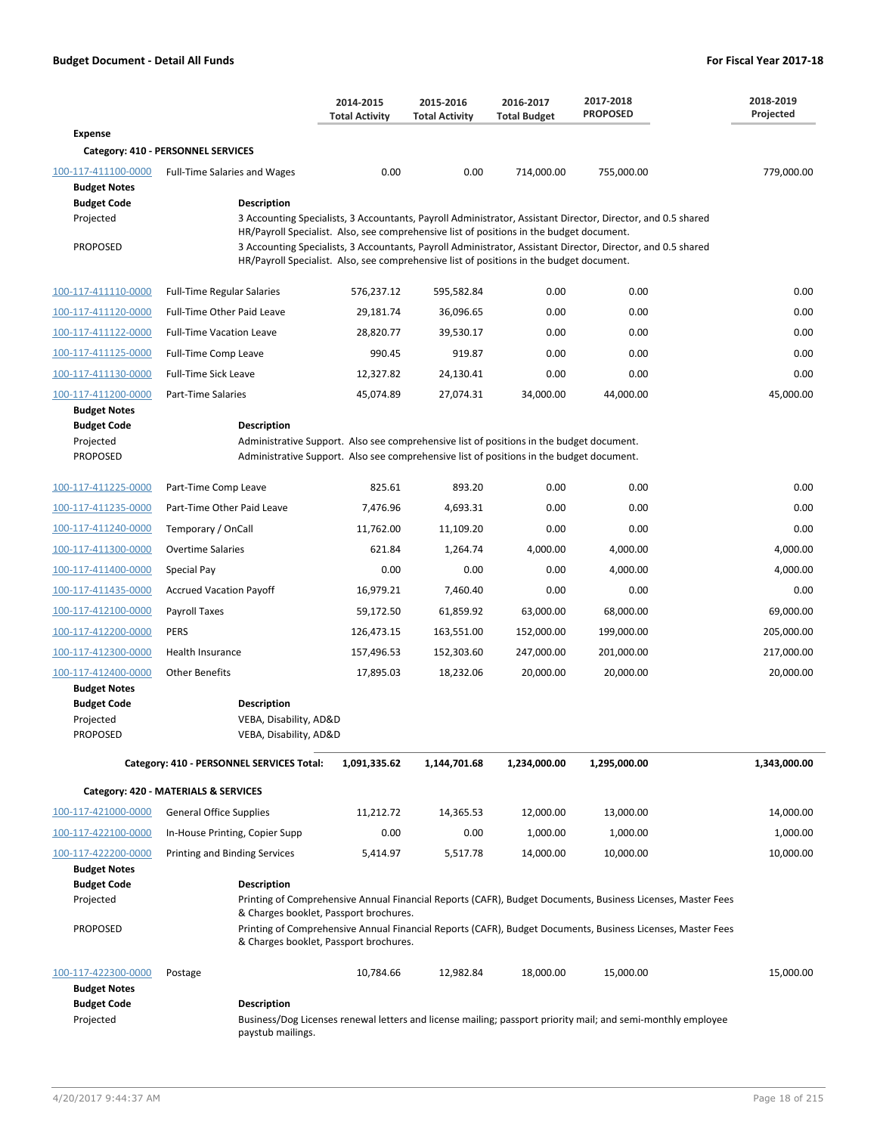|                                                                                                  |                                                                                                                                                                                                            | 2014-2015<br><b>Total Activity</b>                                                                                                                                                                                                                                                                             | 2015-2016<br><b>Total Activity</b> | 2016-2017<br><b>Total Budget</b> | 2017-2018<br><b>PROPOSED</b>                                                                                                                                                                                                               | 2018-2019<br>Projected |  |  |
|--------------------------------------------------------------------------------------------------|------------------------------------------------------------------------------------------------------------------------------------------------------------------------------------------------------------|----------------------------------------------------------------------------------------------------------------------------------------------------------------------------------------------------------------------------------------------------------------------------------------------------------------|------------------------------------|----------------------------------|--------------------------------------------------------------------------------------------------------------------------------------------------------------------------------------------------------------------------------------------|------------------------|--|--|
| <b>Expense</b>                                                                                   |                                                                                                                                                                                                            |                                                                                                                                                                                                                                                                                                                |                                    |                                  |                                                                                                                                                                                                                                            |                        |  |  |
|                                                                                                  | Category: 410 - PERSONNEL SERVICES                                                                                                                                                                         |                                                                                                                                                                                                                                                                                                                |                                    |                                  |                                                                                                                                                                                                                                            |                        |  |  |
| 100-117-411100-0000<br><b>Budget Notes</b><br><b>Budget Code</b><br>Projected<br><b>PROPOSED</b> | <b>Full-Time Salaries and Wages</b><br><b>Description</b>                                                                                                                                                  | 0.00<br>HR/Payroll Specialist. Also, see comprehensive list of positions in the budget document.<br>HR/Payroll Specialist. Also, see comprehensive list of positions in the budget document.                                                                                                                   | 0.00                               | 714,000.00                       | 755,000.00<br>3 Accounting Specialists, 3 Accountants, Payroll Administrator, Assistant Director, Director, and 0.5 shared<br>3 Accounting Specialists, 3 Accountants, Payroll Administrator, Assistant Director, Director, and 0.5 shared | 779,000.00             |  |  |
| 100-117-411110-0000                                                                              | <b>Full-Time Regular Salaries</b>                                                                                                                                                                          | 576,237.12                                                                                                                                                                                                                                                                                                     | 595,582.84                         | 0.00                             | 0.00                                                                                                                                                                                                                                       | 0.00                   |  |  |
| 100-117-411120-0000                                                                              | Full-Time Other Paid Leave                                                                                                                                                                                 | 29,181.74                                                                                                                                                                                                                                                                                                      | 36,096.65                          | 0.00                             | 0.00                                                                                                                                                                                                                                       | 0.00                   |  |  |
| 100-117-411122-0000                                                                              | <b>Full-Time Vacation Leave</b>                                                                                                                                                                            | 28,820.77                                                                                                                                                                                                                                                                                                      | 39,530.17                          | 0.00                             | 0.00                                                                                                                                                                                                                                       | 0.00                   |  |  |
| 100-117-411125-0000                                                                              | Full-Time Comp Leave                                                                                                                                                                                       | 990.45                                                                                                                                                                                                                                                                                                         | 919.87                             | 0.00                             | 0.00                                                                                                                                                                                                                                       | 0.00                   |  |  |
| 100-117-411130-0000                                                                              | <b>Full-Time Sick Leave</b>                                                                                                                                                                                | 12,327.82                                                                                                                                                                                                                                                                                                      | 24,130.41                          | 0.00                             | 0.00                                                                                                                                                                                                                                       | 0.00                   |  |  |
| 100-117-411200-0000                                                                              | Part-Time Salaries                                                                                                                                                                                         | 45,074.89                                                                                                                                                                                                                                                                                                      | 27,074.31                          | 34,000.00                        | 44,000.00                                                                                                                                                                                                                                  | 45.000.00              |  |  |
| <b>Budget Notes</b>                                                                              |                                                                                                                                                                                                            |                                                                                                                                                                                                                                                                                                                |                                    |                                  |                                                                                                                                                                                                                                            |                        |  |  |
| <b>Budget Code</b><br>Projected<br><b>PROPOSED</b>                                               | <b>Description</b><br>Administrative Support. Also see comprehensive list of positions in the budget document.<br>Administrative Support. Also see comprehensive list of positions in the budget document. |                                                                                                                                                                                                                                                                                                                |                                    |                                  |                                                                                                                                                                                                                                            |                        |  |  |
| 100-117-411225-0000                                                                              | Part-Time Comp Leave                                                                                                                                                                                       | 825.61                                                                                                                                                                                                                                                                                                         | 893.20                             | 0.00                             | 0.00                                                                                                                                                                                                                                       | 0.00                   |  |  |
| 100-117-411235-0000                                                                              | Part-Time Other Paid Leave                                                                                                                                                                                 | 7,476.96                                                                                                                                                                                                                                                                                                       | 4,693.31                           | 0.00                             | 0.00                                                                                                                                                                                                                                       | 0.00                   |  |  |
| 100-117-411240-0000                                                                              | Temporary / OnCall                                                                                                                                                                                         | 11,762.00                                                                                                                                                                                                                                                                                                      | 11,109.20                          | 0.00                             | 0.00                                                                                                                                                                                                                                       | 0.00                   |  |  |
| 100-117-411300-0000                                                                              | <b>Overtime Salaries</b>                                                                                                                                                                                   | 621.84                                                                                                                                                                                                                                                                                                         | 1,264.74                           | 4,000.00                         | 4,000.00                                                                                                                                                                                                                                   | 4,000.00               |  |  |
| 100-117-411400-0000                                                                              | Special Pay                                                                                                                                                                                                | 0.00                                                                                                                                                                                                                                                                                                           | 0.00                               | 0.00                             | 4,000.00                                                                                                                                                                                                                                   | 4,000.00               |  |  |
| 100-117-411435-0000                                                                              | <b>Accrued Vacation Payoff</b>                                                                                                                                                                             | 16,979.21                                                                                                                                                                                                                                                                                                      | 7,460.40                           | 0.00                             | 0.00                                                                                                                                                                                                                                       | 0.00                   |  |  |
| 100-117-412100-0000                                                                              | Payroll Taxes                                                                                                                                                                                              | 59,172.50                                                                                                                                                                                                                                                                                                      | 61,859.92                          | 63,000.00                        | 68,000.00                                                                                                                                                                                                                                  | 69,000.00              |  |  |
| 100-117-412200-0000                                                                              | <b>PERS</b>                                                                                                                                                                                                | 126,473.15                                                                                                                                                                                                                                                                                                     | 163,551.00                         | 152,000.00                       | 199,000.00                                                                                                                                                                                                                                 | 205,000.00             |  |  |
| 100-117-412300-0000                                                                              | Health Insurance                                                                                                                                                                                           | 157,496.53                                                                                                                                                                                                                                                                                                     | 152,303.60                         | 247,000.00                       | 201,000.00                                                                                                                                                                                                                                 | 217,000.00             |  |  |
| 100-117-412400-0000                                                                              | <b>Other Benefits</b>                                                                                                                                                                                      | 17,895.03                                                                                                                                                                                                                                                                                                      | 18,232.06                          | 20,000.00                        | 20,000.00                                                                                                                                                                                                                                  | 20,000.00              |  |  |
| <b>Budget Notes</b><br><b>Budget Code</b><br>Projected<br><b>PROPOSED</b>                        | <b>Description</b><br>VEBA, Disability, AD&D<br>VEBA, Disability, AD&D                                                                                                                                     |                                                                                                                                                                                                                                                                                                                |                                    |                                  |                                                                                                                                                                                                                                            |                        |  |  |
|                                                                                                  | Category: 410 - PERSONNEL SERVICES Total:                                                                                                                                                                  | 1,091,335.62                                                                                                                                                                                                                                                                                                   | 1,144,701.68                       | 1,234,000.00                     | 1,295,000.00                                                                                                                                                                                                                               | 1,343,000.00           |  |  |
|                                                                                                  | Category: 420 - MATERIALS & SERVICES                                                                                                                                                                       |                                                                                                                                                                                                                                                                                                                |                                    |                                  |                                                                                                                                                                                                                                            |                        |  |  |
| 100-117-421000-0000                                                                              | <b>General Office Supplies</b>                                                                                                                                                                             | 11,212.72                                                                                                                                                                                                                                                                                                      | 14,365.53                          | 12,000.00                        | 13,000.00                                                                                                                                                                                                                                  | 14,000.00              |  |  |
| 100-117-422100-0000                                                                              | In-House Printing, Copier Supp                                                                                                                                                                             | 0.00                                                                                                                                                                                                                                                                                                           | 0.00                               | 1,000.00                         | 1,000.00                                                                                                                                                                                                                                   | 1,000.00               |  |  |
| 100-117-422200-0000<br><b>Budget Notes</b>                                                       | Printing and Binding Services                                                                                                                                                                              | 5,414.97                                                                                                                                                                                                                                                                                                       | 5,517.78                           | 14,000.00                        | 10,000.00                                                                                                                                                                                                                                  | 10,000.00              |  |  |
| <b>Budget Code</b><br>Projected<br><b>PROPOSED</b>                                               | <b>Description</b>                                                                                                                                                                                         | Printing of Comprehensive Annual Financial Reports (CAFR), Budget Documents, Business Licenses, Master Fees<br>& Charges booklet, Passport brochures.<br>Printing of Comprehensive Annual Financial Reports (CAFR), Budget Documents, Business Licenses, Master Fees<br>& Charges booklet, Passport brochures. |                                    |                                  |                                                                                                                                                                                                                                            |                        |  |  |
| 100-117-422300-0000<br><b>Budget Notes</b><br><b>Budget Code</b><br>Projected                    | Postage<br><b>Description</b><br>paystub mailings.                                                                                                                                                         | 10,784.66                                                                                                                                                                                                                                                                                                      | 12,982.84                          | 18,000.00                        | 15,000.00<br>Business/Dog Licenses renewal letters and license mailing; passport priority mail; and semi-monthly employee                                                                                                                  | 15,000.00              |  |  |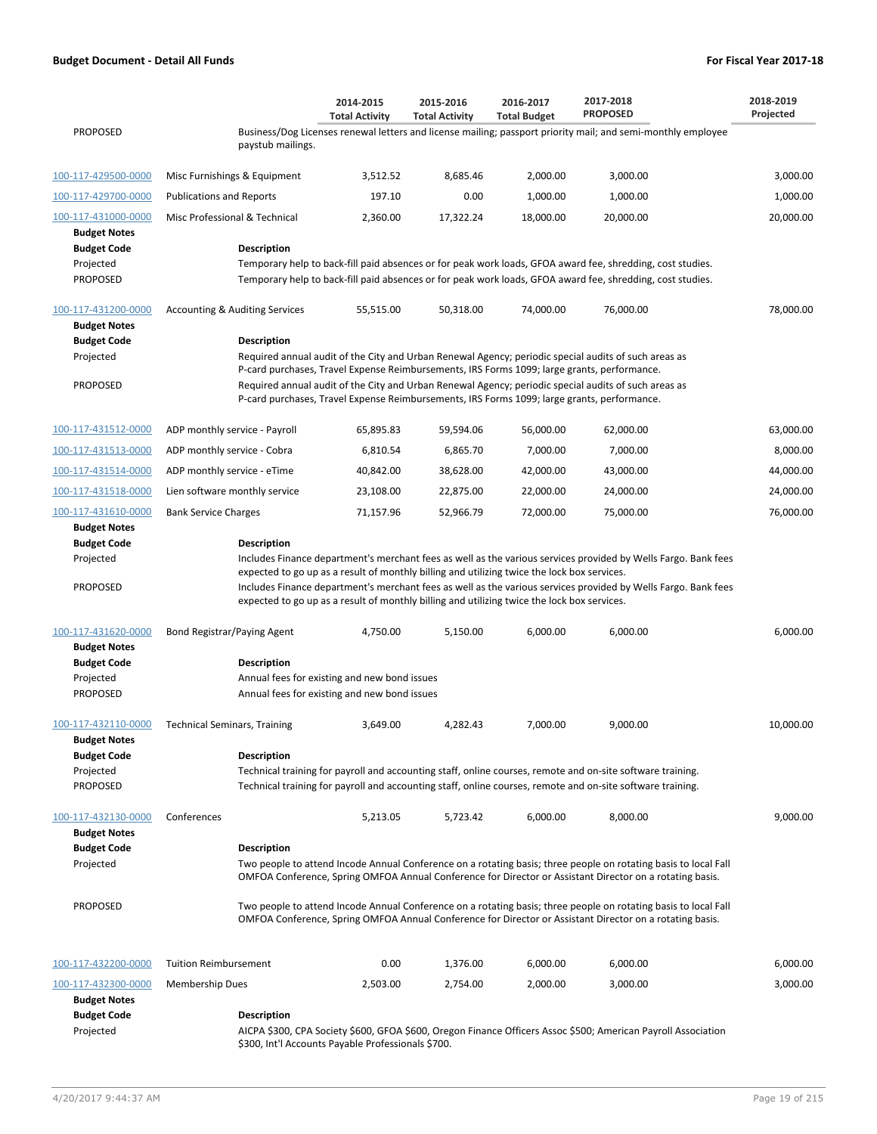|                                            |                                                                                                                                                                                                               | 2014-2015<br><b>Total Activity</b>                                                                                                                                                                  | 2015-2016<br><b>Total Activity</b> | 2016-2017<br><b>Total Budget</b> | 2017-2018<br><b>PROPOSED</b>                                                                                                                                                                                                | 2018-2019<br>Projected |  |  |  |
|--------------------------------------------|---------------------------------------------------------------------------------------------------------------------------------------------------------------------------------------------------------------|-----------------------------------------------------------------------------------------------------------------------------------------------------------------------------------------------------|------------------------------------|----------------------------------|-----------------------------------------------------------------------------------------------------------------------------------------------------------------------------------------------------------------------------|------------------------|--|--|--|
| <b>PROPOSED</b>                            | paystub mailings.                                                                                                                                                                                             |                                                                                                                                                                                                     |                                    |                                  | Business/Dog Licenses renewal letters and license mailing; passport priority mail; and semi-monthly employee                                                                                                                |                        |  |  |  |
| 100-117-429500-0000                        | Misc Furnishings & Equipment                                                                                                                                                                                  | 3,512.52                                                                                                                                                                                            | 8,685.46                           | 2,000.00                         | 3,000.00                                                                                                                                                                                                                    | 3,000.00               |  |  |  |
| 100-117-429700-0000                        | <b>Publications and Reports</b>                                                                                                                                                                               | 197.10                                                                                                                                                                                              | 0.00                               | 1,000.00                         | 1,000.00                                                                                                                                                                                                                    | 1,000.00               |  |  |  |
| 100-117-431000-0000<br><b>Budget Notes</b> | Misc Professional & Technical                                                                                                                                                                                 | 2,360.00                                                                                                                                                                                            | 17,322.24                          | 18,000.00                        | 20,000.00                                                                                                                                                                                                                   | 20,000.00              |  |  |  |
| <b>Budget Code</b>                         | <b>Description</b>                                                                                                                                                                                            |                                                                                                                                                                                                     |                                    |                                  |                                                                                                                                                                                                                             |                        |  |  |  |
| Projected                                  |                                                                                                                                                                                                               |                                                                                                                                                                                                     |                                    |                                  | Temporary help to back-fill paid absences or for peak work loads, GFOA award fee, shredding, cost studies.                                                                                                                  |                        |  |  |  |
| <b>PROPOSED</b>                            |                                                                                                                                                                                                               |                                                                                                                                                                                                     |                                    |                                  | Temporary help to back-fill paid absences or for peak work loads, GFOA award fee, shredding, cost studies.                                                                                                                  |                        |  |  |  |
| 100-117-431200-0000<br><b>Budget Notes</b> | <b>Accounting &amp; Auditing Services</b>                                                                                                                                                                     | 55,515.00                                                                                                                                                                                           | 50,318.00                          | 74,000.00                        | 76,000.00                                                                                                                                                                                                                   | 78,000.00              |  |  |  |
| <b>Budget Code</b>                         | <b>Description</b>                                                                                                                                                                                            |                                                                                                                                                                                                     |                                    |                                  |                                                                                                                                                                                                                             |                        |  |  |  |
| Projected                                  |                                                                                                                                                                                                               | Required annual audit of the City and Urban Renewal Agency; periodic special audits of such areas as<br>P-card purchases, Travel Expense Reimbursements, IRS Forms 1099; large grants, performance. |                                    |                                  |                                                                                                                                                                                                                             |                        |  |  |  |
| <b>PROPOSED</b>                            |                                                                                                                                                                                                               |                                                                                                                                                                                                     |                                    |                                  | Required annual audit of the City and Urban Renewal Agency; periodic special audits of such areas as<br>P-card purchases, Travel Expense Reimbursements, IRS Forms 1099; large grants, performance.                         |                        |  |  |  |
| 100-117-431512-0000                        | ADP monthly service - Payroll                                                                                                                                                                                 | 65,895.83                                                                                                                                                                                           | 59,594.06                          | 56,000.00                        | 62,000.00                                                                                                                                                                                                                   | 63,000.00              |  |  |  |
| 100-117-431513-0000                        | ADP monthly service - Cobra                                                                                                                                                                                   | 6,810.54                                                                                                                                                                                            | 6,865.70                           | 7,000.00                         | 7,000.00                                                                                                                                                                                                                    | 8,000.00               |  |  |  |
| 100-117-431514-0000                        | ADP monthly service - eTime                                                                                                                                                                                   | 40,842.00                                                                                                                                                                                           | 38,628.00                          | 42,000.00                        | 43,000.00                                                                                                                                                                                                                   | 44,000.00              |  |  |  |
| 100-117-431518-0000                        | Lien software monthly service                                                                                                                                                                                 | 23,108.00                                                                                                                                                                                           | 22,875.00                          | 22,000.00                        | 24,000.00                                                                                                                                                                                                                   | 24,000.00              |  |  |  |
| 100-117-431610-0000                        | <b>Bank Service Charges</b>                                                                                                                                                                                   | 71,157.96                                                                                                                                                                                           | 52,966.79                          | 72,000.00                        | 75,000.00                                                                                                                                                                                                                   | 76,000.00              |  |  |  |
| <b>Budget Notes</b><br><b>Budget Code</b>  | <b>Description</b>                                                                                                                                                                                            |                                                                                                                                                                                                     |                                    |                                  |                                                                                                                                                                                                                             |                        |  |  |  |
| Projected                                  |                                                                                                                                                                                                               |                                                                                                                                                                                                     |                                    |                                  | Includes Finance department's merchant fees as well as the various services provided by Wells Fargo. Bank fees                                                                                                              |                        |  |  |  |
|                                            | expected to go up as a result of monthly billing and utilizing twice the lock box services.<br>Includes Finance department's merchant fees as well as the various services provided by Wells Fargo. Bank fees |                                                                                                                                                                                                     |                                    |                                  |                                                                                                                                                                                                                             |                        |  |  |  |
| <b>PROPOSED</b>                            |                                                                                                                                                                                                               | expected to go up as a result of monthly billing and utilizing twice the lock box services.                                                                                                         |                                    |                                  |                                                                                                                                                                                                                             |                        |  |  |  |
| 100-117-431620-0000                        | Bond Registrar/Paying Agent                                                                                                                                                                                   | 4,750.00                                                                                                                                                                                            | 5,150.00                           | 6,000.00                         | 6,000.00                                                                                                                                                                                                                    | 6,000.00               |  |  |  |
| <b>Budget Notes</b><br><b>Budget Code</b>  | <b>Description</b>                                                                                                                                                                                            |                                                                                                                                                                                                     |                                    |                                  |                                                                                                                                                                                                                             |                        |  |  |  |
| Projected                                  |                                                                                                                                                                                                               | Annual fees for existing and new bond issues                                                                                                                                                        |                                    |                                  |                                                                                                                                                                                                                             |                        |  |  |  |
| <b>PROPOSED</b>                            |                                                                                                                                                                                                               | Annual fees for existing and new bond issues                                                                                                                                                        |                                    |                                  |                                                                                                                                                                                                                             |                        |  |  |  |
| 100-117-432110-0000<br><b>Budget Notes</b> | <b>Technical Seminars, Training</b>                                                                                                                                                                           | 3.649.00                                                                                                                                                                                            | 4,282.43                           | 7,000.00                         | 9,000.00                                                                                                                                                                                                                    | 10,000.00              |  |  |  |
| <b>Budget Code</b>                         | <b>Description</b>                                                                                                                                                                                            |                                                                                                                                                                                                     |                                    |                                  |                                                                                                                                                                                                                             |                        |  |  |  |
| Projected                                  |                                                                                                                                                                                                               |                                                                                                                                                                                                     |                                    |                                  | Technical training for payroll and accounting staff, online courses, remote and on-site software training.                                                                                                                  |                        |  |  |  |
| <b>PROPOSED</b>                            |                                                                                                                                                                                                               |                                                                                                                                                                                                     |                                    |                                  | Technical training for payroll and accounting staff, online courses, remote and on-site software training.                                                                                                                  |                        |  |  |  |
| 100-117-432130-0000<br><b>Budget Notes</b> | Conferences                                                                                                                                                                                                   | 5,213.05                                                                                                                                                                                            | 5,723.42                           | 6,000.00                         | 8,000.00                                                                                                                                                                                                                    | 9.000.00               |  |  |  |
| <b>Budget Code</b>                         | <b>Description</b>                                                                                                                                                                                            |                                                                                                                                                                                                     |                                    |                                  |                                                                                                                                                                                                                             |                        |  |  |  |
| Projected                                  |                                                                                                                                                                                                               |                                                                                                                                                                                                     |                                    |                                  | Two people to attend Incode Annual Conference on a rotating basis; three people on rotating basis to local Fall<br>OMFOA Conference, Spring OMFOA Annual Conference for Director or Assistant Director on a rotating basis. |                        |  |  |  |
| <b>PROPOSED</b>                            |                                                                                                                                                                                                               |                                                                                                                                                                                                     |                                    |                                  | Two people to attend Incode Annual Conference on a rotating basis; three people on rotating basis to local Fall<br>OMFOA Conference, Spring OMFOA Annual Conference for Director or Assistant Director on a rotating basis. |                        |  |  |  |
| 100-117-432200-0000                        | <b>Tuition Reimbursement</b>                                                                                                                                                                                  | 0.00                                                                                                                                                                                                | 1,376.00                           | 6,000.00                         | 6,000.00                                                                                                                                                                                                                    | 6,000.00               |  |  |  |
| 100-117-432300-0000<br><b>Budget Notes</b> | Membership Dues                                                                                                                                                                                               | 2,503.00                                                                                                                                                                                            | 2,754.00                           | 2,000.00                         | 3,000.00                                                                                                                                                                                                                    | 3,000.00               |  |  |  |
| <b>Budget Code</b>                         | <b>Description</b>                                                                                                                                                                                            |                                                                                                                                                                                                     |                                    |                                  |                                                                                                                                                                                                                             |                        |  |  |  |
| Projected                                  |                                                                                                                                                                                                               |                                                                                                                                                                                                     |                                    |                                  | AICPA \$300, CPA Society \$600, GFOA \$600, Oregon Finance Officers Assoc \$500; American Payroll Association                                                                                                               |                        |  |  |  |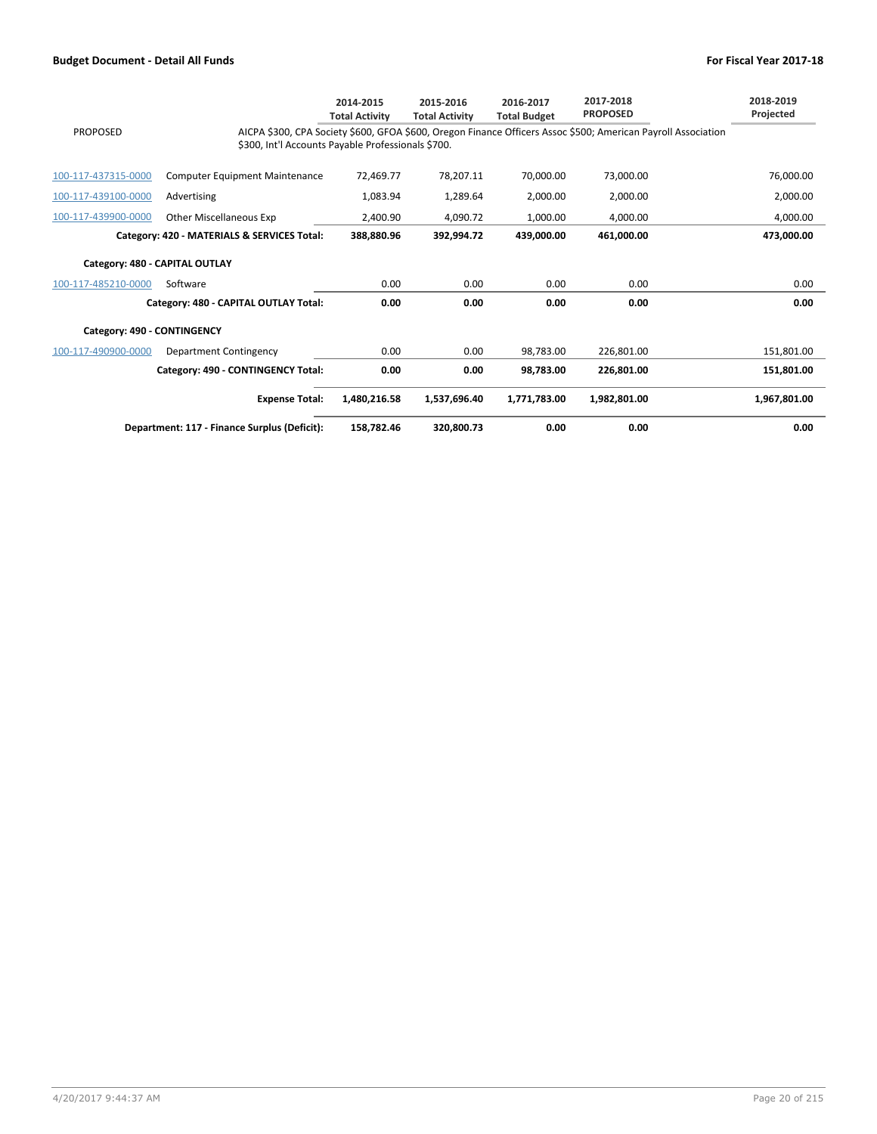|                             |                                                                                                                                                                     | 2014-2015<br><b>Total Activity</b> | 2015-2016<br><b>Total Activity</b> | 2016-2017<br><b>Total Budget</b> | 2017-2018<br><b>PROPOSED</b> |  | 2018-2019<br>Projected |  |
|-----------------------------|---------------------------------------------------------------------------------------------------------------------------------------------------------------------|------------------------------------|------------------------------------|----------------------------------|------------------------------|--|------------------------|--|
| <b>PROPOSED</b>             | AICPA \$300, CPA Society \$600, GFOA \$600, Oregon Finance Officers Assoc \$500; American Payroll Association<br>\$300, Int'l Accounts Payable Professionals \$700. |                                    |                                    |                                  |                              |  |                        |  |
| 100-117-437315-0000         | <b>Computer Equipment Maintenance</b>                                                                                                                               | 72,469.77                          | 78,207.11                          | 70,000.00                        | 73,000.00                    |  | 76,000.00              |  |
| 100-117-439100-0000         | Advertising                                                                                                                                                         | 1,083.94                           | 1,289.64                           | 2,000.00                         | 2,000.00                     |  | 2,000.00               |  |
| 100-117-439900-0000         | Other Miscellaneous Exp                                                                                                                                             | 2.400.90                           | 4,090.72                           | 1.000.00                         | 4.000.00                     |  | 4,000.00               |  |
|                             | Category: 420 - MATERIALS & SERVICES Total:                                                                                                                         | 388.880.96                         | 392,994.72                         | 439.000.00                       | 461.000.00                   |  | 473,000.00             |  |
|                             | Category: 480 - CAPITAL OUTLAY                                                                                                                                      |                                    |                                    |                                  |                              |  |                        |  |
| 100-117-485210-0000         | Software                                                                                                                                                            | 0.00                               | 0.00                               | 0.00                             | 0.00                         |  | 0.00                   |  |
|                             | Category: 480 - CAPITAL OUTLAY Total:                                                                                                                               | 0.00                               | 0.00                               | 0.00                             | 0.00                         |  | 0.00                   |  |
| Category: 490 - CONTINGENCY |                                                                                                                                                                     |                                    |                                    |                                  |                              |  |                        |  |
| 100-117-490900-0000         | Department Contingency                                                                                                                                              | 0.00                               | 0.00                               | 98.783.00                        | 226.801.00                   |  | 151,801.00             |  |
|                             | Category: 490 - CONTINGENCY Total:                                                                                                                                  | 0.00                               | 0.00                               | 98.783.00                        | 226,801.00                   |  | 151,801.00             |  |
|                             | <b>Expense Total:</b>                                                                                                                                               | 1.480.216.58                       | 1.537.696.40                       | 1.771.783.00                     | 1.982.801.00                 |  | 1,967,801.00           |  |
|                             | Department: 117 - Finance Surplus (Deficit):                                                                                                                        | 158,782.46                         | 320,800.73                         | 0.00                             | 0.00                         |  | 0.00                   |  |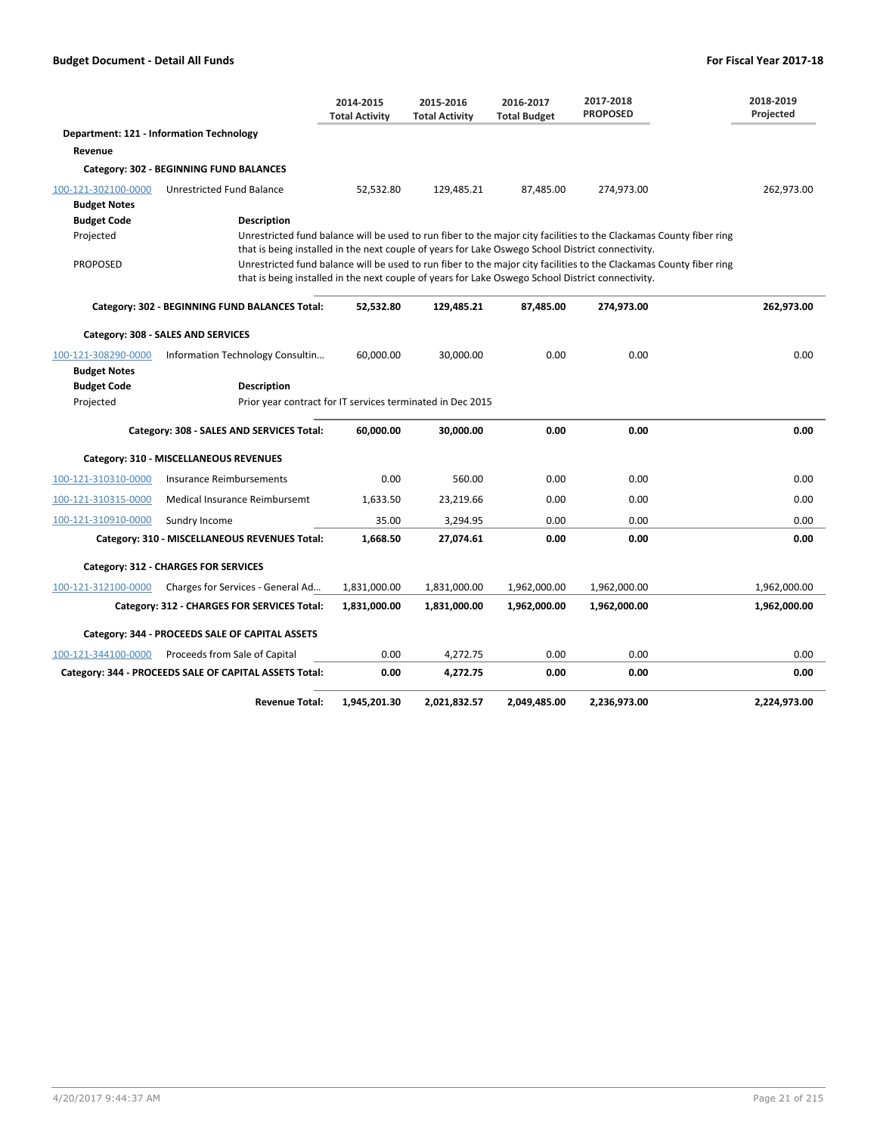|                     |                                                                                                   | 2014-2015<br><b>Total Activity</b>                                                                                  | 2015-2016<br><b>Total Activity</b> | 2016-2017<br><b>Total Budget</b> | 2017-2018<br><b>PROPOSED</b> | 2018-2019<br>Projected |  |  |  |  |  |
|---------------------|---------------------------------------------------------------------------------------------------|---------------------------------------------------------------------------------------------------------------------|------------------------------------|----------------------------------|------------------------------|------------------------|--|--|--|--|--|
|                     | <b>Department: 121 - Information Technology</b>                                                   |                                                                                                                     |                                    |                                  |                              |                        |  |  |  |  |  |
| Revenue             |                                                                                                   |                                                                                                                     |                                    |                                  |                              |                        |  |  |  |  |  |
|                     | Category: 302 - BEGINNING FUND BALANCES                                                           |                                                                                                                     |                                    |                                  |                              |                        |  |  |  |  |  |
| 100-121-302100-0000 | Unrestricted Fund Balance                                                                         | 52,532.80                                                                                                           | 129,485.21                         | 87,485.00                        | 274,973.00                   | 262,973.00             |  |  |  |  |  |
| <b>Budget Notes</b> |                                                                                                   |                                                                                                                     |                                    |                                  |                              |                        |  |  |  |  |  |
| <b>Budget Code</b>  | <b>Description</b>                                                                                | Unrestricted fund balance will be used to run fiber to the major city facilities to the Clackamas County fiber ring |                                    |                                  |                              |                        |  |  |  |  |  |
| Projected           | that is being installed in the next couple of years for Lake Oswego School District connectivity. |                                                                                                                     |                                    |                                  |                              |                        |  |  |  |  |  |
| <b>PROPOSED</b>     |                                                                                                   | Unrestricted fund balance will be used to run fiber to the major city facilities to the Clackamas County fiber ring |                                    |                                  |                              |                        |  |  |  |  |  |
|                     | that is being installed in the next couple of years for Lake Oswego School District connectivity. |                                                                                                                     |                                    |                                  |                              |                        |  |  |  |  |  |
|                     | Category: 302 - BEGINNING FUND BALANCES Total:                                                    | 52,532.80                                                                                                           | 129,485.21                         | 87,485.00                        | 274,973.00                   | 262,973.00             |  |  |  |  |  |
|                     | Category: 308 - SALES AND SERVICES                                                                |                                                                                                                     |                                    |                                  |                              |                        |  |  |  |  |  |
| 100-121-308290-0000 | Information Technology Consultin                                                                  | 60,000.00                                                                                                           | 30,000.00                          | 0.00                             | 0.00                         | 0.00                   |  |  |  |  |  |
| <b>Budget Notes</b> |                                                                                                   |                                                                                                                     |                                    |                                  |                              |                        |  |  |  |  |  |
| <b>Budget Code</b>  | <b>Description</b>                                                                                |                                                                                                                     |                                    |                                  |                              |                        |  |  |  |  |  |
| Projected           | Prior year contract for IT services terminated in Dec 2015                                        |                                                                                                                     |                                    |                                  |                              |                        |  |  |  |  |  |
|                     | Category: 308 - SALES AND SERVICES Total:                                                         | 60,000.00                                                                                                           | 30,000.00                          | 0.00                             | 0.00                         | 0.00                   |  |  |  |  |  |
|                     | Category: 310 - MISCELLANEOUS REVENUES                                                            |                                                                                                                     |                                    |                                  |                              |                        |  |  |  |  |  |
| 100-121-310310-0000 | Insurance Reimbursements                                                                          | 0.00                                                                                                                | 560.00                             | 0.00                             | 0.00                         | 0.00                   |  |  |  |  |  |
| 100-121-310315-0000 | Medical Insurance Reimbursemt                                                                     | 1,633.50                                                                                                            | 23,219.66                          | 0.00                             | 0.00                         | 0.00                   |  |  |  |  |  |
| 100-121-310910-0000 | Sundry Income                                                                                     | 35.00                                                                                                               | 3,294.95                           | 0.00                             | 0.00                         | 0.00                   |  |  |  |  |  |
|                     | Category: 310 - MISCELLANEOUS REVENUES Total:                                                     | 1,668.50                                                                                                            | 27,074.61                          | 0.00                             | 0.00                         | 0.00                   |  |  |  |  |  |
|                     | Category: 312 - CHARGES FOR SERVICES                                                              |                                                                                                                     |                                    |                                  |                              |                        |  |  |  |  |  |
| 100-121-312100-0000 | Charges for Services - General Ad                                                                 | 1,831,000.00                                                                                                        | 1,831,000.00                       | 1,962,000.00                     | 1,962,000.00                 | 1,962,000.00           |  |  |  |  |  |
|                     | Category: 312 - CHARGES FOR SERVICES Total:                                                       | 1,831,000.00                                                                                                        | 1,831,000.00                       | 1,962,000.00                     | 1,962,000.00                 | 1,962,000.00           |  |  |  |  |  |
|                     | Category: 344 - PROCEEDS SALE OF CAPITAL ASSETS                                                   |                                                                                                                     |                                    |                                  |                              |                        |  |  |  |  |  |
| 100-121-344100-0000 | Proceeds from Sale of Capital                                                                     | 0.00                                                                                                                | 4,272.75                           | 0.00                             | 0.00                         | 0.00                   |  |  |  |  |  |
|                     | Category: 344 - PROCEEDS SALE OF CAPITAL ASSETS Total:                                            | 0.00                                                                                                                | 4,272.75                           | 0.00                             | 0.00                         | 0.00                   |  |  |  |  |  |
|                     | <b>Revenue Total:</b>                                                                             | 1,945,201.30                                                                                                        | 2,021,832.57                       | 2,049,485.00                     | 2,236,973.00                 | 2,224,973.00           |  |  |  |  |  |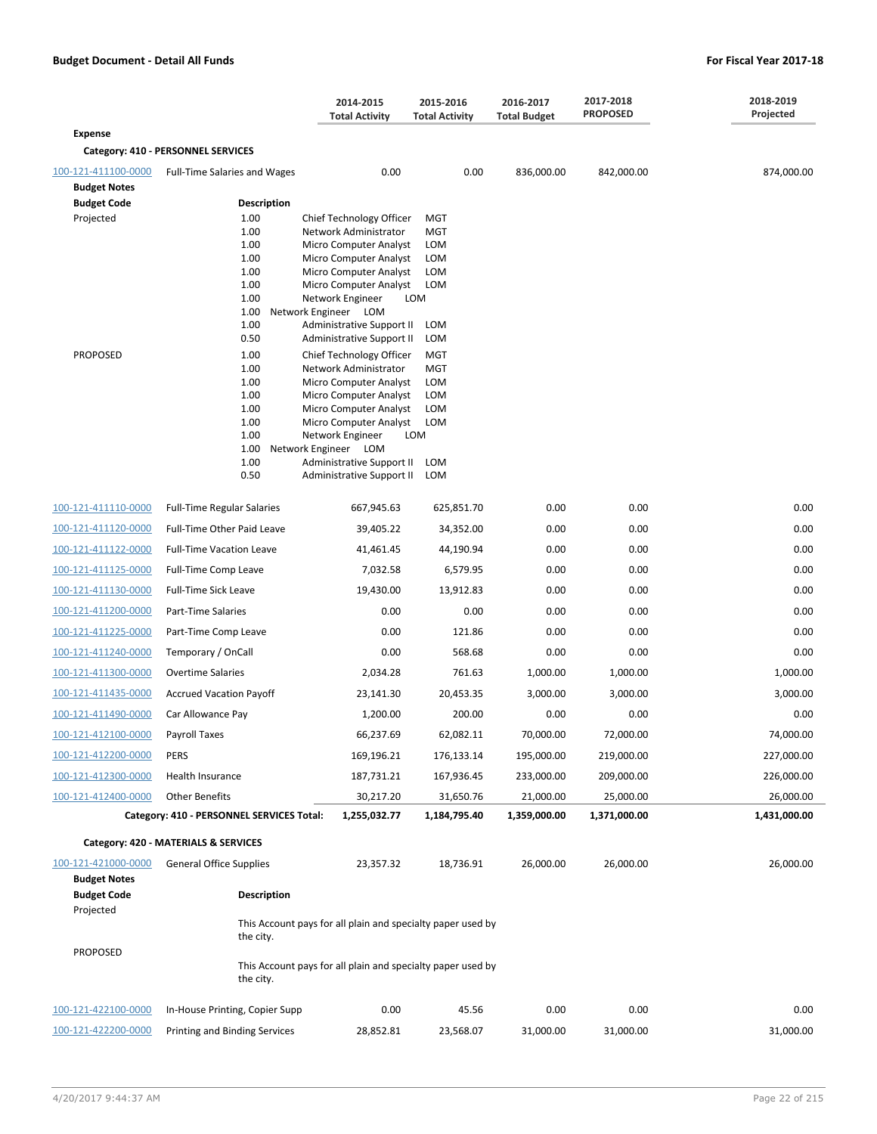|                                 |                                           | 2014-2015<br><b>Total Activity</b>                          | 2015-2016<br><b>Total Activity</b> | 2016-2017<br><b>Total Budget</b> | 2017-2018<br><b>PROPOSED</b> | 2018-2019<br>Projected |  |  |  |
|---------------------------------|-------------------------------------------|-------------------------------------------------------------|------------------------------------|----------------------------------|------------------------------|------------------------|--|--|--|
| <b>Expense</b>                  |                                           |                                                             |                                    |                                  |                              |                        |  |  |  |
|                                 | Category: 410 - PERSONNEL SERVICES        |                                                             |                                    |                                  |                              |                        |  |  |  |
| 100-121-411100-0000             | <b>Full-Time Salaries and Wages</b>       | 0.00                                                        | 0.00                               | 836,000.00                       | 842,000.00                   | 874,000.00             |  |  |  |
| <b>Budget Notes</b>             |                                           |                                                             |                                    |                                  |                              |                        |  |  |  |
| <b>Budget Code</b><br>Projected | <b>Description</b><br>1.00                | Chief Technology Officer                                    | <b>MGT</b>                         |                                  |                              |                        |  |  |  |
|                                 | 1.00                                      | Network Administrator                                       | <b>MGT</b>                         |                                  |                              |                        |  |  |  |
|                                 | 1.00                                      | Micro Computer Analyst                                      | <b>LOM</b>                         |                                  |                              |                        |  |  |  |
|                                 | 1.00<br>1.00                              | Micro Computer Analyst<br>Micro Computer Analyst            | <b>LOM</b><br><b>LOM</b>           |                                  |                              |                        |  |  |  |
|                                 | 1.00                                      | Micro Computer Analyst                                      | <b>LOM</b>                         |                                  |                              |                        |  |  |  |
|                                 | 1.00<br>1.00                              | Network Engineer<br>Network Engineer LOM                    | LOM                                |                                  |                              |                        |  |  |  |
|                                 | 1.00                                      | Administrative Support II                                   | LOM                                |                                  |                              |                        |  |  |  |
|                                 | 0.50                                      | Administrative Support II                                   | <b>LOM</b>                         |                                  |                              |                        |  |  |  |
| <b>PROPOSED</b>                 | 1.00<br>1.00                              | Chief Technology Officer<br>Network Administrator           | <b>MGT</b><br><b>MGT</b>           |                                  |                              |                        |  |  |  |
|                                 | 1.00                                      | Micro Computer Analyst                                      | <b>LOM</b>                         |                                  |                              |                        |  |  |  |
|                                 | 1.00                                      | Micro Computer Analyst                                      | <b>LOM</b>                         |                                  |                              |                        |  |  |  |
|                                 | 1.00<br>1.00                              | Micro Computer Analyst<br>Micro Computer Analyst            | <b>LOM</b><br><b>LOM</b>           |                                  |                              |                        |  |  |  |
|                                 | 1.00                                      | Network Engineer                                            | LOM                                |                                  |                              |                        |  |  |  |
|                                 | 1.00<br>1.00                              | Network Engineer LOM<br>Administrative Support II           | LOM                                |                                  |                              |                        |  |  |  |
|                                 | 0.50                                      | Administrative Support II                                   | LOM                                |                                  |                              |                        |  |  |  |
| 100-121-411110-0000             | <b>Full-Time Regular Salaries</b>         | 667,945.63                                                  | 625,851.70                         | 0.00                             | 0.00                         | 0.00                   |  |  |  |
| 100-121-411120-0000             | Full-Time Other Paid Leave                | 39,405.22                                                   | 34,352.00                          | 0.00                             | 0.00                         | 0.00                   |  |  |  |
| 100-121-411122-0000             |                                           | 41,461.45                                                   | 44,190.94                          | 0.00                             | 0.00                         | 0.00                   |  |  |  |
|                                 | <b>Full-Time Vacation Leave</b>           |                                                             |                                    |                                  |                              | 0.00                   |  |  |  |
| 100-121-411125-0000             | Full-Time Comp Leave                      | 7,032.58                                                    | 6,579.95                           | 0.00                             | 0.00                         |                        |  |  |  |
| 100-121-411130-0000             | Full-Time Sick Leave                      | 19,430.00                                                   | 13,912.83                          | 0.00                             | 0.00                         | 0.00                   |  |  |  |
| 100-121-411200-0000             | Part-Time Salaries                        | 0.00                                                        | 0.00                               | 0.00                             | 0.00                         | 0.00                   |  |  |  |
| 100-121-411225-0000             | Part-Time Comp Leave                      | 0.00                                                        | 121.86                             | 0.00                             | 0.00                         | 0.00                   |  |  |  |
| 100-121-411240-0000             | Temporary / OnCall                        | 0.00                                                        | 568.68                             | 0.00                             | 0.00                         | 0.00                   |  |  |  |
| 100-121-411300-0000             | <b>Overtime Salaries</b>                  | 2,034.28                                                    | 761.63                             | 1,000.00                         | 1,000.00                     | 1,000.00               |  |  |  |
| 100-121-411435-0000             | <b>Accrued Vacation Payoff</b>            | 23,141.30                                                   | 20,453.35                          | 3,000.00                         | 3,000.00                     | 3,000.00               |  |  |  |
| 100-121-411490-0000             | Car Allowance Pay                         | 1,200.00                                                    | 200.00                             | 0.00                             | 0.00                         | 0.00                   |  |  |  |
| 100-121-412100-0000             | Payroll Taxes                             | 66,237.69                                                   | 62,082.11                          | 70,000.00                        | 72,000.00                    | 74,000.00              |  |  |  |
| 100-121-412200-0000             | <b>PERS</b>                               | 169,196.21                                                  | 176,133.14                         | 195,000.00                       | 219,000.00                   | 227,000.00             |  |  |  |
| 100-121-412300-0000             | Health Insurance                          | 187,731.21                                                  | 167,936.45                         | 233,000.00                       | 209,000.00                   | 226,000.00             |  |  |  |
| 100-121-412400-0000             | <b>Other Benefits</b>                     | 30,217.20                                                   | 31,650.76                          | 21,000.00                        | 25,000.00                    | 26,000.00              |  |  |  |
|                                 | Category: 410 - PERSONNEL SERVICES Total: | 1,255,032.77                                                | 1,184,795.40                       | 1,359,000.00                     | 1,371,000.00                 | 1,431,000.00           |  |  |  |
|                                 | Category: 420 - MATERIALS & SERVICES      |                                                             |                                    |                                  |                              |                        |  |  |  |
| 100-121-421000-0000             | <b>General Office Supplies</b>            | 23,357.32                                                   | 18,736.91                          | 26,000.00                        | 26,000.00                    | 26,000.00              |  |  |  |
| <b>Budget Notes</b>             |                                           |                                                             |                                    |                                  |                              |                        |  |  |  |
| <b>Budget Code</b><br>Projected | <b>Description</b>                        |                                                             |                                    |                                  |                              |                        |  |  |  |
|                                 |                                           | This Account pays for all plain and specialty paper used by |                                    |                                  |                              |                        |  |  |  |
|                                 | the city.                                 |                                                             |                                    |                                  |                              |                        |  |  |  |
| PROPOSED                        | the city.                                 | This Account pays for all plain and specialty paper used by |                                    |                                  |                              |                        |  |  |  |
| 100-121-422100-0000             | In-House Printing, Copier Supp            | 0.00                                                        | 45.56                              | 0.00                             | 0.00                         | 0.00                   |  |  |  |
| 100-121-422200-0000             | Printing and Binding Services             | 28,852.81                                                   | 23,568.07                          | 31,000.00                        | 31,000.00                    | 31,000.00              |  |  |  |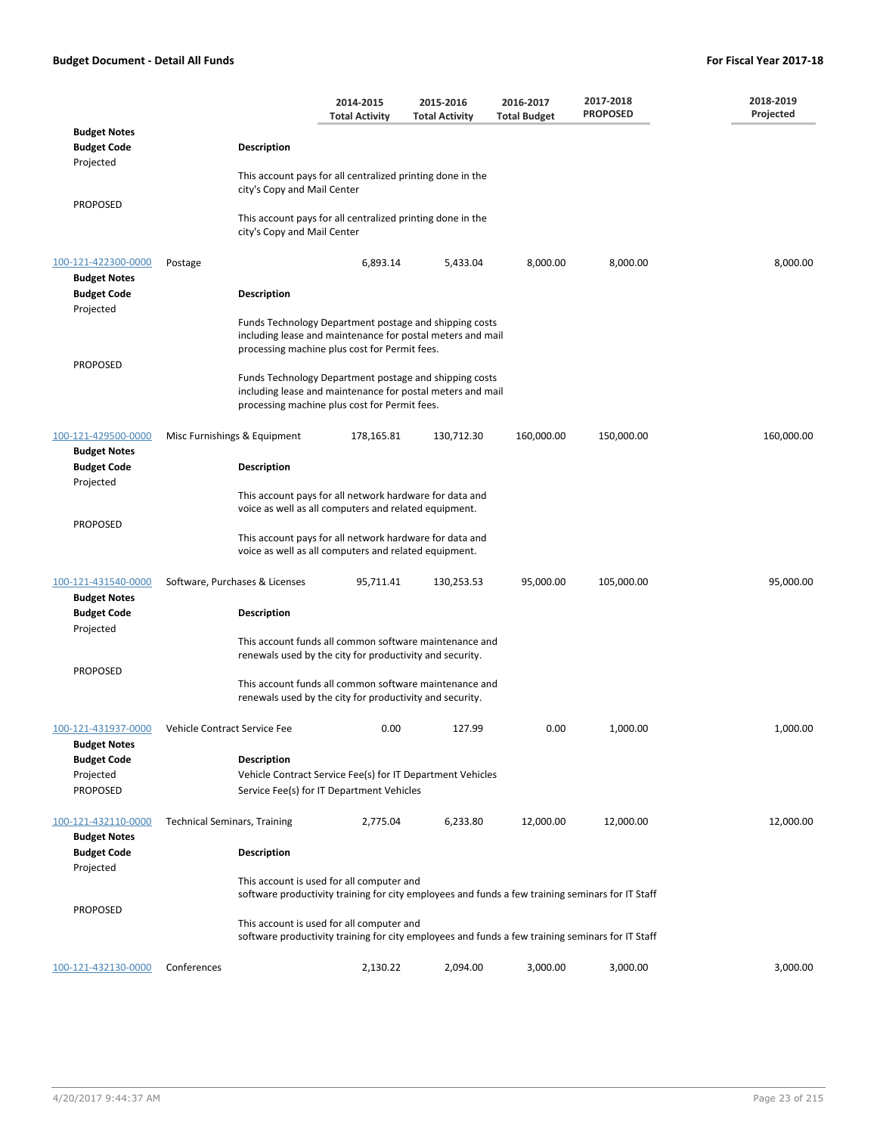|                                                                  |                                                    | 2014-2015<br><b>Total Activity</b>                                                                                                                                    | 2015-2016<br><b>Total Activity</b> | 2016-2017<br><b>Total Budget</b> | 2017-2018<br><b>PROPOSED</b> | 2018-2019<br>Projected |
|------------------------------------------------------------------|----------------------------------------------------|-----------------------------------------------------------------------------------------------------------------------------------------------------------------------|------------------------------------|----------------------------------|------------------------------|------------------------|
| <b>Budget Notes</b><br><b>Budget Code</b><br>Projected           | <b>Description</b>                                 |                                                                                                                                                                       |                                    |                                  |                              |                        |
|                                                                  |                                                    | This account pays for all centralized printing done in the<br>city's Copy and Mail Center                                                                             |                                    |                                  |                              |                        |
| <b>PROPOSED</b>                                                  |                                                    | This account pays for all centralized printing done in the<br>city's Copy and Mail Center                                                                             |                                    |                                  |                              |                        |
| 100-121-422300-0000<br><b>Budget Notes</b>                       | Postage                                            | 6,893.14                                                                                                                                                              | 5,433.04                           | 8,000.00                         | 8,000.00                     | 8,000.00               |
| <b>Budget Code</b><br>Projected                                  | <b>Description</b>                                 |                                                                                                                                                                       |                                    |                                  |                              |                        |
| PROPOSED                                                         |                                                    | Funds Technology Department postage and shipping costs<br>including lease and maintenance for postal meters and mail<br>processing machine plus cost for Permit fees. |                                    |                                  |                              |                        |
|                                                                  |                                                    | Funds Technology Department postage and shipping costs<br>including lease and maintenance for postal meters and mail<br>processing machine plus cost for Permit fees. |                                    |                                  |                              |                        |
| 100-121-429500-0000<br><b>Budget Notes</b><br><b>Budget Code</b> | Misc Furnishings & Equipment<br><b>Description</b> | 178,165.81                                                                                                                                                            | 130,712.30                         | 160,000.00                       | 150,000.00                   | 160,000.00             |
| Projected                                                        |                                                    | This account pays for all network hardware for data and                                                                                                               |                                    |                                  |                              |                        |
| <b>PROPOSED</b>                                                  |                                                    | voice as well as all computers and related equipment.                                                                                                                 |                                    |                                  |                              |                        |
|                                                                  |                                                    | This account pays for all network hardware for data and<br>voice as well as all computers and related equipment.                                                      |                                    |                                  |                              |                        |
| 100-121-431540-0000<br><b>Budget Notes</b>                       | Software, Purchases & Licenses                     | 95,711.41                                                                                                                                                             | 130,253.53                         | 95,000.00                        | 105,000.00                   | 95,000.00              |
| <b>Budget Code</b><br>Projected                                  | Description                                        |                                                                                                                                                                       |                                    |                                  |                              |                        |
| <b>PROPOSED</b>                                                  |                                                    | This account funds all common software maintenance and<br>renewals used by the city for productivity and security.                                                    |                                    |                                  |                              |                        |
|                                                                  |                                                    | This account funds all common software maintenance and<br>renewals used by the city for productivity and security.                                                    |                                    |                                  |                              |                        |
| 100-121-431937-0000<br><b>Budget Notes</b>                       | Vehicle Contract Service Fee                       | 0.00                                                                                                                                                                  | 127.99                             | 0.00                             | 1,000.00                     | 1,000.00               |
| <b>Budget Code</b>                                               | Description                                        |                                                                                                                                                                       |                                    |                                  |                              |                        |
| Projected<br><b>PROPOSED</b>                                     |                                                    | Vehicle Contract Service Fee(s) for IT Department Vehicles<br>Service Fee(s) for IT Department Vehicles                                                               |                                    |                                  |                              |                        |
| 100-121-432110-0000<br><b>Budget Notes</b>                       | <b>Technical Seminars, Training</b>                | 2,775.04                                                                                                                                                              | 6,233.80                           | 12,000.00                        | 12,000.00                    | 12,000.00              |
| <b>Budget Code</b><br>Projected                                  | <b>Description</b>                                 |                                                                                                                                                                       |                                    |                                  |                              |                        |
|                                                                  |                                                    | This account is used for all computer and<br>software productivity training for city employees and funds a few training seminars for IT Staff                         |                                    |                                  |                              |                        |
| PROPOSED                                                         |                                                    | This account is used for all computer and<br>software productivity training for city employees and funds a few training seminars for IT Staff                         |                                    |                                  |                              |                        |
| 100-121-432130-0000                                              | Conferences                                        | 2,130.22                                                                                                                                                              | 2,094.00                           | 3,000.00                         | 3,000.00                     | 3,000.00               |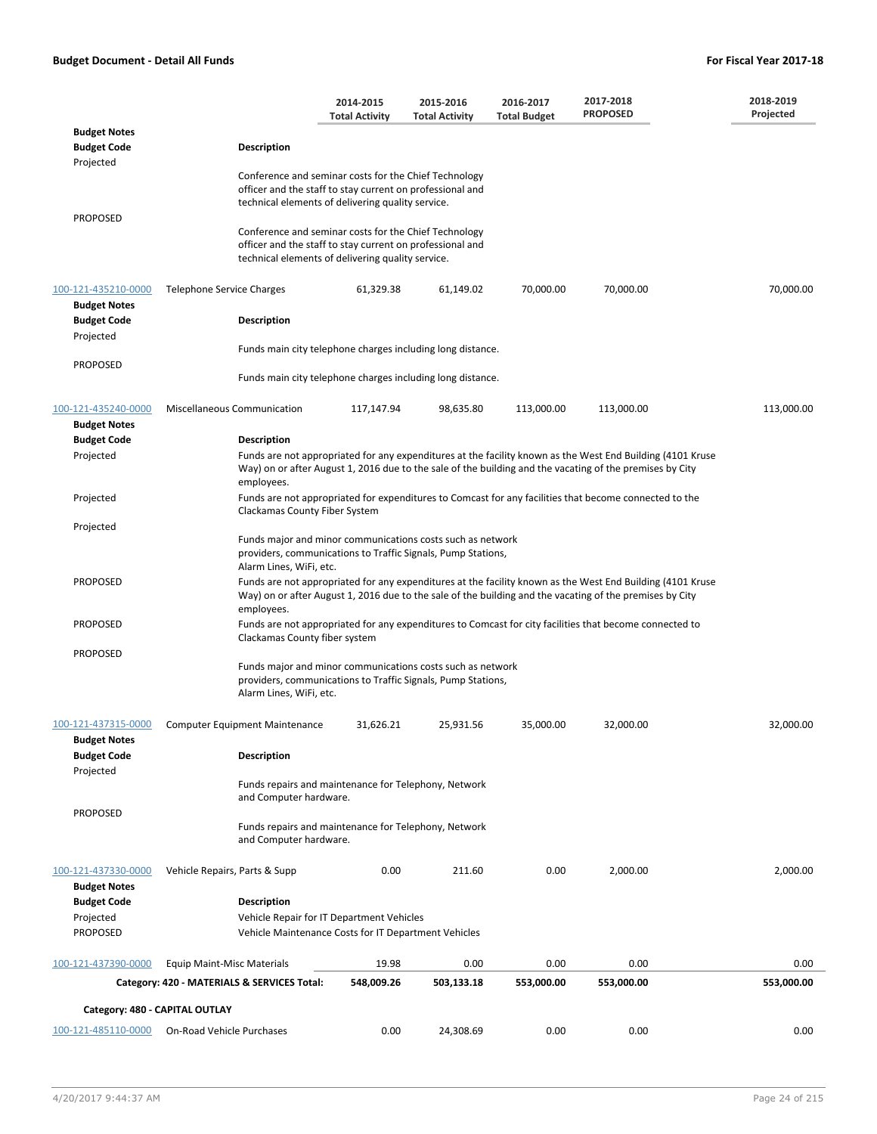|                                            |                                                                                                                                                                         | 2014-2015<br><b>Total Activity</b> | 2015-2016<br><b>Total Activity</b>                                                                                         | 2016-2017<br><b>Total Budget</b> | 2017-2018<br><b>PROPOSED</b>                                                                                                                                                                                           | 2018-2019<br>Projected |
|--------------------------------------------|-------------------------------------------------------------------------------------------------------------------------------------------------------------------------|------------------------------------|----------------------------------------------------------------------------------------------------------------------------|----------------------------------|------------------------------------------------------------------------------------------------------------------------------------------------------------------------------------------------------------------------|------------------------|
| <b>Budget Notes</b><br><b>Budget Code</b>  | <b>Description</b>                                                                                                                                                      |                                    |                                                                                                                            |                                  |                                                                                                                                                                                                                        |                        |
| Projected                                  | Conference and seminar costs for the Chief Technology<br>officer and the staff to stay current on professional and<br>technical elements of delivering quality service. |                                    |                                                                                                                            |                                  |                                                                                                                                                                                                                        |                        |
| PROPOSED                                   | Conference and seminar costs for the Chief Technology<br>officer and the staff to stay current on professional and<br>technical elements of delivering quality service. |                                    |                                                                                                                            |                                  |                                                                                                                                                                                                                        |                        |
| 100-121-435210-0000                        | Telephone Service Charges                                                                                                                                               | 61,329.38                          | 61,149.02                                                                                                                  | 70,000.00                        | 70,000.00                                                                                                                                                                                                              | 70,000.00              |
| <b>Budget Notes</b><br><b>Budget Code</b>  | <b>Description</b>                                                                                                                                                      |                                    |                                                                                                                            |                                  |                                                                                                                                                                                                                        |                        |
| Projected                                  |                                                                                                                                                                         |                                    | Funds main city telephone charges including long distance.                                                                 |                                  |                                                                                                                                                                                                                        |                        |
| PROPOSED                                   |                                                                                                                                                                         |                                    | Funds main city telephone charges including long distance.                                                                 |                                  |                                                                                                                                                                                                                        |                        |
| 100-121-435240-0000<br><b>Budget Notes</b> | Miscellaneous Communication                                                                                                                                             | 117,147.94                         | 98,635.80                                                                                                                  | 113,000.00                       | 113,000.00                                                                                                                                                                                                             | 113,000.00             |
| <b>Budget Code</b>                         | <b>Description</b>                                                                                                                                                      |                                    |                                                                                                                            |                                  |                                                                                                                                                                                                                        |                        |
| Projected                                  | employees.                                                                                                                                                              |                                    |                                                                                                                            |                                  | Funds are not appropriated for any expenditures at the facility known as the West End Building (4101 Kruse<br>Way) on or after August 1, 2016 due to the sale of the building and the vacating of the premises by City |                        |
| Projected                                  | Clackamas County Fiber System                                                                                                                                           |                                    |                                                                                                                            |                                  | Funds are not appropriated for expenditures to Comcast for any facilities that become connected to the                                                                                                                 |                        |
| Projected                                  |                                                                                                                                                                         |                                    |                                                                                                                            |                                  |                                                                                                                                                                                                                        |                        |
|                                            | Alarm Lines, WiFi, etc.                                                                                                                                                 |                                    | Funds major and minor communications costs such as network<br>providers, communications to Traffic Signals, Pump Stations, |                                  |                                                                                                                                                                                                                        |                        |
| <b>PROPOSED</b>                            | employees.                                                                                                                                                              |                                    |                                                                                                                            |                                  | Funds are not appropriated for any expenditures at the facility known as the West End Building (4101 Kruse<br>Way) on or after August 1, 2016 due to the sale of the building and the vacating of the premises by City |                        |
| PROPOSED                                   | Clackamas County fiber system                                                                                                                                           |                                    |                                                                                                                            |                                  | Funds are not appropriated for any expenditures to Comcast for city facilities that become connected to                                                                                                                |                        |
| <b>PROPOSED</b>                            | Alarm Lines, WiFi, etc.                                                                                                                                                 |                                    | Funds major and minor communications costs such as network<br>providers, communications to Traffic Signals, Pump Stations, |                                  |                                                                                                                                                                                                                        |                        |
| 100-121-437315-0000                        | <b>Computer Equipment Maintenance</b>                                                                                                                                   | 31,626.21                          | 25,931.56                                                                                                                  | 35,000.00                        | 32,000.00                                                                                                                                                                                                              | 32,000.00              |
| <b>Budget Notes</b><br><b>Budget Code</b>  | <b>Description</b>                                                                                                                                                      |                                    |                                                                                                                            |                                  |                                                                                                                                                                                                                        |                        |
| Projected                                  | and Computer hardware.                                                                                                                                                  |                                    | Funds repairs and maintenance for Telephony, Network                                                                       |                                  |                                                                                                                                                                                                                        |                        |
| <b>PROPOSED</b>                            | and Computer hardware.                                                                                                                                                  |                                    | Funds repairs and maintenance for Telephony, Network                                                                       |                                  |                                                                                                                                                                                                                        |                        |
| 100-121-437330-0000<br><b>Budget Notes</b> | Vehicle Repairs, Parts & Supp                                                                                                                                           | 0.00                               | 211.60                                                                                                                     | 0.00                             | 2,000.00                                                                                                                                                                                                               | 2,000.00               |
| <b>Budget Code</b>                         | <b>Description</b>                                                                                                                                                      |                                    |                                                                                                                            |                                  |                                                                                                                                                                                                                        |                        |
| Projected<br>PROPOSED                      | Vehicle Repair for IT Department Vehicles<br>Vehicle Maintenance Costs for IT Department Vehicles                                                                       |                                    |                                                                                                                            |                                  |                                                                                                                                                                                                                        |                        |
| 100-121-437390-0000                        | <b>Equip Maint-Misc Materials</b>                                                                                                                                       | 19.98                              | 0.00                                                                                                                       | 0.00                             | 0.00                                                                                                                                                                                                                   | 0.00                   |
|                                            | Category: 420 - MATERIALS & SERVICES Total:                                                                                                                             | 548,009.26                         | 503,133.18                                                                                                                 | 553,000.00                       | 553,000.00                                                                                                                                                                                                             | 553,000.00             |
|                                            | Category: 480 - CAPITAL OUTLAY                                                                                                                                          |                                    |                                                                                                                            |                                  |                                                                                                                                                                                                                        |                        |
| 100-121-485110-0000                        | On-Road Vehicle Purchases                                                                                                                                               | 0.00                               | 24,308.69                                                                                                                  | 0.00                             | 0.00                                                                                                                                                                                                                   | 0.00                   |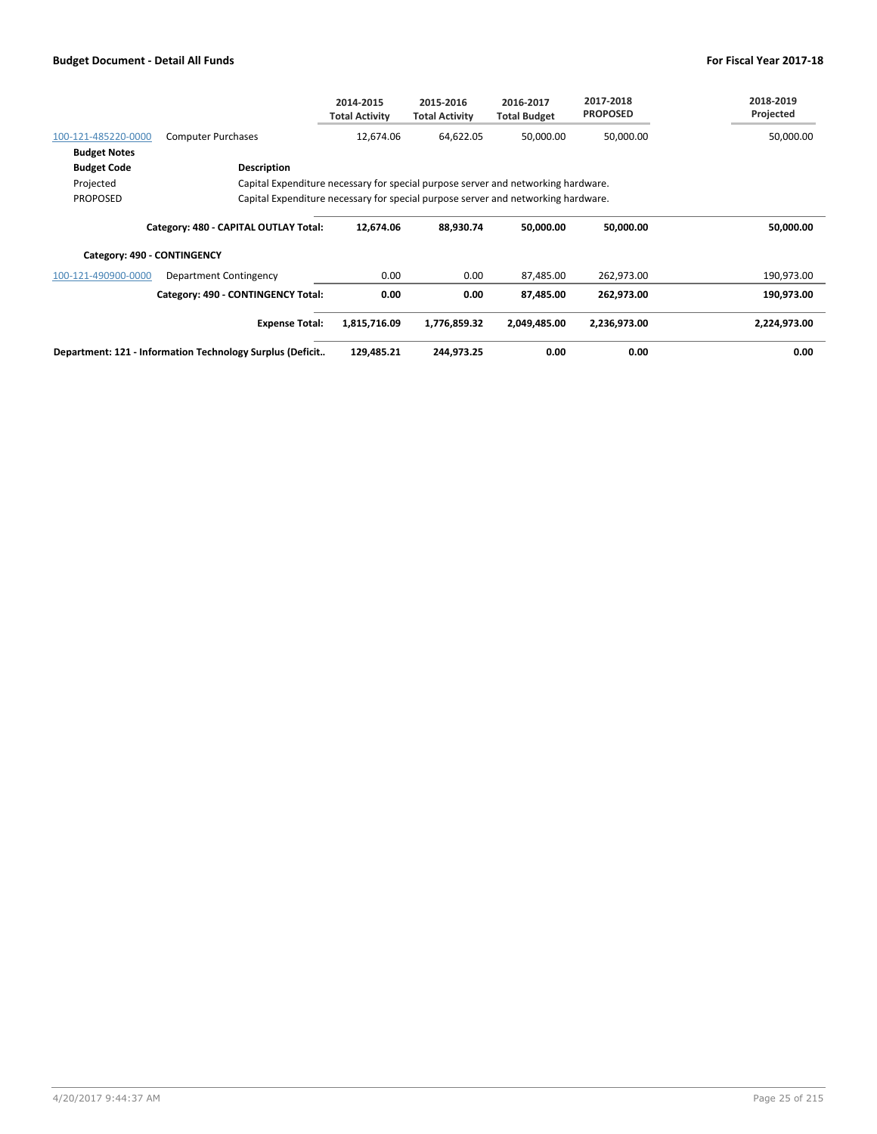|                     |                                                                                   | 2014-2015<br><b>Total Activity</b> | 2015-2016<br><b>Total Activity</b> | 2016-2017<br><b>Total Budget</b> | 2017-2018<br><b>PROPOSED</b> | 2018-2019<br>Projected |  |  |  |
|---------------------|-----------------------------------------------------------------------------------|------------------------------------|------------------------------------|----------------------------------|------------------------------|------------------------|--|--|--|
| 100-121-485220-0000 | <b>Computer Purchases</b>                                                         | 12,674.06                          | 64,622.05                          | 50,000.00                        | 50,000.00                    | 50,000.00              |  |  |  |
| <b>Budget Notes</b> |                                                                                   |                                    |                                    |                                  |                              |                        |  |  |  |
| <b>Budget Code</b>  | Description                                                                       |                                    |                                    |                                  |                              |                        |  |  |  |
| Projected           | Capital Expenditure necessary for special purpose server and networking hardware. |                                    |                                    |                                  |                              |                        |  |  |  |
| <b>PROPOSED</b>     | Capital Expenditure necessary for special purpose server and networking hardware. |                                    |                                    |                                  |                              |                        |  |  |  |
|                     | Category: 480 - CAPITAL OUTLAY Total:                                             | 12,674.06                          | 88,930.74                          | 50,000.00                        | 50,000.00                    | 50,000.00              |  |  |  |
|                     | Category: 490 - CONTINGENCY                                                       |                                    |                                    |                                  |                              |                        |  |  |  |
| 100-121-490900-0000 | Department Contingency                                                            | 0.00                               | 0.00                               | 87,485.00                        | 262,973.00                   | 190,973.00             |  |  |  |
|                     | Category: 490 - CONTINGENCY Total:                                                | 0.00                               | 0.00                               | 87,485.00                        | 262,973.00                   | 190,973.00             |  |  |  |
|                     | <b>Expense Total:</b>                                                             | 1,815,716.09                       | 1,776,859.32                       | 2,049,485.00                     | 2,236,973.00                 | 2,224,973.00           |  |  |  |
|                     | Department: 121 - Information Technology Surplus (Deficit                         | 129,485.21                         | 244,973.25                         | 0.00                             | 0.00                         | 0.00                   |  |  |  |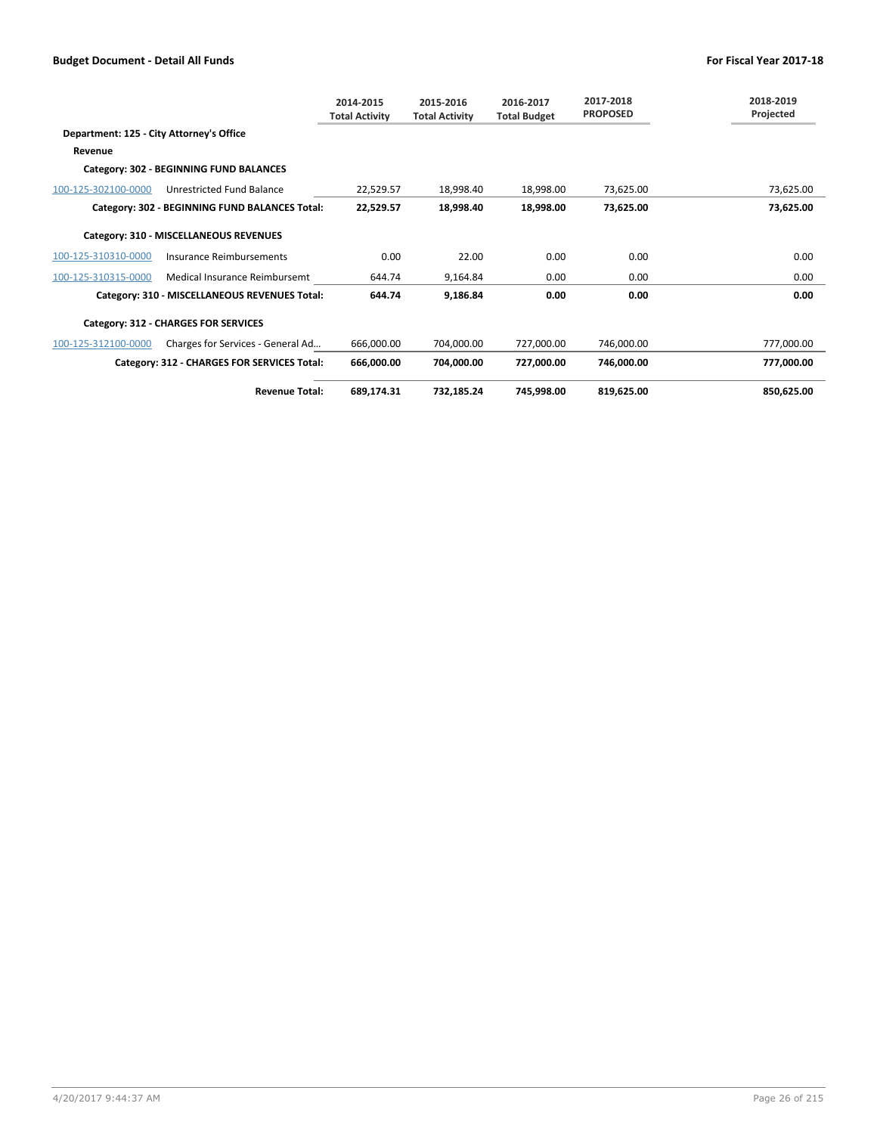|                                          |                                                | 2014-2015<br><b>Total Activity</b> | 2015-2016<br><b>Total Activity</b> | 2016-2017<br><b>Total Budget</b> | 2017-2018<br><b>PROPOSED</b> | 2018-2019<br>Projected |  |  |  |
|------------------------------------------|------------------------------------------------|------------------------------------|------------------------------------|----------------------------------|------------------------------|------------------------|--|--|--|
| Department: 125 - City Attorney's Office |                                                |                                    |                                    |                                  |                              |                        |  |  |  |
| Revenue                                  |                                                |                                    |                                    |                                  |                              |                        |  |  |  |
|                                          | Category: 302 - BEGINNING FUND BALANCES        |                                    |                                    |                                  |                              |                        |  |  |  |
| 100-125-302100-0000                      | Unrestricted Fund Balance                      | 22,529.57                          | 18,998.40                          | 18,998.00                        | 73,625.00                    | 73,625.00              |  |  |  |
|                                          | Category: 302 - BEGINNING FUND BALANCES Total: | 22,529.57                          | 18,998.40                          | 18,998.00                        | 73,625.00                    | 73,625.00              |  |  |  |
|                                          | Category: 310 - MISCELLANEOUS REVENUES         |                                    |                                    |                                  |                              |                        |  |  |  |
| 100-125-310310-0000                      | Insurance Reimbursements                       | 0.00                               | 22.00                              | 0.00                             | 0.00                         | 0.00                   |  |  |  |
| 100-125-310315-0000                      | Medical Insurance Reimbursemt                  | 644.74                             | 9,164.84                           | 0.00                             | 0.00                         | 0.00                   |  |  |  |
|                                          | Category: 310 - MISCELLANEOUS REVENUES Total:  | 644.74                             | 9,186.84                           | 0.00                             | 0.00                         | 0.00                   |  |  |  |
|                                          | Category: 312 - CHARGES FOR SERVICES           |                                    |                                    |                                  |                              |                        |  |  |  |
| 100-125-312100-0000                      | Charges for Services - General Ad              | 666,000.00                         | 704,000.00                         | 727,000.00                       | 746,000.00                   | 777,000.00             |  |  |  |
|                                          | Category: 312 - CHARGES FOR SERVICES Total:    | 666,000.00                         | 704,000.00                         | 727,000.00                       | 746,000.00                   | 777,000.00             |  |  |  |
|                                          | <b>Revenue Total:</b>                          | 689,174.31                         | 732,185.24                         | 745,998.00                       | 819,625.00                   | 850,625.00             |  |  |  |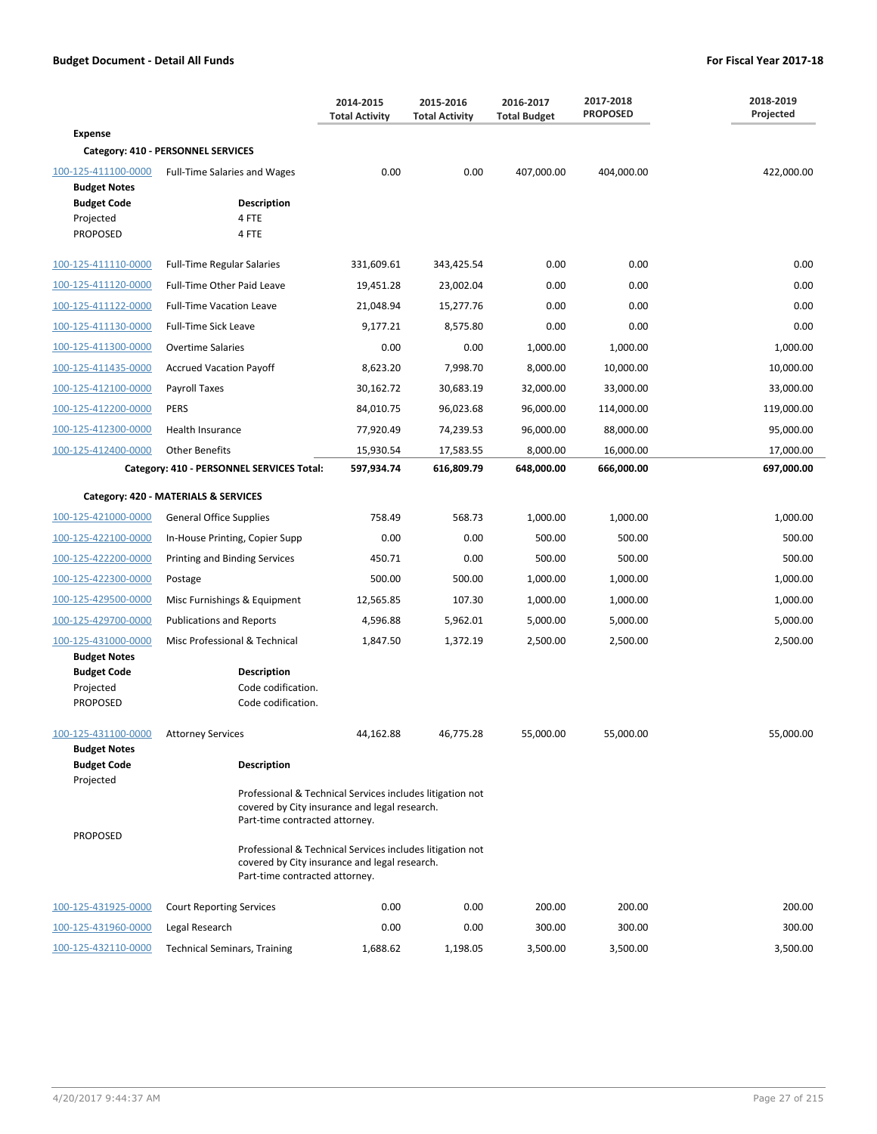|                                                                                                  |                                                                                                                                              | 2014-2015<br><b>Total Activity</b> | 2015-2016<br><b>Total Activity</b> | 2016-2017<br><b>Total Budget</b> | 2017-2018<br><b>PROPOSED</b> | 2018-2019<br>Projected |
|--------------------------------------------------------------------------------------------------|----------------------------------------------------------------------------------------------------------------------------------------------|------------------------------------|------------------------------------|----------------------------------|------------------------------|------------------------|
| <b>Expense</b>                                                                                   |                                                                                                                                              |                                    |                                    |                                  |                              |                        |
|                                                                                                  | Category: 410 - PERSONNEL SERVICES                                                                                                           |                                    |                                    |                                  |                              |                        |
| 100-125-411100-0000<br><b>Budget Notes</b><br><b>Budget Code</b><br>Projected<br><b>PROPOSED</b> | <b>Full-Time Salaries and Wages</b><br><b>Description</b><br>4 FTE<br>4 FTE                                                                  | 0.00                               | 0.00                               | 407,000.00                       | 404,000.00                   | 422,000.00             |
| 100-125-411110-0000                                                                              | <b>Full-Time Regular Salaries</b>                                                                                                            | 331,609.61                         | 343,425.54                         | 0.00                             | 0.00                         | 0.00                   |
| 100-125-411120-0000                                                                              | Full-Time Other Paid Leave                                                                                                                   | 19,451.28                          | 23,002.04                          | 0.00                             | 0.00                         | 0.00                   |
| 100-125-411122-0000                                                                              | <b>Full-Time Vacation Leave</b>                                                                                                              | 21,048.94                          | 15,277.76                          | 0.00                             | 0.00                         | 0.00                   |
| 100-125-411130-0000                                                                              | <b>Full-Time Sick Leave</b>                                                                                                                  | 9,177.21                           | 8,575.80                           | 0.00                             | 0.00                         | 0.00                   |
| 100-125-411300-0000                                                                              | <b>Overtime Salaries</b>                                                                                                                     | 0.00                               | 0.00                               | 1,000.00                         | 1,000.00                     | 1,000.00               |
| 100-125-411435-0000                                                                              | <b>Accrued Vacation Payoff</b>                                                                                                               | 8,623.20                           | 7,998.70                           | 8,000.00                         | 10,000.00                    | 10,000.00              |
| 100-125-412100-0000                                                                              | Payroll Taxes                                                                                                                                | 30,162.72                          | 30,683.19                          | 32,000.00                        | 33,000.00                    | 33,000.00              |
| 100-125-412200-0000                                                                              | <b>PERS</b>                                                                                                                                  | 84,010.75                          | 96,023.68                          | 96,000.00                        | 114,000.00                   | 119,000.00             |
| 100-125-412300-0000                                                                              | Health Insurance                                                                                                                             | 77,920.49                          | 74,239.53                          | 96,000.00                        | 88,000.00                    | 95,000.00              |
| 100-125-412400-0000                                                                              | <b>Other Benefits</b>                                                                                                                        | 15,930.54                          | 17,583.55                          | 8,000.00                         | 16,000.00                    | 17,000.00              |
|                                                                                                  | Category: 410 - PERSONNEL SERVICES Total:                                                                                                    | 597,934.74                         | 616,809.79                         | 648,000.00                       | 666,000.00                   | 697,000.00             |
|                                                                                                  | Category: 420 - MATERIALS & SERVICES                                                                                                         |                                    |                                    |                                  |                              |                        |
| 100-125-421000-0000                                                                              | <b>General Office Supplies</b>                                                                                                               | 758.49                             | 568.73                             | 1,000.00                         | 1,000.00                     | 1,000.00               |
| 100-125-422100-0000                                                                              | In-House Printing, Copier Supp                                                                                                               | 0.00                               | 0.00                               | 500.00                           | 500.00                       | 500.00                 |
| 100-125-422200-0000                                                                              | Printing and Binding Services                                                                                                                | 450.71                             | 0.00                               | 500.00                           | 500.00                       | 500.00                 |
| 100-125-422300-0000                                                                              | Postage                                                                                                                                      | 500.00                             | 500.00                             | 1,000.00                         | 1,000.00                     | 1,000.00               |
| 100-125-429500-0000                                                                              | Misc Furnishings & Equipment                                                                                                                 | 12,565.85                          | 107.30                             | 1,000.00                         | 1,000.00                     | 1,000.00               |
| 100-125-429700-0000                                                                              | <b>Publications and Reports</b>                                                                                                              | 4,596.88                           | 5,962.01                           | 5,000.00                         | 5,000.00                     | 5,000.00               |
| 100-125-431000-0000<br><b>Budget Notes</b><br><b>Budget Code</b><br>Projected<br><b>PROPOSED</b> | Misc Professional & Technical<br><b>Description</b><br>Code codification.<br>Code codification.                                              | 1,847.50                           | 1,372.19                           | 2,500.00                         | 2,500.00                     | 2,500.00               |
| 100-125-431100-0000 Attorney Services                                                            |                                                                                                                                              | 44,162.88                          | 46,775.28                          | 55,000.00                        | 55,000.00                    | 55,000.00              |
| <b>Budget Notes</b><br><b>Budget Code</b><br>Projected                                           | <b>Description</b>                                                                                                                           |                                    |                                    |                                  |                              |                        |
| <b>PROPOSED</b>                                                                                  | Professional & Technical Services includes litigation not<br>covered by City insurance and legal research.<br>Part-time contracted attorney. |                                    |                                    |                                  |                              |                        |
|                                                                                                  | Professional & Technical Services includes litigation not<br>covered by City insurance and legal research.<br>Part-time contracted attorney. |                                    |                                    |                                  |                              |                        |
| 100-125-431925-0000                                                                              | <b>Court Reporting Services</b>                                                                                                              | 0.00                               | 0.00                               | 200.00                           | 200.00                       | 200.00                 |
| 100-125-431960-0000                                                                              | Legal Research                                                                                                                               | 0.00                               | 0.00                               | 300.00                           | 300.00                       | 300.00                 |
| 100-125-432110-0000                                                                              | <b>Technical Seminars, Training</b>                                                                                                          | 1,688.62                           | 1,198.05                           | 3,500.00                         | 3,500.00                     | 3,500.00               |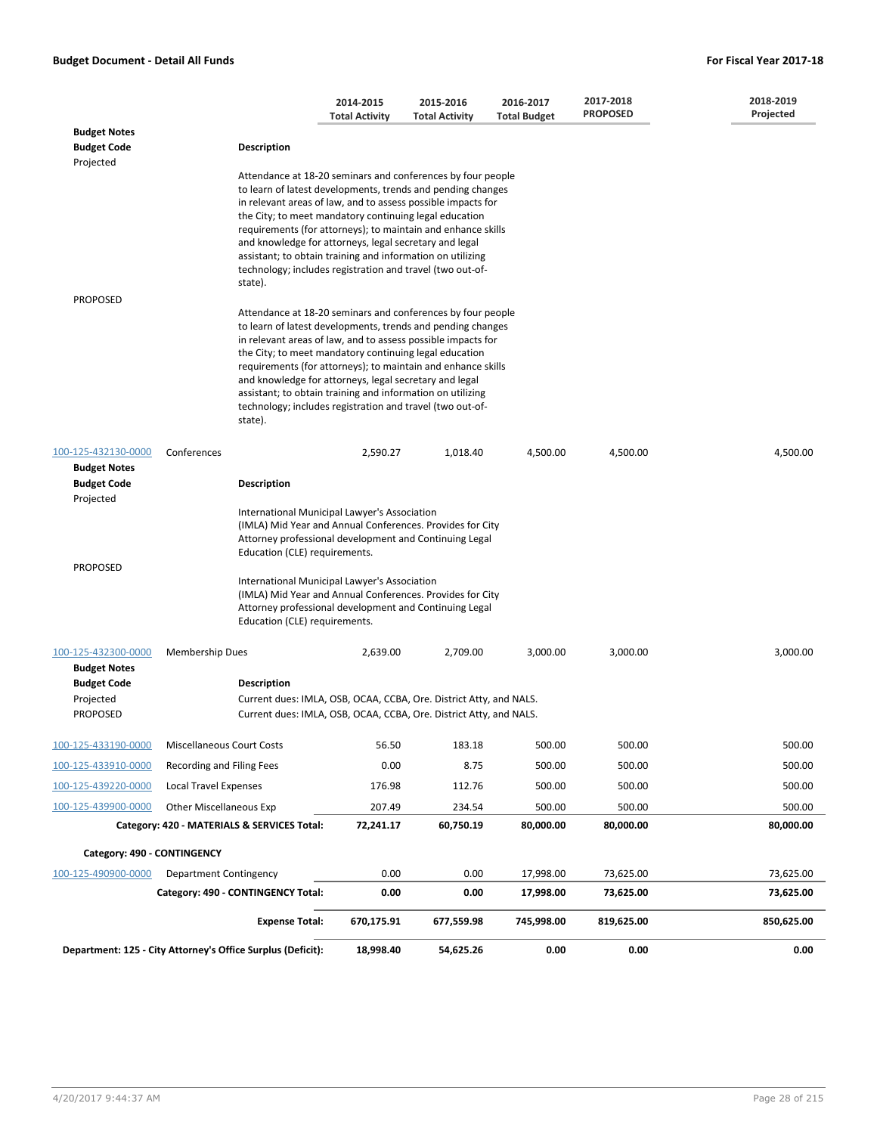|                                                        |                                                                                                                                                                                                                                                                                                                                                                                                                                                                                                                      | 2014-2015             | 2015-2016             | 2016-2017           | 2017-2018       | 2018-2019  |
|--------------------------------------------------------|----------------------------------------------------------------------------------------------------------------------------------------------------------------------------------------------------------------------------------------------------------------------------------------------------------------------------------------------------------------------------------------------------------------------------------------------------------------------------------------------------------------------|-----------------------|-----------------------|---------------------|-----------------|------------|
|                                                        |                                                                                                                                                                                                                                                                                                                                                                                                                                                                                                                      | <b>Total Activity</b> | <b>Total Activity</b> | <b>Total Budget</b> | <b>PROPOSED</b> | Projected  |
| <b>Budget Notes</b><br><b>Budget Code</b><br>Projected | <b>Description</b>                                                                                                                                                                                                                                                                                                                                                                                                                                                                                                   |                       |                       |                     |                 |            |
|                                                        | Attendance at 18-20 seminars and conferences by four people<br>to learn of latest developments, trends and pending changes<br>in relevant areas of law, and to assess possible impacts for<br>the City; to meet mandatory continuing legal education<br>requirements (for attorneys); to maintain and enhance skills<br>and knowledge for attorneys, legal secretary and legal<br>assistant; to obtain training and information on utilizing<br>technology; includes registration and travel (two out-of-<br>state). |                       |                       |                     |                 |            |
| <b>PROPOSED</b>                                        |                                                                                                                                                                                                                                                                                                                                                                                                                                                                                                                      |                       |                       |                     |                 |            |
|                                                        | Attendance at 18-20 seminars and conferences by four people<br>to learn of latest developments, trends and pending changes<br>in relevant areas of law, and to assess possible impacts for<br>the City; to meet mandatory continuing legal education<br>requirements (for attorneys); to maintain and enhance skills<br>and knowledge for attorneys, legal secretary and legal<br>assistant; to obtain training and information on utilizing<br>technology; includes registration and travel (two out-of-<br>state). |                       |                       |                     |                 |            |
| 100-125-432130-0000                                    | Conferences                                                                                                                                                                                                                                                                                                                                                                                                                                                                                                          | 2,590.27              | 1,018.40              | 4,500.00            | 4,500.00        | 4,500.00   |
| <b>Budget Notes</b><br><b>Budget Code</b>              | <b>Description</b>                                                                                                                                                                                                                                                                                                                                                                                                                                                                                                   |                       |                       |                     |                 |            |
| Projected                                              |                                                                                                                                                                                                                                                                                                                                                                                                                                                                                                                      |                       |                       |                     |                 |            |
|                                                        | International Municipal Lawyer's Association<br>(IMLA) Mid Year and Annual Conferences. Provides for City<br>Attorney professional development and Continuing Legal<br>Education (CLE) requirements.                                                                                                                                                                                                                                                                                                                 |                       |                       |                     |                 |            |
| <b>PROPOSED</b>                                        | International Municipal Lawyer's Association<br>(IMLA) Mid Year and Annual Conferences. Provides for City<br>Attorney professional development and Continuing Legal<br>Education (CLE) requirements.                                                                                                                                                                                                                                                                                                                 |                       |                       |                     |                 |            |
| 100-125-432300-0000                                    | Membership Dues                                                                                                                                                                                                                                                                                                                                                                                                                                                                                                      | 2,639.00              | 2,709.00              | 3,000.00            | 3,000.00        | 3,000.00   |
| <b>Budget Notes</b>                                    |                                                                                                                                                                                                                                                                                                                                                                                                                                                                                                                      |                       |                       |                     |                 |            |
| <b>Budget Code</b><br>Projected                        | <b>Description</b><br>Current dues: IMLA, OSB, OCAA, CCBA, Ore. District Atty, and NALS.                                                                                                                                                                                                                                                                                                                                                                                                                             |                       |                       |                     |                 |            |
| <b>PROPOSED</b>                                        | Current dues: IMLA, OSB, OCAA, CCBA, Ore. District Atty, and NALS.                                                                                                                                                                                                                                                                                                                                                                                                                                                   |                       |                       |                     |                 |            |
| 100-125-433190-0000                                    | <b>Miscellaneous Court Costs</b>                                                                                                                                                                                                                                                                                                                                                                                                                                                                                     | 56.50                 | 183.18                | 500.00              | 500.00          | 500.00     |
| 100-125-433910-0000                                    | Recording and Filing Fees                                                                                                                                                                                                                                                                                                                                                                                                                                                                                            | 0.00                  | 8.75                  | 500.00              | 500.00          | 500.00     |
| 100-125-439220-0000                                    | <b>Local Travel Expenses</b>                                                                                                                                                                                                                                                                                                                                                                                                                                                                                         | 176.98                | 112.76                | 500.00              | 500.00          | 500.00     |
| 100-125-439900-0000                                    | <b>Other Miscellaneous Exp</b>                                                                                                                                                                                                                                                                                                                                                                                                                                                                                       | 207.49                | 234.54                | 500.00              | 500.00          | 500.00     |
|                                                        | Category: 420 - MATERIALS & SERVICES Total:                                                                                                                                                                                                                                                                                                                                                                                                                                                                          | 72,241.17             | 60,750.19             | 80,000.00           | 80,000.00       | 80,000.00  |
| Category: 490 - CONTINGENCY                            |                                                                                                                                                                                                                                                                                                                                                                                                                                                                                                                      |                       |                       |                     |                 |            |
| 100-125-490900-0000                                    | <b>Department Contingency</b>                                                                                                                                                                                                                                                                                                                                                                                                                                                                                        | 0.00                  | 0.00                  | 17,998.00           | 73,625.00       | 73,625.00  |
|                                                        | Category: 490 - CONTINGENCY Total:                                                                                                                                                                                                                                                                                                                                                                                                                                                                                   | 0.00                  | 0.00                  | 17,998.00           | 73,625.00       | 73,625.00  |
|                                                        | <b>Expense Total:</b>                                                                                                                                                                                                                                                                                                                                                                                                                                                                                                | 670,175.91            | 677,559.98            | 745,998.00          | 819,625.00      | 850,625.00 |
|                                                        | Department: 125 - City Attorney's Office Surplus (Deficit):                                                                                                                                                                                                                                                                                                                                                                                                                                                          | 18,998.40             | 54,625.26             | 0.00                | 0.00            | 0.00       |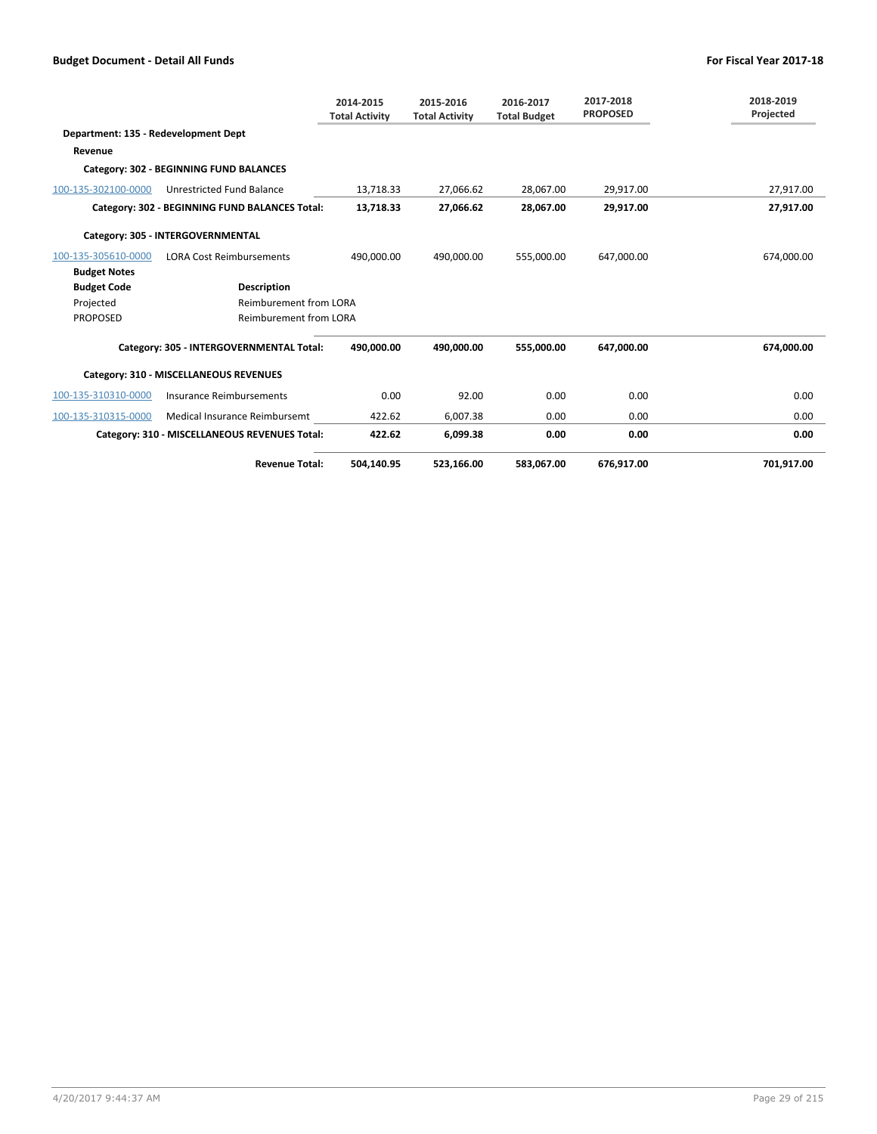|                                      |                                                | 2014-2015<br><b>Total Activity</b> | 2015-2016<br><b>Total Activity</b> | 2016-2017<br><b>Total Budget</b> | 2017-2018<br><b>PROPOSED</b> | 2018-2019<br>Projected |
|--------------------------------------|------------------------------------------------|------------------------------------|------------------------------------|----------------------------------|------------------------------|------------------------|
| Department: 135 - Redevelopment Dept |                                                |                                    |                                    |                                  |                              |                        |
| Revenue                              |                                                |                                    |                                    |                                  |                              |                        |
|                                      | Category: 302 - BEGINNING FUND BALANCES        |                                    |                                    |                                  |                              |                        |
| 100-135-302100-0000                  | Unrestricted Fund Balance                      | 13,718.33                          | 27,066.62                          | 28,067.00                        | 29,917.00                    | 27,917.00              |
|                                      | Category: 302 - BEGINNING FUND BALANCES Total: | 13,718.33                          | 27,066.62                          | 28,067.00                        | 29,917.00                    | 27,917.00              |
|                                      | Category: 305 - INTERGOVERNMENTAL              |                                    |                                    |                                  |                              |                        |
| 100-135-305610-0000                  | <b>LORA Cost Reimbursements</b>                | 490,000.00                         | 490.000.00                         | 555,000.00                       | 647,000.00                   | 674,000.00             |
| <b>Budget Notes</b>                  |                                                |                                    |                                    |                                  |                              |                        |
| <b>Budget Code</b>                   | <b>Description</b>                             |                                    |                                    |                                  |                              |                        |
| Projected                            | <b>Reimburement from LORA</b>                  |                                    |                                    |                                  |                              |                        |
| <b>PROPOSED</b>                      | <b>Reimburement from LORA</b>                  |                                    |                                    |                                  |                              |                        |
|                                      | Category: 305 - INTERGOVERNMENTAL Total:       | 490.000.00                         | 490,000.00                         | 555,000.00                       | 647,000.00                   | 674,000.00             |
|                                      | Category: 310 - MISCELLANEOUS REVENUES         |                                    |                                    |                                  |                              |                        |
| 100-135-310310-0000                  | Insurance Reimbursements                       | 0.00                               | 92.00                              | 0.00                             | 0.00                         | 0.00                   |
| 100-135-310315-0000                  | Medical Insurance Reimbursemt                  | 422.62                             | 6,007.38                           | 0.00                             | 0.00                         | 0.00                   |
|                                      | Category: 310 - MISCELLANEOUS REVENUES Total:  | 422.62                             | 6,099.38                           | 0.00                             | 0.00                         | 0.00                   |
|                                      | <b>Revenue Total:</b>                          | 504,140.95                         | 523,166.00                         | 583.067.00                       | 676.917.00                   | 701,917.00             |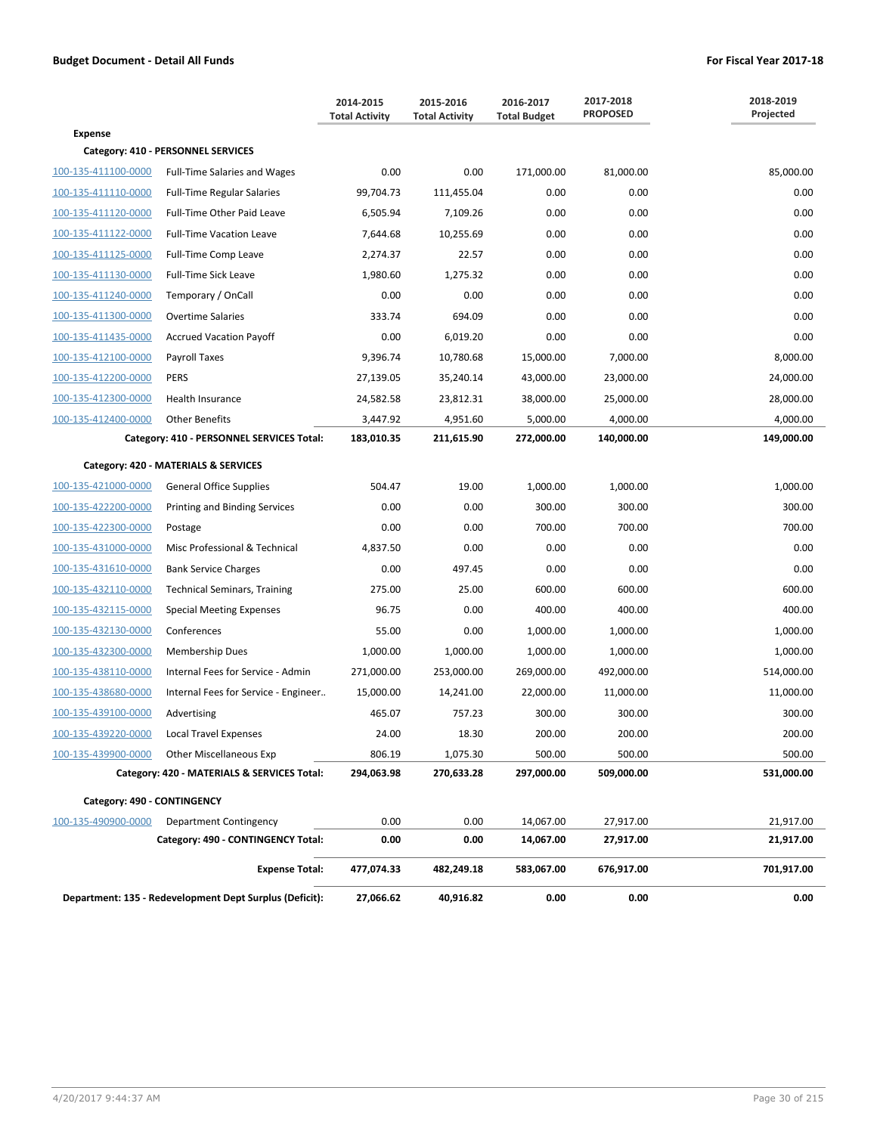|                             |                                                         | 2014-2015<br><b>Total Activity</b> | 2015-2016<br><b>Total Activity</b> | 2016-2017<br><b>Total Budget</b> | 2017-2018<br><b>PROPOSED</b> | 2018-2019<br>Projected |
|-----------------------------|---------------------------------------------------------|------------------------------------|------------------------------------|----------------------------------|------------------------------|------------------------|
| <b>Expense</b>              |                                                         |                                    |                                    |                                  |                              |                        |
|                             | Category: 410 - PERSONNEL SERVICES                      |                                    |                                    |                                  |                              |                        |
| 100-135-411100-0000         | <b>Full-Time Salaries and Wages</b>                     | 0.00                               | 0.00                               | 171,000.00                       | 81,000.00                    | 85,000.00              |
| 100-135-411110-0000         | <b>Full-Time Regular Salaries</b>                       | 99,704.73                          | 111,455.04                         | 0.00                             | 0.00                         | 0.00                   |
| 100-135-411120-0000         | Full-Time Other Paid Leave                              | 6,505.94                           | 7,109.26                           | 0.00                             | 0.00                         | 0.00                   |
| 100-135-411122-0000         | <b>Full-Time Vacation Leave</b>                         | 7,644.68                           | 10,255.69                          | 0.00                             | 0.00                         | 0.00                   |
| 100-135-411125-0000         | Full-Time Comp Leave                                    | 2,274.37                           | 22.57                              | 0.00                             | 0.00                         | 0.00                   |
| 100-135-411130-0000         | <b>Full-Time Sick Leave</b>                             | 1,980.60                           | 1,275.32                           | 0.00                             | 0.00                         | 0.00                   |
| 100-135-411240-0000         | Temporary / OnCall                                      | 0.00                               | 0.00                               | 0.00                             | 0.00                         | 0.00                   |
| 100-135-411300-0000         | <b>Overtime Salaries</b>                                | 333.74                             | 694.09                             | 0.00                             | 0.00                         | 0.00                   |
| 100-135-411435-0000         | <b>Accrued Vacation Payoff</b>                          | 0.00                               | 6,019.20                           | 0.00                             | 0.00                         | 0.00                   |
| 100-135-412100-0000         | Payroll Taxes                                           | 9,396.74                           | 10,780.68                          | 15,000.00                        | 7,000.00                     | 8,000.00               |
| 100-135-412200-0000         | <b>PERS</b>                                             | 27,139.05                          | 35,240.14                          | 43,000.00                        | 23,000.00                    | 24,000.00              |
| 100-135-412300-0000         | <b>Health Insurance</b>                                 | 24,582.58                          | 23,812.31                          | 38,000.00                        | 25,000.00                    | 28,000.00              |
| 100-135-412400-0000         | <b>Other Benefits</b>                                   | 3,447.92                           | 4,951.60                           | 5,000.00                         | 4,000.00                     | 4,000.00               |
|                             | Category: 410 - PERSONNEL SERVICES Total:               | 183,010.35                         | 211,615.90                         | 272,000.00                       | 140,000.00                   | 149,000.00             |
|                             | Category: 420 - MATERIALS & SERVICES                    |                                    |                                    |                                  |                              |                        |
| 100-135-421000-0000         | <b>General Office Supplies</b>                          | 504.47                             | 19.00                              | 1,000.00                         | 1,000.00                     | 1,000.00               |
| 100-135-422200-0000         | Printing and Binding Services                           | 0.00                               | 0.00                               | 300.00                           | 300.00                       | 300.00                 |
| 100-135-422300-0000         | Postage                                                 | 0.00                               | 0.00                               | 700.00                           | 700.00                       | 700.00                 |
| 100-135-431000-0000         | Misc Professional & Technical                           | 4,837.50                           | 0.00                               | 0.00                             | 0.00                         | 0.00                   |
| 100-135-431610-0000         | <b>Bank Service Charges</b>                             | 0.00                               | 497.45                             | 0.00                             | 0.00                         | 0.00                   |
| 100-135-432110-0000         | <b>Technical Seminars, Training</b>                     | 275.00                             | 25.00                              | 600.00                           | 600.00                       | 600.00                 |
| 100-135-432115-0000         | <b>Special Meeting Expenses</b>                         | 96.75                              | 0.00                               | 400.00                           | 400.00                       | 400.00                 |
| 100-135-432130-0000         | Conferences                                             | 55.00                              | 0.00                               | 1,000.00                         | 1,000.00                     | 1,000.00               |
| 100-135-432300-0000         | <b>Membership Dues</b>                                  | 1,000.00                           | 1,000.00                           | 1,000.00                         | 1,000.00                     | 1,000.00               |
| 100-135-438110-0000         | Internal Fees for Service - Admin                       | 271,000.00                         | 253,000.00                         | 269,000.00                       | 492,000.00                   | 514,000.00             |
| 100-135-438680-0000         | Internal Fees for Service - Engineer                    | 15,000.00                          | 14,241.00                          | 22,000.00                        | 11,000.00                    | 11,000.00              |
| 100-135-439100-0000         | Advertising                                             | 465.07                             | 757.23                             | 300.00                           | 300.00                       | 300.00                 |
| 100-135-439220-0000         | <b>Local Travel Expenses</b>                            | 24.00                              | 18.30                              | 200.00                           | 200.00                       | 200.00                 |
| 100-135-439900-0000         | <b>Other Miscellaneous Exp</b>                          | 806.19                             | 1,075.30                           | 500.00                           | 500.00                       | 500.00                 |
|                             | Category: 420 - MATERIALS & SERVICES Total:             | 294,063.98                         | 270,633.28                         | 297,000.00                       | 509,000.00                   | 531,000.00             |
| Category: 490 - CONTINGENCY |                                                         |                                    |                                    |                                  |                              |                        |
| 100-135-490900-0000         | Department Contingency                                  | 0.00                               | 0.00                               | 14,067.00                        | 27,917.00                    | 21,917.00              |
|                             | Category: 490 - CONTINGENCY Total:                      | 0.00                               | 0.00                               | 14,067.00                        | 27,917.00                    | 21,917.00              |
|                             | <b>Expense Total:</b>                                   | 477,074.33                         | 482,249.18                         | 583,067.00                       | 676,917.00                   | 701,917.00             |
|                             | Department: 135 - Redevelopment Dept Surplus (Deficit): | 27,066.62                          | 40,916.82                          | 0.00                             | 0.00                         | 0.00                   |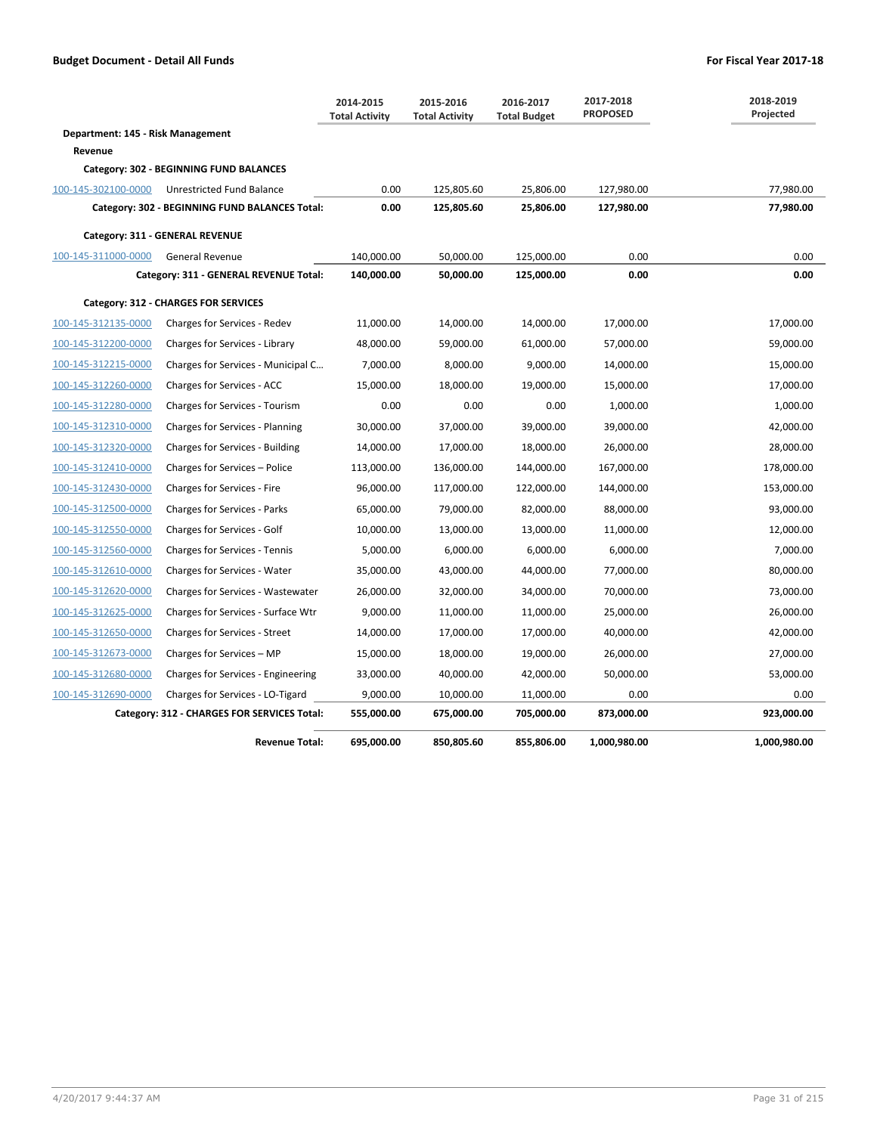|                                   |                                                | 2014-2015<br><b>Total Activity</b> | 2015-2016<br><b>Total Activity</b> | 2016-2017<br><b>Total Budget</b> | 2017-2018<br><b>PROPOSED</b> | 2018-2019<br>Projected |
|-----------------------------------|------------------------------------------------|------------------------------------|------------------------------------|----------------------------------|------------------------------|------------------------|
| Department: 145 - Risk Management |                                                |                                    |                                    |                                  |                              |                        |
| Revenue                           |                                                |                                    |                                    |                                  |                              |                        |
|                                   | Category: 302 - BEGINNING FUND BALANCES        |                                    |                                    |                                  |                              |                        |
| 100-145-302100-0000               | Unrestricted Fund Balance                      | 0.00                               | 125,805.60                         | 25,806.00                        | 127,980.00                   | 77,980.00              |
|                                   | Category: 302 - BEGINNING FUND BALANCES Total: | 0.00                               | 125,805.60                         | 25,806.00                        | 127,980.00                   | 77,980.00              |
|                                   | Category: 311 - GENERAL REVENUE                |                                    |                                    |                                  |                              |                        |
| 100-145-311000-0000               | <b>General Revenue</b>                         | 140,000.00                         | 50,000.00                          | 125,000.00                       | 0.00                         | 0.00                   |
|                                   | Category: 311 - GENERAL REVENUE Total:         | 140,000.00                         | 50,000.00                          | 125,000.00                       | 0.00                         | 0.00                   |
|                                   | Category: 312 - CHARGES FOR SERVICES           |                                    |                                    |                                  |                              |                        |
| 100-145-312135-0000               | Charges for Services - Redev                   | 11,000.00                          | 14,000.00                          | 14,000.00                        | 17,000.00                    | 17,000.00              |
| 100-145-312200-0000               | Charges for Services - Library                 | 48,000.00                          | 59,000.00                          | 61,000.00                        | 57,000.00                    | 59,000.00              |
| 100-145-312215-0000               | Charges for Services - Municipal C             | 7,000.00                           | 8,000.00                           | 9,000.00                         | 14,000.00                    | 15,000.00              |
| 100-145-312260-0000               | Charges for Services - ACC                     | 15,000.00                          | 18,000.00                          | 19,000.00                        | 15,000.00                    | 17,000.00              |
| 100-145-312280-0000               | Charges for Services - Tourism                 | 0.00                               | 0.00                               | 0.00                             | 1,000.00                     | 1,000.00               |
| 100-145-312310-0000               | Charges for Services - Planning                | 30,000.00                          | 37,000.00                          | 39,000.00                        | 39,000.00                    | 42,000.00              |
| 100-145-312320-0000               | Charges for Services - Building                | 14,000.00                          | 17,000.00                          | 18,000.00                        | 26,000.00                    | 28,000.00              |
| 100-145-312410-0000               | Charges for Services - Police                  | 113,000.00                         | 136,000.00                         | 144,000.00                       | 167,000.00                   | 178,000.00             |
| 100-145-312430-0000               | Charges for Services - Fire                    | 96,000.00                          | 117,000.00                         | 122,000.00                       | 144,000.00                   | 153,000.00             |
| 100-145-312500-0000               | Charges for Services - Parks                   | 65,000.00                          | 79,000.00                          | 82,000.00                        | 88,000.00                    | 93,000.00              |
| 100-145-312550-0000               | Charges for Services - Golf                    | 10,000.00                          | 13,000.00                          | 13,000.00                        | 11,000.00                    | 12,000.00              |
| 100-145-312560-0000               | <b>Charges for Services - Tennis</b>           | 5,000.00                           | 6,000.00                           | 6,000.00                         | 6,000.00                     | 7,000.00               |
| 100-145-312610-0000               | Charges for Services - Water                   | 35,000.00                          | 43,000.00                          | 44,000.00                        | 77,000.00                    | 80,000.00              |
| 100-145-312620-0000               | Charges for Services - Wastewater              | 26,000.00                          | 32,000.00                          | 34,000.00                        | 70,000.00                    | 73,000.00              |
| 100-145-312625-0000               | Charges for Services - Surface Wtr             | 9,000.00                           | 11,000.00                          | 11,000.00                        | 25,000.00                    | 26,000.00              |
| 100-145-312650-0000               | <b>Charges for Services - Street</b>           | 14,000.00                          | 17,000.00                          | 17,000.00                        | 40,000.00                    | 42,000.00              |
| 100-145-312673-0000               | Charges for Services - MP                      | 15,000.00                          | 18,000.00                          | 19,000.00                        | 26,000.00                    | 27,000.00              |
| 100-145-312680-0000               | Charges for Services - Engineering             | 33,000.00                          | 40,000.00                          | 42,000.00                        | 50,000.00                    | 53,000.00              |
| 100-145-312690-0000               | Charges for Services - LO-Tigard               | 9,000.00                           | 10,000.00                          | 11,000.00                        | 0.00                         | 0.00                   |
|                                   | Category: 312 - CHARGES FOR SERVICES Total:    | 555,000.00                         | 675,000.00                         | 705,000.00                       | 873,000.00                   | 923,000.00             |
|                                   | <b>Revenue Total:</b>                          | 695,000.00                         | 850,805.60                         | 855,806.00                       | 1,000,980.00                 | 1,000,980.00           |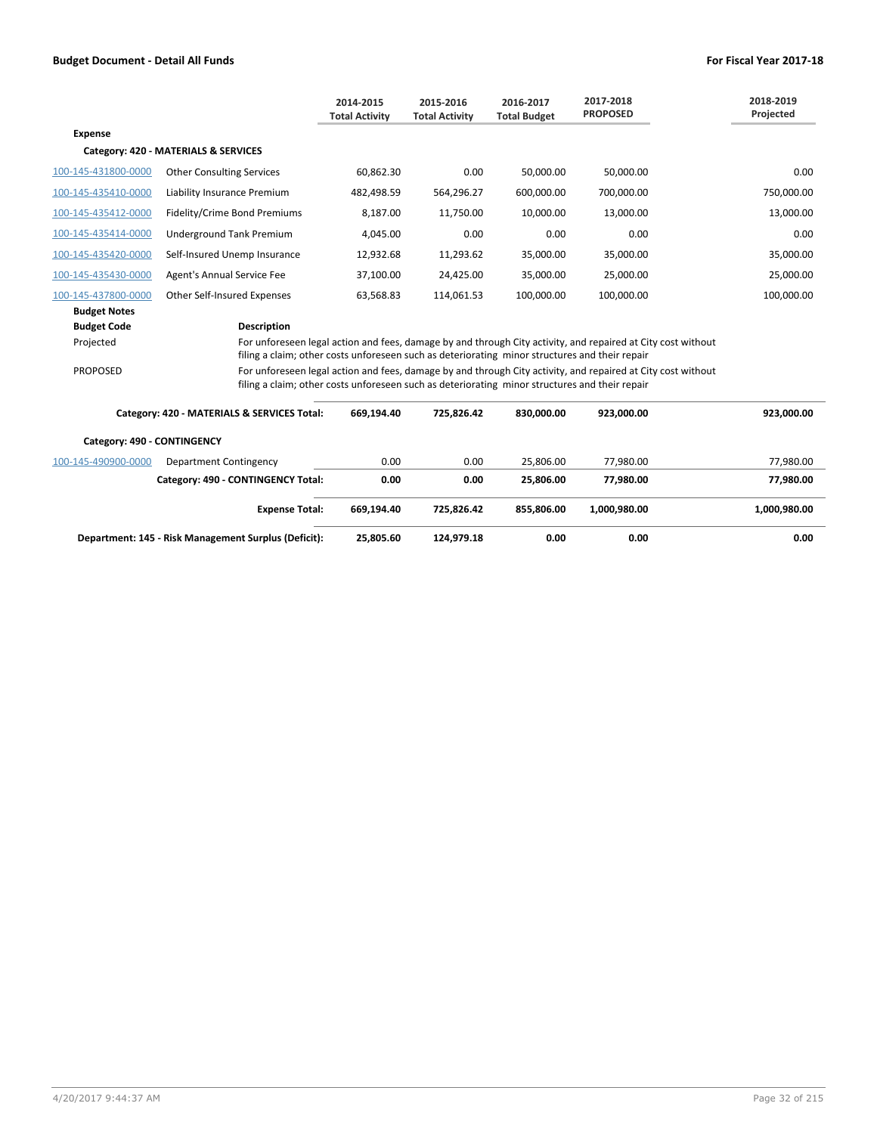|                             |                                                                                                | 2014-2015<br><b>Total Activity</b> | 2015-2016<br><b>Total Activity</b> | 2016-2017<br><b>Total Budget</b> | 2017-2018<br><b>PROPOSED</b>                                                                                 | 2018-2019<br>Projected |
|-----------------------------|------------------------------------------------------------------------------------------------|------------------------------------|------------------------------------|----------------------------------|--------------------------------------------------------------------------------------------------------------|------------------------|
| <b>Expense</b>              |                                                                                                |                                    |                                    |                                  |                                                                                                              |                        |
|                             | Category: 420 - MATERIALS & SERVICES                                                           |                                    |                                    |                                  |                                                                                                              |                        |
| 100-145-431800-0000         | <b>Other Consulting Services</b>                                                               | 60,862.30                          | 0.00                               | 50,000.00                        | 50,000.00                                                                                                    | 0.00                   |
| 100-145-435410-0000         | Liability Insurance Premium                                                                    | 482,498.59                         | 564,296.27                         | 600,000.00                       | 700,000.00                                                                                                   | 750,000.00             |
| 100-145-435412-0000         | Fidelity/Crime Bond Premiums                                                                   | 8,187.00                           | 11,750.00                          | 10,000.00                        | 13,000.00                                                                                                    | 13,000.00              |
| 100-145-435414-0000         | Underground Tank Premium                                                                       | 4,045.00                           | 0.00                               | 0.00                             | 0.00                                                                                                         | 0.00                   |
| 100-145-435420-0000         | Self-Insured Unemp Insurance                                                                   | 12,932.68                          | 11,293.62                          | 35,000.00                        | 35,000.00                                                                                                    | 35,000.00              |
| 100-145-435430-0000         | Agent's Annual Service Fee                                                                     | 37,100.00                          | 24,425.00                          | 35,000.00                        | 25,000.00                                                                                                    | 25,000.00              |
| 100-145-437800-0000         | <b>Other Self-Insured Expenses</b>                                                             | 63,568.83                          | 114,061.53                         | 100,000.00                       | 100,000.00                                                                                                   | 100,000.00             |
| <b>Budget Notes</b>         |                                                                                                |                                    |                                    |                                  |                                                                                                              |                        |
| <b>Budget Code</b>          | <b>Description</b>                                                                             |                                    |                                    |                                  |                                                                                                              |                        |
| Projected                   | filing a claim; other costs unforeseen such as deteriorating minor structures and their repair |                                    |                                    |                                  | For unforeseen legal action and fees, damage by and through City activity, and repaired at City cost without |                        |
| <b>PROPOSED</b>             | filing a claim; other costs unforeseen such as deteriorating minor structures and their repair |                                    |                                    |                                  | For unforeseen legal action and fees, damage by and through City activity, and repaired at City cost without |                        |
|                             | Category: 420 - MATERIALS & SERVICES Total:                                                    | 669.194.40                         | 725.826.42                         | 830.000.00                       | 923.000.00                                                                                                   | 923,000.00             |
| Category: 490 - CONTINGENCY |                                                                                                |                                    |                                    |                                  |                                                                                                              |                        |

| 100-145-490900-0000<br>Department Contingency        |                                    | 0.00       | 0.00       | 25.806.00  | 77.980.00    | 77,980.00    |
|------------------------------------------------------|------------------------------------|------------|------------|------------|--------------|--------------|
|                                                      | Category: 490 - CONTINGENCY Total: | 0.00       | 0.00       | 25,806,00  | 77.980.00    | 77,980.00    |
|                                                      | <b>Expense Total:</b>              | 669.194.40 | 725.826.42 | 855.806.00 | 1.000.980.00 | 1,000,980.00 |
| Department: 145 - Risk Management Surplus (Deficit): |                                    | 25,805.60  | 124.979.18 | 0.00       | 0.00         | 0.00         |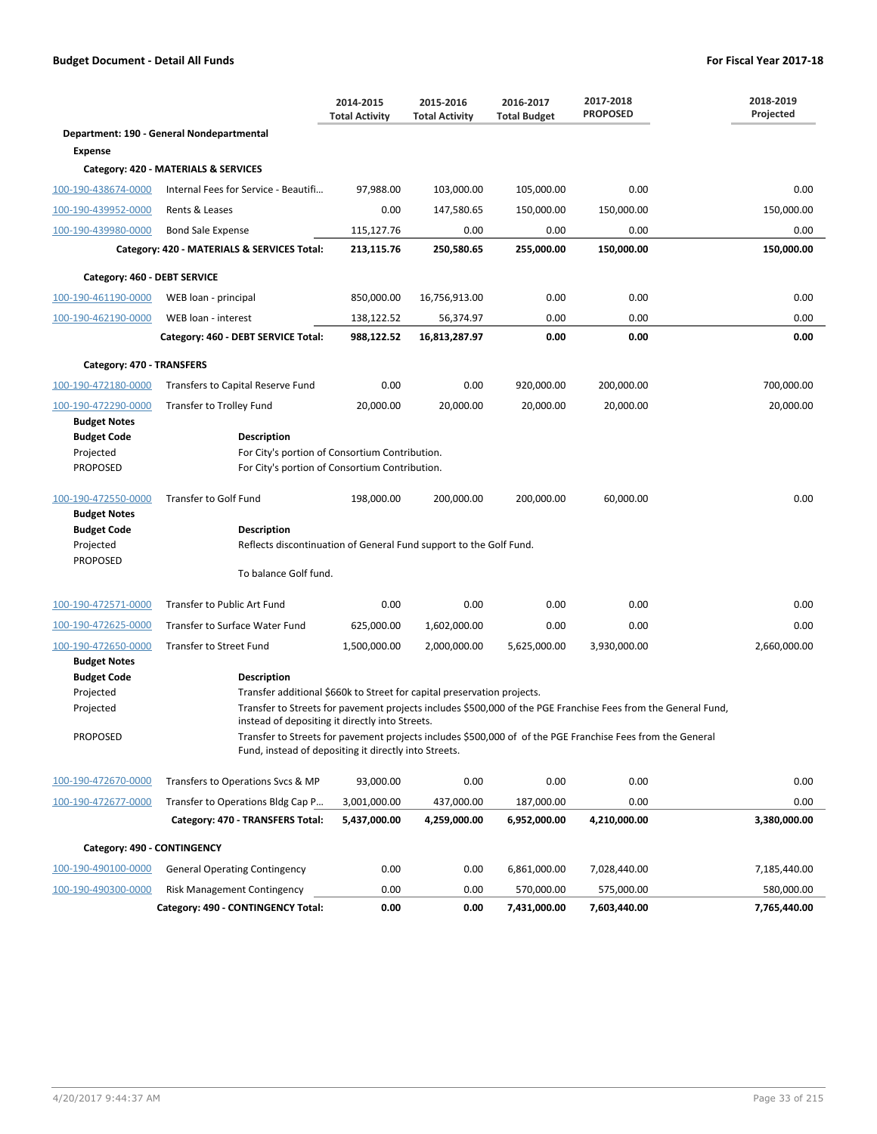|                              |                                                                                                                                                                     | 2014-2015<br><b>Total Activity</b> | 2015-2016<br><b>Total Activity</b> | 2016-2017<br><b>Total Budget</b> | 2017-2018<br><b>PROPOSED</b> | 2018-2019<br>Projected |  |  |  |
|------------------------------|---------------------------------------------------------------------------------------------------------------------------------------------------------------------|------------------------------------|------------------------------------|----------------------------------|------------------------------|------------------------|--|--|--|
|                              | Department: 190 - General Nondepartmental                                                                                                                           |                                    |                                    |                                  |                              |                        |  |  |  |
| <b>Expense</b>               |                                                                                                                                                                     |                                    |                                    |                                  |                              |                        |  |  |  |
|                              | Category: 420 - MATERIALS & SERVICES                                                                                                                                |                                    |                                    |                                  |                              |                        |  |  |  |
| 100-190-438674-0000          | Internal Fees for Service - Beautifi                                                                                                                                | 97,988.00                          | 103,000.00                         | 105,000.00                       | 0.00                         | 0.00                   |  |  |  |
| 100-190-439952-0000          | Rents & Leases                                                                                                                                                      | 0.00                               | 147,580.65                         | 150,000.00                       | 150,000.00                   | 150,000.00             |  |  |  |
| 100-190-439980-0000          | <b>Bond Sale Expense</b>                                                                                                                                            | 115,127.76                         | 0.00                               | 0.00                             | 0.00                         | 0.00                   |  |  |  |
|                              | Category: 420 - MATERIALS & SERVICES Total:                                                                                                                         | 213,115.76                         | 250,580.65                         | 255,000.00                       | 150,000.00                   | 150,000.00             |  |  |  |
| Category: 460 - DEBT SERVICE |                                                                                                                                                                     |                                    |                                    |                                  |                              |                        |  |  |  |
| 100-190-461190-0000          | WEB loan - principal                                                                                                                                                | 850,000.00                         | 16,756,913.00                      | 0.00                             | 0.00                         | 0.00                   |  |  |  |
| 100-190-462190-0000          | WEB loan - interest                                                                                                                                                 | 138,122.52                         | 56,374.97                          | 0.00                             | 0.00                         | 0.00                   |  |  |  |
|                              | Category: 460 - DEBT SERVICE Total:                                                                                                                                 | 988,122.52                         | 16,813,287.97                      | 0.00                             | 0.00                         | 0.00                   |  |  |  |
| Category: 470 - TRANSFERS    |                                                                                                                                                                     |                                    |                                    |                                  |                              |                        |  |  |  |
| 100-190-472180-0000          | Transfers to Capital Reserve Fund                                                                                                                                   | 0.00                               | 0.00                               | 920,000.00                       | 200,000.00                   | 700,000.00             |  |  |  |
| 100-190-472290-0000          | Transfer to Trolley Fund                                                                                                                                            | 20,000.00                          | 20,000.00                          | 20,000.00                        | 20,000.00                    | 20,000.00              |  |  |  |
| <b>Budget Notes</b>          |                                                                                                                                                                     |                                    |                                    |                                  |                              |                        |  |  |  |
| <b>Budget Code</b>           | <b>Description</b>                                                                                                                                                  |                                    |                                    |                                  |                              |                        |  |  |  |
| Projected                    | For City's portion of Consortium Contribution.                                                                                                                      |                                    |                                    |                                  |                              |                        |  |  |  |
| <b>PROPOSED</b>              | For City's portion of Consortium Contribution.                                                                                                                      |                                    |                                    |                                  |                              |                        |  |  |  |
| 100-190-472550-0000          | <b>Transfer to Golf Fund</b>                                                                                                                                        | 198,000.00                         | 200,000.00                         | 200,000.00                       | 60,000.00                    | 0.00                   |  |  |  |
| <b>Budget Notes</b>          |                                                                                                                                                                     |                                    |                                    |                                  |                              |                        |  |  |  |
| <b>Budget Code</b>           | <b>Description</b>                                                                                                                                                  |                                    |                                    |                                  |                              |                        |  |  |  |
| Projected<br><b>PROPOSED</b> | Reflects discontinuation of General Fund support to the Golf Fund.                                                                                                  |                                    |                                    |                                  |                              |                        |  |  |  |
|                              | To balance Golf fund.                                                                                                                                               |                                    |                                    |                                  |                              |                        |  |  |  |
| 100-190-472571-0000          | Transfer to Public Art Fund                                                                                                                                         | 0.00                               | 0.00                               | 0.00                             | 0.00                         | 0.00                   |  |  |  |
| 100-190-472625-0000          | Transfer to Surface Water Fund                                                                                                                                      | 625,000.00                         | 1,602,000.00                       | 0.00                             | 0.00                         | 0.00                   |  |  |  |
| 100-190-472650-0000          | <b>Transfer to Street Fund</b>                                                                                                                                      | 1,500,000.00                       | 2,000,000.00                       | 5,625,000.00                     | 3,930,000.00                 | 2,660,000.00           |  |  |  |
| <b>Budget Notes</b>          |                                                                                                                                                                     |                                    |                                    |                                  |                              |                        |  |  |  |
| <b>Budget Code</b>           | <b>Description</b>                                                                                                                                                  |                                    |                                    |                                  |                              |                        |  |  |  |
| Projected                    | Transfer additional \$660k to Street for capital preservation projects.                                                                                             |                                    |                                    |                                  |                              |                        |  |  |  |
| Projected                    | Transfer to Streets for pavement projects includes \$500,000 of the PGE Franchise Fees from the General Fund,<br>instead of depositing it directly into Streets.    |                                    |                                    |                                  |                              |                        |  |  |  |
| <b>PROPOSED</b>              | Transfer to Streets for pavement projects includes \$500,000 of of the PGE Franchise Fees from the General<br>Fund, instead of depositing it directly into Streets. |                                    |                                    |                                  |                              |                        |  |  |  |
| 100-190-472670-0000          | Transfers to Operations Svcs & MP                                                                                                                                   | 93,000.00                          | 0.00                               | 0.00                             | 0.00                         | 0.00                   |  |  |  |
| 100-190-472677-0000          | Transfer to Operations Bldg Cap P                                                                                                                                   | 3,001,000.00                       | 437,000.00                         | 187,000.00                       | 0.00                         | 0.00                   |  |  |  |
|                              | Category: 470 - TRANSFERS Total:                                                                                                                                    | 5,437,000.00                       | 4,259,000.00                       | 6,952,000.00                     | 4,210,000.00                 | 3,380,000.00           |  |  |  |
| Category: 490 - CONTINGENCY  |                                                                                                                                                                     |                                    |                                    |                                  |                              |                        |  |  |  |
| 100-190-490100-0000          | <b>General Operating Contingency</b>                                                                                                                                | 0.00                               | 0.00                               | 6,861,000.00                     | 7,028,440.00                 | 7,185,440.00           |  |  |  |
| 100-190-490300-0000          | Risk Management Contingency                                                                                                                                         | 0.00                               | 0.00                               | 570,000.00                       | 575,000.00                   | 580,000.00             |  |  |  |
|                              | Category: 490 - CONTINGENCY Total:                                                                                                                                  | 0.00                               | 0.00                               | 7,431,000.00                     | 7,603,440.00                 | 7,765,440.00           |  |  |  |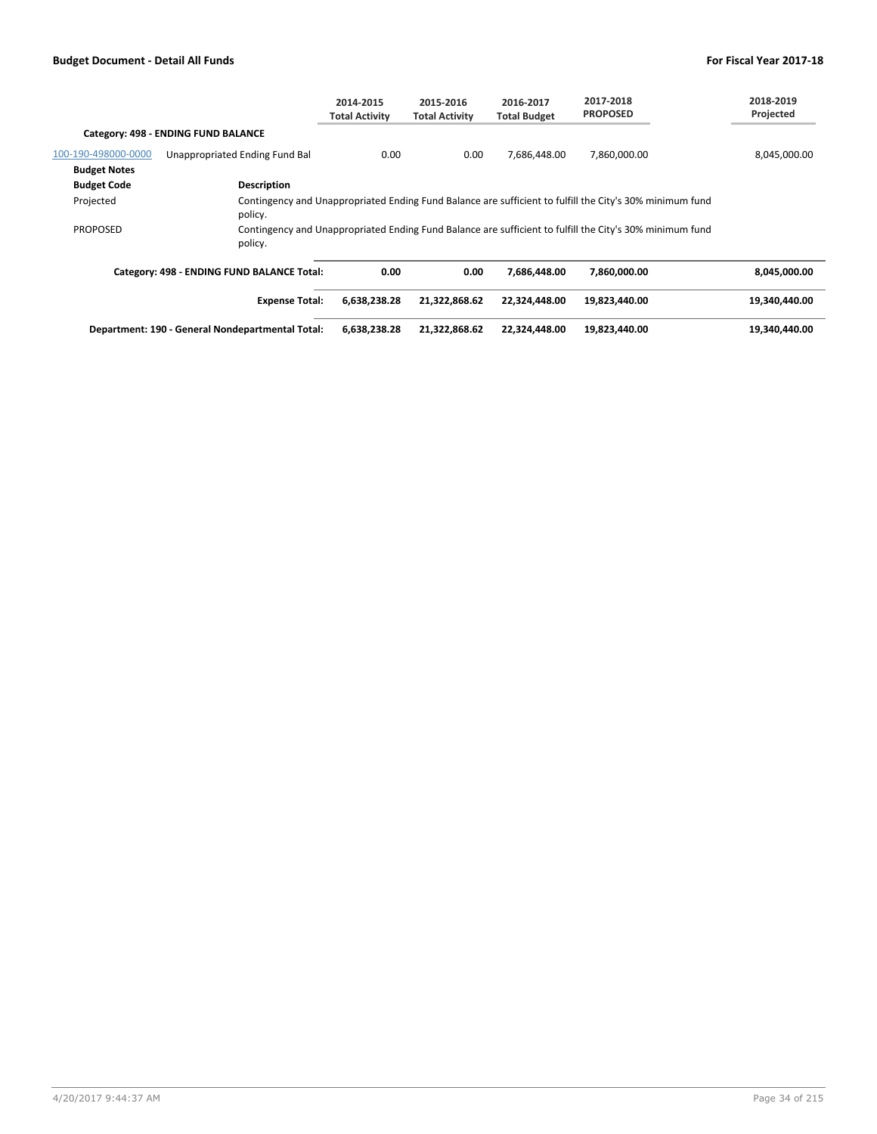|                     |                                                                                                                     | 2014-2015<br><b>Total Activity</b> | 2015-2016<br><b>Total Activity</b> | 2016-2017<br><b>Total Budget</b> | 2017-2018<br><b>PROPOSED</b> | 2018-2019<br>Projected |
|---------------------|---------------------------------------------------------------------------------------------------------------------|------------------------------------|------------------------------------|----------------------------------|------------------------------|------------------------|
|                     | Category: 498 - ENDING FUND BALANCE                                                                                 |                                    |                                    |                                  |                              |                        |
| 100-190-498000-0000 | Unappropriated Ending Fund Bal                                                                                      | 0.00                               | 0.00                               | 7,686,448.00                     | 7,860,000.00                 | 8,045,000.00           |
| <b>Budget Notes</b> |                                                                                                                     |                                    |                                    |                                  |                              |                        |
| <b>Budget Code</b>  | Description                                                                                                         |                                    |                                    |                                  |                              |                        |
| Projected           | Contingency and Unappropriated Ending Fund Balance are sufficient to fulfill the City's 30% minimum fund<br>policy. |                                    |                                    |                                  |                              |                        |
| <b>PROPOSED</b>     | Contingency and Unappropriated Ending Fund Balance are sufficient to fulfill the City's 30% minimum fund<br>policy. |                                    |                                    |                                  |                              |                        |
|                     | Category: 498 - ENDING FUND BALANCE Total:                                                                          | 0.00                               | 0.00                               | 7.686.448.00                     | 7.860.000.00                 | 8.045.000.00           |
|                     | <b>Expense Total:</b>                                                                                               | 6,638,238.28                       | 21,322,868.62                      | 22,324,448.00                    | 19,823,440.00                | 19,340,440.00          |
|                     | Department: 190 - General Nondepartmental Total:                                                                    | 6,638,238.28                       | 21,322,868.62                      | 22,324,448.00                    | 19,823,440.00                | 19.340.440.00          |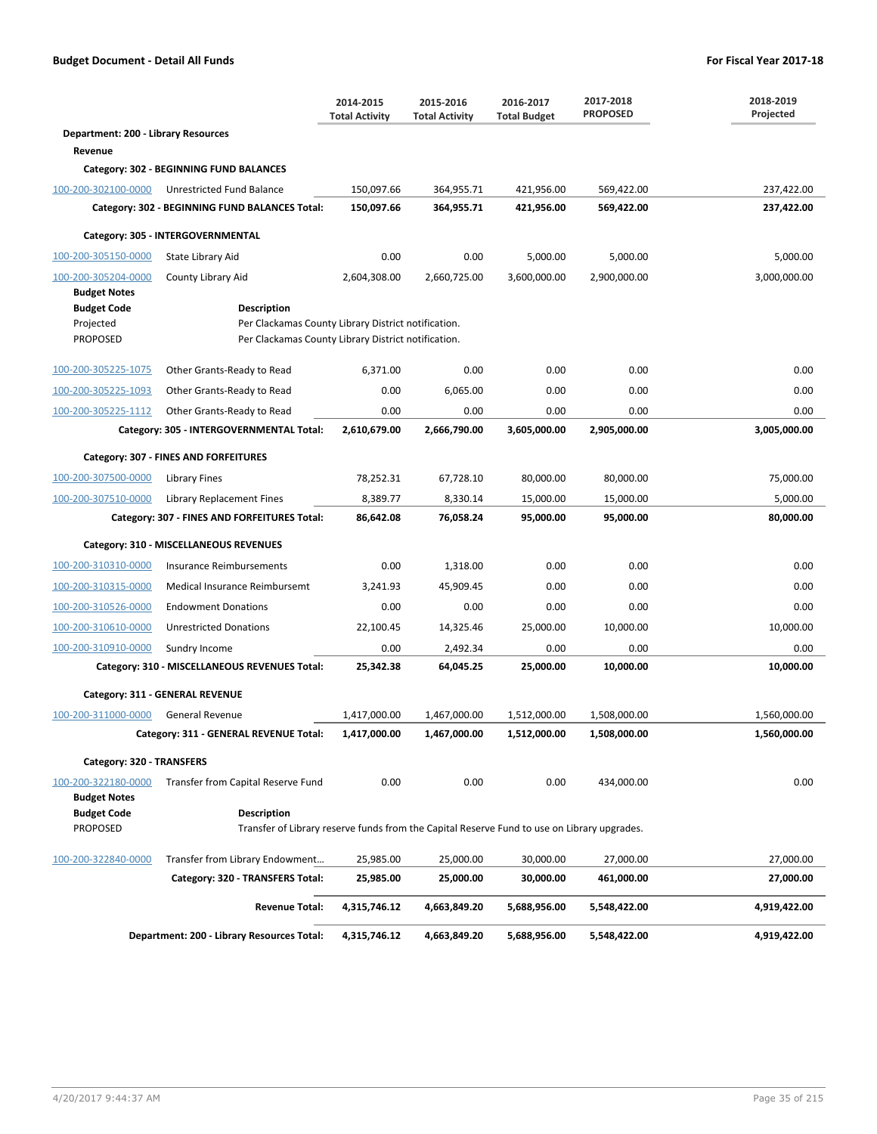|                                       |                                                                                                                   | 2014-2015<br><b>Total Activity</b> | 2015-2016<br><b>Total Activity</b> | 2016-2017<br><b>Total Budget</b> | 2017-2018<br><b>PROPOSED</b> | 2018-2019<br>Projected |
|---------------------------------------|-------------------------------------------------------------------------------------------------------------------|------------------------------------|------------------------------------|----------------------------------|------------------------------|------------------------|
| Department: 200 - Library Resources   |                                                                                                                   |                                    |                                    |                                  |                              |                        |
| Revenue                               |                                                                                                                   |                                    |                                    |                                  |                              |                        |
|                                       | Category: 302 - BEGINNING FUND BALANCES                                                                           |                                    |                                    |                                  |                              |                        |
| 100-200-302100-0000                   | Unrestricted Fund Balance                                                                                         | 150,097.66                         | 364,955.71                         | 421,956.00                       | 569,422.00                   | 237,422.00             |
|                                       | Category: 302 - BEGINNING FUND BALANCES Total:                                                                    | 150,097.66                         | 364,955.71                         | 421,956.00                       | 569,422.00                   | 237,422.00             |
|                                       | Category: 305 - INTERGOVERNMENTAL                                                                                 |                                    |                                    |                                  |                              |                        |
| 100-200-305150-0000                   | State Library Aid                                                                                                 | 0.00                               | 0.00                               | 5,000.00                         | 5,000.00                     | 5,000.00               |
| 100-200-305204-0000                   | County Library Aid                                                                                                | 2,604,308.00                       | 2,660,725.00                       | 3,600,000.00                     | 2,900,000.00                 | 3,000,000.00           |
| <b>Budget Notes</b>                   |                                                                                                                   |                                    |                                    |                                  |                              |                        |
| <b>Budget Code</b>                    | Description                                                                                                       |                                    |                                    |                                  |                              |                        |
| Projected<br><b>PROPOSED</b>          | Per Clackamas County Library District notification.<br>Per Clackamas County Library District notification.        |                                    |                                    |                                  |                              |                        |
| 100-200-305225-1075                   | Other Grants-Ready to Read                                                                                        | 6,371.00                           | 0.00                               | 0.00                             | 0.00                         | 0.00                   |
| 100-200-305225-1093                   | Other Grants-Ready to Read                                                                                        | 0.00                               | 6,065.00                           | 0.00                             | 0.00                         | 0.00                   |
| 100-200-305225-1112                   | Other Grants-Ready to Read                                                                                        | 0.00                               | 0.00                               | 0.00                             | 0.00                         | 0.00                   |
|                                       | Category: 305 - INTERGOVERNMENTAL Total:                                                                          | 2,610,679.00                       | 2,666,790.00                       | 3,605,000.00                     | 2,905,000.00                 | 3,005,000.00           |
|                                       | Category: 307 - FINES AND FORFEITURES                                                                             |                                    |                                    |                                  |                              |                        |
| 100-200-307500-0000                   | Library Fines                                                                                                     | 78,252.31                          | 67,728.10                          | 80,000.00                        | 80,000.00                    | 75,000.00              |
| 100-200-307510-0000                   | Library Replacement Fines                                                                                         | 8,389.77                           | 8,330.14                           | 15,000.00                        | 15,000.00                    | 5,000.00               |
|                                       | Category: 307 - FINES AND FORFEITURES Total:                                                                      | 86,642.08                          | 76,058.24                          | 95,000.00                        | 95,000.00                    | 80,000.00              |
|                                       | Category: 310 - MISCELLANEOUS REVENUES                                                                            |                                    |                                    |                                  |                              |                        |
| 100-200-310310-0000                   | Insurance Reimbursements                                                                                          | 0.00                               | 1,318.00                           | 0.00                             | 0.00                         | 0.00                   |
| 100-200-310315-0000                   | Medical Insurance Reimbursemt                                                                                     | 3,241.93                           | 45,909.45                          | 0.00                             | 0.00                         | 0.00                   |
| 100-200-310526-0000                   | <b>Endowment Donations</b>                                                                                        | 0.00                               | 0.00                               | 0.00                             | 0.00                         | 0.00                   |
| 100-200-310610-0000                   | <b>Unrestricted Donations</b>                                                                                     | 22,100.45                          | 14,325.46                          | 25,000.00                        | 10,000.00                    | 10,000.00              |
| 100-200-310910-0000                   | Sundry Income                                                                                                     | 0.00                               | 2,492.34                           | 0.00                             | 0.00                         | 0.00                   |
|                                       | Category: 310 - MISCELLANEOUS REVENUES Total:                                                                     | 25,342.38                          | 64,045.25                          | 25,000.00                        | 10,000.00                    | 10,000.00              |
|                                       | Category: 311 - GENERAL REVENUE                                                                                   |                                    |                                    |                                  |                              |                        |
| 100-200-311000-0000                   | General Revenue                                                                                                   | 1,417,000.00                       | 1,467,000.00                       | 1,512,000.00                     | 1,508,000.00                 | 1,560,000.00           |
|                                       | Category: 311 - GENERAL REVENUE Total:                                                                            | 1,417,000.00                       | 1,467,000.00                       | 1,512,000.00                     | 1,508,000.00                 | 1,560,000.00           |
| Category: 320 - TRANSFERS             |                                                                                                                   |                                    |                                    |                                  |                              |                        |
| 100-200-322180-0000                   | Transfer from Capital Reserve Fund                                                                                | 0.00                               | 0.00                               | 0.00                             | 434,000.00                   | 0.00                   |
| <b>Budget Notes</b>                   |                                                                                                                   |                                    |                                    |                                  |                              |                        |
| <b>Budget Code</b><br><b>PROPOSED</b> | <b>Description</b><br>Transfer of Library reserve funds from the Capital Reserve Fund to use on Library upgrades. |                                    |                                    |                                  |                              |                        |
| 100-200-322840-0000                   | Transfer from Library Endowment                                                                                   | 25,985.00                          | 25,000.00                          | 30,000.00                        | 27,000.00                    | 27,000.00              |
|                                       | Category: 320 - TRANSFERS Total:                                                                                  | 25,985.00                          | 25,000.00                          | 30,000.00                        | 461,000.00                   | 27,000.00              |
|                                       | <b>Revenue Total:</b>                                                                                             | 4,315,746.12                       | 4,663,849.20                       | 5,688,956.00                     | 5,548,422.00                 | 4,919,422.00           |
|                                       | Department: 200 - Library Resources Total:                                                                        | 4,315,746.12                       | 4,663,849.20                       | 5,688,956.00                     | 5,548,422.00                 | 4,919,422.00           |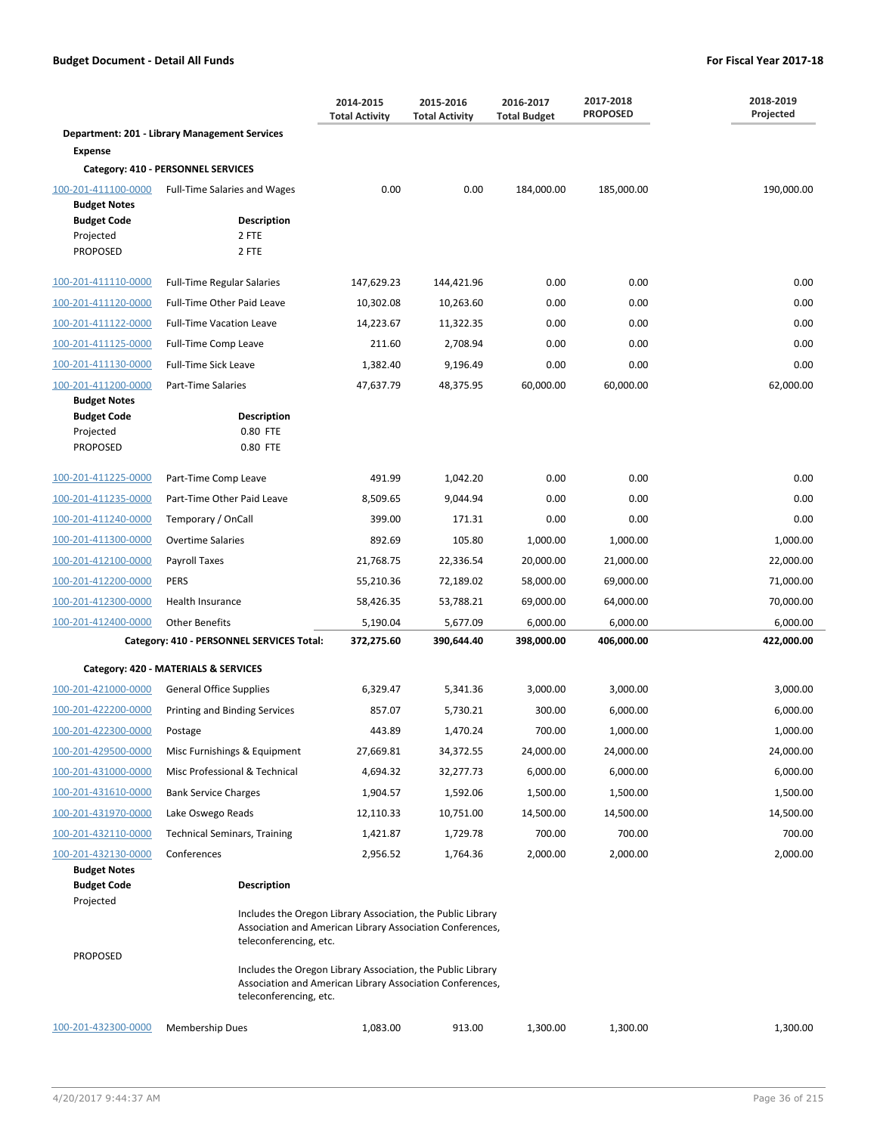|                                            |                                                                                                                                                    | 2014-2015<br><b>Total Activity</b> | 2015-2016<br><b>Total Activity</b> | 2016-2017<br><b>Total Budget</b> | 2017-2018<br><b>PROPOSED</b> | 2018-2019<br>Projected |
|--------------------------------------------|----------------------------------------------------------------------------------------------------------------------------------------------------|------------------------------------|------------------------------------|----------------------------------|------------------------------|------------------------|
|                                            | Department: 201 - Library Management Services                                                                                                      |                                    |                                    |                                  |                              |                        |
| <b>Expense</b>                             |                                                                                                                                                    |                                    |                                    |                                  |                              |                        |
|                                            | Category: 410 - PERSONNEL SERVICES                                                                                                                 |                                    |                                    |                                  |                              |                        |
| 100-201-411100-0000<br><b>Budget Notes</b> | <b>Full-Time Salaries and Wages</b>                                                                                                                | 0.00                               | 0.00                               | 184,000.00                       | 185,000.00                   | 190,000.00             |
| <b>Budget Code</b>                         | <b>Description</b>                                                                                                                                 |                                    |                                    |                                  |                              |                        |
| Projected                                  | 2 FTE                                                                                                                                              |                                    |                                    |                                  |                              |                        |
| <b>PROPOSED</b>                            | 2 FTE                                                                                                                                              |                                    |                                    |                                  |                              |                        |
| 100-201-411110-0000                        | <b>Full-Time Regular Salaries</b>                                                                                                                  | 147,629.23                         | 144,421.96                         | 0.00                             | 0.00                         | 0.00                   |
| 100-201-411120-0000                        | Full-Time Other Paid Leave                                                                                                                         | 10,302.08                          | 10,263.60                          | 0.00                             | 0.00                         | 0.00                   |
| 100-201-411122-0000                        | <b>Full-Time Vacation Leave</b>                                                                                                                    | 14,223.67                          | 11,322.35                          | 0.00                             | 0.00                         | 0.00                   |
| 100-201-411125-0000                        | Full-Time Comp Leave                                                                                                                               | 211.60                             | 2,708.94                           | 0.00                             | 0.00                         | 0.00                   |
| 100-201-411130-0000                        | <b>Full-Time Sick Leave</b>                                                                                                                        | 1,382.40                           | 9,196.49                           | 0.00                             | 0.00                         | 0.00                   |
| 100-201-411200-0000                        | Part-Time Salaries                                                                                                                                 | 47,637.79                          | 48,375.95                          | 60,000.00                        | 60,000.00                    | 62,000.00              |
| <b>Budget Notes</b>                        |                                                                                                                                                    |                                    |                                    |                                  |                              |                        |
| <b>Budget Code</b><br>Projected            | <b>Description</b><br>0.80 FTE                                                                                                                     |                                    |                                    |                                  |                              |                        |
| <b>PROPOSED</b>                            | 0.80 FTE                                                                                                                                           |                                    |                                    |                                  |                              |                        |
| 100-201-411225-0000                        | Part-Time Comp Leave                                                                                                                               | 491.99                             | 1,042.20                           | 0.00                             | 0.00                         | 0.00                   |
| 100-201-411235-0000                        | Part-Time Other Paid Leave                                                                                                                         | 8,509.65                           | 9,044.94                           | 0.00                             | 0.00                         | 0.00                   |
| 100-201-411240-0000                        | Temporary / OnCall                                                                                                                                 | 399.00                             | 171.31                             | 0.00                             | 0.00                         | 0.00                   |
| 100-201-411300-0000                        | <b>Overtime Salaries</b>                                                                                                                           | 892.69                             | 105.80                             | 1,000.00                         | 1,000.00                     | 1,000.00               |
| 100-201-412100-0000                        | Payroll Taxes                                                                                                                                      | 21,768.75                          | 22,336.54                          | 20,000.00                        | 21,000.00                    | 22,000.00              |
| 100-201-412200-0000                        | <b>PERS</b>                                                                                                                                        | 55,210.36                          | 72,189.02                          | 58,000.00                        | 69,000.00                    | 71,000.00              |
| 100-201-412300-0000                        | Health Insurance                                                                                                                                   | 58,426.35                          | 53,788.21                          | 69,000.00                        | 64,000.00                    | 70,000.00              |
| 100-201-412400-0000                        | <b>Other Benefits</b>                                                                                                                              | 5,190.04                           | 5,677.09                           | 6,000.00                         | 6,000.00                     | 6,000.00               |
|                                            | Category: 410 - PERSONNEL SERVICES Total:                                                                                                          | 372,275.60                         | 390,644.40                         | 398,000.00                       | 406,000.00                   | 422,000.00             |
|                                            | Category: 420 - MATERIALS & SERVICES                                                                                                               |                                    |                                    |                                  |                              |                        |
| 100-201-421000-0000                        | <b>General Office Supplies</b>                                                                                                                     | 6,329.47                           | 5,341.36                           | 3,000.00                         | 3,000.00                     | 3,000.00               |
| 100-201-422200-0000                        | Printing and Binding Services                                                                                                                      | 857.07                             | 5,730.21                           | 300.00                           | 6,000.00                     | 6,000.00               |
| 100-201-422300-0000                        | Postage                                                                                                                                            | 443.89                             | 1,470.24                           | 700.00                           | 1,000.00                     | 1,000.00               |
| 100-201-429500-0000                        | Misc Furnishings & Equipment                                                                                                                       | 27,669.81                          | 34,372.55                          | 24,000.00                        | 24,000.00                    | 24,000.00              |
| 100-201-431000-0000                        | Misc Professional & Technical                                                                                                                      | 4,694.32                           | 32,277.73                          | 6,000.00                         | 6,000.00                     | 6,000.00               |
| 100-201-431610-0000                        | <b>Bank Service Charges</b>                                                                                                                        | 1,904.57                           | 1,592.06                           | 1,500.00                         | 1,500.00                     | 1,500.00               |
| 100-201-431970-0000                        | Lake Oswego Reads                                                                                                                                  | 12,110.33                          | 10,751.00                          | 14,500.00                        | 14,500.00                    | 14,500.00              |
| 100-201-432110-0000                        | <b>Technical Seminars, Training</b>                                                                                                                | 1,421.87                           | 1,729.78                           | 700.00                           | 700.00                       | 700.00                 |
| 100-201-432130-0000                        | Conferences                                                                                                                                        | 2,956.52                           | 1,764.36                           | 2,000.00                         | 2,000.00                     | 2,000.00               |
| <b>Budget Notes</b><br><b>Budget Code</b>  | Description                                                                                                                                        |                                    |                                    |                                  |                              |                        |
| Projected                                  |                                                                                                                                                    |                                    |                                    |                                  |                              |                        |
|                                            | Includes the Oregon Library Association, the Public Library<br>Association and American Library Association Conferences,<br>teleconferencing, etc. |                                    |                                    |                                  |                              |                        |
| <b>PROPOSED</b>                            | Includes the Oregon Library Association, the Public Library<br>Association and American Library Association Conferences,<br>teleconferencing, etc. |                                    |                                    |                                  |                              |                        |
| 100-201-432300-0000                        | <b>Membership Dues</b>                                                                                                                             | 1,083.00                           | 913.00                             | 1,300.00                         | 1,300.00                     | 1,300.00               |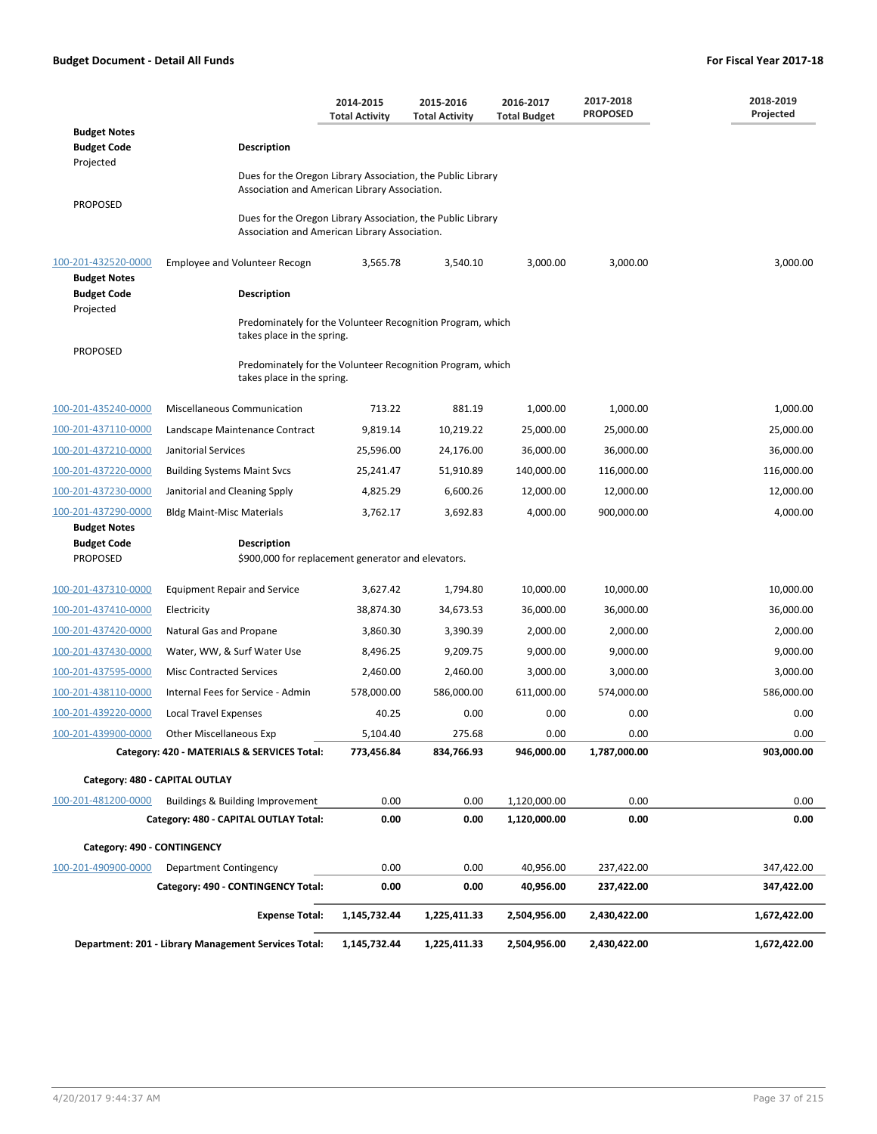|                                                              |                                                                                                              | 2014-2015<br><b>Total Activity</b> | 2015-2016<br><b>Total Activity</b> | 2016-2017<br><b>Total Budget</b> | 2017-2018<br><b>PROPOSED</b> | 2018-2019<br>Projected |  |  |  |
|--------------------------------------------------------------|--------------------------------------------------------------------------------------------------------------|------------------------------------|------------------------------------|----------------------------------|------------------------------|------------------------|--|--|--|
| <b>Budget Notes</b>                                          |                                                                                                              |                                    |                                    |                                  |                              |                        |  |  |  |
| <b>Budget Code</b>                                           | <b>Description</b>                                                                                           |                                    |                                    |                                  |                              |                        |  |  |  |
| Projected                                                    | Dues for the Oregon Library Association, the Public Library                                                  |                                    |                                    |                                  |                              |                        |  |  |  |
|                                                              | Association and American Library Association.                                                                |                                    |                                    |                                  |                              |                        |  |  |  |
| <b>PROPOSED</b>                                              | Dues for the Oregon Library Association, the Public Library<br>Association and American Library Association. |                                    |                                    |                                  |                              |                        |  |  |  |
| 100-201-432520-0000<br><b>Budget Notes</b>                   | Employee and Volunteer Recogn                                                                                | 3,565.78                           | 3,540.10                           | 3,000.00                         | 3,000.00                     | 3,000.00               |  |  |  |
| <b>Budget Code</b>                                           | <b>Description</b>                                                                                           |                                    |                                    |                                  |                              |                        |  |  |  |
| Projected                                                    |                                                                                                              |                                    |                                    |                                  |                              |                        |  |  |  |
| <b>PROPOSED</b>                                              | Predominately for the Volunteer Recognition Program, which<br>takes place in the spring.                     |                                    |                                    |                                  |                              |                        |  |  |  |
|                                                              | Predominately for the Volunteer Recognition Program, which<br>takes place in the spring.                     |                                    |                                    |                                  |                              |                        |  |  |  |
| 100-201-435240-0000                                          | <b>Miscellaneous Communication</b>                                                                           | 713.22                             | 881.19                             | 1,000.00                         | 1,000.00                     | 1,000.00               |  |  |  |
| 100-201-437110-0000                                          | Landscape Maintenance Contract                                                                               | 9,819.14                           | 10,219.22                          | 25,000.00                        | 25,000.00                    | 25,000.00              |  |  |  |
| 100-201-437210-0000                                          | Janitorial Services                                                                                          | 25,596.00                          | 24,176.00                          | 36,000.00                        | 36,000.00                    | 36,000.00              |  |  |  |
| 100-201-437220-0000                                          | <b>Building Systems Maint Svcs</b>                                                                           | 25,241.47                          | 51,910.89                          | 140,000.00                       | 116,000.00                   | 116,000.00             |  |  |  |
| 100-201-437230-0000                                          | Janitorial and Cleaning Spply                                                                                | 4,825.29                           | 6,600.26                           | 12,000.00                        | 12,000.00                    | 12,000.00              |  |  |  |
| 100-201-437290-0000                                          | <b>Bldg Maint-Misc Materials</b>                                                                             | 3,762.17                           | 3,692.83                           | 4,000.00                         | 900,000.00                   | 4,000.00               |  |  |  |
| <b>Budget Notes</b><br><b>Budget Code</b><br><b>PROPOSED</b> | <b>Description</b><br>\$900,000 for replacement generator and elevators.                                     |                                    |                                    |                                  |                              |                        |  |  |  |
| 100-201-437310-0000                                          | <b>Equipment Repair and Service</b>                                                                          | 3,627.42                           | 1,794.80                           | 10,000.00                        | 10,000.00                    | 10,000.00              |  |  |  |
| 100-201-437410-0000                                          | Electricity                                                                                                  | 38,874.30                          | 34,673.53                          | 36,000.00                        | 36,000.00                    | 36,000.00              |  |  |  |
| 100-201-437420-0000                                          | Natural Gas and Propane                                                                                      | 3,860.30                           | 3,390.39                           | 2,000.00                         | 2,000.00                     | 2,000.00               |  |  |  |
| 100-201-437430-0000                                          | Water, WW, & Surf Water Use                                                                                  | 8,496.25                           | 9,209.75                           | 9,000.00                         | 9,000.00                     | 9,000.00               |  |  |  |
| 100-201-437595-0000                                          | <b>Misc Contracted Services</b>                                                                              | 2,460.00                           | 2,460.00                           | 3,000.00                         | 3,000.00                     | 3,000.00               |  |  |  |
| 100-201-438110-0000                                          | Internal Fees for Service - Admin                                                                            | 578,000.00                         | 586,000.00                         | 611,000.00                       | 574,000.00                   | 586,000.00             |  |  |  |
| 100-201-439220-0000                                          | <b>Local Travel Expenses</b>                                                                                 | 40.25                              | 0.00                               | 0.00                             | 0.00                         | 0.00                   |  |  |  |
| 100-201-439900-0000                                          | Other Miscellaneous Exp                                                                                      | 5,104.40                           | 275.68                             | 0.00                             | 0.00                         | 0.00                   |  |  |  |
|                                                              | Category: 420 - MATERIALS & SERVICES Total:                                                                  | 773,456.84                         | 834,766.93                         | 946,000.00                       | 1,787,000.00                 | 903,000.00             |  |  |  |
| Category: 480 - CAPITAL OUTLAY                               |                                                                                                              |                                    |                                    |                                  |                              |                        |  |  |  |
| 100-201-481200-0000                                          | Buildings & Building Improvement                                                                             | 0.00                               | 0.00                               | 1,120,000.00                     | 0.00                         | 0.00                   |  |  |  |
|                                                              | Category: 480 - CAPITAL OUTLAY Total:                                                                        | 0.00                               | 0.00                               | 1,120,000.00                     | 0.00                         | 0.00                   |  |  |  |
| Category: 490 - CONTINGENCY                                  |                                                                                                              |                                    |                                    |                                  |                              |                        |  |  |  |
| 100-201-490900-0000                                          | Department Contingency                                                                                       | 0.00                               | 0.00                               | 40,956.00                        | 237,422.00                   | 347,422.00             |  |  |  |
|                                                              | Category: 490 - CONTINGENCY Total:                                                                           | 0.00                               | 0.00                               | 40,956.00                        | 237,422.00                   | 347,422.00             |  |  |  |
|                                                              | <b>Expense Total:</b>                                                                                        | 1,145,732.44                       | 1,225,411.33                       | 2,504,956.00                     | 2,430,422.00                 | 1,672,422.00           |  |  |  |
|                                                              | Department: 201 - Library Management Services Total:                                                         | 1,145,732.44                       | 1,225,411.33                       | 2,504,956.00                     | 2,430,422.00                 | 1,672,422.00           |  |  |  |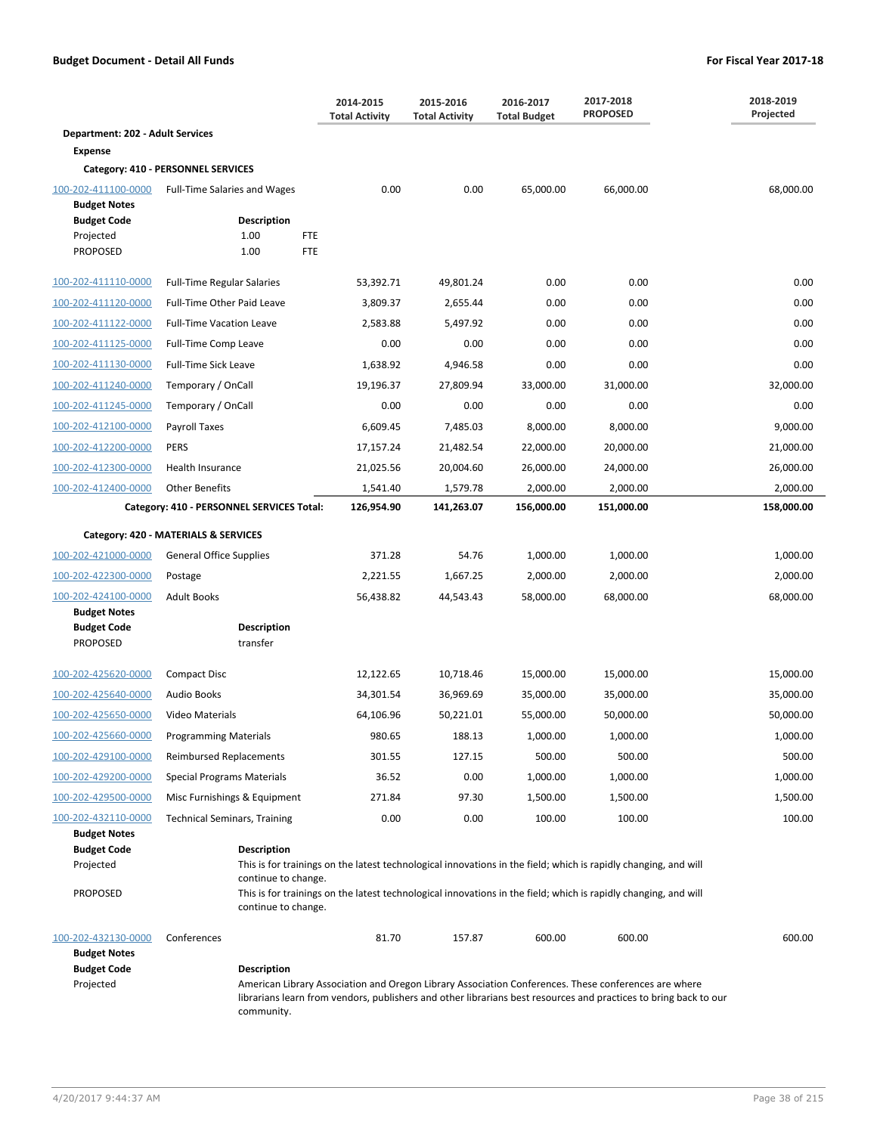|                                            |                                           | 2014-2015<br><b>Total Activity</b>                                                                                                                                                                                       | 2015-2016<br><b>Total Activity</b> | 2016-2017<br><b>Total Budget</b> | 2017-2018<br><b>PROPOSED</b> | 2018-2019<br>Projected |
|--------------------------------------------|-------------------------------------------|--------------------------------------------------------------------------------------------------------------------------------------------------------------------------------------------------------------------------|------------------------------------|----------------------------------|------------------------------|------------------------|
| Department: 202 - Adult Services           |                                           |                                                                                                                                                                                                                          |                                    |                                  |                              |                        |
| <b>Expense</b>                             |                                           |                                                                                                                                                                                                                          |                                    |                                  |                              |                        |
|                                            | Category: 410 - PERSONNEL SERVICES        |                                                                                                                                                                                                                          |                                    |                                  |                              |                        |
| 100-202-411100-0000<br><b>Budget Notes</b> | <b>Full-Time Salaries and Wages</b>       | 0.00                                                                                                                                                                                                                     | 0.00                               | 65,000.00                        | 66,000.00                    | 68,000.00              |
| <b>Budget Code</b>                         | <b>Description</b>                        |                                                                                                                                                                                                                          |                                    |                                  |                              |                        |
| Projected<br><b>PROPOSED</b>               | 1.00<br><b>FTE</b><br><b>FTE</b><br>1.00  |                                                                                                                                                                                                                          |                                    |                                  |                              |                        |
|                                            |                                           |                                                                                                                                                                                                                          |                                    |                                  |                              |                        |
| 100-202-411110-0000                        | <b>Full-Time Regular Salaries</b>         | 53,392.71                                                                                                                                                                                                                | 49,801.24                          | 0.00                             | 0.00                         | 0.00                   |
| 100-202-411120-0000                        | Full-Time Other Paid Leave                | 3,809.37                                                                                                                                                                                                                 | 2,655.44                           | 0.00                             | 0.00                         | 0.00                   |
| 100-202-411122-0000                        | <b>Full-Time Vacation Leave</b>           | 2,583.88                                                                                                                                                                                                                 | 5,497.92                           | 0.00                             | 0.00                         | 0.00                   |
| 100-202-411125-0000                        | Full-Time Comp Leave                      | 0.00                                                                                                                                                                                                                     | 0.00                               | 0.00                             | 0.00                         | 0.00                   |
| 100-202-411130-0000                        | <b>Full-Time Sick Leave</b>               | 1,638.92                                                                                                                                                                                                                 | 4,946.58                           | 0.00                             | 0.00                         | 0.00                   |
| 100-202-411240-0000                        | Temporary / OnCall                        | 19,196.37                                                                                                                                                                                                                | 27,809.94                          | 33,000.00                        | 31,000.00                    | 32,000.00              |
| 100-202-411245-0000                        | Temporary / OnCall                        | 0.00                                                                                                                                                                                                                     | 0.00                               | 0.00                             | 0.00                         | 0.00                   |
| 100-202-412100-0000                        | Payroll Taxes                             | 6,609.45                                                                                                                                                                                                                 | 7,485.03                           | 8,000.00                         | 8,000.00                     | 9,000.00               |
| 100-202-412200-0000                        | <b>PERS</b>                               | 17,157.24                                                                                                                                                                                                                | 21,482.54                          | 22,000.00                        | 20,000.00                    | 21,000.00              |
| 100-202-412300-0000                        | Health Insurance                          | 21,025.56                                                                                                                                                                                                                | 20,004.60                          | 26,000.00                        | 24,000.00                    | 26,000.00              |
| 100-202-412400-0000                        | <b>Other Benefits</b>                     | 1,541.40                                                                                                                                                                                                                 | 1,579.78                           | 2,000.00                         | 2,000.00                     | 2,000.00               |
|                                            | Category: 410 - PERSONNEL SERVICES Total: | 126,954.90                                                                                                                                                                                                               | 141,263.07                         | 156,000.00                       | 151,000.00                   | 158,000.00             |
|                                            | Category: 420 - MATERIALS & SERVICES      |                                                                                                                                                                                                                          |                                    |                                  |                              |                        |
| 100-202-421000-0000                        | <b>General Office Supplies</b>            | 371.28                                                                                                                                                                                                                   | 54.76                              | 1,000.00                         | 1,000.00                     | 1,000.00               |
| 100-202-422300-0000                        | Postage                                   | 2,221.55                                                                                                                                                                                                                 | 1,667.25                           | 2,000.00                         | 2,000.00                     | 2,000.00               |
| 100-202-424100-0000                        | <b>Adult Books</b>                        | 56,438.82                                                                                                                                                                                                                | 44,543.43                          | 58,000.00                        | 68,000.00                    | 68,000.00              |
| <b>Budget Notes</b>                        |                                           |                                                                                                                                                                                                                          |                                    |                                  |                              |                        |
| <b>Budget Code</b><br><b>PROPOSED</b>      | <b>Description</b><br>transfer            |                                                                                                                                                                                                                          |                                    |                                  |                              |                        |
|                                            |                                           |                                                                                                                                                                                                                          |                                    |                                  |                              |                        |
| 100-202-425620-0000                        | <b>Compact Disc</b>                       | 12,122.65                                                                                                                                                                                                                | 10,718.46                          | 15,000.00                        | 15,000.00                    | 15,000.00              |
| 100-202-425640-0000                        | <b>Audio Books</b>                        | 34,301.54                                                                                                                                                                                                                | 36,969.69                          | 35,000.00                        | 35,000.00                    | 35,000.00              |
| 100-202-425650-0000                        | Video Materials                           | 64,106.96                                                                                                                                                                                                                | 50,221.01                          | 55,000.00                        | 50,000.00                    | 50,000.00              |
| 100-202-425660-0000                        | <b>Programming Materials</b>              | 980.65                                                                                                                                                                                                                   | 188.13                             | 1,000.00                         | 1,000.00                     | 1,000.00               |
| 100-202-429100-0000                        | Reimbursed Replacements                   | 301.55                                                                                                                                                                                                                   | 127.15                             | 500.00                           | 500.00                       | 500.00                 |
| 100-202-429200-0000                        | Special Programs Materials                | 36.52                                                                                                                                                                                                                    | 0.00                               | 1,000.00                         | 1,000.00                     | 1,000.00               |
| 100-202-429500-0000                        | Misc Furnishings & Equipment              | 271.84                                                                                                                                                                                                                   | 97.30                              | 1,500.00                         | 1,500.00                     | 1,500.00               |
| 100-202-432110-0000                        | <b>Technical Seminars, Training</b>       | 0.00                                                                                                                                                                                                                     | 0.00                               | 100.00                           | 100.00                       | 100.00                 |
| <b>Budget Notes</b><br><b>Budget Code</b>  | <b>Description</b>                        |                                                                                                                                                                                                                          |                                    |                                  |                              |                        |
| Projected                                  |                                           | This is for trainings on the latest technological innovations in the field; which is rapidly changing, and will                                                                                                          |                                    |                                  |                              |                        |
|                                            | continue to change.                       |                                                                                                                                                                                                                          |                                    |                                  |                              |                        |
| <b>PROPOSED</b>                            | continue to change.                       | This is for trainings on the latest technological innovations in the field; which is rapidly changing, and will                                                                                                          |                                    |                                  |                              |                        |
|                                            |                                           |                                                                                                                                                                                                                          |                                    |                                  |                              |                        |
| 100-202-432130-0000<br><b>Budget Notes</b> | Conferences                               | 81.70                                                                                                                                                                                                                    | 157.87                             | 600.00                           | 600.00                       | 600.00                 |
| <b>Budget Code</b>                         | <b>Description</b>                        |                                                                                                                                                                                                                          |                                    |                                  |                              |                        |
| Projected                                  | community.                                | American Library Association and Oregon Library Association Conferences. These conferences are where<br>librarians learn from vendors, publishers and other librarians best resources and practices to bring back to our |                                    |                                  |                              |                        |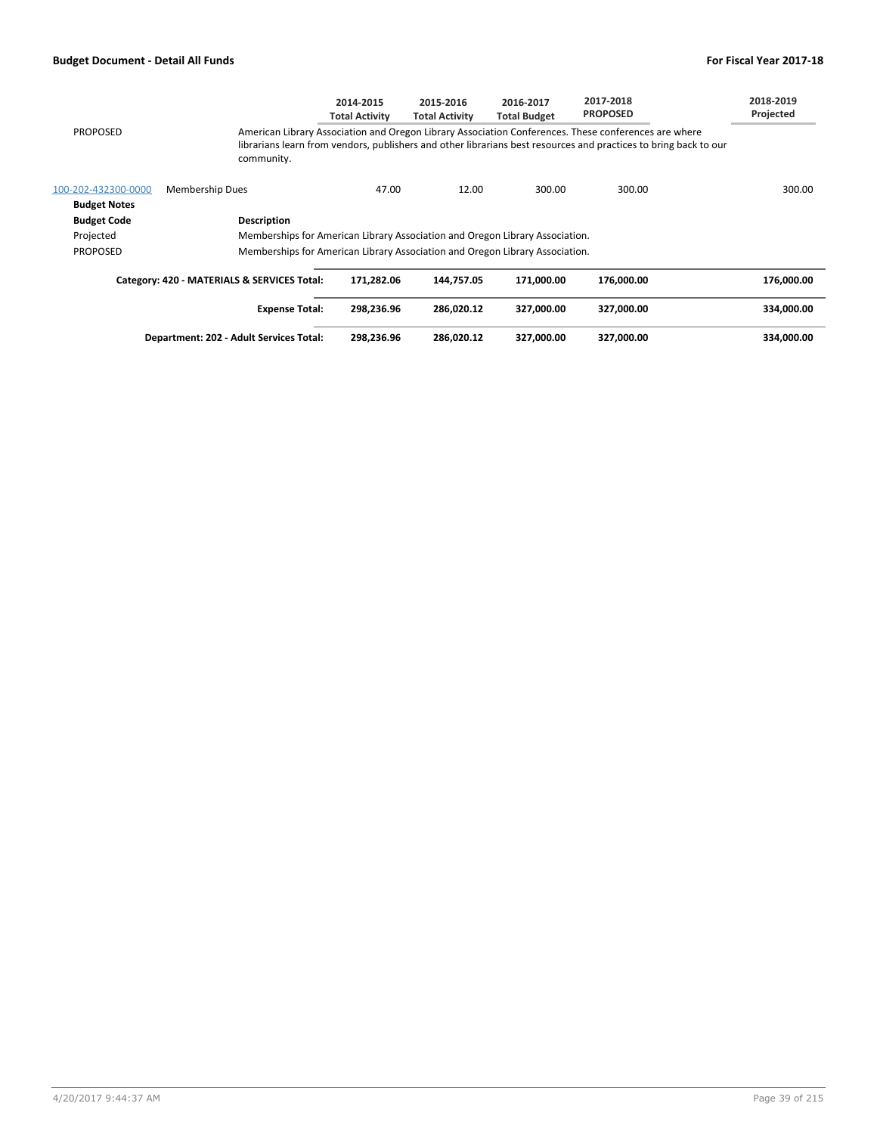|                     |                                                                              | 2014-2015<br>Total Activitv | 2015-2016<br><b>Total Activity</b> | 2016-2017<br><b>Total Budget</b> | 2017-2018<br><b>PROPOSED</b>                                                                                                                                                                                             | 2018-2019<br>Projected |
|---------------------|------------------------------------------------------------------------------|-----------------------------|------------------------------------|----------------------------------|--------------------------------------------------------------------------------------------------------------------------------------------------------------------------------------------------------------------------|------------------------|
| <b>PROPOSED</b>     | community.                                                                   |                             |                                    |                                  | American Library Association and Oregon Library Association Conferences. These conferences are where<br>librarians learn from vendors, publishers and other librarians best resources and practices to bring back to our |                        |
| 100-202-432300-0000 | <b>Membership Dues</b>                                                       | 47.00                       | 12.00                              | 300.00                           | 300.00                                                                                                                                                                                                                   | 300.00                 |
| <b>Budget Notes</b> |                                                                              |                             |                                    |                                  |                                                                                                                                                                                                                          |                        |
| <b>Budget Code</b>  | <b>Description</b>                                                           |                             |                                    |                                  |                                                                                                                                                                                                                          |                        |
| Projected           | Memberships for American Library Association and Oregon Library Association. |                             |                                    |                                  |                                                                                                                                                                                                                          |                        |
| <b>PROPOSED</b>     | Memberships for American Library Association and Oregon Library Association. |                             |                                    |                                  |                                                                                                                                                                                                                          |                        |
|                     | Category: 420 - MATERIALS & SERVICES Total:                                  | 171,282.06                  | 144.757.05                         | 171.000.00                       | 176.000.00                                                                                                                                                                                                               | 176.000.00             |
|                     | <b>Expense Total:</b>                                                        | 298.236.96                  | 286.020.12                         | 327.000.00                       | 327.000.00                                                                                                                                                                                                               | 334,000.00             |

**Department: 202 - Adult Services Total: 298,236.96 286,020.12 327,000.00 327,000.00 334,000.00**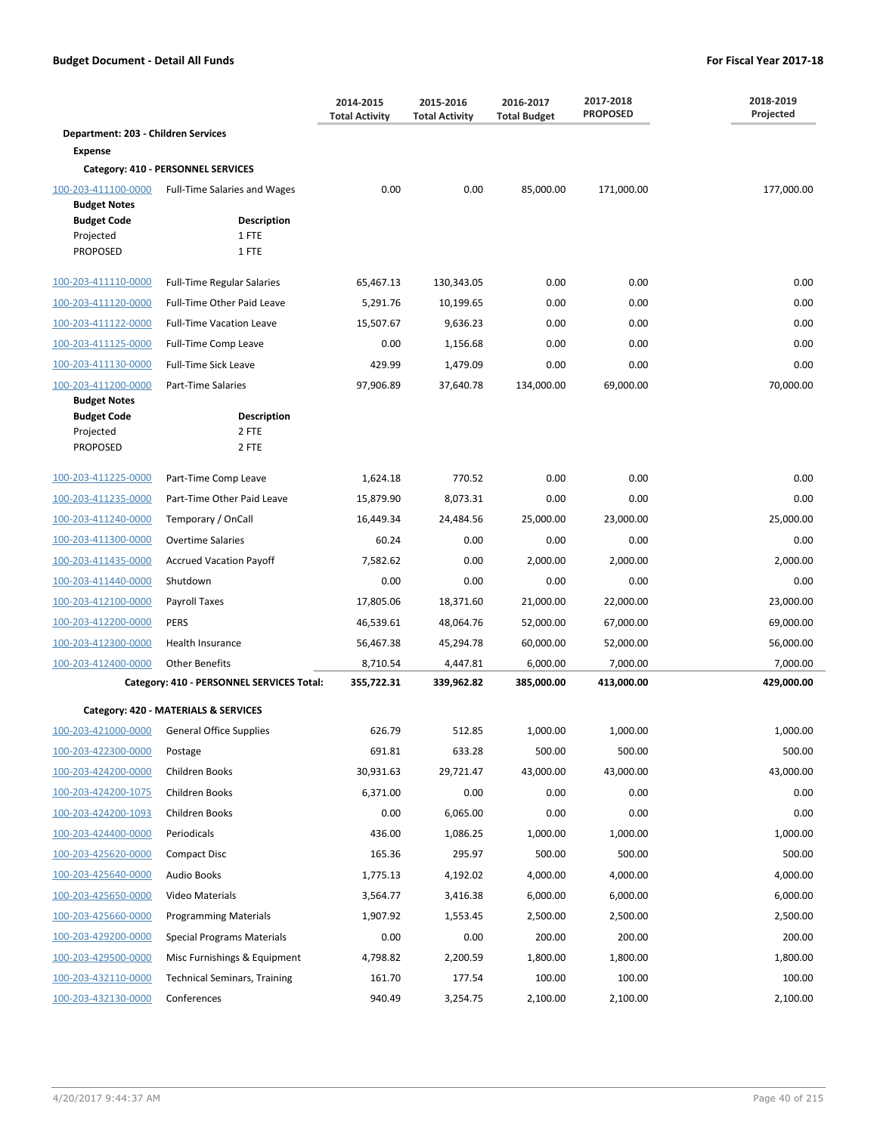|                                            |                                             | 2014-2015<br><b>Total Activity</b> | 2015-2016<br><b>Total Activity</b> | 2016-2017<br><b>Total Budget</b> | 2017-2018<br><b>PROPOSED</b> | 2018-2019<br>Projected |
|--------------------------------------------|---------------------------------------------|------------------------------------|------------------------------------|----------------------------------|------------------------------|------------------------|
| Department: 203 - Children Services        |                                             |                                    |                                    |                                  |                              |                        |
| <b>Expense</b>                             |                                             |                                    |                                    |                                  |                              |                        |
|                                            | Category: 410 - PERSONNEL SERVICES          |                                    |                                    |                                  |                              |                        |
| 100-203-411100-0000<br><b>Budget Notes</b> | Full-Time Salaries and Wages                | 0.00                               | 0.00                               | 85,000.00                        | 171,000.00                   | 177,000.00             |
| <b>Budget Code</b>                         | <b>Description</b>                          |                                    |                                    |                                  |                              |                        |
| Projected                                  | 1 FTE                                       |                                    |                                    |                                  |                              |                        |
| <b>PROPOSED</b>                            | 1 FTE                                       |                                    |                                    |                                  |                              |                        |
| 100-203-411110-0000                        | <b>Full-Time Regular Salaries</b>           | 65,467.13                          | 130,343.05                         | 0.00                             | 0.00                         | 0.00                   |
| 100-203-411120-0000                        | Full-Time Other Paid Leave                  | 5,291.76                           | 10,199.65                          | 0.00                             | 0.00                         | 0.00                   |
| 100-203-411122-0000                        | <b>Full-Time Vacation Leave</b>             | 15,507.67                          | 9,636.23                           | 0.00                             | 0.00                         | 0.00                   |
| 100-203-411125-0000                        | Full-Time Comp Leave                        | 0.00                               | 1,156.68                           | 0.00                             | 0.00                         | 0.00                   |
| 100-203-411130-0000                        | <b>Full-Time Sick Leave</b>                 | 429.99                             | 1,479.09                           | 0.00                             | 0.00                         | 0.00                   |
| 100-203-411200-0000                        | Part-Time Salaries                          | 97,906.89                          | 37,640.78                          | 134,000.00                       | 69,000.00                    | 70,000.00              |
| <b>Budget Notes</b><br><b>Budget Code</b>  | <b>Description</b>                          |                                    |                                    |                                  |                              |                        |
| Projected                                  | 2 FTE                                       |                                    |                                    |                                  |                              |                        |
| <b>PROPOSED</b>                            | 2 FTE                                       |                                    |                                    |                                  |                              |                        |
| 100-203-411225-0000                        | Part-Time Comp Leave                        | 1,624.18                           | 770.52                             | 0.00                             | 0.00                         | 0.00                   |
| 100-203-411235-0000                        | Part-Time Other Paid Leave                  | 15,879.90                          | 8,073.31                           | 0.00                             | 0.00                         | 0.00                   |
| 100-203-411240-0000                        | Temporary / OnCall                          | 16,449.34                          | 24,484.56                          | 25,000.00                        | 23,000.00                    | 25,000.00              |
| 100-203-411300-0000                        | <b>Overtime Salaries</b>                    | 60.24                              | 0.00                               | 0.00                             | 0.00                         | 0.00                   |
| 100-203-411435-0000                        | <b>Accrued Vacation Payoff</b>              | 7,582.62                           | 0.00                               | 2,000.00                         | 2,000.00                     | 2,000.00               |
| 100-203-411440-0000                        | Shutdown                                    | 0.00                               | 0.00                               | 0.00                             | 0.00                         | 0.00                   |
| 100-203-412100-0000                        | Payroll Taxes                               | 17,805.06                          | 18,371.60                          | 21,000.00                        | 22,000.00                    | 23,000.00              |
| 100-203-412200-0000                        | <b>PERS</b>                                 | 46,539.61                          | 48,064.76                          | 52,000.00                        | 67,000.00                    | 69,000.00              |
| 100-203-412300-0000                        | Health Insurance                            | 56,467.38                          | 45,294.78                          | 60,000.00                        | 52,000.00                    | 56,000.00              |
| 100-203-412400-0000                        | <b>Other Benefits</b>                       | 8,710.54                           | 4,447.81                           | 6,000.00                         | 7,000.00                     | 7,000.00               |
|                                            | Category: 410 - PERSONNEL SERVICES Total:   | 355,722.31                         | 339,962.82                         | 385,000.00                       | 413,000.00                   | 429,000.00             |
|                                            | Category: 420 - MATERIALS & SERVICES        |                                    |                                    |                                  |                              |                        |
|                                            | 100-203-421000-0000 General Office Supplies | 626.79                             | 512.85                             | 1,000.00                         | 1,000.00                     | 1,000.00               |
| 100-203-422300-0000                        | Postage                                     | 691.81                             | 633.28                             | 500.00                           | 500.00                       | 500.00                 |
| 100-203-424200-0000                        | Children Books                              | 30,931.63                          | 29,721.47                          | 43,000.00                        | 43,000.00                    | 43,000.00              |
| 100-203-424200-1075                        | Children Books                              | 6,371.00                           | 0.00                               | 0.00                             | 0.00                         | 0.00                   |
| 100-203-424200-1093                        | Children Books                              | 0.00                               | 6,065.00                           | 0.00                             | 0.00                         | 0.00                   |
| 100-203-424400-0000                        | Periodicals                                 | 436.00                             | 1,086.25                           | 1,000.00                         | 1,000.00                     | 1,000.00               |
| 100-203-425620-0000                        | <b>Compact Disc</b>                         | 165.36                             | 295.97                             | 500.00                           | 500.00                       | 500.00                 |
| 100-203-425640-0000                        | <b>Audio Books</b>                          | 1,775.13                           | 4,192.02                           | 4,000.00                         | 4,000.00                     | 4,000.00               |
| 100-203-425650-0000                        | Video Materials                             | 3,564.77                           | 3,416.38                           | 6,000.00                         | 6,000.00                     | 6,000.00               |
| 100-203-425660-0000                        | <b>Programming Materials</b>                | 1,907.92                           | 1,553.45                           | 2,500.00                         | 2,500.00                     | 2,500.00               |
| 100-203-429200-0000                        | <b>Special Programs Materials</b>           | 0.00                               | 0.00                               | 200.00                           | 200.00                       | 200.00                 |
| 100-203-429500-0000                        | Misc Furnishings & Equipment                | 4,798.82                           | 2,200.59                           | 1,800.00                         | 1,800.00                     | 1,800.00               |
| 100-203-432110-0000                        | <b>Technical Seminars, Training</b>         | 161.70                             | 177.54                             | 100.00                           | 100.00                       | 100.00                 |
| 100-203-432130-0000                        | Conferences                                 | 940.49                             | 3,254.75                           | 2,100.00                         | 2,100.00                     | 2,100.00               |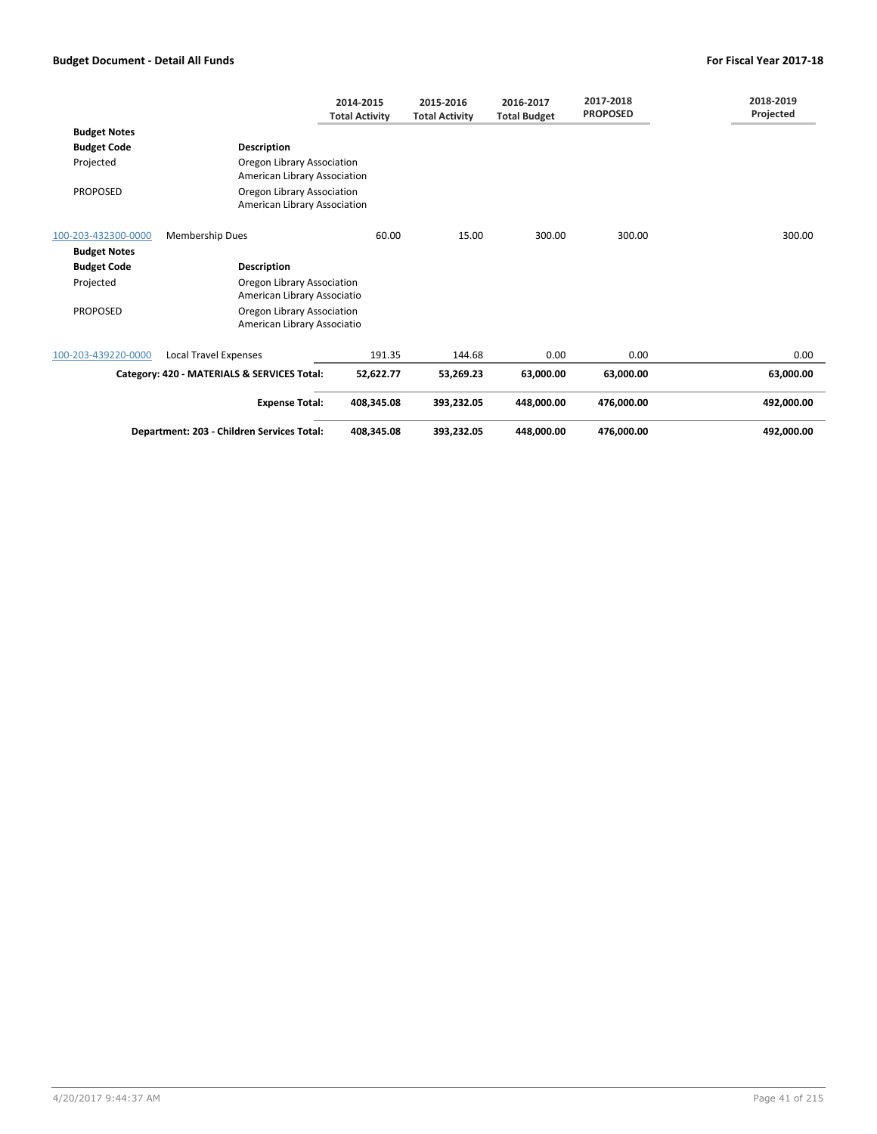|                     |                                                            | 2014-2015<br><b>Total Activity</b> | 2015-2016<br><b>Total Activity</b> | 2016-2017<br><b>Total Budget</b> | 2017-2018<br><b>PROPOSED</b> | 2018-2019<br>Projected |
|---------------------|------------------------------------------------------------|------------------------------------|------------------------------------|----------------------------------|------------------------------|------------------------|
| <b>Budget Notes</b> |                                                            |                                    |                                    |                                  |                              |                        |
| <b>Budget Code</b>  | <b>Description</b>                                         |                                    |                                    |                                  |                              |                        |
| Projected           | Oregon Library Association<br>American Library Association |                                    |                                    |                                  |                              |                        |
| <b>PROPOSED</b>     | Oregon Library Association<br>American Library Association |                                    |                                    |                                  |                              |                        |
| 100-203-432300-0000 | Membership Dues                                            | 60.00                              | 15.00                              | 300.00                           | 300.00                       | 300.00                 |
| <b>Budget Notes</b> |                                                            |                                    |                                    |                                  |                              |                        |
| <b>Budget Code</b>  | <b>Description</b>                                         |                                    |                                    |                                  |                              |                        |
| Projected           | Oregon Library Association<br>American Library Associatio  |                                    |                                    |                                  |                              |                        |
| <b>PROPOSED</b>     | Oregon Library Association<br>American Library Associatio  |                                    |                                    |                                  |                              |                        |
| 100-203-439220-0000 | <b>Local Travel Expenses</b>                               | 191.35                             | 144.68                             | 0.00                             | 0.00                         | 0.00                   |
|                     | Category: 420 - MATERIALS & SERVICES Total:                | 52,622.77                          | 53,269.23                          | 63,000.00                        | 63,000.00                    | 63,000.00              |
|                     | <b>Expense Total:</b>                                      | 408,345.08                         | 393.232.05                         | 448.000.00                       | 476.000.00                   | 492,000.00             |
|                     | Department: 203 - Children Services Total:                 | 408,345.08                         | 393,232.05                         | 448,000.00                       | 476,000.00                   | 492,000.00             |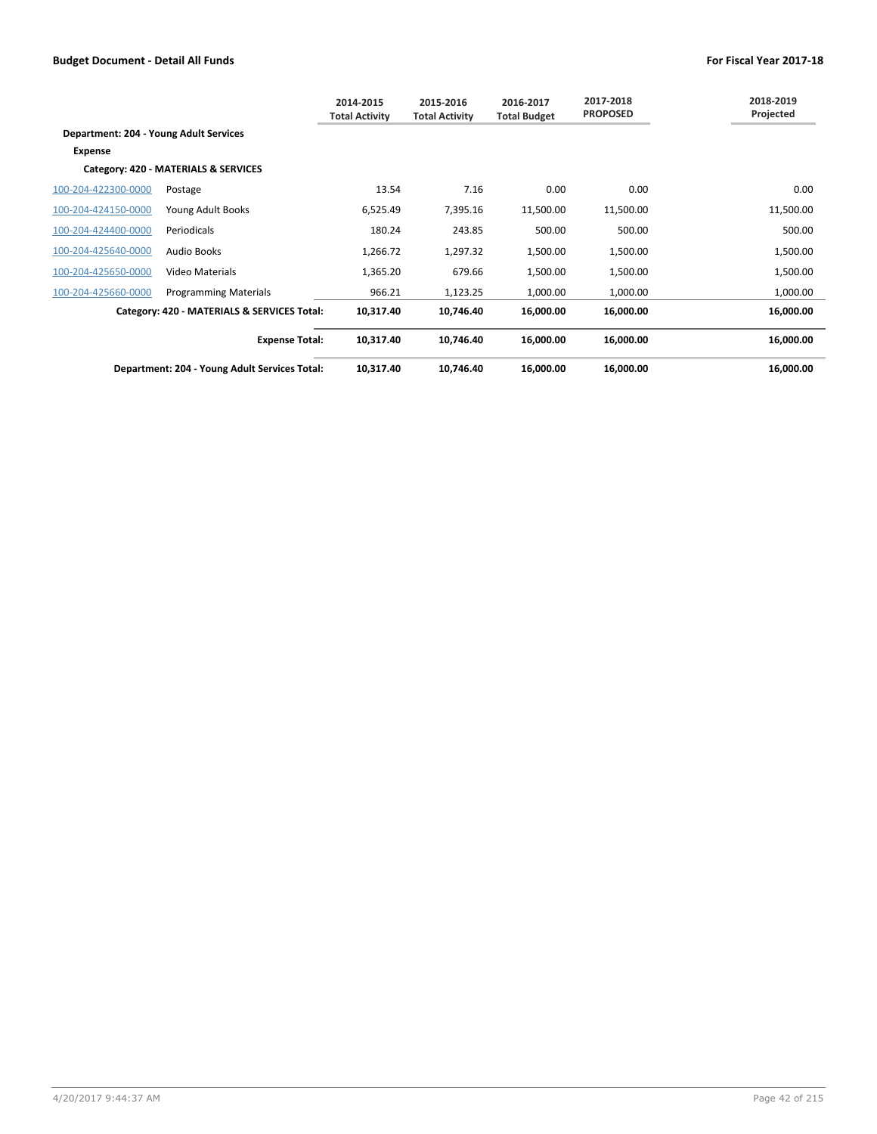|                                        |                                               | 2014-2015<br><b>Total Activity</b> | 2015-2016<br><b>Total Activity</b> | 2016-2017<br><b>Total Budget</b> | 2017-2018<br><b>PROPOSED</b> | 2018-2019<br>Projected |
|----------------------------------------|-----------------------------------------------|------------------------------------|------------------------------------|----------------------------------|------------------------------|------------------------|
| Department: 204 - Young Adult Services |                                               |                                    |                                    |                                  |                              |                        |
| <b>Expense</b>                         |                                               |                                    |                                    |                                  |                              |                        |
|                                        | Category: 420 - MATERIALS & SERVICES          |                                    |                                    |                                  |                              |                        |
| 100-204-422300-0000                    | Postage                                       | 13.54                              | 7.16                               | 0.00                             | 0.00                         | 0.00                   |
| 100-204-424150-0000                    | Young Adult Books                             | 6,525.49                           | 7,395.16                           | 11,500.00                        | 11,500.00                    | 11,500.00              |
| 100-204-424400-0000                    | Periodicals                                   | 180.24                             | 243.85                             | 500.00                           | 500.00                       | 500.00                 |
| 100-204-425640-0000                    | Audio Books                                   | 1,266.72                           | 1,297.32                           | 1,500.00                         | 1,500.00                     | 1,500.00               |
| 100-204-425650-0000                    | Video Materials                               | 1,365.20                           | 679.66                             | 1,500.00                         | 1,500.00                     | 1,500.00               |
| 100-204-425660-0000                    | <b>Programming Materials</b>                  | 966.21                             | 1,123.25                           | 1,000.00                         | 1,000.00                     | 1,000.00               |
|                                        | Category: 420 - MATERIALS & SERVICES Total:   | 10,317.40                          | 10,746.40                          | 16,000.00                        | 16,000.00                    | 16,000.00              |
|                                        | <b>Expense Total:</b>                         | 10,317.40                          | 10,746.40                          | 16,000.00                        | 16,000.00                    | 16,000.00              |
|                                        | Department: 204 - Young Adult Services Total: | 10,317.40                          | 10,746.40                          | 16,000.00                        | 16,000.00                    | 16,000.00              |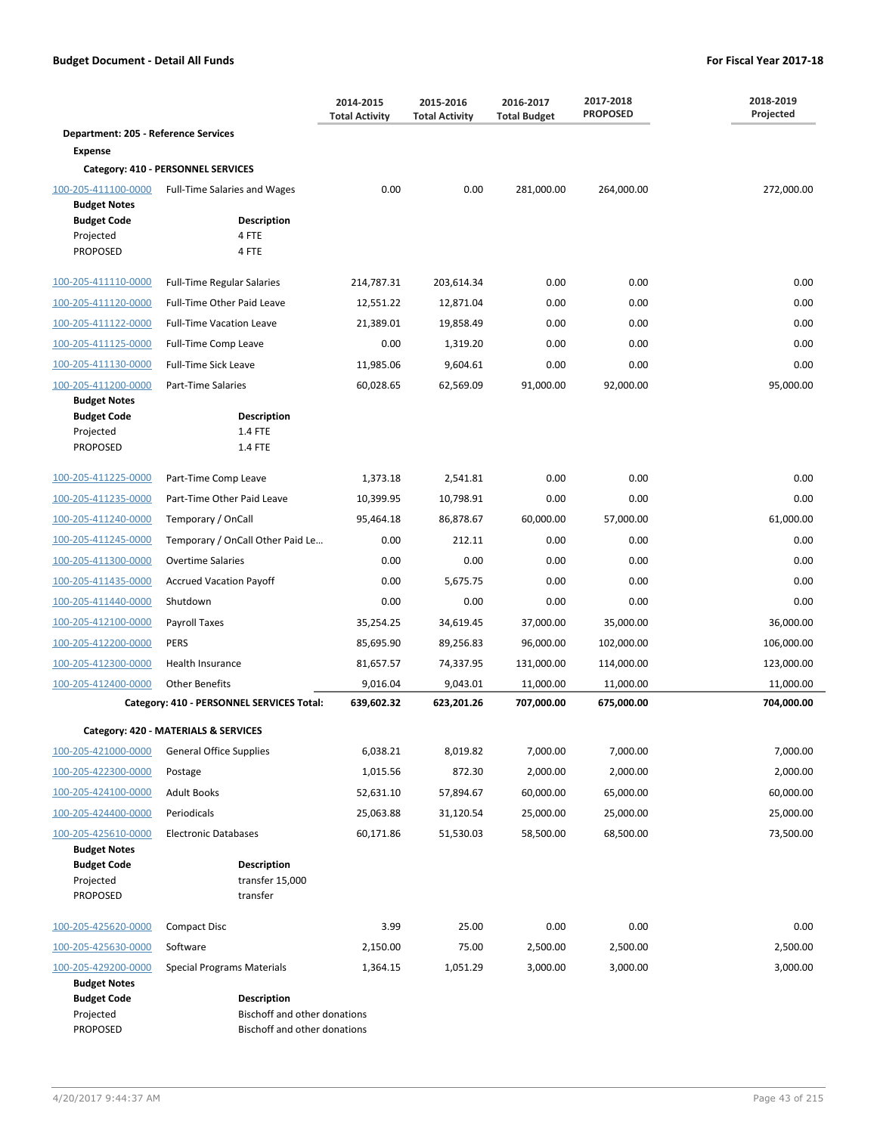|                                                                           |                                                    | 2014-2015<br><b>Total Activity</b> | 2015-2016<br><b>Total Activity</b> | 2016-2017<br><b>Total Budget</b> | 2017-2018<br><b>PROPOSED</b> | 2018-2019<br>Projected |
|---------------------------------------------------------------------------|----------------------------------------------------|------------------------------------|------------------------------------|----------------------------------|------------------------------|------------------------|
| <b>Department: 205 - Reference Services</b>                               |                                                    |                                    |                                    |                                  |                              |                        |
| <b>Expense</b>                                                            |                                                    |                                    |                                    |                                  |                              |                        |
|                                                                           | Category: 410 - PERSONNEL SERVICES                 |                                    |                                    |                                  |                              |                        |
| 100-205-411100-0000                                                       | <b>Full-Time Salaries and Wages</b>                | 0.00                               | 0.00                               | 281,000.00                       | 264,000.00                   | 272,000.00             |
| <b>Budget Notes</b><br><b>Budget Code</b><br>Projected<br><b>PROPOSED</b> | <b>Description</b><br>4 FTE<br>4 FTE               |                                    |                                    |                                  |                              |                        |
| 100-205-411110-0000                                                       | <b>Full-Time Regular Salaries</b>                  | 214,787.31                         | 203,614.34                         | 0.00                             | 0.00                         | 0.00                   |
| 100-205-411120-0000                                                       | Full-Time Other Paid Leave                         | 12,551.22                          | 12,871.04                          | 0.00                             | 0.00                         | 0.00                   |
| 100-205-411122-0000                                                       | <b>Full-Time Vacation Leave</b>                    | 21,389.01                          | 19,858.49                          | 0.00                             | 0.00                         | 0.00                   |
| 100-205-411125-0000                                                       | Full-Time Comp Leave                               | 0.00                               | 1,319.20                           | 0.00                             | 0.00                         | 0.00                   |
| 100-205-411130-0000                                                       | <b>Full-Time Sick Leave</b>                        | 11,985.06                          | 9,604.61                           | 0.00                             | 0.00                         | 0.00                   |
| 100-205-411200-0000                                                       | <b>Part-Time Salaries</b>                          | 60,028.65                          | 62,569.09                          | 91,000.00                        | 92,000.00                    | 95,000.00              |
| <b>Budget Notes</b><br><b>Budget Code</b><br>Projected<br><b>PROPOSED</b> | <b>Description</b><br>1.4 FTE<br>1.4 FTE           |                                    |                                    |                                  |                              |                        |
| 100-205-411225-0000                                                       | Part-Time Comp Leave                               | 1,373.18                           | 2,541.81                           | 0.00                             | 0.00                         | 0.00                   |
| 100-205-411235-0000                                                       | Part-Time Other Paid Leave                         | 10,399.95                          | 10,798.91                          | 0.00                             | 0.00                         | 0.00                   |
| 100-205-411240-0000                                                       | Temporary / OnCall                                 | 95,464.18                          | 86,878.67                          | 60,000.00                        | 57,000.00                    | 61,000.00              |
| 100-205-411245-0000                                                       | Temporary / OnCall Other Paid Le                   | 0.00                               | 212.11                             | 0.00                             | 0.00                         | 0.00                   |
| 100-205-411300-0000                                                       | <b>Overtime Salaries</b>                           | 0.00                               | 0.00                               | 0.00                             | 0.00                         | 0.00                   |
| 100-205-411435-0000                                                       | <b>Accrued Vacation Payoff</b>                     | 0.00                               | 5,675.75                           | 0.00                             | 0.00                         | 0.00                   |
| 100-205-411440-0000                                                       | Shutdown                                           | 0.00                               | 0.00                               | 0.00                             | 0.00                         | 0.00                   |
| 100-205-412100-0000                                                       | Payroll Taxes                                      | 35,254.25                          | 34,619.45                          | 37,000.00                        | 35,000.00                    | 36,000.00              |
| 100-205-412200-0000                                                       | <b>PERS</b>                                        | 85,695.90                          | 89,256.83                          | 96,000.00                        | 102,000.00                   | 106,000.00             |
| 100-205-412300-0000                                                       | <b>Health Insurance</b>                            | 81,657.57                          | 74,337.95                          | 131,000.00                       | 114,000.00                   | 123,000.00             |
| 100-205-412400-0000                                                       | <b>Other Benefits</b>                              | 9,016.04                           | 9,043.01                           | 11,000.00                        | 11,000.00                    | 11,000.00              |
|                                                                           | Category: 410 - PERSONNEL SERVICES Total:          | 639,602.32                         | 623,201.26                         | 707,000.00                       | 675,000.00                   | 704,000.00             |
|                                                                           | Category: 420 - MATERIALS & SERVICES               |                                    |                                    |                                  |                              |                        |
| 100-205-421000-0000                                                       | <b>General Office Supplies</b>                     | 6,038.21                           | 8,019.82                           | 7,000.00                         | 7,000.00                     | 7,000.00               |
| 100-205-422300-0000                                                       | Postage                                            | 1,015.56                           | 872.30                             | 2,000.00                         | 2,000.00                     | 2,000.00               |
| 100-205-424100-0000                                                       | <b>Adult Books</b>                                 | 52,631.10                          | 57,894.67                          | 60,000.00                        | 65,000.00                    | 60,000.00              |
| 100-205-424400-0000                                                       | Periodicals                                        | 25,063.88                          | 31,120.54                          | 25,000.00                        | 25,000.00                    | 25,000.00              |
| 100-205-425610-0000                                                       | <b>Electronic Databases</b>                        | 60,171.86                          | 51,530.03                          | 58,500.00                        | 68,500.00                    | 73,500.00              |
| <b>Budget Notes</b>                                                       |                                                    |                                    |                                    |                                  |                              |                        |
| <b>Budget Code</b><br>Projected<br><b>PROPOSED</b>                        | <b>Description</b><br>transfer 15,000<br>transfer  |                                    |                                    |                                  |                              |                        |
| 100-205-425620-0000                                                       | <b>Compact Disc</b>                                | 3.99                               | 25.00                              | 0.00                             | 0.00                         | 0.00                   |
| 100-205-425630-0000                                                       | Software                                           | 2,150.00                           | 75.00                              | 2,500.00                         | 2,500.00                     | 2,500.00               |
| 100-205-429200-0000                                                       | <b>Special Programs Materials</b>                  | 1,364.15                           | 1,051.29                           | 3,000.00                         | 3,000.00                     | 3,000.00               |
| <b>Budget Notes</b><br><b>Budget Code</b><br>Projected                    | <b>Description</b><br>Bischoff and other donations |                                    |                                    |                                  |                              |                        |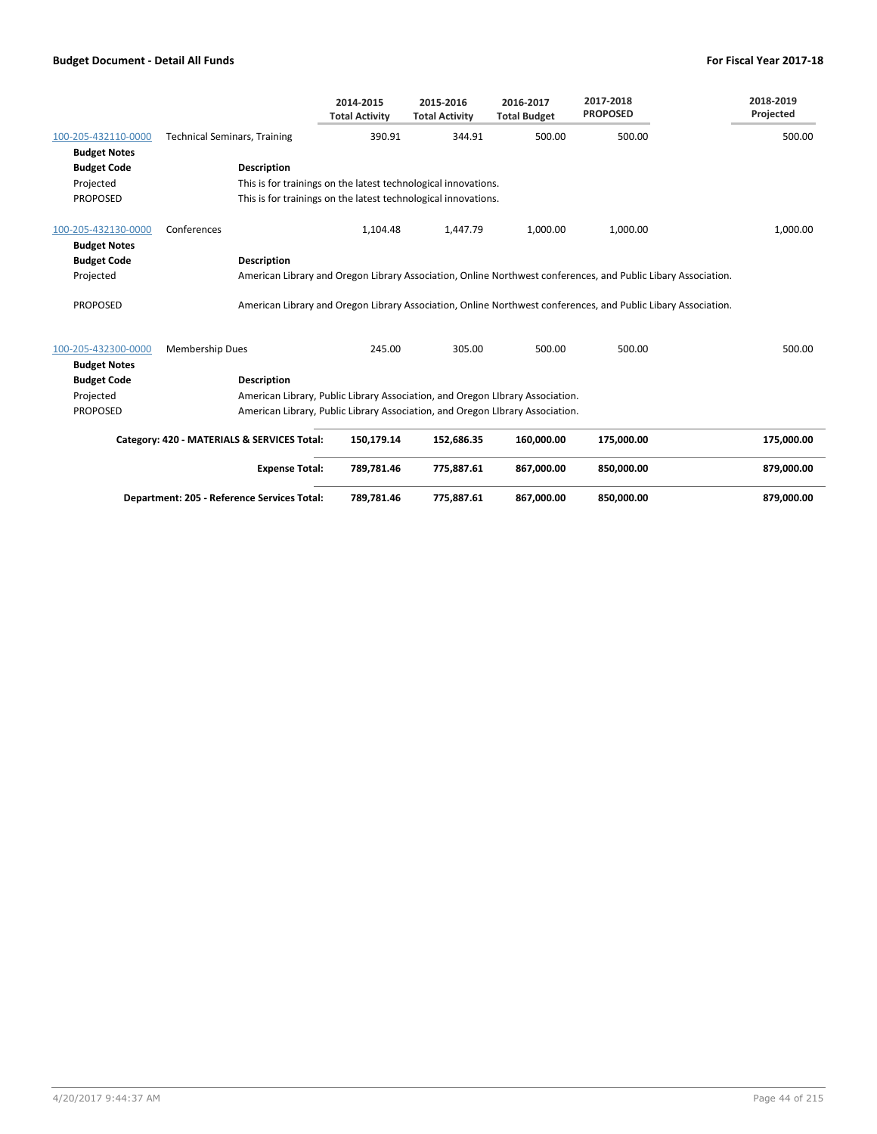|                     |                                                                | 2014-2015<br><b>Total Activity</b> | 2015-2016<br><b>Total Activity</b> | 2016-2017<br><b>Total Budget</b>                                              | 2017-2018<br><b>PROPOSED</b>                                                                                  | 2018-2019<br>Projected |
|---------------------|----------------------------------------------------------------|------------------------------------|------------------------------------|-------------------------------------------------------------------------------|---------------------------------------------------------------------------------------------------------------|------------------------|
| 100-205-432110-0000 | <b>Technical Seminars, Training</b>                            | 390.91                             | 344.91                             | 500.00                                                                        | 500.00                                                                                                        | 500.00                 |
| <b>Budget Notes</b> |                                                                |                                    |                                    |                                                                               |                                                                                                               |                        |
| <b>Budget Code</b>  | <b>Description</b>                                             |                                    |                                    |                                                                               |                                                                                                               |                        |
| Projected           | This is for trainings on the latest technological innovations. |                                    |                                    |                                                                               |                                                                                                               |                        |
| <b>PROPOSED</b>     | This is for trainings on the latest technological innovations. |                                    |                                    |                                                                               |                                                                                                               |                        |
| 100-205-432130-0000 | Conferences                                                    | 1,104.48                           | 1,447.79                           | 1,000.00                                                                      | 1,000.00                                                                                                      | 1,000.00               |
| <b>Budget Notes</b> |                                                                |                                    |                                    |                                                                               |                                                                                                               |                        |
| <b>Budget Code</b>  | <b>Description</b>                                             |                                    |                                    |                                                                               |                                                                                                               |                        |
| Projected           |                                                                |                                    |                                    |                                                                               | American Library and Oregon Library Association, Online Northwest conferences, and Public Libary Association. |                        |
| <b>PROPOSED</b>     |                                                                |                                    |                                    |                                                                               | American Library and Oregon Library Association, Online Northwest conferences, and Public Libary Association. |                        |
| 100-205-432300-0000 | <b>Membership Dues</b>                                         | 245.00                             | 305.00                             | 500.00                                                                        | 500.00                                                                                                        | 500.00                 |
| <b>Budget Notes</b> |                                                                |                                    |                                    |                                                                               |                                                                                                               |                        |
| <b>Budget Code</b>  | <b>Description</b>                                             |                                    |                                    |                                                                               |                                                                                                               |                        |
| Projected           |                                                                |                                    |                                    | American Library, Public Library Association, and Oregon Library Association. |                                                                                                               |                        |
| <b>PROPOSED</b>     |                                                                |                                    |                                    | American Library, Public Library Association, and Oregon Library Association. |                                                                                                               |                        |
|                     | Category: 420 - MATERIALS & SERVICES Total:                    | 150,179.14                         | 152,686.35                         | 160,000.00                                                                    | 175,000.00                                                                                                    | 175,000.00             |
|                     | <b>Expense Total:</b>                                          | 789,781.46                         | 775,887.61                         | 867,000.00                                                                    | 850,000.00                                                                                                    | 879,000.00             |
|                     | Department: 205 - Reference Services Total:                    | 789,781.46                         | 775,887.61                         | 867,000.00                                                                    | 850.000.00                                                                                                    | 879.000.00             |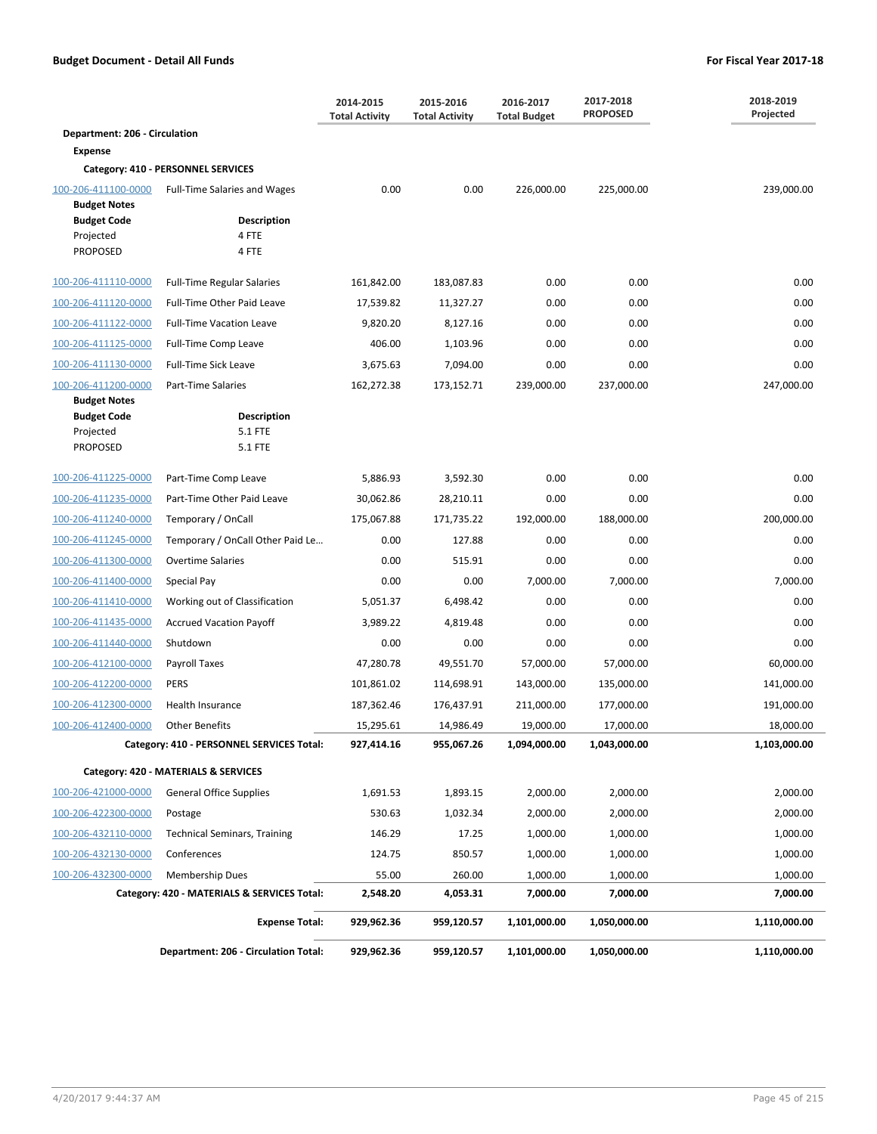|                                            |                                             | 2014-2015<br><b>Total Activity</b> | 2015-2016<br><b>Total Activity</b> | 2016-2017<br><b>Total Budget</b> | 2017-2018<br><b>PROPOSED</b> | 2018-2019<br>Projected |
|--------------------------------------------|---------------------------------------------|------------------------------------|------------------------------------|----------------------------------|------------------------------|------------------------|
| Department: 206 - Circulation              |                                             |                                    |                                    |                                  |                              |                        |
| <b>Expense</b>                             |                                             |                                    |                                    |                                  |                              |                        |
|                                            | Category: 410 - PERSONNEL SERVICES          |                                    |                                    |                                  |                              |                        |
| 100-206-411100-0000<br><b>Budget Notes</b> | <b>Full-Time Salaries and Wages</b>         | 0.00                               | 0.00                               | 226,000.00                       | 225,000.00                   | 239,000.00             |
| <b>Budget Code</b>                         | <b>Description</b>                          |                                    |                                    |                                  |                              |                        |
| Projected                                  | 4 FTE                                       |                                    |                                    |                                  |                              |                        |
| PROPOSED                                   | 4 FTE                                       |                                    |                                    |                                  |                              |                        |
| 100-206-411110-0000                        | <b>Full-Time Regular Salaries</b>           | 161,842.00                         | 183,087.83                         | 0.00                             | 0.00                         | 0.00                   |
| 100-206-411120-0000                        | Full-Time Other Paid Leave                  | 17,539.82                          | 11,327.27                          | 0.00                             | 0.00                         | 0.00                   |
| 100-206-411122-0000                        | <b>Full-Time Vacation Leave</b>             | 9,820.20                           | 8,127.16                           | 0.00                             | 0.00                         | 0.00                   |
| 100-206-411125-0000                        | Full-Time Comp Leave                        | 406.00                             | 1,103.96                           | 0.00                             | 0.00                         | 0.00                   |
| 100-206-411130-0000                        | <b>Full-Time Sick Leave</b>                 | 3,675.63                           | 7,094.00                           | 0.00                             | 0.00                         | 0.00                   |
| 100-206-411200-0000                        | Part-Time Salaries                          | 162,272.38                         | 173,152.71                         | 239,000.00                       | 237,000.00                   | 247,000.00             |
| <b>Budget Notes</b>                        | <b>Description</b>                          |                                    |                                    |                                  |                              |                        |
| <b>Budget Code</b><br>Projected            | 5.1 FTE                                     |                                    |                                    |                                  |                              |                        |
| PROPOSED                                   | 5.1 FTE                                     |                                    |                                    |                                  |                              |                        |
| 100-206-411225-0000                        | Part-Time Comp Leave                        | 5,886.93                           | 3,592.30                           | 0.00                             | 0.00                         | 0.00                   |
| 100-206-411235-0000                        | Part-Time Other Paid Leave                  | 30,062.86                          | 28,210.11                          | 0.00                             | 0.00                         | 0.00                   |
| 100-206-411240-0000                        | Temporary / OnCall                          | 175,067.88                         | 171,735.22                         | 192,000.00                       | 188,000.00                   | 200,000.00             |
| 100-206-411245-0000                        | Temporary / OnCall Other Paid Le            | 0.00                               | 127.88                             | 0.00                             | 0.00                         | 0.00                   |
| 100-206-411300-0000                        | <b>Overtime Salaries</b>                    | 0.00                               | 515.91                             | 0.00                             | 0.00                         | 0.00                   |
| 100-206-411400-0000                        | Special Pay                                 | 0.00                               | 0.00                               | 7,000.00                         | 7,000.00                     | 7,000.00               |
| 100-206-411410-0000                        | Working out of Classification               | 5,051.37                           | 6,498.42                           | 0.00                             | 0.00                         | 0.00                   |
| 100-206-411435-0000                        | <b>Accrued Vacation Payoff</b>              | 3,989.22                           | 4,819.48                           | 0.00                             | 0.00                         | 0.00                   |
| 100-206-411440-0000                        | Shutdown                                    | 0.00                               | 0.00                               | 0.00                             | 0.00                         | 0.00                   |
| 100-206-412100-0000                        | Payroll Taxes                               | 47,280.78                          | 49,551.70                          | 57,000.00                        | 57,000.00                    | 60,000.00              |
| 100-206-412200-0000                        | <b>PERS</b>                                 | 101,861.02                         | 114,698.91                         | 143,000.00                       | 135,000.00                   | 141,000.00             |
| 100-206-412300-0000                        | <b>Health Insurance</b>                     | 187,362.46                         | 176,437.91                         | 211,000.00                       | 177,000.00                   | 191,000.00             |
| 100-206-412400-0000                        | <b>Other Benefits</b>                       | 15,295.61                          | 14,986.49                          | 19,000.00                        | 17,000.00                    | 18,000.00              |
|                                            | Category: 410 - PERSONNEL SERVICES Total:   | 927,414.16                         | 955,067.26                         | 1,094,000.00                     | 1,043,000.00                 | 1,103,000.00           |
|                                            | Category: 420 - MATERIALS & SERVICES        |                                    |                                    |                                  |                              |                        |
| 100-206-421000-0000                        | <b>General Office Supplies</b>              | 1,691.53                           | 1,893.15                           | 2,000.00                         | 2,000.00                     | 2,000.00               |
| 100-206-422300-0000                        | Postage                                     | 530.63                             | 1,032.34                           | 2,000.00                         | 2,000.00                     | 2,000.00               |
| 100-206-432110-0000                        | <b>Technical Seminars, Training</b>         | 146.29                             | 17.25                              | 1,000.00                         | 1,000.00                     | 1,000.00               |
| 100-206-432130-0000                        | Conferences                                 | 124.75                             | 850.57                             | 1,000.00                         | 1,000.00                     | 1,000.00               |
| 100-206-432300-0000                        | <b>Membership Dues</b>                      | 55.00                              | 260.00                             | 1,000.00                         | 1,000.00                     | 1,000.00               |
|                                            | Category: 420 - MATERIALS & SERVICES Total: | 2,548.20                           | 4,053.31                           | 7,000.00                         | 7,000.00                     | 7,000.00               |
|                                            | <b>Expense Total:</b>                       | 929,962.36                         | 959,120.57                         | 1,101,000.00                     | 1,050,000.00                 | 1,110,000.00           |
|                                            | Department: 206 - Circulation Total:        | 929,962.36                         | 959,120.57                         | 1,101,000.00                     | 1,050,000.00                 | 1,110,000.00           |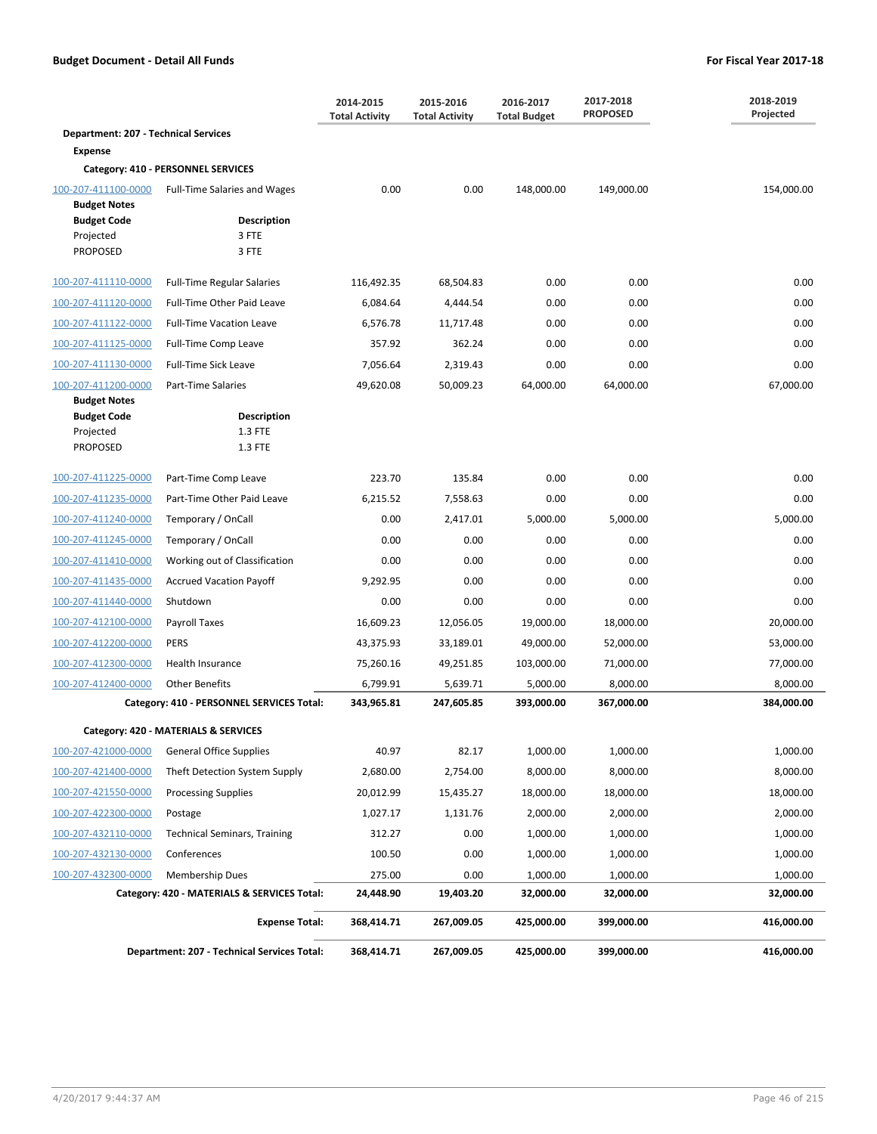|                                             |                                                    | 2014-2015<br><b>Total Activity</b> | 2015-2016<br><b>Total Activity</b> | 2016-2017<br><b>Total Budget</b> | 2017-2018<br><b>PROPOSED</b> | 2018-2019<br>Projected |
|---------------------------------------------|----------------------------------------------------|------------------------------------|------------------------------------|----------------------------------|------------------------------|------------------------|
| <b>Department: 207 - Technical Services</b> |                                                    |                                    |                                    |                                  |                              |                        |
| <b>Expense</b>                              |                                                    |                                    |                                    |                                  |                              |                        |
|                                             | Category: 410 - PERSONNEL SERVICES                 |                                    |                                    |                                  |                              |                        |
| 100-207-411100-0000<br><b>Budget Notes</b>  | <b>Full-Time Salaries and Wages</b>                | 0.00                               | 0.00                               | 148,000.00                       | 149,000.00                   | 154,000.00             |
| <b>Budget Code</b>                          | <b>Description</b>                                 |                                    |                                    |                                  |                              |                        |
| Projected                                   | 3 FTE                                              |                                    |                                    |                                  |                              |                        |
| <b>PROPOSED</b>                             | 3 FTE                                              |                                    |                                    |                                  |                              |                        |
| 100-207-411110-0000                         | <b>Full-Time Regular Salaries</b>                  | 116,492.35                         | 68,504.83                          | 0.00                             | 0.00                         | 0.00                   |
| 100-207-411120-0000                         | Full-Time Other Paid Leave                         | 6,084.64                           | 4,444.54                           | 0.00                             | 0.00                         | 0.00                   |
| 100-207-411122-0000                         | <b>Full-Time Vacation Leave</b>                    | 6,576.78                           | 11,717.48                          | 0.00                             | 0.00                         | 0.00                   |
| 100-207-411125-0000                         | Full-Time Comp Leave                               | 357.92                             | 362.24                             | 0.00                             | 0.00                         | 0.00                   |
| 100-207-411130-0000                         | Full-Time Sick Leave                               | 7,056.64                           | 2,319.43                           | 0.00                             | 0.00                         | 0.00                   |
| 100-207-411200-0000                         | Part-Time Salaries                                 | 49,620.08                          | 50,009.23                          | 64,000.00                        | 64,000.00                    | 67,000.00              |
| <b>Budget Notes</b><br><b>Budget Code</b>   | <b>Description</b>                                 |                                    |                                    |                                  |                              |                        |
| Projected                                   | 1.3 FTE                                            |                                    |                                    |                                  |                              |                        |
| <b>PROPOSED</b>                             | 1.3 FTE                                            |                                    |                                    |                                  |                              |                        |
| 100-207-411225-0000                         | Part-Time Comp Leave                               | 223.70                             | 135.84                             | 0.00                             | 0.00                         | 0.00                   |
| 100-207-411235-0000                         | Part-Time Other Paid Leave                         | 6,215.52                           | 7,558.63                           | 0.00                             | 0.00                         | 0.00                   |
| 100-207-411240-0000                         | Temporary / OnCall                                 | 0.00                               | 2,417.01                           | 5,000.00                         | 5,000.00                     | 5,000.00               |
| 100-207-411245-0000                         | Temporary / OnCall                                 | 0.00                               | 0.00                               | 0.00                             | 0.00                         | 0.00                   |
| 100-207-411410-0000                         | Working out of Classification                      | 0.00                               | 0.00                               | 0.00                             | 0.00                         | 0.00                   |
| 100-207-411435-0000                         | <b>Accrued Vacation Payoff</b>                     | 9,292.95                           | 0.00                               | 0.00                             | 0.00                         | 0.00                   |
| 100-207-411440-0000                         | Shutdown                                           | 0.00                               | 0.00                               | 0.00                             | 0.00                         | 0.00                   |
| 100-207-412100-0000                         | Payroll Taxes                                      | 16,609.23                          | 12,056.05                          | 19,000.00                        | 18,000.00                    | 20,000.00              |
| 100-207-412200-0000                         | <b>PERS</b>                                        | 43,375.93                          | 33,189.01                          | 49,000.00                        | 52,000.00                    | 53,000.00              |
| 100-207-412300-0000                         | <b>Health Insurance</b>                            | 75,260.16                          | 49,251.85                          | 103,000.00                       | 71,000.00                    | 77,000.00              |
| 100-207-412400-0000                         | <b>Other Benefits</b>                              | 6,799.91                           | 5,639.71                           | 5,000.00                         | 8,000.00                     | 8,000.00               |
|                                             | Category: 410 - PERSONNEL SERVICES Total:          | 343,965.81                         | 247,605.85                         | 393,000.00                       | 367,000.00                   | 384,000.00             |
|                                             | Category: 420 - MATERIALS & SERVICES               |                                    |                                    |                                  |                              |                        |
| 100-207-421000-0000                         | <b>General Office Supplies</b>                     | 40.97                              | 82.17                              | 1,000.00                         | 1,000.00                     | 1,000.00               |
| 100-207-421400-0000                         | Theft Detection System Supply                      | 2,680.00                           | 2,754.00                           | 8,000.00                         | 8,000.00                     | 8,000.00               |
| 100-207-421550-0000                         | <b>Processing Supplies</b>                         | 20,012.99                          | 15,435.27                          | 18,000.00                        | 18,000.00                    | 18,000.00              |
| 100-207-422300-0000                         | Postage                                            | 1,027.17                           | 1,131.76                           | 2,000.00                         | 2,000.00                     | 2,000.00               |
| 100-207-432110-0000                         | <b>Technical Seminars, Training</b>                | 312.27                             | 0.00                               | 1,000.00                         | 1,000.00                     | 1,000.00               |
| 100-207-432130-0000                         | Conferences                                        | 100.50                             | 0.00                               | 1,000.00                         | 1,000.00                     | 1,000.00               |
| 100-207-432300-0000                         | <b>Membership Dues</b>                             | 275.00                             | 0.00                               | 1,000.00                         | 1,000.00                     | 1,000.00               |
|                                             | Category: 420 - MATERIALS & SERVICES Total:        | 24,448.90                          | 19,403.20                          | 32,000.00                        | 32,000.00                    | 32,000.00              |
|                                             | <b>Expense Total:</b>                              | 368,414.71                         | 267,009.05                         | 425,000.00                       | 399,000.00                   | 416,000.00             |
|                                             | <b>Department: 207 - Technical Services Total:</b> | 368,414.71                         | 267,009.05                         | 425,000.00                       | 399,000.00                   | 416,000.00             |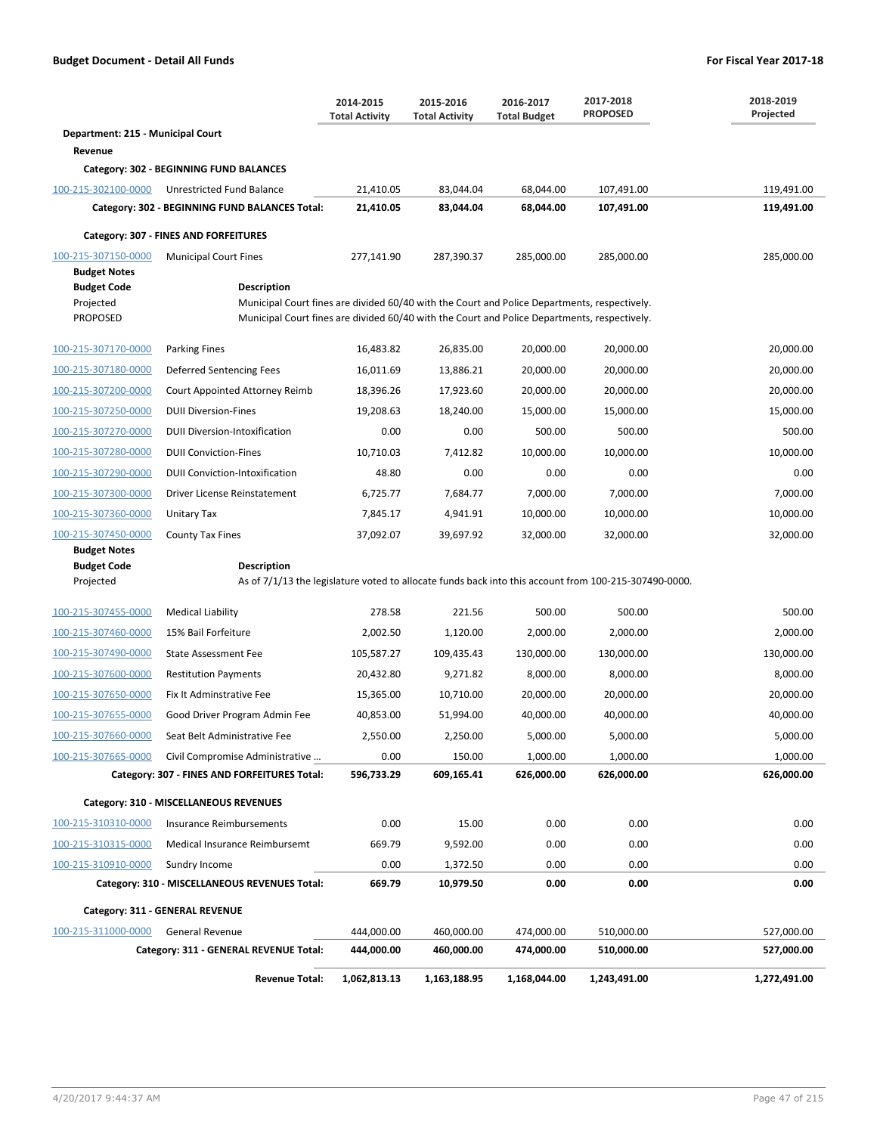|                                            |                                                                                                                             | 2014-2015<br><b>Total Activity</b> | 2015-2016<br><b>Total Activity</b> | 2016-2017<br><b>Total Budget</b> | 2017-2018<br><b>PROPOSED</b> | 2018-2019<br>Projected |  |  |  |  |  |
|--------------------------------------------|-----------------------------------------------------------------------------------------------------------------------------|------------------------------------|------------------------------------|----------------------------------|------------------------------|------------------------|--|--|--|--|--|
| Department: 215 - Municipal Court          |                                                                                                                             |                                    |                                    |                                  |                              |                        |  |  |  |  |  |
| Revenue                                    |                                                                                                                             |                                    |                                    |                                  |                              |                        |  |  |  |  |  |
|                                            | Category: 302 - BEGINNING FUND BALANCES                                                                                     |                                    |                                    |                                  |                              |                        |  |  |  |  |  |
| 100-215-302100-0000                        | Unrestricted Fund Balance                                                                                                   | 21,410.05                          | 83,044.04                          | 68,044.00                        | 107,491.00                   | 119,491.00             |  |  |  |  |  |
|                                            | Category: 302 - BEGINNING FUND BALANCES Total:                                                                              | 21,410.05                          | 83,044.04                          | 68,044.00                        | 107,491.00                   | 119,491.00             |  |  |  |  |  |
|                                            | Category: 307 - FINES AND FORFEITURES                                                                                       |                                    |                                    |                                  |                              |                        |  |  |  |  |  |
| 100-215-307150-0000<br><b>Budget Notes</b> | <b>Municipal Court Fines</b>                                                                                                | 277,141.90                         | 287,390.37                         | 285,000.00                       | 285,000.00                   | 285,000.00             |  |  |  |  |  |
| <b>Budget Code</b>                         | Description                                                                                                                 |                                    |                                    |                                  |                              |                        |  |  |  |  |  |
| Projected                                  | Municipal Court fines are divided 60/40 with the Court and Police Departments, respectively.                                |                                    |                                    |                                  |                              |                        |  |  |  |  |  |
| <b>PROPOSED</b>                            | Municipal Court fines are divided 60/40 with the Court and Police Departments, respectively.                                |                                    |                                    |                                  |                              |                        |  |  |  |  |  |
| 100-215-307170-0000                        | <b>Parking Fines</b>                                                                                                        | 16,483.82                          | 26,835.00                          | 20,000.00                        | 20,000.00                    | 20,000.00              |  |  |  |  |  |
| 100-215-307180-0000                        | Deferred Sentencing Fees                                                                                                    | 16,011.69                          | 13,886.21                          | 20,000.00                        | 20,000.00                    | 20,000.00              |  |  |  |  |  |
| 100-215-307200-0000                        | Court Appointed Attorney Reimb                                                                                              | 18,396.26                          | 17,923.60                          | 20,000.00                        | 20,000.00                    | 20,000.00              |  |  |  |  |  |
| 100-215-307250-0000                        | <b>DUII Diversion-Fines</b>                                                                                                 | 19,208.63                          | 18,240.00                          | 15,000.00                        | 15,000.00                    | 15,000.00              |  |  |  |  |  |
| 100-215-307270-0000                        | <b>DUII Diversion-Intoxification</b>                                                                                        | 0.00                               | 0.00                               | 500.00                           | 500.00                       | 500.00                 |  |  |  |  |  |
| 100-215-307280-0000                        | <b>DUII Conviction-Fines</b>                                                                                                | 10,710.03                          | 7,412.82                           | 10,000.00                        | 10,000.00                    | 10,000.00              |  |  |  |  |  |
| 100-215-307290-0000                        | <b>DUII Conviction-Intoxification</b>                                                                                       | 48.80                              | 0.00                               | 0.00                             | 0.00                         | 0.00                   |  |  |  |  |  |
| 100-215-307300-0000                        | Driver License Reinstatement                                                                                                | 6,725.77                           | 7,684.77                           | 7,000.00                         | 7,000.00                     | 7,000.00               |  |  |  |  |  |
| 100-215-307360-0000                        | Unitary Tax                                                                                                                 | 7,845.17                           | 4,941.91                           | 10,000.00                        | 10,000.00                    | 10,000.00              |  |  |  |  |  |
| 100-215-307450-0000                        | County Tax Fines                                                                                                            | 37,092.07                          | 39,697.92                          | 32,000.00                        | 32,000.00                    | 32,000.00              |  |  |  |  |  |
| <b>Budget Notes</b>                        |                                                                                                                             |                                    |                                    |                                  |                              |                        |  |  |  |  |  |
| <b>Budget Code</b><br>Projected            | <b>Description</b><br>As of 7/1/13 the legislature voted to allocate funds back into this account from 100-215-307490-0000. |                                    |                                    |                                  |                              |                        |  |  |  |  |  |
|                                            |                                                                                                                             |                                    |                                    |                                  |                              |                        |  |  |  |  |  |
| 100-215-307455-0000                        | <b>Medical Liability</b>                                                                                                    | 278.58                             | 221.56                             | 500.00                           | 500.00                       | 500.00                 |  |  |  |  |  |
| 100-215-307460-0000                        | 15% Bail Forfeiture                                                                                                         | 2,002.50                           | 1,120.00                           | 2,000.00                         | 2,000.00                     | 2,000.00               |  |  |  |  |  |
| 100-215-307490-0000                        | <b>State Assessment Fee</b>                                                                                                 | 105,587.27                         | 109,435.43                         | 130,000.00                       | 130,000.00                   | 130,000.00             |  |  |  |  |  |
| 100-215-307600-0000                        | <b>Restitution Payments</b>                                                                                                 | 20,432.80                          | 9,271.82                           | 8,000.00                         | 8,000.00                     | 8,000.00               |  |  |  |  |  |
| 100-215-307650-0000                        | Fix It Adminstrative Fee                                                                                                    | 15,365.00                          | 10,710.00                          | 20,000.00                        | 20,000.00                    | 20,000.00              |  |  |  |  |  |
| 100-215-307655-0000                        | Good Driver Program Admin Fee                                                                                               | 40,853.00                          | 51,994.00                          | 40,000.00                        | 40,000.00                    | 40,000.00              |  |  |  |  |  |
| 100-215-307660-0000                        | Seat Belt Administrative Fee                                                                                                | 2,550.00                           | 2,250.00                           | 5,000.00                         | 5,000.00                     | 5,000.00               |  |  |  |  |  |
| 100-215-307665-0000                        | Civil Compromise Administrative                                                                                             | 0.00                               | 150.00                             | 1,000.00                         | 1,000.00                     | 1,000.00               |  |  |  |  |  |
|                                            | Category: 307 - FINES AND FORFEITURES Total:                                                                                | 596,733.29                         | 609,165.41                         | 626,000.00                       | 626,000.00                   | 626,000.00             |  |  |  |  |  |
|                                            | Category: 310 - MISCELLANEOUS REVENUES                                                                                      |                                    |                                    |                                  |                              |                        |  |  |  |  |  |
| 100-215-310310-0000                        | Insurance Reimbursements                                                                                                    | 0.00                               | 15.00                              | 0.00                             | 0.00                         | 0.00                   |  |  |  |  |  |
| 100-215-310315-0000                        | Medical Insurance Reimbursemt                                                                                               | 669.79                             | 9,592.00                           | 0.00                             | 0.00                         | 0.00                   |  |  |  |  |  |
| 100-215-310910-0000                        | Sundry Income                                                                                                               | 0.00                               | 1,372.50                           | 0.00                             | 0.00                         | 0.00                   |  |  |  |  |  |
|                                            | Category: 310 - MISCELLANEOUS REVENUES Total:                                                                               | 669.79                             | 10,979.50                          | 0.00                             | 0.00                         | 0.00                   |  |  |  |  |  |
|                                            | Category: 311 - GENERAL REVENUE                                                                                             |                                    |                                    |                                  |                              |                        |  |  |  |  |  |
| 100-215-311000-0000                        | <b>General Revenue</b>                                                                                                      | 444,000.00                         | 460,000.00                         | 474,000.00                       | 510,000.00                   | 527,000.00             |  |  |  |  |  |
|                                            | Category: 311 - GENERAL REVENUE Total:                                                                                      | 444,000.00                         | 460,000.00                         | 474,000.00                       | 510,000.00                   | 527,000.00             |  |  |  |  |  |
|                                            | <b>Revenue Total:</b>                                                                                                       | 1,062,813.13                       | 1,163,188.95                       | 1,168,044.00                     | 1,243,491.00                 | 1,272,491.00           |  |  |  |  |  |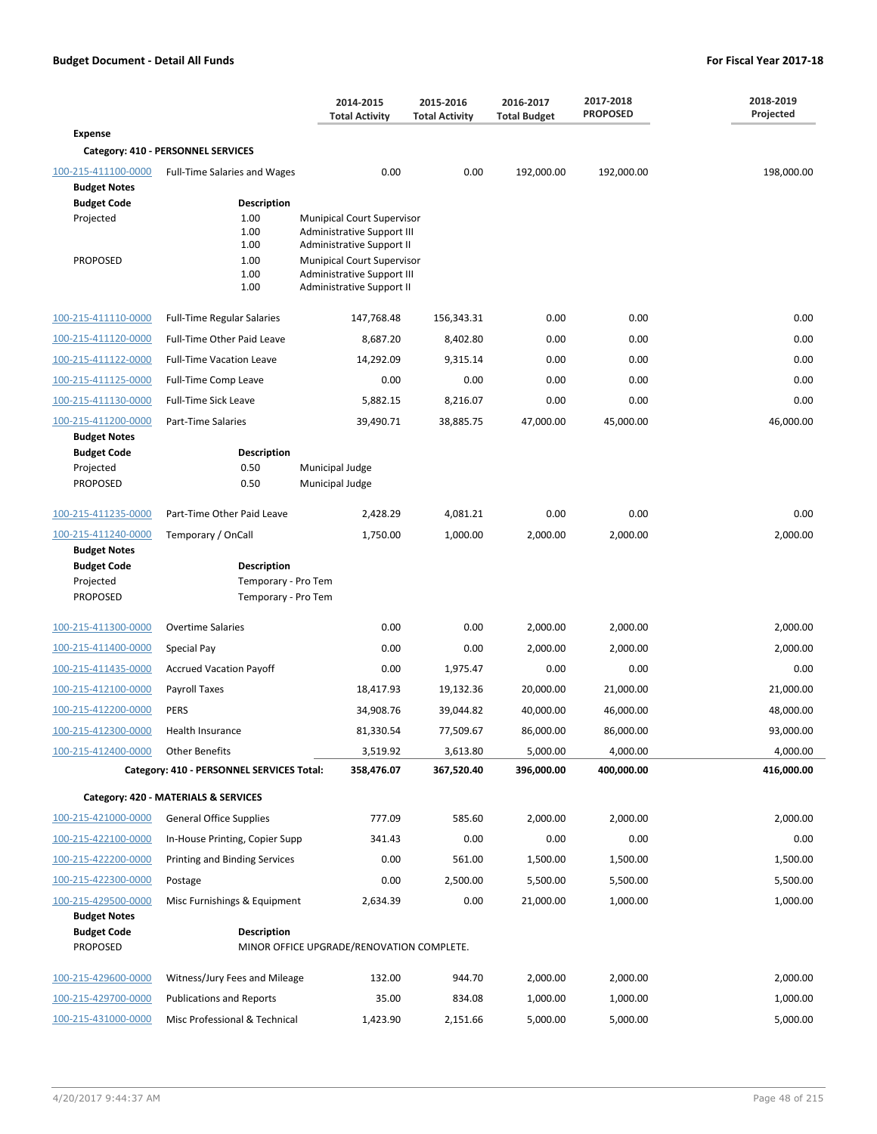|                                                                           |                                                                  | 2014-2015<br><b>Total Activity</b>                                                           | 2015-2016<br><b>Total Activity</b> | 2016-2017<br><b>Total Budget</b> | 2017-2018<br><b>PROPOSED</b> | 2018-2019<br>Projected |
|---------------------------------------------------------------------------|------------------------------------------------------------------|----------------------------------------------------------------------------------------------|------------------------------------|----------------------------------|------------------------------|------------------------|
| <b>Expense</b>                                                            |                                                                  |                                                                                              |                                    |                                  |                              |                        |
|                                                                           | Category: 410 - PERSONNEL SERVICES                               |                                                                                              |                                    |                                  |                              |                        |
| 100-215-411100-0000                                                       | Full-Time Salaries and Wages                                     | 0.00                                                                                         | 0.00                               | 192,000.00                       | 192,000.00                   | 198,000.00             |
| <b>Budget Notes</b><br><b>Budget Code</b><br>Projected                    | <b>Description</b><br>1.00<br>1.00<br>1.00                       | <b>Munipical Court Supervisor</b><br>Administrative Support III<br>Administrative Support II |                                    |                                  |                              |                        |
| <b>PROPOSED</b>                                                           | 1.00<br>1.00<br>1.00                                             | <b>Munipical Court Supervisor</b><br>Administrative Support III<br>Administrative Support II |                                    |                                  |                              |                        |
| 100-215-411110-0000                                                       | <b>Full-Time Regular Salaries</b>                                | 147,768.48                                                                                   | 156,343.31                         | 0.00                             | 0.00                         | 0.00                   |
| 100-215-411120-0000                                                       | Full-Time Other Paid Leave                                       | 8,687.20                                                                                     | 8,402.80                           | 0.00                             | 0.00                         | 0.00                   |
| 100-215-411122-0000                                                       | <b>Full-Time Vacation Leave</b>                                  | 14,292.09                                                                                    | 9,315.14                           | 0.00                             | 0.00                         | 0.00                   |
| 100-215-411125-0000                                                       | Full-Time Comp Leave                                             | 0.00                                                                                         | 0.00                               | 0.00                             | 0.00                         | 0.00                   |
| 100-215-411130-0000                                                       | <b>Full-Time Sick Leave</b>                                      | 5,882.15                                                                                     | 8,216.07                           | 0.00                             | 0.00                         | 0.00                   |
| 100-215-411200-0000                                                       | Part-Time Salaries                                               | 39,490.71                                                                                    | 38,885.75                          | 47,000.00                        | 45,000.00                    | 46,000.00              |
| <b>Budget Notes</b><br><b>Budget Code</b><br>Projected<br><b>PROPOSED</b> | <b>Description</b><br>0.50<br>0.50                               | Municipal Judge<br>Municipal Judge                                                           |                                    |                                  |                              |                        |
| 100-215-411235-0000                                                       | Part-Time Other Paid Leave                                       | 2,428.29                                                                                     | 4,081.21                           | 0.00                             | 0.00                         | 0.00                   |
| 100-215-411240-0000<br><b>Budget Notes</b>                                | Temporary / OnCall                                               | 1,750.00                                                                                     | 1,000.00                           | 2,000.00                         | 2,000.00                     | 2,000.00               |
| <b>Budget Code</b><br>Projected<br><b>PROPOSED</b>                        | <b>Description</b><br>Temporary - Pro Tem<br>Temporary - Pro Tem |                                                                                              |                                    |                                  |                              |                        |
| 100-215-411300-0000                                                       | <b>Overtime Salaries</b>                                         | 0.00                                                                                         | 0.00                               | 2,000.00                         | 2,000.00                     | 2,000.00               |
| 100-215-411400-0000                                                       | Special Pay                                                      | 0.00                                                                                         | 0.00                               | 2,000.00                         | 2,000.00                     | 2,000.00               |
| 100-215-411435-0000                                                       | <b>Accrued Vacation Payoff</b>                                   | 0.00                                                                                         | 1,975.47                           | 0.00                             | 0.00                         | 0.00                   |
| 100-215-412100-0000                                                       | Payroll Taxes                                                    | 18,417.93                                                                                    | 19,132.36                          | 20,000.00                        | 21,000.00                    | 21,000.00              |
| 100-215-412200-0000                                                       | <b>PERS</b>                                                      | 34,908.76                                                                                    | 39,044.82                          | 40,000.00                        | 46,000.00                    | 48,000.00              |
| 100-215-412300-0000                                                       | Health Insurance                                                 | 81,330.54                                                                                    | 77,509.67                          | 86,000.00                        | 86,000.00                    | 93,000.00              |
| 100-215-412400-0000                                                       | <b>Other Benefits</b>                                            | 3,519.92                                                                                     | 3,613.80                           | 5,000.00                         | 4,000.00                     | 4,000.00               |
|                                                                           | Category: 410 - PERSONNEL SERVICES Total:                        | 358,476.07                                                                                   | 367,520.40                         | 396,000.00                       | 400,000.00                   | 416,000.00             |
|                                                                           | Category: 420 - MATERIALS & SERVICES                             |                                                                                              |                                    |                                  |                              |                        |
| 100-215-421000-0000                                                       | <b>General Office Supplies</b>                                   | 777.09                                                                                       | 585.60                             | 2,000.00                         | 2,000.00                     | 2,000.00               |
| 100-215-422100-0000                                                       | In-House Printing, Copier Supp                                   | 341.43                                                                                       | 0.00                               | 0.00                             | 0.00                         | 0.00                   |
| 100-215-422200-0000                                                       | Printing and Binding Services                                    | 0.00                                                                                         | 561.00                             | 1,500.00                         | 1,500.00                     | 1,500.00               |
| 100-215-422300-0000                                                       | Postage                                                          | 0.00                                                                                         | 2,500.00                           | 5,500.00                         | 5,500.00                     | 5,500.00               |
| 100-215-429500-0000                                                       | Misc Furnishings & Equipment                                     | 2,634.39                                                                                     | 0.00                               | 21,000.00                        | 1,000.00                     | 1,000.00               |
| <b>Budget Notes</b><br><b>Budget Code</b><br><b>PROPOSED</b>              | <b>Description</b>                                               | MINOR OFFICE UPGRADE/RENOVATION COMPLETE.                                                    |                                    |                                  |                              |                        |
| 100-215-429600-0000                                                       | Witness/Jury Fees and Mileage                                    | 132.00                                                                                       | 944.70                             | 2,000.00                         | 2,000.00                     | 2,000.00               |
| 100-215-429700-0000                                                       | <b>Publications and Reports</b>                                  | 35.00                                                                                        | 834.08                             | 1,000.00                         | 1,000.00                     | 1,000.00               |
| 100-215-431000-0000                                                       | Misc Professional & Technical                                    | 1,423.90                                                                                     | 2,151.66                           | 5,000.00                         | 5,000.00                     | 5,000.00               |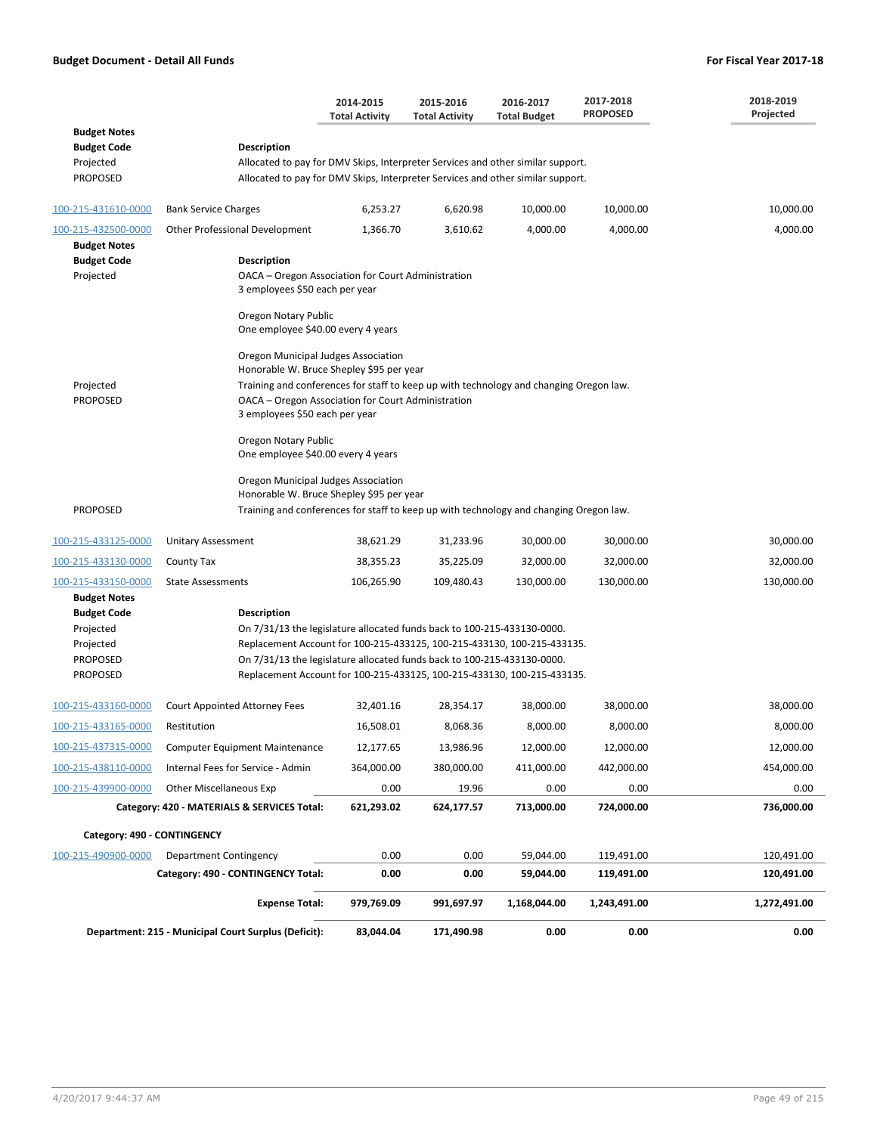|                                                                                                           |                                                                                                                                                                                                                                                                                                                                                                        | 2014-2015<br><b>Total Activity</b> | 2015-2016<br><b>Total Activity</b> | 2016-2017<br><b>Total Budget</b> | 2017-2018<br><b>PROPOSED</b> | 2018-2019<br>Projected |
|-----------------------------------------------------------------------------------------------------------|------------------------------------------------------------------------------------------------------------------------------------------------------------------------------------------------------------------------------------------------------------------------------------------------------------------------------------------------------------------------|------------------------------------|------------------------------------|----------------------------------|------------------------------|------------------------|
| <b>Budget Notes</b><br><b>Budget Code</b><br>Projected<br><b>PROPOSED</b>                                 | <b>Description</b><br>Allocated to pay for DMV Skips, Interpreter Services and other similar support.<br>Allocated to pay for DMV Skips, Interpreter Services and other similar support.                                                                                                                                                                               |                                    |                                    |                                  |                              |                        |
| 100-215-431610-0000                                                                                       | <b>Bank Service Charges</b>                                                                                                                                                                                                                                                                                                                                            | 6,253.27                           | 6,620.98                           | 10,000.00                        | 10,000.00                    | 10,000.00              |
| 100-215-432500-0000                                                                                       | Other Professional Development                                                                                                                                                                                                                                                                                                                                         | 1,366.70                           | 3,610.62                           | 4,000.00                         | 4,000.00                     | 4,000.00               |
| <b>Budget Notes</b><br><b>Budget Code</b><br>Projected                                                    | <b>Description</b><br>OACA - Oregon Association for Court Administration<br>3 employees \$50 each per year<br>Oregon Notary Public<br>One employee \$40.00 every 4 years                                                                                                                                                                                               |                                    |                                    |                                  |                              |                        |
| Projected<br><b>PROPOSED</b>                                                                              | Oregon Municipal Judges Association<br>Honorable W. Bruce Shepley \$95 per year<br>Training and conferences for staff to keep up with technology and changing Oregon law.<br>OACA - Oregon Association for Court Administration<br>3 employees \$50 each per year<br>Oregon Notary Public<br>One employee \$40.00 every 4 years<br>Oregon Municipal Judges Association |                                    |                                    |                                  |                              |                        |
| <b>PROPOSED</b>                                                                                           | Honorable W. Bruce Shepley \$95 per year<br>Training and conferences for staff to keep up with technology and changing Oregon law.                                                                                                                                                                                                                                     |                                    |                                    |                                  |                              |                        |
| 100-215-433125-0000                                                                                       | <b>Unitary Assessment</b>                                                                                                                                                                                                                                                                                                                                              | 38,621.29                          | 31,233.96                          | 30,000.00                        | 30,000.00                    | 30,000.00              |
| 100-215-433130-0000                                                                                       | County Tax                                                                                                                                                                                                                                                                                                                                                             | 38,355.23                          | 35,225.09                          | 32,000.00                        | 32,000.00                    | 32,000.00              |
| 100-215-433150-0000                                                                                       | <b>State Assessments</b>                                                                                                                                                                                                                                                                                                                                               | 106,265.90                         | 109,480.43                         | 130,000.00                       | 130,000.00                   | 130,000.00             |
| <b>Budget Notes</b><br><b>Budget Code</b><br>Projected<br>Projected<br><b>PROPOSED</b><br><b>PROPOSED</b> | <b>Description</b><br>On 7/31/13 the legislature allocated funds back to 100-215-433130-0000.<br>Replacement Account for 100-215-433125, 100-215-433130, 100-215-433135.<br>On 7/31/13 the legislature allocated funds back to 100-215-433130-0000.<br>Replacement Account for 100-215-433125, 100-215-433130, 100-215-433135.                                         |                                    |                                    |                                  |                              |                        |
| 100-215-433160-0000                                                                                       | Court Appointed Attorney Fees                                                                                                                                                                                                                                                                                                                                          | 32,401.16                          | 28,354.17                          | 38,000.00                        | 38,000.00                    | 38,000.00              |
| 100-215-433165-0000                                                                                       | Restitution                                                                                                                                                                                                                                                                                                                                                            | 16,508.01                          | 8,068.36                           | 8,000.00                         | 8,000.00                     | 8,000.00               |
| 100-215-437315-0000                                                                                       | <b>Computer Equipment Maintenance</b>                                                                                                                                                                                                                                                                                                                                  | 12,177.65                          | 13,986.96                          | 12,000.00                        | 12,000.00                    | 12,000.00              |
| 100-215-438110-0000                                                                                       | Internal Fees for Service - Admin                                                                                                                                                                                                                                                                                                                                      | 364,000.00                         | 380,000.00                         | 411,000.00                       | 442,000.00                   | 454,000.00             |
| 100-215-439900-0000                                                                                       | Other Miscellaneous Exp                                                                                                                                                                                                                                                                                                                                                | 0.00                               | 19.96                              | 0.00                             | 0.00                         | 0.00                   |
|                                                                                                           | Category: 420 - MATERIALS & SERVICES Total:                                                                                                                                                                                                                                                                                                                            | 621,293.02                         | 624,177.57                         | 713,000.00                       | 724,000.00                   | 736,000.00             |
| Category: 490 - CONTINGENCY                                                                               |                                                                                                                                                                                                                                                                                                                                                                        |                                    |                                    |                                  |                              |                        |
| 100-215-490900-0000                                                                                       | Department Contingency                                                                                                                                                                                                                                                                                                                                                 | 0.00                               | 0.00                               | 59,044.00                        | 119,491.00                   | 120,491.00             |
|                                                                                                           | Category: 490 - CONTINGENCY Total:                                                                                                                                                                                                                                                                                                                                     | 0.00                               | 0.00                               | 59,044.00                        | 119,491.00                   | 120,491.00             |
|                                                                                                           | <b>Expense Total:</b>                                                                                                                                                                                                                                                                                                                                                  | 979,769.09                         | 991,697.97                         | 1,168,044.00                     | 1,243,491.00                 | 1,272,491.00           |
|                                                                                                           | Department: 215 - Municipal Court Surplus (Deficit):                                                                                                                                                                                                                                                                                                                   | 83,044.04                          | 171,490.98                         | 0.00                             | 0.00                         | 0.00                   |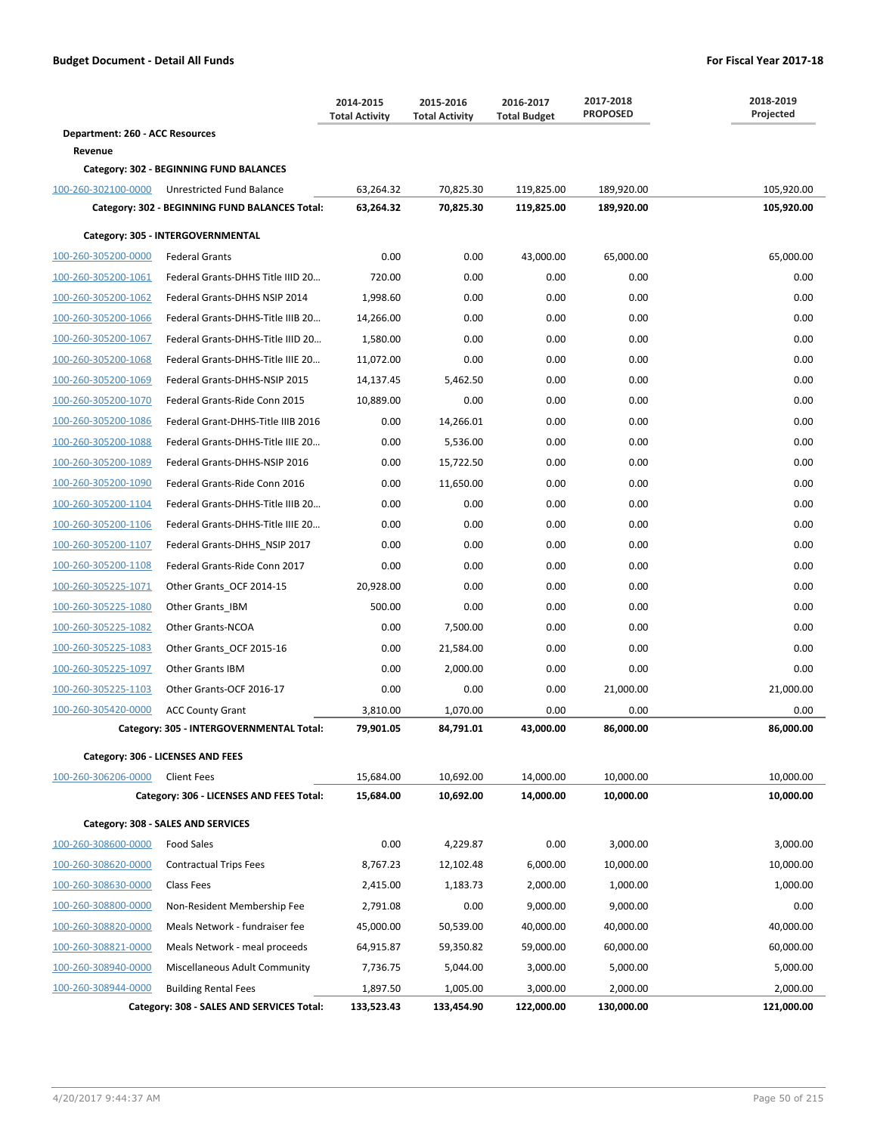|                                 |                                                | 2014-2015<br><b>Total Activity</b> | 2015-2016<br><b>Total Activity</b> | 2016-2017<br><b>Total Budget</b> | 2017-2018<br><b>PROPOSED</b> | 2018-2019<br>Projected |
|---------------------------------|------------------------------------------------|------------------------------------|------------------------------------|----------------------------------|------------------------------|------------------------|
| Department: 260 - ACC Resources |                                                |                                    |                                    |                                  |                              |                        |
| Revenue                         |                                                |                                    |                                    |                                  |                              |                        |
|                                 | Category: 302 - BEGINNING FUND BALANCES        |                                    |                                    |                                  |                              |                        |
| 100-260-302100-0000             | Unrestricted Fund Balance                      | 63,264.32                          | 70,825.30                          | 119,825.00                       | 189,920.00                   | 105,920.00             |
|                                 | Category: 302 - BEGINNING FUND BALANCES Total: | 63,264.32                          | 70,825.30                          | 119,825.00                       | 189,920.00                   | 105,920.00             |
|                                 | Category: 305 - INTERGOVERNMENTAL              |                                    |                                    |                                  |                              |                        |
| 100-260-305200-0000             | <b>Federal Grants</b>                          | 0.00                               | 0.00                               | 43,000.00                        | 65,000.00                    | 65,000.00              |
| 100-260-305200-1061             | Federal Grants-DHHS Title IIID 20              | 720.00                             | 0.00                               | 0.00                             | 0.00                         | 0.00                   |
| 100-260-305200-1062             | Federal Grants-DHHS NSIP 2014                  | 1.998.60                           | 0.00                               | 0.00                             | 0.00                         | 0.00                   |
| 100-260-305200-1066             | Federal Grants-DHHS-Title IIIB 20              | 14,266.00                          | 0.00                               | 0.00                             | 0.00                         | 0.00                   |
| 100-260-305200-1067             | Federal Grants-DHHS-Title IIID 20              | 1,580.00                           | 0.00                               | 0.00                             | 0.00                         | 0.00                   |
| 100-260-305200-1068             | Federal Grants-DHHS-Title IIIE 20              | 11,072.00                          | 0.00                               | 0.00                             | 0.00                         | 0.00                   |
| 100-260-305200-1069             | Federal Grants-DHHS-NSIP 2015                  | 14,137.45                          | 5,462.50                           | 0.00                             | 0.00                         | 0.00                   |
| 100-260-305200-1070             | Federal Grants-Ride Conn 2015                  | 10,889.00                          | 0.00                               | 0.00                             | 0.00                         | 0.00                   |
| 100-260-305200-1086             | Federal Grant-DHHS-Title IIIB 2016             | 0.00                               | 14,266.01                          | 0.00                             | 0.00                         | 0.00                   |
| 100-260-305200-1088             | Federal Grants-DHHS-Title IIIE 20              | 0.00                               | 5,536.00                           | 0.00                             | 0.00                         | 0.00                   |
| 100-260-305200-1089             | Federal Grants-DHHS-NSIP 2016                  | 0.00                               | 15,722.50                          | 0.00                             | 0.00                         | 0.00                   |
| 100-260-305200-1090             | Federal Grants-Ride Conn 2016                  | 0.00                               | 11,650.00                          | 0.00                             | 0.00                         | 0.00                   |
| 100-260-305200-1104             | Federal Grants-DHHS-Title IIIB 20              | 0.00                               | 0.00                               | 0.00                             | 0.00                         | 0.00                   |
| 100-260-305200-1106             | Federal Grants-DHHS-Title IIIE 20              | 0.00                               | 0.00                               | 0.00                             | 0.00                         | 0.00                   |
| 100-260-305200-1107             | Federal Grants-DHHS_NSIP 2017                  | 0.00                               | 0.00                               | 0.00                             | 0.00                         | 0.00                   |
| 100-260-305200-1108             | Federal Grants-Ride Conn 2017                  | 0.00                               | 0.00                               | 0.00                             | 0.00                         | 0.00                   |
| 100-260-305225-1071             | Other Grants_OCF 2014-15                       | 20,928.00                          | 0.00                               | 0.00                             | 0.00                         | 0.00                   |
| 100-260-305225-1080             | Other Grants_IBM                               | 500.00                             | 0.00                               | 0.00                             | 0.00                         | 0.00                   |
| 100-260-305225-1082             | Other Grants-NCOA                              | 0.00                               | 7,500.00                           | 0.00                             | 0.00                         | 0.00                   |
| 100-260-305225-1083             | Other Grants_OCF 2015-16                       | 0.00                               | 21,584.00                          | 0.00                             | 0.00                         | 0.00                   |
| 100-260-305225-1097             | <b>Other Grants IBM</b>                        | 0.00                               | 2,000.00                           | 0.00                             | 0.00                         | 0.00                   |
| 100-260-305225-1103             | Other Grants-OCF 2016-17                       | 0.00                               | 0.00                               | 0.00                             | 21,000.00                    | 21,000.00              |
| 100-260-305420-0000             | <b>ACC County Grant</b>                        | 3,810.00                           | 1,070.00                           | 0.00                             | 0.00                         | 0.00                   |
|                                 | Category: 305 - INTERGOVERNMENTAL Total:       | 79,901.05                          | 84,791.01                          | 43,000.00                        | 86,000.00                    | 86,000.00              |
|                                 | Category: 306 - LICENSES AND FEES              |                                    |                                    |                                  |                              |                        |
| 100-260-306206-0000             | <b>Client Fees</b>                             | 15,684.00                          | 10,692.00                          | 14,000.00                        | 10,000.00                    | 10,000.00              |
|                                 | Category: 306 - LICENSES AND FEES Total:       | 15,684.00                          | 10,692.00                          | 14,000.00                        | 10,000.00                    | 10,000.00              |
|                                 | Category: 308 - SALES AND SERVICES             |                                    |                                    |                                  |                              |                        |
| 100-260-308600-0000             | <b>Food Sales</b>                              | 0.00                               | 4,229.87                           | 0.00                             | 3,000.00                     | 3,000.00               |
| 100-260-308620-0000             | <b>Contractual Trips Fees</b>                  | 8,767.23                           | 12,102.48                          | 6,000.00                         | 10,000.00                    | 10,000.00              |
| 100-260-308630-0000             | Class Fees                                     | 2,415.00                           | 1,183.73                           | 2,000.00                         | 1,000.00                     | 1,000.00               |
| 100-260-308800-0000             | Non-Resident Membership Fee                    | 2,791.08                           | 0.00                               | 9,000.00                         | 9,000.00                     | 0.00                   |
| 100-260-308820-0000             | Meals Network - fundraiser fee                 | 45,000.00                          | 50,539.00                          | 40,000.00                        | 40,000.00                    | 40,000.00              |
| 100-260-308821-0000             | Meals Network - meal proceeds                  | 64,915.87                          | 59,350.82                          | 59,000.00                        | 60,000.00                    | 60,000.00              |
| 100-260-308940-0000             | Miscellaneous Adult Community                  | 7,736.75                           | 5,044.00                           | 3,000.00                         | 5,000.00                     | 5,000.00               |
| 100-260-308944-0000             | <b>Building Rental Fees</b>                    | 1,897.50                           | 1,005.00                           | 3,000.00                         | 2,000.00                     | 2,000.00               |
|                                 | Category: 308 - SALES AND SERVICES Total:      | 133,523.43                         | 133,454.90                         | 122,000.00                       | 130,000.00                   | 121,000.00             |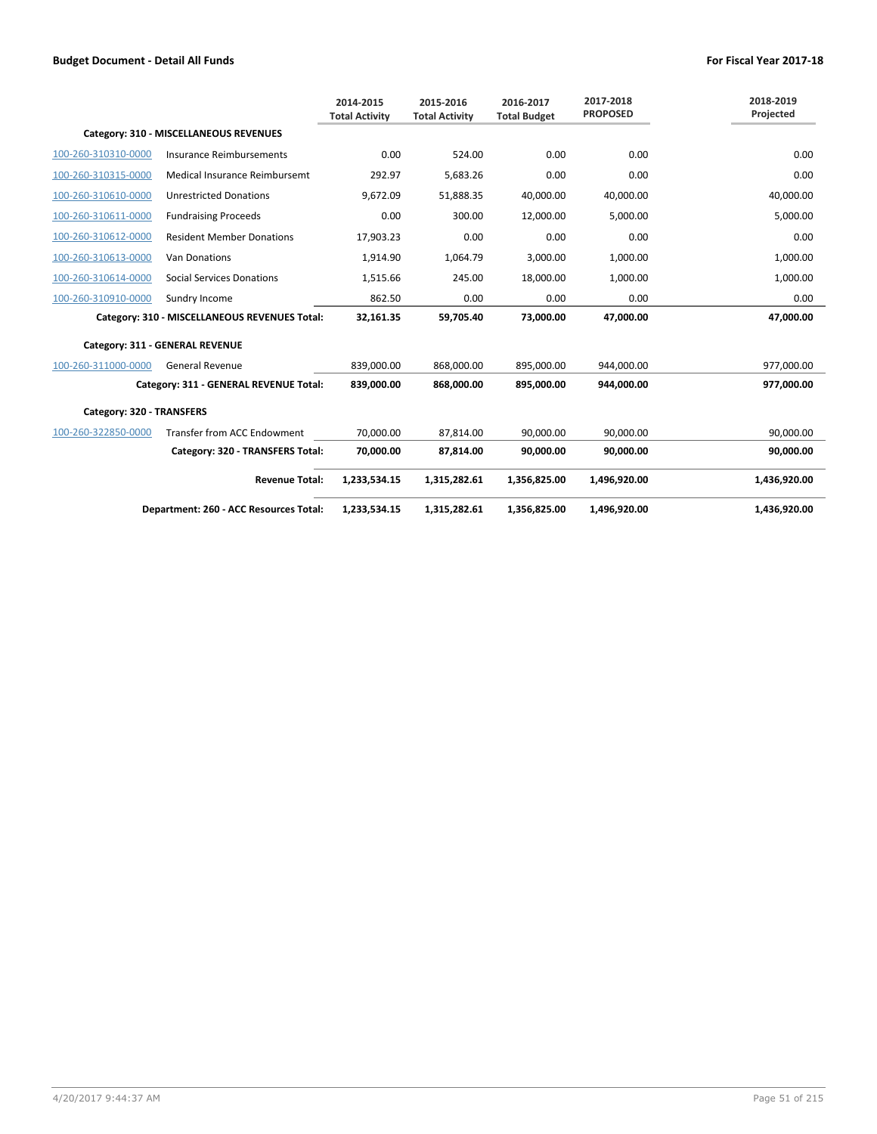|                           |                                               | 2014-2015<br><b>Total Activity</b> | 2015-2016<br><b>Total Activity</b> | 2016-2017<br><b>Total Budget</b> | 2017-2018<br><b>PROPOSED</b> | 2018-2019<br>Projected |
|---------------------------|-----------------------------------------------|------------------------------------|------------------------------------|----------------------------------|------------------------------|------------------------|
|                           | Category: 310 - MISCELLANEOUS REVENUES        |                                    |                                    |                                  |                              |                        |
| 100-260-310310-0000       | Insurance Reimbursements                      | 0.00                               | 524.00                             | 0.00                             | 0.00                         | 0.00                   |
| 100-260-310315-0000       | Medical Insurance Reimbursemt                 | 292.97                             | 5,683.26                           | 0.00                             | 0.00                         | 0.00                   |
| 100-260-310610-0000       | <b>Unrestricted Donations</b>                 | 9,672.09                           | 51,888.35                          | 40,000.00                        | 40,000.00                    | 40,000.00              |
| 100-260-310611-0000       | <b>Fundraising Proceeds</b>                   | 0.00                               | 300.00                             | 12,000.00                        | 5,000.00                     | 5,000.00               |
| 100-260-310612-0000       | <b>Resident Member Donations</b>              | 17,903.23                          | 0.00                               | 0.00                             | 0.00                         | 0.00                   |
| 100-260-310613-0000       | <b>Van Donations</b>                          | 1,914.90                           | 1,064.79                           | 3,000.00                         | 1,000.00                     | 1,000.00               |
| 100-260-310614-0000       | <b>Social Services Donations</b>              | 1,515.66                           | 245.00                             | 18,000.00                        | 1,000.00                     | 1,000.00               |
| 100-260-310910-0000       | Sundry Income                                 | 862.50                             | 0.00                               | 0.00                             | 0.00                         | 0.00                   |
|                           | Category: 310 - MISCELLANEOUS REVENUES Total: | 32,161.35                          | 59,705.40                          | 73,000.00                        | 47,000.00                    | 47,000.00              |
|                           | Category: 311 - GENERAL REVENUE               |                                    |                                    |                                  |                              |                        |
| 100-260-311000-0000       | <b>General Revenue</b>                        | 839,000.00                         | 868,000.00                         | 895,000.00                       | 944,000.00                   | 977,000.00             |
|                           | Category: 311 - GENERAL REVENUE Total:        | 839,000.00                         | 868,000.00                         | 895,000.00                       | 944,000.00                   | 977,000.00             |
| Category: 320 - TRANSFERS |                                               |                                    |                                    |                                  |                              |                        |
| 100-260-322850-0000       | <b>Transfer from ACC Endowment</b>            | 70,000.00                          | 87,814.00                          | 90,000.00                        | 90,000.00                    | 90,000.00              |
|                           | Category: 320 - TRANSFERS Total:              | 70,000.00                          | 87,814.00                          | 90.000.00                        | 90.000.00                    | 90,000.00              |
|                           | <b>Revenue Total:</b>                         | 1,233,534.15                       | 1,315,282.61                       | 1,356,825.00                     | 1,496,920.00                 | 1,436,920.00           |
|                           | Department: 260 - ACC Resources Total:        | 1,233,534.15                       | 1,315,282.61                       | 1,356,825.00                     | 1,496,920.00                 | 1,436,920.00           |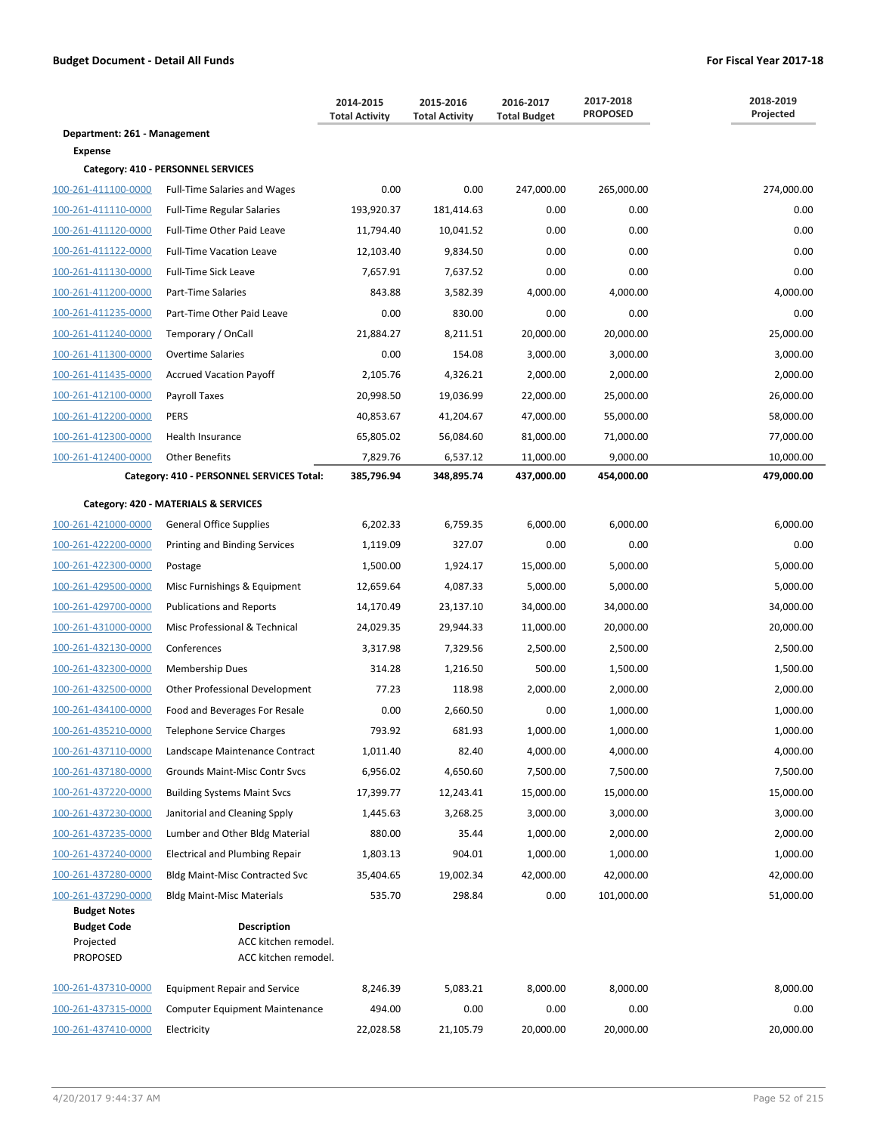|                                                                           |                                                                    | 2014-2015<br><b>Total Activity</b> | 2015-2016<br><b>Total Activity</b> | 2016-2017<br><b>Total Budget</b> | 2017-2018<br><b>PROPOSED</b> | 2018-2019<br>Projected  |
|---------------------------------------------------------------------------|--------------------------------------------------------------------|------------------------------------|------------------------------------|----------------------------------|------------------------------|-------------------------|
| Department: 261 - Management                                              |                                                                    |                                    |                                    |                                  |                              |                         |
| <b>Expense</b>                                                            |                                                                    |                                    |                                    |                                  |                              |                         |
|                                                                           | Category: 410 - PERSONNEL SERVICES                                 |                                    |                                    |                                  |                              |                         |
| 100-261-411100-0000                                                       | <b>Full-Time Salaries and Wages</b>                                | 0.00                               | 0.00                               | 247,000.00                       | 265,000.00                   | 274,000.00              |
| 100-261-411110-0000                                                       | <b>Full-Time Regular Salaries</b>                                  | 193,920.37                         | 181,414.63                         | 0.00                             | 0.00                         | 0.00                    |
| 100-261-411120-0000                                                       | Full-Time Other Paid Leave                                         | 11,794.40                          | 10,041.52                          | 0.00                             | 0.00                         | 0.00                    |
| 100-261-411122-0000                                                       | <b>Full-Time Vacation Leave</b>                                    | 12,103.40                          | 9,834.50                           | 0.00                             | 0.00                         | 0.00                    |
| 100-261-411130-0000<br>100-261-411200-0000                                | Full-Time Sick Leave                                               | 7,657.91                           | 7,637.52                           | 0.00                             | 0.00                         | 0.00                    |
|                                                                           | Part-Time Salaries                                                 | 843.88                             | 3,582.39                           | 4,000.00                         | 4,000.00                     | 4,000.00                |
| 100-261-411235-0000                                                       | Part-Time Other Paid Leave                                         | 0.00                               | 830.00                             | 0.00                             | 0.00                         | 0.00                    |
| 100-261-411240-0000                                                       | Temporary / OnCall                                                 | 21,884.27                          | 8,211.51                           | 20,000.00                        | 20,000.00                    | 25,000.00               |
| 100-261-411300-0000                                                       | <b>Overtime Salaries</b>                                           | 0.00                               | 154.08                             | 3,000.00                         | 3,000.00                     | 3,000.00                |
| 100-261-411435-0000                                                       | <b>Accrued Vacation Payoff</b>                                     | 2,105.76                           | 4,326.21                           | 2,000.00                         | 2,000.00                     | 2,000.00                |
| 100-261-412100-0000                                                       | Payroll Taxes                                                      | 20,998.50                          | 19,036.99                          | 22,000.00                        | 25,000.00                    | 26,000.00               |
| 100-261-412200-0000                                                       | <b>PERS</b>                                                        | 40,853.67                          | 41,204.67                          | 47,000.00                        | 55,000.00                    | 58,000.00               |
| 100-261-412300-0000                                                       | Health Insurance                                                   | 65,805.02                          | 56,084.60                          | 81,000.00                        | 71,000.00                    | 77,000.00               |
| 100-261-412400-0000                                                       | <b>Other Benefits</b><br>Category: 410 - PERSONNEL SERVICES Total: | 7,829.76<br>385,796.94             | 6,537.12<br>348,895.74             | 11,000.00<br>437,000.00          | 9,000.00<br>454,000.00       | 10,000.00<br>479,000.00 |
|                                                                           |                                                                    |                                    |                                    |                                  |                              |                         |
|                                                                           | Category: 420 - MATERIALS & SERVICES                               |                                    |                                    |                                  |                              |                         |
| 100-261-421000-0000                                                       | <b>General Office Supplies</b>                                     | 6,202.33                           | 6,759.35                           | 6,000.00                         | 6,000.00                     | 6,000.00                |
| 100-261-422200-0000                                                       | <b>Printing and Binding Services</b>                               | 1,119.09                           | 327.07                             | 0.00                             | 0.00                         | 0.00                    |
| 100-261-422300-0000                                                       | Postage                                                            | 1,500.00                           | 1,924.17                           | 15,000.00                        | 5,000.00                     | 5,000.00                |
| 100-261-429500-0000                                                       | Misc Furnishings & Equipment                                       | 12,659.64                          | 4,087.33                           | 5,000.00                         | 5,000.00                     | 5,000.00                |
| 100-261-429700-0000                                                       | <b>Publications and Reports</b>                                    | 14,170.49                          | 23,137.10                          | 34,000.00                        | 34,000.00                    | 34,000.00               |
| 100-261-431000-0000                                                       | Misc Professional & Technical                                      | 24,029.35                          | 29,944.33                          | 11,000.00                        | 20,000.00                    | 20,000.00               |
| 100-261-432130-0000                                                       | Conferences                                                        | 3,317.98                           | 7,329.56                           | 2,500.00                         | 2,500.00                     | 2,500.00                |
| 100-261-432300-0000                                                       | Membership Dues                                                    | 314.28                             | 1,216.50                           | 500.00                           | 1,500.00                     | 1,500.00                |
| 100-261-432500-0000                                                       | Other Professional Development                                     | 77.23                              | 118.98                             | 2,000.00                         | 2,000.00                     | 2,000.00                |
| 100-261-434100-0000                                                       | Food and Beverages For Resale                                      | 0.00                               | 2,660.50                           | 0.00                             | 1,000.00                     | 1,000.00                |
| 100-261-435210-0000                                                       | Telephone Service Charges                                          | 793.92                             | 681.93                             | 1,000.00                         | 1,000.00                     | 1,000.00                |
| 100-261-437110-0000                                                       | Landscape Maintenance Contract                                     | 1,011.40                           | 82.40                              | 4,000.00                         | 4,000.00                     | 4,000.00                |
| 100-261-437180-0000                                                       | Grounds Maint-Misc Contr Svcs                                      | 6,956.02                           | 4,650.60                           | 7,500.00                         | 7,500.00                     | 7,500.00                |
| 100-261-437220-0000                                                       | <b>Building Systems Maint Svcs</b>                                 | 17,399.77                          | 12,243.41                          | 15,000.00                        | 15,000.00                    | 15,000.00               |
| 100-261-437230-0000                                                       | Janitorial and Cleaning Spply                                      | 1,445.63                           | 3,268.25                           | 3,000.00                         | 3,000.00                     | 3,000.00                |
| 100-261-437235-0000                                                       | Lumber and Other Bldg Material                                     | 880.00                             | 35.44                              | 1,000.00                         | 2,000.00                     | 2,000.00                |
| 100-261-437240-0000                                                       | <b>Electrical and Plumbing Repair</b>                              | 1,803.13                           | 904.01                             | 1,000.00                         | 1,000.00                     | 1,000.00                |
| 100-261-437280-0000                                                       | <b>Bldg Maint-Misc Contracted Svc</b>                              | 35,404.65                          | 19,002.34                          | 42,000.00                        | 42,000.00                    | 42,000.00               |
| 100-261-437290-0000                                                       | <b>Bldg Maint-Misc Materials</b>                                   | 535.70                             | 298.84                             | 0.00                             | 101,000.00                   | 51,000.00               |
| <b>Budget Notes</b><br><b>Budget Code</b><br>Projected<br><b>PROPOSED</b> | <b>Description</b><br>ACC kitchen remodel.<br>ACC kitchen remodel. |                                    |                                    |                                  |                              |                         |
| 100-261-437310-0000                                                       | <b>Equipment Repair and Service</b>                                | 8,246.39                           | 5,083.21                           | 8,000.00                         | 8,000.00                     | 8,000.00                |
| 100-261-437315-0000                                                       | <b>Computer Equipment Maintenance</b>                              | 494.00                             | 0.00                               | 0.00                             | 0.00                         | 0.00                    |
| 100-261-437410-0000                                                       | Electricity                                                        | 22,028.58                          | 21,105.79                          | 20,000.00                        | 20,000.00                    | 20,000.00               |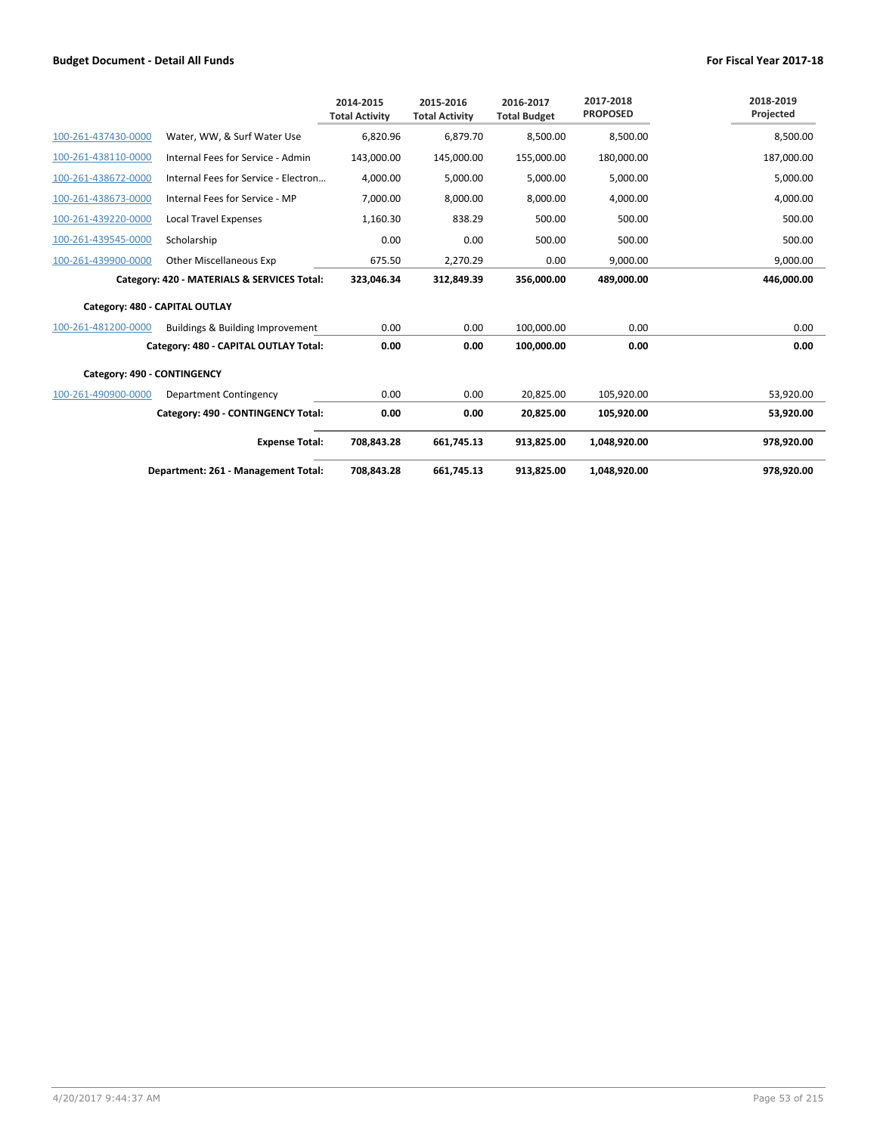|                                |                                             | 2014-2015<br><b>Total Activity</b> | 2015-2016<br><b>Total Activity</b> | 2016-2017<br><b>Total Budget</b> | 2017-2018<br><b>PROPOSED</b> | 2018-2019<br>Projected |
|--------------------------------|---------------------------------------------|------------------------------------|------------------------------------|----------------------------------|------------------------------|------------------------|
| 100-261-437430-0000            | Water, WW, & Surf Water Use                 | 6,820.96                           | 6,879.70                           | 8,500.00                         | 8,500.00                     | 8,500.00               |
| 100-261-438110-0000            | Internal Fees for Service - Admin           | 143,000.00                         | 145,000.00                         | 155,000.00                       | 180,000.00                   | 187,000.00             |
| 100-261-438672-0000            | Internal Fees for Service - Electron        | 4,000.00                           | 5,000.00                           | 5,000.00                         | 5,000.00                     | 5,000.00               |
| 100-261-438673-0000            | Internal Fees for Service - MP              | 7,000.00                           | 8,000.00                           | 8,000.00                         | 4,000.00                     | 4,000.00               |
| 100-261-439220-0000            | <b>Local Travel Expenses</b>                | 1,160.30                           | 838.29                             | 500.00                           | 500.00                       | 500.00                 |
| 100-261-439545-0000            | Scholarship                                 | 0.00                               | 0.00                               | 500.00                           | 500.00                       | 500.00                 |
| 100-261-439900-0000            | <b>Other Miscellaneous Exp</b>              | 675.50                             | 2,270.29                           | 0.00                             | 9,000.00                     | 9,000.00               |
|                                | Category: 420 - MATERIALS & SERVICES Total: | 323,046.34                         | 312,849.39                         | 356,000.00                       | 489,000.00                   | 446,000.00             |
| Category: 480 - CAPITAL OUTLAY |                                             |                                    |                                    |                                  |                              |                        |
| 100-261-481200-0000            | Buildings & Building Improvement            | 0.00                               | 0.00                               | 100,000.00                       | 0.00                         | 0.00                   |
|                                | Category: 480 - CAPITAL OUTLAY Total:       | 0.00                               | 0.00                               | 100.000.00                       | 0.00                         | 0.00                   |
| Category: 490 - CONTINGENCY    |                                             |                                    |                                    |                                  |                              |                        |
| 100-261-490900-0000            | Department Contingency                      | 0.00                               | 0.00                               | 20,825.00                        | 105,920.00                   | 53,920.00              |
|                                | Category: 490 - CONTINGENCY Total:          | 0.00                               | 0.00                               | 20,825.00                        | 105,920.00                   | 53,920.00              |
|                                | <b>Expense Total:</b>                       | 708,843.28                         | 661.745.13                         | 913.825.00                       | 1,048,920.00                 | 978.920.00             |
|                                | Department: 261 - Management Total:         | 708,843.28                         | 661.745.13                         | 913,825.00                       | 1,048,920.00                 | 978,920.00             |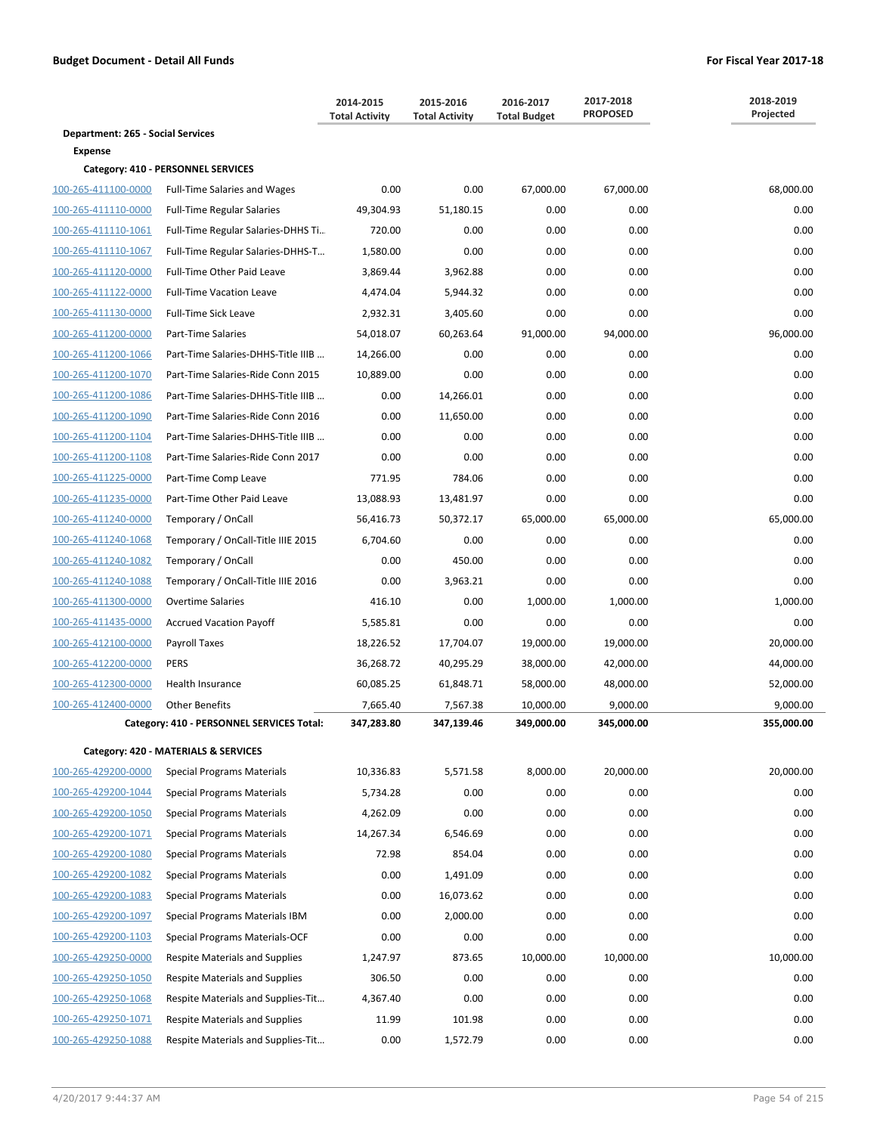|                                          |                                                                           | 2014-2015<br><b>Total Activity</b> | 2015-2016<br><b>Total Activity</b> | 2016-2017<br><b>Total Budget</b> | 2017-2018<br><b>PROPOSED</b> | 2018-2019<br>Projected |
|------------------------------------------|---------------------------------------------------------------------------|------------------------------------|------------------------------------|----------------------------------|------------------------------|------------------------|
| <b>Department: 265 - Social Services</b> |                                                                           |                                    |                                    |                                  |                              |                        |
| <b>Expense</b>                           |                                                                           |                                    |                                    |                                  |                              |                        |
| 100-265-411100-0000                      | Category: 410 - PERSONNEL SERVICES<br><b>Full-Time Salaries and Wages</b> | 0.00                               | 0.00                               |                                  |                              |                        |
| 100-265-411110-0000                      | <b>Full-Time Regular Salaries</b>                                         | 49,304.93                          | 51,180.15                          | 67,000.00<br>0.00                | 67,000.00<br>0.00            | 68,000.00<br>0.00      |
| 100-265-411110-1061                      | Full-Time Regular Salaries-DHHS Ti                                        | 720.00                             | 0.00                               | 0.00                             | 0.00                         | 0.00                   |
| 100-265-411110-1067                      | Full-Time Regular Salaries-DHHS-T                                         | 1,580.00                           | 0.00                               | 0.00                             | 0.00                         | 0.00                   |
| 100-265-411120-0000                      | <b>Full-Time Other Paid Leave</b>                                         | 3,869.44                           | 3,962.88                           | 0.00                             | 0.00                         | 0.00                   |
| 100-265-411122-0000                      | <b>Full-Time Vacation Leave</b>                                           | 4,474.04                           | 5,944.32                           | 0.00                             | 0.00                         | 0.00                   |
| 100-265-411130-0000                      | Full-Time Sick Leave                                                      | 2,932.31                           | 3,405.60                           | 0.00                             | 0.00                         | 0.00                   |
| 100-265-411200-0000                      | Part-Time Salaries                                                        | 54,018.07                          | 60,263.64                          | 91,000.00                        | 94,000.00                    | 96,000.00              |
| 100-265-411200-1066                      | Part-Time Salaries-DHHS-Title IIIB                                        | 14,266.00                          | 0.00                               | 0.00                             | 0.00                         | 0.00                   |
| 100-265-411200-1070                      | Part-Time Salaries-Ride Conn 2015                                         | 10,889.00                          | 0.00                               | 0.00                             | 0.00                         | 0.00                   |
| 100-265-411200-1086                      | Part-Time Salaries-DHHS-Title IIIB                                        | 0.00                               | 14,266.01                          | 0.00                             | 0.00                         | 0.00                   |
| 100-265-411200-1090                      | Part-Time Salaries-Ride Conn 2016                                         | 0.00                               | 11,650.00                          | 0.00                             | 0.00                         | 0.00                   |
|                                          |                                                                           | 0.00                               | 0.00                               | 0.00                             | 0.00                         | 0.00                   |
| 100-265-411200-1104                      | Part-Time Salaries-DHHS-Title IIIB<br>Part-Time Salaries-Ride Conn 2017   |                                    |                                    |                                  |                              |                        |
| 100-265-411200-1108                      |                                                                           | 0.00<br>771.95                     | 0.00                               | 0.00<br>0.00                     | 0.00<br>0.00                 | 0.00<br>0.00           |
| 100-265-411225-0000                      | Part-Time Comp Leave                                                      |                                    | 784.06<br>13,481.97                |                                  |                              |                        |
| 100-265-411235-0000                      | Part-Time Other Paid Leave                                                | 13,088.93                          |                                    | 0.00                             | 0.00                         | 0.00                   |
| 100-265-411240-0000                      | Temporary / OnCall<br>Temporary / OnCall-Title IIIE 2015                  | 56,416.73<br>6,704.60              | 50,372.17<br>0.00                  | 65,000.00<br>0.00                | 65,000.00<br>0.00            | 65,000.00<br>0.00      |
| 100-265-411240-1068                      |                                                                           |                                    |                                    |                                  |                              |                        |
| 100-265-411240-1082                      | Temporary / OnCall                                                        | 0.00                               | 450.00                             | 0.00                             | 0.00                         | 0.00                   |
| 100-265-411240-1088                      | Temporary / OnCall-Title IIIE 2016                                        | 0.00                               | 3,963.21                           | 0.00                             | 0.00                         | 0.00                   |
| 100-265-411300-0000                      | <b>Overtime Salaries</b>                                                  | 416.10                             | 0.00                               | 1,000.00                         | 1,000.00                     | 1,000.00               |
| 100-265-411435-0000                      | <b>Accrued Vacation Payoff</b>                                            | 5,585.81                           | 0.00                               | 0.00                             | 0.00                         | 0.00                   |
| 100-265-412100-0000                      | Payroll Taxes                                                             | 18,226.52                          | 17,704.07                          | 19,000.00                        | 19,000.00                    | 20,000.00              |
| 100-265-412200-0000                      | PERS                                                                      | 36,268.72                          | 40,295.29                          | 38,000.00                        | 42,000.00                    | 44,000.00              |
| 100-265-412300-0000                      | <b>Health Insurance</b>                                                   | 60,085.25                          | 61,848.71                          | 58,000.00                        | 48,000.00                    | 52,000.00              |
| 100-265-412400-0000                      | <b>Other Benefits</b>                                                     | 7,665.40                           | 7,567.38                           | 10,000.00                        | 9,000.00                     | 9,000.00               |
|                                          | Category: 410 - PERSONNEL SERVICES Total:                                 | 347,283.80                         | 347,139.46                         | 349,000.00                       | 345,000.00                   | 355,000.00             |
|                                          | Category: 420 - MATERIALS & SERVICES                                      |                                    |                                    |                                  |                              |                        |
| 100-265-429200-0000                      | Special Programs Materials                                                | 10,336.83                          | 5,571.58                           | 8,000.00                         | 20,000.00                    | 20.000.00              |
| 100-265-429200-1044                      | <b>Special Programs Materials</b>                                         | 5,734.28                           | 0.00                               | 0.00                             | 0.00                         | 0.00                   |
| 100-265-429200-1050                      | <b>Special Programs Materials</b>                                         | 4,262.09                           | 0.00                               | 0.00                             | 0.00                         | 0.00                   |
| 100-265-429200-1071                      | <b>Special Programs Materials</b>                                         | 14,267.34                          | 6,546.69                           | 0.00                             | 0.00                         | 0.00                   |
| 100-265-429200-1080                      | <b>Special Programs Materials</b>                                         | 72.98                              | 854.04                             | 0.00                             | 0.00                         | 0.00                   |
| 100-265-429200-1082                      | <b>Special Programs Materials</b>                                         | 0.00                               | 1,491.09                           | 0.00                             | 0.00                         | 0.00                   |
| 100-265-429200-1083                      | <b>Special Programs Materials</b>                                         | 0.00                               | 16,073.62                          | 0.00                             | 0.00                         | 0.00                   |
| 100-265-429200-1097                      | Special Programs Materials IBM                                            | 0.00                               | 2,000.00                           | 0.00                             | 0.00                         | 0.00                   |
| 100-265-429200-1103                      | Special Programs Materials-OCF                                            | 0.00                               | 0.00                               | 0.00                             | 0.00                         | 0.00                   |
| 100-265-429250-0000                      | Respite Materials and Supplies                                            | 1,247.97                           | 873.65                             | 10,000.00                        | 10,000.00                    | 10,000.00              |
| 100-265-429250-1050                      | Respite Materials and Supplies                                            | 306.50                             | 0.00                               | 0.00                             | 0.00                         | 0.00                   |
| 100-265-429250-1068                      | Respite Materials and Supplies-Tit                                        | 4,367.40                           | 0.00                               | 0.00                             | 0.00                         | 0.00                   |
| 100-265-429250-1071                      | Respite Materials and Supplies                                            | 11.99                              | 101.98                             | 0.00                             | 0.00                         | 0.00                   |
| 100-265-429250-1088                      | Respite Materials and Supplies-Tit                                        | 0.00                               | 1,572.79                           | 0.00                             | 0.00                         | 0.00                   |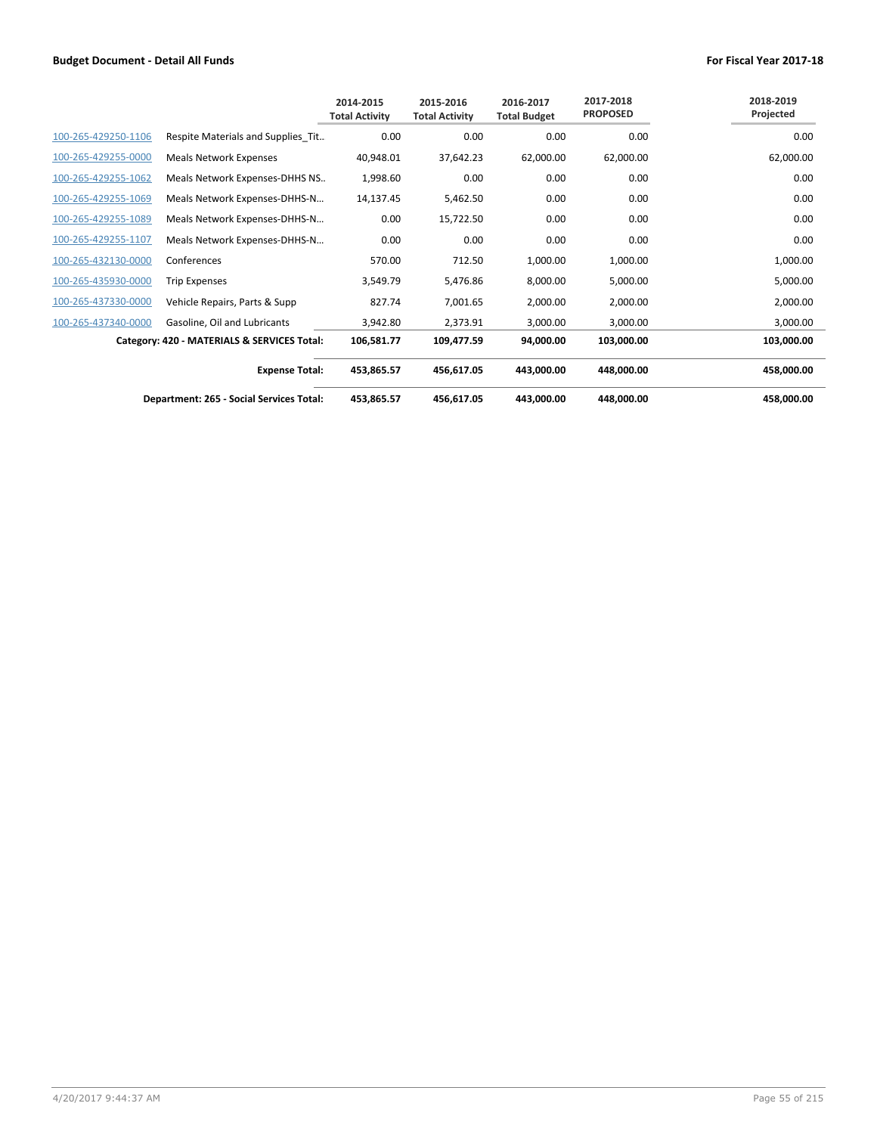|                     |                                             | 2014-2015<br><b>Total Activity</b> | 2015-2016<br><b>Total Activity</b> | 2016-2017<br><b>Total Budget</b> | 2017-2018<br><b>PROPOSED</b> | 2018-2019<br>Projected |
|---------------------|---------------------------------------------|------------------------------------|------------------------------------|----------------------------------|------------------------------|------------------------|
| 100-265-429250-1106 | Respite Materials and Supplies Tit          | 0.00                               | 0.00                               | 0.00                             | 0.00                         | 0.00                   |
| 100-265-429255-0000 | <b>Meals Network Expenses</b>               | 40,948.01                          | 37,642.23                          | 62,000.00                        | 62,000.00                    | 62,000.00              |
| 100-265-429255-1062 | Meals Network Expenses-DHHS NS              | 1,998.60                           | 0.00                               | 0.00                             | 0.00                         | 0.00                   |
| 100-265-429255-1069 | Meals Network Expenses-DHHS-N               | 14,137.45                          | 5,462.50                           | 0.00                             | 0.00                         | 0.00                   |
| 100-265-429255-1089 | Meals Network Expenses-DHHS-N               | 0.00                               | 15,722.50                          | 0.00                             | 0.00                         | 0.00                   |
| 100-265-429255-1107 | Meals Network Expenses-DHHS-N               | 0.00                               | 0.00                               | 0.00                             | 0.00                         | 0.00                   |
| 100-265-432130-0000 | Conferences                                 | 570.00                             | 712.50                             | 1,000.00                         | 1,000.00                     | 1,000.00               |
| 100-265-435930-0000 | <b>Trip Expenses</b>                        | 3,549.79                           | 5,476.86                           | 8,000.00                         | 5,000.00                     | 5,000.00               |
| 100-265-437330-0000 | Vehicle Repairs, Parts & Supp               | 827.74                             | 7,001.65                           | 2,000.00                         | 2,000.00                     | 2,000.00               |
| 100-265-437340-0000 | Gasoline, Oil and Lubricants                | 3,942.80                           | 2,373.91                           | 3,000.00                         | 3,000.00                     | 3,000.00               |
|                     | Category: 420 - MATERIALS & SERVICES Total: | 106,581.77                         | 109,477.59                         | 94,000.00                        | 103,000.00                   | 103,000.00             |
|                     | <b>Expense Total:</b>                       | 453,865.57                         | 456,617.05                         | 443,000.00                       | 448,000.00                   | 458,000.00             |
|                     | Department: 265 - Social Services Total:    | 453,865.57                         | 456,617.05                         | 443,000.00                       | 448,000.00                   | 458,000.00             |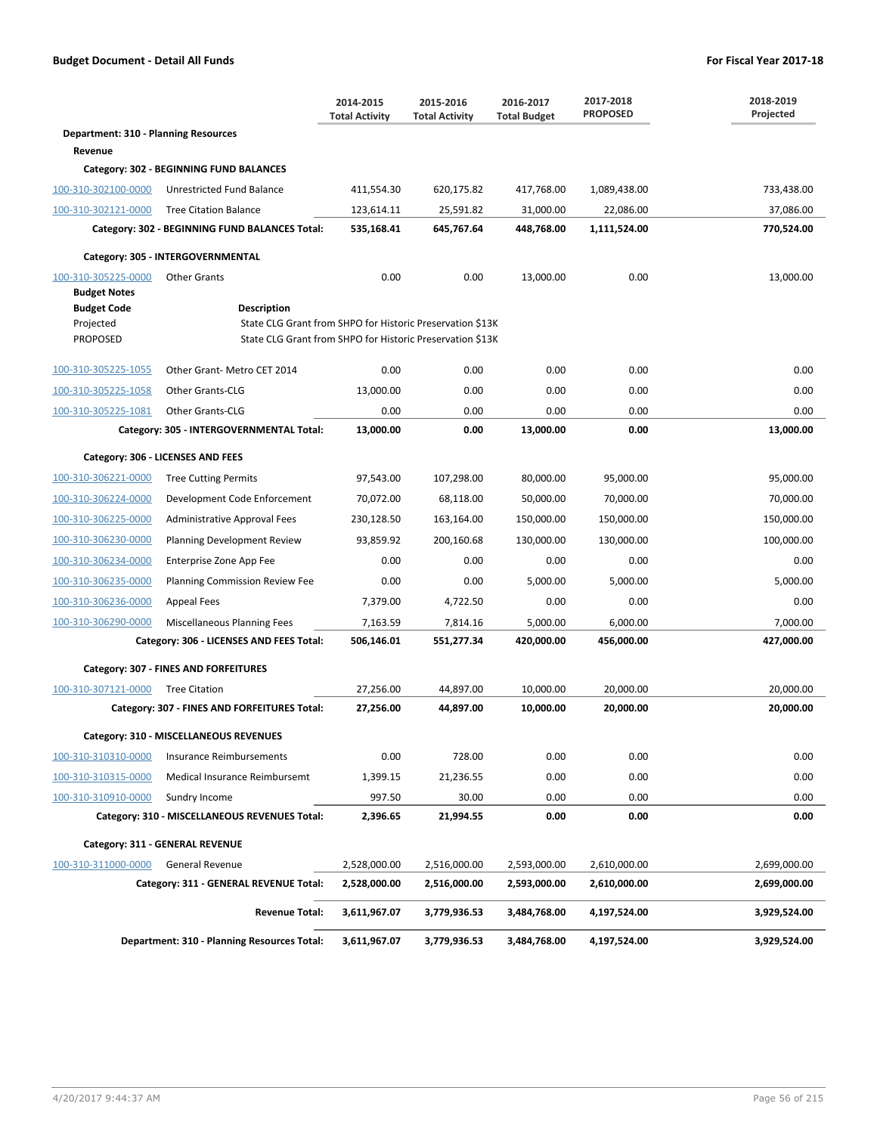|                                      |                                                           | 2014-2015<br><b>Total Activity</b> | 2015-2016<br><b>Total Activity</b> | 2016-2017<br><b>Total Budget</b> | 2017-2018<br><b>PROPOSED</b> | 2018-2019<br>Projected |  |  |
|--------------------------------------|-----------------------------------------------------------|------------------------------------|------------------------------------|----------------------------------|------------------------------|------------------------|--|--|
| Department: 310 - Planning Resources |                                                           |                                    |                                    |                                  |                              |                        |  |  |
| Revenue                              |                                                           |                                    |                                    |                                  |                              |                        |  |  |
|                                      | Category: 302 - BEGINNING FUND BALANCES                   |                                    |                                    |                                  |                              |                        |  |  |
| 100-310-302100-0000                  | Unrestricted Fund Balance                                 | 411,554.30                         | 620,175.82                         | 417,768.00                       | 1,089,438.00                 | 733,438.00             |  |  |
| 100-310-302121-0000                  | <b>Tree Citation Balance</b>                              | 123,614.11                         | 25,591.82                          | 31,000.00                        | 22,086.00                    | 37,086.00              |  |  |
|                                      | Category: 302 - BEGINNING FUND BALANCES Total:            | 535,168.41                         | 645,767.64                         | 448,768.00                       | 1,111,524.00                 | 770,524.00             |  |  |
|                                      | Category: 305 - INTERGOVERNMENTAL                         |                                    |                                    |                                  |                              |                        |  |  |
| 100-310-305225-0000                  | <b>Other Grants</b>                                       | 0.00                               | 0.00                               | 13,000.00                        | 0.00                         | 13,000.00              |  |  |
| <b>Budget Notes</b>                  |                                                           |                                    |                                    |                                  |                              |                        |  |  |
| <b>Budget Code</b>                   | Description                                               |                                    |                                    |                                  |                              |                        |  |  |
| Projected                            | State CLG Grant from SHPO for Historic Preservation \$13K |                                    |                                    |                                  |                              |                        |  |  |
| <b>PROPOSED</b>                      | State CLG Grant from SHPO for Historic Preservation \$13K |                                    |                                    |                                  |                              |                        |  |  |
| 100-310-305225-1055                  | Other Grant- Metro CET 2014                               | 0.00                               | 0.00                               | 0.00                             | 0.00                         | 0.00                   |  |  |
| 100-310-305225-1058                  | <b>Other Grants-CLG</b>                                   | 13.000.00                          | 0.00                               | 0.00                             | 0.00                         | 0.00                   |  |  |
| 100-310-305225-1081                  | <b>Other Grants-CLG</b>                                   | 0.00                               | 0.00                               | 0.00                             | 0.00                         | 0.00                   |  |  |
|                                      | Category: 305 - INTERGOVERNMENTAL Total:                  | 13,000.00                          | 0.00                               | 13,000.00                        | 0.00                         | 13,000.00              |  |  |
| Category: 306 - LICENSES AND FEES    |                                                           |                                    |                                    |                                  |                              |                        |  |  |
| 100-310-306221-0000                  | <b>Tree Cutting Permits</b>                               | 97,543.00                          | 107,298.00                         | 80,000.00                        | 95,000.00                    | 95,000.00              |  |  |
| 100-310-306224-0000                  | Development Code Enforcement                              | 70,072.00                          | 68,118.00                          | 50,000.00                        | 70,000.00                    | 70,000.00              |  |  |
| 100-310-306225-0000                  | Administrative Approval Fees                              | 230,128.50                         | 163,164.00                         | 150,000.00                       | 150,000.00                   | 150,000.00             |  |  |
| 100-310-306230-0000                  | <b>Planning Development Review</b>                        | 93,859.92                          | 200,160.68                         | 130,000.00                       | 130,000.00                   | 100,000.00             |  |  |
| 100-310-306234-0000                  | Enterprise Zone App Fee                                   | 0.00                               | 0.00                               | 0.00                             | 0.00                         | 0.00                   |  |  |
| 100-310-306235-0000                  | <b>Planning Commission Review Fee</b>                     | 0.00                               | 0.00                               | 5,000.00                         | 5,000.00                     | 5,000.00               |  |  |
| 100-310-306236-0000                  | Appeal Fees                                               | 7,379.00                           | 4,722.50                           | 0.00                             | 0.00                         | 0.00                   |  |  |
| 100-310-306290-0000                  | Miscellaneous Planning Fees                               | 7,163.59                           | 7,814.16                           | 5,000.00                         | 6,000.00                     | 7,000.00               |  |  |
|                                      | Category: 306 - LICENSES AND FEES Total:                  | 506,146.01                         | 551,277.34                         | 420,000.00                       | 456,000.00                   | 427,000.00             |  |  |
|                                      | Category: 307 - FINES AND FORFEITURES                     |                                    |                                    |                                  |                              |                        |  |  |
| 100-310-307121-0000                  | <b>Tree Citation</b>                                      | 27,256.00                          | 44,897.00                          | 10,000.00                        | 20,000.00                    | 20,000.00              |  |  |
|                                      | Category: 307 - FINES AND FORFEITURES Total:              | 27,256.00                          | 44,897.00                          | 10.000.00                        | 20.000.00                    | 20,000.00              |  |  |
|                                      | Category: 310 - MISCELLANEOUS REVENUES                    |                                    |                                    |                                  |                              |                        |  |  |
| 100-310-310310-0000                  | Insurance Reimbursements                                  | 0.00                               | 728.00                             | 0.00                             | 0.00                         | 0.00                   |  |  |
| 100-310-310315-0000                  | Medical Insurance Reimbursemt                             | 1,399.15                           | 21,236.55                          | 0.00                             | 0.00                         | 0.00                   |  |  |
| 100-310-310910-0000                  | Sundry Income                                             | 997.50                             | 30.00                              | 0.00                             | 0.00                         | 0.00                   |  |  |
|                                      | Category: 310 - MISCELLANEOUS REVENUES Total:             | 2,396.65                           | 21,994.55                          | 0.00                             | 0.00                         | 0.00                   |  |  |
|                                      | Category: 311 - GENERAL REVENUE                           |                                    |                                    |                                  |                              |                        |  |  |
| 100-310-311000-0000                  | <b>General Revenue</b>                                    | 2,528,000.00                       | 2,516,000.00                       | 2,593,000.00                     | 2,610,000.00                 | 2,699,000.00           |  |  |
|                                      | Category: 311 - GENERAL REVENUE Total:                    | 2,528,000.00                       | 2,516,000.00                       | 2,593,000.00                     | 2,610,000.00                 | 2,699,000.00           |  |  |
|                                      | <b>Revenue Total:</b>                                     | 3,611,967.07                       | 3,779,936.53                       | 3,484,768.00                     | 4,197,524.00                 | 3,929,524.00           |  |  |
|                                      | Department: 310 - Planning Resources Total:               | 3,611,967.07                       | 3,779,936.53                       | 3,484,768.00                     | 4,197,524.00                 | 3,929,524.00           |  |  |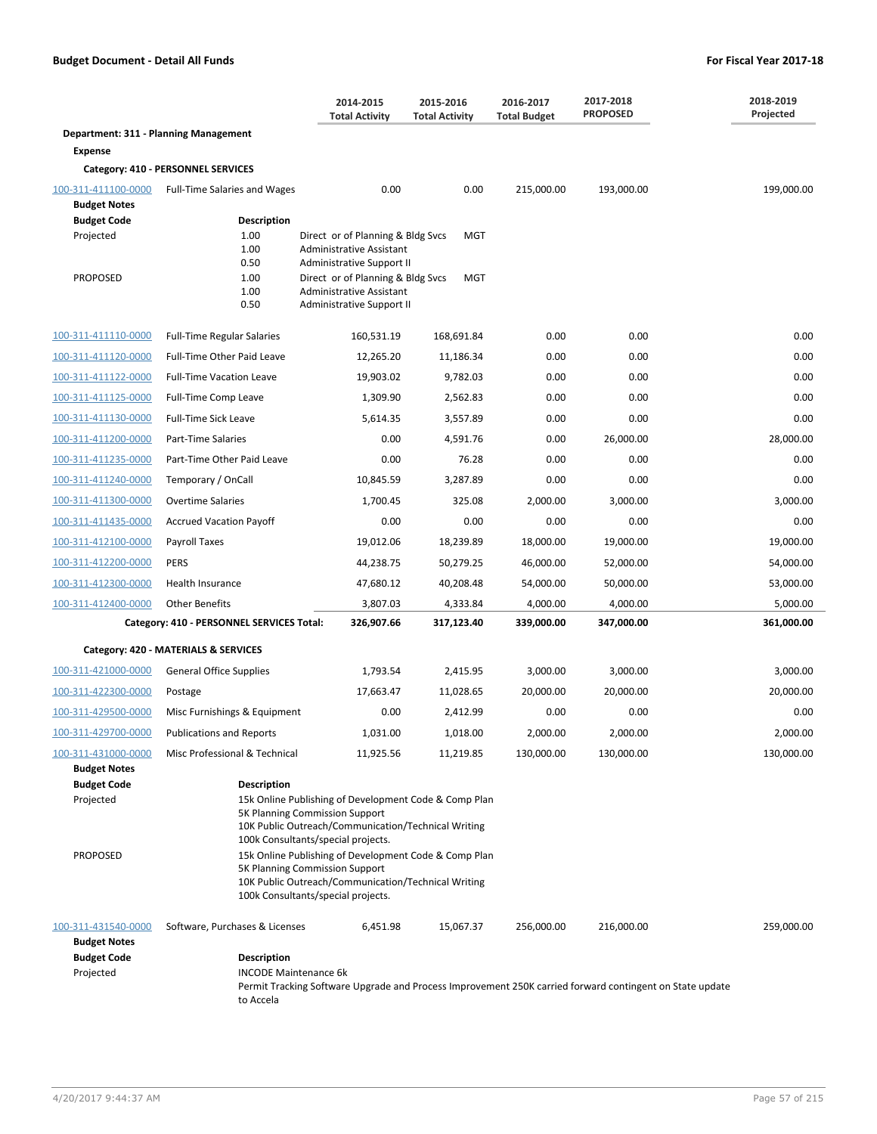|                                                                               |                                                                                                                                                                                                                                                                     | 2014-2015<br><b>Total Activity</b>                                                                                          | 2015-2016<br><b>Total Activity</b> | 2016-2017<br><b>Total Budget</b> | 2017-2018<br><b>PROPOSED</b> | 2018-2019<br>Projected |
|-------------------------------------------------------------------------------|---------------------------------------------------------------------------------------------------------------------------------------------------------------------------------------------------------------------------------------------------------------------|-----------------------------------------------------------------------------------------------------------------------------|------------------------------------|----------------------------------|------------------------------|------------------------|
| Department: 311 - Planning Management                                         |                                                                                                                                                                                                                                                                     |                                                                                                                             |                                    |                                  |                              |                        |
| <b>Expense</b>                                                                |                                                                                                                                                                                                                                                                     |                                                                                                                             |                                    |                                  |                              |                        |
|                                                                               | Category: 410 - PERSONNEL SERVICES                                                                                                                                                                                                                                  |                                                                                                                             |                                    |                                  |                              |                        |
| 100-311-411100-0000<br><b>Budget Notes</b>                                    | <b>Full-Time Salaries and Wages</b>                                                                                                                                                                                                                                 | 0.00                                                                                                                        | 0.00                               | 215,000.00                       | 193,000.00                   | 199,000.00             |
| <b>Budget Code</b>                                                            | <b>Description</b>                                                                                                                                                                                                                                                  |                                                                                                                             |                                    |                                  |                              |                        |
| Projected                                                                     | 1.00<br>1.00<br>0.50                                                                                                                                                                                                                                                | Direct or of Planning & Bldg Svcs<br><b>Administrative Assistant</b><br>Administrative Support II                           | <b>MGT</b>                         |                                  |                              |                        |
| <b>PROPOSED</b>                                                               | 1.00<br>1.00<br>0.50                                                                                                                                                                                                                                                | Direct or of Planning & Bldg Svcs<br><b>Administrative Assistant</b><br>Administrative Support II                           | <b>MGT</b>                         |                                  |                              |                        |
| 100-311-411110-0000                                                           | <b>Full-Time Regular Salaries</b>                                                                                                                                                                                                                                   | 160,531.19                                                                                                                  | 168,691.84                         | 0.00                             | 0.00                         | 0.00                   |
| 100-311-411120-0000                                                           | Full-Time Other Paid Leave                                                                                                                                                                                                                                          | 12,265.20                                                                                                                   | 11,186.34                          | 0.00                             | 0.00                         | 0.00                   |
| 100-311-411122-0000                                                           | <b>Full-Time Vacation Leave</b>                                                                                                                                                                                                                                     | 19,903.02                                                                                                                   | 9,782.03                           | 0.00                             | 0.00                         | 0.00                   |
| 100-311-411125-0000                                                           | Full-Time Comp Leave                                                                                                                                                                                                                                                | 1,309.90                                                                                                                    | 2,562.83                           | 0.00                             | 0.00                         | 0.00                   |
| 100-311-411130-0000                                                           | <b>Full-Time Sick Leave</b>                                                                                                                                                                                                                                         | 5,614.35                                                                                                                    | 3,557.89                           | 0.00                             | 0.00                         | 0.00                   |
| 100-311-411200-0000                                                           | Part-Time Salaries                                                                                                                                                                                                                                                  | 0.00                                                                                                                        | 4,591.76                           | 0.00                             | 26,000.00                    | 28,000.00              |
| 100-311-411235-0000                                                           | Part-Time Other Paid Leave                                                                                                                                                                                                                                          | 0.00                                                                                                                        | 76.28                              | 0.00                             | 0.00                         | 0.00                   |
| 100-311-411240-0000                                                           | Temporary / OnCall                                                                                                                                                                                                                                                  | 10,845.59                                                                                                                   | 3.287.89                           | 0.00                             | 0.00                         | 0.00                   |
| 100-311-411300-0000                                                           | <b>Overtime Salaries</b>                                                                                                                                                                                                                                            | 1,700.45                                                                                                                    | 325.08                             | 2,000.00                         | 3,000.00                     | 3,000.00               |
| 100-311-411435-0000                                                           | <b>Accrued Vacation Payoff</b>                                                                                                                                                                                                                                      | 0.00                                                                                                                        | 0.00                               | 0.00                             | 0.00                         | 0.00                   |
| 100-311-412100-0000                                                           | Payroll Taxes                                                                                                                                                                                                                                                       | 19,012.06                                                                                                                   | 18,239.89                          | 18,000.00                        | 19,000.00                    | 19,000.00              |
| 100-311-412200-0000                                                           | <b>PERS</b>                                                                                                                                                                                                                                                         | 44,238.75                                                                                                                   | 50,279.25                          | 46,000.00                        | 52,000.00                    | 54,000.00              |
| 100-311-412300-0000                                                           | Health Insurance                                                                                                                                                                                                                                                    | 47,680.12                                                                                                                   | 40,208.48                          | 54,000.00                        | 50,000.00                    | 53,000.00              |
| 100-311-412400-0000                                                           | <b>Other Benefits</b>                                                                                                                                                                                                                                               | 3,807.03                                                                                                                    | 4,333.84                           | 4,000.00                         | 4,000.00                     | 5,000.00               |
|                                                                               | Category: 410 - PERSONNEL SERVICES Total:                                                                                                                                                                                                                           | 326,907.66                                                                                                                  | 317,123.40                         | 339,000.00                       | 347,000.00                   | 361,000.00             |
|                                                                               | Category: 420 - MATERIALS & SERVICES                                                                                                                                                                                                                                |                                                                                                                             |                                    |                                  |                              |                        |
| 100-311-421000-0000                                                           | <b>General Office Supplies</b>                                                                                                                                                                                                                                      | 1,793.54                                                                                                                    | 2,415.95                           | 3,000.00                         | 3,000.00                     | 3,000.00               |
| 100-311-422300-0000                                                           | Postage                                                                                                                                                                                                                                                             | 17,663.47                                                                                                                   | 11,028.65                          | 20,000.00                        | 20,000.00                    | 20,000.00              |
| 100-311-429500-0000                                                           | Misc Furnishings & Equipment                                                                                                                                                                                                                                        | 0.00                                                                                                                        | 2,412.99                           | 0.00                             | 0.00                         | 0.00                   |
| 100-311-429700-0000                                                           | <b>Publications and Reports</b>                                                                                                                                                                                                                                     | 1,031.00                                                                                                                    | 1,018.00                           | 2,000.00                         | 2,000.00                     | 2,000.00               |
| 100-311-431000-0000                                                           | Misc Professional & Technical                                                                                                                                                                                                                                       | 11,925.56                                                                                                                   | 11,219.85                          | 130,000.00                       | 130,000.00                   | 130,000.00             |
| <b>Budget Notes</b><br><b>Budget Code</b><br>Projected<br><b>PROPOSED</b>     | <b>Description</b><br>15k Online Publishing of Development Code & Comp Plan<br>5K Planning Commission Support<br>10K Public Outreach/Communication/Technical Writing<br>100k Consultants/special projects.<br>15k Online Publishing of Development Code & Comp Plan |                                                                                                                             |                                    |                                  |                              |                        |
|                                                                               |                                                                                                                                                                                                                                                                     | 5K Planning Commission Support<br>10K Public Outreach/Communication/Technical Writing<br>100k Consultants/special projects. |                                    |                                  |                              |                        |
| 100-311-431540-0000<br><b>Budget Notes</b><br><b>Budget Code</b><br>Projected | Software, Purchases & Licenses<br><b>Description</b><br><b>INCODE Maintenance 6k</b>                                                                                                                                                                                | 6,451.98<br>Permit Tracking Software Upgrade and Process Improvement 250K carried forward contingent on State update        | 15,067.37                          | 256,000.00                       | 216,000.00                   | 259,000.00             |

to Accela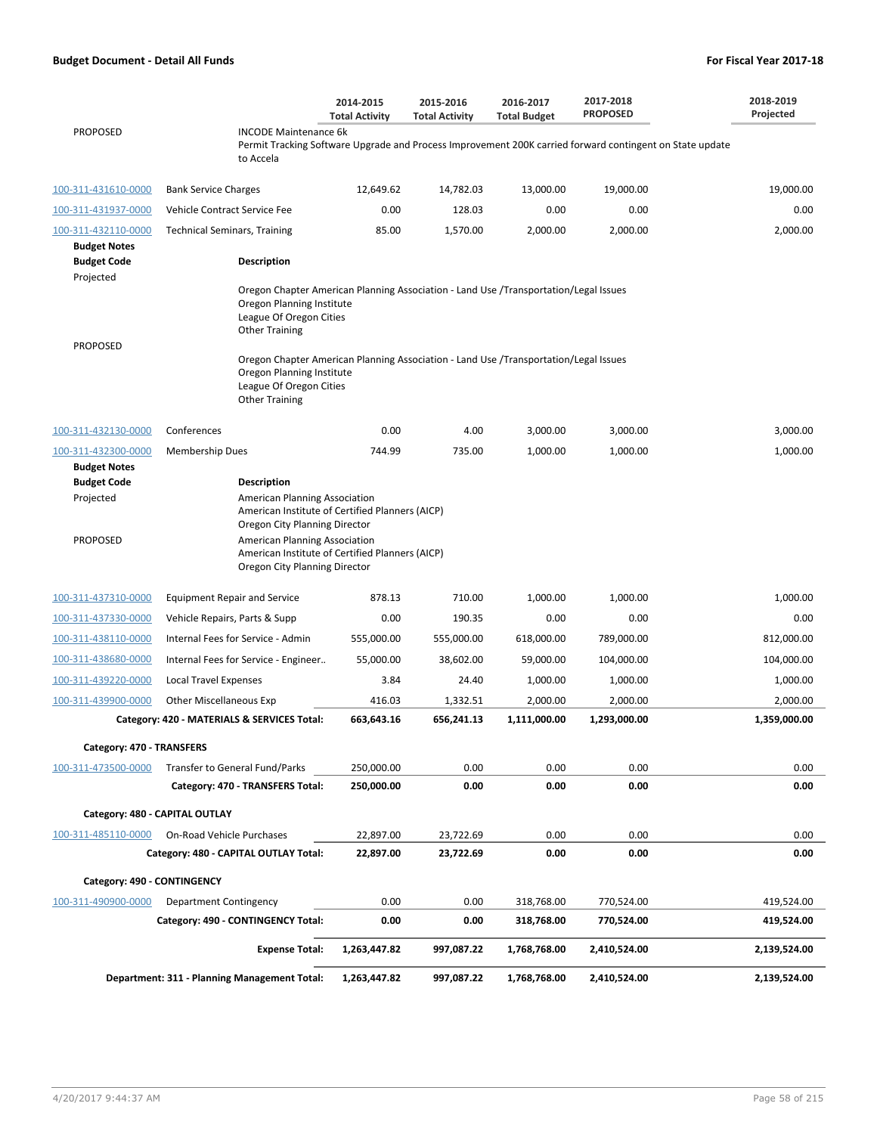|                                            |                                                                                                                                                                       | 2014-2015<br><b>Total Activity</b> | 2015-2016<br><b>Total Activity</b> | 2016-2017<br><b>Total Budget</b> | 2017-2018<br><b>PROPOSED</b>                                                                             | 2018-2019<br>Projected |
|--------------------------------------------|-----------------------------------------------------------------------------------------------------------------------------------------------------------------------|------------------------------------|------------------------------------|----------------------------------|----------------------------------------------------------------------------------------------------------|------------------------|
| <b>PROPOSED</b>                            | <b>INCODE Maintenance 6k</b><br>to Accela                                                                                                                             |                                    |                                    |                                  | Permit Tracking Software Upgrade and Process Improvement 200K carried forward contingent on State update |                        |
| 100-311-431610-0000                        | <b>Bank Service Charges</b>                                                                                                                                           | 12,649.62                          | 14,782.03                          | 13,000.00                        | 19,000.00                                                                                                | 19,000.00              |
| 100-311-431937-0000                        | Vehicle Contract Service Fee                                                                                                                                          | 0.00                               | 128.03                             | 0.00                             | 0.00                                                                                                     | 0.00                   |
| 100-311-432110-0000<br><b>Budget Notes</b> | <b>Technical Seminars, Training</b>                                                                                                                                   | 85.00                              | 1,570.00                           | 2,000.00                         | 2,000.00                                                                                                 | 2,000.00               |
| <b>Budget Code</b><br>Projected            | <b>Description</b>                                                                                                                                                    |                                    |                                    |                                  |                                                                                                          |                        |
|                                            | Oregon Chapter American Planning Association - Land Use /Transportation/Legal Issues<br>Oregon Planning Institute<br>League Of Oregon Cities<br><b>Other Training</b> |                                    |                                    |                                  |                                                                                                          |                        |
| <b>PROPOSED</b>                            | Oregon Chapter American Planning Association - Land Use /Transportation/Legal Issues<br>Oregon Planning Institute<br>League Of Oregon Cities<br><b>Other Training</b> |                                    |                                    |                                  |                                                                                                          |                        |
| 100-311-432130-0000                        | Conferences                                                                                                                                                           | 0.00                               | 4.00                               | 3,000.00                         | 3,000.00                                                                                                 | 3,000.00               |
| 100-311-432300-0000                        | <b>Membership Dues</b>                                                                                                                                                | 744.99                             | 735.00                             | 1,000.00                         | 1,000.00                                                                                                 | 1,000.00               |
| <b>Budget Notes</b>                        |                                                                                                                                                                       |                                    |                                    |                                  |                                                                                                          |                        |
| <b>Budget Code</b><br>Projected            | <b>Description</b><br>American Planning Association                                                                                                                   |                                    |                                    |                                  |                                                                                                          |                        |
|                                            | American Institute of Certified Planners (AICP)<br>Oregon City Planning Director                                                                                      |                                    |                                    |                                  |                                                                                                          |                        |
| <b>PROPOSED</b>                            | American Planning Association<br>American Institute of Certified Planners (AICP)<br>Oregon City Planning Director                                                     |                                    |                                    |                                  |                                                                                                          |                        |
| 100-311-437310-0000                        | <b>Equipment Repair and Service</b>                                                                                                                                   | 878.13                             | 710.00                             | 1,000.00                         | 1,000.00                                                                                                 | 1,000.00               |
| 100-311-437330-0000                        | Vehicle Repairs, Parts & Supp                                                                                                                                         | 0.00                               | 190.35                             | 0.00                             | 0.00                                                                                                     | 0.00                   |
| 100-311-438110-0000                        | Internal Fees for Service - Admin                                                                                                                                     | 555,000.00                         | 555,000.00                         | 618,000.00                       | 789,000.00                                                                                               | 812,000.00             |
| 100-311-438680-0000                        | Internal Fees for Service - Engineer                                                                                                                                  | 55,000.00                          | 38,602.00                          | 59,000.00                        | 104,000.00                                                                                               | 104,000.00             |
| 100-311-439220-0000                        | <b>Local Travel Expenses</b>                                                                                                                                          | 3.84                               | 24.40                              | 1,000.00                         | 1,000.00                                                                                                 | 1,000.00               |
| 100-311-439900-0000                        | Other Miscellaneous Exp                                                                                                                                               | 416.03                             | 1,332.51                           | 2,000.00                         | 2,000.00                                                                                                 | 2,000.00               |
|                                            | Category: 420 - MATERIALS & SERVICES Total:                                                                                                                           | 663,643.16                         | 656,241.13                         | 1,111,000.00                     | 1,293,000.00                                                                                             | 1,359,000.00           |
| Category: 470 - TRANSFERS                  |                                                                                                                                                                       |                                    |                                    |                                  |                                                                                                          |                        |
| 100-311-473500-0000                        | Transfer to General Fund/Parks                                                                                                                                        | 250,000.00                         | 0.00                               | 0.00                             | 0.00                                                                                                     | 0.00                   |
|                                            | Category: 470 - TRANSFERS Total:                                                                                                                                      | 250,000.00                         | 0.00                               | 0.00                             | 0.00                                                                                                     | 0.00                   |
|                                            | Category: 480 - CAPITAL OUTLAY                                                                                                                                        |                                    |                                    |                                  |                                                                                                          |                        |
| 100-311-485110-0000                        | On-Road Vehicle Purchases                                                                                                                                             | 22,897.00                          | 23,722.69                          | 0.00                             | 0.00                                                                                                     | 0.00                   |
|                                            | Category: 480 - CAPITAL OUTLAY Total:                                                                                                                                 | 22,897.00                          | 23,722.69                          | 0.00                             | 0.00                                                                                                     | 0.00                   |
| Category: 490 - CONTINGENCY                |                                                                                                                                                                       |                                    |                                    |                                  |                                                                                                          |                        |
| 100-311-490900-0000                        | Department Contingency                                                                                                                                                | 0.00                               | 0.00                               | 318,768.00                       | 770,524.00                                                                                               | 419,524.00             |
|                                            | Category: 490 - CONTINGENCY Total:                                                                                                                                    | 0.00                               | 0.00                               | 318,768.00                       | 770,524.00                                                                                               | 419,524.00             |
|                                            | <b>Expense Total:</b>                                                                                                                                                 | 1,263,447.82                       | 997,087.22                         | 1,768,768.00                     | 2,410,524.00                                                                                             | 2,139,524.00           |
|                                            | Department: 311 - Planning Management Total:                                                                                                                          | 1,263,447.82                       | 997,087.22                         | 1,768,768.00                     | 2,410,524.00                                                                                             | 2,139,524.00           |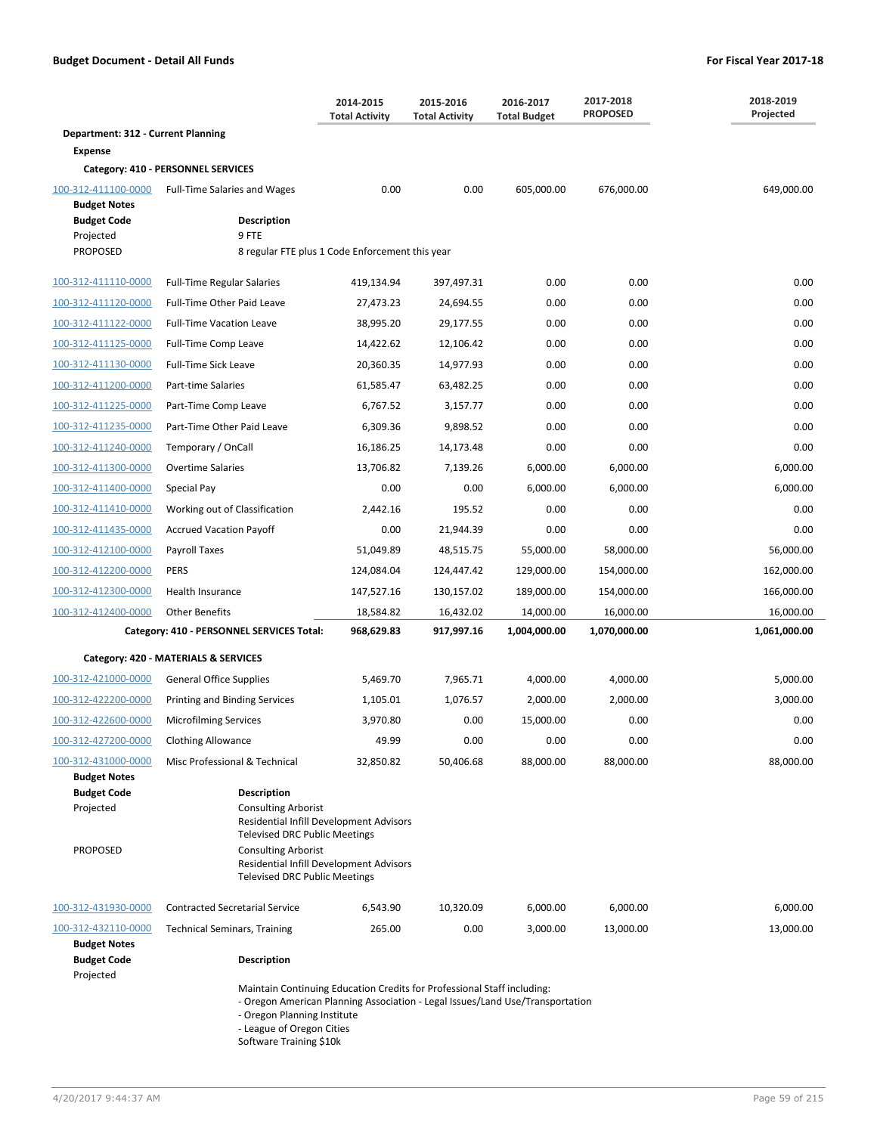|                                                                           |                                                                                                                                                                                                                                                      | 2014-2015<br><b>Total Activity</b> | 2015-2016<br><b>Total Activity</b> | 2016-2017<br><b>Total Budget</b> | 2017-2018<br><b>PROPOSED</b> | 2018-2019<br>Projected |
|---------------------------------------------------------------------------|------------------------------------------------------------------------------------------------------------------------------------------------------------------------------------------------------------------------------------------------------|------------------------------------|------------------------------------|----------------------------------|------------------------------|------------------------|
| Department: 312 - Current Planning                                        |                                                                                                                                                                                                                                                      |                                    |                                    |                                  |                              |                        |
| <b>Expense</b>                                                            |                                                                                                                                                                                                                                                      |                                    |                                    |                                  |                              |                        |
|                                                                           | Category: 410 - PERSONNEL SERVICES                                                                                                                                                                                                                   |                                    |                                    |                                  |                              |                        |
| 100-312-411100-0000                                                       | <b>Full-Time Salaries and Wages</b>                                                                                                                                                                                                                  | 0.00                               | 0.00                               | 605,000.00                       | 676,000.00                   | 649,000.00             |
| <b>Budget Notes</b><br><b>Budget Code</b>                                 | <b>Description</b>                                                                                                                                                                                                                                   |                                    |                                    |                                  |                              |                        |
| Projected                                                                 | 9 FTE                                                                                                                                                                                                                                                |                                    |                                    |                                  |                              |                        |
| <b>PROPOSED</b>                                                           | 8 regular FTE plus 1 Code Enforcement this year                                                                                                                                                                                                      |                                    |                                    |                                  |                              |                        |
| 100-312-411110-0000                                                       | <b>Full-Time Regular Salaries</b>                                                                                                                                                                                                                    | 419,134.94                         | 397,497.31                         | 0.00                             | 0.00                         | 0.00                   |
| 100-312-411120-0000                                                       | Full-Time Other Paid Leave                                                                                                                                                                                                                           | 27,473.23                          | 24,694.55                          | 0.00                             | 0.00                         | 0.00                   |
| 100-312-411122-0000                                                       | <b>Full-Time Vacation Leave</b>                                                                                                                                                                                                                      | 38,995.20                          | 29,177.55                          | 0.00                             | 0.00                         | 0.00                   |
| 100-312-411125-0000                                                       | Full-Time Comp Leave                                                                                                                                                                                                                                 | 14,422.62                          | 12,106.42                          | 0.00                             | 0.00                         | 0.00                   |
| 100-312-411130-0000                                                       | <b>Full-Time Sick Leave</b>                                                                                                                                                                                                                          | 20,360.35                          | 14,977.93                          | 0.00                             | 0.00                         | 0.00                   |
| 100-312-411200-0000                                                       | Part-time Salaries                                                                                                                                                                                                                                   | 61,585.47                          | 63,482.25                          | 0.00                             | 0.00                         | 0.00                   |
| 100-312-411225-0000                                                       | Part-Time Comp Leave                                                                                                                                                                                                                                 | 6,767.52                           | 3,157.77                           | 0.00                             | 0.00                         | 0.00                   |
| 100-312-411235-0000                                                       | Part-Time Other Paid Leave                                                                                                                                                                                                                           | 6,309.36                           | 9,898.52                           | 0.00                             | 0.00                         | 0.00                   |
| 100-312-411240-0000                                                       | Temporary / OnCall                                                                                                                                                                                                                                   | 16,186.25                          | 14,173.48                          | 0.00                             | 0.00                         | 0.00                   |
| 100-312-411300-0000                                                       | <b>Overtime Salaries</b>                                                                                                                                                                                                                             | 13,706.82                          | 7,139.26                           | 6,000.00                         | 6,000.00                     | 6,000.00               |
| 100-312-411400-0000                                                       | Special Pay                                                                                                                                                                                                                                          | 0.00                               | 0.00                               | 6,000.00                         | 6,000.00                     | 6,000.00               |
| 100-312-411410-0000                                                       | Working out of Classification                                                                                                                                                                                                                        | 2,442.16                           | 195.52                             | 0.00                             | 0.00                         | 0.00                   |
| 100-312-411435-0000                                                       | <b>Accrued Vacation Payoff</b>                                                                                                                                                                                                                       | 0.00                               | 21,944.39                          | 0.00                             | 0.00                         | 0.00                   |
| 100-312-412100-0000                                                       | Payroll Taxes                                                                                                                                                                                                                                        | 51,049.89                          | 48,515.75                          | 55,000.00                        | 58,000.00                    | 56,000.00              |
| 100-312-412200-0000                                                       | <b>PERS</b>                                                                                                                                                                                                                                          | 124,084.04                         | 124,447.42                         | 129,000.00                       | 154,000.00                   | 162,000.00             |
| 100-312-412300-0000                                                       | Health Insurance                                                                                                                                                                                                                                     | 147,527.16                         | 130,157.02                         | 189,000.00                       | 154,000.00                   | 166,000.00             |
| 100-312-412400-0000                                                       | <b>Other Benefits</b>                                                                                                                                                                                                                                | 18,584.82                          | 16,432.02                          | 14,000.00                        | 16,000.00                    | 16,000.00              |
|                                                                           | Category: 410 - PERSONNEL SERVICES Total:                                                                                                                                                                                                            | 968,629.83                         | 917,997.16                         | 1,004,000.00                     | 1,070,000.00                 | 1,061,000.00           |
|                                                                           | Category: 420 - MATERIALS & SERVICES                                                                                                                                                                                                                 |                                    |                                    |                                  |                              |                        |
| 100-312-421000-0000                                                       | <b>General Office Supplies</b>                                                                                                                                                                                                                       | 5,469.70                           | 7,965.71                           | 4,000.00                         | 4,000.00                     | 5,000.00               |
| 100-312-422200-0000                                                       | Printing and Binding Services                                                                                                                                                                                                                        | 1,105.01                           | 1,076.57                           | 2,000.00                         | 2,000.00                     | 3,000.00               |
| 100-312-422600-0000                                                       | <b>Microfilming Services</b>                                                                                                                                                                                                                         | 3,970.80                           | 0.00                               | 15,000.00                        | 0.00                         | 0.00                   |
| 100-312-427200-0000                                                       | <b>Clothing Allowance</b>                                                                                                                                                                                                                            | 49.99                              | 0.00                               | 0.00                             | 0.00                         | 0.00                   |
| 100-312-431000-0000                                                       | Misc Professional & Technical                                                                                                                                                                                                                        | 32,850.82                          | 50,406.68                          | 88,000.00                        | 88,000.00                    | 88,000.00              |
| <b>Budget Notes</b><br><b>Budget Code</b><br>Projected<br><b>PROPOSED</b> | <b>Description</b><br><b>Consulting Arborist</b><br>Residential Infill Development Advisors<br><b>Televised DRC Public Meetings</b><br><b>Consulting Arborist</b><br>Residential Infill Development Advisors<br><b>Televised DRC Public Meetings</b> |                                    |                                    |                                  |                              |                        |
| 100-312-431930-0000                                                       | <b>Contracted Secretarial Service</b>                                                                                                                                                                                                                | 6,543.90                           | 10,320.09                          | 6,000.00                         | 6,000.00                     | 6,000.00               |
| 100-312-432110-0000                                                       | <b>Technical Seminars, Training</b>                                                                                                                                                                                                                  | 265.00                             | 0.00                               | 3,000.00                         | 13,000.00                    | 13,000.00              |
| <b>Budget Notes</b><br><b>Budget Code</b><br>Projected                    | <b>Description</b>                                                                                                                                                                                                                                   |                                    |                                    |                                  |                              |                        |

Maintain Continuing Education Credits for Professional Staff including:

- Oregon American Planning Association - Legal Issues/Land Use/Transportation

- Oregon Planning Institute

- League of Oregon Cities

Software Training \$10k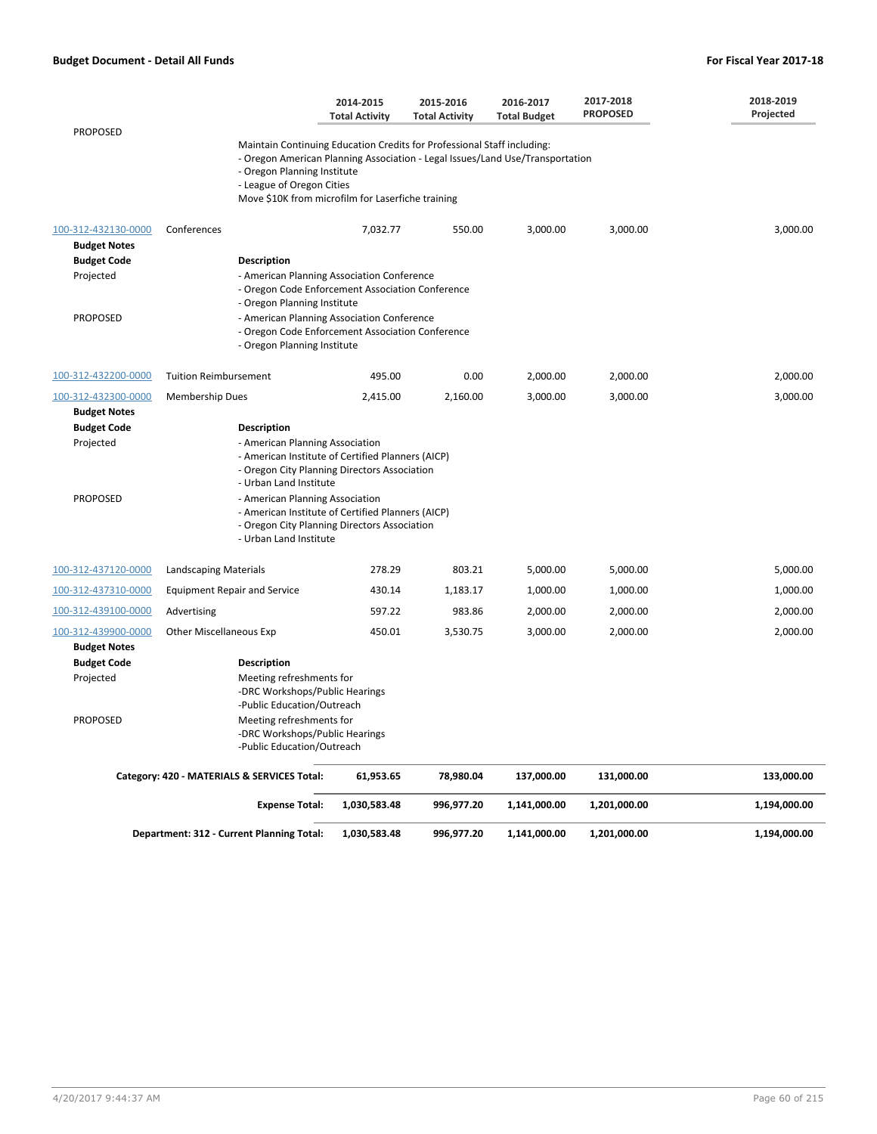|                     |                                                                                                                                                                                                                                                                           | 2014-2015<br><b>Total Activity</b> | 2015-2016<br><b>Total Activity</b> | 2016-2017<br><b>Total Budget</b> | 2017-2018<br><b>PROPOSED</b> | 2018-2019<br>Projected |
|---------------------|---------------------------------------------------------------------------------------------------------------------------------------------------------------------------------------------------------------------------------------------------------------------------|------------------------------------|------------------------------------|----------------------------------|------------------------------|------------------------|
| <b>PROPOSED</b>     |                                                                                                                                                                                                                                                                           |                                    |                                    |                                  |                              |                        |
|                     | Maintain Continuing Education Credits for Professional Staff including:<br>- Oregon American Planning Association - Legal Issues/Land Use/Transportation<br>- Oregon Planning Institute<br>- League of Oregon Cities<br>Move \$10K from microfilm for Laserfiche training |                                    |                                    |                                  |                              |                        |
| 100-312-432130-0000 | Conferences                                                                                                                                                                                                                                                               | 7,032.77                           | 550.00                             | 3,000.00                         | 3,000.00                     | 3,000.00               |
| <b>Budget Notes</b> |                                                                                                                                                                                                                                                                           |                                    |                                    |                                  |                              |                        |
| <b>Budget Code</b>  | <b>Description</b>                                                                                                                                                                                                                                                        |                                    |                                    |                                  |                              |                        |
| Projected           | - American Planning Association Conference<br>- Oregon Code Enforcement Association Conference<br>- Oregon Planning Institute                                                                                                                                             |                                    |                                    |                                  |                              |                        |
| <b>PROPOSED</b>     | - American Planning Association Conference<br>- Oregon Code Enforcement Association Conference<br>- Oregon Planning Institute                                                                                                                                             |                                    |                                    |                                  |                              |                        |
| 100-312-432200-0000 | <b>Tuition Reimbursement</b>                                                                                                                                                                                                                                              | 495.00                             | 0.00                               | 2,000.00                         | 2,000.00                     | 2,000.00               |
| 100-312-432300-0000 | Membership Dues                                                                                                                                                                                                                                                           | 2,415.00                           | 2,160.00                           | 3,000.00                         | 3,000.00                     | 3,000.00               |
| <b>Budget Notes</b> |                                                                                                                                                                                                                                                                           |                                    |                                    |                                  |                              |                        |
| <b>Budget Code</b>  | <b>Description</b>                                                                                                                                                                                                                                                        |                                    |                                    |                                  |                              |                        |
| Projected           | - American Planning Association<br>- American Institute of Certified Planners (AICP)<br>- Oregon City Planning Directors Association<br>- Urban Land Institute                                                                                                            |                                    |                                    |                                  |                              |                        |
| <b>PROPOSED</b>     | - American Planning Association<br>- American Institute of Certified Planners (AICP)<br>- Oregon City Planning Directors Association<br>- Urban Land Institute                                                                                                            |                                    |                                    |                                  |                              |                        |
| 100-312-437120-0000 | Landscaping Materials                                                                                                                                                                                                                                                     | 278.29                             | 803.21                             | 5,000.00                         | 5,000.00                     | 5,000.00               |
| 100-312-437310-0000 | <b>Equipment Repair and Service</b>                                                                                                                                                                                                                                       | 430.14                             | 1,183.17                           | 1,000.00                         | 1,000.00                     | 1,000.00               |
| 100-312-439100-0000 | Advertising                                                                                                                                                                                                                                                               | 597.22                             | 983.86                             | 2,000.00                         | 2,000.00                     | 2,000.00               |
| 100-312-439900-0000 | <b>Other Miscellaneous Exp</b>                                                                                                                                                                                                                                            | 450.01                             | 3,530.75                           | 3,000.00                         | 2,000.00                     | 2,000.00               |
| <b>Budget Notes</b> |                                                                                                                                                                                                                                                                           |                                    |                                    |                                  |                              |                        |
| <b>Budget Code</b>  | <b>Description</b>                                                                                                                                                                                                                                                        |                                    |                                    |                                  |                              |                        |
| Projected           | Meeting refreshments for<br>-DRC Workshops/Public Hearings<br>-Public Education/Outreach                                                                                                                                                                                  |                                    |                                    |                                  |                              |                        |
| <b>PROPOSED</b>     | Meeting refreshments for<br>-DRC Workshops/Public Hearings<br>-Public Education/Outreach                                                                                                                                                                                  |                                    |                                    |                                  |                              |                        |
|                     | Category: 420 - MATERIALS & SERVICES Total:                                                                                                                                                                                                                               | 61,953.65                          | 78,980.04                          | 137,000.00                       | 131,000.00                   | 133,000.00             |
|                     | <b>Expense Total:</b>                                                                                                                                                                                                                                                     | 1,030,583.48                       | 996,977.20                         | 1,141,000.00                     | 1,201,000.00                 | 1,194,000.00           |
|                     | Department: 312 - Current Planning Total:                                                                                                                                                                                                                                 | 1,030,583.48                       | 996,977.20                         | 1,141,000.00                     | 1,201,000.00                 | 1,194,000.00           |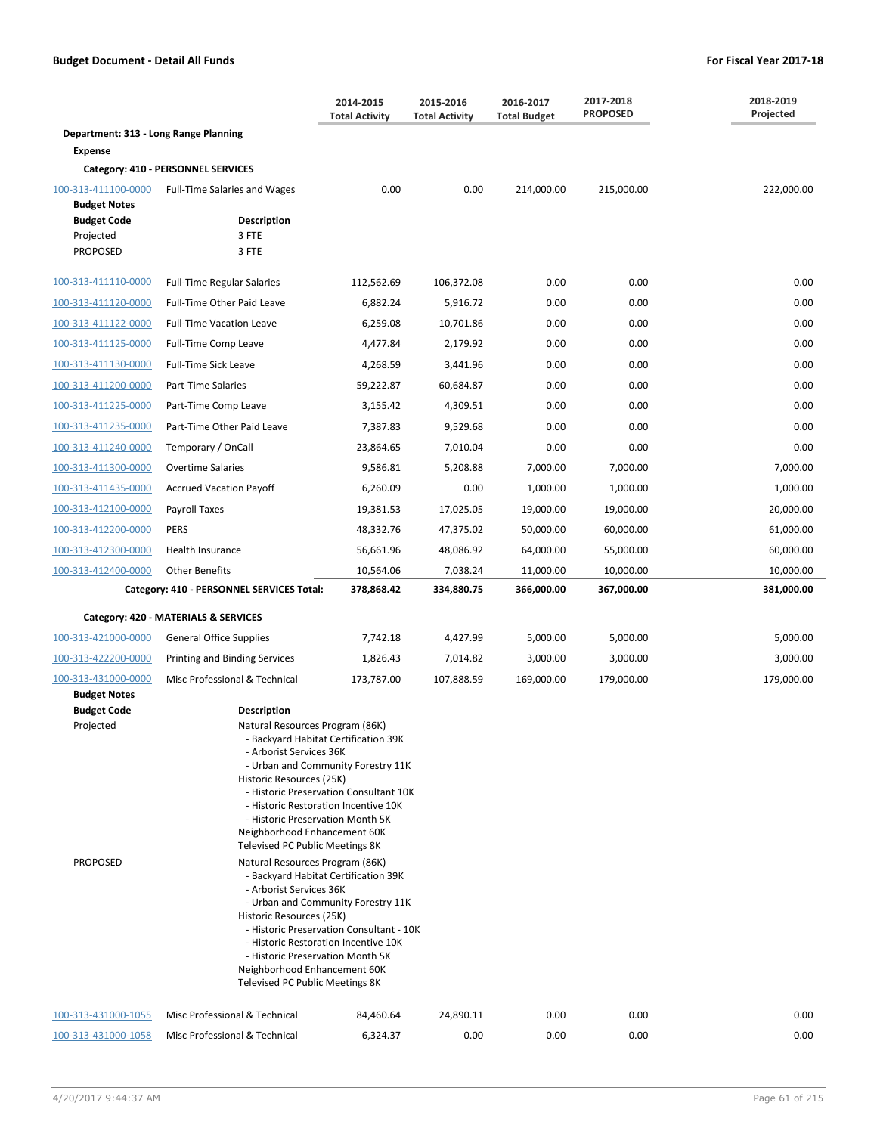|                                                    |                                           | 2014-2015<br>2015-2016<br><b>Total Activity</b><br><b>Total Activity</b>                                                                                                                                                                                                                                                                                                                                                                                                                                                                                                                                                                                                                                            |            | 2016-2017<br><b>Total Budget</b> | 2017-2018<br><b>PROPOSED</b> | 2018-2019<br>Projected |
|----------------------------------------------------|-------------------------------------------|---------------------------------------------------------------------------------------------------------------------------------------------------------------------------------------------------------------------------------------------------------------------------------------------------------------------------------------------------------------------------------------------------------------------------------------------------------------------------------------------------------------------------------------------------------------------------------------------------------------------------------------------------------------------------------------------------------------------|------------|----------------------------------|------------------------------|------------------------|
| Department: 313 - Long Range Planning              |                                           |                                                                                                                                                                                                                                                                                                                                                                                                                                                                                                                                                                                                                                                                                                                     |            |                                  |                              |                        |
| <b>Expense</b>                                     |                                           |                                                                                                                                                                                                                                                                                                                                                                                                                                                                                                                                                                                                                                                                                                                     |            |                                  |                              |                        |
|                                                    | Category: 410 - PERSONNEL SERVICES        |                                                                                                                                                                                                                                                                                                                                                                                                                                                                                                                                                                                                                                                                                                                     |            |                                  |                              |                        |
| 100-313-411100-0000<br><b>Budget Notes</b>         | <b>Full-Time Salaries and Wages</b>       | 0.00                                                                                                                                                                                                                                                                                                                                                                                                                                                                                                                                                                                                                                                                                                                | 0.00       | 214,000.00                       | 215,000.00                   | 222,000.00             |
| <b>Budget Code</b><br>Projected<br><b>PROPOSED</b> | <b>Description</b><br>3 FTE<br>3 FTE      |                                                                                                                                                                                                                                                                                                                                                                                                                                                                                                                                                                                                                                                                                                                     |            |                                  |                              |                        |
| 100-313-411110-0000                                | <b>Full-Time Regular Salaries</b>         | 112,562.69                                                                                                                                                                                                                                                                                                                                                                                                                                                                                                                                                                                                                                                                                                          | 106,372.08 | 0.00                             | 0.00                         | 0.00                   |
| 100-313-411120-0000                                | Full-Time Other Paid Leave                | 6,882.24                                                                                                                                                                                                                                                                                                                                                                                                                                                                                                                                                                                                                                                                                                            | 5,916.72   | 0.00                             | 0.00                         | 0.00                   |
| 100-313-411122-0000                                | <b>Full-Time Vacation Leave</b>           | 6,259.08                                                                                                                                                                                                                                                                                                                                                                                                                                                                                                                                                                                                                                                                                                            | 10,701.86  | 0.00                             | 0.00                         | 0.00                   |
| 100-313-411125-0000                                | Full-Time Comp Leave                      | 4,477.84                                                                                                                                                                                                                                                                                                                                                                                                                                                                                                                                                                                                                                                                                                            | 2,179.92   | 0.00                             | 0.00                         | 0.00                   |
| 100-313-411130-0000                                | Full-Time Sick Leave                      | 4,268.59                                                                                                                                                                                                                                                                                                                                                                                                                                                                                                                                                                                                                                                                                                            | 3,441.96   | 0.00                             | 0.00                         | 0.00                   |
| 100-313-411200-0000                                | Part-Time Salaries                        | 59,222.87                                                                                                                                                                                                                                                                                                                                                                                                                                                                                                                                                                                                                                                                                                           | 60,684.87  | 0.00                             | 0.00                         | 0.00                   |
| 100-313-411225-0000                                | Part-Time Comp Leave                      | 3,155.42                                                                                                                                                                                                                                                                                                                                                                                                                                                                                                                                                                                                                                                                                                            | 4,309.51   | 0.00                             | 0.00                         | 0.00                   |
| 100-313-411235-0000                                | Part-Time Other Paid Leave                | 7,387.83                                                                                                                                                                                                                                                                                                                                                                                                                                                                                                                                                                                                                                                                                                            | 9,529.68   | 0.00                             | 0.00                         | 0.00                   |
| 100-313-411240-0000                                | Temporary / OnCall                        | 23,864.65                                                                                                                                                                                                                                                                                                                                                                                                                                                                                                                                                                                                                                                                                                           | 7,010.04   | 0.00                             | 0.00                         | 0.00                   |
| 100-313-411300-0000                                | <b>Overtime Salaries</b>                  | 9,586.81                                                                                                                                                                                                                                                                                                                                                                                                                                                                                                                                                                                                                                                                                                            | 5,208.88   | 7,000.00                         | 7,000.00                     | 7,000.00               |
| 100-313-411435-0000                                | <b>Accrued Vacation Payoff</b>            | 6,260.09                                                                                                                                                                                                                                                                                                                                                                                                                                                                                                                                                                                                                                                                                                            | 0.00       | 1,000.00                         | 1,000.00                     | 1,000.00               |
| 100-313-412100-0000                                | Payroll Taxes                             | 19,381.53                                                                                                                                                                                                                                                                                                                                                                                                                                                                                                                                                                                                                                                                                                           | 17,025.05  | 19,000.00                        | 19,000.00                    | 20,000.00              |
| 100-313-412200-0000                                | <b>PERS</b>                               | 48,332.76                                                                                                                                                                                                                                                                                                                                                                                                                                                                                                                                                                                                                                                                                                           | 47,375.02  | 50,000.00                        | 60,000.00                    | 61,000.00              |
| 100-313-412300-0000                                | <b>Health Insurance</b>                   | 56,661.96                                                                                                                                                                                                                                                                                                                                                                                                                                                                                                                                                                                                                                                                                                           | 48,086.92  | 64,000.00                        | 55,000.00                    | 60,000.00              |
| 100-313-412400-0000                                | <b>Other Benefits</b>                     | 10,564.06                                                                                                                                                                                                                                                                                                                                                                                                                                                                                                                                                                                                                                                                                                           | 7,038.24   | 11,000.00                        | 10,000.00                    | 10,000.00              |
|                                                    | Category: 410 - PERSONNEL SERVICES Total: | 378,868.42                                                                                                                                                                                                                                                                                                                                                                                                                                                                                                                                                                                                                                                                                                          | 334,880.75 | 366,000.00                       | 367,000.00                   | 381,000.00             |
|                                                    | Category: 420 - MATERIALS & SERVICES      |                                                                                                                                                                                                                                                                                                                                                                                                                                                                                                                                                                                                                                                                                                                     |            |                                  |                              |                        |
| 100-313-421000-0000                                | <b>General Office Supplies</b>            | 7,742.18                                                                                                                                                                                                                                                                                                                                                                                                                                                                                                                                                                                                                                                                                                            | 4,427.99   | 5,000.00                         | 5,000.00                     | 5,000.00               |
| 100-313-422200-0000                                | Printing and Binding Services             | 1,826.43                                                                                                                                                                                                                                                                                                                                                                                                                                                                                                                                                                                                                                                                                                            | 7,014.82   | 3,000.00                         | 3,000.00                     | 3,000.00               |
| 100-313-431000-0000                                | Misc Professional & Technical             | 173,787.00                                                                                                                                                                                                                                                                                                                                                                                                                                                                                                                                                                                                                                                                                                          | 107,888.59 | 169,000.00                       | 179,000.00                   | 179,000.00             |
| <b>Budget Notes</b>                                |                                           |                                                                                                                                                                                                                                                                                                                                                                                                                                                                                                                                                                                                                                                                                                                     |            |                                  |                              |                        |
| <b>Budget Code</b><br>Projected<br><b>PROPOSED</b> |                                           | <b>Description</b><br>Natural Resources Program (86K)<br>- Backyard Habitat Certification 39K<br>- Arborist Services 36K<br>- Urban and Community Forestry 11K<br>Historic Resources (25K)<br>- Historic Preservation Consultant 10K<br>- Historic Restoration Incentive 10K<br>- Historic Preservation Month 5K<br>Neighborhood Enhancement 60K<br>Televised PC Public Meetings 8K<br>Natural Resources Program (86K)<br>- Backyard Habitat Certification 39K<br>- Arborist Services 36K<br>- Urban and Community Forestry 11K<br>Historic Resources (25K)<br>- Historic Preservation Consultant - 10K<br>- Historic Restoration Incentive 10K<br>- Historic Preservation Month 5K<br>Neighborhood Enhancement 60K |            |                                  |                              |                        |
|                                                    | Televised PC Public Meetings 8K           |                                                                                                                                                                                                                                                                                                                                                                                                                                                                                                                                                                                                                                                                                                                     |            |                                  |                              |                        |
| 100-313-431000-1055                                | Misc Professional & Technical             | 84,460.64                                                                                                                                                                                                                                                                                                                                                                                                                                                                                                                                                                                                                                                                                                           | 24,890.11  | 0.00                             | 0.00                         | 0.00                   |
| 100-313-431000-1058                                | Misc Professional & Technical             | 6,324.37                                                                                                                                                                                                                                                                                                                                                                                                                                                                                                                                                                                                                                                                                                            | 0.00       | 0.00                             | 0.00                         | 0.00                   |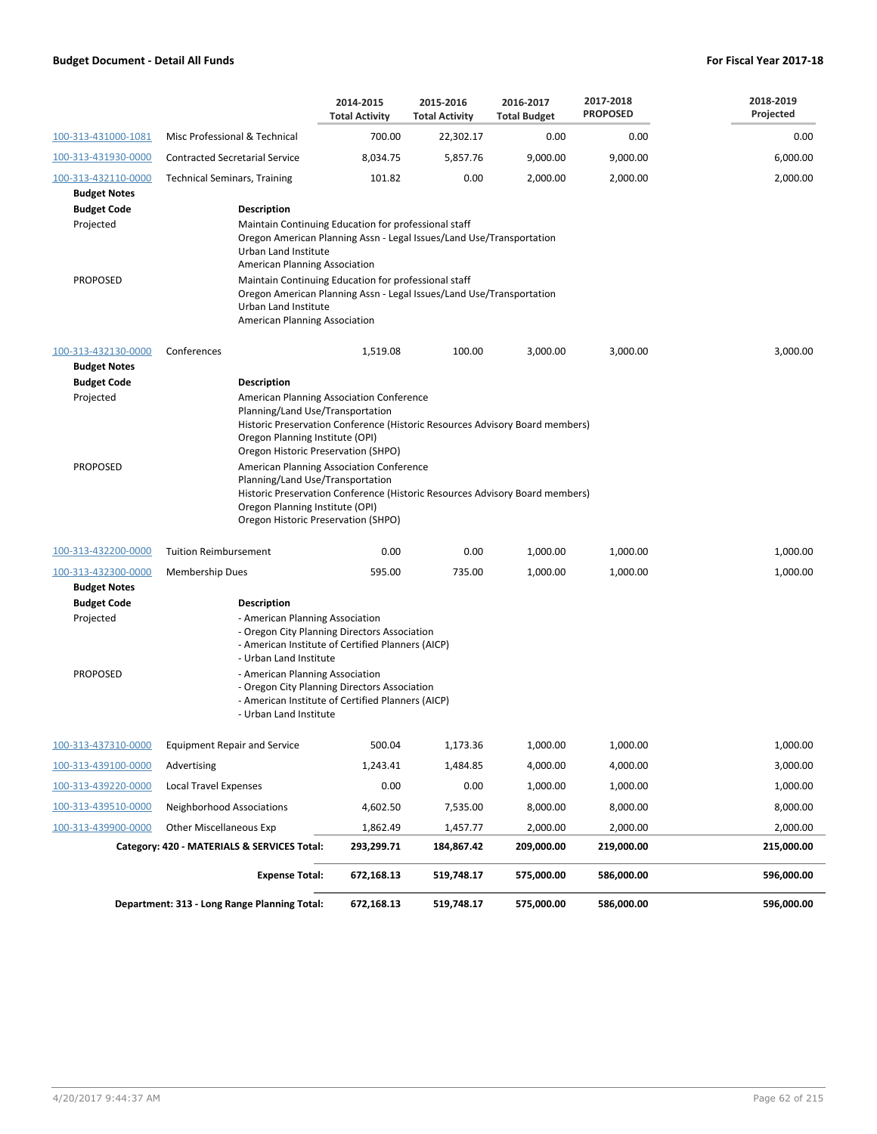|                                            |                                                                                                                                                                                                                                        | 2014-2015<br><b>Total Activity</b>                                                                                                                                                    | 2015-2016<br><b>Total Activity</b> | 2016-2017<br><b>Total Budget</b> | 2017-2018<br><b>PROPOSED</b> | 2018-2019<br>Projected |  |  |  |  |
|--------------------------------------------|----------------------------------------------------------------------------------------------------------------------------------------------------------------------------------------------------------------------------------------|---------------------------------------------------------------------------------------------------------------------------------------------------------------------------------------|------------------------------------|----------------------------------|------------------------------|------------------------|--|--|--|--|
| 100-313-431000-1081                        | Misc Professional & Technical                                                                                                                                                                                                          | 700.00                                                                                                                                                                                | 22,302.17                          | 0.00                             | 0.00                         | 0.00                   |  |  |  |  |
| 100-313-431930-0000                        | <b>Contracted Secretarial Service</b>                                                                                                                                                                                                  | 8,034.75                                                                                                                                                                              | 5,857.76                           | 9,000.00                         | 9,000.00                     | 6,000.00               |  |  |  |  |
| 100-313-432110-0000<br><b>Budget Notes</b> | <b>Technical Seminars, Training</b>                                                                                                                                                                                                    | 101.82                                                                                                                                                                                | 0.00                               | 2,000.00                         | 2,000.00                     | 2,000.00               |  |  |  |  |
| <b>Budget Code</b><br>Projected            | <b>Description</b><br>Maintain Continuing Education for professional staff<br>Oregon American Planning Assn - Legal Issues/Land Use/Transportation<br>Urban Land Institute<br>American Planning Association                            |                                                                                                                                                                                       |                                    |                                  |                              |                        |  |  |  |  |
| <b>PROPOSED</b>                            |                                                                                                                                                                                                                                        | Maintain Continuing Education for professional staff<br>Oregon American Planning Assn - Legal Issues/Land Use/Transportation<br>Urban Land Institute<br>American Planning Association |                                    |                                  |                              |                        |  |  |  |  |
| 100-313-432130-0000<br><b>Budget Notes</b> | Conferences                                                                                                                                                                                                                            | 1,519.08                                                                                                                                                                              | 100.00                             | 3,000.00                         | 3,000.00                     | 3,000.00               |  |  |  |  |
| <b>Budget Code</b>                         | <b>Description</b>                                                                                                                                                                                                                     |                                                                                                                                                                                       |                                    |                                  |                              |                        |  |  |  |  |
| Projected                                  | American Planning Association Conference<br>Planning/Land Use/Transportation<br>Historic Preservation Conference (Historic Resources Advisory Board members)<br>Oregon Planning Institute (OPI)<br>Oregon Historic Preservation (SHPO) |                                                                                                                                                                                       |                                    |                                  |                              |                        |  |  |  |  |
| <b>PROPOSED</b>                            | American Planning Association Conference<br>Planning/Land Use/Transportation<br>Historic Preservation Conference (Historic Resources Advisory Board members)<br>Oregon Planning Institute (OPI)<br>Oregon Historic Preservation (SHPO) |                                                                                                                                                                                       |                                    |                                  |                              |                        |  |  |  |  |
| 100-313-432200-0000                        | <b>Tuition Reimbursement</b>                                                                                                                                                                                                           | 0.00                                                                                                                                                                                  | 0.00                               | 1,000.00                         | 1,000.00                     | 1,000.00               |  |  |  |  |
| 100-313-432300-0000                        | <b>Membership Dues</b>                                                                                                                                                                                                                 | 595.00                                                                                                                                                                                | 735.00                             | 1,000.00                         | 1,000.00                     | 1,000.00               |  |  |  |  |
| <b>Budget Notes</b>                        |                                                                                                                                                                                                                                        |                                                                                                                                                                                       |                                    |                                  |                              |                        |  |  |  |  |
| <b>Budget Code</b><br>Projected            | <b>Description</b><br>- American Planning Association<br>- Urban Land Institute                                                                                                                                                        | - Oregon City Planning Directors Association<br>- American Institute of Certified Planners (AICP)                                                                                     |                                    |                                  |                              |                        |  |  |  |  |
| <b>PROPOSED</b>                            | - American Planning Association<br>- Urban Land Institute                                                                                                                                                                              | - Oregon City Planning Directors Association<br>- American Institute of Certified Planners (AICP)                                                                                     |                                    |                                  |                              |                        |  |  |  |  |
| 100-313-437310-0000                        | <b>Equipment Repair and Service</b>                                                                                                                                                                                                    | 500.04                                                                                                                                                                                | 1,173.36                           | 1,000.00                         | 1,000.00                     | 1,000.00               |  |  |  |  |
| 100-313-439100-0000                        | Advertising                                                                                                                                                                                                                            | 1,243.41                                                                                                                                                                              | 1,484.85                           | 4,000.00                         | 4,000.00                     | 3,000.00               |  |  |  |  |
| 100-313-439220-0000                        | <b>Local Travel Expenses</b>                                                                                                                                                                                                           | 0.00                                                                                                                                                                                  | 0.00                               | 1,000.00                         | 1,000.00                     | 1,000.00               |  |  |  |  |
| 100-313-439510-0000                        | <b>Neighborhood Associations</b>                                                                                                                                                                                                       | 4,602.50                                                                                                                                                                              | 7,535.00                           | 8,000.00                         | 8,000.00                     | 8,000.00               |  |  |  |  |
| 100-313-439900-0000                        | <b>Other Miscellaneous Exp</b>                                                                                                                                                                                                         | 1,862.49                                                                                                                                                                              | 1,457.77                           | 2,000.00                         | 2,000.00                     | 2,000.00               |  |  |  |  |
|                                            | Category: 420 - MATERIALS & SERVICES Total:                                                                                                                                                                                            | 293,299.71                                                                                                                                                                            | 184,867.42                         | 209,000.00                       | 219,000.00                   | 215,000.00             |  |  |  |  |
|                                            | <b>Expense Total:</b>                                                                                                                                                                                                                  | 672,168.13                                                                                                                                                                            | 519,748.17                         | 575,000.00                       | 586,000.00                   | 596,000.00             |  |  |  |  |
|                                            | Department: 313 - Long Range Planning Total:                                                                                                                                                                                           | 672,168.13                                                                                                                                                                            | 519,748.17                         | 575,000.00                       | 586,000.00                   | 596,000.00             |  |  |  |  |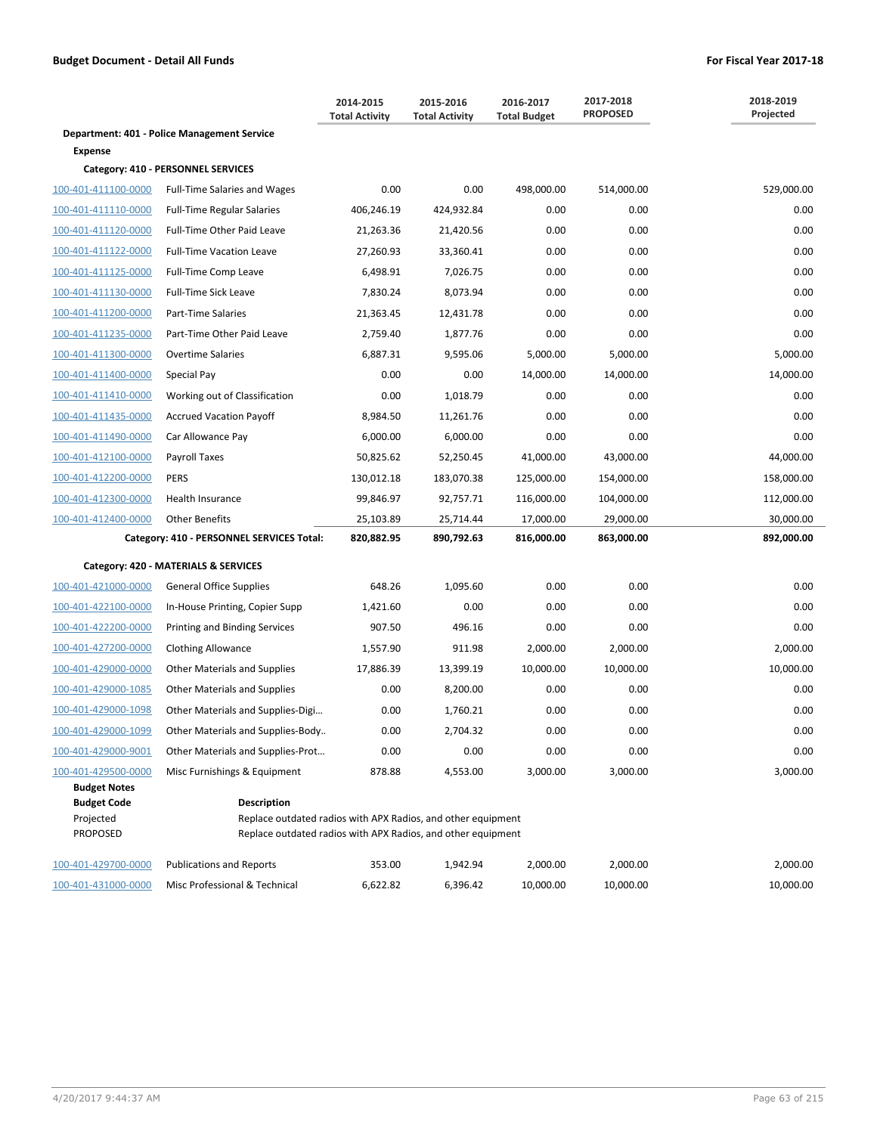|                                                    |                                                                                                                                                    | 2014-2015<br><b>Total Activity</b> | 2015-2016<br><b>Total Activity</b> | 2016-2017<br><b>Total Budget</b> | 2017-2018<br><b>PROPOSED</b> | 2018-2019<br>Projected |
|----------------------------------------------------|----------------------------------------------------------------------------------------------------------------------------------------------------|------------------------------------|------------------------------------|----------------------------------|------------------------------|------------------------|
|                                                    | Department: 401 - Police Management Service                                                                                                        |                                    |                                    |                                  |                              |                        |
| <b>Expense</b>                                     |                                                                                                                                                    |                                    |                                    |                                  |                              |                        |
|                                                    | Category: 410 - PERSONNEL SERVICES                                                                                                                 |                                    |                                    |                                  |                              |                        |
| 100-401-411100-0000                                | <b>Full-Time Salaries and Wages</b>                                                                                                                | 0.00                               | 0.00                               | 498,000.00                       | 514,000.00                   | 529,000.00             |
| 100-401-411110-0000                                | <b>Full-Time Regular Salaries</b>                                                                                                                  | 406,246.19                         | 424,932.84                         | 0.00                             | 0.00                         | 0.00                   |
| 100-401-411120-0000                                | Full-Time Other Paid Leave                                                                                                                         | 21,263.36                          | 21,420.56                          | 0.00                             | 0.00                         | 0.00                   |
| 100-401-411122-0000                                | <b>Full-Time Vacation Leave</b>                                                                                                                    | 27,260.93                          | 33,360.41                          | 0.00                             | 0.00                         | 0.00                   |
| 100-401-411125-0000                                | Full-Time Comp Leave                                                                                                                               | 6,498.91                           | 7,026.75                           | 0.00                             | 0.00                         | 0.00                   |
| 100-401-411130-0000                                | <b>Full-Time Sick Leave</b>                                                                                                                        | 7,830.24                           | 8,073.94                           | 0.00                             | 0.00                         | 0.00                   |
| 100-401-411200-0000                                | Part-Time Salaries                                                                                                                                 | 21,363.45                          | 12,431.78                          | 0.00                             | 0.00                         | 0.00                   |
| 100-401-411235-0000                                | Part-Time Other Paid Leave                                                                                                                         | 2,759.40                           | 1,877.76                           | 0.00                             | 0.00                         | 0.00                   |
| 100-401-411300-0000                                | <b>Overtime Salaries</b>                                                                                                                           | 6,887.31                           | 9,595.06                           | 5,000.00                         | 5,000.00                     | 5,000.00               |
| 100-401-411400-0000                                | Special Pay                                                                                                                                        | 0.00                               | 0.00                               | 14,000.00                        | 14,000.00                    | 14,000.00              |
| 100-401-411410-0000                                | Working out of Classification                                                                                                                      | 0.00                               | 1,018.79                           | 0.00                             | 0.00                         | 0.00                   |
| 100-401-411435-0000                                | <b>Accrued Vacation Payoff</b>                                                                                                                     | 8,984.50                           | 11,261.76                          | 0.00                             | 0.00                         | 0.00                   |
| 100-401-411490-0000                                | Car Allowance Pay                                                                                                                                  | 6,000.00                           | 6,000.00                           | 0.00                             | 0.00                         | 0.00                   |
| 100-401-412100-0000                                | Payroll Taxes                                                                                                                                      | 50,825.62                          | 52,250.45                          | 41,000.00                        | 43,000.00                    | 44,000.00              |
| 100-401-412200-0000                                | <b>PERS</b>                                                                                                                                        | 130,012.18                         | 183,070.38                         | 125,000.00                       | 154,000.00                   | 158,000.00             |
| 100-401-412300-0000                                | Health Insurance                                                                                                                                   | 99,846.97                          | 92,757.71                          | 116,000.00                       | 104,000.00                   | 112,000.00             |
| 100-401-412400-0000                                | <b>Other Benefits</b>                                                                                                                              | 25,103.89                          | 25,714.44                          | 17,000.00                        | 29,000.00                    | 30,000.00              |
|                                                    | Category: 410 - PERSONNEL SERVICES Total:                                                                                                          | 820,882.95                         | 890,792.63                         | 816,000.00                       | 863,000.00                   | 892,000.00             |
|                                                    | Category: 420 - MATERIALS & SERVICES                                                                                                               |                                    |                                    |                                  |                              |                        |
| 100-401-421000-0000                                | <b>General Office Supplies</b>                                                                                                                     | 648.26                             | 1,095.60                           | 0.00                             | 0.00                         | 0.00                   |
| 100-401-422100-0000                                | In-House Printing, Copier Supp                                                                                                                     | 1,421.60                           | 0.00                               | 0.00                             | 0.00                         | 0.00                   |
| 100-401-422200-0000                                | Printing and Binding Services                                                                                                                      | 907.50                             | 496.16                             | 0.00                             | 0.00                         | 0.00                   |
| 100-401-427200-0000                                | <b>Clothing Allowance</b>                                                                                                                          | 1,557.90                           | 911.98                             | 2,000.00                         | 2,000.00                     | 2,000.00               |
| 100-401-429000-0000                                | Other Materials and Supplies                                                                                                                       | 17,886.39                          | 13,399.19                          | 10,000.00                        | 10,000.00                    | 10,000.00              |
| 100-401-429000-1085                                | <b>Other Materials and Supplies</b>                                                                                                                | 0.00                               | 8,200.00                           | 0.00                             | 0.00                         | 0.00                   |
| 100-401-429000-1098                                | Other Materials and Supplies-Digi                                                                                                                  | 0.00                               | 1,760.21                           | 0.00                             | 0.00                         | 0.00                   |
| 100-401-429000-1099                                | Other Materials and Supplies-Body                                                                                                                  | 0.00                               | 2,704.32                           | 0.00                             | 0.00                         | 0.00                   |
| 100-401-429000-9001                                | Other Materials and Supplies-Prot                                                                                                                  | 0.00                               | 0.00                               | 0.00                             | 0.00                         | 0.00                   |
| 100-401-429500-0000                                | Misc Furnishings & Equipment                                                                                                                       | 878.88                             | 4,553.00                           | 3,000.00                         | 3,000.00                     | 3,000.00               |
| <b>Budget Notes</b>                                |                                                                                                                                                    |                                    |                                    |                                  |                              |                        |
| <b>Budget Code</b><br>Projected<br><b>PROPOSED</b> | <b>Description</b><br>Replace outdated radios with APX Radios, and other equipment<br>Replace outdated radios with APX Radios, and other equipment |                                    |                                    |                                  |                              |                        |
| 100-401-429700-0000                                | <b>Publications and Reports</b>                                                                                                                    | 353.00                             | 1,942.94                           | 2,000.00                         | 2,000.00                     | 2,000.00               |
| 100-401-431000-0000                                | Misc Professional & Technical                                                                                                                      | 6,622.82                           | 6,396.42                           | 10,000.00                        | 10,000.00                    | 10,000.00              |

4/20/2017 9:44:37 AM Page 63 of 215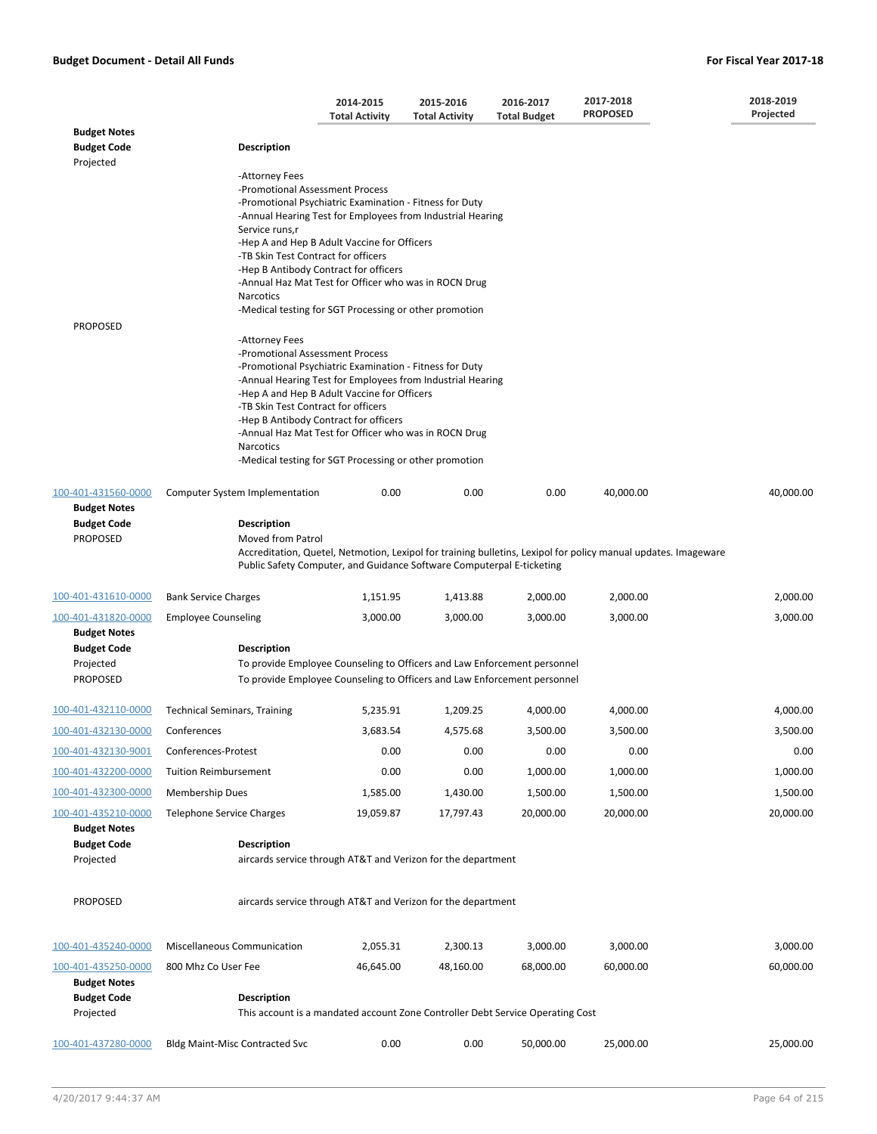|                                                              |                                                                                                       | 2014-2015<br><b>Total Activity</b>                                                                                                                                                                                                                                                                                               | 2015-2016<br><b>Total Activity</b> | 2016-2017<br><b>Total Budget</b>                                                                                                                     | 2017-2018<br><b>PROPOSED</b>                                                                                   | 2018-2019<br>Projected |
|--------------------------------------------------------------|-------------------------------------------------------------------------------------------------------|----------------------------------------------------------------------------------------------------------------------------------------------------------------------------------------------------------------------------------------------------------------------------------------------------------------------------------|------------------------------------|------------------------------------------------------------------------------------------------------------------------------------------------------|----------------------------------------------------------------------------------------------------------------|------------------------|
| <b>Budget Notes</b>                                          |                                                                                                       |                                                                                                                                                                                                                                                                                                                                  |                                    |                                                                                                                                                      |                                                                                                                |                        |
| <b>Budget Code</b><br>Projected                              | <b>Description</b>                                                                                    |                                                                                                                                                                                                                                                                                                                                  |                                    |                                                                                                                                                      |                                                                                                                |                        |
|                                                              | -Attorney Fees<br>-Promotional Assessment Process<br>Service runs,r                                   | -Promotional Psychiatric Examination - Fitness for Duty<br>-Annual Hearing Test for Employees from Industrial Hearing                                                                                                                                                                                                            |                                    |                                                                                                                                                      |                                                                                                                |                        |
|                                                              | -TB Skin Test Contract for officers<br>Narcotics                                                      | -Hep A and Hep B Adult Vaccine for Officers<br>-Hep B Antibody Contract for officers<br>-Annual Haz Mat Test for Officer who was in ROCN Drug                                                                                                                                                                                    |                                    |                                                                                                                                                      |                                                                                                                |                        |
| <b>PROPOSED</b>                                              |                                                                                                       | -Medical testing for SGT Processing or other promotion                                                                                                                                                                                                                                                                           |                                    |                                                                                                                                                      |                                                                                                                |                        |
|                                                              | -Attorney Fees<br>-Promotional Assessment Process<br>-TB Skin Test Contract for officers<br>Narcotics | -Promotional Psychiatric Examination - Fitness for Duty<br>-Annual Hearing Test for Employees from Industrial Hearing<br>-Hep A and Hep B Adult Vaccine for Officers<br>-Hep B Antibody Contract for officers<br>-Annual Haz Mat Test for Officer who was in ROCN Drug<br>-Medical testing for SGT Processing or other promotion |                                    |                                                                                                                                                      |                                                                                                                |                        |
| 100-401-431560-0000                                          | <b>Computer System Implementation</b>                                                                 | 0.00                                                                                                                                                                                                                                                                                                                             | 0.00                               | 0.00                                                                                                                                                 | 40,000.00                                                                                                      | 40,000.00              |
| <b>Budget Notes</b><br><b>Budget Code</b><br><b>PROPOSED</b> | Description<br>Moved from Patrol                                                                      | Public Safety Computer, and Guidance Software Computerpal E-ticketing                                                                                                                                                                                                                                                            |                                    |                                                                                                                                                      | Accreditation, Quetel, Netmotion, Lexipol for training bulletins, Lexipol for policy manual updates. Imageware |                        |
| 100-401-431610-0000                                          | <b>Bank Service Charges</b>                                                                           | 1,151.95                                                                                                                                                                                                                                                                                                                         | 1,413.88                           | 2,000.00                                                                                                                                             | 2,000.00                                                                                                       | 2,000.00               |
| 100-401-431820-0000<br><b>Budget Notes</b>                   | <b>Employee Counseling</b>                                                                            | 3,000.00                                                                                                                                                                                                                                                                                                                         | 3,000.00                           | 3,000.00                                                                                                                                             | 3,000.00                                                                                                       | 3,000.00               |
| <b>Budget Code</b><br>Projected<br><b>PROPOSED</b>           | <b>Description</b>                                                                                    |                                                                                                                                                                                                                                                                                                                                  |                                    | To provide Employee Counseling to Officers and Law Enforcement personnel<br>To provide Employee Counseling to Officers and Law Enforcement personnel |                                                                                                                |                        |
|                                                              |                                                                                                       |                                                                                                                                                                                                                                                                                                                                  |                                    |                                                                                                                                                      |                                                                                                                |                        |
| 100-401-432110-0000                                          | <b>Technical Seminars, Training</b>                                                                   | 5,235.91                                                                                                                                                                                                                                                                                                                         | 1,209.25                           | 4,000.00                                                                                                                                             | 4,000.00                                                                                                       | 4,000.00               |
| 100-401-432130-0000 Conferences                              |                                                                                                       | 3,683.54                                                                                                                                                                                                                                                                                                                         | 4,575.68                           | 3,500.00                                                                                                                                             | 3,500.00                                                                                                       | 3,500.00               |
| 100-401-432130-9001                                          | Conferences-Protest                                                                                   | 0.00                                                                                                                                                                                                                                                                                                                             | 0.00                               | 0.00                                                                                                                                                 | 0.00                                                                                                           | 0.00                   |
| 100-401-432200-0000                                          | <b>Tuition Reimbursement</b>                                                                          | 0.00                                                                                                                                                                                                                                                                                                                             | 0.00                               | 1,000.00                                                                                                                                             | 1,000.00                                                                                                       | 1,000.00               |
| 100-401-432300-0000                                          | <b>Membership Dues</b>                                                                                | 1,585.00                                                                                                                                                                                                                                                                                                                         | 1,430.00                           | 1,500.00                                                                                                                                             | 1,500.00                                                                                                       | 1,500.00               |
| 100-401-435210-0000<br><b>Budget Notes</b>                   | <b>Telephone Service Charges</b>                                                                      | 19,059.87                                                                                                                                                                                                                                                                                                                        | 17,797.43                          | 20,000.00                                                                                                                                            | 20,000.00                                                                                                      | 20,000.00              |
| <b>Budget Code</b><br>Projected                              | <b>Description</b>                                                                                    | aircards service through AT&T and Verizon for the department                                                                                                                                                                                                                                                                     |                                    |                                                                                                                                                      |                                                                                                                |                        |
| <b>PROPOSED</b>                                              |                                                                                                       | aircards service through AT&T and Verizon for the department                                                                                                                                                                                                                                                                     |                                    |                                                                                                                                                      |                                                                                                                |                        |
| 100-401-435240-0000                                          | Miscellaneous Communication                                                                           | 2,055.31                                                                                                                                                                                                                                                                                                                         | 2,300.13                           | 3,000.00                                                                                                                                             | 3,000.00                                                                                                       | 3,000.00               |
| 100-401-435250-0000                                          | 800 Mhz Co User Fee                                                                                   | 46,645.00                                                                                                                                                                                                                                                                                                                        | 48,160.00                          | 68,000.00                                                                                                                                            | 60,000.00                                                                                                      | 60,000.00              |
| <b>Budget Notes</b><br><b>Budget Code</b>                    | <b>Description</b>                                                                                    |                                                                                                                                                                                                                                                                                                                                  |                                    |                                                                                                                                                      |                                                                                                                |                        |
| Projected                                                    |                                                                                                       |                                                                                                                                                                                                                                                                                                                                  |                                    | This account is a mandated account Zone Controller Debt Service Operating Cost                                                                       |                                                                                                                |                        |
| 100-401-437280-0000                                          | <b>Bldg Maint-Misc Contracted Svc</b>                                                                 | 0.00                                                                                                                                                                                                                                                                                                                             | 0.00                               | 50,000.00                                                                                                                                            | 25,000.00                                                                                                      | 25,000.00              |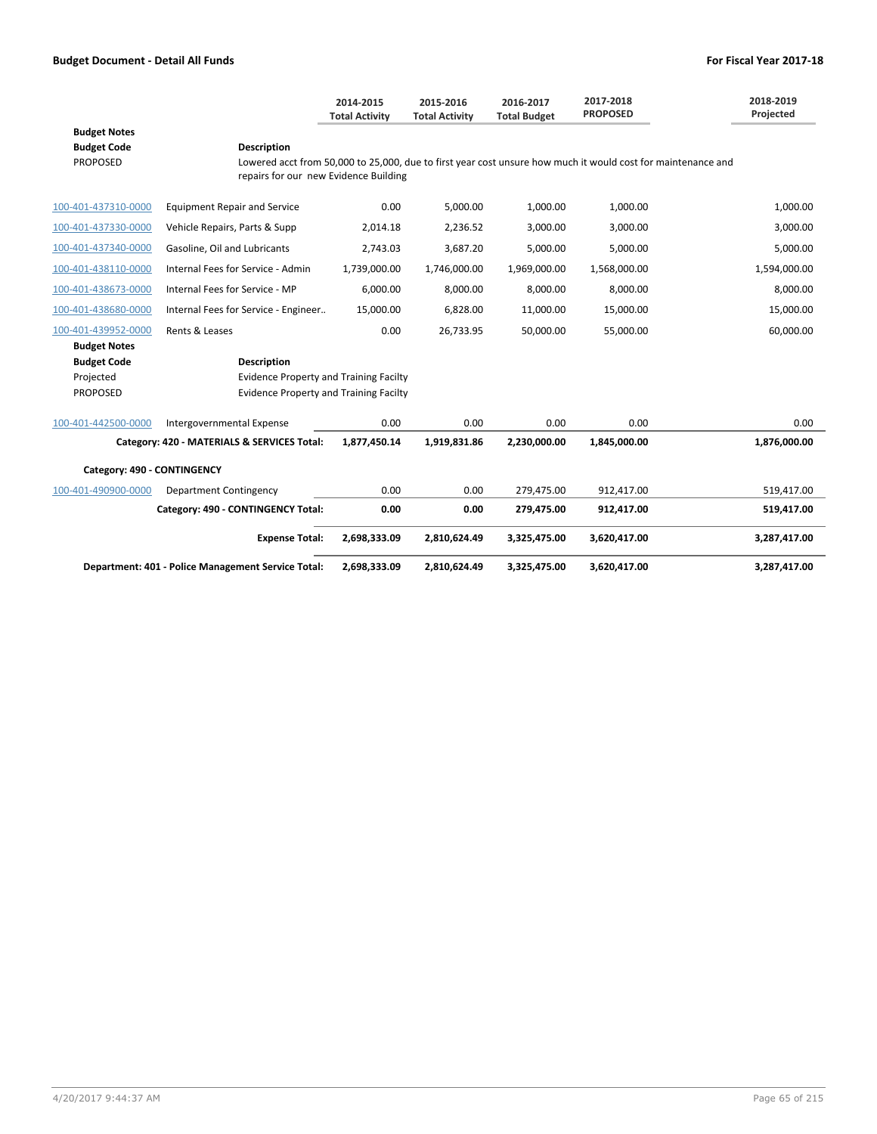|                             |                                                    | 2014-2015<br><b>Total Activity</b> | 2015-2016<br><b>Total Activity</b> | 2016-2017<br><b>Total Budget</b> | 2017-2018<br><b>PROPOSED</b>                                                                                 | 2018-2019<br>Projected |  |  |
|-----------------------------|----------------------------------------------------|------------------------------------|------------------------------------|----------------------------------|--------------------------------------------------------------------------------------------------------------|------------------------|--|--|
| <b>Budget Notes</b>         |                                                    |                                    |                                    |                                  |                                                                                                              |                        |  |  |
| <b>Budget Code</b>          | <b>Description</b>                                 |                                    |                                    |                                  |                                                                                                              |                        |  |  |
| <b>PROPOSED</b>             | repairs for our new Evidence Building              |                                    |                                    |                                  | Lowered acct from 50,000 to 25,000, due to first year cost unsure how much it would cost for maintenance and |                        |  |  |
| 100-401-437310-0000         | <b>Equipment Repair and Service</b>                | 0.00                               | 5,000.00                           | 1,000.00                         | 1,000.00                                                                                                     | 1,000.00               |  |  |
| 100-401-437330-0000         | Vehicle Repairs, Parts & Supp                      | 2,014.18                           | 2,236.52                           | 3,000.00                         | 3,000.00                                                                                                     | 3,000.00               |  |  |
| 100-401-437340-0000         | Gasoline, Oil and Lubricants                       | 2,743.03                           | 3,687.20                           | 5,000.00                         | 5,000.00                                                                                                     | 5,000.00               |  |  |
| 100-401-438110-0000         | Internal Fees for Service - Admin                  | 1,739,000.00                       | 1,746,000.00                       | 1,969,000.00                     | 1,568,000.00                                                                                                 | 1,594,000.00           |  |  |
| 100-401-438673-0000         | Internal Fees for Service - MP                     | 6,000.00                           | 8,000.00                           | 8,000.00                         | 8,000.00                                                                                                     | 8,000.00               |  |  |
| 100-401-438680-0000         | Internal Fees for Service - Engineer               | 15,000.00                          | 6,828.00                           | 11,000.00                        | 15,000.00                                                                                                    | 15,000.00              |  |  |
| 100-401-439952-0000         | Rents & Leases                                     | 0.00                               | 26,733.95                          | 50,000.00                        | 55,000.00                                                                                                    | 60,000.00              |  |  |
| <b>Budget Notes</b>         |                                                    |                                    |                                    |                                  |                                                                                                              |                        |  |  |
| <b>Budget Code</b>          | <b>Description</b>                                 |                                    |                                    |                                  |                                                                                                              |                        |  |  |
| Projected                   | <b>Evidence Property and Training Facilty</b>      |                                    |                                    |                                  |                                                                                                              |                        |  |  |
| <b>PROPOSED</b>             | <b>Evidence Property and Training Facilty</b>      |                                    |                                    |                                  |                                                                                                              |                        |  |  |
| 100-401-442500-0000         | Intergovernmental Expense                          | 0.00                               | 0.00                               | 0.00                             | 0.00                                                                                                         | 0.00                   |  |  |
|                             | Category: 420 - MATERIALS & SERVICES Total:        | 1,877,450.14                       | 1,919,831.86                       | 2,230,000.00                     | 1,845,000.00                                                                                                 | 1,876,000.00           |  |  |
| Category: 490 - CONTINGENCY |                                                    |                                    |                                    |                                  |                                                                                                              |                        |  |  |
| 100-401-490900-0000         | Department Contingency                             | 0.00                               | 0.00                               | 279,475.00                       | 912,417.00                                                                                                   | 519,417.00             |  |  |
|                             | Category: 490 - CONTINGENCY Total:                 | 0.00                               | 0.00                               | 279,475.00                       | 912,417.00                                                                                                   | 519,417.00             |  |  |
|                             | <b>Expense Total:</b>                              | 2,698,333.09                       | 2,810,624.49                       | 3,325,475.00                     | 3,620,417.00                                                                                                 | 3,287,417.00           |  |  |
|                             | Department: 401 - Police Management Service Total: | 2,698,333.09                       | 2,810,624.49                       | 3,325,475.00                     | 3,620,417.00                                                                                                 | 3,287,417.00           |  |  |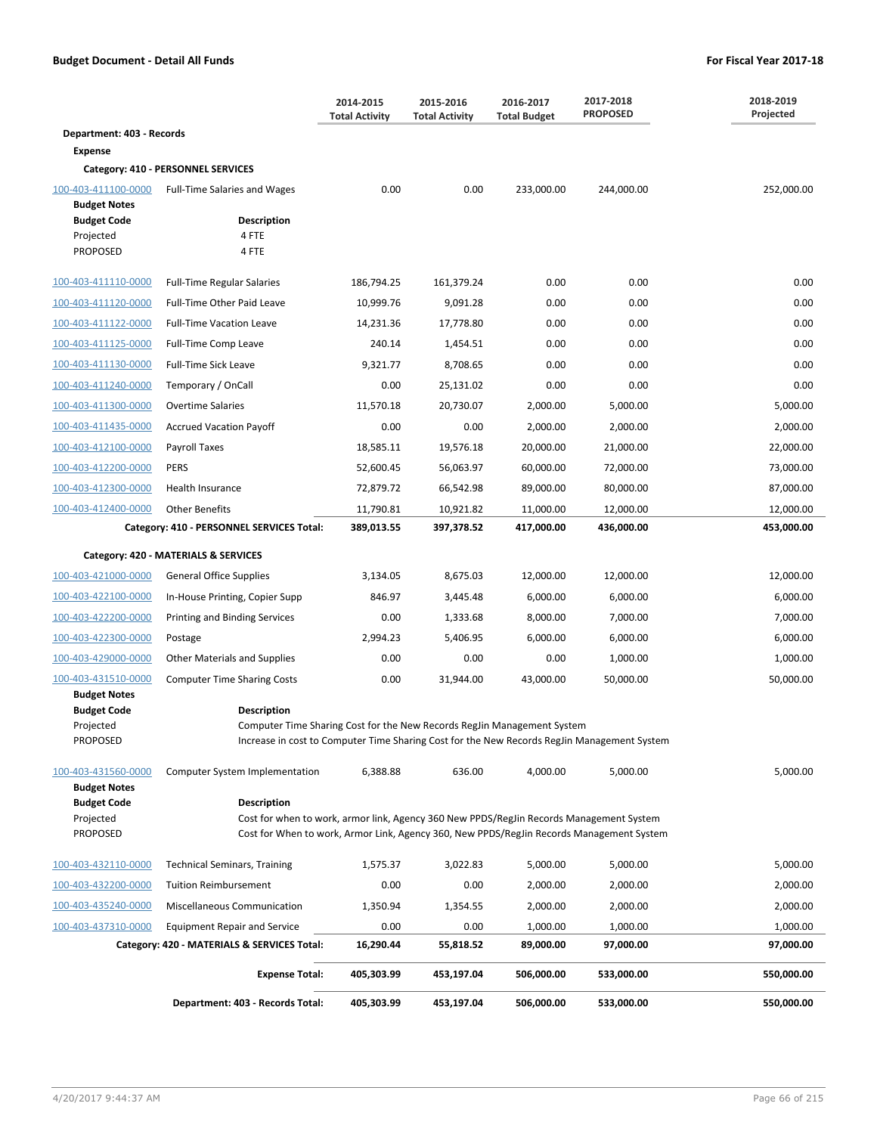|                                                                                                                 |                                                                                               | 2014-2015<br><b>Total Activity</b> | 2015-2016<br><b>Total Activity</b> | 2016-2017<br><b>Total Budget</b> | 2017-2018<br><b>PROPOSED</b>                                                                | 2018-2019<br>Projected |  |
|-----------------------------------------------------------------------------------------------------------------|-----------------------------------------------------------------------------------------------|------------------------------------|------------------------------------|----------------------------------|---------------------------------------------------------------------------------------------|------------------------|--|
| Department: 403 - Records                                                                                       |                                                                                               |                                    |                                    |                                  |                                                                                             |                        |  |
| <b>Expense</b>                                                                                                  |                                                                                               |                                    |                                    |                                  |                                                                                             |                        |  |
|                                                                                                                 | Category: 410 - PERSONNEL SERVICES                                                            |                                    |                                    |                                  |                                                                                             |                        |  |
| 100-403-411100-0000<br><b>Budget Notes</b>                                                                      | <b>Full-Time Salaries and Wages</b>                                                           | 0.00                               | 0.00                               | 233,000.00                       | 244,000.00                                                                                  | 252,000.00             |  |
| <b>Budget Code</b>                                                                                              | Description                                                                                   |                                    |                                    |                                  |                                                                                             |                        |  |
| Projected                                                                                                       | 4 FTE                                                                                         |                                    |                                    |                                  |                                                                                             |                        |  |
| <b>PROPOSED</b>                                                                                                 | 4 FTE                                                                                         |                                    |                                    |                                  |                                                                                             |                        |  |
| 100-403-411110-0000                                                                                             | <b>Full-Time Regular Salaries</b>                                                             | 186,794.25                         | 161,379.24                         | 0.00                             | 0.00                                                                                        | 0.00                   |  |
| 100-403-411120-0000                                                                                             | Full-Time Other Paid Leave                                                                    | 10,999.76                          | 9,091.28                           | 0.00                             | 0.00                                                                                        | 0.00                   |  |
| 100-403-411122-0000                                                                                             | <b>Full-Time Vacation Leave</b>                                                               | 14,231.36                          | 17,778.80                          | 0.00                             | 0.00                                                                                        | 0.00                   |  |
| 100-403-411125-0000                                                                                             | Full-Time Comp Leave                                                                          | 240.14                             | 1,454.51                           | 0.00                             | 0.00                                                                                        | 0.00                   |  |
| 100-403-411130-0000                                                                                             | Full-Time Sick Leave                                                                          | 9,321.77                           | 8,708.65                           | 0.00                             | 0.00                                                                                        | 0.00                   |  |
| 100-403-411240-0000                                                                                             | Temporary / OnCall                                                                            | 0.00                               | 25,131.02                          | 0.00                             | 0.00                                                                                        | 0.00                   |  |
| 100-403-411300-0000                                                                                             | <b>Overtime Salaries</b>                                                                      | 11,570.18                          | 20,730.07                          | 2.000.00                         | 5,000.00                                                                                    | 5,000.00               |  |
| 100-403-411435-0000                                                                                             | <b>Accrued Vacation Payoff</b>                                                                | 0.00                               | 0.00                               | 2,000.00                         | 2,000.00                                                                                    | 2,000.00               |  |
| 100-403-412100-0000                                                                                             | Payroll Taxes                                                                                 | 18,585.11                          | 19,576.18                          | 20,000.00                        | 21,000.00                                                                                   | 22,000.00              |  |
| 100-403-412200-0000                                                                                             | PERS                                                                                          | 52,600.45                          | 56,063.97                          | 60,000.00                        | 72,000.00                                                                                   | 73,000.00              |  |
| 100-403-412300-0000                                                                                             | Health Insurance                                                                              | 72,879.72                          | 66,542.98                          | 89,000.00                        | 80,000.00                                                                                   | 87,000.00              |  |
| 100-403-412400-0000                                                                                             | <b>Other Benefits</b>                                                                         | 11,790.81                          | 10,921.82                          | 11,000.00                        | 12,000.00                                                                                   | 12,000.00              |  |
| 436,000.00<br>453,000.00<br>Category: 410 - PERSONNEL SERVICES Total:<br>389,013.55<br>397,378.52<br>417,000.00 |                                                                                               |                                    |                                    |                                  |                                                                                             |                        |  |
|                                                                                                                 | Category: 420 - MATERIALS & SERVICES                                                          |                                    |                                    |                                  |                                                                                             |                        |  |
| 100-403-421000-0000                                                                                             | <b>General Office Supplies</b>                                                                | 3,134.05                           | 8,675.03                           | 12,000.00                        | 12,000.00                                                                                   | 12,000.00              |  |
| 100-403-422100-0000                                                                                             | In-House Printing, Copier Supp                                                                | 846.97                             | 3,445.48                           | 6,000.00                         | 6,000.00                                                                                    | 6,000.00               |  |
| 100-403-422200-0000                                                                                             | Printing and Binding Services                                                                 | 0.00                               | 1,333.68                           | 8,000.00                         | 7,000.00                                                                                    | 7,000.00               |  |
| 100-403-422300-0000                                                                                             | Postage                                                                                       | 2,994.23                           | 5,406.95                           | 6,000.00                         | 6,000.00                                                                                    | 6,000.00               |  |
| 100-403-429000-0000                                                                                             | Other Materials and Supplies                                                                  | 0.00                               | 0.00                               | 0.00                             | 1,000.00                                                                                    | 1,000.00               |  |
| 100-403-431510-0000                                                                                             | <b>Computer Time Sharing Costs</b>                                                            | 0.00                               | 31,944.00                          | 43,000.00                        | 50,000.00                                                                                   | 50,000.00              |  |
| <b>Budget Notes</b>                                                                                             |                                                                                               |                                    |                                    |                                  |                                                                                             |                        |  |
| <b>Budget Code</b><br>Projected                                                                                 | <b>Description</b><br>Computer Time Sharing Cost for the New Records RegJin Management System |                                    |                                    |                                  |                                                                                             |                        |  |
| <b>PROPOSED</b>                                                                                                 |                                                                                               |                                    |                                    |                                  | Increase in cost to Computer Time Sharing Cost for the New Records RegJin Management System |                        |  |
| 100-403-431560-0000                                                                                             | <b>Computer System Implementation</b>                                                         | 6,388.88                           | 636.00                             | 4,000.00                         | 5,000.00                                                                                    | 5,000.00               |  |
| <b>Budget Notes</b>                                                                                             |                                                                                               |                                    |                                    |                                  |                                                                                             |                        |  |
| <b>Budget Code</b>                                                                                              | <b>Description</b>                                                                            |                                    |                                    |                                  |                                                                                             |                        |  |
| Projected<br><b>PROPOSED</b>                                                                                    | Cost for when to work, armor link, Agency 360 New PPDS/RegJin Records Management System       |                                    |                                    |                                  | Cost for When to work, Armor Link, Agency 360, New PPDS/RegJin Records Management System    |                        |  |
|                                                                                                                 |                                                                                               |                                    |                                    |                                  |                                                                                             |                        |  |
| 100-403-432110-0000                                                                                             | <b>Technical Seminars, Training</b>                                                           | 1,575.37                           | 3,022.83                           | 5,000.00                         | 5,000.00                                                                                    | 5,000.00               |  |
| 100-403-432200-0000                                                                                             | <b>Tuition Reimbursement</b>                                                                  | 0.00                               | 0.00                               | 2,000.00                         | 2,000.00                                                                                    | 2,000.00               |  |
| 100-403-435240-0000                                                                                             | Miscellaneous Communication                                                                   | 1,350.94                           | 1,354.55                           | 2,000.00                         | 2,000.00                                                                                    | 2,000.00               |  |
| 100-403-437310-0000                                                                                             | <b>Equipment Repair and Service</b>                                                           | 0.00                               | 0.00                               | 1,000.00                         | 1,000.00                                                                                    | 1,000.00               |  |
|                                                                                                                 | Category: 420 - MATERIALS & SERVICES Total:                                                   | 16,290.44                          | 55,818.52                          | 89,000.00                        | 97,000.00                                                                                   | 97,000.00              |  |
|                                                                                                                 | <b>Expense Total:</b>                                                                         | 405,303.99                         | 453,197.04                         | 506,000.00                       | 533,000.00                                                                                  | 550,000.00             |  |
|                                                                                                                 | Department: 403 - Records Total:                                                              | 405,303.99                         | 453,197.04                         | 506,000.00                       | 533,000.00                                                                                  | 550,000.00             |  |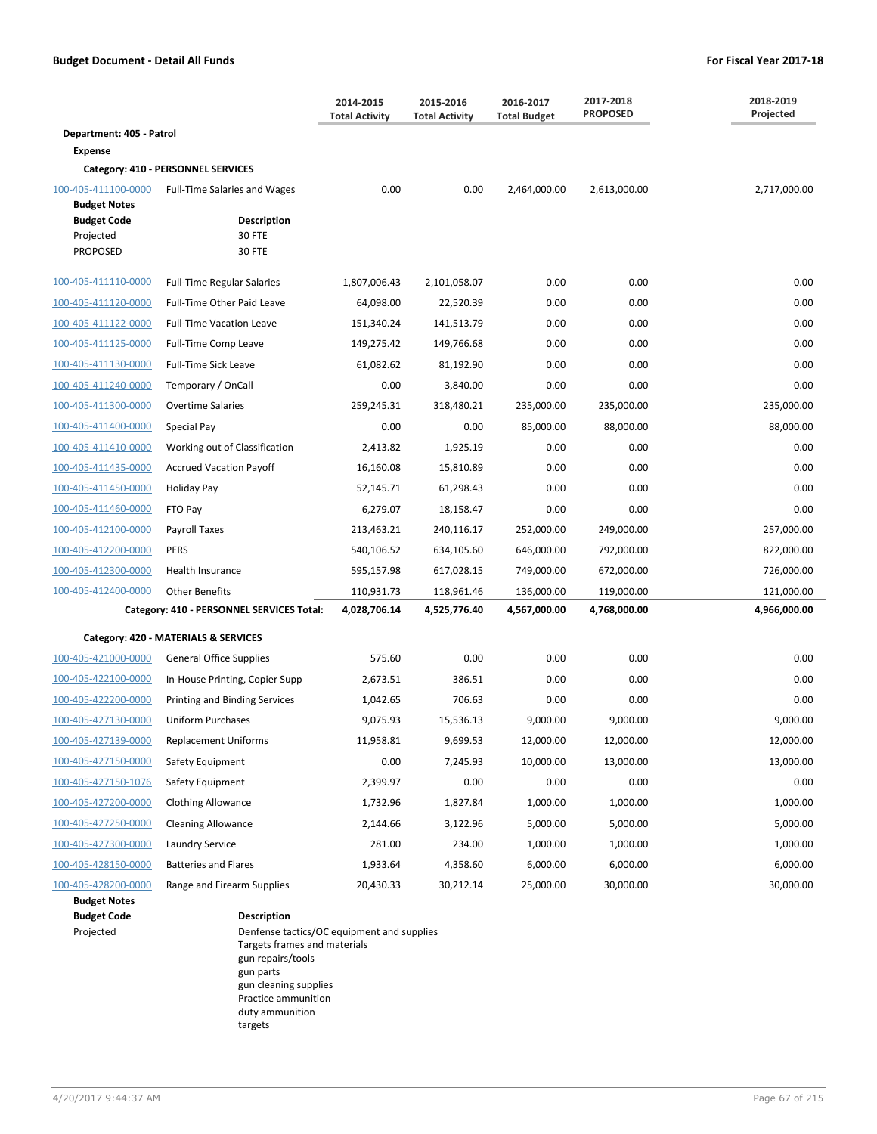|                                                                           | 2014-2015<br><b>Total Activity</b>            |              | 2015-2016<br><b>Total Activity</b> | 2016-2017<br><b>Total Budget</b> | 2017-2018<br><b>PROPOSED</b> | 2018-2019<br>Projected |
|---------------------------------------------------------------------------|-----------------------------------------------|--------------|------------------------------------|----------------------------------|------------------------------|------------------------|
| Department: 405 - Patrol                                                  |                                               |              |                                    |                                  |                              |                        |
| <b>Expense</b>                                                            |                                               |              |                                    |                                  |                              |                        |
|                                                                           | Category: 410 - PERSONNEL SERVICES            |              |                                    |                                  |                              |                        |
| 100-405-411100-0000                                                       | <b>Full-Time Salaries and Wages</b>           | 0.00         | 0.00                               | 2,464,000.00                     | 2,613,000.00                 | 2,717,000.00           |
| <b>Budget Notes</b><br><b>Budget Code</b><br>Projected<br><b>PROPOSED</b> | <b>Description</b><br>30 FTE<br><b>30 FTE</b> |              |                                    |                                  |                              |                        |
| 100-405-411110-0000                                                       | <b>Full-Time Regular Salaries</b>             | 1,807,006.43 | 2,101,058.07                       | 0.00                             | 0.00                         | 0.00                   |
| 100-405-411120-0000                                                       | Full-Time Other Paid Leave                    | 64,098.00    | 22,520.39                          | 0.00                             | 0.00                         | 0.00                   |
| 100-405-411122-0000                                                       | <b>Full-Time Vacation Leave</b>               | 151,340.24   | 141,513.79                         | 0.00                             | 0.00                         | 0.00                   |
| 100-405-411125-0000                                                       | Full-Time Comp Leave                          | 149,275.42   | 149,766.68                         | 0.00                             | 0.00                         | 0.00                   |
| 100-405-411130-0000                                                       | <b>Full-Time Sick Leave</b>                   | 61,082.62    | 81,192.90                          | 0.00                             | 0.00                         | 0.00                   |
| 100-405-411240-0000                                                       | Temporary / OnCall                            | 0.00         | 3,840.00                           | 0.00                             | 0.00                         | 0.00                   |
| 100-405-411300-0000                                                       | <b>Overtime Salaries</b>                      | 259,245.31   | 318,480.21                         | 235,000.00                       | 235,000.00                   | 235,000.00             |
| 100-405-411400-0000                                                       | Special Pay                                   | 0.00         | 0.00                               | 85,000.00                        | 88,000.00                    | 88,000.00              |
| 100-405-411410-0000                                                       | Working out of Classification                 | 2,413.82     | 1,925.19                           | 0.00                             | 0.00                         | 0.00                   |
| 100-405-411435-0000                                                       | <b>Accrued Vacation Payoff</b>                | 16,160.08    | 15,810.89                          | 0.00                             | 0.00                         | 0.00                   |
| 100-405-411450-0000                                                       | Holiday Pay                                   | 52,145.71    | 61,298.43                          | 0.00                             | 0.00                         | 0.00                   |
| 100-405-411460-0000                                                       | FTO Pay                                       | 6,279.07     | 18,158.47                          | 0.00                             | 0.00                         | 0.00                   |
| 100-405-412100-0000                                                       | Payroll Taxes                                 | 213,463.21   | 240,116.17                         | 252,000.00                       | 249,000.00                   | 257,000.00             |
| 100-405-412200-0000                                                       | <b>PERS</b>                                   | 540,106.52   | 634,105.60                         | 646,000.00                       | 792,000.00                   | 822,000.00             |
| 100-405-412300-0000                                                       | Health Insurance                              | 595,157.98   | 617,028.15                         | 749,000.00                       | 672,000.00                   | 726,000.00             |
| 100-405-412400-0000                                                       | <b>Other Benefits</b>                         | 110,931.73   | 118,961.46                         | 136,000.00                       | 119,000.00                   | 121,000.00             |
|                                                                           | Category: 410 - PERSONNEL SERVICES Total:     | 4,028,706.14 | 4,525,776.40                       | 4,567,000.00                     | 4,768,000.00                 | 4,966,000.00           |
|                                                                           | Category: 420 - MATERIALS & SERVICES          |              |                                    |                                  |                              |                        |
| 100-405-421000-0000                                                       | <b>General Office Supplies</b>                | 575.60       | 0.00                               | 0.00                             | 0.00                         | 0.00                   |
| 100-405-422100-0000                                                       | In-House Printing, Copier Supp                | 2,673.51     | 386.51                             | 0.00                             | 0.00                         | 0.00                   |
| 100-405-422200-0000                                                       | <b>Printing and Binding Services</b>          | 1,042.65     | 706.63                             | 0.00                             | 0.00                         | 0.00                   |
| 100-405-427130-0000                                                       | Uniform Purchases                             | 9,075.93     | 15,536.13                          | 9,000.00                         | 9,000.00                     | 9,000.00               |
| 100-405-427139-0000                                                       | <b>Replacement Uniforms</b>                   | 11,958.81    | 9,699.53                           | 12,000.00                        | 12,000.00                    | 12,000.00              |
| 100-405-427150-0000                                                       | Safety Equipment                              | 0.00         | 7,245.93                           | 10,000.00                        | 13,000.00                    | 13,000.00              |
| 100-405-427150-1076                                                       | Safety Equipment                              | 2,399.97     | 0.00                               | 0.00                             | 0.00                         | 0.00                   |
| 100-405-427200-0000                                                       | <b>Clothing Allowance</b>                     | 1,732.96     | 1,827.84                           | 1,000.00                         | 1,000.00                     | 1,000.00               |
| 100-405-427250-0000                                                       | <b>Cleaning Allowance</b>                     | 2,144.66     | 3,122.96                           | 5,000.00                         | 5,000.00                     | 5,000.00               |
| 100-405-427300-0000                                                       | <b>Laundry Service</b>                        | 281.00       | 234.00                             | 1,000.00                         | 1,000.00                     | 1,000.00               |
| 100-405-428150-0000                                                       | <b>Batteries and Flares</b>                   | 1,933.64     | 4,358.60                           | 6,000.00                         | 6,000.00                     | 6,000.00               |
| 100-405-428200-0000<br><b>Budget Notes</b>                                | Range and Firearm Supplies                    | 20,430.33    | 30,212.14                          | 25,000.00                        | 30,000.00                    | 30,000.00              |

**Budget Code Description**

Projected **Denfense tactics/OC equipment and supplies** Targets frames and materials gun repairs/tools gun parts gun cleaning supplies Practice ammunition duty ammunition targets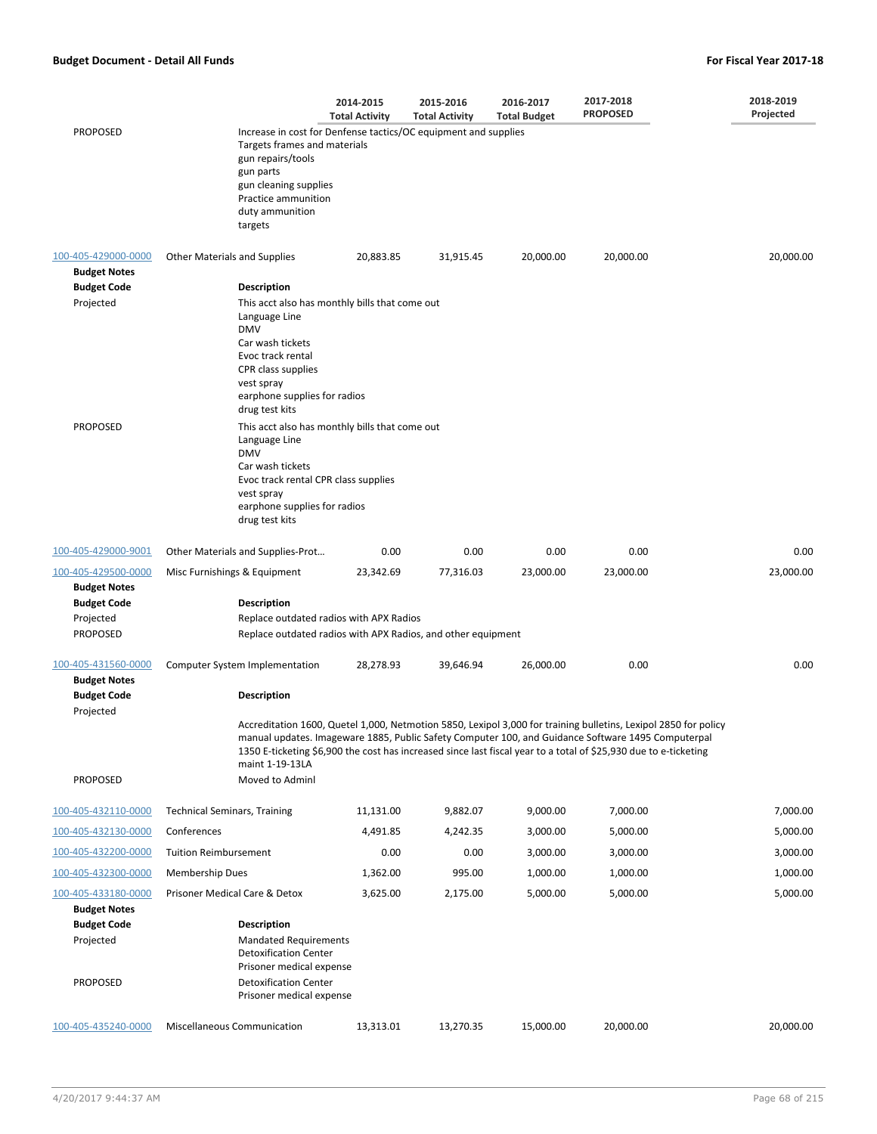|                                            |                                                                                                                                                                                                                 | 2014-2015<br><b>Total Activity</b>                           | 2015-2016<br><b>Total Activity</b> | 2016-2017<br><b>Total Budget</b> | 2017-2018<br><b>PROPOSED</b>                                                                                                                                                                                                                                                                                                              | 2018-2019<br>Projected |  |  |  |
|--------------------------------------------|-----------------------------------------------------------------------------------------------------------------------------------------------------------------------------------------------------------------|--------------------------------------------------------------|------------------------------------|----------------------------------|-------------------------------------------------------------------------------------------------------------------------------------------------------------------------------------------------------------------------------------------------------------------------------------------------------------------------------------------|------------------------|--|--|--|
| <b>PROPOSED</b>                            | Increase in cost for Denfense tactics/OC equipment and supplies<br>Targets frames and materials<br>gun repairs/tools<br>gun parts<br>gun cleaning supplies<br>Practice ammunition<br>duty ammunition<br>targets |                                                              |                                    |                                  |                                                                                                                                                                                                                                                                                                                                           |                        |  |  |  |
| 100-405-429000-0000<br><b>Budget Notes</b> | <b>Other Materials and Supplies</b>                                                                                                                                                                             | 20,883.85                                                    | 31,915.45                          | 20,000.00                        | 20,000.00                                                                                                                                                                                                                                                                                                                                 | 20,000.00              |  |  |  |
| <b>Budget Code</b><br>Projected            | <b>Description</b><br>This acct also has monthly bills that come out                                                                                                                                            |                                                              |                                    |                                  |                                                                                                                                                                                                                                                                                                                                           |                        |  |  |  |
|                                            | Language Line<br><b>DMV</b>                                                                                                                                                                                     |                                                              |                                    |                                  |                                                                                                                                                                                                                                                                                                                                           |                        |  |  |  |
|                                            | Car wash tickets<br>Evoc track rental                                                                                                                                                                           |                                                              |                                    |                                  |                                                                                                                                                                                                                                                                                                                                           |                        |  |  |  |
|                                            | CPR class supplies                                                                                                                                                                                              |                                                              |                                    |                                  |                                                                                                                                                                                                                                                                                                                                           |                        |  |  |  |
|                                            | vest spray<br>earphone supplies for radios<br>drug test kits                                                                                                                                                    |                                                              |                                    |                                  |                                                                                                                                                                                                                                                                                                                                           |                        |  |  |  |
| <b>PROPOSED</b>                            | This acct also has monthly bills that come out<br>Language Line<br><b>DMV</b>                                                                                                                                   |                                                              |                                    |                                  |                                                                                                                                                                                                                                                                                                                                           |                        |  |  |  |
|                                            | Car wash tickets<br>Evoc track rental CPR class supplies                                                                                                                                                        |                                                              |                                    |                                  |                                                                                                                                                                                                                                                                                                                                           |                        |  |  |  |
|                                            | vest spray<br>earphone supplies for radios<br>drug test kits                                                                                                                                                    |                                                              |                                    |                                  |                                                                                                                                                                                                                                                                                                                                           |                        |  |  |  |
| 100-405-429000-9001                        | Other Materials and Supplies-Prot                                                                                                                                                                               | 0.00                                                         | 0.00                               | 0.00                             | 0.00                                                                                                                                                                                                                                                                                                                                      | 0.00                   |  |  |  |
| 100-405-429500-0000<br><b>Budget Notes</b> | Misc Furnishings & Equipment                                                                                                                                                                                    | 23,342.69                                                    | 77,316.03                          | 23,000.00                        | 23,000.00                                                                                                                                                                                                                                                                                                                                 | 23,000.00              |  |  |  |
| <b>Budget Code</b><br>Projected            | <b>Description</b><br>Replace outdated radios with APX Radios                                                                                                                                                   |                                                              |                                    |                                  |                                                                                                                                                                                                                                                                                                                                           |                        |  |  |  |
| <b>PROPOSED</b>                            |                                                                                                                                                                                                                 | Replace outdated radios with APX Radios, and other equipment |                                    |                                  |                                                                                                                                                                                                                                                                                                                                           |                        |  |  |  |
| 100-405-431560-0000<br><b>Budget Notes</b> | Computer System Implementation                                                                                                                                                                                  | 28,278.93                                                    | 39,646.94                          | 26,000.00                        | 0.00                                                                                                                                                                                                                                                                                                                                      | 0.00                   |  |  |  |
| <b>Budget Code</b><br>Projected            | <b>Description</b>                                                                                                                                                                                              |                                                              |                                    |                                  |                                                                                                                                                                                                                                                                                                                                           |                        |  |  |  |
|                                            | maint 1-19-13LA                                                                                                                                                                                                 |                                                              |                                    |                                  | Accreditation 1600, Quetel 1,000, Netmotion 5850, Lexipol 3,000 for training bulletins, Lexipol 2850 for policy<br>manual updates. Imageware 1885, Public Safety Computer 100, and Guidance Software 1495 Computerpal<br>1350 E-ticketing \$6,900 the cost has increased since last fiscal year to a total of \$25,930 due to e-ticketing |                        |  |  |  |
| <b>PROPOSED</b>                            | Moved to Adminl                                                                                                                                                                                                 |                                                              |                                    |                                  |                                                                                                                                                                                                                                                                                                                                           |                        |  |  |  |
| 100-405-432110-0000                        | <b>Technical Seminars, Training</b>                                                                                                                                                                             | 11,131.00                                                    | 9,882.07                           | 9,000.00                         | 7,000.00                                                                                                                                                                                                                                                                                                                                  | 7,000.00               |  |  |  |
| 100-405-432130-0000                        | Conferences                                                                                                                                                                                                     | 4,491.85                                                     | 4,242.35                           | 3,000.00                         | 5,000.00                                                                                                                                                                                                                                                                                                                                  | 5,000.00               |  |  |  |
| 100-405-432200-0000                        | <b>Tuition Reimbursement</b>                                                                                                                                                                                    | 0.00                                                         | 0.00                               | 3,000.00                         | 3,000.00                                                                                                                                                                                                                                                                                                                                  | 3,000.00               |  |  |  |
| 100-405-432300-0000                        | Membership Dues                                                                                                                                                                                                 | 1,362.00                                                     | 995.00                             | 1,000.00                         | 1,000.00                                                                                                                                                                                                                                                                                                                                  | 1,000.00               |  |  |  |
| 100-405-433180-0000<br><b>Budget Notes</b> | Prisoner Medical Care & Detox                                                                                                                                                                                   | 3,625.00                                                     | 2,175.00                           | 5,000.00                         | 5,000.00                                                                                                                                                                                                                                                                                                                                  | 5,000.00               |  |  |  |
| <b>Budget Code</b><br>Projected            | <b>Description</b><br><b>Mandated Requirements</b><br><b>Detoxification Center</b>                                                                                                                              |                                                              |                                    |                                  |                                                                                                                                                                                                                                                                                                                                           |                        |  |  |  |
| <b>PROPOSED</b>                            | Prisoner medical expense<br><b>Detoxification Center</b><br>Prisoner medical expense                                                                                                                            |                                                              |                                    |                                  |                                                                                                                                                                                                                                                                                                                                           |                        |  |  |  |
| 100-405-435240-0000                        | Miscellaneous Communication                                                                                                                                                                                     | 13,313.01                                                    | 13,270.35                          | 15,000.00                        | 20,000.00                                                                                                                                                                                                                                                                                                                                 | 20,000.00              |  |  |  |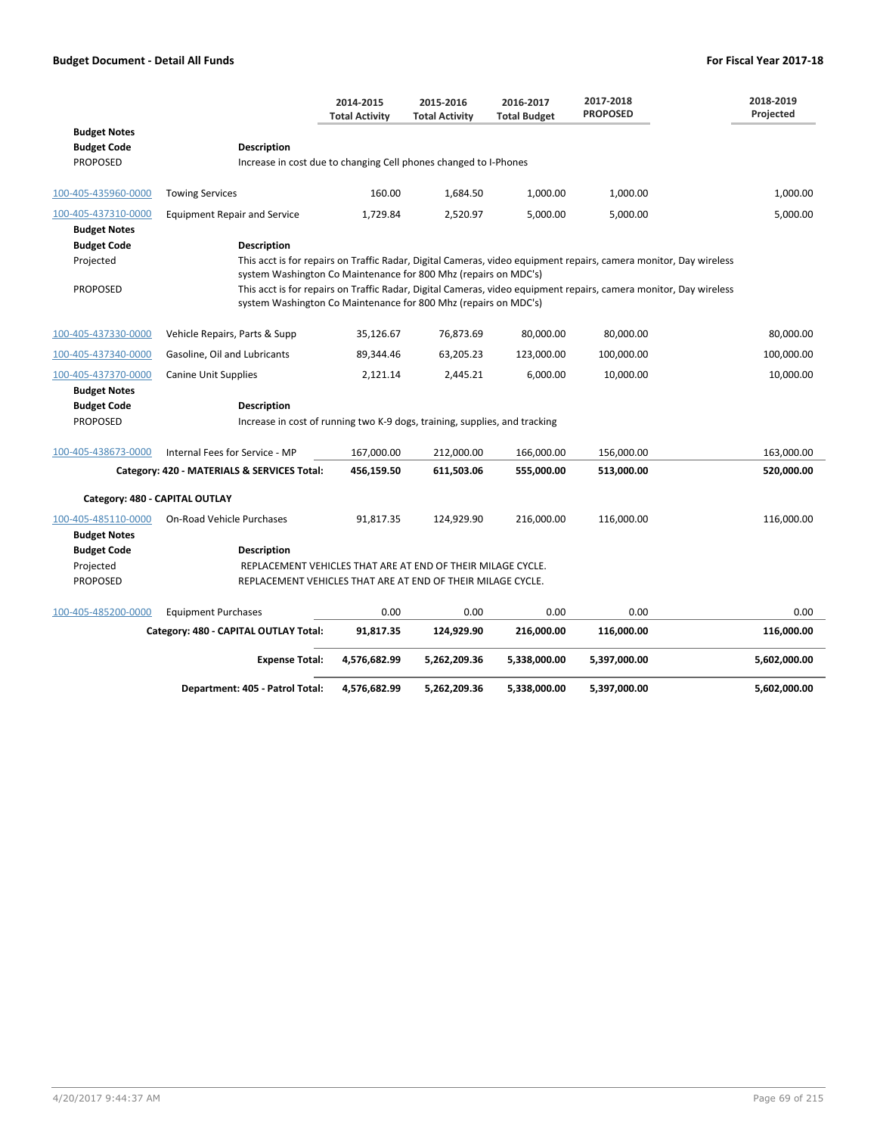|                                |                                                                            | 2014-2015<br><b>Total Activity</b> | 2015-2016<br><b>Total Activity</b> | 2016-2017<br><b>Total Budget</b> | 2017-2018<br><b>PROPOSED</b>                                                                                      | 2018-2019<br>Projected |
|--------------------------------|----------------------------------------------------------------------------|------------------------------------|------------------------------------|----------------------------------|-------------------------------------------------------------------------------------------------------------------|------------------------|
| <b>Budget Notes</b>            |                                                                            |                                    |                                    |                                  |                                                                                                                   |                        |
| <b>Budget Code</b>             | <b>Description</b>                                                         |                                    |                                    |                                  |                                                                                                                   |                        |
| <b>PROPOSED</b>                | Increase in cost due to changing Cell phones changed to I-Phones           |                                    |                                    |                                  |                                                                                                                   |                        |
| 100-405-435960-0000            | <b>Towing Services</b>                                                     | 160.00                             | 1,684.50                           | 1,000.00                         | 1,000.00                                                                                                          | 1,000.00               |
| 100-405-437310-0000            | <b>Equipment Repair and Service</b>                                        | 1,729.84                           | 2,520.97                           | 5,000.00                         | 5,000.00                                                                                                          | 5,000.00               |
| <b>Budget Notes</b>            |                                                                            |                                    |                                    |                                  |                                                                                                                   |                        |
| <b>Budget Code</b>             | <b>Description</b>                                                         |                                    |                                    |                                  |                                                                                                                   |                        |
| Projected                      | system Washington Co Maintenance for 800 Mhz (repairs on MDC's)            |                                    |                                    |                                  | This acct is for repairs on Traffic Radar, Digital Cameras, video equipment repairs, camera monitor, Day wireless |                        |
| <b>PROPOSED</b>                | system Washington Co Maintenance for 800 Mhz (repairs on MDC's)            |                                    |                                    |                                  | This acct is for repairs on Traffic Radar, Digital Cameras, video equipment repairs, camera monitor, Day wireless |                        |
| 100-405-437330-0000            | Vehicle Repairs, Parts & Supp                                              | 35,126.67                          | 76,873.69                          | 80,000.00                        | 80,000.00                                                                                                         | 80,000.00              |
| 100-405-437340-0000            | Gasoline, Oil and Lubricants                                               | 89,344.46                          | 63,205.23                          | 123,000.00                       | 100,000.00                                                                                                        | 100,000.00             |
| 100-405-437370-0000            | Canine Unit Supplies                                                       | 2,121.14                           | 2,445.21                           | 6,000.00                         | 10,000.00                                                                                                         | 10,000.00              |
| <b>Budget Notes</b>            |                                                                            |                                    |                                    |                                  |                                                                                                                   |                        |
| <b>Budget Code</b>             | Description                                                                |                                    |                                    |                                  |                                                                                                                   |                        |
| <b>PROPOSED</b>                | Increase in cost of running two K-9 dogs, training, supplies, and tracking |                                    |                                    |                                  |                                                                                                                   |                        |
| 100-405-438673-0000            | Internal Fees for Service - MP                                             | 167,000.00                         | 212,000.00                         | 166,000.00                       | 156,000.00                                                                                                        | 163,000.00             |
|                                | Category: 420 - MATERIALS & SERVICES Total:                                | 456,159.50                         | 611,503.06                         | 555,000.00                       | 513,000.00                                                                                                        | 520,000.00             |
| Category: 480 - CAPITAL OUTLAY |                                                                            |                                    |                                    |                                  |                                                                                                                   |                        |
| 100-405-485110-0000            | On-Road Vehicle Purchases                                                  | 91,817.35                          | 124,929.90                         | 216,000.00                       | 116,000.00                                                                                                        | 116,000.00             |
| <b>Budget Notes</b>            |                                                                            |                                    |                                    |                                  |                                                                                                                   |                        |
| <b>Budget Code</b>             | <b>Description</b>                                                         |                                    |                                    |                                  |                                                                                                                   |                        |
| Projected                      | REPLACEMENT VEHICLES THAT ARE AT END OF THEIR MILAGE CYCLE.                |                                    |                                    |                                  |                                                                                                                   |                        |
| <b>PROPOSED</b>                | REPLACEMENT VEHICLES THAT ARE AT END OF THEIR MILAGE CYCLE.                |                                    |                                    |                                  |                                                                                                                   |                        |
| 100-405-485200-0000            | <b>Equipment Purchases</b>                                                 | 0.00                               | 0.00                               | 0.00                             | 0.00                                                                                                              | 0.00                   |
|                                | Category: 480 - CAPITAL OUTLAY Total:                                      | 91,817.35                          | 124,929.90                         | 216,000.00                       | 116,000.00                                                                                                        | 116,000.00             |
|                                | <b>Expense Total:</b>                                                      | 4,576,682.99                       | 5,262,209.36                       | 5,338,000.00                     | 5,397,000.00                                                                                                      | 5,602,000.00           |

**Department: 405 - Patrol Total: 4,576,682.99 5,262,209.36 5,338,000.00 5,397,000.00 5,602,000.00**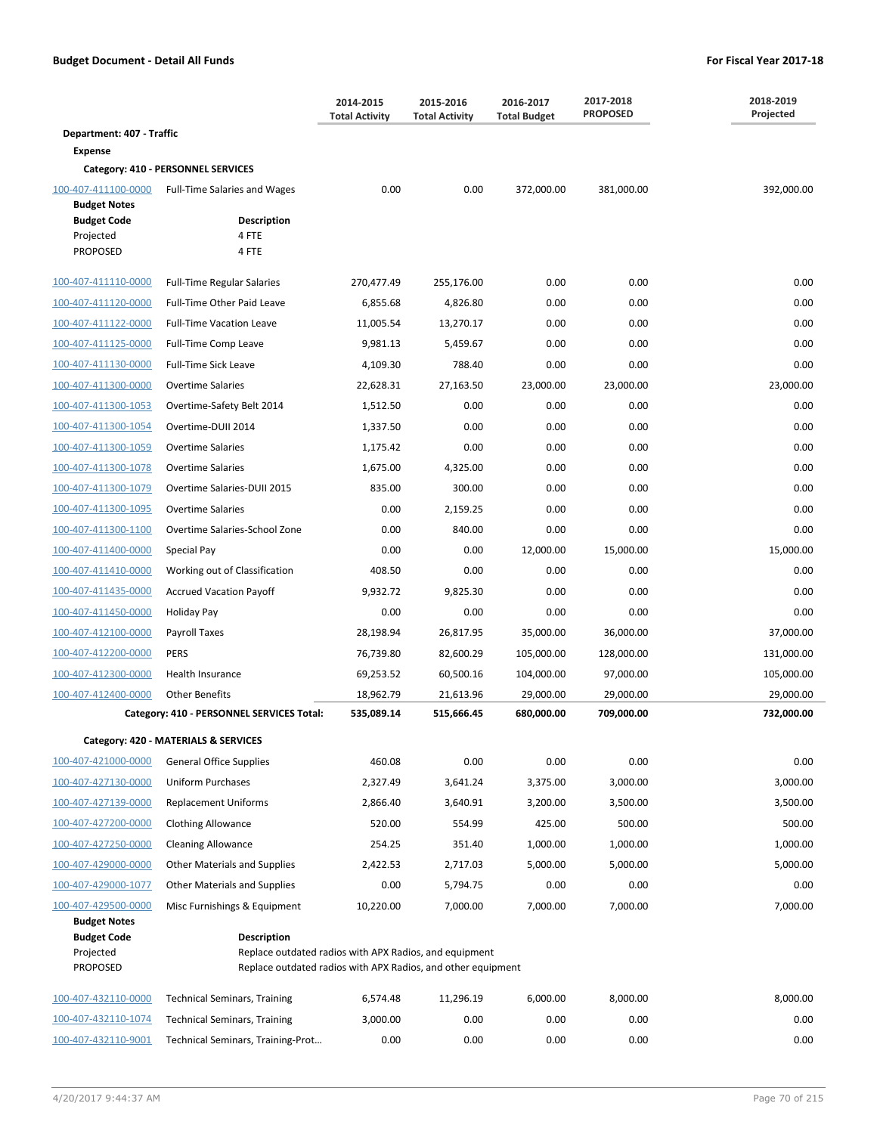|                                                    |                                                                                                                                       | 2014-2015<br>2015-2016<br><b>Total Activity</b><br><b>Total Activity</b> |            | 2016-2017<br><b>Total Budget</b> | 2017-2018<br><b>PROPOSED</b> | 2018-2019<br>Projected |
|----------------------------------------------------|---------------------------------------------------------------------------------------------------------------------------------------|--------------------------------------------------------------------------|------------|----------------------------------|------------------------------|------------------------|
| Department: 407 - Traffic                          |                                                                                                                                       |                                                                          |            |                                  |                              |                        |
| <b>Expense</b>                                     |                                                                                                                                       |                                                                          |            |                                  |                              |                        |
|                                                    | Category: 410 - PERSONNEL SERVICES                                                                                                    |                                                                          |            |                                  |                              |                        |
| 100-407-411100-0000<br><b>Budget Notes</b>         | <b>Full-Time Salaries and Wages</b>                                                                                                   | 0.00                                                                     | 0.00       | 372,000.00                       | 381,000.00                   | 392,000.00             |
| <b>Budget Code</b><br>Projected<br><b>PROPOSED</b> | <b>Description</b><br>4 FTE<br>4 FTE                                                                                                  |                                                                          |            |                                  |                              |                        |
| 100-407-411110-0000                                | <b>Full-Time Regular Salaries</b>                                                                                                     | 270,477.49                                                               | 255,176.00 | 0.00                             | 0.00                         | 0.00                   |
| 100-407-411120-0000                                | Full-Time Other Paid Leave                                                                                                            | 6,855.68                                                                 | 4,826.80   | 0.00                             | 0.00                         | 0.00                   |
| 100-407-411122-0000                                | <b>Full-Time Vacation Leave</b>                                                                                                       | 11,005.54                                                                | 13,270.17  | 0.00                             | 0.00                         | 0.00                   |
| 100-407-411125-0000                                | Full-Time Comp Leave                                                                                                                  | 9,981.13                                                                 | 5,459.67   | 0.00                             | 0.00                         | 0.00                   |
| 100-407-411130-0000                                | <b>Full-Time Sick Leave</b>                                                                                                           | 4,109.30                                                                 | 788.40     | 0.00                             | 0.00                         | 0.00                   |
| 100-407-411300-0000                                | <b>Overtime Salaries</b>                                                                                                              | 22,628.31                                                                | 27,163.50  | 23,000.00                        | 23,000.00                    | 23,000.00              |
| 100-407-411300-1053                                | Overtime-Safety Belt 2014                                                                                                             | 1,512.50                                                                 | 0.00       | 0.00                             | 0.00                         | 0.00                   |
| 100-407-411300-1054                                | Overtime-DUII 2014                                                                                                                    | 1,337.50                                                                 | 0.00       | 0.00                             | 0.00                         | 0.00                   |
| 100-407-411300-1059                                | <b>Overtime Salaries</b>                                                                                                              | 1,175.42                                                                 | 0.00       | 0.00                             | 0.00                         | 0.00                   |
| 100-407-411300-1078                                | <b>Overtime Salaries</b>                                                                                                              | 1,675.00                                                                 | 4,325.00   | 0.00                             | 0.00                         | 0.00                   |
| 100-407-411300-1079                                | Overtime Salaries-DUII 2015                                                                                                           | 835.00                                                                   | 300.00     | 0.00                             | 0.00                         | 0.00                   |
| 100-407-411300-1095                                | <b>Overtime Salaries</b>                                                                                                              | 0.00                                                                     | 2,159.25   | 0.00                             | 0.00                         | 0.00                   |
| 100-407-411300-1100                                | Overtime Salaries-School Zone                                                                                                         | 0.00                                                                     | 840.00     | 0.00                             | 0.00                         | 0.00                   |
| 100-407-411400-0000                                | Special Pay                                                                                                                           | 0.00                                                                     | 0.00       | 12,000.00                        | 15,000.00                    | 15,000.00              |
| 100-407-411410-0000                                | Working out of Classification                                                                                                         | 408.50                                                                   | 0.00       | 0.00                             | 0.00                         | 0.00                   |
| 100-407-411435-0000                                | <b>Accrued Vacation Payoff</b>                                                                                                        | 9,932.72                                                                 | 9,825.30   | 0.00                             | 0.00                         | 0.00                   |
| 100-407-411450-0000                                | Holiday Pay                                                                                                                           | 0.00                                                                     | 0.00       | 0.00                             | 0.00                         | 0.00                   |
| 100-407-412100-0000                                | Payroll Taxes                                                                                                                         | 28,198.94                                                                | 26,817.95  | 35,000.00                        | 36,000.00                    | 37,000.00              |
| 100-407-412200-0000                                | <b>PERS</b>                                                                                                                           | 76,739.80                                                                | 82,600.29  | 105,000.00                       | 128,000.00                   | 131,000.00             |
| 100-407-412300-0000                                | Health Insurance                                                                                                                      | 69,253.52                                                                | 60,500.16  | 104,000.00                       | 97,000.00                    | 105,000.00             |
| 100-407-412400-0000                                | <b>Other Benefits</b>                                                                                                                 | 18,962.79                                                                | 21,613.96  | 29,000.00                        | 29,000.00                    | 29,000.00              |
|                                                    | Category: 410 - PERSONNEL SERVICES Total:                                                                                             | 535,089.14                                                               | 515,666.45 | 680,000.00                       | 709,000.00                   | 732,000.00             |
|                                                    | Category: 420 - MATERIALS & SERVICES                                                                                                  |                                                                          |            |                                  |                              |                        |
| 100-407-421000-0000                                | <b>General Office Supplies</b>                                                                                                        | 460.08                                                                   | 0.00       | 0.00                             | 0.00                         | 0.00                   |
| 100-407-427130-0000                                | Uniform Purchases                                                                                                                     | 2,327.49                                                                 | 3,641.24   | 3,375.00                         | 3,000.00                     | 3,000.00               |
| 100-407-427139-0000                                | <b>Replacement Uniforms</b>                                                                                                           | 2,866.40                                                                 | 3,640.91   | 3,200.00                         | 3,500.00                     | 3,500.00               |
| 100-407-427200-0000                                | Clothing Allowance                                                                                                                    | 520.00                                                                   | 554.99     | 425.00                           | 500.00                       | 500.00                 |
| 100-407-427250-0000                                | <b>Cleaning Allowance</b>                                                                                                             | 254.25                                                                   | 351.40     | 1,000.00                         | 1,000.00                     | 1,000.00               |
| 100-407-429000-0000                                | Other Materials and Supplies                                                                                                          | 2,422.53                                                                 | 2,717.03   | 5,000.00                         | 5,000.00                     | 5,000.00               |
| 100-407-429000-1077                                | <b>Other Materials and Supplies</b>                                                                                                   | 0.00                                                                     | 5,794.75   | 0.00                             | 0.00                         | 0.00                   |
| 100-407-429500-0000                                | Misc Furnishings & Equipment                                                                                                          | 10,220.00                                                                | 7,000.00   | 7,000.00                         | 7,000.00                     | 7,000.00               |
| <b>Budget Notes</b>                                |                                                                                                                                       |                                                                          |            |                                  |                              |                        |
| <b>Budget Code</b><br>Projected<br><b>PROPOSED</b> | Description<br>Replace outdated radios with APX Radios, and equipment<br>Replace outdated radios with APX Radios, and other equipment |                                                                          |            |                                  |                              |                        |
| 100-407-432110-0000                                | <b>Technical Seminars, Training</b>                                                                                                   | 6,574.48                                                                 | 11,296.19  | 6,000.00                         | 8,000.00                     | 8,000.00               |
| 100-407-432110-1074                                | <b>Technical Seminars, Training</b>                                                                                                   | 3,000.00                                                                 | 0.00       | 0.00                             | 0.00                         | 0.00                   |
| 100-407-432110-9001                                | Technical Seminars, Training-Prot                                                                                                     | 0.00                                                                     | 0.00       | 0.00                             | 0.00                         | 0.00                   |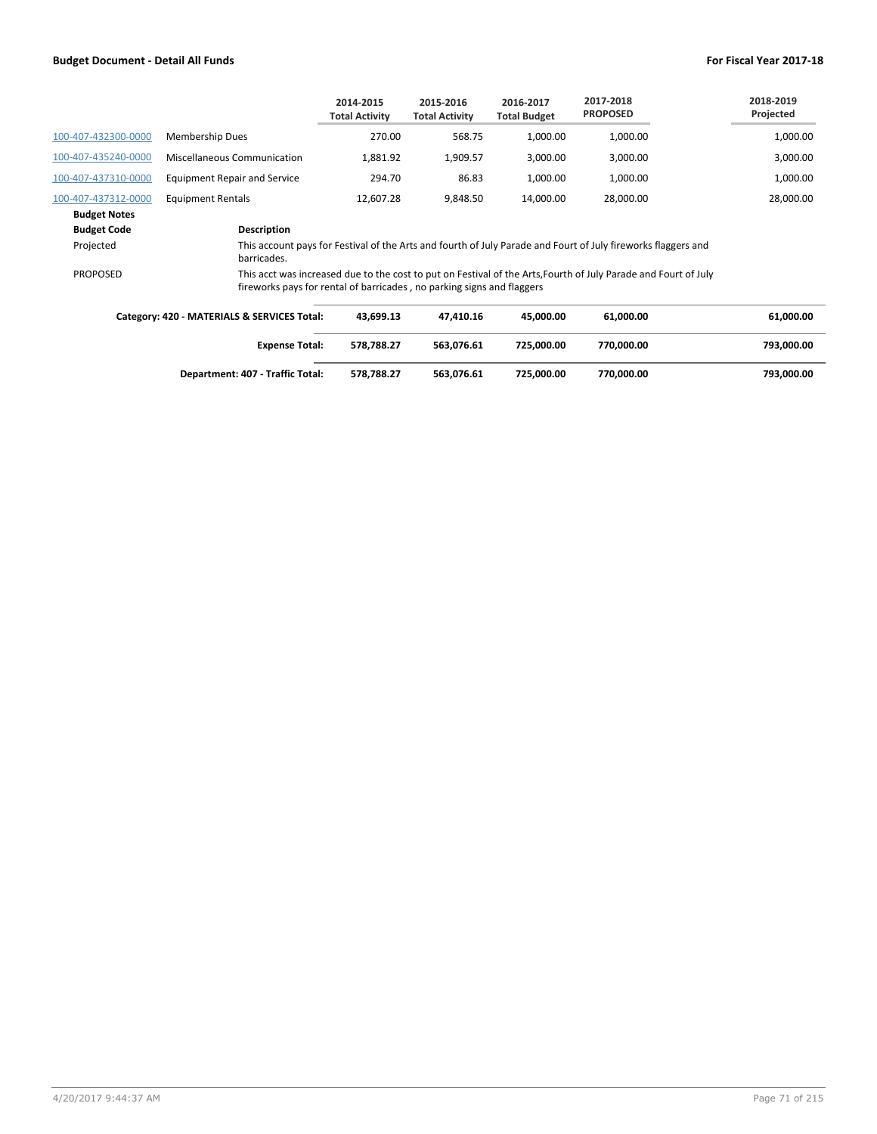|                     |                                     | 2014-2015<br><b>Total Activity</b> | 2015-2016<br><b>Total Activity</b> | 2016-2017<br><b>Total Budget</b> | 2017-2018<br><b>PROPOSED</b> | 2018-2019<br>Projected |
|---------------------|-------------------------------------|------------------------------------|------------------------------------|----------------------------------|------------------------------|------------------------|
| 100-407-432300-0000 | <b>Membership Dues</b>              | 270.00                             | 568.75                             | 1.000.00                         | 1,000.00                     | 1,000.00               |
| 100-407-435240-0000 | Miscellaneous Communication         | 1,881.92                           | 1.909.57                           | 3,000.00                         | 3,000.00                     | 3,000.00               |
| 100-407-437310-0000 | <b>Equipment Repair and Service</b> | 294.70                             | 86.83                              | 1.000.00                         | 1,000.00                     | 1,000.00               |
| 100-407-437312-0000 | <b>Equipment Rentals</b>            | 12.607.28                          | 9.848.50                           | 14.000.00                        | 28,000.00                    | 28,000.00              |
| <b>Budget Notes</b> |                                     |                                    |                                    |                                  |                              |                        |
| <b>Budget Code</b>  | <b>Description</b>                  |                                    |                                    |                                  |                              |                        |

barricades. PROPOSED This acct was increased due to the cost to put on Festival of the Arts,Fourth of July Parade and Fourt of July

fireworks pays for rental of barricades , no parking signs and flaggers

Projected This account pays for Festival of the Arts and fourth of July Parade and Fourt of July fireworks flaggers and

| Category: 420 - MATERIALS & SERVICES Total: | 43.699.13  | 47.410.16  | 45.000.00  | 61,000.00  | 61,000.00  |
|---------------------------------------------|------------|------------|------------|------------|------------|
| <b>Expense Total:</b>                       | 578.788.27 | 563.076.61 | 725.000.00 | 770.000.00 | 793,000.00 |
| Department: 407 - Traffic Total:            | 578.788.27 | 563.076.61 | 725.000.00 | 770,000.00 | 793,000.00 |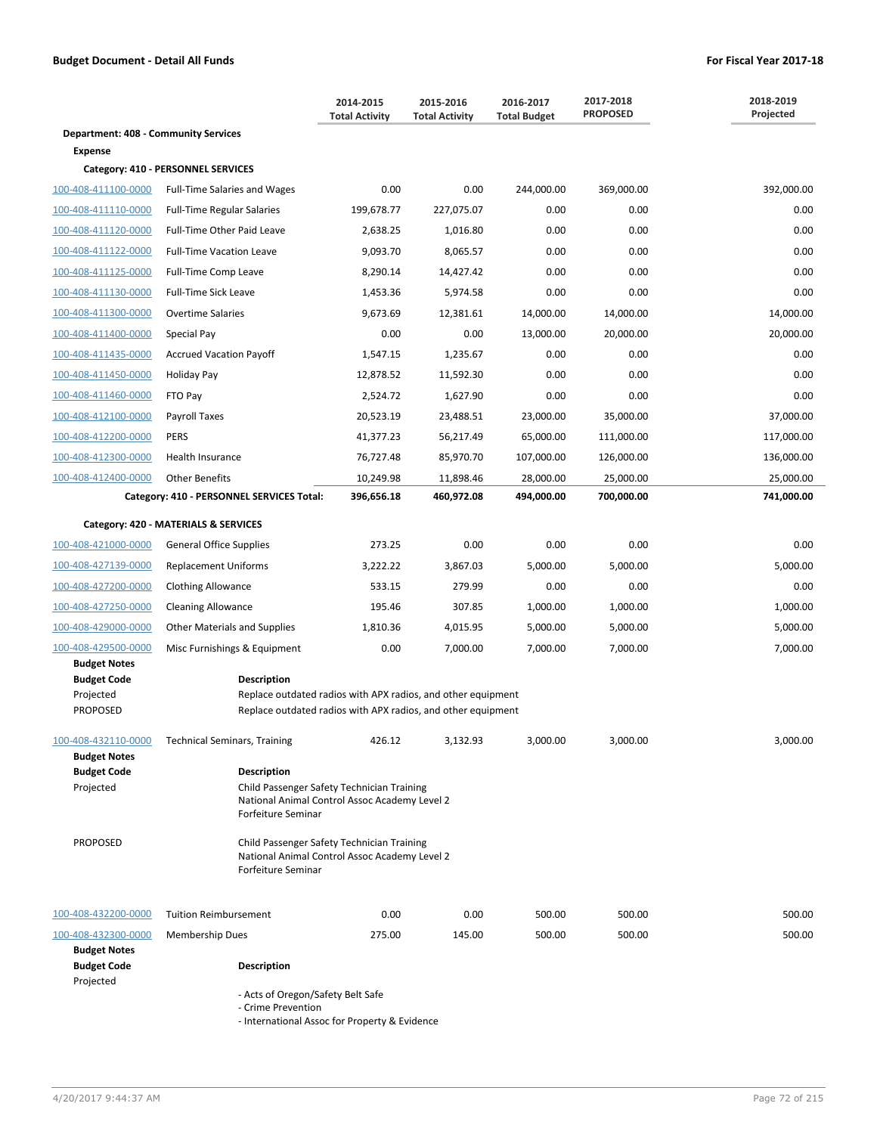|                                                                               |                                                                                                                                                                                          | 2014-2015<br><b>Total Activity</b> | 2015-2016<br><b>Total Activity</b> | 2016-2017<br><b>Total Budget</b> | 2017-2018<br><b>PROPOSED</b> | 2018-2019<br>Projected |
|-------------------------------------------------------------------------------|------------------------------------------------------------------------------------------------------------------------------------------------------------------------------------------|------------------------------------|------------------------------------|----------------------------------|------------------------------|------------------------|
| <b>Department: 408 - Community Services</b>                                   |                                                                                                                                                                                          |                                    |                                    |                                  |                              |                        |
| <b>Expense</b>                                                                |                                                                                                                                                                                          |                                    |                                    |                                  |                              |                        |
|                                                                               | Category: 410 - PERSONNEL SERVICES                                                                                                                                                       |                                    |                                    |                                  |                              |                        |
| 100-408-411100-0000                                                           | <b>Full-Time Salaries and Wages</b>                                                                                                                                                      | 0.00                               | 0.00                               | 244,000.00                       | 369,000.00                   | 392,000.00             |
| 100-408-411110-0000                                                           | <b>Full-Time Regular Salaries</b>                                                                                                                                                        | 199,678.77                         | 227,075.07                         | 0.00                             | 0.00                         | 0.00                   |
| 100-408-411120-0000                                                           | Full-Time Other Paid Leave                                                                                                                                                               | 2,638.25                           | 1,016.80                           | 0.00                             | 0.00                         | 0.00                   |
| 100-408-411122-0000                                                           | <b>Full-Time Vacation Leave</b>                                                                                                                                                          | 9,093.70                           | 8,065.57                           | 0.00                             | 0.00                         | 0.00                   |
| 100-408-411125-0000                                                           | Full-Time Comp Leave                                                                                                                                                                     | 8,290.14                           | 14,427.42                          | 0.00                             | 0.00                         | 0.00                   |
| 100-408-411130-0000                                                           | <b>Full-Time Sick Leave</b>                                                                                                                                                              | 1,453.36                           | 5,974.58                           | 0.00                             | 0.00                         | 0.00                   |
| 100-408-411300-0000                                                           | <b>Overtime Salaries</b>                                                                                                                                                                 | 9,673.69                           | 12,381.61                          | 14,000.00                        | 14,000.00                    | 14,000.00              |
| 100-408-411400-0000                                                           | Special Pay                                                                                                                                                                              | 0.00                               | 0.00                               | 13,000.00                        | 20,000.00                    | 20,000.00              |
| 100-408-411435-0000                                                           | <b>Accrued Vacation Payoff</b>                                                                                                                                                           | 1,547.15                           | 1,235.67                           | 0.00                             | 0.00                         | 0.00                   |
| 100-408-411450-0000                                                           | Holiday Pay                                                                                                                                                                              | 12,878.52                          | 11,592.30                          | 0.00                             | 0.00                         | 0.00                   |
| 100-408-411460-0000                                                           | FTO Pay                                                                                                                                                                                  | 2,524.72                           | 1,627.90                           | 0.00                             | 0.00                         | 0.00                   |
| 100-408-412100-0000                                                           | Payroll Taxes                                                                                                                                                                            | 20,523.19                          | 23,488.51                          | 23,000.00                        | 35,000.00                    | 37,000.00              |
| 100-408-412200-0000                                                           | <b>PERS</b>                                                                                                                                                                              | 41,377.23                          | 56,217.49                          | 65,000.00                        | 111,000.00                   | 117,000.00             |
| 100-408-412300-0000                                                           | Health Insurance                                                                                                                                                                         | 76,727.48                          | 85,970.70                          | 107,000.00                       | 126,000.00                   | 136,000.00             |
| 100-408-412400-0000                                                           | <b>Other Benefits</b>                                                                                                                                                                    | 10,249.98                          | 11,898.46                          | 28,000.00                        | 25,000.00                    | 25,000.00              |
|                                                                               | Category: 410 - PERSONNEL SERVICES Total:                                                                                                                                                | 396,656.18                         | 460,972.08                         | 494,000.00                       | 700,000.00                   | 741,000.00             |
|                                                                               | Category: 420 - MATERIALS & SERVICES                                                                                                                                                     |                                    |                                    |                                  |                              |                        |
| 100-408-421000-0000                                                           | <b>General Office Supplies</b>                                                                                                                                                           | 273.25                             | 0.00                               | 0.00                             | 0.00                         | 0.00                   |
| 100-408-427139-0000                                                           | <b>Replacement Uniforms</b>                                                                                                                                                              | 3,222.22                           | 3,867.03                           | 5,000.00                         | 5,000.00                     | 5,000.00               |
| 100-408-427200-0000                                                           | <b>Clothing Allowance</b>                                                                                                                                                                | 533.15                             | 279.99                             | 0.00                             | 0.00                         | 0.00                   |
| 100-408-427250-0000                                                           | <b>Cleaning Allowance</b>                                                                                                                                                                | 195.46                             | 307.85                             | 1,000.00                         | 1,000.00                     | 1,000.00               |
| 100-408-429000-0000                                                           | <b>Other Materials and Supplies</b>                                                                                                                                                      | 1,810.36                           | 4,015.95                           | 5,000.00                         | 5,000.00                     | 5,000.00               |
| 100-408-429500-0000                                                           | Misc Furnishings & Equipment                                                                                                                                                             | 0.00                               | 7,000.00                           | 7,000.00                         | 7,000.00                     | 7,000.00               |
| <b>Budget Notes</b><br><b>Budget Code</b><br>Projected<br><b>PROPOSED</b>     | <b>Description</b><br>Replace outdated radios with APX radios, and other equipment<br>Replace outdated radios with APX radios, and other equipment                                       |                                    |                                    |                                  |                              |                        |
| 100-408-432110-0000<br><b>Budget Notes</b><br><b>Budget Code</b><br>Projected | <b>Technical Seminars, Training</b><br><b>Description</b><br>Child Passenger Safety Technician Training                                                                                  | 426.12                             | 3,132.93                           | 3,000.00                         | 3,000.00                     | 3,000.00               |
| <b>PROPOSED</b>                                                               | National Animal Control Assoc Academy Level 2<br>Forfeiture Seminar<br>Child Passenger Safety Technician Training<br>National Animal Control Assoc Academy Level 2<br>Forfeiture Seminar |                                    |                                    |                                  |                              |                        |
| 100-408-432200-0000                                                           | <b>Tuition Reimbursement</b>                                                                                                                                                             | 0.00                               | 0.00                               | 500.00                           | 500.00                       | 500.00                 |
| 100-408-432300-0000                                                           | <b>Membership Dues</b>                                                                                                                                                                   | 275.00                             | 145.00                             | 500.00                           | 500.00                       | 500.00                 |
| <b>Budget Notes</b><br><b>Budget Code</b><br>Projected                        | <b>Description</b>                                                                                                                                                                       |                                    |                                    |                                  |                              |                        |
|                                                                               | - Acts of Oregon/Safety Belt Safe                                                                                                                                                        |                                    |                                    |                                  |                              |                        |

- Crime Prevention

- International Assoc for Property & Evidence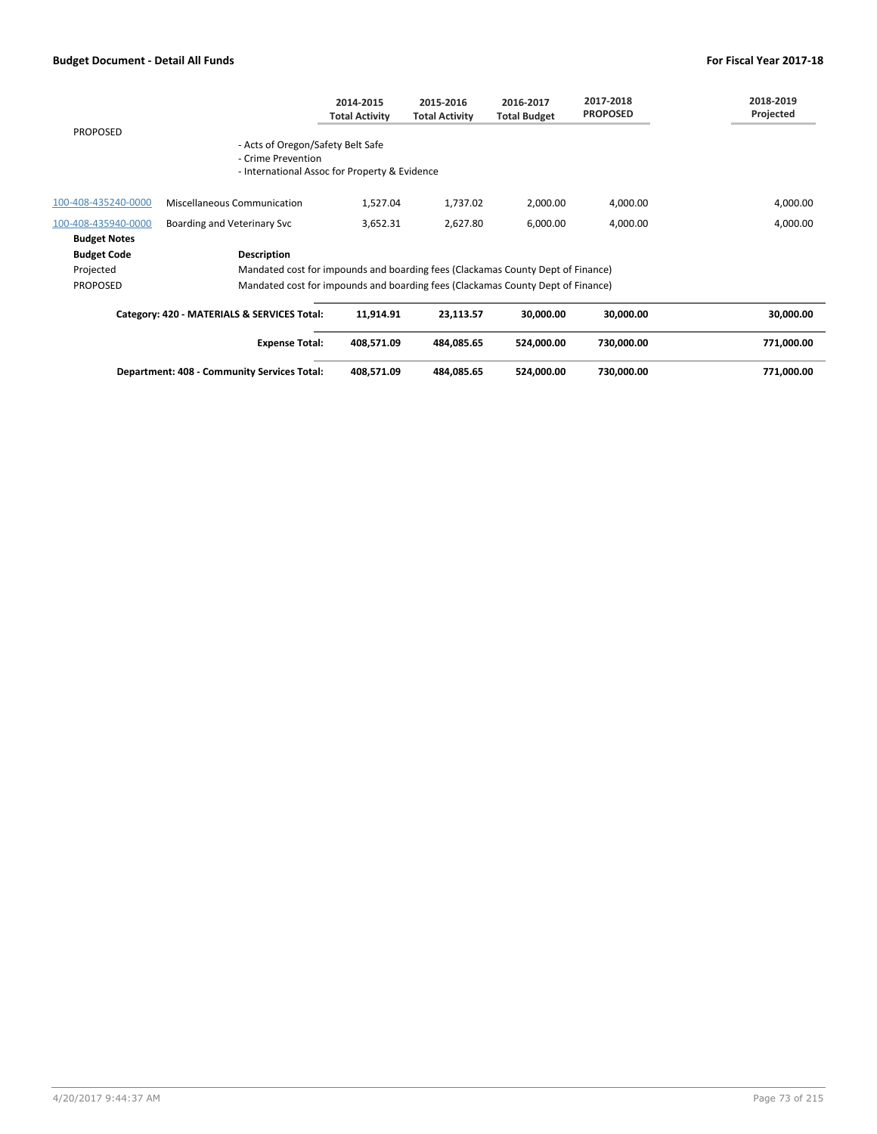|                     |                                                             | 2014-2015<br><b>Total Activity</b>                                              | 2015-2016<br><b>Total Activity</b> | 2016-2017<br><b>Total Budget</b> | 2017-2018<br><b>PROPOSED</b> | 2018-2019<br>Projected |
|---------------------|-------------------------------------------------------------|---------------------------------------------------------------------------------|------------------------------------|----------------------------------|------------------------------|------------------------|
| <b>PROPOSED</b>     |                                                             |                                                                                 |                                    |                                  |                              |                        |
|                     | - Acts of Oregon/Safety Belt Safe<br>- Crime Prevention     | - International Assoc for Property & Evidence                                   |                                    |                                  |                              |                        |
| 100-408-435240-0000 | Miscellaneous Communication                                 | 1.527.04                                                                        | 1,737.02                           | 2,000.00                         | 4,000.00                     | 4,000.00               |
| 100-408-435940-0000 | Boarding and Veterinary Svc                                 | 3.652.31                                                                        | 2,627.80                           | 6,000.00                         | 4.000.00                     | 4,000.00               |
| <b>Budget Notes</b> |                                                             |                                                                                 |                                    |                                  |                              |                        |
| <b>Budget Code</b>  | <b>Description</b>                                          |                                                                                 |                                    |                                  |                              |                        |
| Projected           |                                                             | Mandated cost for impounds and boarding fees (Clackamas County Dept of Finance) |                                    |                                  |                              |                        |
| <b>PROPOSED</b>     |                                                             | Mandated cost for impounds and boarding fees (Clackamas County Dept of Finance) |                                    |                                  |                              |                        |
|                     | $\mathcal{L}$ , and elements of convicts $\mathcal{L}$ , i. |                                                                                 |                                    |                                  | 88 888 88                    |                        |

| Category: 420 - MATERIALS & SERVICES Total: | 11.914.91  | 23.113.57  | 30.000.00  | 30.000.00  | 30.000.00  |
|---------------------------------------------|------------|------------|------------|------------|------------|
| <b>Expense Total:</b>                       | 408.571.09 | 484.085.65 | 524.000.00 | 730.000.00 | 771.000.00 |
| Department: 408 - Community Services Total: | 408.571.09 | 484.085.65 | 524.000.00 | 730.000.00 | 771.000.00 |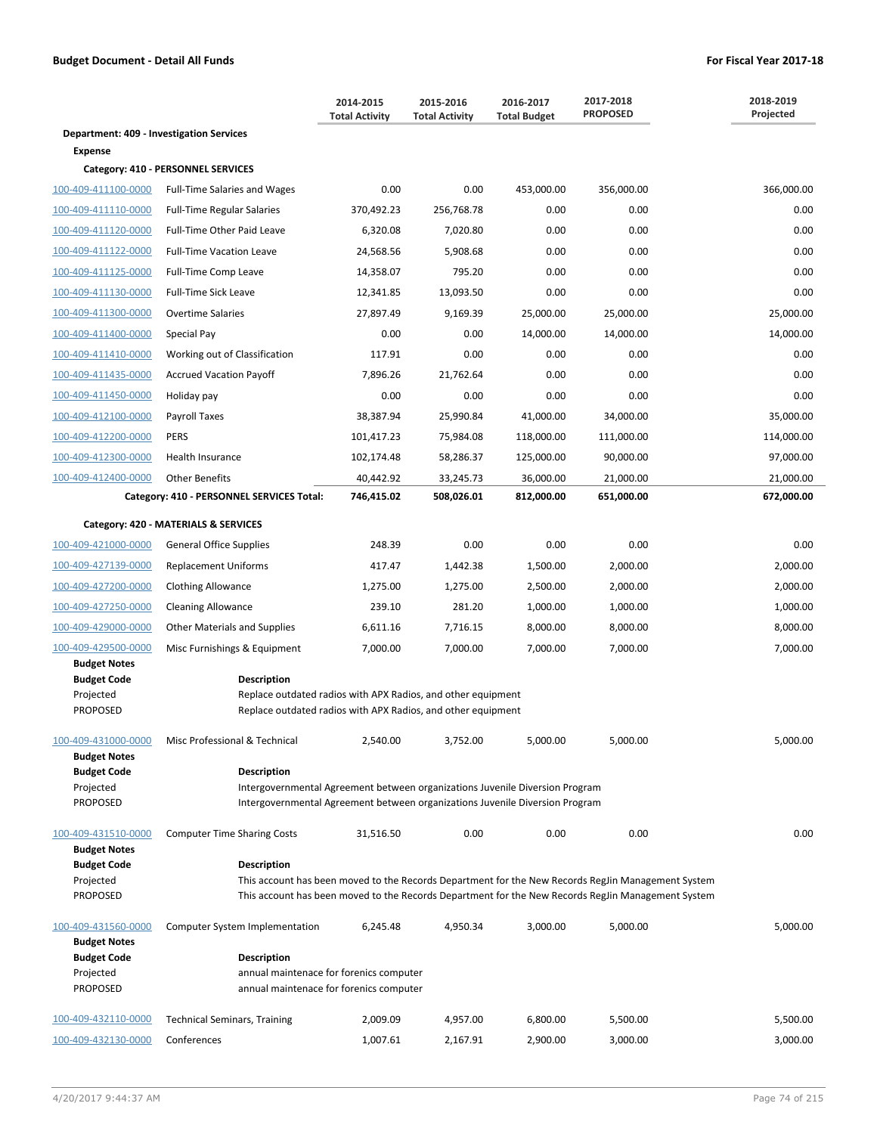|                                                                           |                                                                                                                                                                                    | 2014-2015<br><b>Total Activity</b> | 2015-2016<br><b>Total Activity</b> | 2016-2017<br><b>Total Budget</b> | 2017-2018<br><b>PROPOSED</b>                                                                                                                                                                             | 2018-2019<br>Projected |
|---------------------------------------------------------------------------|------------------------------------------------------------------------------------------------------------------------------------------------------------------------------------|------------------------------------|------------------------------------|----------------------------------|----------------------------------------------------------------------------------------------------------------------------------------------------------------------------------------------------------|------------------------|
| <b>Department: 409 - Investigation Services</b>                           |                                                                                                                                                                                    |                                    |                                    |                                  |                                                                                                                                                                                                          |                        |
| <b>Expense</b>                                                            |                                                                                                                                                                                    |                                    |                                    |                                  |                                                                                                                                                                                                          |                        |
|                                                                           | Category: 410 - PERSONNEL SERVICES                                                                                                                                                 |                                    |                                    |                                  |                                                                                                                                                                                                          |                        |
| 100-409-411100-0000                                                       | <b>Full-Time Salaries and Wages</b>                                                                                                                                                | 0.00                               | 0.00                               | 453,000.00                       | 356,000.00                                                                                                                                                                                               | 366,000.00             |
| 100-409-411110-0000                                                       | <b>Full-Time Regular Salaries</b>                                                                                                                                                  | 370,492.23                         | 256,768.78                         | 0.00                             | 0.00                                                                                                                                                                                                     | 0.00                   |
| 100-409-411120-0000                                                       | Full-Time Other Paid Leave                                                                                                                                                         | 6,320.08                           | 7,020.80                           | 0.00                             | 0.00                                                                                                                                                                                                     | 0.00                   |
| 100-409-411122-0000                                                       | <b>Full-Time Vacation Leave</b>                                                                                                                                                    | 24,568.56                          | 5,908.68                           | 0.00                             | 0.00                                                                                                                                                                                                     | 0.00                   |
| 100-409-411125-0000                                                       | Full-Time Comp Leave                                                                                                                                                               | 14,358.07                          | 795.20                             | 0.00                             | 0.00                                                                                                                                                                                                     | 0.00                   |
| 100-409-411130-0000                                                       | Full-Time Sick Leave                                                                                                                                                               | 12,341.85                          | 13,093.50                          | 0.00                             | 0.00                                                                                                                                                                                                     | 0.00                   |
| 100-409-411300-0000                                                       | <b>Overtime Salaries</b>                                                                                                                                                           | 27,897.49                          | 9,169.39                           | 25,000.00                        | 25,000.00                                                                                                                                                                                                | 25,000.00              |
| 100-409-411400-0000                                                       | Special Pay                                                                                                                                                                        | 0.00                               | 0.00                               | 14,000.00                        | 14,000.00                                                                                                                                                                                                | 14,000.00              |
| 100-409-411410-0000                                                       | Working out of Classification                                                                                                                                                      | 117.91                             | 0.00                               | 0.00                             | 0.00                                                                                                                                                                                                     | 0.00                   |
| 100-409-411435-0000                                                       | <b>Accrued Vacation Payoff</b>                                                                                                                                                     | 7,896.26                           | 21.762.64                          | 0.00                             | 0.00                                                                                                                                                                                                     | 0.00                   |
| 100-409-411450-0000                                                       | Holiday pay                                                                                                                                                                        | 0.00                               | 0.00                               | 0.00                             | 0.00                                                                                                                                                                                                     | 0.00                   |
| 100-409-412100-0000                                                       | Payroll Taxes                                                                                                                                                                      | 38,387.94                          | 25,990.84                          | 41,000.00                        | 34,000.00                                                                                                                                                                                                | 35,000.00              |
| 100-409-412200-0000                                                       | <b>PERS</b>                                                                                                                                                                        | 101,417.23                         | 75,984.08                          | 118,000.00                       | 111,000.00                                                                                                                                                                                               | 114,000.00             |
| 100-409-412300-0000                                                       | Health Insurance                                                                                                                                                                   | 102,174.48                         | 58,286.37                          | 125,000.00                       | 90,000.00                                                                                                                                                                                                | 97,000.00              |
| 100-409-412400-0000                                                       | <b>Other Benefits</b>                                                                                                                                                              | 40,442.92                          | 33,245.73                          | 36,000.00                        | 21,000.00                                                                                                                                                                                                | 21,000.00              |
|                                                                           | Category: 410 - PERSONNEL SERVICES Total:                                                                                                                                          | 746,415.02                         | 508,026.01                         | 812,000.00                       | 651,000.00                                                                                                                                                                                               | 672,000.00             |
|                                                                           | Category: 420 - MATERIALS & SERVICES                                                                                                                                               |                                    |                                    |                                  |                                                                                                                                                                                                          |                        |
| 100-409-421000-0000                                                       | <b>General Office Supplies</b>                                                                                                                                                     | 248.39                             | 0.00                               | 0.00                             | 0.00                                                                                                                                                                                                     | 0.00                   |
| 100-409-427139-0000                                                       | <b>Replacement Uniforms</b>                                                                                                                                                        | 417.47                             | 1,442.38                           | 1,500.00                         | 2,000.00                                                                                                                                                                                                 | 2,000.00               |
| 100-409-427200-0000                                                       | <b>Clothing Allowance</b>                                                                                                                                                          | 1,275.00                           | 1,275.00                           | 2,500.00                         | 2,000.00                                                                                                                                                                                                 | 2,000.00               |
| 100-409-427250-0000                                                       | <b>Cleaning Allowance</b>                                                                                                                                                          | 239.10                             | 281.20                             | 1,000.00                         | 1,000.00                                                                                                                                                                                                 | 1,000.00               |
| 100-409-429000-0000                                                       | <b>Other Materials and Supplies</b>                                                                                                                                                | 6,611.16                           | 7,716.15                           | 8,000.00                         | 8,000.00                                                                                                                                                                                                 | 8,000.00               |
| 100-409-429500-0000                                                       | Misc Furnishings & Equipment                                                                                                                                                       | 7,000.00                           | 7,000.00                           | 7,000.00                         | 7,000.00                                                                                                                                                                                                 | 7,000.00               |
| <b>Budget Notes</b><br><b>Budget Code</b><br>Projected<br><b>PROPOSED</b> | <b>Description</b><br>Replace outdated radios with APX Radios, and other equipment<br>Replace outdated radios with APX Radios, and other equipment                                 |                                    |                                    |                                  |                                                                                                                                                                                                          |                        |
| 100-409-431000-0000                                                       | Misc Professional & Technical                                                                                                                                                      | 2,540.00                           | 3,752.00                           | 5,000.00                         | 5,000.00                                                                                                                                                                                                 | 5,000.00               |
| <b>Budget Notes</b><br><b>Budget Code</b><br>Projected<br><b>PROPOSED</b> | <b>Description</b><br>Intergovernmental Agreement between organizations Juvenile Diversion Program<br>Intergovernmental Agreement between organizations Juvenile Diversion Program |                                    |                                    |                                  |                                                                                                                                                                                                          |                        |
| 100-409-431510-0000<br><b>Budget Notes</b>                                | <b>Computer Time Sharing Costs</b>                                                                                                                                                 | 31,516.50                          | 0.00                               | 0.00                             | 0.00                                                                                                                                                                                                     | 0.00                   |
| <b>Budget Code</b><br>Projected<br><b>PROPOSED</b>                        | <b>Description</b>                                                                                                                                                                 |                                    |                                    |                                  | This account has been moved to the Records Department for the New Records RegJin Management System<br>This account has been moved to the Records Department for the New Records RegJin Management System |                        |
| 100-409-431560-0000<br><b>Budget Notes</b>                                | Computer System Implementation                                                                                                                                                     | 6,245.48                           | 4,950.34                           | 3,000.00                         | 5,000.00                                                                                                                                                                                                 | 5,000.00               |
| <b>Budget Code</b><br>Projected<br><b>PROPOSED</b>                        | <b>Description</b><br>annual maintenace for forenics computer<br>annual maintenace for forenics computer                                                                           |                                    |                                    |                                  |                                                                                                                                                                                                          |                        |
| 100-409-432110-0000                                                       | <b>Technical Seminars, Training</b>                                                                                                                                                | 2,009.09                           | 4,957.00                           | 6,800.00                         | 5,500.00                                                                                                                                                                                                 | 5,500.00               |
| 100-409-432130-0000                                                       | Conferences                                                                                                                                                                        | 1,007.61                           | 2,167.91                           | 2,900.00                         | 3,000.00                                                                                                                                                                                                 | 3,000.00               |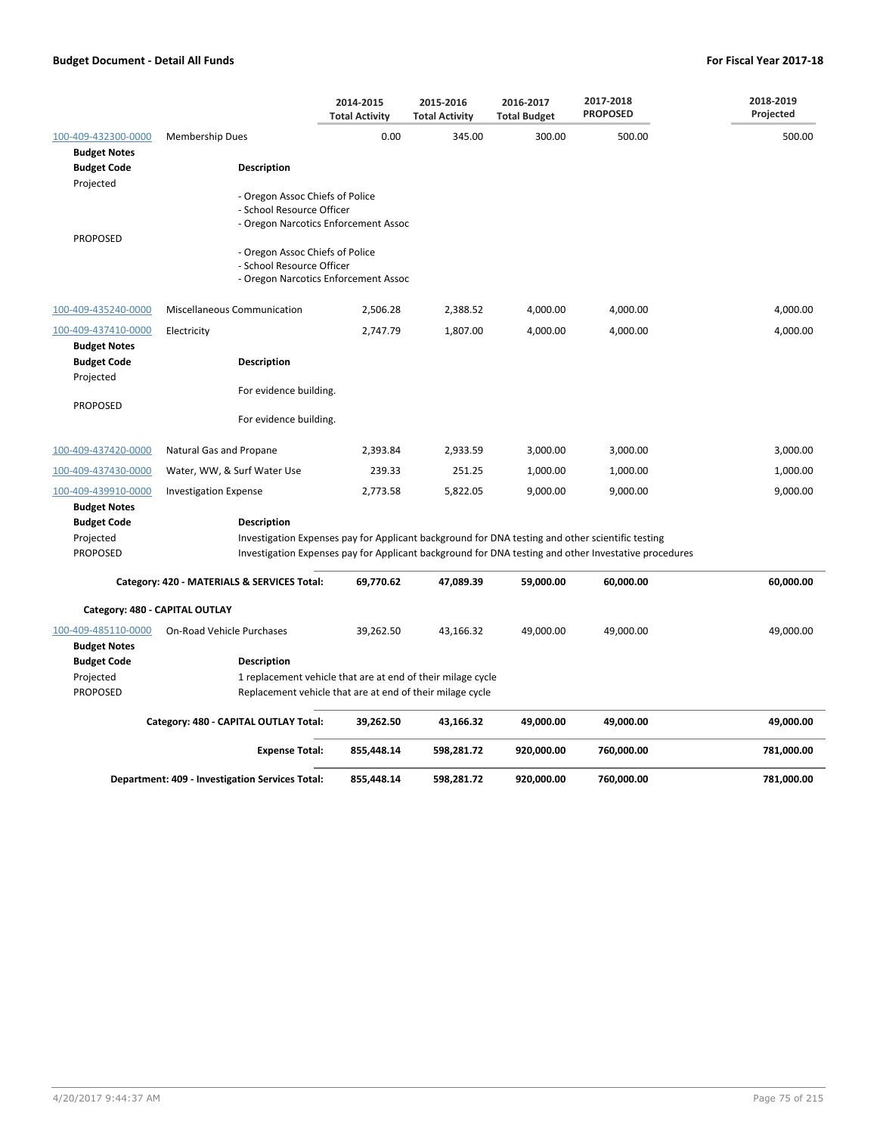|                                                                           |                                                              | 2014-2015<br><b>Total Activity</b>                          | 2015-2016<br><b>Total Activity</b> | 2016-2017<br><b>Total Budget</b> | 2017-2018<br><b>PROPOSED</b>                                                                                                                                                                             | 2018-2019<br>Projected |
|---------------------------------------------------------------------------|--------------------------------------------------------------|-------------------------------------------------------------|------------------------------------|----------------------------------|----------------------------------------------------------------------------------------------------------------------------------------------------------------------------------------------------------|------------------------|
| 100-409-432300-0000<br><b>Budget Notes</b>                                | Membership Dues                                              | 0.00                                                        | 345.00                             | 300.00                           | 500.00                                                                                                                                                                                                   | 500.00                 |
| <b>Budget Code</b><br>Projected                                           | <b>Description</b>                                           |                                                             |                                    |                                  |                                                                                                                                                                                                          |                        |
| <b>PROPOSED</b>                                                           | - Oregon Assoc Chiefs of Police<br>- School Resource Officer | - Oregon Narcotics Enforcement Assoc                        |                                    |                                  |                                                                                                                                                                                                          |                        |
|                                                                           | - Oregon Assoc Chiefs of Police<br>- School Resource Officer | - Oregon Narcotics Enforcement Assoc                        |                                    |                                  |                                                                                                                                                                                                          |                        |
| 100-409-435240-0000                                                       | Miscellaneous Communication                                  | 2,506.28                                                    | 2,388.52                           | 4,000.00                         | 4,000.00                                                                                                                                                                                                 | 4,000.00               |
| 100-409-437410-0000<br><b>Budget Notes</b>                                | Electricity                                                  | 2,747.79                                                    | 1,807.00                           | 4,000.00                         | 4,000.00                                                                                                                                                                                                 | 4,000.00               |
| <b>Budget Code</b><br>Projected                                           | <b>Description</b>                                           |                                                             |                                    |                                  |                                                                                                                                                                                                          |                        |
| <b>PROPOSED</b>                                                           | For evidence building.                                       |                                                             |                                    |                                  |                                                                                                                                                                                                          |                        |
|                                                                           | For evidence building.                                       |                                                             |                                    |                                  |                                                                                                                                                                                                          |                        |
| 100-409-437420-0000                                                       | Natural Gas and Propane                                      | 2,393.84                                                    | 2,933.59                           | 3,000.00                         | 3,000.00                                                                                                                                                                                                 | 3,000.00               |
| 100-409-437430-0000                                                       | Water, WW, & Surf Water Use                                  | 239.33                                                      | 251.25                             | 1,000.00                         | 1,000.00                                                                                                                                                                                                 | 1,000.00               |
| 100-409-439910-0000                                                       | <b>Investigation Expense</b>                                 | 2,773.58                                                    | 5,822.05                           | 9,000.00                         | 9,000.00                                                                                                                                                                                                 | 9,000.00               |
| <b>Budget Notes</b><br><b>Budget Code</b><br>Projected<br><b>PROPOSED</b> | Description                                                  |                                                             |                                    |                                  | Investigation Expenses pay for Applicant background for DNA testing and other scientific testing<br>Investigation Expenses pay for Applicant background for DNA testing and other Investative procedures |                        |
|                                                                           | Category: 420 - MATERIALS & SERVICES Total:                  | 69,770.62                                                   | 47,089.39                          | 59,000.00                        | 60,000.00                                                                                                                                                                                                | 60,000.00              |
| Category: 480 - CAPITAL OUTLAY                                            |                                                              |                                                             |                                    |                                  |                                                                                                                                                                                                          |                        |
| 100-409-485110-0000<br><b>Budget Notes</b>                                | On-Road Vehicle Purchases                                    | 39,262.50                                                   | 43,166.32                          | 49,000.00                        | 49,000.00                                                                                                                                                                                                | 49,000.00              |
| <b>Budget Code</b>                                                        | Description                                                  |                                                             |                                    |                                  |                                                                                                                                                                                                          |                        |
| Projected                                                                 |                                                              | 1 replacement vehicle that are at end of their milage cycle |                                    |                                  |                                                                                                                                                                                                          |                        |
| PROPOSED                                                                  |                                                              | Replacement vehicle that are at end of their milage cycle   |                                    |                                  |                                                                                                                                                                                                          |                        |
|                                                                           | Category: 480 - CAPITAL OUTLAY Total:                        | 39,262.50                                                   | 43,166.32                          | 49,000.00                        | 49,000.00                                                                                                                                                                                                | 49,000.00              |
|                                                                           | <b>Expense Total:</b>                                        | 855,448.14                                                  | 598,281.72                         | 920,000.00                       | 760,000.00                                                                                                                                                                                               | 781,000.00             |
|                                                                           | Department: 409 - Investigation Services Total:              | 855.448.14                                                  | 598.281.72                         | 920.000.00                       | 760,000.00                                                                                                                                                                                               | 781,000.00             |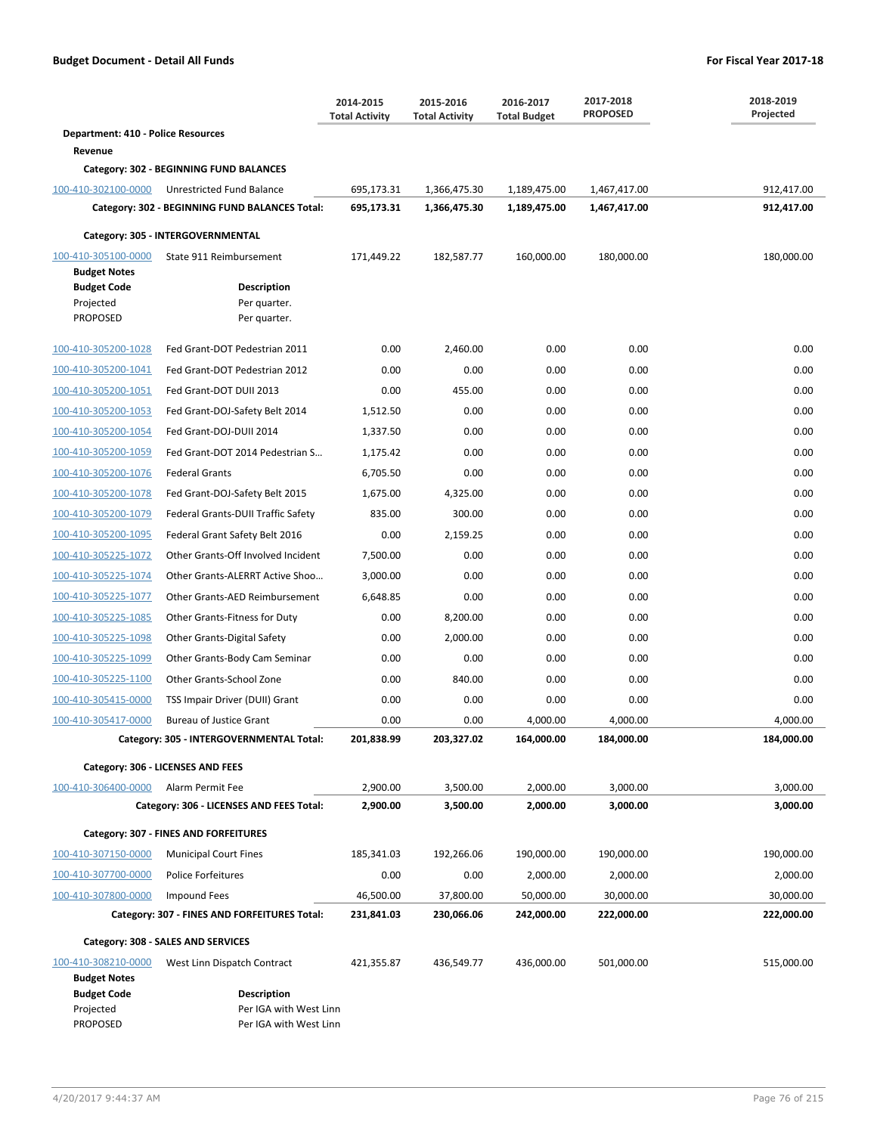|                                                                  |                                                   | 2014-2015<br><b>Total Activity</b> | 2015-2016<br><b>Total Activity</b> | 2016-2017<br><b>Total Budget</b> | 2017-2018<br><b>PROPOSED</b> | 2018-2019<br>Projected |
|------------------------------------------------------------------|---------------------------------------------------|------------------------------------|------------------------------------|----------------------------------|------------------------------|------------------------|
| Department: 410 - Police Resources                               |                                                   |                                    |                                    |                                  |                              |                        |
| Revenue                                                          |                                                   |                                    |                                    |                                  |                              |                        |
|                                                                  | Category: 302 - BEGINNING FUND BALANCES           |                                    |                                    |                                  |                              |                        |
| 100-410-302100-0000                                              | Unrestricted Fund Balance                         | 695,173.31                         | 1,366,475.30                       | 1,189,475.00                     | 1,467,417.00                 | 912,417.00             |
|                                                                  | Category: 302 - BEGINNING FUND BALANCES Total:    | 695,173.31                         | 1,366,475.30                       | 1,189,475.00                     | 1,467,417.00                 | 912,417.00             |
|                                                                  | Category: 305 - INTERGOVERNMENTAL                 |                                    |                                    |                                  |                              |                        |
| 100-410-305100-0000<br><b>Budget Notes</b><br><b>Budget Code</b> | State 911 Reimbursement<br><b>Description</b>     | 171,449.22                         | 182,587.77                         | 160,000.00                       | 180,000.00                   | 180,000.00             |
| Projected                                                        | Per quarter.                                      |                                    |                                    |                                  |                              |                        |
| <b>PROPOSED</b>                                                  | Per quarter.                                      |                                    |                                    |                                  |                              |                        |
| 100-410-305200-1028                                              | Fed Grant-DOT Pedestrian 2011                     | 0.00                               | 2,460.00                           | 0.00                             | 0.00                         | 0.00                   |
| 100-410-305200-1041                                              | Fed Grant-DOT Pedestrian 2012                     | 0.00                               | 0.00                               | 0.00                             | 0.00                         | 0.00                   |
| 100-410-305200-1051                                              | Fed Grant-DOT DUII 2013                           | 0.00                               | 455.00                             | 0.00                             | 0.00                         | 0.00                   |
| 100-410-305200-1053                                              | Fed Grant-DOJ-Safety Belt 2014                    | 1,512.50                           | 0.00                               | 0.00                             | 0.00                         | 0.00                   |
| 100-410-305200-1054                                              | Fed Grant-DOJ-DUII 2014                           | 1,337.50                           | 0.00                               | 0.00                             | 0.00                         | 0.00                   |
| 100-410-305200-1059                                              | Fed Grant-DOT 2014 Pedestrian S                   | 1,175.42                           | 0.00                               | 0.00                             | 0.00                         | 0.00                   |
| 100-410-305200-1076                                              | <b>Federal Grants</b>                             | 6,705.50                           | 0.00                               | 0.00                             | 0.00                         | 0.00                   |
| 100-410-305200-1078                                              | Fed Grant-DOJ-Safety Belt 2015                    | 1,675.00                           | 4,325.00                           | 0.00                             | 0.00                         | 0.00                   |
| 100-410-305200-1079                                              | Federal Grants-DUII Traffic Safety                | 835.00                             | 300.00                             | 0.00                             | 0.00                         | 0.00                   |
| 100-410-305200-1095                                              | Federal Grant Safety Belt 2016                    | 0.00                               | 2,159.25                           | 0.00                             | 0.00                         | 0.00                   |
| 100-410-305225-1072                                              | Other Grants-Off Involved Incident                | 7,500.00                           | 0.00                               | 0.00                             | 0.00                         | 0.00                   |
| 100-410-305225-1074                                              | Other Grants-ALERRT Active Shoo                   | 3,000.00                           | 0.00                               | 0.00                             | 0.00                         | 0.00                   |
| 100-410-305225-1077                                              | Other Grants-AED Reimbursement                    | 6,648.85                           | 0.00                               | 0.00                             | 0.00                         | 0.00                   |
| 100-410-305225-1085                                              | Other Grants-Fitness for Duty                     | 0.00                               | 8,200.00                           | 0.00                             | 0.00                         | 0.00                   |
| 100-410-305225-1098                                              | <b>Other Grants-Digital Safety</b>                | 0.00                               | 2,000.00                           | 0.00                             | 0.00                         | 0.00                   |
| 100-410-305225-1099                                              | Other Grants-Body Cam Seminar                     | 0.00                               | 0.00                               | 0.00                             | 0.00                         | 0.00                   |
| 100-410-305225-1100                                              | Other Grants-School Zone                          | 0.00                               | 840.00                             | 0.00                             | 0.00                         | 0.00                   |
| 100-410-305415-0000                                              | TSS Impair Driver (DUII) Grant                    | 0.00                               | 0.00                               | 0.00                             | 0.00                         | 0.00                   |
| 100-410-305417-0000                                              | <b>Bureau of Justice Grant</b>                    | 0.00                               | 0.00                               | 4,000.00                         | 4,000.00                     | 4,000.00               |
|                                                                  | Category: 305 - INTERGOVERNMENTAL Total:          | 201,838.99                         | 203,327.02                         | 164,000.00                       | 184,000.00                   | 184,000.00             |
|                                                                  | Category: 306 - LICENSES AND FEES                 |                                    |                                    |                                  |                              |                        |
| 100-410-306400-0000                                              | Alarm Permit Fee                                  | 2,900.00                           | 3,500.00                           | 2,000.00                         | 3,000.00                     | 3,000.00               |
|                                                                  | Category: 306 - LICENSES AND FEES Total:          | 2,900.00                           | 3,500.00                           | 2,000.00                         | 3,000.00                     | 3,000.00               |
|                                                                  | Category: 307 - FINES AND FORFEITURES             |                                    |                                    |                                  |                              |                        |
| 100-410-307150-0000                                              | <b>Municipal Court Fines</b>                      | 185,341.03                         | 192,266.06                         | 190,000.00                       | 190,000.00                   | 190,000.00             |
| 100-410-307700-0000                                              | Police Forfeitures                                | 0.00                               | 0.00                               | 2,000.00                         | 2,000.00                     | 2,000.00               |
| 100-410-307800-0000                                              | Impound Fees                                      | 46,500.00                          | 37,800.00                          | 50,000.00                        | 30,000.00                    | 30,000.00              |
|                                                                  | Category: 307 - FINES AND FORFEITURES Total:      | 231,841.03                         | 230,066.06                         | 242,000.00                       | 222,000.00                   | 222,000.00             |
|                                                                  |                                                   |                                    |                                    |                                  |                              |                        |
|                                                                  | Category: 308 - SALES AND SERVICES                |                                    |                                    |                                  |                              |                        |
| 100-410-308210-0000<br><b>Budget Notes</b><br><b>Budget Code</b> | West Linn Dispatch Contract<br><b>Description</b> | 421,355.87                         | 436,549.77                         | 436,000.00                       | 501,000.00                   | 515,000.00             |
| Projected<br><b>PROPOSED</b>                                     | Per IGA with West Linn<br>Per IGA with West Linn  |                                    |                                    |                                  |                              |                        |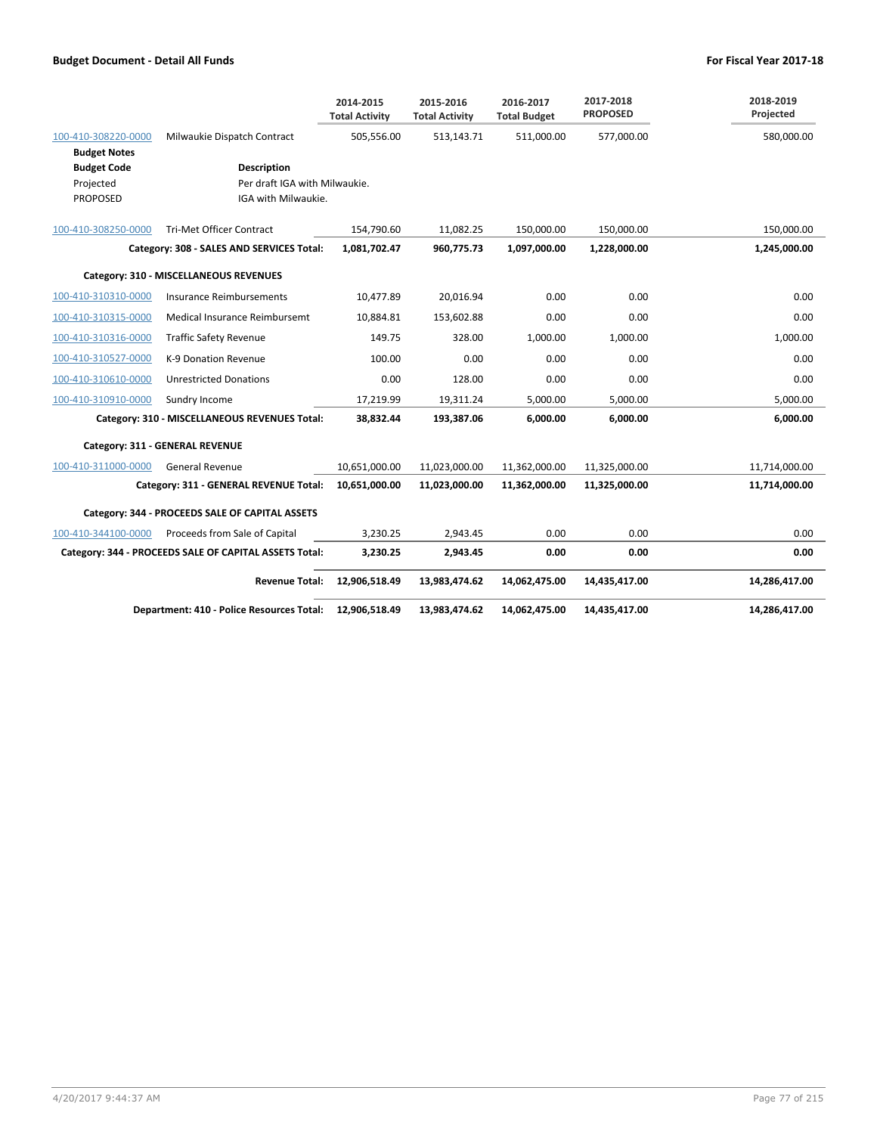|                     |                                                        | 2014-2015<br><b>Total Activity</b> | 2015-2016<br><b>Total Activity</b> | 2016-2017<br><b>Total Budget</b> | 2017-2018<br><b>PROPOSED</b> | 2018-2019<br>Projected |
|---------------------|--------------------------------------------------------|------------------------------------|------------------------------------|----------------------------------|------------------------------|------------------------|
| 100-410-308220-0000 | Milwaukie Dispatch Contract                            | 505,556.00                         | 513,143.71                         | 511,000.00                       | 577,000.00                   | 580,000.00             |
| <b>Budget Notes</b> |                                                        |                                    |                                    |                                  |                              |                        |
| <b>Budget Code</b>  | <b>Description</b>                                     |                                    |                                    |                                  |                              |                        |
| Projected           | Per draft IGA with Milwaukie.                          |                                    |                                    |                                  |                              |                        |
| PROPOSED            | IGA with Milwaukie.                                    |                                    |                                    |                                  |                              |                        |
| 100-410-308250-0000 | <b>Tri-Met Officer Contract</b>                        | 154,790.60                         | 11,082.25                          | 150,000.00                       | 150,000.00                   | 150,000.00             |
|                     | Category: 308 - SALES AND SERVICES Total:              | 1,081,702.47                       | 960,775.73                         | 1,097,000.00                     | 1,228,000.00                 | 1,245,000.00           |
|                     | Category: 310 - MISCELLANEOUS REVENUES                 |                                    |                                    |                                  |                              |                        |
| 100-410-310310-0000 | <b>Insurance Reimbursements</b>                        | 10,477.89                          | 20,016.94                          | 0.00                             | 0.00                         | 0.00                   |
| 100-410-310315-0000 | Medical Insurance Reimbursemt                          | 10,884.81                          | 153,602.88                         | 0.00                             | 0.00                         | 0.00                   |
| 100-410-310316-0000 | <b>Traffic Safety Revenue</b>                          | 149.75                             | 328.00                             | 1,000.00                         | 1,000.00                     | 1,000.00               |
| 100-410-310527-0000 | K-9 Donation Revenue                                   | 100.00                             | 0.00                               | 0.00                             | 0.00                         | 0.00                   |
| 100-410-310610-0000 | <b>Unrestricted Donations</b>                          | 0.00                               | 128.00                             | 0.00                             | 0.00                         | 0.00                   |
| 100-410-310910-0000 | Sundry Income                                          | 17,219.99                          | 19,311.24                          | 5,000.00                         | 5,000.00                     | 5.000.00               |
|                     | Category: 310 - MISCELLANEOUS REVENUES Total:          | 38,832.44                          | 193,387.06                         | 6,000.00                         | 6.000.00                     | 6,000.00               |
|                     | Category: 311 - GENERAL REVENUE                        |                                    |                                    |                                  |                              |                        |
| 100-410-311000-0000 | <b>General Revenue</b>                                 | 10,651,000.00                      | 11,023,000.00                      | 11,362,000.00                    | 11,325,000.00                | 11,714,000.00          |
|                     | Category: 311 - GENERAL REVENUE Total:                 | 10,651,000.00                      | 11,023,000.00                      | 11,362,000.00                    | 11,325,000.00                | 11,714,000.00          |
|                     | Category: 344 - PROCEEDS SALE OF CAPITAL ASSETS        |                                    |                                    |                                  |                              |                        |
| 100-410-344100-0000 | Proceeds from Sale of Capital                          | 3,230.25                           | 2,943.45                           | 0.00                             | 0.00                         | 0.00                   |
|                     | Category: 344 - PROCEEDS SALE OF CAPITAL ASSETS Total: | 3,230.25                           | 2,943.45                           | 0.00                             | 0.00                         | 0.00                   |
|                     | <b>Revenue Total:</b>                                  | 12,906,518.49                      | 13,983,474.62                      | 14,062,475.00                    | 14,435,417.00                | 14,286,417.00          |
|                     | Department: 410 - Police Resources Total:              | 12,906,518.49                      | 13,983,474.62                      | 14,062,475.00                    | 14,435,417.00                | 14,286,417.00          |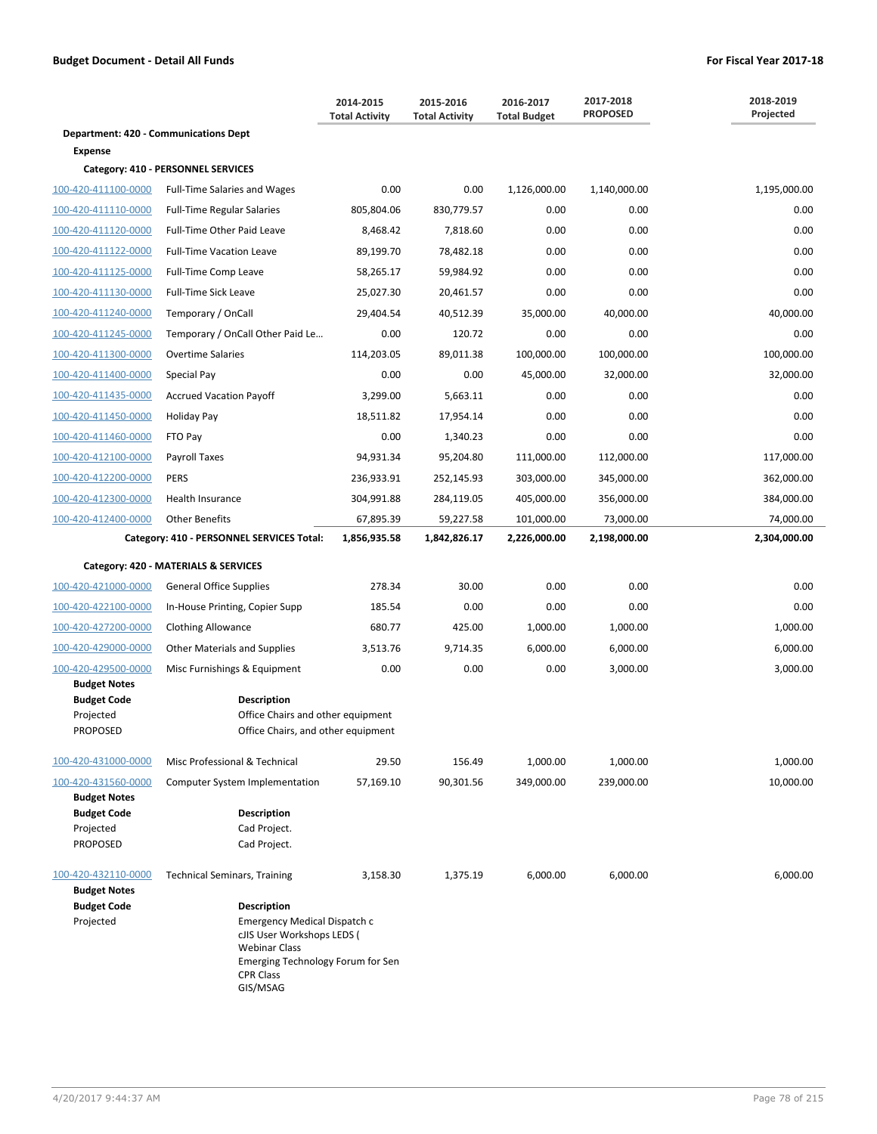|                                            |                                                                                                                                                         | 2014-2015<br><b>Total Activity</b> | 2015-2016<br><b>Total Activity</b> | 2016-2017<br><b>Total Budget</b> | 2017-2018<br><b>PROPOSED</b> | 2018-2019<br>Projected |
|--------------------------------------------|---------------------------------------------------------------------------------------------------------------------------------------------------------|------------------------------------|------------------------------------|----------------------------------|------------------------------|------------------------|
| Department: 420 - Communications Dept      |                                                                                                                                                         |                                    |                                    |                                  |                              |                        |
| <b>Expense</b>                             |                                                                                                                                                         |                                    |                                    |                                  |                              |                        |
|                                            | Category: 410 - PERSONNEL SERVICES                                                                                                                      |                                    |                                    |                                  |                              |                        |
| 100-420-411100-0000                        | <b>Full-Time Salaries and Wages</b>                                                                                                                     | 0.00                               | 0.00                               | 1,126,000.00                     | 1,140,000.00                 | 1,195,000.00           |
| 100-420-411110-0000                        | <b>Full-Time Regular Salaries</b>                                                                                                                       | 805,804.06                         | 830,779.57                         | 0.00                             | 0.00                         | 0.00                   |
| 100-420-411120-0000                        | Full-Time Other Paid Leave                                                                                                                              | 8,468.42                           | 7,818.60                           | 0.00                             | 0.00                         | 0.00                   |
| 100-420-411122-0000                        | <b>Full-Time Vacation Leave</b>                                                                                                                         | 89,199.70                          | 78,482.18                          | 0.00                             | 0.00                         | 0.00                   |
| 100-420-411125-0000                        | Full-Time Comp Leave                                                                                                                                    | 58,265.17                          | 59,984.92                          | 0.00                             | 0.00                         | 0.00                   |
| 100-420-411130-0000                        | Full-Time Sick Leave                                                                                                                                    | 25,027.30                          | 20,461.57                          | 0.00                             | 0.00                         | 0.00                   |
| 100-420-411240-0000                        | Temporary / OnCall                                                                                                                                      | 29,404.54                          | 40,512.39                          | 35,000.00                        | 40,000.00                    | 40,000.00              |
| 100-420-411245-0000                        | Temporary / OnCall Other Paid Le                                                                                                                        | 0.00                               | 120.72                             | 0.00                             | 0.00                         | 0.00                   |
| 100-420-411300-0000                        | <b>Overtime Salaries</b>                                                                                                                                | 114,203.05                         | 89,011.38                          | 100,000.00                       | 100,000.00                   | 100,000.00             |
| 100-420-411400-0000                        | Special Pay                                                                                                                                             | 0.00                               | 0.00                               | 45,000.00                        | 32,000.00                    | 32,000.00              |
| 100-420-411435-0000                        | <b>Accrued Vacation Payoff</b>                                                                                                                          | 3,299.00                           | 5,663.11                           | 0.00                             | 0.00                         | 0.00                   |
| 100-420-411450-0000                        | Holiday Pay                                                                                                                                             | 18,511.82                          | 17,954.14                          | 0.00                             | 0.00                         | 0.00                   |
| 100-420-411460-0000                        | FTO Pay                                                                                                                                                 | 0.00                               | 1,340.23                           | 0.00                             | 0.00                         | 0.00                   |
| 100-420-412100-0000                        | Payroll Taxes                                                                                                                                           | 94,931.34                          | 95,204.80                          | 111,000.00                       | 112,000.00                   | 117,000.00             |
| 100-420-412200-0000                        | <b>PERS</b>                                                                                                                                             | 236,933.91                         | 252,145.93                         | 303,000.00                       | 345,000.00                   | 362,000.00             |
| 100-420-412300-0000                        | Health Insurance                                                                                                                                        | 304,991.88                         | 284,119.05                         | 405,000.00                       | 356,000.00                   | 384,000.00             |
| 100-420-412400-0000                        | <b>Other Benefits</b>                                                                                                                                   | 67,895.39                          | 59,227.58                          | 101,000.00                       | 73,000.00                    | 74,000.00              |
|                                            | Category: 410 - PERSONNEL SERVICES Total:                                                                                                               | 1,856,935.58                       | 1,842,826.17                       | 2,226,000.00                     | 2,198,000.00                 | 2,304,000.00           |
|                                            | Category: 420 - MATERIALS & SERVICES                                                                                                                    |                                    |                                    |                                  |                              |                        |
| 100-420-421000-0000                        | <b>General Office Supplies</b>                                                                                                                          | 278.34                             | 30.00                              | 0.00                             | 0.00                         | 0.00                   |
| 100-420-422100-0000                        | In-House Printing, Copier Supp                                                                                                                          | 185.54                             | 0.00                               | 0.00                             | 0.00                         | 0.00                   |
| 100-420-427200-0000                        | <b>Clothing Allowance</b>                                                                                                                               | 680.77                             | 425.00                             | 1,000.00                         | 1,000.00                     | 1,000.00               |
| 100-420-429000-0000                        | <b>Other Materials and Supplies</b>                                                                                                                     | 3,513.76                           | 9,714.35                           | 6,000.00                         | 6,000.00                     | 6,000.00               |
| 100-420-429500-0000                        | Misc Furnishings & Equipment                                                                                                                            | 0.00                               | 0.00                               | 0.00                             | 3,000.00                     | 3,000.00               |
| <b>Budget Notes</b>                        |                                                                                                                                                         |                                    |                                    |                                  |                              |                        |
| <b>Budget Code</b><br>Projected            | <b>Description</b><br>Office Chairs and other equipment                                                                                                 |                                    |                                    |                                  |                              |                        |
| <b>PROPOSED</b>                            | Office Chairs, and other equipment                                                                                                                      |                                    |                                    |                                  |                              |                        |
|                                            |                                                                                                                                                         |                                    |                                    |                                  |                              |                        |
| 100-420-431000-0000                        | Misc Professional & Technical                                                                                                                           | 29.50                              | 156.49                             | 1,000.00                         | 1.000.00                     | 1,000.00               |
| 100-420-431560-0000<br><b>Budget Notes</b> | Computer System Implementation                                                                                                                          | 57,169.10                          | 90,301.56                          | 349,000.00                       | 239,000.00                   | 10,000.00              |
| <b>Budget Code</b>                         | <b>Description</b>                                                                                                                                      |                                    |                                    |                                  |                              |                        |
| Projected                                  | Cad Project.                                                                                                                                            |                                    |                                    |                                  |                              |                        |
| <b>PROPOSED</b>                            | Cad Project.                                                                                                                                            |                                    |                                    |                                  |                              |                        |
| 100-420-432110-0000<br><b>Budget Notes</b> | <b>Technical Seminars, Training</b>                                                                                                                     | 3,158.30                           | 1,375.19                           | 6,000.00                         | 6,000.00                     | 6,000.00               |
| <b>Budget Code</b>                         | <b>Description</b>                                                                                                                                      |                                    |                                    |                                  |                              |                        |
| Projected                                  | Emergency Medical Dispatch c<br>cJIS User Workshops LEDS (<br><b>Webinar Class</b><br>Emerging Technology Forum for Sen<br><b>CPR Class</b><br>GIS/MSAG |                                    |                                    |                                  |                              |                        |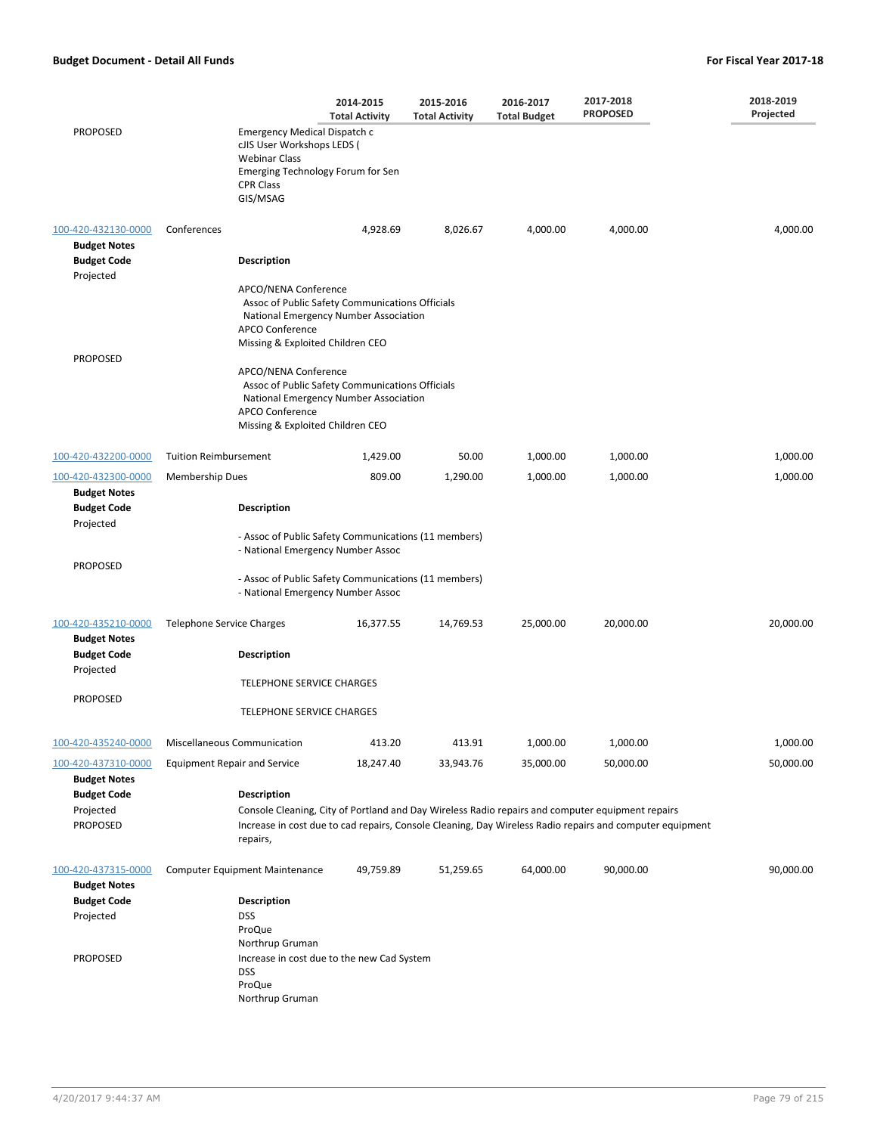|                                                        |                                     |                                                                                                                                                                         | 2014-2015<br><b>Total Activity</b> | 2015-2016<br><b>Total Activity</b> | 2016-2017<br><b>Total Budget</b> | 2017-2018<br><b>PROPOSED</b>                                                                                                                                                                                 | 2018-2019<br>Projected |  |  |
|--------------------------------------------------------|-------------------------------------|-------------------------------------------------------------------------------------------------------------------------------------------------------------------------|------------------------------------|------------------------------------|----------------------------------|--------------------------------------------------------------------------------------------------------------------------------------------------------------------------------------------------------------|------------------------|--|--|
| <b>PROPOSED</b>                                        |                                     | Emergency Medical Dispatch c<br>cJIS User Workshops LEDS (<br><b>Webinar Class</b><br>Emerging Technology Forum for Sen<br><b>CPR Class</b><br>GIS/MSAG                 |                                    |                                    |                                  |                                                                                                                                                                                                              |                        |  |  |
| 100-420-432130-0000<br><b>Budget Notes</b>             | Conferences                         |                                                                                                                                                                         | 4,928.69                           | 8,026.67                           | 4,000.00                         | 4,000.00                                                                                                                                                                                                     | 4,000.00               |  |  |
| <b>Budget Code</b><br>Projected                        |                                     | <b>Description</b>                                                                                                                                                      |                                    |                                    |                                  |                                                                                                                                                                                                              |                        |  |  |
|                                                        |                                     | APCO/NENA Conference<br>Assoc of Public Safety Communications Officials<br>National Emergency Number Association<br>APCO Conference<br>Missing & Exploited Children CEO |                                    |                                    |                                  |                                                                                                                                                                                                              |                        |  |  |
| <b>PROPOSED</b>                                        |                                     | APCO/NENA Conference                                                                                                                                                    |                                    |                                    |                                  |                                                                                                                                                                                                              |                        |  |  |
|                                                        |                                     | Assoc of Public Safety Communications Officials<br>National Emergency Number Association<br>APCO Conference<br>Missing & Exploited Children CEO                         |                                    |                                    |                                  |                                                                                                                                                                                                              |                        |  |  |
| 100-420-432200-0000                                    | <b>Tuition Reimbursement</b>        |                                                                                                                                                                         | 1,429.00                           | 50.00                              | 1,000.00                         | 1,000.00                                                                                                                                                                                                     | 1,000.00               |  |  |
| 100-420-432300-0000                                    | <b>Membership Dues</b>              |                                                                                                                                                                         | 809.00                             | 1,290.00                           | 1,000.00                         | 1,000.00                                                                                                                                                                                                     | 1,000.00               |  |  |
| <b>Budget Notes</b><br><b>Budget Code</b><br>Projected |                                     | <b>Description</b>                                                                                                                                                      |                                    |                                    |                                  |                                                                                                                                                                                                              |                        |  |  |
|                                                        |                                     | - Assoc of Public Safety Communications (11 members)<br>- National Emergency Number Assoc                                                                               |                                    |                                    |                                  |                                                                                                                                                                                                              |                        |  |  |
| <b>PROPOSED</b>                                        |                                     | - Assoc of Public Safety Communications (11 members)<br>- National Emergency Number Assoc                                                                               |                                    |                                    |                                  |                                                                                                                                                                                                              |                        |  |  |
| 100-420-435210-0000<br><b>Budget Notes</b>             | Telephone Service Charges           |                                                                                                                                                                         | 16,377.55                          | 14,769.53                          | 25,000.00                        | 20,000.00                                                                                                                                                                                                    | 20,000.00              |  |  |
| <b>Budget Code</b><br>Projected                        |                                     | <b>Description</b>                                                                                                                                                      |                                    |                                    |                                  |                                                                                                                                                                                                              |                        |  |  |
| <b>PROPOSED</b>                                        |                                     | TELEPHONE SERVICE CHARGES                                                                                                                                               |                                    |                                    |                                  |                                                                                                                                                                                                              |                        |  |  |
|                                                        |                                     | TELEPHONE SERVICE CHARGES                                                                                                                                               |                                    |                                    |                                  |                                                                                                                                                                                                              |                        |  |  |
| 100-420-435240-0000                                    | Miscellaneous Communication         |                                                                                                                                                                         | 413.20                             | 413.91                             | 1,000.00                         | 1,000.00                                                                                                                                                                                                     | 1,000.00               |  |  |
| 100-420-437310-0000<br><b>Budget Notes</b>             | <b>Equipment Repair and Service</b> |                                                                                                                                                                         | 18,247.40                          | 33,943.76                          | 35,000.00                        | 50,000.00                                                                                                                                                                                                    | 50,000.00              |  |  |
| <b>Budget Code</b><br>Projected<br><b>PROPOSED</b>     |                                     | <b>Description</b><br>repairs,                                                                                                                                          |                                    |                                    |                                  | Console Cleaning, City of Portland and Day Wireless Radio repairs and computer equipment repairs<br>Increase in cost due to cad repairs, Console Cleaning, Day Wireless Radio repairs and computer equipment |                        |  |  |
| 100-420-437315-0000<br><b>Budget Notes</b>             |                                     | <b>Computer Equipment Maintenance</b>                                                                                                                                   | 49,759.89                          | 51,259.65                          | 64,000.00                        | 90,000.00                                                                                                                                                                                                    | 90,000.00              |  |  |
| <b>Budget Code</b><br>Projected                        |                                     | <b>Description</b><br><b>DSS</b><br>ProQue                                                                                                                              |                                    |                                    |                                  |                                                                                                                                                                                                              |                        |  |  |
| <b>PROPOSED</b>                                        |                                     | Northrup Gruman<br>Increase in cost due to the new Cad System<br><b>DSS</b><br>ProQue<br>Northrup Gruman                                                                |                                    |                                    |                                  |                                                                                                                                                                                                              |                        |  |  |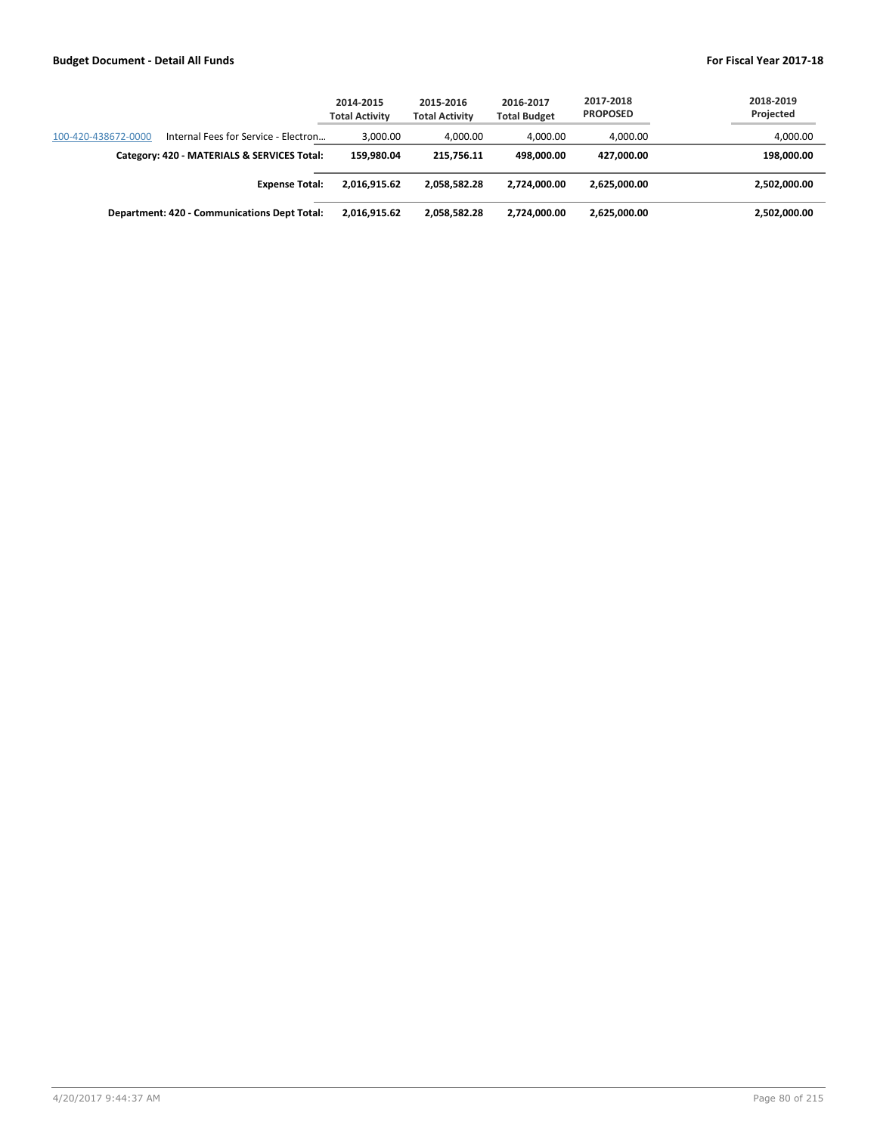|                     |                                              | 2014-2015<br><b>Total Activity</b> | 2015-2016<br><b>Total Activity</b> | 2016-2017<br><b>Total Budget</b> | 2017-2018<br><b>PROPOSED</b> | 2018-2019<br>Projected |
|---------------------|----------------------------------------------|------------------------------------|------------------------------------|----------------------------------|------------------------------|------------------------|
| 100-420-438672-0000 | Internal Fees for Service - Electron         | 3.000.00                           | 4.000.00                           | 4,000.00                         | 4,000.00                     | 4,000.00               |
|                     | Category: 420 - MATERIALS & SERVICES Total:  | 159.980.04                         | 215.756.11                         | 498.000.00                       | 427.000.00                   | 198,000.00             |
|                     | <b>Expense Total:</b>                        | 2.016.915.62                       | 2.058.582.28                       | 2.724.000.00                     | 2.625.000.00                 | 2,502,000.00           |
|                     | Department: 420 - Communications Dept Total: | 2,016,915.62                       | 2.058.582.28                       | 2.724.000.00                     | 2,625,000.00                 | 2,502,000.00           |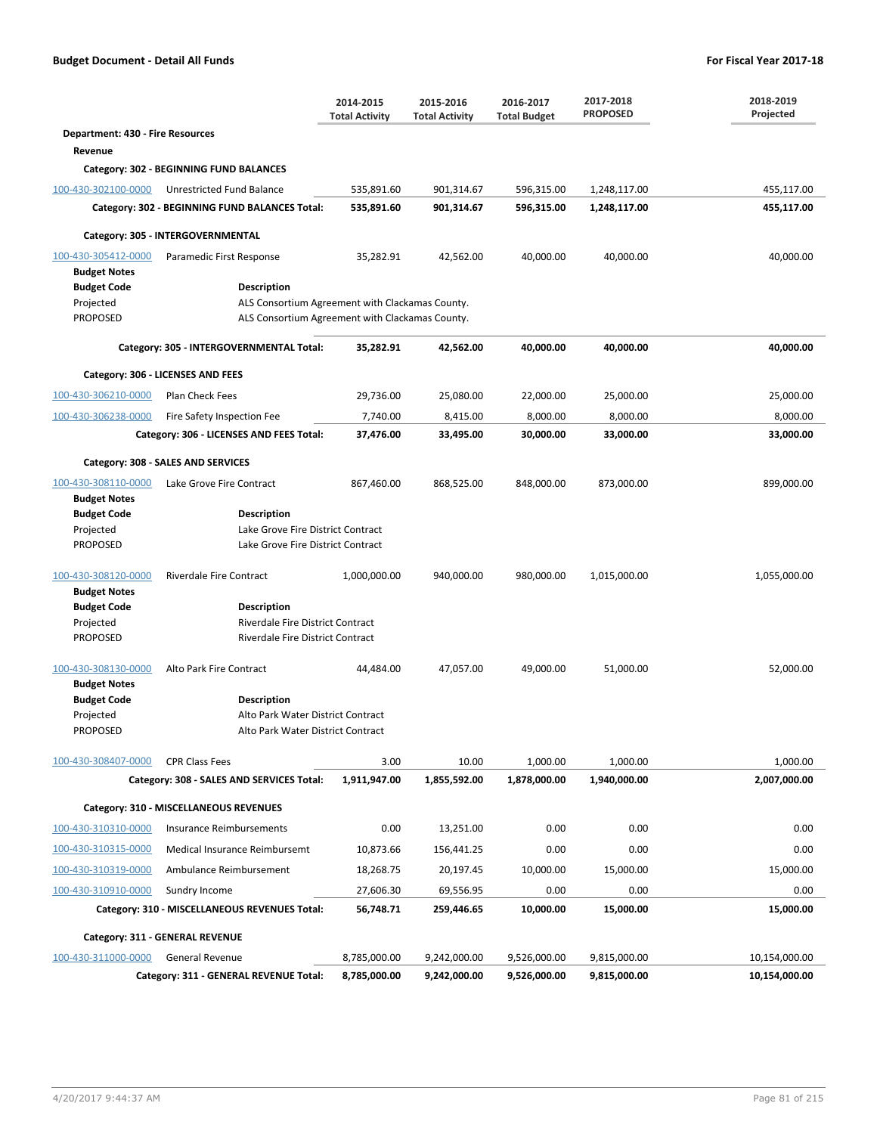|                                         |                                                                      | 2014-2015<br><b>Total Activity</b> | 2015-2016<br><b>Total Activity</b> | 2016-2017<br><b>Total Budget</b> | 2017-2018<br><b>PROPOSED</b> | 2018-2019<br>Projected |
|-----------------------------------------|----------------------------------------------------------------------|------------------------------------|------------------------------------|----------------------------------|------------------------------|------------------------|
| <b>Department: 430 - Fire Resources</b> |                                                                      |                                    |                                    |                                  |                              |                        |
| Revenue                                 |                                                                      |                                    |                                    |                                  |                              |                        |
|                                         | Category: 302 - BEGINNING FUND BALANCES                              |                                    |                                    |                                  |                              |                        |
| 100-430-302100-0000                     | Unrestricted Fund Balance                                            | 535,891.60                         | 901,314.67                         | 596,315.00                       | 1,248,117.00                 | 455,117.00             |
|                                         | Category: 302 - BEGINNING FUND BALANCES Total:                       | 535,891.60                         | 901,314.67                         | 596,315.00                       | 1,248,117.00                 | 455,117.00             |
|                                         | Category: 305 - INTERGOVERNMENTAL                                    |                                    |                                    |                                  |                              |                        |
| 100-430-305412-0000                     | Paramedic First Response                                             | 35,282.91                          | 42,562.00                          | 40,000.00                        | 40,000.00                    | 40,000.00              |
| <b>Budget Notes</b>                     |                                                                      |                                    |                                    |                                  |                              |                        |
| <b>Budget Code</b>                      | <b>Description</b>                                                   |                                    |                                    |                                  |                              |                        |
| Projected                               | ALS Consortium Agreement with Clackamas County.                      |                                    |                                    |                                  |                              |                        |
| <b>PROPOSED</b>                         | ALS Consortium Agreement with Clackamas County.                      |                                    |                                    |                                  |                              |                        |
|                                         | Category: 305 - INTERGOVERNMENTAL Total:                             | 35,282.91                          | 42,562.00                          | 40,000.00                        | 40,000.00                    | 40,000.00              |
|                                         | Category: 306 - LICENSES AND FEES                                    |                                    |                                    |                                  |                              |                        |
| 100-430-306210-0000                     | Plan Check Fees                                                      | 29,736.00                          | 25,080.00                          | 22,000.00                        | 25,000.00                    | 25,000.00              |
| 100-430-306238-0000                     | Fire Safety Inspection Fee                                           | 7,740.00                           | 8,415.00                           | 8,000.00                         | 8,000.00                     | 8,000.00               |
|                                         | Category: 306 - LICENSES AND FEES Total:                             | 37,476.00                          | 33,495.00                          | 30,000.00                        | 33,000.00                    | 33,000.00              |
|                                         | Category: 308 - SALES AND SERVICES                                   |                                    |                                    |                                  |                              |                        |
| 100-430-308110-0000                     | Lake Grove Fire Contract                                             | 867,460.00                         | 868,525.00                         | 848,000.00                       | 873,000.00                   | 899,000.00             |
| <b>Budget Notes</b>                     |                                                                      |                                    |                                    |                                  |                              |                        |
| <b>Budget Code</b><br>Projected         | Description<br>Lake Grove Fire District Contract                     |                                    |                                    |                                  |                              |                        |
| <b>PROPOSED</b>                         | Lake Grove Fire District Contract                                    |                                    |                                    |                                  |                              |                        |
|                                         |                                                                      |                                    |                                    |                                  |                              |                        |
| 100-430-308120-0000                     | <b>Riverdale Fire Contract</b>                                       | 1,000,000.00                       | 940,000.00                         | 980,000.00                       | 1,015,000.00                 | 1,055,000.00           |
| <b>Budget Notes</b>                     |                                                                      |                                    |                                    |                                  |                              |                        |
| <b>Budget Code</b>                      | <b>Description</b>                                                   |                                    |                                    |                                  |                              |                        |
| Projected<br><b>PROPOSED</b>            | Riverdale Fire District Contract<br>Riverdale Fire District Contract |                                    |                                    |                                  |                              |                        |
|                                         |                                                                      |                                    |                                    |                                  |                              |                        |
| 100-430-308130-0000                     | Alto Park Fire Contract                                              | 44,484.00                          | 47,057.00                          | 49,000.00                        | 51,000.00                    | 52,000.00              |
| <b>Budget Notes</b>                     |                                                                      |                                    |                                    |                                  |                              |                        |
| <b>Budget Code</b>                      | <b>Description</b>                                                   |                                    |                                    |                                  |                              |                        |
| Projected                               | Alto Park Water District Contract                                    |                                    |                                    |                                  |                              |                        |
| PROPOSED                                | Alto Park Water District Contract                                    |                                    |                                    |                                  |                              |                        |
| 100-430-308407-0000                     | <b>CPR Class Fees</b>                                                | 3.00                               | 10.00                              | 1,000.00                         | 1,000.00                     | 1,000.00               |
|                                         | Category: 308 - SALES AND SERVICES Total:                            | 1,911,947.00                       | 1,855,592.00                       | 1,878,000.00                     | 1,940,000.00                 | 2,007,000.00           |
|                                         | Category: 310 - MISCELLANEOUS REVENUES                               |                                    |                                    |                                  |                              |                        |
| 100-430-310310-0000                     | Insurance Reimbursements                                             | 0.00                               | 13,251.00                          | 0.00                             | 0.00                         | 0.00                   |
| 100-430-310315-0000                     | Medical Insurance Reimbursemt                                        | 10,873.66                          | 156,441.25                         | 0.00                             | 0.00                         | 0.00                   |
| 100-430-310319-0000                     | Ambulance Reimbursement                                              | 18,268.75                          | 20,197.45                          | 10,000.00                        | 15,000.00                    | 15,000.00              |
| 100-430-310910-0000                     | Sundry Income                                                        | 27,606.30                          | 69,556.95                          | 0.00                             | 0.00                         | 0.00                   |
|                                         | Category: 310 - MISCELLANEOUS REVENUES Total:                        | 56,748.71                          | 259,446.65                         | 10,000.00                        | 15,000.00                    | 15,000.00              |
|                                         | Category: 311 - GENERAL REVENUE                                      |                                    |                                    |                                  |                              |                        |
| 100-430-311000-0000                     | <b>General Revenue</b>                                               | 8,785,000.00                       | 9,242,000.00                       | 9,526,000.00                     | 9,815,000.00                 | 10,154,000.00          |
|                                         | Category: 311 - GENERAL REVENUE Total:                               | 8,785,000.00                       | 9,242,000.00                       | 9,526,000.00                     | 9,815,000.00                 | 10,154,000.00          |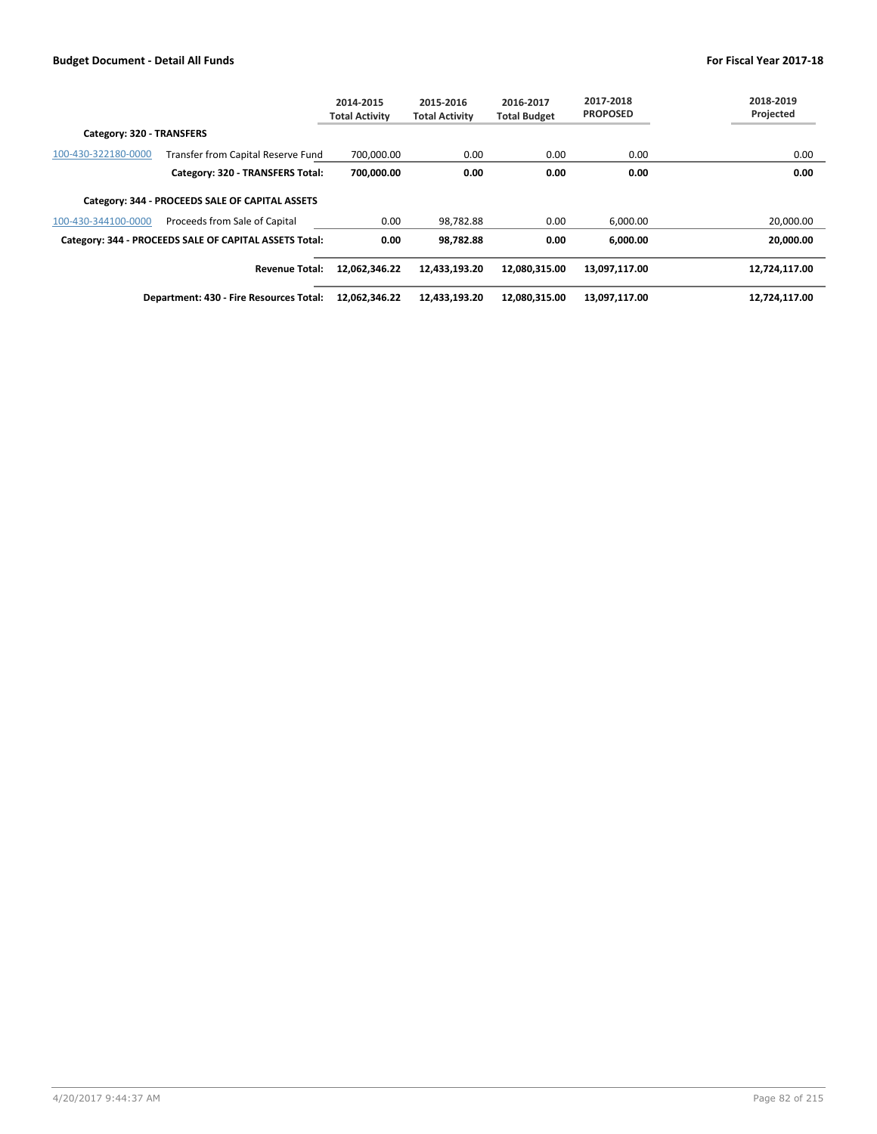|                           |                                                        | 2014-2015<br><b>Total Activity</b> | 2015-2016<br><b>Total Activity</b> | 2016-2017<br><b>Total Budget</b> | 2017-2018<br><b>PROPOSED</b> | 2018-2019<br>Projected |
|---------------------------|--------------------------------------------------------|------------------------------------|------------------------------------|----------------------------------|------------------------------|------------------------|
| Category: 320 - TRANSFERS |                                                        |                                    |                                    |                                  |                              |                        |
| 100-430-322180-0000       | Transfer from Capital Reserve Fund                     | 700.000.00                         | 0.00                               | 0.00                             | 0.00                         | 0.00                   |
|                           | Category: 320 - TRANSFERS Total:                       | 700.000.00                         | 0.00                               | 0.00                             | 0.00                         | 0.00                   |
|                           | Category: 344 - PROCEEDS SALE OF CAPITAL ASSETS        |                                    |                                    |                                  |                              |                        |
| 100-430-344100-0000       | Proceeds from Sale of Capital                          | 0.00                               | 98,782.88                          | 0.00                             | 6,000.00                     | 20,000.00              |
|                           | Category: 344 - PROCEEDS SALE OF CAPITAL ASSETS Total: | 0.00                               | 98,782.88                          | 0.00                             | 6.000.00                     | 20.000.00              |
|                           | <b>Revenue Total:</b>                                  | 12,062,346.22                      | 12,433,193.20                      | 12,080,315.00                    | 13,097,117.00                | 12,724,117.00          |
|                           | Department: 430 - Fire Resources Total:                | 12,062,346.22                      | 12,433,193.20                      | 12,080,315.00                    | 13,097,117.00                | 12,724,117.00          |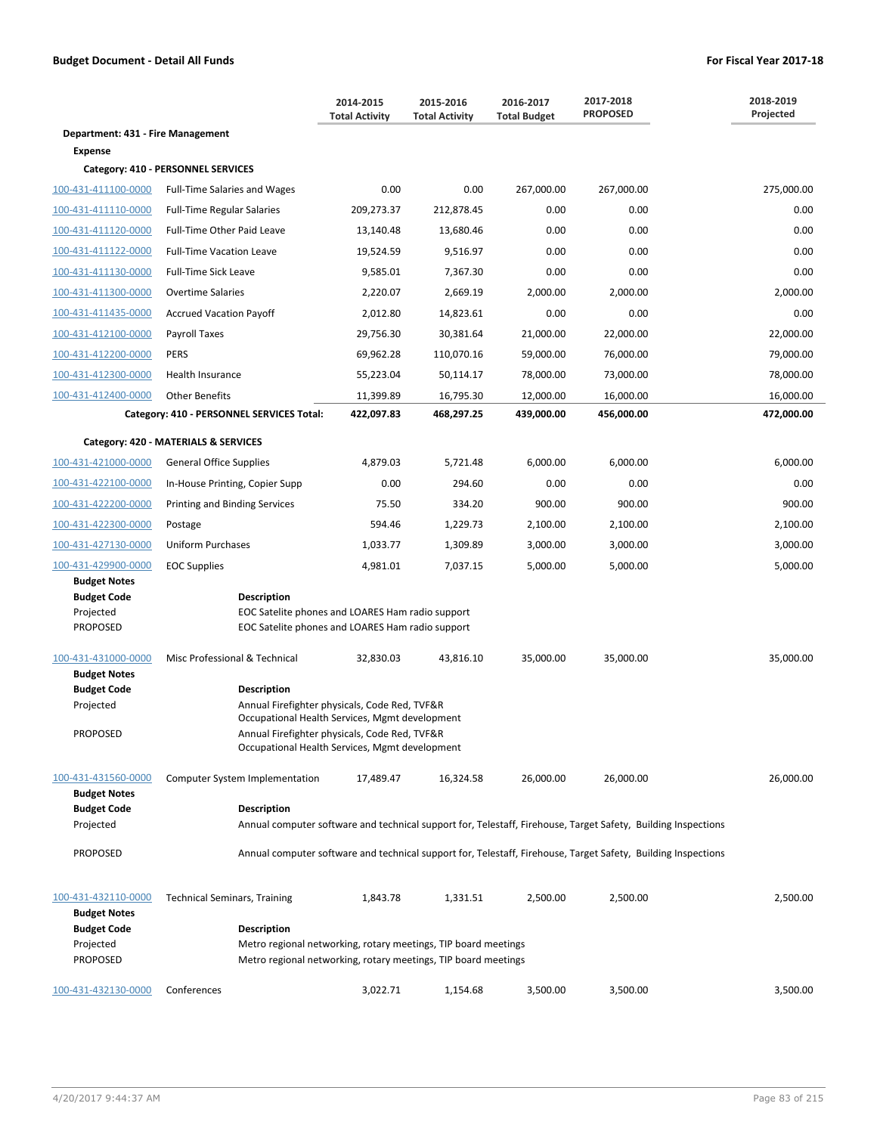|                                            |                                                                                                                                  | 2014-2015<br><b>Total Activity</b> | 2015-2016<br><b>Total Activity</b> | 2016-2017<br><b>Total Budget</b> | 2017-2018<br><b>PROPOSED</b> | 2018-2019<br>Projected |  |
|--------------------------------------------|----------------------------------------------------------------------------------------------------------------------------------|------------------------------------|------------------------------------|----------------------------------|------------------------------|------------------------|--|
| Department: 431 - Fire Management          |                                                                                                                                  |                                    |                                    |                                  |                              |                        |  |
| <b>Expense</b>                             |                                                                                                                                  |                                    |                                    |                                  |                              |                        |  |
|                                            | Category: 410 - PERSONNEL SERVICES                                                                                               |                                    |                                    |                                  |                              |                        |  |
| 100-431-411100-0000                        | <b>Full-Time Salaries and Wages</b>                                                                                              | 0.00                               | 0.00                               | 267,000.00                       | 267,000.00                   | 275,000.00             |  |
| 100-431-411110-0000                        | <b>Full-Time Regular Salaries</b>                                                                                                | 209,273.37                         | 212,878.45                         | 0.00                             | 0.00                         | 0.00                   |  |
| 100-431-411120-0000                        | Full-Time Other Paid Leave                                                                                                       | 13,140.48                          | 13,680.46                          | 0.00                             | 0.00                         | 0.00                   |  |
| 100-431-411122-0000                        | <b>Full-Time Vacation Leave</b>                                                                                                  | 19,524.59                          | 9,516.97                           | 0.00                             | 0.00                         | 0.00                   |  |
| 100-431-411130-0000                        | <b>Full-Time Sick Leave</b>                                                                                                      | 9,585.01                           | 7,367.30                           | 0.00                             | 0.00                         | 0.00                   |  |
| 100-431-411300-0000                        | <b>Overtime Salaries</b>                                                                                                         | 2,220.07                           | 2,669.19                           | 2,000.00                         | 2,000.00                     | 2,000.00               |  |
| 100-431-411435-0000                        | <b>Accrued Vacation Payoff</b>                                                                                                   | 2,012.80                           | 14,823.61                          | 0.00                             | 0.00                         | 0.00                   |  |
| 100-431-412100-0000                        | Payroll Taxes                                                                                                                    | 29,756.30                          | 30,381.64                          | 21,000.00                        | 22,000.00                    | 22,000.00              |  |
| 100-431-412200-0000                        | <b>PERS</b>                                                                                                                      | 69,962.28                          | 110,070.16                         | 59,000.00                        | 76,000.00                    | 79,000.00              |  |
| 100-431-412300-0000                        | Health Insurance                                                                                                                 | 55,223.04                          | 50,114.17                          | 78,000.00                        | 73,000.00                    | 78,000.00              |  |
| 100-431-412400-0000                        | <b>Other Benefits</b>                                                                                                            | 11,399.89                          | 16,795.30                          | 12,000.00                        | 16,000.00                    | 16,000.00              |  |
|                                            | Category: 410 - PERSONNEL SERVICES Total:                                                                                        | 422,097.83                         | 468,297.25                         | 439,000.00                       | 456,000.00                   | 472,000.00             |  |
|                                            | Category: 420 - MATERIALS & SERVICES                                                                                             |                                    |                                    |                                  |                              |                        |  |
| 100-431-421000-0000                        | <b>General Office Supplies</b>                                                                                                   | 4,879.03                           | 5,721.48                           | 6,000.00                         | 6,000.00                     | 6,000.00               |  |
| 100-431-422100-0000                        | In-House Printing, Copier Supp                                                                                                   | 0.00                               | 294.60                             | 0.00                             | 0.00                         | 0.00                   |  |
| 100-431-422200-0000                        | Printing and Binding Services                                                                                                    | 75.50                              | 334.20                             | 900.00                           | 900.00                       | 900.00                 |  |
| 100-431-422300-0000                        | Postage                                                                                                                          | 594.46                             | 1,229.73                           | 2,100.00                         | 2,100.00                     | 2,100.00               |  |
| 100-431-427130-0000                        | <b>Uniform Purchases</b>                                                                                                         | 1,033.77                           | 1,309.89                           | 3,000.00                         | 3,000.00                     | 3,000.00               |  |
| 100-431-429900-0000                        | <b>EOC Supplies</b>                                                                                                              | 4,981.01                           | 7,037.15                           | 5,000.00                         | 5,000.00                     | 5,000.00               |  |
| <b>Budget Notes</b>                        |                                                                                                                                  |                                    |                                    |                                  |                              |                        |  |
| <b>Budget Code</b>                         | <b>Description</b>                                                                                                               |                                    |                                    |                                  |                              |                        |  |
| Projected<br><b>PROPOSED</b>               | EOC Satelite phones and LOARES Ham radio support<br>EOC Satelite phones and LOARES Ham radio support                             |                                    |                                    |                                  |                              |                        |  |
|                                            |                                                                                                                                  |                                    |                                    |                                  |                              |                        |  |
| 100-431-431000-0000                        | Misc Professional & Technical                                                                                                    | 32,830.03                          | 43,816.10                          | 35,000.00                        | 35,000.00                    | 35,000.00              |  |
| <b>Budget Notes</b><br><b>Budget Code</b>  | <b>Description</b>                                                                                                               |                                    |                                    |                                  |                              |                        |  |
| Projected                                  | Annual Firefighter physicals, Code Red, TVF&R                                                                                    |                                    |                                    |                                  |                              |                        |  |
| <b>PROPOSED</b>                            | Occupational Health Services, Mgmt development<br>Annual Firefighter physicals, Code Red, TVF&R                                  |                                    |                                    |                                  |                              |                        |  |
|                                            | Occupational Health Services, Mgmt development                                                                                   |                                    |                                    |                                  |                              |                        |  |
|                                            |                                                                                                                                  |                                    |                                    |                                  |                              |                        |  |
| 100-431-431560-0000<br><b>Budget Notes</b> | Computer System Implementation                                                                                                   | 17,489.47                          | 16,324.58                          | 26,000.00                        | 26,000.00                    | 26,000.00              |  |
| <b>Budget Code</b>                         | <b>Description</b>                                                                                                               |                                    |                                    |                                  |                              |                        |  |
| Projected                                  | Annual computer software and technical support for, Telestaff, Firehouse, Target Safety, Building Inspections                    |                                    |                                    |                                  |                              |                        |  |
| <b>PROPOSED</b>                            | Annual computer software and technical support for, Telestaff, Firehouse, Target Safety, Building Inspections                    |                                    |                                    |                                  |                              |                        |  |
|                                            |                                                                                                                                  |                                    |                                    |                                  |                              |                        |  |
| 100-431-432110-0000                        | <b>Technical Seminars, Training</b>                                                                                              | 1,843.78                           | 1,331.51                           | 2,500.00                         | 2,500.00                     | 2,500.00               |  |
| <b>Budget Notes</b>                        |                                                                                                                                  |                                    |                                    |                                  |                              |                        |  |
| <b>Budget Code</b>                         | <b>Description</b>                                                                                                               |                                    |                                    |                                  |                              |                        |  |
| Projected<br><b>PROPOSED</b>               | Metro regional networking, rotary meetings, TIP board meetings<br>Metro regional networking, rotary meetings, TIP board meetings |                                    |                                    |                                  |                              |                        |  |
|                                            |                                                                                                                                  |                                    |                                    |                                  |                              |                        |  |
| 100-431-432130-0000                        | Conferences                                                                                                                      | 3,022.71                           | 1,154.68                           | 3,500.00                         | 3,500.00                     | 3,500.00               |  |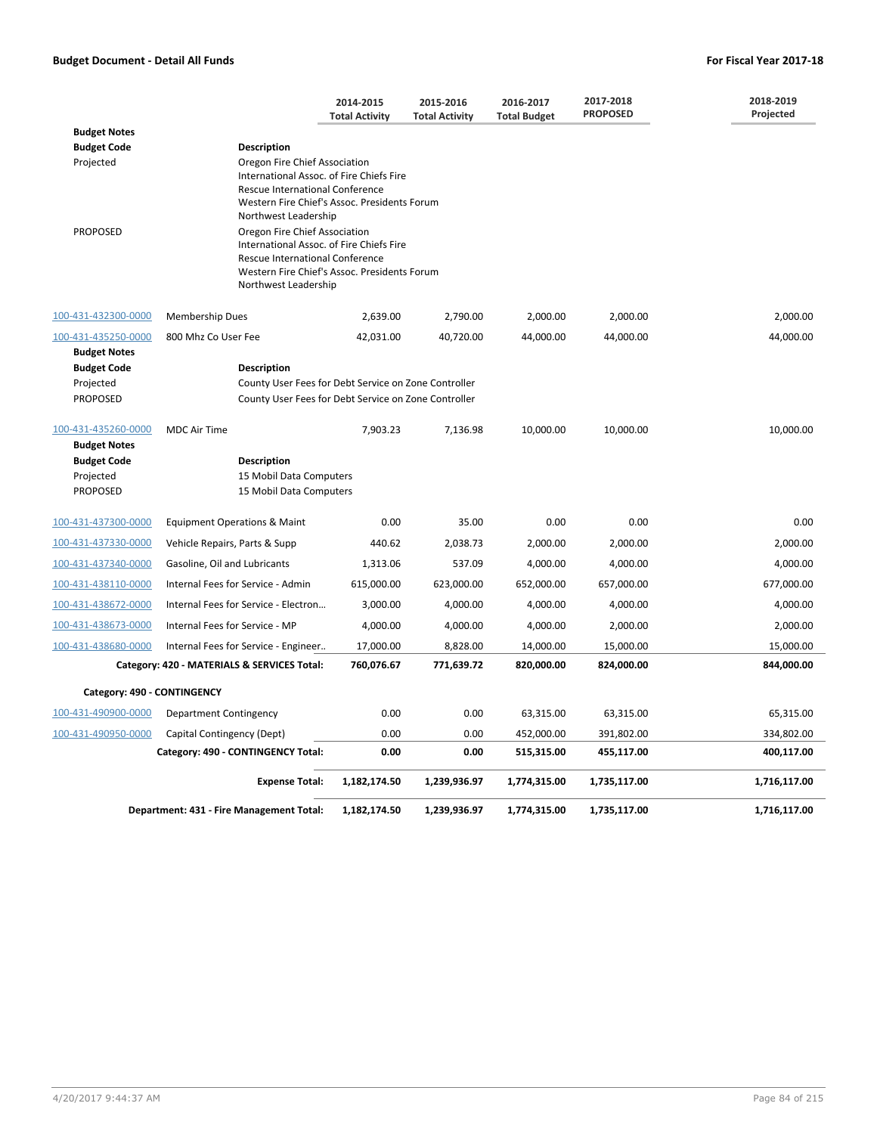|                                                    |                                                                                                                                                                                             | 2014-2015<br><b>Total Activity</b> | 2015-2016<br><b>Total Activity</b> | 2016-2017<br><b>Total Budget</b> | 2017-2018<br><b>PROPOSED</b> | 2018-2019<br>Projected |
|----------------------------------------------------|---------------------------------------------------------------------------------------------------------------------------------------------------------------------------------------------|------------------------------------|------------------------------------|----------------------------------|------------------------------|------------------------|
| <b>Budget Notes</b>                                |                                                                                                                                                                                             |                                    |                                    |                                  |                              |                        |
| <b>Budget Code</b>                                 | <b>Description</b>                                                                                                                                                                          |                                    |                                    |                                  |                              |                        |
| Projected                                          | Oregon Fire Chief Association<br>International Assoc. of Fire Chiefs Fire<br>Rescue International Conference<br>Western Fire Chief's Assoc. Presidents Forum<br>Northwest Leadership        |                                    |                                    |                                  |                              |                        |
| <b>PROPOSED</b>                                    | Oregon Fire Chief Association<br>International Assoc. of Fire Chiefs Fire<br><b>Rescue International Conference</b><br>Western Fire Chief's Assoc. Presidents Forum<br>Northwest Leadership |                                    |                                    |                                  |                              |                        |
| 100-431-432300-0000                                | <b>Membership Dues</b>                                                                                                                                                                      | 2,639.00                           | 2,790.00                           | 2,000.00                         | 2,000.00                     | 2,000.00               |
| 100-431-435250-0000<br><b>Budget Notes</b>         | 800 Mhz Co User Fee                                                                                                                                                                         | 42,031.00                          | 40,720.00                          | 44,000.00                        | 44,000.00                    | 44,000.00              |
| <b>Budget Code</b>                                 | <b>Description</b>                                                                                                                                                                          |                                    |                                    |                                  |                              |                        |
| Projected<br><b>PROPOSED</b>                       | County User Fees for Debt Service on Zone Controller<br>County User Fees for Debt Service on Zone Controller                                                                                |                                    |                                    |                                  |                              |                        |
| 100-431-435260-0000<br><b>Budget Notes</b>         | <b>MDC Air Time</b>                                                                                                                                                                         | 7,903.23                           | 7,136.98                           | 10,000.00                        | 10,000.00                    | 10,000.00              |
| <b>Budget Code</b><br>Projected<br><b>PROPOSED</b> | <b>Description</b><br>15 Mobil Data Computers<br>15 Mobil Data Computers                                                                                                                    |                                    |                                    |                                  |                              |                        |
| 100-431-437300-0000                                | <b>Equipment Operations &amp; Maint</b>                                                                                                                                                     | 0.00                               | 35.00                              | 0.00                             | 0.00                         | 0.00                   |
| 100-431-437330-0000                                | Vehicle Repairs, Parts & Supp                                                                                                                                                               | 440.62                             | 2,038.73                           | 2,000.00                         | 2,000.00                     | 2,000.00               |
| 100-431-437340-0000                                | Gasoline, Oil and Lubricants                                                                                                                                                                | 1,313.06                           | 537.09                             | 4,000.00                         | 4,000.00                     | 4,000.00               |
| 100-431-438110-0000                                | Internal Fees for Service - Admin                                                                                                                                                           | 615,000.00                         | 623,000.00                         | 652,000.00                       | 657,000.00                   | 677,000.00             |
| 100-431-438672-0000                                | Internal Fees for Service - Electron                                                                                                                                                        | 3,000.00                           | 4,000.00                           | 4,000.00                         | 4,000.00                     | 4,000.00               |
| 100-431-438673-0000                                | Internal Fees for Service - MP                                                                                                                                                              | 4,000.00                           | 4,000.00                           | 4,000.00                         | 2,000.00                     | 2,000.00               |
| 100-431-438680-0000                                | Internal Fees for Service - Engineer                                                                                                                                                        | 17,000.00                          | 8,828.00                           | 14,000.00                        | 15,000.00                    | 15,000.00              |
|                                                    | Category: 420 - MATERIALS & SERVICES Total:                                                                                                                                                 | 760,076.67                         | 771,639.72                         | 820,000.00                       | 824,000.00                   | 844,000.00             |
| Category: 490 - CONTINGENCY                        |                                                                                                                                                                                             |                                    |                                    |                                  |                              |                        |
| 100-431-490900-0000                                | Department Contingency                                                                                                                                                                      | 0.00                               | 0.00                               | 63,315.00                        | 63,315.00                    | 65,315.00              |
| 100-431-490950-0000                                | Capital Contingency (Dept)                                                                                                                                                                  | 0.00                               | 0.00                               | 452,000.00                       | 391,802.00                   | 334,802.00             |
|                                                    | Category: 490 - CONTINGENCY Total:                                                                                                                                                          | 0.00                               | 0.00                               | 515,315.00                       | 455,117.00                   | 400,117.00             |
|                                                    | <b>Expense Total:</b>                                                                                                                                                                       | 1,182,174.50                       | 1,239,936.97                       | 1,774,315.00                     | 1,735,117.00                 | 1,716,117.00           |
|                                                    | Department: 431 - Fire Management Total:                                                                                                                                                    | 1,182,174.50                       | 1,239,936.97                       | 1,774,315.00                     | 1,735,117.00                 | 1,716,117.00           |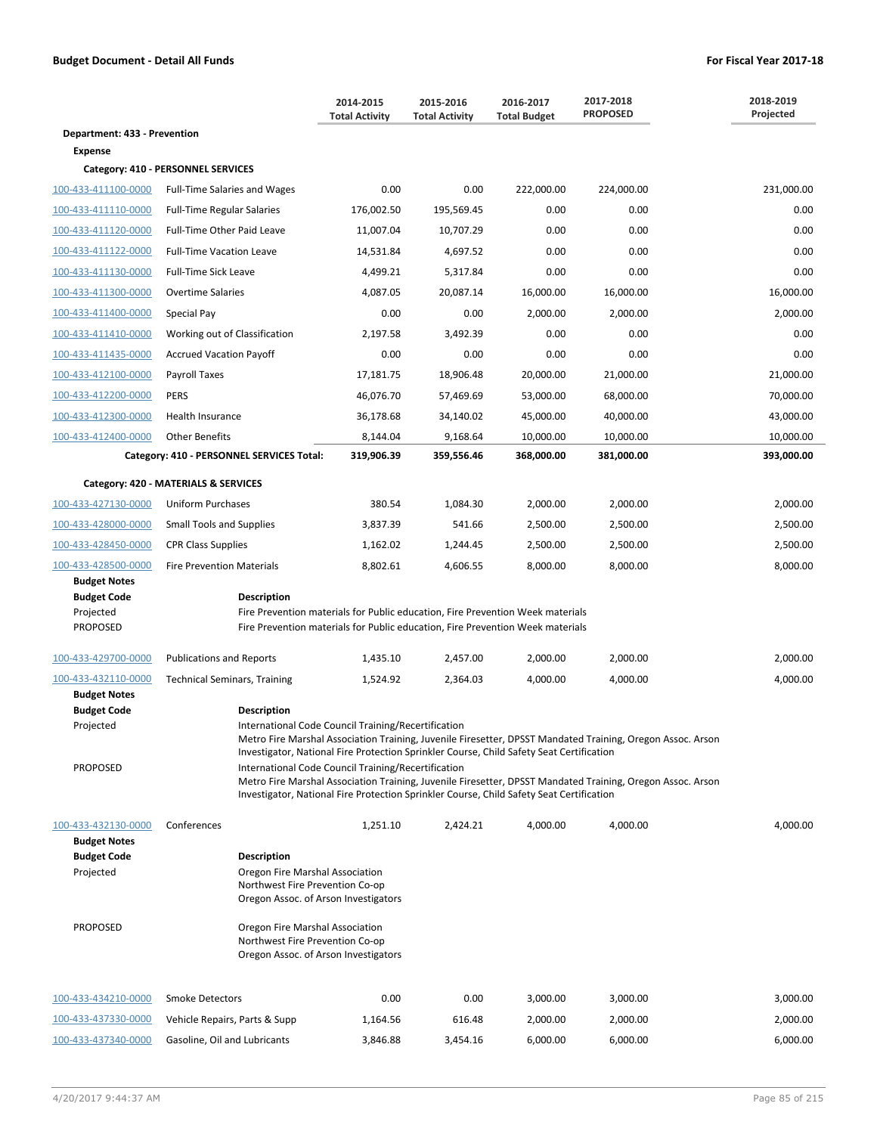|                                            |                                                                                                                                                 | 2014-2015<br><b>Total Activity</b> | 2015-2016<br><b>Total Activity</b> | 2016-2017<br><b>Total Budget</b> | 2017-2018<br><b>PROPOSED</b> | 2018-2019<br>Projected |
|--------------------------------------------|-------------------------------------------------------------------------------------------------------------------------------------------------|------------------------------------|------------------------------------|----------------------------------|------------------------------|------------------------|
| Department: 433 - Prevention               |                                                                                                                                                 |                                    |                                    |                                  |                              |                        |
| <b>Expense</b>                             |                                                                                                                                                 |                                    |                                    |                                  |                              |                        |
|                                            | Category: 410 - PERSONNEL SERVICES                                                                                                              |                                    |                                    |                                  |                              |                        |
| 100-433-411100-0000                        | <b>Full-Time Salaries and Wages</b>                                                                                                             | 0.00                               | 0.00                               | 222,000.00                       | 224,000.00                   | 231,000.00             |
| 100-433-411110-0000                        | <b>Full-Time Regular Salaries</b>                                                                                                               | 176,002.50                         | 195,569.45                         | 0.00                             | 0.00                         | 0.00                   |
| 100-433-411120-0000                        | Full-Time Other Paid Leave                                                                                                                      | 11,007.04                          | 10,707.29                          | 0.00                             | 0.00                         | 0.00                   |
| 100-433-411122-0000                        | <b>Full-Time Vacation Leave</b>                                                                                                                 | 14,531.84                          | 4,697.52                           | 0.00                             | 0.00                         | 0.00                   |
| 100-433-411130-0000                        | Full-Time Sick Leave                                                                                                                            | 4,499.21                           | 5,317.84                           | 0.00                             | 0.00                         | 0.00                   |
| 100-433-411300-0000                        | <b>Overtime Salaries</b>                                                                                                                        | 4,087.05                           | 20,087.14                          | 16,000.00                        | 16,000.00                    | 16,000.00              |
| 100-433-411400-0000                        | Special Pay                                                                                                                                     | 0.00                               | 0.00                               | 2,000.00                         | 2,000.00                     | 2,000.00               |
| 100-433-411410-0000                        | Working out of Classification                                                                                                                   | 2,197.58                           | 3,492.39                           | 0.00                             | 0.00                         | 0.00                   |
| 100-433-411435-0000                        | <b>Accrued Vacation Payoff</b>                                                                                                                  | 0.00                               | 0.00                               | 0.00                             | 0.00                         | 0.00                   |
| 100-433-412100-0000                        | Payroll Taxes                                                                                                                                   | 17,181.75                          | 18,906.48                          | 20,000.00                        | 21,000.00                    | 21,000.00              |
| 100-433-412200-0000                        | <b>PERS</b>                                                                                                                                     | 46,076.70                          | 57,469.69                          | 53,000.00                        | 68,000.00                    | 70,000.00              |
| 100-433-412300-0000                        | Health Insurance                                                                                                                                | 36,178.68                          | 34,140.02                          | 45,000.00                        | 40,000.00                    | 43,000.00              |
| 100-433-412400-0000                        | <b>Other Benefits</b>                                                                                                                           | 8,144.04                           | 9,168.64                           | 10,000.00                        | 10,000.00                    | 10,000.00              |
|                                            | Category: 410 - PERSONNEL SERVICES Total:                                                                                                       | 319,906.39                         | 359,556.46                         | 368,000.00                       | 381,000.00                   | 393,000.00             |
|                                            | Category: 420 - MATERIALS & SERVICES                                                                                                            |                                    |                                    |                                  |                              |                        |
| 100-433-427130-0000                        | Uniform Purchases                                                                                                                               | 380.54                             | 1,084.30                           | 2,000.00                         | 2,000.00                     | 2,000.00               |
| 100-433-428000-0000                        | <b>Small Tools and Supplies</b>                                                                                                                 | 3,837.39                           | 541.66                             | 2,500.00                         | 2,500.00                     | 2,500.00               |
| 100-433-428450-0000                        | <b>CPR Class Supplies</b>                                                                                                                       | 1,162.02                           | 1,244.45                           | 2,500.00                         | 2,500.00                     | 2,500.00               |
| 100-433-428500-0000                        | <b>Fire Prevention Materials</b>                                                                                                                | 8,802.61                           | 4,606.55                           | 8,000.00                         | 8,000.00                     | 8,000.00               |
| <b>Budget Notes</b><br><b>Budget Code</b>  | <b>Description</b>                                                                                                                              |                                    |                                    |                                  |                              |                        |
| Projected                                  | Fire Prevention materials for Public education, Fire Prevention Week materials                                                                  |                                    |                                    |                                  |                              |                        |
| <b>PROPOSED</b>                            | Fire Prevention materials for Public education, Fire Prevention Week materials                                                                  |                                    |                                    |                                  |                              |                        |
| 100-433-429700-0000                        | <b>Publications and Reports</b>                                                                                                                 | 1,435.10                           | 2,457.00                           | 2,000.00                         | 2,000.00                     | 2,000.00               |
| 100-433-432110-0000                        | <b>Technical Seminars, Training</b>                                                                                                             | 1,524.92                           | 2,364.03                           | 4,000.00                         | 4,000.00                     | 4,000.00               |
| <b>Budget Notes</b><br><b>Budget Code</b>  | <b>Description</b>                                                                                                                              |                                    |                                    |                                  |                              |                        |
| Projected                                  | International Code Council Training/Recertification                                                                                             |                                    |                                    |                                  |                              |                        |
|                                            | Metro Fire Marshal Association Training, Juvenile Firesetter, DPSST Mandated Training, Oregon Assoc. Arson                                      |                                    |                                    |                                  |                              |                        |
| <b>PROPOSED</b>                            | Investigator, National Fire Protection Sprinkler Course, Child Safety Seat Certification<br>International Code Council Training/Recertification |                                    |                                    |                                  |                              |                        |
|                                            | Metro Fire Marshal Association Training, Juvenile Firesetter, DPSST Mandated Training, Oregon Assoc. Arson                                      |                                    |                                    |                                  |                              |                        |
|                                            | Investigator, National Fire Protection Sprinkler Course, Child Safety Seat Certification                                                        |                                    |                                    |                                  |                              |                        |
| 100-433-432130-0000<br><b>Budget Notes</b> | Conferences                                                                                                                                     | 1,251.10                           | 2,424.21                           | 4,000.00                         | 4,000.00                     | 4,000.00               |
| <b>Budget Code</b>                         | <b>Description</b>                                                                                                                              |                                    |                                    |                                  |                              |                        |
| Projected                                  | Oregon Fire Marshal Association                                                                                                                 |                                    |                                    |                                  |                              |                        |
|                                            | Northwest Fire Prevention Co-op<br>Oregon Assoc. of Arson Investigators                                                                         |                                    |                                    |                                  |                              |                        |
|                                            |                                                                                                                                                 |                                    |                                    |                                  |                              |                        |
| <b>PROPOSED</b>                            | Oregon Fire Marshal Association<br>Northwest Fire Prevention Co-op                                                                              |                                    |                                    |                                  |                              |                        |
|                                            | Oregon Assoc. of Arson Investigators                                                                                                            |                                    |                                    |                                  |                              |                        |
| 100-433-434210-0000                        | <b>Smoke Detectors</b>                                                                                                                          | 0.00                               | 0.00                               | 3,000.00                         | 3,000.00                     | 3,000.00               |
| 100-433-437330-0000                        | Vehicle Repairs, Parts & Supp                                                                                                                   | 1,164.56                           | 616.48                             | 2,000.00                         | 2,000.00                     | 2,000.00               |
| 100-433-437340-0000                        | Gasoline, Oil and Lubricants                                                                                                                    | 3,846.88                           | 3,454.16                           | 6,000.00                         | 6,000.00                     | 6,000.00               |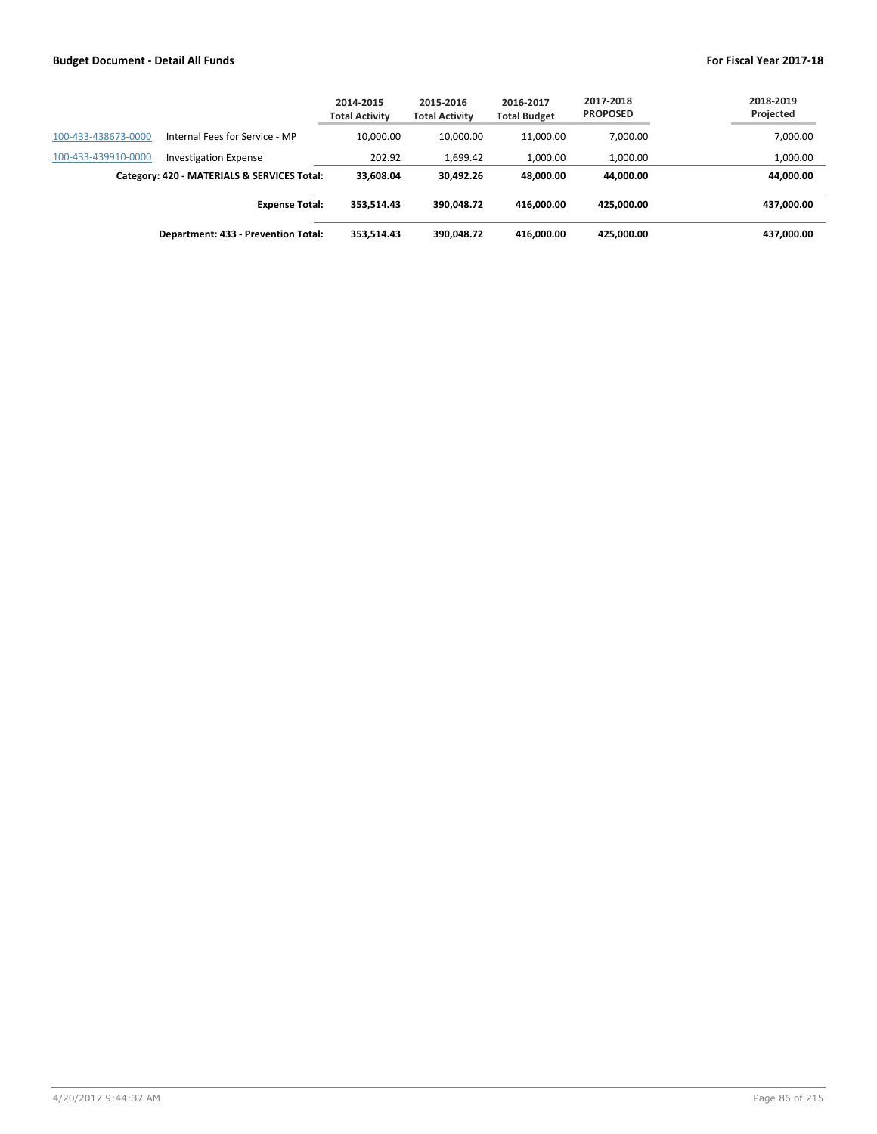|                     |                                             | 2014-2015<br><b>Total Activity</b> | 2015-2016<br><b>Total Activity</b> | 2016-2017<br><b>Total Budget</b> | 2017-2018<br><b>PROPOSED</b> | 2018-2019<br>Projected |
|---------------------|---------------------------------------------|------------------------------------|------------------------------------|----------------------------------|------------------------------|------------------------|
| 100-433-438673-0000 | Internal Fees for Service - MP              | 10.000.00                          | 10.000.00                          | 11.000.00                        | 7,000.00                     | 7,000.00               |
| 100-433-439910-0000 | <b>Investigation Expense</b>                | 202.92                             | 1,699.42                           | 1,000.00                         | 1,000.00                     | 1,000.00               |
|                     | Category: 420 - MATERIALS & SERVICES Total: | 33.608.04                          | 30.492.26                          | 48.000.00                        | 44.000.00                    | 44,000.00              |
|                     | <b>Expense Total:</b>                       | 353.514.43                         | 390.048.72                         | 416.000.00                       | 425.000.00                   | 437,000.00             |
|                     | Department: 433 - Prevention Total:         | 353.514.43                         | 390.048.72                         | 416.000.00                       | 425.000.00                   | 437,000.00             |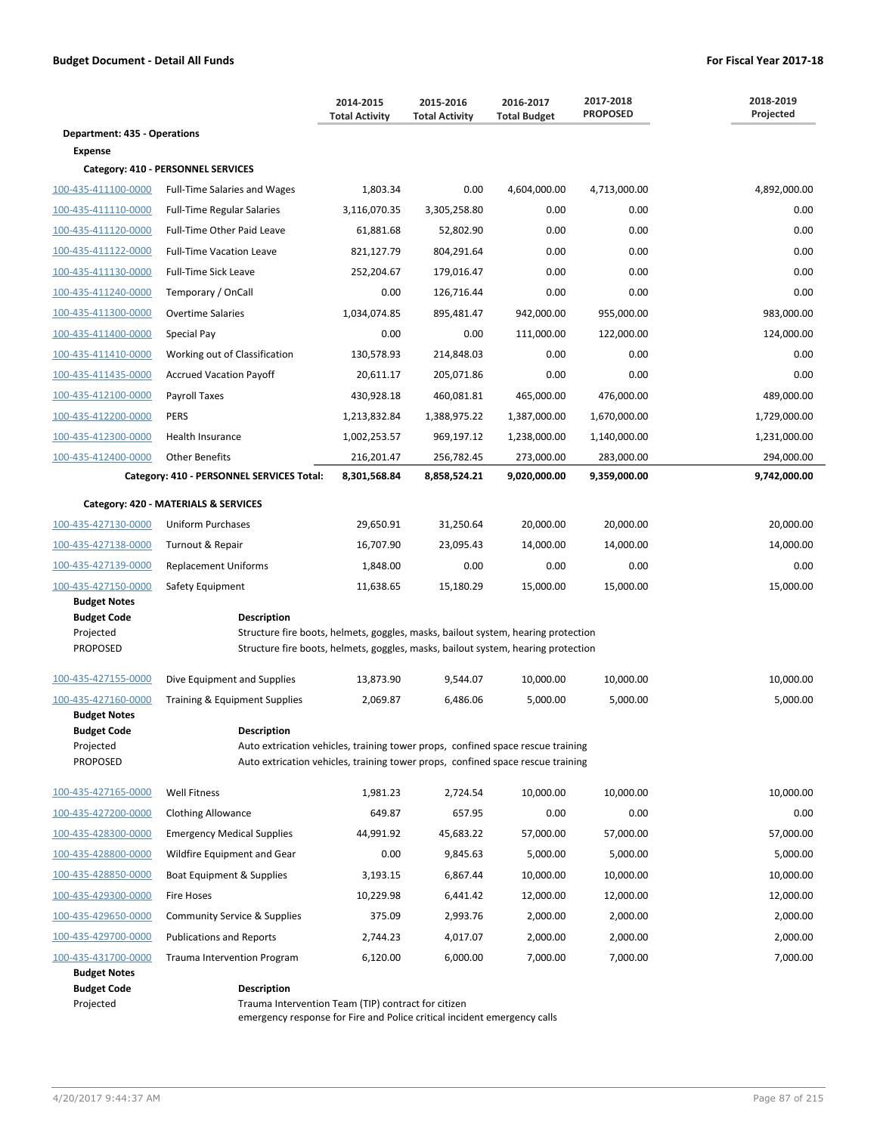|                                           |                                                                                                       | 2014-2015<br><b>Total Activity</b> | 2015-2016<br><b>Total Activity</b> | 2016-2017<br><b>Total Budget</b> | 2017-2018<br><b>PROPOSED</b> | 2018-2019<br>Projected |
|-------------------------------------------|-------------------------------------------------------------------------------------------------------|------------------------------------|------------------------------------|----------------------------------|------------------------------|------------------------|
| <b>Department: 435 - Operations</b>       |                                                                                                       |                                    |                                    |                                  |                              |                        |
| <b>Expense</b>                            |                                                                                                       |                                    |                                    |                                  |                              |                        |
|                                           | Category: 410 - PERSONNEL SERVICES                                                                    |                                    |                                    |                                  |                              |                        |
| 100-435-411100-0000                       | <b>Full-Time Salaries and Wages</b>                                                                   | 1,803.34                           | 0.00                               | 4,604,000.00                     | 4,713,000.00                 | 4,892,000.00           |
| 100-435-411110-0000                       | <b>Full-Time Regular Salaries</b>                                                                     | 3,116,070.35                       | 3,305,258.80                       | 0.00                             | 0.00                         | 0.00                   |
| 100-435-411120-0000                       | Full-Time Other Paid Leave                                                                            | 61,881.68                          | 52,802.90                          | 0.00                             | 0.00                         | 0.00                   |
| 100-435-411122-0000                       | <b>Full-Time Vacation Leave</b>                                                                       | 821,127.79                         | 804,291.64                         | 0.00                             | 0.00                         | 0.00                   |
| 100-435-411130-0000                       | <b>Full-Time Sick Leave</b>                                                                           | 252,204.67                         | 179,016.47                         | 0.00                             | 0.00                         | 0.00                   |
| 100-435-411240-0000                       | Temporary / OnCall                                                                                    | 0.00                               | 126,716.44                         | 0.00                             | 0.00                         | 0.00                   |
| 100-435-411300-0000                       | <b>Overtime Salaries</b>                                                                              | 1,034,074.85                       | 895,481.47                         | 942,000.00                       | 955,000.00                   | 983,000.00             |
| 100-435-411400-0000                       | Special Pay                                                                                           | 0.00                               | 0.00                               | 111,000.00                       | 122,000.00                   | 124,000.00             |
| 100-435-411410-0000                       | Working out of Classification                                                                         | 130,578.93                         | 214,848.03                         | 0.00                             | 0.00                         | 0.00                   |
| 100-435-411435-0000                       | <b>Accrued Vacation Payoff</b>                                                                        | 20,611.17                          | 205,071.86                         | 0.00                             | 0.00                         | 0.00                   |
| 100-435-412100-0000                       | Payroll Taxes                                                                                         | 430,928.18                         | 460,081.81                         | 465,000.00                       | 476,000.00                   | 489,000.00             |
| 100-435-412200-0000                       | <b>PERS</b>                                                                                           | 1,213,832.84                       | 1,388,975.22                       | 1,387,000.00                     | 1,670,000.00                 | 1,729,000.00           |
| 100-435-412300-0000                       | Health Insurance                                                                                      | 1,002,253.57                       | 969,197.12                         | 1,238,000.00                     | 1,140,000.00                 | 1,231,000.00           |
| 100-435-412400-0000                       | <b>Other Benefits</b>                                                                                 | 216,201.47                         | 256,782.45                         | 273,000.00                       | 283,000.00                   | 294,000.00             |
|                                           | Category: 410 - PERSONNEL SERVICES Total:                                                             | 8,301,568.84                       | 8,858,524.21                       | 9,020,000.00                     | 9,359,000.00                 | 9,742,000.00           |
|                                           | Category: 420 - MATERIALS & SERVICES                                                                  |                                    |                                    |                                  |                              |                        |
| 100-435-427130-0000                       | Uniform Purchases                                                                                     | 29,650.91                          | 31,250.64                          | 20,000.00                        | 20,000.00                    | 20,000.00              |
| 100-435-427138-0000                       | Turnout & Repair                                                                                      | 16,707.90                          | 23,095.43                          | 14,000.00                        | 14,000.00                    | 14,000.00              |
| 100-435-427139-0000                       | <b>Replacement Uniforms</b>                                                                           | 1,848.00                           | 0.00                               | 0.00                             | 0.00                         | 0.00                   |
| 100-435-427150-0000                       | Safety Equipment                                                                                      | 11,638.65                          | 15,180.29                          | 15,000.00                        | 15,000.00                    | 15,000.00              |
| <b>Budget Notes</b><br><b>Budget Code</b> | <b>Description</b>                                                                                    |                                    |                                    |                                  |                              |                        |
| Projected                                 | Structure fire boots, helmets, goggles, masks, bailout system, hearing protection                     |                                    |                                    |                                  |                              |                        |
| <b>PROPOSED</b>                           | Structure fire boots, helmets, goggles, masks, bailout system, hearing protection                     |                                    |                                    |                                  |                              |                        |
| 100-435-427155-0000                       | Dive Equipment and Supplies                                                                           | 13,873.90                          | 9,544.07                           | 10,000.00                        | 10,000.00                    | 10,000.00              |
| 100-435-427160-0000                       | <b>Training &amp; Equipment Supplies</b>                                                              | 2,069.87                           | 6,486.06                           | 5,000.00                         | 5,000.00                     | 5,000.00               |
| <b>Budget Notes</b>                       |                                                                                                       |                                    |                                    |                                  |                              |                        |
| <b>Budget Code</b><br>Projected           | <b>Description</b><br>Auto extrication vehicles, training tower props, confined space rescue training |                                    |                                    |                                  |                              |                        |
| <b>PROPOSED</b>                           | Auto extrication vehicles, training tower props, confined space rescue training                       |                                    |                                    |                                  |                              |                        |
| 100-435-427165-0000                       | <b>Well Fitness</b>                                                                                   | 1,981.23                           | 2,724.54                           | 10,000.00                        | 10,000.00                    | 10,000.00              |
| 100-435-427200-0000                       | <b>Clothing Allowance</b>                                                                             | 649.87                             | 657.95                             | 0.00                             | 0.00                         | 0.00                   |
| 100-435-428300-0000                       | <b>Emergency Medical Supplies</b>                                                                     | 44,991.92                          | 45,683.22                          | 57,000.00                        | 57,000.00                    | 57,000.00              |
| 100-435-428800-0000                       | Wildfire Equipment and Gear                                                                           | 0.00                               | 9,845.63                           | 5,000.00                         | 5,000.00                     | 5,000.00               |
| 100-435-428850-0000                       | Boat Equipment & Supplies                                                                             | 3,193.15                           | 6,867.44                           | 10,000.00                        | 10,000.00                    | 10,000.00              |
| 100-435-429300-0000                       | Fire Hoses                                                                                            | 10,229.98                          | 6,441.42                           | 12,000.00                        | 12,000.00                    | 12,000.00              |
| 100-435-429650-0000                       | <b>Community Service &amp; Supplies</b>                                                               | 375.09                             | 2,993.76                           | 2,000.00                         | 2,000.00                     | 2,000.00               |
| 100-435-429700-0000                       | <b>Publications and Reports</b>                                                                       | 2,744.23                           | 4,017.07                           | 2,000.00                         | 2,000.00                     | 2,000.00               |
| 100-435-431700-0000                       | <b>Trauma Intervention Program</b>                                                                    | 6,120.00                           | 6,000.00                           | 7,000.00                         | 7,000.00                     | 7,000.00               |
| <b>Budget Notes</b>                       |                                                                                                       |                                    |                                    |                                  |                              |                        |
| <b>Budget Code</b><br>Projected           | <b>Description</b><br>Trauma Intervention Team (TIP) contract for citizen                             |                                    |                                    |                                  |                              |                        |

emergency response for Fire and Police critical incident emergency calls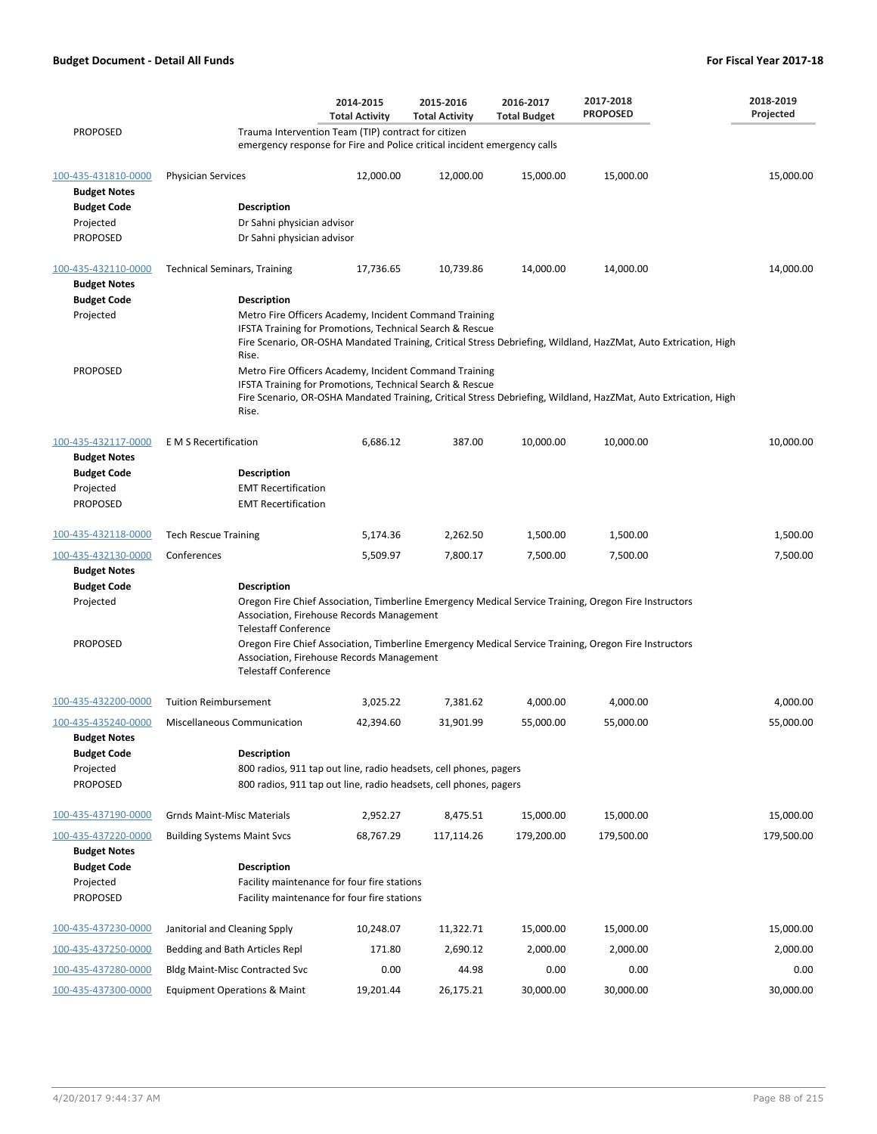|                                            |                                         | 2014-2015<br><b>Total Activity</b>                                                                                 | 2015-2016<br><b>Total Activity</b> | 2016-2017<br><b>Total Budget</b> | 2017-2018<br><b>PROPOSED</b>                                                                                    | 2018-2019<br>Projected |
|--------------------------------------------|-----------------------------------------|--------------------------------------------------------------------------------------------------------------------|------------------------------------|----------------------------------|-----------------------------------------------------------------------------------------------------------------|------------------------|
| <b>PROPOSED</b>                            |                                         | Trauma Intervention Team (TIP) contract for citizen                                                                |                                    |                                  |                                                                                                                 |                        |
|                                            |                                         | emergency response for Fire and Police critical incident emergency calls                                           |                                    |                                  |                                                                                                                 |                        |
| 100-435-431810-0000<br><b>Budget Notes</b> | <b>Physician Services</b>               | 12,000.00                                                                                                          | 12,000.00                          | 15,000.00                        | 15,000.00                                                                                                       | 15,000.00              |
| <b>Budget Code</b>                         | <b>Description</b>                      |                                                                                                                    |                                    |                                  |                                                                                                                 |                        |
| Projected                                  | Dr Sahni physician advisor              |                                                                                                                    |                                    |                                  |                                                                                                                 |                        |
| PROPOSED                                   | Dr Sahni physician advisor              |                                                                                                                    |                                    |                                  |                                                                                                                 |                        |
| 100-435-432110-0000                        | <b>Technical Seminars, Training</b>     | 17,736.65                                                                                                          | 10,739.86                          | 14,000.00                        | 14,000.00                                                                                                       | 14,000.00              |
| <b>Budget Notes</b>                        |                                         |                                                                                                                    |                                    |                                  |                                                                                                                 |                        |
| <b>Budget Code</b>                         | <b>Description</b>                      |                                                                                                                    |                                    |                                  |                                                                                                                 |                        |
| Projected                                  |                                         | Metro Fire Officers Academy, Incident Command Training                                                             |                                    |                                  |                                                                                                                 |                        |
|                                            | Rise.                                   | IFSTA Training for Promotions, Technical Search & Rescue                                                           |                                    |                                  | Fire Scenario, OR-OSHA Mandated Training, Critical Stress Debriefing, Wildland, HazZMat, Auto Extrication, High |                        |
| PROPOSED                                   |                                         | Metro Fire Officers Academy, Incident Command Training<br>IFSTA Training for Promotions, Technical Search & Rescue |                                    |                                  |                                                                                                                 |                        |
|                                            | Rise.                                   |                                                                                                                    |                                    |                                  | Fire Scenario, OR-OSHA Mandated Training, Critical Stress Debriefing, Wildland, HazZMat, Auto Extrication, High |                        |
| 100-435-432117-0000<br><b>Budget Notes</b> | E M S Recertification                   | 6,686.12                                                                                                           | 387.00                             | 10,000.00                        | 10,000.00                                                                                                       | 10,000.00              |
| <b>Budget Code</b>                         | <b>Description</b>                      |                                                                                                                    |                                    |                                  |                                                                                                                 |                        |
| Projected                                  | <b>EMT Recertification</b>              |                                                                                                                    |                                    |                                  |                                                                                                                 |                        |
| PROPOSED                                   | <b>EMT Recertification</b>              |                                                                                                                    |                                    |                                  |                                                                                                                 |                        |
| 100-435-432118-0000                        | <b>Tech Rescue Training</b>             | 5,174.36                                                                                                           | 2,262.50                           | 1,500.00                         | 1,500.00                                                                                                        | 1,500.00               |
| 100-435-432130-0000                        | Conferences                             | 5,509.97                                                                                                           | 7,800.17                           | 7,500.00                         | 7,500.00                                                                                                        | 7,500.00               |
| <b>Budget Notes</b>                        |                                         |                                                                                                                    |                                    |                                  |                                                                                                                 |                        |
| <b>Budget Code</b>                         | <b>Description</b>                      |                                                                                                                    |                                    |                                  |                                                                                                                 |                        |
| Projected                                  | <b>Telestaff Conference</b>             | Association, Firehouse Records Management                                                                          |                                    |                                  | Oregon Fire Chief Association, Timberline Emergency Medical Service Training, Oregon Fire Instructors           |                        |
| PROPOSED                                   | <b>Telestaff Conference</b>             | Association, Firehouse Records Management                                                                          |                                    |                                  | Oregon Fire Chief Association, Timberline Emergency Medical Service Training, Oregon Fire Instructors           |                        |
| 100-435-432200-0000                        | <b>Tuition Reimbursement</b>            | 3,025.22                                                                                                           | 7,381.62                           | 4,000.00                         | 4,000.00                                                                                                        | 4,000.00               |
| 100-435-435240-0000                        | <b>Miscellaneous Communication</b>      | 42,394.60                                                                                                          | 31,901.99                          | 55,000.00                        | 55,000.00                                                                                                       | 55,000.00              |
| <b>Budget Notes</b>                        |                                         |                                                                                                                    |                                    |                                  |                                                                                                                 |                        |
| <b>Budget Code</b>                         | <b>Description</b>                      |                                                                                                                    |                                    |                                  |                                                                                                                 |                        |
| Projected                                  |                                         | 800 radios, 911 tap out line, radio headsets, cell phones, pagers                                                  |                                    |                                  |                                                                                                                 |                        |
| PROPOSED                                   |                                         | 800 radios, 911 tap out line, radio headsets, cell phones, pagers                                                  |                                    |                                  |                                                                                                                 |                        |
| 100-435-437190-0000                        | <b>Grnds Maint-Misc Materials</b>       | 2,952.27                                                                                                           | 8,475.51                           | 15,000.00                        | 15,000.00                                                                                                       | 15,000.00              |
| 100-435-437220-0000                        | <b>Building Systems Maint Svcs</b>      | 68,767.29                                                                                                          | 117,114.26                         | 179,200.00                       | 179,500.00                                                                                                      | 179,500.00             |
| <b>Budget Notes</b>                        |                                         |                                                                                                                    |                                    |                                  |                                                                                                                 |                        |
| <b>Budget Code</b>                         | <b>Description</b>                      |                                                                                                                    |                                    |                                  |                                                                                                                 |                        |
| Projected<br>PROPOSED                      |                                         | Facility maintenance for four fire stations                                                                        |                                    |                                  |                                                                                                                 |                        |
|                                            |                                         | Facility maintenance for four fire stations                                                                        |                                    |                                  |                                                                                                                 |                        |
| 100-435-437230-0000                        | Janitorial and Cleaning Spply           | 10,248.07                                                                                                          | 11,322.71                          | 15,000.00                        | 15,000.00                                                                                                       | 15,000.00              |
| 100-435-437250-0000                        | Bedding and Bath Articles Repl          | 171.80                                                                                                             | 2,690.12                           | 2,000.00                         | 2,000.00                                                                                                        | 2,000.00               |
| 100-435-437280-0000                        | <b>Bldg Maint-Misc Contracted Svc</b>   | 0.00                                                                                                               | 44.98                              | 0.00                             | 0.00                                                                                                            | 0.00                   |
| 100-435-437300-0000                        | <b>Equipment Operations &amp; Maint</b> | 19,201.44                                                                                                          | 26,175.21                          | 30,000.00                        | 30,000.00                                                                                                       | 30,000.00              |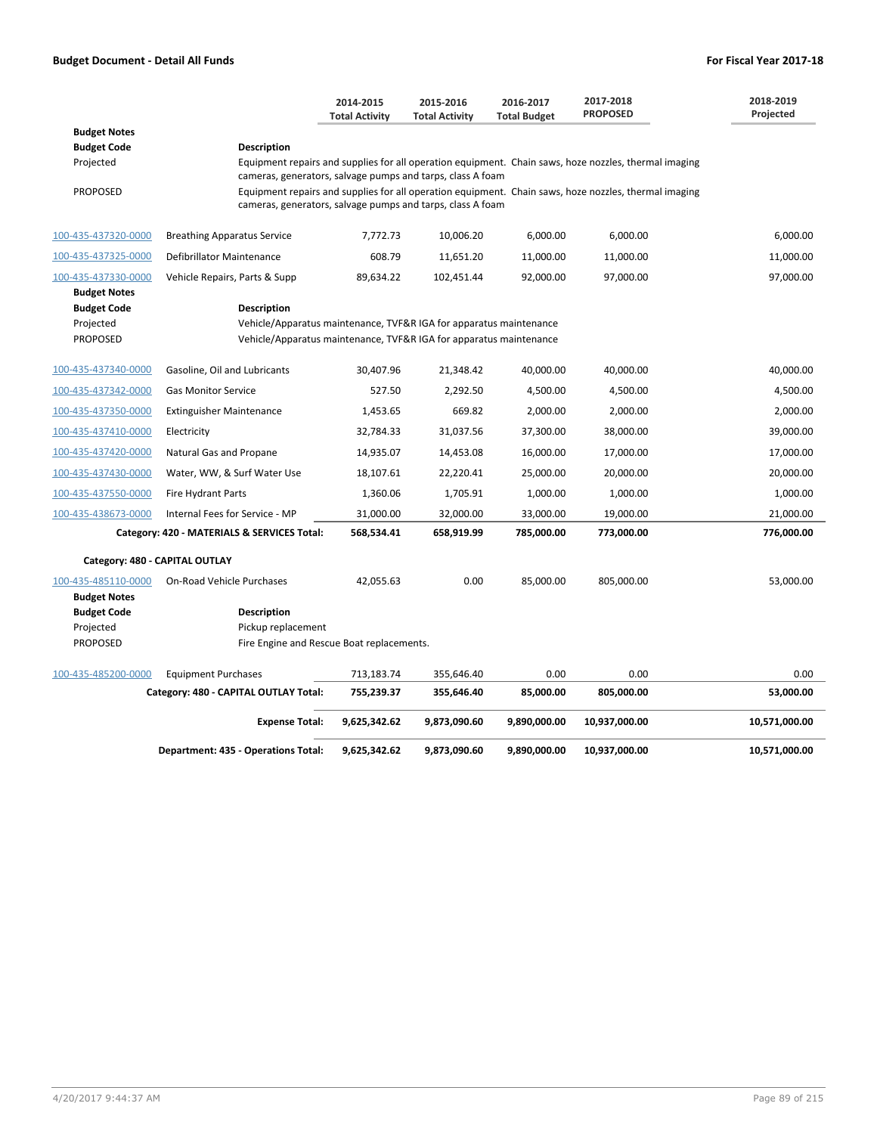|                                                                           |                                                                                                                                                                | 2014-2015<br><b>Total Activity</b> | 2015-2016<br><b>Total Activity</b> | 2016-2017<br><b>Total Budget</b> | 2017-2018<br><b>PROPOSED</b>                                                                          | 2018-2019<br>Projected |
|---------------------------------------------------------------------------|----------------------------------------------------------------------------------------------------------------------------------------------------------------|------------------------------------|------------------------------------|----------------------------------|-------------------------------------------------------------------------------------------------------|------------------------|
| <b>Budget Notes</b>                                                       |                                                                                                                                                                |                                    |                                    |                                  |                                                                                                       |                        |
| <b>Budget Code</b>                                                        | <b>Description</b>                                                                                                                                             |                                    |                                    |                                  |                                                                                                       |                        |
| Projected                                                                 |                                                                                                                                                                |                                    |                                    |                                  | Equipment repairs and supplies for all operation equipment. Chain saws, hoze nozzles, thermal imaging |                        |
| <b>PROPOSED</b>                                                           | cameras, generators, salvage pumps and tarps, class A foam<br>cameras, generators, salvage pumps and tarps, class A foam                                       |                                    |                                    |                                  | Equipment repairs and supplies for all operation equipment. Chain saws, hoze nozzles, thermal imaging |                        |
| 100-435-437320-0000                                                       | <b>Breathing Apparatus Service</b>                                                                                                                             | 7,772.73                           | 10,006.20                          | 6,000.00                         | 6,000.00                                                                                              | 6,000.00               |
| 100-435-437325-0000                                                       | Defibrillator Maintenance                                                                                                                                      | 608.79                             | 11,651.20                          | 11,000.00                        | 11,000.00                                                                                             | 11,000.00              |
| 100-435-437330-0000                                                       | Vehicle Repairs, Parts & Supp                                                                                                                                  | 89,634.22                          | 102,451.44                         | 92,000.00                        | 97,000.00                                                                                             | 97,000.00              |
| <b>Budget Notes</b><br><b>Budget Code</b><br>Projected<br><b>PROPOSED</b> | <b>Description</b><br>Vehicle/Apparatus maintenance, TVF&R IGA for apparatus maintenance<br>Vehicle/Apparatus maintenance, TVF&R IGA for apparatus maintenance |                                    |                                    |                                  |                                                                                                       |                        |
| 100-435-437340-0000                                                       | Gasoline, Oil and Lubricants                                                                                                                                   | 30,407.96                          | 21,348.42                          | 40,000.00                        | 40,000.00                                                                                             | 40,000.00              |
| 100-435-437342-0000                                                       | <b>Gas Monitor Service</b>                                                                                                                                     | 527.50                             | 2,292.50                           | 4,500.00                         | 4,500.00                                                                                              | 4,500.00               |
| 100-435-437350-0000                                                       | <b>Extinguisher Maintenance</b>                                                                                                                                | 1,453.65                           | 669.82                             | 2,000.00                         | 2,000.00                                                                                              | 2,000.00               |
| 100-435-437410-0000                                                       | Electricity                                                                                                                                                    | 32,784.33                          | 31,037.56                          | 37,300.00                        | 38,000.00                                                                                             | 39,000.00              |
| 100-435-437420-0000                                                       |                                                                                                                                                                |                                    |                                    |                                  |                                                                                                       |                        |
|                                                                           | Natural Gas and Propane                                                                                                                                        | 14,935.07                          | 14,453.08                          | 16,000.00                        | 17,000.00                                                                                             | 17,000.00              |
| 100-435-437430-0000                                                       | Water, WW, & Surf Water Use                                                                                                                                    | 18,107.61                          | 22,220.41                          | 25,000.00                        | 20,000.00                                                                                             | 20,000.00              |
| 100-435-437550-0000                                                       | Fire Hydrant Parts                                                                                                                                             | 1,360.06                           | 1,705.91                           | 1,000.00                         | 1,000.00                                                                                              | 1,000.00               |
| 100-435-438673-0000                                                       | Internal Fees for Service - MP                                                                                                                                 | 31,000.00                          | 32,000.00                          | 33,000.00                        | 19,000.00                                                                                             | 21,000.00              |
|                                                                           | Category: 420 - MATERIALS & SERVICES Total:                                                                                                                    | 568,534.41                         | 658,919.99                         | 785,000.00                       | 773,000.00                                                                                            | 776,000.00             |
| Category: 480 - CAPITAL OUTLAY                                            |                                                                                                                                                                |                                    |                                    |                                  |                                                                                                       |                        |
| 100-435-485110-0000<br><b>Budget Notes</b>                                | On-Road Vehicle Purchases                                                                                                                                      | 42,055.63                          | 0.00                               | 85,000.00                        | 805,000.00                                                                                            | 53,000.00              |
| <b>Budget Code</b><br>Projected<br><b>PROPOSED</b>                        | <b>Description</b><br>Pickup replacement<br>Fire Engine and Rescue Boat replacements.                                                                          |                                    |                                    |                                  |                                                                                                       |                        |
| 100-435-485200-0000                                                       | <b>Equipment Purchases</b>                                                                                                                                     | 713,183.74                         | 355,646.40                         | 0.00                             | 0.00                                                                                                  | 0.00                   |
|                                                                           | Category: 480 - CAPITAL OUTLAY Total:                                                                                                                          | 755,239.37                         | 355,646.40                         | 85,000.00                        | 805,000.00                                                                                            | 53,000.00              |
|                                                                           | <b>Expense Total:</b>                                                                                                                                          | 9,625,342.62                       | 9,873,090.60                       | 9,890,000.00                     | 10,937,000.00                                                                                         | 10,571,000.00          |
|                                                                           | Department: 435 - Operations Total:                                                                                                                            | 9,625,342.62                       | 9,873,090.60                       | 9,890,000.00                     | 10,937,000.00                                                                                         | 10,571,000.00          |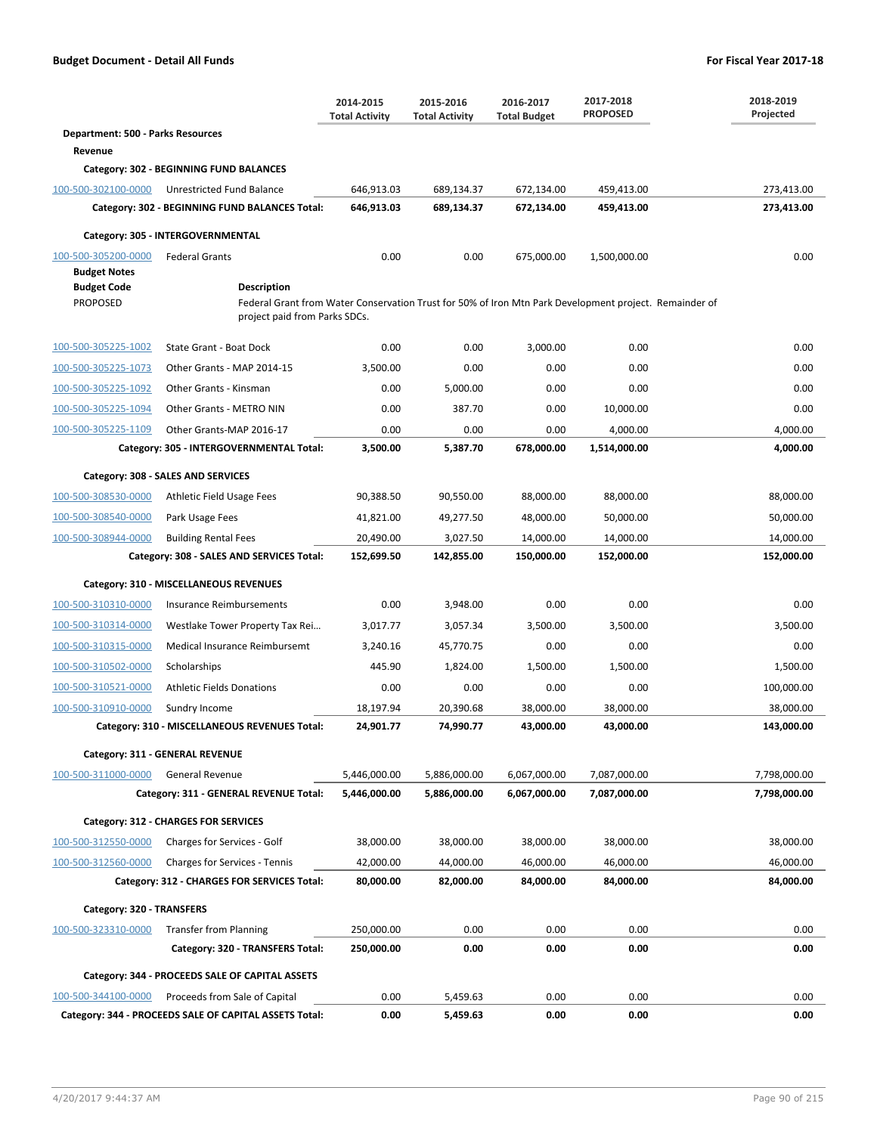|                                          |                                                                                                                              | 2014-2015<br><b>Total Activity</b> | 2015-2016<br><b>Total Activity</b> | 2016-2017<br><b>Total Budget</b> | 2017-2018<br><b>PROPOSED</b> | 2018-2019<br>Projected |
|------------------------------------------|------------------------------------------------------------------------------------------------------------------------------|------------------------------------|------------------------------------|----------------------------------|------------------------------|------------------------|
| <b>Department: 500 - Parks Resources</b> |                                                                                                                              |                                    |                                    |                                  |                              |                        |
| Revenue                                  |                                                                                                                              |                                    |                                    |                                  |                              |                        |
|                                          | Category: 302 - BEGINNING FUND BALANCES                                                                                      |                                    |                                    |                                  |                              |                        |
| 100-500-302100-0000                      | Unrestricted Fund Balance                                                                                                    | 646,913.03                         | 689,134.37                         | 672,134.00                       | 459,413.00                   | 273,413.00             |
|                                          | Category: 302 - BEGINNING FUND BALANCES Total:                                                                               | 646,913.03                         | 689,134.37                         | 672,134.00                       | 459,413.00                   | 273,413.00             |
|                                          | Category: 305 - INTERGOVERNMENTAL                                                                                            |                                    |                                    |                                  |                              |                        |
| 100-500-305200-0000                      | <b>Federal Grants</b>                                                                                                        | 0.00                               | 0.00                               | 675,000.00                       | 1,500,000.00                 | 0.00                   |
| <b>Budget Notes</b>                      |                                                                                                                              |                                    |                                    |                                  |                              |                        |
| <b>Budget Code</b><br><b>PROPOSED</b>    | <b>Description</b><br>Federal Grant from Water Conservation Trust for 50% of Iron Mtn Park Development project. Remainder of |                                    |                                    |                                  |                              |                        |
|                                          | project paid from Parks SDCs.                                                                                                |                                    |                                    |                                  |                              |                        |
| 100-500-305225-1002                      | State Grant - Boat Dock                                                                                                      | 0.00                               | 0.00                               | 3,000.00                         | 0.00                         | 0.00                   |
| 100-500-305225-1073                      | Other Grants - MAP 2014-15                                                                                                   | 3,500.00                           | 0.00                               | 0.00                             | 0.00                         | 0.00                   |
| 100-500-305225-1092                      | Other Grants - Kinsman                                                                                                       | 0.00                               | 5,000.00                           | 0.00                             | 0.00                         | 0.00                   |
| 100-500-305225-1094                      | Other Grants - METRO NIN                                                                                                     | 0.00                               | 387.70                             | 0.00                             | 10,000.00                    | 0.00                   |
| 100-500-305225-1109                      | Other Grants-MAP 2016-17                                                                                                     | 0.00                               | 0.00                               | 0.00                             | 4,000.00                     | 4,000.00               |
|                                          | Category: 305 - INTERGOVERNMENTAL Total:                                                                                     | 3,500.00                           | 5,387.70                           | 678,000.00                       | 1,514,000.00                 | 4,000.00               |
|                                          | Category: 308 - SALES AND SERVICES                                                                                           |                                    |                                    |                                  |                              |                        |
| 100-500-308530-0000                      | Athletic Field Usage Fees                                                                                                    | 90,388.50                          | 90,550.00                          | 88,000.00                        | 88,000.00                    | 88,000.00              |
| 100-500-308540-0000                      | Park Usage Fees                                                                                                              | 41,821.00                          | 49,277.50                          | 48,000.00                        | 50,000.00                    | 50,000.00              |
| 100-500-308944-0000                      | <b>Building Rental Fees</b>                                                                                                  | 20,490.00                          | 3,027.50                           | 14,000.00                        | 14,000.00                    | 14,000.00              |
|                                          | Category: 308 - SALES AND SERVICES Total:                                                                                    | 152,699.50                         | 142,855.00                         | 150,000.00                       | 152,000.00                   | 152,000.00             |
|                                          | Category: 310 - MISCELLANEOUS REVENUES                                                                                       |                                    |                                    |                                  |                              |                        |
| 100-500-310310-0000                      | Insurance Reimbursements                                                                                                     | 0.00                               | 3,948.00                           | 0.00                             | 0.00                         | 0.00                   |
| 100-500-310314-0000                      | Westlake Tower Property Tax Rei                                                                                              | 3,017.77                           | 3,057.34                           | 3,500.00                         | 3,500.00                     | 3,500.00               |
| 100-500-310315-0000                      | Medical Insurance Reimbursemt                                                                                                | 3,240.16                           | 45,770.75                          | 0.00                             | 0.00                         | 0.00                   |
| 100-500-310502-0000                      | Scholarships                                                                                                                 | 445.90                             | 1,824.00                           | 1,500.00                         | 1,500.00                     | 1,500.00               |
| 100-500-310521-0000                      | <b>Athletic Fields Donations</b>                                                                                             | 0.00                               | 0.00                               | 0.00                             | 0.00                         | 100,000.00             |
| 100-500-310910-0000                      | Sundry Income                                                                                                                | 18,197.94                          | 20,390.68                          | 38,000.00                        | 38,000.00                    | 38,000.00              |
|                                          | Category: 310 - MISCELLANEOUS REVENUES Total:                                                                                | 24,901.77                          | 74,990.77                          | 43,000.00                        | 43,000.00                    | 143,000.00             |
|                                          | Category: 311 - GENERAL REVENUE                                                                                              |                                    |                                    |                                  |                              |                        |
| 100-500-311000-0000                      | <b>General Revenue</b>                                                                                                       | 5,446,000.00                       | 5,886,000.00                       | 6,067,000.00                     | 7,087,000.00                 | 7,798,000.00           |
|                                          | Category: 311 - GENERAL REVENUE Total:                                                                                       | 5,446,000.00                       | 5,886,000.00                       | 6,067,000.00                     | 7,087,000.00                 | 7,798,000.00           |
|                                          | Category: 312 - CHARGES FOR SERVICES                                                                                         |                                    |                                    |                                  |                              |                        |
| 100-500-312550-0000                      | Charges for Services - Golf                                                                                                  | 38,000.00                          | 38,000.00                          | 38,000.00                        | 38,000.00                    | 38,000.00              |
| 100-500-312560-0000                      | Charges for Services - Tennis                                                                                                | 42,000.00                          | 44,000.00                          | 46,000.00                        | 46,000.00                    | 46,000.00              |
|                                          | Category: 312 - CHARGES FOR SERVICES Total:                                                                                  | 80,000.00                          | 82,000.00                          | 84,000.00                        | 84,000.00                    | 84,000.00              |
| Category: 320 - TRANSFERS                |                                                                                                                              |                                    |                                    |                                  |                              |                        |
| 100-500-323310-0000                      | <b>Transfer from Planning</b>                                                                                                | 250,000.00                         | 0.00                               | 0.00                             | 0.00                         | 0.00                   |
|                                          | Category: 320 - TRANSFERS Total:                                                                                             | 250,000.00                         | 0.00                               | 0.00                             | 0.00                         | 0.00                   |
|                                          | Category: 344 - PROCEEDS SALE OF CAPITAL ASSETS                                                                              |                                    |                                    |                                  |                              |                        |
| 100-500-344100-0000                      | Proceeds from Sale of Capital                                                                                                | 0.00                               | 5,459.63                           | 0.00                             | 0.00                         | 0.00                   |
|                                          | Category: 344 - PROCEEDS SALE OF CAPITAL ASSETS Total:                                                                       | 0.00                               | 5,459.63                           | 0.00                             | 0.00                         | 0.00                   |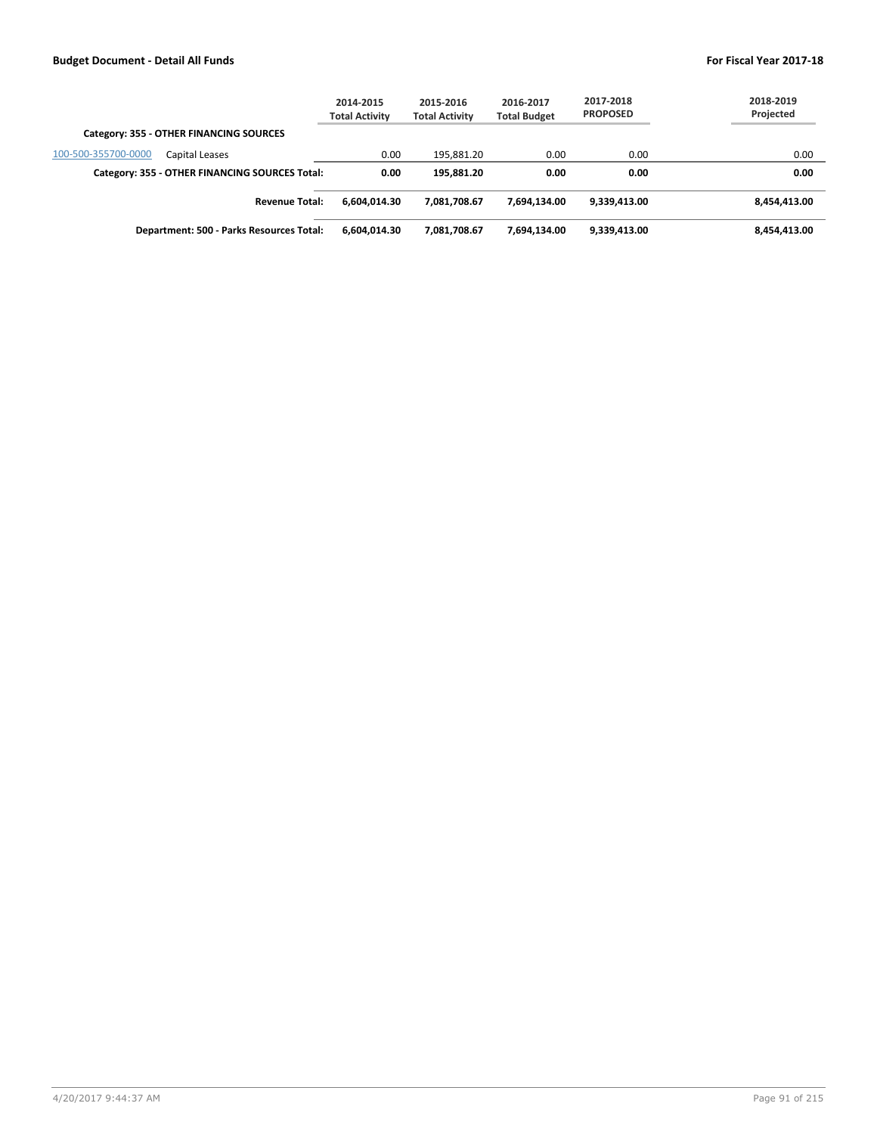|                                                | 2014-2015<br><b>Total Activity</b> | 2015-2016<br><b>Total Activity</b> | 2016-2017<br><b>Total Budget</b> | 2017-2018<br><b>PROPOSED</b> | 2018-2019<br>Projected |
|------------------------------------------------|------------------------------------|------------------------------------|----------------------------------|------------------------------|------------------------|
| Category: 355 - OTHER FINANCING SOURCES        |                                    |                                    |                                  |                              |                        |
| 100-500-355700-0000<br>Capital Leases          | 0.00                               | 195.881.20                         | 0.00                             | 0.00                         | 0.00                   |
| Category: 355 - OTHER FINANCING SOURCES Total: | 0.00                               | 195.881.20                         | 0.00                             | 0.00                         | 0.00                   |
| <b>Revenue Total:</b>                          | 6.604.014.30                       | 7.081.708.67                       | 7.694.134.00                     | 9,339,413.00                 | 8,454,413.00           |
| Department: 500 - Parks Resources Total:       | 6,604,014.30                       | 7.081.708.67                       | 7.694.134.00                     | 9,339,413.00                 | 8,454,413.00           |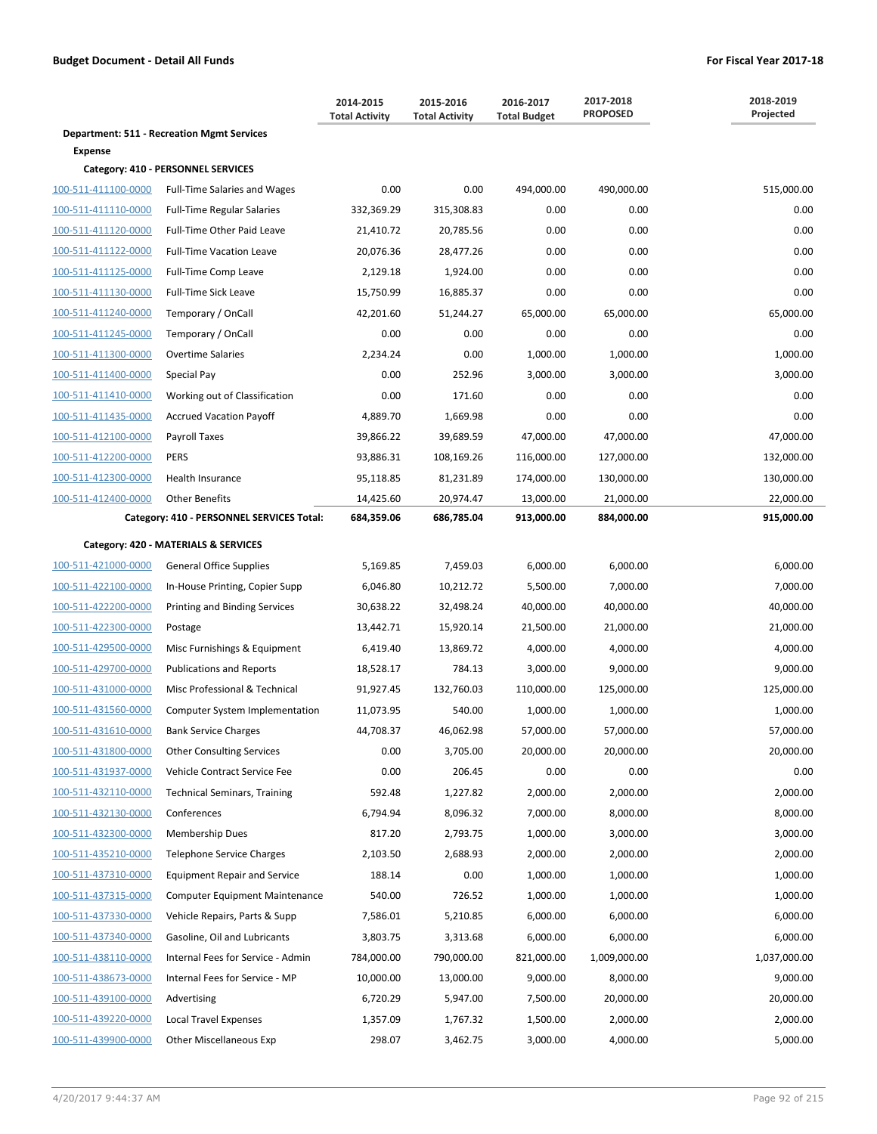|                     |                                                   | 2014-2015<br><b>Total Activity</b> | 2015-2016<br><b>Total Activity</b> | 2016-2017<br><b>Total Budget</b> | 2017-2018<br><b>PROPOSED</b> | 2018-2019<br>Projected |
|---------------------|---------------------------------------------------|------------------------------------|------------------------------------|----------------------------------|------------------------------|------------------------|
|                     | <b>Department: 511 - Recreation Mgmt Services</b> |                                    |                                    |                                  |                              |                        |
| <b>Expense</b>      | Category: 410 - PERSONNEL SERVICES                |                                    |                                    |                                  |                              |                        |
| 100-511-411100-0000 | <b>Full-Time Salaries and Wages</b>               | 0.00                               | 0.00                               | 494,000.00                       | 490,000.00                   | 515,000.00             |
| 100-511-411110-0000 | <b>Full-Time Regular Salaries</b>                 | 332,369.29                         | 315,308.83                         | 0.00                             | 0.00                         | 0.00                   |
| 100-511-411120-0000 | Full-Time Other Paid Leave                        | 21,410.72                          | 20,785.56                          | 0.00                             | 0.00                         | 0.00                   |
| 100-511-411122-0000 | <b>Full-Time Vacation Leave</b>                   | 20,076.36                          | 28,477.26                          | 0.00                             | 0.00                         | 0.00                   |
| 100-511-411125-0000 | Full-Time Comp Leave                              | 2,129.18                           | 1,924.00                           | 0.00                             | 0.00                         | 0.00                   |
| 100-511-411130-0000 | <b>Full-Time Sick Leave</b>                       | 15,750.99                          | 16,885.37                          | 0.00                             | 0.00                         | 0.00                   |
| 100-511-411240-0000 | Temporary / OnCall                                | 42,201.60                          | 51,244.27                          | 65,000.00                        | 65,000.00                    | 65,000.00              |
| 100-511-411245-0000 | Temporary / OnCall                                | 0.00                               | 0.00                               | 0.00                             | 0.00                         | 0.00                   |
| 100-511-411300-0000 | <b>Overtime Salaries</b>                          | 2,234.24                           | 0.00                               | 1,000.00                         | 1,000.00                     | 1,000.00               |
| 100-511-411400-0000 | Special Pay                                       | 0.00                               | 252.96                             | 3,000.00                         | 3,000.00                     | 3,000.00               |
| 100-511-411410-0000 | Working out of Classification                     | 0.00                               | 171.60                             | 0.00                             | 0.00                         | 0.00                   |
| 100-511-411435-0000 | <b>Accrued Vacation Payoff</b>                    | 4,889.70                           | 1,669.98                           | 0.00                             | 0.00                         | 0.00                   |
| 100-511-412100-0000 | Payroll Taxes                                     | 39,866.22                          | 39,689.59                          | 47,000.00                        | 47,000.00                    | 47,000.00              |
| 100-511-412200-0000 | <b>PERS</b>                                       | 93,886.31                          | 108,169.26                         | 116,000.00                       | 127,000.00                   | 132,000.00             |
| 100-511-412300-0000 | Health Insurance                                  | 95,118.85                          | 81,231.89                          | 174,000.00                       | 130,000.00                   | 130,000.00             |
| 100-511-412400-0000 | <b>Other Benefits</b>                             | 14,425.60                          | 20,974.47                          | 13,000.00                        | 21,000.00                    | 22,000.00              |
|                     | Category: 410 - PERSONNEL SERVICES Total:         | 684,359.06                         | 686,785.04                         | 913,000.00                       | 884,000.00                   | 915,000.00             |
|                     | Category: 420 - MATERIALS & SERVICES              |                                    |                                    |                                  |                              |                        |
| 100-511-421000-0000 | <b>General Office Supplies</b>                    | 5,169.85                           | 7,459.03                           | 6,000.00                         | 6,000.00                     | 6,000.00               |
| 100-511-422100-0000 | In-House Printing, Copier Supp                    | 6,046.80                           | 10,212.72                          | 5,500.00                         | 7,000.00                     | 7,000.00               |
| 100-511-422200-0000 | Printing and Binding Services                     | 30,638.22                          | 32,498.24                          | 40,000.00                        | 40,000.00                    | 40,000.00              |
| 100-511-422300-0000 | Postage                                           | 13,442.71                          | 15,920.14                          | 21,500.00                        | 21,000.00                    | 21,000.00              |
| 100-511-429500-0000 | Misc Furnishings & Equipment                      | 6,419.40                           | 13,869.72                          | 4,000.00                         | 4,000.00                     | 4,000.00               |
| 100-511-429700-0000 | <b>Publications and Reports</b>                   | 18,528.17                          | 784.13                             | 3,000.00                         | 9,000.00                     | 9,000.00               |
| 100-511-431000-0000 | Misc Professional & Technical                     | 91,927.45                          | 132,760.03                         | 110,000.00                       | 125,000.00                   | 125,000.00             |
| 100-511-431560-0000 | Computer System Implementation                    | 11,073.95                          | 540.00                             | 1,000.00                         | 1,000.00                     | 1,000.00               |
| 100-511-431610-0000 | <b>Bank Service Charges</b>                       | 44,708.37                          | 46,062.98                          | 57,000.00                        | 57,000.00                    | 57,000.00              |
| 100-511-431800-0000 | <b>Other Consulting Services</b>                  | 0.00                               | 3,705.00                           | 20,000.00                        | 20,000.00                    | 20,000.00              |
| 100-511-431937-0000 | Vehicle Contract Service Fee                      | 0.00                               | 206.45                             | 0.00                             | 0.00                         | 0.00                   |
| 100-511-432110-0000 | <b>Technical Seminars, Training</b>               | 592.48                             | 1,227.82                           | 2,000.00                         | 2,000.00                     | 2,000.00               |
| 100-511-432130-0000 | Conferences                                       | 6,794.94                           | 8,096.32                           | 7,000.00                         | 8,000.00                     | 8,000.00               |
| 100-511-432300-0000 | <b>Membership Dues</b>                            | 817.20                             | 2,793.75                           | 1,000.00                         | 3,000.00                     | 3,000.00               |
| 100-511-435210-0000 | <b>Telephone Service Charges</b>                  | 2,103.50                           | 2,688.93                           | 2,000.00                         | 2,000.00                     | 2,000.00               |
| 100-511-437310-0000 | <b>Equipment Repair and Service</b>               | 188.14                             | 0.00                               | 1,000.00                         | 1,000.00                     | 1,000.00               |
| 100-511-437315-0000 | <b>Computer Equipment Maintenance</b>             | 540.00                             | 726.52                             | 1,000.00                         | 1,000.00                     | 1,000.00               |
| 100-511-437330-0000 | Vehicle Repairs, Parts & Supp                     | 7,586.01                           | 5,210.85                           | 6,000.00                         | 6,000.00                     | 6,000.00               |
| 100-511-437340-0000 | Gasoline, Oil and Lubricants                      | 3,803.75                           | 3,313.68                           | 6,000.00                         | 6,000.00                     | 6,000.00               |
| 100-511-438110-0000 | Internal Fees for Service - Admin                 | 784,000.00                         | 790,000.00                         | 821,000.00                       | 1,009,000.00                 | 1,037,000.00           |
| 100-511-438673-0000 | Internal Fees for Service - MP                    | 10,000.00                          | 13,000.00                          | 9,000.00                         | 8,000.00                     | 9,000.00               |
| 100-511-439100-0000 | Advertising                                       | 6,720.29                           | 5,947.00                           | 7,500.00                         | 20,000.00                    | 20,000.00              |
| 100-511-439220-0000 | <b>Local Travel Expenses</b>                      | 1,357.09                           | 1,767.32                           | 1,500.00                         | 2,000.00                     | 2,000.00               |
| 100-511-439900-0000 | <b>Other Miscellaneous Exp</b>                    | 298.07                             | 3,462.75                           | 3,000.00                         | 4,000.00                     | 5,000.00               |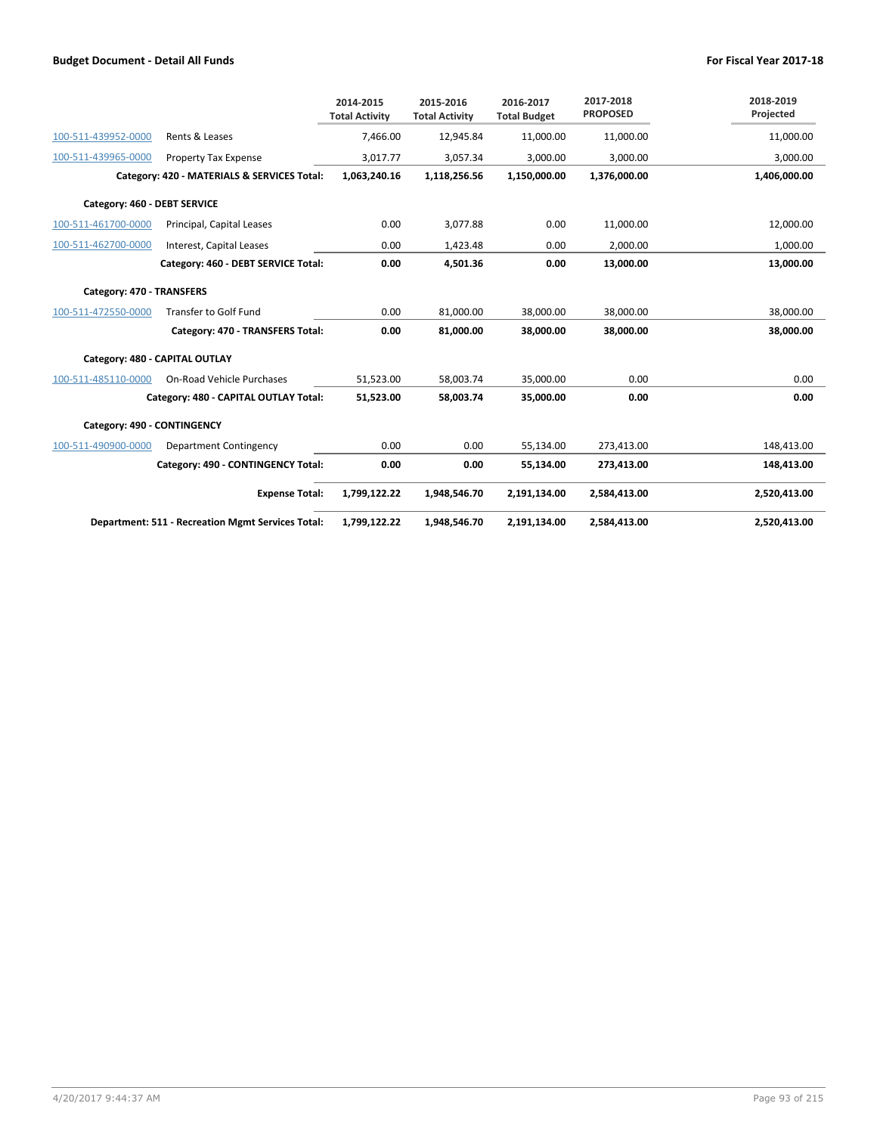|                              |                                                          | 2014-2015<br><b>Total Activity</b> | 2015-2016<br><b>Total Activity</b> | 2016-2017<br><b>Total Budget</b> | 2017-2018<br><b>PROPOSED</b> | 2018-2019<br>Projected |
|------------------------------|----------------------------------------------------------|------------------------------------|------------------------------------|----------------------------------|------------------------------|------------------------|
| 100-511-439952-0000          | Rents & Leases                                           | 7,466.00                           | 12,945.84                          | 11,000.00                        | 11,000.00                    | 11,000.00              |
| 100-511-439965-0000          | Property Tax Expense                                     | 3,017.77                           | 3,057.34                           | 3,000.00                         | 3,000.00                     | 3,000.00               |
|                              | Category: 420 - MATERIALS & SERVICES Total:              | 1,063,240.16                       | 1,118,256.56                       | 1,150,000.00                     | 1,376,000.00                 | 1,406,000.00           |
| Category: 460 - DEBT SERVICE |                                                          |                                    |                                    |                                  |                              |                        |
| 100-511-461700-0000          | Principal, Capital Leases                                | 0.00                               | 3,077.88                           | 0.00                             | 11,000.00                    | 12,000.00              |
| 100-511-462700-0000          | Interest, Capital Leases                                 | 0.00                               | 1,423.48                           | 0.00                             | 2,000.00                     | 1,000.00               |
|                              | Category: 460 - DEBT SERVICE Total:                      | 0.00                               | 4,501.36                           | 0.00                             | 13,000.00                    | 13,000.00              |
| Category: 470 - TRANSFERS    |                                                          |                                    |                                    |                                  |                              |                        |
| 100-511-472550-0000          | <b>Transfer to Golf Fund</b>                             | 0.00                               | 81,000.00                          | 38,000.00                        | 38,000.00                    | 38,000.00              |
|                              | Category: 470 - TRANSFERS Total:                         | 0.00                               | 81,000.00                          | 38,000.00                        | 38,000.00                    | 38,000.00              |
|                              | Category: 480 - CAPITAL OUTLAY                           |                                    |                                    |                                  |                              |                        |
| 100-511-485110-0000          | On-Road Vehicle Purchases                                | 51,523.00                          | 58,003.74                          | 35,000.00                        | 0.00                         | 0.00                   |
|                              | Category: 480 - CAPITAL OUTLAY Total:                    | 51,523.00                          | 58,003.74                          | 35,000.00                        | 0.00                         | 0.00                   |
| Category: 490 - CONTINGENCY  |                                                          |                                    |                                    |                                  |                              |                        |
| 100-511-490900-0000          | Department Contingency                                   | 0.00                               | 0.00                               | 55,134.00                        | 273,413.00                   | 148,413.00             |
|                              | Category: 490 - CONTINGENCY Total:                       | 0.00                               | 0.00                               | 55,134.00                        | 273,413.00                   | 148,413.00             |
|                              | <b>Expense Total:</b>                                    | 1,799,122.22                       | 1,948,546.70                       | 2,191,134.00                     | 2,584,413.00                 | 2,520,413.00           |
|                              | <b>Department: 511 - Recreation Mgmt Services Total:</b> | 1,799,122.22                       | 1,948,546.70                       | 2,191,134.00                     | 2,584,413.00                 | 2,520,413.00           |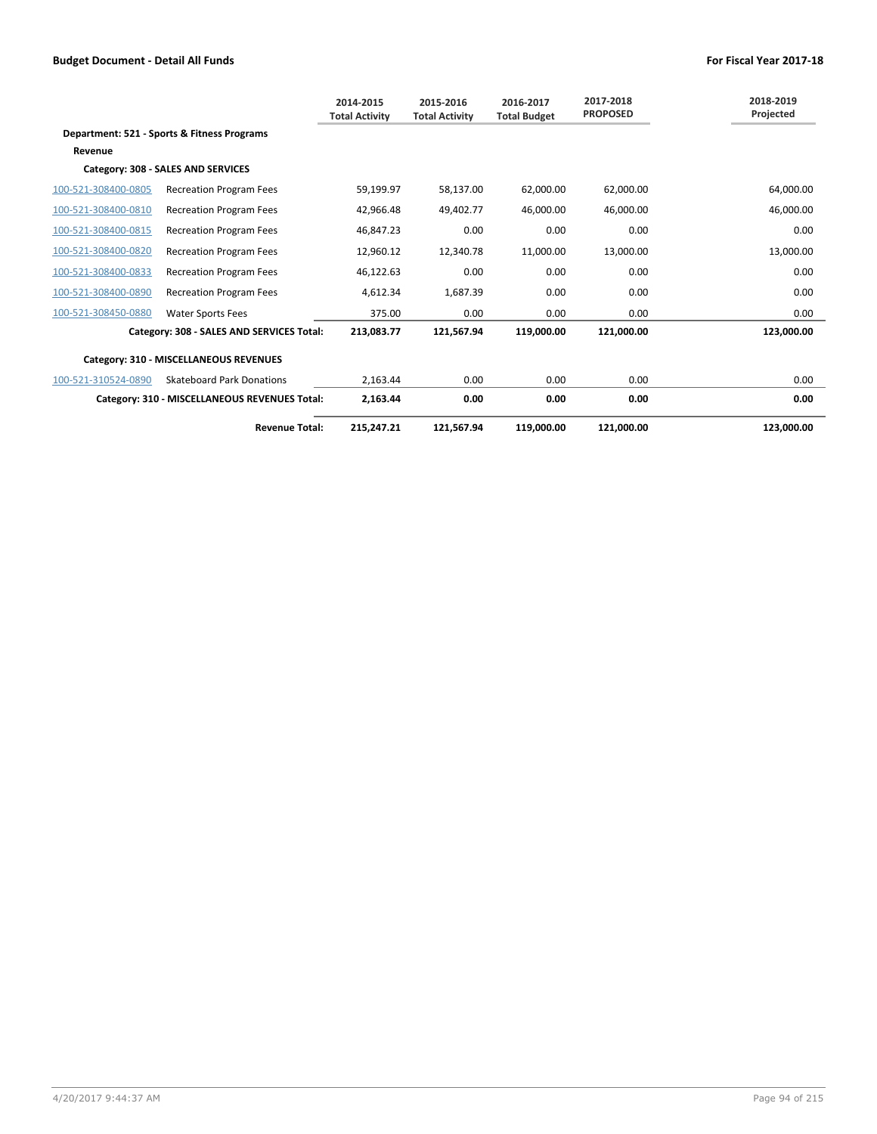|                     |                                               | 2014-2015<br><b>Total Activity</b> | 2015-2016<br><b>Total Activity</b> | 2016-2017<br><b>Total Budget</b> | 2017-2018<br><b>PROPOSED</b> | 2018-2019<br>Projected |
|---------------------|-----------------------------------------------|------------------------------------|------------------------------------|----------------------------------|------------------------------|------------------------|
|                     | Department: 521 - Sports & Fitness Programs   |                                    |                                    |                                  |                              |                        |
| Revenue             |                                               |                                    |                                    |                                  |                              |                        |
|                     | Category: 308 - SALES AND SERVICES            |                                    |                                    |                                  |                              |                        |
| 100-521-308400-0805 | <b>Recreation Program Fees</b>                | 59,199.97                          | 58,137.00                          | 62,000.00                        | 62,000.00                    | 64,000.00              |
| 100-521-308400-0810 | <b>Recreation Program Fees</b>                | 42,966.48                          | 49,402.77                          | 46,000.00                        | 46,000.00                    | 46,000.00              |
| 100-521-308400-0815 | <b>Recreation Program Fees</b>                | 46.847.23                          | 0.00                               | 0.00                             | 0.00                         | 0.00                   |
| 100-521-308400-0820 | <b>Recreation Program Fees</b>                | 12,960.12                          | 12.340.78                          | 11,000.00                        | 13.000.00                    | 13,000.00              |
| 100-521-308400-0833 | <b>Recreation Program Fees</b>                | 46,122.63                          | 0.00                               | 0.00                             | 0.00                         | 0.00                   |
| 100-521-308400-0890 | <b>Recreation Program Fees</b>                | 4,612.34                           | 1,687.39                           | 0.00                             | 0.00                         | 0.00                   |
| 100-521-308450-0880 | <b>Water Sports Fees</b>                      | 375.00                             | 0.00                               | 0.00                             | 0.00                         | 0.00                   |
|                     | Category: 308 - SALES AND SERVICES Total:     | 213,083.77                         | 121,567.94                         | 119,000.00                       | 121,000.00                   | 123,000.00             |
|                     | Category: 310 - MISCELLANEOUS REVENUES        |                                    |                                    |                                  |                              |                        |
| 100-521-310524-0890 | <b>Skateboard Park Donations</b>              | 2.163.44                           | 0.00                               | 0.00                             | 0.00                         | 0.00                   |
|                     | Category: 310 - MISCELLANEOUS REVENUES Total: | 2,163.44                           | 0.00                               | 0.00                             | 0.00                         | 0.00                   |
|                     | <b>Revenue Total:</b>                         | 215,247.21                         | 121.567.94                         | 119.000.00                       | 121,000.00                   | 123.000.00             |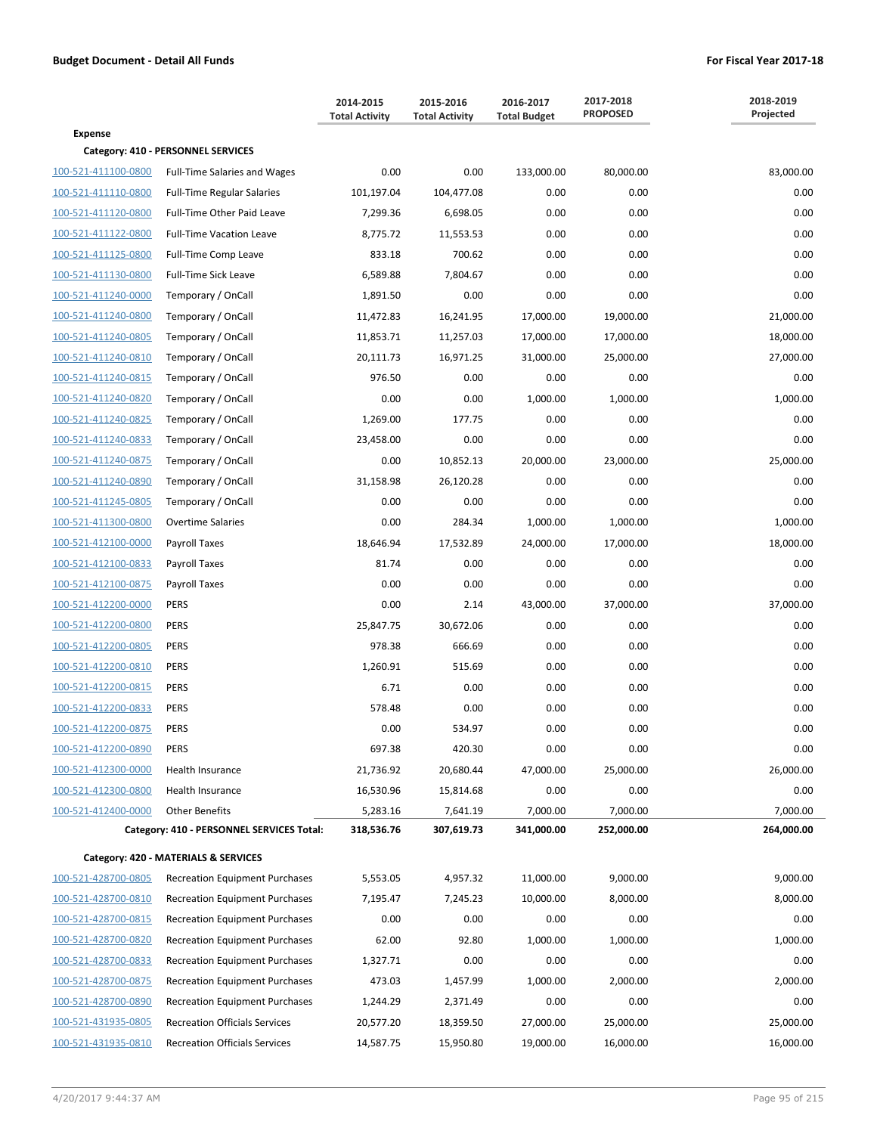|                     |                                           | 2014-2015<br><b>Total Activity</b> | 2015-2016<br><b>Total Activity</b> | 2016-2017<br><b>Total Budget</b> | 2017-2018<br><b>PROPOSED</b> | 2018-2019<br>Projected |
|---------------------|-------------------------------------------|------------------------------------|------------------------------------|----------------------------------|------------------------------|------------------------|
| <b>Expense</b>      |                                           |                                    |                                    |                                  |                              |                        |
|                     | Category: 410 - PERSONNEL SERVICES        |                                    |                                    |                                  |                              |                        |
| 100-521-411100-0800 | <b>Full-Time Salaries and Wages</b>       | 0.00                               | 0.00                               | 133,000.00                       | 80,000.00                    | 83,000.00              |
| 100-521-411110-0800 | <b>Full-Time Regular Salaries</b>         | 101,197.04                         | 104,477.08                         | 0.00                             | 0.00                         | 0.00                   |
| 100-521-411120-0800 | Full-Time Other Paid Leave                | 7,299.36                           | 6,698.05                           | 0.00                             | 0.00                         | 0.00                   |
| 100-521-411122-0800 | <b>Full-Time Vacation Leave</b>           | 8,775.72                           | 11,553.53                          | 0.00                             | 0.00                         | 0.00                   |
| 100-521-411125-0800 | Full-Time Comp Leave                      | 833.18                             | 700.62                             | 0.00                             | 0.00                         | 0.00                   |
| 100-521-411130-0800 | <b>Full-Time Sick Leave</b>               | 6,589.88                           | 7,804.67                           | 0.00                             | 0.00                         | 0.00                   |
| 100-521-411240-0000 | Temporary / OnCall                        | 1,891.50                           | 0.00                               | 0.00                             | 0.00                         | 0.00                   |
| 100-521-411240-0800 | Temporary / OnCall                        | 11,472.83                          | 16,241.95                          | 17,000.00                        | 19,000.00                    | 21,000.00              |
| 100-521-411240-0805 | Temporary / OnCall                        | 11,853.71                          | 11,257.03                          | 17,000.00                        | 17,000.00                    | 18,000.00              |
| 100-521-411240-0810 | Temporary / OnCall                        | 20,111.73                          | 16,971.25                          | 31,000.00                        | 25,000.00                    | 27,000.00              |
| 100-521-411240-0815 | Temporary / OnCall                        | 976.50                             | 0.00                               | 0.00                             | 0.00                         | 0.00                   |
| 100-521-411240-0820 | Temporary / OnCall                        | 0.00                               | 0.00                               | 1,000.00                         | 1,000.00                     | 1,000.00               |
| 100-521-411240-0825 | Temporary / OnCall                        | 1,269.00                           | 177.75                             | 0.00                             | 0.00                         | 0.00                   |
| 100-521-411240-0833 | Temporary / OnCall                        | 23,458.00                          | 0.00                               | 0.00                             | 0.00                         | 0.00                   |
| 100-521-411240-0875 | Temporary / OnCall                        | 0.00                               | 10,852.13                          | 20,000.00                        | 23,000.00                    | 25,000.00              |
| 100-521-411240-0890 | Temporary / OnCall                        | 31,158.98                          | 26,120.28                          | 0.00                             | 0.00                         | 0.00                   |
| 100-521-411245-0805 | Temporary / OnCall                        | 0.00                               | 0.00                               | 0.00                             | 0.00                         | 0.00                   |
| 100-521-411300-0800 | <b>Overtime Salaries</b>                  | 0.00                               | 284.34                             | 1,000.00                         | 1,000.00                     | 1,000.00               |
| 100-521-412100-0000 | Payroll Taxes                             | 18,646.94                          | 17,532.89                          | 24,000.00                        | 17,000.00                    | 18,000.00              |
| 100-521-412100-0833 | Payroll Taxes                             | 81.74                              | 0.00                               | 0.00                             | 0.00                         | 0.00                   |
| 100-521-412100-0875 | Payroll Taxes                             | 0.00                               | 0.00                               | 0.00                             | 0.00                         | 0.00                   |
| 100-521-412200-0000 | <b>PERS</b>                               | 0.00                               | 2.14                               | 43,000.00                        | 37,000.00                    | 37,000.00              |
| 100-521-412200-0800 | <b>PERS</b>                               | 25,847.75                          | 30,672.06                          | 0.00                             | 0.00                         | 0.00                   |
| 100-521-412200-0805 | <b>PERS</b>                               | 978.38                             | 666.69                             | 0.00                             | 0.00                         | 0.00                   |
| 100-521-412200-0810 | <b>PERS</b>                               | 1,260.91                           | 515.69                             | 0.00                             | 0.00                         | 0.00                   |
| 100-521-412200-0815 | <b>PERS</b>                               | 6.71                               | 0.00                               | 0.00                             | 0.00                         | 0.00                   |
| 100-521-412200-0833 | <b>PERS</b>                               | 578.48                             | 0.00                               | 0.00                             | 0.00                         | 0.00                   |
| 100-521-412200-0875 | <b>PERS</b>                               | 0.00                               | 534.97                             | 0.00                             | 0.00                         | 0.00                   |
| 100-521-412200-0890 | <b>PERS</b>                               | 697.38                             | 420.30                             | 0.00                             | 0.00                         | 0.00                   |
| 100-521-412300-0000 | Health Insurance                          | 21,736.92                          | 20,680.44                          | 47,000.00                        | 25,000.00                    | 26,000.00              |
| 100-521-412300-0800 | Health Insurance                          | 16,530.96                          | 15,814.68                          | 0.00                             | 0.00                         | 0.00                   |
| 100-521-412400-0000 | <b>Other Benefits</b>                     | 5,283.16                           | 7,641.19                           | 7,000.00                         | 7,000.00                     | 7,000.00               |
|                     | Category: 410 - PERSONNEL SERVICES Total: | 318,536.76                         | 307,619.73                         | 341,000.00                       | 252,000.00                   | 264,000.00             |
|                     | Category: 420 - MATERIALS & SERVICES      |                                    |                                    |                                  |                              |                        |
| 100-521-428700-0805 | <b>Recreation Equipment Purchases</b>     | 5,553.05                           | 4,957.32                           | 11,000.00                        | 9,000.00                     | 9,000.00               |
| 100-521-428700-0810 | <b>Recreation Equipment Purchases</b>     | 7,195.47                           | 7,245.23                           | 10,000.00                        | 8,000.00                     | 8,000.00               |
| 100-521-428700-0815 | <b>Recreation Equipment Purchases</b>     | 0.00                               | 0.00                               | 0.00                             | 0.00                         | 0.00                   |
|                     |                                           | 62.00                              | 92.80                              | 1,000.00                         | 1,000.00                     | 1,000.00               |
| 100-521-428700-0820 | <b>Recreation Equipment Purchases</b>     |                                    |                                    |                                  |                              |                        |
| 100-521-428700-0833 | <b>Recreation Equipment Purchases</b>     | 1,327.71                           | 0.00                               | 0.00                             | 0.00                         | 0.00                   |
| 100-521-428700-0875 | <b>Recreation Equipment Purchases</b>     | 473.03                             | 1,457.99                           | 1,000.00                         | 2,000.00                     | 2,000.00               |
| 100-521-428700-0890 | <b>Recreation Equipment Purchases</b>     | 1,244.29                           | 2,371.49                           | 0.00                             | 0.00                         | 0.00                   |
| 100-521-431935-0805 | <b>Recreation Officials Services</b>      | 20,577.20                          | 18,359.50                          | 27,000.00                        | 25,000.00                    | 25,000.00              |
| 100-521-431935-0810 | <b>Recreation Officials Services</b>      | 14,587.75                          | 15,950.80                          | 19,000.00                        | 16,000.00                    | 16,000.00              |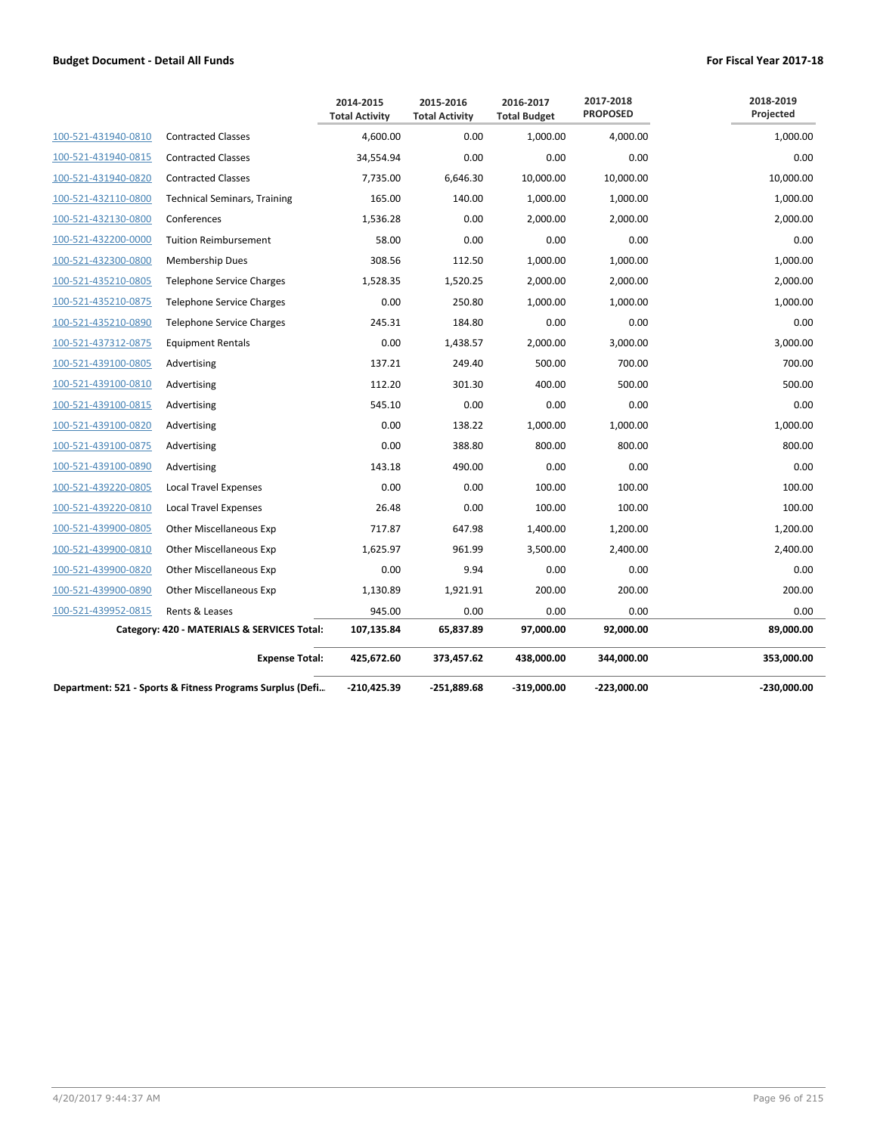|                                                           |                                             | 2014-2015<br><b>Total Activity</b> | 2015-2016<br><b>Total Activity</b> | 2016-2017<br><b>Total Budget</b> | 2017-2018<br><b>PROPOSED</b> | 2018-2019<br>Projected |
|-----------------------------------------------------------|---------------------------------------------|------------------------------------|------------------------------------|----------------------------------|------------------------------|------------------------|
| 100-521-431940-0810                                       | <b>Contracted Classes</b>                   | 4,600.00                           | 0.00                               | 1,000.00                         | 4,000.00                     | 1,000.00               |
| 100-521-431940-0815                                       | <b>Contracted Classes</b>                   | 34,554.94                          | 0.00                               | 0.00                             | 0.00                         | 0.00                   |
| 100-521-431940-0820                                       | <b>Contracted Classes</b>                   | 7,735.00                           | 6,646.30                           | 10,000.00                        | 10,000.00                    | 10,000.00              |
| 100-521-432110-0800                                       | <b>Technical Seminars, Training</b>         | 165.00                             | 140.00                             | 1,000.00                         | 1,000.00                     | 1,000.00               |
| 100-521-432130-0800                                       | Conferences                                 | 1,536.28                           | 0.00                               | 2,000.00                         | 2,000.00                     | 2,000.00               |
| 100-521-432200-0000                                       | <b>Tuition Reimbursement</b>                | 58.00                              | 0.00                               | 0.00                             | 0.00                         | 0.00                   |
| 100-521-432300-0800                                       | <b>Membership Dues</b>                      | 308.56                             | 112.50                             | 1,000.00                         | 1,000.00                     | 1,000.00               |
| 100-521-435210-0805                                       | Telephone Service Charges                   | 1,528.35                           | 1,520.25                           | 2,000.00                         | 2,000.00                     | 2,000.00               |
| 100-521-435210-0875                                       | <b>Telephone Service Charges</b>            | 0.00                               | 250.80                             | 1,000.00                         | 1.000.00                     | 1,000.00               |
| 100-521-435210-0890                                       | Telephone Service Charges                   | 245.31                             | 184.80                             | 0.00                             | 0.00                         | 0.00                   |
| 100-521-437312-0875                                       | <b>Equipment Rentals</b>                    | 0.00                               | 1,438.57                           | 2,000.00                         | 3,000.00                     | 3,000.00               |
| 100-521-439100-0805                                       | Advertising                                 | 137.21                             | 249.40                             | 500.00                           | 700.00                       | 700.00                 |
| 100-521-439100-0810                                       | Advertising                                 | 112.20                             | 301.30                             | 400.00                           | 500.00                       | 500.00                 |
| 100-521-439100-0815                                       | Advertising                                 | 545.10                             | 0.00                               | 0.00                             | 0.00                         | 0.00                   |
| 100-521-439100-0820                                       | Advertising                                 | 0.00                               | 138.22                             | 1,000.00                         | 1,000.00                     | 1,000.00               |
| 100-521-439100-0875                                       | Advertising                                 | 0.00                               | 388.80                             | 800.00                           | 800.00                       | 800.00                 |
| 100-521-439100-0890                                       | Advertising                                 | 143.18                             | 490.00                             | 0.00                             | 0.00                         | 0.00                   |
| 100-521-439220-0805                                       | <b>Local Travel Expenses</b>                | 0.00                               | 0.00                               | 100.00                           | 100.00                       | 100.00                 |
| 100-521-439220-0810                                       | <b>Local Travel Expenses</b>                | 26.48                              | 0.00                               | 100.00                           | 100.00                       | 100.00                 |
| 100-521-439900-0805                                       | <b>Other Miscellaneous Exp</b>              | 717.87                             | 647.98                             | 1,400.00                         | 1,200.00                     | 1,200.00               |
| 100-521-439900-0810                                       | <b>Other Miscellaneous Exp</b>              | 1,625.97                           | 961.99                             | 3,500.00                         | 2,400.00                     | 2,400.00               |
| 100-521-439900-0820                                       | <b>Other Miscellaneous Exp</b>              | 0.00                               | 9.94                               | 0.00                             | 0.00                         | 0.00                   |
| 100-521-439900-0890                                       | <b>Other Miscellaneous Exp</b>              | 1,130.89                           | 1,921.91                           | 200.00                           | 200.00                       | 200.00                 |
| 100-521-439952-0815                                       | Rents & Leases                              | 945.00                             | 0.00                               | 0.00                             | 0.00                         | 0.00                   |
|                                                           | Category: 420 - MATERIALS & SERVICES Total: | 107,135.84                         | 65,837.89                          | 97,000.00                        | 92,000.00                    | 89,000.00              |
|                                                           | <b>Expense Total:</b>                       | 425,672.60                         | 373,457.62                         | 438,000.00                       | 344,000.00                   | 353,000.00             |
| Department: 521 - Sports & Fitness Programs Surplus (Defi |                                             | $-210,425.39$                      | $-251,889.68$                      | $-319,000.00$                    | $-223,000.00$                | $-230,000.00$          |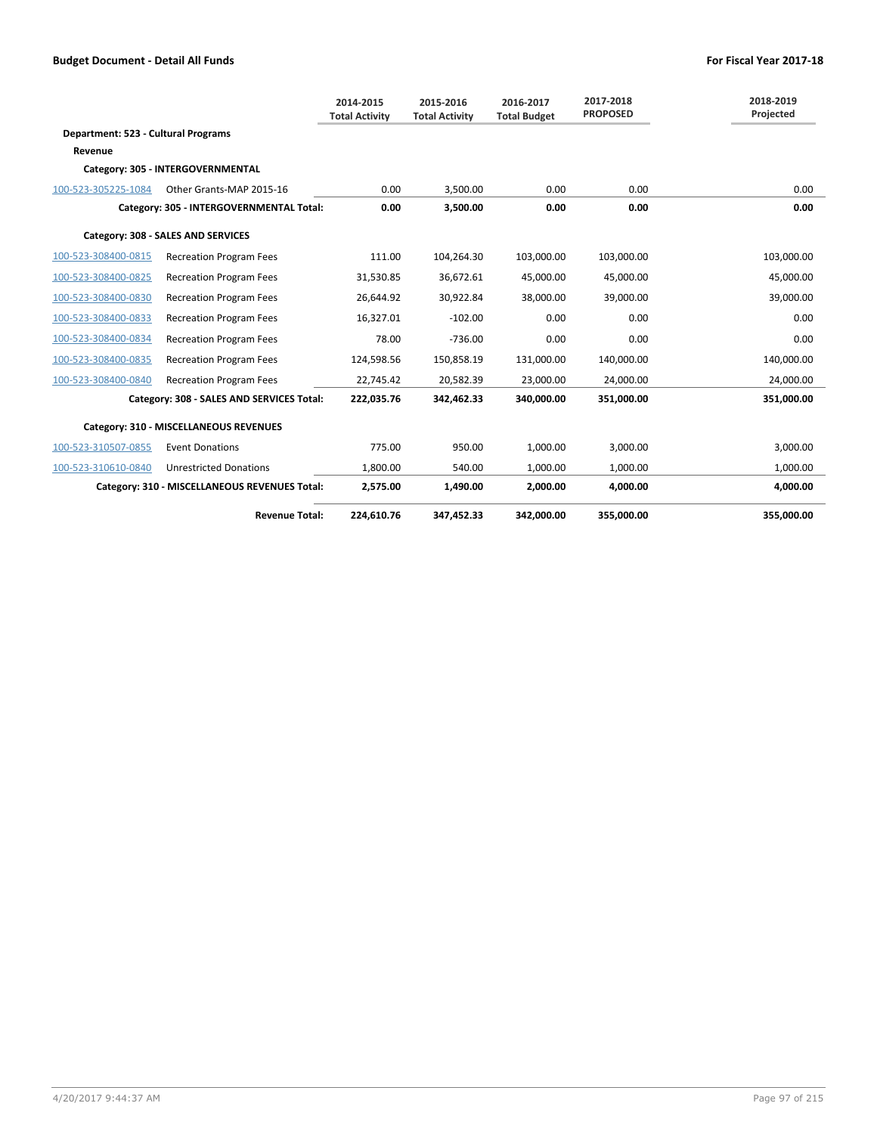|                                     |                                               | 2014-2015<br><b>Total Activity</b> | 2015-2016<br><b>Total Activity</b> | 2016-2017<br><b>Total Budget</b> | 2017-2018<br><b>PROPOSED</b> | 2018-2019<br>Projected |
|-------------------------------------|-----------------------------------------------|------------------------------------|------------------------------------|----------------------------------|------------------------------|------------------------|
| Department: 523 - Cultural Programs |                                               |                                    |                                    |                                  |                              |                        |
| Revenue                             |                                               |                                    |                                    |                                  |                              |                        |
|                                     | Category: 305 - INTERGOVERNMENTAL             |                                    |                                    |                                  |                              |                        |
| 100-523-305225-1084                 | Other Grants-MAP 2015-16                      | 0.00                               | 3,500.00                           | 0.00                             | 0.00                         | 0.00                   |
|                                     | Category: 305 - INTERGOVERNMENTAL Total:      | 0.00                               | 3.500.00                           | 0.00                             | 0.00                         | 0.00                   |
|                                     | Category: 308 - SALES AND SERVICES            |                                    |                                    |                                  |                              |                        |
| 100-523-308400-0815                 | <b>Recreation Program Fees</b>                | 111.00                             | 104,264.30                         | 103,000.00                       | 103,000.00                   | 103,000.00             |
| 100-523-308400-0825                 | <b>Recreation Program Fees</b>                | 31,530.85                          | 36,672.61                          | 45,000.00                        | 45,000.00                    | 45,000.00              |
| 100-523-308400-0830                 | <b>Recreation Program Fees</b>                | 26,644.92                          | 30,922.84                          | 38,000.00                        | 39,000.00                    | 39,000.00              |
| 100-523-308400-0833                 | <b>Recreation Program Fees</b>                | 16.327.01                          | $-102.00$                          | 0.00                             | 0.00                         | 0.00                   |
| 100-523-308400-0834                 | <b>Recreation Program Fees</b>                | 78.00                              | $-736.00$                          | 0.00                             | 0.00                         | 0.00                   |
| 100-523-308400-0835                 | <b>Recreation Program Fees</b>                | 124,598.56                         | 150,858.19                         | 131,000.00                       | 140,000.00                   | 140,000.00             |
| 100-523-308400-0840                 | <b>Recreation Program Fees</b>                | 22,745.42                          | 20,582.39                          | 23,000.00                        | 24,000.00                    | 24,000.00              |
|                                     | Category: 308 - SALES AND SERVICES Total:     | 222,035.76                         | 342,462.33                         | 340,000.00                       | 351,000.00                   | 351,000.00             |
|                                     | Category: 310 - MISCELLANEOUS REVENUES        |                                    |                                    |                                  |                              |                        |
| 100-523-310507-0855                 | <b>Event Donations</b>                        | 775.00                             | 950.00                             | 1,000.00                         | 3,000.00                     | 3,000.00               |
| 100-523-310610-0840                 | <b>Unrestricted Donations</b>                 | 1,800.00                           | 540.00                             | 1,000.00                         | 1,000.00                     | 1,000.00               |
|                                     | Category: 310 - MISCELLANEOUS REVENUES Total: | 2,575.00                           | 1,490.00                           | 2.000.00                         | 4.000.00                     | 4.000.00               |
|                                     | <b>Revenue Total:</b>                         | 224,610.76                         | 347,452.33                         | 342,000.00                       | 355,000.00                   | 355,000.00             |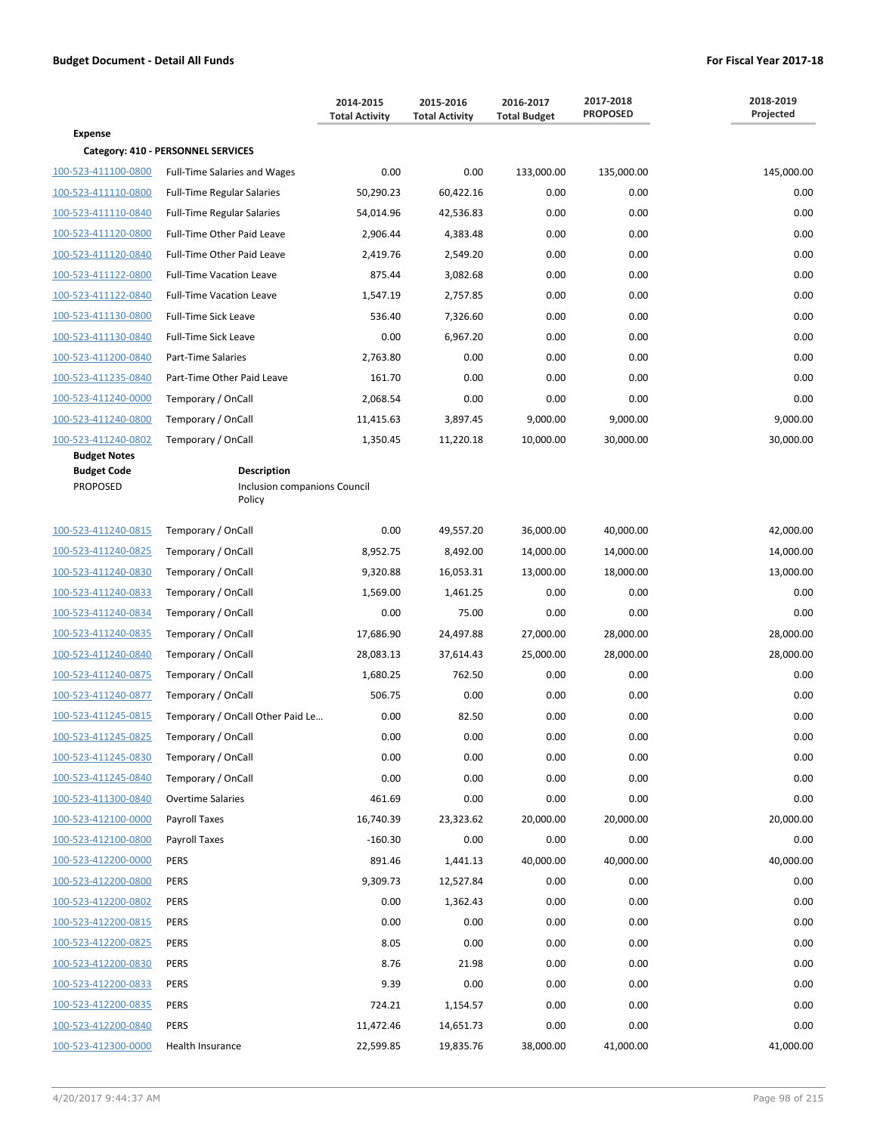|                                            |                                                              | 2014-2015<br><b>Total Activity</b> | 2015-2016<br><b>Total Activity</b> | 2016-2017<br><b>Total Budget</b> | 2017-2018<br><b>PROPOSED</b> | 2018-2019<br>Projected |  |
|--------------------------------------------|--------------------------------------------------------------|------------------------------------|------------------------------------|----------------------------------|------------------------------|------------------------|--|
| <b>Expense</b>                             |                                                              |                                    |                                    |                                  |                              |                        |  |
|                                            | Category: 410 - PERSONNEL SERVICES                           |                                    |                                    |                                  |                              |                        |  |
| 100-523-411100-0800                        | <b>Full-Time Salaries and Wages</b>                          | 0.00                               | 0.00                               | 133,000.00                       | 135,000.00                   | 145,000.00             |  |
| 100-523-411110-0800                        | <b>Full-Time Regular Salaries</b>                            | 50,290.23                          | 60,422.16                          | 0.00                             | 0.00                         | 0.00                   |  |
| 100-523-411110-0840                        | <b>Full-Time Regular Salaries</b>                            | 54,014.96                          | 42,536.83                          | 0.00                             | 0.00                         | 0.00                   |  |
| 100-523-411120-0800                        | Full-Time Other Paid Leave                                   | 2,906.44                           | 4,383.48                           | 0.00                             | 0.00                         | 0.00                   |  |
| 100-523-411120-0840                        | Full-Time Other Paid Leave                                   | 2,419.76                           | 2,549.20                           | 0.00                             | 0.00                         | 0.00                   |  |
| 100-523-411122-0800                        | <b>Full-Time Vacation Leave</b>                              | 875.44                             | 3,082.68                           | 0.00                             | 0.00                         | 0.00                   |  |
| 100-523-411122-0840                        | <b>Full-Time Vacation Leave</b>                              | 1,547.19                           | 2,757.85                           | 0.00                             | 0.00                         | 0.00                   |  |
| 100-523-411130-0800                        | Full-Time Sick Leave                                         | 536.40                             | 7,326.60                           | 0.00                             | 0.00                         | 0.00                   |  |
| 100-523-411130-0840                        | <b>Full-Time Sick Leave</b>                                  | 0.00                               | 6,967.20                           | 0.00                             | 0.00                         | 0.00                   |  |
| 100-523-411200-0840                        | Part-Time Salaries                                           | 2,763.80                           | 0.00                               | 0.00                             | 0.00                         | 0.00                   |  |
| 100-523-411235-0840                        | Part-Time Other Paid Leave                                   | 161.70                             | 0.00                               | 0.00                             | 0.00                         | 0.00                   |  |
| 100-523-411240-0000                        | Temporary / OnCall                                           | 2,068.54                           | 0.00                               | 0.00                             | 0.00                         | 0.00                   |  |
| 100-523-411240-0800                        | Temporary / OnCall                                           | 11,415.63                          | 3,897.45                           | 9,000.00                         | 9,000.00                     | 9,000.00               |  |
| 100-523-411240-0802<br><b>Budget Notes</b> | Temporary / OnCall                                           | 1,350.45                           | 11,220.18                          | 10.000.00                        | 30,000.00                    | 30,000.00              |  |
| <b>Budget Code</b><br><b>PROPOSED</b>      | <b>Description</b><br>Inclusion companions Council<br>Policy |                                    |                                    |                                  |                              |                        |  |
| 100-523-411240-0815                        | Temporary / OnCall                                           | 0.00                               | 49,557.20                          | 36,000.00                        | 40,000.00                    | 42,000.00              |  |
| 100-523-411240-0825                        | Temporary / OnCall                                           | 8,952.75                           | 8,492.00                           | 14,000.00                        | 14,000.00                    | 14,000.00              |  |
| 100-523-411240-0830                        | Temporary / OnCall                                           | 9,320.88                           | 16,053.31                          | 13,000.00                        | 18,000.00                    | 13,000.00              |  |
| 100-523-411240-0833                        | Temporary / OnCall                                           | 1,569.00                           | 1,461.25                           | 0.00                             | 0.00                         | 0.00                   |  |
| 100-523-411240-0834                        | Temporary / OnCall                                           | 0.00                               | 75.00                              | 0.00                             | 0.00                         | 0.00                   |  |
| 100-523-411240-0835                        | Temporary / OnCall                                           | 17,686.90                          | 24,497.88                          | 27,000.00                        | 28,000.00                    | 28,000.00              |  |
| 100-523-411240-0840                        | Temporary / OnCall                                           | 28,083.13                          | 37,614.43                          | 25,000.00                        | 28,000.00                    | 28,000.00              |  |
| 100-523-411240-0875                        | Temporary / OnCall                                           | 1,680.25                           | 762.50                             | 0.00                             | 0.00                         | 0.00                   |  |
| 100-523-411240-0877                        | Temporary / OnCall                                           | 506.75                             | 0.00                               | 0.00                             | 0.00                         | 0.00                   |  |
| 100-523-411245-0815                        | Temporary / OnCall Other Paid Le                             | 0.00                               | 82.50                              | 0.00                             | 0.00                         | 0.00                   |  |
| 100-523-411245-0825                        | Temporary / OnCall                                           | 0.00                               | 0.00                               | 0.00                             | 0.00                         | 0.00                   |  |
| 100-523-411245-0830                        | Temporary / OnCall                                           | 0.00                               | 0.00                               | 0.00                             | 0.00                         | 0.00                   |  |
| 100-523-411245-0840                        | Temporary / OnCall                                           | 0.00                               | 0.00                               | 0.00                             | 0.00                         | 0.00                   |  |
| 100-523-411300-0840                        | <b>Overtime Salaries</b>                                     | 461.69                             | 0.00                               | 0.00                             | 0.00                         | 0.00                   |  |
| 100-523-412100-0000                        | Payroll Taxes                                                | 16,740.39                          | 23,323.62                          | 20,000.00                        | 20,000.00                    | 20,000.00              |  |
| 100-523-412100-0800                        | Payroll Taxes                                                | $-160.30$                          | 0.00                               | 0.00                             | 0.00                         | 0.00                   |  |
| 100-523-412200-0000                        | <b>PERS</b>                                                  | 891.46                             | 1,441.13                           | 40,000.00                        | 40,000.00                    | 40,000.00              |  |
| 100-523-412200-0800                        | <b>PERS</b>                                                  | 9,309.73                           | 12,527.84                          | 0.00                             | 0.00                         | 0.00                   |  |
| 100-523-412200-0802                        | PERS                                                         | 0.00                               | 1,362.43                           | 0.00                             | 0.00                         | 0.00                   |  |
| 100-523-412200-0815                        | PERS                                                         | 0.00                               | 0.00                               | 0.00                             | 0.00                         | 0.00                   |  |
| 100-523-412200-0825                        | <b>PERS</b>                                                  | 8.05                               | 0.00                               | 0.00                             | 0.00                         | 0.00                   |  |
| 100-523-412200-0830                        | <b>PERS</b>                                                  | 8.76                               | 21.98                              | 0.00                             | 0.00                         | 0.00                   |  |
| 100-523-412200-0833                        | <b>PERS</b>                                                  | 9.39                               | 0.00                               | 0.00                             | 0.00                         | 0.00                   |  |
| 100-523-412200-0835                        | <b>PERS</b>                                                  | 724.21                             | 1,154.57                           | 0.00                             | 0.00                         | 0.00                   |  |
| 100-523-412200-0840                        | <b>PERS</b>                                                  | 11,472.46                          | 14,651.73                          | 0.00                             | 0.00                         | 0.00                   |  |
| 100-523-412300-0000                        | Health Insurance                                             | 22,599.85                          | 19,835.76                          | 38,000.00                        | 41,000.00                    | 41,000.00              |  |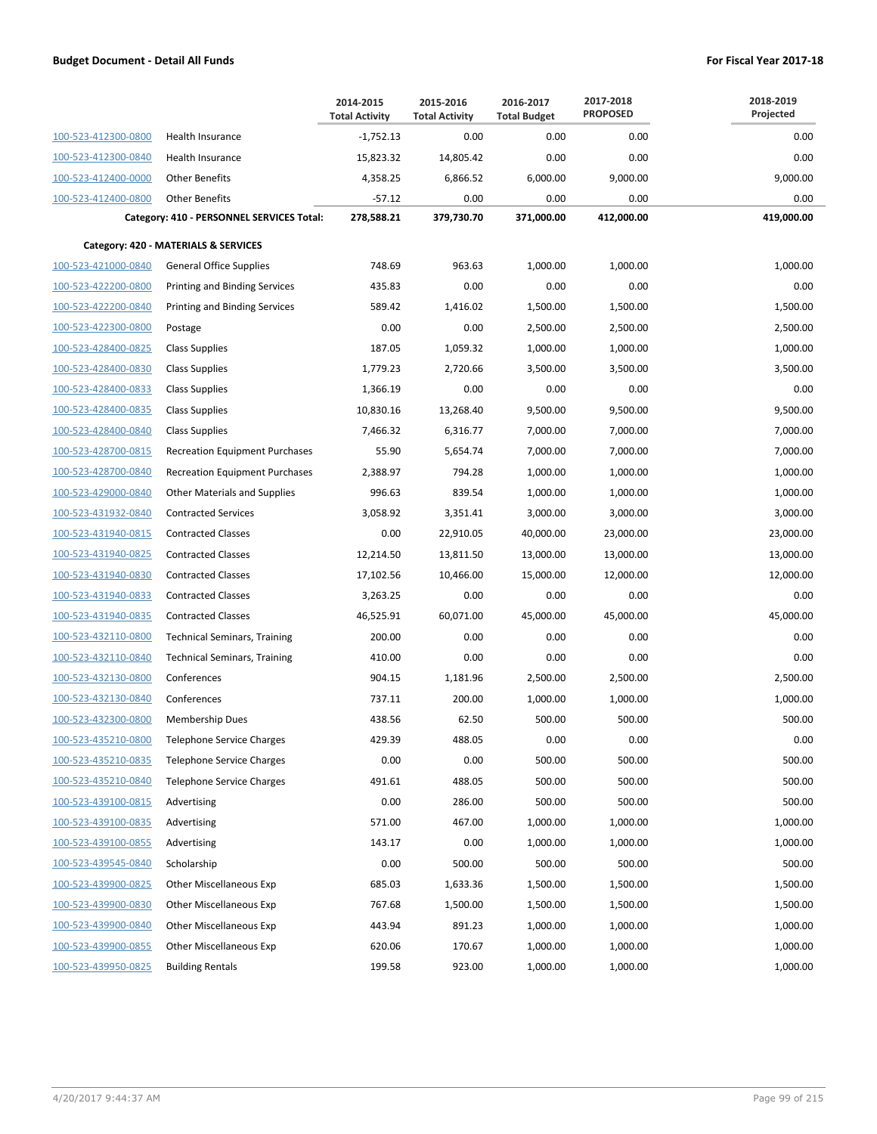|                     |                                           | 2014-2015<br><b>Total Activity</b> | 2015-2016<br><b>Total Activity</b> | 2016-2017<br><b>Total Budget</b> | 2017-2018<br><b>PROPOSED</b> | 2018-2019<br>Projected |
|---------------------|-------------------------------------------|------------------------------------|------------------------------------|----------------------------------|------------------------------|------------------------|
| 100-523-412300-0800 | Health Insurance                          | $-1,752.13$                        | 0.00                               | 0.00                             | 0.00                         | 0.00                   |
| 100-523-412300-0840 | Health Insurance                          | 15,823.32                          | 14,805.42                          | 0.00                             | 0.00                         | 0.00                   |
| 100-523-412400-0000 | <b>Other Benefits</b>                     | 4,358.25                           | 6,866.52                           | 6,000.00                         | 9,000.00                     | 9,000.00               |
| 100-523-412400-0800 | <b>Other Benefits</b>                     | $-57.12$                           | 0.00                               | 0.00                             | 0.00                         | 0.00                   |
|                     | Category: 410 - PERSONNEL SERVICES Total: | 278,588.21                         | 379,730.70                         | 371,000.00                       | 412,000.00                   | 419,000.00             |
|                     | Category: 420 - MATERIALS & SERVICES      |                                    |                                    |                                  |                              |                        |
| 100-523-421000-0840 | <b>General Office Supplies</b>            | 748.69                             | 963.63                             | 1,000.00                         | 1,000.00                     | 1,000.00               |
| 100-523-422200-0800 | <b>Printing and Binding Services</b>      | 435.83                             | 0.00                               | 0.00                             | 0.00                         | 0.00                   |
| 100-523-422200-0840 | <b>Printing and Binding Services</b>      | 589.42                             | 1,416.02                           | 1,500.00                         | 1,500.00                     | 1,500.00               |
| 100-523-422300-0800 | Postage                                   | 0.00                               | 0.00                               | 2,500.00                         | 2,500.00                     | 2,500.00               |
| 100-523-428400-0825 | <b>Class Supplies</b>                     | 187.05                             | 1,059.32                           | 1,000.00                         | 1,000.00                     | 1,000.00               |
| 100-523-428400-0830 | <b>Class Supplies</b>                     | 1,779.23                           | 2,720.66                           | 3,500.00                         | 3,500.00                     | 3,500.00               |
| 100-523-428400-0833 | <b>Class Supplies</b>                     | 1,366.19                           | 0.00                               | 0.00                             | 0.00                         | 0.00                   |
| 100-523-428400-0835 | <b>Class Supplies</b>                     | 10,830.16                          | 13,268.40                          | 9,500.00                         | 9,500.00                     | 9,500.00               |
| 100-523-428400-0840 | <b>Class Supplies</b>                     | 7,466.32                           | 6,316.77                           | 7,000.00                         | 7,000.00                     | 7,000.00               |
| 100-523-428700-0815 | <b>Recreation Equipment Purchases</b>     | 55.90                              | 5,654.74                           | 7,000.00                         | 7,000.00                     | 7,000.00               |
| 100-523-428700-0840 | <b>Recreation Equipment Purchases</b>     | 2,388.97                           | 794.28                             | 1,000.00                         | 1,000.00                     | 1,000.00               |
| 100-523-429000-0840 | <b>Other Materials and Supplies</b>       | 996.63                             | 839.54                             | 1,000.00                         | 1,000.00                     | 1,000.00               |
| 100-523-431932-0840 | <b>Contracted Services</b>                | 3,058.92                           | 3,351.41                           | 3,000.00                         | 3,000.00                     | 3,000.00               |
| 100-523-431940-0815 | <b>Contracted Classes</b>                 | 0.00                               | 22,910.05                          | 40,000.00                        | 23,000.00                    | 23,000.00              |
| 100-523-431940-0825 | <b>Contracted Classes</b>                 | 12,214.50                          | 13,811.50                          | 13,000.00                        | 13,000.00                    | 13,000.00              |
| 100-523-431940-0830 | <b>Contracted Classes</b>                 | 17,102.56                          | 10,466.00                          | 15,000.00                        | 12,000.00                    | 12,000.00              |
| 100-523-431940-0833 | <b>Contracted Classes</b>                 | 3,263.25                           | 0.00                               | 0.00                             | 0.00                         | 0.00                   |
| 100-523-431940-0835 | <b>Contracted Classes</b>                 | 46,525.91                          | 60,071.00                          | 45,000.00                        | 45,000.00                    | 45,000.00              |
| 100-523-432110-0800 | <b>Technical Seminars, Training</b>       | 200.00                             | 0.00                               | 0.00                             | 0.00                         | 0.00                   |
| 100-523-432110-0840 | <b>Technical Seminars, Training</b>       | 410.00                             | 0.00                               | 0.00                             | 0.00                         | 0.00                   |
| 100-523-432130-0800 | Conferences                               | 904.15                             | 1,181.96                           | 2,500.00                         | 2,500.00                     | 2,500.00               |
| 100-523-432130-0840 | Conferences                               | 737.11                             | 200.00                             | 1,000.00                         | 1,000.00                     | 1,000.00               |
| 100-523-432300-0800 | <b>Membership Dues</b>                    | 438.56                             | 62.50                              | 500.00                           | 500.00                       | 500.00                 |
| 100-523-435210-0800 | <b>Telephone Service Charges</b>          | 429.39                             | 488.05                             | 0.00                             | 0.00                         | 0.00                   |
| 100-523-435210-0835 | Telephone Service Charges                 | 0.00                               | 0.00                               | 500.00                           | 500.00                       | 500.00                 |
| 100-523-435210-0840 | Telephone Service Charges                 | 491.61                             | 488.05                             | 500.00                           | 500.00                       | 500.00                 |
| 100-523-439100-0815 | Advertising                               | 0.00                               | 286.00                             | 500.00                           | 500.00                       | 500.00                 |
| 100-523-439100-0835 | Advertising                               | 571.00                             | 467.00                             | 1,000.00                         | 1,000.00                     | 1,000.00               |
| 100-523-439100-0855 | Advertising                               | 143.17                             | 0.00                               | 1,000.00                         | 1,000.00                     | 1,000.00               |
| 100-523-439545-0840 | Scholarship                               | 0.00                               | 500.00                             | 500.00                           | 500.00                       | 500.00                 |
| 100-523-439900-0825 | <b>Other Miscellaneous Exp</b>            | 685.03                             | 1,633.36                           | 1,500.00                         | 1,500.00                     | 1,500.00               |
| 100-523-439900-0830 | <b>Other Miscellaneous Exp</b>            | 767.68                             | 1,500.00                           | 1,500.00                         | 1,500.00                     | 1,500.00               |
| 100-523-439900-0840 | Other Miscellaneous Exp                   | 443.94                             | 891.23                             | 1,000.00                         | 1,000.00                     | 1,000.00               |
| 100-523-439900-0855 | <b>Other Miscellaneous Exp</b>            | 620.06                             | 170.67                             | 1,000.00                         | 1,000.00                     | 1,000.00               |
| 100-523-439950-0825 | <b>Building Rentals</b>                   | 199.58                             | 923.00                             | 1,000.00                         | 1,000.00                     | 1,000.00               |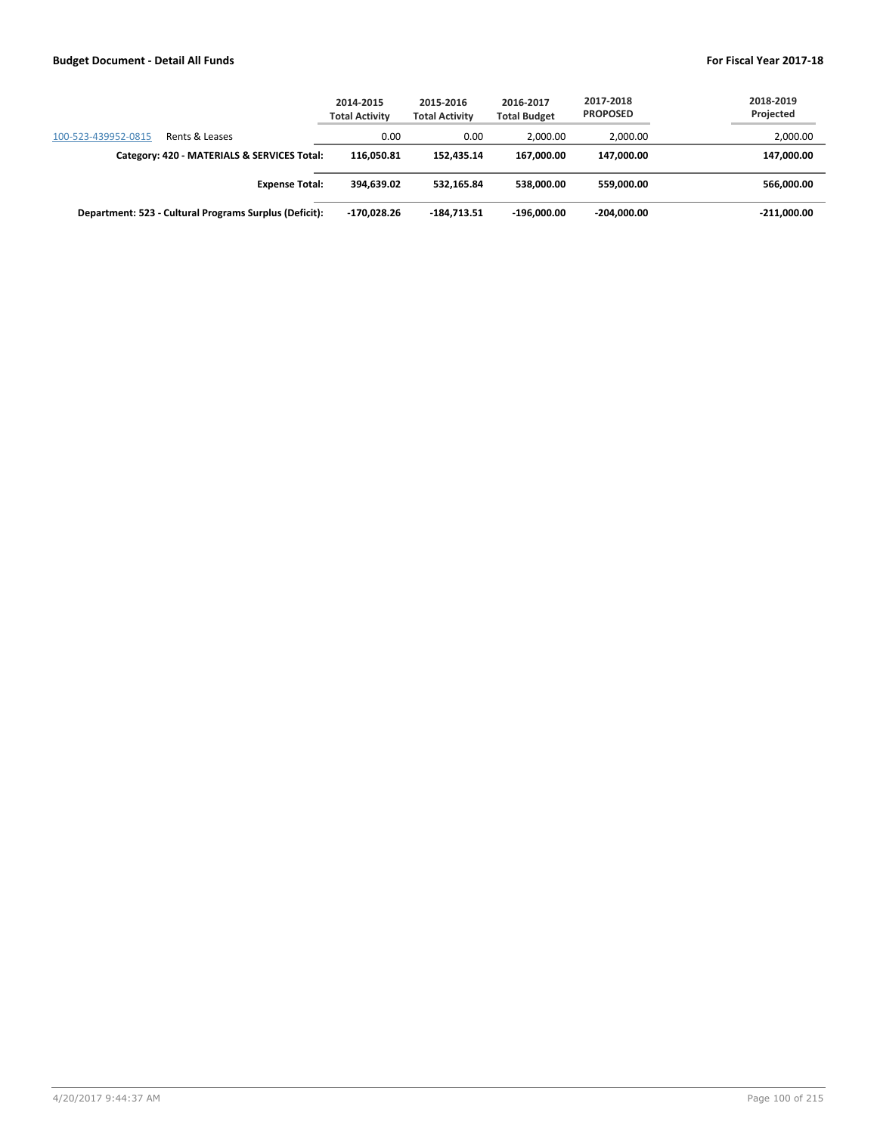|                     |                                                        | 2014-2015<br><b>Total Activity</b> | 2015-2016<br><b>Total Activity</b> | 2016-2017<br><b>Total Budget</b> | 2017-2018<br><b>PROPOSED</b> | 2018-2019<br>Projected |
|---------------------|--------------------------------------------------------|------------------------------------|------------------------------------|----------------------------------|------------------------------|------------------------|
| 100-523-439952-0815 | Rents & Leases                                         | 0.00                               | 0.00                               | 2.000.00                         | 2,000.00                     | 2,000.00               |
|                     | Category: 420 - MATERIALS & SERVICES Total:            | 116.050.81                         | 152.435.14                         | 167.000.00                       | 147.000.00                   | 147,000.00             |
|                     | <b>Expense Total:</b>                                  | 394.639.02                         | 532.165.84                         | 538.000.00                       | 559.000.00                   | 566,000.00             |
|                     | Department: 523 - Cultural Programs Surplus (Deficit): | $-170,028.26$                      | $-184,713.51$                      | $-196.000.00$                    | $-204,000.00$                | $-211,000.00$          |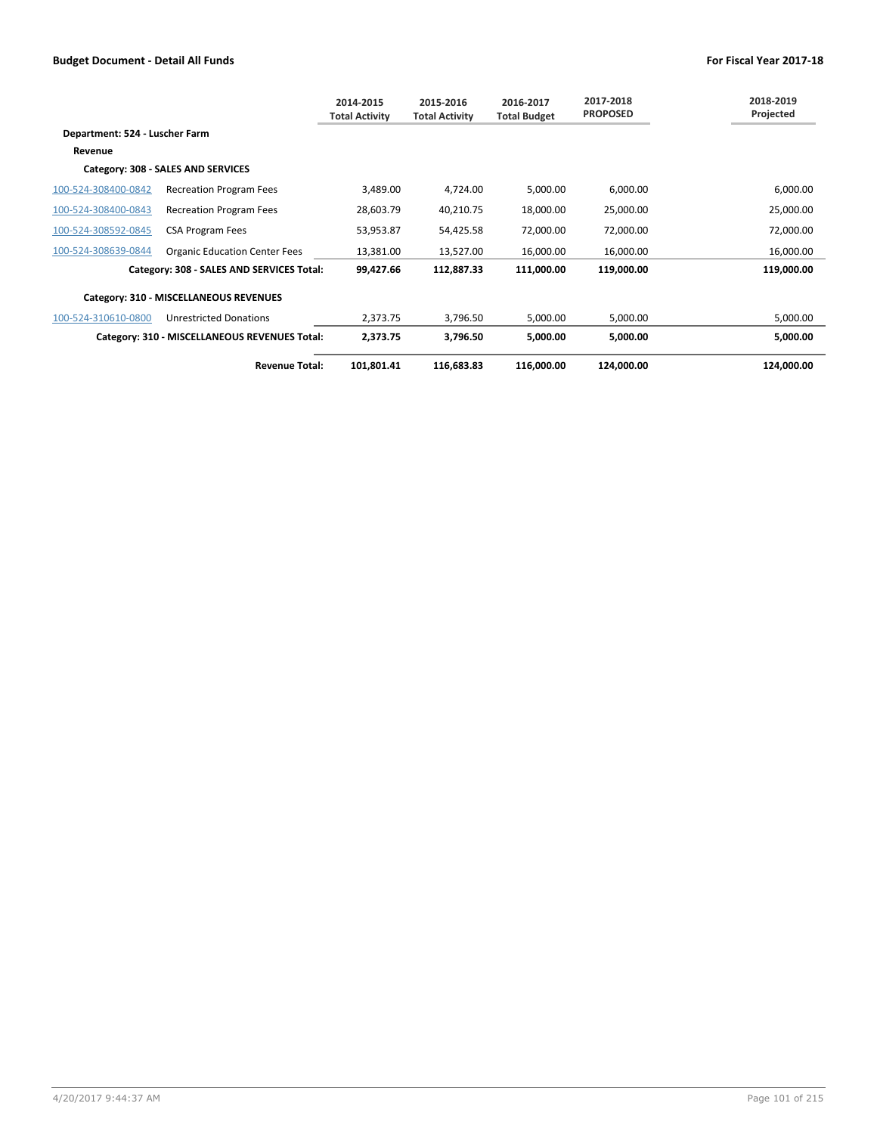|                                |                                               | 2014-2015<br><b>Total Activity</b> | 2015-2016<br><b>Total Activity</b> | 2016-2017<br><b>Total Budget</b> | 2017-2018<br><b>PROPOSED</b> | 2018-2019<br>Projected |
|--------------------------------|-----------------------------------------------|------------------------------------|------------------------------------|----------------------------------|------------------------------|------------------------|
| Department: 524 - Luscher Farm |                                               |                                    |                                    |                                  |                              |                        |
| Revenue                        |                                               |                                    |                                    |                                  |                              |                        |
|                                | Category: 308 - SALES AND SERVICES            |                                    |                                    |                                  |                              |                        |
| 100-524-308400-0842            | <b>Recreation Program Fees</b>                | 3,489.00                           | 4,724.00                           | 5,000.00                         | 6,000.00                     | 6,000.00               |
| 100-524-308400-0843            | <b>Recreation Program Fees</b>                | 28,603.79                          | 40,210.75                          | 18,000.00                        | 25,000.00                    | 25,000.00              |
| 100-524-308592-0845            | <b>CSA Program Fees</b>                       | 53,953.87                          | 54,425.58                          | 72,000.00                        | 72,000.00                    | 72,000.00              |
| 100-524-308639-0844            | <b>Organic Education Center Fees</b>          | 13,381.00                          | 13,527.00                          | 16,000.00                        | 16,000.00                    | 16,000.00              |
|                                | Category: 308 - SALES AND SERVICES Total:     | 99,427.66                          | 112,887.33                         | 111,000.00                       | 119,000.00                   | 119,000.00             |
|                                | Category: 310 - MISCELLANEOUS REVENUES        |                                    |                                    |                                  |                              |                        |
| 100-524-310610-0800            | <b>Unrestricted Donations</b>                 | 2,373.75                           | 3,796.50                           | 5,000.00                         | 5,000.00                     | 5,000.00               |
|                                | Category: 310 - MISCELLANEOUS REVENUES Total: | 2,373.75                           | 3,796.50                           | 5,000.00                         | 5,000.00                     | 5,000.00               |
|                                | <b>Revenue Total:</b>                         | 101,801.41                         | 116,683.83                         | 116,000.00                       | 124,000.00                   | 124,000.00             |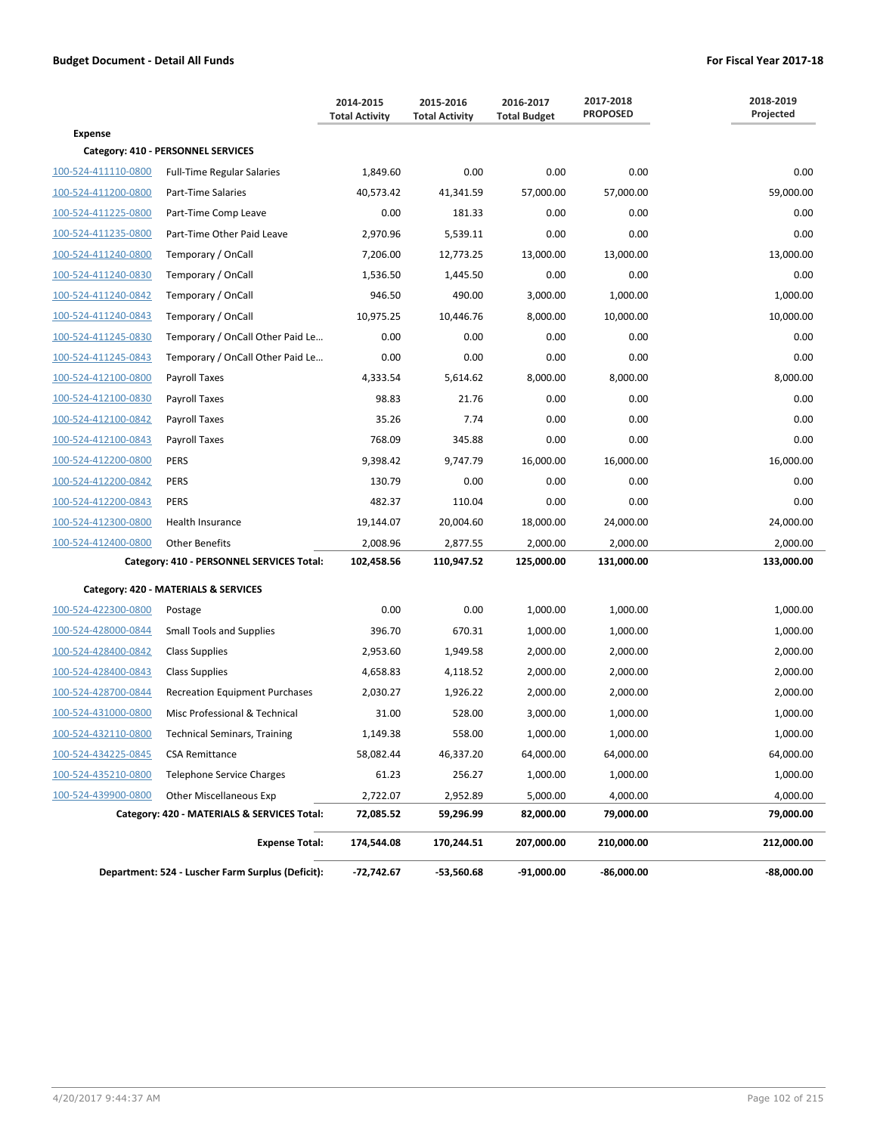|                     |                                                   | 2014-2015<br><b>Total Activity</b> | 2015-2016<br><b>Total Activity</b> | 2016-2017<br><b>Total Budget</b> | 2017-2018<br><b>PROPOSED</b> | 2018-2019<br>Projected |
|---------------------|---------------------------------------------------|------------------------------------|------------------------------------|----------------------------------|------------------------------|------------------------|
| <b>Expense</b>      |                                                   |                                    |                                    |                                  |                              |                        |
|                     | Category: 410 - PERSONNEL SERVICES                |                                    |                                    |                                  |                              |                        |
| 100-524-411110-0800 | <b>Full-Time Regular Salaries</b>                 | 1,849.60                           | 0.00                               | 0.00                             | 0.00                         | 0.00                   |
| 100-524-411200-0800 | Part-Time Salaries                                | 40,573.42                          | 41,341.59                          | 57,000.00                        | 57,000.00                    | 59,000.00              |
| 100-524-411225-0800 | Part-Time Comp Leave                              | 0.00                               | 181.33                             | 0.00                             | 0.00                         | 0.00                   |
| 100-524-411235-0800 | Part-Time Other Paid Leave                        | 2,970.96                           | 5,539.11                           | 0.00                             | 0.00                         | 0.00                   |
| 100-524-411240-0800 | Temporary / OnCall                                | 7,206.00                           | 12,773.25                          | 13,000.00                        | 13,000.00                    | 13,000.00              |
| 100-524-411240-0830 | Temporary / OnCall                                | 1,536.50                           | 1,445.50                           | 0.00                             | 0.00                         | 0.00                   |
| 100-524-411240-0842 | Temporary / OnCall                                | 946.50                             | 490.00                             | 3,000.00                         | 1,000.00                     | 1,000.00               |
| 100-524-411240-0843 | Temporary / OnCall                                | 10,975.25                          | 10,446.76                          | 8,000.00                         | 10,000.00                    | 10,000.00              |
| 100-524-411245-0830 | Temporary / OnCall Other Paid Le                  | 0.00                               | 0.00                               | 0.00                             | 0.00                         | 0.00                   |
| 100-524-411245-0843 | Temporary / OnCall Other Paid Le                  | 0.00                               | 0.00                               | 0.00                             | 0.00                         | 0.00                   |
| 100-524-412100-0800 | Payroll Taxes                                     | 4,333.54                           | 5,614.62                           | 8,000.00                         | 8,000.00                     | 8,000.00               |
| 100-524-412100-0830 | Payroll Taxes                                     | 98.83                              | 21.76                              | 0.00                             | 0.00                         | 0.00                   |
| 100-524-412100-0842 | Payroll Taxes                                     | 35.26                              | 7.74                               | 0.00                             | 0.00                         | 0.00                   |
| 100-524-412100-0843 | Payroll Taxes                                     | 768.09                             | 345.88                             | 0.00                             | 0.00                         | 0.00                   |
| 100-524-412200-0800 | <b>PERS</b>                                       | 9,398.42                           | 9,747.79                           | 16,000.00                        | 16,000.00                    | 16,000.00              |
| 100-524-412200-0842 | <b>PERS</b>                                       | 130.79                             | 0.00                               | 0.00                             | 0.00                         | 0.00                   |
| 100-524-412200-0843 | <b>PERS</b>                                       | 482.37                             | 110.04                             | 0.00                             | 0.00                         | 0.00                   |
| 100-524-412300-0800 | Health Insurance                                  | 19,144.07                          | 20,004.60                          | 18,000.00                        | 24,000.00                    | 24,000.00              |
| 100-524-412400-0800 | <b>Other Benefits</b>                             | 2,008.96                           | 2,877.55                           | 2,000.00                         | 2,000.00                     | 2,000.00               |
|                     | Category: 410 - PERSONNEL SERVICES Total:         | 102,458.56                         | 110,947.52                         | 125,000.00                       | 131,000.00                   | 133,000.00             |
|                     | Category: 420 - MATERIALS & SERVICES              |                                    |                                    |                                  |                              |                        |
| 100-524-422300-0800 | Postage                                           | 0.00                               | 0.00                               | 1,000.00                         | 1,000.00                     | 1,000.00               |
| 100-524-428000-0844 | <b>Small Tools and Supplies</b>                   | 396.70                             | 670.31                             | 1,000.00                         | 1,000.00                     | 1,000.00               |
| 100-524-428400-0842 | <b>Class Supplies</b>                             | 2,953.60                           | 1,949.58                           | 2,000.00                         | 2,000.00                     | 2,000.00               |
| 100-524-428400-0843 | <b>Class Supplies</b>                             | 4,658.83                           | 4,118.52                           | 2,000.00                         | 2,000.00                     | 2,000.00               |
| 100-524-428700-0844 | <b>Recreation Equipment Purchases</b>             | 2,030.27                           | 1,926.22                           | 2,000.00                         | 2,000.00                     | 2,000.00               |
| 100-524-431000-0800 | Misc Professional & Technical                     | 31.00                              | 528.00                             | 3,000.00                         | 1,000.00                     | 1,000.00               |
| 100-524-432110-0800 | <b>Technical Seminars, Training</b>               | 1,149.38                           | 558.00                             | 1,000.00                         | 1,000.00                     | 1,000.00               |
| 100-524-434225-0845 | <b>CSA Remittance</b>                             | 58,082.44                          | 46,337.20                          | 64,000.00                        | 64,000.00                    | 64,000.00              |
| 100-524-435210-0800 | <b>Telephone Service Charges</b>                  | 61.23                              | 256.27                             | 1,000.00                         | 1,000.00                     | 1,000.00               |
| 100-524-439900-0800 | <b>Other Miscellaneous Exp</b>                    | 2,722.07                           | 2,952.89                           | 5,000.00                         | 4,000.00                     | 4,000.00               |
|                     | Category: 420 - MATERIALS & SERVICES Total:       | 72,085.52                          | 59,296.99                          | 82,000.00                        | 79,000.00                    | 79,000.00              |
|                     | <b>Expense Total:</b>                             | 174,544.08                         | 170,244.51                         | 207,000.00                       | 210,000.00                   | 212,000.00             |
|                     | Department: 524 - Luscher Farm Surplus (Deficit): | -72,742.67                         | -53,560.68                         | $-91,000.00$                     | $-86,000.00$                 | -88,000.00             |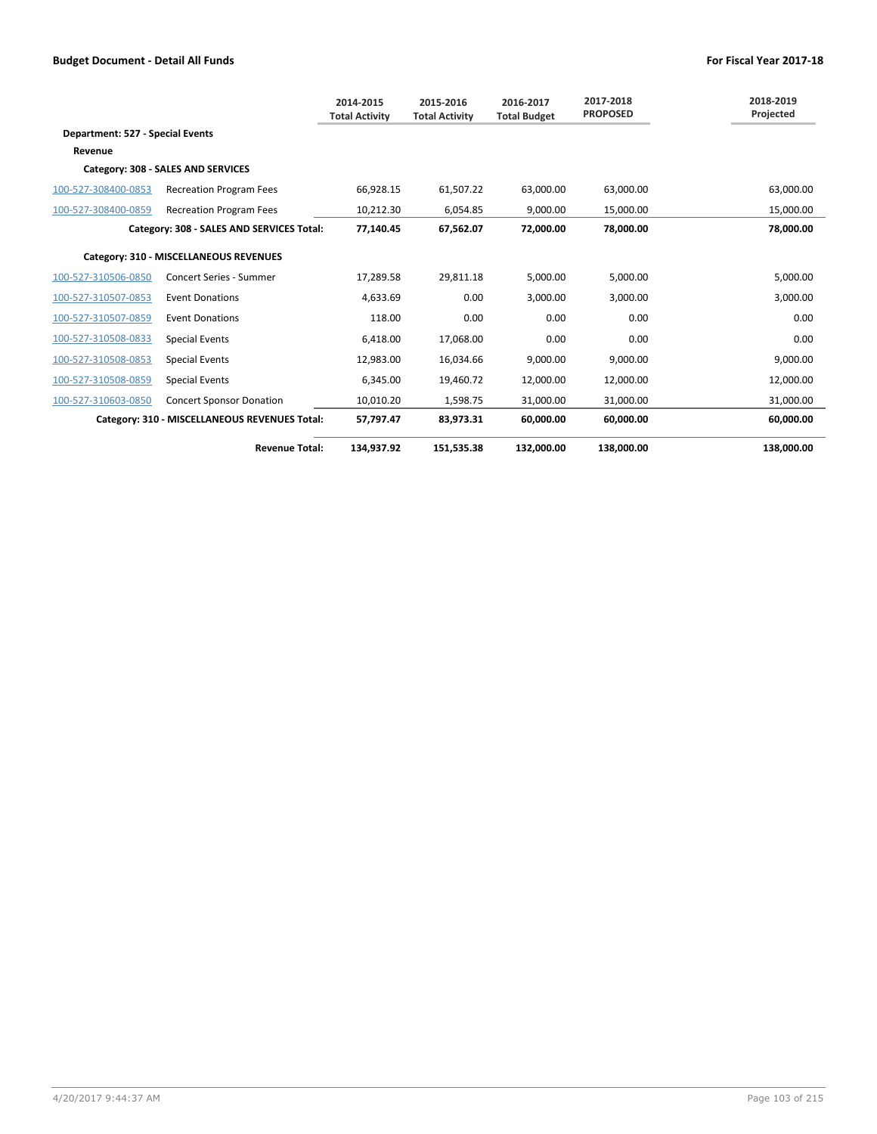|                                        |                                               | 2014-2015<br><b>Total Activity</b> | 2015-2016<br><b>Total Activity</b> | 2016-2017<br><b>Total Budget</b> | 2017-2018<br><b>PROPOSED</b> | 2018-2019<br>Projected |  |  |
|----------------------------------------|-----------------------------------------------|------------------------------------|------------------------------------|----------------------------------|------------------------------|------------------------|--|--|
| Department: 527 - Special Events       |                                               |                                    |                                    |                                  |                              |                        |  |  |
| Revenue                                |                                               |                                    |                                    |                                  |                              |                        |  |  |
|                                        | Category: 308 - SALES AND SERVICES            |                                    |                                    |                                  |                              |                        |  |  |
| 100-527-308400-0853                    | <b>Recreation Program Fees</b>                | 66,928.15                          | 61,507.22                          | 63.000.00                        | 63.000.00                    | 63,000.00              |  |  |
| 100-527-308400-0859                    | <b>Recreation Program Fees</b>                | 10,212.30                          | 6,054.85                           | 9,000.00                         | 15,000.00                    | 15,000.00              |  |  |
|                                        | Category: 308 - SALES AND SERVICES Total:     | 77,140.45                          | 67,562.07                          | 72,000.00                        | 78,000.00                    | 78,000.00              |  |  |
| Category: 310 - MISCELLANEOUS REVENUES |                                               |                                    |                                    |                                  |                              |                        |  |  |
| 100-527-310506-0850                    | <b>Concert Series - Summer</b>                | 17,289.58                          | 29,811.18                          | 5,000.00                         | 5,000.00                     | 5,000.00               |  |  |
| 100-527-310507-0853                    | <b>Event Donations</b>                        | 4,633.69                           | 0.00                               | 3,000.00                         | 3,000.00                     | 3,000.00               |  |  |
| 100-527-310507-0859                    | <b>Event Donations</b>                        | 118.00                             | 0.00                               | 0.00                             | 0.00                         | 0.00                   |  |  |
| 100-527-310508-0833                    | <b>Special Events</b>                         | 6,418.00                           | 17,068.00                          | 0.00                             | 0.00                         | 0.00                   |  |  |
| 100-527-310508-0853                    | <b>Special Events</b>                         | 12,983.00                          | 16,034.66                          | 9,000.00                         | 9.000.00                     | 9,000.00               |  |  |
| 100-527-310508-0859                    | <b>Special Events</b>                         | 6,345.00                           | 19,460.72                          | 12,000.00                        | 12,000.00                    | 12,000.00              |  |  |
| 100-527-310603-0850                    | <b>Concert Sponsor Donation</b>               | 10,010.20                          | 1,598.75                           | 31,000.00                        | 31,000.00                    | 31,000.00              |  |  |
|                                        | Category: 310 - MISCELLANEOUS REVENUES Total: | 57,797.47                          | 83,973.31                          | 60,000.00                        | 60,000.00                    | 60,000.00              |  |  |
|                                        | <b>Revenue Total:</b>                         | 134.937.92                         | 151,535.38                         | 132.000.00                       | 138.000.00                   | 138.000.00             |  |  |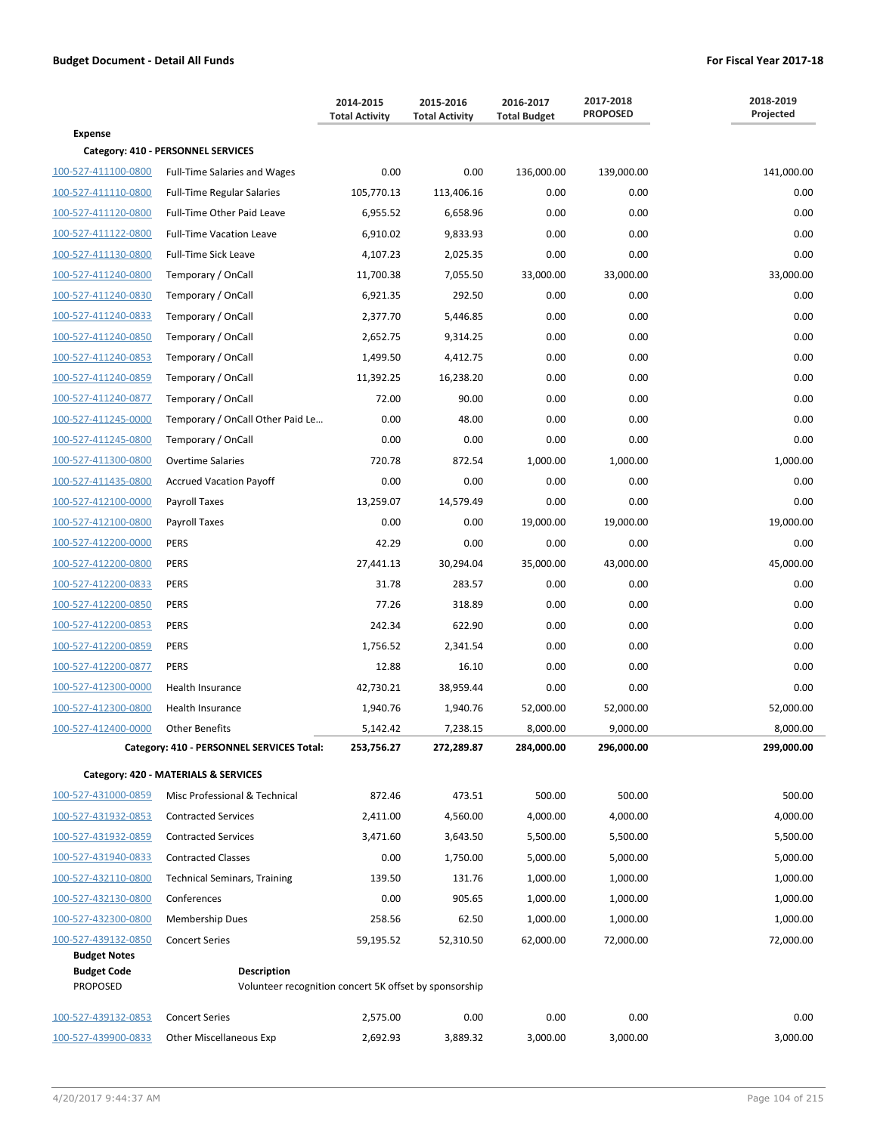|                     |                                                        | 2014-2015<br><b>Total Activity</b> | 2015-2016<br><b>Total Activity</b> | 2016-2017<br><b>Total Budget</b> | 2017-2018<br><b>PROPOSED</b> | 2018-2019<br>Projected |
|---------------------|--------------------------------------------------------|------------------------------------|------------------------------------|----------------------------------|------------------------------|------------------------|
| <b>Expense</b>      |                                                        |                                    |                                    |                                  |                              |                        |
|                     | Category: 410 - PERSONNEL SERVICES                     |                                    |                                    |                                  |                              |                        |
| 100-527-411100-0800 | <b>Full-Time Salaries and Wages</b>                    | 0.00                               | 0.00                               | 136,000.00                       | 139,000.00                   | 141,000.00             |
| 100-527-411110-0800 | <b>Full-Time Regular Salaries</b>                      | 105,770.13                         | 113,406.16                         | 0.00                             | 0.00                         | 0.00                   |
| 100-527-411120-0800 | Full-Time Other Paid Leave                             | 6,955.52                           | 6,658.96                           | 0.00                             | 0.00                         | 0.00                   |
| 100-527-411122-0800 | <b>Full-Time Vacation Leave</b>                        | 6,910.02                           | 9,833.93                           | 0.00                             | 0.00                         | 0.00                   |
| 100-527-411130-0800 | <b>Full-Time Sick Leave</b>                            | 4,107.23                           | 2,025.35                           | 0.00                             | 0.00                         | 0.00                   |
| 100-527-411240-0800 | Temporary / OnCall                                     | 11,700.38                          | 7,055.50                           | 33,000.00                        | 33,000.00                    | 33,000.00              |
| 100-527-411240-0830 | Temporary / OnCall                                     | 6,921.35                           | 292.50                             | 0.00                             | 0.00                         | 0.00                   |
| 100-527-411240-0833 | Temporary / OnCall                                     | 2,377.70                           | 5,446.85                           | 0.00                             | 0.00                         | 0.00                   |
| 100-527-411240-0850 | Temporary / OnCall                                     | 2,652.75                           | 9,314.25                           | 0.00                             | 0.00                         | 0.00                   |
| 100-527-411240-0853 | Temporary / OnCall                                     | 1,499.50                           | 4,412.75                           | 0.00                             | 0.00                         | 0.00                   |
| 100-527-411240-0859 | Temporary / OnCall                                     | 11,392.25                          | 16,238.20                          | 0.00                             | 0.00                         | 0.00                   |
| 100-527-411240-0877 | Temporary / OnCall                                     | 72.00                              | 90.00                              | 0.00                             | 0.00                         | 0.00                   |
| 100-527-411245-0000 | Temporary / OnCall Other Paid Le                       | 0.00                               | 48.00                              | 0.00                             | 0.00                         | 0.00                   |
| 100-527-411245-0800 | Temporary / OnCall                                     | 0.00                               | 0.00                               | 0.00                             | 0.00                         | 0.00                   |
| 100-527-411300-0800 | <b>Overtime Salaries</b>                               | 720.78                             | 872.54                             | 1,000.00                         | 1,000.00                     | 1,000.00               |
| 100-527-411435-0800 | <b>Accrued Vacation Payoff</b>                         | 0.00                               | 0.00                               | 0.00                             | 0.00                         | 0.00                   |
| 100-527-412100-0000 | Payroll Taxes                                          | 13,259.07                          | 14,579.49                          | 0.00                             | 0.00                         | 0.00                   |
| 100-527-412100-0800 | Payroll Taxes                                          | 0.00                               | 0.00                               | 19,000.00                        | 19,000.00                    | 19,000.00              |
| 100-527-412200-0000 | <b>PERS</b>                                            | 42.29                              | 0.00                               | 0.00                             | 0.00                         | 0.00                   |
| 100-527-412200-0800 | <b>PERS</b>                                            | 27,441.13                          | 30,294.04                          | 35,000.00                        | 43,000.00                    | 45,000.00              |
| 100-527-412200-0833 | <b>PERS</b>                                            | 31.78                              | 283.57                             | 0.00                             | 0.00                         | 0.00                   |
| 100-527-412200-0850 | <b>PERS</b>                                            | 77.26                              | 318.89                             | 0.00                             | 0.00                         | 0.00                   |
| 100-527-412200-0853 | <b>PERS</b>                                            | 242.34                             | 622.90                             | 0.00                             | 0.00                         | 0.00                   |
| 100-527-412200-0859 | <b>PERS</b>                                            | 1,756.52                           | 2,341.54                           | 0.00                             | 0.00                         | 0.00                   |
| 100-527-412200-0877 | <b>PERS</b>                                            | 12.88                              | 16.10                              | 0.00                             | 0.00                         | 0.00                   |
| 100-527-412300-0000 | Health Insurance                                       | 42,730.21                          | 38,959.44                          | 0.00                             | 0.00                         | 0.00                   |
| 100-527-412300-0800 | <b>Health Insurance</b>                                | 1,940.76                           | 1,940.76                           | 52,000.00                        | 52,000.00                    | 52,000.00              |
| 100-527-412400-0000 | Other Benefits                                         | 5,142.42                           | 7,238.15                           | 8,000.00                         | 9,000.00                     | 8,000.00               |
|                     | Category: 410 - PERSONNEL SERVICES Total:              | 253,756.27                         | 272,289.87                         | 284,000.00                       | 296,000.00                   | 299,000.00             |
|                     | Category: 420 - MATERIALS & SERVICES                   |                                    |                                    |                                  |                              |                        |
| 100-527-431000-0859 | Misc Professional & Technical                          | 872.46                             | 473.51                             | 500.00                           | 500.00                       | 500.00                 |
| 100-527-431932-0853 | <b>Contracted Services</b>                             | 2,411.00                           | 4,560.00                           | 4,000.00                         | 4,000.00                     | 4,000.00               |
| 100-527-431932-0859 | <b>Contracted Services</b>                             | 3,471.60                           | 3,643.50                           | 5,500.00                         | 5,500.00                     | 5,500.00               |
| 100-527-431940-0833 | <b>Contracted Classes</b>                              | 0.00                               | 1,750.00                           | 5,000.00                         | 5,000.00                     | 5,000.00               |
| 100-527-432110-0800 | <b>Technical Seminars, Training</b>                    | 139.50                             | 131.76                             | 1,000.00                         | 1,000.00                     | 1,000.00               |
| 100-527-432130-0800 | Conferences                                            | 0.00                               | 905.65                             | 1,000.00                         | 1,000.00                     | 1,000.00               |
| 100-527-432300-0800 | Membership Dues                                        | 258.56                             | 62.50                              | 1,000.00                         | 1,000.00                     | 1,000.00               |
| 100-527-439132-0850 | <b>Concert Series</b>                                  | 59,195.52                          | 52,310.50                          | 62,000.00                        | 72,000.00                    | 72,000.00              |
| <b>Budget Notes</b> |                                                        |                                    |                                    |                                  |                              |                        |
| <b>Budget Code</b>  | Description                                            |                                    |                                    |                                  |                              |                        |
| <b>PROPOSED</b>     | Volunteer recognition concert 5K offset by sponsorship |                                    |                                    |                                  |                              |                        |
| 100-527-439132-0853 | <b>Concert Series</b>                                  | 2,575.00                           | 0.00                               | 0.00                             | 0.00                         | 0.00                   |
| 100-527-439900-0833 | <b>Other Miscellaneous Exp</b>                         | 2,692.93                           | 3,889.32                           | 3,000.00                         | 3,000.00                     | 3,000.00               |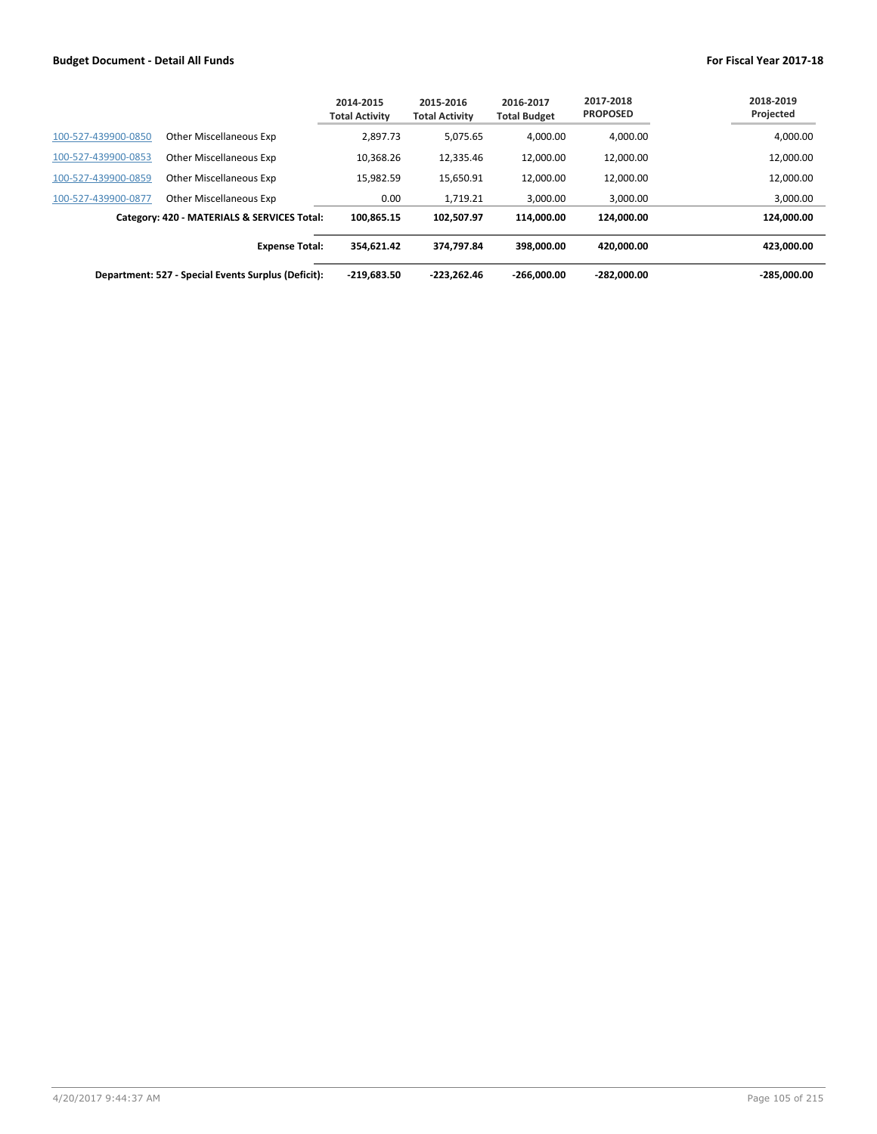|                     |                                                     | 2014-2015<br><b>Total Activity</b> | 2015-2016<br><b>Total Activity</b> | 2016-2017<br><b>Total Budget</b> | 2017-2018<br><b>PROPOSED</b> | 2018-2019<br>Projected |
|---------------------|-----------------------------------------------------|------------------------------------|------------------------------------|----------------------------------|------------------------------|------------------------|
| 100-527-439900-0850 | Other Miscellaneous Exp                             | 2,897.73                           | 5,075.65                           | 4.000.00                         | 4,000.00                     | 4,000.00               |
| 100-527-439900-0853 | Other Miscellaneous Exp                             | 10.368.26                          | 12,335.46                          | 12,000.00                        | 12,000.00                    | 12,000.00              |
| 100-527-439900-0859 | Other Miscellaneous Exp                             | 15.982.59                          | 15,650.91                          | 12,000.00                        | 12.000.00                    | 12,000.00              |
| 100-527-439900-0877 | Other Miscellaneous Exp                             | 0.00                               | 1.719.21                           | 3,000.00                         | 3,000.00                     | 3,000.00               |
|                     | Category: 420 - MATERIALS & SERVICES Total:         | 100.865.15                         | 102.507.97                         | 114.000.00                       | 124.000.00                   | 124,000.00             |
|                     | <b>Expense Total:</b>                               | 354.621.42                         | 374.797.84                         | 398.000.00                       | 420.000.00                   | 423.000.00             |
|                     | Department: 527 - Special Events Surplus (Deficit): | $-219,683.50$                      | $-223.262.46$                      | $-266.000.00$                    | $-282.000.00$                | -285.000.00            |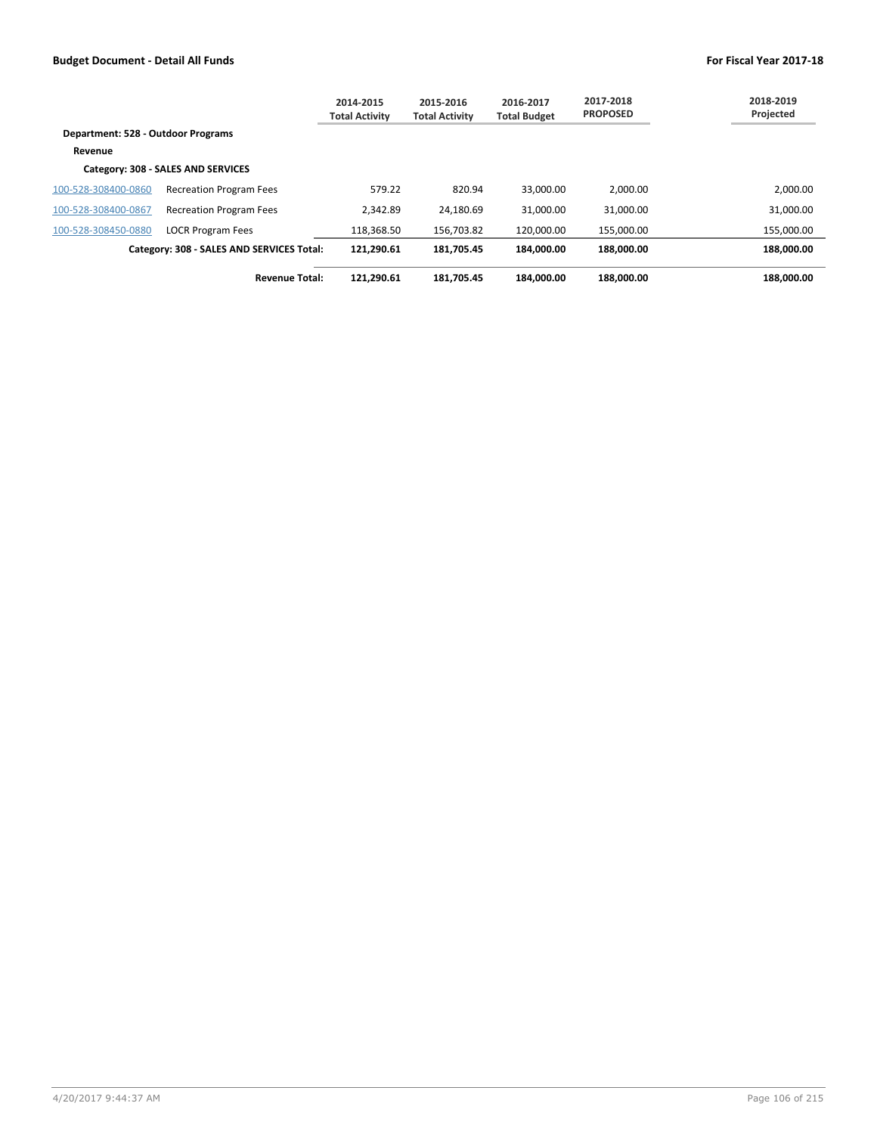|                                    |                                           | 2014-2015<br><b>Total Activity</b> | 2015-2016<br><b>Total Activity</b> | 2016-2017<br><b>Total Budget</b> | 2017-2018<br><b>PROPOSED</b> | 2018-2019<br>Projected |
|------------------------------------|-------------------------------------------|------------------------------------|------------------------------------|----------------------------------|------------------------------|------------------------|
| Department: 528 - Outdoor Programs |                                           |                                    |                                    |                                  |                              |                        |
| Revenue                            |                                           |                                    |                                    |                                  |                              |                        |
|                                    | Category: 308 - SALES AND SERVICES        |                                    |                                    |                                  |                              |                        |
| 100-528-308400-0860                | <b>Recreation Program Fees</b>            | 579.22                             | 820.94                             | 33.000.00                        | 2.000.00                     | 2,000.00               |
| 100-528-308400-0867                | <b>Recreation Program Fees</b>            | 2.342.89                           | 24,180.69                          | 31,000.00                        | 31,000.00                    | 31,000.00              |
| 100-528-308450-0880                | <b>LOCR Program Fees</b>                  | 118,368.50                         | 156,703.82                         | 120.000.00                       | 155.000.00                   | 155,000.00             |
|                                    | Category: 308 - SALES AND SERVICES Total: | 121.290.61                         | 181.705.45                         | 184.000.00                       | 188.000.00                   | 188.000.00             |
|                                    | <b>Revenue Total:</b>                     | 121.290.61                         | 181.705.45                         | 184.000.00                       | 188.000.00                   | 188.000.00             |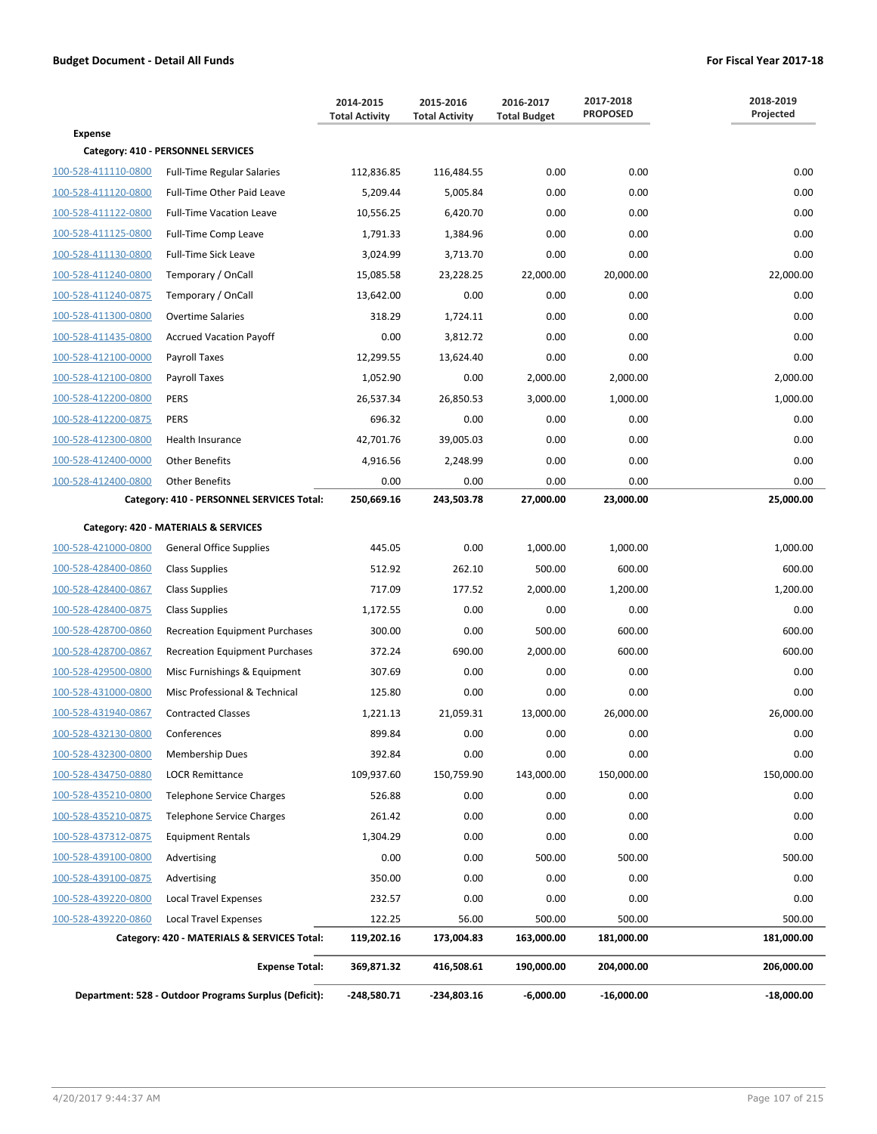|                                      |                                                       | 2014-2015<br><b>Total Activity</b> | 2015-2016<br><b>Total Activity</b> | 2016-2017<br><b>Total Budget</b> | 2017-2018<br><b>PROPOSED</b> | 2018-2019<br>Projected |  |  |
|--------------------------------------|-------------------------------------------------------|------------------------------------|------------------------------------|----------------------------------|------------------------------|------------------------|--|--|
| <b>Expense</b>                       |                                                       |                                    |                                    |                                  |                              |                        |  |  |
|                                      | Category: 410 - PERSONNEL SERVICES                    |                                    |                                    |                                  |                              |                        |  |  |
| 100-528-411110-0800                  | <b>Full-Time Regular Salaries</b>                     | 112,836.85                         | 116,484.55                         | 0.00                             | 0.00                         | 0.00                   |  |  |
| 100-528-411120-0800                  | Full-Time Other Paid Leave                            | 5,209.44                           | 5,005.84                           | 0.00                             | 0.00                         | 0.00                   |  |  |
| 100-528-411122-0800                  | <b>Full-Time Vacation Leave</b>                       | 10,556.25                          | 6,420.70                           | 0.00                             | 0.00                         | 0.00                   |  |  |
| 100-528-411125-0800                  | Full-Time Comp Leave                                  | 1,791.33                           | 1,384.96                           | 0.00                             | 0.00                         | 0.00                   |  |  |
| 100-528-411130-0800                  | <b>Full-Time Sick Leave</b>                           | 3,024.99                           | 3,713.70                           | 0.00                             | 0.00                         | 0.00                   |  |  |
| 100-528-411240-0800                  | Temporary / OnCall                                    | 15,085.58                          | 23,228.25                          | 22,000.00                        | 20,000.00                    | 22,000.00              |  |  |
| 100-528-411240-0875                  | Temporary / OnCall                                    | 13,642.00                          | 0.00                               | 0.00                             | 0.00                         | 0.00                   |  |  |
| 100-528-411300-0800                  | Overtime Salaries                                     | 318.29                             | 1,724.11                           | 0.00                             | 0.00                         | 0.00                   |  |  |
| 100-528-411435-0800                  | <b>Accrued Vacation Payoff</b>                        | 0.00                               | 3,812.72                           | 0.00                             | 0.00                         | 0.00                   |  |  |
| 100-528-412100-0000                  | Payroll Taxes                                         | 12,299.55                          | 13,624.40                          | 0.00                             | 0.00                         | 0.00                   |  |  |
| 100-528-412100-0800                  | Payroll Taxes                                         | 1,052.90                           | 0.00                               | 2,000.00                         | 2,000.00                     | 2,000.00               |  |  |
| 100-528-412200-0800                  | <b>PERS</b>                                           | 26,537.34                          | 26,850.53                          | 3,000.00                         | 1,000.00                     | 1,000.00               |  |  |
| 100-528-412200-0875                  | <b>PERS</b>                                           | 696.32                             | 0.00                               | 0.00                             | 0.00                         | 0.00                   |  |  |
| 100-528-412300-0800                  | <b>Health Insurance</b>                               | 42,701.76                          | 39,005.03                          | 0.00                             | 0.00                         | 0.00                   |  |  |
| 100-528-412400-0000                  | <b>Other Benefits</b>                                 | 4,916.56                           | 2,248.99                           | 0.00                             | 0.00                         | 0.00                   |  |  |
| 100-528-412400-0800                  | <b>Other Benefits</b>                                 | 0.00                               | 0.00                               | 0.00                             | 0.00                         | 0.00                   |  |  |
|                                      | Category: 410 - PERSONNEL SERVICES Total:             | 250,669.16                         | 243,503.78                         | 27,000.00                        | 23,000.00                    | 25,000.00              |  |  |
| Category: 420 - MATERIALS & SERVICES |                                                       |                                    |                                    |                                  |                              |                        |  |  |
| 100-528-421000-0800                  | <b>General Office Supplies</b>                        | 445.05                             | 0.00                               | 1,000.00                         | 1,000.00                     | 1,000.00               |  |  |
| 100-528-428400-0860                  | <b>Class Supplies</b>                                 | 512.92                             | 262.10                             | 500.00                           | 600.00                       | 600.00                 |  |  |
| 100-528-428400-0867                  | <b>Class Supplies</b>                                 | 717.09                             | 177.52                             | 2,000.00                         | 1,200.00                     | 1,200.00               |  |  |
| 100-528-428400-0875                  | <b>Class Supplies</b>                                 | 1,172.55                           | 0.00                               | 0.00                             | 0.00                         | 0.00                   |  |  |
| 100-528-428700-0860                  | <b>Recreation Equipment Purchases</b>                 | 300.00                             | 0.00                               | 500.00                           | 600.00                       | 600.00                 |  |  |
| 100-528-428700-0867                  | <b>Recreation Equipment Purchases</b>                 | 372.24                             | 690.00                             | 2,000.00                         | 600.00                       | 600.00                 |  |  |
| 100-528-429500-0800                  | Misc Furnishings & Equipment                          | 307.69                             | 0.00                               | 0.00                             | 0.00                         | 0.00                   |  |  |
| 100-528-431000-0800                  | Misc Professional & Technical                         | 125.80                             | 0.00                               | 0.00                             | 0.00                         | 0.00                   |  |  |
| 100-528-431940-0867                  | <b>Contracted Classes</b>                             | 1,221.13                           | 21,059.31                          | 13,000.00                        | 26,000.00                    | 26,000.00              |  |  |
| 100-528-432130-0800                  | Conferences                                           | 899.84                             | 0.00                               | 0.00                             | 0.00                         | 0.00                   |  |  |
| 100-528-432300-0800                  | <b>Membership Dues</b>                                | 392.84                             | 0.00                               | 0.00                             | 0.00                         | 0.00                   |  |  |
| 100-528-434750-0880                  | <b>LOCR Remittance</b>                                | 109,937.60                         | 150,759.90                         | 143,000.00                       | 150,000.00                   | 150,000.00             |  |  |
| 100-528-435210-0800                  | <b>Telephone Service Charges</b>                      | 526.88                             | 0.00                               | 0.00                             | 0.00                         | 0.00                   |  |  |
| 100-528-435210-0875                  | Telephone Service Charges                             | 261.42                             | 0.00                               | 0.00                             | 0.00                         | 0.00                   |  |  |
| 100-528-437312-0875                  | <b>Equipment Rentals</b>                              | 1,304.29                           | 0.00                               | 0.00                             | 0.00                         | 0.00                   |  |  |
| 100-528-439100-0800                  | Advertising                                           | 0.00                               | 0.00                               | 500.00                           | 500.00                       | 500.00                 |  |  |
| 100-528-439100-0875                  | Advertising                                           | 350.00                             | 0.00                               | 0.00                             | 0.00                         | 0.00                   |  |  |
| 100-528-439220-0800                  | <b>Local Travel Expenses</b>                          | 232.57                             | 0.00                               | 0.00                             | 0.00                         | 0.00                   |  |  |
| 100-528-439220-0860                  | <b>Local Travel Expenses</b>                          | 122.25                             | 56.00                              | 500.00                           | 500.00                       | 500.00                 |  |  |
|                                      | Category: 420 - MATERIALS & SERVICES Total:           | 119,202.16                         | 173,004.83                         | 163,000.00                       | 181,000.00                   | 181,000.00             |  |  |
|                                      | <b>Expense Total:</b>                                 | 369,871.32                         | 416,508.61                         | 190,000.00                       | 204,000.00                   | 206,000.00             |  |  |
|                                      | Department: 528 - Outdoor Programs Surplus (Deficit): | -248,580.71                        | -234,803.16                        | $-6,000.00$                      | $-16,000.00$                 | $-18,000.00$           |  |  |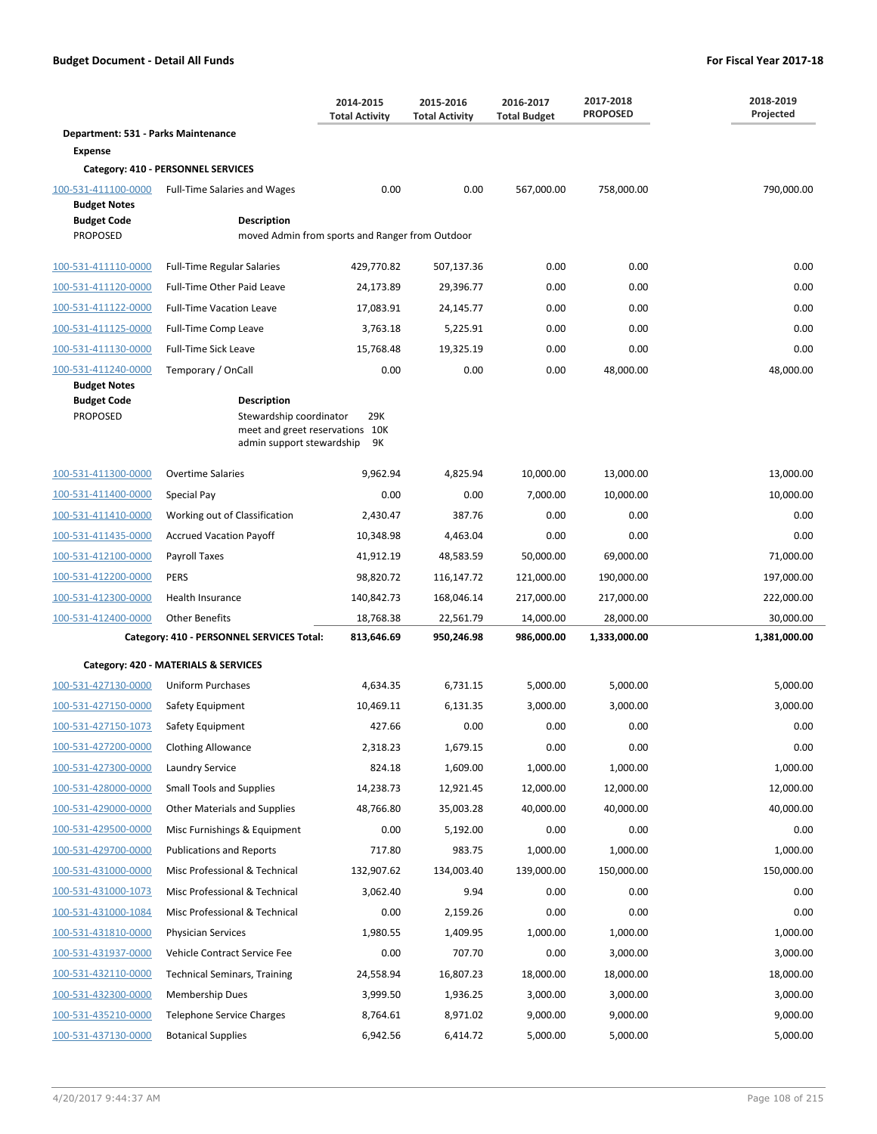|                                            |                                                                                                               | 2014-2015<br><b>Total Activity</b> | 2015-2016<br><b>Total Activity</b> | 2016-2017<br><b>Total Budget</b> | 2017-2018<br><b>PROPOSED</b> | 2018-2019<br>Projected |  |
|--------------------------------------------|---------------------------------------------------------------------------------------------------------------|------------------------------------|------------------------------------|----------------------------------|------------------------------|------------------------|--|
| Department: 531 - Parks Maintenance        |                                                                                                               |                                    |                                    |                                  |                              |                        |  |
| <b>Expense</b>                             |                                                                                                               |                                    |                                    |                                  |                              |                        |  |
|                                            | Category: 410 - PERSONNEL SERVICES                                                                            |                                    |                                    |                                  |                              |                        |  |
| 100-531-411100-0000<br><b>Budget Notes</b> | <b>Full-Time Salaries and Wages</b>                                                                           | 0.00                               | 0.00                               | 567,000.00                       | 758,000.00                   | 790,000.00             |  |
| <b>Budget Code</b>                         | Description                                                                                                   |                                    |                                    |                                  |                              |                        |  |
| <b>PROPOSED</b>                            | moved Admin from sports and Ranger from Outdoor                                                               |                                    |                                    |                                  |                              |                        |  |
| 100-531-411110-0000                        | Full-Time Regular Salaries                                                                                    | 429,770.82                         | 507,137.36                         | 0.00                             | 0.00                         | 0.00                   |  |
| 100-531-411120-0000                        | Full-Time Other Paid Leave                                                                                    | 24,173.89                          | 29,396.77                          | 0.00                             | 0.00                         | 0.00                   |  |
| 100-531-411122-0000                        | <b>Full-Time Vacation Leave</b>                                                                               | 17,083.91                          | 24,145.77                          | 0.00                             | 0.00                         | 0.00                   |  |
| 100-531-411125-0000                        | Full-Time Comp Leave                                                                                          | 3,763.18                           | 5,225.91                           | 0.00                             | 0.00                         | 0.00                   |  |
| 100-531-411130-0000                        | Full-Time Sick Leave                                                                                          | 15,768.48                          | 19,325.19                          | 0.00                             | 0.00                         | 0.00                   |  |
| 100-531-411240-0000                        | Temporary / OnCall                                                                                            | 0.00                               | 0.00                               | 0.00                             | 48,000.00                    | 48,000.00              |  |
| <b>Budget Notes</b>                        |                                                                                                               |                                    |                                    |                                  |                              |                        |  |
| <b>Budget Code</b><br><b>PROPOSED</b>      | <b>Description</b><br>Stewardship coordinator<br>meet and greet reservations 10K<br>admin support stewardship | 29K<br>9Κ                          |                                    |                                  |                              |                        |  |
| 100-531-411300-0000                        | <b>Overtime Salaries</b>                                                                                      | 9,962.94                           | 4,825.94                           | 10,000.00                        | 13,000.00                    | 13,000.00              |  |
| 100-531-411400-0000                        | Special Pay                                                                                                   | 0.00                               | 0.00                               | 7,000.00                         | 10,000.00                    | 10,000.00              |  |
| 100-531-411410-0000                        | Working out of Classification                                                                                 | 2,430.47                           | 387.76                             | 0.00                             | 0.00                         | 0.00                   |  |
| 100-531-411435-0000                        | <b>Accrued Vacation Payoff</b>                                                                                | 10,348.98                          | 4,463.04                           | 0.00                             | 0.00                         | 0.00                   |  |
| 100-531-412100-0000                        | Payroll Taxes                                                                                                 | 41,912.19                          | 48,583.59                          | 50,000.00                        | 69,000.00                    | 71,000.00              |  |
| 100-531-412200-0000                        | <b>PERS</b>                                                                                                   | 98,820.72                          | 116,147.72                         | 121,000.00                       | 190,000.00                   | 197,000.00             |  |
| 100-531-412300-0000                        | Health Insurance                                                                                              | 140,842.73                         | 168,046.14                         | 217,000.00                       | 217,000.00                   | 222,000.00             |  |
| 100-531-412400-0000                        | <b>Other Benefits</b>                                                                                         | 18,768.38                          | 22,561.79                          | 14,000.00                        | 28,000.00                    | 30,000.00              |  |
|                                            | Category: 410 - PERSONNEL SERVICES Total:                                                                     | 813,646.69                         | 950,246.98                         | 986,000.00                       | 1,333,000.00                 | 1,381,000.00           |  |
| Category: 420 - MATERIALS & SERVICES       |                                                                                                               |                                    |                                    |                                  |                              |                        |  |
| 100-531-427130-0000                        | <b>Uniform Purchases</b>                                                                                      | 4,634.35                           | 6,731.15                           | 5,000.00                         | 5,000.00                     | 5,000.00               |  |
| 100-531-427150-0000                        | Safety Equipment                                                                                              | 10,469.11                          | 6,131.35                           | 3,000.00                         | 3,000.00                     | 3,000.00               |  |
| 100-531-427150-1073                        | Safety Equipment                                                                                              | 427.66                             | 0.00                               | 0.00                             | 0.00                         | 0.00                   |  |
| 100-531-427200-0000                        | <b>Clothing Allowance</b>                                                                                     | 2,318.23                           | 1,679.15                           | 0.00                             | 0.00                         | 0.00                   |  |
| 100-531-427300-0000                        | Laundry Service                                                                                               | 824.18                             | 1,609.00                           | 1,000.00                         | 1,000.00                     | 1,000.00               |  |
| 100-531-428000-0000                        | <b>Small Tools and Supplies</b>                                                                               | 14,238.73                          | 12,921.45                          | 12,000.00                        | 12,000.00                    | 12,000.00              |  |
| 100-531-429000-0000                        | Other Materials and Supplies                                                                                  | 48,766.80                          | 35,003.28                          | 40,000.00                        | 40,000.00                    | 40,000.00              |  |
| 100-531-429500-0000                        | Misc Furnishings & Equipment                                                                                  | 0.00                               | 5,192.00                           | 0.00                             | 0.00                         | 0.00                   |  |
| 100-531-429700-0000                        | <b>Publications and Reports</b>                                                                               | 717.80                             | 983.75                             | 1,000.00                         | 1,000.00                     | 1,000.00               |  |
| 100-531-431000-0000                        | Misc Professional & Technical                                                                                 | 132,907.62                         | 134,003.40                         | 139,000.00                       | 150,000.00                   | 150,000.00             |  |
| 100-531-431000-1073                        | Misc Professional & Technical                                                                                 | 3,062.40                           | 9.94                               | 0.00                             | 0.00                         | 0.00                   |  |
| 100-531-431000-1084                        | Misc Professional & Technical                                                                                 | 0.00                               | 2,159.26                           | 0.00                             | 0.00                         | 0.00                   |  |
| 100-531-431810-0000                        | <b>Physician Services</b>                                                                                     | 1,980.55                           | 1,409.95                           | 1,000.00                         | 1,000.00                     | 1,000.00               |  |
| 100-531-431937-0000                        | Vehicle Contract Service Fee                                                                                  | 0.00                               | 707.70                             | 0.00                             | 3,000.00                     | 3,000.00               |  |
| 100-531-432110-0000                        | <b>Technical Seminars, Training</b>                                                                           | 24,558.94                          | 16,807.23                          | 18,000.00                        | 18,000.00                    | 18,000.00              |  |
| 100-531-432300-0000                        | Membership Dues                                                                                               | 3,999.50                           | 1,936.25                           | 3,000.00                         | 3,000.00                     | 3,000.00               |  |
| 100-531-435210-0000                        | <b>Telephone Service Charges</b>                                                                              | 8,764.61                           | 8,971.02                           | 9,000.00                         | 9,000.00                     | 9,000.00               |  |
| 100-531-437130-0000                        | <b>Botanical Supplies</b>                                                                                     | 6,942.56                           | 6,414.72                           | 5,000.00                         | 5,000.00                     | 5,000.00               |  |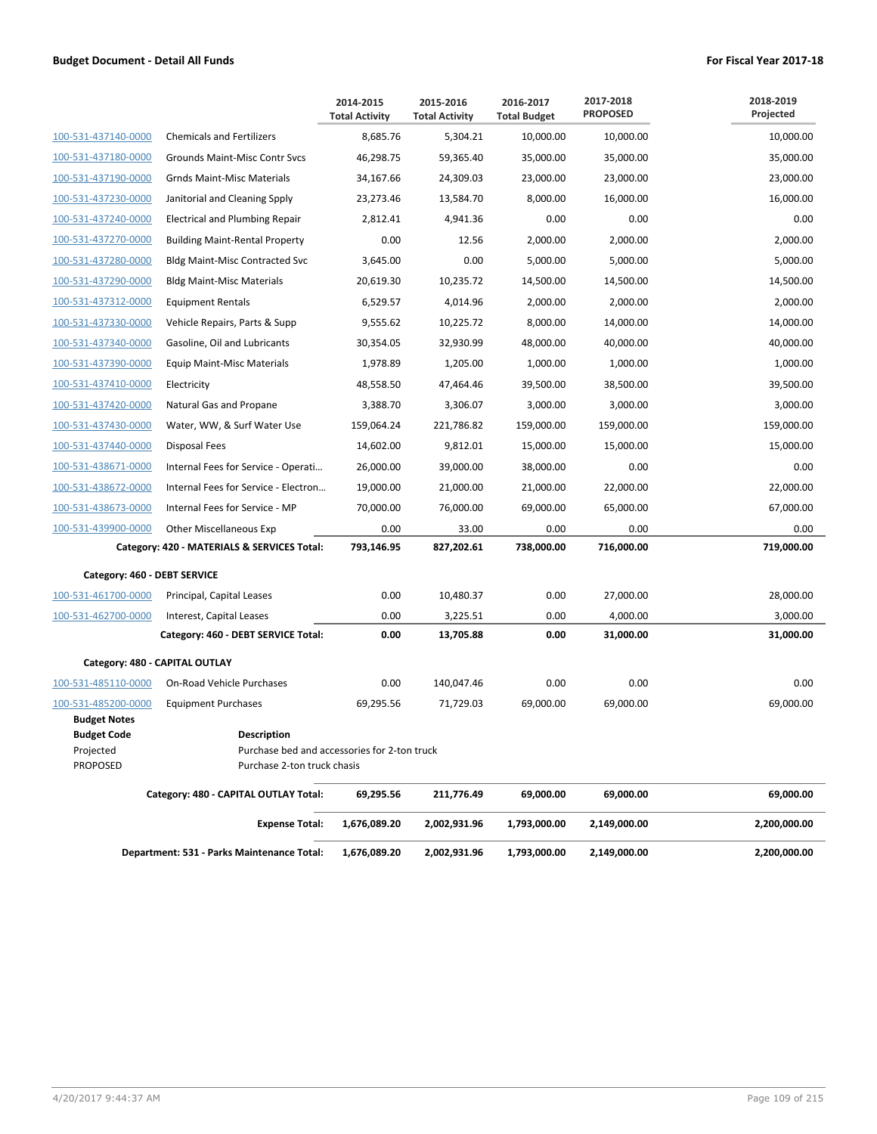|                                 |                                                                    | 2014-2015<br><b>Total Activity</b> | 2015-2016<br><b>Total Activity</b> | 2016-2017<br><b>Total Budget</b> | 2017-2018<br><b>PROPOSED</b> | 2018-2019<br>Projected |
|---------------------------------|--------------------------------------------------------------------|------------------------------------|------------------------------------|----------------------------------|------------------------------|------------------------|
| 100-531-437140-0000             | <b>Chemicals and Fertilizers</b>                                   | 8,685.76                           | 5,304.21                           | 10.000.00                        | 10.000.00                    | 10,000.00              |
| 100-531-437180-0000             | Grounds Maint-Misc Contr Svcs                                      | 46,298.75                          | 59,365.40                          | 35,000.00                        | 35,000.00                    | 35,000.00              |
| 100-531-437190-0000             | <b>Grnds Maint-Misc Materials</b>                                  | 34,167.66                          | 24,309.03                          | 23,000.00                        | 23,000.00                    | 23,000.00              |
| 100-531-437230-0000             | Janitorial and Cleaning Spply                                      | 23,273.46                          | 13,584.70                          | 8,000.00                         | 16,000.00                    | 16,000.00              |
| 100-531-437240-0000             | <b>Electrical and Plumbing Repair</b>                              | 2,812.41                           | 4,941.36                           | 0.00                             | 0.00                         | 0.00                   |
| 100-531-437270-0000             | <b>Building Maint-Rental Property</b>                              | 0.00                               | 12.56                              | 2,000.00                         | 2.000.00                     | 2,000.00               |
| 100-531-437280-0000             | <b>Bldg Maint-Misc Contracted Svc</b>                              | 3,645.00                           | 0.00                               | 5,000.00                         | 5,000.00                     | 5,000.00               |
| 100-531-437290-0000             | <b>Bldg Maint-Misc Materials</b>                                   | 20,619.30                          | 10,235.72                          | 14,500.00                        | 14,500.00                    | 14,500.00              |
| 100-531-437312-0000             | <b>Equipment Rentals</b>                                           | 6,529.57                           | 4,014.96                           | 2,000.00                         | 2,000.00                     | 2,000.00               |
| 100-531-437330-0000             | Vehicle Repairs, Parts & Supp                                      | 9,555.62                           | 10,225.72                          | 8,000.00                         | 14,000.00                    | 14,000.00              |
| 100-531-437340-0000             | Gasoline, Oil and Lubricants                                       | 30,354.05                          | 32,930.99                          | 48,000.00                        | 40,000.00                    | 40,000.00              |
| 100-531-437390-0000             | <b>Equip Maint-Misc Materials</b>                                  | 1,978.89                           | 1,205.00                           | 1,000.00                         | 1,000.00                     | 1,000.00               |
| 100-531-437410-0000             | Electricity                                                        | 48,558.50                          | 47,464.46                          | 39,500.00                        | 38,500.00                    | 39,500.00              |
| 100-531-437420-0000             | Natural Gas and Propane                                            | 3,388.70                           | 3,306.07                           | 3,000.00                         | 3,000.00                     | 3,000.00               |
| 100-531-437430-0000             | Water, WW, & Surf Water Use                                        | 159,064.24                         | 221,786.82                         | 159,000.00                       | 159,000.00                   | 159,000.00             |
| 100-531-437440-0000             | Disposal Fees                                                      | 14,602.00                          | 9,812.01                           | 15,000.00                        | 15,000.00                    | 15,000.00              |
| 100-531-438671-0000             | Internal Fees for Service - Operati                                | 26,000.00                          | 39,000.00                          | 38,000.00                        | 0.00                         | 0.00                   |
| 100-531-438672-0000             | Internal Fees for Service - Electron                               | 19,000.00                          | 21,000.00                          | 21,000.00                        | 22,000.00                    | 22,000.00              |
| 100-531-438673-0000             | Internal Fees for Service - MP                                     | 70,000.00                          | 76,000.00                          | 69,000.00                        | 65,000.00                    | 67,000.00              |
| 100-531-439900-0000             | Other Miscellaneous Exp                                            | 0.00                               | 33.00                              | 0.00                             | 0.00                         | 0.00                   |
|                                 | Category: 420 - MATERIALS & SERVICES Total:                        | 793,146.95                         | 827,202.61                         | 738,000.00                       | 716,000.00                   | 719,000.00             |
| Category: 460 - DEBT SERVICE    |                                                                    |                                    |                                    |                                  |                              |                        |
| 100-531-461700-0000             | Principal, Capital Leases                                          | 0.00                               | 10,480.37                          | 0.00                             | 27,000.00                    | 28,000.00              |
| 100-531-462700-0000             | Interest, Capital Leases                                           | 0.00                               | 3,225.51                           | 0.00                             | 4,000.00                     | 3,000.00               |
|                                 | Category: 460 - DEBT SERVICE Total:                                | 0.00                               | 13,705.88                          | 0.00                             | 31,000.00                    | 31,000.00              |
| Category: 480 - CAPITAL OUTLAY  |                                                                    |                                    |                                    |                                  |                              |                        |
| 100-531-485110-0000             | On-Road Vehicle Purchases                                          | 0.00                               | 140,047.46                         | 0.00                             | 0.00                         | 0.00                   |
| 100-531-485200-0000             | <b>Equipment Purchases</b>                                         | 69,295.56                          | 71,729.03                          | 69,000.00                        | 69.000.00                    | 69,000.00              |
| <b>Budget Notes</b>             |                                                                    |                                    |                                    |                                  |                              |                        |
| <b>Budget Code</b><br>Projected | <b>Description</b><br>Purchase bed and accessories for 2-ton truck |                                    |                                    |                                  |                              |                        |
| <b>PROPOSED</b>                 | Purchase 2-ton truck chasis                                        |                                    |                                    |                                  |                              |                        |
|                                 | Category: 480 - CAPITAL OUTLAY Total:                              | 69,295.56                          | 211,776.49                         | 69,000.00                        | 69,000.00                    | 69,000.00              |
|                                 | <b>Expense Total:</b>                                              | 1,676,089.20                       | 2,002,931.96                       | 1,793,000.00                     | 2,149,000.00                 | 2,200,000.00           |
|                                 | Department: 531 - Parks Maintenance Total:                         | 1,676,089.20                       | 2,002,931.96                       | 1,793,000.00                     | 2,149,000.00                 | 2,200,000.00           |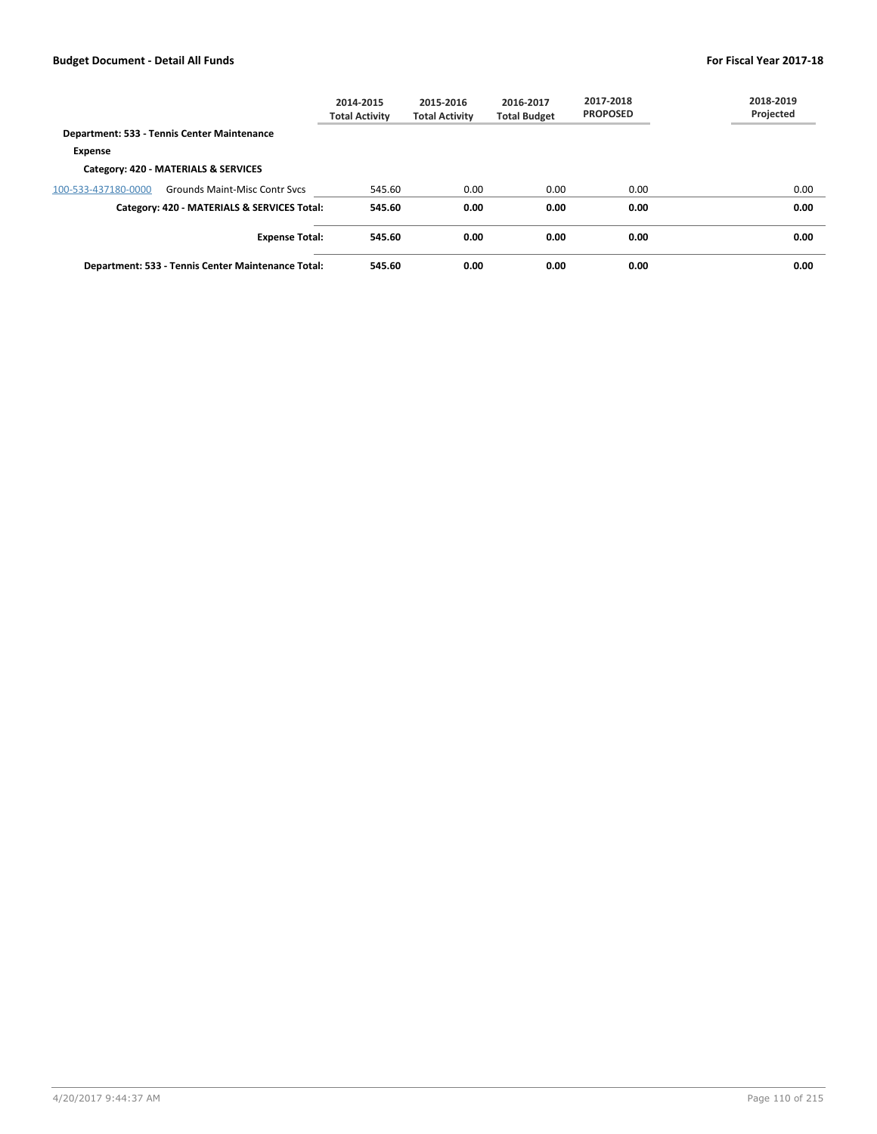|                     |                                                    | 2014-2015<br><b>Total Activity</b> | 2015-2016<br><b>Total Activity</b> | 2016-2017<br><b>Total Budget</b> | 2017-2018<br><b>PROPOSED</b> | 2018-2019<br>Projected |
|---------------------|----------------------------------------------------|------------------------------------|------------------------------------|----------------------------------|------------------------------|------------------------|
|                     | Department: 533 - Tennis Center Maintenance        |                                    |                                    |                                  |                              |                        |
| <b>Expense</b>      |                                                    |                                    |                                    |                                  |                              |                        |
|                     | Category: 420 - MATERIALS & SERVICES               |                                    |                                    |                                  |                              |                        |
| 100-533-437180-0000 | <b>Grounds Maint-Misc Contr Sycs</b>               | 545.60                             | 0.00                               | 0.00                             | 0.00                         | 0.00                   |
|                     | Category: 420 - MATERIALS & SERVICES Total:        | 545.60                             | 0.00                               | 0.00                             | 0.00                         | 0.00                   |
|                     | <b>Expense Total:</b>                              | 545.60                             | 0.00                               | 0.00                             | 0.00                         | 0.00                   |
|                     | Department: 533 - Tennis Center Maintenance Total: | 545.60                             | 0.00                               | 0.00                             | 0.00                         | 0.00                   |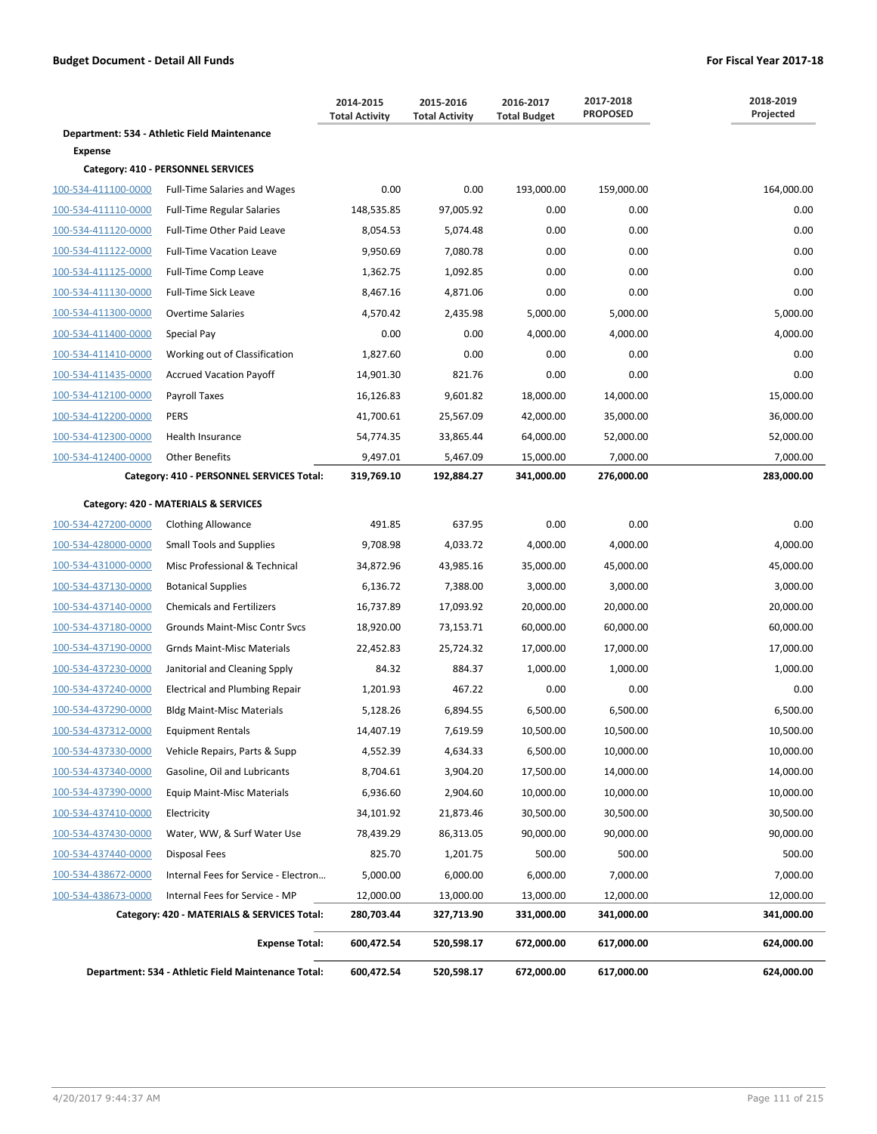|                     |                                                     | 2014-2015<br><b>Total Activity</b> | 2015-2016<br><b>Total Activity</b> | 2016-2017<br><b>Total Budget</b> | 2017-2018<br><b>PROPOSED</b> | 2018-2019<br>Projected |
|---------------------|-----------------------------------------------------|------------------------------------|------------------------------------|----------------------------------|------------------------------|------------------------|
|                     | Department: 534 - Athletic Field Maintenance        |                                    |                                    |                                  |                              |                        |
| <b>Expense</b>      |                                                     |                                    |                                    |                                  |                              |                        |
|                     | Category: 410 - PERSONNEL SERVICES                  |                                    |                                    |                                  |                              |                        |
| 100-534-411100-0000 | <b>Full-Time Salaries and Wages</b>                 | 0.00                               | 0.00                               | 193,000.00                       | 159,000.00                   | 164,000.00             |
| 100-534-411110-0000 | <b>Full-Time Regular Salaries</b>                   | 148,535.85                         | 97,005.92                          | 0.00                             | 0.00                         | 0.00                   |
| 100-534-411120-0000 | Full-Time Other Paid Leave                          | 8,054.53                           | 5,074.48                           | 0.00                             | 0.00                         | 0.00                   |
| 100-534-411122-0000 | <b>Full-Time Vacation Leave</b>                     | 9,950.69                           | 7,080.78                           | 0.00                             | 0.00                         | 0.00                   |
| 100-534-411125-0000 | Full-Time Comp Leave                                | 1,362.75                           | 1,092.85                           | 0.00                             | 0.00                         | 0.00                   |
| 100-534-411130-0000 | Full-Time Sick Leave                                | 8,467.16                           | 4,871.06                           | 0.00                             | 0.00                         | 0.00                   |
| 100-534-411300-0000 | <b>Overtime Salaries</b>                            | 4,570.42                           | 2,435.98                           | 5,000.00                         | 5,000.00                     | 5,000.00               |
| 100-534-411400-0000 | Special Pay                                         | 0.00                               | 0.00                               | 4,000.00                         | 4,000.00                     | 4,000.00               |
| 100-534-411410-0000 | Working out of Classification                       | 1,827.60                           | 0.00                               | 0.00                             | 0.00                         | 0.00                   |
| 100-534-411435-0000 | <b>Accrued Vacation Payoff</b>                      | 14,901.30                          | 821.76                             | 0.00                             | 0.00                         | 0.00                   |
| 100-534-412100-0000 | Payroll Taxes                                       | 16,126.83                          | 9,601.82                           | 18,000.00                        | 14,000.00                    | 15,000.00              |
| 100-534-412200-0000 | PERS                                                | 41,700.61                          | 25,567.09                          | 42,000.00                        | 35,000.00                    | 36,000.00              |
| 100-534-412300-0000 | Health Insurance                                    | 54,774.35                          | 33,865.44                          | 64,000.00                        | 52,000.00                    | 52,000.00              |
| 100-534-412400-0000 | <b>Other Benefits</b>                               | 9,497.01                           | 5,467.09                           | 15,000.00                        | 7,000.00                     | 7,000.00               |
|                     | Category: 410 - PERSONNEL SERVICES Total:           | 319,769.10                         | 192,884.27                         | 341,000.00                       | 276,000.00                   | 283,000.00             |
|                     | Category: 420 - MATERIALS & SERVICES                |                                    |                                    |                                  |                              |                        |
| 100-534-427200-0000 | <b>Clothing Allowance</b>                           | 491.85                             | 637.95                             | 0.00                             | 0.00                         | 0.00                   |
| 100-534-428000-0000 | <b>Small Tools and Supplies</b>                     | 9,708.98                           | 4,033.72                           | 4,000.00                         | 4,000.00                     | 4,000.00               |
| 100-534-431000-0000 | Misc Professional & Technical                       | 34,872.96                          | 43,985.16                          | 35,000.00                        | 45,000.00                    | 45,000.00              |
| 100-534-437130-0000 | <b>Botanical Supplies</b>                           | 6,136.72                           | 7,388.00                           | 3,000.00                         | 3,000.00                     | 3,000.00               |
| 100-534-437140-0000 | <b>Chemicals and Fertilizers</b>                    | 16,737.89                          | 17,093.92                          | 20,000.00                        | 20,000.00                    | 20,000.00              |
| 100-534-437180-0000 | Grounds Maint-Misc Contr Svcs                       | 18,920.00                          | 73,153.71                          | 60,000.00                        | 60,000.00                    | 60,000.00              |
| 100-534-437190-0000 | <b>Grnds Maint-Misc Materials</b>                   | 22,452.83                          | 25,724.32                          | 17,000.00                        | 17,000.00                    | 17,000.00              |
| 100-534-437230-0000 | Janitorial and Cleaning Spply                       | 84.32                              | 884.37                             | 1,000.00                         | 1,000.00                     | 1,000.00               |
| 100-534-437240-0000 | <b>Electrical and Plumbing Repair</b>               | 1,201.93                           | 467.22                             | 0.00                             | 0.00                         | 0.00                   |
| 100-534-437290-0000 | <b>Bldg Maint-Misc Materials</b>                    | 5,128.26                           | 6,894.55                           | 6,500.00                         | 6,500.00                     | 6,500.00               |
| 100-534-437312-0000 | <b>Equipment Rentals</b>                            | 14,407.19                          | 7,619.59                           | 10,500.00                        | 10,500.00                    | 10,500.00              |
| 100-534-437330-0000 | Vehicle Repairs, Parts & Supp                       | 4,552.39                           | 4,634.33                           | 6,500.00                         | 10,000.00                    | 10,000.00              |
| 100-534-437340-0000 | Gasoline, Oil and Lubricants                        | 8,704.61                           | 3,904.20                           | 17,500.00                        | 14,000.00                    | 14,000.00              |
| 100-534-437390-0000 | Equip Maint-Misc Materials                          | 6,936.60                           | 2,904.60                           | 10,000.00                        | 10,000.00                    | 10,000.00              |
| 100-534-437410-0000 | Electricity                                         | 34,101.92                          | 21,873.46                          | 30,500.00                        | 30,500.00                    | 30,500.00              |
| 100-534-437430-0000 | Water, WW, & Surf Water Use                         | 78,439.29                          | 86,313.05                          | 90,000.00                        | 90,000.00                    | 90,000.00              |
| 100-534-437440-0000 | Disposal Fees                                       | 825.70                             | 1,201.75                           | 500.00                           | 500.00                       | 500.00                 |
| 100-534-438672-0000 | Internal Fees for Service - Electron                | 5,000.00                           | 6,000.00                           | 6,000.00                         | 7,000.00                     | 7,000.00               |
| 100-534-438673-0000 | Internal Fees for Service - MP                      | 12,000.00                          | 13,000.00                          | 13,000.00                        | 12,000.00                    | 12,000.00              |
|                     | Category: 420 - MATERIALS & SERVICES Total:         | 280,703.44                         | 327,713.90                         | 331,000.00                       | 341,000.00                   | 341,000.00             |
|                     | <b>Expense Total:</b>                               | 600,472.54                         | 520,598.17                         | 672,000.00                       | 617,000.00                   | 624,000.00             |
|                     | Department: 534 - Athletic Field Maintenance Total: | 600,472.54                         | 520,598.17                         | 672,000.00                       | 617,000.00                   | 624,000.00             |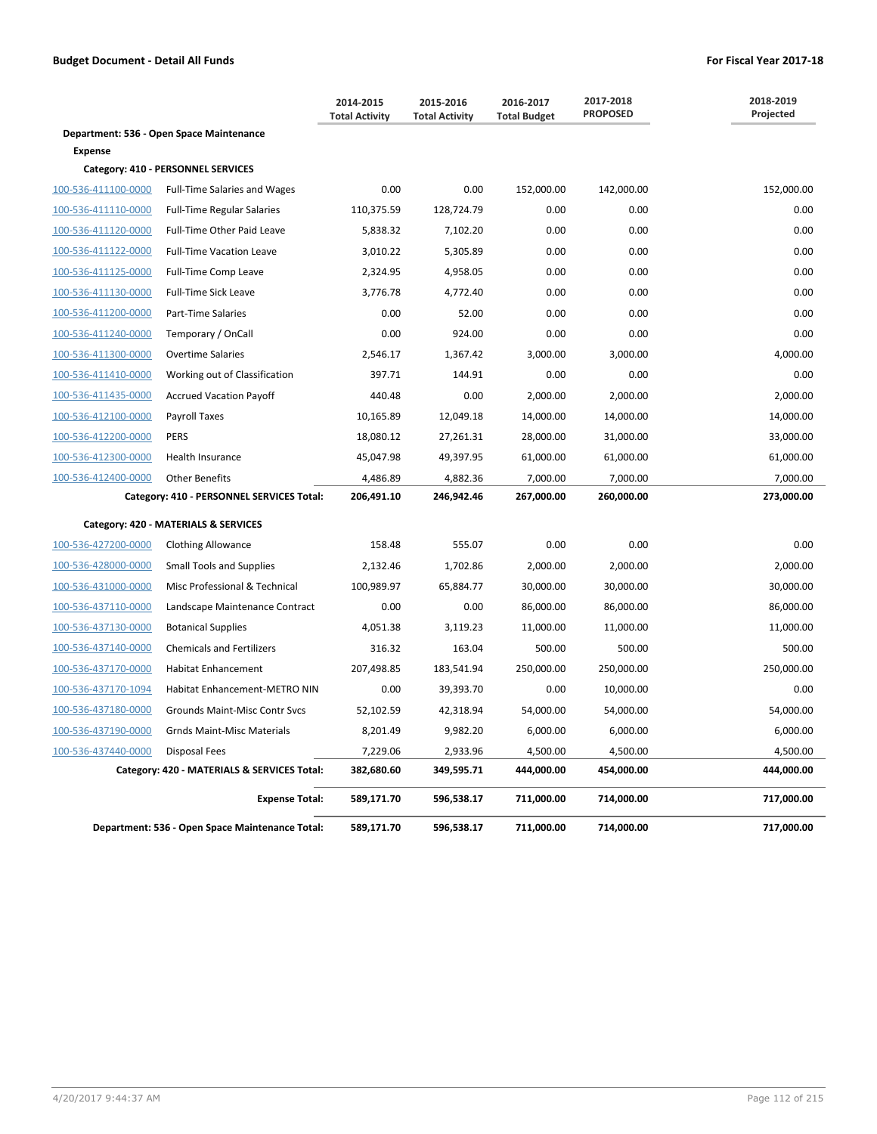|                     |                                                 | 2014-2015<br><b>Total Activity</b> | 2015-2016<br><b>Total Activity</b> | 2016-2017<br><b>Total Budget</b> | 2017-2018<br><b>PROPOSED</b> | 2018-2019<br>Projected |
|---------------------|-------------------------------------------------|------------------------------------|------------------------------------|----------------------------------|------------------------------|------------------------|
|                     | Department: 536 - Open Space Maintenance        |                                    |                                    |                                  |                              |                        |
| <b>Expense</b>      |                                                 |                                    |                                    |                                  |                              |                        |
|                     | Category: 410 - PERSONNEL SERVICES              |                                    |                                    |                                  |                              |                        |
| 100-536-411100-0000 | <b>Full-Time Salaries and Wages</b>             | 0.00                               | 0.00                               | 152,000.00                       | 142,000.00                   | 152,000.00             |
| 100-536-411110-0000 | <b>Full-Time Regular Salaries</b>               | 110,375.59                         | 128,724.79                         | 0.00                             | 0.00                         | 0.00                   |
| 100-536-411120-0000 | Full-Time Other Paid Leave                      | 5,838.32                           | 7,102.20                           | 0.00                             | 0.00                         | 0.00                   |
| 100-536-411122-0000 | <b>Full-Time Vacation Leave</b>                 | 3,010.22                           | 5,305.89                           | 0.00                             | 0.00                         | 0.00                   |
| 100-536-411125-0000 | Full-Time Comp Leave                            | 2,324.95                           | 4,958.05                           | 0.00                             | 0.00                         | 0.00                   |
| 100-536-411130-0000 | <b>Full-Time Sick Leave</b>                     | 3,776.78                           | 4,772.40                           | 0.00                             | 0.00                         | 0.00                   |
| 100-536-411200-0000 | <b>Part-Time Salaries</b>                       | 0.00                               | 52.00                              | 0.00                             | 0.00                         | 0.00                   |
| 100-536-411240-0000 | Temporary / OnCall                              | 0.00                               | 924.00                             | 0.00                             | 0.00                         | 0.00                   |
| 100-536-411300-0000 | <b>Overtime Salaries</b>                        | 2,546.17                           | 1,367.42                           | 3,000.00                         | 3,000.00                     | 4,000.00               |
| 100-536-411410-0000 | Working out of Classification                   | 397.71                             | 144.91                             | 0.00                             | 0.00                         | 0.00                   |
| 100-536-411435-0000 | <b>Accrued Vacation Payoff</b>                  | 440.48                             | 0.00                               | 2,000.00                         | 2,000.00                     | 2,000.00               |
| 100-536-412100-0000 | Payroll Taxes                                   | 10,165.89                          | 12,049.18                          | 14,000.00                        | 14,000.00                    | 14,000.00              |
| 100-536-412200-0000 | <b>PERS</b>                                     | 18,080.12                          | 27,261.31                          | 28,000.00                        | 31,000.00                    | 33,000.00              |
| 100-536-412300-0000 | Health Insurance                                | 45,047.98                          | 49,397.95                          | 61,000.00                        | 61,000.00                    | 61,000.00              |
| 100-536-412400-0000 | <b>Other Benefits</b>                           | 4,486.89                           | 4,882.36                           | 7,000.00                         | 7,000.00                     | 7,000.00               |
|                     | Category: 410 - PERSONNEL SERVICES Total:       | 206,491.10                         | 246,942.46                         | 267,000.00                       | 260,000.00                   | 273,000.00             |
|                     | Category: 420 - MATERIALS & SERVICES            |                                    |                                    |                                  |                              |                        |
| 100-536-427200-0000 | <b>Clothing Allowance</b>                       | 158.48                             | 555.07                             | 0.00                             | 0.00                         | 0.00                   |
| 100-536-428000-0000 | <b>Small Tools and Supplies</b>                 | 2,132.46                           | 1,702.86                           | 2,000.00                         | 2,000.00                     | 2,000.00               |
| 100-536-431000-0000 | Misc Professional & Technical                   | 100,989.97                         | 65,884.77                          | 30,000.00                        | 30,000.00                    | 30,000.00              |
| 100-536-437110-0000 | Landscape Maintenance Contract                  | 0.00                               | 0.00                               | 86,000.00                        | 86,000.00                    | 86,000.00              |
| 100-536-437130-0000 | <b>Botanical Supplies</b>                       | 4,051.38                           | 3,119.23                           | 11,000.00                        | 11,000.00                    | 11,000.00              |
| 100-536-437140-0000 | <b>Chemicals and Fertilizers</b>                | 316.32                             | 163.04                             | 500.00                           | 500.00                       | 500.00                 |
| 100-536-437170-0000 | <b>Habitat Enhancement</b>                      | 207,498.85                         | 183,541.94                         | 250,000.00                       | 250,000.00                   | 250,000.00             |
| 100-536-437170-1094 | Habitat Enhancement-METRO NIN                   | 0.00                               | 39,393.70                          | 0.00                             | 10,000.00                    | 0.00                   |
| 100-536-437180-0000 | Grounds Maint-Misc Contr Svcs                   | 52,102.59                          | 42,318.94                          | 54,000.00                        | 54,000.00                    | 54,000.00              |
| 100-536-437190-0000 | <b>Grnds Maint-Misc Materials</b>               | 8,201.49                           | 9,982.20                           | 6,000.00                         | 6,000.00                     | 6,000.00               |
| 100-536-437440-0000 | <b>Disposal Fees</b>                            | 7,229.06                           | 2,933.96                           | 4,500.00                         | 4,500.00                     | 4,500.00               |
|                     | Category: 420 - MATERIALS & SERVICES Total:     | 382,680.60                         | 349,595.71                         | 444,000.00                       | 454,000.00                   | 444,000.00             |
|                     | <b>Expense Total:</b>                           | 589,171.70                         | 596,538.17                         | 711,000.00                       | 714,000.00                   | 717,000.00             |
|                     | Department: 536 - Open Space Maintenance Total: | 589,171.70                         | 596,538.17                         | 711,000.00                       | 714,000.00                   | 717,000.00             |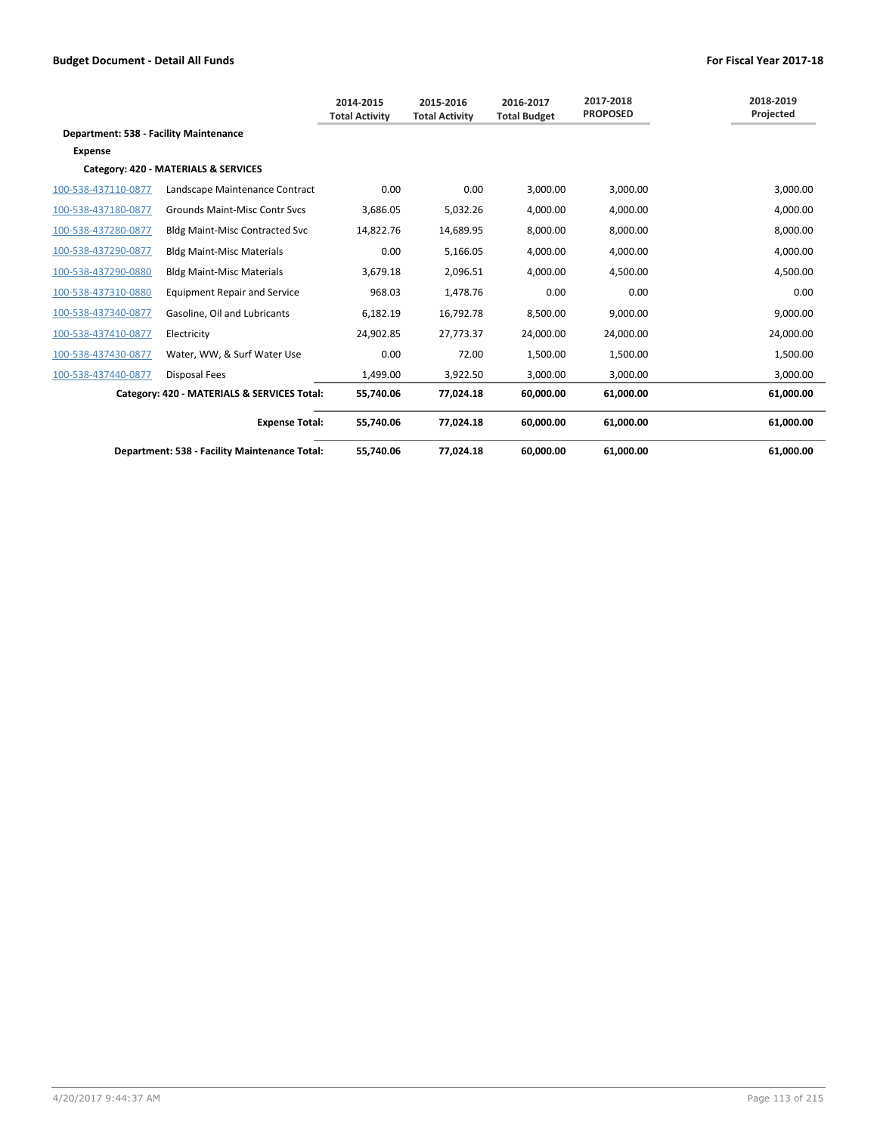|                                        |                                               | 2014-2015<br><b>Total Activity</b> | 2015-2016<br><b>Total Activity</b> | 2016-2017<br><b>Total Budget</b> | 2017-2018<br><b>PROPOSED</b> | 2018-2019<br>Projected |
|----------------------------------------|-----------------------------------------------|------------------------------------|------------------------------------|----------------------------------|------------------------------|------------------------|
| Department: 538 - Facility Maintenance |                                               |                                    |                                    |                                  |                              |                        |
| <b>Expense</b>                         |                                               |                                    |                                    |                                  |                              |                        |
|                                        | Category: 420 - MATERIALS & SERVICES          |                                    |                                    |                                  |                              |                        |
| 100-538-437110-0877                    | Landscape Maintenance Contract                | 0.00                               | 0.00                               | 3,000.00                         | 3,000.00                     | 3,000.00               |
| 100-538-437180-0877                    | <b>Grounds Maint-Misc Contr Sycs</b>          | 3,686.05                           | 5,032.26                           | 4,000.00                         | 4,000.00                     | 4,000.00               |
| 100-538-437280-0877                    | <b>Bldg Maint-Misc Contracted Svc</b>         | 14,822.76                          | 14,689.95                          | 8,000.00                         | 8,000.00                     | 8,000.00               |
| 100-538-437290-0877                    | <b>Bldg Maint-Misc Materials</b>              | 0.00                               | 5,166.05                           | 4,000.00                         | 4,000.00                     | 4,000.00               |
| 100-538-437290-0880                    | <b>Bldg Maint-Misc Materials</b>              | 3,679.18                           | 2,096.51                           | 4,000.00                         | 4,500.00                     | 4,500.00               |
| 100-538-437310-0880                    | <b>Equipment Repair and Service</b>           | 968.03                             | 1.478.76                           | 0.00                             | 0.00                         | 0.00                   |
| 100-538-437340-0877                    | Gasoline, Oil and Lubricants                  | 6,182.19                           | 16,792.78                          | 8,500.00                         | 9,000.00                     | 9,000.00               |
| 100-538-437410-0877                    | Electricity                                   | 24,902.85                          | 27,773.37                          | 24,000.00                        | 24,000.00                    | 24,000.00              |
| 100-538-437430-0877                    | Water, WW, & Surf Water Use                   | 0.00                               | 72.00                              | 1,500.00                         | 1,500.00                     | 1,500.00               |
| 100-538-437440-0877                    | Disposal Fees                                 | 1.499.00                           | 3.922.50                           | 3.000.00                         | 3.000.00                     | 3,000.00               |
|                                        | Category: 420 - MATERIALS & SERVICES Total:   | 55,740.06                          | 77,024.18                          | 60,000.00                        | 61,000.00                    | 61,000.00              |
|                                        | <b>Expense Total:</b>                         | 55.740.06                          | 77.024.18                          | 60.000.00                        | 61.000.00                    | 61,000.00              |
|                                        | Department: 538 - Facility Maintenance Total: | 55.740.06                          | 77.024.18                          | 60.000.00                        | 61.000.00                    | 61.000.00              |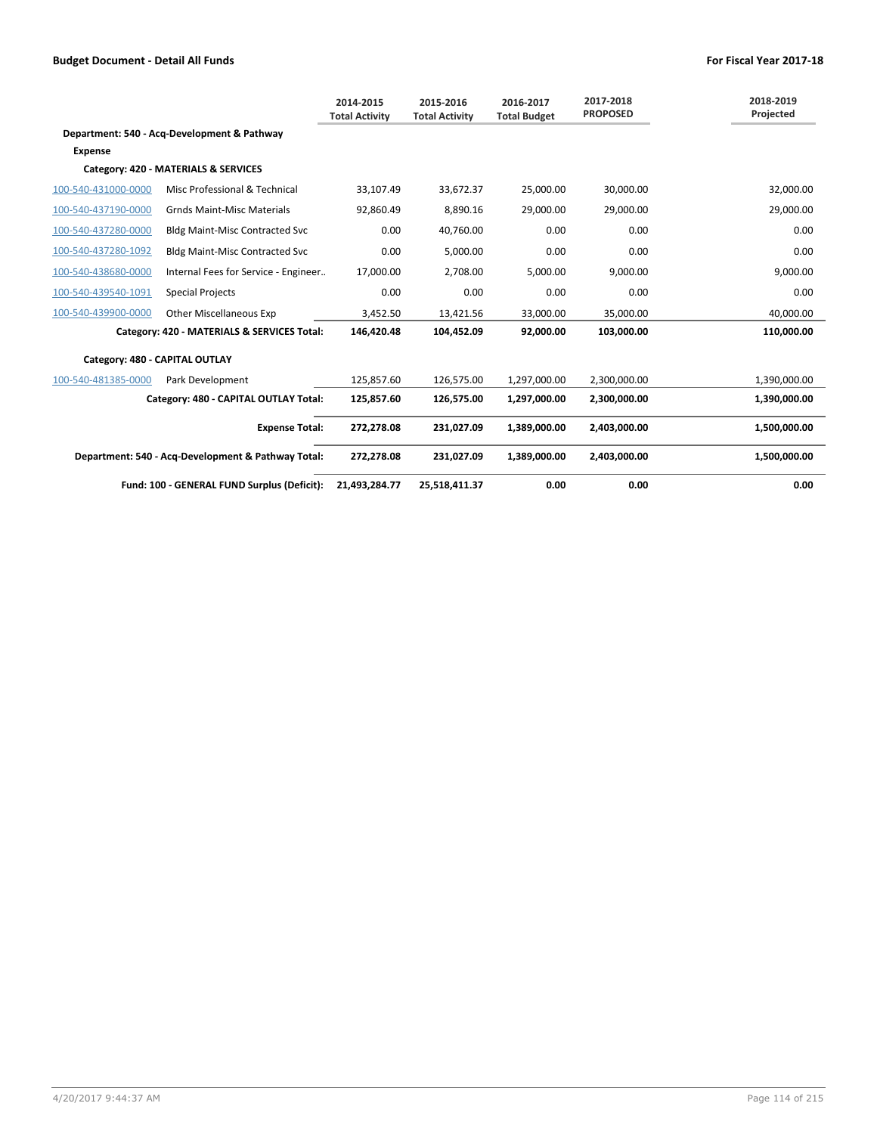|                                |                                                    | 2014-2015<br><b>Total Activity</b> | 2015-2016<br><b>Total Activity</b> | 2016-2017<br><b>Total Budget</b> | 2017-2018<br><b>PROPOSED</b> | 2018-2019<br>Projected |
|--------------------------------|----------------------------------------------------|------------------------------------|------------------------------------|----------------------------------|------------------------------|------------------------|
|                                | Department: 540 - Acq-Development & Pathway        |                                    |                                    |                                  |                              |                        |
| <b>Expense</b>                 |                                                    |                                    |                                    |                                  |                              |                        |
|                                | Category: 420 - MATERIALS & SERVICES               |                                    |                                    |                                  |                              |                        |
| 100-540-431000-0000            | Misc Professional & Technical                      | 33,107.49                          | 33,672.37                          | 25,000.00                        | 30,000.00                    | 32,000.00              |
| 100-540-437190-0000            | <b>Grnds Maint-Misc Materials</b>                  | 92,860.49                          | 8,890.16                           | 29,000.00                        | 29,000.00                    | 29,000.00              |
| 100-540-437280-0000            | <b>Bldg Maint-Misc Contracted Svc</b>              | 0.00                               | 40,760.00                          | 0.00                             | 0.00                         | 0.00                   |
| 100-540-437280-1092            | <b>Bldg Maint-Misc Contracted Svc</b>              | 0.00                               | 5,000.00                           | 0.00                             | 0.00                         | 0.00                   |
| 100-540-438680-0000            | Internal Fees for Service - Engineer               | 17,000.00                          | 2,708.00                           | 5,000.00                         | 9,000.00                     | 9,000.00               |
| 100-540-439540-1091            | <b>Special Projects</b>                            | 0.00                               | 0.00                               | 0.00                             | 0.00                         | 0.00                   |
| 100-540-439900-0000            | <b>Other Miscellaneous Exp</b>                     | 3,452.50                           | 13,421.56                          | 33,000.00                        | 35,000.00                    | 40,000.00              |
|                                | Category: 420 - MATERIALS & SERVICES Total:        | 146,420.48                         | 104,452.09                         | 92,000.00                        | 103,000.00                   | 110,000.00             |
| Category: 480 - CAPITAL OUTLAY |                                                    |                                    |                                    |                                  |                              |                        |
| 100-540-481385-0000            | Park Development                                   | 125,857.60                         | 126,575.00                         | 1,297,000.00                     | 2,300,000.00                 | 1,390,000.00           |
|                                | Category: 480 - CAPITAL OUTLAY Total:              | 125,857.60                         | 126,575.00                         | 1,297,000.00                     | 2,300,000.00                 | 1,390,000.00           |
|                                | <b>Expense Total:</b>                              | 272,278.08                         | 231,027.09                         | 1,389,000.00                     | 2,403,000.00                 | 1,500,000.00           |
|                                | Department: 540 - Acq-Development & Pathway Total: | 272,278.08                         | 231.027.09                         | 1,389,000.00                     | 2,403,000.00                 | 1,500,000.00           |
|                                | Fund: 100 - GENERAL FUND Surplus (Deficit):        | 21.493.284.77                      | 25.518.411.37                      | 0.00                             | 0.00                         | 0.00                   |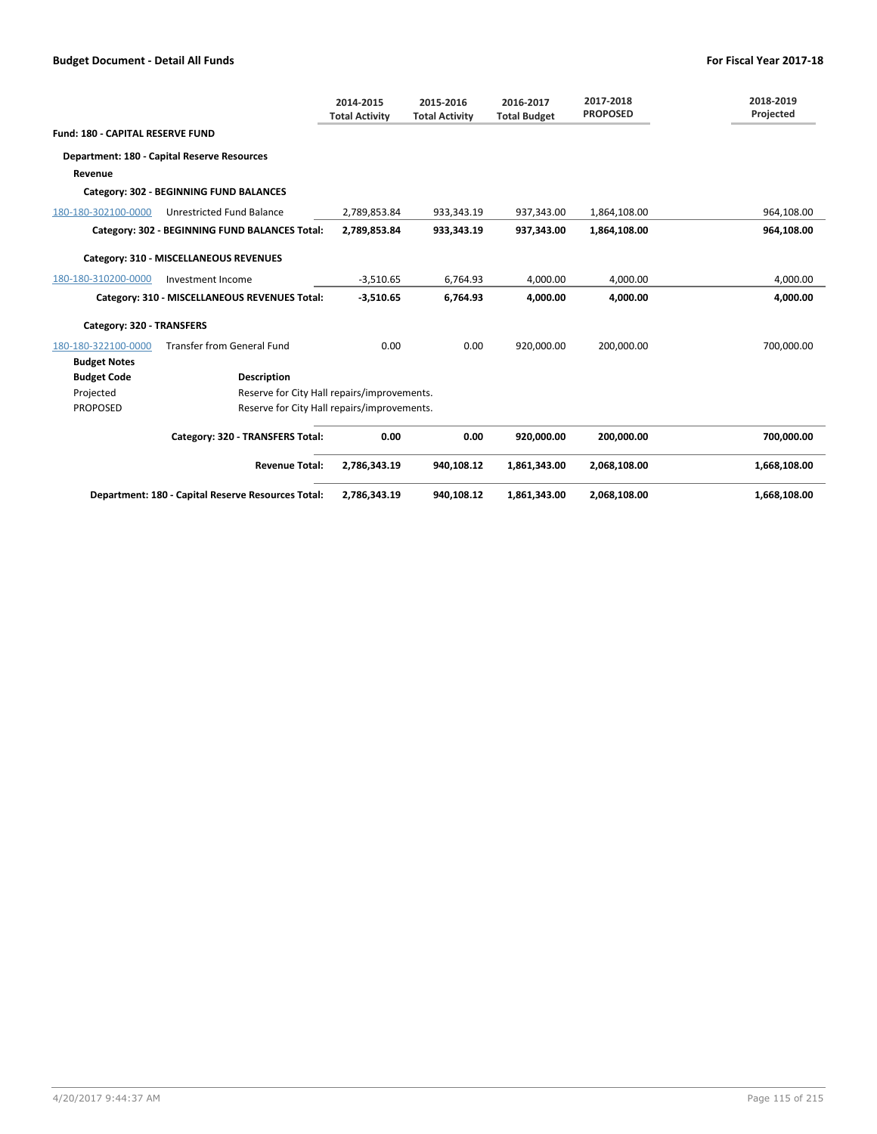|                                         |                                                    | 2014-2015<br><b>Total Activity</b> | 2015-2016<br><b>Total Activity</b> | 2016-2017<br><b>Total Budget</b> | 2017-2018<br><b>PROPOSED</b> | 2018-2019<br>Projected |
|-----------------------------------------|----------------------------------------------------|------------------------------------|------------------------------------|----------------------------------|------------------------------|------------------------|
| <b>Fund: 180 - CAPITAL RESERVE FUND</b> |                                                    |                                    |                                    |                                  |                              |                        |
|                                         | Department: 180 - Capital Reserve Resources        |                                    |                                    |                                  |                              |                        |
| Revenue                                 |                                                    |                                    |                                    |                                  |                              |                        |
|                                         | Category: 302 - BEGINNING FUND BALANCES            |                                    |                                    |                                  |                              |                        |
| 180-180-302100-0000                     | Unrestricted Fund Balance                          | 2,789,853.84                       | 933,343.19                         | 937,343.00                       | 1,864,108.00                 | 964,108.00             |
|                                         | Category: 302 - BEGINNING FUND BALANCES Total:     | 2,789,853.84                       | 933,343.19                         | 937,343.00                       | 1,864,108.00                 | 964,108.00             |
|                                         | Category: 310 - MISCELLANEOUS REVENUES             |                                    |                                    |                                  |                              |                        |
| 180-180-310200-0000                     | Investment Income                                  | $-3,510.65$                        | 6,764.93                           | 4,000.00                         | 4,000.00                     | 4,000.00               |
|                                         | Category: 310 - MISCELLANEOUS REVENUES Total:      | $-3,510.65$                        | 6,764.93                           | 4,000.00                         | 4.000.00                     | 4,000.00               |
| Category: 320 - TRANSFERS               |                                                    |                                    |                                    |                                  |                              |                        |
| 180-180-322100-0000                     | <b>Transfer from General Fund</b>                  | 0.00                               | 0.00                               | 920.000.00                       | 200.000.00                   | 700,000.00             |
| <b>Budget Notes</b>                     |                                                    |                                    |                                    |                                  |                              |                        |
| <b>Budget Code</b>                      | <b>Description</b>                                 |                                    |                                    |                                  |                              |                        |
| Projected                               | Reserve for City Hall repairs/improvements.        |                                    |                                    |                                  |                              |                        |
| <b>PROPOSED</b>                         | Reserve for City Hall repairs/improvements.        |                                    |                                    |                                  |                              |                        |
|                                         | Category: 320 - TRANSFERS Total:                   | 0.00                               | 0.00                               | 920.000.00                       | 200.000.00                   | 700.000.00             |
|                                         | <b>Revenue Total:</b>                              | 2,786,343.19                       | 940,108.12                         | 1,861,343.00                     | 2,068,108.00                 | 1,668,108.00           |
|                                         | Department: 180 - Capital Reserve Resources Total: | 2,786,343.19                       | 940,108.12                         | 1,861,343.00                     | 2,068,108.00                 | 1,668,108.00           |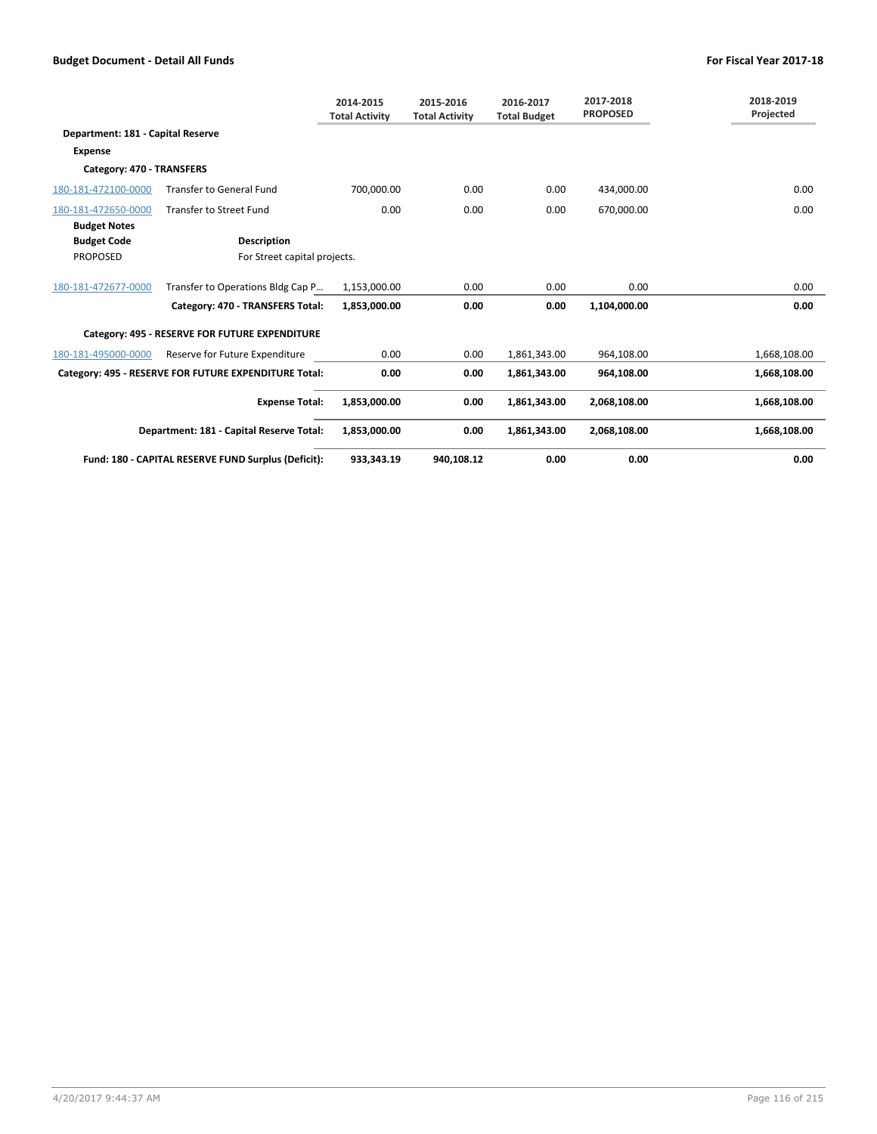|                                   |                                                       | 2014-2015<br><b>Total Activity</b> | 2015-2016<br><b>Total Activity</b> | 2016-2017<br><b>Total Budget</b> | 2017-2018<br><b>PROPOSED</b> | 2018-2019<br>Projected |
|-----------------------------------|-------------------------------------------------------|------------------------------------|------------------------------------|----------------------------------|------------------------------|------------------------|
| Department: 181 - Capital Reserve |                                                       |                                    |                                    |                                  |                              |                        |
| <b>Expense</b>                    |                                                       |                                    |                                    |                                  |                              |                        |
| Category: 470 - TRANSFERS         |                                                       |                                    |                                    |                                  |                              |                        |
| 180-181-472100-0000               | <b>Transfer to General Fund</b>                       | 700,000.00                         | 0.00                               | 0.00                             | 434,000.00                   | 0.00                   |
| 180-181-472650-0000               | <b>Transfer to Street Fund</b>                        | 0.00                               | 0.00                               | 0.00                             | 670,000.00                   | 0.00                   |
| <b>Budget Notes</b>               |                                                       |                                    |                                    |                                  |                              |                        |
| <b>Budget Code</b>                | <b>Description</b>                                    |                                    |                                    |                                  |                              |                        |
| <b>PROPOSED</b>                   | For Street capital projects.                          |                                    |                                    |                                  |                              |                        |
| 180-181-472677-0000               | Transfer to Operations Bldg Cap P                     | 1,153,000.00                       | 0.00                               | 0.00                             | 0.00                         | 0.00                   |
|                                   | Category: 470 - TRANSFERS Total:                      | 1,853,000.00                       | 0.00                               | 0.00                             | 1,104,000.00                 | 0.00                   |
|                                   | Category: 495 - RESERVE FOR FUTURE EXPENDITURE        |                                    |                                    |                                  |                              |                        |
| 180-181-495000-0000               | Reserve for Future Expenditure                        | 0.00                               | 0.00                               | 1,861,343.00                     | 964,108.00                   | 1,668,108.00           |
|                                   | Category: 495 - RESERVE FOR FUTURE EXPENDITURE Total: | 0.00                               | 0.00                               | 1,861,343.00                     | 964,108.00                   | 1,668,108.00           |
|                                   | <b>Expense Total:</b>                                 | 1,853,000.00                       | 0.00                               | 1,861,343.00                     | 2,068,108.00                 | 1,668,108.00           |
|                                   | Department: 181 - Capital Reserve Total:              | 1,853,000.00                       | 0.00                               | 1,861,343.00                     | 2,068,108.00                 | 1,668,108.00           |
|                                   | Fund: 180 - CAPITAL RESERVE FUND Surplus (Deficit):   | 933,343.19                         | 940,108.12                         | 0.00                             | 0.00                         | 0.00                   |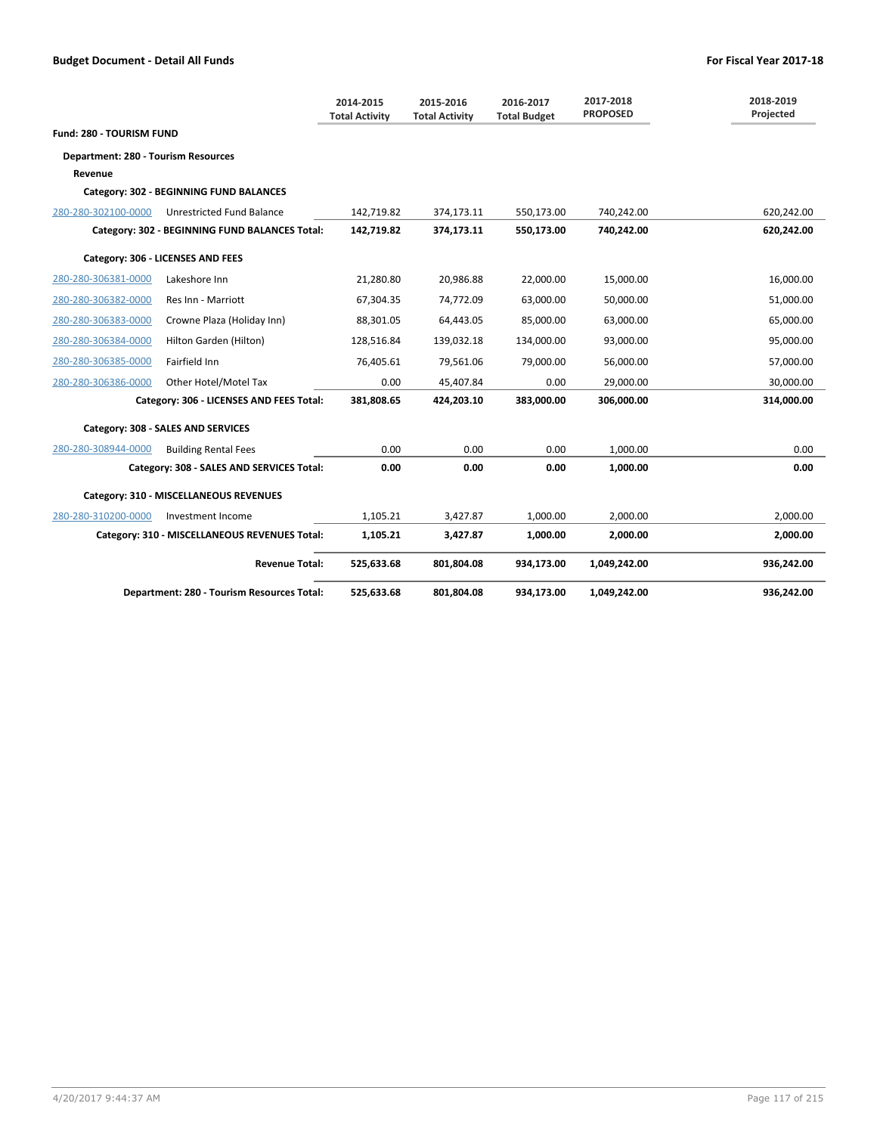|                                            |                                                | 2014-2015<br><b>Total Activity</b> | 2015-2016<br><b>Total Activity</b> | 2016-2017<br><b>Total Budget</b> | 2017-2018<br><b>PROPOSED</b> | 2018-2019<br>Projected |
|--------------------------------------------|------------------------------------------------|------------------------------------|------------------------------------|----------------------------------|------------------------------|------------------------|
| Fund: 280 - TOURISM FUND                   |                                                |                                    |                                    |                                  |                              |                        |
| <b>Department: 280 - Tourism Resources</b> |                                                |                                    |                                    |                                  |                              |                        |
| Revenue                                    |                                                |                                    |                                    |                                  |                              |                        |
|                                            | Category: 302 - BEGINNING FUND BALANCES        |                                    |                                    |                                  |                              |                        |
| 280-280-302100-0000                        | <b>Unrestricted Fund Balance</b>               | 142,719.82                         | 374,173.11                         | 550,173.00                       | 740,242.00                   | 620,242.00             |
|                                            | Category: 302 - BEGINNING FUND BALANCES Total: | 142,719.82                         | 374,173.11                         | 550,173.00                       | 740,242.00                   | 620,242.00             |
|                                            | Category: 306 - LICENSES AND FEES              |                                    |                                    |                                  |                              |                        |
| 280-280-306381-0000                        | Lakeshore Inn                                  | 21,280.80                          | 20,986.88                          | 22,000.00                        | 15,000.00                    | 16,000.00              |
| 280-280-306382-0000                        | Res Inn - Marriott                             | 67,304.35                          | 74,772.09                          | 63,000.00                        | 50,000.00                    | 51,000.00              |
| 280-280-306383-0000                        | Crowne Plaza (Holiday Inn)                     | 88,301.05                          | 64,443.05                          | 85,000.00                        | 63,000.00                    | 65,000.00              |
| 280-280-306384-0000                        | Hilton Garden (Hilton)                         | 128,516.84                         | 139,032.18                         | 134,000.00                       | 93,000.00                    | 95,000.00              |
| 280-280-306385-0000                        | Fairfield Inn                                  | 76,405.61                          | 79,561.06                          | 79,000.00                        | 56,000.00                    | 57,000.00              |
| 280-280-306386-0000                        | Other Hotel/Motel Tax                          | 0.00                               | 45,407.84                          | 0.00                             | 29,000.00                    | 30,000.00              |
|                                            | Category: 306 - LICENSES AND FEES Total:       | 381,808.65                         | 424,203.10                         | 383,000.00                       | 306,000.00                   | 314,000.00             |
|                                            | Category: 308 - SALES AND SERVICES             |                                    |                                    |                                  |                              |                        |
| 280-280-308944-0000                        | <b>Building Rental Fees</b>                    | 0.00                               | 0.00                               | 0.00                             | 1.000.00                     | 0.00                   |
|                                            | Category: 308 - SALES AND SERVICES Total:      | 0.00                               | 0.00                               | 0.00                             | 1,000.00                     | 0.00                   |
|                                            | Category: 310 - MISCELLANEOUS REVENUES         |                                    |                                    |                                  |                              |                        |
| 280-280-310200-0000                        | Investment Income                              | 1,105.21                           | 3,427.87                           | 1,000.00                         | 2.000.00                     | 2,000.00               |
|                                            | Category: 310 - MISCELLANEOUS REVENUES Total:  | 1,105.21                           | 3,427.87                           | 1,000.00                         | 2,000.00                     | 2,000.00               |
|                                            | <b>Revenue Total:</b>                          | 525,633.68                         | 801,804.08                         | 934,173.00                       | 1,049,242.00                 | 936,242.00             |
|                                            | Department: 280 - Tourism Resources Total:     | 525,633.68                         | 801,804.08                         | 934,173.00                       | 1,049,242.00                 | 936,242.00             |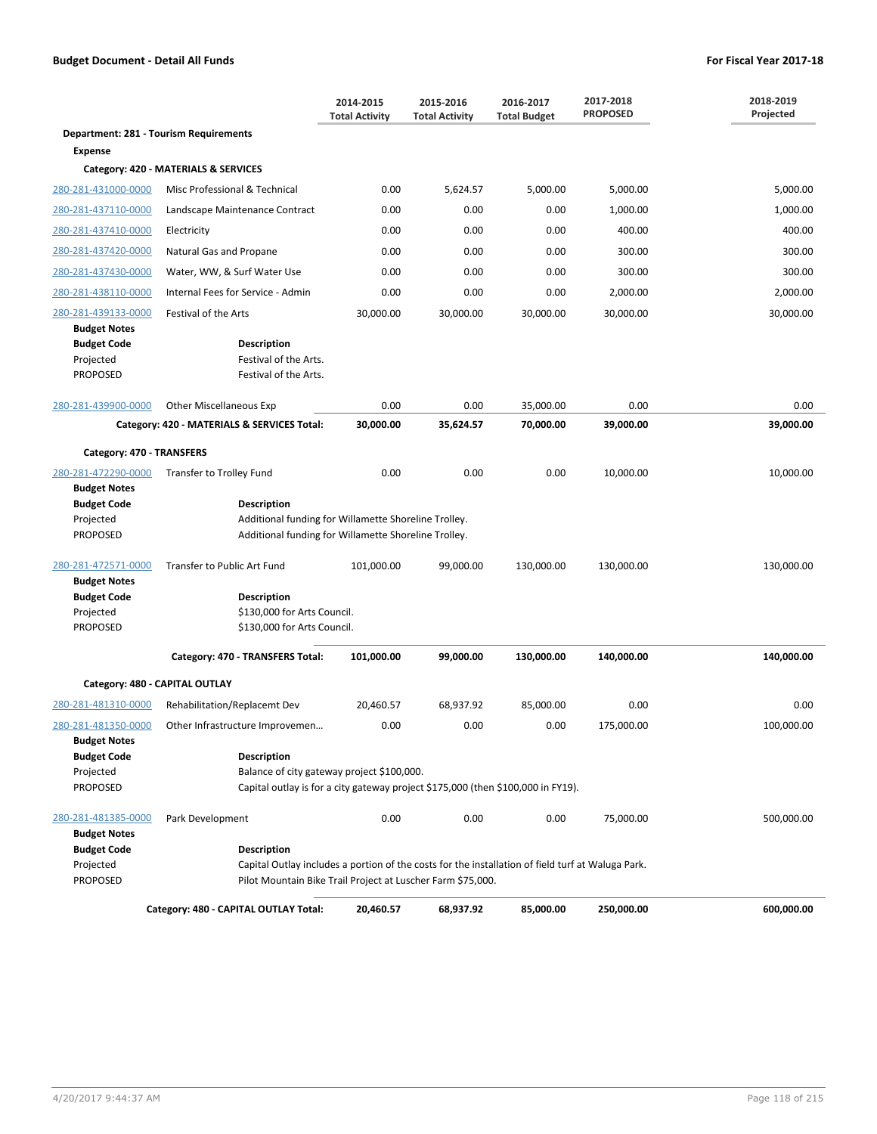|                                                                           |                                                                                                                                                                                        | 2014-2015<br><b>Total Activity</b>                                                                           | 2015-2016<br><b>Total Activity</b> | 2016-2017<br><b>Total Budget</b> | 2017-2018<br><b>PROPOSED</b> | 2018-2019<br>Projected |  |
|---------------------------------------------------------------------------|----------------------------------------------------------------------------------------------------------------------------------------------------------------------------------------|--------------------------------------------------------------------------------------------------------------|------------------------------------|----------------------------------|------------------------------|------------------------|--|
| Department: 281 - Tourism Requirements                                    |                                                                                                                                                                                        |                                                                                                              |                                    |                                  |                              |                        |  |
| <b>Expense</b>                                                            |                                                                                                                                                                                        |                                                                                                              |                                    |                                  |                              |                        |  |
|                                                                           | Category: 420 - MATERIALS & SERVICES                                                                                                                                                   |                                                                                                              |                                    |                                  |                              |                        |  |
| 280-281-431000-0000                                                       | Misc Professional & Technical                                                                                                                                                          | 0.00                                                                                                         | 5,624.57                           | 5,000.00                         | 5,000.00                     | 5,000.00               |  |
| 280-281-437110-0000                                                       | Landscape Maintenance Contract                                                                                                                                                         | 0.00                                                                                                         | 0.00                               | 0.00                             | 1,000.00                     | 1,000.00               |  |
| 280-281-437410-0000                                                       | Electricity                                                                                                                                                                            | 0.00                                                                                                         | 0.00                               | 0.00                             | 400.00                       | 400.00                 |  |
| 280-281-437420-0000                                                       | Natural Gas and Propane                                                                                                                                                                | 0.00                                                                                                         | 0.00                               | 0.00                             | 300.00                       | 300.00                 |  |
| 280-281-437430-0000                                                       | Water, WW, & Surf Water Use                                                                                                                                                            | 0.00                                                                                                         | 0.00                               | 0.00                             | 300.00                       | 300.00                 |  |
| 280-281-438110-0000                                                       | Internal Fees for Service - Admin                                                                                                                                                      | 0.00                                                                                                         | 0.00                               | 0.00                             | 2,000.00                     | 2,000.00               |  |
| 280-281-439133-0000                                                       | Festival of the Arts                                                                                                                                                                   | 30,000.00                                                                                                    | 30,000.00                          | 30,000.00                        | 30,000.00                    | 30,000.00              |  |
| <b>Budget Notes</b>                                                       |                                                                                                                                                                                        |                                                                                                              |                                    |                                  |                              |                        |  |
| <b>Budget Code</b><br>Projected<br><b>PROPOSED</b>                        | Description<br>Festival of the Arts.<br>Festival of the Arts.                                                                                                                          |                                                                                                              |                                    |                                  |                              |                        |  |
| 280-281-439900-0000                                                       | <b>Other Miscellaneous Exp</b>                                                                                                                                                         | 0.00                                                                                                         | 0.00                               | 35,000.00                        | 0.00                         | 0.00                   |  |
|                                                                           | Category: 420 - MATERIALS & SERVICES Total:                                                                                                                                            | 30,000.00                                                                                                    | 35,624.57                          | 70,000.00                        | 39,000.00                    | 39,000.00              |  |
| Category: 470 - TRANSFERS                                                 |                                                                                                                                                                                        |                                                                                                              |                                    |                                  |                              |                        |  |
| 280-281-472290-0000                                                       | Transfer to Trolley Fund                                                                                                                                                               | 0.00                                                                                                         | 0.00                               | 0.00                             | 10,000.00                    | 10,000.00              |  |
| <b>Budget Notes</b><br><b>Budget Code</b><br>Projected<br><b>PROPOSED</b> | <b>Description</b>                                                                                                                                                                     | Additional funding for Willamette Shoreline Trolley.<br>Additional funding for Willamette Shoreline Trolley. |                                    |                                  |                              |                        |  |
| 280-281-472571-0000                                                       | Transfer to Public Art Fund                                                                                                                                                            | 101,000.00                                                                                                   | 99,000.00                          | 130,000.00                       | 130,000.00                   | 130,000.00             |  |
| <b>Budget Notes</b><br><b>Budget Code</b><br>Projected<br><b>PROPOSED</b> | <b>Description</b><br>\$130,000 for Arts Council.<br>\$130,000 for Arts Council.                                                                                                       |                                                                                                              |                                    |                                  |                              |                        |  |
|                                                                           | Category: 470 - TRANSFERS Total:                                                                                                                                                       | 101,000.00                                                                                                   | 99,000.00                          | 130,000.00                       | 140,000.00                   | 140,000.00             |  |
| Category: 480 - CAPITAL OUTLAY                                            |                                                                                                                                                                                        |                                                                                                              |                                    |                                  |                              |                        |  |
| 280-281-481310-0000                                                       |                                                                                                                                                                                        |                                                                                                              |                                    |                                  | 0.00                         | 0.00                   |  |
| 280-281-481350-0000                                                       | Rehabilitation/Replacemt Dev<br>Other Infrastructure Improvemen                                                                                                                        | 20,460.57<br>0.00                                                                                            | 68,937.92<br>0.00                  | 85,000.00<br>0.00                | 175,000.00                   | 100,000.00             |  |
| <b>Budget Notes</b>                                                       |                                                                                                                                                                                        |                                                                                                              |                                    |                                  |                              |                        |  |
| <b>Budget Code</b><br>Projected                                           | <b>Description</b><br>Balance of city gateway project \$100,000.                                                                                                                       |                                                                                                              |                                    |                                  |                              |                        |  |
| <b>PROPOSED</b>                                                           | Capital outlay is for a city gateway project \$175,000 (then \$100,000 in FY19).                                                                                                       |                                                                                                              |                                    |                                  |                              |                        |  |
| 280-281-481385-0000<br><b>Budget Notes</b>                                | Park Development                                                                                                                                                                       | 0.00                                                                                                         | 0.00                               | 0.00                             | 75,000.00                    | 500,000.00             |  |
| <b>Budget Code</b><br>Projected<br>PROPOSED                               | <b>Description</b><br>Capital Outlay includes a portion of the costs for the installation of field turf at Waluga Park.<br>Pilot Mountain Bike Trail Project at Luscher Farm \$75,000. |                                                                                                              |                                    |                                  |                              |                        |  |
|                                                                           | Category: 480 - CAPITAL OUTLAY Total:                                                                                                                                                  | 20,460.57                                                                                                    | 68,937.92                          | 85,000.00                        | 250,000.00                   | 600,000.00             |  |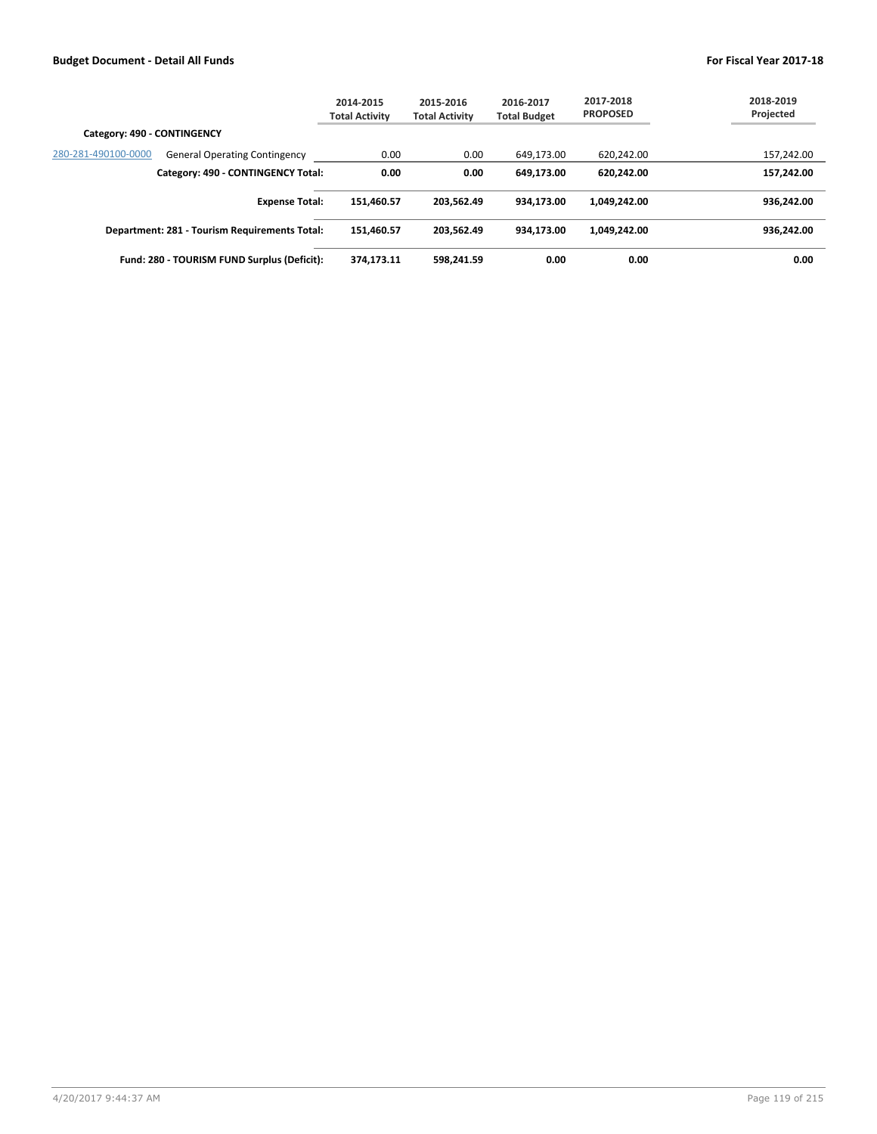|                                                             | 2014-2015<br><b>Total Activity</b> | 2015-2016<br><b>Total Activity</b> | 2016-2017<br><b>Total Budget</b> | 2017-2018<br><b>PROPOSED</b> | 2018-2019<br>Projected |
|-------------------------------------------------------------|------------------------------------|------------------------------------|----------------------------------|------------------------------|------------------------|
| Category: 490 - CONTINGENCY                                 |                                    |                                    |                                  |                              |                        |
| 280-281-490100-0000<br><b>General Operating Contingency</b> | 0.00                               | 0.00                               | 649.173.00                       | 620.242.00                   | 157,242.00             |
| Category: 490 - CONTINGENCY Total:                          | 0.00                               | 0.00                               | 649.173.00                       | 620.242.00                   | 157.242.00             |
| <b>Expense Total:</b>                                       | 151.460.57                         | 203.562.49                         | 934.173.00                       | 1.049.242.00                 | 936.242.00             |
| Department: 281 - Tourism Requirements Total:               | 151.460.57                         | 203.562.49                         | 934.173.00                       | 1.049.242.00                 | 936.242.00             |
| Fund: 280 - TOURISM FUND Surplus (Deficit):                 | 374.173.11                         | 598.241.59                         | 0.00                             | 0.00                         | 0.00                   |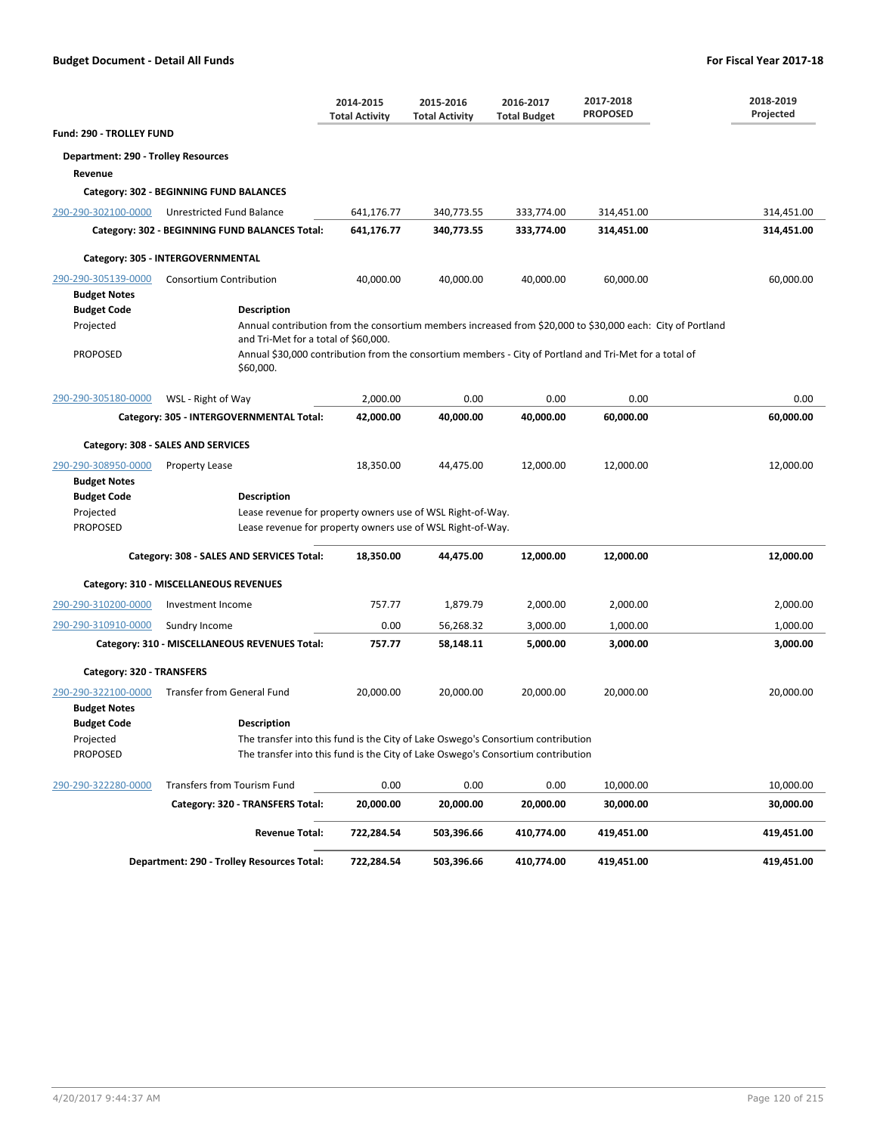|                                                    |                                                                                                                                                | 2014-2015<br><b>Total Activity</b> | 2015-2016<br><b>Total Activity</b> | 2016-2017<br><b>Total Budget</b> | 2017-2018<br><b>PROPOSED</b>                                                                               | 2018-2019<br>Projected |  |  |
|----------------------------------------------------|------------------------------------------------------------------------------------------------------------------------------------------------|------------------------------------|------------------------------------|----------------------------------|------------------------------------------------------------------------------------------------------------|------------------------|--|--|
| Fund: 290 - TROLLEY FUND                           |                                                                                                                                                |                                    |                                    |                                  |                                                                                                            |                        |  |  |
| <b>Department: 290 - Trolley Resources</b>         |                                                                                                                                                |                                    |                                    |                                  |                                                                                                            |                        |  |  |
| Revenue                                            |                                                                                                                                                |                                    |                                    |                                  |                                                                                                            |                        |  |  |
|                                                    | Category: 302 - BEGINNING FUND BALANCES                                                                                                        |                                    |                                    |                                  |                                                                                                            |                        |  |  |
| 290-290-302100-0000                                | Unrestricted Fund Balance                                                                                                                      | 641,176.77                         | 340,773.55                         | 333,774.00                       | 314,451.00                                                                                                 | 314,451.00             |  |  |
|                                                    | Category: 302 - BEGINNING FUND BALANCES Total:                                                                                                 | 641,176.77                         | 340,773.55                         | 333,774.00                       | 314,451.00                                                                                                 | 314,451.00             |  |  |
|                                                    | Category: 305 - INTERGOVERNMENTAL                                                                                                              |                                    |                                    |                                  |                                                                                                            |                        |  |  |
| 290-290-305139-0000<br><b>Budget Notes</b>         | <b>Consortium Contribution</b>                                                                                                                 | 40,000.00                          | 40,000.00                          | 40,000.00                        | 60,000.00                                                                                                  | 60,000.00              |  |  |
| <b>Budget Code</b>                                 | <b>Description</b>                                                                                                                             |                                    |                                    |                                  |                                                                                                            |                        |  |  |
| Projected                                          | and Tri-Met for a total of \$60,000.                                                                                                           |                                    |                                    |                                  | Annual contribution from the consortium members increased from \$20,000 to \$30,000 each: City of Portland |                        |  |  |
| <b>PROPOSED</b>                                    | \$60,000.                                                                                                                                      |                                    |                                    |                                  | Annual \$30,000 contribution from the consortium members - City of Portland and Tri-Met for a total of     |                        |  |  |
| 290-290-305180-0000                                | WSL - Right of Way                                                                                                                             | 2,000.00                           | 0.00                               | 0.00                             | 0.00                                                                                                       | 0.00                   |  |  |
|                                                    | Category: 305 - INTERGOVERNMENTAL Total:                                                                                                       | 42,000.00                          | 40,000.00                          | 40,000.00                        | 60,000.00                                                                                                  | 60,000.00              |  |  |
|                                                    | Category: 308 - SALES AND SERVICES                                                                                                             |                                    |                                    |                                  |                                                                                                            |                        |  |  |
| 290-290-308950-0000<br><b>Budget Notes</b>         | <b>Property Lease</b>                                                                                                                          | 18,350.00                          | 44,475.00                          | 12,000.00                        | 12,000.00                                                                                                  | 12,000.00              |  |  |
| <b>Budget Code</b><br>Projected<br><b>PROPOSED</b> | <b>Description</b><br>Lease revenue for property owners use of WSL Right-of-Way.<br>Lease revenue for property owners use of WSL Right-of-Way. |                                    |                                    |                                  |                                                                                                            |                        |  |  |
|                                                    | Category: 308 - SALES AND SERVICES Total:                                                                                                      | 18,350.00                          | 44,475.00                          | 12,000.00                        | 12,000.00                                                                                                  | 12,000.00              |  |  |
|                                                    | Category: 310 - MISCELLANEOUS REVENUES                                                                                                         |                                    |                                    |                                  |                                                                                                            |                        |  |  |
| 290-290-310200-0000                                | Investment Income                                                                                                                              | 757.77                             | 1,879.79                           | 2,000.00                         | 2,000.00                                                                                                   | 2,000.00               |  |  |
| 290-290-310910-0000                                | Sundry Income                                                                                                                                  | 0.00                               | 56,268.32                          | 3,000.00                         | 1,000.00                                                                                                   | 1,000.00               |  |  |
|                                                    | Category: 310 - MISCELLANEOUS REVENUES Total:                                                                                                  | 757.77                             | 58,148.11                          | 5,000.00                         | 3,000.00                                                                                                   | 3,000.00               |  |  |
| Category: 320 - TRANSFERS                          |                                                                                                                                                |                                    |                                    |                                  |                                                                                                            |                        |  |  |
| 290-290-322100-0000<br><b>Budget Notes</b>         | <b>Transfer from General Fund</b>                                                                                                              | 20,000.00                          | 20,000.00                          | 20.000.00                        | 20,000.00                                                                                                  | 20,000.00              |  |  |
| <b>Budget Code</b>                                 | <b>Description</b>                                                                                                                             |                                    |                                    |                                  |                                                                                                            |                        |  |  |
| Projected                                          | The transfer into this fund is the City of Lake Oswego's Consortium contribution                                                               |                                    |                                    |                                  |                                                                                                            |                        |  |  |
| <b>PROPOSED</b>                                    | The transfer into this fund is the City of Lake Oswego's Consortium contribution                                                               |                                    |                                    |                                  |                                                                                                            |                        |  |  |
| 290-290-322280-0000                                | Transfers from Tourism Fund                                                                                                                    | 0.00                               | 0.00                               | 0.00                             | 10,000.00                                                                                                  | 10,000.00              |  |  |
|                                                    | Category: 320 - TRANSFERS Total:                                                                                                               | 20,000.00                          | 20,000.00                          | 20,000.00                        | 30,000.00                                                                                                  | 30,000.00              |  |  |
|                                                    | <b>Revenue Total:</b>                                                                                                                          | 722,284.54                         | 503,396.66                         | 410,774.00                       | 419,451.00                                                                                                 | 419,451.00             |  |  |
|                                                    | Department: 290 - Trolley Resources Total:                                                                                                     | 722,284.54                         | 503,396.66                         | 410,774.00                       | 419,451.00                                                                                                 | 419,451.00             |  |  |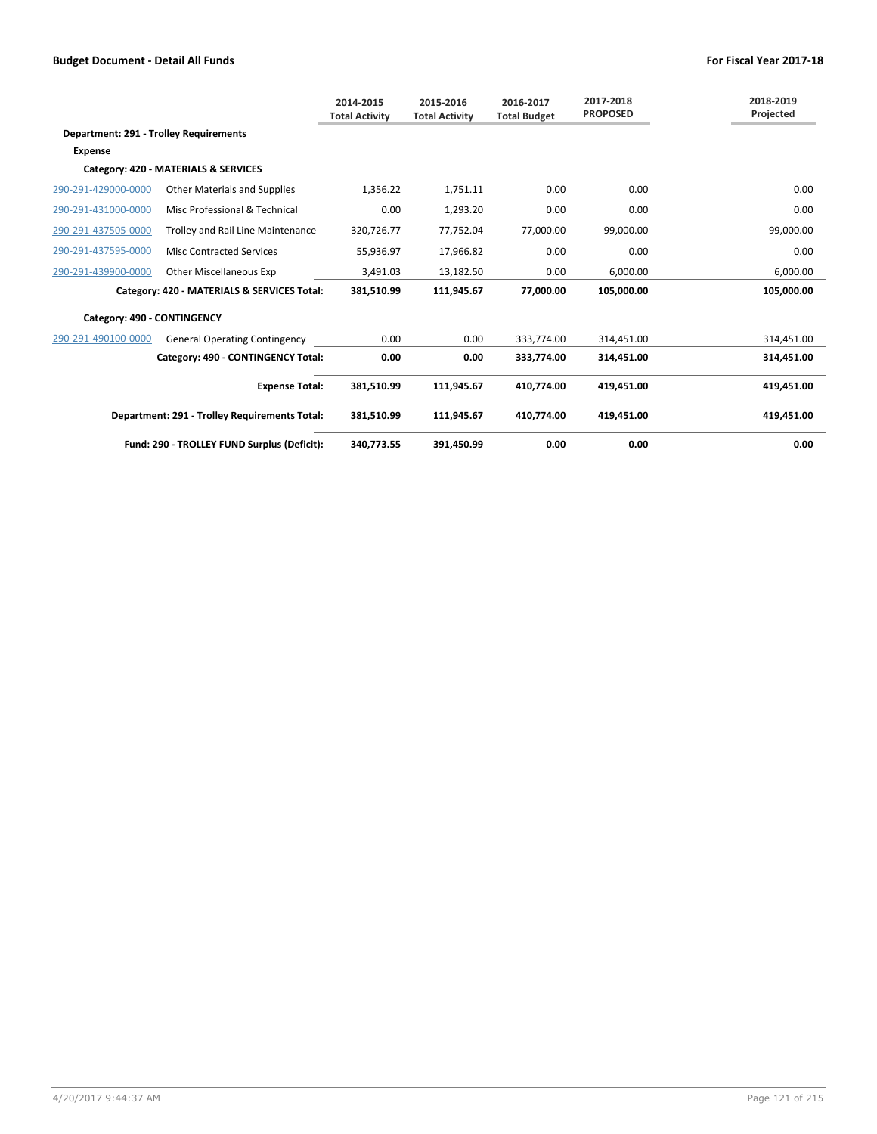|                                               |                                               | 2014-2015<br><b>Total Activity</b> | 2015-2016<br><b>Total Activity</b> | 2016-2017<br><b>Total Budget</b> | 2017-2018<br><b>PROPOSED</b> | 2018-2019<br>Projected |
|-----------------------------------------------|-----------------------------------------------|------------------------------------|------------------------------------|----------------------------------|------------------------------|------------------------|
| <b>Department: 291 - Trolley Requirements</b> |                                               |                                    |                                    |                                  |                              |                        |
| <b>Expense</b>                                |                                               |                                    |                                    |                                  |                              |                        |
|                                               | Category: 420 - MATERIALS & SERVICES          |                                    |                                    |                                  |                              |                        |
| 290-291-429000-0000                           | <b>Other Materials and Supplies</b>           | 1,356.22                           | 1,751.11                           | 0.00                             | 0.00                         | 0.00                   |
| 290-291-431000-0000                           | Misc Professional & Technical                 | 0.00                               | 1,293.20                           | 0.00                             | 0.00                         | 0.00                   |
| 290-291-437505-0000                           | Trolley and Rail Line Maintenance             | 320,726.77                         | 77,752.04                          | 77,000.00                        | 99,000.00                    | 99,000.00              |
| 290-291-437595-0000                           | <b>Misc Contracted Services</b>               | 55,936.97                          | 17,966.82                          | 0.00                             | 0.00                         | 0.00                   |
| 290-291-439900-0000                           | <b>Other Miscellaneous Exp</b>                | 3,491.03                           | 13,182.50                          | 0.00                             | 6,000.00                     | 6,000.00               |
|                                               | Category: 420 - MATERIALS & SERVICES Total:   | 381,510.99                         | 111,945.67                         | 77,000.00                        | 105.000.00                   | 105.000.00             |
| Category: 490 - CONTINGENCY                   |                                               |                                    |                                    |                                  |                              |                        |
| 290-291-490100-0000                           | <b>General Operating Contingency</b>          | 0.00                               | 0.00                               | 333,774.00                       | 314,451.00                   | 314,451.00             |
|                                               | Category: 490 - CONTINGENCY Total:            | 0.00                               | 0.00                               | 333,774.00                       | 314,451.00                   | 314,451.00             |
|                                               | <b>Expense Total:</b>                         | 381,510.99                         | 111,945.67                         | 410,774.00                       | 419,451.00                   | 419,451.00             |
|                                               | Department: 291 - Trolley Requirements Total: | 381,510.99                         | 111,945.67                         | 410,774.00                       | 419,451.00                   | 419,451.00             |
|                                               | Fund: 290 - TROLLEY FUND Surplus (Deficit):   | 340.773.55                         | 391,450.99                         | 0.00                             | 0.00                         | 0.00                   |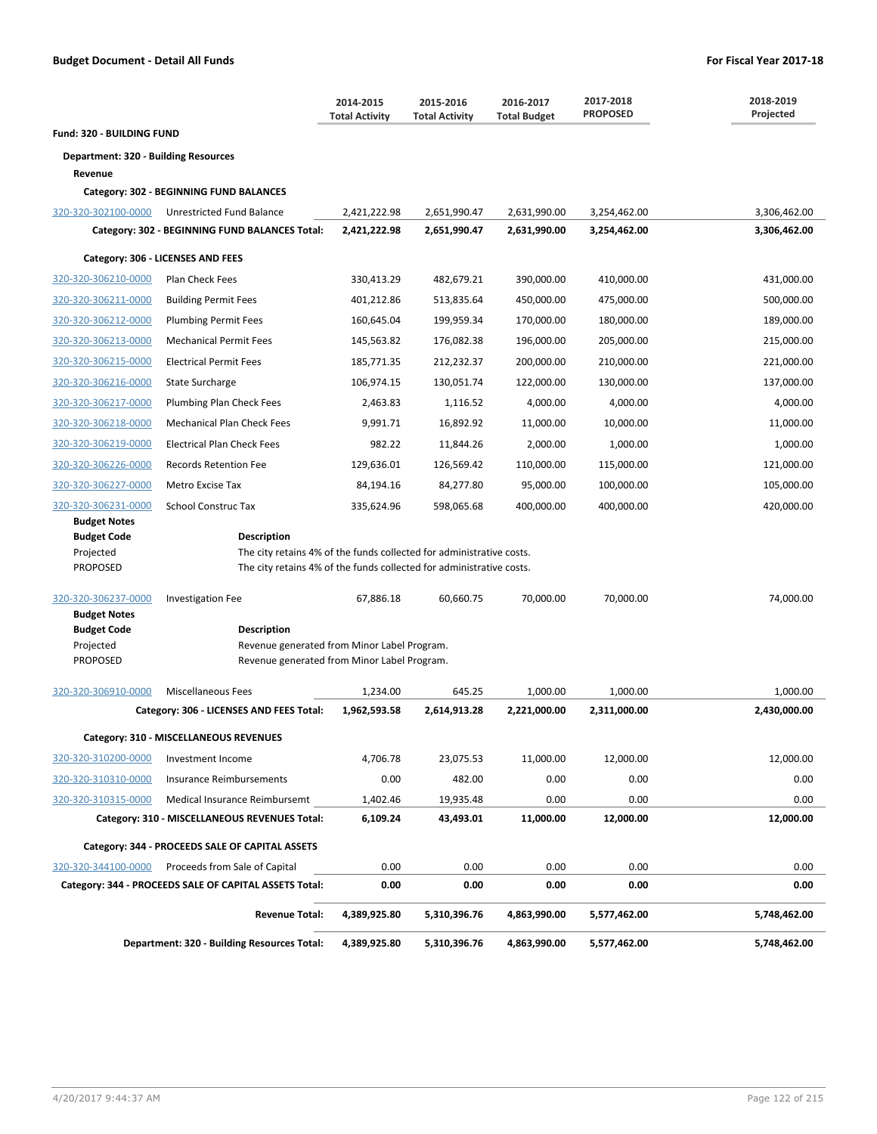|                                             |                                                                                            | 2014-2015<br><b>Total Activity</b> | 2015-2016<br><b>Total Activity</b> | 2016-2017<br><b>Total Budget</b> | 2017-2018<br><b>PROPOSED</b> | 2018-2019<br>Projected |
|---------------------------------------------|--------------------------------------------------------------------------------------------|------------------------------------|------------------------------------|----------------------------------|------------------------------|------------------------|
| <b>Fund: 320 - BUILDING FUND</b>            |                                                                                            |                                    |                                    |                                  |                              |                        |
| <b>Department: 320 - Building Resources</b> |                                                                                            |                                    |                                    |                                  |                              |                        |
| Revenue                                     |                                                                                            |                                    |                                    |                                  |                              |                        |
|                                             | Category: 302 - BEGINNING FUND BALANCES                                                    |                                    |                                    |                                  |                              |                        |
| 320-320-302100-0000                         | Unrestricted Fund Balance                                                                  | 2,421,222.98                       | 2,651,990.47                       | 2,631,990.00                     | 3,254,462.00                 | 3,306,462.00           |
|                                             | Category: 302 - BEGINNING FUND BALANCES Total:                                             | 2,421,222.98                       | 2,651,990.47                       | 2,631,990.00                     | 3,254,462.00                 | 3,306,462.00           |
|                                             | Category: 306 - LICENSES AND FEES                                                          |                                    |                                    |                                  |                              |                        |
| 320-320-306210-0000                         | Plan Check Fees                                                                            | 330,413.29                         | 482,679.21                         | 390,000.00                       | 410,000.00                   | 431,000.00             |
| 320-320-306211-0000                         | <b>Building Permit Fees</b>                                                                | 401,212.86                         | 513,835.64                         | 450,000.00                       | 475,000.00                   | 500,000.00             |
| 320-320-306212-0000                         | <b>Plumbing Permit Fees</b>                                                                | 160,645.04                         | 199,959.34                         | 170,000.00                       | 180,000.00                   | 189,000.00             |
| 320-320-306213-0000                         | <b>Mechanical Permit Fees</b>                                                              | 145,563.82                         | 176,082.38                         | 196,000.00                       | 205,000.00                   | 215,000.00             |
| 320-320-306215-0000                         | <b>Electrical Permit Fees</b>                                                              | 185,771.35                         | 212,232.37                         | 200,000.00                       | 210,000.00                   | 221,000.00             |
| 320-320-306216-0000                         | <b>State Surcharge</b>                                                                     | 106,974.15                         | 130,051.74                         | 122,000.00                       | 130,000.00                   | 137,000.00             |
| 320-320-306217-0000                         | Plumbing Plan Check Fees                                                                   | 2,463.83                           | 1,116.52                           | 4,000.00                         | 4,000.00                     | 4,000.00               |
| 320-320-306218-0000                         | <b>Mechanical Plan Check Fees</b>                                                          | 9.991.71                           | 16,892.92                          | 11,000.00                        | 10,000.00                    | 11,000.00              |
| 320-320-306219-0000                         | <b>Electrical Plan Check Fees</b>                                                          | 982.22                             | 11,844.26                          | 2,000.00                         | 1,000.00                     | 1,000.00               |
| 320-320-306226-0000                         | <b>Records Retention Fee</b>                                                               | 129,636.01                         | 126,569.42                         | 110,000.00                       | 115,000.00                   | 121,000.00             |
| 320-320-306227-0000                         | Metro Excise Tax                                                                           | 84,194.16                          | 84,277.80                          | 95,000.00                        | 100,000.00                   | 105,000.00             |
| 320-320-306231-0000                         | <b>School Construc Tax</b>                                                                 | 335,624.96                         | 598,065.68                         | 400,000.00                       | 400,000.00                   | 420,000.00             |
| <b>Budget Notes</b>                         |                                                                                            |                                    |                                    |                                  |                              |                        |
| <b>Budget Code</b><br>Projected             | <b>Description</b><br>The city retains 4% of the funds collected for administrative costs. |                                    |                                    |                                  |                              |                        |
| <b>PROPOSED</b>                             | The city retains 4% of the funds collected for administrative costs.                       |                                    |                                    |                                  |                              |                        |
|                                             |                                                                                            |                                    |                                    |                                  |                              |                        |
| 320-320-306237-0000                         | <b>Investigation Fee</b>                                                                   | 67,886.18                          | 60,660.75                          | 70,000.00                        | 70,000.00                    | 74,000.00              |
| <b>Budget Notes</b><br><b>Budget Code</b>   | <b>Description</b>                                                                         |                                    |                                    |                                  |                              |                        |
| Projected                                   | Revenue generated from Minor Label Program.                                                |                                    |                                    |                                  |                              |                        |
| <b>PROPOSED</b>                             | Revenue generated from Minor Label Program.                                                |                                    |                                    |                                  |                              |                        |
| 320-320-306910-0000                         | Miscellaneous Fees                                                                         | 1,234.00                           | 645.25                             | 1,000.00                         | 1,000.00                     | 1,000.00               |
|                                             | Category: 306 - LICENSES AND FEES Total:                                                   | 1,962,593.58                       | 2,614,913.28                       | 2,221,000.00                     | 2,311,000.00                 | 2,430,000.00           |
|                                             | Category: 310 - MISCELLANEOUS REVENUES                                                     |                                    |                                    |                                  |                              |                        |
| 320-320-310200-0000                         | Investment Income                                                                          | 4,706.78                           | 23,075.53                          | 11,000.00                        | 12,000.00                    | 12,000.00              |
| 320-320-310310-0000                         | <b>Insurance Reimbursements</b>                                                            | 0.00                               | 482.00                             | 0.00                             | 0.00                         | 0.00                   |
| 320-320-310315-0000                         | Medical Insurance Reimbursemt                                                              | 1,402.46                           | 19,935.48                          | 0.00                             | 0.00                         | 0.00                   |
|                                             | Category: 310 - MISCELLANEOUS REVENUES Total:                                              | 6,109.24                           | 43,493.01                          | 11,000.00                        | 12,000.00                    | 12,000.00              |
|                                             | Category: 344 - PROCEEDS SALE OF CAPITAL ASSETS                                            |                                    |                                    |                                  |                              |                        |
| 320-320-344100-0000                         | Proceeds from Sale of Capital                                                              | 0.00                               | 0.00                               | 0.00                             | 0.00                         | 0.00                   |
|                                             | Category: 344 - PROCEEDS SALE OF CAPITAL ASSETS Total:                                     | 0.00                               | 0.00                               | 0.00                             | 0.00                         | 0.00                   |
|                                             | <b>Revenue Total:</b>                                                                      | 4,389,925.80                       | 5,310,396.76                       | 4,863,990.00                     | 5,577,462.00                 | 5,748,462.00           |
|                                             | <b>Department: 320 - Building Resources Total:</b>                                         | 4,389,925.80                       | 5,310,396.76                       | 4,863,990.00                     | 5,577,462.00                 | 5,748,462.00           |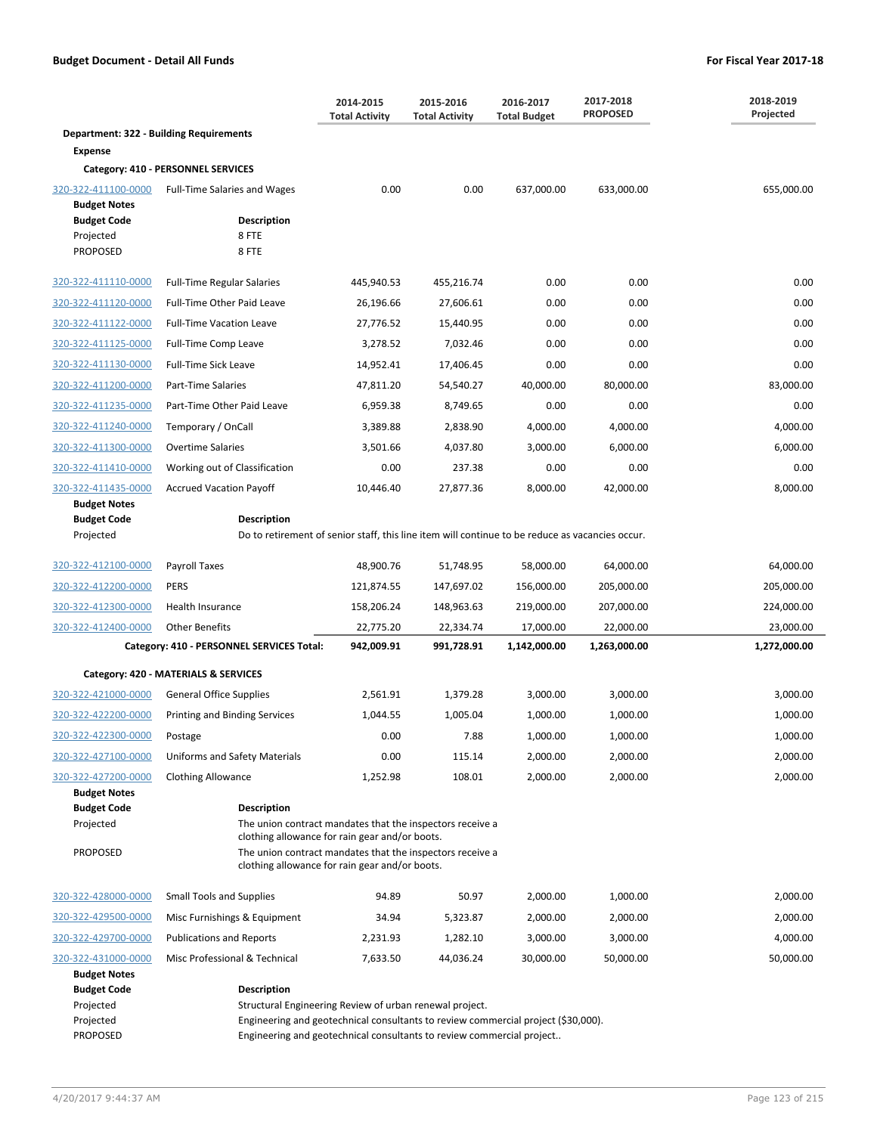|                                                        |                                                                                                                                   | 2014-2015<br><b>Total Activity</b> | 2015-2016<br><b>Total Activity</b>                                                | 2016-2017<br><b>Total Budget</b> | 2017-2018<br><b>PROPOSED</b> | 2018-2019<br>Projected |  |
|--------------------------------------------------------|-----------------------------------------------------------------------------------------------------------------------------------|------------------------------------|-----------------------------------------------------------------------------------|----------------------------------|------------------------------|------------------------|--|
| <b>Department: 322 - Building Requirements</b>         |                                                                                                                                   |                                    |                                                                                   |                                  |                              |                        |  |
| <b>Expense</b>                                         |                                                                                                                                   |                                    |                                                                                   |                                  |                              |                        |  |
|                                                        | Category: 410 - PERSONNEL SERVICES                                                                                                |                                    |                                                                                   |                                  |                              |                        |  |
| 320-322-411100-0000<br><b>Budget Notes</b>             | Full-Time Salaries and Wages                                                                                                      | 0.00                               | 0.00                                                                              | 637,000.00                       | 633,000.00                   | 655,000.00             |  |
| <b>Budget Code</b><br>Projected<br><b>PROPOSED</b>     | <b>Description</b><br>8 FTE<br>8 FTE                                                                                              |                                    |                                                                                   |                                  |                              |                        |  |
| 320-322-411110-0000                                    | <b>Full-Time Regular Salaries</b>                                                                                                 | 445,940.53                         | 455,216.74                                                                        | 0.00                             | 0.00                         | 0.00                   |  |
| 320-322-411120-0000                                    | Full-Time Other Paid Leave                                                                                                        | 26,196.66                          | 27,606.61                                                                         | 0.00                             | 0.00                         | 0.00                   |  |
| 320-322-411122-0000                                    | <b>Full-Time Vacation Leave</b>                                                                                                   | 27,776.52                          | 15,440.95                                                                         | 0.00                             | 0.00                         | 0.00                   |  |
| 320-322-411125-0000                                    | Full-Time Comp Leave                                                                                                              | 3,278.52                           | 7,032.46                                                                          | 0.00                             | 0.00                         | 0.00                   |  |
| 320-322-411130-0000                                    | <b>Full-Time Sick Leave</b>                                                                                                       | 14,952.41                          | 17,406.45                                                                         | 0.00                             | 0.00                         | 0.00                   |  |
| 320-322-411200-0000                                    | Part-Time Salaries                                                                                                                | 47,811.20                          | 54,540.27                                                                         | 40,000.00                        | 80,000.00                    | 83,000.00              |  |
| 320-322-411235-0000                                    | Part-Time Other Paid Leave                                                                                                        | 6,959.38                           | 8,749.65                                                                          | 0.00                             | 0.00                         | 0.00                   |  |
| 320-322-411240-0000                                    | Temporary / OnCall                                                                                                                | 3,389.88                           | 2,838.90                                                                          | 4,000.00                         | 4,000.00                     | 4,000.00               |  |
| 320-322-411300-0000                                    | <b>Overtime Salaries</b>                                                                                                          | 3,501.66                           | 4,037.80                                                                          | 3,000.00                         | 6,000.00                     | 6,000.00               |  |
| 320-322-411410-0000                                    | Working out of Classification                                                                                                     | 0.00                               | 237.38                                                                            | 0.00                             | 0.00                         | 0.00                   |  |
| 320-322-411435-0000                                    | <b>Accrued Vacation Payoff</b>                                                                                                    | 10,446.40                          | 27,877.36                                                                         | 8,000.00                         | 42,000.00                    | 8,000.00               |  |
| <b>Budget Notes</b>                                    |                                                                                                                                   |                                    |                                                                                   |                                  |                              |                        |  |
| <b>Budget Code</b><br>Projected                        | Description<br>Do to retirement of senior staff, this line item will continue to be reduce as vacancies occur.                    |                                    |                                                                                   |                                  |                              |                        |  |
|                                                        |                                                                                                                                   |                                    |                                                                                   |                                  |                              |                        |  |
| 320-322-412100-0000                                    | Payroll Taxes                                                                                                                     | 48,900.76                          | 51,748.95                                                                         | 58,000.00                        | 64,000.00                    | 64,000.00              |  |
| 320-322-412200-0000                                    | <b>PERS</b>                                                                                                                       | 121,874.55                         | 147,697.02                                                                        | 156,000.00                       | 205,000.00                   | 205,000.00             |  |
| 320-322-412300-0000                                    | Health Insurance                                                                                                                  | 158,206.24                         | 148,963.63                                                                        | 219,000.00                       | 207,000.00                   | 224,000.00             |  |
| 320-322-412400-0000                                    | <b>Other Benefits</b>                                                                                                             | 22,775.20                          | 22,334.74                                                                         | 17,000.00                        | 22,000.00                    | 23,000.00              |  |
|                                                        | Category: 410 - PERSONNEL SERVICES Total:                                                                                         | 942,009.91                         | 991,728.91                                                                        | 1,142,000.00                     | 1,263,000.00                 | 1,272,000.00           |  |
|                                                        | Category: 420 - MATERIALS & SERVICES                                                                                              |                                    |                                                                                   |                                  |                              |                        |  |
| 320-322-421000-0000                                    | <b>General Office Supplies</b>                                                                                                    | 2,561.91                           | 1,379.28                                                                          | 3,000.00                         | 3,000.00                     | 3,000.00               |  |
| 320-322-422200-0000                                    | Printing and Binding Services                                                                                                     | 1,044.55                           | 1,005.04                                                                          | 1,000.00                         | 1,000.00                     | 1,000.00               |  |
| 320-322-422300-0000                                    | Postage                                                                                                                           | 0.00                               | 7.88                                                                              | 1,000.00                         | 1,000.00                     | 1,000.00               |  |
| 320-322-427100-0000                                    | Uniforms and Safety Materials                                                                                                     | 0.00                               | 115.14                                                                            | 2,000.00                         | 2,000.00                     | 2,000.00               |  |
| 320-322-427200-0000                                    | <b>Clothing Allowance</b>                                                                                                         | 1,252.98                           | 108.01                                                                            | 2,000.00                         | 2,000.00                     | 2,000.00               |  |
| <b>Budget Notes</b>                                    |                                                                                                                                   |                                    |                                                                                   |                                  |                              |                        |  |
| <b>Budget Code</b><br>Projected                        | <b>Description</b><br>The union contract mandates that the inspectors receive a<br>clothing allowance for rain gear and/or boots. |                                    |                                                                                   |                                  |                              |                        |  |
| <b>PROPOSED</b>                                        | The union contract mandates that the inspectors receive a<br>clothing allowance for rain gear and/or boots.                       |                                    |                                                                                   |                                  |                              |                        |  |
| 320-322-428000-0000                                    | <b>Small Tools and Supplies</b>                                                                                                   | 94.89                              | 50.97                                                                             | 2,000.00                         | 1,000.00                     | 2,000.00               |  |
| 320-322-429500-0000                                    | Misc Furnishings & Equipment                                                                                                      | 34.94                              | 5,323.87                                                                          | 2,000.00                         | 2,000.00                     | 2,000.00               |  |
| 320-322-429700-0000                                    | <b>Publications and Reports</b>                                                                                                   | 2,231.93                           | 1,282.10                                                                          | 3,000.00                         | 3,000.00                     | 4,000.00               |  |
| 320-322-431000-0000                                    | Misc Professional & Technical                                                                                                     | 7,633.50                           | 44,036.24                                                                         | 30,000.00                        | 50,000.00                    | 50,000.00              |  |
| <b>Budget Notes</b><br><b>Budget Code</b><br>Projected | Description<br>Structural Engineering Review of urban renewal project.                                                            |                                    |                                                                                   |                                  |                              |                        |  |
| Projected                                              |                                                                                                                                   |                                    | Engineering and geotechnical consultants to review commercial project (\$30,000). |                                  |                              |                        |  |
| <b>PROPOSED</b>                                        |                                                                                                                                   |                                    | Engineering and geotechnical consultants to review commercial project             |                                  |                              |                        |  |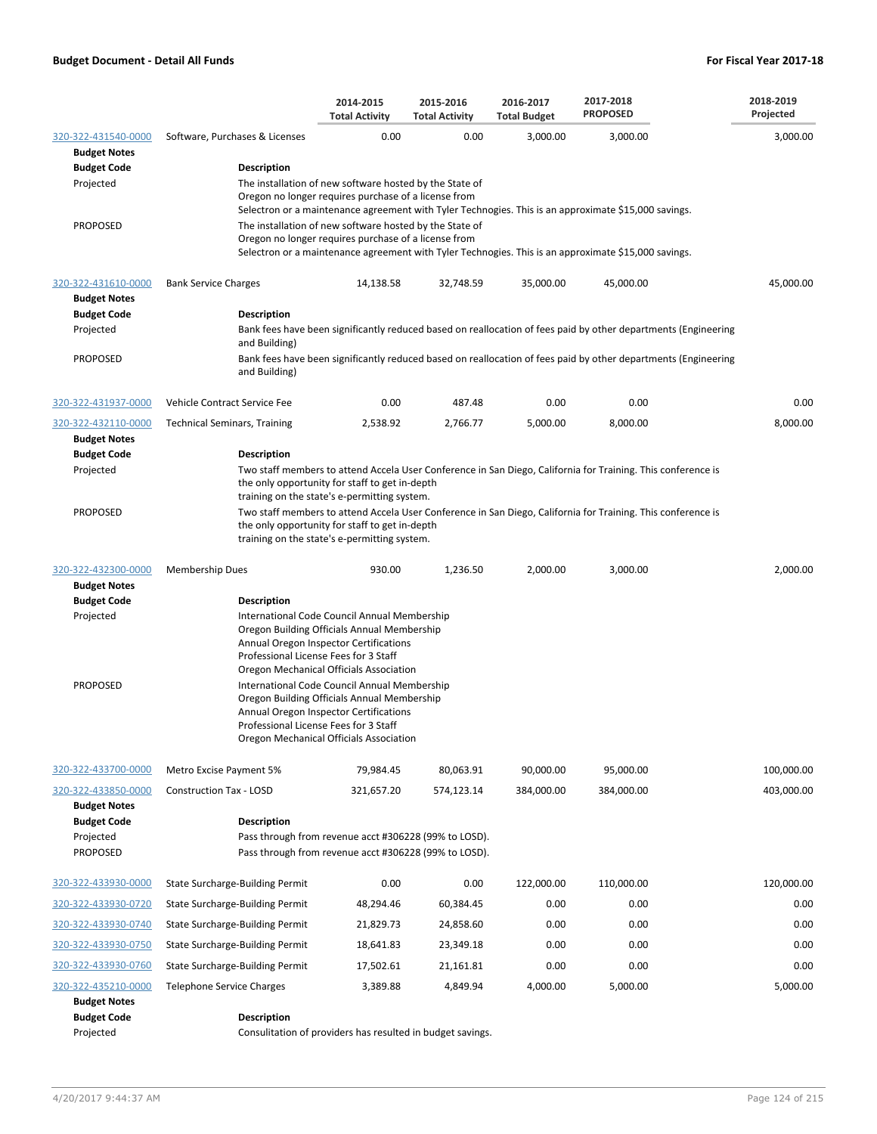|                                                                  |                                                      | 2014-2015<br><b>Total Activity</b>                                                                                                                                                                                        | 2015-2016<br><b>Total Activity</b>                                                                             | 2016-2017<br><b>Total Budget</b> | 2017-2018<br><b>PROPOSED</b>                                                                                   | 2018-2019<br>Projected |
|------------------------------------------------------------------|------------------------------------------------------|---------------------------------------------------------------------------------------------------------------------------------------------------------------------------------------------------------------------------|----------------------------------------------------------------------------------------------------------------|----------------------------------|----------------------------------------------------------------------------------------------------------------|------------------------|
| 320-322-431540-0000<br><b>Budget Notes</b><br><b>Budget Code</b> | Software, Purchases & Licenses<br><b>Description</b> | 0.00                                                                                                                                                                                                                      | 0.00                                                                                                           | 3,000.00                         | 3,000.00                                                                                                       | 3,000.00               |
| Projected                                                        |                                                      | The installation of new software hosted by the State of<br>Oregon no longer requires purchase of a license from                                                                                                           |                                                                                                                |                                  | Selectron or a maintenance agreement with Tyler Technogies. This is an approximate \$15,000 savings.           |                        |
| <b>PROPOSED</b>                                                  |                                                      | The installation of new software hosted by the State of<br>Oregon no longer requires purchase of a license from                                                                                                           |                                                                                                                |                                  | Selectron or a maintenance agreement with Tyler Technogies. This is an approximate \$15,000 savings.           |                        |
| 320-322-431610-0000<br><b>Budget Notes</b>                       | <b>Bank Service Charges</b>                          | 14,138.58                                                                                                                                                                                                                 | 32,748.59                                                                                                      | 35,000.00                        | 45,000.00                                                                                                      | 45,000.00              |
| <b>Budget Code</b>                                               | <b>Description</b>                                   |                                                                                                                                                                                                                           |                                                                                                                |                                  |                                                                                                                |                        |
| Projected                                                        | and Building)                                        |                                                                                                                                                                                                                           |                                                                                                                |                                  | Bank fees have been significantly reduced based on reallocation of fees paid by other departments (Engineering |                        |
| <b>PROPOSED</b>                                                  | and Building)                                        |                                                                                                                                                                                                                           |                                                                                                                |                                  | Bank fees have been significantly reduced based on reallocation of fees paid by other departments (Engineering |                        |
| 320-322-431937-0000                                              | Vehicle Contract Service Fee                         | 0.00                                                                                                                                                                                                                      | 487.48                                                                                                         | 0.00                             | 0.00                                                                                                           | 0.00                   |
| 320-322-432110-0000                                              | <b>Technical Seminars, Training</b>                  | 2,538.92                                                                                                                                                                                                                  | 2,766.77                                                                                                       | 5,000.00                         | 8,000.00                                                                                                       | 8,000.00               |
| <b>Budget Notes</b>                                              |                                                      |                                                                                                                                                                                                                           |                                                                                                                |                                  |                                                                                                                |                        |
| <b>Budget Code</b><br>Projected                                  | <b>Description</b>                                   |                                                                                                                                                                                                                           |                                                                                                                |                                  | Two staff members to attend Accela User Conference in San Diego, California for Training. This conference is   |                        |
|                                                                  |                                                      | the only opportunity for staff to get in-depth<br>training on the state's e-permitting system.                                                                                                                            |                                                                                                                |                                  |                                                                                                                |                        |
| <b>PROPOSED</b>                                                  |                                                      | the only opportunity for staff to get in-depth<br>training on the state's e-permitting system.                                                                                                                            |                                                                                                                |                                  | Two staff members to attend Accela User Conference in San Diego, California for Training. This conference is   |                        |
| 320-322-432300-0000                                              | Membership Dues                                      | 930.00                                                                                                                                                                                                                    | 1,236.50                                                                                                       | 2,000.00                         | 3,000.00                                                                                                       | 2,000.00               |
| <b>Budget Notes</b><br><b>Budget Code</b>                        | <b>Description</b>                                   |                                                                                                                                                                                                                           |                                                                                                                |                                  |                                                                                                                |                        |
| Projected                                                        |                                                      | International Code Council Annual Membership<br>Oregon Building Officials Annual Membership<br>Annual Oregon Inspector Certifications<br>Professional License Fees for 3 Staff<br>Oregon Mechanical Officials Association |                                                                                                                |                                  |                                                                                                                |                        |
| <b>PROPOSED</b>                                                  |                                                      | International Code Council Annual Membership<br>Oregon Building Officials Annual Membership<br>Annual Oregon Inspector Certifications<br>Professional License Fees for 3 Staff<br>Oregon Mechanical Officials Association |                                                                                                                |                                  |                                                                                                                |                        |
| 320-322-433700-0000                                              | Metro Excise Payment 5%                              | 79,984.45                                                                                                                                                                                                                 | 80,063.91                                                                                                      | 90,000.00                        | 95,000.00                                                                                                      | 100,000.00             |
| 320-322-433850-0000<br><b>Budget Notes</b>                       | <b>Construction Tax - LOSD</b>                       | 321,657.20                                                                                                                                                                                                                | 574,123.14                                                                                                     | 384,000.00                       | 384,000.00                                                                                                     | 403,000.00             |
| <b>Budget Code</b><br>Projected<br><b>PROPOSED</b>               | Description                                          |                                                                                                                                                                                                                           | Pass through from revenue acct #306228 (99% to LOSD).<br>Pass through from revenue acct #306228 (99% to LOSD). |                                  |                                                                                                                |                        |
| 320-322-433930-0000                                              | State Surcharge-Building Permit                      | 0.00                                                                                                                                                                                                                      | 0.00                                                                                                           | 122,000.00                       | 110,000.00                                                                                                     | 120,000.00             |
| 320-322-433930-0720                                              | State Surcharge-Building Permit                      | 48,294.46                                                                                                                                                                                                                 | 60,384.45                                                                                                      | 0.00                             | 0.00                                                                                                           | 0.00                   |
| 320-322-433930-0740                                              | State Surcharge-Building Permit                      | 21,829.73                                                                                                                                                                                                                 | 24,858.60                                                                                                      | 0.00                             | 0.00                                                                                                           | 0.00                   |
| 320-322-433930-0750                                              | State Surcharge-Building Permit                      | 18,641.83                                                                                                                                                                                                                 | 23,349.18                                                                                                      | 0.00                             | 0.00                                                                                                           | 0.00                   |
| 320-322-433930-0760                                              | State Surcharge-Building Permit                      | 17,502.61                                                                                                                                                                                                                 | 21,161.81                                                                                                      | 0.00                             | 0.00                                                                                                           | 0.00                   |
| 320-322-435210-0000                                              | <b>Telephone Service Charges</b>                     | 3,389.88                                                                                                                                                                                                                  | 4,849.94                                                                                                       | 4,000.00                         | 5,000.00                                                                                                       | 5,000.00               |
| <b>Budget Notes</b><br><b>Budget Code</b>                        | <b>Description</b>                                   |                                                                                                                                                                                                                           |                                                                                                                |                                  |                                                                                                                |                        |
| Projected                                                        |                                                      |                                                                                                                                                                                                                           | Consulitation of providers has resulted in budget savings.                                                     |                                  |                                                                                                                |                        |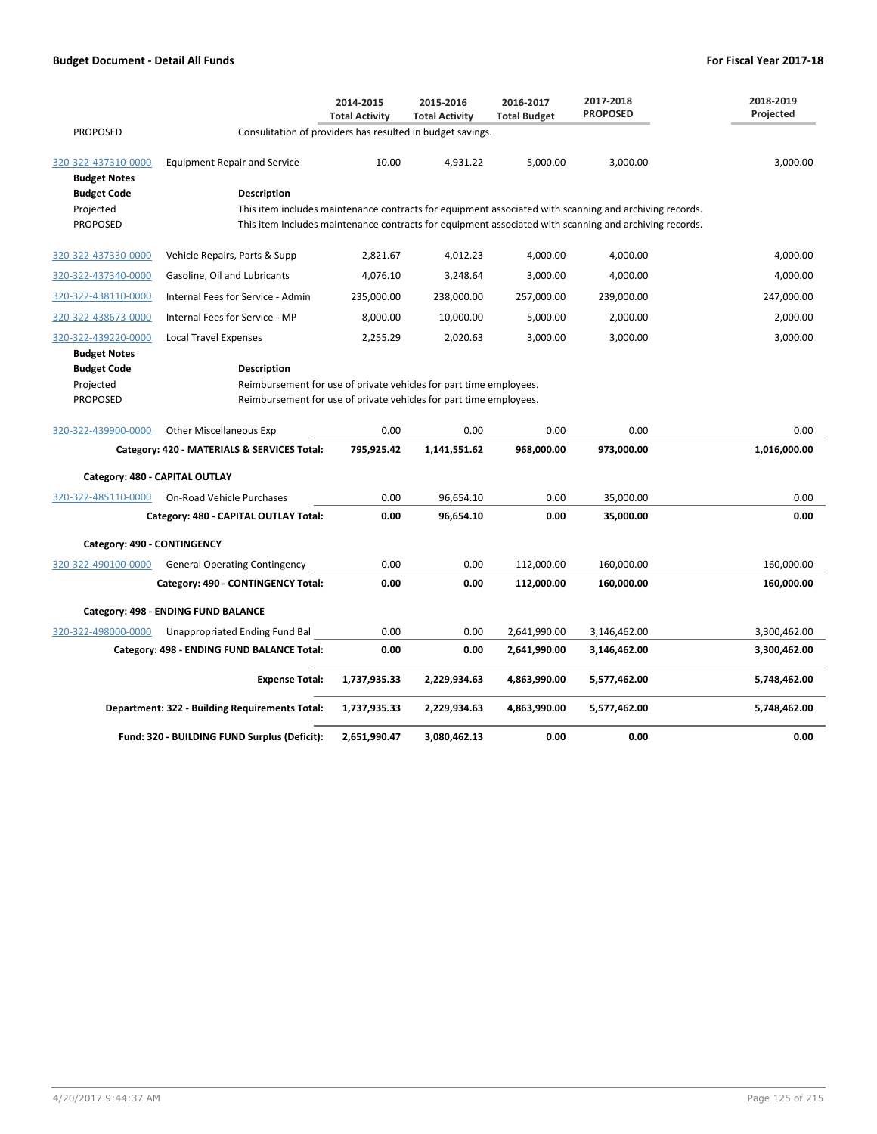|                                            |                                                                                                        | 2014-2015<br><b>Total Activity</b> | 2015-2016<br><b>Total Activity</b> | 2016-2017<br><b>Total Budget</b> | 2017-2018<br><b>PROPOSED</b> | 2018-2019<br>Projected |
|--------------------------------------------|--------------------------------------------------------------------------------------------------------|------------------------------------|------------------------------------|----------------------------------|------------------------------|------------------------|
| <b>PROPOSED</b>                            | Consulitation of providers has resulted in budget savings.                                             |                                    |                                    |                                  |                              |                        |
| 320-322-437310-0000<br><b>Budget Notes</b> | <b>Equipment Repair and Service</b>                                                                    | 10.00                              | 4,931.22                           | 5,000.00                         | 3,000.00                     | 3,000.00               |
| <b>Budget Code</b>                         | <b>Description</b>                                                                                     |                                    |                                    |                                  |                              |                        |
| Projected                                  | This item includes maintenance contracts for equipment associated with scanning and archiving records. |                                    |                                    |                                  |                              |                        |
| <b>PROPOSED</b>                            | This item includes maintenance contracts for equipment associated with scanning and archiving records. |                                    |                                    |                                  |                              |                        |
| 320-322-437330-0000                        | Vehicle Repairs, Parts & Supp                                                                          | 2,821.67                           | 4,012.23                           | 4,000.00                         | 4,000.00                     | 4,000.00               |
| 320-322-437340-0000                        | Gasoline, Oil and Lubricants                                                                           | 4,076.10                           | 3,248.64                           | 3,000.00                         | 4,000.00                     | 4,000.00               |
| 320-322-438110-0000                        | Internal Fees for Service - Admin                                                                      | 235,000.00                         | 238,000.00                         | 257,000.00                       | 239,000.00                   | 247,000.00             |
| 320-322-438673-0000                        | Internal Fees for Service - MP                                                                         | 8,000.00                           | 10,000.00                          | 5,000.00                         | 2,000.00                     | 2,000.00               |
| 320-322-439220-0000                        | <b>Local Travel Expenses</b>                                                                           | 2,255.29                           | 2,020.63                           | 3,000.00                         | 3,000.00                     | 3,000.00               |
| <b>Budget Notes</b>                        |                                                                                                        |                                    |                                    |                                  |                              |                        |
| <b>Budget Code</b>                         | <b>Description</b>                                                                                     |                                    |                                    |                                  |                              |                        |
| Projected                                  | Reimbursement for use of private vehicles for part time employees.                                     |                                    |                                    |                                  |                              |                        |
| <b>PROPOSED</b>                            | Reimbursement for use of private vehicles for part time employees.                                     |                                    |                                    |                                  |                              |                        |
| 320-322-439900-0000                        | <b>Other Miscellaneous Exp</b>                                                                         | 0.00                               | 0.00                               | 0.00                             | 0.00                         | 0.00                   |
|                                            | Category: 420 - MATERIALS & SERVICES Total:                                                            | 795,925.42                         | 1,141,551.62                       | 968,000.00                       | 973,000.00                   | 1,016,000.00           |
| Category: 480 - CAPITAL OUTLAY             |                                                                                                        |                                    |                                    |                                  |                              |                        |
| 320-322-485110-0000                        | On-Road Vehicle Purchases                                                                              | 0.00                               | 96,654.10                          | 0.00                             | 35,000.00                    | 0.00                   |
|                                            | Category: 480 - CAPITAL OUTLAY Total:                                                                  | 0.00                               | 96,654.10                          | 0.00                             | 35,000.00                    | 0.00                   |
| Category: 490 - CONTINGENCY                |                                                                                                        |                                    |                                    |                                  |                              |                        |
| 320-322-490100-0000                        | <b>General Operating Contingency</b>                                                                   | 0.00                               | 0.00                               | 112,000.00                       | 160,000.00                   | 160,000.00             |
|                                            | Category: 490 - CONTINGENCY Total:                                                                     | 0.00                               | 0.00                               | 112,000.00                       | 160,000.00                   | 160,000.00             |
|                                            | Category: 498 - ENDING FUND BALANCE                                                                    |                                    |                                    |                                  |                              |                        |
| 320-322-498000-0000                        | Unappropriated Ending Fund Bal                                                                         | 0.00                               | 0.00                               | 2,641,990.00                     | 3,146,462.00                 | 3,300,462.00           |
|                                            | Category: 498 - ENDING FUND BALANCE Total:                                                             | 0.00                               | 0.00                               | 2,641,990.00                     | 3,146,462.00                 | 3,300,462.00           |
|                                            | <b>Expense Total:</b>                                                                                  | 1,737,935.33                       | 2,229,934.63                       | 4,863,990.00                     | 5,577,462.00                 | 5,748,462.00           |
|                                            | Department: 322 - Building Requirements Total:                                                         | 1,737,935.33                       | 2,229,934.63                       | 4,863,990.00                     | 5,577,462.00                 | 5,748,462.00           |
|                                            | Fund: 320 - BUILDING FUND Surplus (Deficit):                                                           | 2,651,990.47                       | 3,080,462.13                       | 0.00                             | 0.00                         | 0.00                   |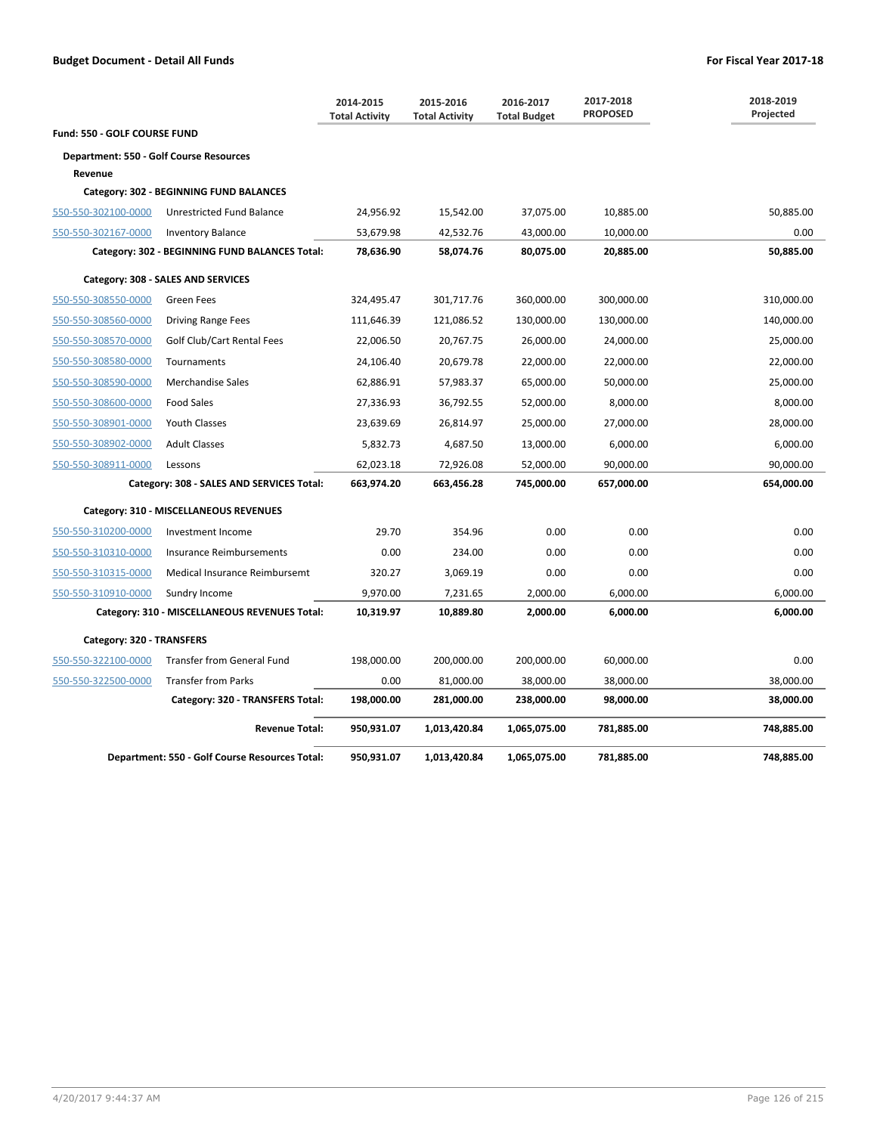|                                                |                                                | 2014-2015<br><b>Total Activity</b> | 2015-2016<br><b>Total Activity</b> | 2016-2017<br><b>Total Budget</b> | 2017-2018<br><b>PROPOSED</b> | 2018-2019<br>Projected |
|------------------------------------------------|------------------------------------------------|------------------------------------|------------------------------------|----------------------------------|------------------------------|------------------------|
| <b>Fund: 550 - GOLF COURSE FUND</b>            |                                                |                                    |                                    |                                  |                              |                        |
| <b>Department: 550 - Golf Course Resources</b> |                                                |                                    |                                    |                                  |                              |                        |
| Revenue                                        |                                                |                                    |                                    |                                  |                              |                        |
|                                                | Category: 302 - BEGINNING FUND BALANCES        |                                    |                                    |                                  |                              |                        |
| 550-550-302100-0000                            | Unrestricted Fund Balance                      | 24,956.92                          | 15,542.00                          | 37,075.00                        | 10,885.00                    | 50,885.00              |
| 550-550-302167-0000                            | <b>Inventory Balance</b>                       | 53,679.98                          | 42,532.76                          | 43,000.00                        | 10,000.00                    | 0.00                   |
|                                                | Category: 302 - BEGINNING FUND BALANCES Total: | 78,636.90                          | 58,074.76                          | 80,075.00                        | 20,885.00                    | 50,885.00              |
|                                                | Category: 308 - SALES AND SERVICES             |                                    |                                    |                                  |                              |                        |
| 550-550-308550-0000                            | <b>Green Fees</b>                              | 324,495.47                         | 301,717.76                         | 360,000.00                       | 300,000.00                   | 310,000.00             |
| 550-550-308560-0000                            | <b>Driving Range Fees</b>                      | 111,646.39                         | 121,086.52                         | 130,000.00                       | 130,000.00                   | 140,000.00             |
| 550-550-308570-0000                            | Golf Club/Cart Rental Fees                     | 22,006.50                          | 20,767.75                          | 26,000.00                        | 24,000.00                    | 25,000.00              |
| 550-550-308580-0000                            | Tournaments                                    | 24,106.40                          | 20,679.78                          | 22,000.00                        | 22,000.00                    | 22,000.00              |
| 550-550-308590-0000                            | Merchandise Sales                              | 62,886.91                          | 57,983.37                          | 65,000.00                        | 50,000.00                    | 25,000.00              |
| 550-550-308600-0000                            | <b>Food Sales</b>                              | 27,336.93                          | 36,792.55                          | 52,000.00                        | 8,000.00                     | 8,000.00               |
| 550-550-308901-0000                            | <b>Youth Classes</b>                           | 23,639.69                          | 26,814.97                          | 25,000.00                        | 27,000.00                    | 28,000.00              |
| 550-550-308902-0000                            | <b>Adult Classes</b>                           | 5,832.73                           | 4,687.50                           | 13,000.00                        | 6,000.00                     | 6,000.00               |
| 550-550-308911-0000                            | Lessons                                        | 62,023.18                          | 72,926.08                          | 52,000.00                        | 90,000.00                    | 90,000.00              |
|                                                | Category: 308 - SALES AND SERVICES Total:      | 663,974.20                         | 663,456.28                         | 745,000.00                       | 657,000.00                   | 654,000.00             |
|                                                | Category: 310 - MISCELLANEOUS REVENUES         |                                    |                                    |                                  |                              |                        |
| 550-550-310200-0000                            | Investment Income                              | 29.70                              | 354.96                             | 0.00                             | 0.00                         | 0.00                   |
| 550-550-310310-0000                            | Insurance Reimbursements                       | 0.00                               | 234.00                             | 0.00                             | 0.00                         | 0.00                   |
| 550-550-310315-0000                            | Medical Insurance Reimbursemt                  | 320.27                             | 3,069.19                           | 0.00                             | 0.00                         | 0.00                   |
| 550-550-310910-0000                            | Sundry Income                                  | 9,970.00                           | 7,231.65                           | 2,000.00                         | 6,000.00                     | 6,000.00               |
|                                                | Category: 310 - MISCELLANEOUS REVENUES Total:  | 10,319.97                          | 10,889.80                          | 2,000.00                         | 6,000.00                     | 6,000.00               |
| Category: 320 - TRANSFERS                      |                                                |                                    |                                    |                                  |                              |                        |
| 550-550-322100-0000                            | <b>Transfer from General Fund</b>              | 198,000.00                         | 200,000.00                         | 200,000.00                       | 60,000.00                    | 0.00                   |
| 550-550-322500-0000                            | <b>Transfer from Parks</b>                     | 0.00                               | 81,000.00                          | 38,000.00                        | 38,000.00                    | 38,000.00              |
|                                                | Category: 320 - TRANSFERS Total:               | 198,000.00                         | 281,000.00                         | 238,000.00                       | 98,000.00                    | 38,000.00              |
|                                                | <b>Revenue Total:</b>                          | 950,931.07                         | 1,013,420.84                       | 1,065,075.00                     | 781,885.00                   | 748,885.00             |
|                                                | Department: 550 - Golf Course Resources Total: | 950,931.07                         | 1,013,420.84                       | 1,065,075.00                     | 781,885.00                   | 748,885.00             |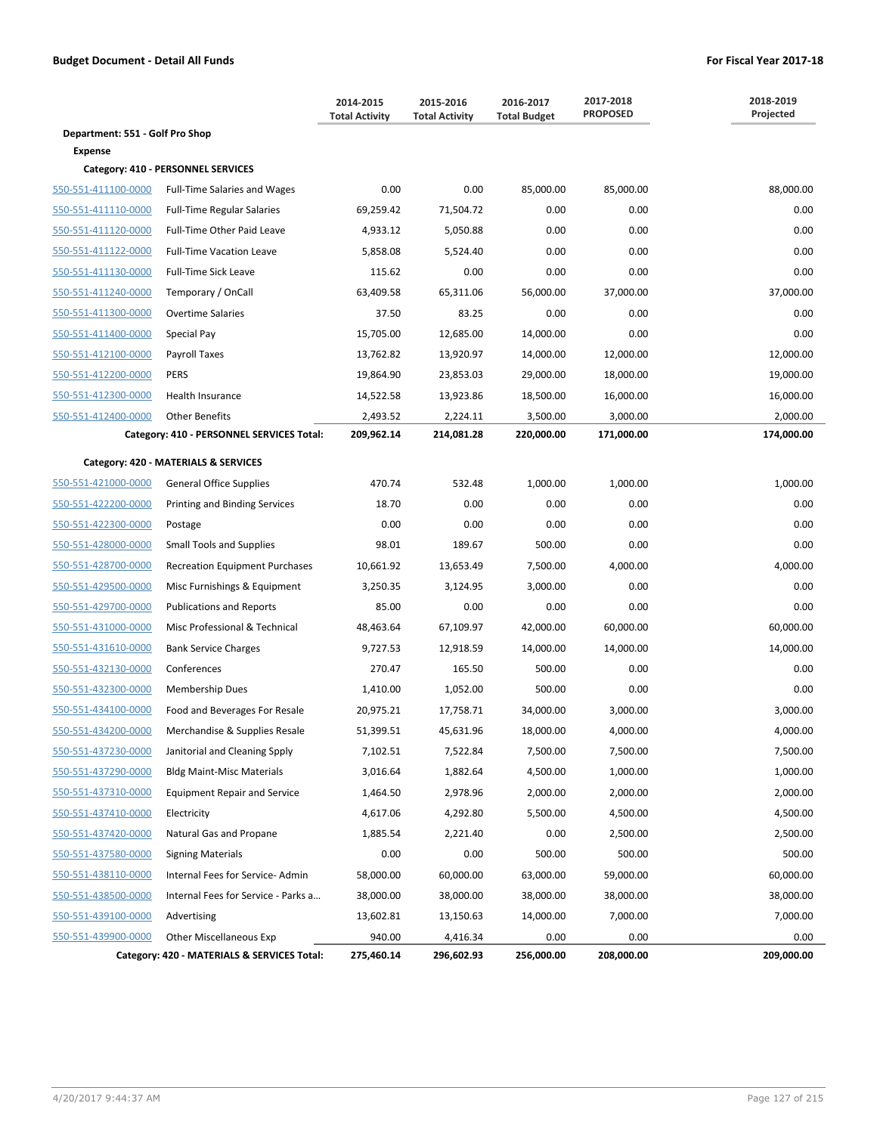|                                 |                                             | 2014-2015<br><b>Total Activity</b> | 2015-2016<br><b>Total Activity</b> | 2016-2017<br><b>Total Budget</b> | 2017-2018<br><b>PROPOSED</b> | 2018-2019<br>Projected |
|---------------------------------|---------------------------------------------|------------------------------------|------------------------------------|----------------------------------|------------------------------|------------------------|
| Department: 551 - Golf Pro Shop |                                             |                                    |                                    |                                  |                              |                        |
| <b>Expense</b>                  |                                             |                                    |                                    |                                  |                              |                        |
|                                 | Category: 410 - PERSONNEL SERVICES          |                                    |                                    |                                  |                              |                        |
| 550-551-411100-0000             | <b>Full-Time Salaries and Wages</b>         | 0.00                               | 0.00                               | 85,000.00                        | 85,000.00                    | 88,000.00              |
| 550-551-411110-0000             | <b>Full-Time Regular Salaries</b>           | 69,259.42                          | 71,504.72                          | 0.00                             | 0.00                         | 0.00                   |
| 550-551-411120-0000             | Full-Time Other Paid Leave                  | 4,933.12                           | 5,050.88                           | 0.00                             | 0.00                         | 0.00                   |
| 550-551-411122-0000             | <b>Full-Time Vacation Leave</b>             | 5,858.08                           | 5,524.40                           | 0.00                             | 0.00                         | 0.00                   |
| 550-551-411130-0000             | Full-Time Sick Leave                        | 115.62                             | 0.00                               | 0.00                             | 0.00                         | 0.00                   |
| 550-551-411240-0000             | Temporary / OnCall                          | 63,409.58                          | 65,311.06                          | 56,000.00                        | 37,000.00                    | 37,000.00              |
| 550-551-411300-0000             | <b>Overtime Salaries</b>                    | 37.50                              | 83.25                              | 0.00                             | 0.00                         | 0.00                   |
| 550-551-411400-0000             | Special Pay                                 | 15,705.00                          | 12,685.00                          | 14,000.00                        | 0.00                         | 0.00                   |
| 550-551-412100-0000             | Payroll Taxes                               | 13,762.82                          | 13,920.97                          | 14,000.00                        | 12,000.00                    | 12,000.00              |
| 550-551-412200-0000             | PERS                                        | 19,864.90                          | 23,853.03                          | 29,000.00                        | 18,000.00                    | 19,000.00              |
| 550-551-412300-0000             | <b>Health Insurance</b>                     | 14,522.58                          | 13,923.86                          | 18,500.00                        | 16,000.00                    | 16,000.00              |
| 550-551-412400-0000             | <b>Other Benefits</b>                       | 2,493.52                           | 2,224.11                           | 3,500.00                         | 3,000.00                     | 2,000.00               |
|                                 | Category: 410 - PERSONNEL SERVICES Total:   | 209,962.14                         | 214,081.28                         | 220,000.00                       | 171,000.00                   | 174,000.00             |
|                                 | Category: 420 - MATERIALS & SERVICES        |                                    |                                    |                                  |                              |                        |
| 550-551-421000-0000             | <b>General Office Supplies</b>              | 470.74                             | 532.48                             | 1,000.00                         | 1,000.00                     | 1,000.00               |
| 550-551-422200-0000             | Printing and Binding Services               | 18.70                              | 0.00                               | 0.00                             | 0.00                         | 0.00                   |
| 550-551-422300-0000             | Postage                                     | 0.00                               | 0.00                               | 0.00                             | 0.00                         | 0.00                   |
| 550-551-428000-0000             | <b>Small Tools and Supplies</b>             | 98.01                              | 189.67                             | 500.00                           | 0.00                         | 0.00                   |
| 550-551-428700-0000             | <b>Recreation Equipment Purchases</b>       | 10,661.92                          | 13,653.49                          | 7,500.00                         | 4,000.00                     | 4,000.00               |
| 550-551-429500-0000             | Misc Furnishings & Equipment                | 3,250.35                           | 3,124.95                           | 3,000.00                         | 0.00                         | 0.00                   |
| 550-551-429700-0000             | <b>Publications and Reports</b>             | 85.00                              | 0.00                               | 0.00                             | 0.00                         | 0.00                   |
| 550-551-431000-0000             | Misc Professional & Technical               | 48,463.64                          | 67,109.97                          | 42,000.00                        | 60,000.00                    | 60,000.00              |
| 550-551-431610-0000             | <b>Bank Service Charges</b>                 | 9,727.53                           | 12,918.59                          | 14,000.00                        | 14,000.00                    | 14,000.00              |
| 550-551-432130-0000             | Conferences                                 | 270.47                             | 165.50                             | 500.00                           | 0.00                         | 0.00                   |
| 550-551-432300-0000             | <b>Membership Dues</b>                      | 1,410.00                           | 1,052.00                           | 500.00                           | 0.00                         | 0.00                   |
| 550-551-434100-0000             | Food and Beverages For Resale               | 20,975.21                          | 17,758.71                          | 34,000.00                        | 3,000.00                     | 3,000.00               |
| 550-551-434200-0000             | Merchandise & Supplies Resale               | 51,399.51                          | 45,631.96                          | 18,000.00                        | 4,000.00                     | 4,000.00               |
| 550-551-437230-0000             | Janitorial and Cleaning Spply               | 7,102.51                           | 7,522.84                           | 7,500.00                         | 7,500.00                     | 7,500.00               |
| 550-551-437290-0000             | <b>Bldg Maint-Misc Materials</b>            | 3,016.64                           | 1,882.64                           | 4,500.00                         | 1,000.00                     | 1,000.00               |
| 550-551-437310-0000             | <b>Equipment Repair and Service</b>         | 1,464.50                           | 2,978.96                           | 2,000.00                         | 2,000.00                     | 2,000.00               |
| 550-551-437410-0000             | Electricity                                 | 4,617.06                           | 4,292.80                           | 5,500.00                         | 4,500.00                     | 4,500.00               |
| 550-551-437420-0000             | Natural Gas and Propane                     | 1,885.54                           | 2,221.40                           | 0.00                             | 2,500.00                     | 2,500.00               |
| 550-551-437580-0000             | <b>Signing Materials</b>                    | 0.00                               | 0.00                               | 500.00                           | 500.00                       | 500.00                 |
| 550-551-438110-0000             | Internal Fees for Service-Admin             | 58,000.00                          | 60,000.00                          | 63,000.00                        | 59,000.00                    | 60,000.00              |
| 550-551-438500-0000             | Internal Fees for Service - Parks a         | 38,000.00                          | 38,000.00                          | 38,000.00                        | 38,000.00                    | 38,000.00              |
| 550-551-439100-0000             | Advertising                                 | 13,602.81                          | 13,150.63                          | 14,000.00                        | 7,000.00                     | 7,000.00               |
| 550-551-439900-0000             | <b>Other Miscellaneous Exp</b>              | 940.00                             | 4,416.34                           | 0.00                             | 0.00                         | 0.00                   |
|                                 | Category: 420 - MATERIALS & SERVICES Total: | 275,460.14                         | 296,602.93                         | 256,000.00                       | 208,000.00                   | 209,000.00             |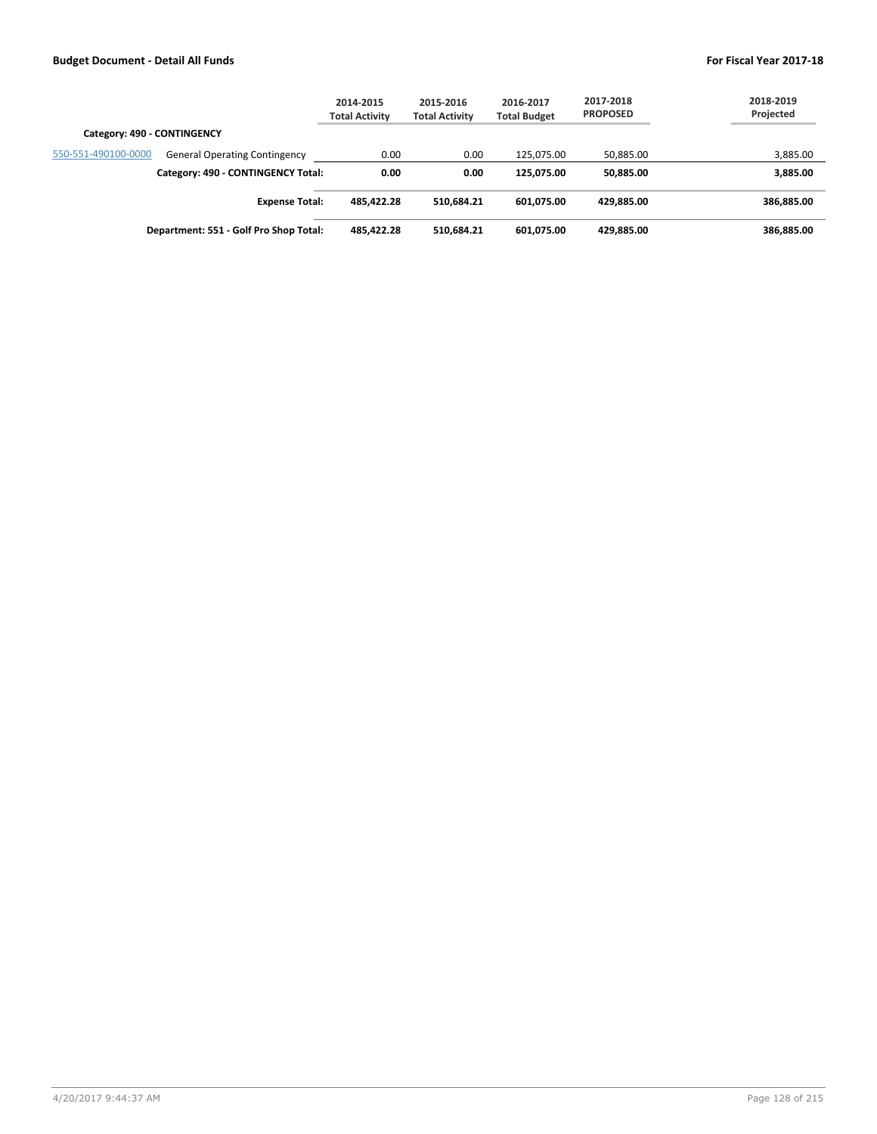|                                                             | 2014-2015<br><b>Total Activity</b> | 2015-2016<br><b>Total Activity</b> | 2016-2017<br><b>Total Budget</b> | 2017-2018<br><b>PROPOSED</b> | 2018-2019<br>Projected |
|-------------------------------------------------------------|------------------------------------|------------------------------------|----------------------------------|------------------------------|------------------------|
| Category: 490 - CONTINGENCY                                 |                                    |                                    |                                  |                              |                        |
| 550-551-490100-0000<br><b>General Operating Contingency</b> | 0.00                               | 0.00                               | 125.075.00                       | 50,885.00                    | 3,885.00               |
| Category: 490 - CONTINGENCY Total:                          | 0.00                               | 0.00                               | 125.075.00                       | 50,885.00                    | 3,885.00               |
| <b>Expense Total:</b>                                       | 485,422.28                         | 510.684.21                         | 601,075.00                       | 429.885.00                   | 386,885.00             |
| Department: 551 - Golf Pro Shop Total:                      | 485,422.28                         | 510,684.21                         | 601,075.00                       | 429,885.00                   | 386,885.00             |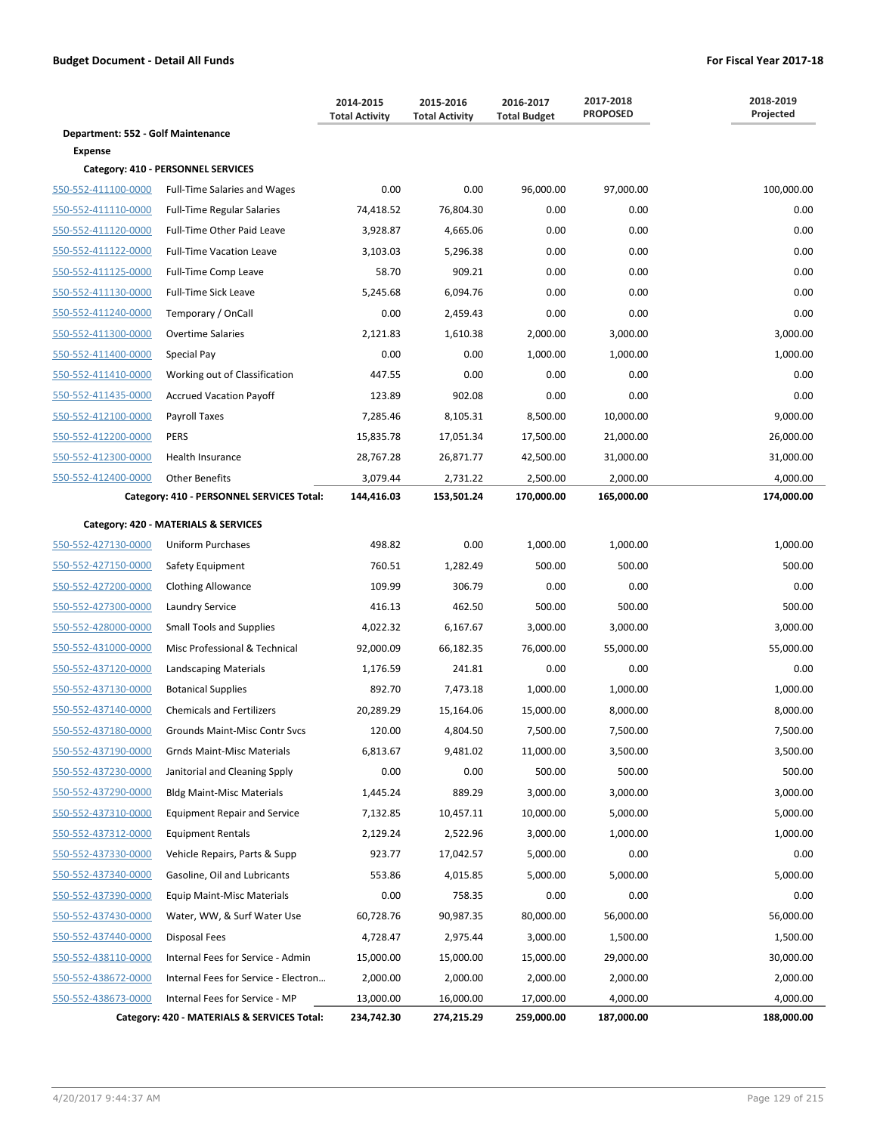|                                    |                                             | 2014-2015<br><b>Total Activity</b> | 2015-2016<br><b>Total Activity</b> | 2016-2017<br><b>Total Budget</b> | 2017-2018<br><b>PROPOSED</b> | 2018-2019<br>Projected |
|------------------------------------|---------------------------------------------|------------------------------------|------------------------------------|----------------------------------|------------------------------|------------------------|
| Department: 552 - Golf Maintenance |                                             |                                    |                                    |                                  |                              |                        |
| <b>Expense</b>                     |                                             |                                    |                                    |                                  |                              |                        |
|                                    | Category: 410 - PERSONNEL SERVICES          |                                    |                                    |                                  |                              |                        |
| 550-552-411100-0000                | <b>Full-Time Salaries and Wages</b>         | 0.00                               | 0.00                               | 96,000.00                        | 97,000.00                    | 100,000.00             |
| 550-552-411110-0000                | <b>Full-Time Regular Salaries</b>           | 74,418.52                          | 76,804.30                          | 0.00                             | 0.00                         | 0.00                   |
| 550-552-411120-0000                | Full-Time Other Paid Leave                  | 3,928.87                           | 4,665.06                           | 0.00                             | 0.00                         | 0.00                   |
| 550-552-411122-0000                | <b>Full-Time Vacation Leave</b>             | 3,103.03                           | 5,296.38                           | 0.00                             | 0.00                         | 0.00                   |
| 550-552-411125-0000                | Full-Time Comp Leave                        | 58.70                              | 909.21                             | 0.00                             | 0.00                         | 0.00                   |
| 550-552-411130-0000                | <b>Full-Time Sick Leave</b>                 | 5,245.68                           | 6,094.76                           | 0.00                             | 0.00                         | 0.00                   |
| 550-552-411240-0000                | Temporary / OnCall                          | 0.00                               | 2,459.43                           | 0.00                             | 0.00                         | 0.00                   |
| 550-552-411300-0000                | <b>Overtime Salaries</b>                    | 2,121.83                           | 1,610.38                           | 2,000.00                         | 3,000.00                     | 3,000.00               |
| 550-552-411400-0000                | Special Pay                                 | 0.00                               | 0.00                               | 1,000.00                         | 1,000.00                     | 1,000.00               |
| 550-552-411410-0000                | Working out of Classification               | 447.55                             | 0.00                               | 0.00                             | 0.00                         | 0.00                   |
| 550-552-411435-0000                | <b>Accrued Vacation Payoff</b>              | 123.89                             | 902.08                             | 0.00                             | 0.00                         | 0.00                   |
| 550-552-412100-0000                | <b>Payroll Taxes</b>                        | 7,285.46                           | 8,105.31                           | 8,500.00                         | 10,000.00                    | 9,000.00               |
| 550-552-412200-0000                | <b>PERS</b>                                 | 15,835.78                          | 17,051.34                          | 17,500.00                        | 21,000.00                    | 26,000.00              |
| 550-552-412300-0000                | <b>Health Insurance</b>                     | 28,767.28                          | 26,871.77                          | 42,500.00                        | 31,000.00                    | 31,000.00              |
| 550-552-412400-0000                | <b>Other Benefits</b>                       | 3,079.44                           | 2,731.22                           | 2,500.00                         | 2,000.00                     | 4,000.00               |
|                                    | Category: 410 - PERSONNEL SERVICES Total:   | 144,416.03                         | 153,501.24                         | 170,000.00                       | 165,000.00                   | 174,000.00             |
|                                    | Category: 420 - MATERIALS & SERVICES        |                                    |                                    |                                  |                              |                        |
| 550-552-427130-0000                | Uniform Purchases                           | 498.82                             | 0.00                               | 1,000.00                         | 1,000.00                     | 1,000.00               |
| 550-552-427150-0000                | Safety Equipment                            | 760.51                             | 1,282.49                           | 500.00                           | 500.00                       | 500.00                 |
| 550-552-427200-0000                | <b>Clothing Allowance</b>                   | 109.99                             | 306.79                             | 0.00                             | 0.00                         | 0.00                   |
| 550-552-427300-0000                | Laundry Service                             | 416.13                             | 462.50                             | 500.00                           | 500.00                       | 500.00                 |
| 550-552-428000-0000                | <b>Small Tools and Supplies</b>             | 4,022.32                           | 6,167.67                           | 3,000.00                         | 3,000.00                     | 3,000.00               |
| 550-552-431000-0000                | Misc Professional & Technical               | 92,000.09                          | 66,182.35                          | 76,000.00                        | 55,000.00                    | 55,000.00              |
| 550-552-437120-0000                | Landscaping Materials                       | 1,176.59                           | 241.81                             | 0.00                             | 0.00                         | 0.00                   |
| 550-552-437130-0000                | <b>Botanical Supplies</b>                   | 892.70                             | 7,473.18                           | 1,000.00                         | 1,000.00                     | 1,000.00               |
| 550-552-437140-0000                | <b>Chemicals and Fertilizers</b>            | 20,289.29                          | 15,164.06                          | 15,000.00                        | 8,000.00                     | 8,000.00               |
| 550-552-437180-0000                | Grounds Maint-Misc Contr Svcs               | 120.00                             | 4,804.50                           | 7,500.00                         | 7,500.00                     | 7,500.00               |
| 550-552-437190-0000                | <b>Grnds Maint-Misc Materials</b>           | 6,813.67                           | 9,481.02                           | 11,000.00                        | 3,500.00                     | 3,500.00               |
| 550-552-437230-0000                | Janitorial and Cleaning Spply               | 0.00                               | 0.00                               | 500.00                           | 500.00                       | 500.00                 |
| 550-552-437290-0000                | <b>Bldg Maint-Misc Materials</b>            | 1,445.24                           | 889.29                             | 3,000.00                         | 3,000.00                     | 3,000.00               |
| 550-552-437310-0000                | <b>Equipment Repair and Service</b>         | 7,132.85                           | 10,457.11                          | 10,000.00                        | 5,000.00                     | 5,000.00               |
| 550-552-437312-0000                | <b>Equipment Rentals</b>                    | 2,129.24                           | 2,522.96                           | 3,000.00                         | 1,000.00                     | 1,000.00               |
| 550-552-437330-0000                | Vehicle Repairs, Parts & Supp               | 923.77                             | 17,042.57                          | 5,000.00                         | 0.00                         | 0.00                   |
| 550-552-437340-0000                | Gasoline, Oil and Lubricants                | 553.86                             | 4,015.85                           | 5,000.00                         | 5,000.00                     | 5,000.00               |
| 550-552-437390-0000                | <b>Equip Maint-Misc Materials</b>           | 0.00                               | 758.35                             | 0.00                             | 0.00                         | 0.00                   |
| 550-552-437430-0000                | Water, WW, & Surf Water Use                 | 60,728.76                          | 90,987.35                          | 80,000.00                        | 56,000.00                    | 56,000.00              |
| 550-552-437440-0000                | Disposal Fees                               | 4,728.47                           | 2,975.44                           | 3,000.00                         | 1,500.00                     | 1,500.00               |
| 550-552-438110-0000                | Internal Fees for Service - Admin           | 15,000.00                          | 15,000.00                          | 15,000.00                        | 29,000.00                    | 30,000.00              |
| 550-552-438672-0000                | Internal Fees for Service - Electron        | 2,000.00                           | 2,000.00                           | 2,000.00                         | 2,000.00                     | 2,000.00               |
| 550-552-438673-0000                | Internal Fees for Service - MP              | 13,000.00                          | 16,000.00                          | 17,000.00                        | 4,000.00                     | 4,000.00               |
|                                    | Category: 420 - MATERIALS & SERVICES Total: | 234,742.30                         | 274,215.29                         | 259,000.00                       | 187,000.00                   | 188,000.00             |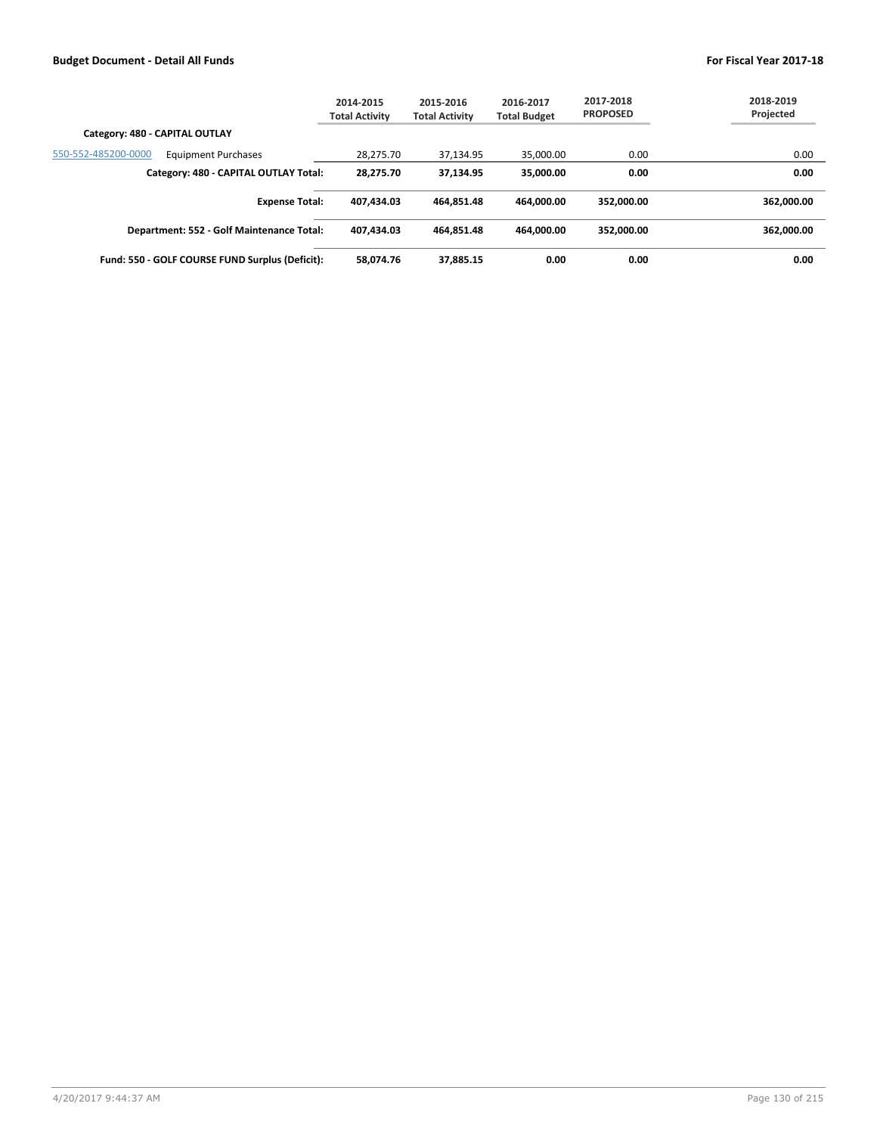|                                                   | 2014-2015<br><b>Total Activity</b> | 2015-2016<br><b>Total Activity</b> | 2016-2017<br><b>Total Budget</b> | 2017-2018<br><b>PROPOSED</b> | 2018-2019<br>Projected |
|---------------------------------------------------|------------------------------------|------------------------------------|----------------------------------|------------------------------|------------------------|
| Category: 480 - CAPITAL OUTLAY                    |                                    |                                    |                                  |                              |                        |
| 550-552-485200-0000<br><b>Equipment Purchases</b> | 28,275.70                          | 37,134.95                          | 35,000.00                        | 0.00                         | 0.00                   |
| Category: 480 - CAPITAL OUTLAY Total:             | 28.275.70                          | 37.134.95                          | 35.000.00                        | 0.00                         | 0.00                   |
| <b>Expense Total:</b>                             | 407.434.03                         | 464.851.48                         | 464.000.00                       | 352.000.00                   | 362.000.00             |
| Department: 552 - Golf Maintenance Total:         | 407.434.03                         | 464.851.48                         | 464.000.00                       | 352.000.00                   | 362,000.00             |
| Fund: 550 - GOLF COURSE FUND Surplus (Deficit):   | 58.074.76                          | 37.885.15                          | 0.00                             | 0.00                         | 0.00                   |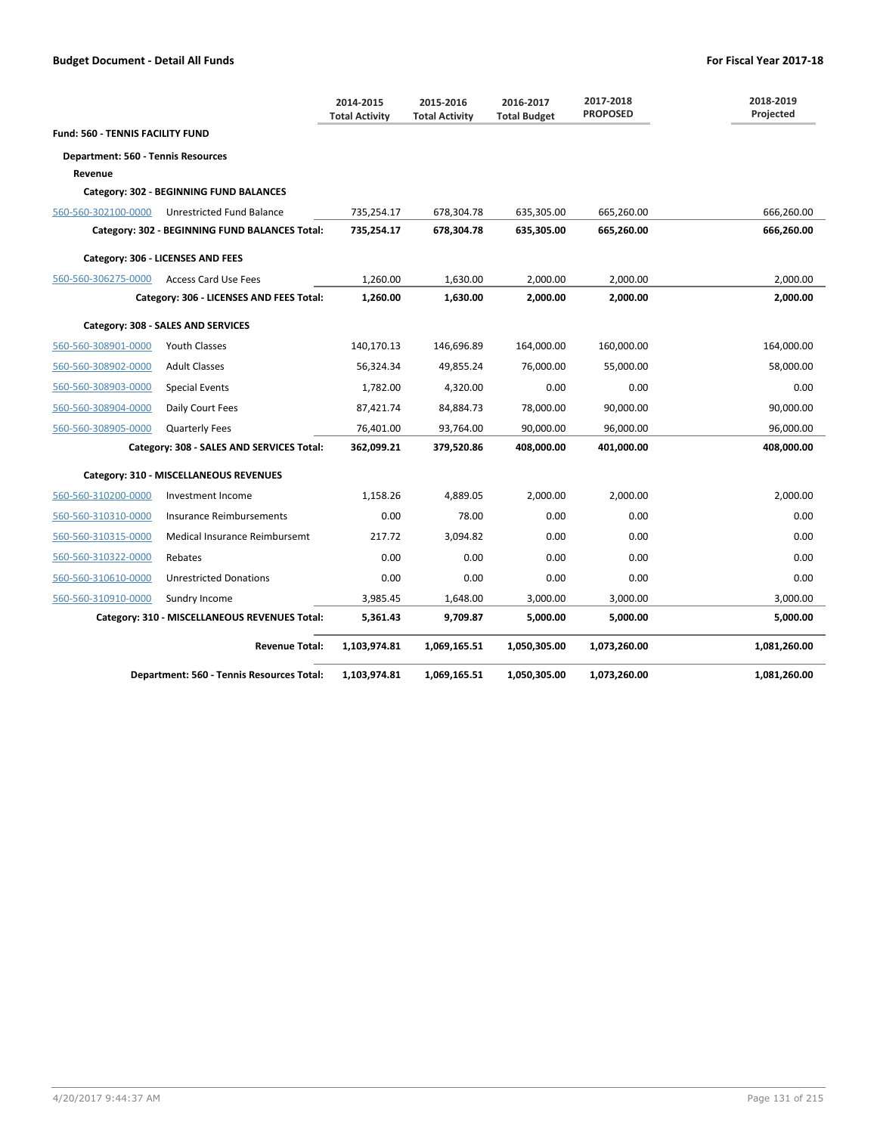|                                           |                                                | 2014-2015<br><b>Total Activity</b> | 2015-2016<br><b>Total Activity</b> | 2016-2017<br><b>Total Budget</b> | 2017-2018<br><b>PROPOSED</b> | 2018-2019<br>Projected |
|-------------------------------------------|------------------------------------------------|------------------------------------|------------------------------------|----------------------------------|------------------------------|------------------------|
| <b>Fund: 560 - TENNIS FACILITY FUND</b>   |                                                |                                    |                                    |                                  |                              |                        |
| <b>Department: 560 - Tennis Resources</b> |                                                |                                    |                                    |                                  |                              |                        |
| Revenue                                   |                                                |                                    |                                    |                                  |                              |                        |
|                                           | Category: 302 - BEGINNING FUND BALANCES        |                                    |                                    |                                  |                              |                        |
| 560-560-302100-0000                       | Unrestricted Fund Balance                      | 735,254.17                         | 678,304.78                         | 635,305.00                       | 665,260.00                   | 666,260.00             |
|                                           | Category: 302 - BEGINNING FUND BALANCES Total: | 735,254.17                         | 678,304.78                         | 635,305.00                       | 665,260.00                   | 666,260.00             |
|                                           | Category: 306 - LICENSES AND FEES              |                                    |                                    |                                  |                              |                        |
| 560-560-306275-0000                       | <b>Access Card Use Fees</b>                    | 1,260.00                           | 1,630.00                           | 2,000.00                         | 2,000.00                     | 2,000.00               |
|                                           | Category: 306 - LICENSES AND FEES Total:       | 1.260.00                           | 1,630.00                           | 2.000.00                         | 2.000.00                     | 2,000.00               |
|                                           | Category: 308 - SALES AND SERVICES             |                                    |                                    |                                  |                              |                        |
| 560-560-308901-0000                       | <b>Youth Classes</b>                           | 140,170.13                         | 146,696.89                         | 164,000.00                       | 160,000.00                   | 164,000.00             |
| 560-560-308902-0000                       | <b>Adult Classes</b>                           | 56,324.34                          | 49,855.24                          | 76,000.00                        | 55,000.00                    | 58,000.00              |
| 560-560-308903-0000                       | <b>Special Events</b>                          | 1,782.00                           | 4,320.00                           | 0.00                             | 0.00                         | 0.00                   |
| 560-560-308904-0000                       | Daily Court Fees                               | 87,421.74                          | 84,884.73                          | 78,000.00                        | 90,000.00                    | 90,000.00              |
| 560-560-308905-0000                       | <b>Quarterly Fees</b>                          | 76,401.00                          | 93,764.00                          | 90,000.00                        | 96,000.00                    | 96,000.00              |
|                                           | Category: 308 - SALES AND SERVICES Total:      | 362,099.21                         | 379,520.86                         | 408,000.00                       | 401,000.00                   | 408,000.00             |
|                                           | Category: 310 - MISCELLANEOUS REVENUES         |                                    |                                    |                                  |                              |                        |
| 560-560-310200-0000                       | Investment Income                              | 1,158.26                           | 4,889.05                           | 2,000.00                         | 2.000.00                     | 2,000.00               |
| 560-560-310310-0000                       | Insurance Reimbursements                       | 0.00                               | 78.00                              | 0.00                             | 0.00                         | 0.00                   |
| 560-560-310315-0000                       | Medical Insurance Reimbursemt                  | 217.72                             | 3,094.82                           | 0.00                             | 0.00                         | 0.00                   |
| 560-560-310322-0000                       | Rebates                                        | 0.00                               | 0.00                               | 0.00                             | 0.00                         | 0.00                   |
| 560-560-310610-0000                       | <b>Unrestricted Donations</b>                  | 0.00                               | 0.00                               | 0.00                             | 0.00                         | 0.00                   |
| 560-560-310910-0000                       | Sundry Income                                  | 3,985.45                           | 1,648.00                           | 3,000.00                         | 3,000.00                     | 3,000.00               |
|                                           | Category: 310 - MISCELLANEOUS REVENUES Total:  | 5,361.43                           | 9,709.87                           | 5,000.00                         | 5,000.00                     | 5,000.00               |
|                                           | <b>Revenue Total:</b>                          | 1,103,974.81                       | 1,069,165.51                       | 1,050,305.00                     | 1,073,260.00                 | 1,081,260.00           |
|                                           | Department: 560 - Tennis Resources Total:      | 1,103,974.81                       | 1,069,165.51                       | 1,050,305.00                     | 1,073,260.00                 | 1,081,260.00           |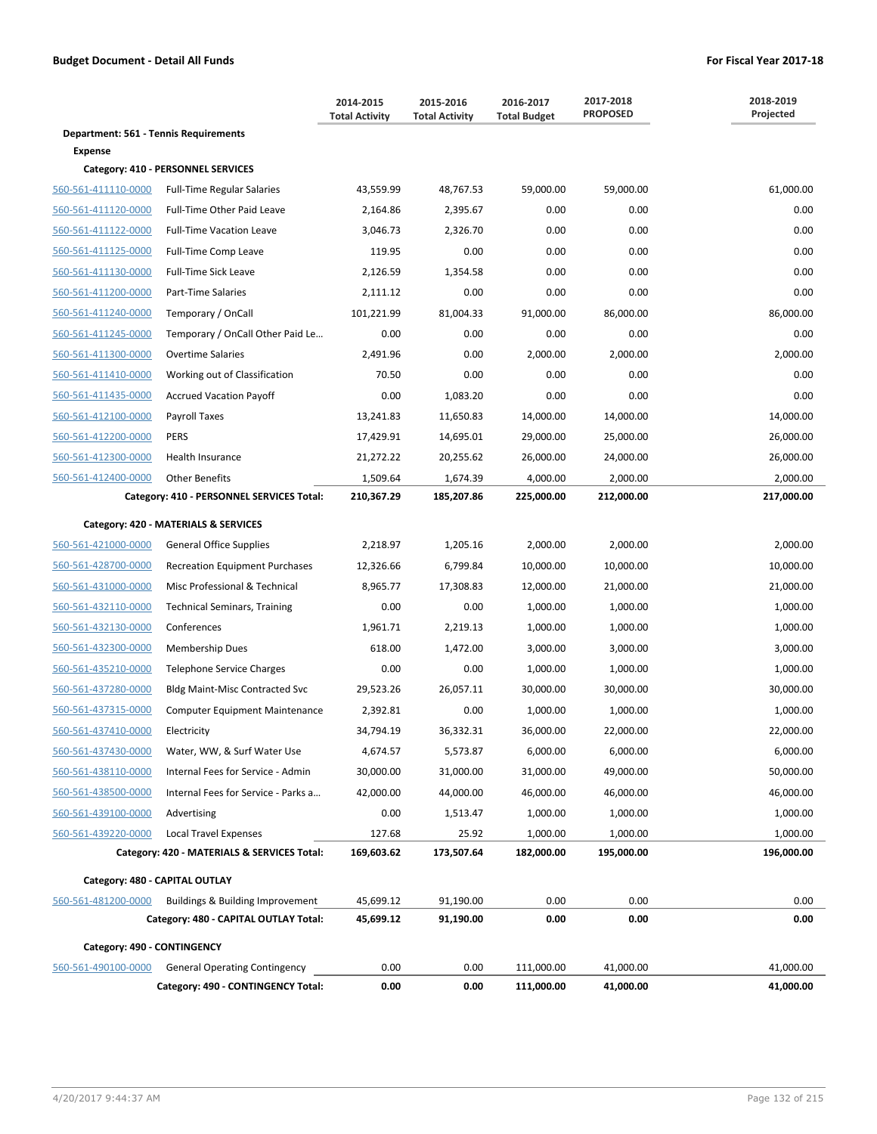|                                       |                                             | 2014-2015<br><b>Total Activity</b> | 2015-2016<br><b>Total Activity</b> | 2016-2017<br><b>Total Budget</b> | 2017-2018<br><b>PROPOSED</b> | 2018-2019<br>Projected |
|---------------------------------------|---------------------------------------------|------------------------------------|------------------------------------|----------------------------------|------------------------------|------------------------|
| Department: 561 - Tennis Requirements |                                             |                                    |                                    |                                  |                              |                        |
| Expense                               |                                             |                                    |                                    |                                  |                              |                        |
|                                       | Category: 410 - PERSONNEL SERVICES          |                                    |                                    |                                  |                              |                        |
| 560-561-411110-0000                   | <b>Full-Time Regular Salaries</b>           | 43,559.99                          | 48,767.53                          | 59,000.00                        | 59,000.00                    | 61,000.00              |
| 560-561-411120-0000                   | Full-Time Other Paid Leave                  | 2,164.86                           | 2,395.67                           | 0.00                             | 0.00                         | 0.00                   |
| 560-561-411122-0000                   | <b>Full-Time Vacation Leave</b>             | 3,046.73                           | 2,326.70                           | 0.00                             | 0.00                         | 0.00                   |
| 560-561-411125-0000                   | Full-Time Comp Leave                        | 119.95                             | 0.00                               | 0.00                             | 0.00                         | 0.00                   |
| 560-561-411130-0000                   | <b>Full-Time Sick Leave</b>                 | 2,126.59                           | 1,354.58                           | 0.00                             | 0.00                         | 0.00                   |
| 560-561-411200-0000                   | Part-Time Salaries                          | 2,111.12                           | 0.00                               | 0.00                             | 0.00                         | 0.00                   |
| 560-561-411240-0000                   | Temporary / OnCall                          | 101,221.99                         | 81,004.33                          | 91,000.00                        | 86,000.00                    | 86,000.00              |
| 560-561-411245-0000                   | Temporary / OnCall Other Paid Le            | 0.00                               | 0.00                               | 0.00                             | 0.00                         | 0.00                   |
| 560-561-411300-0000                   | <b>Overtime Salaries</b>                    | 2,491.96                           | 0.00                               | 2,000.00                         | 2,000.00                     | 2,000.00               |
| 560-561-411410-0000                   | Working out of Classification               | 70.50                              | 0.00                               | 0.00                             | 0.00                         | 0.00                   |
| 560-561-411435-0000                   | <b>Accrued Vacation Payoff</b>              | 0.00                               | 1,083.20                           | 0.00                             | 0.00                         | 0.00                   |
| 560-561-412100-0000                   | <b>Payroll Taxes</b>                        | 13,241.83                          | 11,650.83                          | 14,000.00                        | 14,000.00                    | 14,000.00              |
| 560-561-412200-0000                   | <b>PERS</b>                                 | 17,429.91                          | 14,695.01                          | 29,000.00                        | 25,000.00                    | 26,000.00              |
| 560-561-412300-0000                   | Health Insurance                            | 21,272.22                          | 20,255.62                          | 26,000.00                        | 24,000.00                    | 26,000.00              |
| 560-561-412400-0000                   | <b>Other Benefits</b>                       | 1,509.64                           | 1,674.39                           | 4,000.00                         | 2,000.00                     | 2,000.00               |
|                                       | Category: 410 - PERSONNEL SERVICES Total:   | 210,367.29                         | 185,207.86                         | 225,000.00                       | 212,000.00                   | 217,000.00             |
|                                       | Category: 420 - MATERIALS & SERVICES        |                                    |                                    |                                  |                              |                        |
| 560-561-421000-0000                   | <b>General Office Supplies</b>              | 2,218.97                           | 1,205.16                           | 2,000.00                         | 2,000.00                     | 2,000.00               |
| 560-561-428700-0000                   | <b>Recreation Equipment Purchases</b>       | 12,326.66                          | 6,799.84                           | 10,000.00                        | 10,000.00                    | 10,000.00              |
| 560-561-431000-0000                   | Misc Professional & Technical               | 8,965.77                           | 17,308.83                          | 12,000.00                        | 21,000.00                    | 21,000.00              |
| 560-561-432110-0000                   | <b>Technical Seminars, Training</b>         | 0.00                               | 0.00                               | 1,000.00                         | 1,000.00                     | 1,000.00               |
| 560-561-432130-0000                   | Conferences                                 | 1,961.71                           | 2,219.13                           | 1,000.00                         | 1,000.00                     | 1,000.00               |
| 560-561-432300-0000                   | Membership Dues                             | 618.00                             | 1,472.00                           | 3,000.00                         | 3,000.00                     | 3,000.00               |
| 560-561-435210-0000                   | Telephone Service Charges                   | 0.00                               | 0.00                               | 1,000.00                         | 1,000.00                     | 1,000.00               |
| 560-561-437280-0000                   | <b>Bldg Maint-Misc Contracted Svc</b>       | 29,523.26                          | 26,057.11                          | 30,000.00                        | 30,000.00                    | 30,000.00              |
| 560-561-437315-0000                   | <b>Computer Equipment Maintenance</b>       | 2,392.81                           | 0.00                               | 1,000.00                         | 1,000.00                     | 1,000.00               |
| 560-561-437410-0000                   | Electricity                                 | 34,794.19                          | 36,332.31                          | 36,000.00                        | 22,000.00                    | 22,000.00              |
| 560-561-437430-0000                   | Water, WW, & Surf Water Use                 | 4,674.57                           | 5,573.87                           | 6,000.00                         | 6,000.00                     | 6,000.00               |
| 560-561-438110-0000                   | Internal Fees for Service - Admin           | 30,000.00                          | 31,000.00                          | 31,000.00                        | 49,000.00                    | 50,000.00              |
| 560-561-438500-0000                   | Internal Fees for Service - Parks a         | 42,000.00                          | 44,000.00                          | 46,000.00                        | 46,000.00                    | 46,000.00              |
| 560-561-439100-0000                   | Advertising                                 | 0.00                               | 1,513.47                           | 1,000.00                         | 1,000.00                     | 1,000.00               |
| 560-561-439220-0000                   | <b>Local Travel Expenses</b>                | 127.68                             | 25.92                              | 1,000.00                         | 1,000.00                     | 1,000.00               |
|                                       | Category: 420 - MATERIALS & SERVICES Total: | 169,603.62                         | 173,507.64                         | 182,000.00                       | 195,000.00                   | 196,000.00             |
|                                       | Category: 480 - CAPITAL OUTLAY              |                                    |                                    |                                  |                              |                        |
| 560-561-481200-0000                   | Buildings & Building Improvement            | 45,699.12                          | 91,190.00                          | 0.00                             | 0.00                         | 0.00                   |
|                                       | Category: 480 - CAPITAL OUTLAY Total:       | 45,699.12                          | 91,190.00                          | 0.00                             | 0.00                         | 0.00                   |
| Category: 490 - CONTINGENCY           |                                             |                                    |                                    |                                  |                              |                        |
| 560-561-490100-0000                   | <b>General Operating Contingency</b>        | 0.00                               | 0.00                               | 111,000.00                       | 41,000.00                    | 41,000.00              |
|                                       | Category: 490 - CONTINGENCY Total:          | 0.00                               | 0.00                               | 111,000.00                       | 41,000.00                    | 41,000.00              |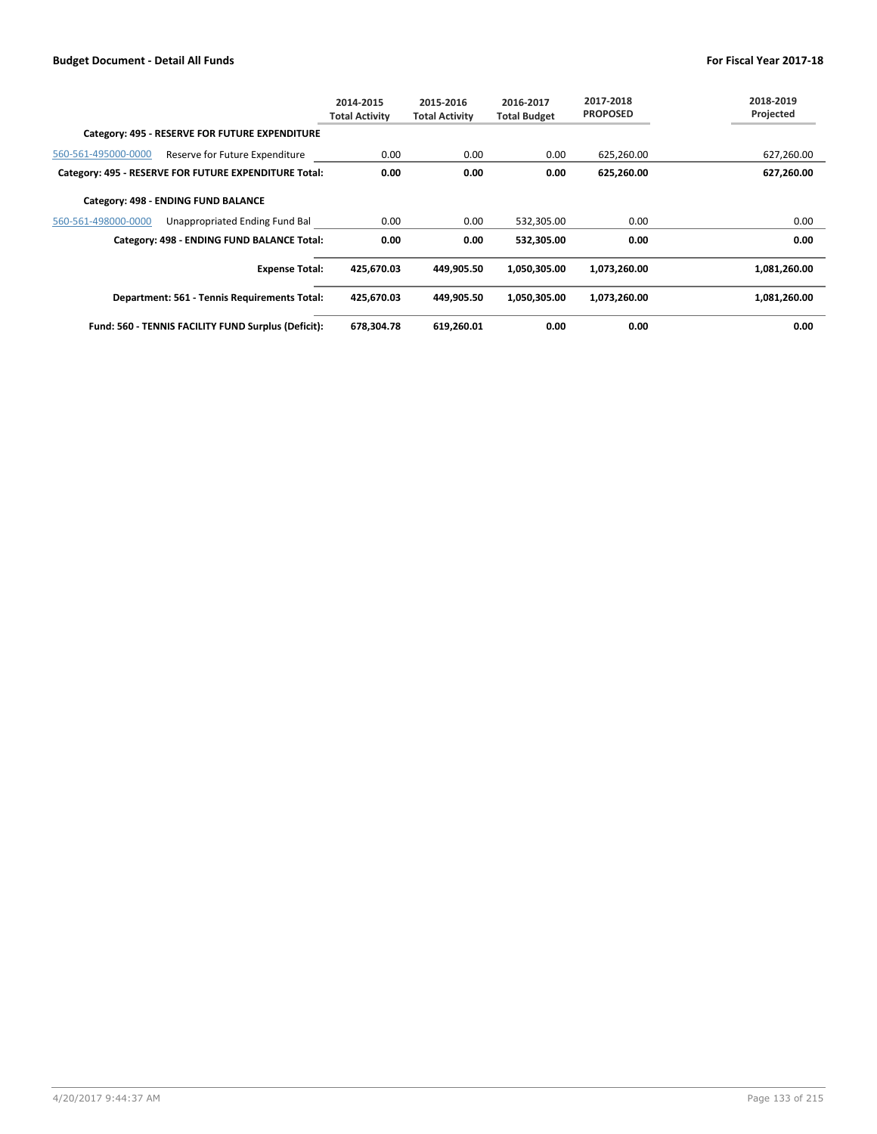|                     |                                                       | 2014-2015<br>Total Activity | 2015-2016<br><b>Total Activity</b> | 2016-2017<br><b>Total Budget</b> | 2017-2018<br><b>PROPOSED</b> | 2018-2019<br>Projected |
|---------------------|-------------------------------------------------------|-----------------------------|------------------------------------|----------------------------------|------------------------------|------------------------|
|                     | Category: 495 - RESERVE FOR FUTURE EXPENDITURE        |                             |                                    |                                  |                              |                        |
| 560-561-495000-0000 | Reserve for Future Expenditure                        | 0.00                        | 0.00                               | 0.00                             | 625,260.00                   | 627,260.00             |
|                     | Category: 495 - RESERVE FOR FUTURE EXPENDITURE Total: | 0.00                        | 0.00                               | 0.00                             | 625,260.00                   | 627,260.00             |
|                     | Category: 498 - ENDING FUND BALANCE                   |                             |                                    |                                  |                              |                        |
| 560-561-498000-0000 | Unappropriated Ending Fund Bal                        | 0.00                        | 0.00                               | 532,305.00                       | 0.00                         | 0.00                   |
|                     | Category: 498 - ENDING FUND BALANCE Total:            | 0.00                        | 0.00                               | 532,305.00                       | 0.00                         | 0.00                   |
|                     | <b>Expense Total:</b>                                 | 425,670.03                  | 449,905.50                         | 1,050,305.00                     | 1,073,260.00                 | 1,081,260.00           |
|                     | Department: 561 - Tennis Requirements Total:          | 425,670.03                  | 449.905.50                         | 1,050,305.00                     | 1,073,260.00                 | 1,081,260.00           |
|                     | Fund: 560 - TENNIS FACILITY FUND Surplus (Deficit):   | 678.304.78                  | 619.260.01                         | 0.00                             | 0.00                         | 0.00                   |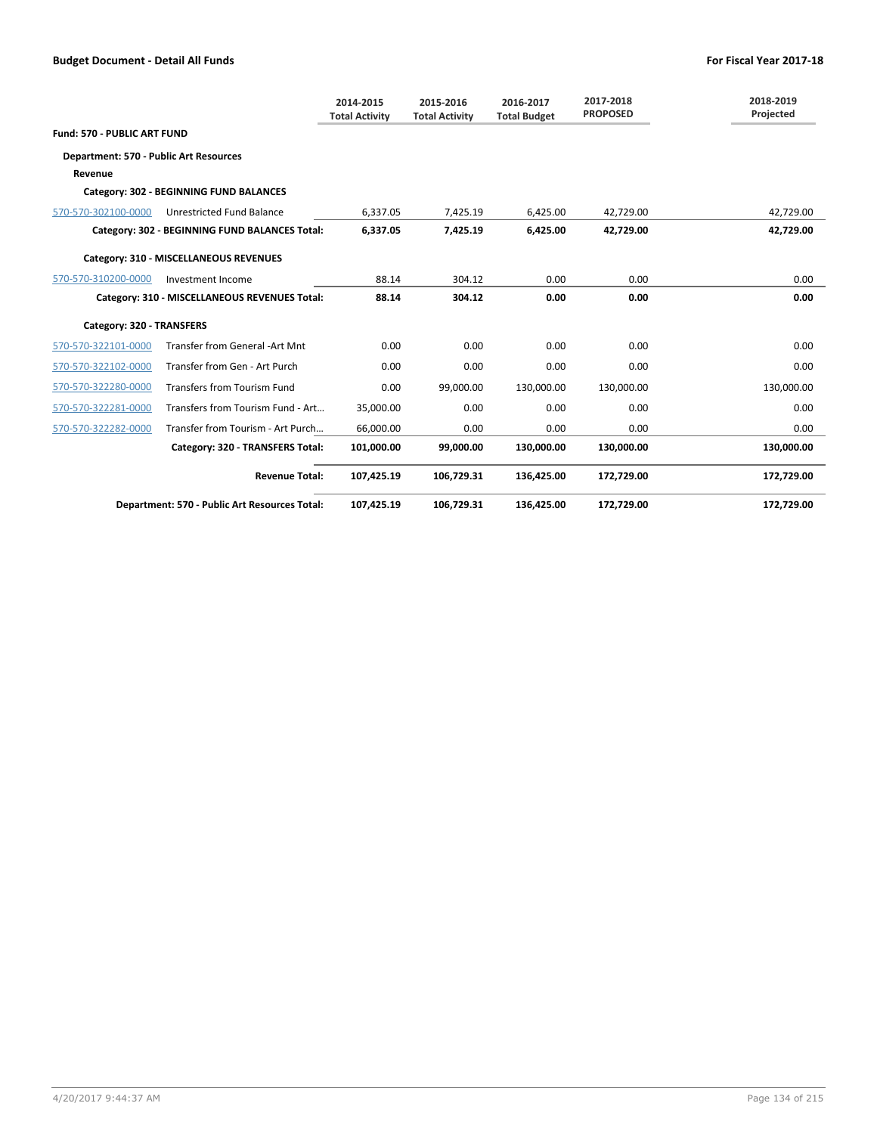|                                               |                                                | 2014-2015<br><b>Total Activity</b> | 2015-2016<br><b>Total Activity</b> | 2016-2017<br><b>Total Budget</b> | 2017-2018<br><b>PROPOSED</b> | 2018-2019<br>Projected |
|-----------------------------------------------|------------------------------------------------|------------------------------------|------------------------------------|----------------------------------|------------------------------|------------------------|
| <b>Fund: 570 - PUBLIC ART FUND</b>            |                                                |                                    |                                    |                                  |                              |                        |
| <b>Department: 570 - Public Art Resources</b> |                                                |                                    |                                    |                                  |                              |                        |
| Revenue                                       |                                                |                                    |                                    |                                  |                              |                        |
|                                               | Category: 302 - BEGINNING FUND BALANCES        |                                    |                                    |                                  |                              |                        |
| 570-570-302100-0000                           | Unrestricted Fund Balance                      | 6,337.05                           | 7,425.19                           | 6,425.00                         | 42,729.00                    | 42,729.00              |
|                                               | Category: 302 - BEGINNING FUND BALANCES Total: | 6.337.05                           | 7.425.19                           | 6.425.00                         | 42.729.00                    | 42,729.00              |
|                                               | Category: 310 - MISCELLANEOUS REVENUES         |                                    |                                    |                                  |                              |                        |
| 570-570-310200-0000                           | Investment Income                              | 88.14                              | 304.12                             | 0.00                             | 0.00                         | 0.00                   |
|                                               | Category: 310 - MISCELLANEOUS REVENUES Total:  | 88.14                              | 304.12                             | 0.00                             | 0.00                         | 0.00                   |
| Category: 320 - TRANSFERS                     |                                                |                                    |                                    |                                  |                              |                        |
| 570-570-322101-0000                           | Transfer from General -Art Mnt                 | 0.00                               | 0.00                               | 0.00                             | 0.00                         | 0.00                   |
| 570-570-322102-0000                           | Transfer from Gen - Art Purch                  | 0.00                               | 0.00                               | 0.00                             | 0.00                         | 0.00                   |
| 570-570-322280-0000                           | <b>Transfers from Tourism Fund</b>             | 0.00                               | 99,000.00                          | 130,000.00                       | 130,000.00                   | 130,000.00             |
| 570-570-322281-0000                           | Transfers from Tourism Fund - Art              | 35,000.00                          | 0.00                               | 0.00                             | 0.00                         | 0.00                   |
| 570-570-322282-0000                           | Transfer from Tourism - Art Purch              | 66,000.00                          | 0.00                               | 0.00                             | 0.00                         | 0.00                   |
|                                               | Category: 320 - TRANSFERS Total:               | 101,000.00                         | 99.000.00                          | 130.000.00                       | 130,000.00                   | 130,000.00             |
|                                               | <b>Revenue Total:</b>                          | 107,425.19                         | 106,729.31                         | 136,425.00                       | 172,729.00                   | 172,729.00             |
|                                               | Department: 570 - Public Art Resources Total:  | 107,425.19                         | 106,729.31                         | 136,425.00                       | 172,729.00                   | 172,729.00             |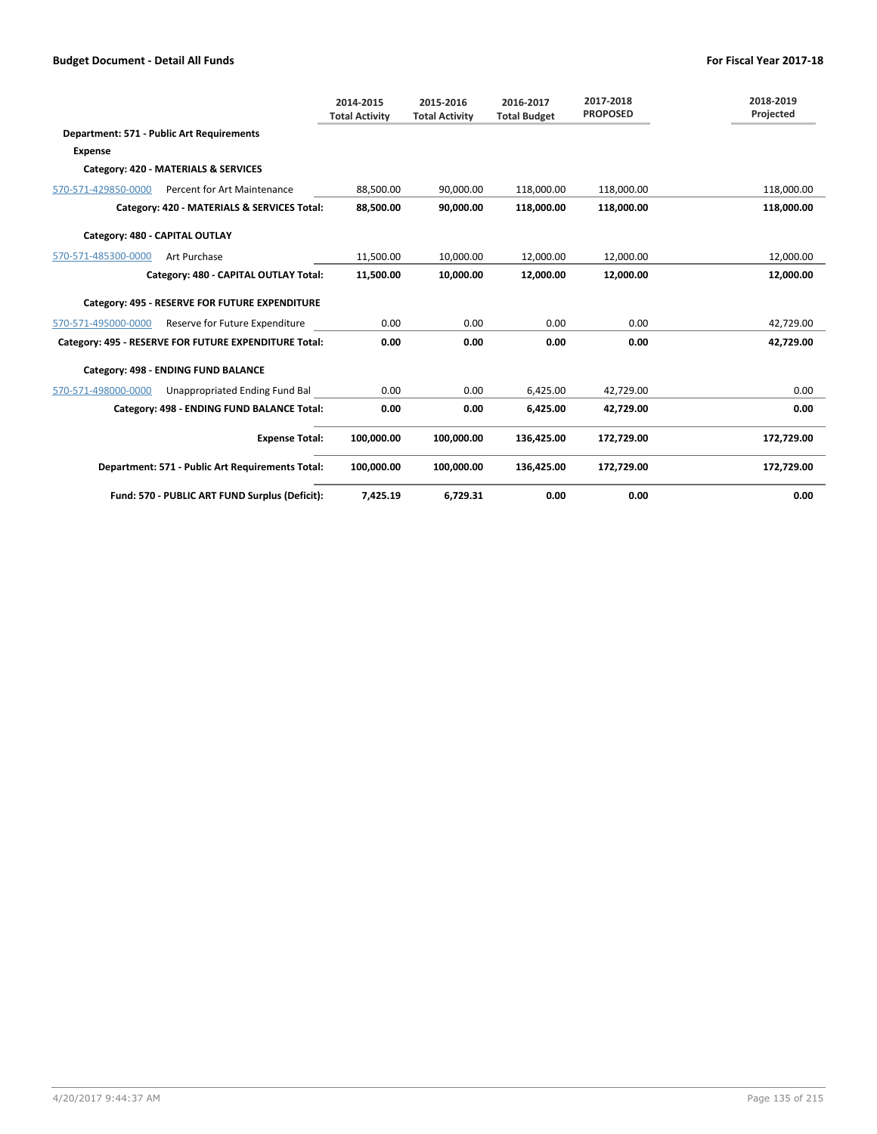|                                |                                                       | 2014-2015<br><b>Total Activity</b> | 2015-2016<br><b>Total Activity</b> | 2016-2017<br><b>Total Budget</b> | 2017-2018<br><b>PROPOSED</b> | 2018-2019<br>Projected |
|--------------------------------|-------------------------------------------------------|------------------------------------|------------------------------------|----------------------------------|------------------------------|------------------------|
|                                | Department: 571 - Public Art Requirements             |                                    |                                    |                                  |                              |                        |
| <b>Expense</b>                 |                                                       |                                    |                                    |                                  |                              |                        |
|                                | Category: 420 - MATERIALS & SERVICES                  |                                    |                                    |                                  |                              |                        |
| 570-571-429850-0000            | Percent for Art Maintenance                           | 88,500.00                          | 90,000.00                          | 118,000.00                       | 118,000.00                   | 118,000.00             |
|                                | Category: 420 - MATERIALS & SERVICES Total:           | 88,500.00                          | 90,000.00                          | 118,000.00                       | 118,000.00                   | 118,000.00             |
| Category: 480 - CAPITAL OUTLAY |                                                       |                                    |                                    |                                  |                              |                        |
| 570-571-485300-0000            | Art Purchase                                          | 11,500.00                          | 10,000.00                          | 12,000.00                        | 12.000.00                    | 12,000.00              |
|                                | Category: 480 - CAPITAL OUTLAY Total:                 | 11,500.00                          | 10,000.00                          | 12,000.00                        | 12,000.00                    | 12,000.00              |
|                                | Category: 495 - RESERVE FOR FUTURE EXPENDITURE        |                                    |                                    |                                  |                              |                        |
| 570-571-495000-0000            | Reserve for Future Expenditure                        | 0.00                               | 0.00                               | 0.00                             | 0.00                         | 42,729.00              |
|                                | Category: 495 - RESERVE FOR FUTURE EXPENDITURE Total: | 0.00                               | 0.00                               | 0.00                             | 0.00                         | 42,729.00              |
|                                | Category: 498 - ENDING FUND BALANCE                   |                                    |                                    |                                  |                              |                        |
| 570-571-498000-0000            | Unappropriated Ending Fund Bal                        | 0.00                               | 0.00                               | 6,425.00                         | 42,729.00                    | 0.00                   |
|                                | Category: 498 - ENDING FUND BALANCE Total:            | 0.00                               | 0.00                               | 6,425.00                         | 42,729.00                    | 0.00                   |
|                                | <b>Expense Total:</b>                                 | 100,000.00                         | 100,000.00                         | 136,425.00                       | 172,729.00                   | 172,729.00             |
|                                | Department: 571 - Public Art Requirements Total:      | 100,000.00                         | 100,000.00                         | 136,425.00                       | 172,729.00                   | 172,729.00             |
|                                | Fund: 570 - PUBLIC ART FUND Surplus (Deficit):        | 7.425.19                           | 6.729.31                           | 0.00                             | 0.00                         | 0.00                   |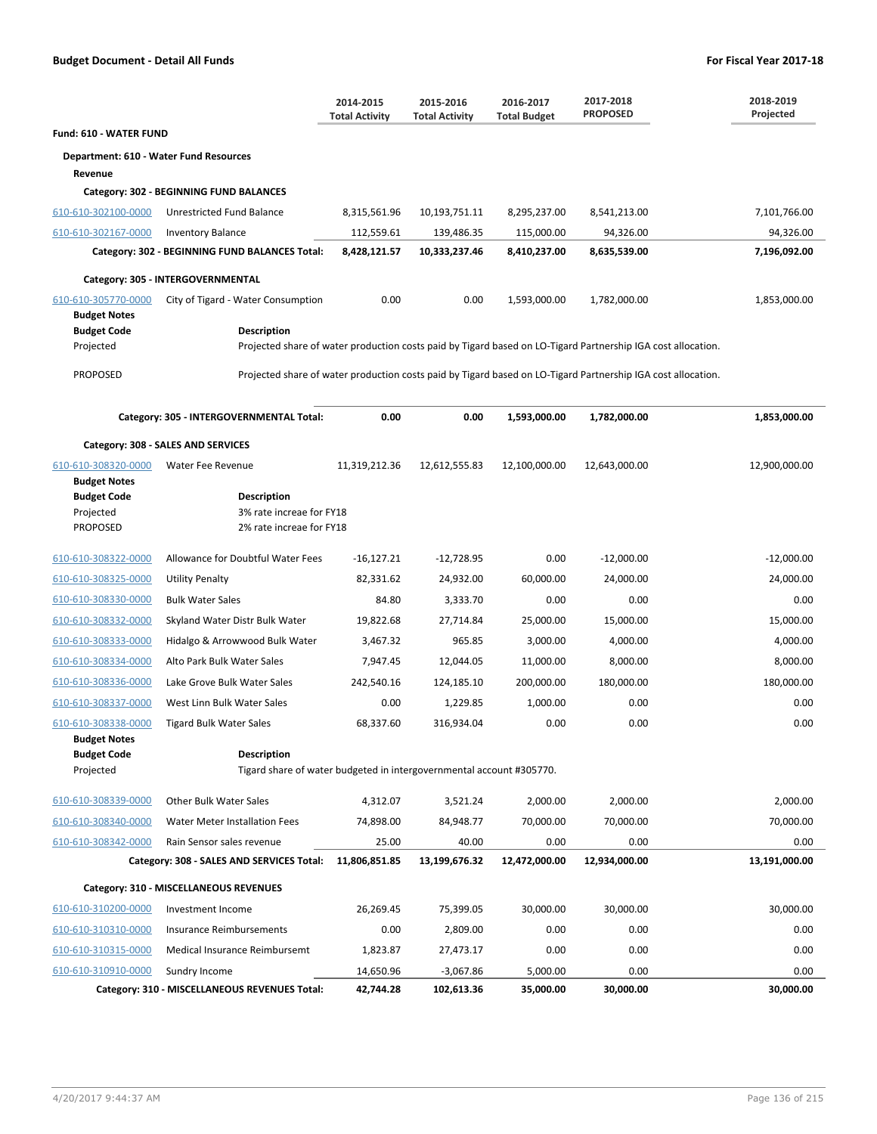|                                            |                                                                                            | 2014-2015<br><b>Total Activity</b> | 2015-2016<br><b>Total Activity</b> | 2016-2017<br><b>Total Budget</b> | 2017-2018<br><b>PROPOSED</b>                                                                                 | 2018-2019<br>Projected |
|--------------------------------------------|--------------------------------------------------------------------------------------------|------------------------------------|------------------------------------|----------------------------------|--------------------------------------------------------------------------------------------------------------|------------------------|
| <b>Fund: 610 - WATER FUND</b>              |                                                                                            |                                    |                                    |                                  |                                                                                                              |                        |
| Department: 610 - Water Fund Resources     |                                                                                            |                                    |                                    |                                  |                                                                                                              |                        |
| Revenue                                    |                                                                                            |                                    |                                    |                                  |                                                                                                              |                        |
|                                            | Category: 302 - BEGINNING FUND BALANCES                                                    |                                    |                                    |                                  |                                                                                                              |                        |
| 610-610-302100-0000                        | Unrestricted Fund Balance                                                                  | 8,315,561.96                       | 10,193,751.11                      | 8,295,237.00                     | 8,541,213.00                                                                                                 | 7,101,766.00           |
| 610-610-302167-0000                        | <b>Inventory Balance</b>                                                                   | 112,559.61                         | 139,486.35                         | 115,000.00                       | 94,326.00                                                                                                    | 94,326.00              |
|                                            | Category: 302 - BEGINNING FUND BALANCES Total:                                             | 8,428,121.57                       | 10,333,237.46                      | 8,410,237.00                     | 8,635,539.00                                                                                                 | 7,196,092.00           |
|                                            | Category: 305 - INTERGOVERNMENTAL                                                          |                                    |                                    |                                  |                                                                                                              |                        |
| 610-610-305770-0000<br><b>Budget Notes</b> | City of Tigard - Water Consumption                                                         | 0.00                               | 0.00                               | 1,593,000.00                     | 1,782,000.00                                                                                                 | 1,853,000.00           |
| <b>Budget Code</b>                         | <b>Description</b>                                                                         |                                    |                                    |                                  |                                                                                                              |                        |
| Projected                                  |                                                                                            |                                    |                                    |                                  | Projected share of water production costs paid by Tigard based on LO-Tigard Partnership IGA cost allocation. |                        |
| <b>PROPOSED</b>                            |                                                                                            |                                    |                                    |                                  | Projected share of water production costs paid by Tigard based on LO-Tigard Partnership IGA cost allocation. |                        |
|                                            | Category: 305 - INTERGOVERNMENTAL Total:                                                   | 0.00                               | 0.00                               | 1,593,000.00                     | 1,782,000.00                                                                                                 | 1,853,000.00           |
|                                            | Category: 308 - SALES AND SERVICES                                                         |                                    |                                    |                                  |                                                                                                              |                        |
| 610-610-308320-0000                        | Water Fee Revenue                                                                          | 11,319,212.36                      | 12,612,555.83                      | 12,100,000.00                    | 12,643,000.00                                                                                                | 12,900,000.00          |
| <b>Budget Notes</b>                        |                                                                                            |                                    |                                    |                                  |                                                                                                              |                        |
| <b>Budget Code</b>                         | <b>Description</b>                                                                         |                                    |                                    |                                  |                                                                                                              |                        |
| Projected<br><b>PROPOSED</b>               | 3% rate increae for FY18<br>2% rate increae for FY18                                       |                                    |                                    |                                  |                                                                                                              |                        |
|                                            |                                                                                            |                                    |                                    |                                  |                                                                                                              |                        |
| 610-610-308322-0000                        | Allowance for Doubtful Water Fees                                                          | $-16,127.21$                       | $-12,728.95$                       | 0.00                             | $-12,000.00$                                                                                                 | $-12,000.00$           |
| 610-610-308325-0000                        | <b>Utility Penalty</b>                                                                     | 82,331.62                          | 24,932.00                          | 60,000.00                        | 24,000.00                                                                                                    | 24,000.00              |
| 610-610-308330-0000                        | <b>Bulk Water Sales</b>                                                                    | 84.80                              | 3,333.70                           | 0.00                             | 0.00                                                                                                         | 0.00                   |
| 610-610-308332-0000                        | Skyland Water Distr Bulk Water                                                             | 19,822.68                          | 27,714.84                          | 25,000.00                        | 15,000.00                                                                                                    | 15,000.00              |
| 610-610-308333-0000                        | Hidalgo & Arrowwood Bulk Water                                                             | 3,467.32                           | 965.85                             | 3,000.00                         | 4,000.00                                                                                                     | 4,000.00               |
| 610-610-308334-0000                        | Alto Park Bulk Water Sales                                                                 | 7,947.45                           | 12,044.05                          | 11,000.00                        | 8,000.00                                                                                                     | 8,000.00               |
| 610-610-308336-0000                        | Lake Grove Bulk Water Sales                                                                | 242,540.16                         | 124,185.10                         | 200,000.00                       | 180,000.00                                                                                                   | 180,000.00             |
| 610-610-308337-0000                        | West Linn Bulk Water Sales                                                                 | 0.00                               | 1,229.85                           | 1,000.00                         | 0.00                                                                                                         | 0.00                   |
| 610-610-308338-0000                        | <b>Tigard Bulk Water Sales</b>                                                             | 68,337.60                          | 316,934.04                         | 0.00                             | 0.00                                                                                                         | 0.00                   |
| <b>Budget Notes</b>                        |                                                                                            |                                    |                                    |                                  |                                                                                                              |                        |
| <b>Budget Code</b><br>Projected            | <b>Description</b><br>Tigard share of water budgeted in intergovernmental account #305770. |                                    |                                    |                                  |                                                                                                              |                        |
|                                            |                                                                                            |                                    |                                    |                                  |                                                                                                              |                        |
| 610-610-308339-0000                        | <b>Other Bulk Water Sales</b>                                                              | 4,312.07                           | 3,521.24                           | 2,000.00                         | 2,000.00                                                                                                     | 2,000.00               |
| 610-610-308340-0000                        | <b>Water Meter Installation Fees</b>                                                       | 74,898.00                          | 84,948.77                          | 70,000.00                        | 70,000.00                                                                                                    | 70,000.00              |
| 610-610-308342-0000                        | Rain Sensor sales revenue                                                                  | 25.00                              | 40.00                              | 0.00                             | 0.00                                                                                                         | 0.00                   |
|                                            | Category: 308 - SALES AND SERVICES Total:                                                  | 11,806,851.85                      | 13,199,676.32                      | 12,472,000.00                    | 12,934,000.00                                                                                                | 13,191,000.00          |
|                                            | Category: 310 - MISCELLANEOUS REVENUES                                                     |                                    |                                    |                                  |                                                                                                              |                        |
| 610-610-310200-0000                        | Investment Income                                                                          | 26,269.45                          | 75,399.05                          | 30,000.00                        | 30,000.00                                                                                                    | 30,000.00              |
| 610-610-310310-0000                        | Insurance Reimbursements                                                                   | 0.00                               | 2,809.00                           | 0.00                             | 0.00                                                                                                         | 0.00                   |
| 610-610-310315-0000                        | Medical Insurance Reimbursemt                                                              | 1,823.87                           | 27,473.17                          | 0.00                             | 0.00                                                                                                         | 0.00                   |
| 610-610-310910-0000                        | Sundry Income                                                                              | 14,650.96                          | $-3,067.86$                        | 5,000.00                         | 0.00                                                                                                         | 0.00                   |
|                                            | Category: 310 - MISCELLANEOUS REVENUES Total:                                              | 42,744.28                          | 102,613.36                         | 35,000.00                        | 30,000.00                                                                                                    | 30,000.00              |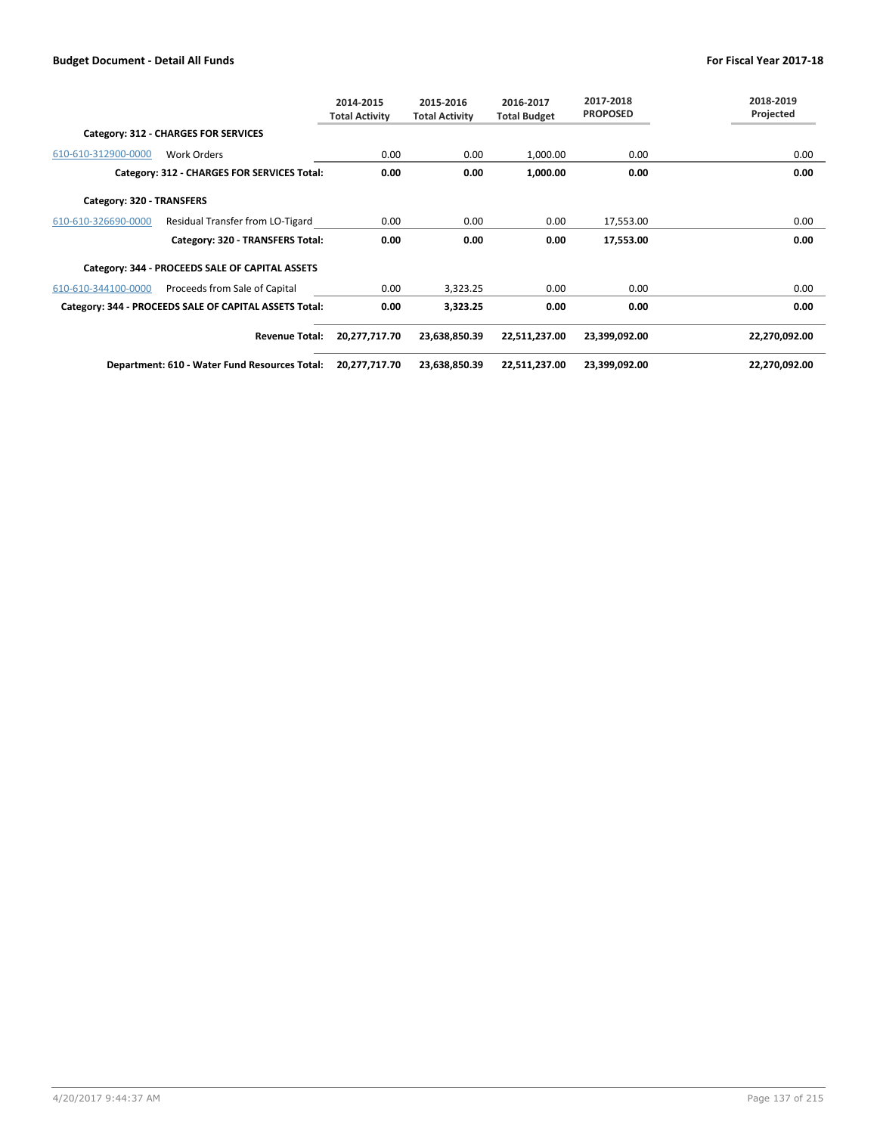|                           |                                                        | 2014-2015<br><b>Total Activity</b> | 2015-2016<br><b>Total Activity</b> | 2016-2017<br><b>Total Budget</b> | 2017-2018<br><b>PROPOSED</b> | 2018-2019<br>Projected |
|---------------------------|--------------------------------------------------------|------------------------------------|------------------------------------|----------------------------------|------------------------------|------------------------|
|                           | Category: 312 - CHARGES FOR SERVICES                   |                                    |                                    |                                  |                              |                        |
| 610-610-312900-0000       | <b>Work Orders</b>                                     | 0.00                               | 0.00                               | 1,000.00                         | 0.00                         | 0.00                   |
|                           | Category: 312 - CHARGES FOR SERVICES Total:            | 0.00                               | 0.00                               | 1,000.00                         | 0.00                         | 0.00                   |
| Category: 320 - TRANSFERS |                                                        |                                    |                                    |                                  |                              |                        |
| 610-610-326690-0000       | Residual Transfer from LO-Tigard                       | 0.00                               | 0.00                               | 0.00                             | 17,553.00                    | 0.00                   |
|                           | Category: 320 - TRANSFERS Total:                       | 0.00                               | 0.00                               | 0.00                             | 17,553.00                    | 0.00                   |
|                           | Category: 344 - PROCEEDS SALE OF CAPITAL ASSETS        |                                    |                                    |                                  |                              |                        |
| 610-610-344100-0000       | Proceeds from Sale of Capital                          | 0.00                               | 3,323.25                           | 0.00                             | 0.00                         | 0.00                   |
|                           | Category: 344 - PROCEEDS SALE OF CAPITAL ASSETS Total: | 0.00                               | 3,323.25                           | 0.00                             | 0.00                         | 0.00                   |
|                           | <b>Revenue Total:</b>                                  | 20,277,717.70                      | 23,638,850.39                      | 22,511,237.00                    | 23,399,092.00                | 22,270,092.00          |
|                           | Department: 610 - Water Fund Resources Total:          | 20,277,717.70                      | 23,638,850.39                      | 22,511,237.00                    | 23,399,092.00                | 22,270,092.00          |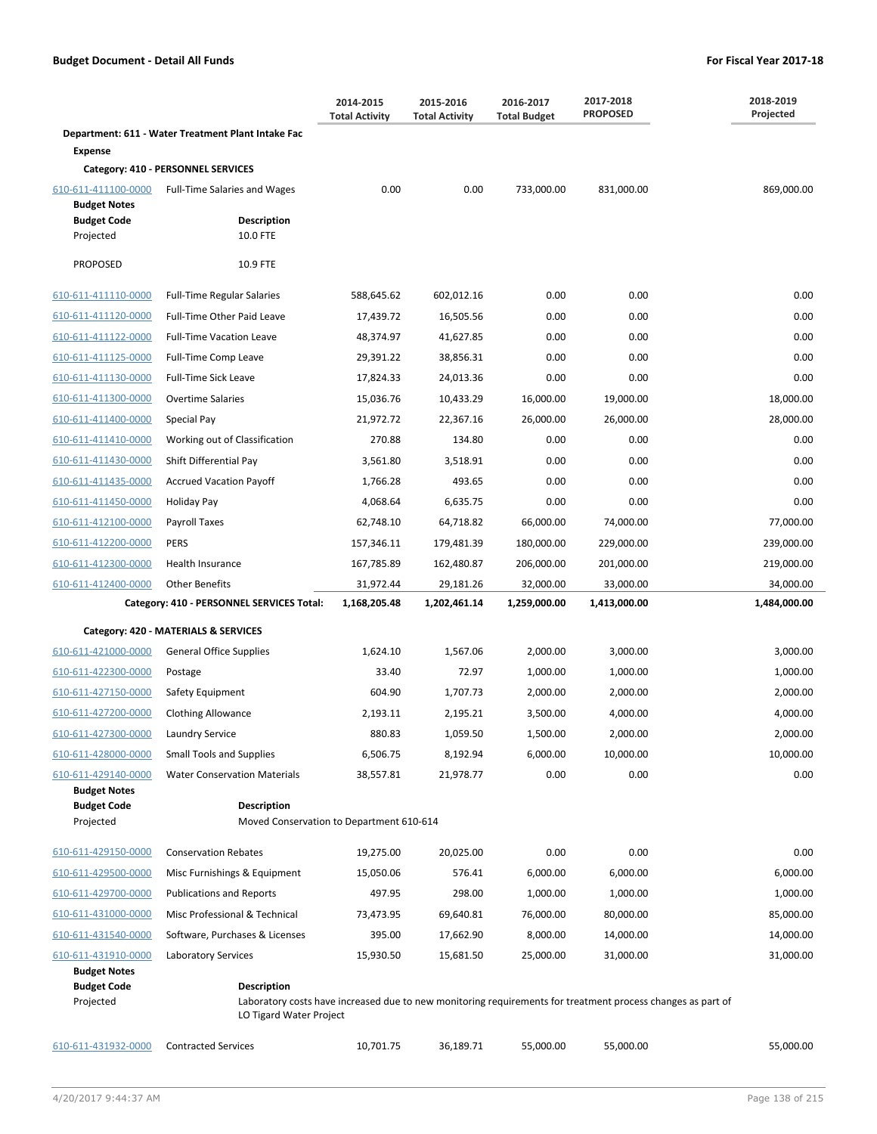|                                            |                                                                                                                                                       | 2014-2015<br><b>Total Activity</b> | 2015-2016<br><b>Total Activity</b> | 2016-2017<br><b>Total Budget</b> | 2017-2018<br><b>PROPOSED</b> | 2018-2019<br>Projected |
|--------------------------------------------|-------------------------------------------------------------------------------------------------------------------------------------------------------|------------------------------------|------------------------------------|----------------------------------|------------------------------|------------------------|
|                                            | Department: 611 - Water Treatment Plant Intake Fac                                                                                                    |                                    |                                    |                                  |                              |                        |
| <b>Expense</b>                             |                                                                                                                                                       |                                    |                                    |                                  |                              |                        |
|                                            | Category: 410 - PERSONNEL SERVICES                                                                                                                    |                                    |                                    |                                  |                              |                        |
| 610-611-411100-0000<br><b>Budget Notes</b> | Full-Time Salaries and Wages                                                                                                                          | 0.00                               | 0.00                               | 733,000.00                       | 831,000.00                   | 869,000.00             |
| <b>Budget Code</b>                         | <b>Description</b>                                                                                                                                    |                                    |                                    |                                  |                              |                        |
| Projected                                  | 10.0 FTE                                                                                                                                              |                                    |                                    |                                  |                              |                        |
| <b>PROPOSED</b>                            | 10.9 FTE                                                                                                                                              |                                    |                                    |                                  |                              |                        |
| 610-611-411110-0000                        | <b>Full-Time Regular Salaries</b>                                                                                                                     | 588,645.62                         | 602,012.16                         | 0.00                             | 0.00                         | 0.00                   |
| 610-611-411120-0000                        | Full-Time Other Paid Leave                                                                                                                            | 17,439.72                          | 16,505.56                          | 0.00                             | 0.00                         | 0.00                   |
| 610-611-411122-0000                        | <b>Full-Time Vacation Leave</b>                                                                                                                       | 48,374.97                          | 41,627.85                          | 0.00                             | 0.00                         | 0.00                   |
| 610-611-411125-0000                        | Full-Time Comp Leave                                                                                                                                  | 29,391.22                          | 38,856.31                          | 0.00                             | 0.00                         | 0.00                   |
| 610-611-411130-0000                        | <b>Full-Time Sick Leave</b>                                                                                                                           | 17,824.33                          | 24,013.36                          | 0.00                             | 0.00                         | 0.00                   |
| 610-611-411300-0000                        | <b>Overtime Salaries</b>                                                                                                                              | 15,036.76                          | 10,433.29                          | 16,000.00                        | 19,000.00                    | 18,000.00              |
| 610-611-411400-0000                        | Special Pay                                                                                                                                           | 21,972.72                          | 22,367.16                          | 26,000.00                        | 26,000.00                    | 28,000.00              |
| 610-611-411410-0000                        | Working out of Classification                                                                                                                         | 270.88                             | 134.80                             | 0.00                             | 0.00                         | 0.00                   |
| 610-611-411430-0000                        | Shift Differential Pay                                                                                                                                | 3,561.80                           | 3,518.91                           | 0.00                             | 0.00                         | 0.00                   |
| 610-611-411435-0000                        | <b>Accrued Vacation Payoff</b>                                                                                                                        | 1,766.28                           | 493.65                             | 0.00                             | 0.00                         | 0.00                   |
| 610-611-411450-0000                        | Holiday Pay                                                                                                                                           | 4,068.64                           | 6,635.75                           | 0.00                             | 0.00                         | 0.00                   |
| 610-611-412100-0000                        | Payroll Taxes                                                                                                                                         | 62,748.10                          | 64,718.82                          | 66,000.00                        | 74,000.00                    | 77,000.00              |
| 610-611-412200-0000                        | <b>PERS</b>                                                                                                                                           | 157,346.11                         | 179,481.39                         | 180,000.00                       | 229,000.00                   | 239,000.00             |
| 610-611-412300-0000                        | Health Insurance                                                                                                                                      | 167,785.89                         | 162,480.87                         | 206,000.00                       | 201,000.00                   | 219,000.00             |
| 610-611-412400-0000                        | <b>Other Benefits</b>                                                                                                                                 | 31,972.44                          | 29,181.26                          | 32,000.00                        | 33,000.00                    | 34,000.00              |
|                                            | Category: 410 - PERSONNEL SERVICES Total:                                                                                                             | 1,168,205.48                       | 1,202,461.14                       | 1,259,000.00                     | 1,413,000.00                 | 1,484,000.00           |
|                                            | Category: 420 - MATERIALS & SERVICES                                                                                                                  |                                    |                                    |                                  |                              |                        |
| 610-611-421000-0000                        | <b>General Office Supplies</b>                                                                                                                        | 1,624.10                           | 1,567.06                           | 2,000.00                         | 3,000.00                     | 3,000.00               |
| 610-611-422300-0000                        | Postage                                                                                                                                               | 33.40                              | 72.97                              | 1,000.00                         | 1,000.00                     | 1,000.00               |
| 610-611-427150-0000                        | Safety Equipment                                                                                                                                      | 604.90                             | 1,707.73                           | 2,000.00                         | 2,000.00                     | 2,000.00               |
| 610-611-427200-0000                        | <b>Clothing Allowance</b>                                                                                                                             | 2,193.11                           | 2,195.21                           | 3,500.00                         | 4,000.00                     | 4,000.00               |
| 610-611-427300-0000                        | Laundry Service                                                                                                                                       | 880.83                             | 1,059.50                           | 1,500.00                         | 2,000.00                     | 2,000.00               |
| 610-611-428000-0000                        | <b>Small Tools and Supplies</b>                                                                                                                       | 6,506.75                           | 8,192.94                           | 6,000.00                         | 10,000.00                    | 10,000.00              |
| 610-611-429140-0000                        | <b>Water Conservation Materials</b>                                                                                                                   | 38,557.81                          | 21,978.77                          | 0.00                             | 0.00                         | 0.00                   |
| <b>Budget Notes</b>                        |                                                                                                                                                       |                                    |                                    |                                  |                              |                        |
| <b>Budget Code</b><br>Projected            | <b>Description</b><br>Moved Conservation to Department 610-614                                                                                        |                                    |                                    |                                  |                              |                        |
| 610-611-429150-0000                        | <b>Conservation Rebates</b>                                                                                                                           | 19,275.00                          | 20,025.00                          | 0.00                             | 0.00                         | 0.00                   |
| 610-611-429500-0000                        | Misc Furnishings & Equipment                                                                                                                          | 15,050.06                          | 576.41                             | 6,000.00                         | 6,000.00                     | 6,000.00               |
| 610-611-429700-0000                        | <b>Publications and Reports</b>                                                                                                                       | 497.95                             | 298.00                             | 1,000.00                         | 1,000.00                     | 1,000.00               |
| 610-611-431000-0000                        | Misc Professional & Technical                                                                                                                         | 73,473.95                          | 69,640.81                          | 76,000.00                        | 80,000.00                    | 85,000.00              |
| 610-611-431540-0000                        | Software, Purchases & Licenses                                                                                                                        | 395.00                             | 17,662.90                          | 8,000.00                         | 14,000.00                    | 14,000.00              |
| 610-611-431910-0000                        | Laboratory Services                                                                                                                                   | 15,930.50                          | 15,681.50                          | 25,000.00                        | 31,000.00                    | 31,000.00              |
| <b>Budget Notes</b>                        |                                                                                                                                                       |                                    |                                    |                                  |                              |                        |
| <b>Budget Code</b><br>Projected            | Description<br>Laboratory costs have increased due to new monitoring requirements for treatment process changes as part of<br>LO Tigard Water Project |                                    |                                    |                                  |                              |                        |
| 610-611-431932-0000                        | <b>Contracted Services</b>                                                                                                                            | 10,701.75                          | 36,189.71                          | 55,000.00                        | 55,000.00                    | 55,000.00              |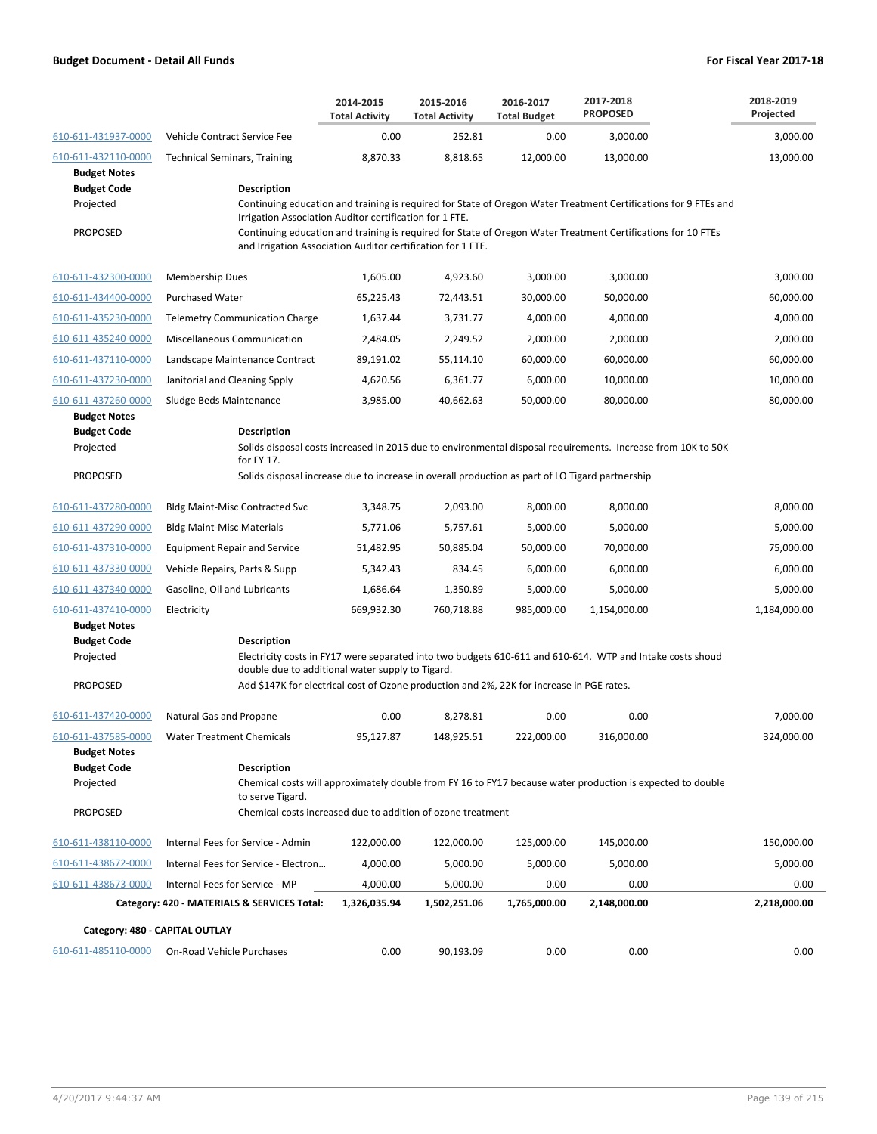|                                                                           |                                                                                                                                                                                                                                                                                                           | 2014-2015<br><b>Total Activity</b> | 2015-2016<br><b>Total Activity</b> | 2016-2017<br><b>Total Budget</b> | 2017-2018<br><b>PROPOSED</b> | 2018-2019<br>Projected |  |  |
|---------------------------------------------------------------------------|-----------------------------------------------------------------------------------------------------------------------------------------------------------------------------------------------------------------------------------------------------------------------------------------------------------|------------------------------------|------------------------------------|----------------------------------|------------------------------|------------------------|--|--|
| 610-611-431937-0000                                                       | Vehicle Contract Service Fee                                                                                                                                                                                                                                                                              | 0.00                               | 252.81                             | 0.00                             | 3,000.00                     | 3,000.00               |  |  |
| 610-611-432110-0000                                                       | <b>Technical Seminars, Training</b>                                                                                                                                                                                                                                                                       | 8,870.33                           | 8,818.65                           | 12,000.00                        | 13,000.00                    | 13,000.00              |  |  |
| <b>Budget Notes</b><br><b>Budget Code</b><br>Projected<br><b>PROPOSED</b> | Description<br>Continuing education and training is required for State of Oregon Water Treatment Certifications for 9 FTEs and<br>Irrigation Association Auditor certification for 1 FTE.<br>Continuing education and training is required for State of Oregon Water Treatment Certifications for 10 FTEs |                                    |                                    |                                  |                              |                        |  |  |
|                                                                           | and Irrigation Association Auditor certification for 1 FTE.                                                                                                                                                                                                                                               |                                    |                                    |                                  |                              |                        |  |  |
| 610-611-432300-0000                                                       | <b>Membership Dues</b>                                                                                                                                                                                                                                                                                    | 1,605.00                           | 4,923.60                           | 3,000.00                         | 3,000.00                     | 3,000.00               |  |  |
| 610-611-434400-0000                                                       | <b>Purchased Water</b>                                                                                                                                                                                                                                                                                    | 65,225.43                          | 72,443.51                          | 30,000.00                        | 50,000.00                    | 60,000.00              |  |  |
| 610-611-435230-0000                                                       | <b>Telemetry Communication Charge</b>                                                                                                                                                                                                                                                                     | 1,637.44                           | 3,731.77                           | 4,000.00                         | 4,000.00                     | 4,000.00               |  |  |
| 610-611-435240-0000                                                       | Miscellaneous Communication                                                                                                                                                                                                                                                                               | 2,484.05                           | 2,249.52                           | 2,000.00                         | 2,000.00                     | 2,000.00               |  |  |
| 610-611-437110-0000                                                       | Landscape Maintenance Contract                                                                                                                                                                                                                                                                            | 89,191.02                          | 55,114.10                          | 60,000.00                        | 60,000.00                    | 60,000.00              |  |  |
| 610-611-437230-0000                                                       | Janitorial and Cleaning Spply                                                                                                                                                                                                                                                                             | 4,620.56                           | 6,361.77                           | 6,000.00                         | 10,000.00                    | 10,000.00              |  |  |
| 610-611-437260-0000                                                       | Sludge Beds Maintenance                                                                                                                                                                                                                                                                                   | 3,985.00                           | 40,662.63                          | 50,000.00                        | 80,000.00                    | 80,000.00              |  |  |
| <b>Budget Notes</b><br><b>Budget Code</b><br>Projected                    | <b>Description</b><br>Solids disposal costs increased in 2015 due to environmental disposal requirements. Increase from 10K to 50K<br>for FY 17.                                                                                                                                                          |                                    |                                    |                                  |                              |                        |  |  |
| <b>PROPOSED</b>                                                           | Solids disposal increase due to increase in overall production as part of LO Tigard partnership                                                                                                                                                                                                           |                                    |                                    |                                  |                              |                        |  |  |
| 610-611-437280-0000                                                       | Bldg Maint-Misc Contracted Svc                                                                                                                                                                                                                                                                            | 3,348.75                           | 2,093.00                           | 8,000.00                         | 8,000.00                     | 8,000.00               |  |  |
| 610-611-437290-0000                                                       | <b>Bldg Maint-Misc Materials</b>                                                                                                                                                                                                                                                                          | 5,771.06                           | 5,757.61                           | 5,000.00                         | 5,000.00                     | 5,000.00               |  |  |
| 610-611-437310-0000                                                       | <b>Equipment Repair and Service</b>                                                                                                                                                                                                                                                                       | 51,482.95                          | 50,885.04                          | 50,000.00                        | 70,000.00                    | 75,000.00              |  |  |
| 610-611-437330-0000                                                       | Vehicle Repairs, Parts & Supp                                                                                                                                                                                                                                                                             | 5,342.43                           | 834.45                             | 6,000.00                         | 6,000.00                     | 6,000.00               |  |  |
| 610-611-437340-0000                                                       | Gasoline, Oil and Lubricants                                                                                                                                                                                                                                                                              | 1,686.64                           | 1,350.89                           | 5,000.00                         | 5,000.00                     | 5,000.00               |  |  |
| 610-611-437410-0000                                                       | Electricity                                                                                                                                                                                                                                                                                               | 669,932.30                         | 760,718.88                         | 985,000.00                       | 1,154,000.00                 | 1,184,000.00           |  |  |
| <b>Budget Notes</b>                                                       |                                                                                                                                                                                                                                                                                                           |                                    |                                    |                                  |                              |                        |  |  |
| <b>Budget Code</b>                                                        | Description                                                                                                                                                                                                                                                                                               |                                    |                                    |                                  |                              |                        |  |  |
| Projected                                                                 | Electricity costs in FY17 were separated into two budgets 610-611 and 610-614. WTP and Intake costs shoud<br>double due to additional water supply to Tigard.                                                                                                                                             |                                    |                                    |                                  |                              |                        |  |  |
| <b>PROPOSED</b>                                                           | Add \$147K for electrical cost of Ozone production and 2%, 22K for increase in PGE rates.                                                                                                                                                                                                                 |                                    |                                    |                                  |                              |                        |  |  |
| 610-611-437420-0000                                                       | Natural Gas and Propane                                                                                                                                                                                                                                                                                   | 0.00                               | 8,278.81                           | 0.00                             | 0.00                         | 7,000.00               |  |  |
| 610-611-437585-0000                                                       | <b>Water Treatment Chemicals</b>                                                                                                                                                                                                                                                                          | 95,127.87                          | 148,925.51                         | 222,000.00                       | 316,000.00                   | 324,000.00             |  |  |
| <b>Budget Notes</b><br><b>Budget Code</b><br>Projected                    | <b>Description</b><br>Chemical costs will approximately double from FY 16 to FY17 because water production is expected to double<br>to serve Tigard.                                                                                                                                                      |                                    |                                    |                                  |                              |                        |  |  |
| <b>PROPOSED</b>                                                           | Chemical costs increased due to addition of ozone treatment                                                                                                                                                                                                                                               |                                    |                                    |                                  |                              |                        |  |  |
| 610-611-438110-0000                                                       | Internal Fees for Service - Admin                                                                                                                                                                                                                                                                         | 122,000.00                         | 122,000.00                         | 125,000.00                       | 145,000.00                   | 150,000.00             |  |  |
| 610-611-438672-0000                                                       | Internal Fees for Service - Electron                                                                                                                                                                                                                                                                      | 4,000.00                           | 5,000.00                           | 5,000.00                         | 5,000.00                     | 5,000.00               |  |  |
| 610-611-438673-0000                                                       | Internal Fees for Service - MP                                                                                                                                                                                                                                                                            | 4,000.00                           | 5,000.00                           | 0.00                             | 0.00                         | 0.00                   |  |  |
|                                                                           | Category: 420 - MATERIALS & SERVICES Total:                                                                                                                                                                                                                                                               | 1,326,035.94                       | 1,502,251.06                       | 1,765,000.00                     | 2,148,000.00                 | 2,218,000.00           |  |  |
| Category: 480 - CAPITAL OUTLAY                                            |                                                                                                                                                                                                                                                                                                           |                                    |                                    |                                  |                              |                        |  |  |
| 610-611-485110-0000                                                       | On-Road Vehicle Purchases                                                                                                                                                                                                                                                                                 | 0.00                               | 90,193.09                          | 0.00                             | 0.00                         | 0.00                   |  |  |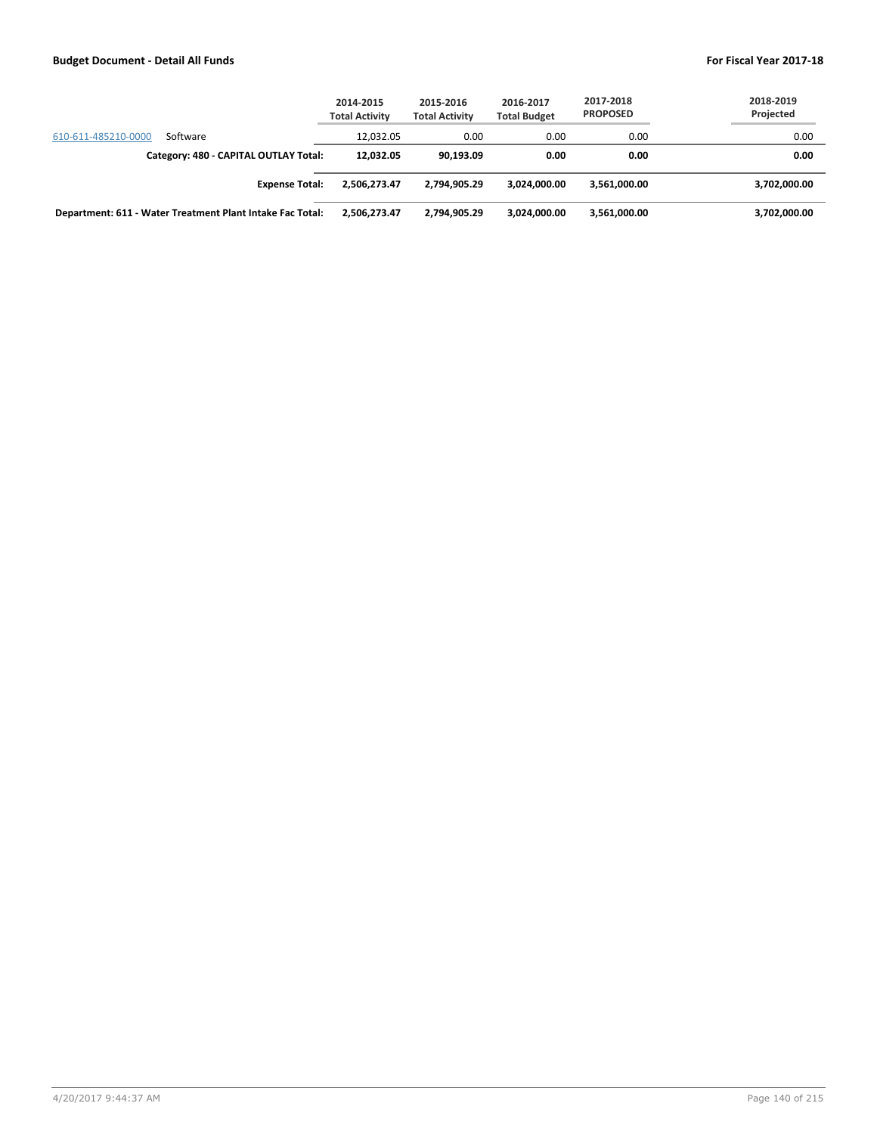|                                                           | 2014-2015<br><b>Total Activity</b> | 2015-2016<br><b>Total Activity</b> | 2016-2017<br><b>Total Budget</b> | 2017-2018<br><b>PROPOSED</b> | 2018-2019<br>Projected |
|-----------------------------------------------------------|------------------------------------|------------------------------------|----------------------------------|------------------------------|------------------------|
| 610-611-485210-0000<br>Software                           | 12.032.05                          | 0.00                               | 0.00                             | 0.00                         | 0.00                   |
| Category: 480 - CAPITAL OUTLAY Total:                     | 12.032.05                          | 90.193.09                          | 0.00                             | 0.00                         | 0.00                   |
| <b>Expense Total:</b>                                     | 2.506.273.47                       | 2,794,905.29                       | 3.024.000.00                     | 3,561,000.00                 | 3,702,000.00           |
| Department: 611 - Water Treatment Plant Intake Fac Total: | 2,506,273.47                       | 2,794,905.29                       | 3.024.000.00                     | 3,561,000.00                 | 3,702,000.00           |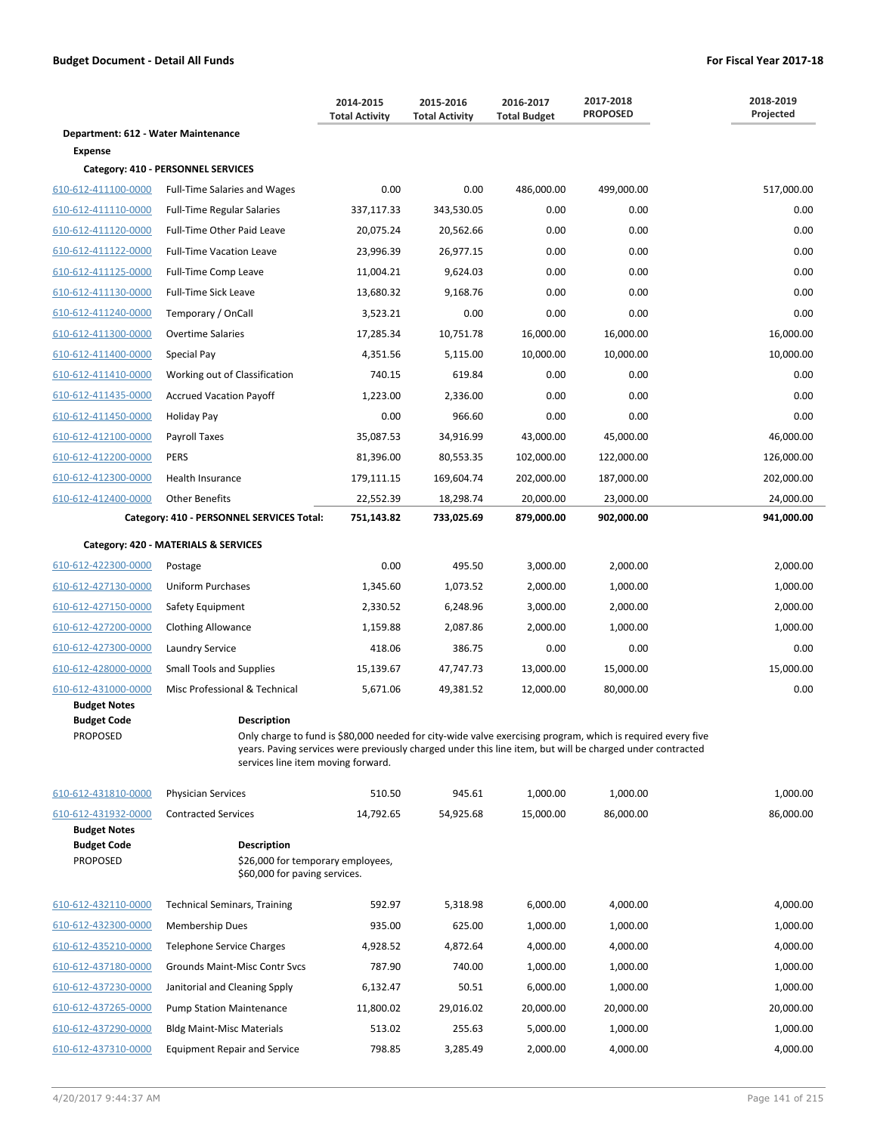|                                                              |                                                                                                                                                                                                                                                                | 2014-2015<br><b>Total Activity</b> | 2015-2016<br><b>Total Activity</b> | 2016-2017<br><b>Total Budget</b> | 2017-2018<br><b>PROPOSED</b> | 2018-2019<br>Projected |
|--------------------------------------------------------------|----------------------------------------------------------------------------------------------------------------------------------------------------------------------------------------------------------------------------------------------------------------|------------------------------------|------------------------------------|----------------------------------|------------------------------|------------------------|
| Department: 612 - Water Maintenance                          |                                                                                                                                                                                                                                                                |                                    |                                    |                                  |                              |                        |
| <b>Expense</b>                                               |                                                                                                                                                                                                                                                                |                                    |                                    |                                  |                              |                        |
|                                                              | Category: 410 - PERSONNEL SERVICES                                                                                                                                                                                                                             |                                    |                                    |                                  |                              |                        |
| 610-612-411100-0000                                          | <b>Full-Time Salaries and Wages</b>                                                                                                                                                                                                                            | 0.00                               | 0.00                               | 486,000.00                       | 499,000.00                   | 517,000.00             |
| 610-612-411110-0000                                          | <b>Full-Time Regular Salaries</b>                                                                                                                                                                                                                              | 337,117.33                         | 343,530.05                         | 0.00                             | 0.00                         | 0.00                   |
| 610-612-411120-0000                                          | Full-Time Other Paid Leave                                                                                                                                                                                                                                     | 20,075.24                          | 20,562.66                          | 0.00                             | 0.00                         | 0.00                   |
| 610-612-411122-0000                                          | <b>Full-Time Vacation Leave</b>                                                                                                                                                                                                                                | 23,996.39                          | 26,977.15                          | 0.00                             | 0.00                         | 0.00                   |
| 610-612-411125-0000                                          | Full-Time Comp Leave                                                                                                                                                                                                                                           | 11,004.21                          | 9,624.03                           | 0.00                             | 0.00                         | 0.00                   |
| 610-612-411130-0000                                          | <b>Full-Time Sick Leave</b>                                                                                                                                                                                                                                    | 13,680.32                          | 9,168.76                           | 0.00                             | 0.00                         | 0.00                   |
| 610-612-411240-0000                                          | Temporary / OnCall                                                                                                                                                                                                                                             | 3,523.21                           | 0.00                               | 0.00                             | 0.00                         | 0.00                   |
| 610-612-411300-0000                                          | <b>Overtime Salaries</b>                                                                                                                                                                                                                                       | 17,285.34                          | 10,751.78                          | 16,000.00                        | 16,000.00                    | 16,000.00              |
| 610-612-411400-0000                                          | Special Pay                                                                                                                                                                                                                                                    | 4,351.56                           | 5,115.00                           | 10,000.00                        | 10,000.00                    | 10,000.00              |
| 610-612-411410-0000                                          | Working out of Classification                                                                                                                                                                                                                                  | 740.15                             | 619.84                             | 0.00                             | 0.00                         | 0.00                   |
| 610-612-411435-0000                                          | <b>Accrued Vacation Payoff</b>                                                                                                                                                                                                                                 | 1,223.00                           | 2,336.00                           | 0.00                             | 0.00                         | 0.00                   |
| 610-612-411450-0000                                          | Holiday Pay                                                                                                                                                                                                                                                    | 0.00                               | 966.60                             | 0.00                             | 0.00                         | 0.00                   |
| 610-612-412100-0000                                          | Payroll Taxes                                                                                                                                                                                                                                                  | 35,087.53                          | 34,916.99                          | 43,000.00                        | 45,000.00                    | 46,000.00              |
| 610-612-412200-0000                                          | <b>PERS</b>                                                                                                                                                                                                                                                    | 81,396.00                          | 80,553.35                          | 102,000.00                       | 122,000.00                   | 126,000.00             |
| 610-612-412300-0000                                          | Health Insurance                                                                                                                                                                                                                                               | 179,111.15                         | 169,604.74                         | 202,000.00                       | 187,000.00                   | 202,000.00             |
| 610-612-412400-0000                                          | <b>Other Benefits</b>                                                                                                                                                                                                                                          | 22,552.39                          | 18,298.74                          | 20,000.00                        | 23,000.00                    | 24,000.00              |
|                                                              | Category: 410 - PERSONNEL SERVICES Total:                                                                                                                                                                                                                      | 751,143.82                         | 733,025.69                         | 879,000.00                       | 902,000.00                   | 941,000.00             |
|                                                              | Category: 420 - MATERIALS & SERVICES                                                                                                                                                                                                                           |                                    |                                    |                                  |                              |                        |
| 610-612-422300-0000                                          | Postage                                                                                                                                                                                                                                                        | 0.00                               | 495.50                             | 3,000.00                         | 2,000.00                     | 2,000.00               |
| 610-612-427130-0000                                          | <b>Uniform Purchases</b>                                                                                                                                                                                                                                       | 1,345.60                           | 1,073.52                           | 2,000.00                         | 1,000.00                     | 1,000.00               |
| 610-612-427150-0000                                          | Safety Equipment                                                                                                                                                                                                                                               | 2,330.52                           | 6,248.96                           | 3,000.00                         | 2,000.00                     | 2,000.00               |
| 610-612-427200-0000                                          | <b>Clothing Allowance</b>                                                                                                                                                                                                                                      | 1,159.88                           | 2,087.86                           | 2,000.00                         | 1,000.00                     | 1,000.00               |
| 610-612-427300-0000                                          | Laundry Service                                                                                                                                                                                                                                                | 418.06                             | 386.75                             | 0.00                             | 0.00                         | 0.00                   |
| 610-612-428000-0000                                          |                                                                                                                                                                                                                                                                | 15,139.67                          |                                    |                                  |                              | 15,000.00              |
| 610-612-431000-0000                                          | <b>Small Tools and Supplies</b>                                                                                                                                                                                                                                |                                    | 47,747.73                          | 13,000.00                        | 15,000.00                    |                        |
| <b>Budget Notes</b>                                          | Misc Professional & Technical                                                                                                                                                                                                                                  | 5,671.06                           | 49,381.52                          | 12,000.00                        | 80,000.00                    | 0.00                   |
| <b>Budget Code</b>                                           | <b>Description</b>                                                                                                                                                                                                                                             |                                    |                                    |                                  |                              |                        |
| PROPOSED                                                     | Only charge to fund is \$80,000 needed for city-wide valve exercising program, which is required every five<br>years. Paving services were previously charged under this line item, but will be charged under contracted<br>services line item moving forward. |                                    |                                    |                                  |                              |                        |
| 610-612-431810-0000                                          | <b>Physician Services</b>                                                                                                                                                                                                                                      | 510.50                             | 945.61                             | 1,000.00                         | 1,000.00                     | 1,000.00               |
| 610-612-431932-0000                                          | <b>Contracted Services</b>                                                                                                                                                                                                                                     | 14,792.65                          | 54,925.68                          | 15,000.00                        | 86,000.00                    | 86,000.00              |
| <b>Budget Notes</b><br><b>Budget Code</b><br><b>PROPOSED</b> | <b>Description</b><br>\$26,000 for temporary employees,<br>\$60,000 for paving services.                                                                                                                                                                       |                                    |                                    |                                  |                              |                        |
| 610-612-432110-0000                                          | <b>Technical Seminars, Training</b>                                                                                                                                                                                                                            | 592.97                             | 5,318.98                           | 6,000.00                         | 4,000.00                     | 4,000.00               |
| 610-612-432300-0000                                          | Membership Dues                                                                                                                                                                                                                                                | 935.00                             | 625.00                             | 1,000.00                         | 1,000.00                     | 1,000.00               |
| 610-612-435210-0000                                          | Telephone Service Charges                                                                                                                                                                                                                                      | 4,928.52                           | 4,872.64                           | 4,000.00                         | 4,000.00                     | 4,000.00               |
| 610-612-437180-0000                                          | Grounds Maint-Misc Contr Svcs                                                                                                                                                                                                                                  | 787.90                             | 740.00                             | 1,000.00                         | 1,000.00                     | 1,000.00               |
| 610-612-437230-0000                                          | Janitorial and Cleaning Spply                                                                                                                                                                                                                                  | 6,132.47                           | 50.51                              | 6,000.00                         | 1,000.00                     | 1,000.00               |
| 610-612-437265-0000                                          | <b>Pump Station Maintenance</b>                                                                                                                                                                                                                                | 11,800.02                          | 29,016.02                          | 20,000.00                        | 20,000.00                    | 20,000.00              |
| 610-612-437290-0000                                          | <b>Bldg Maint-Misc Materials</b>                                                                                                                                                                                                                               | 513.02                             | 255.63                             | 5,000.00                         | 1,000.00                     | 1,000.00               |
| 610-612-437310-0000                                          | <b>Equipment Repair and Service</b>                                                                                                                                                                                                                            | 798.85                             | 3,285.49                           | 2,000.00                         | 4,000.00                     | 4,000.00               |
|                                                              |                                                                                                                                                                                                                                                                |                                    |                                    |                                  |                              |                        |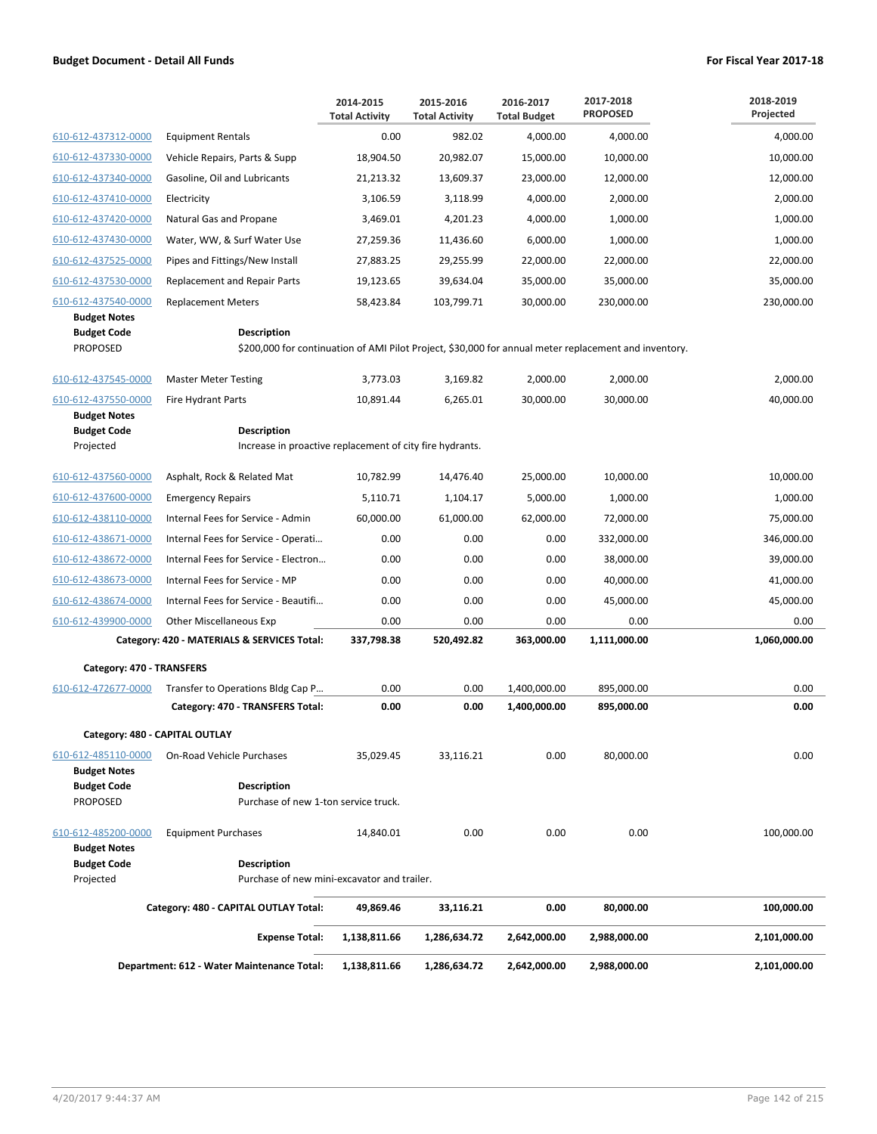|                                                              |                                                                                                                             | 2014-2015<br><b>Total Activity</b> | 2015-2016<br><b>Total Activity</b> | 2016-2017<br><b>Total Budget</b> | 2017-2018<br><b>PROPOSED</b> | 2018-2019<br>Projected |
|--------------------------------------------------------------|-----------------------------------------------------------------------------------------------------------------------------|------------------------------------|------------------------------------|----------------------------------|------------------------------|------------------------|
| 610-612-437312-0000                                          | <b>Equipment Rentals</b>                                                                                                    | 0.00                               | 982.02                             | 4,000.00                         | 4,000.00                     | 4,000.00               |
| 610-612-437330-0000                                          | Vehicle Repairs, Parts & Supp                                                                                               | 18,904.50                          | 20,982.07                          | 15,000.00                        | 10,000.00                    | 10,000.00              |
| 610-612-437340-0000                                          | Gasoline, Oil and Lubricants                                                                                                | 21,213.32                          | 13,609.37                          | 23,000.00                        | 12,000.00                    | 12,000.00              |
| 610-612-437410-0000                                          | Electricity                                                                                                                 | 3,106.59                           | 3,118.99                           | 4,000.00                         | 2,000.00                     | 2,000.00               |
| 610-612-437420-0000                                          | Natural Gas and Propane                                                                                                     | 3,469.01                           | 4,201.23                           | 4,000.00                         | 1,000.00                     | 1,000.00               |
| 610-612-437430-0000                                          | Water, WW, & Surf Water Use                                                                                                 | 27,259.36                          | 11,436.60                          | 6,000.00                         | 1,000.00                     | 1,000.00               |
| 610-612-437525-0000                                          | Pipes and Fittings/New Install                                                                                              | 27,883.25                          | 29,255.99                          | 22,000.00                        | 22,000.00                    | 22,000.00              |
| 610-612-437530-0000                                          | Replacement and Repair Parts                                                                                                | 19,123.65                          | 39,634.04                          | 35,000.00                        | 35,000.00                    | 35,000.00              |
| 610-612-437540-0000                                          | <b>Replacement Meters</b>                                                                                                   | 58,423.84                          | 103,799.71                         | 30,000.00                        | 230,000.00                   | 230,000.00             |
| <b>Budget Notes</b><br><b>Budget Code</b><br><b>PROPOSED</b> | <b>Description</b><br>\$200,000 for continuation of AMI Pilot Project, \$30,000 for annual meter replacement and inventory. |                                    |                                    |                                  |                              |                        |
| 610-612-437545-0000                                          | <b>Master Meter Testing</b>                                                                                                 | 3,773.03                           | 3,169.82                           | 2,000.00                         | 2,000.00                     | 2,000.00               |
| 610-612-437550-0000                                          | <b>Fire Hydrant Parts</b>                                                                                                   | 10,891.44                          | 6,265.01                           | 30,000.00                        | 30,000.00                    | 40,000.00              |
| <b>Budget Notes</b><br><b>Budget Code</b><br>Projected       | <b>Description</b><br>Increase in proactive replacement of city fire hydrants.                                              |                                    |                                    |                                  |                              |                        |
| 610-612-437560-0000                                          | Asphalt, Rock & Related Mat                                                                                                 | 10,782.99                          | 14,476.40                          | 25,000.00                        | 10,000.00                    | 10,000.00              |
| 610-612-437600-0000                                          | <b>Emergency Repairs</b>                                                                                                    | 5,110.71                           | 1,104.17                           | 5,000.00                         | 1,000.00                     | 1,000.00               |
| 610-612-438110-0000                                          | Internal Fees for Service - Admin                                                                                           | 60,000.00                          | 61,000.00                          | 62,000.00                        | 72,000.00                    | 75,000.00              |
| 610-612-438671-0000                                          | Internal Fees for Service - Operati                                                                                         | 0.00                               | 0.00                               | 0.00                             | 332,000.00                   | 346,000.00             |
| 610-612-438672-0000                                          | Internal Fees for Service - Electron                                                                                        | 0.00                               | 0.00                               | 0.00                             | 38,000.00                    | 39,000.00              |
| 610-612-438673-0000                                          | Internal Fees for Service - MP                                                                                              | 0.00                               | 0.00                               | 0.00                             | 40,000.00                    | 41,000.00              |
| 610-612-438674-0000                                          | Internal Fees for Service - Beautifi                                                                                        | 0.00                               | 0.00                               | 0.00                             | 45,000.00                    | 45,000.00              |
| 610-612-439900-0000                                          | Other Miscellaneous Exp                                                                                                     | 0.00                               | 0.00                               | 0.00                             | 0.00                         | 0.00                   |
|                                                              | Category: 420 - MATERIALS & SERVICES Total:                                                                                 | 337,798.38                         | 520,492.82                         | 363,000.00                       | 1,111,000.00                 | 1,060,000.00           |
| Category: 470 - TRANSFERS                                    |                                                                                                                             |                                    |                                    |                                  |                              |                        |
| 610-612-472677-0000                                          | Transfer to Operations Bldg Cap P                                                                                           | 0.00                               | 0.00                               | 1,400,000.00                     | 895,000.00                   | 0.00                   |
|                                                              | Category: 470 - TRANSFERS Total:                                                                                            | 0.00                               | 0.00                               | 1,400,000.00                     | 895,000.00                   | 0.00                   |
| Category: 480 - CAPITAL OUTLAY                               |                                                                                                                             |                                    |                                    |                                  |                              |                        |
| 610-612-485110-0000<br><b>Budget Notes</b>                   | On-Road Vehicle Purchases                                                                                                   | 35,029.45                          | 33,116.21                          | 0.00                             | 80,000.00                    | 0.00                   |
| <b>Budget Code</b><br><b>PROPOSED</b>                        | <b>Description</b><br>Purchase of new 1-ton service truck.                                                                  |                                    |                                    |                                  |                              |                        |
| 610-612-485200-0000<br><b>Budget Notes</b>                   | <b>Equipment Purchases</b>                                                                                                  | 14,840.01                          | 0.00                               | 0.00                             | 0.00                         | 100,000.00             |
| <b>Budget Code</b><br>Projected                              | <b>Description</b><br>Purchase of new mini-excavator and trailer.                                                           |                                    |                                    |                                  |                              |                        |
|                                                              | Category: 480 - CAPITAL OUTLAY Total:                                                                                       | 49,869.46                          | 33,116.21                          | 0.00                             | 80,000.00                    | 100,000.00             |
|                                                              | <b>Expense Total:</b>                                                                                                       | 1,138,811.66                       | 1,286,634.72                       | 2,642,000.00                     | 2,988,000.00                 | 2,101,000.00           |
|                                                              | Department: 612 - Water Maintenance Total:                                                                                  | 1,138,811.66                       | 1,286,634.72                       | 2,642,000.00                     | 2,988,000.00                 | 2,101,000.00           |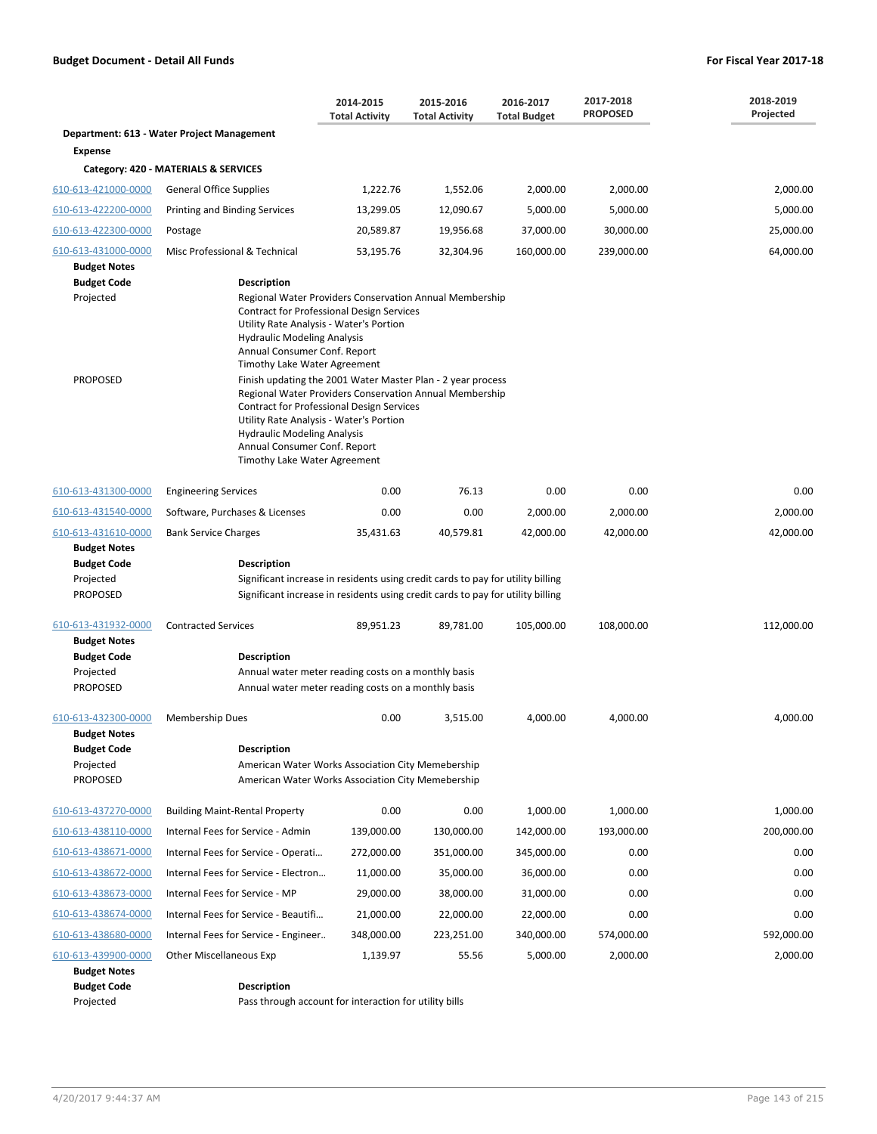|                                                                  |                                                                                                                                                                                                                                                                                                                                                                                                              | 2014-2015<br><b>Total Activity</b> | 2015-2016<br><b>Total Activity</b> | 2016-2017<br><b>Total Budget</b> | 2017-2018<br><b>PROPOSED</b> | 2018-2019<br>Projected |  |  |
|------------------------------------------------------------------|--------------------------------------------------------------------------------------------------------------------------------------------------------------------------------------------------------------------------------------------------------------------------------------------------------------------------------------------------------------------------------------------------------------|------------------------------------|------------------------------------|----------------------------------|------------------------------|------------------------|--|--|
|                                                                  | Department: 613 - Water Project Management                                                                                                                                                                                                                                                                                                                                                                   |                                    |                                    |                                  |                              |                        |  |  |
| <b>Expense</b>                                                   |                                                                                                                                                                                                                                                                                                                                                                                                              |                                    |                                    |                                  |                              |                        |  |  |
|                                                                  | Category: 420 - MATERIALS & SERVICES                                                                                                                                                                                                                                                                                                                                                                         |                                    |                                    |                                  |                              |                        |  |  |
| 610-613-421000-0000                                              | <b>General Office Supplies</b>                                                                                                                                                                                                                                                                                                                                                                               | 1,222.76                           | 1,552.06                           | 2,000.00                         | 2,000.00                     | 2,000.00               |  |  |
| 610-613-422200-0000                                              | Printing and Binding Services                                                                                                                                                                                                                                                                                                                                                                                | 13,299.05                          | 12,090.67                          | 5,000.00                         | 5,000.00                     | 5,000.00               |  |  |
| 610-613-422300-0000                                              | Postage                                                                                                                                                                                                                                                                                                                                                                                                      | 20,589.87                          | 19,956.68                          | 37,000.00                        | 30,000.00                    | 25,000.00              |  |  |
| 610-613-431000-0000<br><b>Budget Notes</b>                       | Misc Professional & Technical                                                                                                                                                                                                                                                                                                                                                                                | 53,195.76                          | 32,304.96                          | 160,000.00                       | 239,000.00                   | 64,000.00              |  |  |
| <b>Budget Code</b><br>Projected<br><b>PROPOSED</b>               | <b>Description</b><br>Regional Water Providers Conservation Annual Membership<br><b>Contract for Professional Design Services</b><br>Utility Rate Analysis - Water's Portion<br><b>Hydraulic Modeling Analysis</b><br>Annual Consumer Conf. Report<br>Timothy Lake Water Agreement<br>Finish updating the 2001 Water Master Plan - 2 year process<br>Regional Water Providers Conservation Annual Membership |                                    |                                    |                                  |                              |                        |  |  |
|                                                                  | Contract for Professional Design Services<br>Utility Rate Analysis - Water's Portion<br><b>Hydraulic Modeling Analysis</b><br>Annual Consumer Conf. Report<br>Timothy Lake Water Agreement                                                                                                                                                                                                                   |                                    |                                    |                                  |                              |                        |  |  |
| 610-613-431300-0000                                              | <b>Engineering Services</b>                                                                                                                                                                                                                                                                                                                                                                                  | 0.00                               | 76.13                              | 0.00                             | 0.00                         | 0.00                   |  |  |
| 610-613-431540-0000                                              | Software, Purchases & Licenses                                                                                                                                                                                                                                                                                                                                                                               | 0.00                               | 0.00                               | 2,000.00                         | 2,000.00                     | 2,000.00               |  |  |
| 610-613-431610-0000                                              | <b>Bank Service Charges</b>                                                                                                                                                                                                                                                                                                                                                                                  | 35,431.63                          | 40,579.81                          | 42,000.00                        | 42,000.00                    | 42,000.00              |  |  |
| <b>Budget Notes</b>                                              |                                                                                                                                                                                                                                                                                                                                                                                                              |                                    |                                    |                                  |                              |                        |  |  |
| <b>Budget Code</b><br>Projected                                  | <b>Description</b><br>Significant increase in residents using credit cards to pay for utility billing                                                                                                                                                                                                                                                                                                        |                                    |                                    |                                  |                              |                        |  |  |
| <b>PROPOSED</b>                                                  | Significant increase in residents using credit cards to pay for utility billing                                                                                                                                                                                                                                                                                                                              |                                    |                                    |                                  |                              |                        |  |  |
| 610-613-431932-0000                                              | <b>Contracted Services</b>                                                                                                                                                                                                                                                                                                                                                                                   | 89,951.23                          | 89,781.00                          | 105,000.00                       | 108,000.00                   | 112,000.00             |  |  |
| <b>Budget Notes</b>                                              |                                                                                                                                                                                                                                                                                                                                                                                                              |                                    |                                    |                                  |                              |                        |  |  |
| <b>Budget Code</b>                                               | <b>Description</b>                                                                                                                                                                                                                                                                                                                                                                                           |                                    |                                    |                                  |                              |                        |  |  |
| Projected<br><b>PROPOSED</b>                                     | Annual water meter reading costs on a monthly basis<br>Annual water meter reading costs on a monthly basis                                                                                                                                                                                                                                                                                                   |                                    |                                    |                                  |                              |                        |  |  |
| 610-613-432300-0000<br><b>Budget Notes</b>                       | <b>Membership Dues</b>                                                                                                                                                                                                                                                                                                                                                                                       | 0.00                               | 3,515.00                           | 4,000.00                         | 4,000.00                     | 4,000.00               |  |  |
| <b>Budget Code</b><br>Projected<br>PROPOSED                      | <b>Description</b><br>American Water Works Association City Memebership<br>American Water Works Association City Memebership                                                                                                                                                                                                                                                                                 |                                    |                                    |                                  |                              |                        |  |  |
| 610-613-437270-0000                                              | <b>Building Maint-Rental Property</b>                                                                                                                                                                                                                                                                                                                                                                        | 0.00                               | 0.00                               | 1,000.00                         | 1,000.00                     | 1,000.00               |  |  |
| 610-613-438110-0000                                              | Internal Fees for Service - Admin                                                                                                                                                                                                                                                                                                                                                                            | 139,000.00                         | 130,000.00                         | 142,000.00                       | 193,000.00                   | 200,000.00             |  |  |
| 610-613-438671-0000                                              | Internal Fees for Service - Operati                                                                                                                                                                                                                                                                                                                                                                          | 272,000.00                         | 351,000.00                         | 345,000.00                       | 0.00                         | 0.00                   |  |  |
| 610-613-438672-0000                                              | Internal Fees for Service - Electron                                                                                                                                                                                                                                                                                                                                                                         | 11,000.00                          | 35,000.00                          | 36,000.00                        | 0.00                         | 0.00                   |  |  |
| 610-613-438673-0000                                              | Internal Fees for Service - MP                                                                                                                                                                                                                                                                                                                                                                               | 29,000.00                          | 38,000.00                          | 31,000.00                        | 0.00                         | 0.00                   |  |  |
| 610-613-438674-0000                                              | Internal Fees for Service - Beautifi                                                                                                                                                                                                                                                                                                                                                                         | 21,000.00                          | 22,000.00                          | 22,000.00                        | 0.00                         | 0.00                   |  |  |
| 610-613-438680-0000                                              | Internal Fees for Service - Engineer                                                                                                                                                                                                                                                                                                                                                                         | 348,000.00                         | 223,251.00                         | 340,000.00                       | 574,000.00                   | 592,000.00             |  |  |
| 610-613-439900-0000<br><b>Budget Notes</b><br><b>Budget Code</b> | <b>Other Miscellaneous Exp</b><br><b>Description</b>                                                                                                                                                                                                                                                                                                                                                         | 1,139.97                           | 55.56                              | 5,000.00                         | 2,000.00                     | 2,000.00               |  |  |
| Projected                                                        | Pass through account for interaction for utility bills                                                                                                                                                                                                                                                                                                                                                       |                                    |                                    |                                  |                              |                        |  |  |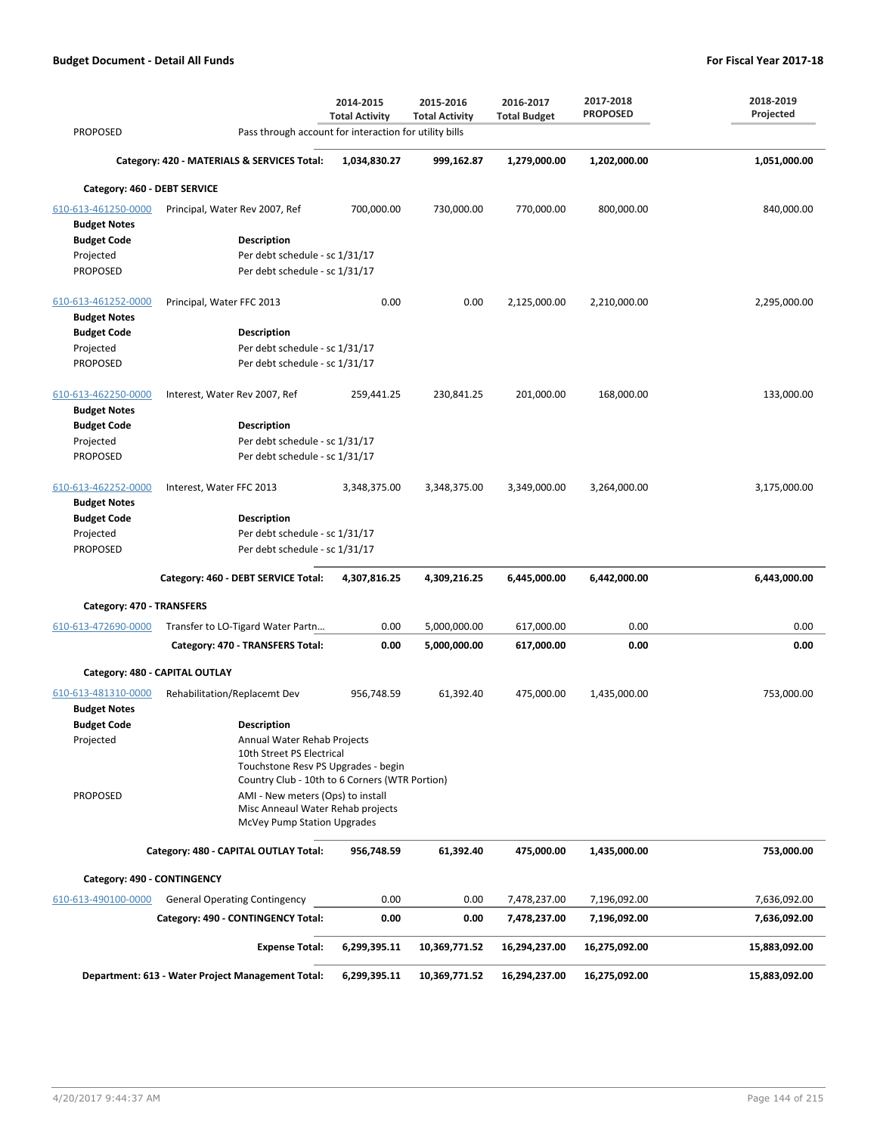| <b>PROPOSED</b>                            | Pass through account for interaction for utility bills                                                             | 2014-2015<br><b>Total Activity</b> | 2015-2016<br><b>Total Activity</b> | 2016-2017<br><b>Total Budget</b> | 2017-2018<br><b>PROPOSED</b> | 2018-2019<br>Projected |
|--------------------------------------------|--------------------------------------------------------------------------------------------------------------------|------------------------------------|------------------------------------|----------------------------------|------------------------------|------------------------|
|                                            |                                                                                                                    |                                    |                                    |                                  |                              |                        |
|                                            | Category: 420 - MATERIALS & SERVICES Total:                                                                        | 1,034,830.27                       | 999,162.87                         | 1,279,000.00                     | 1,202,000.00                 | 1,051,000.00           |
| Category: 460 - DEBT SERVICE               |                                                                                                                    |                                    |                                    |                                  |                              |                        |
| 610-613-461250-0000<br><b>Budget Notes</b> | Principal, Water Rev 2007, Ref                                                                                     | 700,000.00                         | 730,000.00                         | 770,000.00                       | 800,000.00                   | 840,000.00             |
| <b>Budget Code</b>                         | <b>Description</b>                                                                                                 |                                    |                                    |                                  |                              |                        |
| Projected                                  | Per debt schedule - sc 1/31/17                                                                                     |                                    |                                    |                                  |                              |                        |
| <b>PROPOSED</b>                            | Per debt schedule - sc 1/31/17                                                                                     |                                    |                                    |                                  |                              |                        |
| 610-613-461252-0000<br><b>Budget Notes</b> | Principal, Water FFC 2013                                                                                          | 0.00                               | 0.00                               | 2,125,000.00                     | 2,210,000.00                 | 2,295,000.00           |
| <b>Budget Code</b>                         | <b>Description</b>                                                                                                 |                                    |                                    |                                  |                              |                        |
| Projected                                  | Per debt schedule - sc 1/31/17                                                                                     |                                    |                                    |                                  |                              |                        |
| <b>PROPOSED</b>                            | Per debt schedule - sc 1/31/17                                                                                     |                                    |                                    |                                  |                              |                        |
| 610-613-462250-0000<br><b>Budget Notes</b> | Interest, Water Rev 2007, Ref                                                                                      | 259,441.25                         | 230,841.25                         | 201,000.00                       | 168,000.00                   | 133,000.00             |
| <b>Budget Code</b>                         | <b>Description</b>                                                                                                 |                                    |                                    |                                  |                              |                        |
| Projected                                  | Per debt schedule - sc 1/31/17                                                                                     |                                    |                                    |                                  |                              |                        |
| <b>PROPOSED</b>                            | Per debt schedule - sc 1/31/17                                                                                     |                                    |                                    |                                  |                              |                        |
| 610-613-462252-0000<br><b>Budget Notes</b> | Interest, Water FFC 2013                                                                                           | 3,348,375.00                       | 3,348,375.00                       | 3,349,000.00                     | 3,264,000.00                 | 3,175,000.00           |
| <b>Budget Code</b>                         | <b>Description</b>                                                                                                 |                                    |                                    |                                  |                              |                        |
| Projected                                  | Per debt schedule - sc 1/31/17                                                                                     |                                    |                                    |                                  |                              |                        |
| <b>PROPOSED</b>                            | Per debt schedule - sc 1/31/17                                                                                     |                                    |                                    |                                  |                              |                        |
|                                            | Category: 460 - DEBT SERVICE Total:                                                                                | 4,307,816.25                       | 4,309,216.25                       | 6,445,000.00                     | 6,442,000.00                 | 6,443,000.00           |
| Category: 470 - TRANSFERS                  |                                                                                                                    |                                    |                                    |                                  |                              |                        |
| 610-613-472690-0000                        | Transfer to LO-Tigard Water Partn                                                                                  | 0.00                               | 5,000,000.00                       | 617,000.00                       | 0.00                         | 0.00                   |
|                                            | Category: 470 - TRANSFERS Total:                                                                                   | 0.00                               | 5,000,000.00                       | 617,000.00                       | 0.00                         | 0.00                   |
| Category: 480 - CAPITAL OUTLAY             |                                                                                                                    |                                    |                                    |                                  |                              |                        |
| 610-613-481310-0000                        | Rehabilitation/Replacemt Dev                                                                                       | 956,748.59                         | 61,392.40                          | 475,000.00                       | 1,435,000.00                 | 753,000.00             |
| <b>Budget Notes</b><br><b>Budget Code</b>  | <b>Description</b>                                                                                                 |                                    |                                    |                                  |                              |                        |
| Projected                                  | Annual Water Rehab Projects                                                                                        |                                    |                                    |                                  |                              |                        |
|                                            | 10th Street PS Electrical<br>Touchstone Resv PS Upgrades - begin<br>Country Club - 10th to 6 Corners (WTR Portion) |                                    |                                    |                                  |                              |                        |
| <b>PROPOSED</b>                            | AMI - New meters (Ops) to install<br>Misc Anneaul Water Rehab projects<br>McVey Pump Station Upgrades              |                                    |                                    |                                  |                              |                        |
|                                            | Category: 480 - CAPITAL OUTLAY Total:                                                                              | 956,748.59                         | 61,392.40                          | 475,000.00                       | 1,435,000.00                 | 753,000.00             |
|                                            |                                                                                                                    |                                    |                                    |                                  |                              |                        |
| Category: 490 - CONTINGENCY                |                                                                                                                    |                                    |                                    |                                  |                              |                        |
| 610-613-490100-0000                        | <b>General Operating Contingency</b>                                                                               | 0.00                               | 0.00                               | 7,478,237.00                     | 7,196,092.00                 | 7,636,092.00           |
|                                            | Category: 490 - CONTINGENCY Total:                                                                                 | 0.00                               | 0.00                               | 7,478,237.00                     | 7,196,092.00                 | 7,636,092.00           |
|                                            | <b>Expense Total:</b>                                                                                              | 6,299,395.11                       | 10,369,771.52                      | 16,294,237.00                    | 16,275,092.00                | 15,883,092.00          |
|                                            | Department: 613 - Water Project Management Total:                                                                  | 6,299,395.11                       | 10,369,771.52                      | 16,294,237.00                    | 16,275,092.00                | 15,883,092.00          |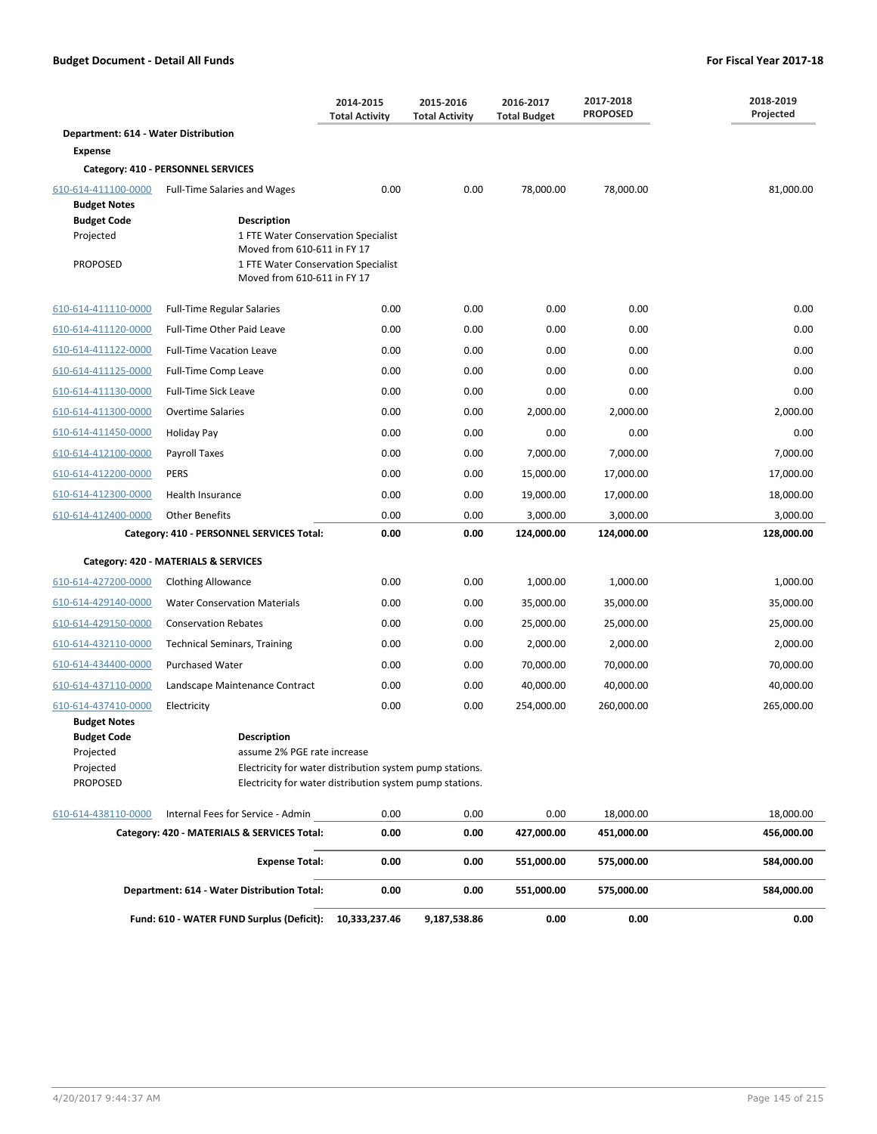|                                           |                                                                                         | 2014-2015<br><b>Total Activity</b> | 2015-2016<br><b>Total Activity</b> | 2016-2017<br><b>Total Budget</b> | 2017-2018<br><b>PROPOSED</b> | 2018-2019<br>Projected |
|-------------------------------------------|-----------------------------------------------------------------------------------------|------------------------------------|------------------------------------|----------------------------------|------------------------------|------------------------|
| Department: 614 - Water Distribution      |                                                                                         |                                    |                                    |                                  |                              |                        |
| <b>Expense</b>                            |                                                                                         |                                    |                                    |                                  |                              |                        |
|                                           | Category: 410 - PERSONNEL SERVICES                                                      |                                    |                                    |                                  |                              |                        |
| 610-614-411100-0000                       | Full-Time Salaries and Wages                                                            | 0.00                               | 0.00                               | 78,000.00                        | 78,000.00                    | 81,000.00              |
| <b>Budget Notes</b>                       |                                                                                         |                                    |                                    |                                  |                              |                        |
| <b>Budget Code</b><br>Projected           | Description<br>1 FTE Water Conservation Specialist                                      |                                    |                                    |                                  |                              |                        |
|                                           | Moved from 610-611 in FY 17                                                             |                                    |                                    |                                  |                              |                        |
| <b>PROPOSED</b>                           | 1 FTE Water Conservation Specialist<br>Moved from 610-611 in FY 17                      |                                    |                                    |                                  |                              |                        |
| 610-614-411110-0000                       | <b>Full-Time Regular Salaries</b>                                                       | 0.00                               | 0.00                               | 0.00                             | 0.00                         | 0.00                   |
| 610-614-411120-0000                       | Full-Time Other Paid Leave                                                              | 0.00                               | 0.00                               | 0.00                             | 0.00                         | 0.00                   |
| 610-614-411122-0000                       | <b>Full-Time Vacation Leave</b>                                                         | 0.00                               | 0.00                               | 0.00                             | 0.00                         | 0.00                   |
| 610-614-411125-0000                       | Full-Time Comp Leave                                                                    | 0.00                               | 0.00                               | 0.00                             | 0.00                         | 0.00                   |
| 610-614-411130-0000                       | Full-Time Sick Leave                                                                    | 0.00                               | 0.00                               | 0.00                             | 0.00                         | 0.00                   |
| 610-614-411300-0000                       | <b>Overtime Salaries</b>                                                                | 0.00                               | 0.00                               | 2,000.00                         | 2,000.00                     | 2,000.00               |
| 610-614-411450-0000                       | Holiday Pay                                                                             | 0.00                               | 0.00                               | 0.00                             | 0.00                         | 0.00                   |
| 610-614-412100-0000                       | Payroll Taxes                                                                           | 0.00                               | 0.00                               | 7,000.00                         | 7,000.00                     | 7,000.00               |
| 610-614-412200-0000                       | <b>PERS</b>                                                                             | 0.00                               | 0.00                               | 15,000.00                        | 17,000.00                    | 17,000.00              |
| 610-614-412300-0000                       | Health Insurance                                                                        | 0.00                               | 0.00                               | 19,000.00                        | 17,000.00                    | 18,000.00              |
| 610-614-412400-0000                       | <b>Other Benefits</b>                                                                   | 0.00                               | 0.00                               | 3,000.00                         | 3,000.00                     | 3,000.00               |
|                                           | Category: 410 - PERSONNEL SERVICES Total:                                               | 0.00                               | 0.00                               | 124,000.00                       | 124,000.00                   | 128,000.00             |
|                                           | Category: 420 - MATERIALS & SERVICES                                                    |                                    |                                    |                                  |                              |                        |
| 610-614-427200-0000                       | <b>Clothing Allowance</b>                                                               | 0.00                               | 0.00                               | 1,000.00                         | 1,000.00                     | 1,000.00               |
| 610-614-429140-0000                       | <b>Water Conservation Materials</b>                                                     | 0.00                               | 0.00                               | 35,000.00                        | 35,000.00                    | 35,000.00              |
| 610-614-429150-0000                       | <b>Conservation Rebates</b>                                                             | 0.00                               | 0.00                               | 25,000.00                        | 25,000.00                    | 25,000.00              |
| 610-614-432110-0000                       | <b>Technical Seminars, Training</b>                                                     | 0.00                               | 0.00                               | 2,000.00                         | 2,000.00                     | 2,000.00               |
| 610-614-434400-0000                       | <b>Purchased Water</b>                                                                  | 0.00                               | 0.00                               | 70,000.00                        | 70,000.00                    | 70,000.00              |
| 610-614-437110-0000                       | Landscape Maintenance Contract                                                          | 0.00                               | 0.00                               | 40,000.00                        | 40,000.00                    | 40,000.00              |
| 610-614-437410-0000                       | Electricity                                                                             | 0.00                               | 0.00                               | 254,000.00                       | 260,000.00                   | 265,000.00             |
| <b>Budget Notes</b><br><b>Budget Code</b> | Description                                                                             |                                    |                                    |                                  |                              |                        |
| Projected<br>Projected                    | assume 2% PGE rate increase<br>Electricity for water distribution system pump stations. |                                    |                                    |                                  |                              |                        |
| <b>PROPOSED</b>                           | Electricity for water distribution system pump stations.                                |                                    |                                    |                                  |                              |                        |
| 610-614-438110-0000                       | Internal Fees for Service - Admin                                                       | 0.00                               | 0.00                               | 0.00                             | 18,000.00                    | 18,000.00              |
|                                           | Category: 420 - MATERIALS & SERVICES Total:                                             | 0.00                               | 0.00                               | 427,000.00                       | 451,000.00                   | 456,000.00             |
|                                           | <b>Expense Total:</b>                                                                   | 0.00                               | 0.00                               | 551,000.00                       | 575,000.00                   | 584,000.00             |
|                                           | Department: 614 - Water Distribution Total:                                             | 0.00                               | 0.00                               | 551,000.00                       | 575,000.00                   | 584,000.00             |
|                                           |                                                                                         |                                    |                                    |                                  |                              |                        |

**Fund: 610 - WATER FUND Surplus (Deficit): 10,333,237.46 9,187,538.86 0.00 0.00 0.00**

4/20/2017 9:44:37 AM Page 145 of 215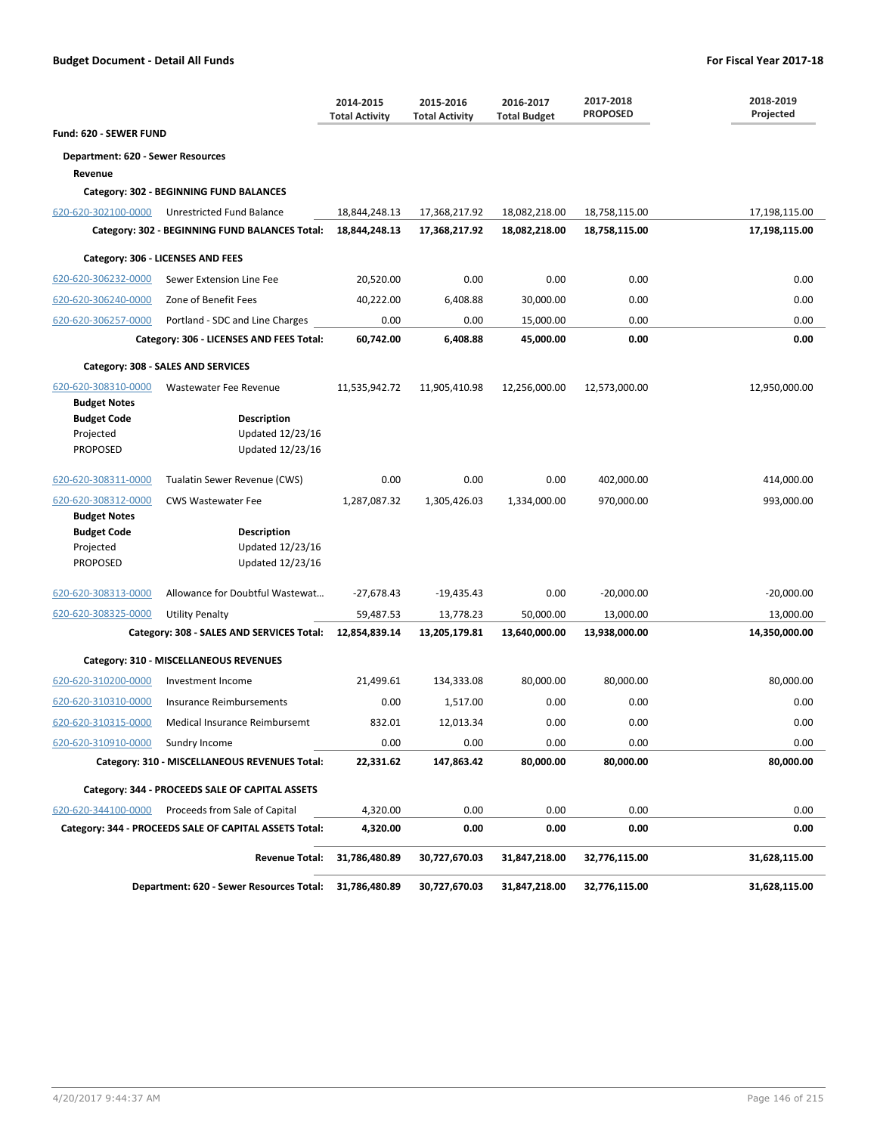|                                   |                                                                             | 2014-2015<br><b>Total Activity</b> | 2015-2016<br><b>Total Activity</b> | 2016-2017<br><b>Total Budget</b> | 2017-2018<br><b>PROPOSED</b> | 2018-2019<br>Projected |
|-----------------------------------|-----------------------------------------------------------------------------|------------------------------------|------------------------------------|----------------------------------|------------------------------|------------------------|
| Fund: 620 - SEWER FUND            |                                                                             |                                    |                                    |                                  |                              |                        |
| Department: 620 - Sewer Resources |                                                                             |                                    |                                    |                                  |                              |                        |
| Revenue                           | Category: 302 - BEGINNING FUND BALANCES                                     |                                    |                                    |                                  |                              |                        |
| 620-620-302100-0000               | Unrestricted Fund Balance                                                   | 18,844,248.13                      | 17,368,217.92                      | 18,082,218.00                    | 18,758,115.00                | 17,198,115.00          |
|                                   | Category: 302 - BEGINNING FUND BALANCES Total:                              | 18,844,248.13                      | 17,368,217.92                      | 18,082,218.00                    | 18,758,115.00                | 17,198,115.00          |
|                                   | Category: 306 - LICENSES AND FEES                                           |                                    |                                    |                                  |                              |                        |
| 620-620-306232-0000               | Sewer Extension Line Fee                                                    | 20,520.00                          | 0.00                               | 0.00                             | 0.00                         | 0.00                   |
| 620-620-306240-0000               | Zone of Benefit Fees                                                        | 40,222.00                          | 6,408.88                           | 30,000.00                        | 0.00                         | 0.00                   |
|                                   |                                                                             |                                    |                                    |                                  | 0.00                         | 0.00                   |
| 620-620-306257-0000               | Portland - SDC and Line Charges<br>Category: 306 - LICENSES AND FEES Total: | 0.00<br>60,742.00                  | 0.00<br>6,408.88                   | 15,000.00<br>45,000.00           | 0.00                         | 0.00                   |
|                                   |                                                                             |                                    |                                    |                                  |                              |                        |
|                                   | Category: 308 - SALES AND SERVICES                                          |                                    |                                    |                                  |                              |                        |
| 620-620-308310-0000               | Wastewater Fee Revenue                                                      | 11,535,942.72                      | 11,905,410.98                      | 12,256,000.00                    | 12,573,000.00                | 12,950,000.00          |
| <b>Budget Notes</b>               |                                                                             |                                    |                                    |                                  |                              |                        |
| <b>Budget Code</b><br>Projected   | <b>Description</b><br>Updated 12/23/16                                      |                                    |                                    |                                  |                              |                        |
| PROPOSED                          | Updated 12/23/16                                                            |                                    |                                    |                                  |                              |                        |
| 620-620-308311-0000               | Tualatin Sewer Revenue (CWS)                                                | 0.00                               | 0.00                               | 0.00                             | 402,000.00                   | 414,000.00             |
| 620-620-308312-0000               | <b>CWS Wastewater Fee</b>                                                   | 1,287,087.32                       | 1,305,426.03                       | 1,334,000.00                     | 970,000.00                   | 993,000.00             |
| <b>Budget Notes</b>               |                                                                             |                                    |                                    |                                  |                              |                        |
| <b>Budget Code</b>                | <b>Description</b>                                                          |                                    |                                    |                                  |                              |                        |
| Projected<br><b>PROPOSED</b>      | Updated 12/23/16<br>Updated 12/23/16                                        |                                    |                                    |                                  |                              |                        |
|                                   |                                                                             |                                    |                                    |                                  |                              |                        |
| 620-620-308313-0000               | Allowance for Doubtful Wastewat                                             | $-27,678.43$                       | -19,435.43                         | 0.00                             | $-20,000.00$                 | $-20,000.00$           |
| 620-620-308325-0000               | <b>Utility Penalty</b>                                                      | 59,487.53                          | 13,778.23                          | 50,000.00                        | 13,000.00                    | 13,000.00              |
|                                   | Category: 308 - SALES AND SERVICES Total:                                   | 12,854,839.14                      | 13,205,179.81                      | 13,640,000.00                    | 13,938,000.00                | 14,350,000.00          |
|                                   | Category: 310 - MISCELLANEOUS REVENUES                                      |                                    |                                    |                                  |                              |                        |
| 620-620-310200-0000               | Investment Income                                                           | 21,499.61                          | 134,333.08                         | 80,000.00                        | 80,000.00                    | 80,000.00              |
| 620-620-310310-0000               | Insurance Reimbursements                                                    | 0.00                               | 1,517.00                           | 0.00                             | 0.00                         | 0.00                   |
| 620-620-310315-0000               | Medical Insurance Reimbursemt                                               | 832.01                             | 12,013.34                          | 0.00                             | 0.00                         | 0.00                   |
| 620-620-310910-0000               | Sundry Income                                                               | 0.00                               | 0.00                               | 0.00                             | 0.00                         | 0.00                   |
|                                   | Category: 310 - MISCELLANEOUS REVENUES Total:                               | 22,331.62                          | 147,863.42                         | 80,000.00                        | 80,000.00                    | 80,000.00              |
|                                   | Category: 344 - PROCEEDS SALE OF CAPITAL ASSETS                             |                                    |                                    |                                  |                              |                        |
| 620-620-344100-0000               | Proceeds from Sale of Capital                                               | 4,320.00                           | 0.00                               | 0.00                             | 0.00                         | 0.00                   |
|                                   | Category: 344 - PROCEEDS SALE OF CAPITAL ASSETS Total:                      | 4,320.00                           | 0.00                               | 0.00                             | 0.00                         | 0.00                   |
|                                   | <b>Revenue Total:</b>                                                       | 31,786,480.89                      | 30,727,670.03                      | 31,847,218.00                    | 32,776,115.00                | 31,628,115.00          |
|                                   | Department: 620 - Sewer Resources Total:                                    | 31,786,480.89                      | 30,727,670.03                      | 31,847,218.00                    | 32,776,115.00                | 31,628,115.00          |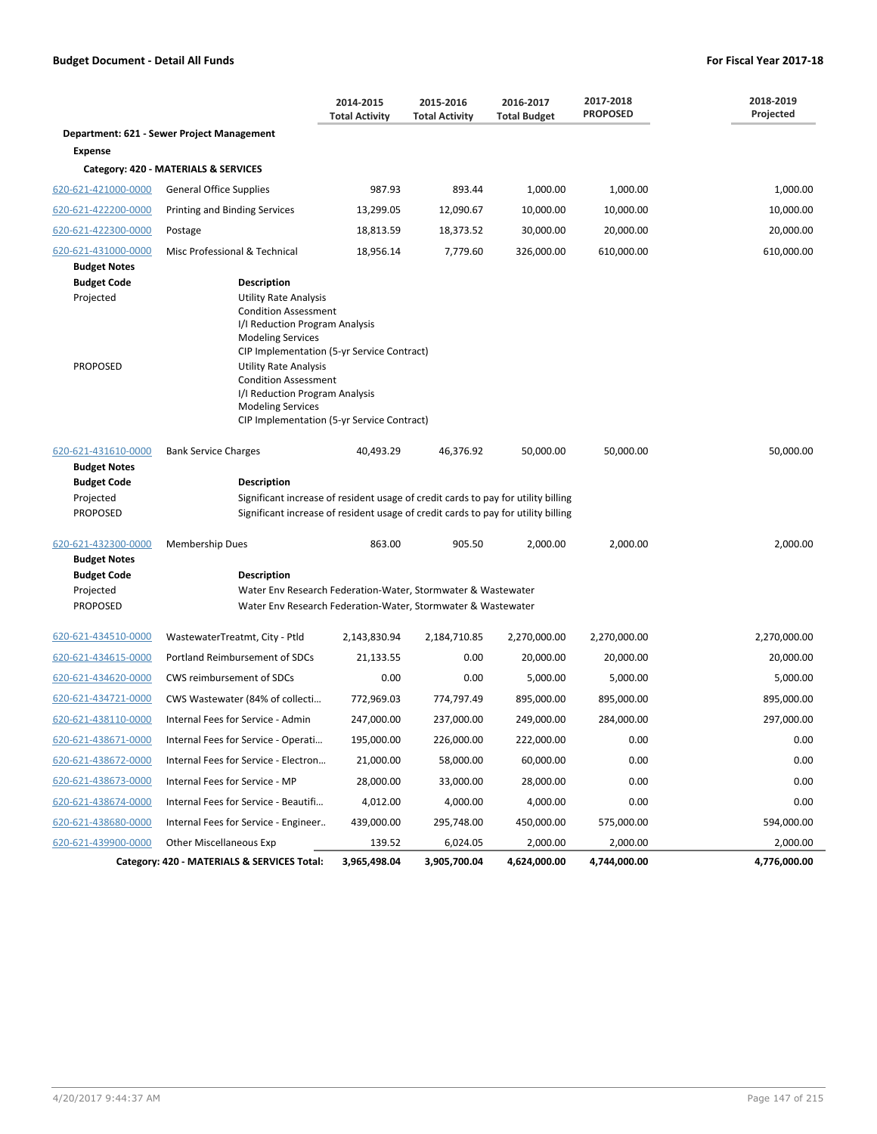|                                                                                                                         |                                                                                                                                                                                                                                                                                                                                                                                                         | 2014-2015<br><b>Total Activity</b> | 2015-2016<br><b>Total Activity</b> | 2016-2017<br><b>Total Budget</b> | 2017-2018<br><b>PROPOSED</b> | 2018-2019<br>Projected |  |  |
|-------------------------------------------------------------------------------------------------------------------------|---------------------------------------------------------------------------------------------------------------------------------------------------------------------------------------------------------------------------------------------------------------------------------------------------------------------------------------------------------------------------------------------------------|------------------------------------|------------------------------------|----------------------------------|------------------------------|------------------------|--|--|
|                                                                                                                         | Department: 621 - Sewer Project Management                                                                                                                                                                                                                                                                                                                                                              |                                    |                                    |                                  |                              |                        |  |  |
| <b>Expense</b>                                                                                                          |                                                                                                                                                                                                                                                                                                                                                                                                         |                                    |                                    |                                  |                              |                        |  |  |
|                                                                                                                         | Category: 420 - MATERIALS & SERVICES                                                                                                                                                                                                                                                                                                                                                                    |                                    |                                    |                                  |                              |                        |  |  |
| 620-621-421000-0000                                                                                                     | <b>General Office Supplies</b>                                                                                                                                                                                                                                                                                                                                                                          | 987.93                             | 893.44                             | 1,000.00                         | 1,000.00                     | 1,000.00               |  |  |
| 620-621-422200-0000                                                                                                     | Printing and Binding Services                                                                                                                                                                                                                                                                                                                                                                           | 13,299.05                          | 12,090.67                          | 10,000.00                        | 10,000.00                    | 10,000.00              |  |  |
| 620-621-422300-0000                                                                                                     | Postage                                                                                                                                                                                                                                                                                                                                                                                                 | 18,813.59                          | 18,373.52                          | 30,000.00                        | 20,000.00                    | 20,000.00              |  |  |
| 620-621-431000-0000                                                                                                     | Misc Professional & Technical                                                                                                                                                                                                                                                                                                                                                                           | 18,956.14                          | 7,779.60                           | 326,000.00                       | 610,000.00                   | 610,000.00             |  |  |
| <b>Budget Notes</b><br><b>Budget Code</b><br>Projected<br><b>PROPOSED</b><br>620-621-431610-0000<br><b>Budget Notes</b> | <b>Description</b><br><b>Utility Rate Analysis</b><br><b>Condition Assessment</b><br>I/I Reduction Program Analysis<br><b>Modeling Services</b><br>CIP Implementation (5-yr Service Contract)<br><b>Utility Rate Analysis</b><br><b>Condition Assessment</b><br>I/I Reduction Program Analysis<br><b>Modeling Services</b><br>CIP Implementation (5-yr Service Contract)<br><b>Bank Service Charges</b> | 40,493.29                          | 46,376.92                          | 50,000.00                        | 50,000.00                    | 50,000.00              |  |  |
| <b>Budget Code</b><br>Projected<br><b>PROPOSED</b>                                                                      | <b>Description</b><br>Significant increase of resident usage of credit cards to pay for utility billing<br>Significant increase of resident usage of credit cards to pay for utility billing                                                                                                                                                                                                            |                                    |                                    |                                  |                              |                        |  |  |
| 620-621-432300-0000<br><b>Budget Notes</b>                                                                              | <b>Membership Dues</b>                                                                                                                                                                                                                                                                                                                                                                                  | 863.00                             | 905.50                             | 2,000.00                         | 2,000.00                     | 2,000.00               |  |  |
| <b>Budget Code</b><br>Projected<br><b>PROPOSED</b>                                                                      | Description<br>Water Env Research Federation-Water, Stormwater & Wastewater<br>Water Env Research Federation-Water, Stormwater & Wastewater                                                                                                                                                                                                                                                             |                                    |                                    |                                  |                              |                        |  |  |
| 620-621-434510-0000                                                                                                     | WastewaterTreatmt, City - Ptld                                                                                                                                                                                                                                                                                                                                                                          | 2,143,830.94                       | 2,184,710.85                       | 2,270,000.00                     | 2,270,000.00                 | 2,270,000.00           |  |  |
| 620-621-434615-0000                                                                                                     | Portland Reimbursement of SDCs                                                                                                                                                                                                                                                                                                                                                                          | 21,133.55                          | 0.00                               | 20,000.00                        | 20,000.00                    | 20,000.00              |  |  |
| 620-621-434620-0000                                                                                                     | CWS reimbursement of SDCs                                                                                                                                                                                                                                                                                                                                                                               | 0.00                               | 0.00                               | 5,000.00                         | 5,000.00                     | 5,000.00               |  |  |
| 620-621-434721-0000                                                                                                     | CWS Wastewater (84% of collecti                                                                                                                                                                                                                                                                                                                                                                         | 772,969.03                         | 774,797.49                         | 895,000.00                       | 895,000.00                   | 895,000.00             |  |  |
| 620-621-438110-0000                                                                                                     | Internal Fees for Service - Admin                                                                                                                                                                                                                                                                                                                                                                       | 247,000.00                         | 237,000.00                         | 249,000.00                       | 284,000.00                   | 297,000.00             |  |  |
| 620-621-438671-0000                                                                                                     | Internal Fees for Service - Operati                                                                                                                                                                                                                                                                                                                                                                     | 195,000.00                         | 226,000.00                         | 222,000.00                       | 0.00                         | 0.00                   |  |  |
| 620-621-438672-0000                                                                                                     | Internal Fees for Service - Electron                                                                                                                                                                                                                                                                                                                                                                    | 21,000.00                          | 58,000.00                          | 60,000.00                        | 0.00                         | 0.00                   |  |  |
| 620-621-438673-0000                                                                                                     | Internal Fees for Service - MP                                                                                                                                                                                                                                                                                                                                                                          | 28,000.00                          | 33,000.00                          | 28,000.00                        | 0.00                         | 0.00                   |  |  |
| 620-621-438674-0000                                                                                                     | Internal Fees for Service - Beautifi                                                                                                                                                                                                                                                                                                                                                                    | 4,012.00                           | 4,000.00                           | 4,000.00                         | 0.00                         | 0.00                   |  |  |
| 620-621-438680-0000                                                                                                     | Internal Fees for Service - Engineer                                                                                                                                                                                                                                                                                                                                                                    | 439,000.00                         | 295,748.00                         | 450,000.00                       | 575,000.00                   | 594,000.00             |  |  |
| 620-621-439900-0000                                                                                                     | <b>Other Miscellaneous Exp</b>                                                                                                                                                                                                                                                                                                                                                                          | 139.52                             | 6,024.05                           | 2,000.00                         | 2,000.00                     | 2,000.00               |  |  |
|                                                                                                                         | Category: 420 - MATERIALS & SERVICES Total:                                                                                                                                                                                                                                                                                                                                                             | 3,965,498.04                       | 3,905,700.04                       | 4,624,000.00                     | 4,744,000.00                 | 4,776,000.00           |  |  |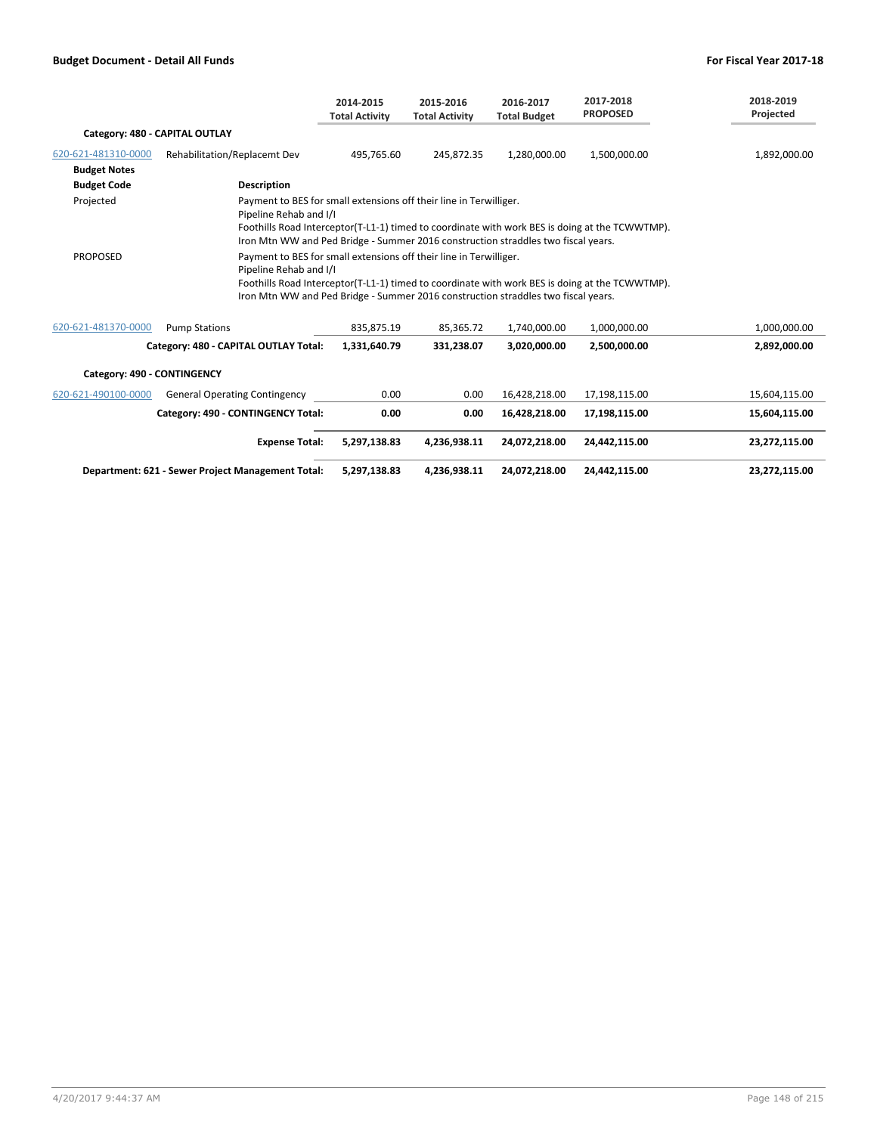|                                |                                                                                                                                                                                                                                                                                     | 2014-2015<br><b>Total Activity</b> | 2015-2016<br><b>Total Activity</b> | 2016-2017<br><b>Total Budget</b> | 2017-2018<br><b>PROPOSED</b> | 2018-2019<br>Projected |
|--------------------------------|-------------------------------------------------------------------------------------------------------------------------------------------------------------------------------------------------------------------------------------------------------------------------------------|------------------------------------|------------------------------------|----------------------------------|------------------------------|------------------------|
| Category: 480 - CAPITAL OUTLAY |                                                                                                                                                                                                                                                                                     |                                    |                                    |                                  |                              |                        |
| 620-621-481310-0000            | Rehabilitation/Replacemt Dev                                                                                                                                                                                                                                                        | 495,765.60                         | 245,872.35                         | 1,280,000.00                     | 1,500,000.00                 | 1,892,000.00           |
| <b>Budget Notes</b>            |                                                                                                                                                                                                                                                                                     |                                    |                                    |                                  |                              |                        |
| <b>Budget Code</b>             | <b>Description</b>                                                                                                                                                                                                                                                                  |                                    |                                    |                                  |                              |                        |
| Projected                      | Payment to BES for small extensions off their line in Terwilliger.<br>Pipeline Rehab and I/I<br>Foothills Road Interceptor(T-L1-1) timed to coordinate with work BES is doing at the TCWWTMP).<br>Iron Mtn WW and Ped Bridge - Summer 2016 construction straddles two fiscal years. |                                    |                                    |                                  |                              |                        |
| <b>PROPOSED</b>                | Payment to BES for small extensions off their line in Terwilliger.<br>Pipeline Rehab and I/I<br>Foothills Road Interceptor(T-L1-1) timed to coordinate with work BES is doing at the TCWWTMP).<br>Iron Mtn WW and Ped Bridge - Summer 2016 construction straddles two fiscal years. |                                    |                                    |                                  |                              |                        |
| 620-621-481370-0000            | <b>Pump Stations</b>                                                                                                                                                                                                                                                                | 835,875.19                         | 85,365.72                          | 1,740,000.00                     | 1,000,000.00                 | 1,000,000.00           |
|                                | Category: 480 - CAPITAL OUTLAY Total:                                                                                                                                                                                                                                               | 1,331,640.79                       | 331,238.07                         | 3,020,000.00                     | 2,500,000.00                 | 2,892,000.00           |
| Category: 490 - CONTINGENCY    |                                                                                                                                                                                                                                                                                     |                                    |                                    |                                  |                              |                        |
| 620-621-490100-0000            | <b>General Operating Contingency</b>                                                                                                                                                                                                                                                | 0.00                               | 0.00                               | 16,428,218.00                    | 17,198,115.00                | 15,604,115.00          |
|                                | Category: 490 - CONTINGENCY Total:                                                                                                                                                                                                                                                  | 0.00                               | 0.00                               | 16,428,218.00                    | 17,198,115.00                | 15,604,115.00          |
|                                | <b>Expense Total:</b>                                                                                                                                                                                                                                                               | 5,297,138.83                       | 4,236,938.11                       | 24,072,218.00                    | 24,442,115.00                | 23,272,115.00          |
|                                | Department: 621 - Sewer Project Management Total:                                                                                                                                                                                                                                   | 5,297,138.83                       | 4,236,938.11                       | 24,072,218.00                    | 24,442,115.00                | 23,272,115.00          |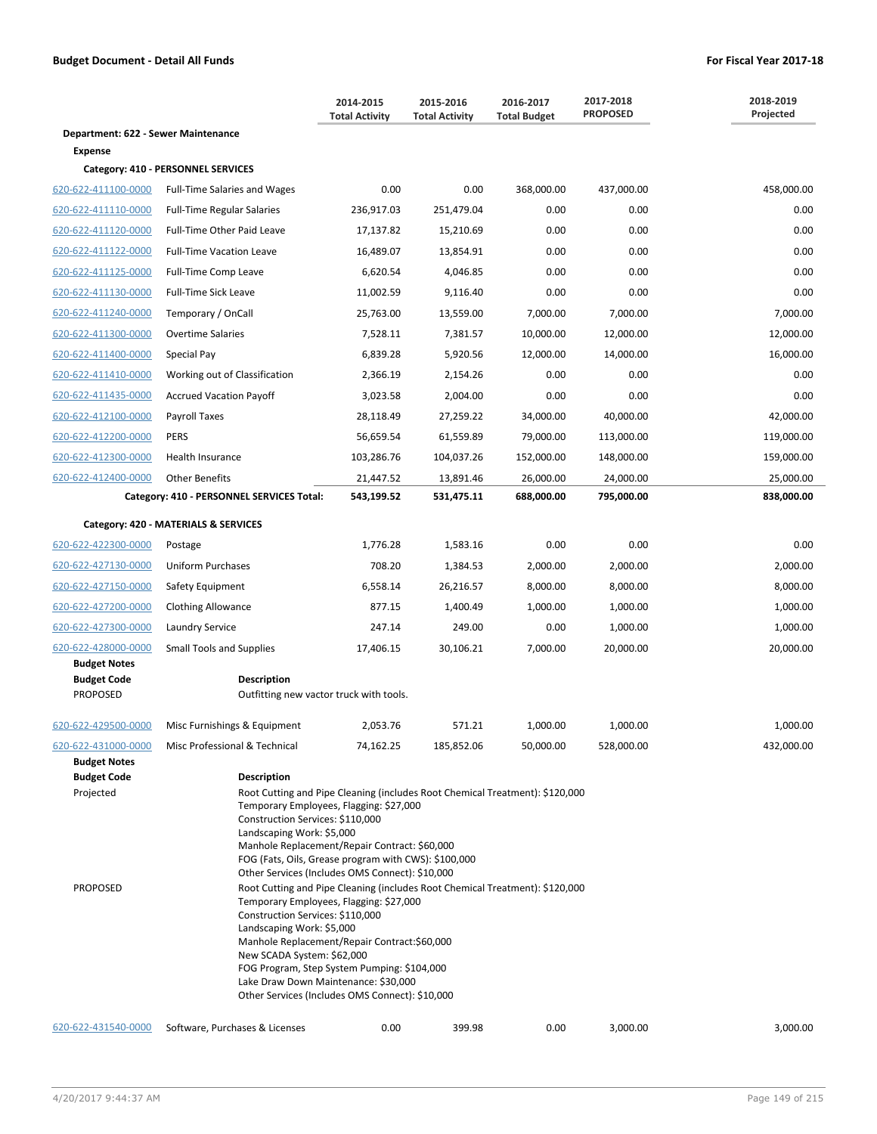|                                            |                                                                                                                                                                                                                                                                                                                                                                                                                  | 2014-2015<br><b>Total Activity</b> | 2015-2016<br><b>Total Activity</b> | 2016-2017<br><b>Total Budget</b> | 2017-2018<br><b>PROPOSED</b> | 2018-2019<br>Projected |  |
|--------------------------------------------|------------------------------------------------------------------------------------------------------------------------------------------------------------------------------------------------------------------------------------------------------------------------------------------------------------------------------------------------------------------------------------------------------------------|------------------------------------|------------------------------------|----------------------------------|------------------------------|------------------------|--|
| Department: 622 - Sewer Maintenance        |                                                                                                                                                                                                                                                                                                                                                                                                                  |                                    |                                    |                                  |                              |                        |  |
| Expense                                    |                                                                                                                                                                                                                                                                                                                                                                                                                  |                                    |                                    |                                  |                              |                        |  |
|                                            | Category: 410 - PERSONNEL SERVICES                                                                                                                                                                                                                                                                                                                                                                               |                                    |                                    |                                  |                              |                        |  |
| 620-622-411100-0000                        | <b>Full-Time Salaries and Wages</b>                                                                                                                                                                                                                                                                                                                                                                              | 0.00                               | 0.00                               | 368,000.00                       | 437,000.00                   | 458,000.00             |  |
| 620-622-411110-0000                        | <b>Full-Time Regular Salaries</b>                                                                                                                                                                                                                                                                                                                                                                                | 236,917.03                         | 251,479.04                         | 0.00                             | 0.00                         | 0.00                   |  |
| 620-622-411120-0000                        | Full-Time Other Paid Leave                                                                                                                                                                                                                                                                                                                                                                                       | 17,137.82                          | 15,210.69                          | 0.00                             | 0.00                         | 0.00                   |  |
| 620-622-411122-0000                        | <b>Full-Time Vacation Leave</b>                                                                                                                                                                                                                                                                                                                                                                                  | 16,489.07                          | 13,854.91                          | 0.00                             | 0.00                         | 0.00                   |  |
| 620-622-411125-0000                        | Full-Time Comp Leave                                                                                                                                                                                                                                                                                                                                                                                             | 6,620.54                           | 4,046.85                           | 0.00                             | 0.00                         | 0.00                   |  |
| 620-622-411130-0000                        | <b>Full-Time Sick Leave</b>                                                                                                                                                                                                                                                                                                                                                                                      | 11,002.59                          | 9,116.40                           | 0.00                             | 0.00                         | 0.00                   |  |
| 620-622-411240-0000                        | Temporary / OnCall                                                                                                                                                                                                                                                                                                                                                                                               | 25,763.00                          | 13,559.00                          | 7,000.00                         | 7,000.00                     | 7,000.00               |  |
| 620-622-411300-0000                        | <b>Overtime Salaries</b>                                                                                                                                                                                                                                                                                                                                                                                         | 7,528.11                           | 7,381.57                           | 10,000.00                        | 12,000.00                    | 12,000.00              |  |
| 620-622-411400-0000                        | Special Pay                                                                                                                                                                                                                                                                                                                                                                                                      | 6,839.28                           | 5,920.56                           | 12,000.00                        | 14,000.00                    | 16,000.00              |  |
| 620-622-411410-0000                        | Working out of Classification                                                                                                                                                                                                                                                                                                                                                                                    | 2,366.19                           | 2,154.26                           | 0.00                             | 0.00                         | 0.00                   |  |
| 620-622-411435-0000                        | <b>Accrued Vacation Payoff</b>                                                                                                                                                                                                                                                                                                                                                                                   | 3,023.58                           | 2,004.00                           | 0.00                             | 0.00                         | 0.00                   |  |
| 620-622-412100-0000                        | Payroll Taxes                                                                                                                                                                                                                                                                                                                                                                                                    | 28,118.49                          | 27,259.22                          | 34,000.00                        | 40,000.00                    | 42,000.00              |  |
| 620-622-412200-0000                        | <b>PERS</b>                                                                                                                                                                                                                                                                                                                                                                                                      | 56,659.54                          | 61,559.89                          | 79,000.00                        | 113,000.00                   | 119,000.00             |  |
| 620-622-412300-0000                        | Health Insurance                                                                                                                                                                                                                                                                                                                                                                                                 | 103,286.76                         | 104,037.26                         | 152,000.00                       | 148,000.00                   | 159,000.00             |  |
| 620-622-412400-0000                        | <b>Other Benefits</b>                                                                                                                                                                                                                                                                                                                                                                                            | 21,447.52                          | 13,891.46                          | 26,000.00                        | 24,000.00                    | 25,000.00              |  |
|                                            | Category: 410 - PERSONNEL SERVICES Total:                                                                                                                                                                                                                                                                                                                                                                        | 543,199.52                         | 531,475.11                         | 688,000.00                       | 795,000.00                   | 838,000.00             |  |
|                                            | Category: 420 - MATERIALS & SERVICES                                                                                                                                                                                                                                                                                                                                                                             |                                    |                                    |                                  |                              |                        |  |
| 620-622-422300-0000                        | Postage                                                                                                                                                                                                                                                                                                                                                                                                          | 1,776.28                           | 1,583.16                           | 0.00                             | 0.00                         | 0.00                   |  |
| 620-622-427130-0000                        | <b>Uniform Purchases</b>                                                                                                                                                                                                                                                                                                                                                                                         | 708.20                             | 1,384.53                           | 2,000.00                         | 2,000.00                     | 2,000.00               |  |
| 620-622-427150-0000                        | Safety Equipment                                                                                                                                                                                                                                                                                                                                                                                                 | 6,558.14                           | 26,216.57                          | 8,000.00                         | 8,000.00                     | 8,000.00               |  |
| 620-622-427200-0000                        | <b>Clothing Allowance</b>                                                                                                                                                                                                                                                                                                                                                                                        | 877.15                             | 1,400.49                           | 1,000.00                         | 1,000.00                     | 1,000.00               |  |
| 620-622-427300-0000                        | Laundry Service                                                                                                                                                                                                                                                                                                                                                                                                  | 247.14                             | 249.00                             | 0.00                             | 1,000.00                     | 1,000.00               |  |
| 620-622-428000-0000                        | <b>Small Tools and Supplies</b>                                                                                                                                                                                                                                                                                                                                                                                  | 17,406.15                          | 30,106.21                          | 7,000.00                         | 20,000.00                    | 20,000.00              |  |
| <b>Budget Notes</b>                        |                                                                                                                                                                                                                                                                                                                                                                                                                  |                                    |                                    |                                  |                              |                        |  |
| <b>Budget Code</b><br><b>PROPOSED</b>      | <b>Description</b><br>Outfitting new vactor truck with tools.                                                                                                                                                                                                                                                                                                                                                    |                                    |                                    |                                  |                              |                        |  |
| 620-622-429500-0000                        | Misc Furnishings & Equipment                                                                                                                                                                                                                                                                                                                                                                                     | 2,053.76                           | 571.21                             | 1,000.00                         | 1,000.00                     | 1,000.00               |  |
| 620-622-431000-0000<br><b>Budget Notes</b> | Misc Professional & Technical                                                                                                                                                                                                                                                                                                                                                                                    | 74,162.25                          | 185,852.06                         | 50,000.00                        | 528,000.00                   | 432,000.00             |  |
| <b>Budget Code</b>                         | <b>Description</b>                                                                                                                                                                                                                                                                                                                                                                                               |                                    |                                    |                                  |                              |                        |  |
| Projected                                  | Root Cutting and Pipe Cleaning (includes Root Chemical Treatment): \$120,000<br>Temporary Employees, Flagging: \$27,000<br>Construction Services: \$110,000<br>Landscaping Work: \$5,000<br>Manhole Replacement/Repair Contract: \$60,000<br>FOG (Fats, Oils, Grease program with CWS): \$100,000<br>Other Services (Includes OMS Connect): \$10,000                                                             |                                    |                                    |                                  |                              |                        |  |
| <b>PROPOSED</b>                            | Root Cutting and Pipe Cleaning (includes Root Chemical Treatment): \$120,000<br>Temporary Employees, Flagging: \$27,000<br>Construction Services: \$110,000<br>Landscaping Work: \$5,000<br>Manhole Replacement/Repair Contract:\$60,000<br>New SCADA System: \$62,000<br>FOG Program, Step System Pumping: \$104,000<br>Lake Draw Down Maintenance: \$30,000<br>Other Services (Includes OMS Connect): \$10,000 |                                    |                                    |                                  |                              |                        |  |
| 620-622-431540-0000                        | Software, Purchases & Licenses                                                                                                                                                                                                                                                                                                                                                                                   | 0.00                               | 399.98                             | 0.00                             | 3,000.00                     | 3,000.00               |  |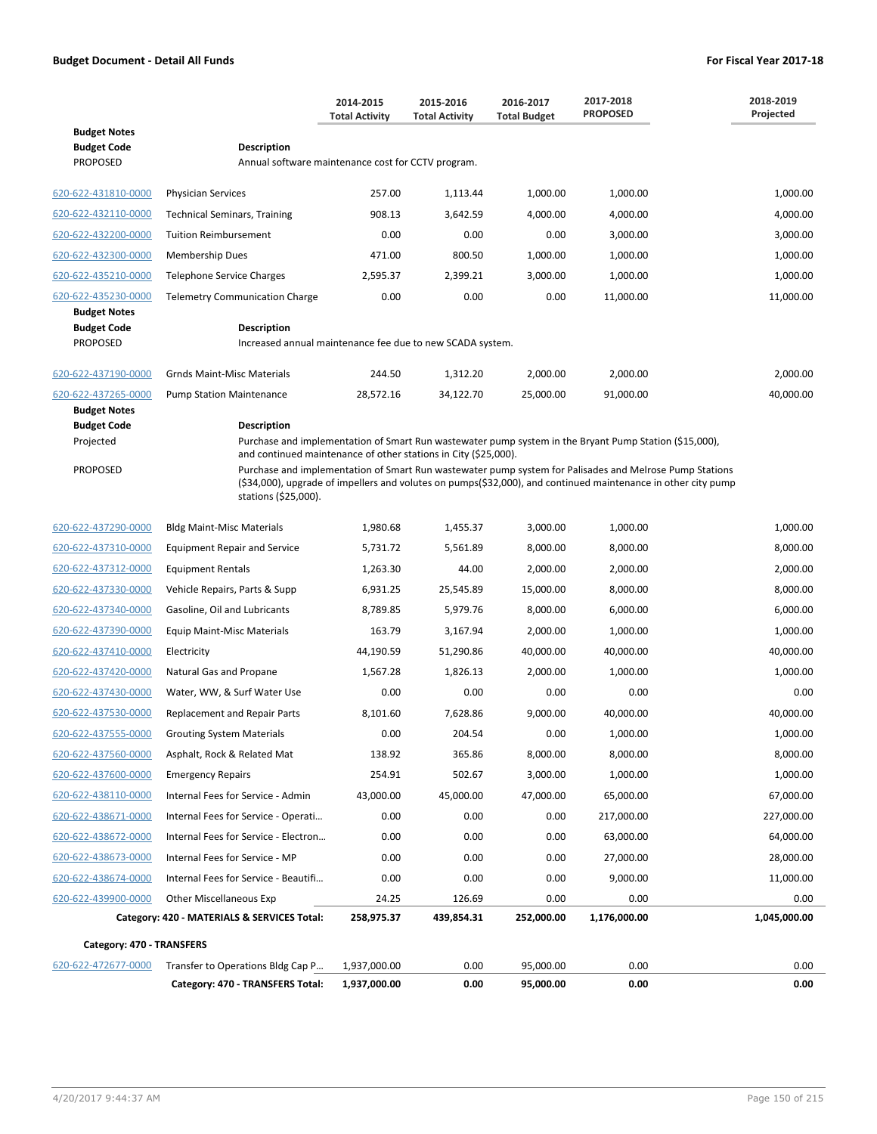|                                                              |                                                                                                                                                                                                                                                                                                                     | 2014-2015<br><b>Total Activity</b>                        | 2015-2016<br><b>Total Activity</b> | 2016-2017<br><b>Total Budget</b> | 2017-2018<br><b>PROPOSED</b> | 2018-2019<br>Projected |  |  |  |
|--------------------------------------------------------------|---------------------------------------------------------------------------------------------------------------------------------------------------------------------------------------------------------------------------------------------------------------------------------------------------------------------|-----------------------------------------------------------|------------------------------------|----------------------------------|------------------------------|------------------------|--|--|--|
| <b>Budget Notes</b><br><b>Budget Code</b><br><b>PROPOSED</b> | <b>Description</b><br>Annual software maintenance cost for CCTV program.                                                                                                                                                                                                                                            |                                                           |                                    |                                  |                              |                        |  |  |  |
|                                                              |                                                                                                                                                                                                                                                                                                                     |                                                           |                                    |                                  |                              |                        |  |  |  |
| 620-622-431810-0000                                          | <b>Physician Services</b>                                                                                                                                                                                                                                                                                           | 257.00                                                    | 1,113.44                           | 1,000.00                         | 1,000.00                     | 1,000.00               |  |  |  |
| 620-622-432110-0000                                          | <b>Technical Seminars, Training</b>                                                                                                                                                                                                                                                                                 | 908.13                                                    | 3,642.59                           | 4,000.00                         | 4,000.00                     | 4,000.00               |  |  |  |
| 620-622-432200-0000                                          | <b>Tuition Reimbursement</b>                                                                                                                                                                                                                                                                                        | 0.00                                                      | 0.00                               | 0.00                             | 3,000.00                     | 3,000.00               |  |  |  |
| 620-622-432300-0000                                          | <b>Membership Dues</b>                                                                                                                                                                                                                                                                                              | 471.00                                                    | 800.50                             | 1,000.00                         | 1,000.00                     | 1,000.00               |  |  |  |
| 620-622-435210-0000                                          | <b>Telephone Service Charges</b>                                                                                                                                                                                                                                                                                    | 2,595.37                                                  | 2,399.21                           | 3,000.00                         | 1,000.00                     | 1,000.00               |  |  |  |
| 620-622-435230-0000<br><b>Budget Notes</b>                   | <b>Telemetry Communication Charge</b>                                                                                                                                                                                                                                                                               | 0.00                                                      | 0.00                               | 0.00                             | 11,000.00                    | 11,000.00              |  |  |  |
| <b>Budget Code</b><br><b>PROPOSED</b>                        | <b>Description</b>                                                                                                                                                                                                                                                                                                  | Increased annual maintenance fee due to new SCADA system. |                                    |                                  |                              |                        |  |  |  |
| 620-622-437190-0000                                          | <b>Grnds Maint-Misc Materials</b>                                                                                                                                                                                                                                                                                   | 244.50                                                    | 1,312.20                           | 2,000.00                         | 2,000.00                     | 2,000.00               |  |  |  |
| 620-622-437265-0000<br><b>Budget Notes</b>                   | <b>Pump Station Maintenance</b>                                                                                                                                                                                                                                                                                     | 28,572.16                                                 | 34,122.70                          | 25,000.00                        | 91,000.00                    | 40,000.00              |  |  |  |
| <b>Budget Code</b><br>Projected                              | <b>Description</b><br>Purchase and implementation of Smart Run wastewater pump system in the Bryant Pump Station (\$15,000),                                                                                                                                                                                        |                                                           |                                    |                                  |                              |                        |  |  |  |
| <b>PROPOSED</b>                                              | and continued maintenance of other stations in City (\$25,000).<br>Purchase and implementation of Smart Run wastewater pump system for Palisades and Melrose Pump Stations<br>(\$34,000), upgrade of impellers and volutes on pumps(\$32,000), and continued maintenance in other city pump<br>stations (\$25,000). |                                                           |                                    |                                  |                              |                        |  |  |  |
| 620-622-437290-0000                                          | <b>Bldg Maint-Misc Materials</b>                                                                                                                                                                                                                                                                                    | 1,980.68                                                  | 1,455.37                           | 3,000.00                         | 1,000.00                     | 1,000.00               |  |  |  |
| 620-622-437310-0000                                          | <b>Equipment Repair and Service</b>                                                                                                                                                                                                                                                                                 | 5,731.72                                                  | 5,561.89                           | 8,000.00                         | 8,000.00                     | 8,000.00               |  |  |  |
| 620-622-437312-0000                                          | <b>Equipment Rentals</b>                                                                                                                                                                                                                                                                                            | 1,263.30                                                  | 44.00                              | 2,000.00                         | 2,000.00                     | 2,000.00               |  |  |  |
| 620-622-437330-0000                                          | Vehicle Repairs, Parts & Supp                                                                                                                                                                                                                                                                                       | 6,931.25                                                  | 25,545.89                          | 15,000.00                        | 8,000.00                     | 8,000.00               |  |  |  |
| 620-622-437340-0000                                          | Gasoline, Oil and Lubricants                                                                                                                                                                                                                                                                                        | 8,789.85                                                  | 5,979.76                           | 8,000.00                         | 6,000.00                     | 6,000.00               |  |  |  |
| 620-622-437390-0000                                          | <b>Equip Maint-Misc Materials</b>                                                                                                                                                                                                                                                                                   | 163.79                                                    | 3,167.94                           | 2,000.00                         | 1,000.00                     | 1,000.00               |  |  |  |
| 620-622-437410-0000                                          | Electricity                                                                                                                                                                                                                                                                                                         | 44,190.59                                                 | 51,290.86                          | 40,000.00                        | 40,000.00                    | 40,000.00              |  |  |  |
| 620-622-437420-0000                                          | Natural Gas and Propane                                                                                                                                                                                                                                                                                             | 1,567.28                                                  | 1,826.13                           | 2,000.00                         | 1,000.00                     | 1,000.00               |  |  |  |
| 620-622-437430-0000                                          | Water, WW, & Surf Water Use                                                                                                                                                                                                                                                                                         | 0.00                                                      | 0.00                               | 0.00                             | 0.00                         | 0.00                   |  |  |  |
| 620-622-437530-0000                                          | Replacement and Repair Parts                                                                                                                                                                                                                                                                                        | 8,101.60                                                  | 7,628.86                           | 9,000.00                         | 40,000.00                    | 40,000.00              |  |  |  |
| 620-622-437555-0000                                          | <b>Grouting System Materials</b>                                                                                                                                                                                                                                                                                    | 0.00                                                      | 204.54                             | 0.00                             | 1,000.00                     | 1,000.00               |  |  |  |
| 620-622-437560-0000                                          | Asphalt, Rock & Related Mat                                                                                                                                                                                                                                                                                         | 138.92                                                    | 365.86                             | 8,000.00                         | 8,000.00                     | 8,000.00               |  |  |  |
| 620-622-437600-0000                                          | <b>Emergency Repairs</b>                                                                                                                                                                                                                                                                                            | 254.91                                                    | 502.67                             | 3,000.00                         | 1,000.00                     | 1,000.00               |  |  |  |
| 620-622-438110-0000                                          | Internal Fees for Service - Admin                                                                                                                                                                                                                                                                                   | 43,000.00                                                 | 45,000.00                          | 47,000.00                        | 65,000.00                    | 67,000.00              |  |  |  |
| 620-622-438671-0000                                          | Internal Fees for Service - Operati                                                                                                                                                                                                                                                                                 | 0.00                                                      | 0.00                               | 0.00                             | 217,000.00                   | 227,000.00             |  |  |  |
| 620-622-438672-0000                                          | Internal Fees for Service - Electron                                                                                                                                                                                                                                                                                | 0.00                                                      | 0.00                               | 0.00                             | 63,000.00                    | 64,000.00              |  |  |  |
| 620-622-438673-0000                                          | Internal Fees for Service - MP                                                                                                                                                                                                                                                                                      | 0.00                                                      | 0.00                               | 0.00                             | 27,000.00                    | 28,000.00              |  |  |  |
| 620-622-438674-0000                                          | Internal Fees for Service - Beautifi                                                                                                                                                                                                                                                                                | 0.00                                                      | 0.00                               | 0.00                             | 9,000.00                     | 11,000.00              |  |  |  |
| 620-622-439900-0000                                          | <b>Other Miscellaneous Exp</b>                                                                                                                                                                                                                                                                                      | 24.25                                                     | 126.69                             | 0.00                             | 0.00                         | 0.00                   |  |  |  |
|                                                              | Category: 420 - MATERIALS & SERVICES Total:                                                                                                                                                                                                                                                                         | 258,975.37                                                | 439,854.31                         | 252,000.00                       | 1,176,000.00                 | 1,045,000.00           |  |  |  |
| Category: 470 - TRANSFERS                                    |                                                                                                                                                                                                                                                                                                                     |                                                           |                                    |                                  |                              |                        |  |  |  |
| 620-622-472677-0000                                          | Transfer to Operations Bldg Cap P                                                                                                                                                                                                                                                                                   | 1,937,000.00                                              | 0.00                               | 95,000.00                        | 0.00                         | 0.00                   |  |  |  |
|                                                              | Category: 470 - TRANSFERS Total:                                                                                                                                                                                                                                                                                    | 1,937,000.00                                              | 0.00                               | 95,000.00                        | 0.00                         | 0.00                   |  |  |  |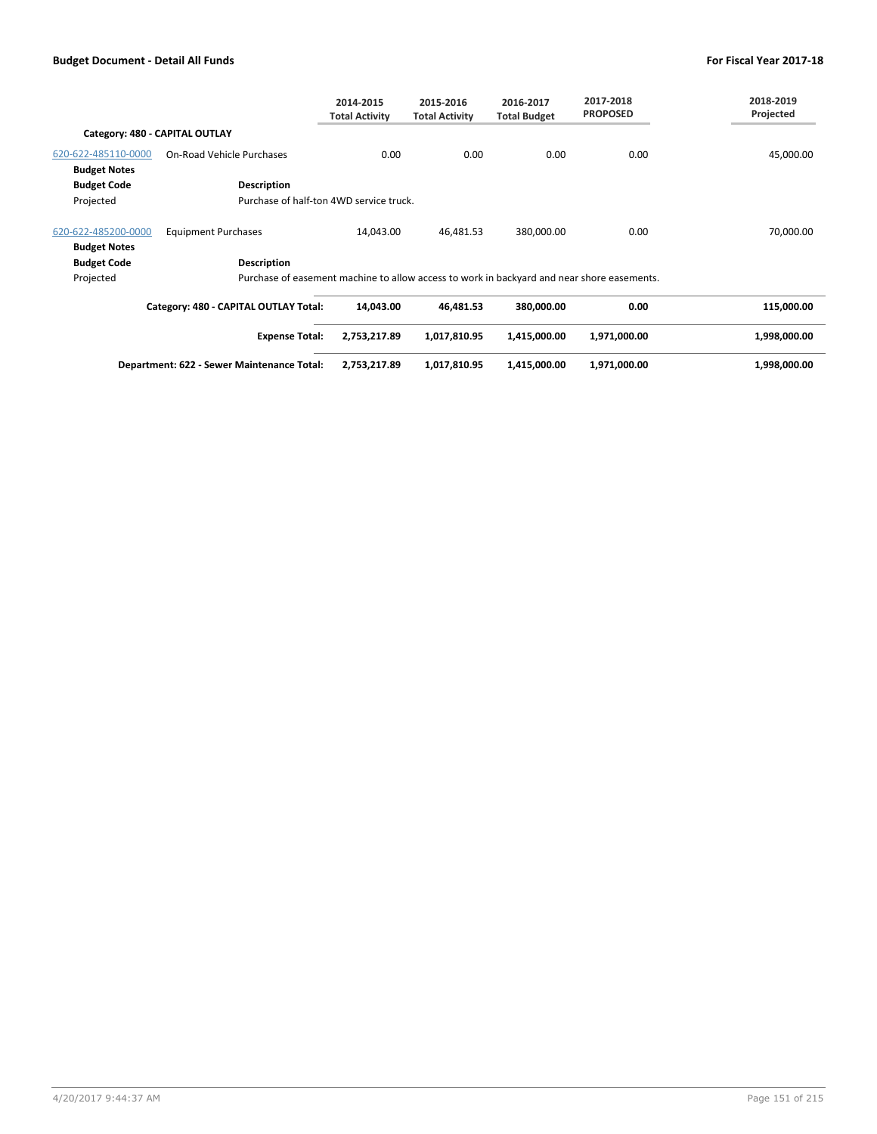|                     |                                                                                            | 2014-2015<br><b>Total Activity</b> | 2015-2016<br><b>Total Activity</b> | 2016-2017<br><b>Total Budget</b> | 2017-2018<br><b>PROPOSED</b> | 2018-2019<br>Projected |
|---------------------|--------------------------------------------------------------------------------------------|------------------------------------|------------------------------------|----------------------------------|------------------------------|------------------------|
|                     | Category: 480 - CAPITAL OUTLAY                                                             |                                    |                                    |                                  |                              |                        |
| 620-622-485110-0000 | On-Road Vehicle Purchases                                                                  | 0.00                               | 0.00                               | 0.00                             | 0.00                         | 45,000.00              |
| <b>Budget Notes</b> |                                                                                            |                                    |                                    |                                  |                              |                        |
| <b>Budget Code</b>  | <b>Description</b>                                                                         |                                    |                                    |                                  |                              |                        |
| Projected           | Purchase of half-ton 4WD service truck.                                                    |                                    |                                    |                                  |                              |                        |
| 620-622-485200-0000 | <b>Equipment Purchases</b>                                                                 | 14,043.00                          | 46,481.53                          | 380,000.00                       | 0.00                         | 70,000.00              |
| <b>Budget Notes</b> |                                                                                            |                                    |                                    |                                  |                              |                        |
| <b>Budget Code</b>  | <b>Description</b>                                                                         |                                    |                                    |                                  |                              |                        |
| Projected           | Purchase of easement machine to allow access to work in backyard and near shore easements. |                                    |                                    |                                  |                              |                        |
|                     | Category: 480 - CAPITAL OUTLAY Total:                                                      | 14,043.00                          | 46,481.53                          | 380,000.00                       | 0.00                         | 115,000.00             |
|                     | <b>Expense Total:</b>                                                                      | 2,753,217.89                       | 1,017,810.95                       | 1,415,000.00                     | 1,971,000.00                 | 1,998,000.00           |

| Department: 622 - Sewer Maintenance Total: | 2.753.217.89 | 1.017.810.95 | 1.415.000.00 | 1.000.00 ؍<br>1.971 | .998.000.00 |
|--------------------------------------------|--------------|--------------|--------------|---------------------|-------------|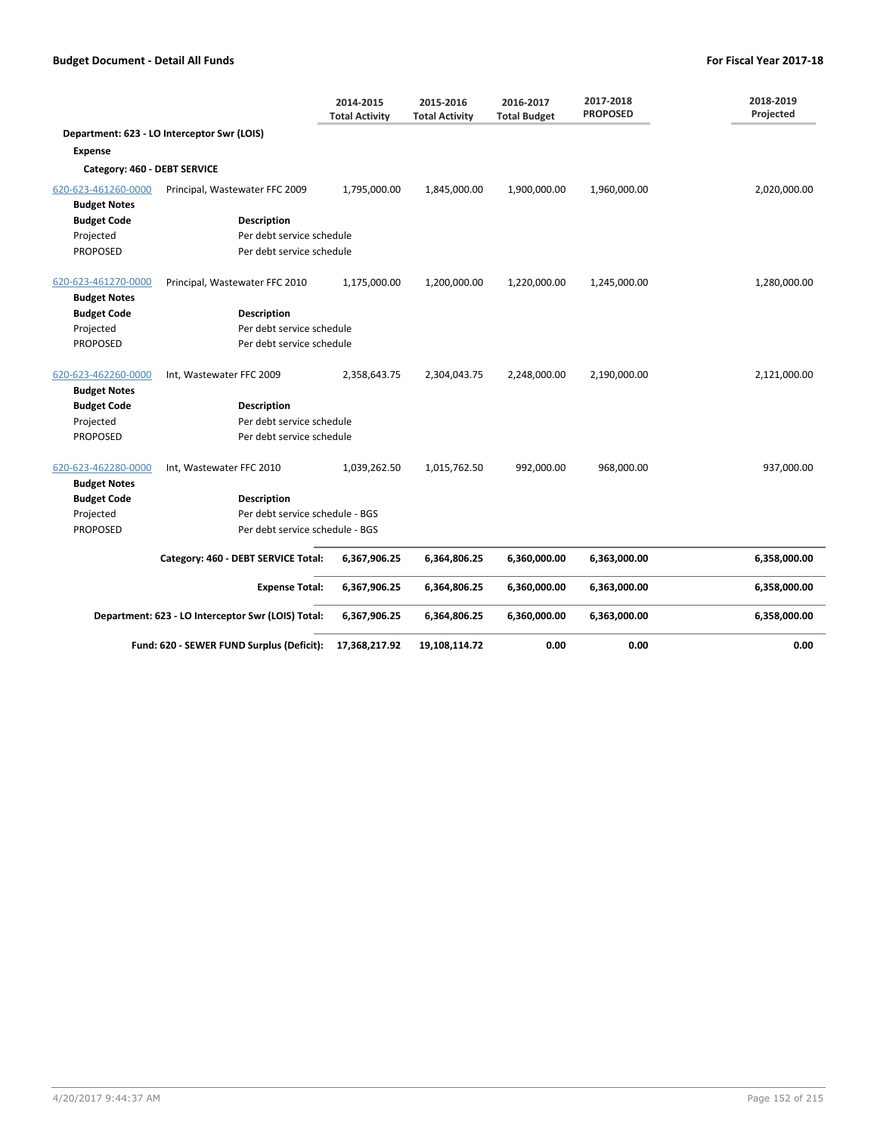|                              |                                                    | 2014-2015<br><b>Total Activity</b> | 2015-2016<br><b>Total Activity</b> | 2016-2017<br><b>Total Budget</b> | 2017-2018<br><b>PROPOSED</b> | 2018-2019<br>Projected |
|------------------------------|----------------------------------------------------|------------------------------------|------------------------------------|----------------------------------|------------------------------|------------------------|
|                              | Department: 623 - LO Interceptor Swr (LOIS)        |                                    |                                    |                                  |                              |                        |
| Expense                      |                                                    |                                    |                                    |                                  |                              |                        |
| Category: 460 - DEBT SERVICE |                                                    |                                    |                                    |                                  |                              |                        |
| 620-623-461260-0000          | Principal, Wastewater FFC 2009                     | 1,795,000.00                       | 1,845,000.00                       | 1,900,000.00                     | 1,960,000.00                 | 2,020,000.00           |
| <b>Budget Notes</b>          |                                                    |                                    |                                    |                                  |                              |                        |
| <b>Budget Code</b>           | <b>Description</b>                                 |                                    |                                    |                                  |                              |                        |
| Projected                    | Per debt service schedule                          |                                    |                                    |                                  |                              |                        |
| <b>PROPOSED</b>              | Per debt service schedule                          |                                    |                                    |                                  |                              |                        |
| 620-623-461270-0000          | Principal, Wastewater FFC 2010                     | 1,175,000.00                       | 1,200,000.00                       | 1,220,000.00                     | 1,245,000.00                 | 1,280,000.00           |
| <b>Budget Notes</b>          |                                                    |                                    |                                    |                                  |                              |                        |
| <b>Budget Code</b>           | <b>Description</b>                                 |                                    |                                    |                                  |                              |                        |
| Projected                    | Per debt service schedule                          |                                    |                                    |                                  |                              |                        |
| <b>PROPOSED</b>              | Per debt service schedule                          |                                    |                                    |                                  |                              |                        |
| 620-623-462260-0000          | Int, Wastewater FFC 2009                           | 2,358,643.75                       | 2,304,043.75                       | 2,248,000.00                     | 2,190,000.00                 | 2,121,000.00           |
| <b>Budget Notes</b>          |                                                    |                                    |                                    |                                  |                              |                        |
| <b>Budget Code</b>           | <b>Description</b>                                 |                                    |                                    |                                  |                              |                        |
| Projected                    | Per debt service schedule                          |                                    |                                    |                                  |                              |                        |
| <b>PROPOSED</b>              | Per debt service schedule                          |                                    |                                    |                                  |                              |                        |
| 620-623-462280-0000          | Int, Wastewater FFC 2010                           | 1,039,262.50                       | 1,015,762.50                       | 992,000.00                       | 968,000.00                   | 937,000.00             |
| <b>Budget Notes</b>          |                                                    |                                    |                                    |                                  |                              |                        |
| <b>Budget Code</b>           | <b>Description</b>                                 |                                    |                                    |                                  |                              |                        |
| Projected                    | Per debt service schedule - BGS                    |                                    |                                    |                                  |                              |                        |
| <b>PROPOSED</b>              | Per debt service schedule - BGS                    |                                    |                                    |                                  |                              |                        |
|                              | Category: 460 - DEBT SERVICE Total:                | 6,367,906.25                       | 6,364,806.25                       | 6,360,000.00                     | 6,363,000.00                 | 6,358,000.00           |
|                              | <b>Expense Total:</b>                              | 6,367,906.25                       | 6,364,806.25                       | 6,360,000.00                     | 6,363,000.00                 | 6,358,000.00           |
|                              | Department: 623 - LO Interceptor Swr (LOIS) Total: | 6,367,906.25                       | 6,364,806.25                       | 6,360,000.00                     | 6,363,000.00                 | 6,358,000.00           |
|                              | Fund: 620 - SEWER FUND Surplus (Deficit):          | 17,368,217.92                      | 19,108,114.72                      | 0.00                             | 0.00                         | 0.00                   |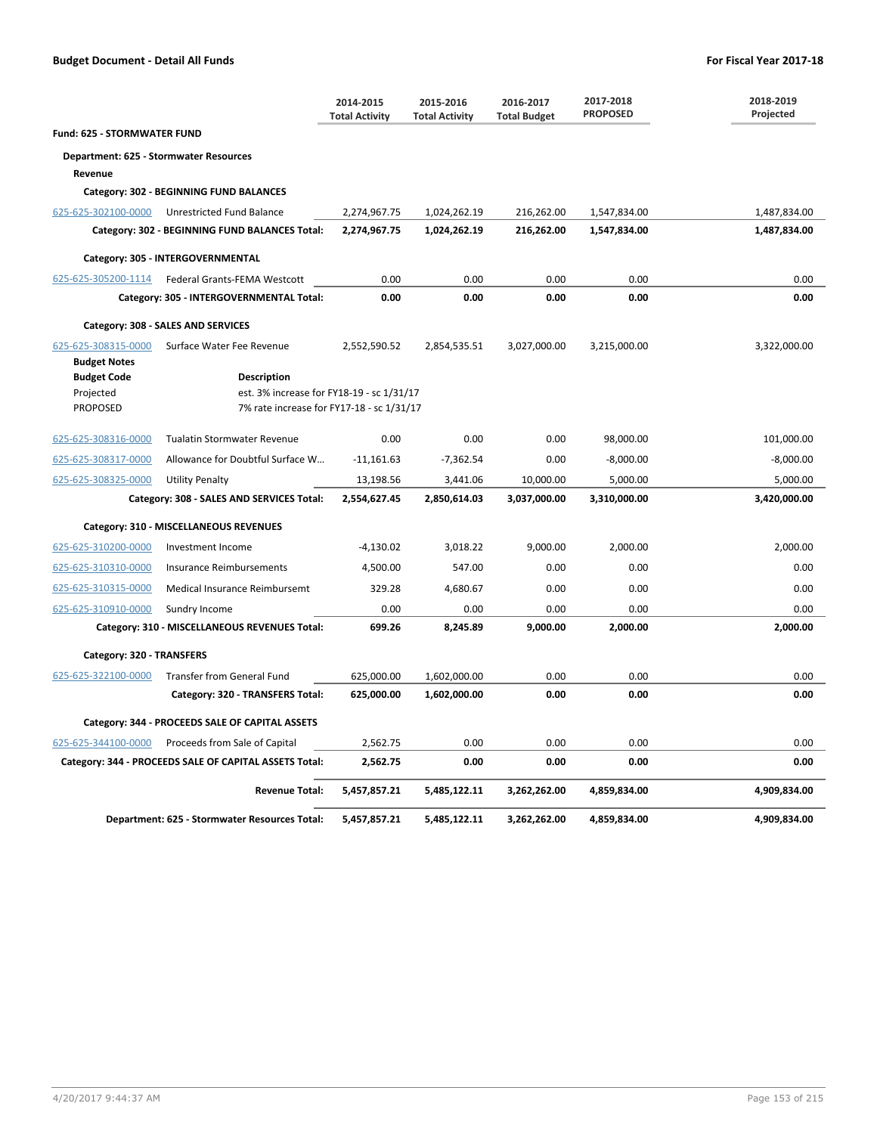|                                                                                                                        |                                                        | 2014-2015<br><b>Total Activity</b> | 2015-2016<br><b>Total Activity</b> | 2016-2017<br><b>Total Budget</b> | 2017-2018<br><b>PROPOSED</b> | 2018-2019<br>Projected |  |  |
|------------------------------------------------------------------------------------------------------------------------|--------------------------------------------------------|------------------------------------|------------------------------------|----------------------------------|------------------------------|------------------------|--|--|
| Fund: 625 - STORMWATER FUND                                                                                            |                                                        |                                    |                                    |                                  |                              |                        |  |  |
| Department: 625 - Stormwater Resources                                                                                 |                                                        |                                    |                                    |                                  |                              |                        |  |  |
| Revenue                                                                                                                |                                                        |                                    |                                    |                                  |                              |                        |  |  |
|                                                                                                                        | Category: 302 - BEGINNING FUND BALANCES                |                                    |                                    |                                  |                              |                        |  |  |
| 625-625-302100-0000                                                                                                    | Unrestricted Fund Balance                              | 2,274,967.75                       | 1,024,262.19                       | 216,262.00                       | 1,547,834.00                 | 1,487,834.00           |  |  |
|                                                                                                                        | Category: 302 - BEGINNING FUND BALANCES Total:         | 2,274,967.75                       | 1,024,262.19                       | 216,262.00                       | 1,547,834.00                 | 1,487,834.00           |  |  |
|                                                                                                                        | Category: 305 - INTERGOVERNMENTAL                      |                                    |                                    |                                  |                              |                        |  |  |
| 625-625-305200-1114                                                                                                    | Federal Grants-FEMA Westcott                           | 0.00                               | 0.00                               | 0.00                             | 0.00                         | 0.00                   |  |  |
|                                                                                                                        | Category: 305 - INTERGOVERNMENTAL Total:               | 0.00                               | 0.00                               | 0.00                             | 0.00                         | 0.00                   |  |  |
|                                                                                                                        | Category: 308 - SALES AND SERVICES                     |                                    |                                    |                                  |                              |                        |  |  |
| 625-625-308315-0000                                                                                                    | Surface Water Fee Revenue                              | 2,552,590.52                       | 2,854,535.51                       | 3,027,000.00                     | 3,215,000.00                 | 3,322,000.00           |  |  |
| <b>Budget Notes</b>                                                                                                    |                                                        |                                    |                                    |                                  |                              |                        |  |  |
| <b>Budget Code</b>                                                                                                     | <b>Description</b>                                     |                                    |                                    |                                  |                              |                        |  |  |
| est. 3% increase for FY18-19 - sc 1/31/17<br>Projected<br><b>PROPOSED</b><br>7% rate increase for FY17-18 - sc 1/31/17 |                                                        |                                    |                                    |                                  |                              |                        |  |  |
|                                                                                                                        |                                                        |                                    |                                    |                                  |                              |                        |  |  |
| 625-625-308316-0000                                                                                                    | <b>Tualatin Stormwater Revenue</b>                     | 0.00                               | 0.00                               | 0.00                             | 98,000.00                    | 101,000.00             |  |  |
| 625-625-308317-0000                                                                                                    | Allowance for Doubtful Surface W                       | $-11,161.63$                       | $-7,362.54$                        | 0.00                             | $-8,000.00$                  | $-8,000.00$            |  |  |
| 625-625-308325-0000                                                                                                    | <b>Utility Penalty</b>                                 | 13,198.56                          | 3,441.06                           | 10,000.00                        | 5,000.00                     | 5,000.00               |  |  |
|                                                                                                                        | Category: 308 - SALES AND SERVICES Total:              | 2,554,627.45                       | 2,850,614.03                       | 3,037,000.00                     | 3,310,000.00                 | 3,420,000.00           |  |  |
|                                                                                                                        | Category: 310 - MISCELLANEOUS REVENUES                 |                                    |                                    |                                  |                              |                        |  |  |
| 625-625-310200-0000                                                                                                    | Investment Income                                      | $-4,130.02$                        | 3,018.22                           | 9,000.00                         | 2,000.00                     | 2,000.00               |  |  |
| 625-625-310310-0000                                                                                                    | Insurance Reimbursements                               | 4,500.00                           | 547.00                             | 0.00                             | 0.00                         | 0.00                   |  |  |
| 625-625-310315-0000                                                                                                    | Medical Insurance Reimbursemt                          | 329.28                             | 4,680.67                           | 0.00                             | 0.00                         | 0.00                   |  |  |
| 625-625-310910-0000                                                                                                    | Sundry Income                                          | 0.00                               | 0.00                               | 0.00                             | 0.00                         | 0.00                   |  |  |
|                                                                                                                        | Category: 310 - MISCELLANEOUS REVENUES Total:          | 699.26                             | 8,245.89                           | 9,000.00                         | 2,000.00                     | 2,000.00               |  |  |
| Category: 320 - TRANSFERS                                                                                              |                                                        |                                    |                                    |                                  |                              |                        |  |  |
| 625-625-322100-0000                                                                                                    | Transfer from General Fund                             | 625,000.00                         | 1,602,000.00                       | 0.00                             | 0.00                         | 0.00                   |  |  |
|                                                                                                                        | Category: 320 - TRANSFERS Total:                       | 625,000.00                         | 1,602,000.00                       | 0.00                             | 0.00                         | 0.00                   |  |  |
|                                                                                                                        | Category: 344 - PROCEEDS SALE OF CAPITAL ASSETS        |                                    |                                    |                                  |                              |                        |  |  |
| 625-625-344100-0000                                                                                                    | Proceeds from Sale of Capital                          | 2,562.75                           | 0.00                               | 0.00                             | 0.00                         | 0.00                   |  |  |
|                                                                                                                        | Category: 344 - PROCEEDS SALE OF CAPITAL ASSETS Total: | 2,562.75                           | 0.00                               | 0.00                             | 0.00                         | 0.00                   |  |  |
|                                                                                                                        | <b>Revenue Total:</b>                                  | 5,457,857.21                       | 5,485,122.11                       | 3,262,262.00                     | 4,859,834.00                 | 4,909,834.00           |  |  |
|                                                                                                                        | Department: 625 - Stormwater Resources Total:          | 5,457,857.21                       | 5,485,122.11                       | 3,262,262.00                     | 4,859,834.00                 | 4,909,834.00           |  |  |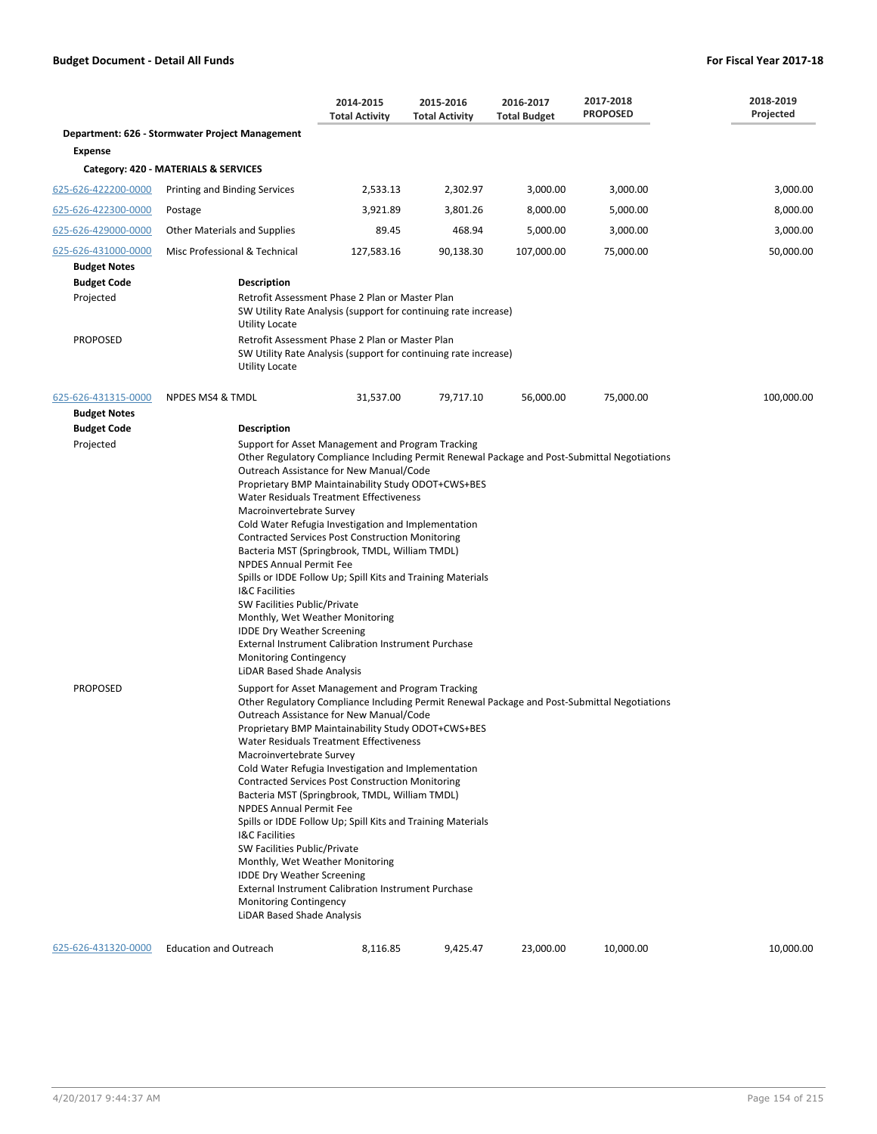|                                                        |                                                                                                                                                                                                                                                     | 2014-2015<br><b>Total Activity</b>                                                                                                                                                                                                                                                                                                                                                                                                                                                                                                | 2015-2016<br><b>Total Activity</b> | 2016-2017<br><b>Total Budget</b> | 2017-2018<br><b>PROPOSED</b>                                                                 | 2018-2019<br>Projected |
|--------------------------------------------------------|-----------------------------------------------------------------------------------------------------------------------------------------------------------------------------------------------------------------------------------------------------|-----------------------------------------------------------------------------------------------------------------------------------------------------------------------------------------------------------------------------------------------------------------------------------------------------------------------------------------------------------------------------------------------------------------------------------------------------------------------------------------------------------------------------------|------------------------------------|----------------------------------|----------------------------------------------------------------------------------------------|------------------------|
|                                                        | Department: 626 - Stormwater Project Management                                                                                                                                                                                                     |                                                                                                                                                                                                                                                                                                                                                                                                                                                                                                                                   |                                    |                                  |                                                                                              |                        |
| <b>Expense</b>                                         |                                                                                                                                                                                                                                                     |                                                                                                                                                                                                                                                                                                                                                                                                                                                                                                                                   |                                    |                                  |                                                                                              |                        |
|                                                        | Category: 420 - MATERIALS & SERVICES                                                                                                                                                                                                                |                                                                                                                                                                                                                                                                                                                                                                                                                                                                                                                                   |                                    |                                  |                                                                                              |                        |
| 625-626-422200-0000                                    | Printing and Binding Services                                                                                                                                                                                                                       | 2,533.13                                                                                                                                                                                                                                                                                                                                                                                                                                                                                                                          | 2,302.97                           | 3,000.00                         | 3,000.00                                                                                     | 3,000.00               |
| 625-626-422300-0000                                    | Postage                                                                                                                                                                                                                                             | 3,921.89                                                                                                                                                                                                                                                                                                                                                                                                                                                                                                                          | 3,801.26                           | 8,000.00                         | 5,000.00                                                                                     | 8,000.00               |
| 625-626-429000-0000                                    | Other Materials and Supplies                                                                                                                                                                                                                        | 89.45                                                                                                                                                                                                                                                                                                                                                                                                                                                                                                                             | 468.94                             | 5,000.00                         | 3,000.00                                                                                     | 3,000.00               |
| 625-626-431000-0000                                    | Misc Professional & Technical                                                                                                                                                                                                                       | 127,583.16                                                                                                                                                                                                                                                                                                                                                                                                                                                                                                                        | 90,138.30                          | 107,000.00                       | 75,000.00                                                                                    | 50,000.00              |
| <b>Budget Notes</b><br><b>Budget Code</b><br>Projected | <b>Description</b>                                                                                                                                                                                                                                  | Retrofit Assessment Phase 2 Plan or Master Plan<br>SW Utility Rate Analysis (support for continuing rate increase)                                                                                                                                                                                                                                                                                                                                                                                                                |                                    |                                  |                                                                                              |                        |
| <b>PROPOSED</b>                                        | <b>Utility Locate</b><br><b>Utility Locate</b>                                                                                                                                                                                                      | Retrofit Assessment Phase 2 Plan or Master Plan<br>SW Utility Rate Analysis (support for continuing rate increase)                                                                                                                                                                                                                                                                                                                                                                                                                |                                    |                                  |                                                                                              |                        |
| 625-626-431315-0000<br><b>Budget Notes</b>             | <b>NPDES MS4 &amp; TMDL</b>                                                                                                                                                                                                                         | 31,537.00                                                                                                                                                                                                                                                                                                                                                                                                                                                                                                                         | 79,717.10                          | 56,000.00                        | 75,000.00                                                                                    | 100,000.00             |
| <b>Budget Code</b><br>Projected                        | <b>Description</b><br>Macroinvertebrate Survey<br><b>NPDES Annual Permit Fee</b><br><b>I&amp;C Facilities</b><br>SW Facilities Public/Private<br><b>IDDE Dry Weather Screening</b><br>Monitoring Contingency<br>LiDAR Based Shade Analysis          | Support for Asset Management and Program Tracking<br>Outreach Assistance for New Manual/Code<br>Proprietary BMP Maintainability Study ODOT+CWS+BES<br>Water Residuals Treatment Effectiveness<br>Cold Water Refugia Investigation and Implementation<br><b>Contracted Services Post Construction Monitoring</b><br>Bacteria MST (Springbrook, TMDL, William TMDL)<br>Spills or IDDE Follow Up; Spill Kits and Training Materials<br>Monthly, Wet Weather Monitoring<br><b>External Instrument Calibration Instrument Purchase</b> |                                    |                                  | Other Regulatory Compliance Including Permit Renewal Package and Post-Submittal Negotiations |                        |
| <b>PROPOSED</b>                                        | Macroinvertebrate Survey<br><b>NPDES Annual Permit Fee</b><br>I&C Facilities<br>SW Facilities Public/Private<br>Monthly, Wet Weather Monitoring<br><b>IDDE Dry Weather Screening</b><br><b>Monitoring Contingency</b><br>LiDAR Based Shade Analysis | Support for Asset Management and Program Tracking<br>Outreach Assistance for New Manual/Code<br>Proprietary BMP Maintainability Study ODOT+CWS+BES<br>Water Residuals Treatment Effectiveness<br>Cold Water Refugia Investigation and Implementation<br><b>Contracted Services Post Construction Monitoring</b><br>Bacteria MST (Springbrook, TMDL, William TMDL)<br>Spills or IDDE Follow Up; Spill Kits and Training Materials<br><b>External Instrument Calibration Instrument Purchase</b>                                    |                                    |                                  | Other Regulatory Compliance Including Permit Renewal Package and Post-Submittal Negotiations |                        |
| 625-626-431320-0000                                    | <b>Education and Outreach</b>                                                                                                                                                                                                                       | 8,116.85                                                                                                                                                                                                                                                                                                                                                                                                                                                                                                                          | 9,425.47                           | 23,000.00                        | 10,000.00                                                                                    | 10,000.00              |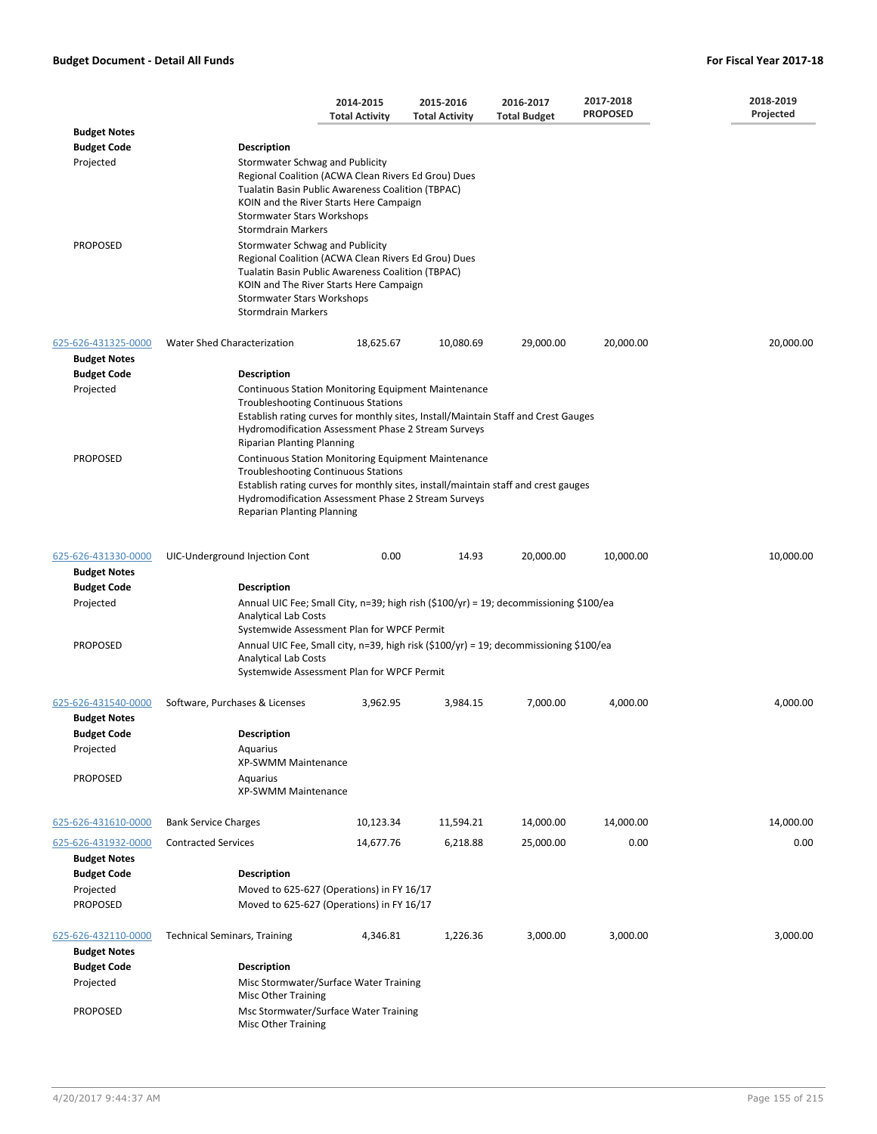|                                            |                                                                                                                                                                                                                                                                                            | 2014-2015<br><b>Total Activity</b> | 2015-2016<br><b>Total Activity</b> | 2016-2017<br><b>Total Budget</b> | 2017-2018<br><b>PROPOSED</b> | 2018-2019<br>Projected |
|--------------------------------------------|--------------------------------------------------------------------------------------------------------------------------------------------------------------------------------------------------------------------------------------------------------------------------------------------|------------------------------------|------------------------------------|----------------------------------|------------------------------|------------------------|
| <b>Budget Notes</b>                        |                                                                                                                                                                                                                                                                                            |                                    |                                    |                                  |                              |                        |
| <b>Budget Code</b>                         | <b>Description</b>                                                                                                                                                                                                                                                                         |                                    |                                    |                                  |                              |                        |
| Projected                                  | Stormwater Schwag and Publicity<br>Regional Coalition (ACWA Clean Rivers Ed Grou) Dues<br>Tualatin Basin Public Awareness Coalition (TBPAC)<br>KOIN and the River Starts Here Campaign<br>Stormwater Stars Workshops<br><b>Stormdrain Markers</b>                                          |                                    |                                    |                                  |                              |                        |
| <b>PROPOSED</b>                            | Stormwater Schwag and Publicity<br>Regional Coalition (ACWA Clean Rivers Ed Grou) Dues<br>Tualatin Basin Public Awareness Coalition (TBPAC)<br>KOIN and The River Starts Here Campaign<br>Stormwater Stars Workshops<br><b>Stormdrain Markers</b>                                          |                                    |                                    |                                  |                              |                        |
| 625-626-431325-0000<br><b>Budget Notes</b> | Water Shed Characterization                                                                                                                                                                                                                                                                | 18,625.67                          | 10,080.69                          | 29,000.00                        | 20,000.00                    | 20,000.00              |
| <b>Budget Code</b>                         | <b>Description</b>                                                                                                                                                                                                                                                                         |                                    |                                    |                                  |                              |                        |
| Projected                                  |                                                                                                                                                                                                                                                                                            |                                    |                                    |                                  |                              |                        |
|                                            | <b>Continuous Station Monitoring Equipment Maintenance</b><br><b>Troubleshooting Continuous Stations</b><br>Establish rating curves for monthly sites, Install/Maintain Staff and Crest Gauges<br>Hydromodification Assessment Phase 2 Stream Surveys<br><b>Riparian Planting Planning</b> |                                    |                                    |                                  |                              |                        |
| <b>PROPOSED</b>                            | <b>Continuous Station Monitoring Equipment Maintenance</b><br><b>Troubleshooting Continuous Stations</b><br>Establish rating curves for monthly sites, install/maintain staff and crest gauges<br>Hydromodification Assessment Phase 2 Stream Surveys<br><b>Reparian Planting Planning</b> |                                    |                                    |                                  |                              |                        |
| 625-626-431330-0000                        | UIC-Underground Injection Cont                                                                                                                                                                                                                                                             | 0.00                               | 14.93                              | 20,000.00                        | 10,000.00                    | 10,000.00              |
| <b>Budget Notes</b>                        |                                                                                                                                                                                                                                                                                            |                                    |                                    |                                  |                              |                        |
| <b>Budget Code</b>                         | <b>Description</b>                                                                                                                                                                                                                                                                         |                                    |                                    |                                  |                              |                        |
| Projected                                  | Annual UIC Fee; Small City, n=39; high rish $(\$100/yr) = 19$ ; decommissioning \$100/ea<br><b>Analytical Lab Costs</b><br>Systemwide Assessment Plan for WPCF Permit                                                                                                                      |                                    |                                    |                                  |                              |                        |
| <b>PROPOSED</b>                            | Annual UIC Fee, Small city, n=39, high risk $(\frac{5100}{yr})$ = 19; decommissioning \$100/ea<br><b>Analytical Lab Costs</b><br>Systemwide Assessment Plan for WPCF Permit                                                                                                                |                                    |                                    |                                  |                              |                        |
| 625-626-431540-0000<br><b>Budget Notes</b> | Software, Purchases & Licenses                                                                                                                                                                                                                                                             | 3,962.95                           | 3,984.15                           | 7,000.00                         | 4,000.00                     | 4.000.00               |
| <b>Budget Code</b>                         | <b>Description</b>                                                                                                                                                                                                                                                                         |                                    |                                    |                                  |                              |                        |
| Projected                                  | Aquarius<br>XP-SWMM Maintenance                                                                                                                                                                                                                                                            |                                    |                                    |                                  |                              |                        |
| <b>PROPOSED</b>                            | Aquarius<br>XP-SWMM Maintenance                                                                                                                                                                                                                                                            |                                    |                                    |                                  |                              |                        |
| 625-626-431610-0000                        | <b>Bank Service Charges</b>                                                                                                                                                                                                                                                                | 10,123.34                          | 11,594.21                          | 14,000.00                        | 14,000.00                    | 14,000.00              |
| 625-626-431932-0000                        | <b>Contracted Services</b>                                                                                                                                                                                                                                                                 | 14,677.76                          | 6,218.88                           | 25,000.00                        | 0.00                         | 0.00                   |
| <b>Budget Notes</b>                        |                                                                                                                                                                                                                                                                                            |                                    |                                    |                                  |                              |                        |
| <b>Budget Code</b>                         | <b>Description</b>                                                                                                                                                                                                                                                                         |                                    |                                    |                                  |                              |                        |
| Projected                                  | Moved to 625-627 (Operations) in FY 16/17                                                                                                                                                                                                                                                  |                                    |                                    |                                  |                              |                        |
| <b>PROPOSED</b>                            | Moved to 625-627 (Operations) in FY 16/17                                                                                                                                                                                                                                                  |                                    |                                    |                                  |                              |                        |
| 625-626-432110-0000<br><b>Budget Notes</b> | <b>Technical Seminars, Training</b>                                                                                                                                                                                                                                                        | 4,346.81                           | 1,226.36                           | 3,000.00                         | 3,000.00                     | 3,000.00               |
| <b>Budget Code</b>                         | <b>Description</b>                                                                                                                                                                                                                                                                         |                                    |                                    |                                  |                              |                        |
| Projected                                  | Misc Stormwater/Surface Water Training<br>Misc Other Training                                                                                                                                                                                                                              |                                    |                                    |                                  |                              |                        |
| <b>PROPOSED</b>                            | Msc Stormwater/Surface Water Training<br>Misc Other Training                                                                                                                                                                                                                               |                                    |                                    |                                  |                              |                        |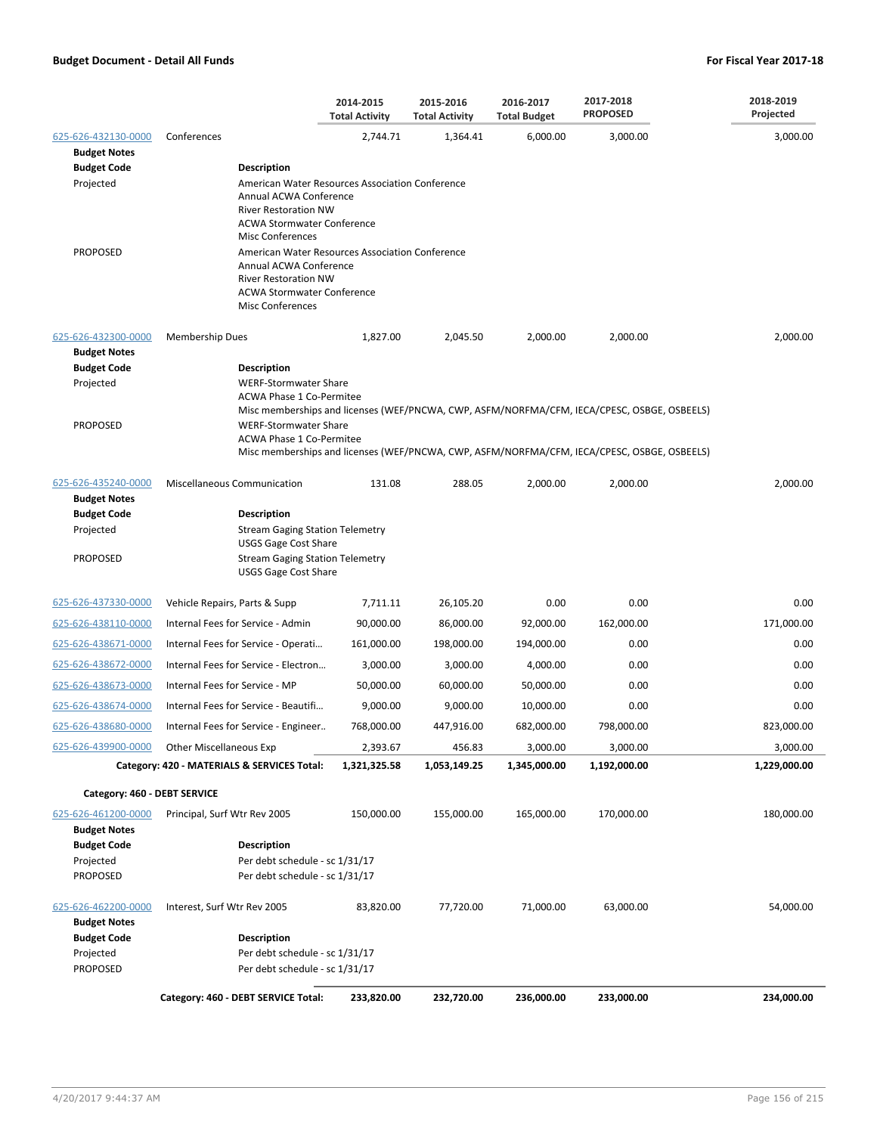|                                                                                                  |                                                                                                                                                                          | 2014-2015<br><b>Total Activity</b>                                                                                                            | 2015-2016<br><b>Total Activity</b> | 2016-2017<br><b>Total Budget</b> | 2017-2018<br><b>PROPOSED</b> | 2018-2019<br>Projected |  |  |
|--------------------------------------------------------------------------------------------------|--------------------------------------------------------------------------------------------------------------------------------------------------------------------------|-----------------------------------------------------------------------------------------------------------------------------------------------|------------------------------------|----------------------------------|------------------------------|------------------------|--|--|
| 625-626-432130-0000                                                                              | Conferences                                                                                                                                                              | 2,744.71                                                                                                                                      | 1,364.41                           | 6,000.00                         | 3,000.00                     | 3,000.00               |  |  |
| <b>Budget Notes</b>                                                                              |                                                                                                                                                                          |                                                                                                                                               |                                    |                                  |                              |                        |  |  |
| <b>Budget Code</b>                                                                               | <b>Description</b>                                                                                                                                                       |                                                                                                                                               |                                    |                                  |                              |                        |  |  |
| Projected                                                                                        | <b>Misc Conferences</b>                                                                                                                                                  | American Water Resources Association Conference<br>Annual ACWA Conference<br><b>River Restoration NW</b><br><b>ACWA Stormwater Conference</b> |                                    |                                  |                              |                        |  |  |
| <b>PROPOSED</b>                                                                                  | American Water Resources Association Conference<br>Annual ACWA Conference<br><b>River Restoration NW</b><br><b>ACWA Stormwater Conference</b><br><b>Misc Conferences</b> |                                                                                                                                               |                                    |                                  |                              |                        |  |  |
| 625-626-432300-0000<br><b>Budget Notes</b>                                                       | <b>Membership Dues</b>                                                                                                                                                   | 1,827.00                                                                                                                                      | 2,045.50                           | 2,000.00                         | 2,000.00                     | 2,000.00               |  |  |
| <b>Budget Code</b>                                                                               | Description                                                                                                                                                              |                                                                                                                                               |                                    |                                  |                              |                        |  |  |
| Projected                                                                                        | <b>WERF-Stormwater Share</b><br><b>ACWA Phase 1 Co-Permitee</b><br>Misc memberships and licenses (WEF/PNCWA, CWP, ASFM/NORFMA/CFM, IECA/CPESC, OSBGE, OSBEELS)           |                                                                                                                                               |                                    |                                  |                              |                        |  |  |
| <b>PROPOSED</b>                                                                                  | <b>WERF-Stormwater Share</b><br><b>ACWA Phase 1 Co-Permitee</b><br>Misc memberships and licenses (WEF/PNCWA, CWP, ASFM/NORFMA/CFM, IECA/CPESC, OSBGE, OSBEELS)           |                                                                                                                                               |                                    |                                  |                              |                        |  |  |
|                                                                                                  |                                                                                                                                                                          |                                                                                                                                               |                                    |                                  |                              |                        |  |  |
| 625-626-435240-0000<br><b>Budget Notes</b>                                                       | <b>Miscellaneous Communication</b>                                                                                                                                       | 131.08                                                                                                                                        | 288.05                             | 2,000.00                         | 2,000.00                     | 2,000.00               |  |  |
| <b>Budget Code</b><br>Projected                                                                  | <b>Description</b><br><b>Stream Gaging Station Telemetry</b>                                                                                                             |                                                                                                                                               |                                    |                                  |                              |                        |  |  |
|                                                                                                  | <b>USGS Gage Cost Share</b>                                                                                                                                              |                                                                                                                                               |                                    |                                  |                              |                        |  |  |
| <b>PROPOSED</b>                                                                                  | <b>Stream Gaging Station Telemetry</b><br><b>USGS Gage Cost Share</b>                                                                                                    |                                                                                                                                               |                                    |                                  |                              |                        |  |  |
| 625-626-437330-0000                                                                              | Vehicle Repairs, Parts & Supp                                                                                                                                            | 7,711.11                                                                                                                                      | 26,105.20                          | 0.00                             | 0.00                         | 0.00                   |  |  |
| 625-626-438110-0000                                                                              | Internal Fees for Service - Admin                                                                                                                                        | 90,000.00                                                                                                                                     | 86,000.00                          | 92,000.00                        | 162,000.00                   | 171,000.00             |  |  |
| 625-626-438671-0000                                                                              | Internal Fees for Service - Operati                                                                                                                                      | 161,000.00                                                                                                                                    | 198,000.00                         | 194,000.00                       | 0.00                         | 0.00                   |  |  |
| 625-626-438672-0000                                                                              | Internal Fees for Service - Electron                                                                                                                                     | 3,000.00                                                                                                                                      | 3,000.00                           | 4,000.00                         | 0.00                         | 0.00                   |  |  |
| 625-626-438673-0000                                                                              | Internal Fees for Service - MP                                                                                                                                           | 50,000.00                                                                                                                                     | 60,000.00                          | 50,000.00                        | 0.00                         | 0.00                   |  |  |
| 625-626-438674-0000                                                                              | Internal Fees for Service - Beautifi                                                                                                                                     | 9,000.00                                                                                                                                      | 9,000.00                           | 10,000.00                        | 0.00                         | 0.00                   |  |  |
| 625-626-438680-0000                                                                              | Internal Fees for Service - Engineer                                                                                                                                     | 768,000.00                                                                                                                                    | 447,916.00                         | 682,000.00                       | 798,000.00                   | 823.000.00             |  |  |
| 625-626-439900-0000                                                                              | <b>Other Miscellaneous Exp</b>                                                                                                                                           | 2,393.67                                                                                                                                      | 456.83                             | 3,000.00                         | 3,000.00                     | 3,000.00               |  |  |
|                                                                                                  | Category: 420 - MATERIALS & SERVICES Total:                                                                                                                              | 1,321,325.58                                                                                                                                  | 1,053,149.25                       | 1,345,000.00                     | 1,192,000.00                 | 1,229,000.00           |  |  |
| Category: 460 - DEBT SERVICE                                                                     |                                                                                                                                                                          |                                                                                                                                               |                                    |                                  |                              |                        |  |  |
| 625-626-461200-0000<br><b>Budget Notes</b>                                                       | Principal, Surf Wtr Rev 2005                                                                                                                                             | 150,000.00                                                                                                                                    | 155,000.00                         | 165,000.00                       | 170,000.00                   | 180,000.00             |  |  |
| <b>Budget Code</b>                                                                               | Description                                                                                                                                                              |                                                                                                                                               |                                    |                                  |                              |                        |  |  |
| Projected                                                                                        | Per debt schedule - sc 1/31/17                                                                                                                                           |                                                                                                                                               |                                    |                                  |                              |                        |  |  |
| <b>PROPOSED</b>                                                                                  | Per debt schedule - sc 1/31/17                                                                                                                                           |                                                                                                                                               |                                    |                                  |                              |                        |  |  |
| 625-626-462200-0000<br><b>Budget Notes</b><br><b>Budget Code</b><br>Projected<br><b>PROPOSED</b> | Interest, Surf Wtr Rev 2005<br><b>Description</b><br>Per debt schedule - sc 1/31/17<br>Per debt schedule - sc 1/31/17                                                    | 83,820.00                                                                                                                                     | 77,720.00                          | 71,000.00                        | 63,000.00                    | 54,000.00              |  |  |
|                                                                                                  | Category: 460 - DEBT SERVICE Total:                                                                                                                                      | 233,820.00                                                                                                                                    | 232,720.00                         | 236,000.00                       | 233,000.00                   | 234,000.00             |  |  |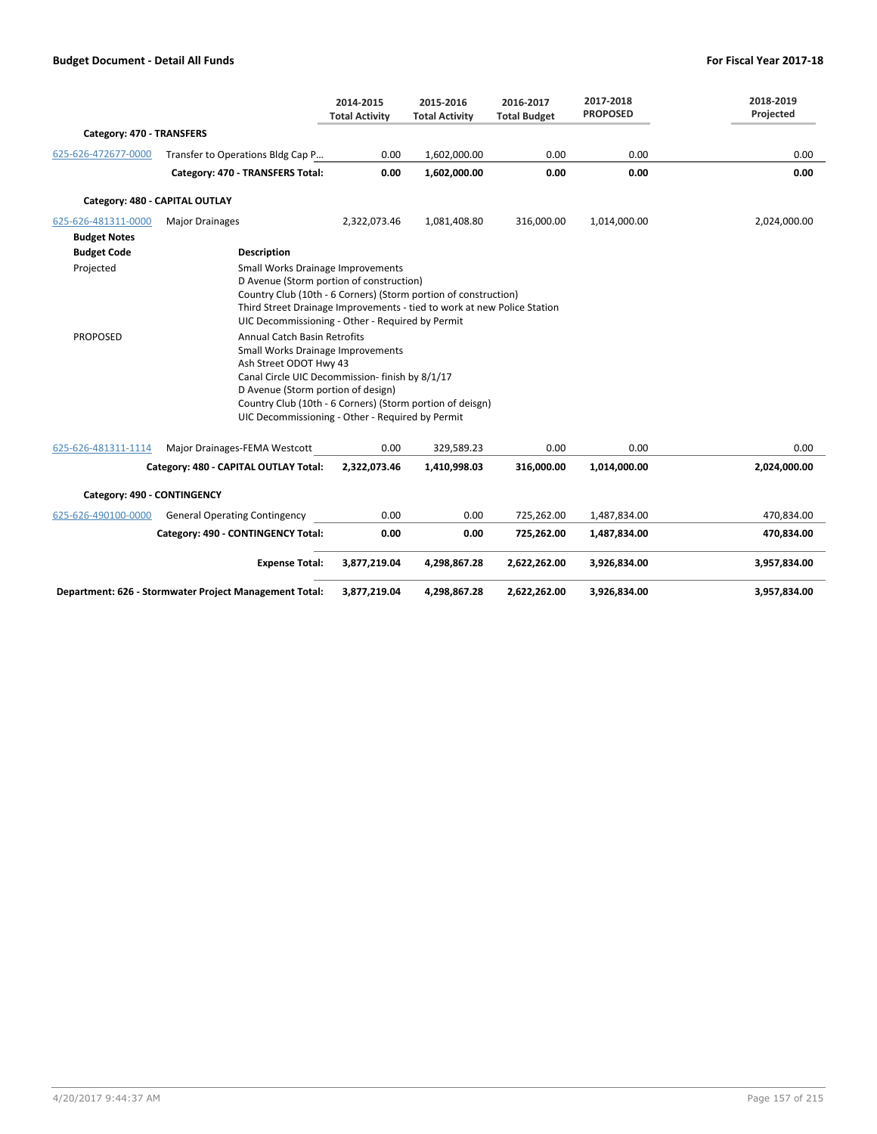|                              |                                                                                                                                                                                                                                                                                                                                                                                                                                          | 2014-2015<br><b>Total Activity</b> | 2015-2016<br><b>Total Activity</b> | 2016-2017<br><b>Total Budget</b> | 2017-2018<br><b>PROPOSED</b> | 2018-2019<br>Projected |  |  |  |
|------------------------------|------------------------------------------------------------------------------------------------------------------------------------------------------------------------------------------------------------------------------------------------------------------------------------------------------------------------------------------------------------------------------------------------------------------------------------------|------------------------------------|------------------------------------|----------------------------------|------------------------------|------------------------|--|--|--|
| Category: 470 - TRANSFERS    |                                                                                                                                                                                                                                                                                                                                                                                                                                          |                                    |                                    |                                  |                              |                        |  |  |  |
| 625-626-472677-0000          | Transfer to Operations Bldg Cap P                                                                                                                                                                                                                                                                                                                                                                                                        | 0.00                               | 1,602,000.00                       | 0.00                             | 0.00                         | 0.00                   |  |  |  |
|                              | Category: 470 - TRANSFERS Total:                                                                                                                                                                                                                                                                                                                                                                                                         | 0.00                               | 1,602,000.00                       | 0.00                             | 0.00                         | 0.00                   |  |  |  |
|                              | Category: 480 - CAPITAL OUTLAY                                                                                                                                                                                                                                                                                                                                                                                                           |                                    |                                    |                                  |                              |                        |  |  |  |
| 625-626-481311-0000          | <b>Major Drainages</b>                                                                                                                                                                                                                                                                                                                                                                                                                   | 2,322,073.46                       | 1,081,408.80                       | 316,000.00                       | 1,014,000.00                 | 2,024,000.00           |  |  |  |
| <b>Budget Notes</b>          |                                                                                                                                                                                                                                                                                                                                                                                                                                          |                                    |                                    |                                  |                              |                        |  |  |  |
| <b>Budget Code</b>           | <b>Description</b>                                                                                                                                                                                                                                                                                                                                                                                                                       |                                    |                                    |                                  |                              |                        |  |  |  |
| Projected<br><b>PROPOSED</b> | Small Works Drainage Improvements<br>D Avenue (Storm portion of construction)<br>Country Club (10th - 6 Corners) (Storm portion of construction)<br>Third Street Drainage Improvements - tied to work at new Police Station<br>UIC Decommissioning - Other - Required by Permit<br><b>Annual Catch Basin Retrofits</b><br>Small Works Drainage Improvements<br>Ash Street ODOT Hwy 43<br>Canal Circle UIC Decommission- finish by 8/1/17 |                                    |                                    |                                  |                              |                        |  |  |  |
|                              | D Avenue (Storm portion of design)<br>Country Club (10th - 6 Corners) (Storm portion of deisgn)<br>UIC Decommissioning - Other - Required by Permit                                                                                                                                                                                                                                                                                      |                                    |                                    |                                  |                              |                        |  |  |  |
|                              |                                                                                                                                                                                                                                                                                                                                                                                                                                          |                                    |                                    |                                  |                              |                        |  |  |  |
| 625-626-481311-1114          | Major Drainages-FEMA Westcott                                                                                                                                                                                                                                                                                                                                                                                                            | 0.00                               | 329,589.23                         | 0.00                             | 0.00                         | 0.00                   |  |  |  |
|                              | Category: 480 - CAPITAL OUTLAY Total:                                                                                                                                                                                                                                                                                                                                                                                                    | 2,322,073.46                       | 1,410,998.03                       | 316,000.00                       | 1,014,000.00                 | 2,024,000.00           |  |  |  |
| Category: 490 - CONTINGENCY  |                                                                                                                                                                                                                                                                                                                                                                                                                                          |                                    |                                    |                                  |                              |                        |  |  |  |
| 625-626-490100-0000          | <b>General Operating Contingency</b>                                                                                                                                                                                                                                                                                                                                                                                                     | 0.00                               | 0.00                               | 725,262.00                       | 1,487,834.00                 | 470,834.00             |  |  |  |
|                              | Category: 490 - CONTINGENCY Total:                                                                                                                                                                                                                                                                                                                                                                                                       | 0.00                               | 0.00                               | 725,262.00                       | 1,487,834.00                 | 470,834.00             |  |  |  |
|                              | <b>Expense Total:</b>                                                                                                                                                                                                                                                                                                                                                                                                                    | 3,877,219.04                       | 4,298,867.28                       | 2,622,262.00                     | 3,926,834.00                 | 3,957,834.00           |  |  |  |
|                              | Department: 626 - Stormwater Project Management Total:                                                                                                                                                                                                                                                                                                                                                                                   | 3,877,219.04                       | 4,298,867.28                       | 2,622,262.00                     | 3,926,834.00                 | 3,957,834.00           |  |  |  |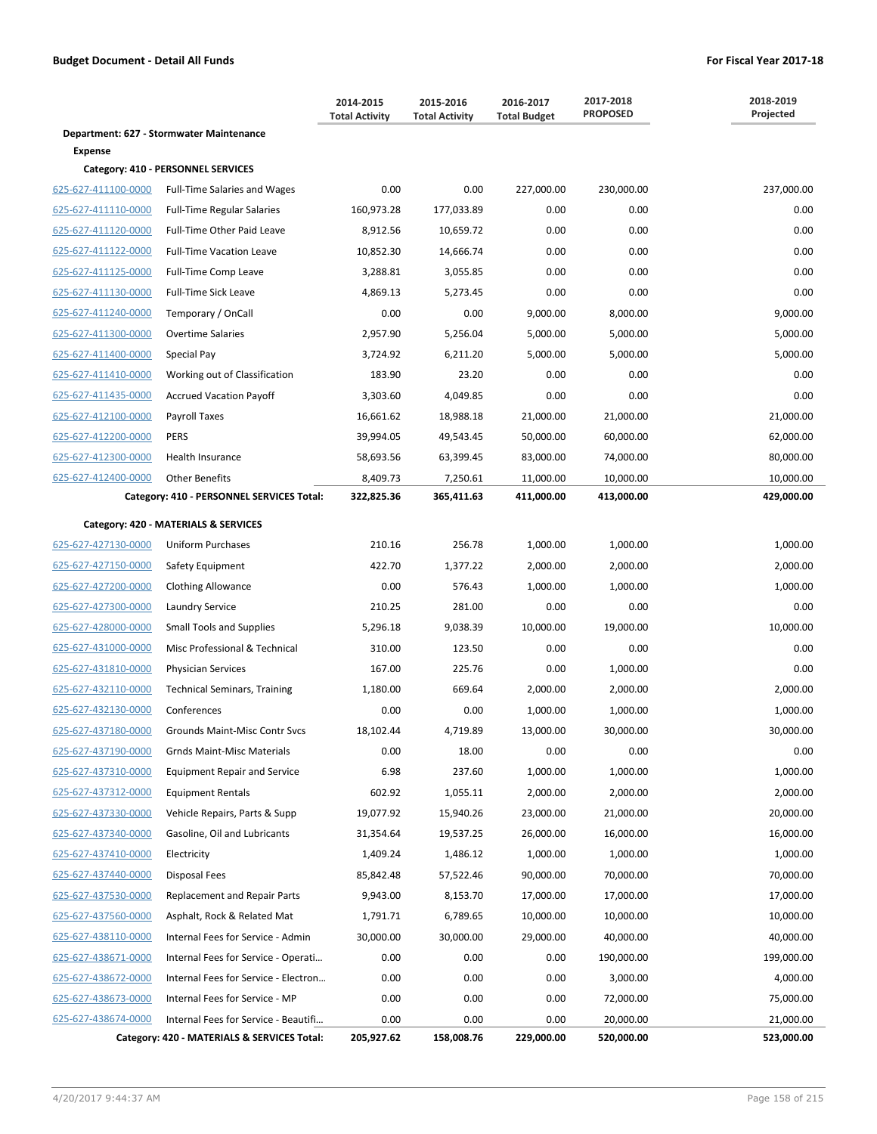|                                            |                                                                          | 2014-2015<br><b>Total Activity</b> | 2015-2016<br><b>Total Activity</b> | 2016-2017<br><b>Total Budget</b> | 2017-2018<br><b>PROPOSED</b> | 2018-2019<br>Projected |
|--------------------------------------------|--------------------------------------------------------------------------|------------------------------------|------------------------------------|----------------------------------|------------------------------|------------------------|
|                                            | Department: 627 - Stormwater Maintenance                                 |                                    |                                    |                                  |                              |                        |
| Expense                                    |                                                                          |                                    |                                    |                                  |                              |                        |
| 625-627-411100-0000                        | Category: 410 - PERSONNEL SERVICES                                       | 0.00                               | 0.00                               |                                  |                              |                        |
| 625-627-411110-0000                        | <b>Full-Time Salaries and Wages</b><br><b>Full-Time Regular Salaries</b> | 160,973.28                         | 177,033.89                         | 227,000.00<br>0.00               | 230,000.00<br>0.00           | 237,000.00<br>0.00     |
| 625-627-411120-0000                        | Full-Time Other Paid Leave                                               | 8,912.56                           | 10,659.72                          | 0.00                             | 0.00                         | 0.00                   |
| 625-627-411122-0000                        | <b>Full-Time Vacation Leave</b>                                          | 10,852.30                          | 14,666.74                          | 0.00                             | 0.00                         | 0.00                   |
| 625-627-411125-0000                        | Full-Time Comp Leave                                                     | 3,288.81                           | 3,055.85                           | 0.00                             | 0.00                         | 0.00                   |
| 625-627-411130-0000                        | Full-Time Sick Leave                                                     | 4,869.13                           | 5,273.45                           | 0.00                             | 0.00                         | 0.00                   |
| 625-627-411240-0000                        | Temporary / OnCall                                                       | 0.00                               | 0.00                               | 9,000.00                         | 8,000.00                     | 9,000.00               |
| 625-627-411300-0000                        | <b>Overtime Salaries</b>                                                 | 2,957.90                           | 5,256.04                           | 5,000.00                         | 5,000.00                     | 5,000.00               |
| 625-627-411400-0000                        | Special Pay                                                              | 3,724.92                           | 6,211.20                           | 5,000.00                         | 5,000.00                     | 5,000.00               |
| 625-627-411410-0000                        | Working out of Classification                                            | 183.90                             | 23.20                              | 0.00                             | 0.00                         | 0.00                   |
| 625-627-411435-0000                        | <b>Accrued Vacation Payoff</b>                                           | 3,303.60                           | 4,049.85                           | 0.00                             | 0.00                         | 0.00                   |
| 625-627-412100-0000                        | Payroll Taxes                                                            | 16,661.62                          | 18,988.18                          | 21,000.00                        | 21,000.00                    | 21,000.00              |
| 625-627-412200-0000                        | <b>PERS</b>                                                              | 39,994.05                          | 49,543.45                          | 50,000.00                        | 60,000.00                    | 62,000.00              |
| 625-627-412300-0000                        | Health Insurance                                                         | 58,693.56                          | 63,399.45                          | 83,000.00                        | 74,000.00                    | 80,000.00              |
| 625-627-412400-0000                        | <b>Other Benefits</b>                                                    | 8,409.73                           | 7,250.61                           | 11,000.00                        | 10,000.00                    | 10,000.00              |
|                                            | Category: 410 - PERSONNEL SERVICES Total:                                | 322,825.36                         | 365,411.63                         | 411,000.00                       | 413,000.00                   | 429,000.00             |
|                                            |                                                                          |                                    |                                    |                                  |                              |                        |
|                                            | Category: 420 - MATERIALS & SERVICES                                     |                                    |                                    |                                  |                              |                        |
| 625-627-427130-0000                        | Uniform Purchases                                                        | 210.16                             | 256.78                             | 1,000.00                         | 1,000.00                     | 1,000.00               |
| 625-627-427150-0000                        | Safety Equipment                                                         | 422.70                             | 1,377.22                           | 2,000.00                         | 2,000.00                     | 2,000.00               |
| 625-627-427200-0000                        | <b>Clothing Allowance</b>                                                | 0.00                               | 576.43                             | 1,000.00                         | 1,000.00                     | 1,000.00               |
| 625-627-427300-0000                        | <b>Laundry Service</b>                                                   | 210.25                             | 281.00                             | 0.00                             | 0.00                         | 0.00                   |
| 625-627-428000-0000                        | <b>Small Tools and Supplies</b>                                          | 5,296.18                           | 9,038.39                           | 10,000.00                        | 19,000.00                    | 10,000.00              |
| 625-627-431000-0000                        | Misc Professional & Technical                                            | 310.00                             | 123.50                             | 0.00                             | 0.00                         | 0.00                   |
| 625-627-431810-0000                        | <b>Physician Services</b>                                                | 167.00                             | 225.76                             | 0.00                             | 1,000.00                     | 0.00                   |
| 625-627-432110-0000                        | <b>Technical Seminars, Training</b>                                      | 1,180.00                           | 669.64                             | 2,000.00                         | 2,000.00                     | 2,000.00               |
| 625-627-432130-0000                        | Conferences                                                              | 0.00                               | 0.00                               | 1,000.00                         | 1,000.00                     | 1,000.00               |
| 625-627-437180-0000                        | Grounds Maint-Misc Contr Svcs                                            | 18,102.44                          | 4,719.89                           | 13,000.00                        | 30,000.00                    | 30,000.00              |
| 625-627-437190-0000<br>625-627-437310-0000 | <b>Grnds Maint-Misc Materials</b><br><b>Equipment Repair and Service</b> | 0.00<br>6.98                       | 18.00<br>237.60                    | 0.00<br>1,000.00                 | 0.00<br>1,000.00             | 0.00<br>1,000.00       |
| 625-627-437312-0000                        | <b>Equipment Rentals</b>                                                 | 602.92                             | 1,055.11                           | 2,000.00                         | 2,000.00                     | 2,000.00               |
| 625-627-437330-0000                        | Vehicle Repairs, Parts & Supp                                            | 19,077.92                          | 15,940.26                          | 23,000.00                        | 21,000.00                    | 20,000.00              |
| 625-627-437340-0000                        | Gasoline, Oil and Lubricants                                             | 31,354.64                          | 19,537.25                          | 26,000.00                        | 16,000.00                    | 16,000.00              |
| 625-627-437410-0000                        | Electricity                                                              | 1,409.24                           | 1,486.12                           | 1,000.00                         | 1,000.00                     | 1,000.00               |
| 625-627-437440-0000                        | Disposal Fees                                                            | 85,842.48                          | 57,522.46                          | 90,000.00                        | 70,000.00                    | 70,000.00              |
| 625-627-437530-0000                        | Replacement and Repair Parts                                             | 9,943.00                           | 8,153.70                           | 17,000.00                        | 17,000.00                    | 17,000.00              |
| 625-627-437560-0000                        | Asphalt, Rock & Related Mat                                              | 1,791.71                           | 6,789.65                           | 10,000.00                        | 10,000.00                    | 10,000.00              |
| 625-627-438110-0000                        | Internal Fees for Service - Admin                                        | 30,000.00                          | 30,000.00                          | 29,000.00                        | 40,000.00                    | 40,000.00              |
|                                            |                                                                          | 0.00                               | 0.00                               | 0.00                             | 190,000.00                   | 199,000.00             |
| 625-627-438671-0000                        | Internal Fees for Service - Operati                                      |                                    |                                    |                                  |                              |                        |
| 625-627-438672-0000                        | Internal Fees for Service - Electron                                     | 0.00                               | 0.00                               | 0.00                             | 3,000.00                     | 4,000.00               |
| 625-627-438673-0000<br>625-627-438674-0000 | Internal Fees for Service - MP<br>Internal Fees for Service - Beautifi   | 0.00<br>0.00                       | 0.00<br>0.00                       | 0.00<br>0.00                     | 72,000.00<br>20,000.00       | 75,000.00<br>21,000.00 |
|                                            | Category: 420 - MATERIALS & SERVICES Total:                              | 205,927.62                         | 158,008.76                         | 229,000.00                       | 520,000.00                   | 523,000.00             |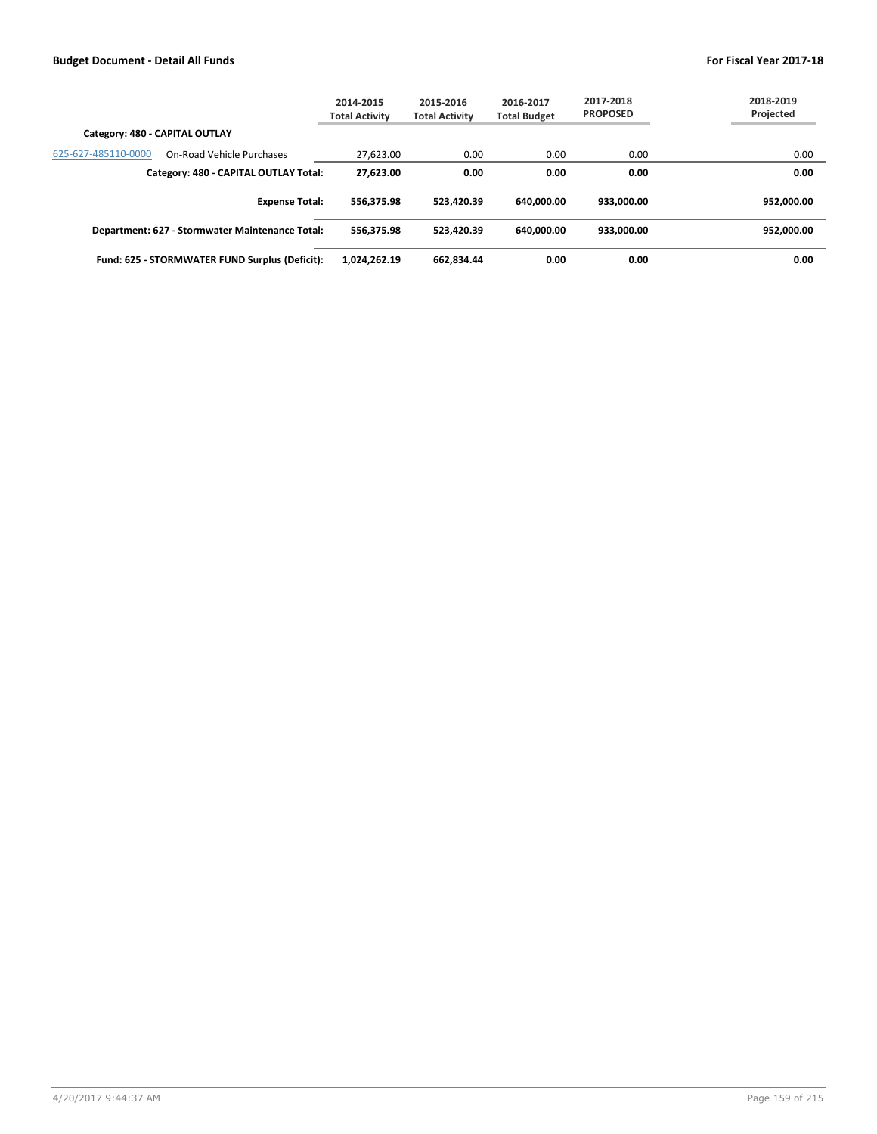|                                                  | 2014-2015<br><b>Total Activity</b> | 2015-2016<br><b>Total Activity</b> | 2016-2017<br><b>Total Budget</b> | 2017-2018<br><b>PROPOSED</b> | 2018-2019<br>Projected |
|--------------------------------------------------|------------------------------------|------------------------------------|----------------------------------|------------------------------|------------------------|
| Category: 480 - CAPITAL OUTLAY                   |                                    |                                    |                                  |                              |                        |
| 625-627-485110-0000<br>On-Road Vehicle Purchases | 27,623.00                          | 0.00                               | 0.00                             | 0.00                         | 0.00                   |
| Category: 480 - CAPITAL OUTLAY Total:            | 27.623.00                          | 0.00                               | 0.00                             | 0.00                         | 0.00                   |
| <b>Expense Total:</b>                            | 556.375.98                         | 523.420.39                         | 640.000.00                       | 933.000.00                   | 952.000.00             |
| Department: 627 - Stormwater Maintenance Total:  | 556.375.98                         | 523.420.39                         | 640.000.00                       | 933.000.00                   | 952.000.00             |
| Fund: 625 - STORMWATER FUND Surplus (Deficit):   | 1,024,262.19                       | 662.834.44                         | 0.00                             | 0.00                         | 0.00                   |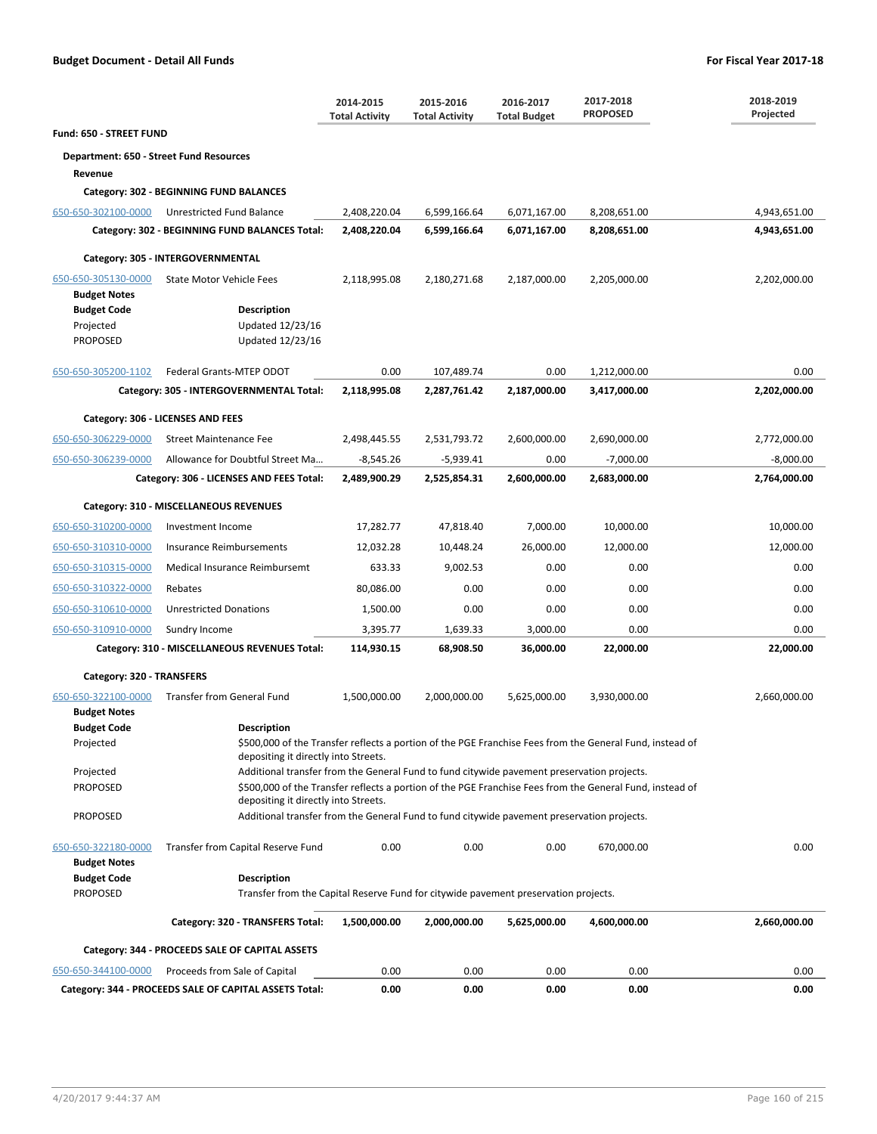|                                         |                                                                                            | 2014-2015<br><b>Total Activity</b> | 2015-2016<br><b>Total Activity</b> | 2016-2017<br><b>Total Budget</b> | 2017-2018<br><b>PROPOSED</b>                                                                             | 2018-2019<br>Projected |
|-----------------------------------------|--------------------------------------------------------------------------------------------|------------------------------------|------------------------------------|----------------------------------|----------------------------------------------------------------------------------------------------------|------------------------|
| Fund: 650 - STREET FUND                 |                                                                                            |                                    |                                    |                                  |                                                                                                          |                        |
| Department: 650 - Street Fund Resources |                                                                                            |                                    |                                    |                                  |                                                                                                          |                        |
| Revenue                                 |                                                                                            |                                    |                                    |                                  |                                                                                                          |                        |
|                                         | Category: 302 - BEGINNING FUND BALANCES                                                    |                                    |                                    |                                  |                                                                                                          |                        |
| 650-650-302100-0000                     | Unrestricted Fund Balance                                                                  | 2,408,220.04                       | 6,599,166.64                       | 6,071,167.00                     | 8,208,651.00                                                                                             | 4,943,651.00           |
|                                         | Category: 302 - BEGINNING FUND BALANCES Total:                                             | 2,408,220.04                       | 6,599,166.64                       | 6,071,167.00                     | 8,208,651.00                                                                                             | 4,943,651.00           |
|                                         | Category: 305 - INTERGOVERNMENTAL                                                          |                                    |                                    |                                  |                                                                                                          |                        |
| 650-650-305130-0000                     | <b>State Motor Vehicle Fees</b>                                                            | 2,118,995.08                       | 2,180,271.68                       | 2,187,000.00                     | 2,205,000.00                                                                                             | 2,202,000.00           |
| <b>Budget Notes</b>                     |                                                                                            |                                    |                                    |                                  |                                                                                                          |                        |
| <b>Budget Code</b>                      | <b>Description</b>                                                                         |                                    |                                    |                                  |                                                                                                          |                        |
| Projected<br><b>PROPOSED</b>            | Updated 12/23/16<br>Updated 12/23/16                                                       |                                    |                                    |                                  |                                                                                                          |                        |
|                                         |                                                                                            |                                    |                                    |                                  |                                                                                                          |                        |
| 650-650-305200-1102                     | Federal Grants-MTEP ODOT                                                                   | 0.00                               | 107,489.74                         | 0.00                             | 1,212,000.00                                                                                             | 0.00                   |
|                                         | Category: 305 - INTERGOVERNMENTAL Total:                                                   | 2,118,995.08                       | 2,287,761.42                       | 2,187,000.00                     | 3,417,000.00                                                                                             | 2,202,000.00           |
|                                         | Category: 306 - LICENSES AND FEES                                                          |                                    |                                    |                                  |                                                                                                          |                        |
| 650-650-306229-0000                     | <b>Street Maintenance Fee</b>                                                              | 2,498,445.55                       | 2,531,793.72                       | 2,600,000.00                     | 2,690,000.00                                                                                             | 2,772,000.00           |
| 650-650-306239-0000                     | Allowance for Doubtful Street Ma                                                           | $-8,545.26$                        | $-5,939.41$                        | 0.00                             | $-7,000.00$                                                                                              | $-8,000.00$            |
|                                         | Category: 306 - LICENSES AND FEES Total:                                                   | 2,489,900.29                       | 2,525,854.31                       | 2,600,000.00                     | 2,683,000.00                                                                                             | 2,764,000.00           |
|                                         | Category: 310 - MISCELLANEOUS REVENUES                                                     |                                    |                                    |                                  |                                                                                                          |                        |
| 650-650-310200-0000                     | Investment Income                                                                          | 17,282.77                          | 47,818.40                          | 7,000.00                         | 10,000.00                                                                                                | 10,000.00              |
| 650-650-310310-0000                     | Insurance Reimbursements                                                                   | 12,032.28                          | 10,448.24                          | 26,000.00                        | 12,000.00                                                                                                | 12,000.00              |
| 650-650-310315-0000                     | Medical Insurance Reimbursemt                                                              | 633.33                             | 9,002.53                           | 0.00                             | 0.00                                                                                                     | 0.00                   |
| 650-650-310322-0000                     | Rebates                                                                                    | 80,086.00                          | 0.00                               | 0.00                             | 0.00                                                                                                     | 0.00                   |
| 650-650-310610-0000                     | <b>Unrestricted Donations</b>                                                              | 1,500.00                           | 0.00                               | 0.00                             | 0.00                                                                                                     | 0.00                   |
| 650-650-310910-0000                     | Sundry Income                                                                              | 3,395.77                           | 1,639.33                           | 3,000.00                         | 0.00                                                                                                     | 0.00                   |
|                                         | Category: 310 - MISCELLANEOUS REVENUES Total:                                              | 114,930.15                         | 68,908.50                          | 36,000.00                        | 22,000.00                                                                                                | 22,000.00              |
| Category: 320 - TRANSFERS               |                                                                                            |                                    |                                    |                                  |                                                                                                          |                        |
| 650-650-322100-0000                     | <b>Transfer from General Fund</b>                                                          | 1,500,000.00                       | 2,000,000.00                       | 5,625,000.00                     | 3,930,000.00                                                                                             | 2,660,000.00           |
| <b>Budget Notes</b>                     |                                                                                            |                                    |                                    |                                  |                                                                                                          |                        |
| <b>Budget Code</b>                      | <b>Description</b>                                                                         |                                    |                                    |                                  |                                                                                                          |                        |
| Projected                               | depositing it directly into Streets.                                                       |                                    |                                    |                                  | \$500,000 of the Transfer reflects a portion of the PGE Franchise Fees from the General Fund, instead of |                        |
| Projected                               | Additional transfer from the General Fund to fund citywide pavement preservation projects. |                                    |                                    |                                  |                                                                                                          |                        |
| <b>PROPOSED</b>                         | depositing it directly into Streets.                                                       |                                    |                                    |                                  | \$500,000 of the Transfer reflects a portion of the PGE Franchise Fees from the General Fund, instead of |                        |
| <b>PROPOSED</b>                         | Additional transfer from the General Fund to fund citywide pavement preservation projects. |                                    |                                    |                                  |                                                                                                          |                        |
| 650-650-322180-0000                     | Transfer from Capital Reserve Fund                                                         | 0.00                               | 0.00                               | 0.00                             | 670,000.00                                                                                               | 0.00                   |
| <b>Budget Notes</b>                     |                                                                                            |                                    |                                    |                                  |                                                                                                          |                        |
| <b>Budget Code</b>                      | <b>Description</b>                                                                         |                                    |                                    |                                  |                                                                                                          |                        |
| <b>PROPOSED</b>                         | Transfer from the Capital Reserve Fund for citywide pavement preservation projects.        |                                    |                                    |                                  |                                                                                                          |                        |
|                                         | Category: 320 - TRANSFERS Total:                                                           | 1,500,000.00                       | 2,000,000.00                       | 5,625,000.00                     | 4,600,000.00                                                                                             | 2,660,000.00           |
|                                         | Category: 344 - PROCEEDS SALE OF CAPITAL ASSETS                                            |                                    |                                    |                                  |                                                                                                          |                        |
| 650-650-344100-0000                     | Proceeds from Sale of Capital                                                              | 0.00                               | 0.00                               | 0.00                             | 0.00                                                                                                     | 0.00                   |
|                                         | Category: 344 - PROCEEDS SALE OF CAPITAL ASSETS Total:                                     | 0.00                               | 0.00                               | 0.00                             | 0.00                                                                                                     | 0.00                   |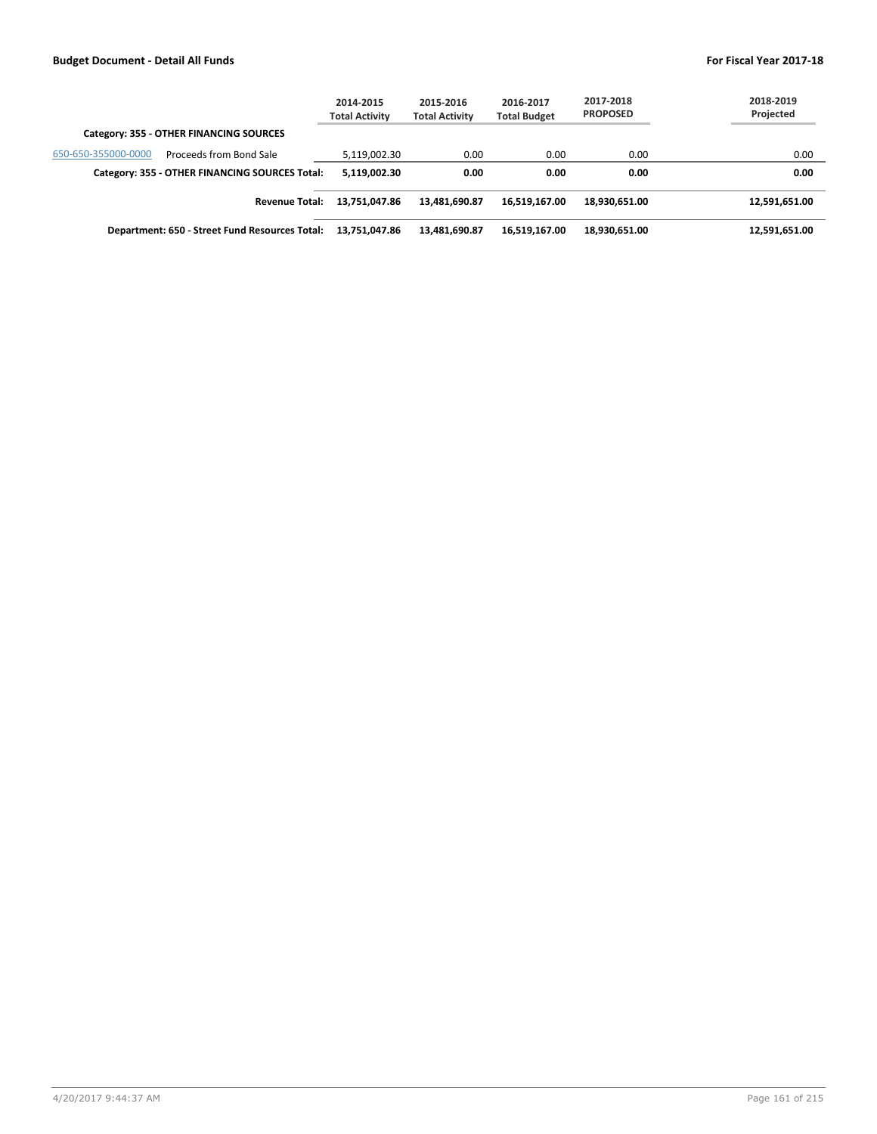|                                                | 2014-2015<br><b>Total Activity</b> | 2015-2016<br><b>Total Activity</b> | 2016-2017<br><b>Total Budget</b> | 2017-2018<br><b>PROPOSED</b> | 2018-2019<br>Projected |
|------------------------------------------------|------------------------------------|------------------------------------|----------------------------------|------------------------------|------------------------|
| Category: 355 - OTHER FINANCING SOURCES        |                                    |                                    |                                  |                              |                        |
| 650-650-355000-0000<br>Proceeds from Bond Sale | 5,119,002.30                       | 0.00                               | 0.00                             | 0.00                         | 0.00                   |
| Category: 355 - OTHER FINANCING SOURCES Total: | 5,119,002.30                       | 0.00                               | 0.00                             | 0.00                         | 0.00                   |
| <b>Revenue Total:</b>                          | 13,751,047.86                      | 13,481,690.87                      | 16,519,167.00                    | 18,930,651.00                | 12,591,651.00          |
| Department: 650 - Street Fund Resources Total: | 13,751,047.86                      | 13,481,690.87                      | 16,519,167.00                    | 18,930,651.00                | 12,591,651.00          |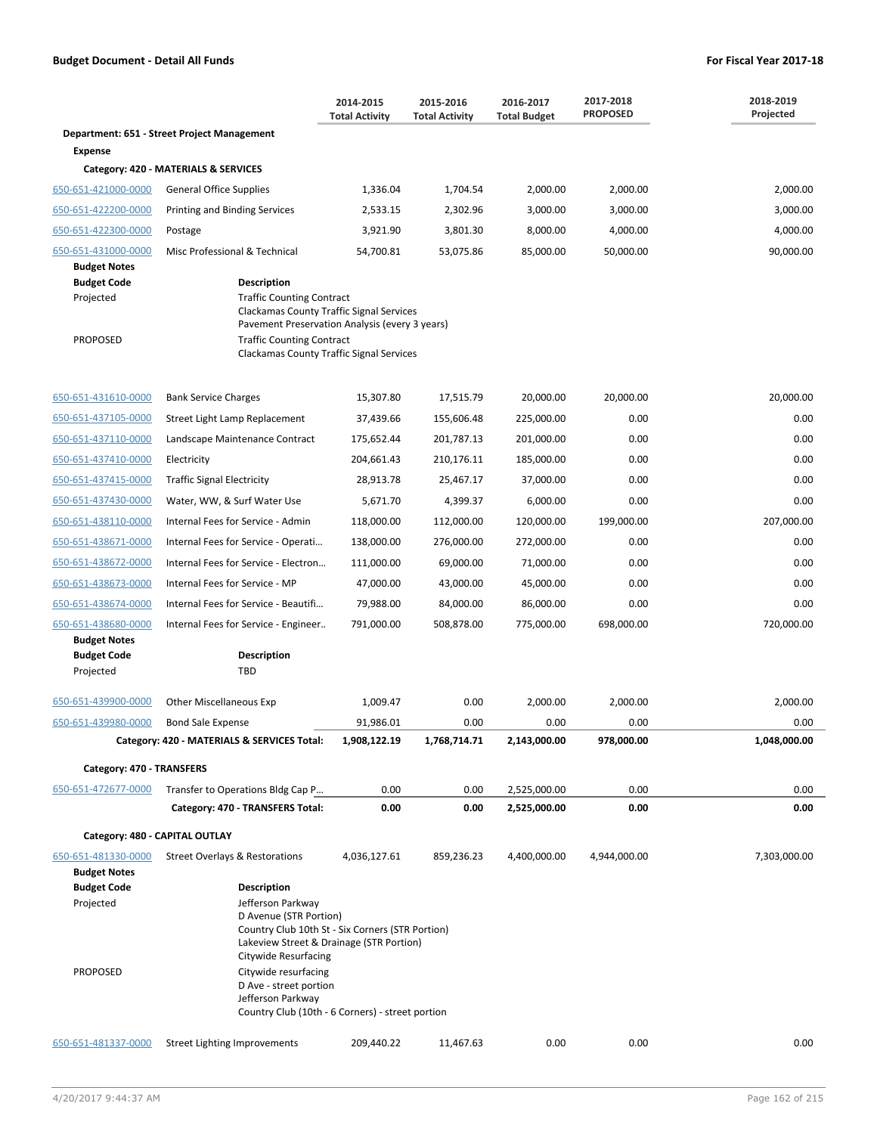|                                                        |                                                                                                                                                                                                                                                                                                | 2014-2015<br><b>Total Activity</b> | 2015-2016<br><b>Total Activity</b> | 2016-2017<br><b>Total Budget</b> | 2017-2018<br><b>PROPOSED</b> | 2018-2019<br>Projected |
|--------------------------------------------------------|------------------------------------------------------------------------------------------------------------------------------------------------------------------------------------------------------------------------------------------------------------------------------------------------|------------------------------------|------------------------------------|----------------------------------|------------------------------|------------------------|
|                                                        | Department: 651 - Street Project Management                                                                                                                                                                                                                                                    |                                    |                                    |                                  |                              |                        |
| <b>Expense</b>                                         | Category: 420 - MATERIALS & SERVICES                                                                                                                                                                                                                                                           |                                    |                                    |                                  |                              |                        |
| 650-651-421000-0000                                    | <b>General Office Supplies</b>                                                                                                                                                                                                                                                                 | 1,336.04                           | 1,704.54                           | 2,000.00                         | 2,000.00                     | 2.000.00               |
| 650-651-422200-0000                                    | Printing and Binding Services                                                                                                                                                                                                                                                                  | 2,533.15                           | 2,302.96                           | 3,000.00                         | 3,000.00                     | 3,000.00               |
| 650-651-422300-0000                                    | Postage                                                                                                                                                                                                                                                                                        | 3,921.90                           | 3,801.30                           | 8,000.00                         | 4,000.00                     | 4,000.00               |
| 650-651-431000-0000                                    | Misc Professional & Technical                                                                                                                                                                                                                                                                  | 54,700.81                          | 53,075.86                          | 85,000.00                        | 50,000.00                    | 90,000.00              |
| <b>Budget Notes</b><br><b>Budget Code</b><br>Projected | Description<br><b>Traffic Counting Contract</b><br><b>Clackamas County Traffic Signal Services</b><br>Pavement Preservation Analysis (every 3 years)                                                                                                                                           |                                    |                                    |                                  |                              |                        |
| <b>PROPOSED</b>                                        | <b>Traffic Counting Contract</b><br>Clackamas County Traffic Signal Services                                                                                                                                                                                                                   |                                    |                                    |                                  |                              |                        |
| 650-651-431610-0000                                    | <b>Bank Service Charges</b>                                                                                                                                                                                                                                                                    | 15,307.80                          | 17,515.79                          | 20,000.00                        | 20,000.00                    | 20,000.00              |
| 650-651-437105-0000                                    | Street Light Lamp Replacement                                                                                                                                                                                                                                                                  | 37,439.66                          | 155,606.48                         | 225,000.00                       | 0.00                         | 0.00                   |
| 650-651-437110-0000                                    | Landscape Maintenance Contract                                                                                                                                                                                                                                                                 | 175,652.44                         | 201,787.13                         | 201,000.00                       | 0.00                         | 0.00                   |
| 650-651-437410-0000                                    | Electricity                                                                                                                                                                                                                                                                                    | 204,661.43                         | 210,176.11                         | 185,000.00                       | 0.00                         | 0.00                   |
| 650-651-437415-0000                                    | <b>Traffic Signal Electricity</b>                                                                                                                                                                                                                                                              | 28,913.78                          | 25,467.17                          | 37,000.00                        | 0.00                         | 0.00                   |
| 650-651-437430-0000                                    | Water, WW, & Surf Water Use                                                                                                                                                                                                                                                                    | 5,671.70                           | 4,399.37                           | 6,000.00                         | 0.00                         | 0.00                   |
| 650-651-438110-0000                                    | Internal Fees for Service - Admin                                                                                                                                                                                                                                                              | 118,000.00                         | 112,000.00                         | 120,000.00                       | 199,000.00                   | 207,000.00             |
| 650-651-438671-0000                                    | Internal Fees for Service - Operati                                                                                                                                                                                                                                                            | 138,000.00                         | 276,000.00                         | 272,000.00                       | 0.00                         | 0.00                   |
| 650-651-438672-0000                                    | Internal Fees for Service - Electron                                                                                                                                                                                                                                                           | 111,000.00                         | 69,000.00                          | 71,000.00                        | 0.00                         | 0.00                   |
| 650-651-438673-0000                                    | Internal Fees for Service - MP                                                                                                                                                                                                                                                                 | 47,000.00                          | 43,000.00                          | 45,000.00                        | 0.00                         | 0.00                   |
| 650-651-438674-0000                                    | Internal Fees for Service - Beautifi                                                                                                                                                                                                                                                           | 79,988.00                          | 84,000.00                          | 86,000.00                        | 0.00                         | 0.00                   |
| 650-651-438680-0000<br><b>Budget Notes</b>             | Internal Fees for Service - Engineer                                                                                                                                                                                                                                                           | 791,000.00                         | 508,878.00                         | 775,000.00                       | 698,000.00                   | 720,000.00             |
| <b>Budget Code</b><br>Projected                        | <b>Description</b><br>TBD                                                                                                                                                                                                                                                                      |                                    |                                    |                                  |                              |                        |
| 650-651-439900-0000                                    | <b>Other Miscellaneous Exp</b>                                                                                                                                                                                                                                                                 | 1,009.47                           | 0.00                               | 2,000.00                         | 2,000.00                     | 2,000.00               |
| 650-651-439980-0000                                    | <b>Bond Sale Expense</b>                                                                                                                                                                                                                                                                       | 91,986.01                          | 0.00                               | 0.00                             | 0.00                         | 0.00                   |
|                                                        | Category: 420 - MATERIALS & SERVICES Total:                                                                                                                                                                                                                                                    | 1,908,122.19                       | 1,768,714.71                       | 2,143,000.00                     | 978,000.00                   | 1,048,000.00           |
| Category: 470 - TRANSFERS                              |                                                                                                                                                                                                                                                                                                |                                    |                                    |                                  |                              |                        |
| 650-651-472677-0000                                    | Transfer to Operations Bldg Cap P                                                                                                                                                                                                                                                              | 0.00                               | 0.00                               | 2,525,000.00                     | 0.00                         | 0.00                   |
|                                                        | Category: 470 - TRANSFERS Total:                                                                                                                                                                                                                                                               | 0.00                               | 0.00                               | 2,525,000.00                     | 0.00                         | 0.00                   |
| Category: 480 - CAPITAL OUTLAY                         |                                                                                                                                                                                                                                                                                                |                                    |                                    |                                  |                              |                        |
| 650-651-481330-0000<br><b>Budget Notes</b>             | Street Overlays & Restorations                                                                                                                                                                                                                                                                 | 4,036,127.61                       | 859,236.23                         | 4,400,000.00                     | 4,944,000.00                 | 7,303,000.00           |
| <b>Budget Code</b>                                     | <b>Description</b>                                                                                                                                                                                                                                                                             |                                    |                                    |                                  |                              |                        |
| Projected<br><b>PROPOSED</b>                           | Jefferson Parkway<br>D Avenue (STR Portion)<br>Country Club 10th St - Six Corners (STR Portion)<br>Lakeview Street & Drainage (STR Portion)<br>Citywide Resurfacing<br>Citywide resurfacing<br>D Ave - street portion<br>Jefferson Parkway<br>Country Club (10th - 6 Corners) - street portion |                                    |                                    |                                  |                              |                        |
| 650-651-481337-0000                                    | <b>Street Lighting Improvements</b>                                                                                                                                                                                                                                                            | 209,440.22                         | 11,467.63                          | 0.00                             | 0.00                         | 0.00                   |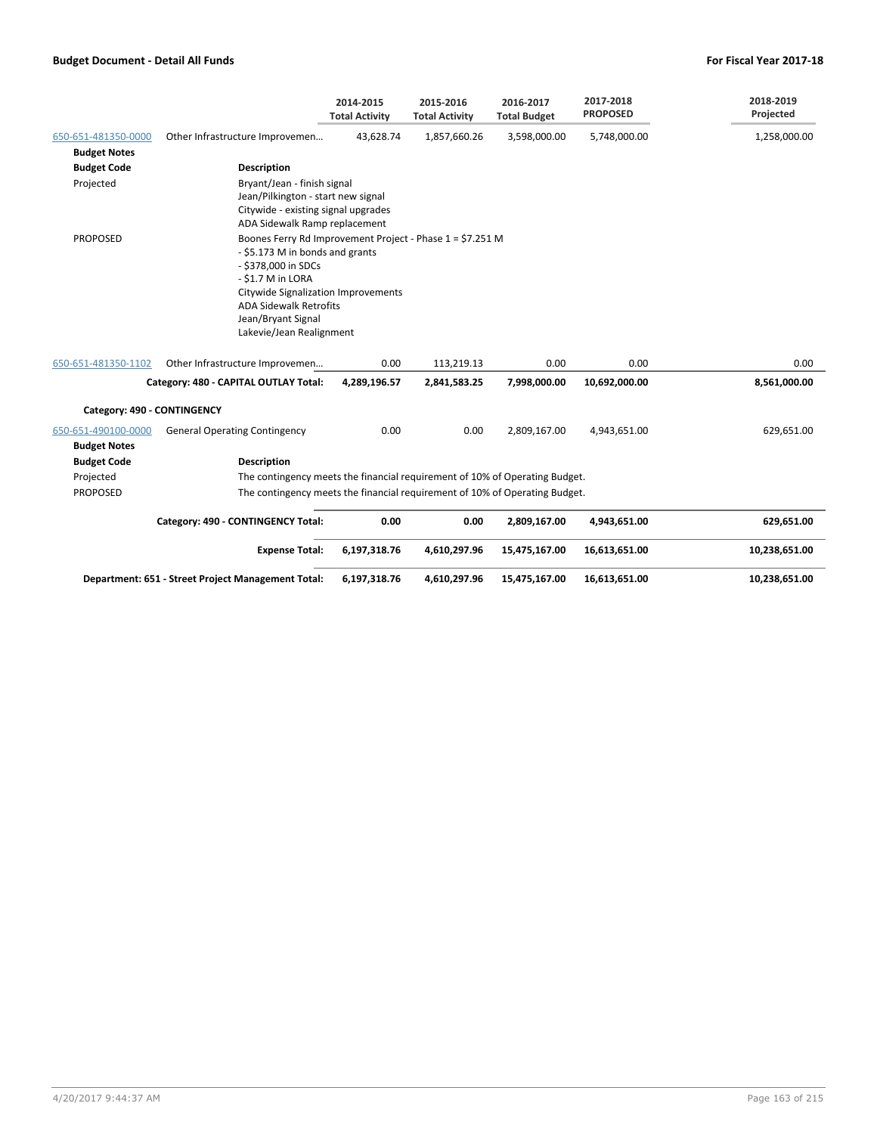|                             |                                                                                                                                                                                                                                                                    | 2014-2015<br><b>Total Activity</b> | 2015-2016<br><b>Total Activity</b> | 2016-2017<br><b>Total Budget</b> | 2017-2018<br><b>PROPOSED</b> | 2018-2019<br>Projected |
|-----------------------------|--------------------------------------------------------------------------------------------------------------------------------------------------------------------------------------------------------------------------------------------------------------------|------------------------------------|------------------------------------|----------------------------------|------------------------------|------------------------|
| 650-651-481350-0000         | Other Infrastructure Improvemen                                                                                                                                                                                                                                    | 43,628.74                          | 1,857,660.26                       | 3,598,000.00                     | 5,748,000.00                 | 1,258,000.00           |
| <b>Budget Notes</b>         |                                                                                                                                                                                                                                                                    |                                    |                                    |                                  |                              |                        |
| <b>Budget Code</b>          | <b>Description</b>                                                                                                                                                                                                                                                 |                                    |                                    |                                  |                              |                        |
| Projected                   | Bryant/Jean - finish signal<br>Jean/Pilkington - start new signal<br>Citywide - existing signal upgrades<br>ADA Sidewalk Ramp replacement                                                                                                                          |                                    |                                    |                                  |                              |                        |
| <b>PROPOSED</b>             | Boones Ferry Rd Improvement Project - Phase 1 = \$7.251 M<br>- \$5.173 M in bonds and grants<br>- \$378,000 in SDCs<br>- \$1.7 M in LORA<br>Citywide Signalization Improvements<br><b>ADA Sidewalk Retrofits</b><br>Jean/Bryant Signal<br>Lakevie/Jean Realignment |                                    |                                    |                                  |                              |                        |
| 650-651-481350-1102         | Other Infrastructure Improvemen                                                                                                                                                                                                                                    | 0.00                               | 113,219.13                         | 0.00                             | 0.00                         | 0.00                   |
|                             | Category: 480 - CAPITAL OUTLAY Total:                                                                                                                                                                                                                              | 4,289,196.57                       | 2,841,583.25                       | 7,998,000.00                     | 10,692,000.00                | 8,561,000.00           |
| Category: 490 - CONTINGENCY |                                                                                                                                                                                                                                                                    |                                    |                                    |                                  |                              |                        |
| 650-651-490100-0000         | <b>General Operating Contingency</b>                                                                                                                                                                                                                               | 0.00                               | 0.00                               | 2,809,167.00                     | 4,943,651.00                 | 629,651.00             |
| <b>Budget Notes</b>         |                                                                                                                                                                                                                                                                    |                                    |                                    |                                  |                              |                        |
| <b>Budget Code</b>          | <b>Description</b>                                                                                                                                                                                                                                                 |                                    |                                    |                                  |                              |                        |
| Projected                   | The contingency meets the financial requirement of 10% of Operating Budget.                                                                                                                                                                                        |                                    |                                    |                                  |                              |                        |
| <b>PROPOSED</b>             | The contingency meets the financial requirement of 10% of Operating Budget.                                                                                                                                                                                        |                                    |                                    |                                  |                              |                        |
|                             | Category: 490 - CONTINGENCY Total:                                                                                                                                                                                                                                 | 0.00                               | 0.00                               | 2,809,167.00                     | 4,943,651.00                 | 629,651.00             |
|                             | <b>Expense Total:</b>                                                                                                                                                                                                                                              | 6,197,318.76                       | 4,610,297.96                       | 15,475,167.00                    | 16,613,651.00                | 10,238,651.00          |
|                             | Department: 651 - Street Project Management Total:                                                                                                                                                                                                                 | 6,197,318.76                       | 4,610,297.96                       | 15,475,167.00                    | 16,613,651.00                | 10,238,651.00          |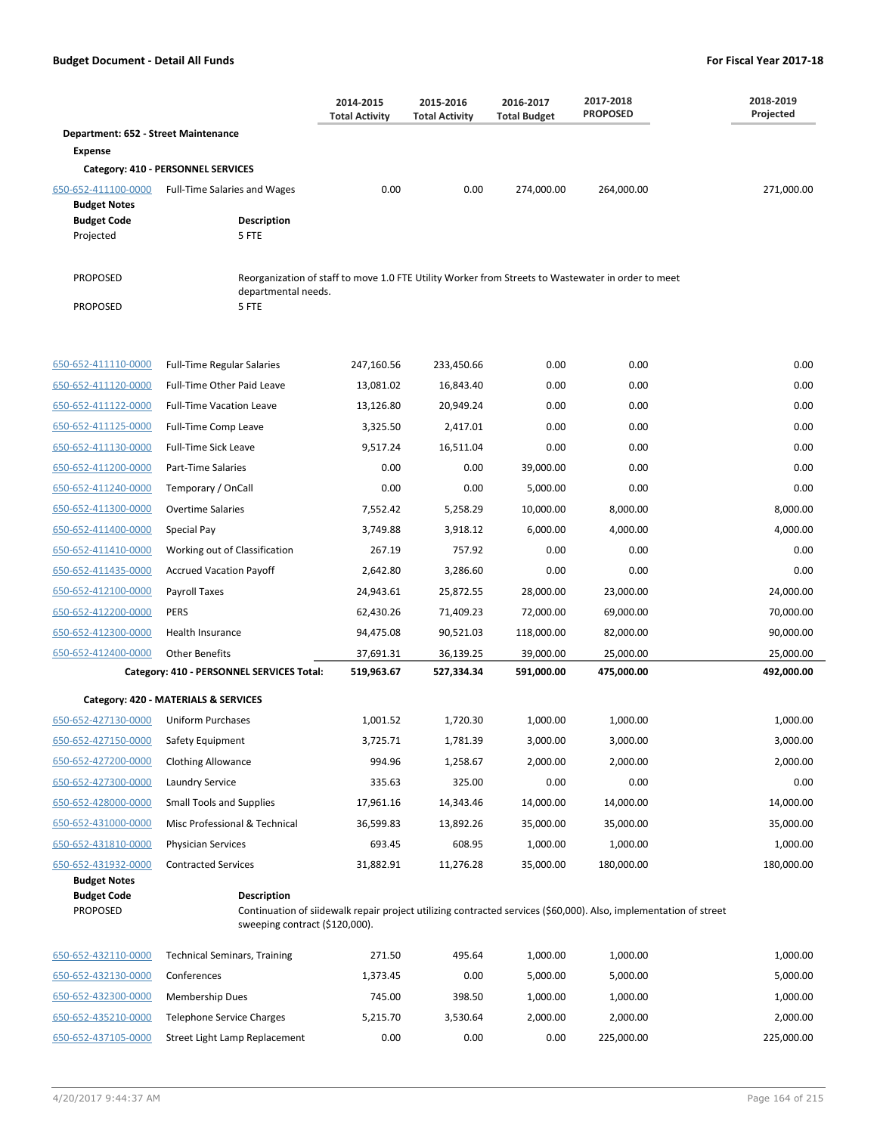|                                            |                                                                                                                                                                           | 2014-2015<br><b>Total Activity</b> | 2015-2016<br><b>Total Activity</b> | 2016-2017<br><b>Total Budget</b> | 2017-2018<br><b>PROPOSED</b> | 2018-2019<br>Projected |
|--------------------------------------------|---------------------------------------------------------------------------------------------------------------------------------------------------------------------------|------------------------------------|------------------------------------|----------------------------------|------------------------------|------------------------|
| Department: 652 - Street Maintenance       |                                                                                                                                                                           |                                    |                                    |                                  |                              |                        |
| <b>Expense</b>                             |                                                                                                                                                                           |                                    |                                    |                                  |                              |                        |
|                                            | Category: 410 - PERSONNEL SERVICES                                                                                                                                        |                                    |                                    |                                  |                              |                        |
| 650-652-411100-0000<br><b>Budget Notes</b> | <b>Full-Time Salaries and Wages</b>                                                                                                                                       | 0.00                               | 0.00                               | 274,000.00                       | 264,000.00                   | 271,000.00             |
| <b>Budget Code</b>                         | <b>Description</b>                                                                                                                                                        |                                    |                                    |                                  |                              |                        |
| Projected                                  | 5 FTE                                                                                                                                                                     |                                    |                                    |                                  |                              |                        |
| <b>PROPOSED</b>                            | Reorganization of staff to move 1.0 FTE Utility Worker from Streets to Wastewater in order to meet                                                                        |                                    |                                    |                                  |                              |                        |
| <b>PROPOSED</b>                            | departmental needs.<br>5 FTE                                                                                                                                              |                                    |                                    |                                  |                              |                        |
|                                            |                                                                                                                                                                           |                                    |                                    |                                  |                              |                        |
| 650-652-411110-0000                        | <b>Full-Time Regular Salaries</b>                                                                                                                                         | 247,160.56                         | 233,450.66                         | 0.00                             | 0.00                         | 0.00                   |
| 650-652-411120-0000                        | Full-Time Other Paid Leave                                                                                                                                                | 13,081.02                          | 16,843.40                          | 0.00                             | 0.00                         | 0.00                   |
| 650-652-411122-0000                        | <b>Full-Time Vacation Leave</b>                                                                                                                                           | 13,126.80                          | 20,949.24                          | 0.00                             | 0.00                         | 0.00                   |
| 650-652-411125-0000                        | Full-Time Comp Leave                                                                                                                                                      | 3,325.50                           | 2,417.01                           | 0.00                             | 0.00                         | 0.00                   |
| 650-652-411130-0000                        | <b>Full-Time Sick Leave</b>                                                                                                                                               | 9,517.24                           | 16,511.04                          | 0.00                             | 0.00                         | 0.00                   |
| 650-652-411200-0000                        | Part-Time Salaries                                                                                                                                                        | 0.00                               | 0.00                               | 39,000.00                        | 0.00                         | 0.00                   |
| 650-652-411240-0000                        | Temporary / OnCall                                                                                                                                                        | 0.00                               | 0.00                               | 5,000.00                         | 0.00                         | 0.00                   |
| 650-652-411300-0000                        | <b>Overtime Salaries</b>                                                                                                                                                  | 7,552.42                           | 5,258.29                           | 10,000.00                        | 8,000.00                     | 8,000.00               |
| 650-652-411400-0000                        | Special Pay                                                                                                                                                               | 3,749.88                           | 3,918.12                           | 6,000.00                         | 4,000.00                     | 4,000.00               |
| 650-652-411410-0000                        | Working out of Classification                                                                                                                                             | 267.19                             | 757.92                             | 0.00                             | 0.00                         | 0.00                   |
| 650-652-411435-0000                        | <b>Accrued Vacation Payoff</b>                                                                                                                                            | 2,642.80                           | 3,286.60                           | 0.00                             | 0.00                         | 0.00                   |
| 650-652-412100-0000                        | Payroll Taxes                                                                                                                                                             | 24,943.61                          | 25,872.55                          | 28,000.00                        | 23,000.00                    | 24,000.00              |
| 650-652-412200-0000                        | <b>PERS</b>                                                                                                                                                               | 62,430.26                          | 71,409.23                          | 72,000.00                        | 69,000.00                    | 70,000.00              |
| 650-652-412300-0000                        | Health Insurance                                                                                                                                                          | 94,475.08                          | 90,521.03                          | 118,000.00                       | 82,000.00                    | 90,000.00              |
| 650-652-412400-0000                        | <b>Other Benefits</b>                                                                                                                                                     | 37,691.31                          | 36,139.25                          | 39,000.00                        | 25,000.00                    | 25,000.00              |
|                                            | Category: 410 - PERSONNEL SERVICES Total:                                                                                                                                 | 519,963.67                         | 527,334.34                         | 591,000.00                       | 475,000.00                   | 492,000.00             |
|                                            | Category: 420 - MATERIALS & SERVICES                                                                                                                                      |                                    |                                    |                                  |                              |                        |
| 650-652-427130-0000                        | <b>Uniform Purchases</b>                                                                                                                                                  | 1,001.52                           | 1,720.30                           | 1,000.00                         | 1,000.00                     | 1,000.00               |
| 650-652-427150-0000                        | Safety Equipment                                                                                                                                                          | 3,725.71                           | 1,781.39                           | 3,000.00                         | 3,000.00                     | 3,000.00               |
| 650-652-427200-0000                        | <b>Clothing Allowance</b>                                                                                                                                                 | 994.96                             | 1,258.67                           | 2,000.00                         | 2,000.00                     | 2,000.00               |
| 650-652-427300-0000                        | <b>Laundry Service</b>                                                                                                                                                    | 335.63                             | 325.00                             | 0.00                             | 0.00                         | 0.00                   |
| 650-652-428000-0000                        | <b>Small Tools and Supplies</b>                                                                                                                                           | 17,961.16                          | 14,343.46                          | 14,000.00                        | 14,000.00                    | 14,000.00              |
| 650-652-431000-0000                        | Misc Professional & Technical                                                                                                                                             | 36,599.83                          | 13,892.26                          | 35,000.00                        | 35,000.00                    | 35,000.00              |
| 650-652-431810-0000                        | <b>Physician Services</b>                                                                                                                                                 | 693.45                             | 608.95                             | 1,000.00                         | 1,000.00                     | 1,000.00               |
| 650-652-431932-0000                        | <b>Contracted Services</b>                                                                                                                                                | 31,882.91                          | 11,276.28                          | 35,000.00                        | 180,000.00                   | 180,000.00             |
| <b>Budget Notes</b>                        |                                                                                                                                                                           |                                    |                                    |                                  |                              |                        |
| <b>Budget Code</b><br><b>PROPOSED</b>      | <b>Description</b><br>Continuation of sildewalk repair project utilizing contracted services (\$60,000). Also, implementation of street<br>sweeping contract (\$120,000). |                                    |                                    |                                  |                              |                        |
| 650-652-432110-0000                        | <b>Technical Seminars, Training</b>                                                                                                                                       | 271.50                             | 495.64                             | 1,000.00                         | 1,000.00                     | 1,000.00               |
| 650-652-432130-0000                        | Conferences                                                                                                                                                               | 1,373.45                           | 0.00                               | 5,000.00                         | 5,000.00                     | 5,000.00               |
| 650-652-432300-0000                        | <b>Membership Dues</b>                                                                                                                                                    | 745.00                             | 398.50                             | 1,000.00                         | 1,000.00                     | 1,000.00               |
| 650-652-435210-0000                        | <b>Telephone Service Charges</b>                                                                                                                                          | 5,215.70                           | 3,530.64                           | 2,000.00                         | 2,000.00                     | 2,000.00               |

650-652-437105-0000 Street Light Lamp Replacement 0.00 0.00 0.00 225,000.00 225,000.00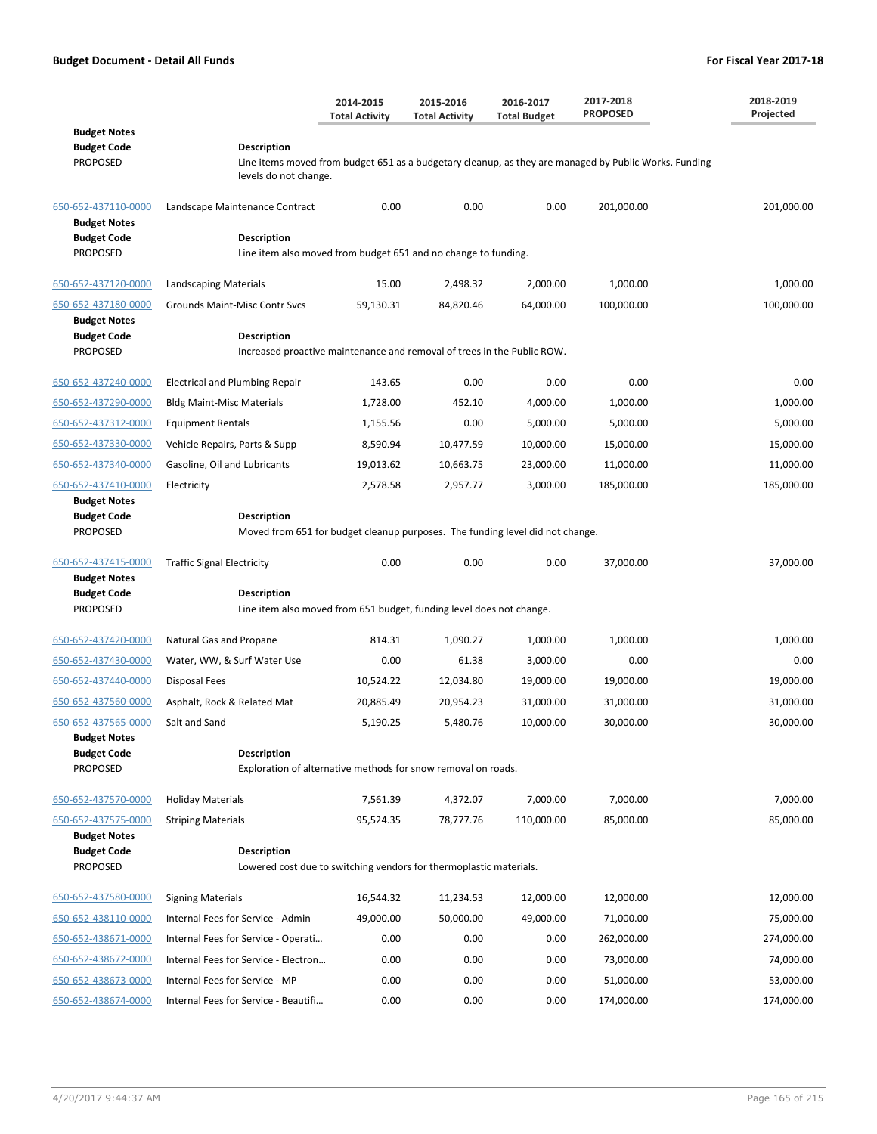|                                                                  |                                                                                            | 2014-2015<br><b>Total Activity</b> | 2015-2016<br><b>Total Activity</b> | 2016-2017<br><b>Total Budget</b> | 2017-2018<br><b>PROPOSED</b>                                                                          | 2018-2019<br>Projected |
|------------------------------------------------------------------|--------------------------------------------------------------------------------------------|------------------------------------|------------------------------------|----------------------------------|-------------------------------------------------------------------------------------------------------|------------------------|
| <b>Budget Notes</b><br><b>Budget Code</b><br><b>PROPOSED</b>     | <b>Description</b><br>levels do not change.                                                |                                    |                                    |                                  | Line items moved from budget 651 as a budgetary cleanup, as they are managed by Public Works. Funding |                        |
| 650-652-437110-0000                                              | Landscape Maintenance Contract                                                             | 0.00                               | 0.00                               | 0.00                             | 201,000.00                                                                                            | 201,000.00             |
| <b>Budget Notes</b><br><b>Budget Code</b><br><b>PROPOSED</b>     | <b>Description</b><br>Line item also moved from budget 651 and no change to funding.       |                                    |                                    |                                  |                                                                                                       |                        |
| 650-652-437120-0000                                              | Landscaping Materials                                                                      | 15.00                              | 2,498.32                           | 2,000.00                         | 1,000.00                                                                                              | 1,000.00               |
| 650-652-437180-0000                                              | Grounds Maint-Misc Contr Svcs                                                              | 59,130.31                          | 84,820.46                          | 64,000.00                        | 100,000.00                                                                                            | 100,000.00             |
| <b>Budget Notes</b><br><b>Budget Code</b>                        | Description                                                                                |                                    |                                    |                                  |                                                                                                       |                        |
| <b>PROPOSED</b>                                                  | Increased proactive maintenance and removal of trees in the Public ROW.                    |                                    |                                    |                                  |                                                                                                       |                        |
| 650-652-437240-0000                                              | <b>Electrical and Plumbing Repair</b>                                                      | 143.65                             | 0.00                               | 0.00                             | 0.00                                                                                                  | 0.00                   |
| 650-652-437290-0000                                              | <b>Bldg Maint-Misc Materials</b>                                                           | 1.728.00                           | 452.10                             | 4,000.00                         | 1,000.00                                                                                              | 1,000.00               |
| 650-652-437312-0000                                              | <b>Equipment Rentals</b>                                                                   | 1,155.56                           | 0.00                               | 5,000.00                         | 5,000.00                                                                                              | 5,000.00               |
| 650-652-437330-0000                                              | Vehicle Repairs, Parts & Supp                                                              | 8,590.94                           | 10,477.59                          | 10,000.00                        | 15,000.00                                                                                             | 15,000.00              |
| 650-652-437340-0000                                              | Gasoline, Oil and Lubricants                                                               | 19,013.62                          | 10,663.75                          | 23,000.00                        | 11,000.00                                                                                             | 11,000.00              |
| 650-652-437410-0000<br><b>Budget Notes</b><br><b>Budget Code</b> | Electricity<br><b>Description</b>                                                          | 2,578.58                           | 2,957.77                           | 3,000.00                         | 185,000.00                                                                                            | 185,000.00             |
| <b>PROPOSED</b>                                                  | Moved from 651 for budget cleanup purposes. The funding level did not change.              |                                    |                                    |                                  |                                                                                                       |                        |
| 650-652-437415-0000<br><b>Budget Notes</b>                       | <b>Traffic Signal Electricity</b>                                                          | 0.00                               | 0.00                               | 0.00                             | 37,000.00                                                                                             | 37,000.00              |
| <b>Budget Code</b><br><b>PROPOSED</b>                            | <b>Description</b><br>Line item also moved from 651 budget, funding level does not change. |                                    |                                    |                                  |                                                                                                       |                        |
| 650-652-437420-0000                                              | Natural Gas and Propane                                                                    | 814.31                             | 1,090.27                           | 1,000.00                         | 1,000.00                                                                                              | 1,000.00               |
| 650-652-437430-0000                                              | Water, WW, & Surf Water Use                                                                | 0.00                               | 61.38                              | 3,000.00                         | 0.00                                                                                                  | 0.00                   |
| 650-652-437440-0000                                              | Disposal Fees                                                                              | 10,524.22                          | 12,034.80                          | 19,000.00                        | 19,000.00                                                                                             | 19,000.00              |
| 650-652-437560-0000                                              | Asphalt, Rock & Related Mat                                                                | 20,885.49                          | 20,954.23                          | 31,000.00                        | 31,000.00                                                                                             | 31,000.00              |
| 650-652-437565-0000                                              | Salt and Sand                                                                              | 5,190.25                           | 5,480.76                           | 10,000.00                        | 30,000.00                                                                                             | 30,000.00              |
| <b>Budget Notes</b><br><b>Budget Code</b><br><b>PROPOSED</b>     | <b>Description</b><br>Exploration of alternative methods for snow removal on roads.        |                                    |                                    |                                  |                                                                                                       |                        |
| 650-652-437570-0000                                              | <b>Holiday Materials</b>                                                                   | 7,561.39                           | 4,372.07                           | 7,000.00                         | 7,000.00                                                                                              | 7,000.00               |
| 650-652-437575-0000                                              | <b>Striping Materials</b>                                                                  | 95,524.35                          | 78,777.76                          | 110,000.00                       | 85,000.00                                                                                             | 85,000.00              |
| <b>Budget Notes</b><br><b>Budget Code</b>                        | <b>Description</b>                                                                         |                                    |                                    |                                  |                                                                                                       |                        |
| <b>PROPOSED</b>                                                  | Lowered cost due to switching vendors for thermoplastic materials.                         |                                    |                                    |                                  |                                                                                                       |                        |
| 650-652-437580-0000                                              | <b>Signing Materials</b>                                                                   | 16,544.32                          | 11,234.53                          | 12,000.00                        | 12,000.00                                                                                             | 12,000.00              |
| 650-652-438110-0000                                              | Internal Fees for Service - Admin                                                          | 49,000.00                          | 50,000.00                          | 49,000.00                        | 71,000.00                                                                                             | 75,000.00              |
| 650-652-438671-0000                                              | Internal Fees for Service - Operati                                                        | 0.00                               | 0.00                               | 0.00                             | 262,000.00                                                                                            | 274,000.00             |
| 650-652-438672-0000                                              | Internal Fees for Service - Electron                                                       | 0.00                               | 0.00                               | 0.00                             | 73,000.00                                                                                             | 74,000.00              |
| 650-652-438673-0000                                              | Internal Fees for Service - MP                                                             | 0.00                               | 0.00                               | 0.00                             | 51,000.00                                                                                             | 53,000.00              |
| 650-652-438674-0000                                              | Internal Fees for Service - Beautifi                                                       | 0.00                               | 0.00                               | 0.00                             | 174,000.00                                                                                            | 174,000.00             |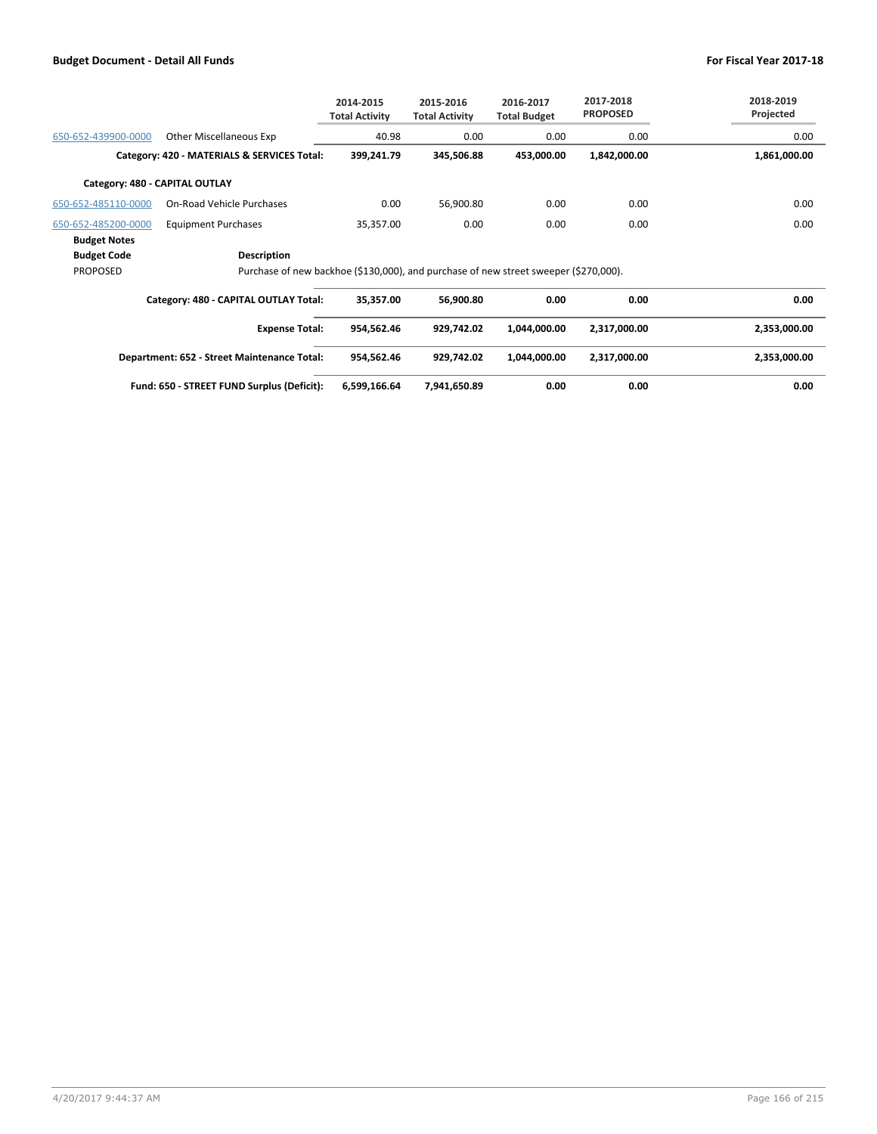|                                |                                                                                      | 2014-2015<br><b>Total Activity</b> | 2015-2016<br><b>Total Activity</b> | 2016-2017<br><b>Total Budget</b> | 2017-2018<br><b>PROPOSED</b> | 2018-2019<br>Projected |
|--------------------------------|--------------------------------------------------------------------------------------|------------------------------------|------------------------------------|----------------------------------|------------------------------|------------------------|
| 650-652-439900-0000            | Other Miscellaneous Exp                                                              | 40.98                              | 0.00                               | 0.00                             | 0.00                         | 0.00                   |
|                                | Category: 420 - MATERIALS & SERVICES Total:                                          | 399,241.79                         | 345,506.88                         | 453,000.00                       | 1,842,000.00                 | 1,861,000.00           |
| Category: 480 - CAPITAL OUTLAY |                                                                                      |                                    |                                    |                                  |                              |                        |
| 650-652-485110-0000            | <b>On-Road Vehicle Purchases</b>                                                     | 0.00                               | 56,900.80                          | 0.00                             | 0.00                         | 0.00                   |
| 650-652-485200-0000            | <b>Equipment Purchases</b>                                                           | 35,357.00                          | 0.00                               | 0.00                             | 0.00                         | 0.00                   |
| <b>Budget Notes</b>            |                                                                                      |                                    |                                    |                                  |                              |                        |
| <b>Budget Code</b>             | <b>Description</b>                                                                   |                                    |                                    |                                  |                              |                        |
| <b>PROPOSED</b>                | Purchase of new backhoe (\$130,000), and purchase of new street sweeper (\$270,000). |                                    |                                    |                                  |                              |                        |
|                                | Category: 480 - CAPITAL OUTLAY Total:                                                | 35,357.00                          | 56,900.80                          | 0.00                             | 0.00                         | 0.00                   |
|                                | <b>Expense Total:</b>                                                                | 954,562.46                         | 929,742.02                         | 1,044,000.00                     | 2,317,000.00                 | 2,353,000.00           |
|                                | Department: 652 - Street Maintenance Total:                                          | 954,562.46                         | 929,742.02                         | 1,044,000.00                     | 2,317,000.00                 | 2,353,000.00           |
|                                | Fund: 650 - STREET FUND Surplus (Deficit):                                           | 6,599,166.64                       | 7,941,650.89                       | 0.00                             | 0.00                         | 0.00                   |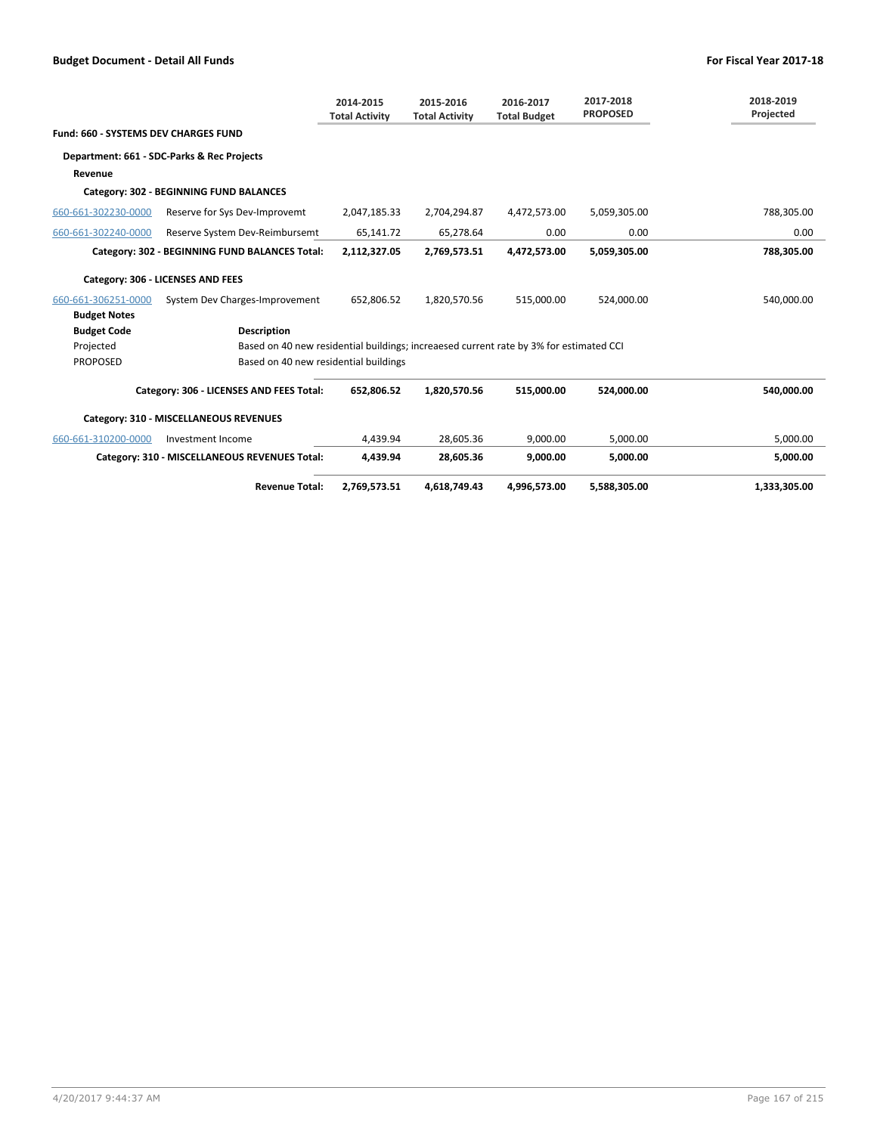|                                             |                                                                                        | 2014-2015<br><b>Total Activity</b> | 2015-2016<br><b>Total Activity</b> | 2016-2017<br><b>Total Budget</b> | 2017-2018<br><b>PROPOSED</b> | 2018-2019<br>Projected |
|---------------------------------------------|----------------------------------------------------------------------------------------|------------------------------------|------------------------------------|----------------------------------|------------------------------|------------------------|
| <b>Fund: 660 - SYSTEMS DEV CHARGES FUND</b> |                                                                                        |                                    |                                    |                                  |                              |                        |
|                                             | Department: 661 - SDC-Parks & Rec Projects                                             |                                    |                                    |                                  |                              |                        |
| Revenue                                     |                                                                                        |                                    |                                    |                                  |                              |                        |
|                                             | Category: 302 - BEGINNING FUND BALANCES                                                |                                    |                                    |                                  |                              |                        |
| 660-661-302230-0000                         | Reserve for Sys Dev-Improvemt                                                          | 2,047,185.33                       | 2,704,294.87                       | 4,472,573.00                     | 5,059,305.00                 | 788,305.00             |
| 660-661-302240-0000                         | Reserve System Dev-Reimbursemt                                                         | 65,141.72                          | 65,278.64                          | 0.00                             | 0.00                         | 0.00                   |
|                                             | Category: 302 - BEGINNING FUND BALANCES Total:                                         | 2,112,327.05                       | 2,769,573.51                       | 4,472,573.00                     | 5,059,305.00                 | 788.305.00             |
|                                             | Category: 306 - LICENSES AND FEES                                                      |                                    |                                    |                                  |                              |                        |
| 660-661-306251-0000                         | System Dev Charges-Improvement                                                         | 652,806.52                         | 1,820,570.56                       | 515,000.00                       | 524,000.00                   | 540,000.00             |
| <b>Budget Notes</b>                         |                                                                                        |                                    |                                    |                                  |                              |                        |
| <b>Budget Code</b>                          | <b>Description</b>                                                                     |                                    |                                    |                                  |                              |                        |
| Projected                                   | Based on 40 new residential buildings; increaesed current rate by 3% for estimated CCI |                                    |                                    |                                  |                              |                        |
| <b>PROPOSED</b>                             | Based on 40 new residential buildings                                                  |                                    |                                    |                                  |                              |                        |
|                                             | Category: 306 - LICENSES AND FEES Total:                                               | 652,806.52                         | 1,820,570.56                       | 515,000.00                       | 524,000.00                   | 540,000.00             |
|                                             | Category: 310 - MISCELLANEOUS REVENUES                                                 |                                    |                                    |                                  |                              |                        |
| 660-661-310200-0000                         | Investment Income                                                                      | 4.439.94                           | 28,605.36                          | 9.000.00                         | 5.000.00                     | 5.000.00               |
|                                             | Category: 310 - MISCELLANEOUS REVENUES Total:                                          | 4,439.94                           | 28,605.36                          | 9.000.00                         | 5.000.00                     | 5,000.00               |
|                                             | <b>Revenue Total:</b>                                                                  | 2,769,573.51                       | 4,618,749.43                       | 4,996,573.00                     | 5,588,305.00                 | 1,333,305.00           |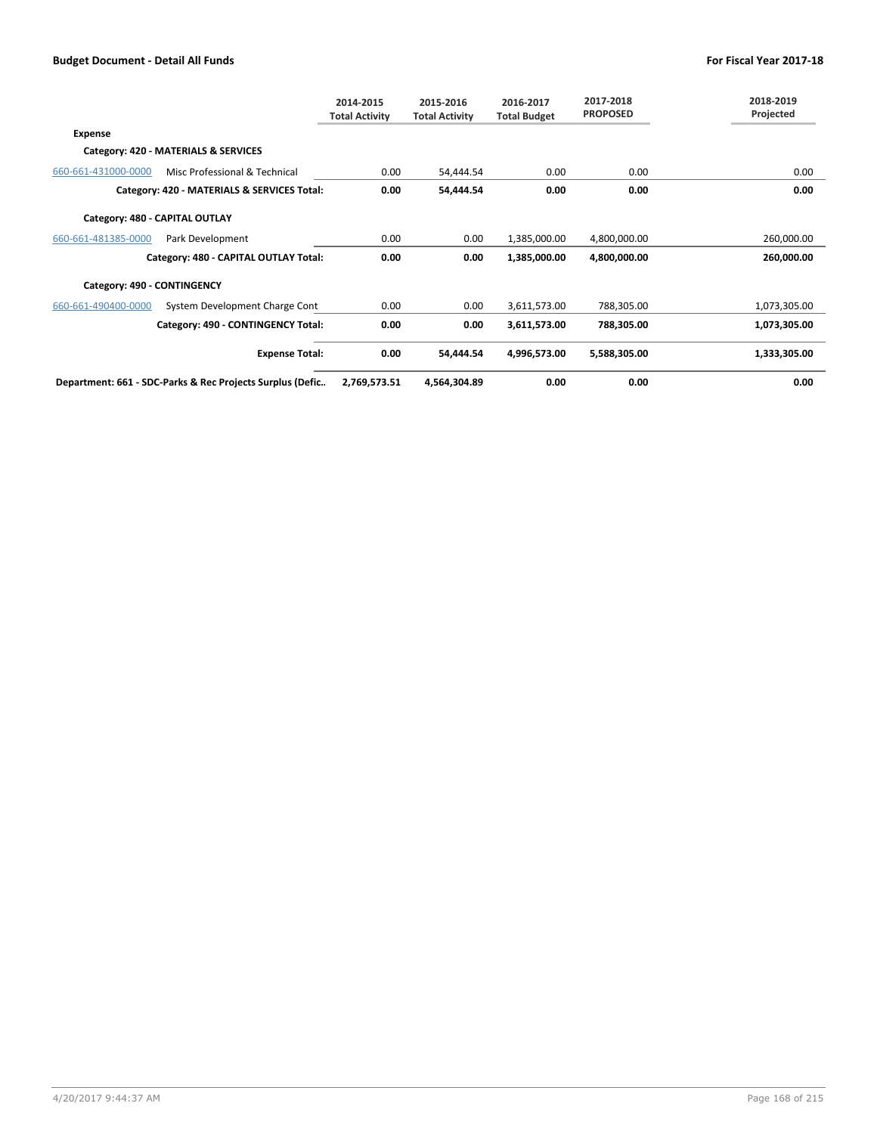|                                |                                                           | 2014-2015<br><b>Total Activity</b> | 2015-2016<br><b>Total Activity</b> | 2016-2017<br><b>Total Budget</b> | 2017-2018<br><b>PROPOSED</b> | 2018-2019<br>Projected |
|--------------------------------|-----------------------------------------------------------|------------------------------------|------------------------------------|----------------------------------|------------------------------|------------------------|
| Expense                        |                                                           |                                    |                                    |                                  |                              |                        |
|                                | Category: 420 - MATERIALS & SERVICES                      |                                    |                                    |                                  |                              |                        |
| 660-661-431000-0000            | Misc Professional & Technical                             | 0.00                               | 54,444.54                          | 0.00                             | 0.00                         | 0.00                   |
|                                | Category: 420 - MATERIALS & SERVICES Total:               | 0.00                               | 54,444.54                          | 0.00                             | 0.00                         | 0.00                   |
| Category: 480 - CAPITAL OUTLAY |                                                           |                                    |                                    |                                  |                              |                        |
| 660-661-481385-0000            | Park Development                                          | 0.00                               | 0.00                               | 1,385,000.00                     | 4,800,000.00                 | 260,000.00             |
|                                | Category: 480 - CAPITAL OUTLAY Total:                     | 0.00                               | 0.00                               | 1,385,000.00                     | 4,800,000.00                 | 260,000.00             |
| Category: 490 - CONTINGENCY    |                                                           |                                    |                                    |                                  |                              |                        |
| 660-661-490400-0000            | System Development Charge Cont                            | 0.00                               | 0.00                               | 3,611,573.00                     | 788,305.00                   | 1,073,305.00           |
|                                | Category: 490 - CONTINGENCY Total:                        | 0.00                               | 0.00                               | 3,611,573.00                     | 788,305.00                   | 1,073,305.00           |
|                                | <b>Expense Total:</b>                                     | 0.00                               | 54,444.54                          | 4,996,573.00                     | 5,588,305.00                 | 1,333,305.00           |
|                                | Department: 661 - SDC-Parks & Rec Projects Surplus (Defic | 2,769,573.51                       | 4,564,304.89                       | 0.00                             | 0.00                         | 0.00                   |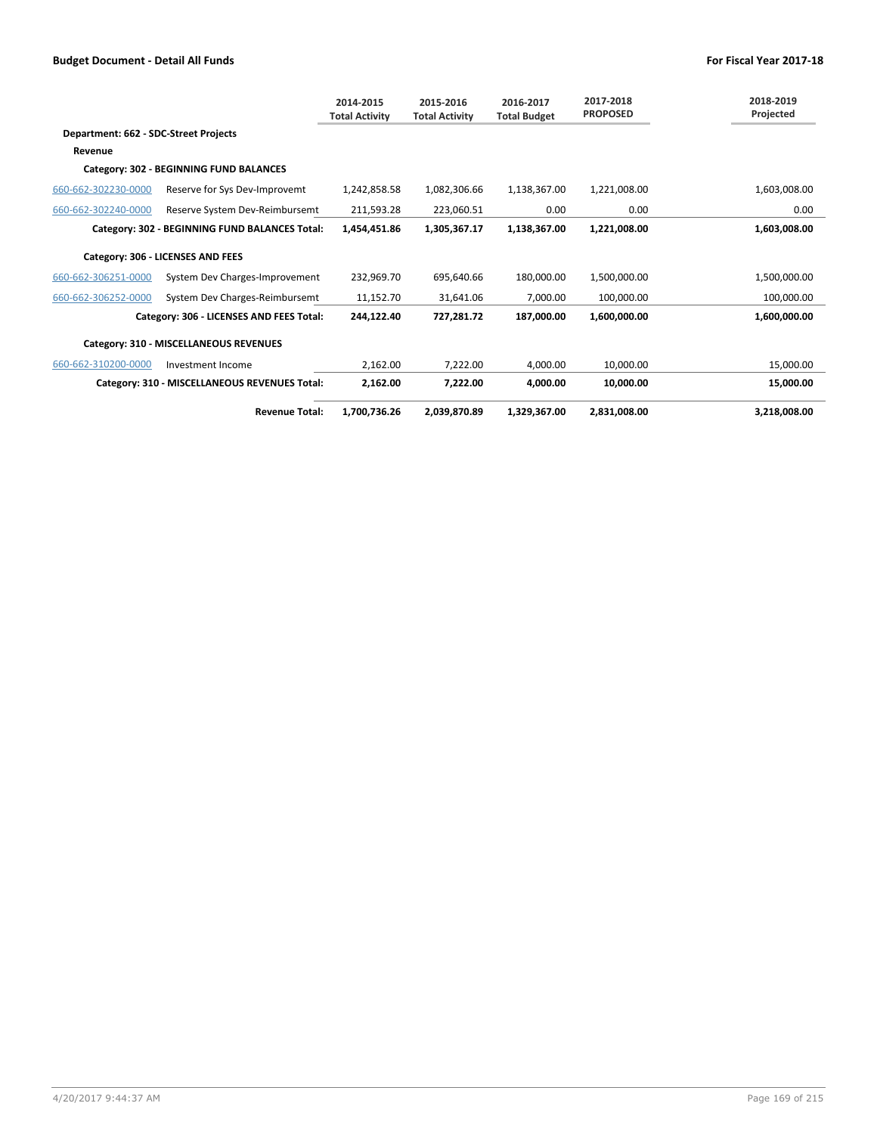|                                       |                                                | 2014-2015<br><b>Total Activity</b> | 2015-2016<br><b>Total Activity</b> | 2016-2017<br><b>Total Budget</b> | 2017-2018<br><b>PROPOSED</b> | 2018-2019<br>Projected |
|---------------------------------------|------------------------------------------------|------------------------------------|------------------------------------|----------------------------------|------------------------------|------------------------|
| Department: 662 - SDC-Street Projects |                                                |                                    |                                    |                                  |                              |                        |
| Revenue                               |                                                |                                    |                                    |                                  |                              |                        |
|                                       | Category: 302 - BEGINNING FUND BALANCES        |                                    |                                    |                                  |                              |                        |
| 660-662-302230-0000                   | Reserve for Sys Dev-Improvemt                  | 1,242,858.58                       | 1,082,306.66                       | 1,138,367.00                     | 1,221,008.00                 | 1,603,008.00           |
| 660-662-302240-0000                   | Reserve System Dev-Reimbursemt                 | 211,593.28                         | 223.060.51                         | 0.00                             | 0.00                         | 0.00                   |
|                                       | Category: 302 - BEGINNING FUND BALANCES Total: | 1,454,451.86                       | 1,305,367.17                       | 1,138,367.00                     | 1,221,008.00                 | 1,603,008.00           |
|                                       | Category: 306 - LICENSES AND FEES              |                                    |                                    |                                  |                              |                        |
| 660-662-306251-0000                   | System Dev Charges-Improvement                 | 232.969.70                         | 695.640.66                         | 180.000.00                       | 1,500,000.00                 | 1,500,000.00           |
| 660-662-306252-0000                   | System Dev Charges-Reimbursemt                 | 11,152.70                          | 31,641.06                          | 7.000.00                         | 100.000.00                   | 100,000.00             |
|                                       | Category: 306 - LICENSES AND FEES Total:       | 244,122.40                         | 727,281.72                         | 187,000.00                       | 1,600,000.00                 | 1,600,000.00           |
|                                       | Category: 310 - MISCELLANEOUS REVENUES         |                                    |                                    |                                  |                              |                        |
| 660-662-310200-0000                   | Investment Income                              | 2,162.00                           | 7,222.00                           | 4.000.00                         | 10.000.00                    | 15.000.00              |
|                                       | Category: 310 - MISCELLANEOUS REVENUES Total:  | 2,162.00                           | 7,222.00                           | 4.000.00                         | 10,000.00                    | 15,000.00              |
|                                       | <b>Revenue Total:</b>                          | 1,700,736.26                       | 2,039,870.89                       | 1,329,367.00                     | 2,831,008.00                 | 3,218,008.00           |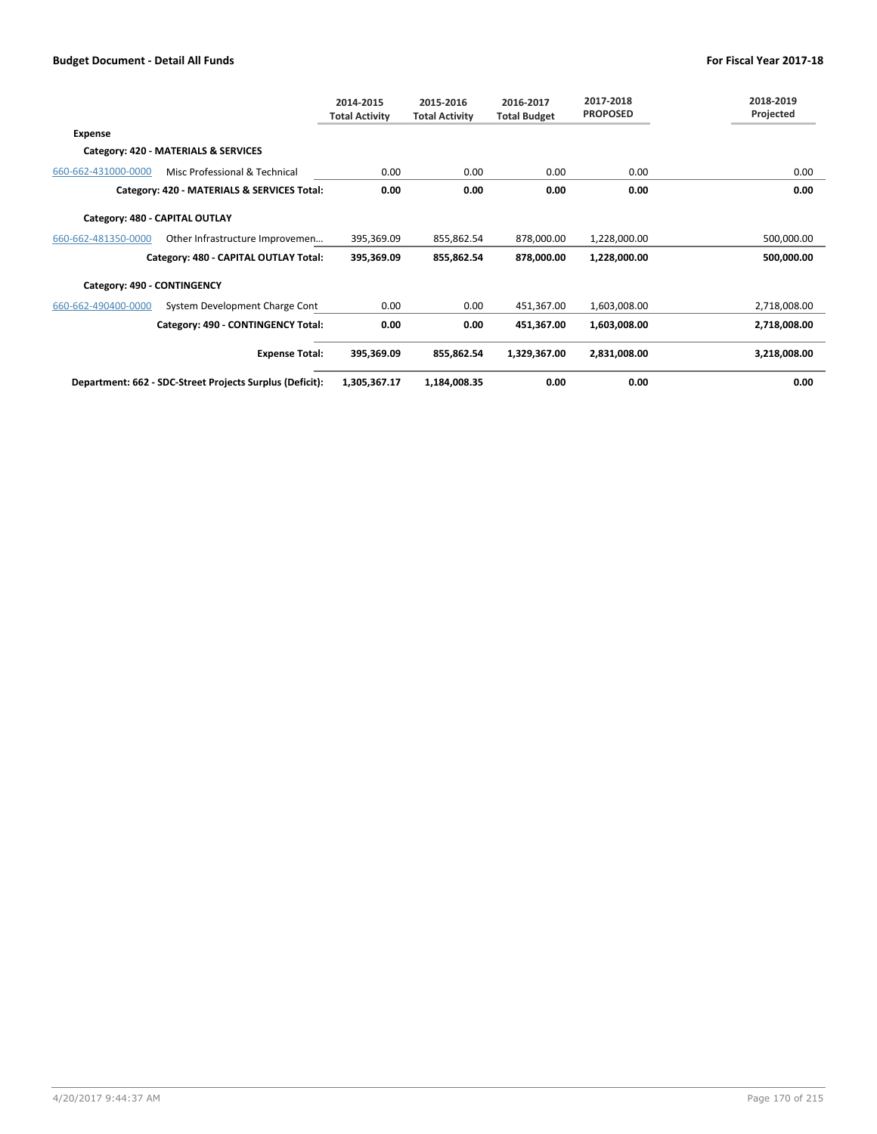|                                |                                                          | 2014-2015<br><b>Total Activity</b> | 2015-2016<br><b>Total Activity</b> | 2016-2017<br><b>Total Budget</b> | 2017-2018<br><b>PROPOSED</b> | 2018-2019<br>Projected |
|--------------------------------|----------------------------------------------------------|------------------------------------|------------------------------------|----------------------------------|------------------------------|------------------------|
| <b>Expense</b>                 |                                                          |                                    |                                    |                                  |                              |                        |
|                                | Category: 420 - MATERIALS & SERVICES                     |                                    |                                    |                                  |                              |                        |
| 660-662-431000-0000            | Misc Professional & Technical                            | 0.00                               | 0.00                               | 0.00                             | 0.00                         | 0.00                   |
|                                | Category: 420 - MATERIALS & SERVICES Total:              | 0.00                               | 0.00                               | 0.00                             | 0.00                         | 0.00                   |
| Category: 480 - CAPITAL OUTLAY |                                                          |                                    |                                    |                                  |                              |                        |
| 660-662-481350-0000            | Other Infrastructure Improvemen                          | 395,369.09                         | 855,862.54                         | 878,000.00                       | 1,228,000.00                 | 500,000.00             |
|                                | Category: 480 - CAPITAL OUTLAY Total:                    | 395,369.09                         | 855,862.54                         | 878,000.00                       | 1,228,000.00                 | 500,000.00             |
| Category: 490 - CONTINGENCY    |                                                          |                                    |                                    |                                  |                              |                        |
| 660-662-490400-0000            | System Development Charge Cont                           | 0.00                               | 0.00                               | 451,367.00                       | 1,603,008.00                 | 2,718,008.00           |
|                                | Category: 490 - CONTINGENCY Total:                       | 0.00                               | 0.00                               | 451,367.00                       | 1,603,008.00                 | 2,718,008.00           |
|                                | <b>Expense Total:</b>                                    | 395,369.09                         | 855,862.54                         | 1,329,367.00                     | 2,831,008.00                 | 3,218,008.00           |
|                                | Department: 662 - SDC-Street Projects Surplus (Deficit): | 1,305,367.17                       | 1,184,008.35                       | 0.00                             | 0.00                         | 0.00                   |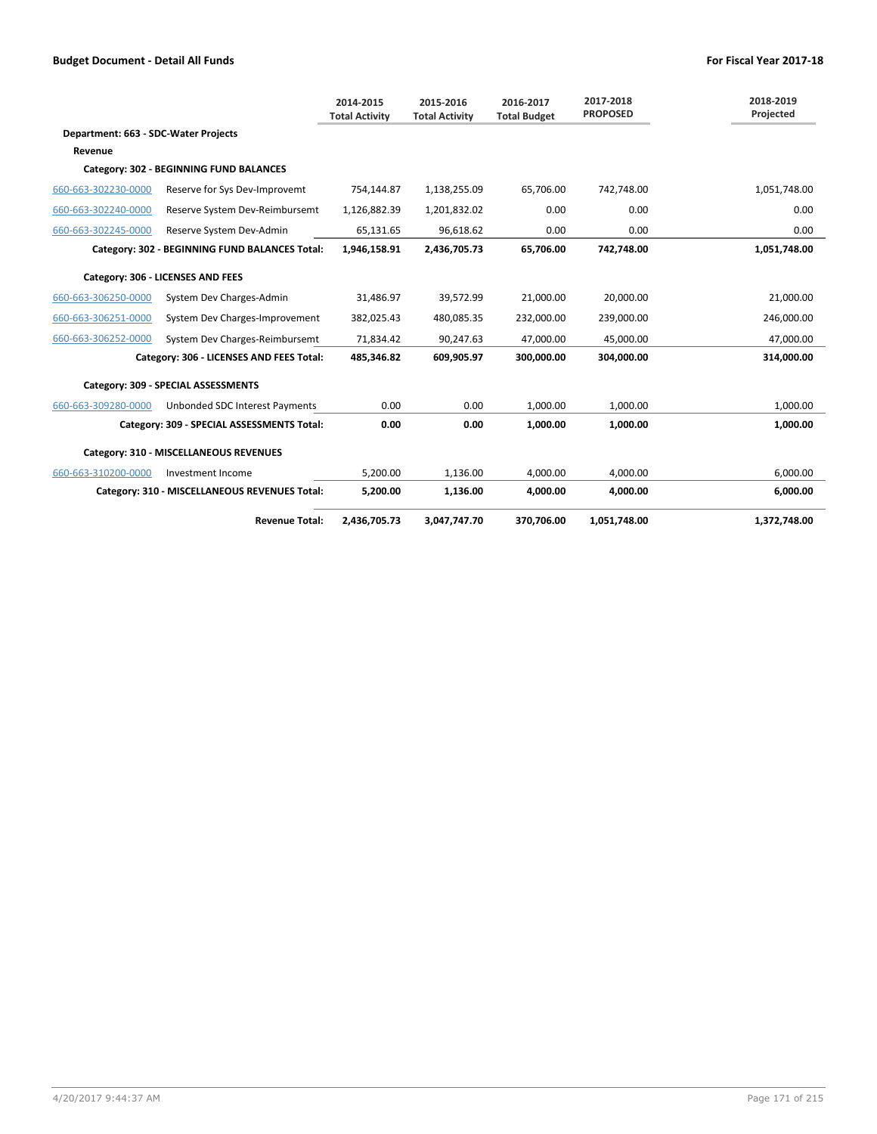|                                      |                                                | 2014-2015<br><b>Total Activity</b> | 2015-2016<br><b>Total Activity</b> | 2016-2017<br><b>Total Budget</b> | 2017-2018<br><b>PROPOSED</b> | 2018-2019<br>Projected |
|--------------------------------------|------------------------------------------------|------------------------------------|------------------------------------|----------------------------------|------------------------------|------------------------|
| Department: 663 - SDC-Water Projects |                                                |                                    |                                    |                                  |                              |                        |
| Revenue                              |                                                |                                    |                                    |                                  |                              |                        |
|                                      | Category: 302 - BEGINNING FUND BALANCES        |                                    |                                    |                                  |                              |                        |
| 660-663-302230-0000                  | Reserve for Sys Dev-Improvemt                  | 754,144.87                         | 1,138,255.09                       | 65,706.00                        | 742,748.00                   | 1,051,748.00           |
| 660-663-302240-0000                  | Reserve System Dev-Reimbursemt                 | 1,126,882.39                       | 1,201,832.02                       | 0.00                             | 0.00                         | 0.00                   |
| 660-663-302245-0000                  | Reserve System Dev-Admin                       | 65,131.65                          | 96,618.62                          | 0.00                             | 0.00                         | 0.00                   |
|                                      | Category: 302 - BEGINNING FUND BALANCES Total: | 1,946,158.91                       | 2,436,705.73                       | 65,706.00                        | 742,748.00                   | 1,051,748.00           |
|                                      | Category: 306 - LICENSES AND FEES              |                                    |                                    |                                  |                              |                        |
| 660-663-306250-0000                  | System Dev Charges-Admin                       | 31,486.97                          | 39,572.99                          | 21,000.00                        | 20,000.00                    | 21,000.00              |
| 660-663-306251-0000                  | System Dev Charges-Improvement                 | 382,025.43                         | 480,085.35                         | 232,000.00                       | 239,000.00                   | 246,000.00             |
| 660-663-306252-0000                  | System Dev Charges-Reimbursemt                 | 71,834.42                          | 90,247.63                          | 47.000.00                        | 45,000.00                    | 47,000.00              |
|                                      | Category: 306 - LICENSES AND FEES Total:       | 485,346.82                         | 609,905.97                         | 300,000.00                       | 304,000.00                   | 314,000.00             |
|                                      | Category: 309 - SPECIAL ASSESSMENTS            |                                    |                                    |                                  |                              |                        |
| 660-663-309280-0000                  | Unbonded SDC Interest Payments                 | 0.00                               | 0.00                               | 1.000.00                         | 1.000.00                     | 1.000.00               |
|                                      | Category: 309 - SPECIAL ASSESSMENTS Total:     | 0.00                               | 0.00                               | 1.000.00                         | 1.000.00                     | 1,000.00               |
|                                      | Category: 310 - MISCELLANEOUS REVENUES         |                                    |                                    |                                  |                              |                        |
| 660-663-310200-0000                  | Investment Income                              | 5.200.00                           | 1.136.00                           | 4.000.00                         | 4.000.00                     | 6.000.00               |
|                                      | Category: 310 - MISCELLANEOUS REVENUES Total:  | 5,200.00                           | 1,136.00                           | 4,000.00                         | 4,000.00                     | 6,000.00               |
|                                      | <b>Revenue Total:</b>                          | 2,436,705.73                       | 3.047.747.70                       | 370.706.00                       | 1.051.748.00                 | 1,372,748.00           |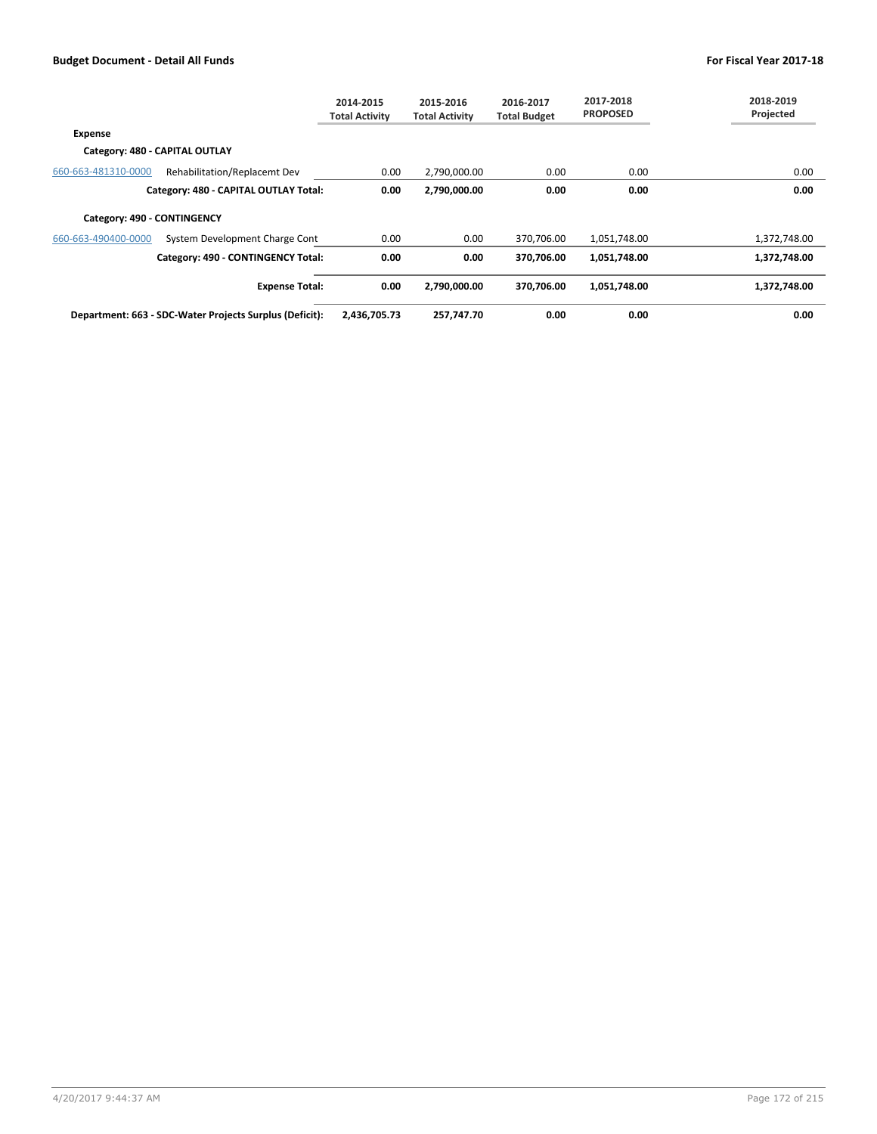|                             |                                                         | 2014-2015<br><b>Total Activity</b> | 2015-2016<br><b>Total Activity</b> | 2016-2017<br><b>Total Budget</b> | 2017-2018<br><b>PROPOSED</b> | 2018-2019<br>Projected |
|-----------------------------|---------------------------------------------------------|------------------------------------|------------------------------------|----------------------------------|------------------------------|------------------------|
| <b>Expense</b>              |                                                         |                                    |                                    |                                  |                              |                        |
|                             | Category: 480 - CAPITAL OUTLAY                          |                                    |                                    |                                  |                              |                        |
| 660-663-481310-0000         | Rehabilitation/Replacemt Dev                            | 0.00                               | 2,790,000.00                       | 0.00                             | 0.00                         | 0.00                   |
|                             | Category: 480 - CAPITAL OUTLAY Total:                   | 0.00                               | 2,790,000.00                       | 0.00                             | 0.00                         | 0.00                   |
| Category: 490 - CONTINGENCY |                                                         |                                    |                                    |                                  |                              |                        |
| 660-663-490400-0000         | System Development Charge Cont                          | 0.00                               | 0.00                               | 370,706.00                       | 1,051,748.00                 | 1,372,748.00           |
|                             | Category: 490 - CONTINGENCY Total:                      | 0.00                               | 0.00                               | 370,706.00                       | 1,051,748.00                 | 1,372,748.00           |
|                             | <b>Expense Total:</b>                                   | 0.00                               | 2,790,000.00                       | 370,706.00                       | 1,051,748.00                 | 1,372,748.00           |
|                             | Department: 663 - SDC-Water Projects Surplus (Deficit): | 2,436,705.73                       | 257,747.70                         | 0.00                             | 0.00                         | 0.00                   |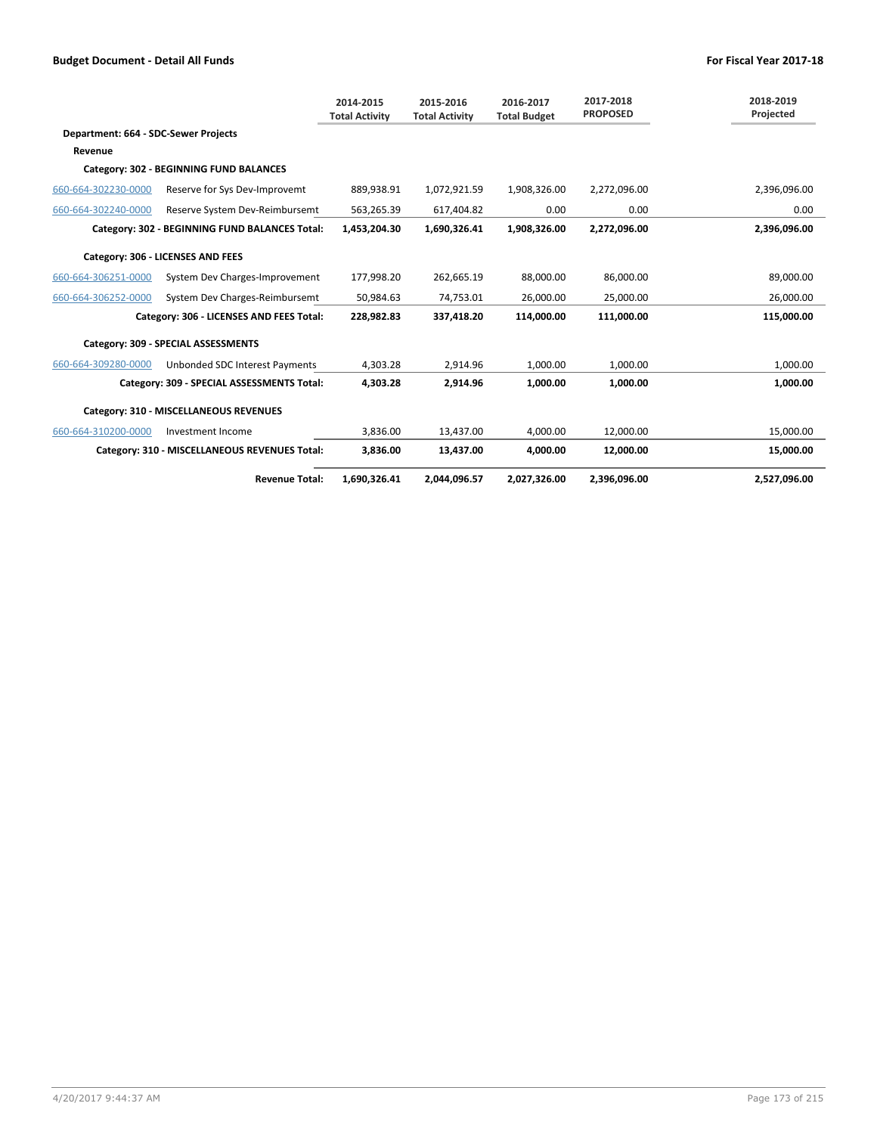|                                      |                                                | 2014-2015<br><b>Total Activity</b> | 2015-2016<br><b>Total Activity</b> | 2016-2017<br><b>Total Budget</b> | 2017-2018<br><b>PROPOSED</b> | 2018-2019<br>Projected |
|--------------------------------------|------------------------------------------------|------------------------------------|------------------------------------|----------------------------------|------------------------------|------------------------|
| Department: 664 - SDC-Sewer Projects |                                                |                                    |                                    |                                  |                              |                        |
| Revenue                              |                                                |                                    |                                    |                                  |                              |                        |
|                                      | Category: 302 - BEGINNING FUND BALANCES        |                                    |                                    |                                  |                              |                        |
| 660-664-302230-0000                  | Reserve for Sys Dev-Improvemt                  | 889.938.91                         | 1,072,921.59                       | 1,908,326.00                     | 2,272,096.00                 | 2,396,096.00           |
| 660-664-302240-0000                  | Reserve System Dev-Reimbursemt                 | 563,265.39                         | 617,404.82                         | 0.00                             | 0.00                         | 0.00                   |
|                                      | Category: 302 - BEGINNING FUND BALANCES Total: | 1,453,204.30                       | 1,690,326.41                       | 1,908,326.00                     | 2,272,096.00                 | 2,396,096.00           |
|                                      | Category: 306 - LICENSES AND FEES              |                                    |                                    |                                  |                              |                        |
| 660-664-306251-0000                  | System Dev Charges-Improvement                 | 177,998.20                         | 262,665.19                         | 88,000.00                        | 86,000.00                    | 89,000.00              |
| 660-664-306252-0000                  | System Dev Charges-Reimbursemt                 | 50.984.63                          | 74.753.01                          | 26.000.00                        | 25.000.00                    | 26.000.00              |
|                                      | Category: 306 - LICENSES AND FEES Total:       | 228,982.83                         | 337,418.20                         | 114,000.00                       | 111,000.00                   | 115,000.00             |
|                                      | Category: 309 - SPECIAL ASSESSMENTS            |                                    |                                    |                                  |                              |                        |
| 660-664-309280-0000                  | Unbonded SDC Interest Payments                 | 4,303.28                           | 2,914.96                           | 1,000.00                         | 1,000.00                     | 1,000.00               |
|                                      | Category: 309 - SPECIAL ASSESSMENTS Total:     | 4,303.28                           | 2,914.96                           | 1,000.00                         | 1,000.00                     | 1,000.00               |
|                                      | Category: 310 - MISCELLANEOUS REVENUES         |                                    |                                    |                                  |                              |                        |
| 660-664-310200-0000                  | Investment Income                              | 3,836.00                           | 13,437.00                          | 4,000.00                         | 12,000.00                    | 15,000.00              |
|                                      | Category: 310 - MISCELLANEOUS REVENUES Total:  | 3,836.00                           | 13,437.00                          | 4,000.00                         | 12,000.00                    | 15,000.00              |
|                                      | <b>Revenue Total:</b>                          | 1.690.326.41                       | 2.044.096.57                       | 2.027.326.00                     | 2.396.096.00                 | 2.527.096.00           |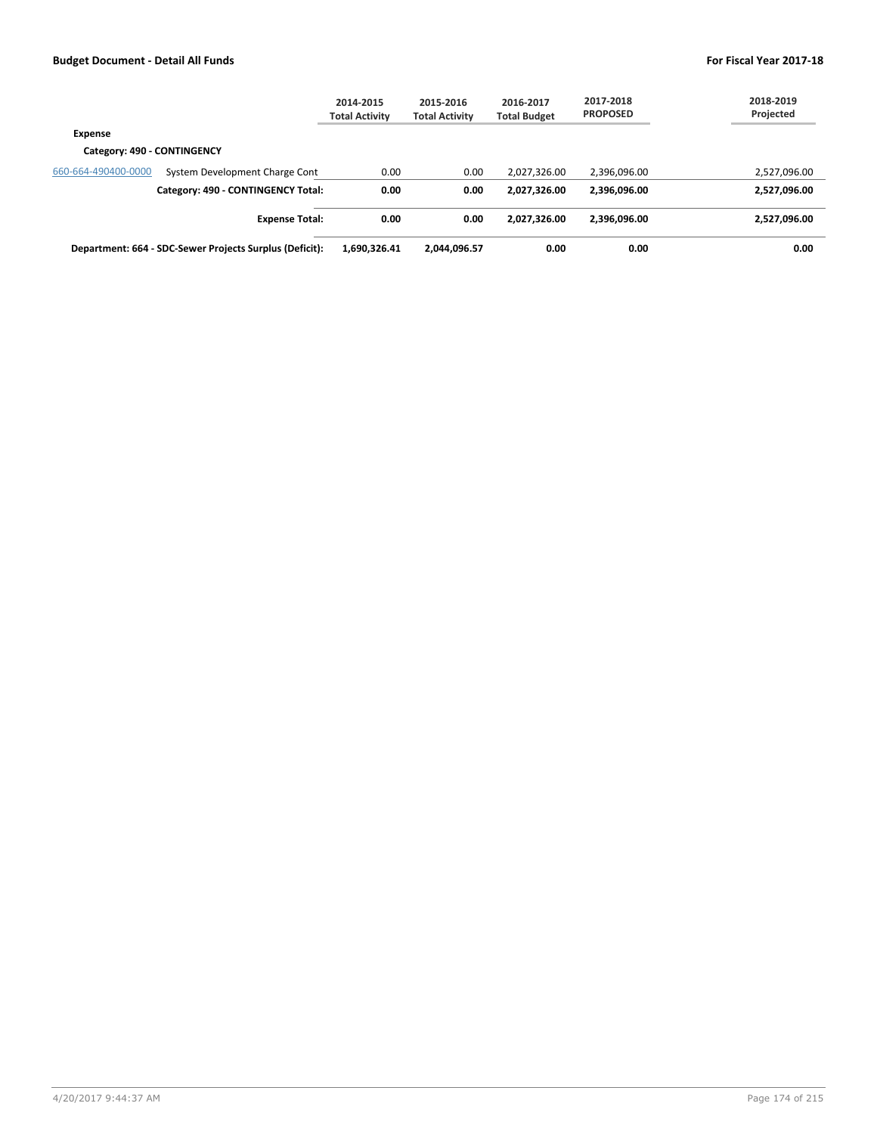|                             |                                                         | 2014-2015<br><b>Total Activity</b> | 2015-2016<br><b>Total Activity</b> | 2016-2017<br><b>Total Budget</b> | 2017-2018<br><b>PROPOSED</b> | 2018-2019<br>Projected |
|-----------------------------|---------------------------------------------------------|------------------------------------|------------------------------------|----------------------------------|------------------------------|------------------------|
| Expense                     |                                                         |                                    |                                    |                                  |                              |                        |
| Category: 490 - CONTINGENCY |                                                         |                                    |                                    |                                  |                              |                        |
| 660-664-490400-0000         | System Development Charge Cont                          | 0.00                               | 0.00                               | 2,027,326.00                     | 2,396,096.00                 | 2,527,096.00           |
|                             | Category: 490 - CONTINGENCY Total:                      | 0.00                               | 0.00                               | 2.027.326.00                     | 2,396,096.00                 | 2,527,096.00           |
|                             | <b>Expense Total:</b>                                   | 0.00                               | 0.00                               | 2,027,326.00                     | 2,396,096.00                 | 2,527,096.00           |
|                             | Department: 664 - SDC-Sewer Projects Surplus (Deficit): | 1,690,326.41                       | 2,044,096.57                       | 0.00                             | 0.00                         | 0.00                   |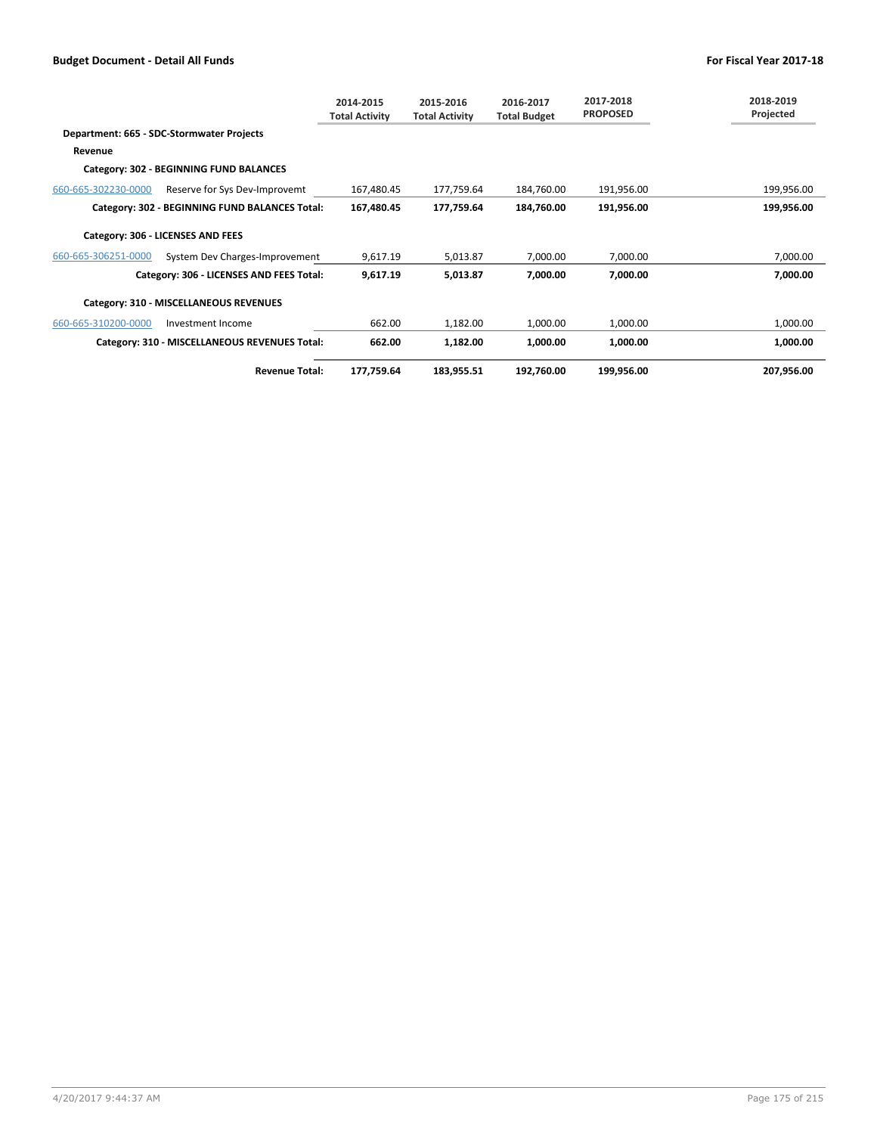|                     |                                                | 2014-2015<br><b>Total Activity</b> | 2015-2016<br><b>Total Activity</b> | 2016-2017<br><b>Total Budget</b> | 2017-2018<br><b>PROPOSED</b> | 2018-2019<br>Projected |
|---------------------|------------------------------------------------|------------------------------------|------------------------------------|----------------------------------|------------------------------|------------------------|
|                     | Department: 665 - SDC-Stormwater Projects      |                                    |                                    |                                  |                              |                        |
| Revenue             |                                                |                                    |                                    |                                  |                              |                        |
|                     | Category: 302 - BEGINNING FUND BALANCES        |                                    |                                    |                                  |                              |                        |
| 660-665-302230-0000 | Reserve for Sys Dev-Improvemt                  | 167,480.45                         | 177,759.64                         | 184,760.00                       | 191,956.00                   | 199,956.00             |
|                     | Category: 302 - BEGINNING FUND BALANCES Total: | 167,480.45                         | 177,759.64                         | 184,760.00                       | 191,956.00                   | 199,956.00             |
|                     | Category: 306 - LICENSES AND FEES              |                                    |                                    |                                  |                              |                        |
| 660-665-306251-0000 | System Dev Charges-Improvement                 | 9,617.19                           | 5,013.87                           | 7,000.00                         | 7,000.00                     | 7,000.00               |
|                     | Category: 306 - LICENSES AND FEES Total:       | 9,617.19                           | 5,013.87                           | 7,000.00                         | 7,000.00                     | 7,000.00               |
|                     | Category: 310 - MISCELLANEOUS REVENUES         |                                    |                                    |                                  |                              |                        |
| 660-665-310200-0000 | Investment Income                              | 662.00                             | 1,182.00                           | 1,000.00                         | 1,000.00                     | 1,000.00               |
|                     | Category: 310 - MISCELLANEOUS REVENUES Total:  | 662.00                             | 1,182.00                           | 1,000.00                         | 1,000.00                     | 1,000.00               |
|                     | <b>Revenue Total:</b>                          | 177,759.64                         | 183,955.51                         | 192,760.00                       | 199,956.00                   | 207,956.00             |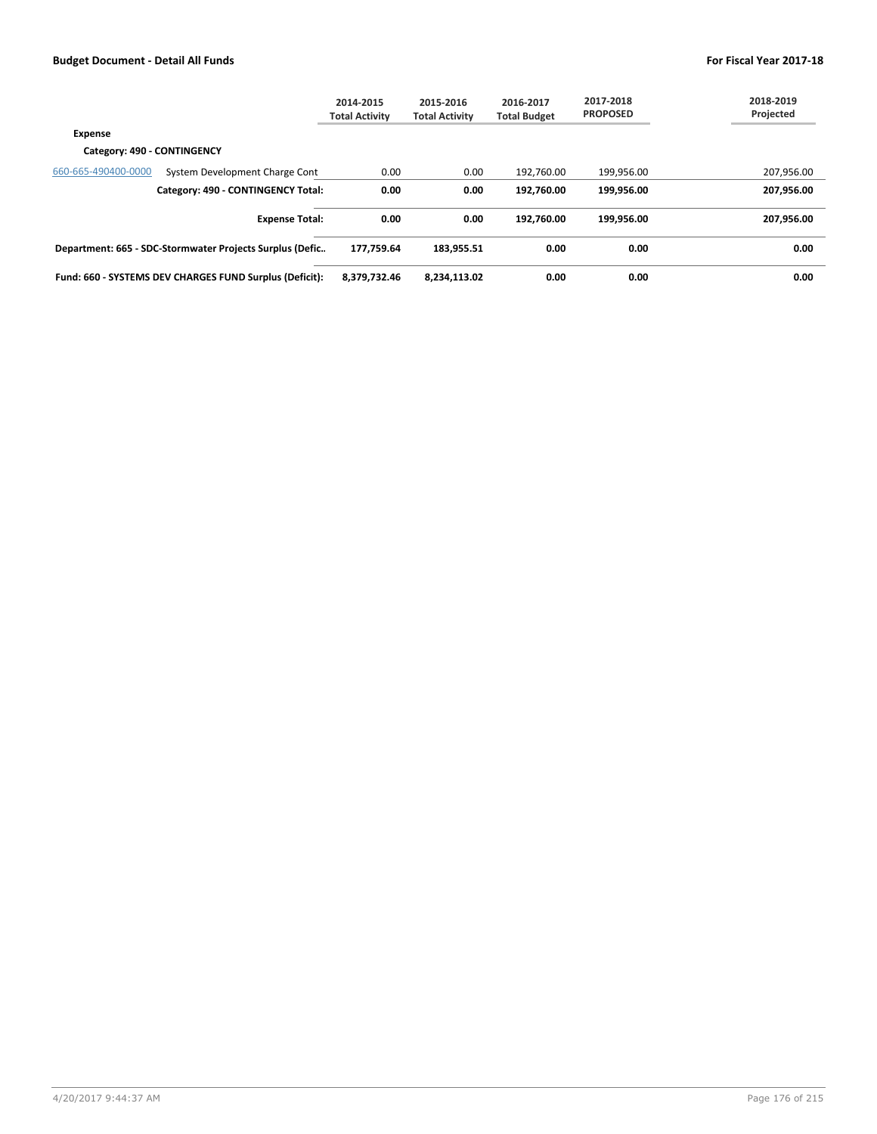|                             |                                                          | 2014-2015<br><b>Total Activity</b> | 2015-2016<br><b>Total Activity</b> | 2016-2017<br><b>Total Budget</b> | 2017-2018<br><b>PROPOSED</b> | 2018-2019<br>Projected |
|-----------------------------|----------------------------------------------------------|------------------------------------|------------------------------------|----------------------------------|------------------------------|------------------------|
| <b>Expense</b>              |                                                          |                                    |                                    |                                  |                              |                        |
| Category: 490 - CONTINGENCY |                                                          |                                    |                                    |                                  |                              |                        |
| 660-665-490400-0000         | System Development Charge Cont                           | 0.00                               | 0.00                               | 192,760.00                       | 199,956.00                   | 207,956.00             |
|                             | Category: 490 - CONTINGENCY Total:                       | 0.00                               | 0.00                               | 192.760.00                       | 199.956.00                   | 207,956.00             |
|                             | <b>Expense Total:</b>                                    | 0.00                               | 0.00                               | 192.760.00                       | 199.956.00                   | 207,956.00             |
|                             | Department: 665 - SDC-Stormwater Projects Surplus (Defic | 177.759.64                         | 183.955.51                         | 0.00                             | 0.00                         | 0.00                   |
|                             | Fund: 660 - SYSTEMS DEV CHARGES FUND Surplus (Deficit):  | 8,379,732.46                       | 8,234,113.02                       | 0.00                             | 0.00                         | 0.00                   |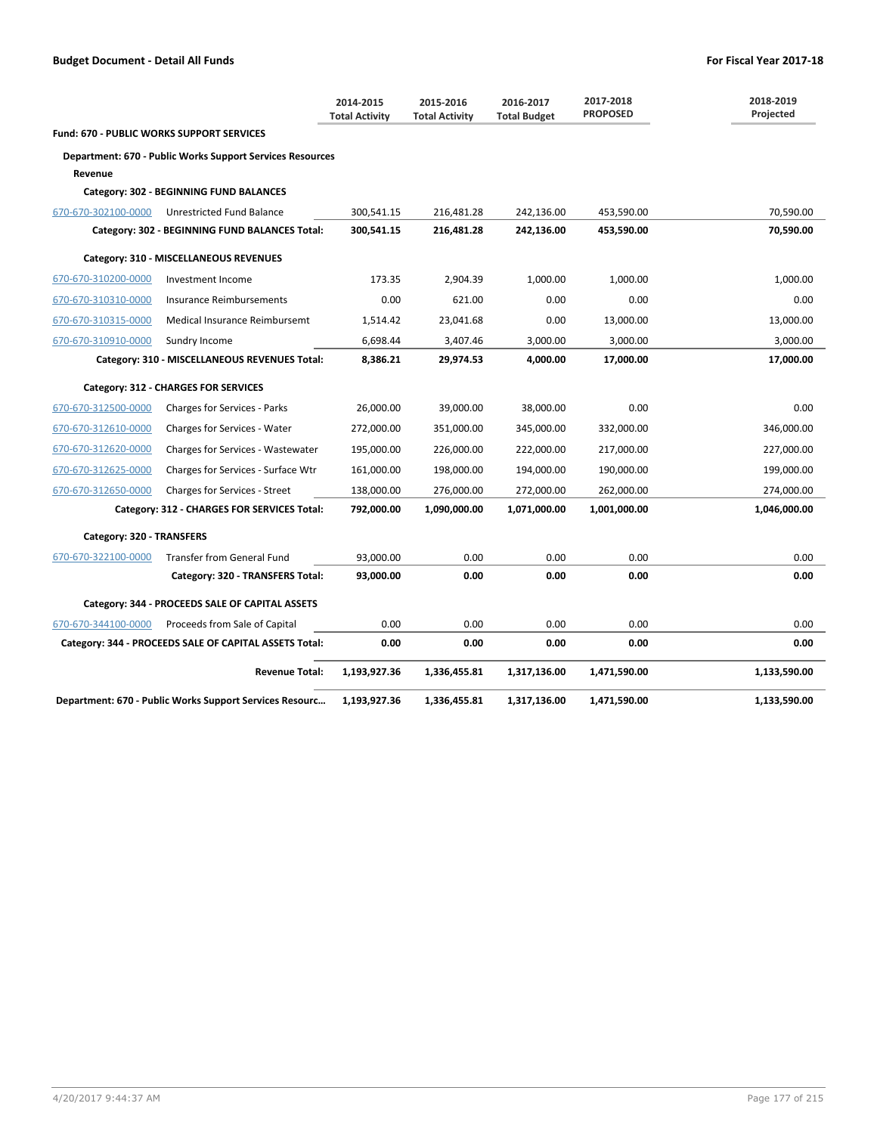|                                           |                                                                  | 2014-2015<br><b>Total Activity</b> | 2015-2016<br><b>Total Activity</b> | 2016-2017<br><b>Total Budget</b> | 2017-2018<br><b>PROPOSED</b> | 2018-2019<br>Projected |
|-------------------------------------------|------------------------------------------------------------------|------------------------------------|------------------------------------|----------------------------------|------------------------------|------------------------|
| Fund: 670 - PUBLIC WORKS SUPPORT SERVICES |                                                                  |                                    |                                    |                                  |                              |                        |
|                                           | <b>Department: 670 - Public Works Support Services Resources</b> |                                    |                                    |                                  |                              |                        |
| Revenue                                   |                                                                  |                                    |                                    |                                  |                              |                        |
|                                           | Category: 302 - BEGINNING FUND BALANCES                          |                                    |                                    |                                  |                              |                        |
| 670-670-302100-0000                       | Unrestricted Fund Balance                                        | 300,541.15                         | 216,481.28                         | 242,136.00                       | 453,590.00                   | 70,590.00              |
|                                           | Category: 302 - BEGINNING FUND BALANCES Total:                   | 300,541.15                         | 216,481.28                         | 242,136.00                       | 453,590.00                   | 70,590.00              |
|                                           | Category: 310 - MISCELLANEOUS REVENUES                           |                                    |                                    |                                  |                              |                        |
| 670-670-310200-0000                       | Investment Income                                                | 173.35                             | 2,904.39                           | 1.000.00                         | 1.000.00                     | 1,000.00               |
| 670-670-310310-0000                       | Insurance Reimbursements                                         | 0.00                               | 621.00                             | 0.00                             | 0.00                         | 0.00                   |
| 670-670-310315-0000                       | Medical Insurance Reimbursemt                                    | 1,514.42                           | 23,041.68                          | 0.00                             | 13,000.00                    | 13,000.00              |
| 670-670-310910-0000                       | Sundry Income                                                    | 6,698.44                           | 3,407.46                           | 3,000.00                         | 3,000.00                     | 3,000.00               |
|                                           | Category: 310 - MISCELLANEOUS REVENUES Total:                    | 8,386.21                           | 29,974.53                          | 4,000.00                         | 17,000.00                    | 17,000.00              |
|                                           | Category: 312 - CHARGES FOR SERVICES                             |                                    |                                    |                                  |                              |                        |
| 670-670-312500-0000                       | Charges for Services - Parks                                     | 26,000.00                          | 39,000.00                          | 38,000.00                        | 0.00                         | 0.00                   |
| 670-670-312610-0000                       | <b>Charges for Services - Water</b>                              | 272,000.00                         | 351,000.00                         | 345,000.00                       | 332,000.00                   | 346,000.00             |
| 670-670-312620-0000                       | Charges for Services - Wastewater                                | 195,000.00                         | 226,000.00                         | 222,000.00                       | 217,000.00                   | 227,000.00             |
| 670-670-312625-0000                       | Charges for Services - Surface Wtr                               | 161,000.00                         | 198,000.00                         | 194,000.00                       | 190,000.00                   | 199,000.00             |
| 670-670-312650-0000                       | Charges for Services - Street                                    | 138,000.00                         | 276,000.00                         | 272,000.00                       | 262,000.00                   | 274,000.00             |
|                                           | Category: 312 - CHARGES FOR SERVICES Total:                      | 792,000.00                         | 1,090,000.00                       | 1,071,000.00                     | 1,001,000.00                 | 1,046,000.00           |
| Category: 320 - TRANSFERS                 |                                                                  |                                    |                                    |                                  |                              |                        |
| 670-670-322100-0000                       | <b>Transfer from General Fund</b>                                | 93,000.00                          | 0.00                               | 0.00                             | 0.00                         | 0.00                   |
|                                           | Category: 320 - TRANSFERS Total:                                 | 93,000.00                          | 0.00                               | 0.00                             | 0.00                         | 0.00                   |
|                                           | Category: 344 - PROCEEDS SALE OF CAPITAL ASSETS                  |                                    |                                    |                                  |                              |                        |
| 670-670-344100-0000                       | Proceeds from Sale of Capital                                    | 0.00                               | 0.00                               | 0.00                             | 0.00                         | 0.00                   |
|                                           | Category: 344 - PROCEEDS SALE OF CAPITAL ASSETS Total:           | 0.00                               | 0.00                               | 0.00                             | 0.00                         | 0.00                   |
|                                           | <b>Revenue Total:</b>                                            | 1,193,927.36                       | 1,336,455.81                       | 1,317,136.00                     | 1,471,590.00                 | 1,133,590.00           |
|                                           | Department: 670 - Public Works Support Services Resourc          | 1,193,927.36                       | 1,336,455.81                       | 1,317,136.00                     | 1,471,590.00                 | 1,133,590.00           |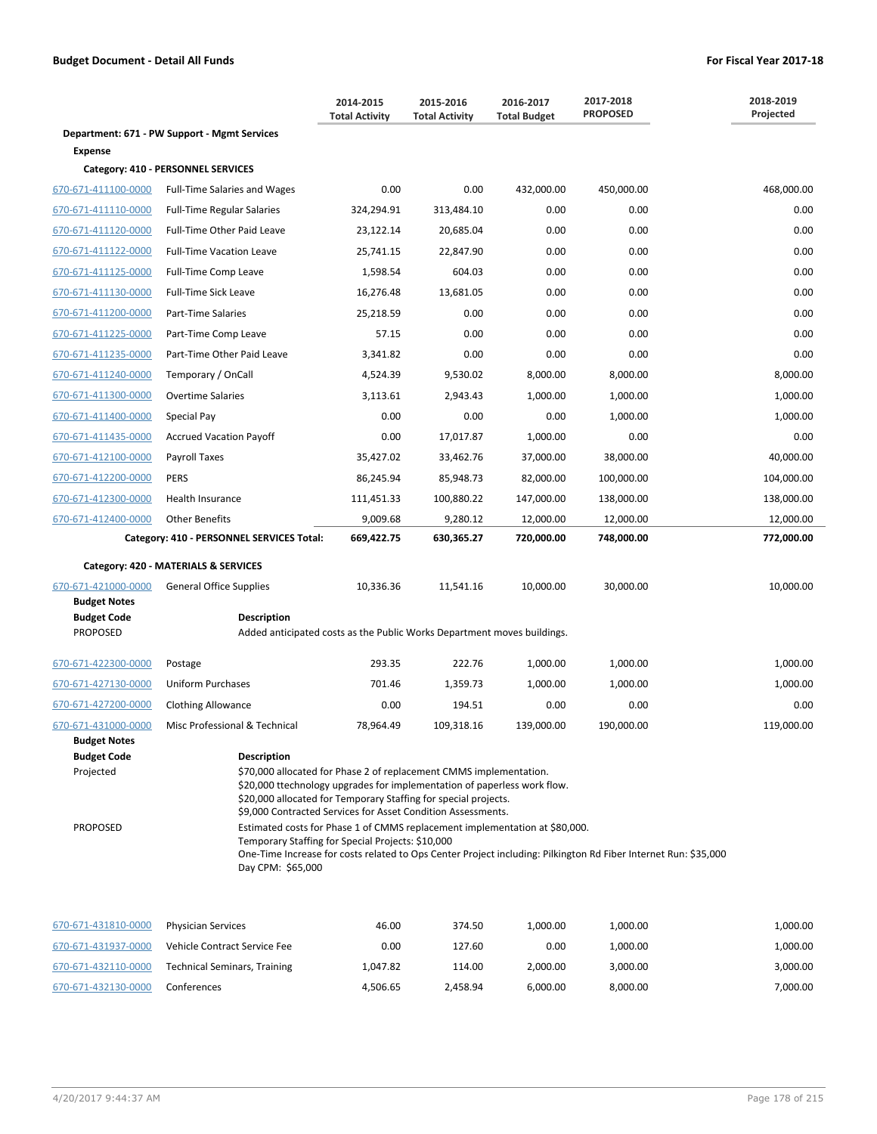|                                            |                                                                                                                                                                                                                                                                                                         | 2014-2015<br><b>Total Activity</b> | 2015-2016<br><b>Total Activity</b> | 2016-2017<br><b>Total Budget</b> | 2017-2018<br><b>PROPOSED</b> | 2018-2019<br>Projected |
|--------------------------------------------|---------------------------------------------------------------------------------------------------------------------------------------------------------------------------------------------------------------------------------------------------------------------------------------------------------|------------------------------------|------------------------------------|----------------------------------|------------------------------|------------------------|
|                                            | Department: 671 - PW Support - Mgmt Services                                                                                                                                                                                                                                                            |                                    |                                    |                                  |                              |                        |
| <b>Expense</b>                             |                                                                                                                                                                                                                                                                                                         |                                    |                                    |                                  |                              |                        |
|                                            | Category: 410 - PERSONNEL SERVICES                                                                                                                                                                                                                                                                      |                                    |                                    |                                  |                              |                        |
| 670-671-411100-0000                        | <b>Full-Time Salaries and Wages</b>                                                                                                                                                                                                                                                                     | 0.00                               | 0.00                               | 432,000.00                       | 450,000.00                   | 468,000.00             |
| 670-671-411110-0000                        | <b>Full-Time Regular Salaries</b>                                                                                                                                                                                                                                                                       | 324,294.91                         | 313,484.10                         | 0.00                             | 0.00                         | 0.00                   |
| 670-671-411120-0000                        | Full-Time Other Paid Leave                                                                                                                                                                                                                                                                              | 23,122.14                          | 20,685.04                          | 0.00                             | 0.00                         | 0.00                   |
| 670-671-411122-0000                        | <b>Full-Time Vacation Leave</b>                                                                                                                                                                                                                                                                         | 25,741.15                          | 22,847.90                          | 0.00                             | 0.00                         | 0.00                   |
| 670-671-411125-0000                        | Full-Time Comp Leave                                                                                                                                                                                                                                                                                    | 1,598.54                           | 604.03                             | 0.00                             | 0.00                         | 0.00                   |
| 670-671-411130-0000                        | <b>Full-Time Sick Leave</b>                                                                                                                                                                                                                                                                             | 16,276.48                          | 13,681.05                          | 0.00                             | 0.00                         | 0.00                   |
| 670-671-411200-0000                        | Part-Time Salaries                                                                                                                                                                                                                                                                                      | 25,218.59                          | 0.00                               | 0.00                             | 0.00                         | 0.00                   |
| 670-671-411225-0000                        | Part-Time Comp Leave                                                                                                                                                                                                                                                                                    | 57.15                              | 0.00                               | 0.00                             | 0.00                         | 0.00                   |
| 670-671-411235-0000                        | Part-Time Other Paid Leave                                                                                                                                                                                                                                                                              | 3,341.82                           | 0.00                               | 0.00                             | 0.00                         | 0.00                   |
| 670-671-411240-0000                        | Temporary / OnCall                                                                                                                                                                                                                                                                                      | 4,524.39                           | 9,530.02                           | 8,000.00                         | 8,000.00                     | 8,000.00               |
| 670-671-411300-0000                        | <b>Overtime Salaries</b>                                                                                                                                                                                                                                                                                | 3,113.61                           | 2,943.43                           | 1,000.00                         | 1,000.00                     | 1,000.00               |
| 670-671-411400-0000                        | Special Pay                                                                                                                                                                                                                                                                                             | 0.00                               | 0.00                               | 0.00                             | 1,000.00                     | 1,000.00               |
| 670-671-411435-0000                        | <b>Accrued Vacation Payoff</b>                                                                                                                                                                                                                                                                          | 0.00                               | 17,017.87                          | 1,000.00                         | 0.00                         | 0.00                   |
| 670-671-412100-0000                        | Payroll Taxes                                                                                                                                                                                                                                                                                           | 35,427.02                          | 33,462.76                          | 37,000.00                        | 38,000.00                    | 40,000.00              |
| 670-671-412200-0000                        | <b>PERS</b>                                                                                                                                                                                                                                                                                             | 86,245.94                          | 85,948.73                          | 82,000.00                        | 100,000.00                   | 104,000.00             |
| 670-671-412300-0000                        | Health Insurance                                                                                                                                                                                                                                                                                        | 111,451.33                         | 100,880.22                         | 147,000.00                       | 138,000.00                   | 138,000.00             |
| 670-671-412400-0000                        | <b>Other Benefits</b>                                                                                                                                                                                                                                                                                   | 9,009.68                           | 9,280.12                           | 12,000.00                        | 12,000.00                    | 12,000.00              |
|                                            | Category: 410 - PERSONNEL SERVICES Total:                                                                                                                                                                                                                                                               | 669,422.75                         | 630,365.27                         | 720,000.00                       | 748,000.00                   | 772,000.00             |
|                                            | Category: 420 - MATERIALS & SERVICES                                                                                                                                                                                                                                                                    |                                    |                                    |                                  |                              |                        |
| 670-671-421000-0000                        | <b>General Office Supplies</b>                                                                                                                                                                                                                                                                          | 10,336.36                          | 11,541.16                          | 10,000.00                        | 30,000.00                    | 10,000.00              |
| <b>Budget Notes</b>                        |                                                                                                                                                                                                                                                                                                         |                                    |                                    |                                  |                              |                        |
| <b>Budget Code</b><br><b>PROPOSED</b>      | <b>Description</b><br>Added anticipated costs as the Public Works Department moves buildings.                                                                                                                                                                                                           |                                    |                                    |                                  |                              |                        |
|                                            |                                                                                                                                                                                                                                                                                                         |                                    |                                    |                                  |                              |                        |
| 670-671-422300-0000                        | Postage                                                                                                                                                                                                                                                                                                 | 293.35                             | 222.76                             | 1,000.00                         | 1,000.00                     | 1,000.00               |
| 670-671-427130-0000                        | <b>Uniform Purchases</b>                                                                                                                                                                                                                                                                                | 701.46                             | 1,359.73                           | 1,000.00                         | 1,000.00                     | 1,000.00               |
| 670-671-427200-0000                        | <b>Clothing Allowance</b>                                                                                                                                                                                                                                                                               | 0.00                               | 194.51                             | 0.00                             | 0.00                         | 0.00                   |
| 670-671-431000-0000<br><b>Budget Notes</b> | Misc Professional & Technical                                                                                                                                                                                                                                                                           | 78,964.49                          | 109,318.16                         | 139,000.00                       | 190,000.00                   | 119,000.00             |
| <b>Budget Code</b><br>Projected            | <b>Description</b><br>\$70,000 allocated for Phase 2 of replacement CMMS implementation.<br>\$20,000 ttechnology upgrades for implementation of paperless work flow.<br>\$20,000 allocated for Temporary Staffing for special projects.<br>\$9,000 Contracted Services for Asset Condition Assessments. |                                    |                                    |                                  |                              |                        |
| <b>PROPOSED</b>                            | Estimated costs for Phase 1 of CMMS replacement implementation at \$80,000.<br>Temporary Staffing for Special Projects: \$10,000<br>One-Time Increase for costs related to Ops Center Project including: Pilkington Rd Fiber Internet Run: \$35,000<br>Day CPM: \$65,000                                |                                    |                                    |                                  |                              |                        |
| 670-671-431810-0000                        | <b>Physician Services</b>                                                                                                                                                                                                                                                                               | 46.00                              | 374.50                             | 1,000.00                         | 1,000.00                     | 1,000.00               |
| 670-671-431937-0000                        | Vehicle Contract Service Fee                                                                                                                                                                                                                                                                            | 0.00                               | 127.60                             | 0.00                             | 1,000.00                     | 1,000.00               |
| 670-671-432110-0000                        | <b>Technical Seminars, Training</b>                                                                                                                                                                                                                                                                     | 1,047.82                           | 114.00                             | 2,000.00                         | 3,000.00                     | 3,000.00               |

670-671-432130-0000 Conferences 4,506.65 2,458.94 6,000.00 8,000.00 7,000.00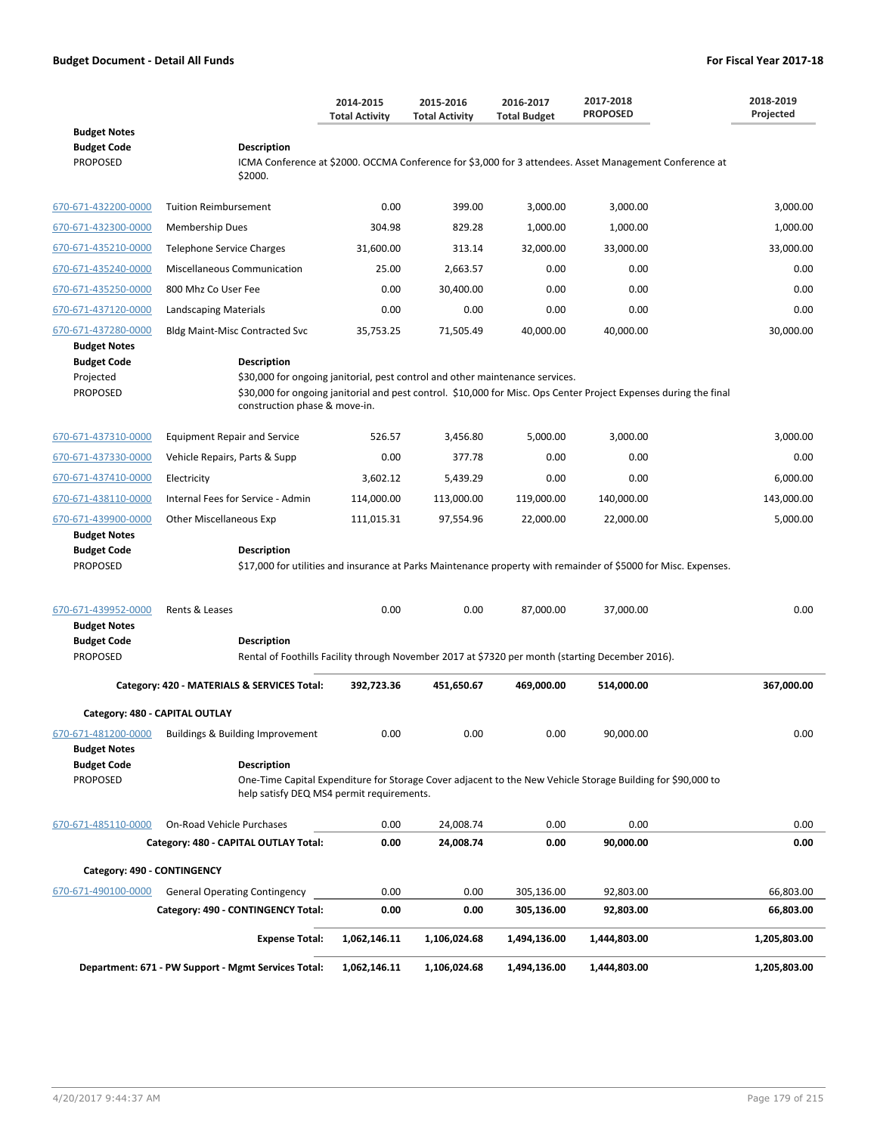|                                                                           |                                                                 | 2014-2015<br><b>Total Activity</b>                                                                                                                                                                                                  | 2015-2016<br><b>Total Activity</b> | 2016-2017<br><b>Total Budget</b> | 2017-2018<br><b>PROPOSED</b>                                                                                    | 2018-2019<br>Projected |  |  |  |
|---------------------------------------------------------------------------|-----------------------------------------------------------------|-------------------------------------------------------------------------------------------------------------------------------------------------------------------------------------------------------------------------------------|------------------------------------|----------------------------------|-----------------------------------------------------------------------------------------------------------------|------------------------|--|--|--|
| <b>Budget Notes</b><br><b>Budget Code</b><br><b>PROPOSED</b>              | <b>Description</b><br>\$2000.                                   |                                                                                                                                                                                                                                     |                                    |                                  | ICMA Conference at \$2000. OCCMA Conference for \$3,000 for 3 attendees. Asset Management Conference at         |                        |  |  |  |
| 670-671-432200-0000                                                       | <b>Tuition Reimbursement</b>                                    | 0.00                                                                                                                                                                                                                                | 399.00                             | 3,000.00                         | 3,000.00                                                                                                        | 3,000.00               |  |  |  |
| 670-671-432300-0000                                                       | Membership Dues                                                 | 304.98                                                                                                                                                                                                                              | 829.28                             | 1,000.00                         | 1,000.00                                                                                                        | 1,000.00               |  |  |  |
| 670-671-435210-0000                                                       | <b>Telephone Service Charges</b>                                | 31,600.00                                                                                                                                                                                                                           | 313.14                             | 32,000.00                        | 33,000.00                                                                                                       | 33,000.00              |  |  |  |
| 670-671-435240-0000                                                       | Miscellaneous Communication                                     | 25.00                                                                                                                                                                                                                               | 2,663.57                           | 0.00                             | 0.00                                                                                                            | 0.00                   |  |  |  |
| 670-671-435250-0000                                                       | 800 Mhz Co User Fee                                             | 0.00                                                                                                                                                                                                                                | 30,400.00                          | 0.00                             | 0.00                                                                                                            | 0.00                   |  |  |  |
| 670-671-437120-0000                                                       | <b>Landscaping Materials</b>                                    | 0.00                                                                                                                                                                                                                                | 0.00                               | 0.00                             | 0.00                                                                                                            | 0.00                   |  |  |  |
| 670-671-437280-0000                                                       | Bldg Maint-Misc Contracted Svc                                  | 35,753.25                                                                                                                                                                                                                           | 71,505.49                          | 40,000.00                        | 40,000.00                                                                                                       | 30,000.00              |  |  |  |
| <b>Budget Notes</b><br><b>Budget Code</b><br>Projected<br><b>PROPOSED</b> | <b>Description</b>                                              | \$30,000 for ongoing janitorial, pest control and other maintenance services.<br>\$30,000 for ongoing janitorial and pest control. \$10,000 for Misc. Ops Center Project Expenses during the final<br>construction phase & move-in. |                                    |                                  |                                                                                                                 |                        |  |  |  |
| 670-671-437310-0000                                                       | <b>Equipment Repair and Service</b>                             | 526.57                                                                                                                                                                                                                              | 3,456.80                           | 5,000.00                         | 3,000.00                                                                                                        | 3,000.00               |  |  |  |
| 670-671-437330-0000                                                       | Vehicle Repairs, Parts & Supp                                   | 0.00                                                                                                                                                                                                                                | 377.78                             | 0.00                             | 0.00                                                                                                            | 0.00                   |  |  |  |
| 670-671-437410-0000                                                       | Electricity                                                     | 3,602.12                                                                                                                                                                                                                            | 5,439.29                           | 0.00                             | 0.00                                                                                                            | 6,000.00               |  |  |  |
| 670-671-438110-0000                                                       | Internal Fees for Service - Admin                               | 114,000.00                                                                                                                                                                                                                          | 113,000.00                         | 119,000.00                       | 140,000.00                                                                                                      | 143,000.00             |  |  |  |
| 670-671-439900-0000<br><b>Budget Notes</b>                                | Other Miscellaneous Exp                                         | 111,015.31                                                                                                                                                                                                                          | 97,554.96                          | 22,000.00                        | 22,000.00                                                                                                       | 5,000.00               |  |  |  |
| <b>Budget Code</b><br><b>PROPOSED</b>                                     | Description                                                     |                                                                                                                                                                                                                                     |                                    |                                  | \$17,000 for utilities and insurance at Parks Maintenance property with remainder of \$5000 for Misc. Expenses. |                        |  |  |  |
| 670-671-439952-0000<br><b>Budget Notes</b>                                | Rents & Leases                                                  | 0.00                                                                                                                                                                                                                                | 0.00                               | 87,000.00                        | 37,000.00                                                                                                       | 0.00                   |  |  |  |
| <b>Budget Code</b><br><b>PROPOSED</b>                                     | <b>Description</b>                                              |                                                                                                                                                                                                                                     |                                    |                                  | Rental of Foothills Facility through November 2017 at \$7320 per month (starting December 2016).                |                        |  |  |  |
|                                                                           | Category: 420 - MATERIALS & SERVICES Total:                     | 392,723.36                                                                                                                                                                                                                          | 451,650.67                         | 469,000.00                       | 514,000.00                                                                                                      | 367,000.00             |  |  |  |
|                                                                           | Category: 480 - CAPITAL OUTLAY                                  |                                                                                                                                                                                                                                     |                                    |                                  |                                                                                                                 |                        |  |  |  |
| 670-671-481200-0000<br><b>Budget Notes</b>                                | Buildings & Building Improvement                                | 0.00                                                                                                                                                                                                                                | 0.00                               | 0.00                             | 90,000.00                                                                                                       | 0.00                   |  |  |  |
| <b>Budget Code</b><br>PROPOSED                                            | <b>Description</b><br>help satisfy DEQ MS4 permit requirements. |                                                                                                                                                                                                                                     |                                    |                                  | One-Time Capital Expenditure for Storage Cover adjacent to the New Vehicle Storage Building for \$90,000 to     |                        |  |  |  |
| 670-671-485110-0000                                                       | On-Road Vehicle Purchases                                       | 0.00                                                                                                                                                                                                                                | 24,008.74                          | 0.00                             | 0.00                                                                                                            | 0.00                   |  |  |  |
|                                                                           | Category: 480 - CAPITAL OUTLAY Total:                           | 0.00                                                                                                                                                                                                                                | 24,008.74                          | 0.00                             | 90,000.00                                                                                                       | 0.00                   |  |  |  |
| Category: 490 - CONTINGENCY                                               |                                                                 |                                                                                                                                                                                                                                     |                                    |                                  |                                                                                                                 |                        |  |  |  |
| 670-671-490100-0000                                                       | <b>General Operating Contingency</b>                            | 0.00                                                                                                                                                                                                                                | 0.00                               | 305,136.00                       | 92,803.00                                                                                                       | 66,803.00              |  |  |  |
|                                                                           | Category: 490 - CONTINGENCY Total:                              | 0.00                                                                                                                                                                                                                                | 0.00                               | 305,136.00                       | 92,803.00                                                                                                       | 66,803.00              |  |  |  |
|                                                                           | <b>Expense Total:</b>                                           | 1,062,146.11                                                                                                                                                                                                                        | 1,106,024.68                       | 1,494,136.00                     | 1,444,803.00                                                                                                    | 1,205,803.00           |  |  |  |
|                                                                           | Department: 671 - PW Support - Mgmt Services Total:             | 1,062,146.11                                                                                                                                                                                                                        | 1,106,024.68                       | 1,494,136.00                     | 1,444,803.00                                                                                                    | 1,205,803.00           |  |  |  |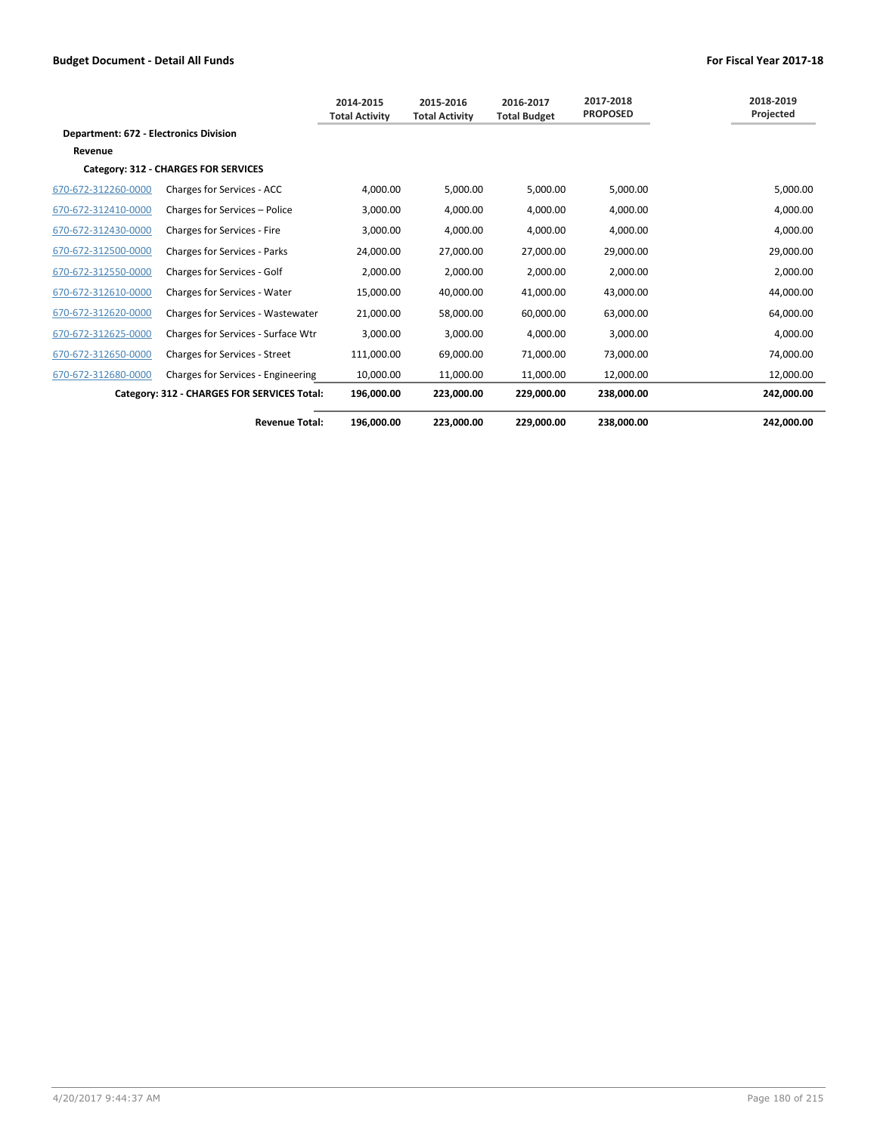|                                               |                                      | 2014-2015<br><b>Total Activity</b> | 2015-2016<br><b>Total Activity</b> | 2016-2017<br><b>Total Budget</b> | 2017-2018<br><b>PROPOSED</b> | 2018-2019<br>Projected |
|-----------------------------------------------|--------------------------------------|------------------------------------|------------------------------------|----------------------------------|------------------------------|------------------------|
| <b>Department: 672 - Electronics Division</b> |                                      |                                    |                                    |                                  |                              |                        |
| Revenue                                       |                                      |                                    |                                    |                                  |                              |                        |
| Category: 312 - CHARGES FOR SERVICES          |                                      |                                    |                                    |                                  |                              |                        |
| 670-672-312260-0000                           | Charges for Services - ACC           | 4,000.00                           | 5,000.00                           | 5,000.00                         | 5,000.00                     | 5,000.00               |
| 670-672-312410-0000                           | Charges for Services - Police        | 3,000.00                           | 4,000.00                           | 4,000.00                         | 4,000.00                     | 4,000.00               |
| 670-672-312430-0000                           | Charges for Services - Fire          | 3,000.00                           | 4,000.00                           | 4,000.00                         | 4,000.00                     | 4,000.00               |
| 670-672-312500-0000                           | <b>Charges for Services - Parks</b>  | 24,000.00                          | 27,000.00                          | 27,000.00                        | 29,000.00                    | 29,000.00              |
| 670-672-312550-0000                           | Charges for Services - Golf          | 2,000.00                           | 2,000.00                           | 2,000.00                         | 2,000.00                     | 2,000.00               |
| 670-672-312610-0000                           | Charges for Services - Water         | 15,000.00                          | 40,000.00                          | 41,000.00                        | 43,000.00                    | 44,000.00              |
| 670-672-312620-0000                           | Charges for Services - Wastewater    | 21,000.00                          | 58,000.00                          | 60,000.00                        | 63,000.00                    | 64,000.00              |
| 670-672-312625-0000                           | Charges for Services - Surface Wtr   | 3,000.00                           | 3,000.00                           | 4,000.00                         | 3,000.00                     | 4,000.00               |
| 670-672-312650-0000                           | <b>Charges for Services - Street</b> | 111,000.00                         | 69,000.00                          | 71,000.00                        | 73,000.00                    | 74,000.00              |
| 670-672-312680-0000                           | Charges for Services - Engineering   | 10.000.00                          | 11,000.00                          | 11,000.00                        | 12,000.00                    | 12,000.00              |
| Category: 312 - CHARGES FOR SERVICES Total:   |                                      | 196,000.00                         | 223,000.00                         | 229,000.00                       | 238,000.00                   | 242,000.00             |
|                                               | <b>Revenue Total:</b>                | 196,000.00                         | 223,000.00                         | 229,000.00                       | 238,000.00                   | 242,000.00             |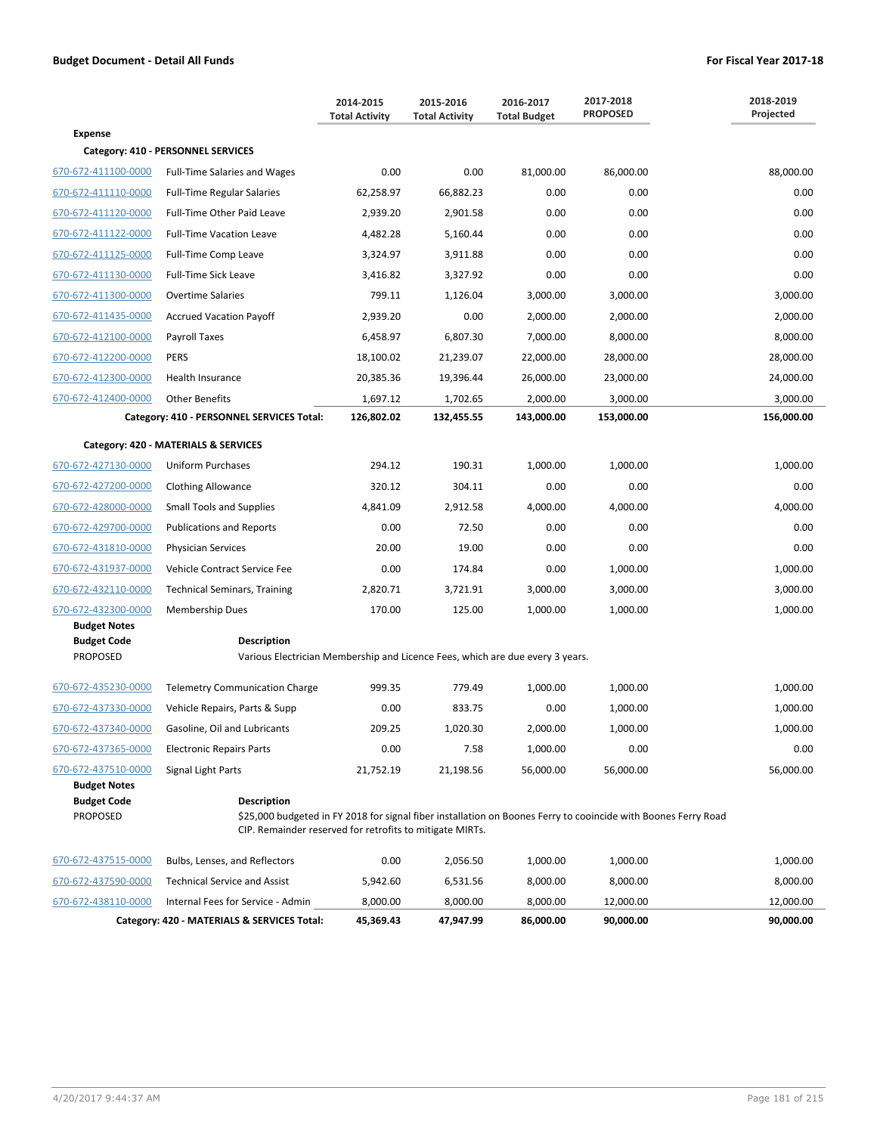|                                       |                                                                                                                                                                                                  | 2014-2015<br><b>Total Activity</b> | 2015-2016<br><b>Total Activity</b> | 2016-2017<br><b>Total Budget</b> | 2017-2018<br><b>PROPOSED</b> | 2018-2019<br>Projected |  |
|---------------------------------------|--------------------------------------------------------------------------------------------------------------------------------------------------------------------------------------------------|------------------------------------|------------------------------------|----------------------------------|------------------------------|------------------------|--|
| <b>Expense</b>                        |                                                                                                                                                                                                  |                                    |                                    |                                  |                              |                        |  |
|                                       | Category: 410 - PERSONNEL SERVICES                                                                                                                                                               |                                    |                                    |                                  |                              |                        |  |
| 670-672-411100-0000                   | <b>Full-Time Salaries and Wages</b>                                                                                                                                                              | 0.00                               | 0.00                               | 81,000.00                        | 86,000.00                    | 88,000.00              |  |
| 670-672-411110-0000                   | <b>Full-Time Regular Salaries</b>                                                                                                                                                                | 62,258.97                          | 66,882.23                          | 0.00                             | 0.00                         | 0.00                   |  |
| 670-672-411120-0000                   | Full-Time Other Paid Leave                                                                                                                                                                       | 2,939.20                           | 2,901.58                           | 0.00                             | 0.00                         | 0.00                   |  |
| 670-672-411122-0000                   | <b>Full-Time Vacation Leave</b>                                                                                                                                                                  | 4,482.28                           | 5,160.44                           | 0.00                             | 0.00                         | 0.00                   |  |
| 670-672-411125-0000                   | Full-Time Comp Leave                                                                                                                                                                             | 3,324.97                           | 3,911.88                           | 0.00                             | 0.00                         | 0.00                   |  |
| 670-672-411130-0000                   | <b>Full-Time Sick Leave</b>                                                                                                                                                                      | 3,416.82                           | 3,327.92                           | 0.00                             | 0.00                         | 0.00                   |  |
| 670-672-411300-0000                   | <b>Overtime Salaries</b>                                                                                                                                                                         | 799.11                             | 1,126.04                           | 3,000.00                         | 3,000.00                     | 3,000.00               |  |
| 670-672-411435-0000                   | <b>Accrued Vacation Payoff</b>                                                                                                                                                                   | 2,939.20                           | 0.00                               | 2,000.00                         | 2,000.00                     | 2,000.00               |  |
| 670-672-412100-0000                   | Payroll Taxes                                                                                                                                                                                    | 6,458.97                           | 6,807.30                           | 7,000.00                         | 8,000.00                     | 8,000.00               |  |
| 670-672-412200-0000                   | <b>PERS</b>                                                                                                                                                                                      | 18,100.02                          | 21,239.07                          | 22,000.00                        | 28,000.00                    | 28,000.00              |  |
| 670-672-412300-0000                   | Health Insurance                                                                                                                                                                                 | 20,385.36                          | 19,396.44                          | 26,000.00                        | 23,000.00                    | 24,000.00              |  |
| 670-672-412400-0000                   | <b>Other Benefits</b>                                                                                                                                                                            | 1,697.12                           | 1,702.65                           | 2,000.00                         | 3,000.00                     | 3,000.00               |  |
|                                       | Category: 410 - PERSONNEL SERVICES Total:                                                                                                                                                        | 126,802.02                         | 132,455.55                         | 143,000.00                       | 153,000.00                   | 156,000.00             |  |
|                                       | Category: 420 - MATERIALS & SERVICES                                                                                                                                                             |                                    |                                    |                                  |                              |                        |  |
| 670-672-427130-0000                   | Uniform Purchases                                                                                                                                                                                | 294.12                             | 190.31                             | 1,000.00                         | 1,000.00                     | 1,000.00               |  |
| 670-672-427200-0000                   | <b>Clothing Allowance</b>                                                                                                                                                                        | 320.12                             | 304.11                             | 0.00                             | 0.00                         | 0.00                   |  |
| 670-672-428000-0000                   | <b>Small Tools and Supplies</b>                                                                                                                                                                  | 4,841.09                           | 2,912.58                           | 4,000.00                         | 4,000.00                     | 4,000.00               |  |
| 670-672-429700-0000                   | <b>Publications and Reports</b>                                                                                                                                                                  | 0.00                               | 72.50                              | 0.00                             | 0.00                         | 0.00                   |  |
| 670-672-431810-0000                   | <b>Physician Services</b>                                                                                                                                                                        | 20.00                              | 19.00                              | 0.00                             | 0.00                         | 0.00                   |  |
| 670-672-431937-0000                   | Vehicle Contract Service Fee                                                                                                                                                                     | 0.00                               | 174.84                             | 0.00                             | 1,000.00                     | 1,000.00               |  |
| 670-672-432110-0000                   | <b>Technical Seminars, Training</b>                                                                                                                                                              | 2,820.71                           | 3,721.91                           | 3,000.00                         | 3,000.00                     | 3,000.00               |  |
| 670-672-432300-0000                   | Membership Dues                                                                                                                                                                                  | 170.00                             | 125.00                             | 1,000.00                         | 1,000.00                     | 1,000.00               |  |
| <b>Budget Notes</b>                   |                                                                                                                                                                                                  |                                    |                                    |                                  |                              |                        |  |
| <b>Budget Code</b><br><b>PROPOSED</b> | <b>Description</b><br>Various Electrician Membership and Licence Fees, which are due every 3 years.                                                                                              |                                    |                                    |                                  |                              |                        |  |
| 670-672-435230-0000                   | <b>Telemetry Communication Charge</b>                                                                                                                                                            | 999.35                             | 779.49                             | 1,000.00                         | 1,000.00                     | 1,000.00               |  |
| 670-672-437330-0000                   | Vehicle Repairs, Parts & Supp                                                                                                                                                                    | 0.00                               | 833.75                             | 0.00                             | 1,000.00                     | 1,000.00               |  |
| 670-672-437340-0000                   | Gasoline, Oil and Lubricants                                                                                                                                                                     | 209.25                             | 1,020.30                           | 2,000.00                         | 1,000.00                     | 1,000.00               |  |
| 670-672-437365-0000                   | <b>Electronic Repairs Parts</b>                                                                                                                                                                  | 0.00                               | 7.58                               | 1,000.00                         | 0.00                         | 0.00                   |  |
| 670-672-437510-0000                   | Signal Light Parts                                                                                                                                                                               | 21,752.19                          | 21,198.56                          | 56,000.00                        | 56,000.00                    | 56,000.00              |  |
| <b>Budget Notes</b>                   |                                                                                                                                                                                                  |                                    |                                    |                                  |                              |                        |  |
| <b>Budget Code</b><br><b>PROPOSED</b> | <b>Description</b><br>\$25,000 budgeted in FY 2018 for signal fiber installation on Boones Ferry to cooincide with Boones Ferry Road<br>CIP. Remainder reserved for retrofits to mitigate MIRTs. |                                    |                                    |                                  |                              |                        |  |
| 670-672-437515-0000                   | Bulbs, Lenses, and Reflectors                                                                                                                                                                    | 0.00                               | 2,056.50                           | 1,000.00                         | 1,000.00                     | 1,000.00               |  |
| 670-672-437590-0000                   | <b>Technical Service and Assist</b>                                                                                                                                                              | 5,942.60                           | 6,531.56                           | 8,000.00                         | 8,000.00                     | 8,000.00               |  |
| 670-672-438110-0000                   | Internal Fees for Service - Admin                                                                                                                                                                | 8,000.00                           | 8,000.00                           | 8,000.00                         | 12,000.00                    | 12,000.00              |  |
|                                       | Category: 420 - MATERIALS & SERVICES Total:                                                                                                                                                      | 45,369.43                          | 47,947.99                          | 86,000.00                        | 90,000.00                    | 90,000.00              |  |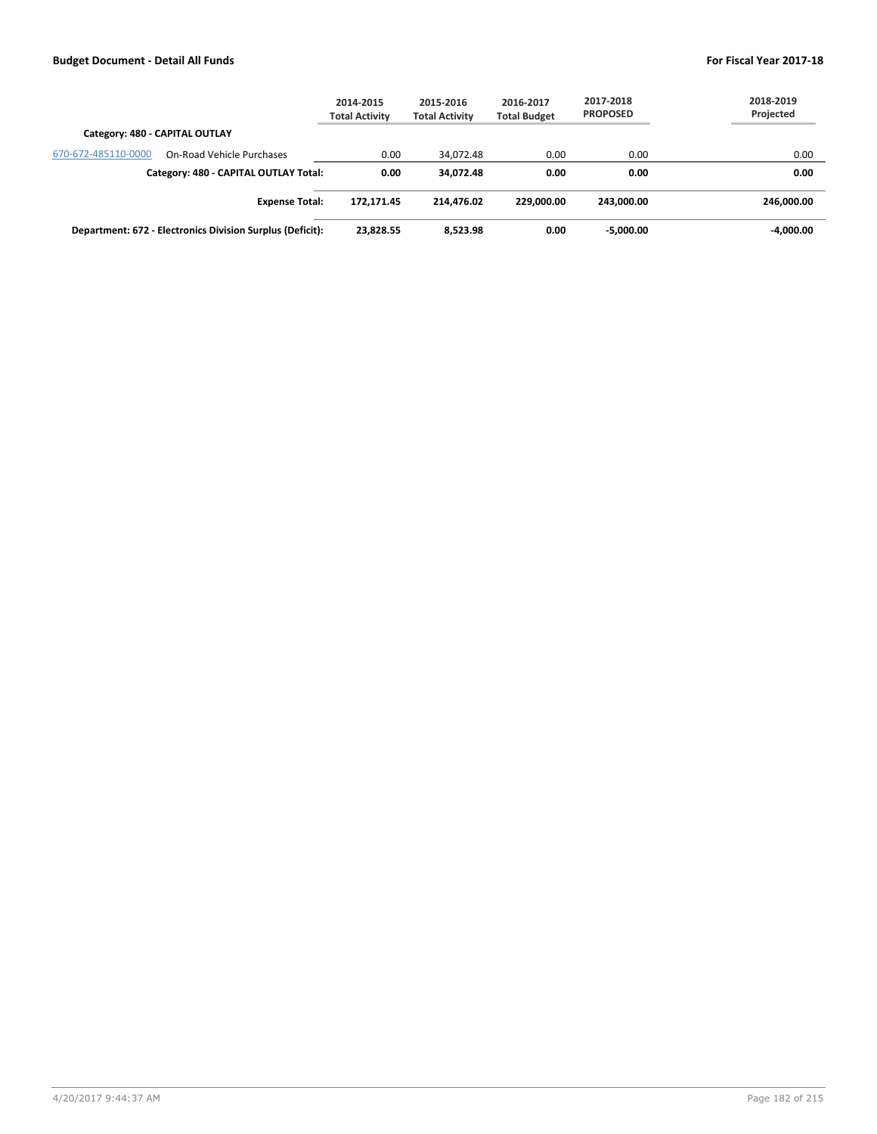|                                |                                                           | 2014-2015<br><b>Total Activity</b> | 2015-2016<br><b>Total Activity</b> | 2016-2017<br><b>Total Budget</b> | 2017-2018<br><b>PROPOSED</b> | 2018-2019<br>Projected |
|--------------------------------|-----------------------------------------------------------|------------------------------------|------------------------------------|----------------------------------|------------------------------|------------------------|
| Category: 480 - CAPITAL OUTLAY |                                                           |                                    |                                    |                                  |                              |                        |
| 670-672-485110-0000            | On-Road Vehicle Purchases                                 | 0.00                               | 34.072.48                          | 0.00                             | 0.00                         | 0.00                   |
|                                | Category: 480 - CAPITAL OUTLAY Total:                     | 0.00                               | 34.072.48                          | 0.00                             | 0.00                         | 0.00                   |
|                                | <b>Expense Total:</b>                                     | 172.171.45                         | 214.476.02                         | 229,000,00                       | 243.000.00                   | 246.000.00             |
|                                | Department: 672 - Electronics Division Surplus (Deficit): | 23,828.55                          | 8.523.98                           | 0.00                             | -5,000.00                    | $-4,000.00$            |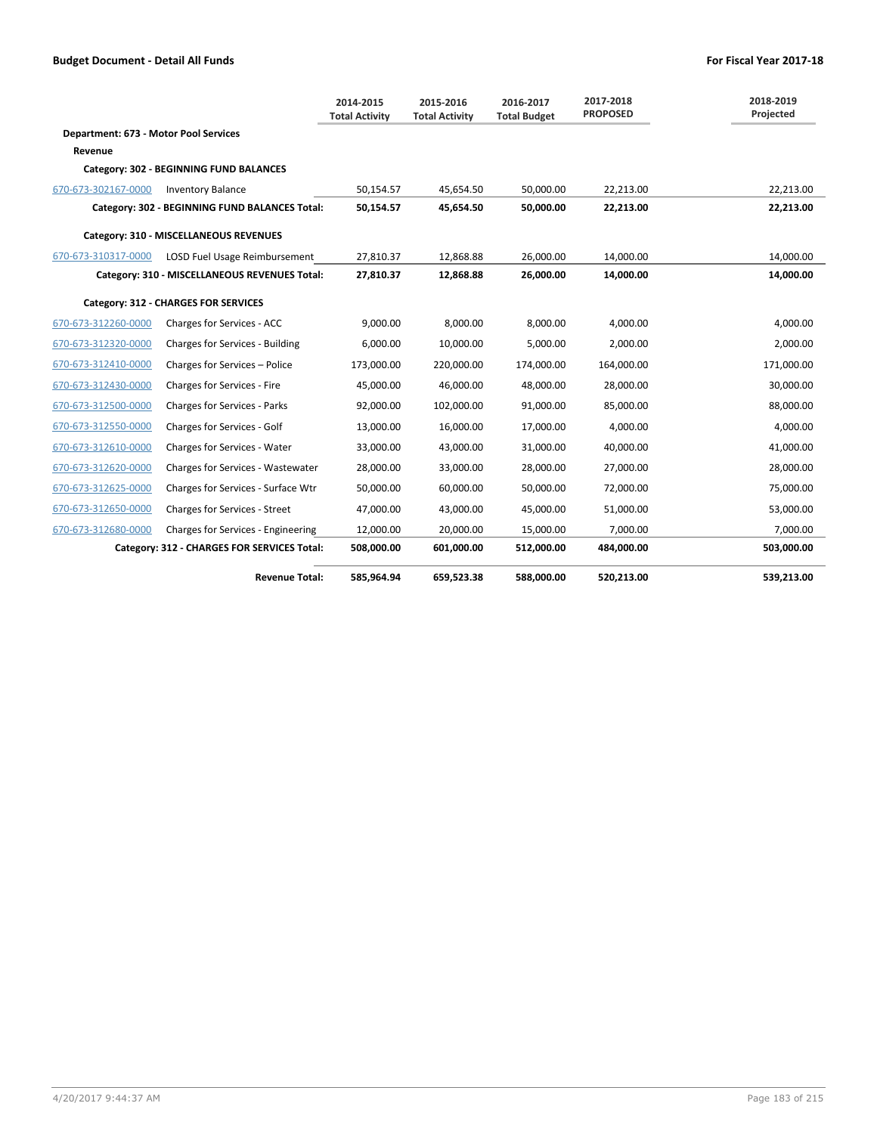|                                       |                                                | 2014-2015<br><b>Total Activity</b> | 2015-2016<br><b>Total Activity</b> | 2016-2017<br><b>Total Budget</b> | 2017-2018<br><b>PROPOSED</b> | 2018-2019<br>Projected |
|---------------------------------------|------------------------------------------------|------------------------------------|------------------------------------|----------------------------------|------------------------------|------------------------|
| Department: 673 - Motor Pool Services |                                                |                                    |                                    |                                  |                              |                        |
| Revenue                               |                                                |                                    |                                    |                                  |                              |                        |
|                                       | Category: 302 - BEGINNING FUND BALANCES        |                                    |                                    |                                  |                              |                        |
| 670-673-302167-0000                   | <b>Inventory Balance</b>                       | 50,154.57                          | 45,654.50                          | 50,000.00                        | 22,213.00                    | 22,213.00              |
|                                       | Category: 302 - BEGINNING FUND BALANCES Total: | 50,154.57                          | 45,654.50                          | 50,000.00                        | 22,213.00                    | 22,213.00              |
|                                       | Category: 310 - MISCELLANEOUS REVENUES         |                                    |                                    |                                  |                              |                        |
| 670-673-310317-0000                   | LOSD Fuel Usage Reimbursement                  | 27,810.37                          | 12,868.88                          | 26,000.00                        | 14,000.00                    | 14,000.00              |
|                                       | Category: 310 - MISCELLANEOUS REVENUES Total:  | 27,810.37                          | 12,868.88                          | 26,000.00                        | 14,000.00                    | 14,000.00              |
|                                       | Category: 312 - CHARGES FOR SERVICES           |                                    |                                    |                                  |                              |                        |
| 670-673-312260-0000                   | Charges for Services - ACC                     | 9,000.00                           | 8,000.00                           | 8.000.00                         | 4.000.00                     | 4,000.00               |
| 670-673-312320-0000                   | Charges for Services - Building                | 6,000.00                           | 10,000.00                          | 5,000.00                         | 2,000.00                     | 2,000.00               |
| 670-673-312410-0000                   | Charges for Services - Police                  | 173,000.00                         | 220,000.00                         | 174,000.00                       | 164,000.00                   | 171,000.00             |
| 670-673-312430-0000                   | Charges for Services - Fire                    | 45.000.00                          | 46.000.00                          | 48,000.00                        | 28,000.00                    | 30,000.00              |
| 670-673-312500-0000                   | Charges for Services - Parks                   | 92,000.00                          | 102,000.00                         | 91,000.00                        | 85,000.00                    | 88,000.00              |
| 670-673-312550-0000                   | Charges for Services - Golf                    | 13,000.00                          | 16,000.00                          | 17,000.00                        | 4,000.00                     | 4,000.00               |
| 670-673-312610-0000                   | Charges for Services - Water                   | 33,000.00                          | 43,000.00                          | 31,000.00                        | 40,000.00                    | 41,000.00              |
| 670-673-312620-0000                   | Charges for Services - Wastewater              | 28,000.00                          | 33,000.00                          | 28,000.00                        | 27,000.00                    | 28,000.00              |
| 670-673-312625-0000                   | Charges for Services - Surface Wtr             | 50,000.00                          | 60,000.00                          | 50,000.00                        | 72,000.00                    | 75,000.00              |
| 670-673-312650-0000                   | Charges for Services - Street                  | 47,000.00                          | 43,000.00                          | 45,000.00                        | 51,000.00                    | 53,000.00              |
| 670-673-312680-0000                   | Charges for Services - Engineering             | 12,000.00                          | 20,000.00                          | 15,000.00                        | 7,000.00                     | 7,000.00               |
|                                       | Category: 312 - CHARGES FOR SERVICES Total:    | 508,000.00                         | 601,000.00                         | 512,000.00                       | 484,000.00                   | 503,000.00             |
|                                       | <b>Revenue Total:</b>                          | 585,964.94                         | 659,523.38                         | 588.000.00                       | 520,213.00                   | 539.213.00             |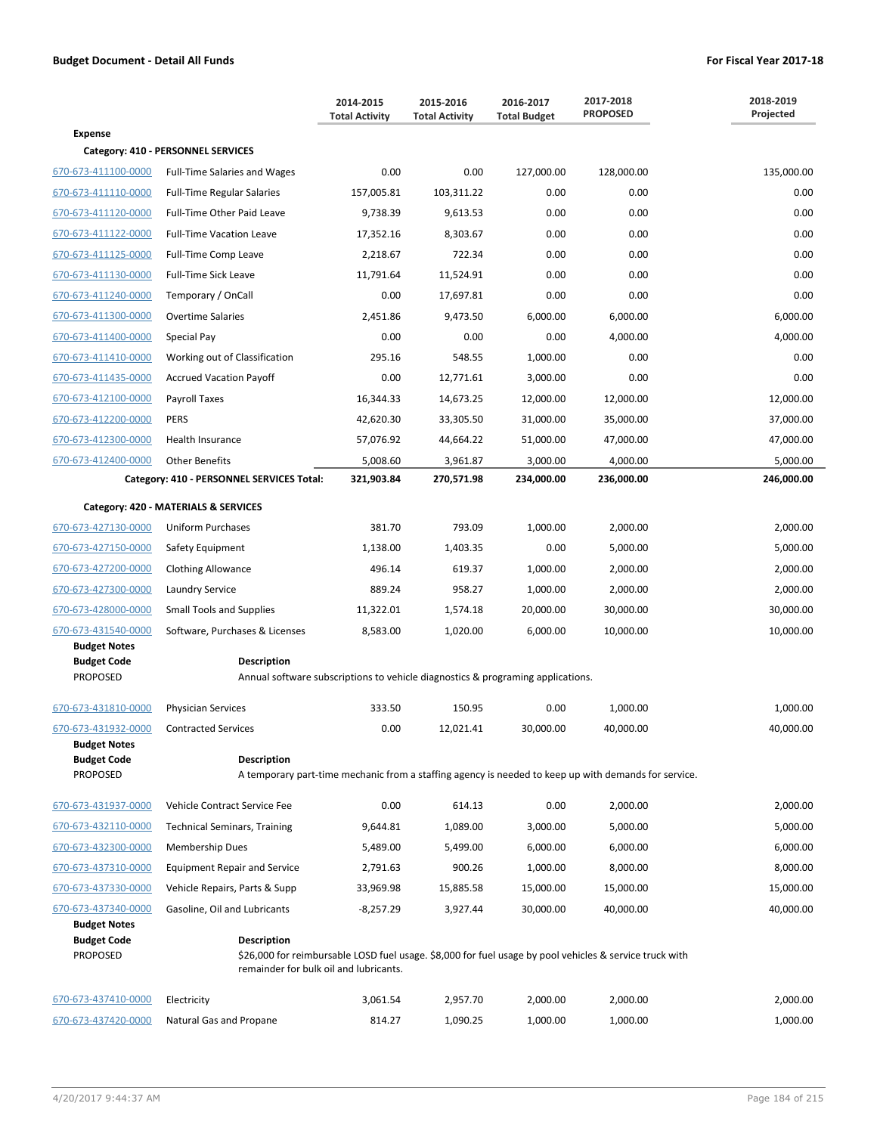|                                                       |                                                                                                | 2014-2015<br><b>Total Activity</b> | 2015-2016<br><b>Total Activity</b> | 2016-2017<br><b>Total Budget</b> | 2017-2018<br><b>PROPOSED</b>                                                                            | 2018-2019<br>Projected |
|-------------------------------------------------------|------------------------------------------------------------------------------------------------|------------------------------------|------------------------------------|----------------------------------|---------------------------------------------------------------------------------------------------------|------------------------|
| <b>Expense</b>                                        |                                                                                                |                                    |                                    |                                  |                                                                                                         |                        |
|                                                       | Category: 410 - PERSONNEL SERVICES                                                             |                                    |                                    |                                  |                                                                                                         |                        |
| 670-673-411100-0000                                   | <b>Full-Time Salaries and Wages</b>                                                            | 0.00                               | 0.00                               | 127,000.00                       | 128,000.00                                                                                              | 135,000.00             |
| 670-673-411110-0000                                   | <b>Full-Time Regular Salaries</b>                                                              | 157,005.81                         | 103,311.22                         | 0.00                             | 0.00                                                                                                    | 0.00                   |
| 670-673-411120-0000                                   | Full-Time Other Paid Leave                                                                     | 9,738.39                           | 9,613.53                           | 0.00                             | 0.00                                                                                                    | 0.00                   |
| 670-673-411122-0000                                   | <b>Full-Time Vacation Leave</b>                                                                | 17,352.16                          | 8,303.67                           | 0.00                             | 0.00                                                                                                    | 0.00                   |
| 670-673-411125-0000                                   | Full-Time Comp Leave                                                                           | 2,218.67                           | 722.34                             | 0.00                             | 0.00                                                                                                    | 0.00                   |
| 670-673-411130-0000                                   | <b>Full-Time Sick Leave</b>                                                                    | 11,791.64                          | 11,524.91                          | 0.00                             | 0.00                                                                                                    | 0.00                   |
| 670-673-411240-0000                                   | Temporary / OnCall                                                                             | 0.00                               | 17,697.81                          | 0.00                             | 0.00                                                                                                    | 0.00                   |
| 670-673-411300-0000                                   | <b>Overtime Salaries</b>                                                                       | 2,451.86                           | 9,473.50                           | 6,000.00                         | 6,000.00                                                                                                | 6,000.00               |
| 670-673-411400-0000                                   | Special Pay                                                                                    | 0.00                               | 0.00                               | 0.00                             | 4,000.00                                                                                                | 4,000.00               |
| 670-673-411410-0000                                   | Working out of Classification                                                                  | 295.16                             | 548.55                             | 1,000.00                         | 0.00                                                                                                    | 0.00                   |
| 670-673-411435-0000                                   | <b>Accrued Vacation Payoff</b>                                                                 | 0.00                               | 12,771.61                          | 3,000.00                         | 0.00                                                                                                    | 0.00                   |
| 670-673-412100-0000                                   | Payroll Taxes                                                                                  | 16,344.33                          | 14,673.25                          | 12,000.00                        | 12,000.00                                                                                               | 12,000.00              |
| 670-673-412200-0000                                   | <b>PERS</b>                                                                                    | 42,620.30                          | 33,305.50                          | 31,000.00                        | 35,000.00                                                                                               | 37,000.00              |
| 670-673-412300-0000                                   | Health Insurance                                                                               | 57,076.92                          | 44,664.22                          | 51,000.00                        | 47,000.00                                                                                               | 47,000.00              |
| 670-673-412400-0000                                   | <b>Other Benefits</b>                                                                          | 5,008.60                           | 3,961.87                           | 3,000.00                         | 4,000.00                                                                                                | 5,000.00               |
|                                                       | Category: 410 - PERSONNEL SERVICES Total:                                                      | 321,903.84                         | 270,571.98                         | 234,000.00                       | 236,000.00                                                                                              | 246,000.00             |
|                                                       | Category: 420 - MATERIALS & SERVICES                                                           |                                    |                                    |                                  |                                                                                                         |                        |
| 670-673-427130-0000                                   | <b>Uniform Purchases</b>                                                                       | 381.70                             | 793.09                             | 1,000.00                         | 2,000.00                                                                                                | 2,000.00               |
| 670-673-427150-0000                                   | Safety Equipment                                                                               | 1,138.00                           | 1,403.35                           | 0.00                             | 5,000.00                                                                                                | 5,000.00               |
| 670-673-427200-0000                                   | <b>Clothing Allowance</b>                                                                      | 496.14                             | 619.37                             | 1,000.00                         | 2,000.00                                                                                                | 2,000.00               |
| 670-673-427300-0000                                   | Laundry Service                                                                                | 889.24                             | 958.27                             | 1,000.00                         | 2,000.00                                                                                                | 2,000.00               |
| 670-673-428000-0000                                   | <b>Small Tools and Supplies</b>                                                                | 11,322.01                          | 1,574.18                           | 20,000.00                        | 30,000.00                                                                                               | 30,000.00              |
| 670-673-431540-0000                                   | Software, Purchases & Licenses                                                                 | 8,583.00                           | 1,020.00                           | 6,000.00                         | 10,000.00                                                                                               | 10,000.00              |
| <b>Budget Notes</b>                                   |                                                                                                |                                    |                                    |                                  |                                                                                                         |                        |
| <b>Budget Code</b><br><b>PROPOSED</b>                 | Description<br>Annual software subscriptions to vehicle diagnostics & programing applications. |                                    |                                    |                                  |                                                                                                         |                        |
|                                                       |                                                                                                |                                    |                                    |                                  |                                                                                                         |                        |
| 670-673-431810-0000                                   | <b>Physician Services</b>                                                                      | 333.50                             | 150.95                             | 0.00                             | 1,000.00                                                                                                | 1,000.00               |
| 670-673-431932-0000                                   | <b>Contracted Services</b>                                                                     | 0.00                               | 12.021.41                          | 30,000.00                        | 40,000.00                                                                                               | 40,000.00              |
| <b>Budget Notes</b>                                   |                                                                                                |                                    |                                    |                                  |                                                                                                         |                        |
| <b>Budget Code</b><br>PROPOSED                        | <b>Description</b>                                                                             |                                    |                                    |                                  | A temporary part-time mechanic from a staffing agency is needed to keep up with demands for service.    |                        |
|                                                       |                                                                                                |                                    |                                    |                                  |                                                                                                         |                        |
| 670-673-431937-0000                                   | Vehicle Contract Service Fee                                                                   | 0.00                               | 614.13                             | 0.00                             | 2,000.00                                                                                                | 2,000.00               |
| 670-673-432110-0000                                   | <b>Technical Seminars, Training</b>                                                            | 9,644.81                           | 1,089.00                           | 3,000.00                         | 5,000.00                                                                                                | 5,000.00               |
| 670-673-432300-0000                                   | <b>Membership Dues</b>                                                                         | 5,489.00                           | 5,499.00                           | 6,000.00                         | 6,000.00                                                                                                | 6,000.00               |
| 670-673-437310-0000                                   | <b>Equipment Repair and Service</b>                                                            | 2,791.63                           | 900.26                             | 1,000.00                         | 8,000.00                                                                                                | 8,000.00               |
| 670-673-437330-0000                                   | Vehicle Repairs, Parts & Supp                                                                  | 33,969.98                          | 15,885.58                          | 15,000.00                        | 15,000.00                                                                                               | 15,000.00              |
| 670-673-437340-0000                                   | Gasoline, Oil and Lubricants                                                                   | $-8,257.29$                        | 3,927.44                           | 30,000.00                        | 40,000.00                                                                                               | 40,000.00              |
| <b>Budget Notes</b><br><b>Budget Code</b><br>PROPOSED | <b>Description</b><br>remainder for bulk oil and lubricants.                                   |                                    |                                    |                                  | \$26,000 for reimbursable LOSD fuel usage. \$8,000 for fuel usage by pool vehicles & service truck with |                        |
| 670-673-437410-0000                                   | Electricity                                                                                    | 3,061.54                           | 2,957.70                           | 2,000.00                         | 2,000.00                                                                                                | 2,000.00               |
| 670-673-437420-0000                                   | Natural Gas and Propane                                                                        | 814.27                             | 1,090.25                           | 1,000.00                         | 1,000.00                                                                                                | 1,000.00               |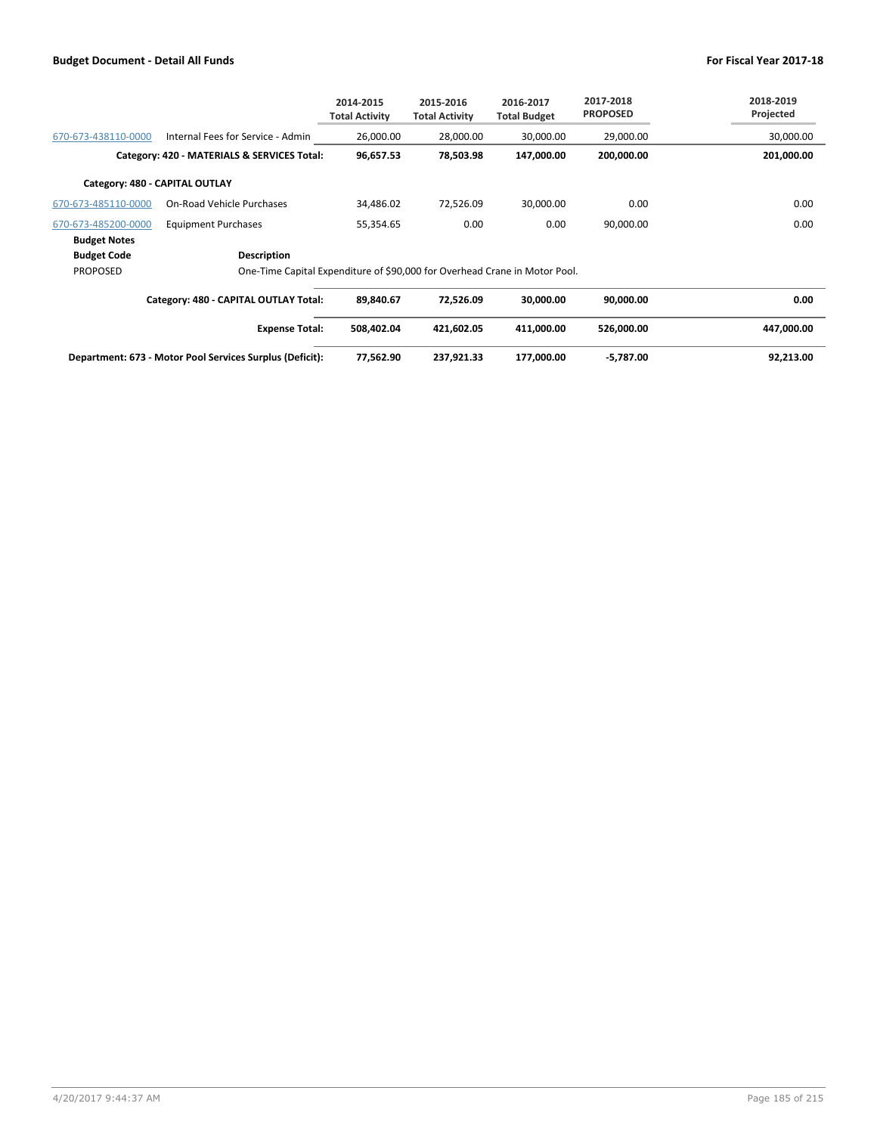|                                             |                                                                            | 2014-2015<br><b>Total Activity</b> | 2015-2016<br><b>Total Activity</b> | 2016-2017<br><b>Total Budget</b> | 2017-2018<br><b>PROPOSED</b> | 2018-2019<br>Projected |
|---------------------------------------------|----------------------------------------------------------------------------|------------------------------------|------------------------------------|----------------------------------|------------------------------|------------------------|
| 670-673-438110-0000                         | Internal Fees for Service - Admin                                          | 26,000.00                          | 28,000.00                          | 30,000.00                        | 29,000.00                    | 30,000.00              |
| Category: 420 - MATERIALS & SERVICES Total: |                                                                            | 96,657.53                          | 78,503.98                          | 147,000.00                       | 200,000.00                   | 201,000.00             |
|                                             | Category: 480 - CAPITAL OUTLAY                                             |                                    |                                    |                                  |                              |                        |
| 670-673-485110-0000                         | On-Road Vehicle Purchases                                                  | 34,486.02                          | 72,526.09                          | 30,000.00                        | 0.00                         | 0.00                   |
| 670-673-485200-0000                         | <b>Equipment Purchases</b>                                                 | 55,354.65                          | 0.00                               | 0.00                             | 90,000.00                    | 0.00                   |
| <b>Budget Notes</b>                         |                                                                            |                                    |                                    |                                  |                              |                        |
| <b>Budget Code</b>                          | Description                                                                |                                    |                                    |                                  |                              |                        |
| <b>PROPOSED</b>                             | One-Time Capital Expenditure of \$90,000 for Overhead Crane in Motor Pool. |                                    |                                    |                                  |                              |                        |
|                                             | Category: 480 - CAPITAL OUTLAY Total:                                      | 89,840.67                          | 72,526.09                          | 30,000.00                        | 90,000.00                    | 0.00                   |
|                                             | <b>Expense Total:</b>                                                      | 508,402.04                         | 421,602.05                         | 411,000.00                       | 526,000.00                   | 447,000.00             |
|                                             | Department: 673 - Motor Pool Services Surplus (Deficit):                   | 77,562.90                          | 237,921.33                         | 177,000.00                       | $-5,787.00$                  | 92,213.00              |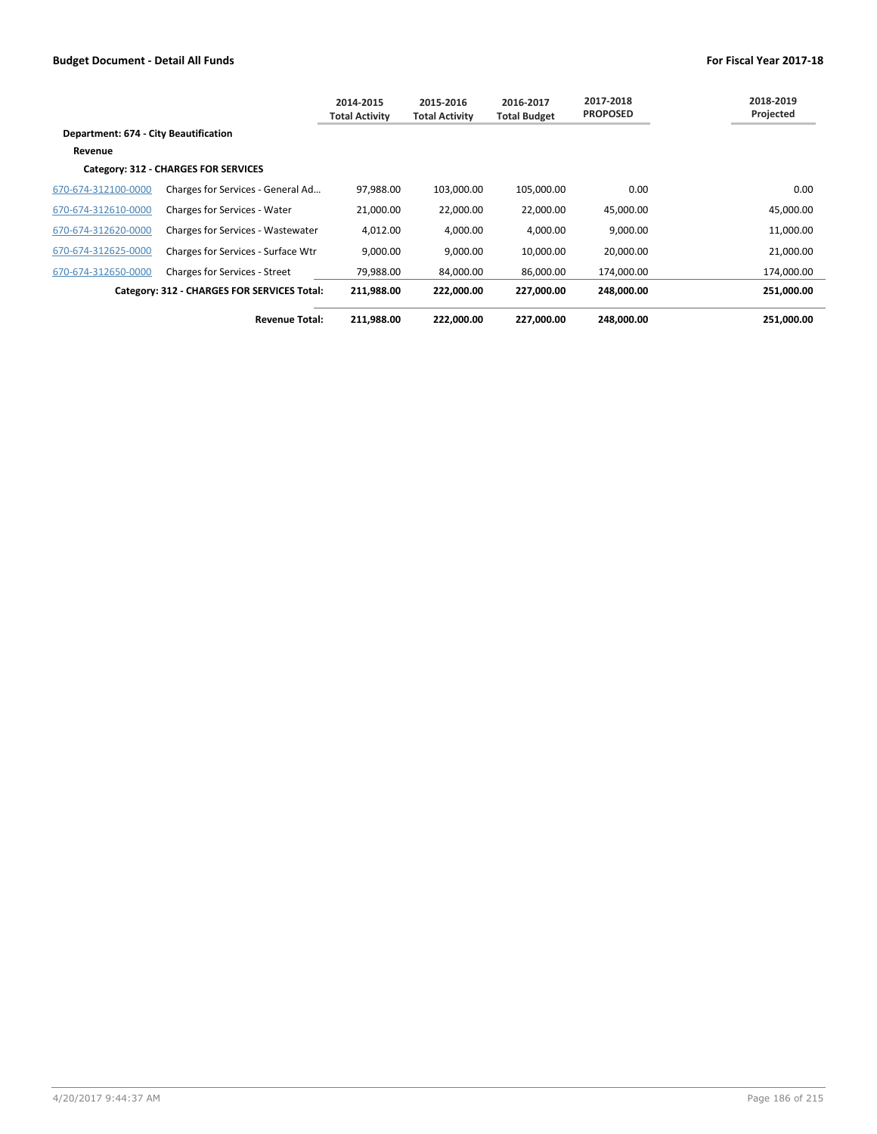|                                       |                                             | 2014-2015<br>Total Activity | 2015-2016<br><b>Total Activity</b> | 2016-2017<br><b>Total Budget</b> | 2017-2018<br><b>PROPOSED</b> | 2018-2019<br>Projected |
|---------------------------------------|---------------------------------------------|-----------------------------|------------------------------------|----------------------------------|------------------------------|------------------------|
| Department: 674 - City Beautification |                                             |                             |                                    |                                  |                              |                        |
| Revenue                               |                                             |                             |                                    |                                  |                              |                        |
|                                       | Category: 312 - CHARGES FOR SERVICES        |                             |                                    |                                  |                              |                        |
| 670-674-312100-0000                   | Charges for Services - General Ad           | 97,988.00                   | 103,000.00                         | 105,000.00                       | 0.00                         | 0.00                   |
| 670-674-312610-0000                   | Charges for Services - Water                | 21,000.00                   | 22,000.00                          | 22,000.00                        | 45,000.00                    | 45,000.00              |
| 670-674-312620-0000                   | <b>Charges for Services - Wastewater</b>    | 4,012.00                    | 4,000.00                           | 4,000.00                         | 9,000.00                     | 11,000.00              |
| 670-674-312625-0000                   | Charges for Services - Surface Wtr          | 9,000.00                    | 9,000.00                           | 10,000.00                        | 20,000.00                    | 21,000.00              |
| 670-674-312650-0000                   | <b>Charges for Services - Street</b>        | 79,988.00                   | 84,000.00                          | 86,000.00                        | 174,000.00                   | 174,000.00             |
|                                       | Category: 312 - CHARGES FOR SERVICES Total: | 211,988.00                  | 222,000.00                         | 227.000.00                       | 248.000.00                   | 251.000.00             |
|                                       | <b>Revenue Total:</b>                       | 211,988.00                  | 222,000.00                         | 227,000.00                       | 248,000.00                   | 251,000.00             |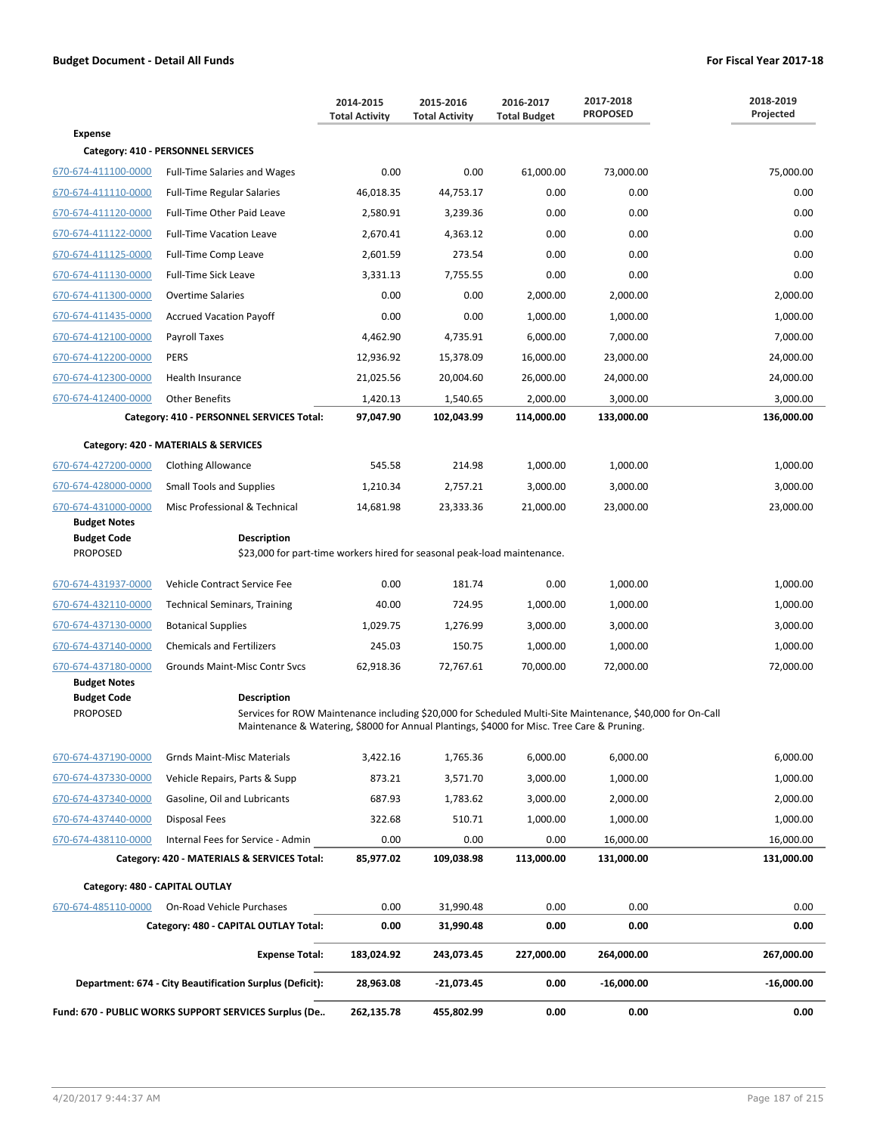|                                                              |                                                                                                                                                                                                                                | 2014-2015<br><b>Total Activity</b> | 2015-2016<br><b>Total Activity</b> | 2016-2017<br><b>Total Budget</b> | 2017-2018<br><b>PROPOSED</b> | 2018-2019<br>Projected |
|--------------------------------------------------------------|--------------------------------------------------------------------------------------------------------------------------------------------------------------------------------------------------------------------------------|------------------------------------|------------------------------------|----------------------------------|------------------------------|------------------------|
| <b>Expense</b>                                               |                                                                                                                                                                                                                                |                                    |                                    |                                  |                              |                        |
|                                                              | Category: 410 - PERSONNEL SERVICES                                                                                                                                                                                             |                                    |                                    |                                  |                              |                        |
| 670-674-411100-0000                                          | <b>Full-Time Salaries and Wages</b>                                                                                                                                                                                            | 0.00                               | 0.00                               | 61,000.00                        | 73,000.00                    | 75,000.00              |
| 670-674-411110-0000                                          | <b>Full-Time Regular Salaries</b>                                                                                                                                                                                              | 46,018.35                          | 44,753.17                          | 0.00                             | 0.00                         | 0.00                   |
| 670-674-411120-0000                                          | Full-Time Other Paid Leave                                                                                                                                                                                                     | 2,580.91                           | 3,239.36                           | 0.00                             | 0.00                         | 0.00                   |
| 670-674-411122-0000                                          | <b>Full-Time Vacation Leave</b>                                                                                                                                                                                                | 2,670.41                           | 4,363.12                           | 0.00                             | 0.00                         | 0.00                   |
| 670-674-411125-0000                                          | Full-Time Comp Leave                                                                                                                                                                                                           | 2,601.59                           | 273.54                             | 0.00                             | 0.00                         | 0.00                   |
| 670-674-411130-0000                                          | <b>Full-Time Sick Leave</b>                                                                                                                                                                                                    | 3,331.13                           | 7,755.55                           | 0.00                             | 0.00                         | 0.00                   |
| 670-674-411300-0000                                          | <b>Overtime Salaries</b>                                                                                                                                                                                                       | 0.00                               | 0.00                               | 2,000.00                         | 2,000.00                     | 2,000.00               |
| 670-674-411435-0000                                          | <b>Accrued Vacation Payoff</b>                                                                                                                                                                                                 | 0.00                               | 0.00                               | 1,000.00                         | 1,000.00                     | 1,000.00               |
| 670-674-412100-0000                                          | Payroll Taxes                                                                                                                                                                                                                  | 4,462.90                           | 4,735.91                           | 6,000.00                         | 7,000.00                     | 7,000.00               |
| 670-674-412200-0000                                          | <b>PERS</b>                                                                                                                                                                                                                    | 12,936.92                          | 15,378.09                          | 16,000.00                        | 23,000.00                    | 24,000.00              |
| 670-674-412300-0000                                          | <b>Health Insurance</b>                                                                                                                                                                                                        | 21,025.56                          | 20,004.60                          | 26,000.00                        | 24,000.00                    | 24,000.00              |
| 670-674-412400-0000                                          | <b>Other Benefits</b>                                                                                                                                                                                                          | 1,420.13                           | 1,540.65                           | 2,000.00                         | 3,000.00                     | 3,000.00               |
|                                                              | Category: 410 - PERSONNEL SERVICES Total:                                                                                                                                                                                      | 97,047.90                          | 102,043.99                         | 114,000.00                       | 133,000.00                   | 136,000.00             |
|                                                              | Category: 420 - MATERIALS & SERVICES                                                                                                                                                                                           |                                    |                                    |                                  |                              |                        |
| 670-674-427200-0000                                          | <b>Clothing Allowance</b>                                                                                                                                                                                                      | 545.58                             | 214.98                             | 1,000.00                         | 1,000.00                     | 1,000.00               |
| 670-674-428000-0000                                          | <b>Small Tools and Supplies</b>                                                                                                                                                                                                | 1,210.34                           | 2,757.21                           | 3,000.00                         | 3,000.00                     | 3,000.00               |
| 670-674-431000-0000                                          | Misc Professional & Technical                                                                                                                                                                                                  | 14,681.98                          | 23,333.36                          | 21,000.00                        | 23,000.00                    | 23,000.00              |
| <b>Budget Notes</b><br><b>Budget Code</b><br><b>PROPOSED</b> | Description<br>\$23,000 for part-time workers hired for seasonal peak-load maintenance.                                                                                                                                        |                                    |                                    |                                  |                              |                        |
| 670-674-431937-0000                                          | Vehicle Contract Service Fee                                                                                                                                                                                                   | 0.00                               | 181.74                             | 0.00                             | 1,000.00                     | 1,000.00               |
| 670-674-432110-0000                                          | <b>Technical Seminars, Training</b>                                                                                                                                                                                            | 40.00                              | 724.95                             | 1,000.00                         | 1,000.00                     | 1,000.00               |
| 670-674-437130-0000                                          | <b>Botanical Supplies</b>                                                                                                                                                                                                      | 1,029.75                           | 1,276.99                           | 3,000.00                         | 3,000.00                     | 3,000.00               |
| 670-674-437140-0000                                          | <b>Chemicals and Fertilizers</b>                                                                                                                                                                                               | 245.03                             | 150.75                             | 1,000.00                         | 1,000.00                     | 1,000.00               |
| 670-674-437180-0000                                          | Grounds Maint-Misc Contr Svcs                                                                                                                                                                                                  | 62,918.36                          | 72,767.61                          | 70,000.00                        | 72,000.00                    | 72,000.00              |
| <b>Budget Notes</b>                                          |                                                                                                                                                                                                                                |                                    |                                    |                                  |                              |                        |
| <b>Budget Code</b><br><b>PROPOSED</b>                        | <b>Description</b><br>Services for ROW Maintenance including \$20,000 for Scheduled Multi-Site Maintenance, \$40,000 for On-Call<br>Maintenance & Watering, \$8000 for Annual Plantings, \$4000 for Misc. Tree Care & Pruning. |                                    |                                    |                                  |                              |                        |
| 670-674-437190-0000                                          | <b>Grnds Maint-Misc Materials</b>                                                                                                                                                                                              | 3,422.16                           | 1,765.36                           | 6,000.00                         | 6,000.00                     | 6,000.00               |
| 670-674-437330-0000                                          | Vehicle Repairs, Parts & Supp                                                                                                                                                                                                  | 873.21                             | 3,571.70                           | 3,000.00                         | 1,000.00                     | 1,000.00               |
| 670-674-437340-0000                                          | Gasoline, Oil and Lubricants                                                                                                                                                                                                   | 687.93                             | 1,783.62                           | 3,000.00                         | 2,000.00                     | 2,000.00               |
| 670-674-437440-0000                                          | <b>Disposal Fees</b>                                                                                                                                                                                                           | 322.68                             | 510.71                             | 1,000.00                         | 1,000.00                     | 1,000.00               |
| 670-674-438110-0000                                          | Internal Fees for Service - Admin                                                                                                                                                                                              | 0.00                               | 0.00                               | 0.00                             | 16,000.00                    | 16,000.00              |
|                                                              | Category: 420 - MATERIALS & SERVICES Total:                                                                                                                                                                                    | 85,977.02                          | 109,038.98                         | 113,000.00                       | 131,000.00                   | 131,000.00             |
| Category: 480 - CAPITAL OUTLAY                               |                                                                                                                                                                                                                                |                                    |                                    |                                  |                              |                        |
| 670-674-485110-0000                                          | On-Road Vehicle Purchases                                                                                                                                                                                                      | 0.00                               | 31,990.48                          | 0.00                             | 0.00                         | 0.00                   |
|                                                              | Category: 480 - CAPITAL OUTLAY Total:                                                                                                                                                                                          | 0.00                               | 31,990.48                          | 0.00                             | 0.00                         | 0.00                   |
|                                                              | <b>Expense Total:</b>                                                                                                                                                                                                          | 183,024.92                         | 243,073.45                         | 227,000.00                       | 264,000.00                   | 267,000.00             |
|                                                              | Department: 674 - City Beautification Surplus (Deficit):                                                                                                                                                                       | 28,963.08                          | $-21,073.45$                       | 0.00                             | $-16,000.00$                 | $-16,000.00$           |
|                                                              | Fund: 670 - PUBLIC WORKS SUPPORT SERVICES Surplus (De                                                                                                                                                                          | 262,135.78                         | 455,802.99                         | 0.00                             | 0.00                         | 0.00                   |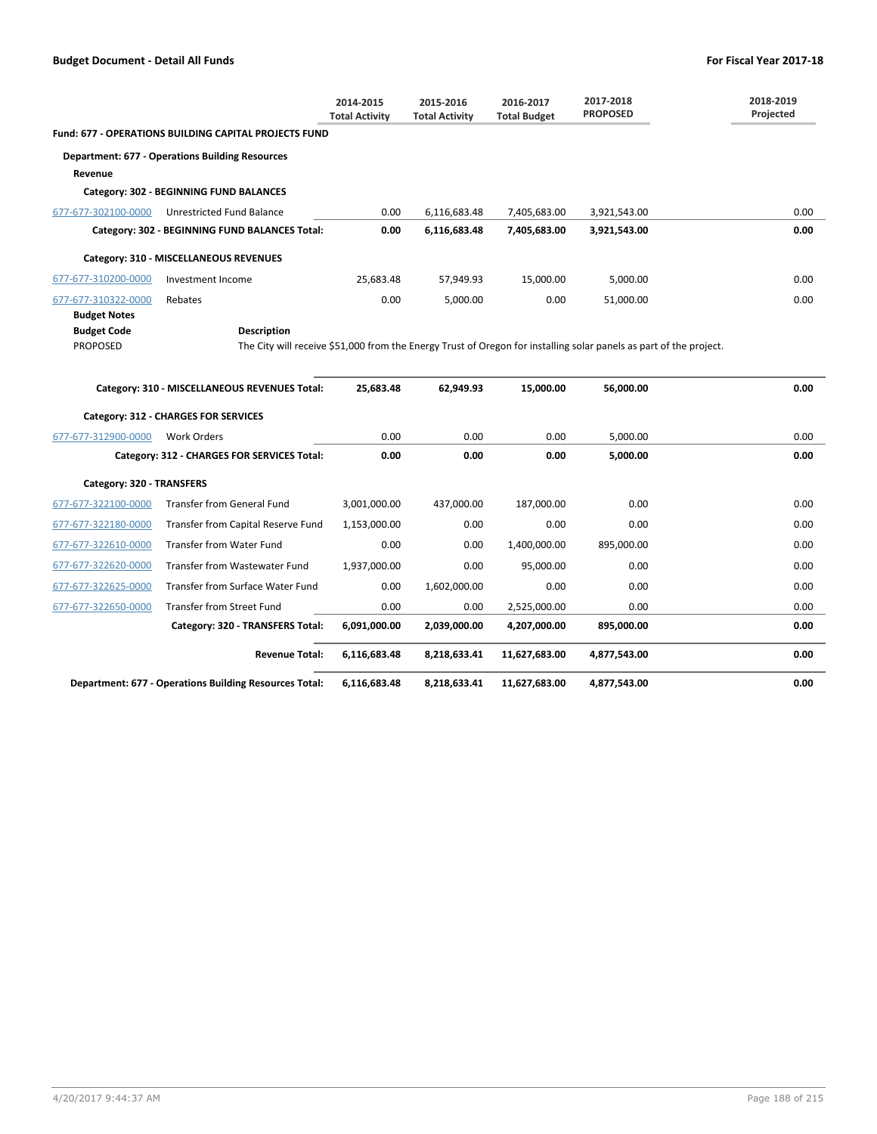|                           |                                                                                                                    | 2014-2015<br><b>Total Activity</b> | 2015-2016<br><b>Total Activity</b> | 2016-2017<br><b>Total Budget</b> | 2017-2018<br><b>PROPOSED</b> | 2018-2019<br>Projected |
|---------------------------|--------------------------------------------------------------------------------------------------------------------|------------------------------------|------------------------------------|----------------------------------|------------------------------|------------------------|
|                           | <b>Fund: 677 - OPERATIONS BUILDING CAPITAL PROJECTS FUND</b>                                                       |                                    |                                    |                                  |                              |                        |
|                           | <b>Department: 677 - Operations Building Resources</b>                                                             |                                    |                                    |                                  |                              |                        |
| Revenue                   |                                                                                                                    |                                    |                                    |                                  |                              |                        |
|                           | Category: 302 - BEGINNING FUND BALANCES                                                                            |                                    |                                    |                                  |                              |                        |
| 677-677-302100-0000       | Unrestricted Fund Balance                                                                                          | 0.00                               | 6,116,683.48                       | 7,405,683.00                     | 3,921,543.00                 | 0.00                   |
|                           | Category: 302 - BEGINNING FUND BALANCES Total:                                                                     | 0.00                               | 6,116,683.48                       | 7,405,683.00                     | 3,921,543.00                 | 0.00                   |
|                           | Category: 310 - MISCELLANEOUS REVENUES                                                                             |                                    |                                    |                                  |                              |                        |
| 677-677-310200-0000       | Investment Income                                                                                                  | 25,683.48                          | 57,949.93                          | 15,000.00                        | 5,000.00                     | 0.00                   |
| 677-677-310322-0000       | Rebates                                                                                                            | 0.00                               | 5,000.00                           | 0.00                             | 51,000.00                    | 0.00                   |
| <b>Budget Notes</b>       |                                                                                                                    |                                    |                                    |                                  |                              |                        |
| <b>Budget Code</b>        | <b>Description</b>                                                                                                 |                                    |                                    |                                  |                              |                        |
| <b>PROPOSED</b>           | The City will receive \$51,000 from the Energy Trust of Oregon for installing solar panels as part of the project. |                                    |                                    |                                  |                              |                        |
|                           | Category: 310 - MISCELLANEOUS REVENUES Total:                                                                      | 25,683.48                          | 62,949.93                          | 15,000.00                        | 56,000.00                    | 0.00                   |
|                           | Category: 312 - CHARGES FOR SERVICES                                                                               |                                    |                                    |                                  |                              |                        |
| 677-677-312900-0000       | <b>Work Orders</b>                                                                                                 | 0.00                               | 0.00                               | 0.00                             | 5,000.00                     | 0.00                   |
|                           | Category: 312 - CHARGES FOR SERVICES Total:                                                                        | 0.00                               | 0.00                               | 0.00                             | 5,000.00                     | 0.00                   |
| Category: 320 - TRANSFERS |                                                                                                                    |                                    |                                    |                                  |                              |                        |
| 677-677-322100-0000       | <b>Transfer from General Fund</b>                                                                                  | 3,001,000.00                       | 437,000.00                         | 187,000.00                       | 0.00                         | 0.00                   |
| 677-677-322180-0000       | Transfer from Capital Reserve Fund                                                                                 | 1,153,000.00                       | 0.00                               | 0.00                             | 0.00                         | 0.00                   |
| 677-677-322610-0000       | <b>Transfer from Water Fund</b>                                                                                    | 0.00                               | 0.00                               | 1,400,000.00                     | 895,000.00                   | 0.00                   |
| 677-677-322620-0000       | Transfer from Wastewater Fund                                                                                      | 1,937,000.00                       | 0.00                               | 95,000.00                        | 0.00                         | 0.00                   |
| 677-677-322625-0000       | Transfer from Surface Water Fund                                                                                   | 0.00                               | 1,602,000.00                       | 0.00                             | 0.00                         | 0.00                   |
| 677-677-322650-0000       | Transfer from Street Fund                                                                                          | 0.00                               | 0.00                               | 2,525,000.00                     | 0.00                         | 0.00                   |
|                           | Category: 320 - TRANSFERS Total:                                                                                   | 6,091,000.00                       | 2,039,000.00                       | 4,207,000.00                     | 895,000.00                   | 0.00                   |
|                           | <b>Revenue Total:</b>                                                                                              | 6,116,683.48                       | 8,218,633.41                       | 11,627,683.00                    | 4,877,543.00                 | 0.00                   |
|                           | <b>Department: 677 - Operations Building Resources Total:</b>                                                      | 6,116,683.48                       | 8,218,633.41                       | 11,627,683.00                    | 4,877,543.00                 | 0.00                   |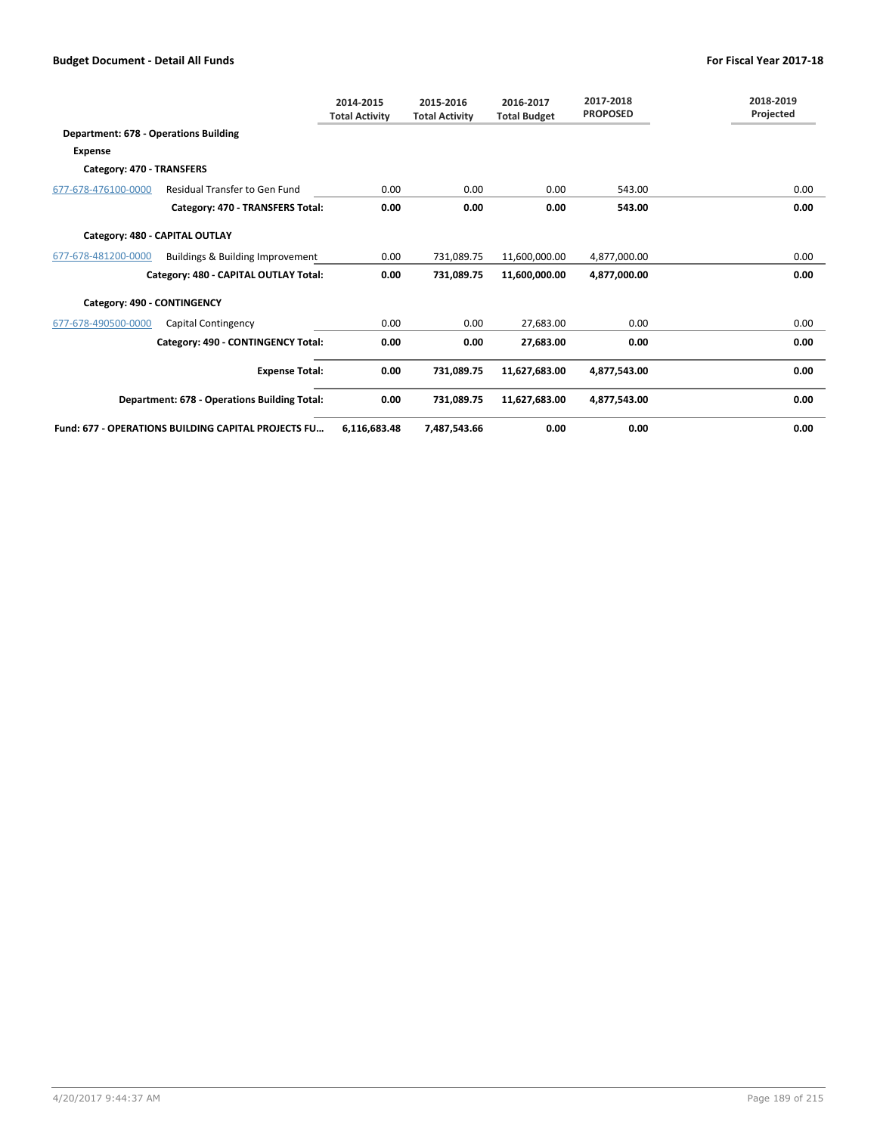|                                              |                                                            | 2014-2015<br><b>Total Activity</b> | 2015-2016<br><b>Total Activity</b> | 2016-2017<br><b>Total Budget</b> | 2017-2018<br><b>PROPOSED</b> | 2018-2019<br>Projected |
|----------------------------------------------|------------------------------------------------------------|------------------------------------|------------------------------------|----------------------------------|------------------------------|------------------------|
| <b>Department: 678 - Operations Building</b> |                                                            |                                    |                                    |                                  |                              |                        |
| <b>Expense</b>                               |                                                            |                                    |                                    |                                  |                              |                        |
| Category: 470 - TRANSFERS                    |                                                            |                                    |                                    |                                  |                              |                        |
| 677-678-476100-0000                          | <b>Residual Transfer to Gen Fund</b>                       | 0.00                               | 0.00                               | 0.00                             | 543.00                       | 0.00                   |
|                                              | Category: 470 - TRANSFERS Total:                           | 0.00                               | 0.00                               | 0.00                             | 543.00                       | 0.00                   |
| Category: 480 - CAPITAL OUTLAY               |                                                            |                                    |                                    |                                  |                              |                        |
| 677-678-481200-0000                          | Buildings & Building Improvement                           | 0.00                               | 731.089.75                         | 11,600,000.00                    | 4,877,000.00                 | 0.00                   |
|                                              | Category: 480 - CAPITAL OUTLAY Total:                      | 0.00                               | 731,089.75                         | 11,600,000.00                    | 4,877,000.00                 | 0.00                   |
| Category: 490 - CONTINGENCY                  |                                                            |                                    |                                    |                                  |                              |                        |
| 677-678-490500-0000                          | Capital Contingency                                        | 0.00                               | 0.00                               | 27,683.00                        | 0.00                         | 0.00                   |
|                                              | Category: 490 - CONTINGENCY Total:                         | 0.00                               | 0.00                               | 27,683.00                        | 0.00                         | 0.00                   |
|                                              | <b>Expense Total:</b>                                      | 0.00                               | 731,089.75                         | 11,627,683.00                    | 4,877,543.00                 | 0.00                   |
|                                              | <b>Department: 678 - Operations Building Total:</b>        | 0.00                               | 731,089.75                         | 11,627,683.00                    | 4,877,543.00                 | 0.00                   |
|                                              | <b>Fund: 677 - OPERATIONS BUILDING CAPITAL PROJECTS FU</b> | 6.116.683.48                       | 7.487.543.66                       | 0.00                             | 0.00                         | 0.00                   |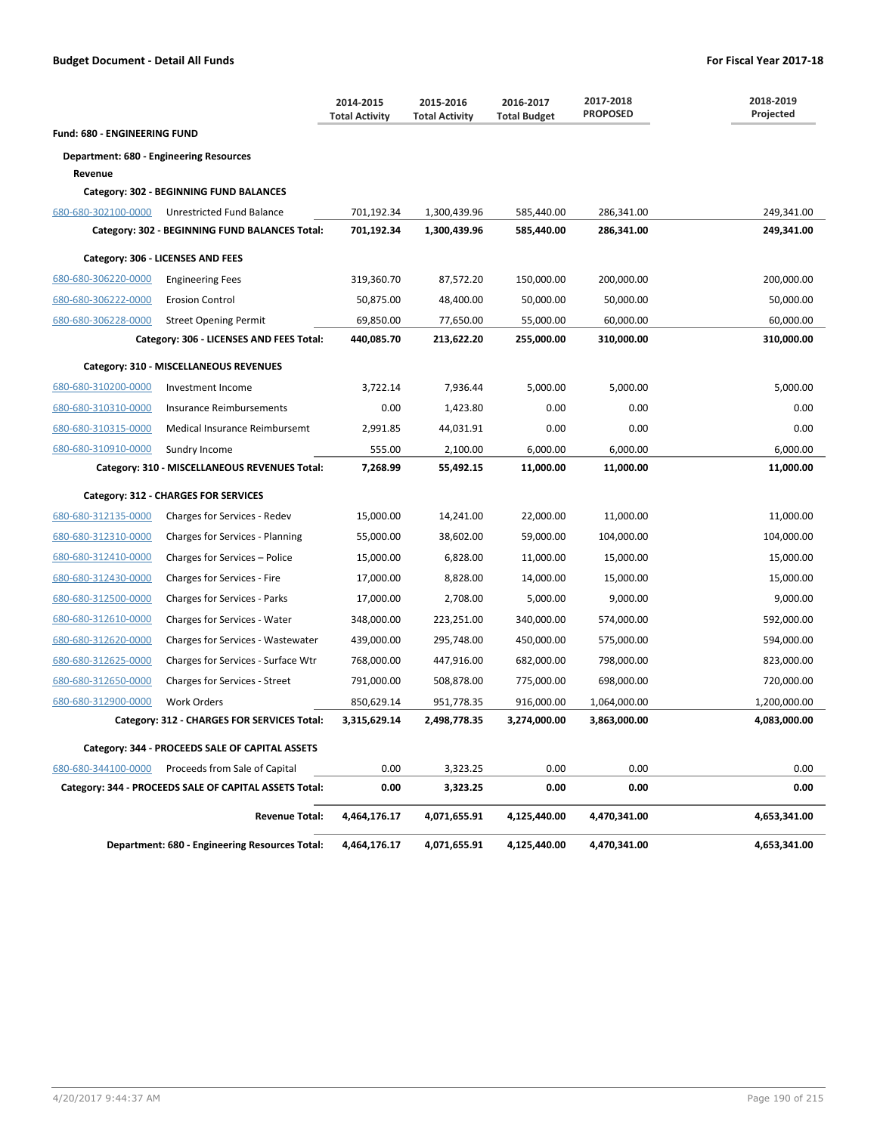|                                                |                                                        | 2014-2015<br><b>Total Activity</b> | 2015-2016<br><b>Total Activity</b> | 2016-2017<br><b>Total Budget</b> | 2017-2018<br><b>PROPOSED</b> | 2018-2019<br>Projected |
|------------------------------------------------|--------------------------------------------------------|------------------------------------|------------------------------------|----------------------------------|------------------------------|------------------------|
| Fund: 680 - ENGINEERING FUND                   |                                                        |                                    |                                    |                                  |                              |                        |
| <b>Department: 680 - Engineering Resources</b> |                                                        |                                    |                                    |                                  |                              |                        |
| Revenue                                        |                                                        |                                    |                                    |                                  |                              |                        |
|                                                | Category: 302 - BEGINNING FUND BALANCES                |                                    |                                    |                                  |                              |                        |
| 680-680-302100-0000                            | Unrestricted Fund Balance                              | 701,192.34                         | 1,300,439.96                       | 585,440.00                       | 286,341.00                   | 249,341.00             |
|                                                | Category: 302 - BEGINNING FUND BALANCES Total:         | 701,192.34                         | 1,300,439.96                       | 585,440.00                       | 286,341.00                   | 249,341.00             |
|                                                | Category: 306 - LICENSES AND FEES                      |                                    |                                    |                                  |                              |                        |
| 680-680-306220-0000                            | <b>Engineering Fees</b>                                | 319,360.70                         | 87,572.20                          | 150,000.00                       | 200,000.00                   | 200,000.00             |
| 680-680-306222-0000                            | <b>Erosion Control</b>                                 | 50,875.00                          | 48,400.00                          | 50,000.00                        | 50,000.00                    | 50,000.00              |
| 680-680-306228-0000                            | <b>Street Opening Permit</b>                           | 69,850.00                          | 77,650.00                          | 55,000.00                        | 60,000.00                    | 60,000.00              |
|                                                | Category: 306 - LICENSES AND FEES Total:               | 440,085.70                         | 213,622.20                         | 255,000.00                       | 310,000.00                   | 310,000.00             |
|                                                | Category: 310 - MISCELLANEOUS REVENUES                 |                                    |                                    |                                  |                              |                        |
| 680-680-310200-0000                            | Investment Income                                      | 3,722.14                           | 7,936.44                           | 5,000.00                         | 5,000.00                     | 5,000.00               |
| 680-680-310310-0000                            | Insurance Reimbursements                               | 0.00                               | 1,423.80                           | 0.00                             | 0.00                         | 0.00                   |
| 680-680-310315-0000                            | Medical Insurance Reimbursemt                          | 2,991.85                           | 44,031.91                          | 0.00                             | 0.00                         | 0.00                   |
| 680-680-310910-0000                            | Sundry Income                                          | 555.00                             | 2,100.00                           | 6,000.00                         | 6,000.00                     | 6,000.00               |
|                                                | Category: 310 - MISCELLANEOUS REVENUES Total:          | 7,268.99                           | 55,492.15                          | 11,000.00                        | 11,000.00                    | 11,000.00              |
|                                                | Category: 312 - CHARGES FOR SERVICES                   |                                    |                                    |                                  |                              |                        |
| 680-680-312135-0000                            | Charges for Services - Redev                           | 15,000.00                          | 14,241.00                          | 22,000.00                        | 11,000.00                    | 11,000.00              |
| 680-680-312310-0000                            | Charges for Services - Planning                        | 55,000.00                          | 38,602.00                          | 59,000.00                        | 104,000.00                   | 104,000.00             |
| 680-680-312410-0000                            | Charges for Services – Police                          | 15,000.00                          | 6,828.00                           | 11,000.00                        | 15,000.00                    | 15,000.00              |
| 680-680-312430-0000                            | Charges for Services - Fire                            | 17,000.00                          | 8,828.00                           | 14,000.00                        | 15,000.00                    | 15,000.00              |
| 680-680-312500-0000                            | Charges for Services - Parks                           | 17,000.00                          | 2,708.00                           | 5,000.00                         | 9,000.00                     | 9,000.00               |
| 680-680-312610-0000                            | Charges for Services - Water                           | 348,000.00                         | 223,251.00                         | 340,000.00                       | 574,000.00                   | 592,000.00             |
| 680-680-312620-0000                            | Charges for Services - Wastewater                      | 439,000.00                         | 295,748.00                         | 450,000.00                       | 575,000.00                   | 594,000.00             |
| 680-680-312625-0000                            | Charges for Services - Surface Wtr                     | 768,000.00                         | 447,916.00                         | 682,000.00                       | 798,000.00                   | 823,000.00             |
| 680-680-312650-0000                            | <b>Charges for Services - Street</b>                   | 791,000.00                         | 508,878.00                         | 775,000.00                       | 698,000.00                   | 720,000.00             |
| 680-680-312900-0000                            | <b>Work Orders</b>                                     | 850,629.14                         | 951,778.35                         | 916,000.00                       | 1,064,000.00                 | 1,200,000.00           |
|                                                | Category: 312 - CHARGES FOR SERVICES Total:            | 3,315,629.14                       | 2,498,778.35                       | 3,274,000.00                     | 3,863,000.00                 | 4,083,000.00           |
|                                                | Category: 344 - PROCEEDS SALE OF CAPITAL ASSETS        |                                    |                                    |                                  |                              |                        |
| 680-680-344100-0000                            | Proceeds from Sale of Capital                          | 0.00                               | 3,323.25                           | 0.00                             | 0.00                         | 0.00                   |
|                                                | Category: 344 - PROCEEDS SALE OF CAPITAL ASSETS Total: | 0.00                               | 3,323.25                           | 0.00                             | 0.00                         | 0.00                   |
|                                                | <b>Revenue Total:</b>                                  | 4,464,176.17                       | 4,071,655.91                       | 4,125,440.00                     | 4,470,341.00                 | 4,653,341.00           |
|                                                | Department: 680 - Engineering Resources Total:         | 4,464,176.17                       | 4,071,655.91                       | 4,125,440.00                     | 4,470,341.00                 | 4,653,341.00           |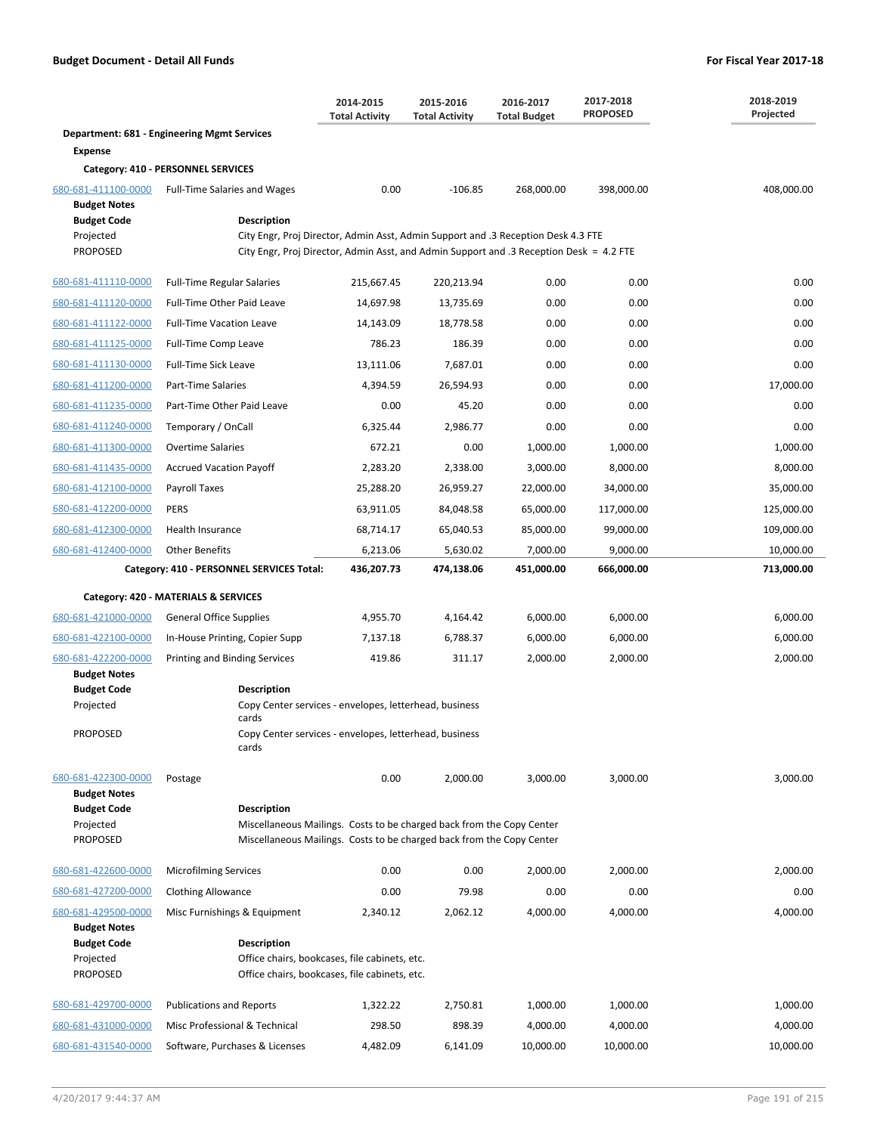|                                                                                                  |                                                                                                                                                                                             | 2014-2015<br><b>Total Activity</b> | 2015-2016<br><b>Total Activity</b> | 2016-2017<br><b>Total Budget</b> | 2017-2018<br><b>PROPOSED</b> | 2018-2019<br>Projected |
|--------------------------------------------------------------------------------------------------|---------------------------------------------------------------------------------------------------------------------------------------------------------------------------------------------|------------------------------------|------------------------------------|----------------------------------|------------------------------|------------------------|
|                                                                                                  | <b>Department: 681 - Engineering Mgmt Services</b>                                                                                                                                          |                                    |                                    |                                  |                              |                        |
| <b>Expense</b>                                                                                   |                                                                                                                                                                                             |                                    |                                    |                                  |                              |                        |
|                                                                                                  | Category: 410 - PERSONNEL SERVICES                                                                                                                                                          |                                    |                                    |                                  |                              |                        |
| 680-681-411100-0000<br><b>Budget Notes</b>                                                       | <b>Full-Time Salaries and Wages</b>                                                                                                                                                         | 0.00                               | $-106.85$                          | 268,000.00                       | 398,000.00                   | 408,000.00             |
| <b>Budget Code</b><br>Projected<br><b>PROPOSED</b>                                               | Description<br>City Engr, Proj Director, Admin Asst, Admin Support and .3 Reception Desk 4.3 FTE<br>City Engr, Proj Director, Admin Asst, and Admin Support and .3 Reception Desk = 4.2 FTE |                                    |                                    |                                  |                              |                        |
| 680-681-411110-0000                                                                              | <b>Full-Time Regular Salaries</b>                                                                                                                                                           | 215,667.45                         | 220,213.94                         | 0.00                             | 0.00                         | 0.00                   |
| 680-681-411120-0000                                                                              | Full-Time Other Paid Leave                                                                                                                                                                  | 14,697.98                          | 13,735.69                          | 0.00                             | 0.00                         | 0.00                   |
| 680-681-411122-0000                                                                              | <b>Full-Time Vacation Leave</b>                                                                                                                                                             | 14,143.09                          | 18,778.58                          | 0.00                             | 0.00                         | 0.00                   |
| 680-681-411125-0000                                                                              | Full-Time Comp Leave                                                                                                                                                                        | 786.23                             | 186.39                             | 0.00                             | 0.00                         | 0.00                   |
| 680-681-411130-0000                                                                              | Full-Time Sick Leave                                                                                                                                                                        | 13,111.06                          | 7,687.01                           | 0.00                             | 0.00                         | 0.00                   |
| 680-681-411200-0000                                                                              | Part-Time Salaries                                                                                                                                                                          | 4,394.59                           | 26,594.93                          | 0.00                             | 0.00                         | 17,000.00              |
| 680-681-411235-0000                                                                              | Part-Time Other Paid Leave                                                                                                                                                                  | 0.00                               | 45.20                              | 0.00                             | 0.00                         | 0.00                   |
| 680-681-411240-0000                                                                              | Temporary / OnCall                                                                                                                                                                          | 6,325.44                           | 2,986.77                           | 0.00                             | 0.00                         | 0.00                   |
| 680-681-411300-0000                                                                              | <b>Overtime Salaries</b>                                                                                                                                                                    | 672.21                             | 0.00                               | 1,000.00                         | 1,000.00                     | 1,000.00               |
| 680-681-411435-0000                                                                              | <b>Accrued Vacation Payoff</b>                                                                                                                                                              | 2,283.20                           | 2,338.00                           | 3,000.00                         | 8,000.00                     | 8,000.00               |
| 680-681-412100-0000                                                                              | Payroll Taxes                                                                                                                                                                               | 25,288.20                          | 26,959.27                          | 22,000.00                        | 34,000.00                    | 35,000.00              |
| 680-681-412200-0000                                                                              | PERS                                                                                                                                                                                        | 63,911.05                          | 84,048.58                          | 65,000.00                        | 117,000.00                   | 125,000.00             |
| 680-681-412300-0000                                                                              | Health Insurance                                                                                                                                                                            | 68,714.17                          | 65,040.53                          | 85,000.00                        | 99,000.00                    | 109,000.00             |
| 680-681-412400-0000                                                                              | <b>Other Benefits</b>                                                                                                                                                                       | 6,213.06                           | 5,630.02                           | 7,000.00                         | 9,000.00                     | 10,000.00              |
|                                                                                                  | Category: 410 - PERSONNEL SERVICES Total:                                                                                                                                                   | 436,207.73                         | 474,138.06                         | 451,000.00                       | 666,000.00                   | 713,000.00             |
|                                                                                                  |                                                                                                                                                                                             |                                    |                                    |                                  |                              |                        |
|                                                                                                  | Category: 420 - MATERIALS & SERVICES                                                                                                                                                        |                                    |                                    |                                  |                              |                        |
| 680-681-421000-0000                                                                              | <b>General Office Supplies</b>                                                                                                                                                              | 4,955.70                           | 4,164.42                           | 6,000.00                         | 6,000.00                     | 6,000.00               |
| 680-681-422100-0000                                                                              | In-House Printing, Copier Supp                                                                                                                                                              | 7,137.18                           | 6,788.37                           | 6,000.00                         | 6,000.00                     | 6,000.00               |
| 680-681-422200-0000<br><b>Budget Notes</b><br><b>Budget Code</b><br>Projected<br>PROPOSED        | Printing and Binding Services<br><b>Description</b><br>Copy Center services - envelopes, letterhead, business<br>cards<br>Copy Center services - envelopes, letterhead, business<br>cards   | 419.86                             | 311.17                             | 2,000.00                         | 2,000.00                     | 2,000.00               |
|                                                                                                  |                                                                                                                                                                                             |                                    |                                    |                                  |                              |                        |
| 680-681-422300-0000<br><b>Budget Notes</b><br><b>Budget Code</b><br>Projected<br><b>PROPOSED</b> | Postage<br><b>Description</b><br>Miscellaneous Mailings. Costs to be charged back from the Copy Center<br>Miscellaneous Mailings. Costs to be charged back from the Copy Center             | 0.00                               | 2,000.00                           | 3,000.00                         | 3,000.00                     | 3,000.00               |
| 680-681-422600-0000                                                                              | <b>Microfilming Services</b>                                                                                                                                                                | 0.00                               | 0.00                               | 2,000.00                         | 2,000.00                     | 2,000.00               |
| 680-681-427200-0000                                                                              | <b>Clothing Allowance</b>                                                                                                                                                                   | 0.00                               | 79.98                              | 0.00                             | 0.00                         | 0.00                   |
| 680-681-429500-0000                                                                              | Misc Furnishings & Equipment                                                                                                                                                                | 2,340.12                           | 2,062.12                           | 4,000.00                         | 4,000.00                     | 4,000.00               |
| <b>Budget Notes</b>                                                                              |                                                                                                                                                                                             |                                    |                                    |                                  |                              |                        |
| <b>Budget Code</b><br>Projected<br><b>PROPOSED</b>                                               | <b>Description</b><br>Office chairs, bookcases, file cabinets, etc.<br>Office chairs, bookcases, file cabinets, etc.                                                                        |                                    |                                    |                                  |                              |                        |
| 680-681-429700-0000                                                                              | <b>Publications and Reports</b>                                                                                                                                                             | 1,322.22                           | 2,750.81                           | 1,000.00                         | 1,000.00                     | 1,000.00               |
| 680-681-431000-0000                                                                              | Misc Professional & Technical                                                                                                                                                               | 298.50                             | 898.39                             | 4,000.00                         | 4,000.00                     | 4,000.00               |
| 680-681-431540-0000                                                                              | Software, Purchases & Licenses                                                                                                                                                              | 4,482.09                           | 6,141.09                           | 10,000.00                        | 10,000.00                    | 10,000.00              |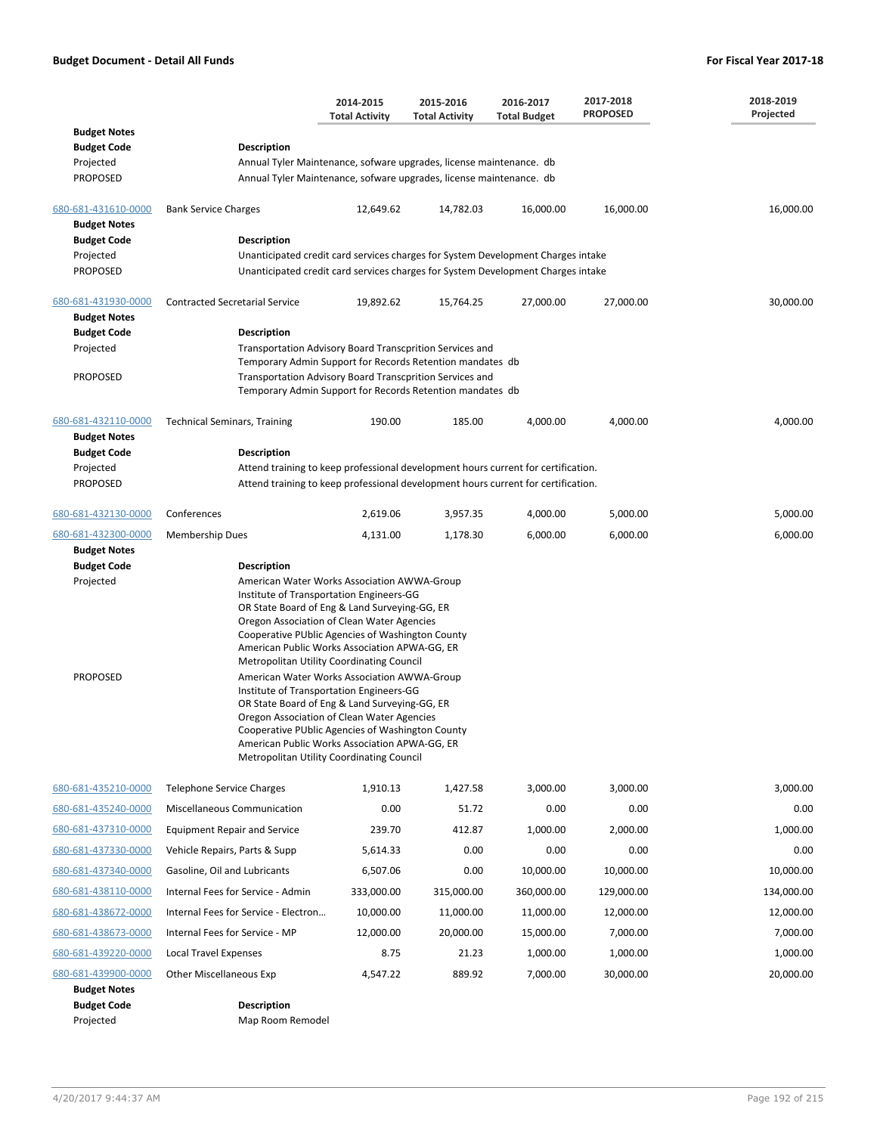|                                            |                                                                                                                                            | 2014-2015<br><b>Total Activity</b>                                                                                                                                                                                                                                                                                                                                                    | 2015-2016<br><b>Total Activity</b> | 2016-2017<br><b>Total Budget</b> | 2017-2018<br><b>PROPOSED</b> | 2018-2019<br>Projected |  |  |
|--------------------------------------------|--------------------------------------------------------------------------------------------------------------------------------------------|---------------------------------------------------------------------------------------------------------------------------------------------------------------------------------------------------------------------------------------------------------------------------------------------------------------------------------------------------------------------------------------|------------------------------------|----------------------------------|------------------------------|------------------------|--|--|
| <b>Budget Notes</b>                        |                                                                                                                                            |                                                                                                                                                                                                                                                                                                                                                                                       |                                    |                                  |                              |                        |  |  |
| <b>Budget Code</b>                         | <b>Description</b>                                                                                                                         |                                                                                                                                                                                                                                                                                                                                                                                       |                                    |                                  |                              |                        |  |  |
| Projected<br><b>PROPOSED</b>               | Annual Tyler Maintenance, sofware upgrades, license maintenance. db<br>Annual Tyler Maintenance, sofware upgrades, license maintenance. db |                                                                                                                                                                                                                                                                                                                                                                                       |                                    |                                  |                              |                        |  |  |
|                                            |                                                                                                                                            |                                                                                                                                                                                                                                                                                                                                                                                       |                                    |                                  |                              |                        |  |  |
| 680-681-431610-0000                        | <b>Bank Service Charges</b>                                                                                                                | 12,649.62                                                                                                                                                                                                                                                                                                                                                                             | 14,782.03                          | 16,000.00                        | 16,000.00                    | 16,000.00              |  |  |
| <b>Budget Notes</b>                        |                                                                                                                                            |                                                                                                                                                                                                                                                                                                                                                                                       |                                    |                                  |                              |                        |  |  |
| <b>Budget Code</b><br>Projected            | <b>Description</b>                                                                                                                         |                                                                                                                                                                                                                                                                                                                                                                                       |                                    |                                  |                              |                        |  |  |
| <b>PROPOSED</b>                            |                                                                                                                                            | Unanticipated credit card services charges for System Development Charges intake<br>Unanticipated credit card services charges for System Development Charges intake                                                                                                                                                                                                                  |                                    |                                  |                              |                        |  |  |
| 680-681-431930-0000                        | <b>Contracted Secretarial Service</b>                                                                                                      | 19,892.62                                                                                                                                                                                                                                                                                                                                                                             | 15,764.25                          | 27,000.00                        | 27,000.00                    | 30,000.00              |  |  |
| <b>Budget Notes</b><br><b>Budget Code</b>  |                                                                                                                                            |                                                                                                                                                                                                                                                                                                                                                                                       |                                    |                                  |                              |                        |  |  |
| Projected                                  |                                                                                                                                            | <b>Description</b><br>Transportation Advisory Board Transcprition Services and                                                                                                                                                                                                                                                                                                        |                                    |                                  |                              |                        |  |  |
|                                            | Temporary Admin Support for Records Retention mandates db                                                                                  |                                                                                                                                                                                                                                                                                                                                                                                       |                                    |                                  |                              |                        |  |  |
| <b>PROPOSED</b>                            | Transportation Advisory Board Transcprition Services and<br>Temporary Admin Support for Records Retention mandates db                      |                                                                                                                                                                                                                                                                                                                                                                                       |                                    |                                  |                              |                        |  |  |
| 680-681-432110-0000<br><b>Budget Notes</b> | <b>Technical Seminars, Training</b>                                                                                                        | 190.00                                                                                                                                                                                                                                                                                                                                                                                | 185.00                             | 4,000.00                         | 4,000.00                     | 4,000.00               |  |  |
| <b>Budget Code</b>                         | <b>Description</b>                                                                                                                         |                                                                                                                                                                                                                                                                                                                                                                                       |                                    |                                  |                              |                        |  |  |
| Projected                                  |                                                                                                                                            | Attend training to keep professional development hours current for certification.                                                                                                                                                                                                                                                                                                     |                                    |                                  |                              |                        |  |  |
| <b>PROPOSED</b>                            | Attend training to keep professional development hours current for certification.                                                          |                                                                                                                                                                                                                                                                                                                                                                                       |                                    |                                  |                              |                        |  |  |
| 680-681-432130-0000                        | Conferences                                                                                                                                | 2,619.06                                                                                                                                                                                                                                                                                                                                                                              | 3,957.35                           | 4,000.00                         | 5,000.00                     | 5,000.00               |  |  |
| 680-681-432300-0000                        | <b>Membership Dues</b>                                                                                                                     | 4,131.00                                                                                                                                                                                                                                                                                                                                                                              | 1,178.30                           | 6,000.00                         | 6,000.00                     | 6,000.00               |  |  |
| <b>Budget Notes</b>                        |                                                                                                                                            |                                                                                                                                                                                                                                                                                                                                                                                       |                                    |                                  |                              |                        |  |  |
| <b>Budget Code</b>                         |                                                                                                                                            | <b>Description</b>                                                                                                                                                                                                                                                                                                                                                                    |                                    |                                  |                              |                        |  |  |
| Projected                                  |                                                                                                                                            | American Water Works Association AWWA-Group<br>Institute of Transportation Engineers-GG<br>OR State Board of Eng & Land Surveying-GG, ER<br>Oregon Association of Clean Water Agencies<br>Cooperative PUblic Agencies of Washington County<br>American Public Works Association APWA-GG, ER                                                                                           |                                    |                                  |                              |                        |  |  |
| <b>PROPOSED</b>                            |                                                                                                                                            | Metropolitan Utility Coordinating Council<br>American Water Works Association AWWA-Group<br>Institute of Transportation Engineers-GG<br>OR State Board of Eng & Land Surveying-GG, ER<br>Oregon Association of Clean Water Agencies<br>Cooperative PUblic Agencies of Washington County<br>American Public Works Association APWA-GG, ER<br>Metropolitan Utility Coordinating Council |                                    |                                  |                              |                        |  |  |
| 680-681-435210-0000                        | <b>Telephone Service Charges</b>                                                                                                           | 1,910.13                                                                                                                                                                                                                                                                                                                                                                              | 1,427.58                           | 3,000.00                         | 3,000.00                     | 3,000.00               |  |  |
| 680-681-435240-0000                        | Miscellaneous Communication                                                                                                                | 0.00                                                                                                                                                                                                                                                                                                                                                                                  | 51.72                              | 0.00                             | 0.00                         | 0.00                   |  |  |
| 680-681-437310-0000                        | <b>Equipment Repair and Service</b>                                                                                                        | 239.70                                                                                                                                                                                                                                                                                                                                                                                | 412.87                             | 1,000.00                         | 2,000.00                     | 1,000.00               |  |  |
| 680-681-437330-0000                        | Vehicle Repairs, Parts & Supp                                                                                                              | 5,614.33                                                                                                                                                                                                                                                                                                                                                                              | 0.00                               | 0.00                             | 0.00                         | 0.00                   |  |  |
| 680-681-437340-0000                        | Gasoline, Oil and Lubricants                                                                                                               | 6,507.06                                                                                                                                                                                                                                                                                                                                                                              | 0.00                               | 10,000.00                        | 10,000.00                    | 10,000.00              |  |  |
| 680-681-438110-0000                        | Internal Fees for Service - Admin                                                                                                          | 333,000.00                                                                                                                                                                                                                                                                                                                                                                            | 315,000.00                         | 360,000.00                       | 129,000.00                   | 134,000.00             |  |  |
| 680-681-438672-0000                        | Internal Fees for Service - Electron                                                                                                       | 10,000.00                                                                                                                                                                                                                                                                                                                                                                             | 11,000.00                          | 11,000.00                        | 12,000.00                    | 12,000.00              |  |  |
| 680-681-438673-0000                        | Internal Fees for Service - MP                                                                                                             | 12,000.00                                                                                                                                                                                                                                                                                                                                                                             | 20,000.00                          | 15,000.00                        | 7,000.00                     | 7,000.00               |  |  |
| 680-681-439220-0000                        | <b>Local Travel Expenses</b>                                                                                                               | 8.75                                                                                                                                                                                                                                                                                                                                                                                  | 21.23                              | 1,000.00                         | 1,000.00                     | 1,000.00               |  |  |
| 680-681-439900-0000<br><b>Budget Notes</b> | <b>Other Miscellaneous Exp</b>                                                                                                             | 4,547.22                                                                                                                                                                                                                                                                                                                                                                              | 889.92                             | 7,000.00                         | 30,000.00                    | 20,000.00              |  |  |
| <b>Budget Code</b><br>Projected            | <b>Description</b><br>Map Room Remodel                                                                                                     |                                                                                                                                                                                                                                                                                                                                                                                       |                                    |                                  |                              |                        |  |  |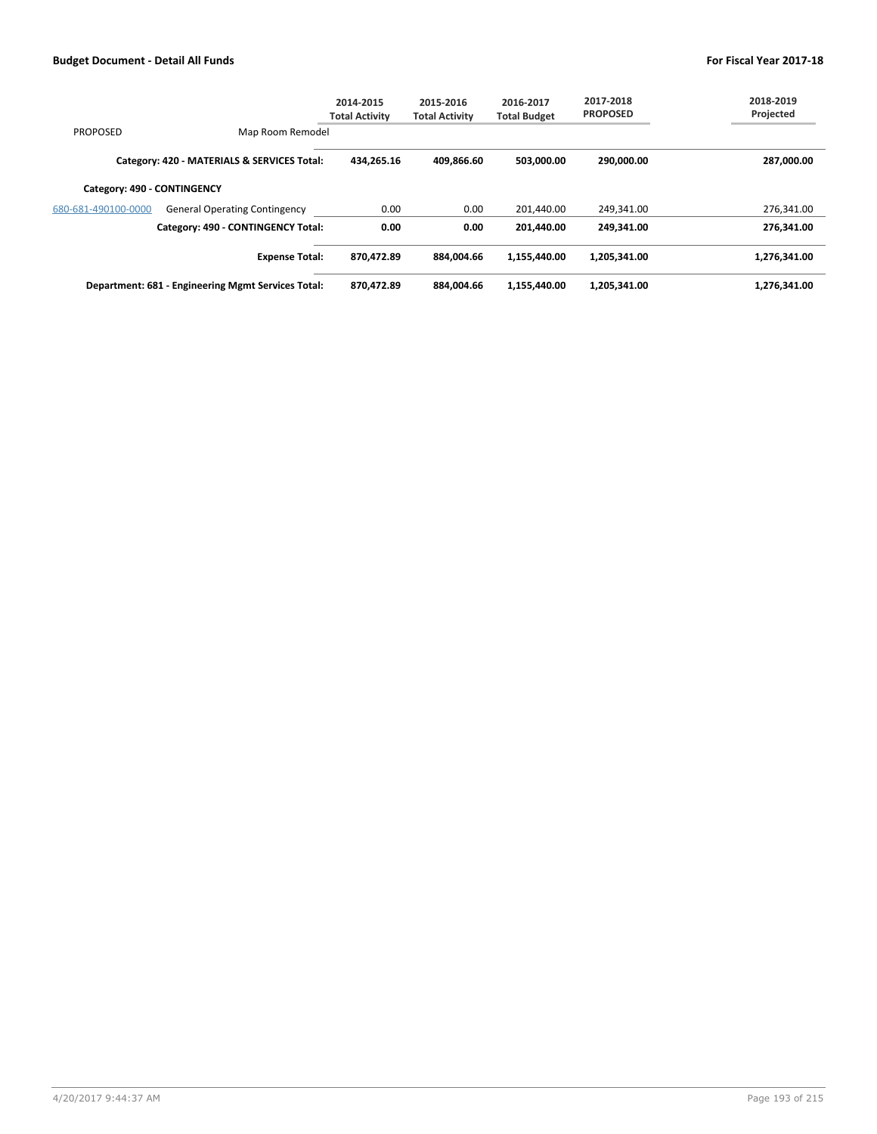|                             |                                                    | 2014-2015<br><b>Total Activity</b> | 2015-2016<br><b>Total Activity</b> | 2016-2017<br><b>Total Budget</b> | 2017-2018<br><b>PROPOSED</b> | 2018-2019<br>Projected |
|-----------------------------|----------------------------------------------------|------------------------------------|------------------------------------|----------------------------------|------------------------------|------------------------|
| <b>PROPOSED</b>             | Map Room Remodel                                   |                                    |                                    |                                  |                              |                        |
|                             | Category: 420 - MATERIALS & SERVICES Total:        | 434.265.16                         | 409.866.60                         | 503,000.00                       | 290,000.00                   | 287,000.00             |
| Category: 490 - CONTINGENCY |                                                    |                                    |                                    |                                  |                              |                        |
| 680-681-490100-0000         | <b>General Operating Contingency</b>               | 0.00                               | 0.00                               | 201,440.00                       | 249.341.00                   | 276,341.00             |
|                             | Category: 490 - CONTINGENCY Total:                 | 0.00                               | 0.00                               | 201.440.00                       | 249.341.00                   | 276,341.00             |
|                             | <b>Expense Total:</b>                              | 870,472.89                         | 884.004.66                         | 1,155,440.00                     | 1,205,341.00                 | 1,276,341.00           |
|                             | Department: 681 - Engineering Mgmt Services Total: | 870,472.89                         | 884.004.66                         | 1,155,440.00                     | 1,205,341.00                 | 1,276,341.00           |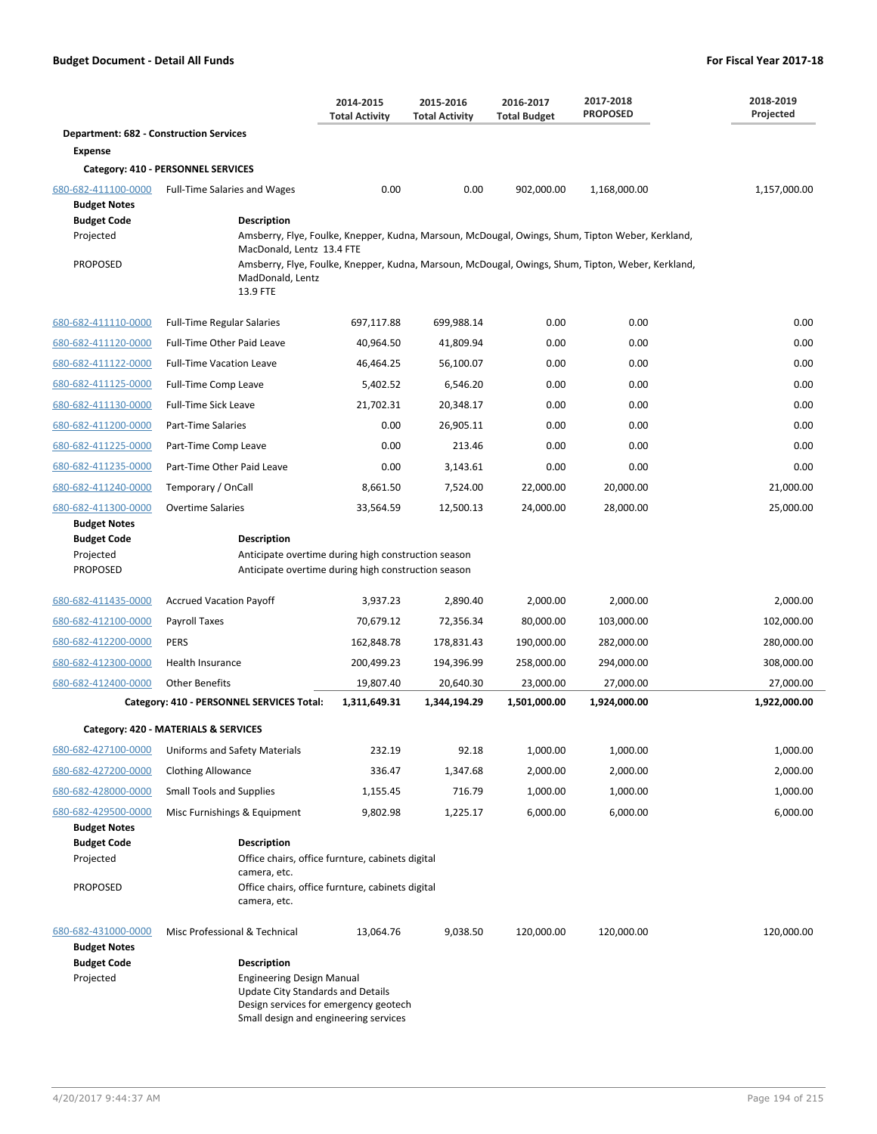|                                                |                                                                                                                                                                                      | 2014-2015<br><b>Total Activity</b> | 2015-2016<br><b>Total Activity</b> | 2016-2017<br><b>Total Budget</b> | 2017-2018<br><b>PROPOSED</b>                                                                      | 2018-2019<br>Projected |  |  |  |
|------------------------------------------------|--------------------------------------------------------------------------------------------------------------------------------------------------------------------------------------|------------------------------------|------------------------------------|----------------------------------|---------------------------------------------------------------------------------------------------|------------------------|--|--|--|
| <b>Department: 682 - Construction Services</b> |                                                                                                                                                                                      |                                    |                                    |                                  |                                                                                                   |                        |  |  |  |
| <b>Expense</b>                                 |                                                                                                                                                                                      |                                    |                                    |                                  |                                                                                                   |                        |  |  |  |
|                                                | Category: 410 - PERSONNEL SERVICES                                                                                                                                                   |                                    |                                    |                                  |                                                                                                   |                        |  |  |  |
| 680-682-411100-0000<br><b>Budget Notes</b>     | <b>Full-Time Salaries and Wages</b>                                                                                                                                                  | 0.00                               | 0.00                               | 902,000.00                       | 1,168,000.00                                                                                      | 1,157,000.00           |  |  |  |
| <b>Budget Code</b>                             | <b>Description</b>                                                                                                                                                                   |                                    |                                    |                                  |                                                                                                   |                        |  |  |  |
| Projected                                      | MacDonald, Lentz 13.4 FTE                                                                                                                                                            |                                    |                                    |                                  | Amsberry, Flye, Foulke, Knepper, Kudna, Marsoun, McDougal, Owings, Shum, Tipton Weber, Kerkland,  |                        |  |  |  |
| <b>PROPOSED</b>                                | MadDonald, Lentz<br>13.9 FTE                                                                                                                                                         |                                    |                                    |                                  | Amsberry, Flye, Foulke, Knepper, Kudna, Marsoun, McDougal, Owings, Shum, Tipton, Weber, Kerkland, |                        |  |  |  |
| 680-682-411110-0000                            | <b>Full-Time Regular Salaries</b>                                                                                                                                                    | 697,117.88                         | 699,988.14                         | 0.00                             | 0.00                                                                                              | 0.00                   |  |  |  |
| 680-682-411120-0000                            | Full-Time Other Paid Leave                                                                                                                                                           | 40,964.50                          | 41,809.94                          | 0.00                             | 0.00                                                                                              | 0.00                   |  |  |  |
| 680-682-411122-0000                            | <b>Full-Time Vacation Leave</b>                                                                                                                                                      | 46,464.25                          | 56,100.07                          | 0.00                             | 0.00                                                                                              | 0.00                   |  |  |  |
| 680-682-411125-0000                            | Full-Time Comp Leave                                                                                                                                                                 | 5,402.52                           | 6,546.20                           | 0.00                             | 0.00                                                                                              | 0.00                   |  |  |  |
| 680-682-411130-0000                            | <b>Full-Time Sick Leave</b>                                                                                                                                                          | 21,702.31                          | 20,348.17                          | 0.00                             | 0.00                                                                                              | 0.00                   |  |  |  |
| 680-682-411200-0000                            | Part-Time Salaries                                                                                                                                                                   | 0.00                               | 26,905.11                          | 0.00                             | 0.00                                                                                              | 0.00                   |  |  |  |
| 680-682-411225-0000                            | Part-Time Comp Leave                                                                                                                                                                 | 0.00                               | 213.46                             | 0.00                             | 0.00                                                                                              | 0.00                   |  |  |  |
| 680-682-411235-0000                            | Part-Time Other Paid Leave                                                                                                                                                           | 0.00                               | 3,143.61                           | 0.00                             | 0.00                                                                                              | 0.00                   |  |  |  |
| 680-682-411240-0000                            | Temporary / OnCall                                                                                                                                                                   | 8,661.50                           | 7,524.00                           | 22,000.00                        | 20,000.00                                                                                         | 21,000.00              |  |  |  |
| 680-682-411300-0000<br><b>Budget Notes</b>     | <b>Overtime Salaries</b>                                                                                                                                                             | 33,564.59                          | 12,500.13                          | 24,000.00                        | 28,000.00                                                                                         | 25,000.00              |  |  |  |
| <b>Budget Code</b><br>Projected<br>PROPOSED    | <b>Description</b><br>Anticipate overtime during high construction season<br>Anticipate overtime during high construction season                                                     |                                    |                                    |                                  |                                                                                                   |                        |  |  |  |
| 680-682-411435-0000                            | <b>Accrued Vacation Payoff</b>                                                                                                                                                       | 3,937.23                           | 2,890.40                           | 2,000.00                         | 2,000.00                                                                                          | 2,000.00               |  |  |  |
| 680-682-412100-0000                            | Payroll Taxes                                                                                                                                                                        | 70,679.12                          | 72,356.34                          | 80,000.00                        | 103,000.00                                                                                        | 102,000.00             |  |  |  |
| 680-682-412200-0000                            | <b>PERS</b>                                                                                                                                                                          | 162,848.78                         | 178,831.43                         | 190,000.00                       | 282,000.00                                                                                        | 280,000.00             |  |  |  |
| 680-682-412300-0000                            | Health Insurance                                                                                                                                                                     | 200,499.23                         | 194,396.99                         | 258,000.00                       | 294,000.00                                                                                        | 308,000.00             |  |  |  |
| 680-682-412400-0000                            | <b>Other Benefits</b>                                                                                                                                                                | 19,807.40                          | 20,640.30                          | 23,000.00                        | 27,000.00                                                                                         | 27,000.00              |  |  |  |
|                                                | Category: 410 - PERSONNEL SERVICES Total:                                                                                                                                            | 1,311,649.31                       | 1,344,194.29                       | 1,501,000.00                     | 1,924,000.00                                                                                      | 1,922,000.00           |  |  |  |
|                                                | Category: 420 - MATERIALS & SERVICES                                                                                                                                                 |                                    |                                    |                                  |                                                                                                   |                        |  |  |  |
| 680-682-427100-0000                            | Uniforms and Safety Materials                                                                                                                                                        | 232.19                             | 92.18                              | 1,000.00                         | 1,000.00                                                                                          | 1,000.00               |  |  |  |
| 680-682-427200-0000                            | <b>Clothing Allowance</b>                                                                                                                                                            | 336.47                             | 1,347.68                           | 2,000.00                         | 2,000.00                                                                                          | 2,000.00               |  |  |  |
| 680-682-428000-0000                            | <b>Small Tools and Supplies</b>                                                                                                                                                      | 1,155.45                           | 716.79                             | 1,000.00                         | 1,000.00                                                                                          | 1,000.00               |  |  |  |
| 680-682-429500-0000<br><b>Budget Notes</b>     | Misc Furnishings & Equipment                                                                                                                                                         | 9,802.98                           | 1,225.17                           | 6,000.00                         | 6,000.00                                                                                          | 6,000.00               |  |  |  |
| <b>Budget Code</b><br>Projected                | <b>Description</b><br>Office chairs, office furnture, cabinets digital<br>camera, etc.                                                                                               |                                    |                                    |                                  |                                                                                                   |                        |  |  |  |
| <b>PROPOSED</b>                                | Office chairs, office furnture, cabinets digital<br>camera, etc.                                                                                                                     |                                    |                                    |                                  |                                                                                                   |                        |  |  |  |
| 680-682-431000-0000<br><b>Budget Notes</b>     | Misc Professional & Technical                                                                                                                                                        | 13,064.76                          | 9,038.50                           | 120,000.00                       | 120,000.00                                                                                        | 120,000.00             |  |  |  |
| <b>Budget Code</b><br>Projected                | <b>Description</b><br><b>Engineering Design Manual</b><br><b>Update City Standards and Details</b><br>Design services for emergency geotech<br>Small design and engineering services |                                    |                                    |                                  |                                                                                                   |                        |  |  |  |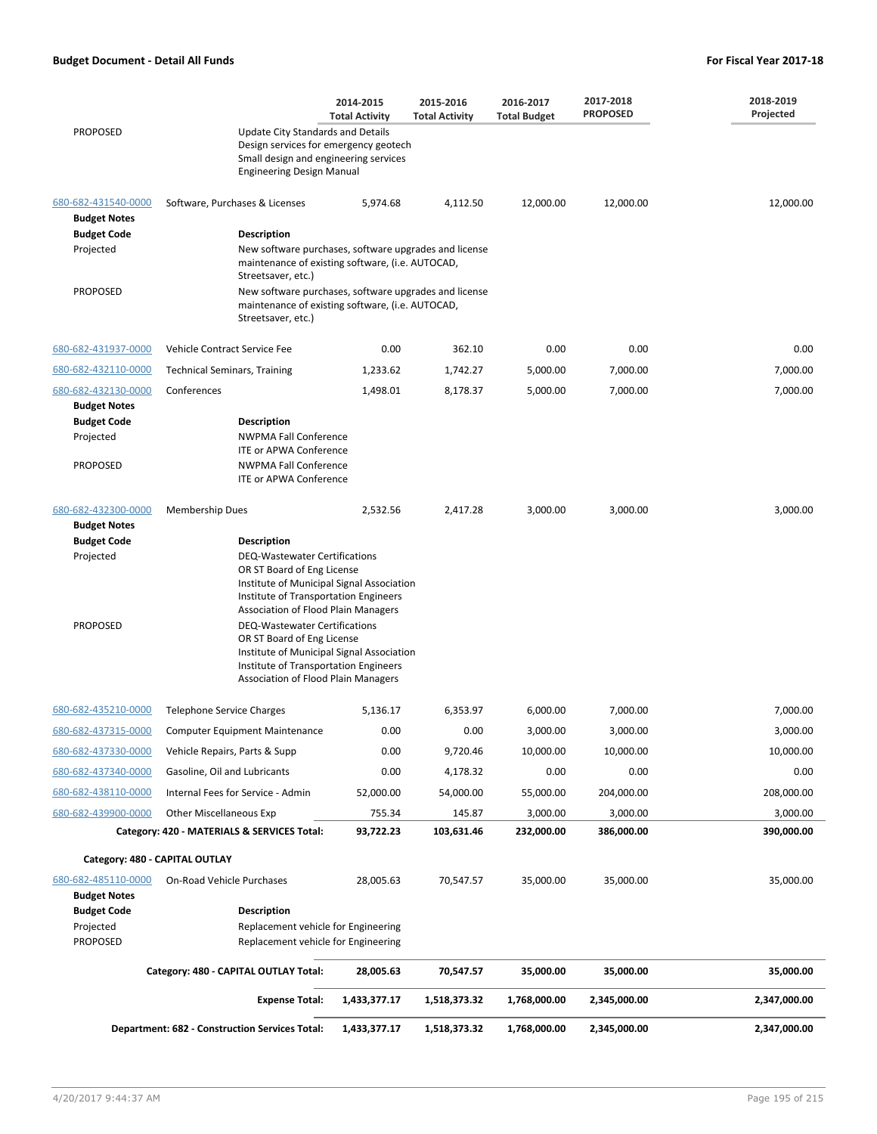|                                            |                                                                                                                                                                                                                                                                                                                                                                                                    | 2014-2015<br><b>Total Activity</b>                                                                        | 2015-2016<br><b>Total Activity</b> | 2016-2017<br><b>Total Budget</b> | 2017-2018<br><b>PROPOSED</b> | 2018-2019<br>Projected |  |
|--------------------------------------------|----------------------------------------------------------------------------------------------------------------------------------------------------------------------------------------------------------------------------------------------------------------------------------------------------------------------------------------------------------------------------------------------------|-----------------------------------------------------------------------------------------------------------|------------------------------------|----------------------------------|------------------------------|------------------------|--|
| <b>PROPOSED</b>                            | <b>Update City Standards and Details</b><br>Design services for emergency geotech<br>Small design and engineering services<br><b>Engineering Design Manual</b>                                                                                                                                                                                                                                     |                                                                                                           |                                    |                                  |                              |                        |  |
| 680-682-431540-0000<br><b>Budget Notes</b> | Software, Purchases & Licenses                                                                                                                                                                                                                                                                                                                                                                     | 5,974.68                                                                                                  | 4,112.50                           | 12,000.00                        | 12,000.00                    | 12,000.00              |  |
| <b>Budget Code</b>                         | Description                                                                                                                                                                                                                                                                                                                                                                                        |                                                                                                           |                                    |                                  |                              |                        |  |
| Projected                                  | New software purchases, software upgrades and license<br>maintenance of existing software, (i.e. AUTOCAD,<br>Streetsaver, etc.)                                                                                                                                                                                                                                                                    |                                                                                                           |                                    |                                  |                              |                        |  |
| <b>PROPOSED</b>                            | Streetsaver, etc.)                                                                                                                                                                                                                                                                                                                                                                                 | New software purchases, software upgrades and license<br>maintenance of existing software, (i.e. AUTOCAD, |                                    |                                  |                              |                        |  |
| 680-682-431937-0000                        | Vehicle Contract Service Fee                                                                                                                                                                                                                                                                                                                                                                       | 0.00                                                                                                      | 362.10                             | 0.00                             | 0.00                         | 0.00                   |  |
| 680-682-432110-0000                        | <b>Technical Seminars, Training</b>                                                                                                                                                                                                                                                                                                                                                                | 1,233.62                                                                                                  | 1,742.27                           | 5,000.00                         | 7,000.00                     | 7,000.00               |  |
| 680-682-432130-0000<br><b>Budget Notes</b> | Conferences                                                                                                                                                                                                                                                                                                                                                                                        | 1,498.01                                                                                                  | 8,178.37                           | 5,000.00                         | 7,000.00                     | 7,000.00               |  |
| <b>Budget Code</b>                         | <b>Description</b>                                                                                                                                                                                                                                                                                                                                                                                 |                                                                                                           |                                    |                                  |                              |                        |  |
| Projected                                  | <b>NWPMA Fall Conference</b><br><b>ITE or APWA Conference</b>                                                                                                                                                                                                                                                                                                                                      |                                                                                                           |                                    |                                  |                              |                        |  |
| <b>PROPOSED</b>                            | <b>NWPMA Fall Conference</b><br><b>ITE or APWA Conference</b>                                                                                                                                                                                                                                                                                                                                      |                                                                                                           |                                    |                                  |                              |                        |  |
| 680-682-432300-0000<br><b>Budget Notes</b> | <b>Membership Dues</b>                                                                                                                                                                                                                                                                                                                                                                             | 2,532.56                                                                                                  | 2,417.28                           | 3,000.00                         | 3,000.00                     | 3,000.00               |  |
| <b>Budget Code</b>                         | Description                                                                                                                                                                                                                                                                                                                                                                                        |                                                                                                           |                                    |                                  |                              |                        |  |
| Projected<br><b>PROPOSED</b>               | <b>DEQ-Wastewater Certifications</b><br>OR ST Board of Eng License<br>Institute of Municipal Signal Association<br>Institute of Transportation Engineers<br>Association of Flood Plain Managers<br><b>DEQ-Wastewater Certifications</b><br>OR ST Board of Eng License<br>Institute of Municipal Signal Association<br>Institute of Transportation Engineers<br>Association of Flood Plain Managers |                                                                                                           |                                    |                                  |                              |                        |  |
| 680-682-435210-0000                        | <b>Telephone Service Charges</b>                                                                                                                                                                                                                                                                                                                                                                   | 5,136.17                                                                                                  | 6,353.97                           | 6,000.00                         | 7,000.00                     | 7,000.00               |  |
| 680-682-437315-0000                        | <b>Computer Equipment Maintenance</b>                                                                                                                                                                                                                                                                                                                                                              | 0.00                                                                                                      | 0.00                               | 3,000.00                         | 3,000.00                     | 3,000.00               |  |
| 680-682-437330-0000                        | Vehicle Repairs, Parts & Supp                                                                                                                                                                                                                                                                                                                                                                      | 0.00                                                                                                      | 9,720.46                           | 10,000.00                        | 10,000.00                    | 10,000.00              |  |
| 680-682-437340-0000                        | Gasoline, Oil and Lubricants                                                                                                                                                                                                                                                                                                                                                                       | 0.00                                                                                                      | 4,178.32                           | 0.00                             | 0.00                         | 0.00                   |  |
| 680-682-438110-0000                        | Internal Fees for Service - Admin                                                                                                                                                                                                                                                                                                                                                                  | 52,000.00                                                                                                 | 54,000.00                          | 55,000.00                        | 204,000.00                   | 208,000.00             |  |
| 680-682-439900-0000                        | Other Miscellaneous Exp                                                                                                                                                                                                                                                                                                                                                                            | 755.34                                                                                                    | 145.87                             | 3,000.00                         | 3,000.00                     | 3,000.00               |  |
|                                            | Category: 420 - MATERIALS & SERVICES Total:                                                                                                                                                                                                                                                                                                                                                        | 93,722.23                                                                                                 | 103,631.46                         | 232,000.00                       | 386,000.00                   | 390,000.00             |  |
| Category: 480 - CAPITAL OUTLAY             |                                                                                                                                                                                                                                                                                                                                                                                                    |                                                                                                           |                                    |                                  |                              |                        |  |
| 680-682-485110-0000<br><b>Budget Notes</b> | On-Road Vehicle Purchases                                                                                                                                                                                                                                                                                                                                                                          | 28,005.63                                                                                                 | 70,547.57                          | 35,000.00                        | 35,000.00                    | 35,000.00              |  |
| <b>Budget Code</b>                         | <b>Description</b>                                                                                                                                                                                                                                                                                                                                                                                 |                                                                                                           |                                    |                                  |                              |                        |  |
| Projected                                  | Replacement vehicle for Engineering                                                                                                                                                                                                                                                                                                                                                                |                                                                                                           |                                    |                                  |                              |                        |  |
| <b>PROPOSED</b>                            | Replacement vehicle for Engineering                                                                                                                                                                                                                                                                                                                                                                |                                                                                                           |                                    |                                  |                              |                        |  |
|                                            | Category: 480 - CAPITAL OUTLAY Total:                                                                                                                                                                                                                                                                                                                                                              | 28,005.63                                                                                                 | 70,547.57                          | 35,000.00                        | 35,000.00                    | 35,000.00              |  |
|                                            | <b>Expense Total:</b>                                                                                                                                                                                                                                                                                                                                                                              | 1,433,377.17                                                                                              | 1,518,373.32                       | 1,768,000.00                     | 2,345,000.00                 | 2,347,000.00           |  |
|                                            | Department: 682 - Construction Services Total:                                                                                                                                                                                                                                                                                                                                                     | 1,433,377.17                                                                                              | 1,518,373.32                       | 1,768,000.00                     | 2,345,000.00                 | 2,347,000.00           |  |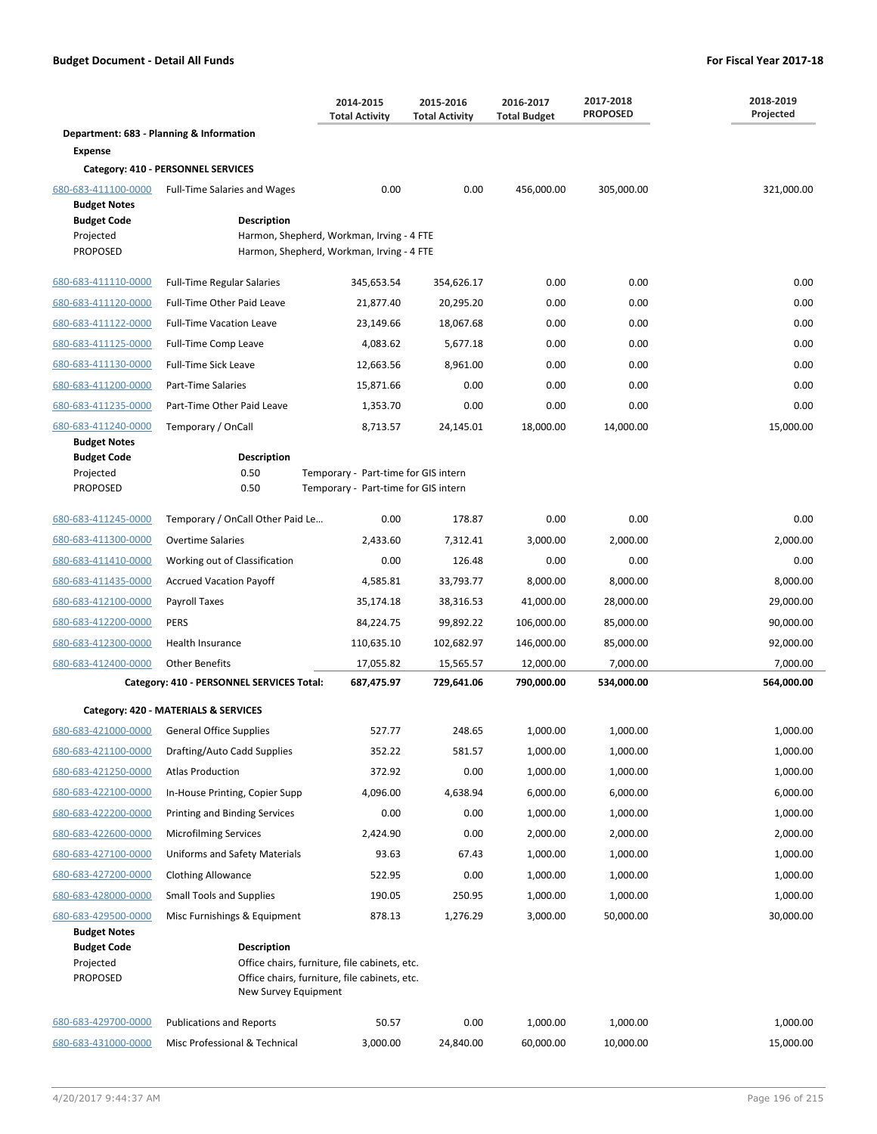|                                                    |                                             | 2014-2015<br><b>Total Activity</b>                                                             | 2015-2016<br><b>Total Activity</b> | 2016-2017<br><b>Total Budget</b> | 2017-2018<br><b>PROPOSED</b> | 2018-2019<br>Projected |
|----------------------------------------------------|---------------------------------------------|------------------------------------------------------------------------------------------------|------------------------------------|----------------------------------|------------------------------|------------------------|
|                                                    | Department: 683 - Planning & Information    |                                                                                                |                                    |                                  |                              |                        |
| <b>Expense</b>                                     |                                             |                                                                                                |                                    |                                  |                              |                        |
| 680-683-411100-0000                                | Category: 410 - PERSONNEL SERVICES          | 0.00                                                                                           | 0.00                               |                                  |                              | 321,000.00             |
| <b>Budget Notes</b>                                | <b>Full-Time Salaries and Wages</b>         |                                                                                                |                                    | 456,000.00                       | 305,000.00                   |                        |
| <b>Budget Code</b><br>Projected<br><b>PROPOSED</b> | <b>Description</b>                          | Harmon, Shepherd, Workman, Irving - 4 FTE<br>Harmon, Shepherd, Workman, Irving - 4 FTE         |                                    |                                  |                              |                        |
| 680-683-411110-0000                                | <b>Full-Time Regular Salaries</b>           | 345,653.54                                                                                     | 354,626.17                         | 0.00                             | 0.00                         | 0.00                   |
| 680-683-411120-0000                                | Full-Time Other Paid Leave                  | 21,877.40                                                                                      | 20,295.20                          | 0.00                             | 0.00                         | 0.00                   |
| 680-683-411122-0000                                | <b>Full-Time Vacation Leave</b>             | 23,149.66                                                                                      | 18,067.68                          | 0.00                             | 0.00                         | 0.00                   |
| 680-683-411125-0000                                | Full-Time Comp Leave                        | 4,083.62                                                                                       | 5,677.18                           | 0.00                             | 0.00                         | 0.00                   |
| 680-683-411130-0000                                | Full-Time Sick Leave                        | 12,663.56                                                                                      | 8,961.00                           | 0.00                             | 0.00                         | 0.00                   |
| 680-683-411200-0000                                | <b>Part-Time Salaries</b>                   | 15,871.66                                                                                      | 0.00                               | 0.00                             | 0.00                         | 0.00                   |
| 680-683-411235-0000                                | Part-Time Other Paid Leave                  | 1,353.70                                                                                       | 0.00                               | 0.00                             | 0.00                         | 0.00                   |
| 680-683-411240-0000                                | Temporary / OnCall                          | 8,713.57                                                                                       | 24,145.01                          | 18,000.00                        | 14,000.00                    | 15,000.00              |
| <b>Budget Notes</b>                                |                                             |                                                                                                |                                    |                                  |                              |                        |
| <b>Budget Code</b><br>Projected<br><b>PROPOSED</b> | <b>Description</b><br>0.50<br>0.50          | Temporary - Part-time for GIS intern<br>Temporary - Part-time for GIS intern                   |                                    |                                  |                              |                        |
| 680-683-411245-0000                                | Temporary / OnCall Other Paid Le            | 0.00                                                                                           | 178.87                             | 0.00                             | 0.00                         | 0.00                   |
| 680-683-411300-0000                                | <b>Overtime Salaries</b>                    | 2,433.60                                                                                       | 7,312.41                           | 3,000.00                         | 2,000.00                     | 2,000.00               |
| 680-683-411410-0000                                | Working out of Classification               | 0.00                                                                                           | 126.48                             | 0.00                             | 0.00                         | 0.00                   |
| 680-683-411435-0000                                | <b>Accrued Vacation Payoff</b>              | 4,585.81                                                                                       | 33,793.77                          | 8,000.00                         | 8,000.00                     | 8,000.00               |
| 680-683-412100-0000                                | Payroll Taxes                               | 35,174.18                                                                                      | 38,316.53                          | 41,000.00                        | 28,000.00                    | 29,000.00              |
| 680-683-412200-0000                                | PERS                                        | 84,224.75                                                                                      | 99,892.22                          | 106,000.00                       | 85,000.00                    | 90,000.00              |
| 680-683-412300-0000                                | Health Insurance                            | 110,635.10                                                                                     | 102,682.97                         | 146,000.00                       | 85,000.00                    | 92,000.00              |
| 680-683-412400-0000                                | <b>Other Benefits</b>                       | 17,055.82                                                                                      | 15,565.57                          | 12,000.00                        | 7,000.00                     | 7,000.00               |
|                                                    | Category: 410 - PERSONNEL SERVICES Total:   | 687,475.97                                                                                     | 729,641.06                         | 790,000.00                       | 534,000.00                   | 564,000.00             |
|                                                    | Category: 420 - MATERIALS & SERVICES        |                                                                                                |                                    |                                  |                              |                        |
|                                                    | 680-683-421000-0000 General Office Supplies | 527.77                                                                                         | 248.65                             | 1,000.00                         | 1,000.00                     | 1,000.00               |
| 680-683-421100-0000                                | Drafting/Auto Cadd Supplies                 | 352.22                                                                                         | 581.57                             | 1,000.00                         | 1,000.00                     | 1,000.00               |
| 680-683-421250-0000                                | <b>Atlas Production</b>                     | 372.92                                                                                         | 0.00                               | 1,000.00                         | 1,000.00                     | 1,000.00               |
| 680-683-422100-0000                                | In-House Printing, Copier Supp              | 4,096.00                                                                                       | 4,638.94                           | 6,000.00                         | 6,000.00                     | 6,000.00               |
| 680-683-422200-0000                                | Printing and Binding Services               | 0.00                                                                                           | 0.00                               | 1,000.00                         | 1,000.00                     | 1,000.00               |
| 680-683-422600-0000                                | <b>Microfilming Services</b>                | 2,424.90                                                                                       | 0.00                               | 2,000.00                         | 2,000.00                     | 2,000.00               |
| 680-683-427100-0000                                | Uniforms and Safety Materials               | 93.63                                                                                          | 67.43                              | 1,000.00                         | 1,000.00                     | 1,000.00               |
| 680-683-427200-0000                                | <b>Clothing Allowance</b>                   | 522.95                                                                                         | 0.00                               | 1,000.00                         | 1,000.00                     | 1,000.00               |
| 680-683-428000-0000                                | <b>Small Tools and Supplies</b>             | 190.05                                                                                         | 250.95                             | 1,000.00                         | 1,000.00                     | 1,000.00               |
| 680-683-429500-0000<br><b>Budget Notes</b>         | Misc Furnishings & Equipment                | 878.13                                                                                         | 1,276.29                           | 3,000.00                         | 50,000.00                    | 30,000.00              |
| <b>Budget Code</b><br>Projected<br><b>PROPOSED</b> | <b>Description</b><br>New Survey Equipment  | Office chairs, furniture, file cabinets, etc.<br>Office chairs, furniture, file cabinets, etc. |                                    |                                  |                              |                        |
| 680-683-429700-0000                                | <b>Publications and Reports</b>             | 50.57                                                                                          | 0.00                               | 1,000.00                         | 1,000.00                     | 1,000.00               |
| 680-683-431000-0000                                | Misc Professional & Technical               | 3,000.00                                                                                       | 24,840.00                          | 60,000.00                        | 10,000.00                    | 15,000.00              |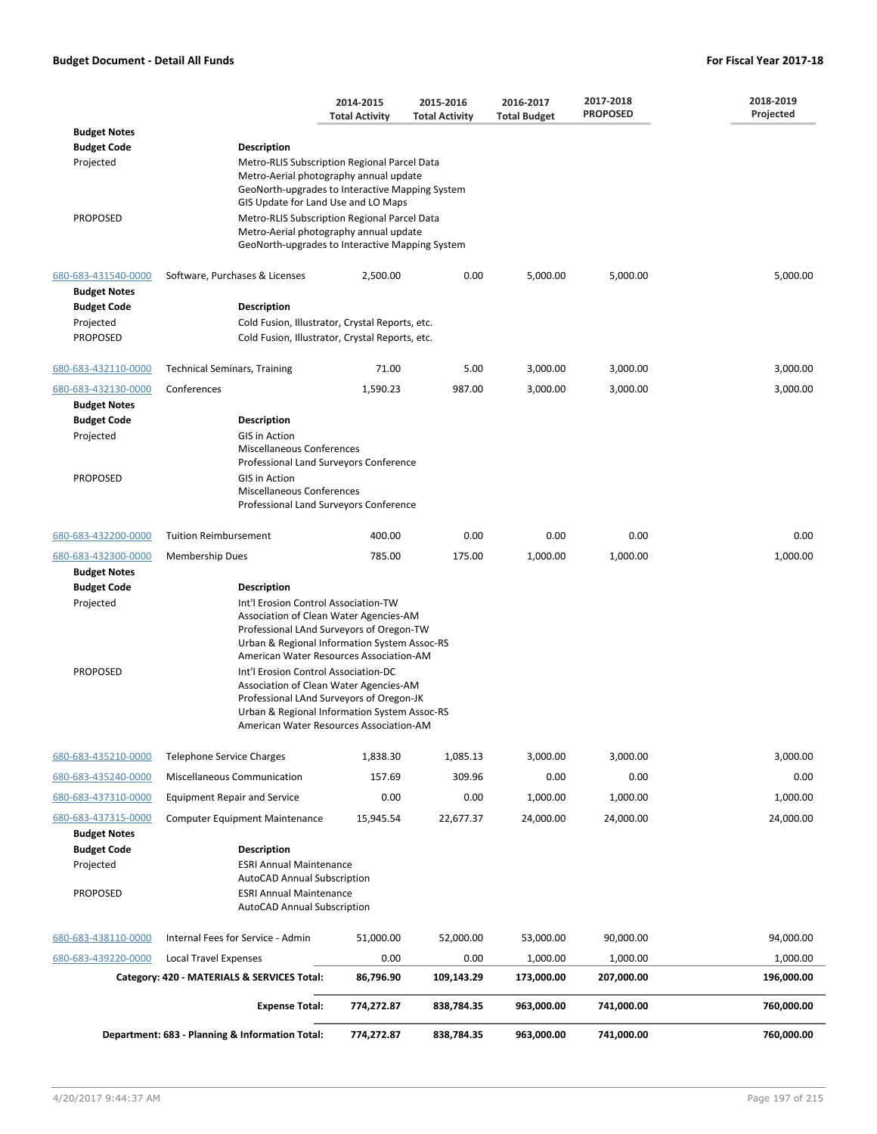|                                                                                                  |                                                                                                                                                                                                                  | 2014-2015<br><b>Total Activity</b>                                                                                                                                                                                                                                                                                                                                                                                                                                                                     | 2015-2016<br><b>Total Activity</b> | 2016-2017<br><b>Total Budget</b> | 2017-2018<br><b>PROPOSED</b> | 2018-2019<br>Projected |  |  |
|--------------------------------------------------------------------------------------------------|------------------------------------------------------------------------------------------------------------------------------------------------------------------------------------------------------------------|--------------------------------------------------------------------------------------------------------------------------------------------------------------------------------------------------------------------------------------------------------------------------------------------------------------------------------------------------------------------------------------------------------------------------------------------------------------------------------------------------------|------------------------------------|----------------------------------|------------------------------|------------------------|--|--|
| <b>Budget Notes</b>                                                                              |                                                                                                                                                                                                                  |                                                                                                                                                                                                                                                                                                                                                                                                                                                                                                        |                                    |                                  |                              |                        |  |  |
| <b>Budget Code</b><br>Projected<br><b>PROPOSED</b>                                               | Description                                                                                                                                                                                                      | Metro-RLIS Subscription Regional Parcel Data<br>Metro-Aerial photography annual update<br>GeoNorth-upgrades to Interactive Mapping System<br>GIS Update for Land Use and LO Maps<br>Metro-RLIS Subscription Regional Parcel Data<br>Metro-Aerial photography annual update<br>GeoNorth-upgrades to Interactive Mapping System                                                                                                                                                                          |                                    |                                  |                              |                        |  |  |
| 680-683-431540-0000<br><b>Budget Notes</b><br><b>Budget Code</b><br>Projected<br><b>PROPOSED</b> | Software, Purchases & Licenses<br>Description<br>Cold Fusion, Illustrator, Crystal Reports, etc.<br>Cold Fusion, Illustrator, Crystal Reports, etc.                                                              | 2,500.00                                                                                                                                                                                                                                                                                                                                                                                                                                                                                               | 0.00                               | 5,000.00                         | 5,000.00                     | 5,000.00               |  |  |
|                                                                                                  |                                                                                                                                                                                                                  |                                                                                                                                                                                                                                                                                                                                                                                                                                                                                                        |                                    |                                  |                              |                        |  |  |
| 680-683-432110-0000                                                                              | <b>Technical Seminars, Training</b>                                                                                                                                                                              | 71.00                                                                                                                                                                                                                                                                                                                                                                                                                                                                                                  | 5.00                               | 3,000.00                         | 3,000.00                     | 3,000.00               |  |  |
| 680-683-432130-0000<br><b>Budget Notes</b>                                                       | Conferences                                                                                                                                                                                                      | 1,590.23                                                                                                                                                                                                                                                                                                                                                                                                                                                                                               | 987.00                             | 3,000.00                         | 3,000.00                     | 3,000.00               |  |  |
| <b>Budget Code</b><br>Projected<br><b>PROPOSED</b>                                               | Description<br>GIS in Action<br><b>Miscellaneous Conferences</b><br>Professional Land Surveyors Conference<br><b>GIS in Action</b><br><b>Miscellaneous Conferences</b><br>Professional Land Surveyors Conference |                                                                                                                                                                                                                                                                                                                                                                                                                                                                                                        |                                    |                                  |                              |                        |  |  |
| 680-683-432200-0000                                                                              | <b>Tuition Reimbursement</b>                                                                                                                                                                                     | 400.00                                                                                                                                                                                                                                                                                                                                                                                                                                                                                                 | 0.00                               | 0.00                             | 0.00                         | 0.00                   |  |  |
| 680-683-432300-0000<br><b>Budget Notes</b><br><b>Budget Code</b><br>Projected<br><b>PROPOSED</b> | <b>Membership Dues</b><br><b>Description</b>                                                                                                                                                                     | 785.00<br>175.00<br>1,000.00<br>1,000.00<br>1,000.00<br>Int'l Erosion Control Association-TW<br>Association of Clean Water Agencies-AM<br>Professional LAnd Surveyors of Oregon-TW<br>Urban & Regional Information System Assoc-RS<br>American Water Resources Association-AM<br>Int'l Erosion Control Association-DC<br>Association of Clean Water Agencies-AM<br>Professional LAnd Surveyors of Oregon-JK<br>Urban & Regional Information System Assoc-RS<br>American Water Resources Association-AM |                                    |                                  |                              |                        |  |  |
| 680-683-435210-0000                                                                              | <b>Telephone Service Charges</b>                                                                                                                                                                                 | 1,838.30                                                                                                                                                                                                                                                                                                                                                                                                                                                                                               | 1,085.13                           | 3,000.00                         | 3,000.00                     | 3,000.00               |  |  |
| 680-683-435240-0000                                                                              | Miscellaneous Communication                                                                                                                                                                                      | 157.69                                                                                                                                                                                                                                                                                                                                                                                                                                                                                                 | 309.96                             | 0.00                             | 0.00                         | 0.00                   |  |  |
| 680-683-437310-0000                                                                              | <b>Equipment Repair and Service</b>                                                                                                                                                                              | 0.00                                                                                                                                                                                                                                                                                                                                                                                                                                                                                                   | 0.00                               | 1,000.00                         | 1,000.00                     | 1,000.00               |  |  |
| 680-683-437315-0000<br><b>Budget Notes</b><br><b>Budget Code</b><br>Projected<br>PROPOSED        | <b>Computer Equipment Maintenance</b><br><b>Description</b>                                                                                                                                                      | 15,945.54<br>22,677.37<br><b>ESRI Annual Maintenance</b><br><b>AutoCAD Annual Subscription</b><br><b>ESRI Annual Maintenance</b><br><b>AutoCAD Annual Subscription</b>                                                                                                                                                                                                                                                                                                                                 |                                    |                                  |                              | 24,000.00              |  |  |
| 680-683-438110-0000                                                                              | Internal Fees for Service - Admin                                                                                                                                                                                | 51,000.00                                                                                                                                                                                                                                                                                                                                                                                                                                                                                              | 52,000.00                          | 53,000.00                        | 90,000.00                    | 94,000.00              |  |  |
| 680-683-439220-0000                                                                              | <b>Local Travel Expenses</b>                                                                                                                                                                                     | 0.00                                                                                                                                                                                                                                                                                                                                                                                                                                                                                                   | 0.00                               | 1,000.00                         | 1,000.00                     | 1,000.00               |  |  |
|                                                                                                  | Category: 420 - MATERIALS & SERVICES Total:                                                                                                                                                                      | 86,796.90                                                                                                                                                                                                                                                                                                                                                                                                                                                                                              | 109,143.29                         | 173,000.00                       | 207,000.00                   | 196,000.00             |  |  |
|                                                                                                  | <b>Expense Total:</b>                                                                                                                                                                                            | 774,272.87                                                                                                                                                                                                                                                                                                                                                                                                                                                                                             | 838,784.35                         | 963,000.00                       | 741,000.00                   | 760,000.00             |  |  |
|                                                                                                  | Department: 683 - Planning & Information Total:                                                                                                                                                                  | 774,272.87                                                                                                                                                                                                                                                                                                                                                                                                                                                                                             | 838,784.35                         | 963,000.00                       | 741,000.00                   | 760,000.00             |  |  |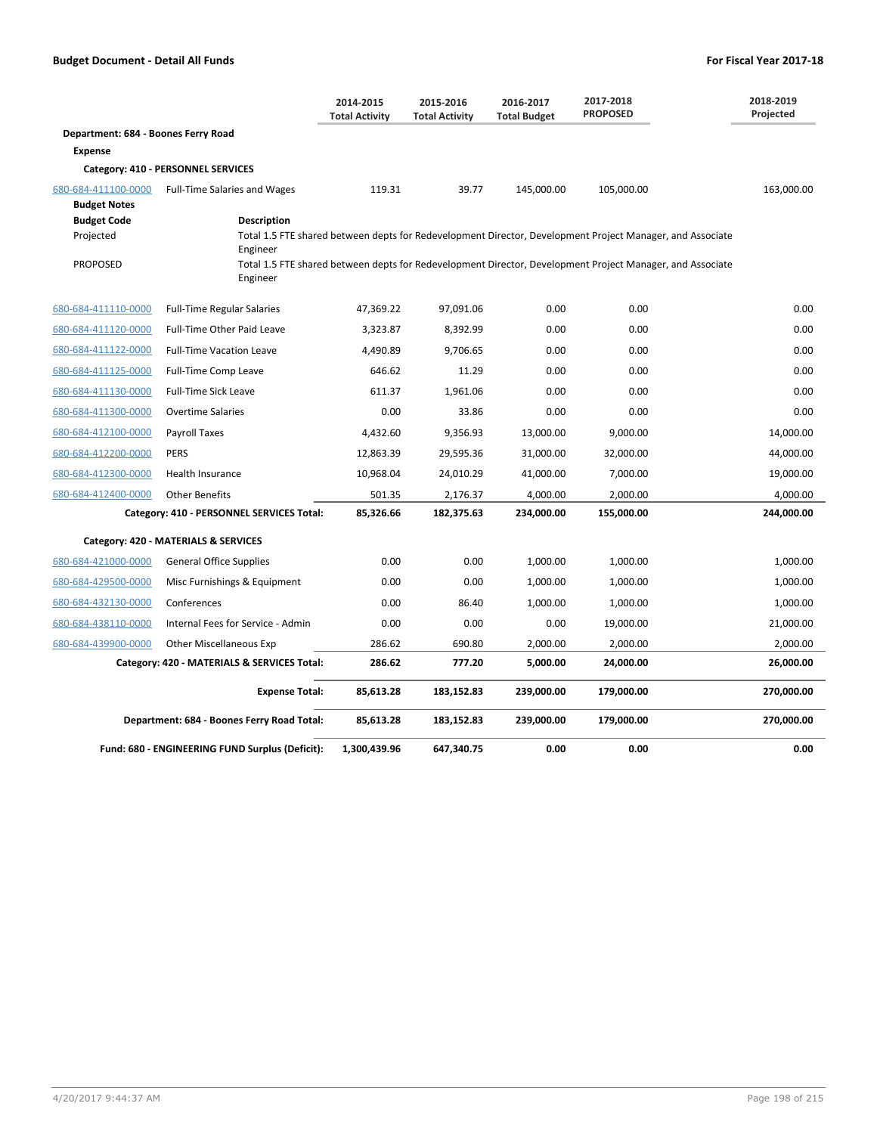|                                            |                                                                                                                       | 2014-2015<br><b>Total Activity</b> | 2015-2016<br><b>Total Activity</b> | 2016-2017<br><b>Total Budget</b> | 2017-2018<br><b>PROPOSED</b>                                                                              | 2018-2019<br>Projected |
|--------------------------------------------|-----------------------------------------------------------------------------------------------------------------------|------------------------------------|------------------------------------|----------------------------------|-----------------------------------------------------------------------------------------------------------|------------------------|
| Department: 684 - Boones Ferry Road        |                                                                                                                       |                                    |                                    |                                  |                                                                                                           |                        |
| <b>Expense</b>                             |                                                                                                                       |                                    |                                    |                                  |                                                                                                           |                        |
|                                            | Category: 410 - PERSONNEL SERVICES                                                                                    |                                    |                                    |                                  |                                                                                                           |                        |
| 680-684-411100-0000<br><b>Budget Notes</b> | <b>Full-Time Salaries and Wages</b>                                                                                   | 119.31                             | 39.77                              | 145,000.00                       | 105,000.00                                                                                                | 163,000.00             |
| <b>Budget Code</b>                         | <b>Description</b>                                                                                                    |                                    |                                    |                                  |                                                                                                           |                        |
| Projected                                  | Engineer                                                                                                              |                                    |                                    |                                  | Total 1.5 FTE shared between depts for Redevelopment Director, Development Project Manager, and Associate |                        |
| <b>PROPOSED</b>                            | Total 1.5 FTE shared between depts for Redevelopment Director, Development Project Manager, and Associate<br>Engineer |                                    |                                    |                                  |                                                                                                           |                        |
| 680-684-411110-0000                        | <b>Full-Time Regular Salaries</b>                                                                                     | 47,369.22                          | 97,091.06                          | 0.00                             | 0.00                                                                                                      | 0.00                   |
| 680-684-411120-0000                        | Full-Time Other Paid Leave                                                                                            | 3,323.87                           | 8,392.99                           | 0.00                             | 0.00                                                                                                      | 0.00                   |
| 680-684-411122-0000                        | <b>Full-Time Vacation Leave</b>                                                                                       | 4,490.89                           | 9,706.65                           | 0.00                             | 0.00                                                                                                      | 0.00                   |
| 680-684-411125-0000                        | Full-Time Comp Leave                                                                                                  | 646.62                             | 11.29                              | 0.00                             | 0.00                                                                                                      | 0.00                   |
| 680-684-411130-0000                        | <b>Full-Time Sick Leave</b>                                                                                           | 611.37                             | 1,961.06                           | 0.00                             | 0.00                                                                                                      | 0.00                   |
| 680-684-411300-0000                        | <b>Overtime Salaries</b>                                                                                              | 0.00                               | 33.86                              | 0.00                             | 0.00                                                                                                      | 0.00                   |
| 680-684-412100-0000                        | Payroll Taxes                                                                                                         | 4,432.60                           | 9,356.93                           | 13,000.00                        | 9,000.00                                                                                                  | 14,000.00              |
| 680-684-412200-0000                        | <b>PERS</b>                                                                                                           | 12,863.39                          | 29,595.36                          | 31,000.00                        | 32,000.00                                                                                                 | 44,000.00              |
| 680-684-412300-0000                        | <b>Health Insurance</b>                                                                                               | 10,968.04                          | 24,010.29                          | 41,000.00                        | 7,000.00                                                                                                  | 19,000.00              |
| 680-684-412400-0000                        | <b>Other Benefits</b>                                                                                                 | 501.35                             | 2,176.37                           | 4,000.00                         | 2,000.00                                                                                                  | 4,000.00               |
|                                            | Category: 410 - PERSONNEL SERVICES Total:                                                                             | 85,326.66                          | 182,375.63                         | 234,000.00                       | 155,000.00                                                                                                | 244,000.00             |
|                                            | Category: 420 - MATERIALS & SERVICES                                                                                  |                                    |                                    |                                  |                                                                                                           |                        |
| 680-684-421000-0000                        | <b>General Office Supplies</b>                                                                                        | 0.00                               | 0.00                               | 1,000.00                         | 1,000.00                                                                                                  | 1,000.00               |
| 680-684-429500-0000                        | Misc Furnishings & Equipment                                                                                          | 0.00                               | 0.00                               | 1,000.00                         | 1,000.00                                                                                                  | 1,000.00               |
| 680-684-432130-0000                        | Conferences                                                                                                           | 0.00                               | 86.40                              | 1,000.00                         | 1,000.00                                                                                                  | 1,000.00               |
| 680-684-438110-0000                        | Internal Fees for Service - Admin                                                                                     | 0.00                               | 0.00                               | 0.00                             | 19,000.00                                                                                                 | 21,000.00              |
| 680-684-439900-0000                        | <b>Other Miscellaneous Exp</b>                                                                                        | 286.62                             | 690.80                             | 2,000.00                         | 2,000.00                                                                                                  | 2,000.00               |
|                                            | Category: 420 - MATERIALS & SERVICES Total:                                                                           | 286.62                             | 777.20                             | 5,000.00                         | 24,000.00                                                                                                 | 26,000.00              |
|                                            | <b>Expense Total:</b>                                                                                                 | 85,613.28                          | 183,152.83                         | 239,000.00                       | 179,000.00                                                                                                | 270,000.00             |
|                                            | Department: 684 - Boones Ferry Road Total:                                                                            | 85,613.28                          | 183,152.83                         | 239,000.00                       | 179,000.00                                                                                                | 270,000.00             |
|                                            | Fund: 680 - ENGINEERING FUND Surplus (Deficit):                                                                       | 1,300,439.96                       | 647.340.75                         | 0.00                             | 0.00                                                                                                      | 0.00                   |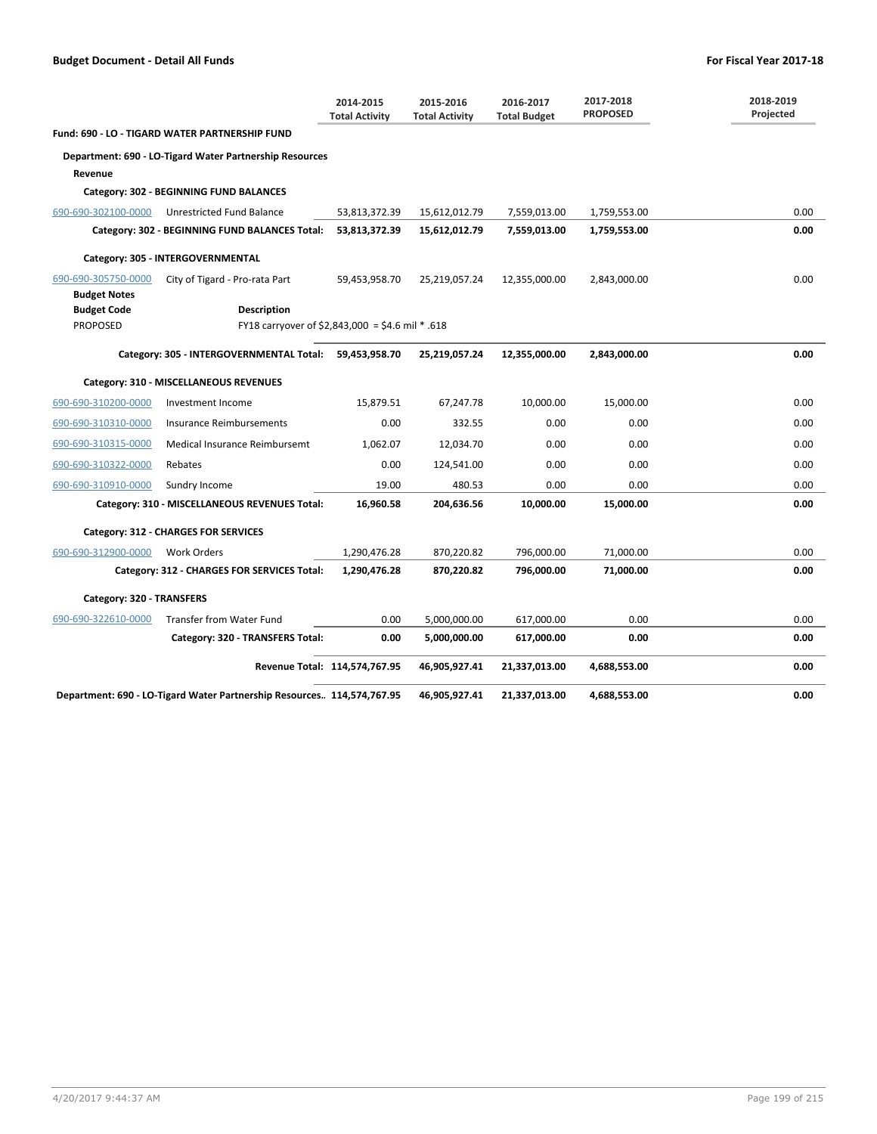|                                            |                                                                         | 2014-2015<br><b>Total Activity</b> | 2015-2016<br><b>Total Activity</b> | 2016-2017<br><b>Total Budget</b> | 2017-2018<br><b>PROPOSED</b> | 2018-2019<br>Projected |
|--------------------------------------------|-------------------------------------------------------------------------|------------------------------------|------------------------------------|----------------------------------|------------------------------|------------------------|
|                                            | <b>Fund: 690 - LO - TIGARD WATER PARTNERSHIP FUND</b>                   |                                    |                                    |                                  |                              |                        |
|                                            | Department: 690 - LO-Tigard Water Partnership Resources                 |                                    |                                    |                                  |                              |                        |
| Revenue                                    |                                                                         |                                    |                                    |                                  |                              |                        |
|                                            | Category: 302 - BEGINNING FUND BALANCES                                 |                                    |                                    |                                  |                              |                        |
| 690-690-302100-0000                        | Unrestricted Fund Balance                                               | 53,813,372.39                      | 15,612,012.79                      | 7,559,013.00                     | 1,759,553.00                 | 0.00                   |
|                                            | Category: 302 - BEGINNING FUND BALANCES Total:                          | 53,813,372.39                      | 15,612,012.79                      | 7,559,013.00                     | 1,759,553.00                 | 0.00                   |
|                                            | Category: 305 - INTERGOVERNMENTAL                                       |                                    |                                    |                                  |                              |                        |
| 690-690-305750-0000<br><b>Budget Notes</b> | City of Tigard - Pro-rata Part                                          | 59,453,958.70                      | 25,219,057.24                      | 12,355,000.00                    | 2,843,000.00                 | 0.00                   |
| <b>Budget Code</b>                         | <b>Description</b>                                                      |                                    |                                    |                                  |                              |                        |
| <b>PROPOSED</b>                            | FY18 carryover of \$2,843,000 = \$4.6 mil $*$ .618                      |                                    |                                    |                                  |                              |                        |
|                                            | Category: 305 - INTERGOVERNMENTAL Total: 59,453,958.70                  |                                    | 25,219,057.24                      | 12,355,000.00                    | 2,843,000.00                 | 0.00                   |
|                                            | Category: 310 - MISCELLANEOUS REVENUES                                  |                                    |                                    |                                  |                              |                        |
| 690-690-310200-0000                        | Investment Income                                                       | 15,879.51                          | 67,247.78                          | 10,000.00                        | 15,000.00                    | 0.00                   |
| 690-690-310310-0000                        | Insurance Reimbursements                                                | 0.00                               | 332.55                             | 0.00                             | 0.00                         | 0.00                   |
| 690-690-310315-0000                        | Medical Insurance Reimbursemt                                           | 1,062.07                           | 12,034.70                          | 0.00                             | 0.00                         | 0.00                   |
| 690-690-310322-0000                        | Rebates                                                                 | 0.00                               | 124,541.00                         | 0.00                             | 0.00                         | 0.00                   |
| 690-690-310910-0000                        | Sundry Income                                                           | 19.00                              | 480.53                             | 0.00                             | 0.00                         | 0.00                   |
|                                            | Category: 310 - MISCELLANEOUS REVENUES Total:                           | 16,960.58                          | 204,636.56                         | 10,000.00                        | 15,000.00                    | 0.00                   |
|                                            | Category: 312 - CHARGES FOR SERVICES                                    |                                    |                                    |                                  |                              |                        |
| 690-690-312900-0000                        | Work Orders                                                             | 1,290,476.28                       | 870,220.82                         | 796,000.00                       | 71,000.00                    | 0.00                   |
|                                            | Category: 312 - CHARGES FOR SERVICES Total:                             | 1,290,476.28                       | 870,220.82                         | 796,000.00                       | 71,000.00                    | 0.00                   |
| Category: 320 - TRANSFERS                  |                                                                         |                                    |                                    |                                  |                              |                        |
| 690-690-322610-0000                        | Transfer from Water Fund                                                | 0.00                               | 5,000,000.00                       | 617,000.00                       | 0.00                         | 0.00                   |
|                                            | Category: 320 - TRANSFERS Total:                                        | 0.00                               | 5,000,000.00                       | 617,000.00                       | 0.00                         | 0.00                   |
|                                            | Revenue Total: 114,574,767.95                                           |                                    | 46,905,927.41                      | 21,337,013.00                    | 4,688,553.00                 | 0.00                   |
|                                            | Department: 690 - LO-Tigard Water Partnership Resources. 114,574,767.95 |                                    | 46,905,927.41                      | 21,337,013.00                    | 4,688,553.00                 | 0.00                   |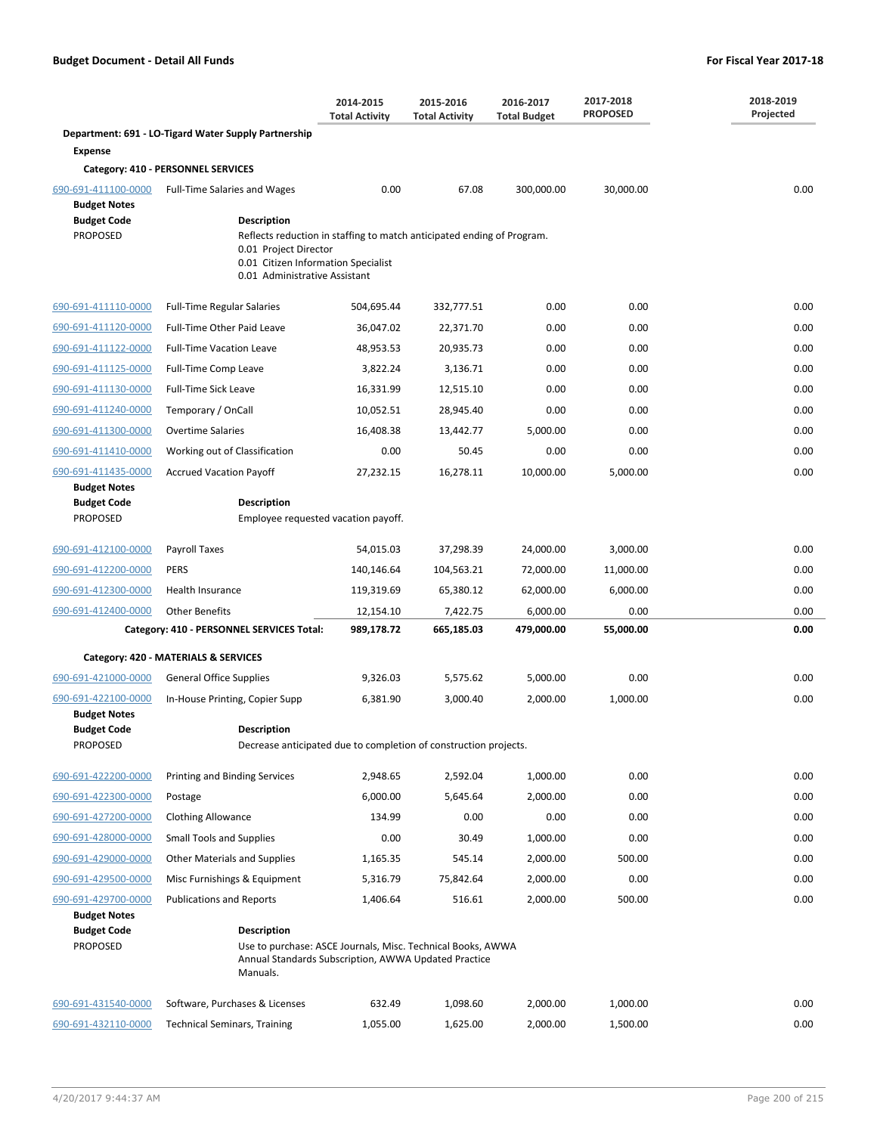|                                                              |                                                                                                                                                                         | 2014-2015<br><b>Total Activity</b> | 2015-2016<br><b>Total Activity</b> | 2016-2017<br><b>Total Budget</b> | 2017-2018<br><b>PROPOSED</b> | 2018-2019<br>Projected |  |
|--------------------------------------------------------------|-------------------------------------------------------------------------------------------------------------------------------------------------------------------------|------------------------------------|------------------------------------|----------------------------------|------------------------------|------------------------|--|
|                                                              | Department: 691 - LO-Tigard Water Supply Partnership                                                                                                                    |                                    |                                    |                                  |                              |                        |  |
| <b>Expense</b>                                               |                                                                                                                                                                         |                                    |                                    |                                  |                              |                        |  |
|                                                              | Category: 410 - PERSONNEL SERVICES                                                                                                                                      |                                    |                                    |                                  |                              |                        |  |
| 690-691-411100-0000<br><b>Budget Notes</b>                   | <b>Full-Time Salaries and Wages</b>                                                                                                                                     | 0.00                               | 67.08                              | 300,000.00                       | 30,000.00                    | 0.00                   |  |
| <b>Budget Code</b>                                           | <b>Description</b>                                                                                                                                                      |                                    |                                    |                                  |                              |                        |  |
| <b>PROPOSED</b>                                              | Reflects reduction in staffing to match anticipated ending of Program.<br>0.01 Project Director<br>0.01 Citizen Information Specialist<br>0.01 Administrative Assistant |                                    |                                    |                                  |                              |                        |  |
| 690-691-411110-0000                                          | <b>Full-Time Regular Salaries</b>                                                                                                                                       | 504,695.44                         | 332,777.51                         | 0.00                             | 0.00                         | 0.00                   |  |
| 690-691-411120-0000                                          | Full-Time Other Paid Leave                                                                                                                                              | 36,047.02                          | 22,371.70                          | 0.00                             | 0.00                         | 0.00                   |  |
| 690-691-411122-0000                                          | <b>Full-Time Vacation Leave</b>                                                                                                                                         | 48,953.53                          | 20,935.73                          | 0.00                             | 0.00                         | 0.00                   |  |
| 690-691-411125-0000                                          | Full-Time Comp Leave                                                                                                                                                    | 3,822.24                           | 3,136.71                           | 0.00                             | 0.00                         | 0.00                   |  |
| 690-691-411130-0000                                          | <b>Full-Time Sick Leave</b>                                                                                                                                             | 16,331.99                          | 12,515.10                          | 0.00                             | 0.00                         | 0.00                   |  |
| 690-691-411240-0000                                          | Temporary / OnCall                                                                                                                                                      | 10,052.51                          | 28,945.40                          | 0.00                             | 0.00                         | 0.00                   |  |
| 690-691-411300-0000                                          | <b>Overtime Salaries</b>                                                                                                                                                | 16,408.38                          | 13,442.77                          | 5,000.00                         | 0.00                         | 0.00                   |  |
| 690-691-411410-0000                                          | Working out of Classification                                                                                                                                           | 0.00                               | 50.45                              | 0.00                             | 0.00                         | 0.00                   |  |
| 690-691-411435-0000                                          | <b>Accrued Vacation Payoff</b>                                                                                                                                          | 27,232.15                          | 16,278.11                          | 10,000.00                        | 5,000.00                     | 0.00                   |  |
| <b>Budget Notes</b><br><b>Budget Code</b>                    | <b>Description</b>                                                                                                                                                      |                                    |                                    |                                  |                              |                        |  |
| <b>PROPOSED</b>                                              | Employee requested vacation payoff.                                                                                                                                     |                                    |                                    |                                  |                              |                        |  |
| 690-691-412100-0000                                          | Payroll Taxes                                                                                                                                                           | 54,015.03                          | 37,298.39                          | 24,000.00                        | 3,000.00                     | 0.00                   |  |
| 690-691-412200-0000                                          | <b>PERS</b>                                                                                                                                                             | 140,146.64                         | 104,563.21                         | 72,000.00                        | 11,000.00                    | 0.00                   |  |
| 690-691-412300-0000                                          | Health Insurance                                                                                                                                                        | 119,319.69                         | 65,380.12                          | 62,000.00                        | 6,000.00                     | 0.00                   |  |
| 690-691-412400-0000                                          | <b>Other Benefits</b>                                                                                                                                                   | 12,154.10                          | 7,422.75                           | 6,000.00                         | 0.00                         | 0.00                   |  |
|                                                              | Category: 410 - PERSONNEL SERVICES Total:                                                                                                                               | 989,178.72                         | 665,185.03                         | 479,000.00                       | 55,000.00                    | 0.00                   |  |
|                                                              | Category: 420 - MATERIALS & SERVICES                                                                                                                                    |                                    |                                    |                                  |                              |                        |  |
| 690-691-421000-0000                                          | <b>General Office Supplies</b>                                                                                                                                          | 9,326.03                           | 5,575.62                           | 5,000.00                         | 0.00                         | 0.00                   |  |
| 690-691-422100-0000                                          | In-House Printing, Copier Supp                                                                                                                                          | 6,381.90                           | 3,000.40                           | 2,000.00                         | 1,000.00                     | 0.00                   |  |
| <b>Budget Notes</b>                                          |                                                                                                                                                                         |                                    |                                    |                                  |                              |                        |  |
| <b>Budget Code</b><br><b>PROPOSED</b>                        | Description<br>Decrease anticipated due to completion of construction projects.                                                                                         |                                    |                                    |                                  |                              |                        |  |
| 690-691-422200-0000                                          | Printing and Binding Services                                                                                                                                           | 2,948.65                           | 2,592.04                           | 1,000.00                         | 0.00                         | 0.00                   |  |
| 690-691-422300-0000                                          | Postage                                                                                                                                                                 | 6,000.00                           | 5,645.64                           | 2,000.00                         | 0.00                         | 0.00                   |  |
| 690-691-427200-0000                                          | <b>Clothing Allowance</b>                                                                                                                                               | 134.99                             | 0.00                               | 0.00                             | 0.00                         | 0.00                   |  |
| 690-691-428000-0000                                          | <b>Small Tools and Supplies</b>                                                                                                                                         | 0.00                               | 30.49                              | 1,000.00                         | 0.00                         | 0.00                   |  |
| 690-691-429000-0000                                          | <b>Other Materials and Supplies</b>                                                                                                                                     | 1,165.35                           | 545.14                             | 2,000.00                         | 500.00                       | 0.00                   |  |
| 690-691-429500-0000                                          | Misc Furnishings & Equipment                                                                                                                                            | 5,316.79                           | 75,842.64                          | 2,000.00                         | 0.00                         | 0.00                   |  |
| 690-691-429700-0000                                          | <b>Publications and Reports</b>                                                                                                                                         | 1,406.64                           | 516.61                             | 2,000.00                         | 500.00                       | 0.00                   |  |
| <b>Budget Notes</b><br><b>Budget Code</b><br><b>PROPOSED</b> | <b>Description</b><br>Use to purchase: ASCE Journals, Misc. Technical Books, AWWA<br>Annual Standards Subscription, AWWA Updated Practice<br>Manuals.                   |                                    |                                    |                                  |                              |                        |  |
| 690-691-431540-0000                                          | Software, Purchases & Licenses                                                                                                                                          | 632.49                             | 1,098.60                           | 2,000.00                         | 1,000.00                     | 0.00                   |  |
| 690-691-432110-0000                                          | <b>Technical Seminars, Training</b>                                                                                                                                     | 1,055.00                           | 1,625.00                           | 2,000.00                         | 1,500.00                     | 0.00                   |  |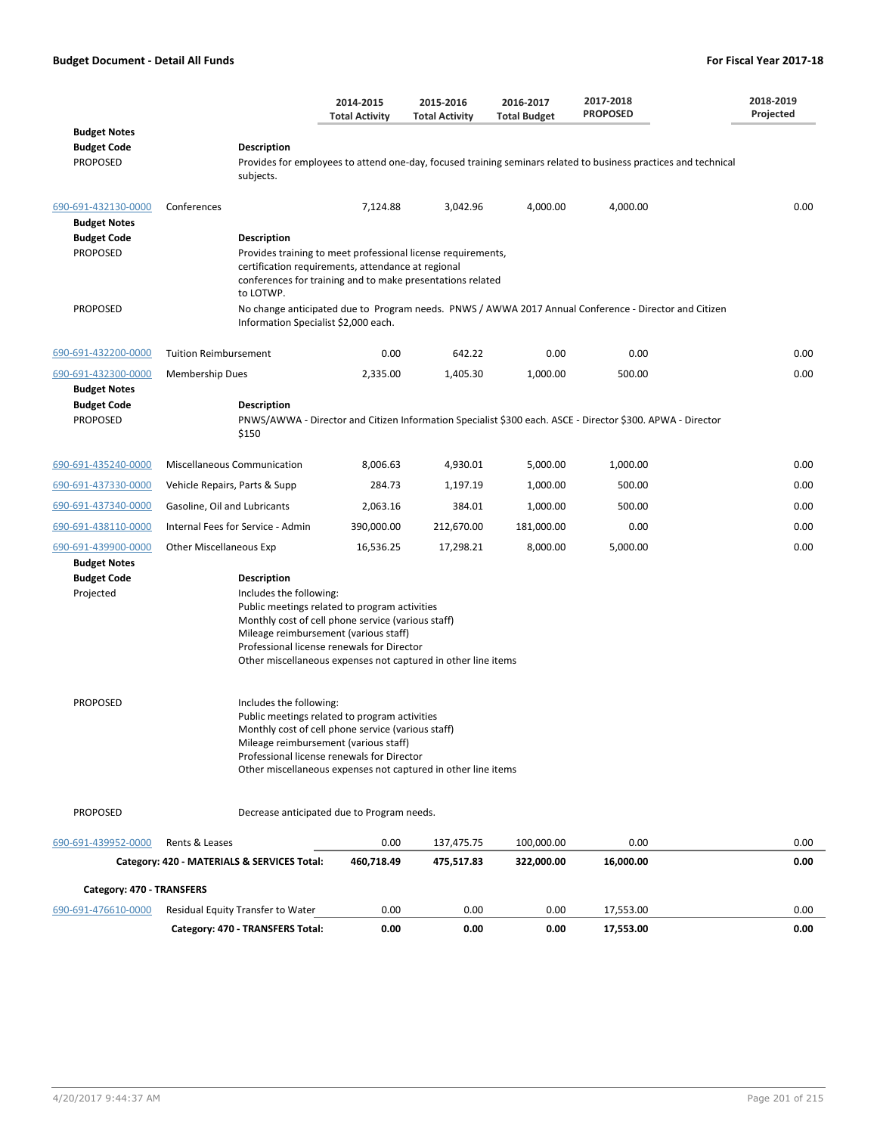|                                                              |                                                                                                                                                                                                                                                                                                              | 2014-2015<br><b>Total Activity</b>                                                                         | 2015-2016<br><b>Total Activity</b> | 2016-2017<br><b>Total Budget</b> | 2017-2018<br><b>PROPOSED</b>                                                                                    | 2018-2019<br>Projected |  |  |
|--------------------------------------------------------------|--------------------------------------------------------------------------------------------------------------------------------------------------------------------------------------------------------------------------------------------------------------------------------------------------------------|------------------------------------------------------------------------------------------------------------|------------------------------------|----------------------------------|-----------------------------------------------------------------------------------------------------------------|------------------------|--|--|
| <b>Budget Notes</b><br><b>Budget Code</b><br><b>PROPOSED</b> | <b>Description</b><br>subjects.                                                                                                                                                                                                                                                                              |                                                                                                            |                                    |                                  | Provides for employees to attend one-day, focused training seminars related to business practices and technical |                        |  |  |
| 690-691-432130-0000<br><b>Budget Notes</b>                   | Conferences                                                                                                                                                                                                                                                                                                  | 7,124.88                                                                                                   | 3,042.96                           | 4,000.00                         | 4,000.00                                                                                                        | 0.00                   |  |  |
| <b>Budget Code</b><br><b>PROPOSED</b>                        | Description<br>Provides training to meet professional license requirements,<br>certification requirements, attendance at regional<br>conferences for training and to make presentations related<br>to LOTWP.                                                                                                 |                                                                                                            |                                    |                                  |                                                                                                                 |                        |  |  |
| <b>PROPOSED</b>                                              | Information Specialist \$2,000 each.                                                                                                                                                                                                                                                                         |                                                                                                            |                                    |                                  | No change anticipated due to Program needs. PNWS / AWWA 2017 Annual Conference - Director and Citizen           |                        |  |  |
| 690-691-432200-0000                                          | <b>Tuition Reimbursement</b>                                                                                                                                                                                                                                                                                 | 0.00                                                                                                       | 642.22                             | 0.00                             | 0.00                                                                                                            | 0.00                   |  |  |
| 690-691-432300-0000                                          | <b>Membership Dues</b>                                                                                                                                                                                                                                                                                       | 2,335.00                                                                                                   | 1,405.30                           | 1,000.00                         | 500.00                                                                                                          | 0.00                   |  |  |
| <b>Budget Notes</b><br><b>Budget Code</b><br><b>PROPOSED</b> | <b>Description</b><br>\$150                                                                                                                                                                                                                                                                                  | PNWS/AWWA - Director and Citizen Information Specialist \$300 each. ASCE - Director \$300. APWA - Director |                                    |                                  |                                                                                                                 |                        |  |  |
| 690-691-435240-0000                                          | <b>Miscellaneous Communication</b>                                                                                                                                                                                                                                                                           | 8,006.63                                                                                                   | 4,930.01                           | 5,000.00                         | 1,000.00                                                                                                        | 0.00                   |  |  |
| 690-691-437330-0000                                          | Vehicle Repairs, Parts & Supp                                                                                                                                                                                                                                                                                | 284.73                                                                                                     | 1,197.19                           | 1,000.00                         | 500.00                                                                                                          | 0.00                   |  |  |
| 690-691-437340-0000                                          | Gasoline, Oil and Lubricants                                                                                                                                                                                                                                                                                 | 2,063.16                                                                                                   | 384.01                             | 1,000.00                         | 500.00                                                                                                          | 0.00                   |  |  |
| 690-691-438110-0000                                          | Internal Fees for Service - Admin                                                                                                                                                                                                                                                                            | 390,000.00                                                                                                 | 212,670.00                         | 181,000.00                       | 0.00                                                                                                            | 0.00                   |  |  |
| 690-691-439900-0000                                          | Other Miscellaneous Exp                                                                                                                                                                                                                                                                                      | 16,536.25                                                                                                  | 17,298.21                          | 8,000.00                         | 5,000.00                                                                                                        | 0.00                   |  |  |
| <b>Budget Notes</b><br><b>Budget Code</b><br>Projected       | <b>Description</b><br>Includes the following:<br>Public meetings related to program activities<br>Monthly cost of cell phone service (various staff)<br>Mileage reimbursement (various staff)<br>Professional license renewals for Director<br>Other miscellaneous expenses not captured in other line items |                                                                                                            |                                    |                                  |                                                                                                                 |                        |  |  |
| <b>PROPOSED</b>                                              | Includes the following:<br>Public meetings related to program activities<br>Monthly cost of cell phone service (various staff)<br>Mileage reimbursement (various staff)<br>Professional license renewals for Director<br>Other miscellaneous expenses not captured in other line items                       |                                                                                                            |                                    |                                  |                                                                                                                 |                        |  |  |
| <b>PROPOSED</b>                                              | Decrease anticipated due to Program needs.                                                                                                                                                                                                                                                                   |                                                                                                            |                                    |                                  |                                                                                                                 |                        |  |  |
| 690-691-439952-0000                                          | Rents & Leases                                                                                                                                                                                                                                                                                               | 0.00                                                                                                       | 137,475.75                         | 100,000.00                       | 0.00                                                                                                            | 0.00                   |  |  |
|                                                              | Category: 420 - MATERIALS & SERVICES Total:                                                                                                                                                                                                                                                                  | 460,718.49                                                                                                 | 475,517.83                         | 322,000.00                       | 16,000.00                                                                                                       | 0.00                   |  |  |
| Category: 470 - TRANSFERS                                    |                                                                                                                                                                                                                                                                                                              |                                                                                                            |                                    |                                  |                                                                                                                 |                        |  |  |
| 690-691-476610-0000                                          | Residual Equity Transfer to Water                                                                                                                                                                                                                                                                            | 0.00                                                                                                       | 0.00                               | 0.00                             | 17,553.00                                                                                                       | 0.00                   |  |  |
|                                                              | Category: 470 - TRANSFERS Total:                                                                                                                                                                                                                                                                             | 0.00                                                                                                       | 0.00                               | 0.00                             | 17,553.00                                                                                                       | 0.00                   |  |  |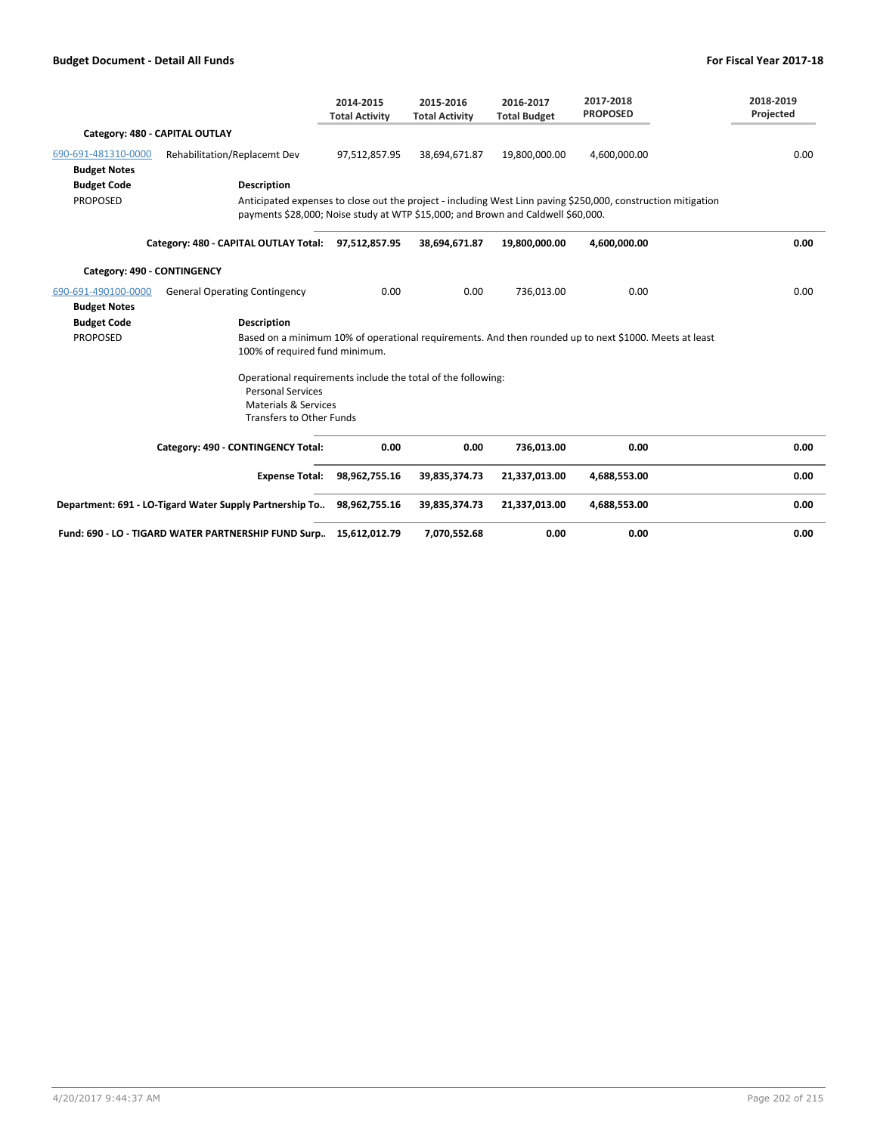|                                            |                                                                                                                                                                | 2014-2015<br><b>Total Activity</b> | 2015-2016<br><b>Total Activity</b> | 2016-2017<br><b>Total Budget</b> | 2017-2018<br><b>PROPOSED</b>                                                                                  | 2018-2019<br>Projected |
|--------------------------------------------|----------------------------------------------------------------------------------------------------------------------------------------------------------------|------------------------------------|------------------------------------|----------------------------------|---------------------------------------------------------------------------------------------------------------|------------------------|
|                                            | Category: 480 - CAPITAL OUTLAY                                                                                                                                 |                                    |                                    |                                  |                                                                                                               |                        |
| 690-691-481310-0000<br><b>Budget Notes</b> | Rehabilitation/Replacemt Dev                                                                                                                                   | 97,512,857.95                      | 38,694,671.87                      | 19,800,000.00                    | 4,600,000.00                                                                                                  | 0.00                   |
| <b>Budget Code</b>                         | <b>Description</b>                                                                                                                                             |                                    |                                    |                                  |                                                                                                               |                        |
| <b>PROPOSED</b>                            | payments \$28,000; Noise study at WTP \$15,000; and Brown and Caldwell \$60,000.                                                                               |                                    |                                    |                                  | Anticipated expenses to close out the project - including West Linn paving \$250,000, construction mitigation |                        |
|                                            | Category: 480 - CAPITAL OUTLAY Total: 97,512,857.95                                                                                                            |                                    | 38,694,671.87                      | 19,800,000.00                    | 4,600,000.00                                                                                                  | 0.00                   |
| Category: 490 - CONTINGENCY                |                                                                                                                                                                |                                    |                                    |                                  |                                                                                                               |                        |
| 690-691-490100-0000<br><b>Budget Notes</b> | <b>General Operating Contingency</b>                                                                                                                           | 0.00                               | 0.00                               | 736,013.00                       | 0.00                                                                                                          | 0.00                   |
| <b>Budget Code</b>                         | <b>Description</b>                                                                                                                                             |                                    |                                    |                                  |                                                                                                               |                        |
| <b>PROPOSED</b>                            | 100% of required fund minimum.                                                                                                                                 |                                    |                                    |                                  | Based on a minimum 10% of operational requirements. And then rounded up to next \$1000. Meets at least        |                        |
|                                            | Operational requirements include the total of the following:<br><b>Personal Services</b><br><b>Materials &amp; Services</b><br><b>Transfers to Other Funds</b> |                                    |                                    |                                  |                                                                                                               |                        |
|                                            | Category: 490 - CONTINGENCY Total:                                                                                                                             | 0.00                               | 0.00                               | 736,013.00                       | 0.00                                                                                                          | 0.00                   |
|                                            | <b>Expense Total:</b>                                                                                                                                          | 98,962,755.16                      | 39,835,374.73                      | 21,337,013.00                    | 4,688,553.00                                                                                                  | 0.00                   |
|                                            | Department: 691 - LO-Tigard Water Supply Partnership To                                                                                                        | 98,962,755.16                      | 39,835,374.73                      | 21,337,013.00                    | 4,688,553.00                                                                                                  | 0.00                   |
|                                            | Fund: 690 - LO - TIGARD WATER PARTNERSHIP FUND Surp                                                                                                            | 15,612,012.79                      | 7,070,552.68                       | 0.00                             | 0.00                                                                                                          | 0.00                   |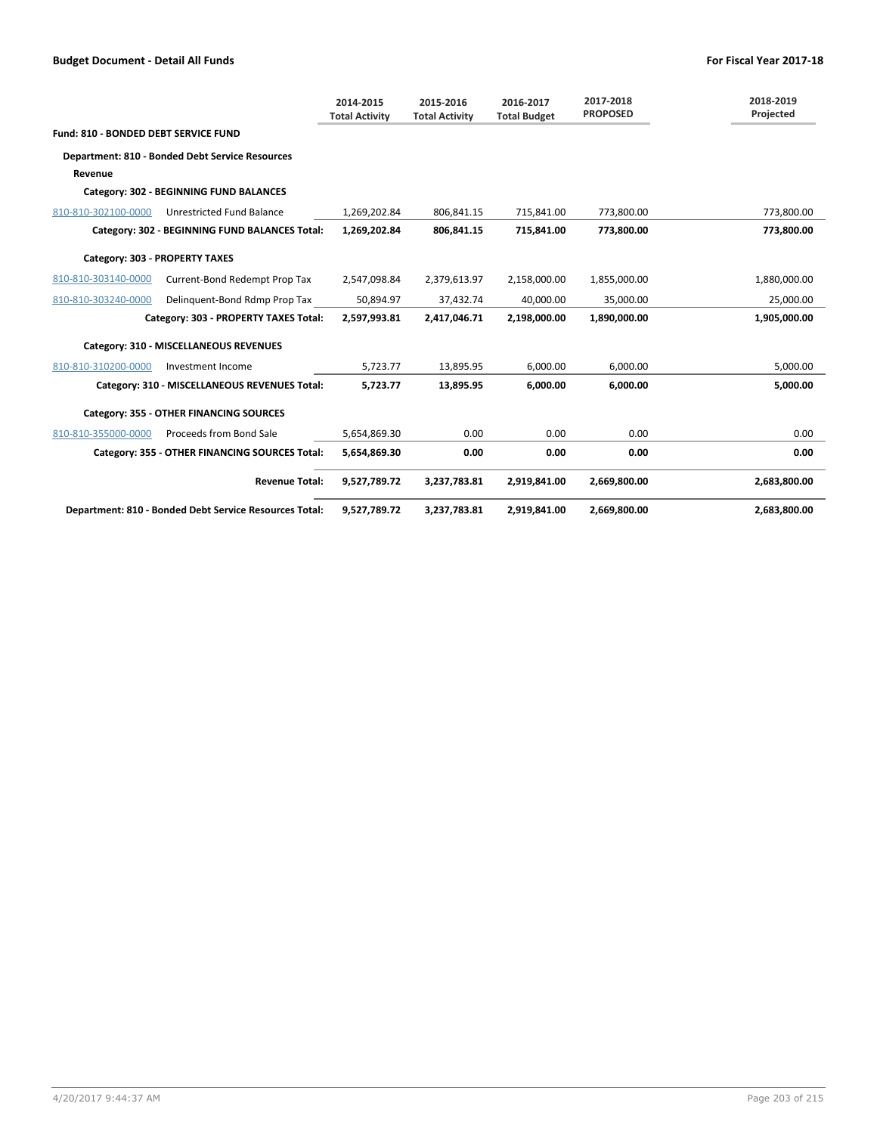|                                      |                                                        | 2014-2015<br><b>Total Activity</b> | 2015-2016<br><b>Total Activity</b> | 2016-2017<br><b>Total Budget</b> | 2017-2018<br><b>PROPOSED</b> | 2018-2019<br>Projected |
|--------------------------------------|--------------------------------------------------------|------------------------------------|------------------------------------|----------------------------------|------------------------------|------------------------|
| Fund: 810 - BONDED DEBT SERVICE FUND |                                                        |                                    |                                    |                                  |                              |                        |
|                                      | Department: 810 - Bonded Debt Service Resources        |                                    |                                    |                                  |                              |                        |
| Revenue                              |                                                        |                                    |                                    |                                  |                              |                        |
|                                      | Category: 302 - BEGINNING FUND BALANCES                |                                    |                                    |                                  |                              |                        |
| 810-810-302100-0000                  | Unrestricted Fund Balance                              | 1,269,202.84                       | 806,841.15                         | 715,841.00                       | 773,800.00                   | 773,800.00             |
|                                      | Category: 302 - BEGINNING FUND BALANCES Total:         | 1,269,202.84                       | 806,841.15                         | 715,841.00                       | 773,800.00                   | 773,800.00             |
| Category: 303 - PROPERTY TAXES       |                                                        |                                    |                                    |                                  |                              |                        |
| 810-810-303140-0000                  | Current-Bond Redempt Prop Tax                          | 2,547,098.84                       | 2,379,613.97                       | 2,158,000.00                     | 1,855,000.00                 | 1,880,000.00           |
| 810-810-303240-0000                  | Delinguent-Bond Rdmp Prop Tax                          | 50,894.97                          | 37,432.74                          | 40,000.00                        | 35,000.00                    | 25,000.00              |
|                                      | Category: 303 - PROPERTY TAXES Total:                  | 2,597,993.81                       | 2,417,046.71                       | 2,198,000.00                     | 1,890,000.00                 | 1,905,000.00           |
|                                      | Category: 310 - MISCELLANEOUS REVENUES                 |                                    |                                    |                                  |                              |                        |
| 810-810-310200-0000                  | Investment Income                                      | 5,723.77                           | 13,895.95                          | 6,000.00                         | 6,000.00                     | 5,000.00               |
|                                      | Category: 310 - MISCELLANEOUS REVENUES Total:          | 5,723.77                           | 13,895.95                          | 6.000.00                         | 6.000.00                     | 5,000.00               |
|                                      | Category: 355 - OTHER FINANCING SOURCES                |                                    |                                    |                                  |                              |                        |
| 810-810-355000-0000                  | Proceeds from Bond Sale                                | 5,654,869.30                       | 0.00                               | 0.00                             | 0.00                         | 0.00                   |
|                                      | Category: 355 - OTHER FINANCING SOURCES Total:         | 5,654,869.30                       | 0.00                               | 0.00                             | 0.00                         | 0.00                   |
|                                      | <b>Revenue Total:</b>                                  | 9,527,789.72                       | 3,237,783.81                       | 2,919,841.00                     | 2,669,800.00                 | 2,683,800.00           |
|                                      | Department: 810 - Bonded Debt Service Resources Total: | 9,527,789.72                       | 3,237,783.81                       | 2,919,841.00                     | 2,669,800.00                 | 2,683,800.00           |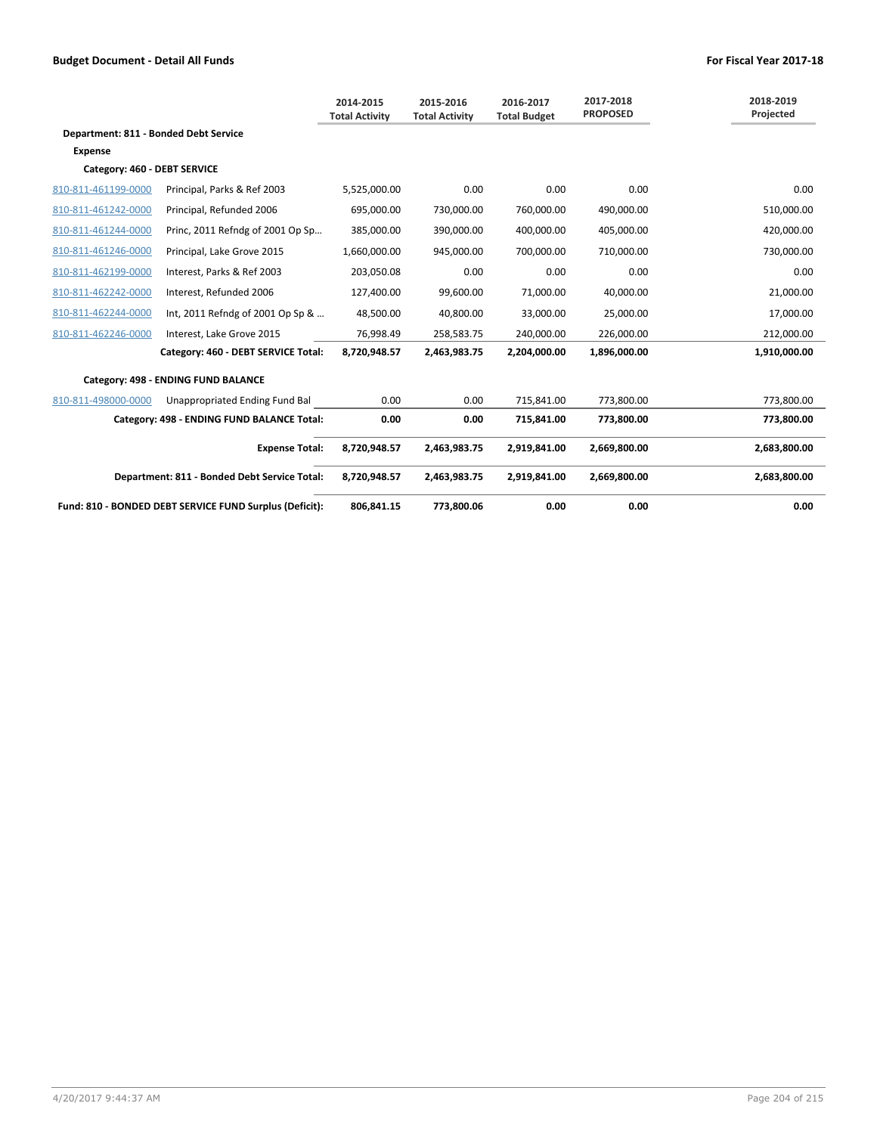|                                       |                                                         | 2014-2015<br><b>Total Activity</b> | 2015-2016<br><b>Total Activity</b> | 2016-2017<br><b>Total Budget</b> | 2017-2018<br><b>PROPOSED</b> | 2018-2019<br>Projected |
|---------------------------------------|---------------------------------------------------------|------------------------------------|------------------------------------|----------------------------------|------------------------------|------------------------|
| Department: 811 - Bonded Debt Service |                                                         |                                    |                                    |                                  |                              |                        |
| <b>Expense</b>                        |                                                         |                                    |                                    |                                  |                              |                        |
| Category: 460 - DEBT SERVICE          |                                                         |                                    |                                    |                                  |                              |                        |
| 810-811-461199-0000                   | Principal, Parks & Ref 2003                             | 5,525,000.00                       | 0.00                               | 0.00                             | 0.00                         | 0.00                   |
| 810-811-461242-0000                   | Principal, Refunded 2006                                | 695,000.00                         | 730,000.00                         | 760,000.00                       | 490,000.00                   | 510,000.00             |
| 810-811-461244-0000                   | Princ, 2011 Refndg of 2001 Op Sp                        | 385.000.00                         | 390,000.00                         | 400,000.00                       | 405,000.00                   | 420,000.00             |
| 810-811-461246-0000                   | Principal, Lake Grove 2015                              | 1,660,000.00                       | 945,000.00                         | 700,000.00                       | 710,000.00                   | 730,000.00             |
| 810-811-462199-0000                   | Interest, Parks & Ref 2003                              | 203,050.08                         | 0.00                               | 0.00                             | 0.00                         | 0.00                   |
| 810-811-462242-0000                   | Interest, Refunded 2006                                 | 127,400.00                         | 99,600.00                          | 71,000.00                        | 40,000.00                    | 21,000.00              |
| 810-811-462244-0000                   | Int, 2011 Refndg of 2001 Op Sp &                        | 48,500.00                          | 40,800.00                          | 33,000.00                        | 25,000.00                    | 17,000.00              |
| 810-811-462246-0000                   | Interest, Lake Grove 2015                               | 76,998.49                          | 258,583.75                         | 240,000.00                       | 226,000.00                   | 212,000.00             |
|                                       | Category: 460 - DEBT SERVICE Total:                     | 8,720,948.57                       | 2,463,983.75                       | 2,204,000.00                     | 1,896,000.00                 | 1,910,000.00           |
|                                       | Category: 498 - ENDING FUND BALANCE                     |                                    |                                    |                                  |                              |                        |
| 810-811-498000-0000                   | Unappropriated Ending Fund Bal                          | 0.00                               | 0.00                               | 715,841.00                       | 773,800.00                   | 773,800.00             |
|                                       | Category: 498 - ENDING FUND BALANCE Total:              | 0.00                               | 0.00                               | 715,841.00                       | 773,800.00                   | 773,800.00             |
|                                       | <b>Expense Total:</b>                                   | 8.720.948.57                       | 2,463,983.75                       | 2,919,841.00                     | 2,669,800.00                 | 2,683,800.00           |
|                                       | Department: 811 - Bonded Debt Service Total:            | 8,720,948.57                       | 2,463,983.75                       | 2,919,841.00                     | 2,669,800.00                 | 2,683,800.00           |
|                                       | Fund: 810 - BONDED DEBT SERVICE FUND Surplus (Deficit): | 806,841.15                         | 773,800.06                         | 0.00                             | 0.00                         | 0.00                   |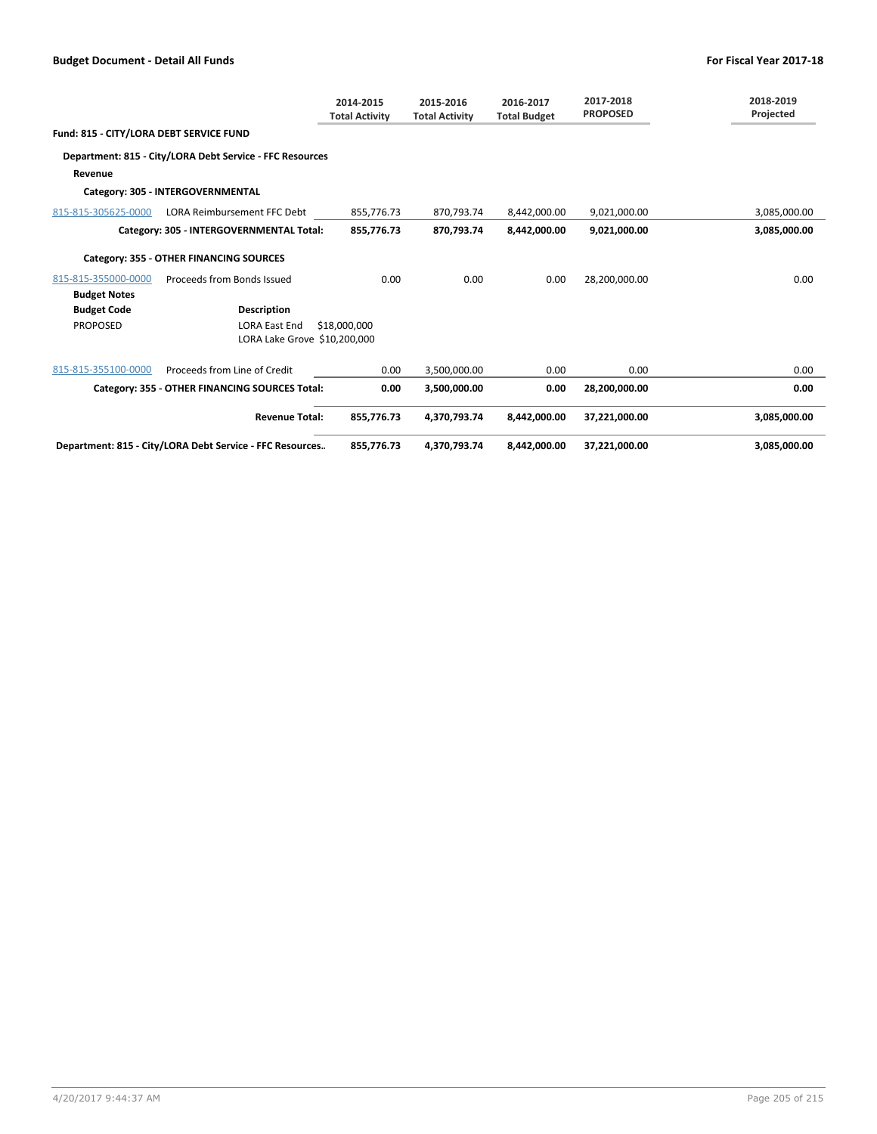|                                         |                                                          | 2014-2015<br><b>Total Activity</b> | 2015-2016<br><b>Total Activity</b> | 2016-2017<br><b>Total Budget</b> | 2017-2018<br><b>PROPOSED</b> | 2018-2019<br>Projected |
|-----------------------------------------|----------------------------------------------------------|------------------------------------|------------------------------------|----------------------------------|------------------------------|------------------------|
| Fund: 815 - CITY/LORA DEBT SERVICE FUND |                                                          |                                    |                                    |                                  |                              |                        |
|                                         | Department: 815 - City/LORA Debt Service - FFC Resources |                                    |                                    |                                  |                              |                        |
| Revenue                                 |                                                          |                                    |                                    |                                  |                              |                        |
|                                         | Category: 305 - INTERGOVERNMENTAL                        |                                    |                                    |                                  |                              |                        |
| 815-815-305625-0000                     | LORA Reimbursement FFC Debt                              | 855,776.73                         | 870,793.74                         | 8,442,000.00                     | 9,021,000.00                 | 3,085,000.00           |
|                                         | Category: 305 - INTERGOVERNMENTAL Total:                 | 855,776.73                         | 870,793.74                         | 8,442,000.00                     | 9,021,000.00                 | 3,085,000.00           |
|                                         | Category: 355 - OTHER FINANCING SOURCES                  |                                    |                                    |                                  |                              |                        |
| 815-815-355000-0000                     | Proceeds from Bonds Issued                               | 0.00                               | 0.00                               | 0.00                             | 28,200,000.00                | 0.00                   |
| <b>Budget Notes</b>                     |                                                          |                                    |                                    |                                  |                              |                        |
| <b>Budget Code</b>                      | <b>Description</b>                                       |                                    |                                    |                                  |                              |                        |
| <b>PROPOSED</b>                         | <b>LORA East End</b>                                     | \$18,000,000                       |                                    |                                  |                              |                        |
|                                         | LORA Lake Grove \$10,200,000                             |                                    |                                    |                                  |                              |                        |
| 815-815-355100-0000                     | Proceeds from Line of Credit                             | 0.00                               | 3,500,000.00                       | 0.00                             | 0.00                         | 0.00                   |
|                                         | Category: 355 - OTHER FINANCING SOURCES Total:           | 0.00                               | 3,500,000.00                       | 0.00                             | 28,200,000.00                | 0.00                   |
|                                         | <b>Revenue Total:</b>                                    | 855,776.73                         | 4,370,793.74                       | 8.442.000.00                     | 37,221,000.00                | 3,085,000.00           |
|                                         | Department: 815 - City/LORA Debt Service - FFC Resources | 855,776.73                         | 4,370,793.74                       | 8,442,000.00                     | 37,221,000.00                | 3,085,000.00           |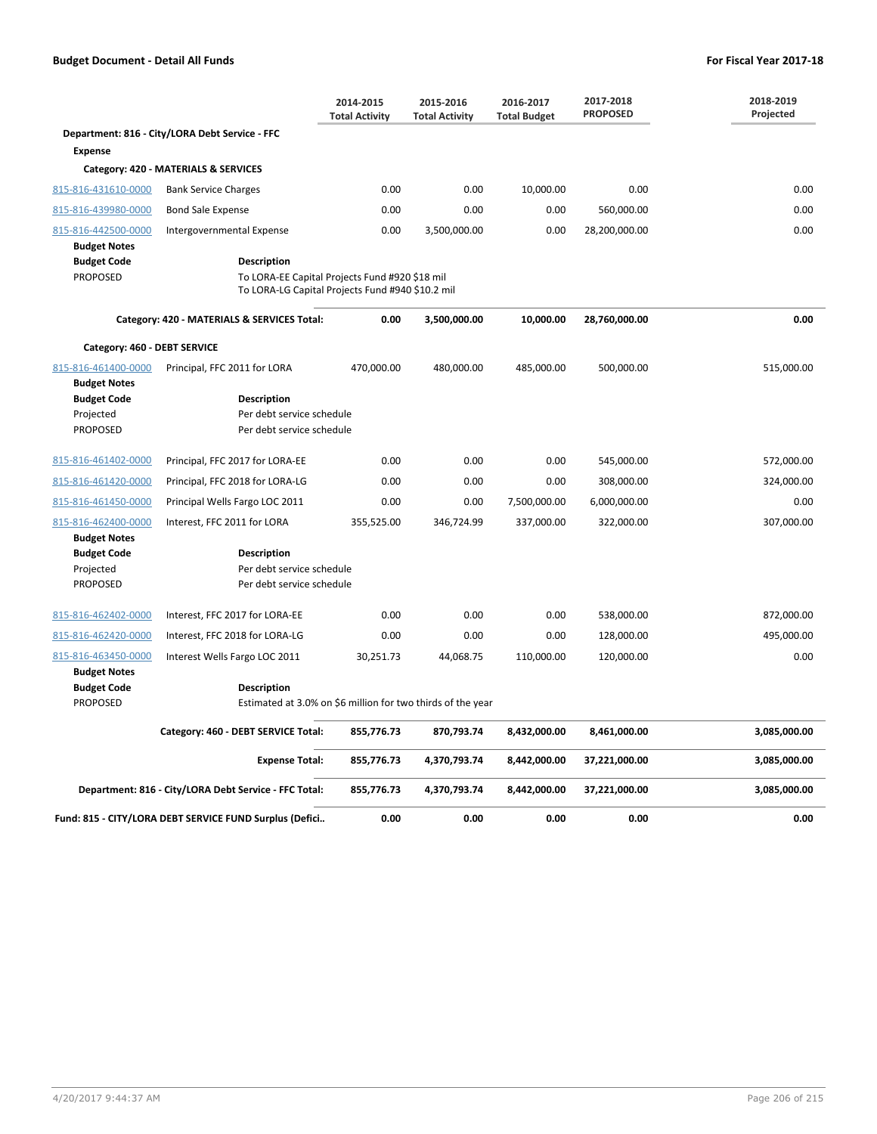|                                                                                                  |                                                                                                                   | 2014-2015<br><b>Total Activity</b> | 2015-2016<br><b>Total Activity</b> | 2016-2017<br><b>Total Budget</b> | 2017-2018<br><b>PROPOSED</b> | 2018-2019<br>Projected |
|--------------------------------------------------------------------------------------------------|-------------------------------------------------------------------------------------------------------------------|------------------------------------|------------------------------------|----------------------------------|------------------------------|------------------------|
|                                                                                                  | Department: 816 - City/LORA Debt Service - FFC                                                                    |                                    |                                    |                                  |                              |                        |
| <b>Expense</b>                                                                                   |                                                                                                                   |                                    |                                    |                                  |                              |                        |
|                                                                                                  | Category: 420 - MATERIALS & SERVICES                                                                              |                                    |                                    |                                  |                              |                        |
| 815-816-431610-0000                                                                              | <b>Bank Service Charges</b>                                                                                       | 0.00                               | 0.00                               | 10,000.00                        | 0.00                         | 0.00                   |
| 815-816-439980-0000                                                                              | <b>Bond Sale Expense</b>                                                                                          | 0.00                               | 0.00                               | 0.00                             | 560,000.00                   | 0.00                   |
| 815-816-442500-0000                                                                              | Intergovernmental Expense                                                                                         | 0.00                               | 3,500,000.00                       | 0.00                             | 28,200,000.00                | 0.00                   |
| <b>Budget Notes</b><br><b>Budget Code</b><br><b>PROPOSED</b>                                     | Description<br>To LORA-EE Capital Projects Fund #920 \$18 mil<br>To LORA-LG Capital Projects Fund #940 \$10.2 mil |                                    |                                    |                                  |                              |                        |
|                                                                                                  | Category: 420 - MATERIALS & SERVICES Total:                                                                       | 0.00                               | 3,500,000.00                       | 10,000.00                        | 28,760,000.00                | 0.00                   |
| Category: 460 - DEBT SERVICE                                                                     |                                                                                                                   |                                    |                                    |                                  |                              |                        |
| 815-816-461400-0000<br><b>Budget Notes</b><br><b>Budget Code</b><br>Projected<br><b>PROPOSED</b> | Principal, FFC 2011 for LORA<br><b>Description</b><br>Per debt service schedule<br>Per debt service schedule      | 470,000.00                         | 480,000.00                         | 485,000.00                       | 500,000.00                   | 515,000.00             |
| 815-816-461402-0000                                                                              | Principal, FFC 2017 for LORA-EE                                                                                   | 0.00                               | 0.00                               | 0.00                             | 545,000.00                   | 572,000.00             |
| 815-816-461420-0000                                                                              | Principal, FFC 2018 for LORA-LG                                                                                   | 0.00                               | 0.00                               | 0.00                             | 308,000.00                   | 324,000.00             |
| 815-816-461450-0000                                                                              | Principal Wells Fargo LOC 2011                                                                                    | 0.00                               | 0.00                               | 7,500,000.00                     | 6,000,000.00                 | 0.00                   |
| 815-816-462400-0000<br><b>Budget Notes</b>                                                       | Interest, FFC 2011 for LORA                                                                                       | 355,525.00                         | 346,724.99                         | 337,000.00                       | 322,000.00                   | 307,000.00             |
| <b>Budget Code</b><br>Projected<br><b>PROPOSED</b>                                               | <b>Description</b><br>Per debt service schedule<br>Per debt service schedule                                      |                                    |                                    |                                  |                              |                        |
| 815-816-462402-0000                                                                              | Interest, FFC 2017 for LORA-EE                                                                                    | 0.00                               | 0.00                               | 0.00                             | 538,000.00                   | 872,000.00             |
| 815-816-462420-0000                                                                              | Interest, FFC 2018 for LORA-LG                                                                                    | 0.00                               | 0.00                               | 0.00                             | 128,000.00                   | 495,000.00             |
| 815-816-463450-0000<br><b>Budget Notes</b>                                                       | Interest Wells Fargo LOC 2011                                                                                     | 30,251.73                          | 44,068.75                          | 110,000.00                       | 120,000.00                   | 0.00                   |
| <b>Budget Code</b><br><b>PROPOSED</b>                                                            | <b>Description</b><br>Estimated at 3.0% on \$6 million for two thirds of the year                                 |                                    |                                    |                                  |                              |                        |
|                                                                                                  | Category: 460 - DEBT SERVICE Total:                                                                               | 855,776.73                         | 870,793.74                         | 8,432,000.00                     | 8,461,000.00                 | 3,085,000.00           |
|                                                                                                  | <b>Expense Total:</b>                                                                                             | 855,776.73                         | 4,370,793.74                       | 8,442,000.00                     | 37,221,000.00                | 3,085,000.00           |
|                                                                                                  | Department: 816 - City/LORA Debt Service - FFC Total:                                                             | 855,776.73                         | 4,370,793.74                       | 8,442,000.00                     | 37,221,000.00                | 3,085,000.00           |
|                                                                                                  | Fund: 815 - CITY/LORA DEBT SERVICE FUND Surplus (Defici                                                           | 0.00                               | 0.00                               | 0.00                             | 0.00                         | 0.00                   |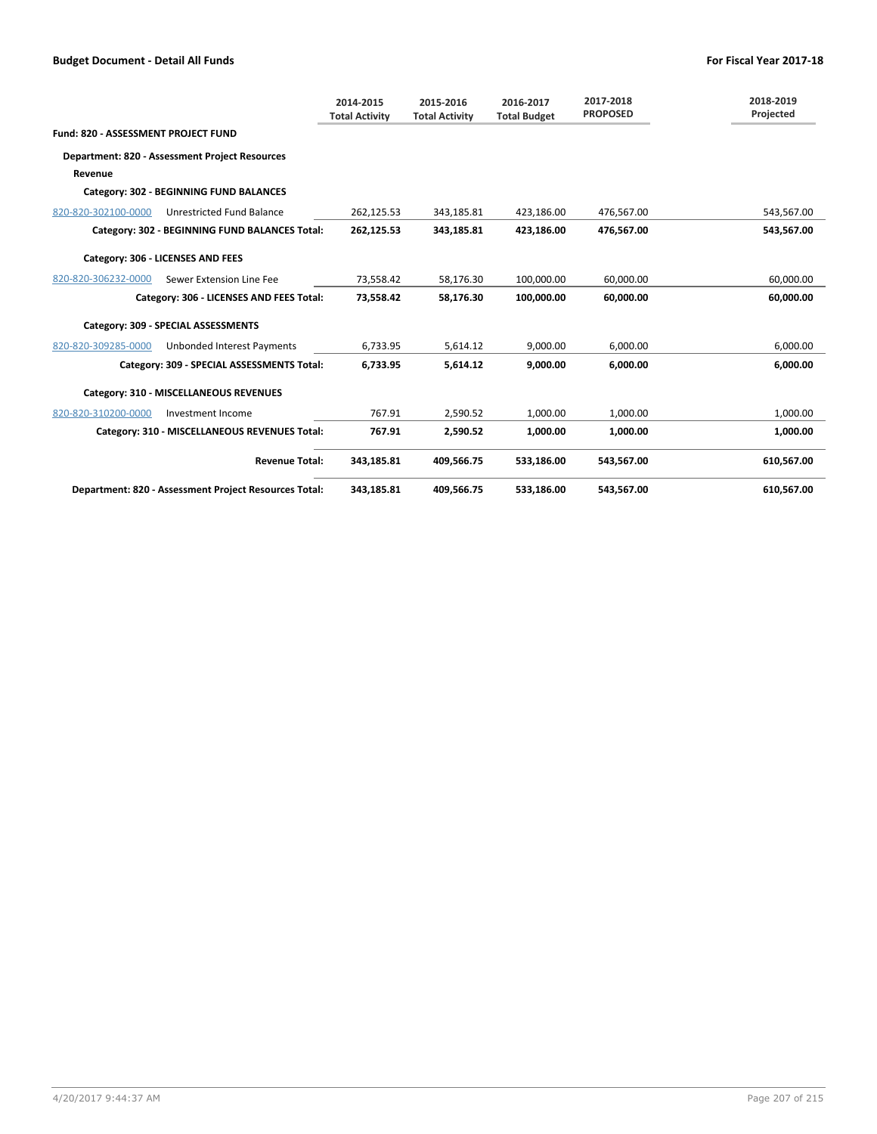|                                            |                                                       | 2014-2015<br><b>Total Activity</b> | 2015-2016<br><b>Total Activity</b> | 2016-2017<br><b>Total Budget</b> | 2017-2018<br><b>PROPOSED</b> | 2018-2019<br>Projected |
|--------------------------------------------|-------------------------------------------------------|------------------------------------|------------------------------------|----------------------------------|------------------------------|------------------------|
| <b>Fund: 820 - ASSESSMENT PROJECT FUND</b> |                                                       |                                    |                                    |                                  |                              |                        |
|                                            | <b>Department: 820 - Assessment Project Resources</b> |                                    |                                    |                                  |                              |                        |
| Revenue                                    |                                                       |                                    |                                    |                                  |                              |                        |
|                                            | Category: 302 - BEGINNING FUND BALANCES               |                                    |                                    |                                  |                              |                        |
| 820-820-302100-0000                        | <b>Unrestricted Fund Balance</b>                      | 262,125.53                         | 343,185.81                         | 423,186.00                       | 476,567.00                   | 543,567.00             |
|                                            | Category: 302 - BEGINNING FUND BALANCES Total:        | 262,125.53                         | 343,185.81                         | 423,186.00                       | 476.567.00                   | 543.567.00             |
|                                            | Category: 306 - LICENSES AND FEES                     |                                    |                                    |                                  |                              |                        |
| 820-820-306232-0000                        | Sewer Extension Line Fee                              | 73,558.42                          | 58,176.30                          | 100,000.00                       | 60,000.00                    | 60,000.00              |
|                                            | Category: 306 - LICENSES AND FEES Total:              | 73.558.42                          | 58.176.30                          | 100.000.00                       | 60.000.00                    | 60,000.00              |
|                                            | Category: 309 - SPECIAL ASSESSMENTS                   |                                    |                                    |                                  |                              |                        |
| 820-820-309285-0000                        | <b>Unbonded Interest Payments</b>                     | 6,733.95                           | 5,614.12                           | 9,000.00                         | 6,000.00                     | 6,000.00               |
|                                            | Category: 309 - SPECIAL ASSESSMENTS Total:            | 6,733.95                           | 5,614.12                           | 9.000.00                         | 6.000.00                     | 6,000.00               |
|                                            | Category: 310 - MISCELLANEOUS REVENUES                |                                    |                                    |                                  |                              |                        |
| 820-820-310200-0000                        | Investment Income                                     | 767.91                             | 2,590.52                           | 1,000.00                         | 1,000.00                     | 1,000.00               |
|                                            | Category: 310 - MISCELLANEOUS REVENUES Total:         | 767.91                             | 2.590.52                           | 1,000.00                         | 1,000.00                     | 1,000.00               |
|                                            | <b>Revenue Total:</b>                                 | 343,185.81                         | 409,566.75                         | 533,186.00                       | 543,567.00                   | 610,567.00             |
|                                            | Department: 820 - Assessment Project Resources Total: | 343,185.81                         | 409,566.75                         | 533,186.00                       | 543,567.00                   | 610,567.00             |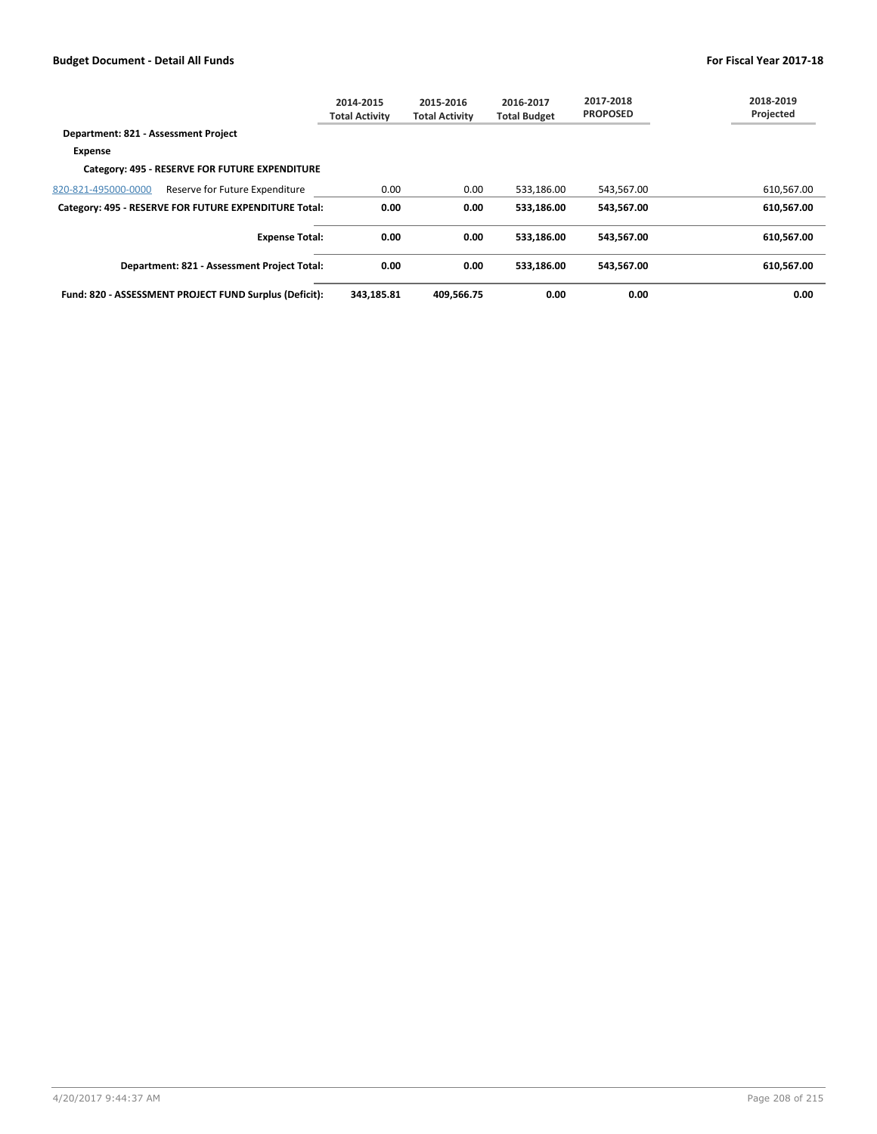|                                      |                                                        | 2014-2015<br><b>Total Activity</b> | 2015-2016<br><b>Total Activity</b> | 2016-2017<br><b>Total Budget</b> | 2017-2018<br><b>PROPOSED</b> | 2018-2019<br>Projected |
|--------------------------------------|--------------------------------------------------------|------------------------------------|------------------------------------|----------------------------------|------------------------------|------------------------|
| Department: 821 - Assessment Project |                                                        |                                    |                                    |                                  |                              |                        |
| Expense                              |                                                        |                                    |                                    |                                  |                              |                        |
|                                      | Category: 495 - RESERVE FOR FUTURE EXPENDITURE         |                                    |                                    |                                  |                              |                        |
| 820-821-495000-0000                  | Reserve for Future Expenditure                         | 0.00                               | 0.00                               | 533,186.00                       | 543,567.00                   | 610,567.00             |
|                                      | Category: 495 - RESERVE FOR FUTURE EXPENDITURE Total:  | 0.00                               | 0.00                               | 533.186.00                       | 543.567.00                   | 610,567.00             |
|                                      | <b>Expense Total:</b>                                  | 0.00                               | 0.00                               | 533.186.00                       | 543.567.00                   | 610.567.00             |
|                                      | Department: 821 - Assessment Project Total:            | 0.00                               | 0.00                               | 533.186.00                       | 543.567.00                   | 610.567.00             |
|                                      | Fund: 820 - ASSESSMENT PROJECT FUND Surplus (Deficit): | 343.185.81                         | 409.566.75                         | 0.00                             | 0.00                         | 0.00                   |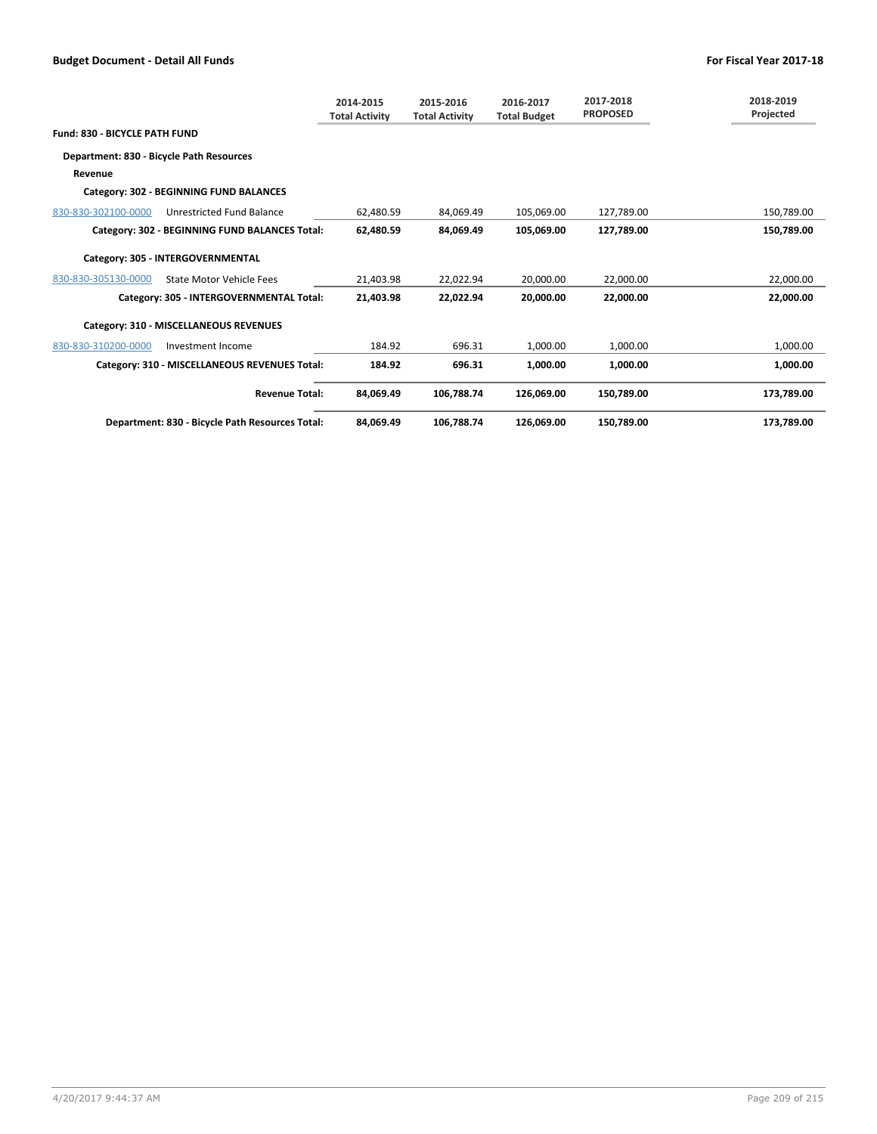|                                          |                                                 | 2014-2015<br><b>Total Activity</b> | 2015-2016<br><b>Total Activity</b> | 2016-2017<br><b>Total Budget</b> | 2017-2018<br><b>PROPOSED</b> | 2018-2019<br>Projected |
|------------------------------------------|-------------------------------------------------|------------------------------------|------------------------------------|----------------------------------|------------------------------|------------------------|
| <b>Fund: 830 - BICYCLE PATH FUND</b>     |                                                 |                                    |                                    |                                  |                              |                        |
| Department: 830 - Bicycle Path Resources |                                                 |                                    |                                    |                                  |                              |                        |
| Revenue                                  |                                                 |                                    |                                    |                                  |                              |                        |
|                                          | Category: 302 - BEGINNING FUND BALANCES         |                                    |                                    |                                  |                              |                        |
| 830-830-302100-0000                      | Unrestricted Fund Balance                       | 62,480.59                          | 84.069.49                          | 105,069.00                       | 127.789.00                   | 150,789.00             |
|                                          | Category: 302 - BEGINNING FUND BALANCES Total:  | 62.480.59                          | 84.069.49                          | 105.069.00                       | 127.789.00                   | 150,789.00             |
|                                          | Category: 305 - INTERGOVERNMENTAL               |                                    |                                    |                                  |                              |                        |
| 830-830-305130-0000                      | <b>State Motor Vehicle Fees</b>                 | 21,403.98                          | 22,022.94                          | 20,000.00                        | 22,000.00                    | 22,000.00              |
|                                          | Category: 305 - INTERGOVERNMENTAL Total:        | 21.403.98                          | 22.022.94                          | 20,000,00                        | 22.000.00                    | 22.000.00              |
|                                          | Category: 310 - MISCELLANEOUS REVENUES          |                                    |                                    |                                  |                              |                        |
| 830-830-310200-0000                      | Investment Income                               | 184.92                             | 696.31                             | 1,000.00                         | 1,000.00                     | 1,000.00               |
|                                          | Category: 310 - MISCELLANEOUS REVENUES Total:   | 184.92                             | 696.31                             | 1.000.00                         | 1,000.00                     | 1,000.00               |
|                                          | <b>Revenue Total:</b>                           | 84,069.49                          | 106,788.74                         | 126,069.00                       | 150,789.00                   | 173,789.00             |
|                                          | Department: 830 - Bicycle Path Resources Total: | 84.069.49                          | 106.788.74                         | 126.069.00                       | 150.789.00                   | 173.789.00             |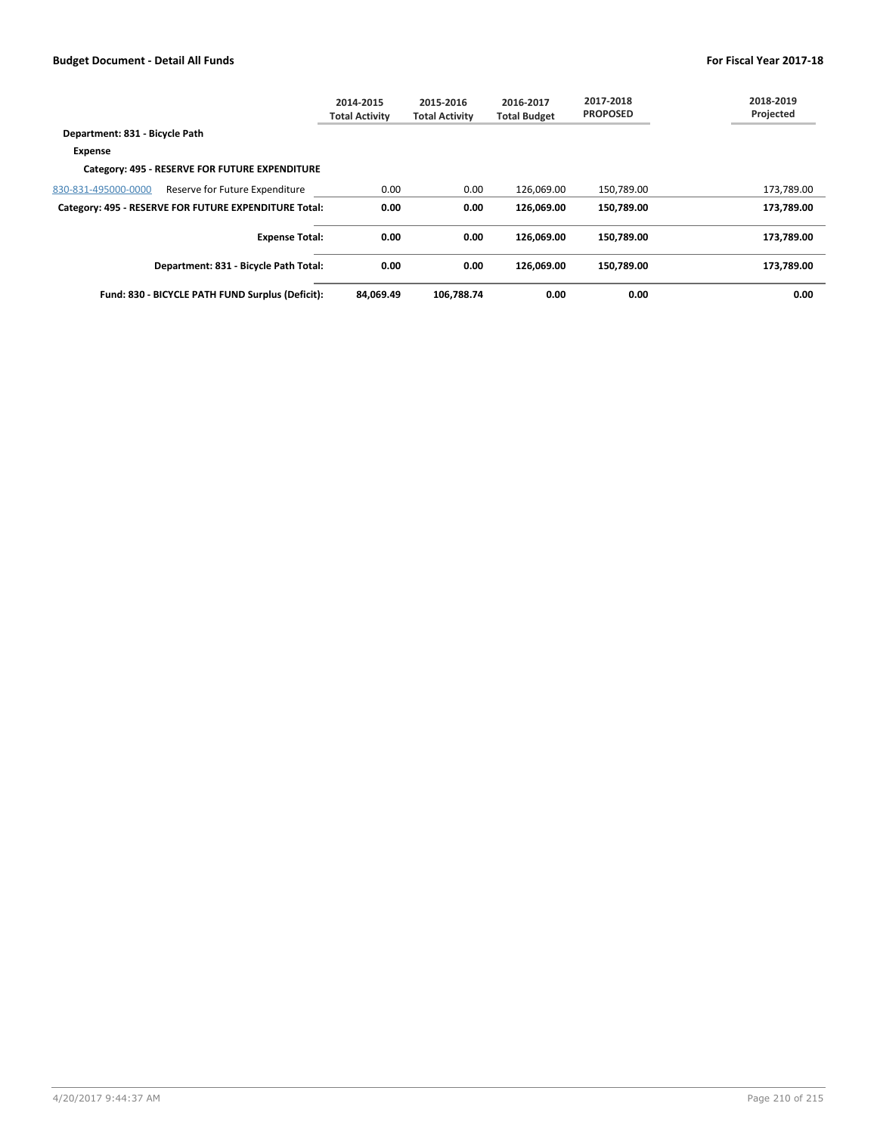|                                |                                                       | 2014-2015<br><b>Total Activity</b> | 2015-2016<br><b>Total Activity</b> | 2016-2017<br><b>Total Budget</b> | 2017-2018<br><b>PROPOSED</b> | 2018-2019<br>Projected |
|--------------------------------|-------------------------------------------------------|------------------------------------|------------------------------------|----------------------------------|------------------------------|------------------------|
| Department: 831 - Bicycle Path |                                                       |                                    |                                    |                                  |                              |                        |
| <b>Expense</b>                 |                                                       |                                    |                                    |                                  |                              |                        |
|                                | Category: 495 - RESERVE FOR FUTURE EXPENDITURE        |                                    |                                    |                                  |                              |                        |
| 830-831-495000-0000            | Reserve for Future Expenditure                        | 0.00                               | 0.00                               | 126,069.00                       | 150,789.00                   | 173,789.00             |
|                                | Category: 495 - RESERVE FOR FUTURE EXPENDITURE Total: | 0.00                               | 0.00                               | 126.069.00                       | 150.789.00                   | 173.789.00             |
|                                | <b>Expense Total:</b>                                 | 0.00                               | 0.00                               | 126.069.00                       | 150.789.00                   | 173.789.00             |
|                                | Department: 831 - Bicycle Path Total:                 | 0.00                               | 0.00                               | 126.069.00                       | 150.789.00                   | 173.789.00             |
|                                | Fund: 830 - BICYCLE PATH FUND Surplus (Deficit):      | 84.069.49                          | 106.788.74                         | 0.00                             | 0.00                         | 0.00                   |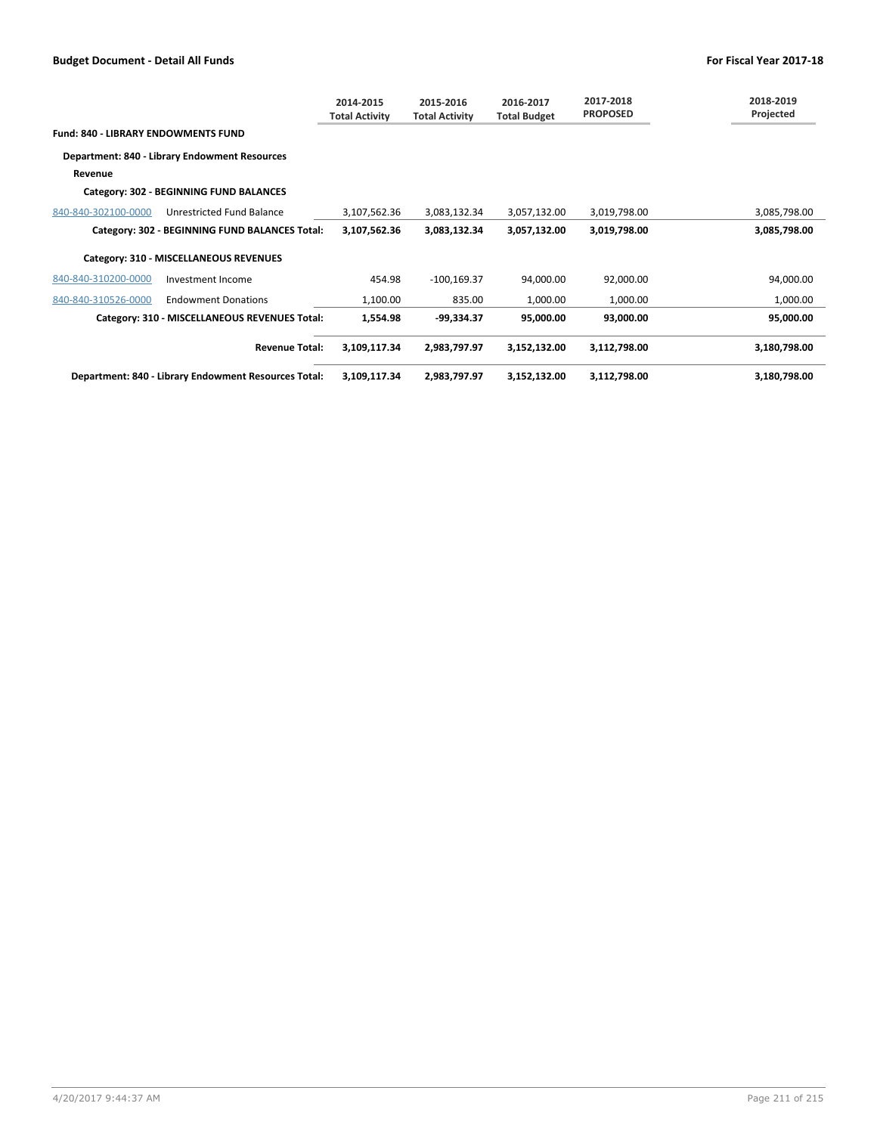|                                            |                                                             | 2014-2015<br><b>Total Activity</b> | 2015-2016<br><b>Total Activity</b> | 2016-2017<br><b>Total Budget</b> | 2017-2018<br><b>PROPOSED</b> | 2018-2019<br>Projected |
|--------------------------------------------|-------------------------------------------------------------|------------------------------------|------------------------------------|----------------------------------|------------------------------|------------------------|
| <b>Fund: 840 - LIBRARY ENDOWMENTS FUND</b> |                                                             |                                    |                                    |                                  |                              |                        |
|                                            | Department: 840 - Library Endowment Resources               |                                    |                                    |                                  |                              |                        |
| Revenue                                    |                                                             |                                    |                                    |                                  |                              |                        |
|                                            | Category: 302 - BEGINNING FUND BALANCES                     |                                    |                                    |                                  |                              |                        |
| 840-840-302100-0000                        | Unrestricted Fund Balance                                   | 3,107,562.36                       | 3,083,132.34                       | 3,057,132.00                     | 3,019,798.00                 | 3,085,798.00           |
|                                            | Category: 302 - BEGINNING FUND BALANCES Total:              | 3,107,562.36                       | 3,083,132.34                       | 3,057,132.00                     | 3,019,798.00                 | 3,085,798.00           |
|                                            | Category: 310 - MISCELLANEOUS REVENUES                      |                                    |                                    |                                  |                              |                        |
| 840-840-310200-0000                        | Investment Income                                           | 454.98                             | $-100, 169.37$                     | 94,000.00                        | 92,000.00                    | 94,000.00              |
| 840-840-310526-0000                        | <b>Endowment Donations</b>                                  | 1,100.00                           | 835.00                             | 1,000.00                         | 1,000.00                     | 1,000.00               |
|                                            | Category: 310 - MISCELLANEOUS REVENUES Total:               | 1,554.98                           | $-99,334.37$                       | 95,000.00                        | 93,000.00                    | 95,000.00              |
|                                            | <b>Revenue Total:</b>                                       | 3,109,117.34                       | 2,983,797.97                       | 3,152,132.00                     | 3,112,798.00                 | 3,180,798.00           |
|                                            | <b>Department: 840 - Library Endowment Resources Total:</b> | 3,109,117.34                       | 2,983,797.97                       | 3,152,132.00                     | 3,112,798.00                 | 3,180,798.00           |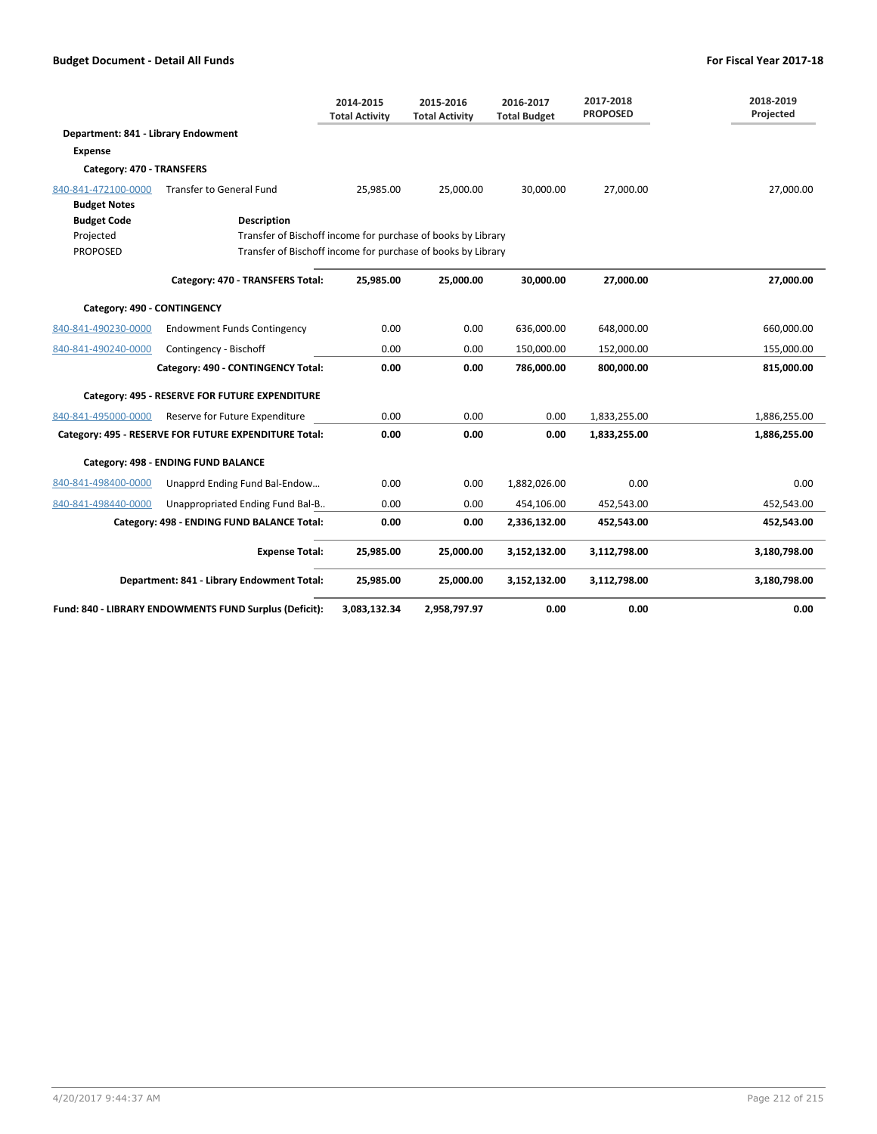|                                     |                                                              | 2014-2015<br><b>Total Activity</b> | 2015-2016<br><b>Total Activity</b> | 2016-2017<br><b>Total Budget</b> | 2017-2018<br><b>PROPOSED</b> | 2018-2019<br>Projected |
|-------------------------------------|--------------------------------------------------------------|------------------------------------|------------------------------------|----------------------------------|------------------------------|------------------------|
| Department: 841 - Library Endowment |                                                              |                                    |                                    |                                  |                              |                        |
| Expense                             |                                                              |                                    |                                    |                                  |                              |                        |
| Category: 470 - TRANSFERS           |                                                              |                                    |                                    |                                  |                              |                        |
| 840-841-472100-0000                 | <b>Transfer to General Fund</b>                              | 25,985.00                          | 25,000.00                          | 30,000.00                        | 27.000.00                    | 27,000.00              |
| <b>Budget Notes</b>                 |                                                              |                                    |                                    |                                  |                              |                        |
| <b>Budget Code</b>                  | <b>Description</b>                                           |                                    |                                    |                                  |                              |                        |
| Projected                           | Transfer of Bischoff income for purchase of books by Library |                                    |                                    |                                  |                              |                        |
| <b>PROPOSED</b>                     | Transfer of Bischoff income for purchase of books by Library |                                    |                                    |                                  |                              |                        |
|                                     | Category: 470 - TRANSFERS Total:                             | 25.985.00                          | 25.000.00                          | 30.000.00                        | 27.000.00                    | 27.000.00              |
| Category: 490 - CONTINGENCY         |                                                              |                                    |                                    |                                  |                              |                        |
| 840-841-490230-0000                 | <b>Endowment Funds Contingency</b>                           | 0.00                               | 0.00                               | 636,000.00                       | 648,000.00                   | 660,000.00             |
| 840-841-490240-0000                 | Contingency - Bischoff                                       | 0.00                               | 0.00                               | 150,000.00                       | 152,000.00                   | 155,000.00             |
|                                     | Category: 490 - CONTINGENCY Total:                           | 0.00                               | 0.00                               | 786,000.00                       | 800,000.00                   | 815,000.00             |
|                                     | Category: 495 - RESERVE FOR FUTURE EXPENDITURE               |                                    |                                    |                                  |                              |                        |
| 840-841-495000-0000                 | Reserve for Future Expenditure                               | 0.00                               | 0.00                               | 0.00                             | 1,833,255.00                 | 1,886,255.00           |
|                                     | Category: 495 - RESERVE FOR FUTURE EXPENDITURE Total:        | 0.00                               | 0.00                               | 0.00                             | 1,833,255.00                 | 1,886,255.00           |
|                                     | Category: 498 - ENDING FUND BALANCE                          |                                    |                                    |                                  |                              |                        |
| 840-841-498400-0000                 | Unapprd Ending Fund Bal-Endow                                | 0.00                               | 0.00                               | 1,882,026.00                     | 0.00                         | 0.00                   |
| 840-841-498440-0000                 | Unappropriated Ending Fund Bal-B                             | 0.00                               | 0.00                               | 454,106.00                       | 452,543.00                   | 452,543.00             |
|                                     | Category: 498 - ENDING FUND BALANCE Total:                   | 0.00                               | 0.00                               | 2,336,132.00                     | 452,543.00                   | 452,543.00             |
|                                     | <b>Expense Total:</b>                                        | 25,985.00                          | 25,000.00                          | 3,152,132.00                     | 3,112,798.00                 | 3,180,798.00           |
|                                     | Department: 841 - Library Endowment Total:                   | 25,985.00                          | 25,000.00                          | 3,152,132.00                     | 3,112,798.00                 | 3,180,798.00           |
|                                     | Fund: 840 - LIBRARY ENDOWMENTS FUND Surplus (Deficit):       | 3,083,132.34                       | 2,958,797.97                       | 0.00                             | 0.00                         | 0.00                   |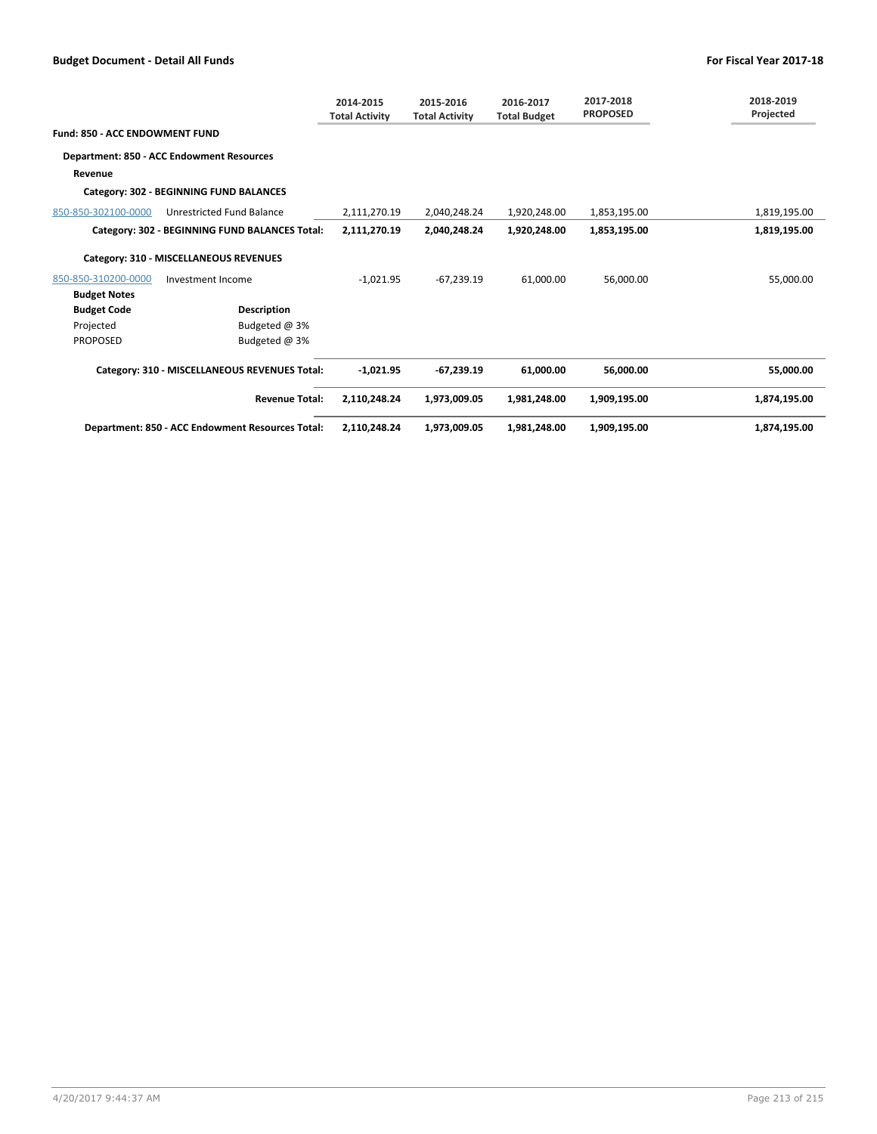|                                |                                                  | 2014-2015<br><b>Total Activity</b> | 2015-2016<br><b>Total Activity</b> | 2016-2017<br><b>Total Budget</b> | 2017-2018<br><b>PROPOSED</b> | 2018-2019<br>Projected |
|--------------------------------|--------------------------------------------------|------------------------------------|------------------------------------|----------------------------------|------------------------------|------------------------|
| Fund: 850 - ACC ENDOWMENT FUND |                                                  |                                    |                                    |                                  |                              |                        |
|                                | Department: 850 - ACC Endowment Resources        |                                    |                                    |                                  |                              |                        |
| Revenue                        |                                                  |                                    |                                    |                                  |                              |                        |
|                                | Category: 302 - BEGINNING FUND BALANCES          |                                    |                                    |                                  |                              |                        |
| 850-850-302100-0000            | <b>Unrestricted Fund Balance</b>                 | 2,111,270.19                       | 2,040,248.24                       | 1,920,248.00                     | 1,853,195.00                 | 1,819,195.00           |
|                                | Category: 302 - BEGINNING FUND BALANCES Total:   | 2,111,270.19                       | 2,040,248.24                       | 1,920,248.00                     | 1,853,195.00                 | 1,819,195.00           |
|                                | Category: 310 - MISCELLANEOUS REVENUES           |                                    |                                    |                                  |                              |                        |
| 850-850-310200-0000            | Investment Income                                | $-1,021.95$                        | $-67,239.19$                       | 61,000.00                        | 56,000.00                    | 55,000.00              |
| <b>Budget Notes</b>            |                                                  |                                    |                                    |                                  |                              |                        |
| <b>Budget Code</b>             | <b>Description</b>                               |                                    |                                    |                                  |                              |                        |
| Projected                      | Budgeted @ 3%                                    |                                    |                                    |                                  |                              |                        |
| <b>PROPOSED</b>                | Budgeted @ 3%                                    |                                    |                                    |                                  |                              |                        |
|                                | Category: 310 - MISCELLANEOUS REVENUES Total:    | $-1,021.95$                        | $-67,239.19$                       | 61,000.00                        | 56,000.00                    | 55,000.00              |
|                                | <b>Revenue Total:</b>                            | 2,110,248.24                       | 1,973,009.05                       | 1,981,248.00                     | 1.909.195.00                 | 1,874,195.00           |
|                                | Department: 850 - ACC Endowment Resources Total: | 2,110,248.24                       | 1,973,009.05                       | 1,981,248.00                     | 1,909,195.00                 | 1,874,195.00           |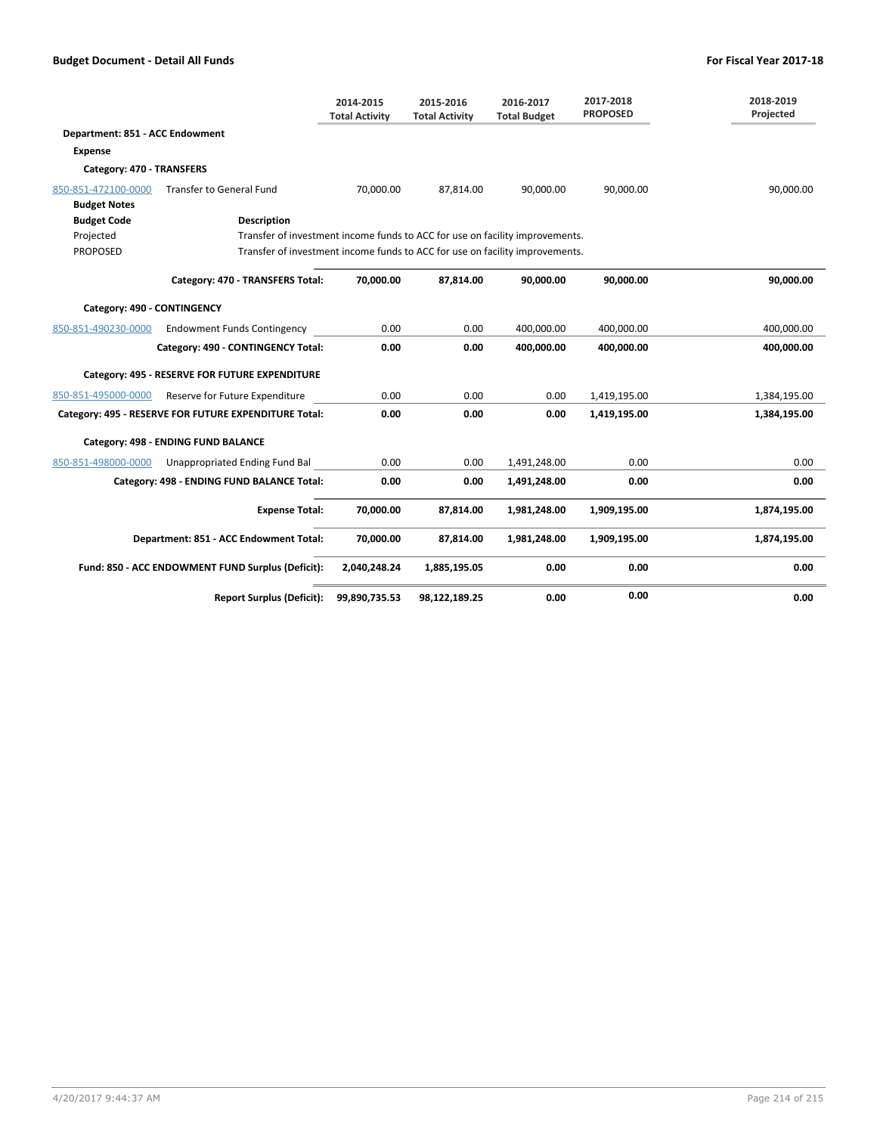|                                 |                                                                              | 2014-2015<br><b>Total Activity</b> | 2015-2016<br><b>Total Activity</b> | 2016-2017<br><b>Total Budget</b> | 2017-2018<br><b>PROPOSED</b> | 2018-2019<br>Projected |
|---------------------------------|------------------------------------------------------------------------------|------------------------------------|------------------------------------|----------------------------------|------------------------------|------------------------|
| Department: 851 - ACC Endowment |                                                                              |                                    |                                    |                                  |                              |                        |
| <b>Expense</b>                  |                                                                              |                                    |                                    |                                  |                              |                        |
| Category: 470 - TRANSFERS       |                                                                              |                                    |                                    |                                  |                              |                        |
| 850-851-472100-0000             | <b>Transfer to General Fund</b>                                              | 70,000.00                          | 87,814.00                          | 90.000.00                        | 90.000.00                    | 90,000.00              |
| <b>Budget Notes</b>             |                                                                              |                                    |                                    |                                  |                              |                        |
| <b>Budget Code</b>              | <b>Description</b>                                                           |                                    |                                    |                                  |                              |                        |
| Projected                       | Transfer of investment income funds to ACC for use on facility improvements. |                                    |                                    |                                  |                              |                        |
| <b>PROPOSED</b>                 | Transfer of investment income funds to ACC for use on facility improvements. |                                    |                                    |                                  |                              |                        |
|                                 | Category: 470 - TRANSFERS Total:                                             | 70.000.00                          | 87.814.00                          | 90.000.00                        | 90.000.00                    | 90.000.00              |
| Category: 490 - CONTINGENCY     |                                                                              |                                    |                                    |                                  |                              |                        |
| 850-851-490230-0000             | <b>Endowment Funds Contingency</b>                                           | 0.00                               | 0.00                               | 400,000.00                       | 400,000.00                   | 400,000.00             |
|                                 | Category: 490 - CONTINGENCY Total:                                           | 0.00                               | 0.00                               | 400.000.00                       | 400.000.00                   | 400.000.00             |
|                                 | Category: 495 - RESERVE FOR FUTURE EXPENDITURE                               |                                    |                                    |                                  |                              |                        |
| 850-851-495000-0000             | Reserve for Future Expenditure                                               | 0.00                               | 0.00                               | 0.00                             | 1,419,195.00                 | 1,384,195.00           |
|                                 | Category: 495 - RESERVE FOR FUTURE EXPENDITURE Total:                        | 0.00                               | 0.00                               | 0.00                             | 1,419,195.00                 | 1,384,195.00           |
|                                 | Category: 498 - ENDING FUND BALANCE                                          |                                    |                                    |                                  |                              |                        |
| 850-851-498000-0000             | Unappropriated Ending Fund Bal                                               | 0.00                               | 0.00                               | 1,491,248.00                     | 0.00                         | 0.00                   |
|                                 | Category: 498 - ENDING FUND BALANCE Total:                                   | 0.00                               | 0.00                               | 1,491,248.00                     | 0.00                         | 0.00                   |
|                                 | <b>Expense Total:</b>                                                        | 70,000.00                          | 87,814.00                          | 1,981,248.00                     | 1,909,195.00                 | 1,874,195.00           |
|                                 | Department: 851 - ACC Endowment Total:                                       | 70,000.00                          | 87,814.00                          | 1,981,248.00                     | 1,909,195.00                 | 1,874,195.00           |
|                                 | Fund: 850 - ACC ENDOWMENT FUND Surplus (Deficit):                            | 2,040,248.24                       | 1,885,195.05                       | 0.00                             | 0.00                         | 0.00                   |
|                                 | <b>Report Surplus (Deficit):</b>                                             | 99,890,735.53                      | 98,122,189.25                      | 0.00                             | 0.00                         | 0.00                   |